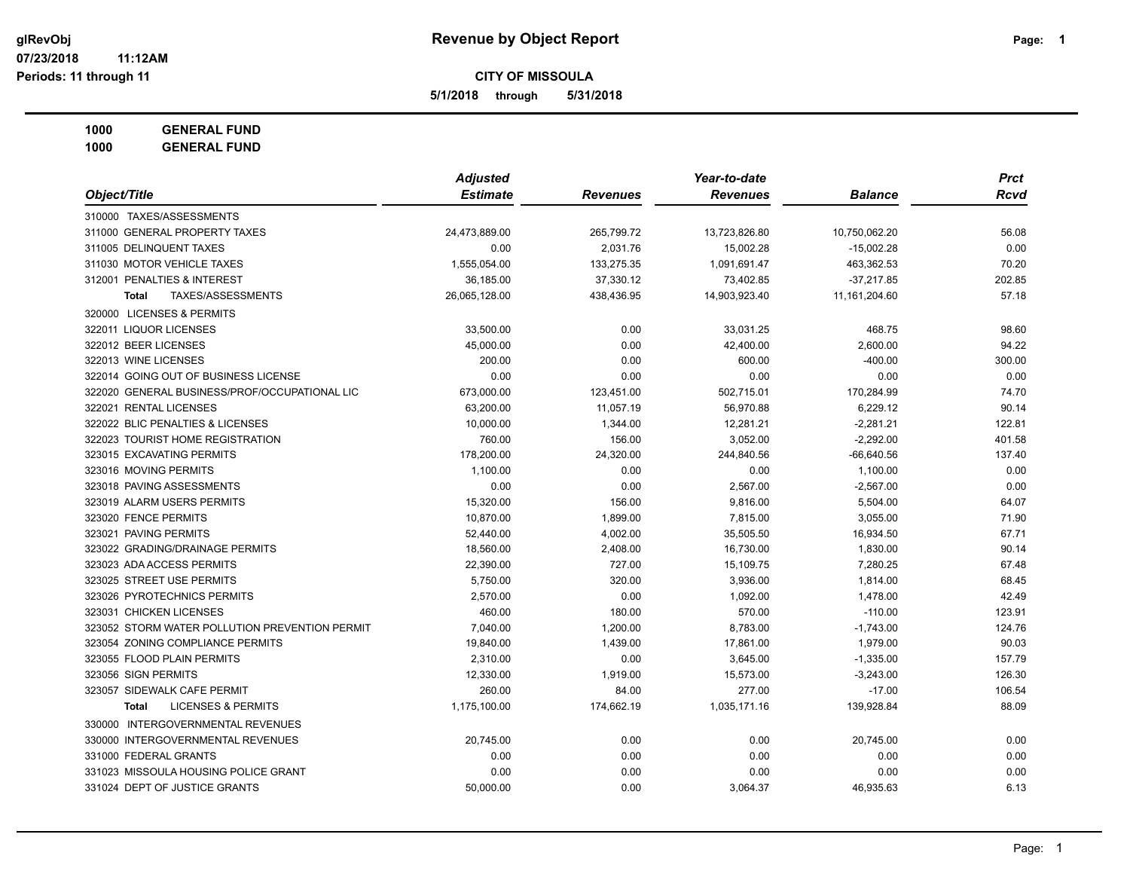# **CITY OF MISSOULA**

**5/1/2018 through 5/31/2018**

**11:12AM**

# **1000 GENERAL FUND**

| Object/Title                                   | <b>Adjusted</b> |                 | Year-to-date    |                 | <b>Prct</b> |
|------------------------------------------------|-----------------|-----------------|-----------------|-----------------|-------------|
|                                                | <b>Estimate</b> | <b>Revenues</b> | <b>Revenues</b> | <b>Balance</b>  | <b>Rcvd</b> |
| 310000 TAXES/ASSESSMENTS                       |                 |                 |                 |                 |             |
| 311000 GENERAL PROPERTY TAXES                  | 24,473,889.00   | 265,799.72      | 13,723,826.80   | 10,750,062.20   | 56.08       |
| 311005 DELINQUENT TAXES                        | 0.00            | 2,031.76        | 15,002.28       | $-15,002.28$    | 0.00        |
| 311030 MOTOR VEHICLE TAXES                     | 1,555,054.00    | 133,275.35      | 1,091,691.47    | 463,362.53      | 70.20       |
| 312001 PENALTIES & INTEREST                    | 36,185.00       | 37,330.12       | 73,402.85       | $-37,217.85$    | 202.85      |
| TAXES/ASSESSMENTS<br>Total                     | 26,065,128.00   | 438,436.95      | 14,903,923.40   | 11, 161, 204.60 | 57.18       |
| 320000 LICENSES & PERMITS                      |                 |                 |                 |                 |             |
| 322011 LIQUOR LICENSES                         | 33,500.00       | 0.00            | 33,031.25       | 468.75          | 98.60       |
| 322012 BEER LICENSES                           | 45,000.00       | 0.00            | 42,400.00       | 2,600.00        | 94.22       |
| 322013 WINE LICENSES                           | 200.00          | 0.00            | 600.00          | $-400.00$       | 300.00      |
| 322014 GOING OUT OF BUSINESS LICENSE           | 0.00            | 0.00            | 0.00            | 0.00            | 0.00        |
| 322020 GENERAL BUSINESS/PROF/OCCUPATIONAL LIC  | 673,000.00      | 123,451.00      | 502,715.01      | 170,284.99      | 74.70       |
| 322021 RENTAL LICENSES                         | 63,200.00       | 11,057.19       | 56,970.88       | 6,229.12        | 90.14       |
| 322022 BLIC PENALTIES & LICENSES               | 10,000.00       | 1,344.00        | 12,281.21       | $-2,281.21$     | 122.81      |
| 322023 TOURIST HOME REGISTRATION               | 760.00          | 156.00          | 3,052.00        | $-2,292.00$     | 401.58      |
| 323015 EXCAVATING PERMITS                      | 178,200.00      | 24,320.00       | 244,840.56      | $-66,640.56$    | 137.40      |
| 323016 MOVING PERMITS                          | 1,100.00        | 0.00            | 0.00            | 1,100.00        | 0.00        |
| 323018 PAVING ASSESSMENTS                      | 0.00            | 0.00            | 2,567.00        | $-2,567.00$     | 0.00        |
| 323019 ALARM USERS PERMITS                     | 15,320.00       | 156.00          | 9,816.00        | 5,504.00        | 64.07       |
| 323020 FENCE PERMITS                           | 10,870.00       | 1,899.00        | 7,815.00        | 3,055.00        | 71.90       |
| 323021 PAVING PERMITS                          | 52,440.00       | 4,002.00        | 35,505.50       | 16,934.50       | 67.71       |
| 323022 GRADING/DRAINAGE PERMITS                | 18,560.00       | 2,408.00        | 16,730.00       | 1,830.00        | 90.14       |
| 323023 ADA ACCESS PERMITS                      | 22,390.00       | 727.00          | 15,109.75       | 7,280.25        | 67.48       |
| 323025 STREET USE PERMITS                      | 5,750.00        | 320.00          | 3,936.00        | 1,814.00        | 68.45       |
| 323026 PYROTECHNICS PERMITS                    | 2,570.00        | 0.00            | 1,092.00        | 1,478.00        | 42.49       |
| 323031 CHICKEN LICENSES                        | 460.00          | 180.00          | 570.00          | $-110.00$       | 123.91      |
| 323052 STORM WATER POLLUTION PREVENTION PERMIT | 7,040.00        | 1,200.00        | 8,783.00        | $-1,743.00$     | 124.76      |
| 323054 ZONING COMPLIANCE PERMITS               | 19,840.00       | 1,439.00        | 17,861.00       | 1,979.00        | 90.03       |
| 323055 FLOOD PLAIN PERMITS                     | 2,310.00        | 0.00            | 3,645.00        | $-1,335.00$     | 157.79      |
| 323056 SIGN PERMITS                            | 12,330.00       | 1,919.00        | 15,573.00       | $-3,243.00$     | 126.30      |
| 323057 SIDEWALK CAFE PERMIT                    | 260.00          | 84.00           | 277.00          | $-17.00$        | 106.54      |
| <b>LICENSES &amp; PERMITS</b><br>Total         | 1,175,100.00    | 174,662.19      | 1,035,171.16    | 139,928.84      | 88.09       |
| 330000 INTERGOVERNMENTAL REVENUES              |                 |                 |                 |                 |             |
| 330000 INTERGOVERNMENTAL REVENUES              | 20,745.00       | 0.00            | 0.00            | 20,745.00       | 0.00        |
| 331000 FEDERAL GRANTS                          | 0.00            | 0.00            | 0.00            | 0.00            | 0.00        |
| 331023 MISSOULA HOUSING POLICE GRANT           | 0.00            | 0.00            | 0.00            | 0.00            | 0.00        |
| 331024 DEPT OF JUSTICE GRANTS                  | 50,000.00       | 0.00            | 3,064.37        | 46,935.63       | 6.13        |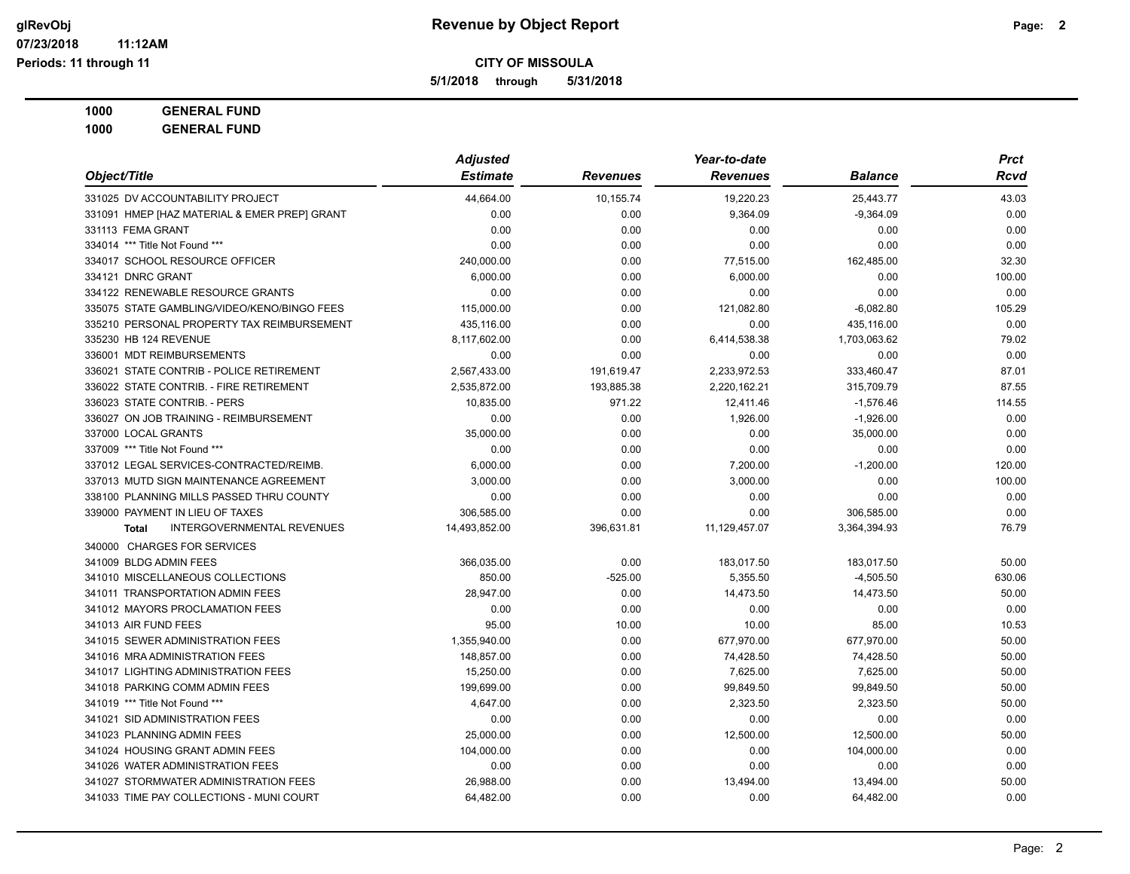**5/1/2018 through 5/31/2018**

**1000 GENERAL FUND**

| Object/Title                                 | <b>Adjusted</b> |                 | Year-to-date    |                | <b>Prct</b> |  |
|----------------------------------------------|-----------------|-----------------|-----------------|----------------|-------------|--|
|                                              | <b>Estimate</b> | <b>Revenues</b> | <b>Revenues</b> | <b>Balance</b> | Rcvd        |  |
| 331025 DV ACCOUNTABILITY PROJECT             | 44,664.00       | 10,155.74       | 19,220.23       | 25,443.77      | 43.03       |  |
| 331091 HMEP [HAZ MATERIAL & EMER PREP] GRANT | 0.00            | 0.00            | 9,364.09        | $-9,364.09$    | 0.00        |  |
| 331113 FEMA GRANT                            | 0.00            | 0.00            | 0.00            | 0.00           | 0.00        |  |
| 334014 *** Title Not Found ***               | 0.00            | 0.00            | 0.00            | 0.00           | 0.00        |  |
| 334017 SCHOOL RESOURCE OFFICER               | 240,000.00      | 0.00            | 77,515.00       | 162,485.00     | 32.30       |  |
| 334121 DNRC GRANT                            | 6,000.00        | 0.00            | 6,000.00        | 0.00           | 100.00      |  |
| 334122 RENEWABLE RESOURCE GRANTS             | 0.00            | 0.00            | 0.00            | 0.00           | 0.00        |  |
| 335075 STATE GAMBLING/VIDEO/KENO/BINGO FEES  | 115,000.00      | 0.00            | 121,082.80      | $-6,082.80$    | 105.29      |  |
| 335210 PERSONAL PROPERTY TAX REIMBURSEMENT   | 435,116.00      | 0.00            | 0.00            | 435,116.00     | 0.00        |  |
| 335230 HB 124 REVENUE                        | 8,117,602.00    | 0.00            | 6,414,538.38    | 1,703,063.62   | 79.02       |  |
| 336001 MDT REIMBURSEMENTS                    | 0.00            | 0.00            | 0.00            | 0.00           | 0.00        |  |
| 336021 STATE CONTRIB - POLICE RETIREMENT     | 2,567,433.00    | 191,619.47      | 2,233,972.53    | 333,460.47     | 87.01       |  |
| 336022 STATE CONTRIB. - FIRE RETIREMENT      | 2,535,872.00    | 193,885.38      | 2,220,162.21    | 315,709.79     | 87.55       |  |
| 336023 STATE CONTRIB. - PERS                 | 10.835.00       | 971.22          | 12,411.46       | $-1,576.46$    | 114.55      |  |
| 336027 ON JOB TRAINING - REIMBURSEMENT       | 0.00            | 0.00            | 1,926.00        | $-1,926.00$    | 0.00        |  |
| 337000 LOCAL GRANTS                          | 35,000.00       | 0.00            | 0.00            | 35,000.00      | 0.00        |  |
| 337009 *** Title Not Found ***               | 0.00            | 0.00            | 0.00            | 0.00           | 0.00        |  |
| 337012 LEGAL SERVICES-CONTRACTED/REIMB.      | 6,000.00        | 0.00            | 7,200.00        | $-1,200.00$    | 120.00      |  |
| 337013 MUTD SIGN MAINTENANCE AGREEMENT       | 3,000.00        | 0.00            | 3,000.00        | 0.00           | 100.00      |  |
| 338100 PLANNING MILLS PASSED THRU COUNTY     | 0.00            | 0.00            | 0.00            | 0.00           | 0.00        |  |
| 339000 PAYMENT IN LIEU OF TAXES              | 306,585.00      | 0.00            | 0.00            | 306,585.00     | 0.00        |  |
| INTERGOVERNMENTAL REVENUES<br><b>Total</b>   | 14,493,852.00   | 396,631.81      | 11,129,457.07   | 3,364,394.93   | 76.79       |  |
| 340000 CHARGES FOR SERVICES                  |                 |                 |                 |                |             |  |
| 341009 BLDG ADMIN FEES                       | 366,035.00      | 0.00            | 183,017.50      | 183,017.50     | 50.00       |  |
| 341010 MISCELLANEOUS COLLECTIONS             | 850.00          | $-525.00$       | 5,355.50        | $-4,505.50$    | 630.06      |  |
| 341011 TRANSPORTATION ADMIN FEES             | 28,947.00       | 0.00            | 14,473.50       | 14,473.50      | 50.00       |  |
| 341012 MAYORS PROCLAMATION FEES              | 0.00            | 0.00            | 0.00            | 0.00           | 0.00        |  |
| 341013 AIR FUND FEES                         | 95.00           | 10.00           | 10.00           | 85.00          | 10.53       |  |
| 341015 SEWER ADMINISTRATION FEES             | 1,355,940.00    | 0.00            | 677,970.00      | 677,970.00     | 50.00       |  |
| 341016 MRA ADMINISTRATION FEES               | 148.857.00      | 0.00            | 74,428.50       | 74,428.50      | 50.00       |  |
| 341017 LIGHTING ADMINISTRATION FEES          | 15,250.00       | 0.00            | 7,625.00        | 7,625.00       | 50.00       |  |
| 341018 PARKING COMM ADMIN FEES               | 199,699.00      | 0.00            | 99,849.50       | 99,849.50      | 50.00       |  |
| 341019 *** Title Not Found ***               | 4,647.00        | 0.00            | 2,323.50        | 2,323.50       | 50.00       |  |
| 341021 SID ADMINISTRATION FEES               | 0.00            | 0.00            | 0.00            | 0.00           | 0.00        |  |
| 341023 PLANNING ADMIN FEES                   | 25,000.00       | 0.00            | 12,500.00       | 12,500.00      | 50.00       |  |
| 341024 HOUSING GRANT ADMIN FEES              | 104,000.00      | 0.00            | 0.00            | 104,000.00     | 0.00        |  |
| 341026 WATER ADMINISTRATION FEES             | 0.00            | 0.00            | 0.00            | 0.00           | 0.00        |  |
| 341027 STORMWATER ADMINISTRATION FEES        | 26,988.00       | 0.00            | 13,494.00       | 13,494.00      | 50.00       |  |
| 341033 TIME PAY COLLECTIONS - MUNI COURT     | 64,482.00       | 0.00            | 0.00            | 64,482.00      | 0.00        |  |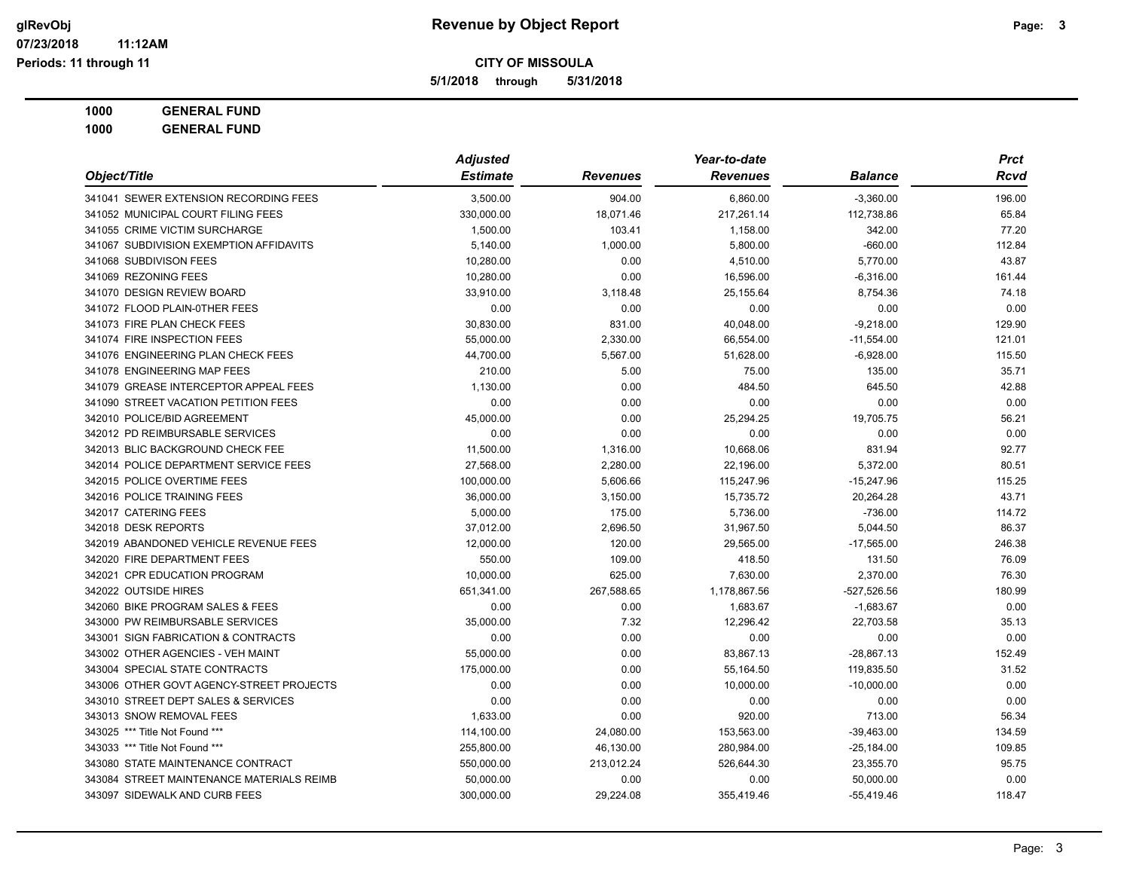**5/1/2018 through 5/31/2018**

# **1000 GENERAL FUND**

| Object/Title                              | <b>Adjusted</b> |                 | Year-to-date    | <b>Prct</b>    |        |
|-------------------------------------------|-----------------|-----------------|-----------------|----------------|--------|
|                                           | <b>Estimate</b> | <b>Revenues</b> | <b>Revenues</b> | <b>Balance</b> | Rcvd   |
| 341041 SEWER EXTENSION RECORDING FEES     | 3,500.00        | 904.00          | 6,860.00        | $-3,360.00$    | 196.00 |
| 341052 MUNICIPAL COURT FILING FEES        | 330,000.00      | 18,071.46       | 217,261.14      | 112,738.86     | 65.84  |
| 341055 CRIME VICTIM SURCHARGE             | 1,500.00        | 103.41          | 1,158.00        | 342.00         | 77.20  |
| 341067 SUBDIVISION EXEMPTION AFFIDAVITS   | 5,140.00        | 1,000.00        | 5,800.00        | $-660.00$      | 112.84 |
| 341068 SUBDIVISON FEES                    | 10,280.00       | 0.00            | 4,510.00        | 5,770.00       | 43.87  |
| 341069 REZONING FEES                      | 10,280.00       | 0.00            | 16,596.00       | $-6,316.00$    | 161.44 |
| 341070 DESIGN REVIEW BOARD                | 33,910.00       | 3,118.48        | 25,155.64       | 8,754.36       | 74.18  |
| 341072 FLOOD PLAIN-0THER FEES             | 0.00            | 0.00            | 0.00            | 0.00           | 0.00   |
| 341073 FIRE PLAN CHECK FEES               | 30,830.00       | 831.00          | 40,048.00       | $-9,218.00$    | 129.90 |
| 341074 FIRE INSPECTION FEES               | 55,000.00       | 2,330.00        | 66,554.00       | $-11,554.00$   | 121.01 |
| 341076 ENGINEERING PLAN CHECK FEES        | 44,700.00       | 5,567.00        | 51,628.00       | $-6,928.00$    | 115.50 |
| 341078 ENGINEERING MAP FEES               | 210.00          | 5.00            | 75.00           | 135.00         | 35.71  |
| 341079 GREASE INTERCEPTOR APPEAL FEES     | 1,130.00        | 0.00            | 484.50          | 645.50         | 42.88  |
| 341090 STREET VACATION PETITION FEES      | 0.00            | 0.00            | 0.00            | 0.00           | 0.00   |
| 342010 POLICE/BID AGREEMENT               | 45,000.00       | 0.00            | 25,294.25       | 19,705.75      | 56.21  |
| 342012 PD REIMBURSABLE SERVICES           | 0.00            | 0.00            | 0.00            | 0.00           | 0.00   |
| 342013 BLIC BACKGROUND CHECK FEE          | 11,500.00       | 1,316.00        | 10,668.06       | 831.94         | 92.77  |
| 342014 POLICE DEPARTMENT SERVICE FEES     | 27,568.00       | 2,280.00        | 22,196.00       | 5,372.00       | 80.51  |
| 342015 POLICE OVERTIME FEES               | 100,000.00      | 5,606.66        | 115,247.96      | $-15,247.96$   | 115.25 |
| 342016 POLICE TRAINING FEES               | 36,000.00       | 3,150.00        | 15,735.72       | 20,264.28      | 43.71  |
| 342017 CATERING FEES                      | 5,000.00        | 175.00          | 5,736.00        | $-736.00$      | 114.72 |
| 342018 DESK REPORTS                       | 37,012.00       | 2,696.50        | 31,967.50       | 5,044.50       | 86.37  |
| 342019 ABANDONED VEHICLE REVENUE FEES     | 12,000.00       | 120.00          | 29,565.00       | $-17,565.00$   | 246.38 |
| 342020 FIRE DEPARTMENT FEES               | 550.00          | 109.00          | 418.50          | 131.50         | 76.09  |
| 342021 CPR EDUCATION PROGRAM              | 10,000.00       | 625.00          | 7,630.00        | 2,370.00       | 76.30  |
| 342022 OUTSIDE HIRES                      | 651,341.00      | 267,588.65      | 1,178,867.56    | $-527,526.56$  | 180.99 |
| 342060 BIKE PROGRAM SALES & FEES          | 0.00            | 0.00            | 1,683.67        | $-1,683.67$    | 0.00   |
| 343000 PW REIMBURSABLE SERVICES           | 35,000.00       | 7.32            | 12,296.42       | 22,703.58      | 35.13  |
| 343001 SIGN FABRICATION & CONTRACTS       | 0.00            | 0.00            | 0.00            | 0.00           | 0.00   |
| 343002 OTHER AGENCIES - VEH MAINT         | 55,000.00       | 0.00            | 83,867.13       | $-28,867.13$   | 152.49 |
| 343004 SPECIAL STATE CONTRACTS            | 175,000.00      | 0.00            | 55,164.50       | 119,835.50     | 31.52  |
| 343006 OTHER GOVT AGENCY-STREET PROJECTS  | 0.00            | 0.00            | 10,000.00       | $-10,000.00$   | 0.00   |
| 343010 STREET DEPT SALES & SERVICES       | 0.00            | 0.00            | 0.00            | 0.00           | 0.00   |
| 343013 SNOW REMOVAL FEES                  | 1,633.00        | 0.00            | 920.00          | 713.00         | 56.34  |
| 343025 *** Title Not Found ***            | 114,100.00      | 24,080.00       | 153,563.00      | $-39,463.00$   | 134.59 |
| 343033 *** Title Not Found ***            | 255,800.00      | 46,130.00       | 280,984.00      | $-25,184.00$   | 109.85 |
| 343080 STATE MAINTENANCE CONTRACT         | 550,000.00      | 213,012.24      | 526,644.30      | 23,355.70      | 95.75  |
| 343084 STREET MAINTENANCE MATERIALS REIMB | 50,000.00       | 0.00            | 0.00            | 50,000.00      | 0.00   |
| 343097 SIDEWALK AND CURB FEES             | 300,000.00      | 29,224.08       | 355,419.46      | $-55,419.46$   | 118.47 |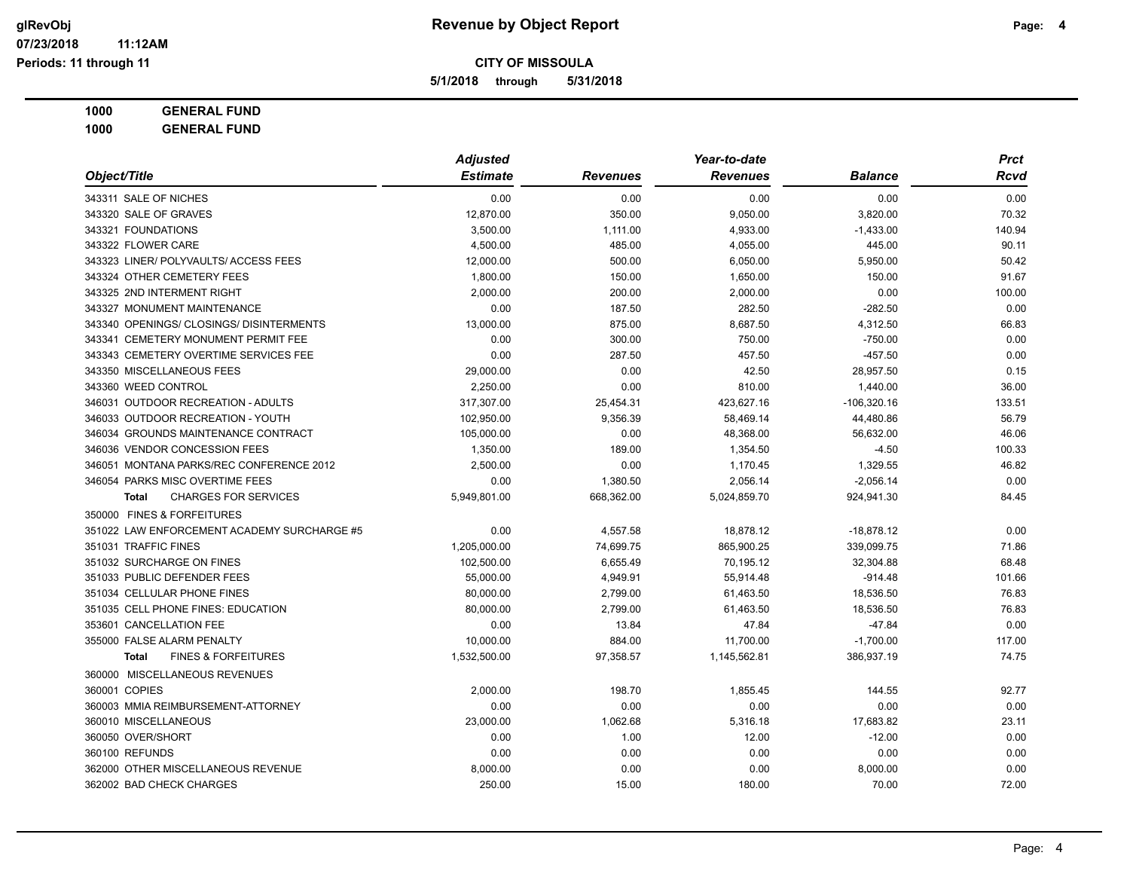**5/1/2018 through 5/31/2018**

# **1000 GENERAL FUND**

|                                                | <b>Adjusted</b> |                 | Year-to-date    | <b>Prct</b>    |        |
|------------------------------------------------|-----------------|-----------------|-----------------|----------------|--------|
| Object/Title                                   | <b>Estimate</b> | <b>Revenues</b> | <b>Revenues</b> | <b>Balance</b> | Rcvd   |
| 343311 SALE OF NICHES                          | 0.00            | 0.00            | 0.00            | 0.00           | 0.00   |
| 343320 SALE OF GRAVES                          | 12,870.00       | 350.00          | 9,050.00        | 3,820.00       | 70.32  |
| 343321 FOUNDATIONS                             | 3,500.00        | 1,111.00        | 4,933.00        | $-1,433.00$    | 140.94 |
| 343322 FLOWER CARE                             | 4,500.00        | 485.00          | 4,055.00        | 445.00         | 90.11  |
| 343323 LINER/ POLYVAULTS/ ACCESS FEES          | 12,000.00       | 500.00          | 6,050.00        | 5,950.00       | 50.42  |
| 343324 OTHER CEMETERY FEES                     | 1,800.00        | 150.00          | 1,650.00        | 150.00         | 91.67  |
| 343325 2ND INTERMENT RIGHT                     | 2,000.00        | 200.00          | 2,000.00        | 0.00           | 100.00 |
| 343327 MONUMENT MAINTENANCE                    | 0.00            | 187.50          | 282.50          | $-282.50$      | 0.00   |
| 343340 OPENINGS/ CLOSINGS/ DISINTERMENTS       | 13,000.00       | 875.00          | 8,687.50        | 4,312.50       | 66.83  |
| 343341 CEMETERY MONUMENT PERMIT FEE            | 0.00            | 300.00          | 750.00          | $-750.00$      | 0.00   |
| 343343 CEMETERY OVERTIME SERVICES FEE          | 0.00            | 287.50          | 457.50          | $-457.50$      | 0.00   |
| 343350 MISCELLANEOUS FEES                      | 29,000.00       | 0.00            | 42.50           | 28,957.50      | 0.15   |
| 343360 WEED CONTROL                            | 2,250.00        | 0.00            | 810.00          | 1,440.00       | 36.00  |
| 346031 OUTDOOR RECREATION - ADULTS             | 317,307.00      | 25,454.31       | 423,627.16      | -106,320.16    | 133.51 |
| 346033 OUTDOOR RECREATION - YOUTH              | 102,950.00      | 9,356.39        | 58,469.14       | 44,480.86      | 56.79  |
| 346034 GROUNDS MAINTENANCE CONTRACT            | 105,000.00      | 0.00            | 48,368.00       | 56,632.00      | 46.06  |
| 346036 VENDOR CONCESSION FEES                  | 1,350.00        | 189.00          | 1,354.50        | $-4.50$        | 100.33 |
| 346051 MONTANA PARKS/REC CONFERENCE 2012       | 2,500.00        | 0.00            | 1,170.45        | 1,329.55       | 46.82  |
| 346054 PARKS MISC OVERTIME FEES                | 0.00            | 1,380.50        | 2,056.14        | $-2,056.14$    | 0.00   |
| <b>CHARGES FOR SERVICES</b><br><b>Total</b>    | 5,949,801.00    | 668,362.00      | 5,024,859.70    | 924,941.30     | 84.45  |
| 350000 FINES & FORFEITURES                     |                 |                 |                 |                |        |
| 351022 LAW ENFORCEMENT ACADEMY SURCHARGE #5    | 0.00            | 4,557.58        | 18,878.12       | $-18,878.12$   | 0.00   |
| 351031 TRAFFIC FINES                           | 1,205,000.00    | 74,699.75       | 865,900.25      | 339,099.75     | 71.86  |
| 351032 SURCHARGE ON FINES                      | 102,500.00      | 6,655.49        | 70,195.12       | 32,304.88      | 68.48  |
| 351033 PUBLIC DEFENDER FEES                    | 55,000.00       | 4,949.91        | 55,914.48       | $-914.48$      | 101.66 |
| 351034 CELLULAR PHONE FINES                    | 80,000.00       | 2,799.00        | 61,463.50       | 18,536.50      | 76.83  |
| 351035 CELL PHONE FINES: EDUCATION             | 80,000.00       | 2,799.00        | 61,463.50       | 18,536.50      | 76.83  |
| 353601 CANCELLATION FEE                        | 0.00            | 13.84           | 47.84           | $-47.84$       | 0.00   |
| 355000 FALSE ALARM PENALTY                     | 10,000.00       | 884.00          | 11,700.00       | $-1,700.00$    | 117.00 |
| <b>FINES &amp; FORFEITURES</b><br><b>Total</b> | 1,532,500.00    | 97,358.57       | 1,145,562.81    | 386,937.19     | 74.75  |
| 360000 MISCELLANEOUS REVENUES                  |                 |                 |                 |                |        |
| 360001 COPIES                                  | 2,000.00        | 198.70          | 1,855.45        | 144.55         | 92.77  |
| 360003 MMIA REIMBURSEMENT-ATTORNEY             | 0.00            | 0.00            | 0.00            | 0.00           | 0.00   |
| 360010 MISCELLANEOUS                           | 23,000.00       | 1,062.68        | 5,316.18        | 17,683.82      | 23.11  |
| 360050 OVER/SHORT                              | 0.00            | 1.00            | 12.00           | $-12.00$       | 0.00   |
| 360100 REFUNDS                                 | 0.00            | 0.00            | 0.00            | 0.00           | 0.00   |
| 362000 OTHER MISCELLANEOUS REVENUE             | 8,000.00        | 0.00            | 0.00            | 8,000.00       | 0.00   |
| 362002 BAD CHECK CHARGES                       | 250.00          | 15.00           | 180.00          | 70.00          | 72.00  |
|                                                |                 |                 |                 |                |        |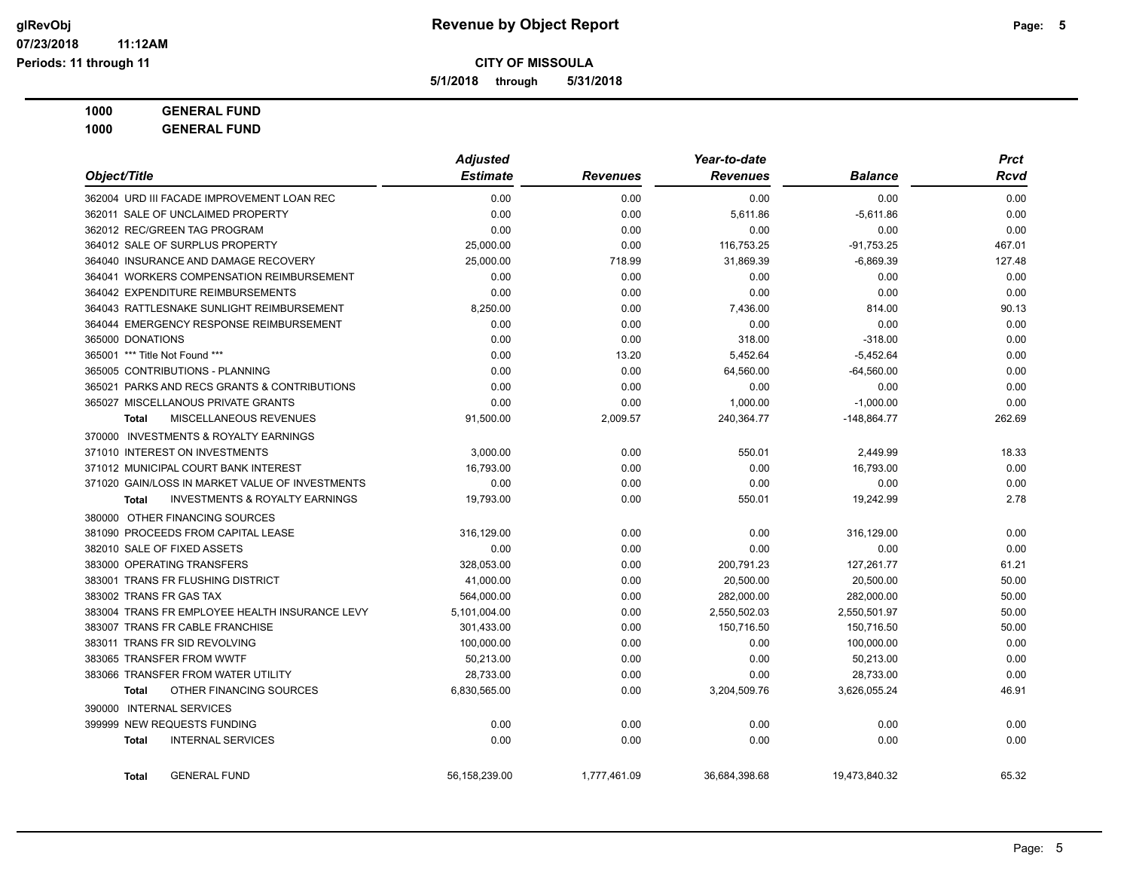**5/1/2018 through 5/31/2018**

# **1000 GENERAL FUND**

|                                                           | <b>Adjusted</b> |                 | Year-to-date    | <b>Prct</b>    |        |  |
|-----------------------------------------------------------|-----------------|-----------------|-----------------|----------------|--------|--|
| Object/Title                                              | <b>Estimate</b> | <b>Revenues</b> | <b>Revenues</b> | <b>Balance</b> | Rcvd   |  |
| 362004 URD III FACADE IMPROVEMENT LOAN REC                | 0.00            | 0.00            | 0.00            | 0.00           | 0.00   |  |
| 362011 SALE OF UNCLAIMED PROPERTY                         | 0.00            | 0.00            | 5,611.86        | $-5,611.86$    | 0.00   |  |
| 362012 REC/GREEN TAG PROGRAM                              | 0.00            | 0.00            | 0.00            | 0.00           | 0.00   |  |
| 364012 SALE OF SURPLUS PROPERTY                           | 25,000.00       | 0.00            | 116,753.25      | $-91,753.25$   | 467.01 |  |
| 364040 INSURANCE AND DAMAGE RECOVERY                      | 25,000.00       | 718.99          | 31,869.39       | $-6,869.39$    | 127.48 |  |
| 364041 WORKERS COMPENSATION REIMBURSEMENT                 | 0.00            | 0.00            | 0.00            | 0.00           | 0.00   |  |
| 364042 EXPENDITURE REIMBURSEMENTS                         | 0.00            | 0.00            | 0.00            | 0.00           | 0.00   |  |
| 364043 RATTLESNAKE SUNLIGHT REIMBURSEMENT                 | 8,250.00        | 0.00            | 7,436.00        | 814.00         | 90.13  |  |
| 364044 EMERGENCY RESPONSE REIMBURSEMENT                   | 0.00            | 0.00            | 0.00            | 0.00           | 0.00   |  |
| 365000 DONATIONS                                          | 0.00            | 0.00            | 318.00          | $-318.00$      | 0.00   |  |
| 365001 *** Title Not Found ***                            | 0.00            | 13.20           | 5,452.64        | $-5,452.64$    | 0.00   |  |
| 365005 CONTRIBUTIONS - PLANNING                           | 0.00            | 0.00            | 64,560.00       | $-64,560.00$   | 0.00   |  |
| 365021 PARKS AND RECS GRANTS & CONTRIBUTIONS              | 0.00            | 0.00            | 0.00            | 0.00           | 0.00   |  |
| 365027 MISCELLANOUS PRIVATE GRANTS                        | 0.00            | 0.00            | 1,000.00        | $-1,000.00$    | 0.00   |  |
| <b>MISCELLANEOUS REVENUES</b><br><b>Total</b>             | 91,500.00       | 2,009.57        | 240,364.77      | $-148,864.77$  | 262.69 |  |
| 370000 INVESTMENTS & ROYALTY EARNINGS                     |                 |                 |                 |                |        |  |
| 371010 INTEREST ON INVESTMENTS                            | 3,000.00        | 0.00            | 550.01          | 2,449.99       | 18.33  |  |
| 371012 MUNICIPAL COURT BANK INTEREST                      | 16,793.00       | 0.00            | 0.00            | 16,793.00      | 0.00   |  |
| 371020 GAIN/LOSS IN MARKET VALUE OF INVESTMENTS           | 0.00            | 0.00            | 0.00            | 0.00           | 0.00   |  |
| <b>INVESTMENTS &amp; ROYALTY EARNINGS</b><br><b>Total</b> | 19,793.00       | 0.00            | 550.01          | 19,242.99      | 2.78   |  |
| 380000 OTHER FINANCING SOURCES                            |                 |                 |                 |                |        |  |
| 381090 PROCEEDS FROM CAPITAL LEASE                        | 316,129.00      | 0.00            | 0.00            | 316,129.00     | 0.00   |  |
| 382010 SALE OF FIXED ASSETS                               | 0.00            | 0.00            | 0.00            | 0.00           | 0.00   |  |
| 383000 OPERATING TRANSFERS                                | 328,053.00      | 0.00            | 200,791.23      | 127,261.77     | 61.21  |  |
| 383001 TRANS FR FLUSHING DISTRICT                         | 41,000.00       | 0.00            | 20,500.00       | 20,500.00      | 50.00  |  |
| 383002 TRANS FR GAS TAX                                   | 564,000.00      | 0.00            | 282,000.00      | 282,000.00     | 50.00  |  |
| 383004 TRANS FR EMPLOYEE HEALTH INSURANCE LEVY            | 5,101,004.00    | 0.00            | 2,550,502.03    | 2,550,501.97   | 50.00  |  |
| 383007 TRANS FR CABLE FRANCHISE                           | 301,433.00      | 0.00            | 150,716.50      | 150,716.50     | 50.00  |  |
| 383011 TRANS FR SID REVOLVING                             | 100,000.00      | 0.00            | 0.00            | 100,000.00     | 0.00   |  |
| 383065 TRANSFER FROM WWTF                                 | 50,213.00       | 0.00            | 0.00            | 50,213.00      | 0.00   |  |
| 383066 TRANSFER FROM WATER UTILITY                        | 28,733.00       | 0.00            | 0.00            | 28,733.00      | 0.00   |  |
| OTHER FINANCING SOURCES<br><b>Total</b>                   | 6,830,565.00    | 0.00            | 3,204,509.76    | 3,626,055.24   | 46.91  |  |
| 390000 INTERNAL SERVICES                                  |                 |                 |                 |                |        |  |
| 399999 NEW REQUESTS FUNDING                               | 0.00            | 0.00            | 0.00            | 0.00           | 0.00   |  |
| <b>INTERNAL SERVICES</b><br><b>Total</b>                  | 0.00            | 0.00            | 0.00            | 0.00           | 0.00   |  |
| <b>GENERAL FUND</b><br>Total                              | 56,158,239.00   | 1,777,461.09    | 36,684,398.68   | 19,473,840.32  | 65.32  |  |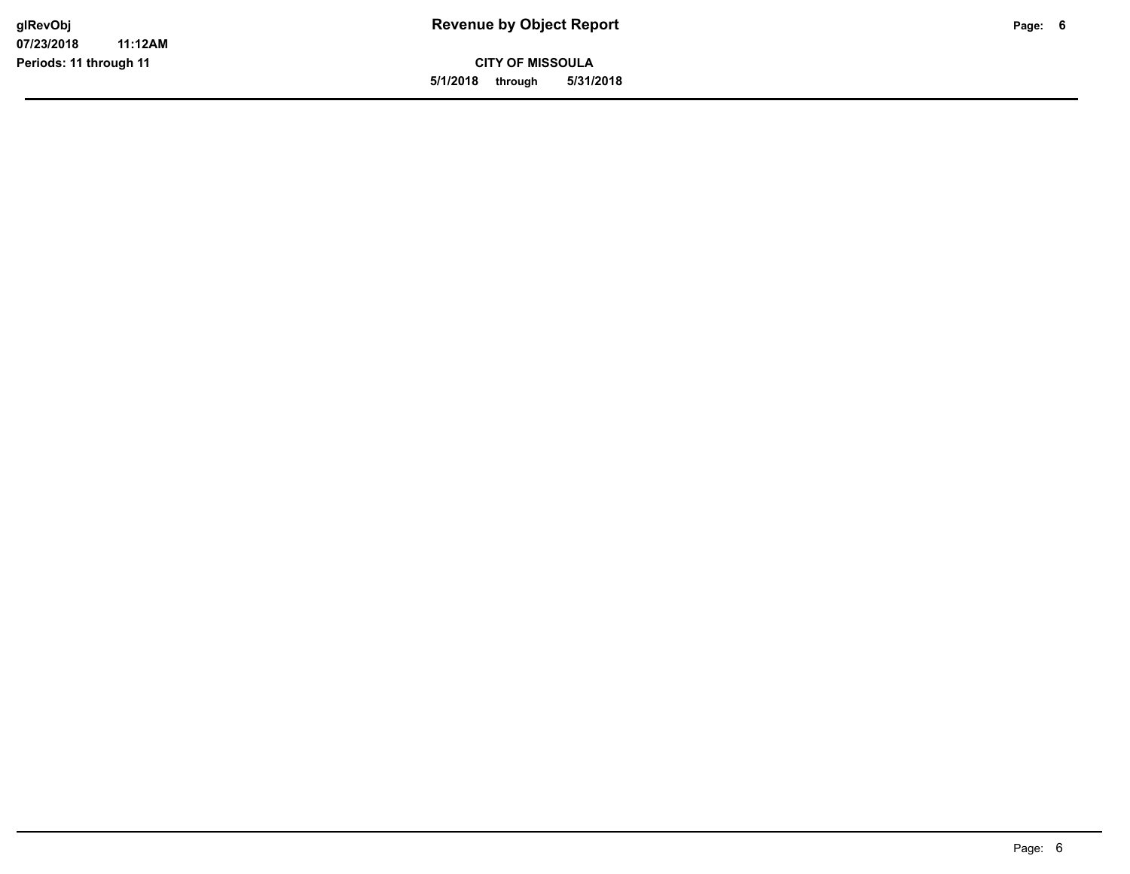**CITY OF MISSOULA 5/1/2018 through 5/31/2018**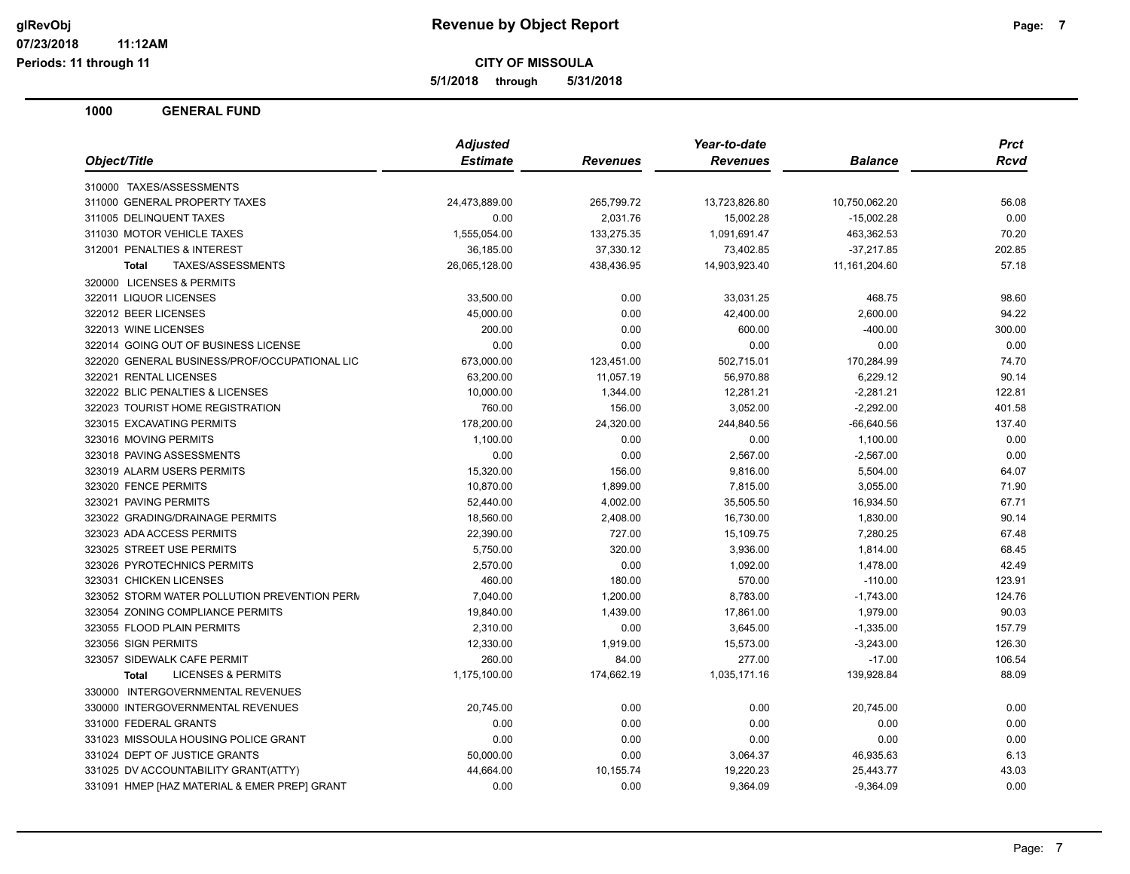**5/1/2018 through 5/31/2018**

**Periods: 11 through 11**

**11:12AM**

| Object/Title                                  | <b>Adjusted</b> |            | Year-to-date    |                 | <b>Prct</b> |
|-----------------------------------------------|-----------------|------------|-----------------|-----------------|-------------|
|                                               | <b>Estimate</b> | Revenues   | <b>Revenues</b> | <b>Balance</b>  | <b>Rcvd</b> |
| 310000 TAXES/ASSESSMENTS                      |                 |            |                 |                 |             |
| 311000 GENERAL PROPERTY TAXES                 | 24,473,889.00   | 265,799.72 | 13,723,826.80   | 10,750,062.20   | 56.08       |
| 311005 DELINQUENT TAXES                       | 0.00            | 2,031.76   | 15,002.28       | $-15,002.28$    | 0.00        |
| 311030 MOTOR VEHICLE TAXES                    | 1,555,054.00    | 133,275.35 | 1,091,691.47    | 463,362.53      | 70.20       |
| 312001 PENALTIES & INTEREST                   | 36,185.00       | 37,330.12  | 73,402.85       | $-37,217.85$    | 202.85      |
| TAXES/ASSESSMENTS<br><b>Total</b>             | 26,065,128.00   | 438,436.95 | 14,903,923.40   | 11, 161, 204.60 | 57.18       |
| 320000 LICENSES & PERMITS                     |                 |            |                 |                 |             |
| 322011 LIQUOR LICENSES                        | 33,500.00       | 0.00       | 33,031.25       | 468.75          | 98.60       |
| 322012 BEER LICENSES                          | 45,000.00       | 0.00       | 42,400.00       | 2,600.00        | 94.22       |
| 322013 WINE LICENSES                          | 200.00          | 0.00       | 600.00          | $-400.00$       | 300.00      |
| 322014 GOING OUT OF BUSINESS LICENSE          | 0.00            | 0.00       | 0.00            | 0.00            | 0.00        |
| 322020 GENERAL BUSINESS/PROF/OCCUPATIONAL LIC | 673,000.00      | 123,451.00 | 502,715.01      | 170,284.99      | 74.70       |
| 322021 RENTAL LICENSES                        | 63,200.00       | 11,057.19  | 56,970.88       | 6,229.12        | 90.14       |
| 322022 BLIC PENALTIES & LICENSES              | 10,000.00       | 1,344.00   | 12,281.21       | $-2,281.21$     | 122.81      |
| 322023 TOURIST HOME REGISTRATION              | 760.00          | 156.00     | 3,052.00        | $-2,292.00$     | 401.58      |
| 323015 EXCAVATING PERMITS                     | 178,200.00      | 24,320.00  | 244,840.56      | $-66,640.56$    | 137.40      |
| 323016 MOVING PERMITS                         | 1,100.00        | 0.00       | 0.00            | 1,100.00        | 0.00        |
| 323018 PAVING ASSESSMENTS                     | 0.00            | 0.00       | 2,567.00        | $-2,567.00$     | 0.00        |
| 323019 ALARM USERS PERMITS                    | 15,320.00       | 156.00     | 9,816.00        | 5,504.00        | 64.07       |
| 323020 FENCE PERMITS                          | 10,870.00       | 1,899.00   | 7,815.00        | 3,055.00        | 71.90       |
| 323021 PAVING PERMITS                         | 52,440.00       | 4,002.00   | 35,505.50       | 16,934.50       | 67.71       |
| 323022 GRADING/DRAINAGE PERMITS               | 18,560.00       | 2,408.00   | 16,730.00       | 1,830.00        | 90.14       |
| 323023 ADA ACCESS PERMITS                     | 22,390.00       | 727.00     | 15,109.75       | 7,280.25        | 67.48       |
| 323025 STREET USE PERMITS                     | 5,750.00        | 320.00     | 3,936.00        | 1,814.00        | 68.45       |
| 323026 PYROTECHNICS PERMITS                   | 2,570.00        | 0.00       | 1,092.00        | 1,478.00        | 42.49       |
| 323031 CHICKEN LICENSES                       | 460.00          | 180.00     | 570.00          | $-110.00$       | 123.91      |
| 323052 STORM WATER POLLUTION PREVENTION PERN  | 7,040.00        | 1,200.00   | 8,783.00        | $-1,743.00$     | 124.76      |
| 323054 ZONING COMPLIANCE PERMITS              | 19,840.00       | 1,439.00   | 17,861.00       | 1,979.00        | 90.03       |
| 323055 FLOOD PLAIN PERMITS                    | 2,310.00        | 0.00       | 3,645.00        | $-1,335.00$     | 157.79      |
| 323056 SIGN PERMITS                           | 12,330.00       | 1,919.00   | 15,573.00       | $-3,243.00$     | 126.30      |
| 323057 SIDEWALK CAFE PERMIT                   | 260.00          | 84.00      | 277.00          | $-17.00$        | 106.54      |
| <b>LICENSES &amp; PERMITS</b><br><b>Total</b> | 1,175,100.00    | 174,662.19 | 1,035,171.16    | 139,928.84      | 88.09       |
| 330000 INTERGOVERNMENTAL REVENUES             |                 |            |                 |                 |             |
| 330000 INTERGOVERNMENTAL REVENUES             | 20,745.00       | 0.00       | 0.00            | 20,745.00       | 0.00        |
| 331000 FEDERAL GRANTS                         | 0.00            | 0.00       | 0.00            | 0.00            | 0.00        |
| 331023 MISSOULA HOUSING POLICE GRANT          | 0.00            | 0.00       | 0.00            | 0.00            | 0.00        |
| 331024 DEPT OF JUSTICE GRANTS                 | 50,000.00       | 0.00       | 3,064.37        | 46,935.63       | 6.13        |
| 331025 DV ACCOUNTABILITY GRANT(ATTY)          | 44,664.00       | 10,155.74  | 19,220.23       | 25,443.77       | 43.03       |
| 331091 HMEP [HAZ MATERIAL & EMER PREP] GRANT  | 0.00            | 0.00       | 9,364.09        | $-9,364.09$     | 0.00        |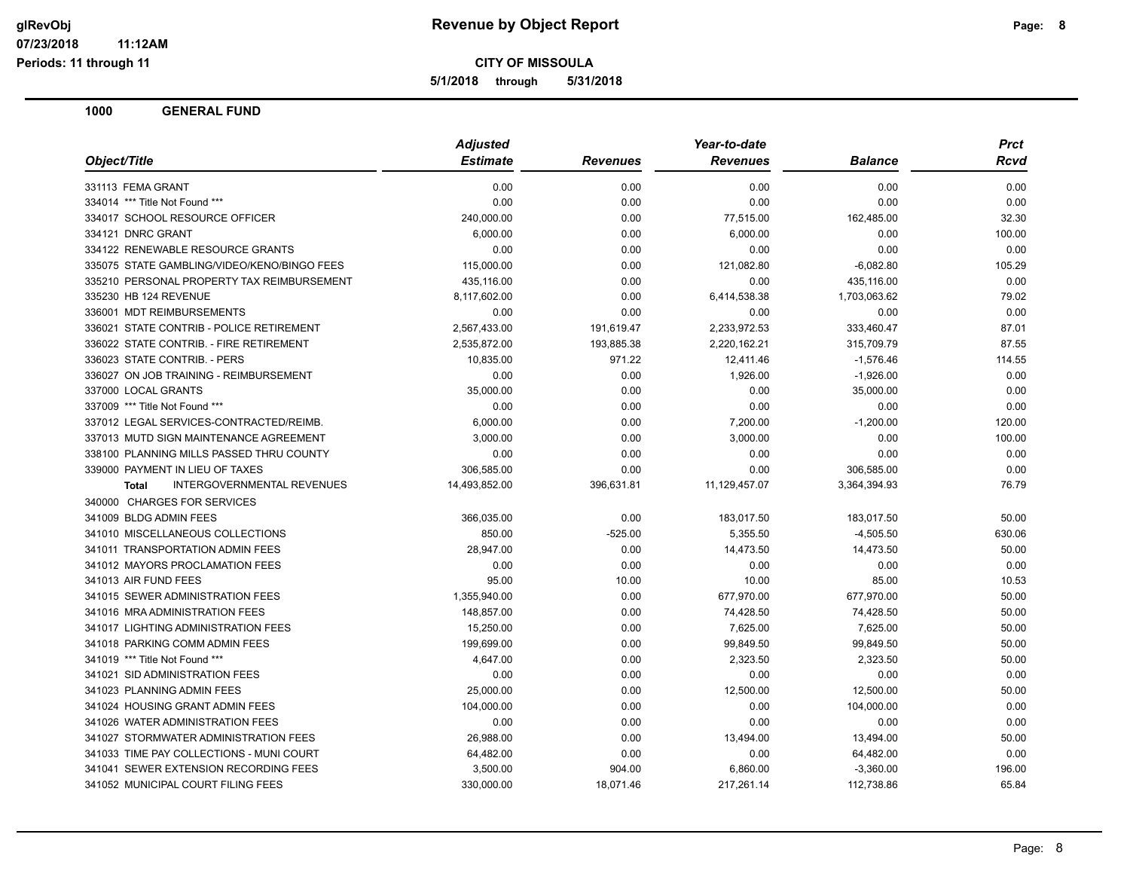**CITY OF MISSOULA**

**5/1/2018 through 5/31/2018**

**11:12AM**

| Object/Title                                      | <b>Adjusted</b> |                 | Year-to-date    |                | <b>Prct</b> |
|---------------------------------------------------|-----------------|-----------------|-----------------|----------------|-------------|
|                                                   | <b>Estimate</b> | <b>Revenues</b> | <b>Revenues</b> | <b>Balance</b> | Rcvd        |
| 331113 FEMA GRANT                                 | 0.00            | 0.00            | 0.00            | 0.00           | 0.00        |
| 334014 *** Title Not Found ***                    | 0.00            | 0.00            | 0.00            | 0.00           | 0.00        |
| 334017 SCHOOL RESOURCE OFFICER                    | 240,000.00      | 0.00            | 77,515.00       | 162,485.00     | 32.30       |
| 334121 DNRC GRANT                                 | 6,000.00        | 0.00            | 6,000.00        | 0.00           | 100.00      |
| 334122 RENEWABLE RESOURCE GRANTS                  | 0.00            | 0.00            | 0.00            | 0.00           | 0.00        |
| 335075 STATE GAMBLING/VIDEO/KENO/BINGO FEES       | 115,000.00      | 0.00            | 121,082.80      | $-6,082.80$    | 105.29      |
| 335210 PERSONAL PROPERTY TAX REIMBURSEMENT        | 435,116.00      | 0.00            | 0.00            | 435,116.00     | 0.00        |
| 335230 HB 124 REVENUE                             | 8,117,602.00    | 0.00            | 6,414,538.38    | 1,703,063.62   | 79.02       |
| 336001 MDT REIMBURSEMENTS                         | 0.00            | 0.00            | 0.00            | 0.00           | 0.00        |
| 336021 STATE CONTRIB - POLICE RETIREMENT          | 2,567,433.00    | 191,619.47      | 2,233,972.53    | 333,460.47     | 87.01       |
| 336022 STATE CONTRIB. - FIRE RETIREMENT           | 2,535,872.00    | 193,885.38      | 2,220,162.21    | 315,709.79     | 87.55       |
| 336023 STATE CONTRIB. - PERS                      | 10,835.00       | 971.22          | 12,411.46       | $-1,576.46$    | 114.55      |
| 336027 ON JOB TRAINING - REIMBURSEMENT            | 0.00            | 0.00            | 1,926.00        | $-1,926.00$    | 0.00        |
| 337000 LOCAL GRANTS                               | 35,000.00       | 0.00            | 0.00            | 35,000.00      | 0.00        |
| 337009 *** Title Not Found ***                    | 0.00            | 0.00            | 0.00            | 0.00           | 0.00        |
| 337012 LEGAL SERVICES-CONTRACTED/REIMB.           | 6,000.00        | 0.00            | 7,200.00        | $-1,200.00$    | 120.00      |
| 337013 MUTD SIGN MAINTENANCE AGREEMENT            | 3,000.00        | 0.00            | 3,000.00        | 0.00           | 100.00      |
| 338100 PLANNING MILLS PASSED THRU COUNTY          | 0.00            | 0.00            | 0.00            | 0.00           | 0.00        |
| 339000 PAYMENT IN LIEU OF TAXES                   | 306,585.00      | 0.00            | 0.00            | 306,585.00     | 0.00        |
| <b>INTERGOVERNMENTAL REVENUES</b><br><b>Total</b> | 14,493,852.00   | 396,631.81      | 11,129,457.07   | 3,364,394.93   | 76.79       |
| 340000 CHARGES FOR SERVICES                       |                 |                 |                 |                |             |
| 341009 BLDG ADMIN FEES                            | 366,035.00      | 0.00            | 183,017.50      | 183,017.50     | 50.00       |
| 341010 MISCELLANEOUS COLLECTIONS                  | 850.00          | $-525.00$       | 5,355.50        | $-4,505.50$    | 630.06      |
| 341011 TRANSPORTATION ADMIN FEES                  | 28,947.00       | 0.00            | 14,473.50       | 14,473.50      | 50.00       |
| 341012 MAYORS PROCLAMATION FEES                   | 0.00            | 0.00            | 0.00            | 0.00           | 0.00        |
| 341013 AIR FUND FEES                              | 95.00           | 10.00           | 10.00           | 85.00          | 10.53       |
| 341015 SEWER ADMINISTRATION FEES                  | 1,355,940.00    | 0.00            | 677,970.00      | 677,970.00     | 50.00       |
| 341016 MRA ADMINISTRATION FEES                    | 148,857.00      | 0.00            | 74,428.50       | 74,428.50      | 50.00       |
| 341017 LIGHTING ADMINISTRATION FEES               | 15,250.00       | 0.00            | 7,625.00        | 7,625.00       | 50.00       |
| 341018 PARKING COMM ADMIN FEES                    | 199,699.00      | 0.00            | 99,849.50       | 99,849.50      | 50.00       |
| 341019 *** Title Not Found ***                    | 4,647.00        | 0.00            | 2,323.50        | 2,323.50       | 50.00       |
| 341021 SID ADMINISTRATION FEES                    | 0.00            | 0.00            | 0.00            | 0.00           | 0.00        |
| 341023 PLANNING ADMIN FEES                        | 25,000.00       | 0.00            | 12,500.00       | 12,500.00      | 50.00       |
| 341024 HOUSING GRANT ADMIN FEES                   | 104,000.00      | 0.00            | 0.00            | 104,000.00     | 0.00        |
| 341026 WATER ADMINISTRATION FEES                  | 0.00            | 0.00            | 0.00            | 0.00           | 0.00        |
| 341027 STORMWATER ADMINISTRATION FEES             | 26,988.00       | 0.00            | 13,494.00       | 13,494.00      | 50.00       |
| 341033 TIME PAY COLLECTIONS - MUNI COURT          | 64,482.00       | 0.00            | 0.00            | 64,482.00      | 0.00        |
| 341041 SEWER EXTENSION RECORDING FEES             | 3,500.00        | 904.00          | 6,860.00        | $-3,360.00$    | 196.00      |
| 341052 MUNICIPAL COURT FILING FEES                | 330,000.00      | 18,071.46       | 217,261.14      | 112,738.86     | 65.84       |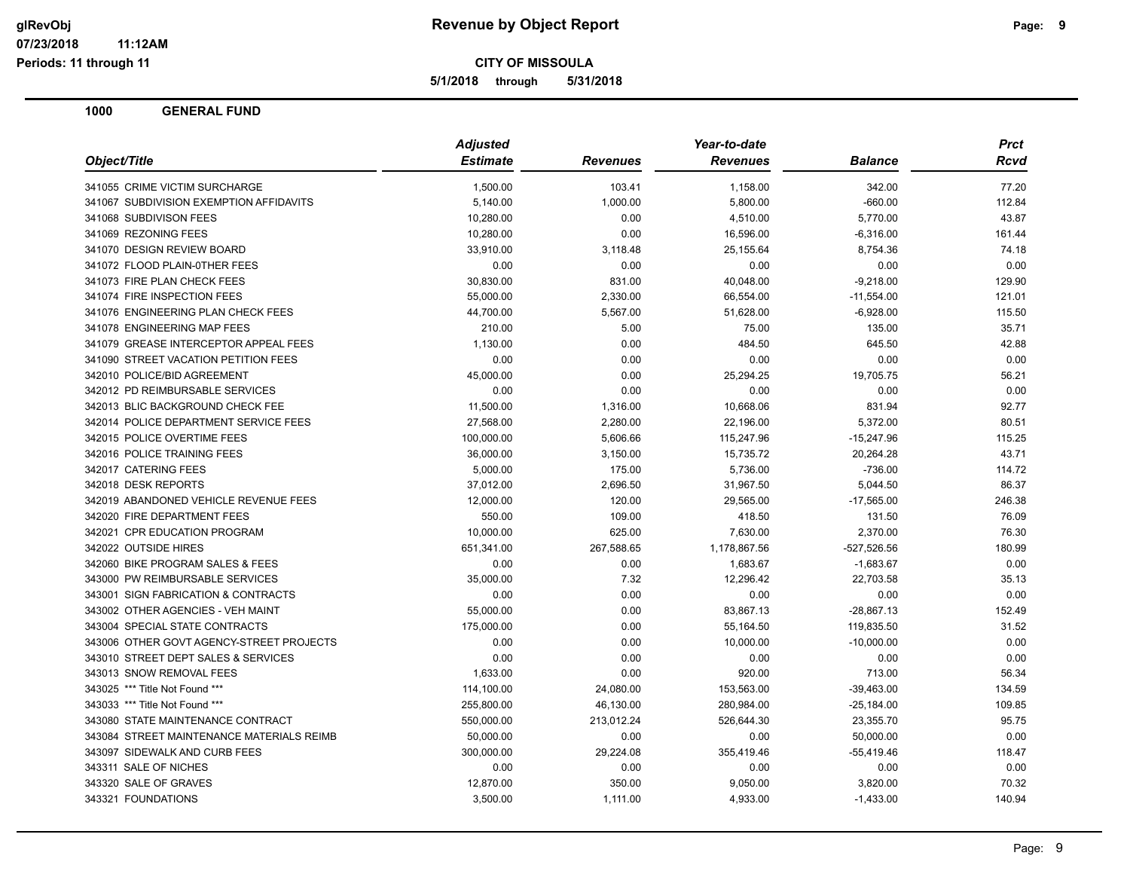**CITY OF MISSOULA**

**5/1/2018 through 5/31/2018**

**11:12AM**

|                                           | <b>Adjusted</b><br><b>Estimate</b> |                 | Year-to-date    |                | <b>Prct</b> |
|-------------------------------------------|------------------------------------|-----------------|-----------------|----------------|-------------|
| Object/Title                              |                                    | <b>Revenues</b> | <b>Revenues</b> | <b>Balance</b> | Rcvd        |
| 341055 CRIME VICTIM SURCHARGE             | 1,500.00                           | 103.41          | 1,158.00        | 342.00         | 77.20       |
| 341067 SUBDIVISION EXEMPTION AFFIDAVITS   | 5,140.00                           | 1,000.00        | 5,800.00        | $-660.00$      | 112.84      |
| 341068 SUBDIVISON FEES                    | 10,280.00                          | 0.00            | 4,510.00        | 5,770.00       | 43.87       |
| 341069 REZONING FEES                      | 10,280.00                          | 0.00            | 16,596.00       | $-6,316.00$    | 161.44      |
| 341070 DESIGN REVIEW BOARD                | 33,910.00                          | 3,118.48        | 25,155.64       | 8,754.36       | 74.18       |
| 341072 FLOOD PLAIN-0THER FEES             | 0.00                               | 0.00            | 0.00            | 0.00           | 0.00        |
| 341073 FIRE PLAN CHECK FEES               | 30,830.00                          | 831.00          | 40,048.00       | $-9,218.00$    | 129.90      |
| 341074 FIRE INSPECTION FEES               | 55,000.00                          | 2,330.00        | 66,554.00       | $-11,554.00$   | 121.01      |
| 341076 ENGINEERING PLAN CHECK FEES        | 44,700.00                          | 5,567.00        | 51,628.00       | $-6,928.00$    | 115.50      |
| 341078 ENGINEERING MAP FEES               | 210.00                             | 5.00            | 75.00           | 135.00         | 35.71       |
| 341079 GREASE INTERCEPTOR APPEAL FEES     | 1,130.00                           | 0.00            | 484.50          | 645.50         | 42.88       |
| 341090 STREET VACATION PETITION FEES      | 0.00                               | 0.00            | 0.00            | 0.00           | 0.00        |
| 342010 POLICE/BID AGREEMENT               | 45,000.00                          | 0.00            | 25,294.25       | 19,705.75      | 56.21       |
| 342012 PD REIMBURSABLE SERVICES           | 0.00                               | 0.00            | 0.00            | 0.00           | 0.00        |
| 342013 BLIC BACKGROUND CHECK FEE          | 11,500.00                          | 1,316.00        | 10,668.06       | 831.94         | 92.77       |
| 342014 POLICE DEPARTMENT SERVICE FEES     | 27,568.00                          | 2,280.00        | 22,196.00       | 5,372.00       | 80.51       |
| 342015 POLICE OVERTIME FEES               | 100,000.00                         | 5,606.66        | 115,247.96      | $-15,247.96$   | 115.25      |
| 342016 POLICE TRAINING FEES               | 36,000.00                          | 3,150.00        | 15,735.72       | 20,264.28      | 43.71       |
| 342017 CATERING FEES                      | 5,000.00                           | 175.00          | 5,736.00        | $-736.00$      | 114.72      |
| 342018 DESK REPORTS                       | 37,012.00                          | 2,696.50        | 31,967.50       | 5,044.50       | 86.37       |
| 342019 ABANDONED VEHICLE REVENUE FEES     | 12,000.00                          | 120.00          | 29,565.00       | $-17,565.00$   | 246.38      |
| 342020 FIRE DEPARTMENT FEES               | 550.00                             | 109.00          | 418.50          | 131.50         | 76.09       |
| 342021 CPR EDUCATION PROGRAM              | 10,000.00                          | 625.00          | 7,630.00        | 2,370.00       | 76.30       |
| 342022 OUTSIDE HIRES                      | 651,341.00                         | 267,588.65      | 1,178,867.56    | $-527,526.56$  | 180.99      |
| 342060 BIKE PROGRAM SALES & FEES          | 0.00                               | 0.00            | 1,683.67        | $-1,683.67$    | 0.00        |
| 343000 PW REIMBURSABLE SERVICES           | 35,000.00                          | 7.32            | 12,296.42       | 22,703.58      | 35.13       |
| 343001 SIGN FABRICATION & CONTRACTS       | 0.00                               | 0.00            | 0.00            | 0.00           | 0.00        |
| 343002 OTHER AGENCIES - VEH MAINT         | 55,000.00                          | 0.00            | 83,867.13       | $-28,867.13$   | 152.49      |
| 343004 SPECIAL STATE CONTRACTS            | 175,000.00                         | 0.00            | 55,164.50       | 119,835.50     | 31.52       |
| 343006 OTHER GOVT AGENCY-STREET PROJECTS  | 0.00                               | 0.00            | 10,000.00       | $-10,000.00$   | 0.00        |
| 343010 STREET DEPT SALES & SERVICES       | 0.00                               | 0.00            | 0.00            | 0.00           | 0.00        |
| 343013 SNOW REMOVAL FEES                  | 1,633.00                           | 0.00            | 920.00          | 713.00         | 56.34       |
| 343025 *** Title Not Found ***            | 114,100.00                         | 24,080.00       | 153,563.00      | $-39,463.00$   | 134.59      |
| 343033 *** Title Not Found ***            | 255,800.00                         | 46,130.00       | 280,984.00      | $-25,184.00$   | 109.85      |
| 343080 STATE MAINTENANCE CONTRACT         | 550,000.00                         | 213,012.24      | 526,644.30      | 23,355.70      | 95.75       |
| 343084 STREET MAINTENANCE MATERIALS REIMB | 50,000.00                          | 0.00            | 0.00            | 50,000.00      | 0.00        |
| 343097 SIDEWALK AND CURB FEES             | 300,000.00                         | 29,224.08       | 355,419.46      | -55,419.46     | 118.47      |
| 343311 SALE OF NICHES                     | 0.00                               | 0.00            | 0.00            | 0.00           | 0.00        |
| 343320 SALE OF GRAVES                     | 12,870.00                          | 350.00          | 9,050.00        | 3,820.00       | 70.32       |
| 343321 FOUNDATIONS                        | 3,500.00                           | 1,111.00        | 4,933.00        | $-1,433.00$    | 140.94      |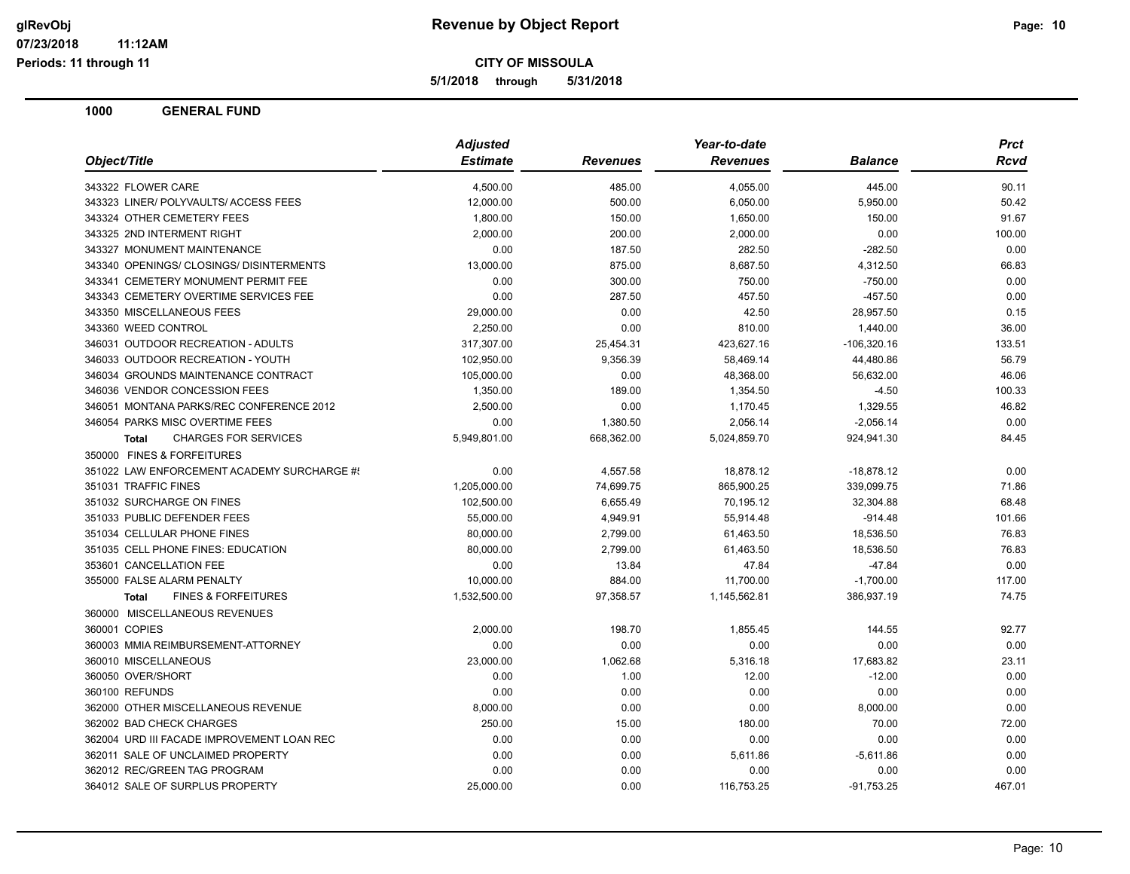**CITY OF MISSOULA**

**5/1/2018 through 5/31/2018**

**11:12AM**

| Object/Title                                   | <b>Adjusted</b> |                 | Year-to-date    |                |        |
|------------------------------------------------|-----------------|-----------------|-----------------|----------------|--------|
|                                                | <b>Estimate</b> | <b>Revenues</b> | <b>Revenues</b> | <b>Balance</b> | Rcvd   |
| 343322 FLOWER CARE                             | 4,500.00        | 485.00          | 4,055.00        | 445.00         | 90.11  |
| 343323 LINER/ POLYVAULTS/ ACCESS FEES          | 12,000.00       | 500.00          | 6,050.00        | 5,950.00       | 50.42  |
| 343324 OTHER CEMETERY FEES                     | 1,800.00        | 150.00          | 1,650.00        | 150.00         | 91.67  |
| 343325 2ND INTERMENT RIGHT                     | 2,000.00        | 200.00          | 2,000.00        | 0.00           | 100.00 |
| 343327 MONUMENT MAINTENANCE                    | 0.00            | 187.50          | 282.50          | $-282.50$      | 0.00   |
| 343340 OPENINGS/ CLOSINGS/ DISINTERMENTS       | 13,000.00       | 875.00          | 8,687.50        | 4,312.50       | 66.83  |
| 343341 CEMETERY MONUMENT PERMIT FEE            | 0.00            | 300.00          | 750.00          | $-750.00$      | 0.00   |
| 343343 CEMETERY OVERTIME SERVICES FEE          | 0.00            | 287.50          | 457.50          | $-457.50$      | 0.00   |
| 343350 MISCELLANEOUS FEES                      | 29,000.00       | 0.00            | 42.50           | 28,957.50      | 0.15   |
| 343360 WEED CONTROL                            | 2,250.00        | 0.00            | 810.00          | 1,440.00       | 36.00  |
| 346031 OUTDOOR RECREATION - ADULTS             | 317,307.00      | 25,454.31       | 423,627.16      | $-106,320.16$  | 133.51 |
| 346033 OUTDOOR RECREATION - YOUTH              | 102,950.00      | 9,356.39        | 58,469.14       | 44,480.86      | 56.79  |
| 346034 GROUNDS MAINTENANCE CONTRACT            | 105,000.00      | 0.00            | 48,368.00       | 56,632.00      | 46.06  |
| 346036 VENDOR CONCESSION FEES                  | 1,350.00        | 189.00          | 1,354.50        | $-4.50$        | 100.33 |
| 346051 MONTANA PARKS/REC CONFERENCE 2012       | 2,500.00        | 0.00            | 1,170.45        | 1,329.55       | 46.82  |
| 346054 PARKS MISC OVERTIME FEES                | 0.00            | 1,380.50        | 2,056.14        | $-2,056.14$    | 0.00   |
| <b>CHARGES FOR SERVICES</b><br><b>Total</b>    | 5,949,801.00    | 668,362.00      | 5,024,859.70    | 924,941.30     | 84.45  |
| 350000 FINES & FORFEITURES                     |                 |                 |                 |                |        |
| 351022 LAW ENFORCEMENT ACADEMY SURCHARGE #!    | 0.00            | 4,557.58        | 18,878.12       | $-18,878.12$   | 0.00   |
| 351031 TRAFFIC FINES                           | 1,205,000.00    | 74,699.75       | 865,900.25      | 339,099.75     | 71.86  |
| 351032 SURCHARGE ON FINES                      | 102,500.00      | 6,655.49        | 70,195.12       | 32,304.88      | 68.48  |
| 351033 PUBLIC DEFENDER FEES                    | 55,000.00       | 4,949.91        | 55,914.48       | -914.48        | 101.66 |
| 351034 CELLULAR PHONE FINES                    | 80,000.00       | 2,799.00        | 61,463.50       | 18,536.50      | 76.83  |
| 351035 CELL PHONE FINES: EDUCATION             | 80,000.00       | 2,799.00        | 61,463.50       | 18,536.50      | 76.83  |
| 353601 CANCELLATION FEE                        | 0.00            | 13.84           | 47.84           | $-47.84$       | 0.00   |
| 355000 FALSE ALARM PENALTY                     | 10,000.00       | 884.00          | 11,700.00       | $-1,700.00$    | 117.00 |
| <b>FINES &amp; FORFEITURES</b><br><b>Total</b> | 1,532,500.00    | 97,358.57       | 1,145,562.81    | 386,937.19     | 74.75  |
| 360000 MISCELLANEOUS REVENUES                  |                 |                 |                 |                |        |
| 360001 COPIES                                  | 2,000.00        | 198.70          | 1,855.45        | 144.55         | 92.77  |
| 360003 MMIA REIMBURSEMENT-ATTORNEY             | 0.00            | 0.00            | 0.00            | 0.00           | 0.00   |
| 360010 MISCELLANEOUS                           | 23,000.00       | 1,062.68        | 5,316.18        | 17,683.82      | 23.11  |
| 360050 OVER/SHORT                              | 0.00            | 1.00            | 12.00           | $-12.00$       | 0.00   |
| 360100 REFUNDS                                 | 0.00            | 0.00            | 0.00            | 0.00           | 0.00   |
| 362000 OTHER MISCELLANEOUS REVENUE             | 8,000.00        | 0.00            | 0.00            | 8,000.00       | 0.00   |
| 362002 BAD CHECK CHARGES                       | 250.00          | 15.00           | 180.00          | 70.00          | 72.00  |
| 362004 URD III FACADE IMPROVEMENT LOAN REC     | 0.00            | 0.00            | 0.00            | 0.00           | 0.00   |
| 362011 SALE OF UNCLAIMED PROPERTY              | 0.00            | 0.00            | 5,611.86        | $-5,611.86$    | 0.00   |
| 362012 REC/GREEN TAG PROGRAM                   | 0.00            | 0.00            | 0.00            | 0.00           | 0.00   |
| 364012 SALE OF SURPLUS PROPERTY                | 25,000.00       | 0.00            | 116,753.25      | $-91,753.25$   | 467.01 |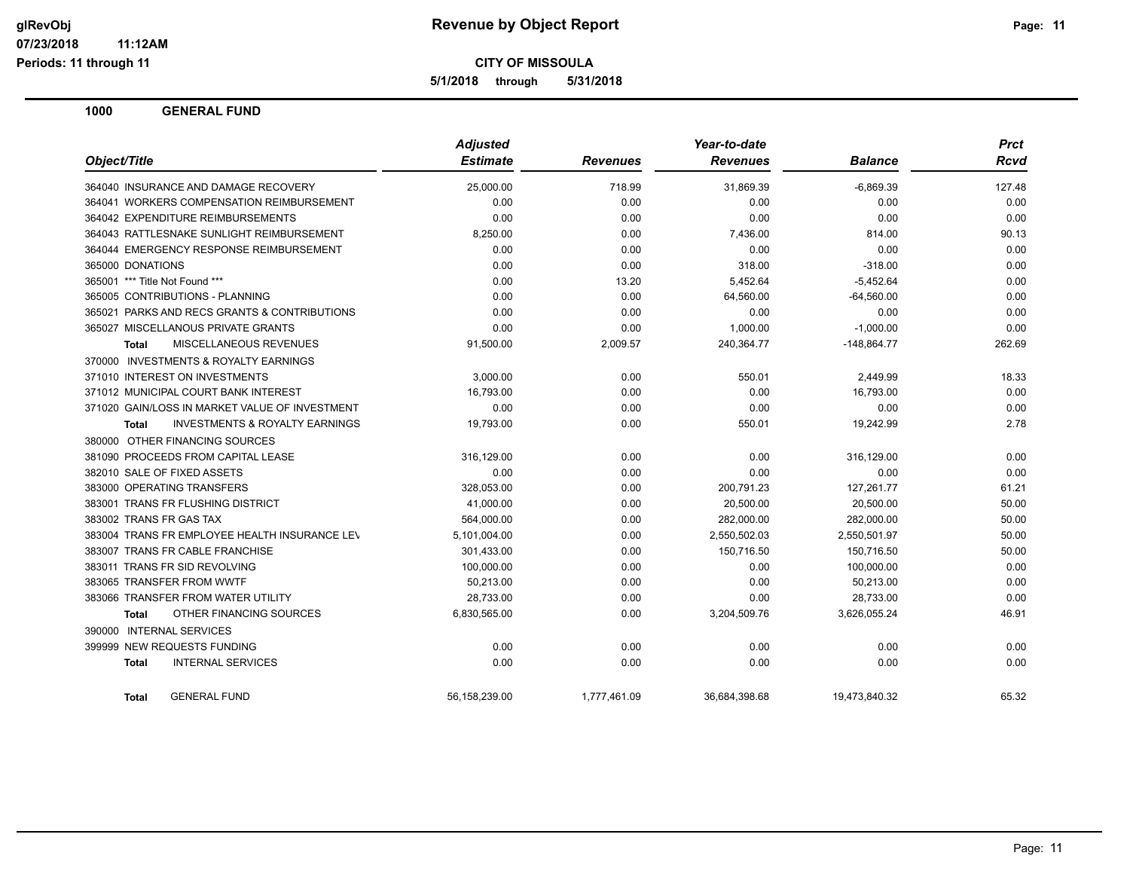**5/1/2018 through 5/31/2018**

|                                                    | <b>Adjusted</b> |                 | Year-to-date    |                | <b>Prct</b> |
|----------------------------------------------------|-----------------|-----------------|-----------------|----------------|-------------|
| Object/Title                                       | <b>Estimate</b> | <b>Revenues</b> | <b>Revenues</b> | <b>Balance</b> | <b>Rcvd</b> |
| 364040 INSURANCE AND DAMAGE RECOVERY               | 25,000.00       | 718.99          | 31,869.39       | $-6,869.39$    | 127.48      |
| 364041 WORKERS COMPENSATION REIMBURSEMENT          | 0.00            | 0.00            | 0.00            | 0.00           | 0.00        |
| 364042 EXPENDITURE REIMBURSEMENTS                  | 0.00            | 0.00            | 0.00            | 0.00           | 0.00        |
| 364043 RATTLESNAKE SUNLIGHT REIMBURSEMENT          | 8,250.00        | 0.00            | 7,436.00        | 814.00         | 90.13       |
| 364044 EMERGENCY RESPONSE REIMBURSEMENT            | 0.00            | 0.00            | 0.00            | 0.00           | 0.00        |
| 365000 DONATIONS                                   | 0.00            | 0.00            | 318.00          | $-318.00$      | 0.00        |
| 365001 *** Title Not Found ***                     | 0.00            | 13.20           | 5,452.64        | $-5,452.64$    | 0.00        |
| 365005 CONTRIBUTIONS - PLANNING                    | 0.00            | 0.00            | 64,560.00       | $-64,560.00$   | 0.00        |
| 365021 PARKS AND RECS GRANTS & CONTRIBUTIONS       | 0.00            | 0.00            | 0.00            | 0.00           | 0.00        |
| 365027 MISCELLANOUS PRIVATE GRANTS                 | 0.00            | 0.00            | 1,000.00        | $-1,000.00$    | 0.00        |
| MISCELLANEOUS REVENUES<br>Total                    | 91,500.00       | 2,009.57        | 240,364.77      | $-148,864.77$  | 262.69      |
| 370000 INVESTMENTS & ROYALTY EARNINGS              |                 |                 |                 |                |             |
| 371010 INTEREST ON INVESTMENTS                     | 3,000.00        | 0.00            | 550.01          | 2,449.99       | 18.33       |
| 371012 MUNICIPAL COURT BANK INTEREST               | 16,793.00       | 0.00            | 0.00            | 16,793.00      | 0.00        |
| 371020 GAIN/LOSS IN MARKET VALUE OF INVESTMENT     | 0.00            | 0.00            | 0.00            | 0.00           | 0.00        |
| <b>INVESTMENTS &amp; ROYALTY EARNINGS</b><br>Total | 19,793.00       | 0.00            | 550.01          | 19,242.99      | 2.78        |
| 380000 OTHER FINANCING SOURCES                     |                 |                 |                 |                |             |
| 381090 PROCEEDS FROM CAPITAL LEASE                 | 316,129.00      | 0.00            | 0.00            | 316,129.00     | 0.00        |
| 382010 SALE OF FIXED ASSETS                        | 0.00            | 0.00            | 0.00            | 0.00           | 0.00        |
| 383000 OPERATING TRANSFERS                         | 328,053.00      | 0.00            | 200,791.23      | 127,261.77     | 61.21       |
| 383001 TRANS FR FLUSHING DISTRICT                  | 41,000.00       | 0.00            | 20,500.00       | 20,500.00      | 50.00       |
| 383002 TRANS FR GAS TAX                            | 564,000.00      | 0.00            | 282,000.00      | 282,000.00     | 50.00       |
| 383004 TRANS FR EMPLOYEE HEALTH INSURANCE LEV      | 5,101,004.00    | 0.00            | 2,550,502.03    | 2,550,501.97   | 50.00       |
| 383007 TRANS FR CABLE FRANCHISE                    | 301,433.00      | 0.00            | 150,716.50      | 150,716.50     | 50.00       |
| 383011 TRANS FR SID REVOLVING                      | 100,000.00      | 0.00            | 0.00            | 100,000.00     | 0.00        |
| 383065 TRANSFER FROM WWTF                          | 50,213.00       | 0.00            | 0.00            | 50,213.00      | 0.00        |
| 383066 TRANSFER FROM WATER UTILITY                 | 28,733.00       | 0.00            | 0.00            | 28,733.00      | 0.00        |
| OTHER FINANCING SOURCES<br><b>Total</b>            | 6,830,565.00    | 0.00            | 3,204,509.76    | 3,626,055.24   | 46.91       |
| 390000 INTERNAL SERVICES                           |                 |                 |                 |                |             |
| 399999 NEW REQUESTS FUNDING                        | 0.00            | 0.00            | 0.00            | 0.00           | 0.00        |
| <b>INTERNAL SERVICES</b><br><b>Total</b>           | 0.00            | 0.00            | 0.00            | 0.00           | 0.00        |
| <b>GENERAL FUND</b><br><b>Total</b>                | 56,158,239.00   | 1,777,461.09    | 36,684,398.68   | 19,473,840.32  | 65.32       |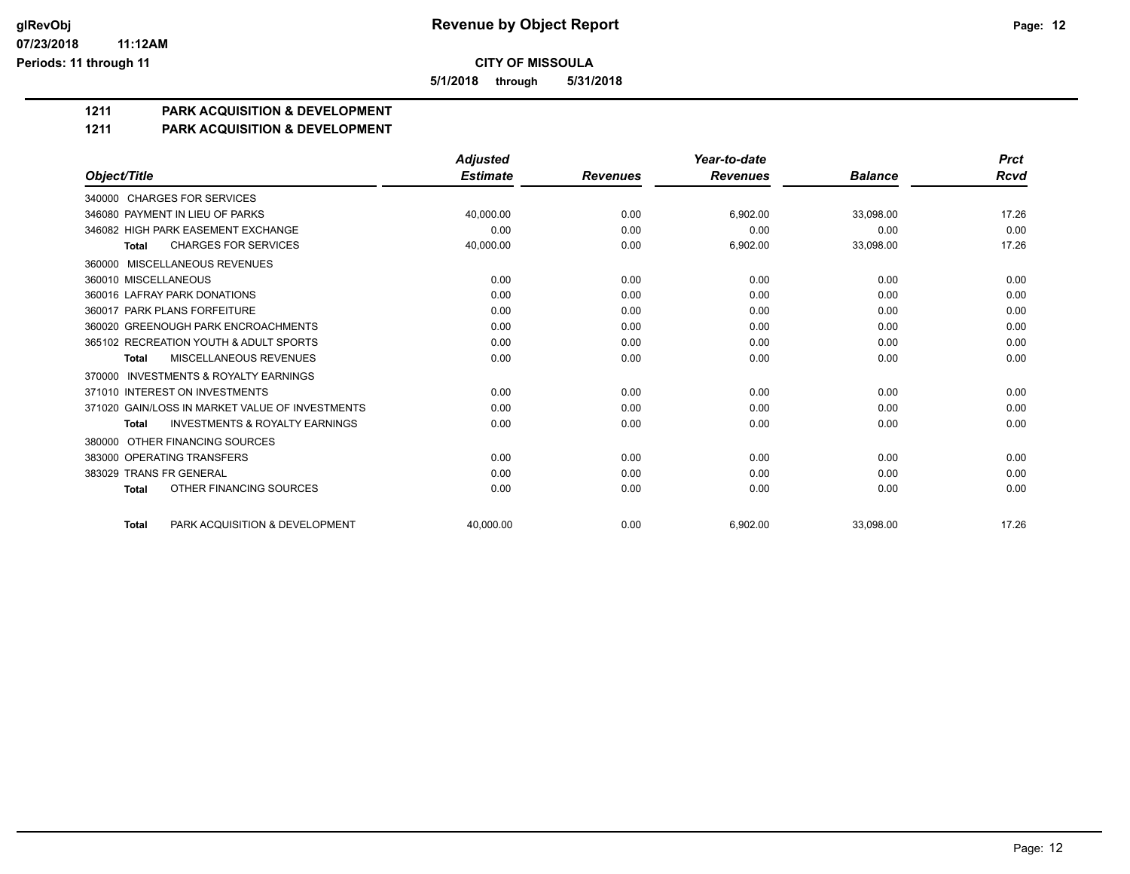**5/1/2018 through 5/31/2018**

# **1211 PARK ACQUISITION & DEVELOPMENT**

#### **1211 PARK ACQUISITION & DEVELOPMENT**

|                                                           | <b>Adjusted</b> |                 | Year-to-date    |                | <b>Prct</b> |
|-----------------------------------------------------------|-----------------|-----------------|-----------------|----------------|-------------|
| Object/Title                                              | <b>Estimate</b> | <b>Revenues</b> | <b>Revenues</b> | <b>Balance</b> | Rcvd        |
| 340000 CHARGES FOR SERVICES                               |                 |                 |                 |                |             |
| 346080 PAYMENT IN LIEU OF PARKS                           | 40,000.00       | 0.00            | 6,902.00        | 33,098.00      | 17.26       |
| 346082 HIGH PARK EASEMENT EXCHANGE                        | 0.00            | 0.00            | 0.00            | 0.00           | 0.00        |
| <b>CHARGES FOR SERVICES</b><br><b>Total</b>               | 40,000.00       | 0.00            | 6,902.00        | 33,098.00      | 17.26       |
| 360000 MISCELLANEOUS REVENUES                             |                 |                 |                 |                |             |
| 360010 MISCELLANEOUS                                      | 0.00            | 0.00            | 0.00            | 0.00           | 0.00        |
| 360016 LAFRAY PARK DONATIONS                              | 0.00            | 0.00            | 0.00            | 0.00           | 0.00        |
| 360017 PARK PLANS FORFEITURE                              | 0.00            | 0.00            | 0.00            | 0.00           | 0.00        |
| 360020 GREENOUGH PARK ENCROACHMENTS                       | 0.00            | 0.00            | 0.00            | 0.00           | 0.00        |
| 365102 RECREATION YOUTH & ADULT SPORTS                    | 0.00            | 0.00            | 0.00            | 0.00           | 0.00        |
| MISCELLANEOUS REVENUES<br><b>Total</b>                    | 0.00            | 0.00            | 0.00            | 0.00           | 0.00        |
| <b>INVESTMENTS &amp; ROYALTY EARNINGS</b><br>370000       |                 |                 |                 |                |             |
| 371010 INTEREST ON INVESTMENTS                            | 0.00            | 0.00            | 0.00            | 0.00           | 0.00        |
| 371020 GAIN/LOSS IN MARKET VALUE OF INVESTMENTS           | 0.00            | 0.00            | 0.00            | 0.00           | 0.00        |
| <b>INVESTMENTS &amp; ROYALTY EARNINGS</b><br><b>Total</b> | 0.00            | 0.00            | 0.00            | 0.00           | 0.00        |
| OTHER FINANCING SOURCES<br>380000                         |                 |                 |                 |                |             |
| 383000 OPERATING TRANSFERS                                | 0.00            | 0.00            | 0.00            | 0.00           | 0.00        |
| 383029 TRANS FR GENERAL                                   | 0.00            | 0.00            | 0.00            | 0.00           | 0.00        |
| OTHER FINANCING SOURCES<br><b>Total</b>                   | 0.00            | 0.00            | 0.00            | 0.00           | 0.00        |
| PARK ACQUISITION & DEVELOPMENT<br>Total                   | 40,000.00       | 0.00            | 6,902.00        | 33,098.00      | 17.26       |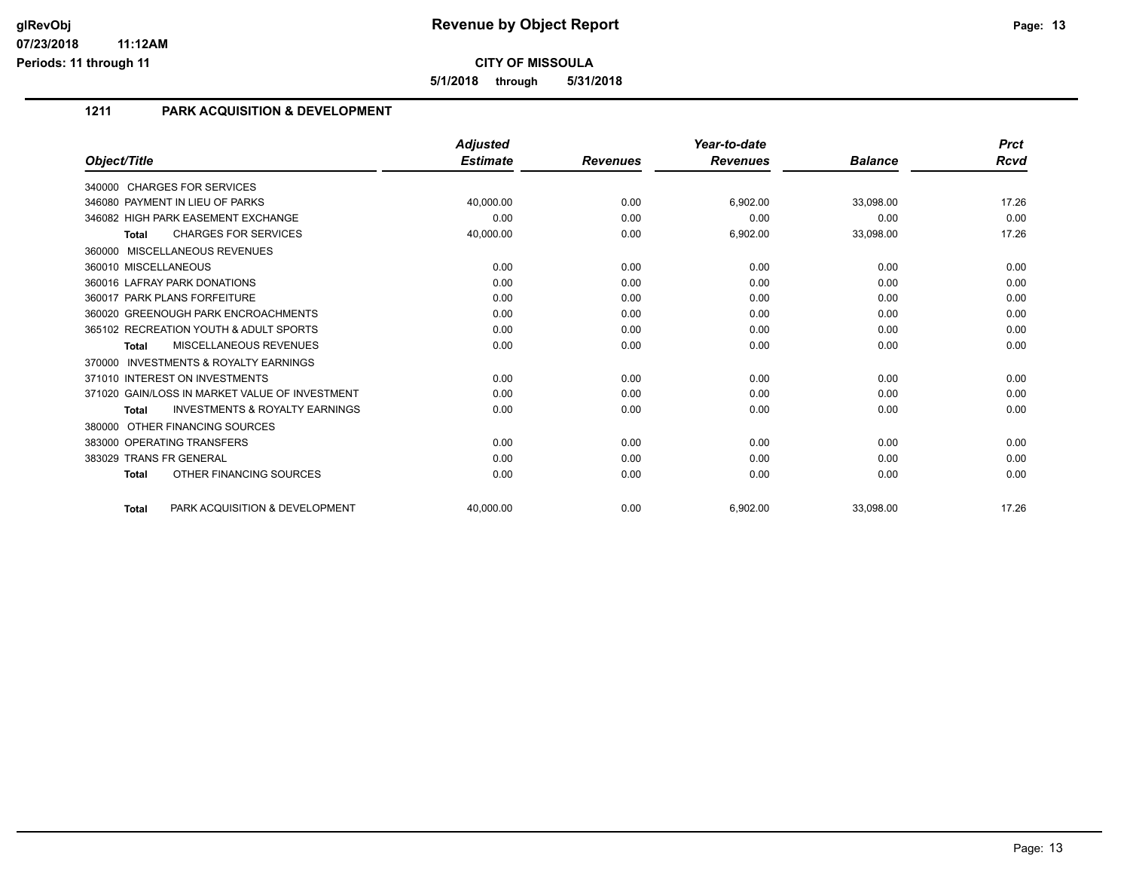**5/1/2018 through 5/31/2018**

# **1211 PARK ACQUISITION & DEVELOPMENT**

|                                                           | <b>Adjusted</b> |                 | Year-to-date    |                | <b>Prct</b> |
|-----------------------------------------------------------|-----------------|-----------------|-----------------|----------------|-------------|
| Object/Title                                              | <b>Estimate</b> | <b>Revenues</b> | <b>Revenues</b> | <b>Balance</b> | Rcvd        |
| 340000 CHARGES FOR SERVICES                               |                 |                 |                 |                |             |
| 346080 PAYMENT IN LIEU OF PARKS                           | 40.000.00       | 0.00            | 6,902.00        | 33,098.00      | 17.26       |
| 346082 HIGH PARK EASEMENT EXCHANGE                        | 0.00            | 0.00            | 0.00            | 0.00           | 0.00        |
| <b>CHARGES FOR SERVICES</b><br>Total                      | 40,000.00       | 0.00            | 6,902.00        | 33,098.00      | 17.26       |
| 360000 MISCELLANEOUS REVENUES                             |                 |                 |                 |                |             |
| 360010 MISCELLANEOUS                                      | 0.00            | 0.00            | 0.00            | 0.00           | 0.00        |
| 360016 LAFRAY PARK DONATIONS                              | 0.00            | 0.00            | 0.00            | 0.00           | 0.00        |
| 360017 PARK PLANS FORFEITURE                              | 0.00            | 0.00            | 0.00            | 0.00           | 0.00        |
| 360020 GREENOUGH PARK ENCROACHMENTS                       | 0.00            | 0.00            | 0.00            | 0.00           | 0.00        |
| 365102 RECREATION YOUTH & ADULT SPORTS                    | 0.00            | 0.00            | 0.00            | 0.00           | 0.00        |
| MISCELLANEOUS REVENUES<br>Total                           | 0.00            | 0.00            | 0.00            | 0.00           | 0.00        |
| <b>INVESTMENTS &amp; ROYALTY EARNINGS</b><br>370000       |                 |                 |                 |                |             |
| 371010 INTEREST ON INVESTMENTS                            | 0.00            | 0.00            | 0.00            | 0.00           | 0.00        |
| 371020 GAIN/LOSS IN MARKET VALUE OF INVESTMENT            | 0.00            | 0.00            | 0.00            | 0.00           | 0.00        |
| <b>INVESTMENTS &amp; ROYALTY EARNINGS</b><br><b>Total</b> | 0.00            | 0.00            | 0.00            | 0.00           | 0.00        |
| 380000 OTHER FINANCING SOURCES                            |                 |                 |                 |                |             |
| 383000 OPERATING TRANSFERS                                | 0.00            | 0.00            | 0.00            | 0.00           | 0.00        |
| 383029 TRANS FR GENERAL                                   | 0.00            | 0.00            | 0.00            | 0.00           | 0.00        |
| OTHER FINANCING SOURCES<br><b>Total</b>                   | 0.00            | 0.00            | 0.00            | 0.00           | 0.00        |
| PARK ACQUISITION & DEVELOPMENT<br><b>Total</b>            | 40.000.00       | 0.00            | 6,902.00        | 33,098.00      | 17.26       |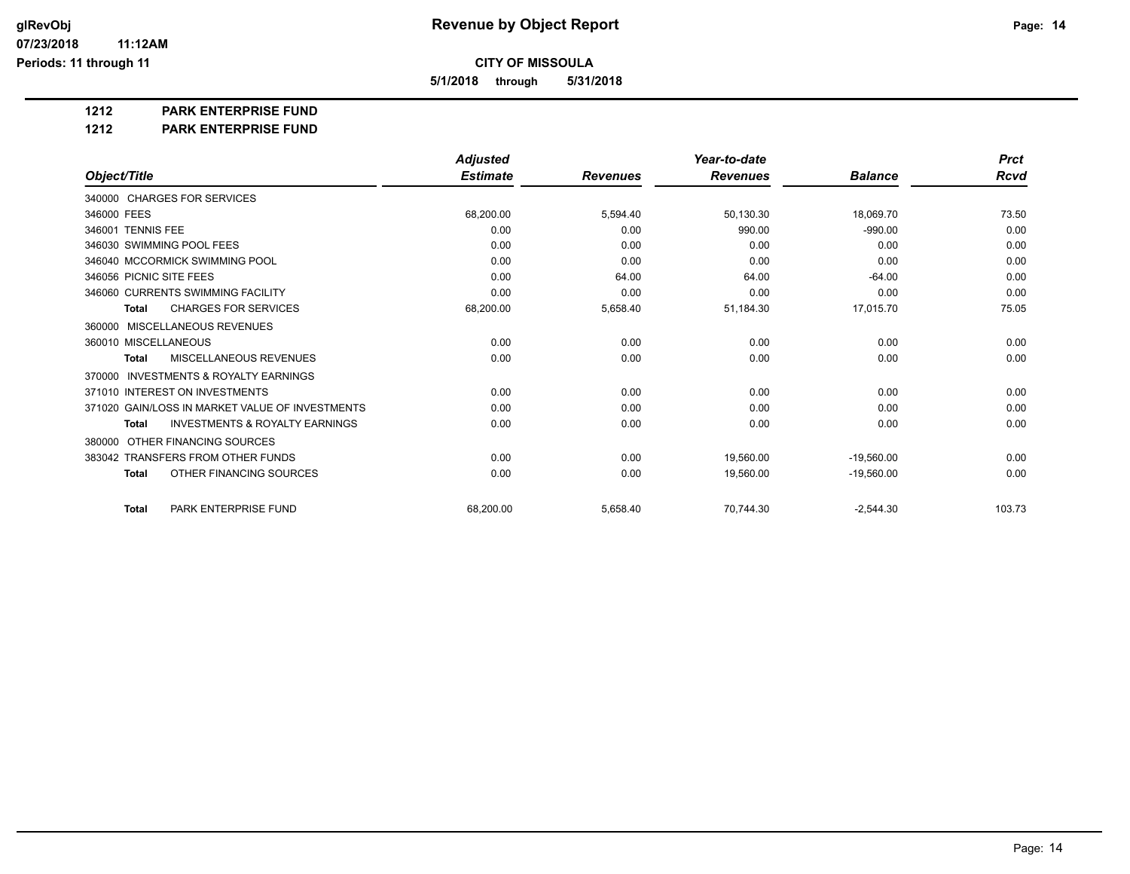**5/1/2018 through 5/31/2018**

**1212 PARK ENTERPRISE FUND**

**1212 PARK ENTERPRISE FUND**

|                                                           | <b>Adjusted</b> |                 | Year-to-date    | <b>Prct</b>    |        |
|-----------------------------------------------------------|-----------------|-----------------|-----------------|----------------|--------|
| Object/Title                                              | <b>Estimate</b> | <b>Revenues</b> | <b>Revenues</b> | <b>Balance</b> | Rcvd   |
| 340000 CHARGES FOR SERVICES                               |                 |                 |                 |                |        |
| 346000 FEES                                               | 68,200.00       | 5,594.40        | 50,130.30       | 18,069.70      | 73.50  |
| 346001 TENNIS FEE                                         | 0.00            | 0.00            | 990.00          | $-990.00$      | 0.00   |
| 346030 SWIMMING POOL FEES                                 | 0.00            | 0.00            | 0.00            | 0.00           | 0.00   |
| 346040 MCCORMICK SWIMMING POOL                            | 0.00            | 0.00            | 0.00            | 0.00           | 0.00   |
| 346056 PICNIC SITE FEES                                   | 0.00            | 64.00           | 64.00           | $-64.00$       | 0.00   |
| 346060 CURRENTS SWIMMING FACILITY                         | 0.00            | 0.00            | 0.00            | 0.00           | 0.00   |
| <b>CHARGES FOR SERVICES</b><br><b>Total</b>               | 68,200.00       | 5,658.40        | 51,184.30       | 17,015.70      | 75.05  |
| MISCELLANEOUS REVENUES<br>360000                          |                 |                 |                 |                |        |
| 360010 MISCELLANEOUS                                      | 0.00            | 0.00            | 0.00            | 0.00           | 0.00   |
| MISCELLANEOUS REVENUES<br><b>Total</b>                    | 0.00            | 0.00            | 0.00            | 0.00           | 0.00   |
| <b>INVESTMENTS &amp; ROYALTY EARNINGS</b><br>370000       |                 |                 |                 |                |        |
| 371010 INTEREST ON INVESTMENTS                            | 0.00            | 0.00            | 0.00            | 0.00           | 0.00   |
| 371020 GAIN/LOSS IN MARKET VALUE OF INVESTMENTS           | 0.00            | 0.00            | 0.00            | 0.00           | 0.00   |
| <b>INVESTMENTS &amp; ROYALTY EARNINGS</b><br><b>Total</b> | 0.00            | 0.00            | 0.00            | 0.00           | 0.00   |
| OTHER FINANCING SOURCES<br>380000                         |                 |                 |                 |                |        |
| 383042 TRANSFERS FROM OTHER FUNDS                         | 0.00            | 0.00            | 19,560.00       | $-19.560.00$   | 0.00   |
| OTHER FINANCING SOURCES<br><b>Total</b>                   | 0.00            | 0.00            | 19.560.00       | $-19.560.00$   | 0.00   |
| PARK ENTERPRISE FUND<br><b>Total</b>                      | 68,200.00       | 5.658.40        | 70,744.30       | $-2.544.30$    | 103.73 |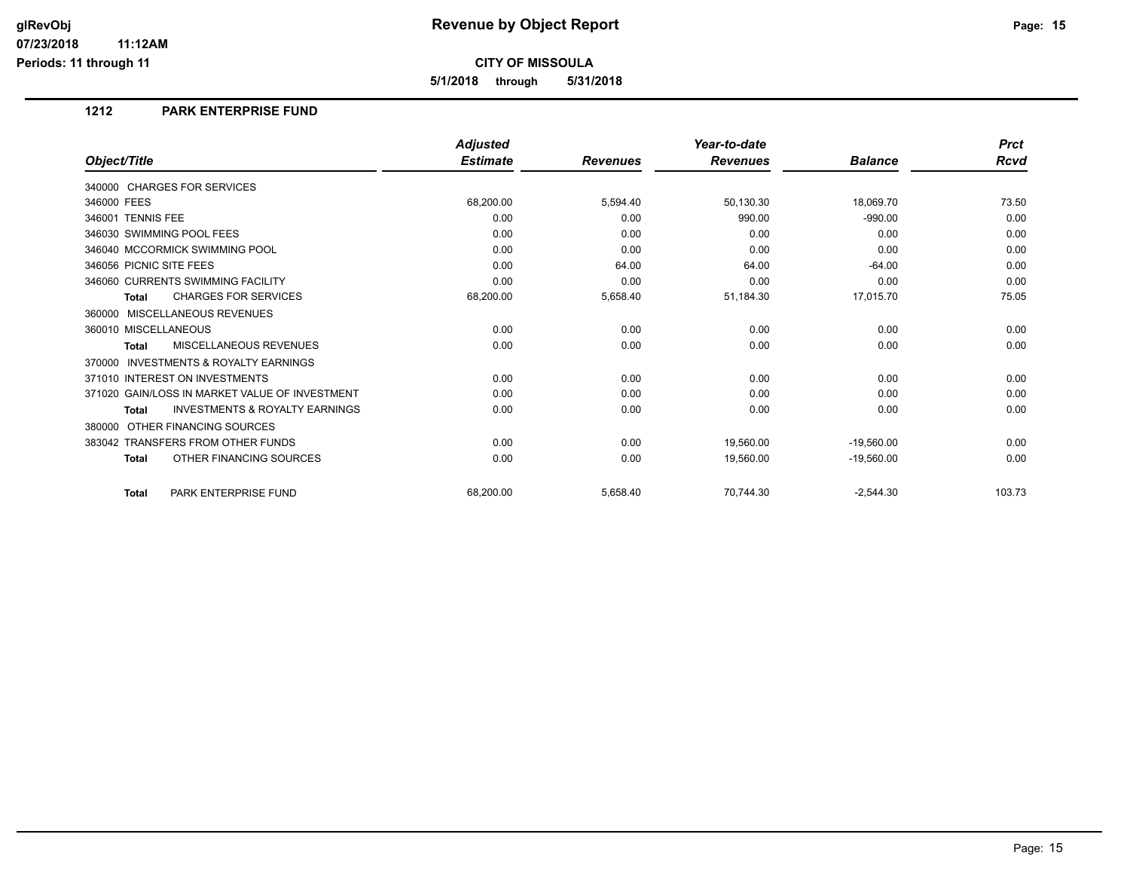**5/1/2018 through 5/31/2018**

### **1212 PARK ENTERPRISE FUND**

|                                                           | <b>Adjusted</b> |                 | Year-to-date    |                | <b>Prct</b> |
|-----------------------------------------------------------|-----------------|-----------------|-----------------|----------------|-------------|
| Object/Title                                              | <b>Estimate</b> | <b>Revenues</b> | <b>Revenues</b> | <b>Balance</b> | Rcvd        |
| 340000 CHARGES FOR SERVICES                               |                 |                 |                 |                |             |
| 346000 FEES                                               | 68,200.00       | 5,594.40        | 50,130.30       | 18,069.70      | 73.50       |
| 346001 TENNIS FEE                                         | 0.00            | 0.00            | 990.00          | $-990.00$      | 0.00        |
| 346030 SWIMMING POOL FEES                                 | 0.00            | 0.00            | 0.00            | 0.00           | 0.00        |
| 346040 MCCORMICK SWIMMING POOL                            | 0.00            | 0.00            | 0.00            | 0.00           | 0.00        |
| 346056 PICNIC SITE FEES                                   | 0.00            | 64.00           | 64.00           | $-64.00$       | 0.00        |
| 346060 CURRENTS SWIMMING FACILITY                         | 0.00            | 0.00            | 0.00            | 0.00           | 0.00        |
| <b>CHARGES FOR SERVICES</b><br><b>Total</b>               | 68,200.00       | 5,658.40        | 51,184.30       | 17,015.70      | 75.05       |
| 360000 MISCELLANEOUS REVENUES                             |                 |                 |                 |                |             |
| 360010 MISCELLANEOUS                                      | 0.00            | 0.00            | 0.00            | 0.00           | 0.00        |
| MISCELLANEOUS REVENUES<br><b>Total</b>                    | 0.00            | 0.00            | 0.00            | 0.00           | 0.00        |
| <b>INVESTMENTS &amp; ROYALTY EARNINGS</b><br>370000       |                 |                 |                 |                |             |
| 371010 INTEREST ON INVESTMENTS                            | 0.00            | 0.00            | 0.00            | 0.00           | 0.00        |
| 371020 GAIN/LOSS IN MARKET VALUE OF INVESTMENT            | 0.00            | 0.00            | 0.00            | 0.00           | 0.00        |
| <b>INVESTMENTS &amp; ROYALTY EARNINGS</b><br><b>Total</b> | 0.00            | 0.00            | 0.00            | 0.00           | 0.00        |
| OTHER FINANCING SOURCES<br>380000                         |                 |                 |                 |                |             |
| 383042 TRANSFERS FROM OTHER FUNDS                         | 0.00            | 0.00            | 19.560.00       | $-19,560.00$   | 0.00        |
| OTHER FINANCING SOURCES<br><b>Total</b>                   | 0.00            | 0.00            | 19,560.00       | $-19,560.00$   | 0.00        |
| PARK ENTERPRISE FUND<br><b>Total</b>                      | 68,200.00       | 5,658.40        | 70,744.30       | $-2,544.30$    | 103.73      |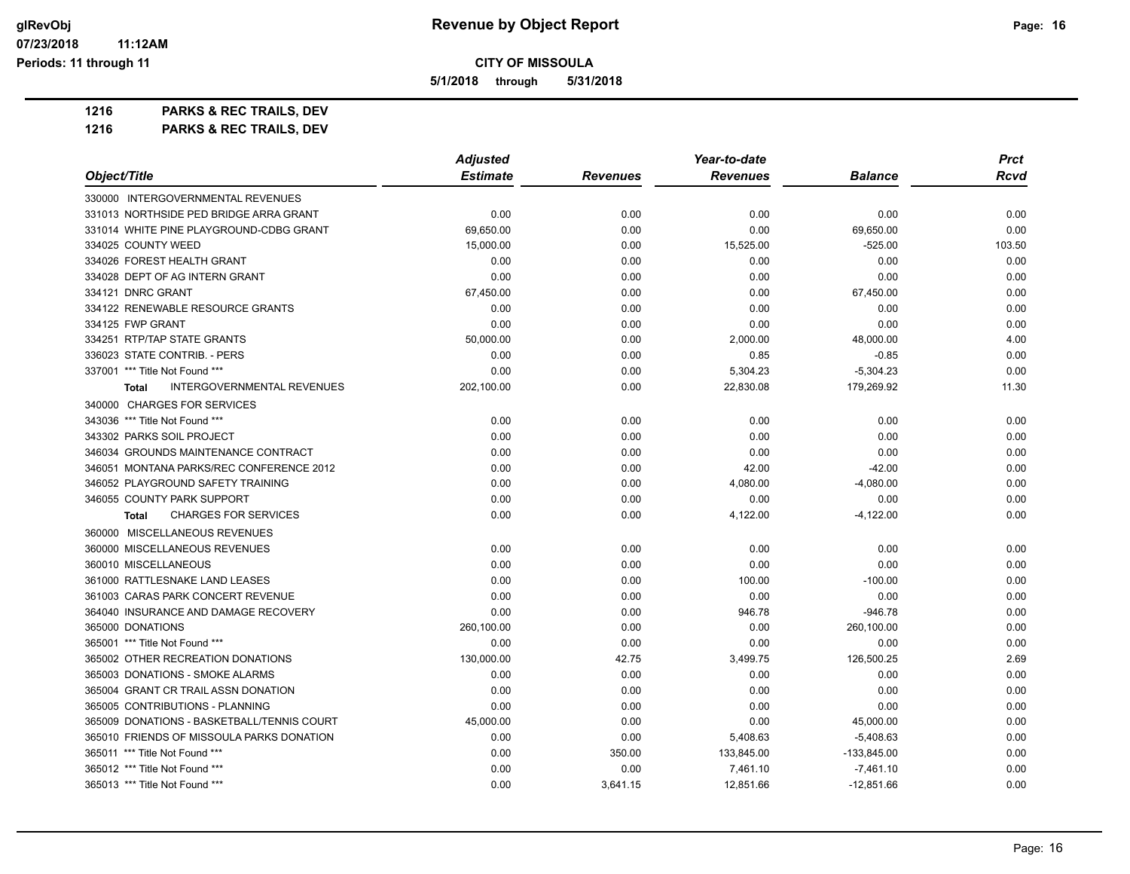**5/1/2018 through 5/31/2018**

**1216 PARKS & REC TRAILS, DEV**

|                                                   | <b>Adjusted</b> |                 | Year-to-date    |                | <b>Prct</b> |
|---------------------------------------------------|-----------------|-----------------|-----------------|----------------|-------------|
| Object/Title                                      | <b>Estimate</b> | <b>Revenues</b> | <b>Revenues</b> | <b>Balance</b> | <b>Rcvd</b> |
| 330000 INTERGOVERNMENTAL REVENUES                 |                 |                 |                 |                |             |
| 331013 NORTHSIDE PED BRIDGE ARRA GRANT            | 0.00            | 0.00            | 0.00            | 0.00           | 0.00        |
| 331014 WHITE PINE PLAYGROUND-CDBG GRANT           | 69,650.00       | 0.00            | 0.00            | 69,650.00      | 0.00        |
| 334025 COUNTY WEED                                | 15,000.00       | 0.00            | 15,525.00       | $-525.00$      | 103.50      |
| 334026 FOREST HEALTH GRANT                        | 0.00            | 0.00            | 0.00            | 0.00           | 0.00        |
| 334028 DEPT OF AG INTERN GRANT                    | 0.00            | 0.00            | 0.00            | 0.00           | 0.00        |
| 334121 DNRC GRANT                                 | 67,450.00       | 0.00            | 0.00            | 67,450.00      | 0.00        |
| 334122 RENEWABLE RESOURCE GRANTS                  | 0.00            | 0.00            | 0.00            | 0.00           | 0.00        |
| 334125 FWP GRANT                                  | 0.00            | 0.00            | 0.00            | 0.00           | 0.00        |
| 334251 RTP/TAP STATE GRANTS                       | 50,000.00       | 0.00            | 2,000.00        | 48,000.00      | 4.00        |
| 336023 STATE CONTRIB. - PERS                      | 0.00            | 0.00            | 0.85            | $-0.85$        | 0.00        |
| 337001 *** Title Not Found ***                    | 0.00            | 0.00            | 5,304.23        | $-5,304.23$    | 0.00        |
| <b>INTERGOVERNMENTAL REVENUES</b><br><b>Total</b> | 202,100.00      | 0.00            | 22,830.08       | 179,269.92     | 11.30       |
| 340000 CHARGES FOR SERVICES                       |                 |                 |                 |                |             |
| 343036 *** Title Not Found ***                    | 0.00            | 0.00            | 0.00            | 0.00           | 0.00        |
| 343302 PARKS SOIL PROJECT                         | 0.00            | 0.00            | 0.00            | 0.00           | 0.00        |
| 346034 GROUNDS MAINTENANCE CONTRACT               | 0.00            | 0.00            | 0.00            | 0.00           | 0.00        |
| 346051 MONTANA PARKS/REC CONFERENCE 2012          | 0.00            | 0.00            | 42.00           | $-42.00$       | 0.00        |
| 346052 PLAYGROUND SAFETY TRAINING                 | 0.00            | 0.00            | 4,080.00        | $-4,080.00$    | 0.00        |
| 346055 COUNTY PARK SUPPORT                        | 0.00            | 0.00            | 0.00            | 0.00           | 0.00        |
| <b>CHARGES FOR SERVICES</b><br>Total              | 0.00            | 0.00            | 4,122.00        | $-4,122.00$    | 0.00        |
| 360000 MISCELLANEOUS REVENUES                     |                 |                 |                 |                |             |
| 360000 MISCELLANEOUS REVENUES                     | 0.00            | 0.00            | 0.00            | 0.00           | 0.00        |
| 360010 MISCELLANEOUS                              | 0.00            | 0.00            | 0.00            | 0.00           | 0.00        |
| 361000 RATTLESNAKE LAND LEASES                    | 0.00            | 0.00            | 100.00          | $-100.00$      | 0.00        |
| 361003 CARAS PARK CONCERT REVENUE                 | 0.00            | 0.00            | 0.00            | 0.00           | 0.00        |
| 364040 INSURANCE AND DAMAGE RECOVERY              | 0.00            | 0.00            | 946.78          | $-946.78$      | 0.00        |
| 365000 DONATIONS                                  | 260,100.00      | 0.00            | 0.00            | 260,100.00     | 0.00        |
| 365001 *** Title Not Found ***                    | 0.00            | 0.00            | 0.00            | 0.00           | 0.00        |
| 365002 OTHER RECREATION DONATIONS                 | 130,000.00      | 42.75           | 3,499.75        | 126,500.25     | 2.69        |
| 365003 DONATIONS - SMOKE ALARMS                   | 0.00            | 0.00            | 0.00            | 0.00           | 0.00        |
| 365004 GRANT CR TRAIL ASSN DONATION               | 0.00            | 0.00            | 0.00            | 0.00           | 0.00        |
| 365005 CONTRIBUTIONS - PLANNING                   | 0.00            | 0.00            | 0.00            | 0.00           | 0.00        |
| 365009 DONATIONS - BASKETBALL/TENNIS COURT        | 45,000.00       | 0.00            | 0.00            | 45,000.00      | 0.00        |
| 365010 FRIENDS OF MISSOULA PARKS DONATION         | 0.00            | 0.00            | 5,408.63        | $-5,408.63$    | 0.00        |
| 365011 *** Title Not Found ***                    | 0.00            | 350.00          | 133,845.00      | $-133,845.00$  | 0.00        |
| 365012 *** Title Not Found ***                    | 0.00            | 0.00            | 7,461.10        | $-7,461.10$    | 0.00        |
| 365013 *** Title Not Found ***                    | 0.00            | 3,641.15        | 12,851.66       | $-12,851.66$   | 0.00        |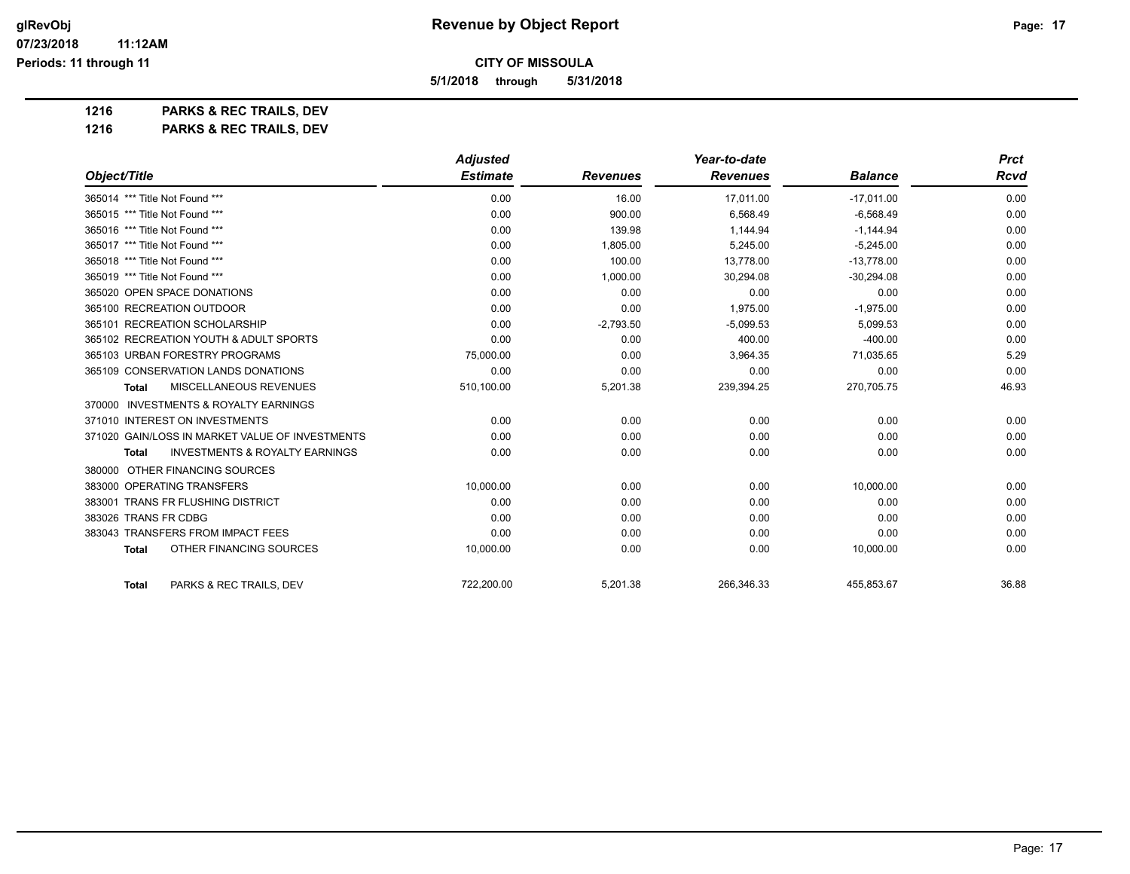**5/1/2018 through 5/31/2018**

**1216 PARKS & REC TRAILS, DEV**

|                                                    | <b>Adjusted</b> |                 | Year-to-date    |                | <b>Prct</b> |
|----------------------------------------------------|-----------------|-----------------|-----------------|----------------|-------------|
| Object/Title                                       | <b>Estimate</b> | <b>Revenues</b> | <b>Revenues</b> | <b>Balance</b> | <b>Rcvd</b> |
| 365014 *** Title Not Found ***                     | 0.00            | 16.00           | 17,011.00       | $-17,011.00$   | 0.00        |
| 365015 *** Title Not Found ***                     | 0.00            | 900.00          | 6,568.49        | $-6,568.49$    | 0.00        |
| 365016 *** Title Not Found ***                     | 0.00            | 139.98          | 1,144.94        | $-1,144.94$    | 0.00        |
| 365017 *** Title Not Found ***                     | 0.00            | 1,805.00        | 5,245.00        | $-5,245.00$    | 0.00        |
| 365018 *** Title Not Found ***                     | 0.00            | 100.00          | 13,778.00       | $-13,778.00$   | 0.00        |
| 365019 *** Title Not Found ***                     | 0.00            | 1,000.00        | 30,294.08       | $-30,294.08$   | 0.00        |
| 365020 OPEN SPACE DONATIONS                        | 0.00            | 0.00            | 0.00            | 0.00           | 0.00        |
| 365100 RECREATION OUTDOOR                          | 0.00            | 0.00            | 1,975.00        | $-1,975.00$    | 0.00        |
| 365101 RECREATION SCHOLARSHIP                      | 0.00            | $-2,793.50$     | $-5,099.53$     | 5,099.53       | 0.00        |
| 365102 RECREATION YOUTH & ADULT SPORTS             | 0.00            | 0.00            | 400.00          | $-400.00$      | 0.00        |
| 365103 URBAN FORESTRY PROGRAMS                     | 75,000.00       | 0.00            | 3,964.35        | 71,035.65      | 5.29        |
| 365109 CONSERVATION LANDS DONATIONS                | 0.00            | 0.00            | 0.00            | 0.00           | 0.00        |
| MISCELLANEOUS REVENUES<br><b>Total</b>             | 510,100.00      | 5,201.38        | 239,394.25      | 270,705.75     | 46.93       |
| 370000 INVESTMENTS & ROYALTY EARNINGS              |                 |                 |                 |                |             |
| 371010 INTEREST ON INVESTMENTS                     | 0.00            | 0.00            | 0.00            | 0.00           | 0.00        |
| 371020 GAIN/LOSS IN MARKET VALUE OF INVESTMENTS    | 0.00            | 0.00            | 0.00            | 0.00           | 0.00        |
| <b>INVESTMENTS &amp; ROYALTY EARNINGS</b><br>Total | 0.00            | 0.00            | 0.00            | 0.00           | 0.00        |
| 380000 OTHER FINANCING SOURCES                     |                 |                 |                 |                |             |
| 383000 OPERATING TRANSFERS                         | 10,000.00       | 0.00            | 0.00            | 10,000.00      | 0.00        |
| 383001 TRANS FR FLUSHING DISTRICT                  | 0.00            | 0.00            | 0.00            | 0.00           | 0.00        |
| 383026 TRANS FR CDBG                               | 0.00            | 0.00            | 0.00            | 0.00           | 0.00        |
| 383043 TRANSFERS FROM IMPACT FEES                  | 0.00            | 0.00            | 0.00            | 0.00           | 0.00        |
| OTHER FINANCING SOURCES<br><b>Total</b>            | 10,000.00       | 0.00            | 0.00            | 10,000.00      | 0.00        |
| PARKS & REC TRAILS, DEV<br>Total                   | 722,200.00      | 5,201.38        | 266,346.33      | 455,853.67     | 36.88       |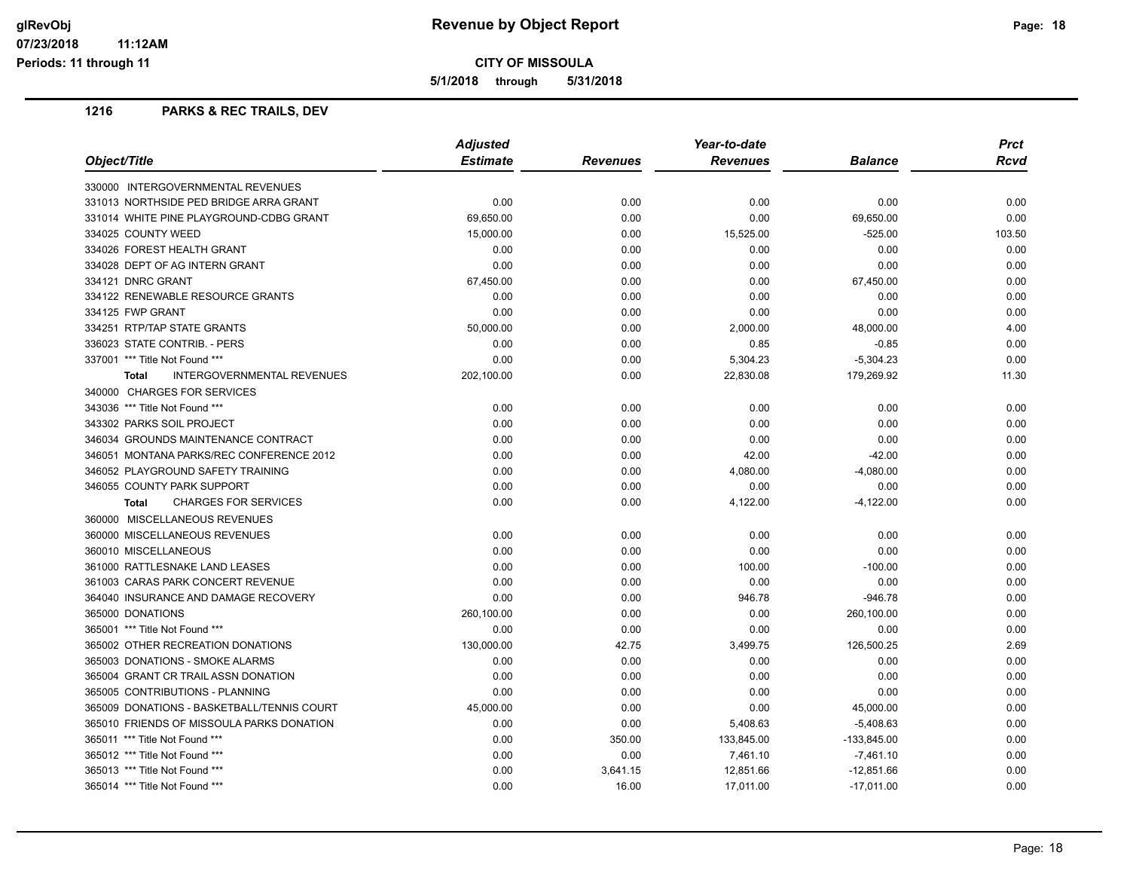**CITY OF MISSOULA**

**5/1/2018 through 5/31/2018**

|                                             | <b>Adjusted</b> |          | Year-to-date    |                | <b>Prct</b> |
|---------------------------------------------|-----------------|----------|-----------------|----------------|-------------|
| Object/Title                                | <b>Estimate</b> | Revenues | <b>Revenues</b> | <b>Balance</b> | Rcvd        |
| 330000 INTERGOVERNMENTAL REVENUES           |                 |          |                 |                |             |
| 331013 NORTHSIDE PED BRIDGE ARRA GRANT      | 0.00            | 0.00     | 0.00            | 0.00           | 0.00        |
| 331014 WHITE PINE PLAYGROUND-CDBG GRANT     | 69,650.00       | 0.00     | 0.00            | 69,650.00      | 0.00        |
| 334025 COUNTY WEED                          | 15,000.00       | 0.00     | 15,525.00       | $-525.00$      | 103.50      |
| 334026 FOREST HEALTH GRANT                  | 0.00            | 0.00     | 0.00            | 0.00           | 0.00        |
| 334028 DEPT OF AG INTERN GRANT              | 0.00            | 0.00     | 0.00            | 0.00           | 0.00        |
| 334121 DNRC GRANT                           | 67,450.00       | 0.00     | 0.00            | 67,450.00      | 0.00        |
| 334122 RENEWABLE RESOURCE GRANTS            | 0.00            | 0.00     | 0.00            | 0.00           | 0.00        |
| 334125 FWP GRANT                            | 0.00            | 0.00     | 0.00            | 0.00           | 0.00        |
| 334251 RTP/TAP STATE GRANTS                 | 50,000.00       | 0.00     | 2,000.00        | 48,000.00      | 4.00        |
| 336023 STATE CONTRIB. - PERS                | 0.00            | 0.00     | 0.85            | $-0.85$        | 0.00        |
| 337001 *** Title Not Found ***              | 0.00            | 0.00     | 5,304.23        | $-5,304.23$    | 0.00        |
| INTERGOVERNMENTAL REVENUES<br><b>Total</b>  | 202,100.00      | 0.00     | 22,830.08       | 179,269.92     | 11.30       |
| 340000 CHARGES FOR SERVICES                 |                 |          |                 |                |             |
| 343036 *** Title Not Found ***              | 0.00            | 0.00     | 0.00            | 0.00           | 0.00        |
| 343302 PARKS SOIL PROJECT                   | 0.00            | 0.00     | 0.00            | 0.00           | 0.00        |
| 346034 GROUNDS MAINTENANCE CONTRACT         | 0.00            | 0.00     | 0.00            | 0.00           | 0.00        |
| 346051 MONTANA PARKS/REC CONFERENCE 2012    | 0.00            | 0.00     | 42.00           | $-42.00$       | 0.00        |
| 346052 PLAYGROUND SAFETY TRAINING           | 0.00            | 0.00     | 4,080.00        | $-4,080.00$    | 0.00        |
| 346055 COUNTY PARK SUPPORT                  | 0.00            | 0.00     | 0.00            | 0.00           | 0.00        |
| <b>CHARGES FOR SERVICES</b><br><b>Total</b> | 0.00            | 0.00     | 4,122.00        | $-4,122.00$    | 0.00        |
| 360000 MISCELLANEOUS REVENUES               |                 |          |                 |                |             |
| 360000 MISCELLANEOUS REVENUES               | 0.00            | 0.00     | 0.00            | 0.00           | 0.00        |
| 360010 MISCELLANEOUS                        | 0.00            | 0.00     | 0.00            | 0.00           | 0.00        |
| 361000 RATTLESNAKE LAND LEASES              | 0.00            | 0.00     | 100.00          | $-100.00$      | 0.00        |
| 361003 CARAS PARK CONCERT REVENUE           | 0.00            | 0.00     | 0.00            | 0.00           | 0.00        |
| 364040 INSURANCE AND DAMAGE RECOVERY        | 0.00            | 0.00     | 946.78          | $-946.78$      | 0.00        |
| 365000 DONATIONS                            | 260,100.00      | 0.00     | 0.00            | 260,100.00     | 0.00        |
| 365001 *** Title Not Found ***              | 0.00            | 0.00     | 0.00            | 0.00           | 0.00        |
| 365002 OTHER RECREATION DONATIONS           | 130,000.00      | 42.75    | 3,499.75        | 126,500.25     | 2.69        |
| 365003 DONATIONS - SMOKE ALARMS             | 0.00            | 0.00     | 0.00            | 0.00           | 0.00        |
| 365004 GRANT CR TRAIL ASSN DONATION         | 0.00            | 0.00     | 0.00            | 0.00           | 0.00        |
| 365005 CONTRIBUTIONS - PLANNING             | 0.00            | 0.00     | 0.00            | 0.00           | 0.00        |
| 365009 DONATIONS - BASKETBALL/TENNIS COURT  | 45,000.00       | 0.00     | 0.00            | 45,000.00      | 0.00        |
| 365010 FRIENDS OF MISSOULA PARKS DONATION   | 0.00            | 0.00     | 5,408.63        | $-5,408.63$    | 0.00        |
| 365011 *** Title Not Found ***              | 0.00            | 350.00   | 133,845.00      | $-133,845.00$  | 0.00        |
| 365012 *** Title Not Found ***              | 0.00            | 0.00     | 7,461.10        | $-7,461.10$    | 0.00        |
| 365013 *** Title Not Found ***              | 0.00            | 3,641.15 | 12,851.66       | $-12,851.66$   | 0.00        |
| 365014 *** Title Not Found ***              | 0.00            | 16.00    | 17,011.00       | $-17,011.00$   | 0.00        |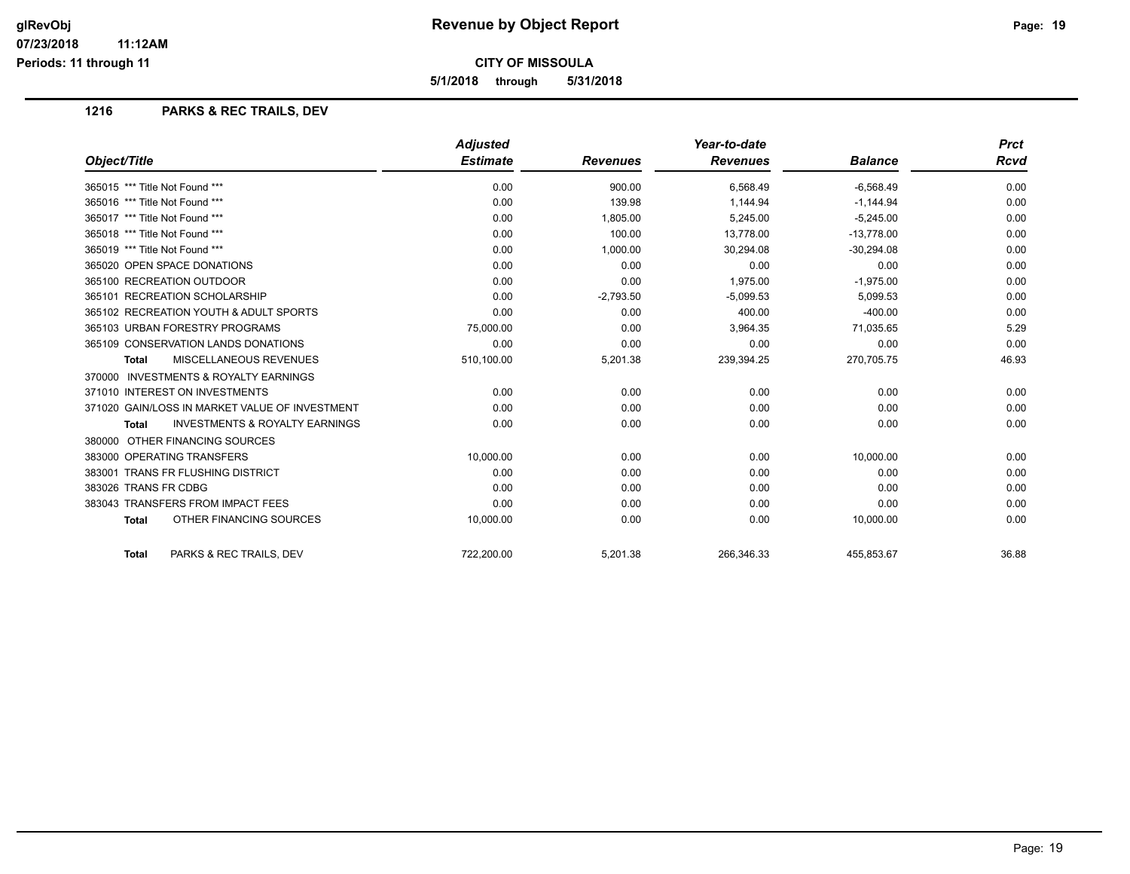**CITY OF MISSOULA**

**5/1/2018 through 5/31/2018**

|                                                           | <b>Adjusted</b> |                 | Year-to-date    |                | <b>Prct</b> |
|-----------------------------------------------------------|-----------------|-----------------|-----------------|----------------|-------------|
| Object/Title                                              | <b>Estimate</b> | <b>Revenues</b> | <b>Revenues</b> | <b>Balance</b> | <b>Rcvd</b> |
| 365015 *** Title Not Found ***                            | 0.00            | 900.00          | 6,568.49        | $-6,568.49$    | 0.00        |
| 365016 *** Title Not Found ***                            | 0.00            | 139.98          | 1,144.94        | $-1,144.94$    | 0.00        |
| 365017 *** Title Not Found ***                            | 0.00            | 1,805.00        | 5,245.00        | $-5,245.00$    | 0.00        |
| 365018 *** Title Not Found ***                            | 0.00            | 100.00          | 13,778.00       | $-13,778.00$   | 0.00        |
| 365019 *** Title Not Found ***                            | 0.00            | 1,000.00        | 30,294.08       | $-30,294.08$   | 0.00        |
| 365020 OPEN SPACE DONATIONS                               | 0.00            | 0.00            | 0.00            | 0.00           | 0.00        |
| 365100 RECREATION OUTDOOR                                 | 0.00            | 0.00            | 1.975.00        | $-1,975.00$    | 0.00        |
| 365101 RECREATION SCHOLARSHIP                             | 0.00            | $-2,793.50$     | $-5,099.53$     | 5,099.53       | 0.00        |
| 365102 RECREATION YOUTH & ADULT SPORTS                    | 0.00            | 0.00            | 400.00          | $-400.00$      | 0.00        |
| 365103 URBAN FORESTRY PROGRAMS                            | 75,000.00       | 0.00            | 3,964.35        | 71,035.65      | 5.29        |
| 365109 CONSERVATION LANDS DONATIONS                       | 0.00            | 0.00            | 0.00            | 0.00           | 0.00        |
| <b>MISCELLANEOUS REVENUES</b><br><b>Total</b>             | 510,100.00      | 5,201.38        | 239,394.25      | 270,705.75     | 46.93       |
| 370000 INVESTMENTS & ROYALTY EARNINGS                     |                 |                 |                 |                |             |
| 371010 INTEREST ON INVESTMENTS                            | 0.00            | 0.00            | 0.00            | 0.00           | 0.00        |
| 371020 GAIN/LOSS IN MARKET VALUE OF INVESTMENT            | 0.00            | 0.00            | 0.00            | 0.00           | 0.00        |
| <b>INVESTMENTS &amp; ROYALTY EARNINGS</b><br><b>Total</b> | 0.00            | 0.00            | 0.00            | 0.00           | 0.00        |
| 380000 OTHER FINANCING SOURCES                            |                 |                 |                 |                |             |
| 383000 OPERATING TRANSFERS                                | 10,000.00       | 0.00            | 0.00            | 10,000.00      | 0.00        |
| 383001 TRANS FR FLUSHING DISTRICT                         | 0.00            | 0.00            | 0.00            | 0.00           | 0.00        |
| 383026 TRANS FR CDBG                                      | 0.00            | 0.00            | 0.00            | 0.00           | 0.00        |
| 383043 TRANSFERS FROM IMPACT FEES                         | 0.00            | 0.00            | 0.00            | 0.00           | 0.00        |
| OTHER FINANCING SOURCES<br><b>Total</b>                   | 10,000.00       | 0.00            | 0.00            | 10,000.00      | 0.00        |
| PARKS & REC TRAILS, DEV<br><b>Total</b>                   | 722,200.00      | 5,201.38        | 266,346.33      | 455,853.67     | 36.88       |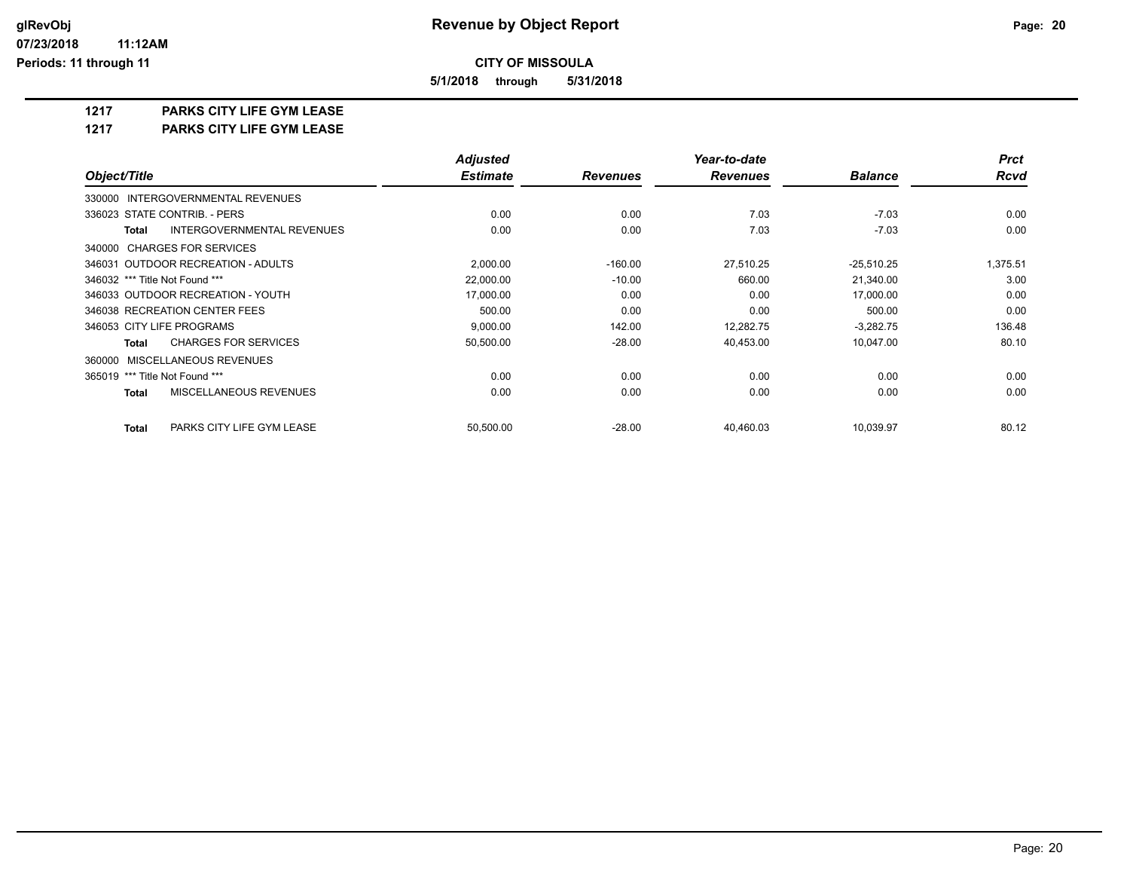**5/1/2018 through 5/31/2018**

# **1217 PARKS CITY LIFE GYM LEASE**

**1217 PARKS CITY LIFE GYM LEASE**

|                                                   | <b>Adjusted</b> |                 | Year-to-date    |                | <b>Prct</b> |
|---------------------------------------------------|-----------------|-----------------|-----------------|----------------|-------------|
| Object/Title                                      | <b>Estimate</b> | <b>Revenues</b> | <b>Revenues</b> | <b>Balance</b> | <b>Rcvd</b> |
| <b>INTERGOVERNMENTAL REVENUES</b><br>330000       |                 |                 |                 |                |             |
| 336023 STATE CONTRIB. - PERS                      | 0.00            | 0.00            | 7.03            | $-7.03$        | 0.00        |
| <b>INTERGOVERNMENTAL REVENUES</b><br><b>Total</b> | 0.00            | 0.00            | 7.03            | $-7.03$        | 0.00        |
| 340000 CHARGES FOR SERVICES                       |                 |                 |                 |                |             |
| 346031 OUTDOOR RECREATION - ADULTS                | 2,000.00        | $-160.00$       | 27,510.25       | $-25,510.25$   | 1,375.51    |
| 346032 *** Title Not Found ***                    | 22,000.00       | $-10.00$        | 660.00          | 21,340.00      | 3.00        |
| 346033 OUTDOOR RECREATION - YOUTH                 | 17.000.00       | 0.00            | 0.00            | 17,000.00      | 0.00        |
| 346038 RECREATION CENTER FEES                     | 500.00          | 0.00            | 0.00            | 500.00         | 0.00        |
| 346053 CITY LIFE PROGRAMS                         | 9,000.00        | 142.00          | 12,282.75       | $-3,282.75$    | 136.48      |
| <b>CHARGES FOR SERVICES</b><br>Total              | 50,500.00       | $-28.00$        | 40,453.00       | 10.047.00      | 80.10       |
| 360000 MISCELLANEOUS REVENUES                     |                 |                 |                 |                |             |
| 365019 *** Title Not Found ***                    | 0.00            | 0.00            | 0.00            | 0.00           | 0.00        |
| MISCELLANEOUS REVENUES<br><b>Total</b>            | 0.00            | 0.00            | 0.00            | 0.00           | 0.00        |
| PARKS CITY LIFE GYM LEASE<br>Total                | 50,500.00       | $-28.00$        | 40.460.03       | 10,039.97      | 80.12       |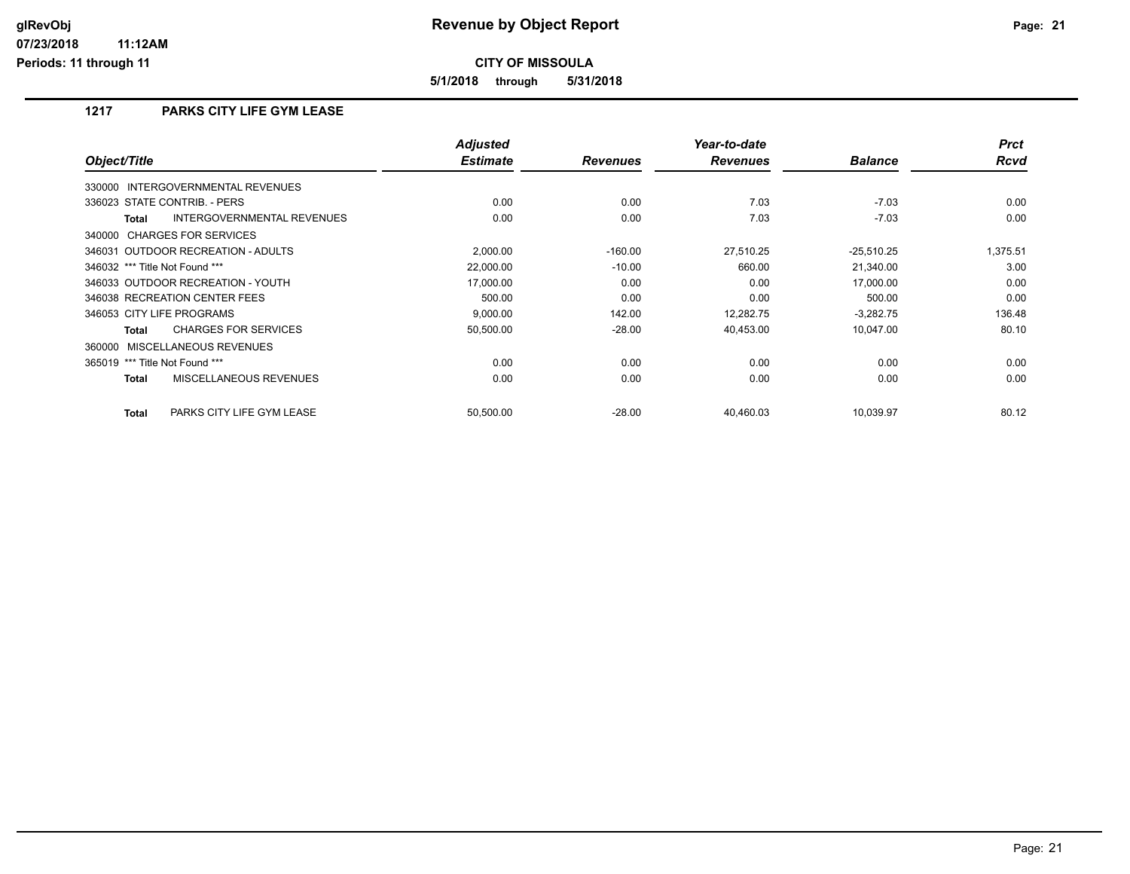**5/1/2018 through 5/31/2018**

# **1217 PARKS CITY LIFE GYM LEASE**

|                                               | <b>Adjusted</b> |                 | Year-to-date    |                | <b>Prct</b> |
|-----------------------------------------------|-----------------|-----------------|-----------------|----------------|-------------|
| Object/Title                                  | <b>Estimate</b> | <b>Revenues</b> | <b>Revenues</b> | <b>Balance</b> | Rcvd        |
| INTERGOVERNMENTAL REVENUES<br>330000          |                 |                 |                 |                |             |
| 336023 STATE CONTRIB. - PERS                  | 0.00            | 0.00            | 7.03            | $-7.03$        | 0.00        |
| INTERGOVERNMENTAL REVENUES<br><b>Total</b>    | 0.00            | 0.00            | 7.03            | $-7.03$        | 0.00        |
| 340000 CHARGES FOR SERVICES                   |                 |                 |                 |                |             |
| 346031 OUTDOOR RECREATION - ADULTS            | 2,000.00        | $-160.00$       | 27.510.25       | $-25,510.25$   | 1,375.51    |
| 346032 *** Title Not Found ***                | 22,000.00       | $-10.00$        | 660.00          | 21,340.00      | 3.00        |
| 346033 OUTDOOR RECREATION - YOUTH             | 17,000.00       | 0.00            | 0.00            | 17,000.00      | 0.00        |
| 346038 RECREATION CENTER FEES                 | 500.00          | 0.00            | 0.00            | 500.00         | 0.00        |
| 346053 CITY LIFE PROGRAMS                     | 9,000.00        | 142.00          | 12,282.75       | $-3,282.75$    | 136.48      |
| <b>CHARGES FOR SERVICES</b><br><b>Total</b>   | 50,500.00       | $-28.00$        | 40,453.00       | 10,047.00      | 80.10       |
| 360000 MISCELLANEOUS REVENUES                 |                 |                 |                 |                |             |
| 365019 *** Title Not Found ***                | 0.00            | 0.00            | 0.00            | 0.00           | 0.00        |
| <b>MISCELLANEOUS REVENUES</b><br><b>Total</b> | 0.00            | 0.00            | 0.00            | 0.00           | 0.00        |
| PARKS CITY LIFE GYM LEASE<br><b>Total</b>     | 50,500.00       | $-28.00$        | 40,460.03       | 10,039.97      | 80.12       |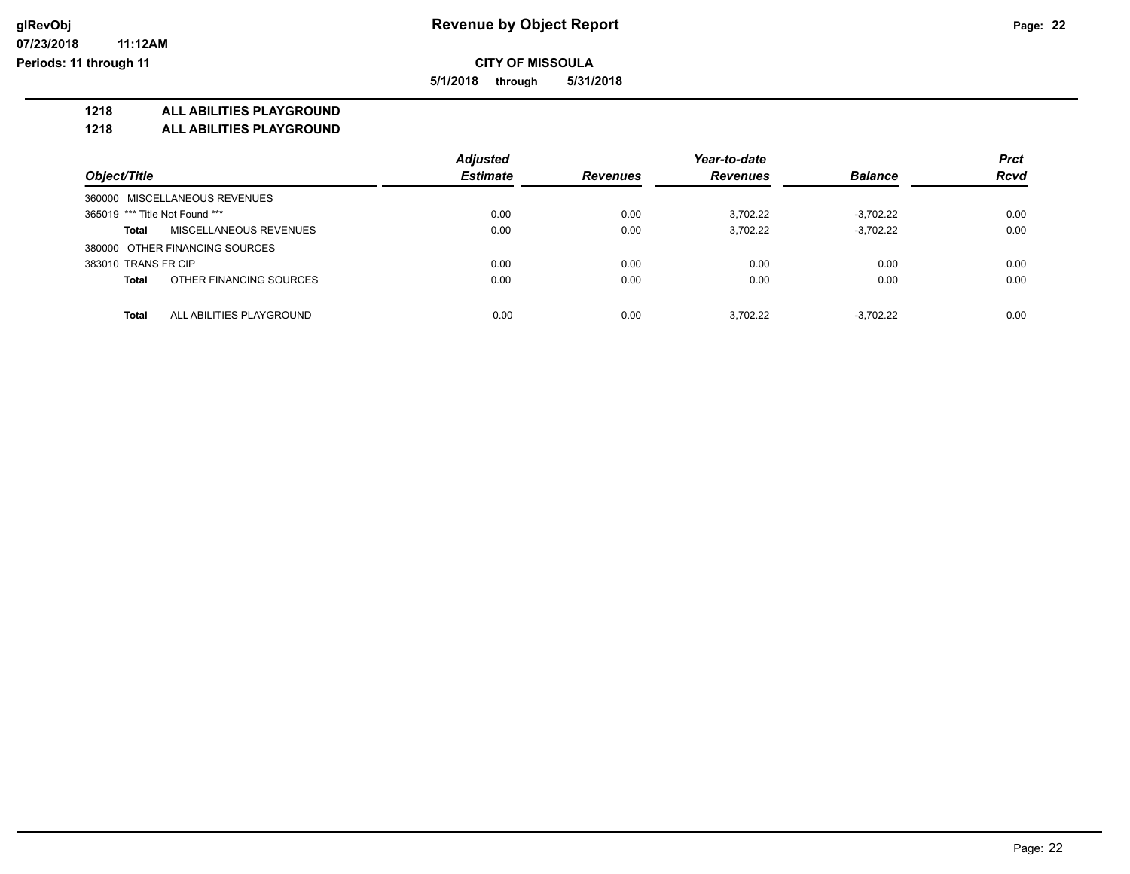**5/1/2018 through 5/31/2018**

**1218 ALL ABILITIES PLAYGROUND**

**1218 ALL ABILITIES PLAYGROUND**

|                                               | <b>Adjusted</b> |                 | Year-to-date    |                | <b>Prct</b> |
|-----------------------------------------------|-----------------|-----------------|-----------------|----------------|-------------|
| Object/Title                                  | <b>Estimate</b> | <b>Revenues</b> | <b>Revenues</b> | <b>Balance</b> | <b>Rcvd</b> |
| 360000 MISCELLANEOUS REVENUES                 |                 |                 |                 |                |             |
| 365019 *** Title Not Found ***                | 0.00            | 0.00            | 3,702.22        | $-3.702.22$    | 0.00        |
| <b>MISCELLANEOUS REVENUES</b><br><b>Total</b> | 0.00            | 0.00            | 3,702.22        | $-3.702.22$    | 0.00        |
| 380000 OTHER FINANCING SOURCES                |                 |                 |                 |                |             |
| 383010 TRANS FR CIP                           | 0.00            | 0.00            | 0.00            | 0.00           | 0.00        |
| OTHER FINANCING SOURCES<br><b>Total</b>       | 0.00            | 0.00            | 0.00            | 0.00           | 0.00        |
|                                               |                 |                 |                 |                |             |
| <b>Total</b><br>ALL ABILITIES PLAYGROUND      | 0.00            | 0.00            | 3.702.22        | $-3.702.22$    | 0.00        |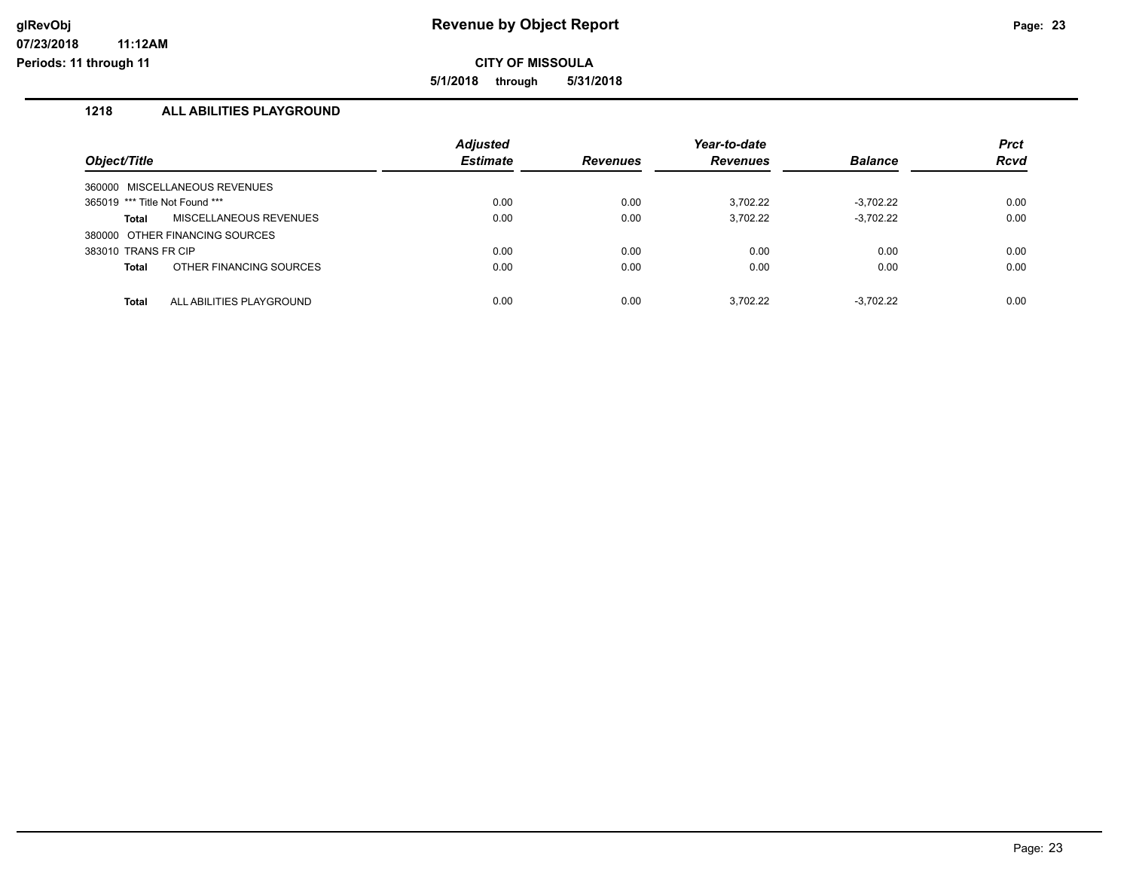**CITY OF MISSOULA**

**5/1/2018 through 5/31/2018**

## **1218 ALL ABILITIES PLAYGROUND**

**11:12AM**

| Object/Title                            | <b>Adjusted</b><br><b>Estimate</b> | <b>Revenues</b> | Year-to-date<br><b>Revenues</b> | <b>Balance</b> | <b>Prct</b><br><b>Rcvd</b> |
|-----------------------------------------|------------------------------------|-----------------|---------------------------------|----------------|----------------------------|
| 360000 MISCELLANEOUS REVENUES           |                                    |                 |                                 |                |                            |
| 365019 *** Title Not Found ***          | 0.00                               | 0.00            | 3.702.22                        | $-3.702.22$    | 0.00                       |
| MISCELLANEOUS REVENUES<br><b>Total</b>  | 0.00                               | 0.00            | 3,702.22                        | $-3,702.22$    | 0.00                       |
| 380000 OTHER FINANCING SOURCES          |                                    |                 |                                 |                |                            |
| 383010 TRANS FR CIP                     | 0.00                               | 0.00            | 0.00                            | 0.00           | 0.00                       |
| OTHER FINANCING SOURCES<br><b>Total</b> | 0.00                               | 0.00            | 0.00                            | 0.00           | 0.00                       |
| ALL ABILITIES PLAYGROUND<br>Total       | 0.00                               | 0.00            | 3.702.22                        | $-3.702.22$    | 0.00                       |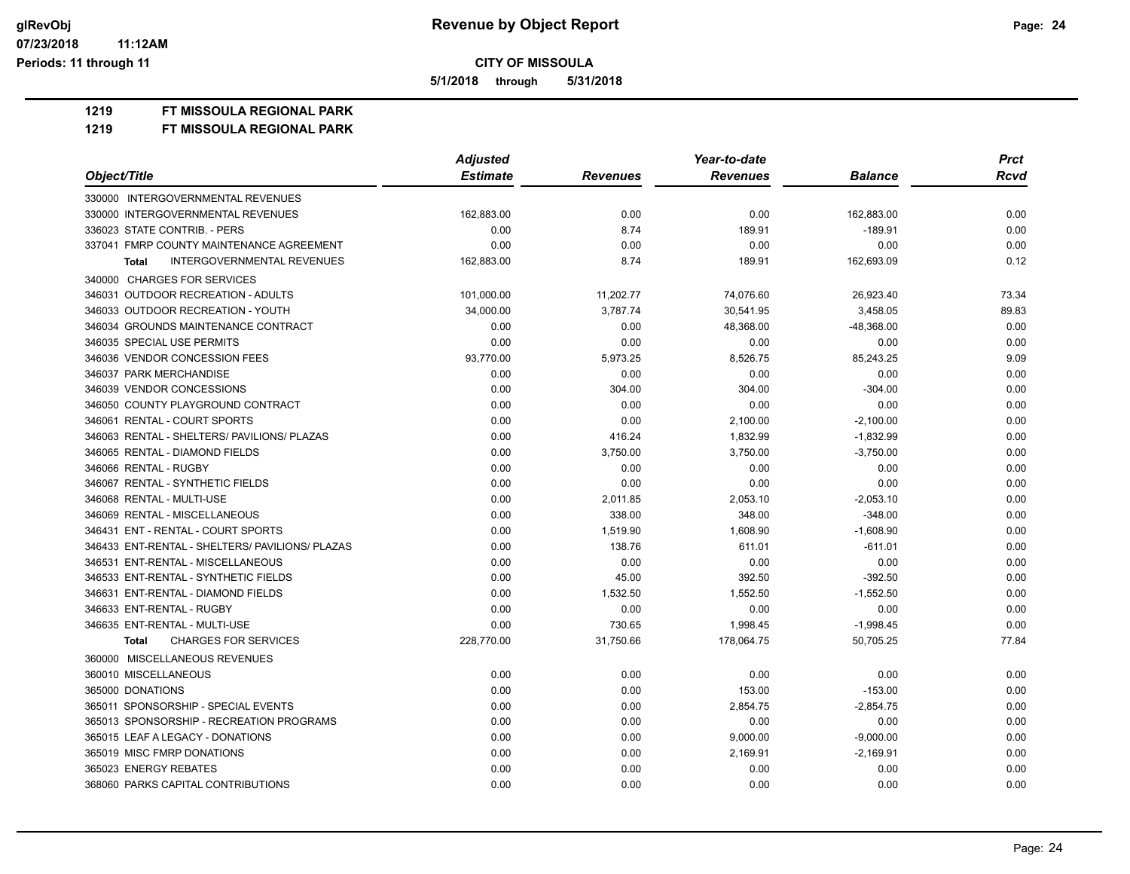**5/1/2018 through 5/31/2018**

## **1219 FT MISSOULA REGIONAL PARK**

|                                                   | <b>Adjusted</b> |                 | Year-to-date    |                | <b>Prct</b> |  |
|---------------------------------------------------|-----------------|-----------------|-----------------|----------------|-------------|--|
| Object/Title                                      | <b>Estimate</b> | <b>Revenues</b> | <b>Revenues</b> | <b>Balance</b> | <b>Rcvd</b> |  |
| 330000 INTERGOVERNMENTAL REVENUES                 |                 |                 |                 |                |             |  |
| 330000 INTERGOVERNMENTAL REVENUES                 | 162,883.00      | 0.00            | 0.00            | 162,883.00     | 0.00        |  |
| 336023 STATE CONTRIB. - PERS                      | 0.00            | 8.74            | 189.91          | $-189.91$      | 0.00        |  |
| 337041 FMRP COUNTY MAINTENANCE AGREEMENT          | 0.00            | 0.00            | 0.00            | 0.00           | 0.00        |  |
| <b>INTERGOVERNMENTAL REVENUES</b><br><b>Total</b> | 162,883.00      | 8.74            | 189.91          | 162,693.09     | 0.12        |  |
| 340000 CHARGES FOR SERVICES                       |                 |                 |                 |                |             |  |
| 346031 OUTDOOR RECREATION - ADULTS                | 101,000.00      | 11,202.77       | 74,076.60       | 26,923.40      | 73.34       |  |
| 346033 OUTDOOR RECREATION - YOUTH                 | 34,000.00       | 3,787.74        | 30,541.95       | 3,458.05       | 89.83       |  |
| 346034 GROUNDS MAINTENANCE CONTRACT               | 0.00            | 0.00            | 48,368.00       | $-48,368.00$   | 0.00        |  |
| 346035 SPECIAL USE PERMITS                        | 0.00            | 0.00            | 0.00            | 0.00           | 0.00        |  |
| 346036 VENDOR CONCESSION FEES                     | 93,770.00       | 5,973.25        | 8,526.75        | 85,243.25      | 9.09        |  |
| 346037 PARK MERCHANDISE                           | 0.00            | 0.00            | 0.00            | 0.00           | 0.00        |  |
| 346039 VENDOR CONCESSIONS                         | 0.00            | 304.00          | 304.00          | $-304.00$      | 0.00        |  |
| 346050 COUNTY PLAYGROUND CONTRACT                 | 0.00            | 0.00            | 0.00            | 0.00           | 0.00        |  |
| 346061 RENTAL - COURT SPORTS                      | 0.00            | 0.00            | 2,100.00        | $-2,100.00$    | 0.00        |  |
| 346063 RENTAL - SHELTERS/ PAVILIONS/ PLAZAS       | 0.00            | 416.24          | 1,832.99        | $-1,832.99$    | 0.00        |  |
| 346065 RENTAL - DIAMOND FIELDS                    | 0.00            | 3,750.00        | 3,750.00        | $-3,750.00$    | 0.00        |  |
| 346066 RENTAL - RUGBY                             | 0.00            | 0.00            | 0.00            | 0.00           | 0.00        |  |
| 346067 RENTAL - SYNTHETIC FIELDS                  | 0.00            | 0.00            | 0.00            | 0.00           | 0.00        |  |
| 346068 RENTAL - MULTI-USE                         | 0.00            | 2,011.85        | 2,053.10        | $-2,053.10$    | 0.00        |  |
| 346069 RENTAL - MISCELLANEOUS                     | 0.00            | 338.00          | 348.00          | $-348.00$      | 0.00        |  |
| 346431 ENT - RENTAL - COURT SPORTS                | 0.00            | 1,519.90        | 1,608.90        | $-1,608.90$    | 0.00        |  |
| 346433 ENT-RENTAL - SHELTERS/ PAVILIONS/ PLAZAS   | 0.00            | 138.76          | 611.01          | $-611.01$      | 0.00        |  |
| 346531 ENT-RENTAL - MISCELLANEOUS                 | 0.00            | 0.00            | 0.00            | 0.00           | 0.00        |  |
| 346533 ENT-RENTAL - SYNTHETIC FIELDS              | 0.00            | 45.00           | 392.50          | $-392.50$      | 0.00        |  |
| 346631 ENT-RENTAL - DIAMOND FIELDS                | 0.00            | 1,532.50        | 1,552.50        | $-1,552.50$    | 0.00        |  |
| 346633 ENT-RENTAL - RUGBY                         | 0.00            | 0.00            | 0.00            | 0.00           | 0.00        |  |
| 346635 ENT-RENTAL - MULTI-USE                     | 0.00            | 730.65          | 1,998.45        | $-1,998.45$    | 0.00        |  |
| <b>CHARGES FOR SERVICES</b><br><b>Total</b>       | 228,770.00      | 31,750.66       | 178,064.75      | 50,705.25      | 77.84       |  |
| 360000 MISCELLANEOUS REVENUES                     |                 |                 |                 |                |             |  |
| 360010 MISCELLANEOUS                              | 0.00            | 0.00            | 0.00            | 0.00           | 0.00        |  |
| 365000 DONATIONS                                  | 0.00            | 0.00            | 153.00          | $-153.00$      | 0.00        |  |
| 365011 SPONSORSHIP - SPECIAL EVENTS               | 0.00            | 0.00            | 2,854.75        | $-2,854.75$    | 0.00        |  |
| 365013 SPONSORSHIP - RECREATION PROGRAMS          | 0.00            | 0.00            | 0.00            | 0.00           | 0.00        |  |
| 365015 LEAF A LEGACY - DONATIONS                  | 0.00            | 0.00            | 9,000.00        | $-9,000.00$    | 0.00        |  |
| 365019 MISC FMRP DONATIONS                        | 0.00            | 0.00            | 2,169.91        | $-2,169.91$    | 0.00        |  |
| 365023 ENERGY REBATES                             | 0.00            | 0.00            | 0.00            | 0.00           | 0.00        |  |
| 368060 PARKS CAPITAL CONTRIBUTIONS                | 0.00            | 0.00            | 0.00            | 0.00           | 0.00        |  |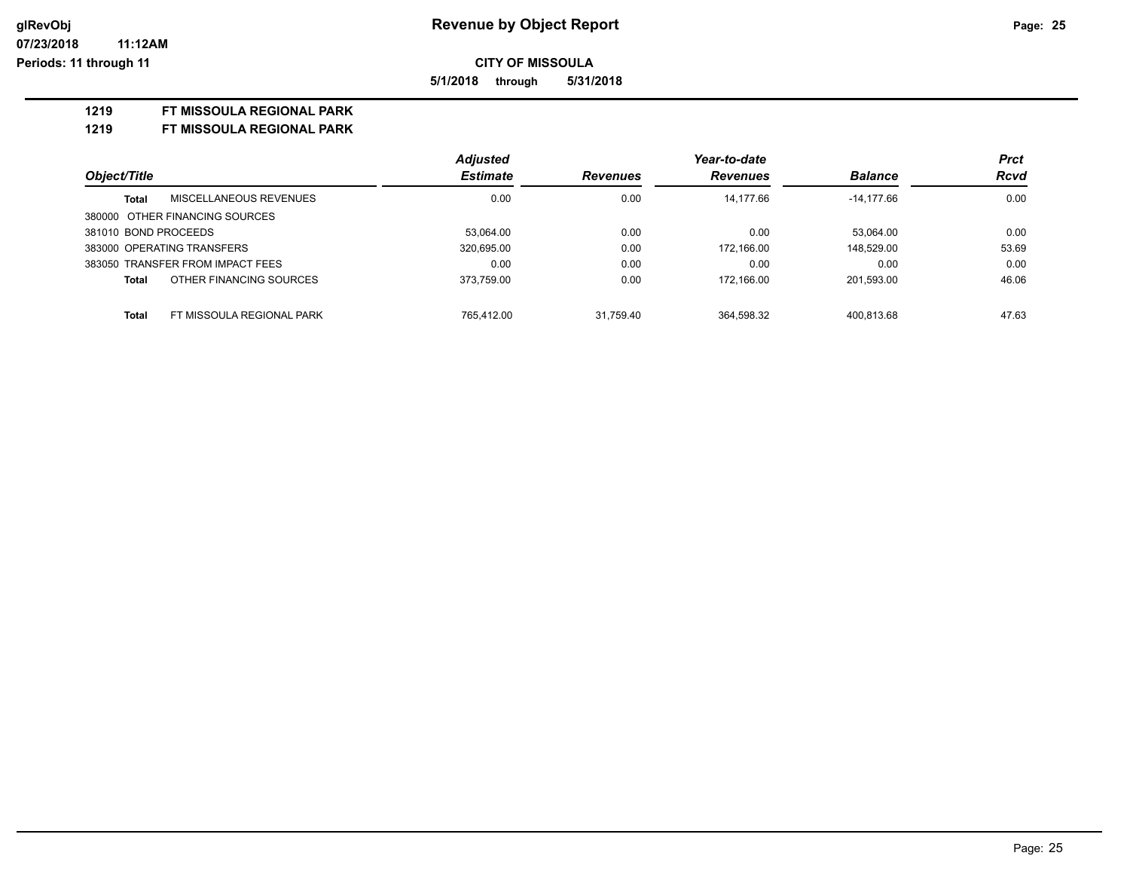**CITY OF MISSOULA 5/1/2018 through 5/31/2018**

**1219 FT MISSOULA REGIONAL PARK**

|                                    | <b>Adjusted</b> |                 | Year-to-date    |                | <b>Prct</b> |
|------------------------------------|-----------------|-----------------|-----------------|----------------|-------------|
| Object/Title                       | <b>Estimate</b> | <b>Revenues</b> | <b>Revenues</b> | <b>Balance</b> | Rcvd        |
| MISCELLANEOUS REVENUES<br>Total    | 0.00            | 0.00            | 14.177.66       | -14.177.66     | 0.00        |
| 380000 OTHER FINANCING SOURCES     |                 |                 |                 |                |             |
| 381010 BOND PROCEEDS               | 53,064.00       | 0.00            | 0.00            | 53.064.00      | 0.00        |
| 383000 OPERATING TRANSFERS         | 320,695.00      | 0.00            | 172.166.00      | 148.529.00     | 53.69       |
| 383050 TRANSFER FROM IMPACT FEES   | 0.00            | 0.00            | 0.00            | 0.00           | 0.00        |
| OTHER FINANCING SOURCES<br>Total   | 373,759.00      | 0.00            | 172.166.00      | 201,593.00     | 46.06       |
| FT MISSOULA REGIONAL PARK<br>Total | 765.412.00      | 31.759.40       | 364.598.32      | 400.813.68     | 47.63       |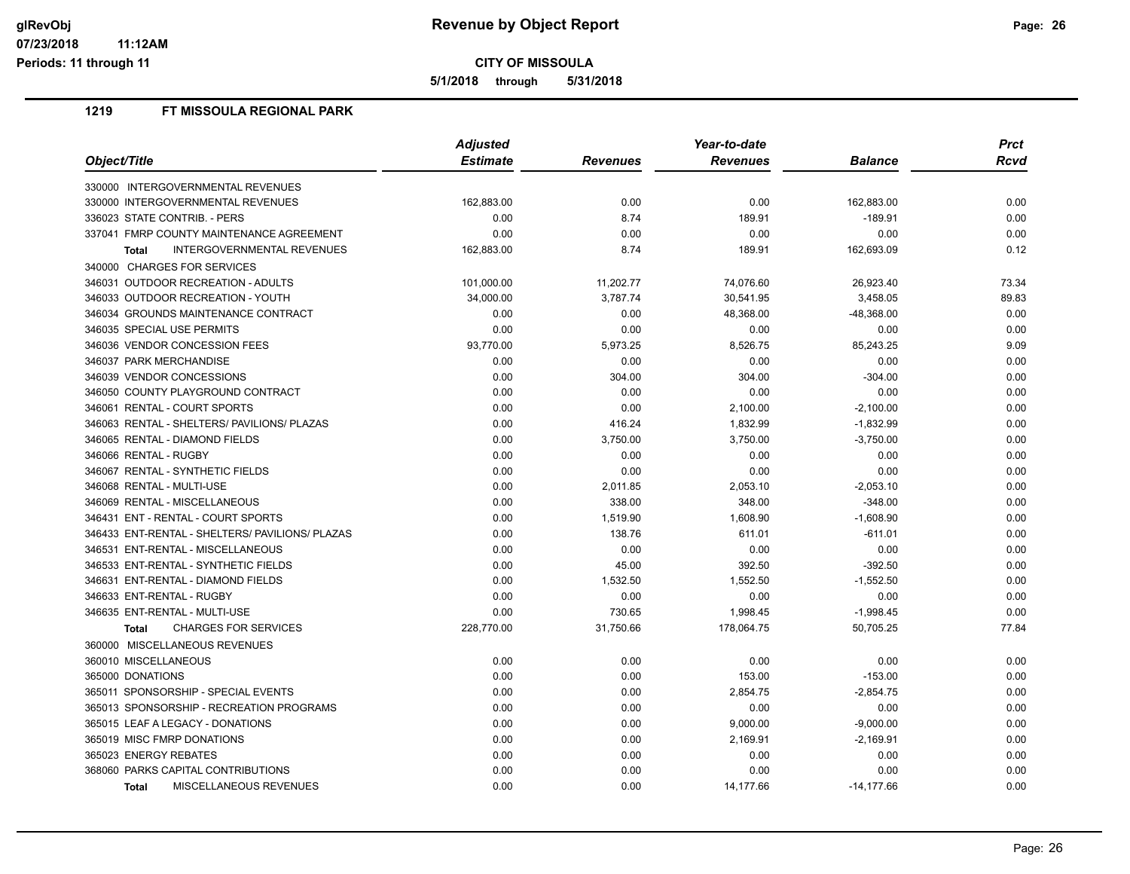**5/1/2018 through 5/31/2018**

|                                                 | <b>Adjusted</b> |                 | Year-to-date    |                | <b>Prct</b> |
|-------------------------------------------------|-----------------|-----------------|-----------------|----------------|-------------|
| Object/Title                                    | <b>Estimate</b> | <b>Revenues</b> | <b>Revenues</b> | <b>Balance</b> | Rcvd        |
| 330000 INTERGOVERNMENTAL REVENUES               |                 |                 |                 |                |             |
| 330000 INTERGOVERNMENTAL REVENUES               | 162,883.00      | 0.00            | 0.00            | 162,883.00     | 0.00        |
| 336023 STATE CONTRIB. - PERS                    | 0.00            | 8.74            | 189.91          | $-189.91$      | 0.00        |
| 337041 FMRP COUNTY MAINTENANCE AGREEMENT        | 0.00            | 0.00            | 0.00            | 0.00           | 0.00        |
| INTERGOVERNMENTAL REVENUES<br><b>Total</b>      | 162,883.00      | 8.74            | 189.91          | 162,693.09     | 0.12        |
| 340000 CHARGES FOR SERVICES                     |                 |                 |                 |                |             |
| 346031 OUTDOOR RECREATION - ADULTS              | 101,000.00      | 11,202.77       | 74,076.60       | 26,923.40      | 73.34       |
| 346033 OUTDOOR RECREATION - YOUTH               | 34,000.00       | 3,787.74        | 30,541.95       | 3,458.05       | 89.83       |
| 346034 GROUNDS MAINTENANCE CONTRACT             | 0.00            | 0.00            | 48,368.00       | -48,368.00     | 0.00        |
| 346035 SPECIAL USE PERMITS                      | 0.00            | 0.00            | 0.00            | 0.00           | 0.00        |
| 346036 VENDOR CONCESSION FEES                   | 93,770.00       | 5,973.25        | 8,526.75        | 85,243.25      | 9.09        |
| 346037 PARK MERCHANDISE                         | 0.00            | 0.00            | 0.00            | 0.00           | 0.00        |
| 346039 VENDOR CONCESSIONS                       | 0.00            | 304.00          | 304.00          | $-304.00$      | 0.00        |
| 346050 COUNTY PLAYGROUND CONTRACT               | 0.00            | 0.00            | 0.00            | 0.00           | 0.00        |
| 346061 RENTAL - COURT SPORTS                    | 0.00            | 0.00            | 2,100.00        | $-2,100.00$    | 0.00        |
| 346063 RENTAL - SHELTERS/ PAVILIONS/ PLAZAS     | 0.00            | 416.24          | 1,832.99        | $-1,832.99$    | 0.00        |
| 346065 RENTAL - DIAMOND FIELDS                  | 0.00            | 3,750.00        | 3,750.00        | $-3,750.00$    | 0.00        |
| 346066 RENTAL - RUGBY                           | 0.00            | 0.00            | 0.00            | 0.00           | 0.00        |
| 346067 RENTAL - SYNTHETIC FIELDS                | 0.00            | 0.00            | 0.00            | 0.00           | 0.00        |
| 346068 RENTAL - MULTI-USE                       | 0.00            | 2,011.85        | 2,053.10        | $-2,053.10$    | 0.00        |
| 346069 RENTAL - MISCELLANEOUS                   | 0.00            | 338.00          | 348.00          | $-348.00$      | 0.00        |
| 346431 ENT - RENTAL - COURT SPORTS              | 0.00            | 1,519.90        | 1,608.90        | $-1,608.90$    | 0.00        |
| 346433 ENT-RENTAL - SHELTERS/ PAVILIONS/ PLAZAS | 0.00            | 138.76          | 611.01          | $-611.01$      | 0.00        |
| 346531 ENT-RENTAL - MISCELLANEOUS               | 0.00            | 0.00            | 0.00            | 0.00           | 0.00        |
| 346533 ENT-RENTAL - SYNTHETIC FIELDS            | 0.00            | 45.00           | 392.50          | $-392.50$      | 0.00        |
| 346631 ENT-RENTAL - DIAMOND FIELDS              | 0.00            | 1,532.50        | 1,552.50        | $-1,552.50$    | 0.00        |
| 346633 ENT-RENTAL - RUGBY                       | 0.00            | 0.00            | 0.00            | 0.00           | 0.00        |
| 346635 ENT-RENTAL - MULTI-USE                   | 0.00            | 730.65          | 1,998.45        | $-1,998.45$    | 0.00        |
| <b>CHARGES FOR SERVICES</b><br><b>Total</b>     | 228,770.00      | 31,750.66       | 178,064.75      | 50,705.25      | 77.84       |
| 360000 MISCELLANEOUS REVENUES                   |                 |                 |                 |                |             |
| 360010 MISCELLANEOUS                            | 0.00            | 0.00            | 0.00            | 0.00           | 0.00        |
| 365000 DONATIONS                                | 0.00            | 0.00            | 153.00          | $-153.00$      | 0.00        |
| 365011 SPONSORSHIP - SPECIAL EVENTS             | 0.00            | 0.00            | 2,854.75        | $-2,854.75$    | 0.00        |
| 365013 SPONSORSHIP - RECREATION PROGRAMS        | 0.00            | 0.00            | 0.00            | 0.00           | 0.00        |
| 365015 LEAF A LEGACY - DONATIONS                | 0.00            | 0.00            | 9,000.00        | $-9,000.00$    | 0.00        |
| 365019 MISC FMRP DONATIONS                      | 0.00            | 0.00            | 2,169.91        | $-2,169.91$    | 0.00        |
| 365023 ENERGY REBATES                           | 0.00            | 0.00            | 0.00            | 0.00           | 0.00        |
| 368060 PARKS CAPITAL CONTRIBUTIONS              | 0.00            | 0.00            | 0.00            | 0.00           | 0.00        |
| MISCELLANEOUS REVENUES<br><b>Total</b>          | 0.00            | 0.00            | 14.177.66       | $-14.177.66$   | 0.00        |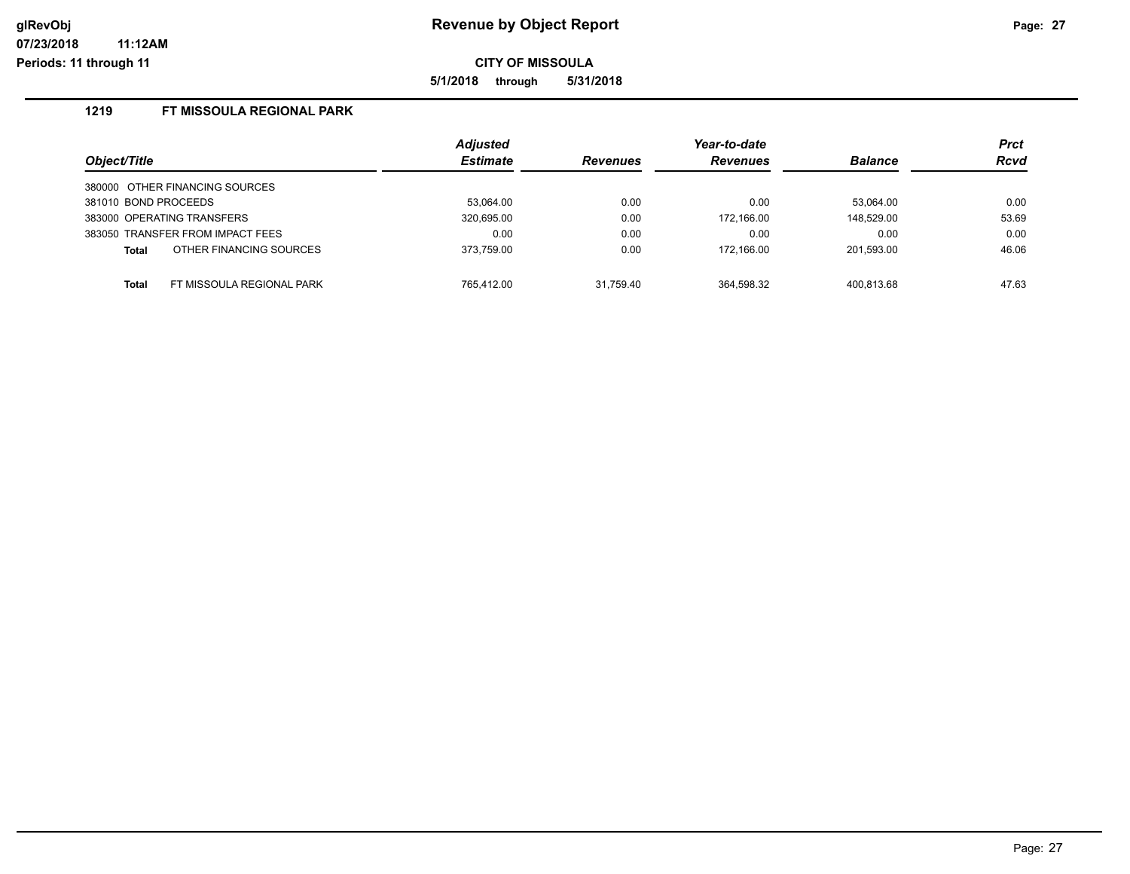**5/1/2018 through 5/31/2018**

| Object/Title                              | <b>Adjusted</b><br><b>Estimate</b> | <b>Revenues</b> | Year-to-date<br><b>Revenues</b> | <b>Balance</b> | <b>Prct</b><br><b>Rcvd</b> |
|-------------------------------------------|------------------------------------|-----------------|---------------------------------|----------------|----------------------------|
| 380000 OTHER FINANCING SOURCES            |                                    |                 |                                 |                |                            |
| 381010 BOND PROCEEDS                      | 53.064.00                          | 0.00            | 0.00                            | 53.064.00      | 0.00                       |
| 383000 OPERATING TRANSFERS                | 320,695.00                         | 0.00            | 172.166.00                      | 148.529.00     | 53.69                      |
| 383050 TRANSFER FROM IMPACT FEES          | 0.00                               | 0.00            | 0.00                            | 0.00           | 0.00                       |
| OTHER FINANCING SOURCES<br><b>Total</b>   | 373,759.00                         | 0.00            | 172.166.00                      | 201,593.00     | 46.06                      |
| FT MISSOULA REGIONAL PARK<br><b>Total</b> | 765.412.00                         | 31.759.40       | 364.598.32                      | 400.813.68     | 47.63                      |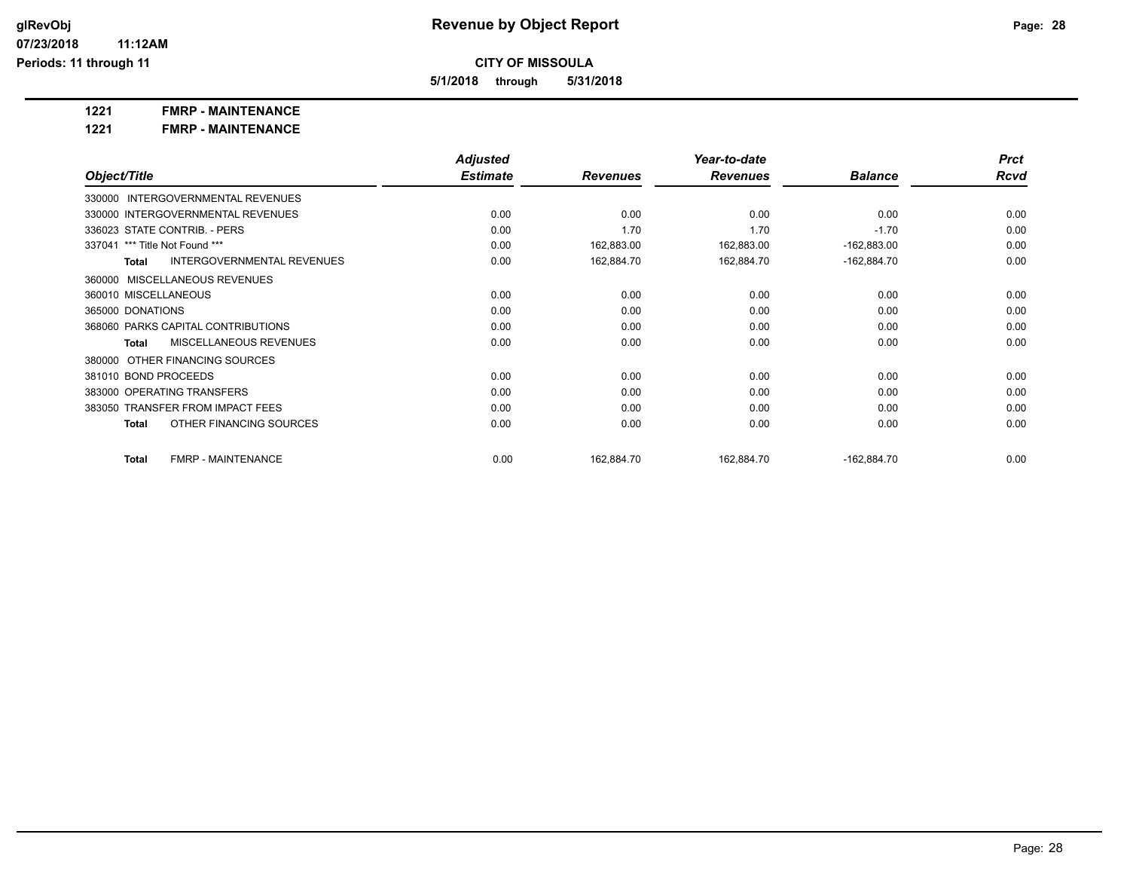**5/1/2018 through 5/31/2018**

**1221 FMRP - MAINTENANCE**

**1221 FMRP - MAINTENANCE**

|                                                   | <b>Adjusted</b> |                 | Year-to-date    |                | <b>Prct</b> |
|---------------------------------------------------|-----------------|-----------------|-----------------|----------------|-------------|
| Object/Title                                      | <b>Estimate</b> | <b>Revenues</b> | <b>Revenues</b> | <b>Balance</b> | <b>Rcvd</b> |
| 330000 INTERGOVERNMENTAL REVENUES                 |                 |                 |                 |                |             |
| 330000 INTERGOVERNMENTAL REVENUES                 | 0.00            | 0.00            | 0.00            | 0.00           | 0.00        |
| 336023 STATE CONTRIB. - PERS                      | 0.00            | 1.70            | 1.70            | $-1.70$        | 0.00        |
| 337041 *** Title Not Found ***                    | 0.00            | 162,883.00      | 162,883.00      | $-162,883.00$  | 0.00        |
| <b>INTERGOVERNMENTAL REVENUES</b><br><b>Total</b> | 0.00            | 162,884.70      | 162,884.70      | $-162,884.70$  | 0.00        |
| 360000 MISCELLANEOUS REVENUES                     |                 |                 |                 |                |             |
| 360010 MISCELLANEOUS                              | 0.00            | 0.00            | 0.00            | 0.00           | 0.00        |
| 365000 DONATIONS                                  | 0.00            | 0.00            | 0.00            | 0.00           | 0.00        |
| 368060 PARKS CAPITAL CONTRIBUTIONS                | 0.00            | 0.00            | 0.00            | 0.00           | 0.00        |
| MISCELLANEOUS REVENUES<br><b>Total</b>            | 0.00            | 0.00            | 0.00            | 0.00           | 0.00        |
| 380000 OTHER FINANCING SOURCES                    |                 |                 |                 |                |             |
| 381010 BOND PROCEEDS                              | 0.00            | 0.00            | 0.00            | 0.00           | 0.00        |
| 383000 OPERATING TRANSFERS                        | 0.00            | 0.00            | 0.00            | 0.00           | 0.00        |
| 383050 TRANSFER FROM IMPACT FEES                  | 0.00            | 0.00            | 0.00            | 0.00           | 0.00        |
| OTHER FINANCING SOURCES<br><b>Total</b>           | 0.00            | 0.00            | 0.00            | 0.00           | 0.00        |
| <b>FMRP - MAINTENANCE</b><br><b>Total</b>         | 0.00            | 162,884.70      | 162,884.70      | $-162,884.70$  | 0.00        |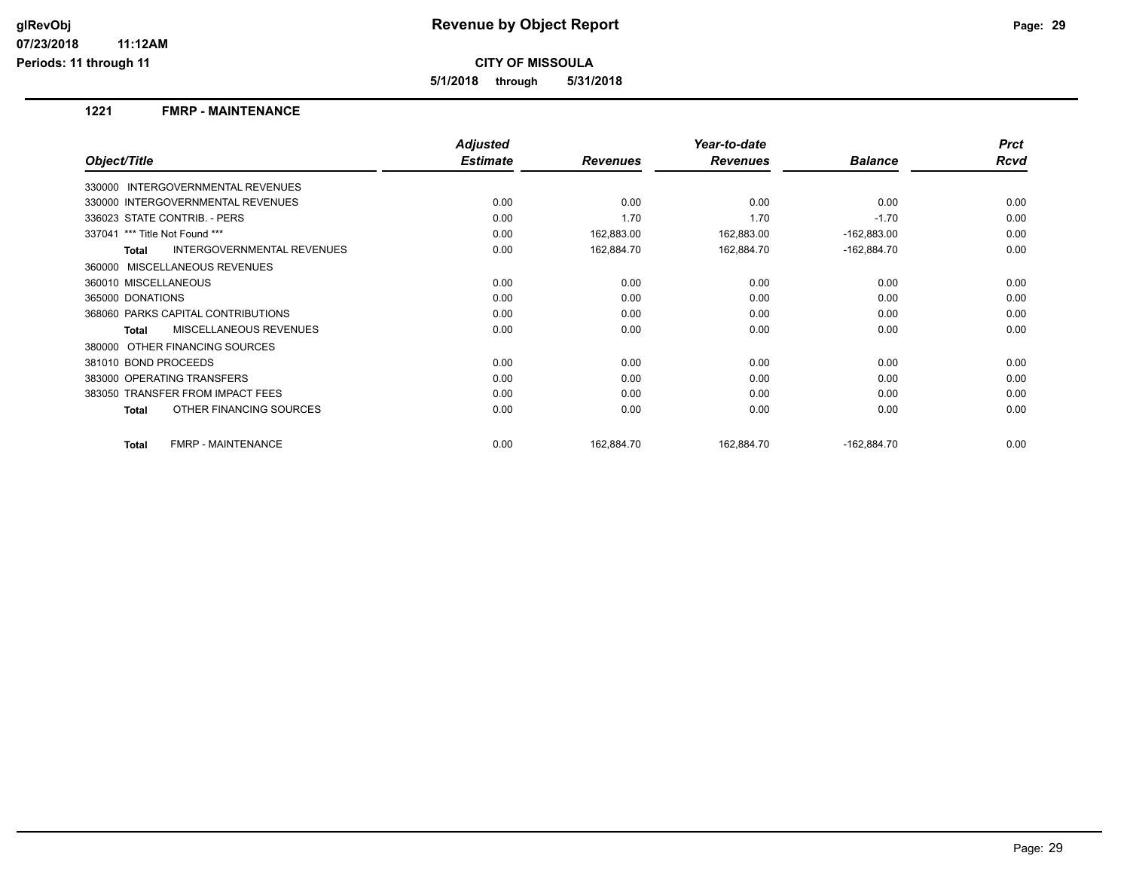**5/1/2018 through 5/31/2018**

#### **1221 FMRP - MAINTENANCE**

|                                                   | <b>Adjusted</b> |                 | Year-to-date    |                | <b>Prct</b> |
|---------------------------------------------------|-----------------|-----------------|-----------------|----------------|-------------|
| Object/Title                                      | <b>Estimate</b> | <b>Revenues</b> | <b>Revenues</b> | <b>Balance</b> | <b>Rcvd</b> |
| 330000 INTERGOVERNMENTAL REVENUES                 |                 |                 |                 |                |             |
| 330000 INTERGOVERNMENTAL REVENUES                 | 0.00            | 0.00            | 0.00            | 0.00           | 0.00        |
| 336023 STATE CONTRIB. - PERS                      | 0.00            | 1.70            | 1.70            | $-1.70$        | 0.00        |
| 337041 *** Title Not Found ***                    | 0.00            | 162,883.00      | 162,883.00      | $-162,883.00$  | 0.00        |
| <b>INTERGOVERNMENTAL REVENUES</b><br><b>Total</b> | 0.00            | 162,884.70      | 162,884.70      | $-162,884.70$  | 0.00        |
| 360000 MISCELLANEOUS REVENUES                     |                 |                 |                 |                |             |
| 360010 MISCELLANEOUS                              | 0.00            | 0.00            | 0.00            | 0.00           | 0.00        |
| 365000 DONATIONS                                  | 0.00            | 0.00            | 0.00            | 0.00           | 0.00        |
| 368060 PARKS CAPITAL CONTRIBUTIONS                | 0.00            | 0.00            | 0.00            | 0.00           | 0.00        |
| <b>MISCELLANEOUS REVENUES</b><br><b>Total</b>     | 0.00            | 0.00            | 0.00            | 0.00           | 0.00        |
| 380000 OTHER FINANCING SOURCES                    |                 |                 |                 |                |             |
| 381010 BOND PROCEEDS                              | 0.00            | 0.00            | 0.00            | 0.00           | 0.00        |
| 383000 OPERATING TRANSFERS                        | 0.00            | 0.00            | 0.00            | 0.00           | 0.00        |
| 383050 TRANSFER FROM IMPACT FEES                  | 0.00            | 0.00            | 0.00            | 0.00           | 0.00        |
| OTHER FINANCING SOURCES<br><b>Total</b>           | 0.00            | 0.00            | 0.00            | 0.00           | 0.00        |
| <b>FMRP - MAINTENANCE</b><br><b>Total</b>         | 0.00            | 162,884.70      | 162,884.70      | $-162,884.70$  | 0.00        |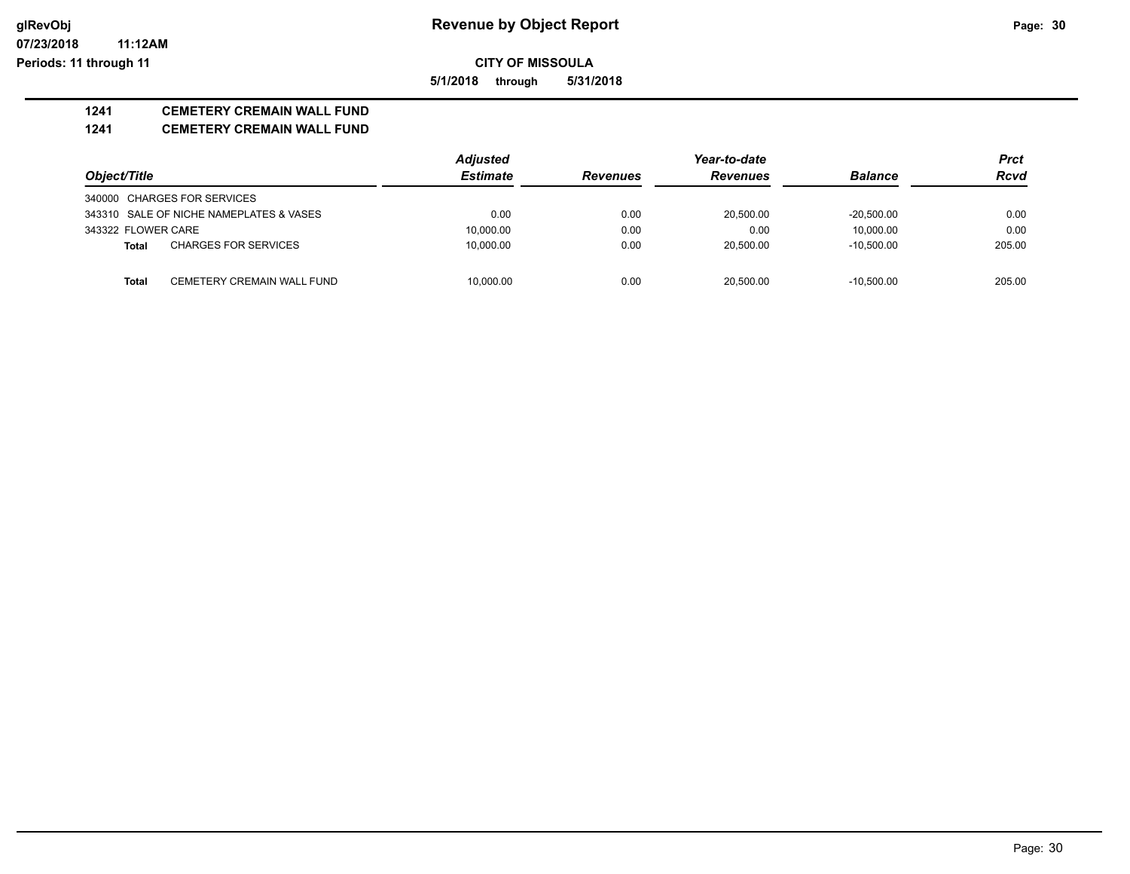**CITY OF MISSOULA 5/1/2018 through 5/31/2018**

# **1241 CEMETERY CREMAIN WALL FUND**

#### **1241 CEMETERY CREMAIN WALL FUND**

|                                         | <b>Adjusted</b> |                 |                 | Prct           |             |
|-----------------------------------------|-----------------|-----------------|-----------------|----------------|-------------|
| Object/Title                            | <b>Estimate</b> | <b>Revenues</b> | <b>Revenues</b> | <b>Balance</b> | <b>Rcvd</b> |
| 340000 CHARGES FOR SERVICES             |                 |                 |                 |                |             |
| 343310 SALE OF NICHE NAMEPLATES & VASES | 0.00            | 0.00            | 20.500.00       | $-20.500.00$   | 0.00        |
| 343322 FLOWER CARE                      | 10,000.00       | 0.00            | 0.00            | 10.000.00      | 0.00        |
| <b>CHARGES FOR SERVICES</b><br>Total    | 10.000.00       | 0.00            | 20.500.00       | $-10.500.00$   | 205.00      |
|                                         |                 |                 |                 |                |             |
| CEMETERY CREMAIN WALL FUND<br>Total     | 10.000.00       | 0.00            | 20.500.00       | $-10.500.00$   | 205.00      |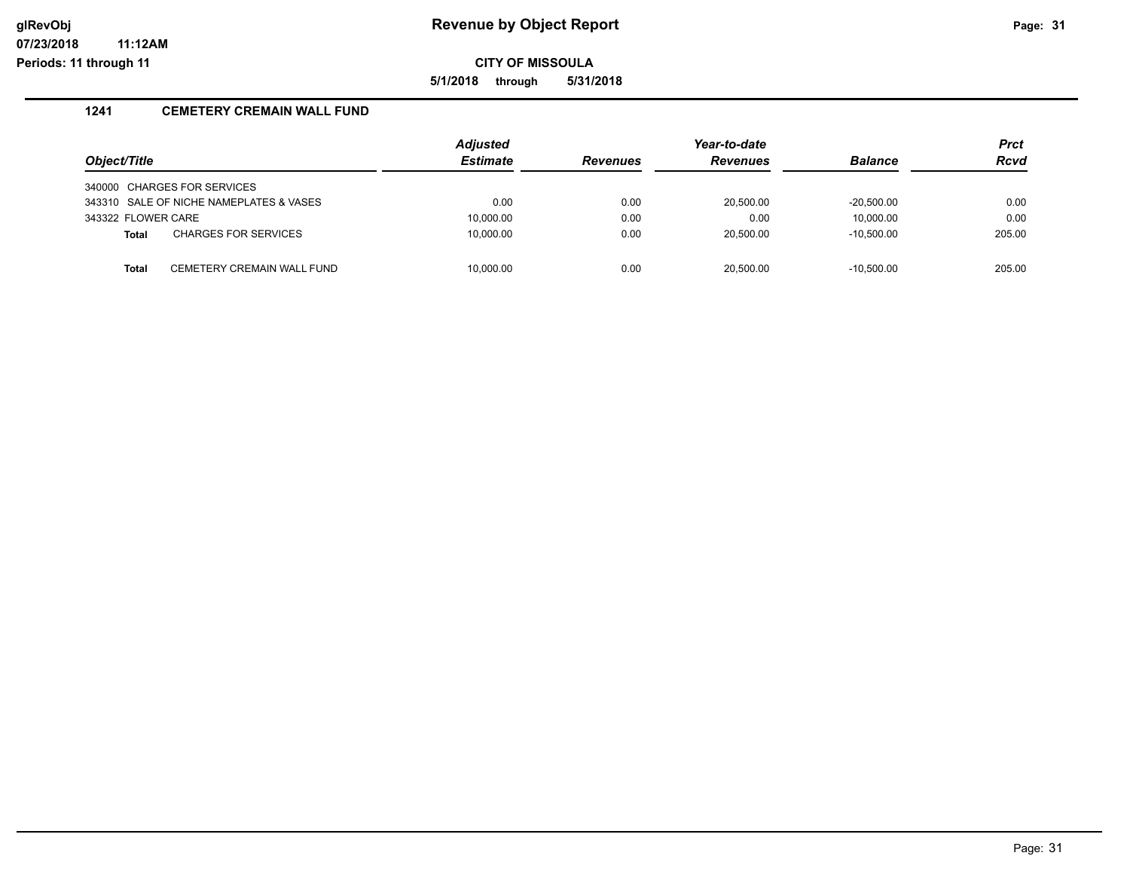**11:12AM**

**CITY OF MISSOULA**

**5/1/2018 through 5/31/2018**

#### **1241 CEMETERY CREMAIN WALL FUND**

| Object/Title       |                                         | <b>Adjusted</b><br><b>Estimate</b> | <b>Revenues</b> | Year-to-date<br><b>Revenues</b> | <b>Balance</b> | <b>Prct</b><br><b>Rcvd</b> |
|--------------------|-----------------------------------------|------------------------------------|-----------------|---------------------------------|----------------|----------------------------|
|                    | 340000 CHARGES FOR SERVICES             |                                    |                 |                                 |                |                            |
|                    | 343310 SALE OF NICHE NAMEPLATES & VASES | 0.00                               | 0.00            | 20.500.00                       | $-20.500.00$   | 0.00                       |
| 343322 FLOWER CARE |                                         | 10,000.00                          | 0.00            | 0.00                            | 10.000.00      | 0.00                       |
| <b>Total</b>       | <b>CHARGES FOR SERVICES</b>             | 10.000.00                          | 0.00            | 20.500.00                       | $-10.500.00$   | 205.00                     |
|                    |                                         |                                    |                 |                                 |                |                            |
| Total              | CEMETERY CREMAIN WALL FUND              | 10.000.00                          | 0.00            | 20.500.00                       | $-10.500.00$   | 205.00                     |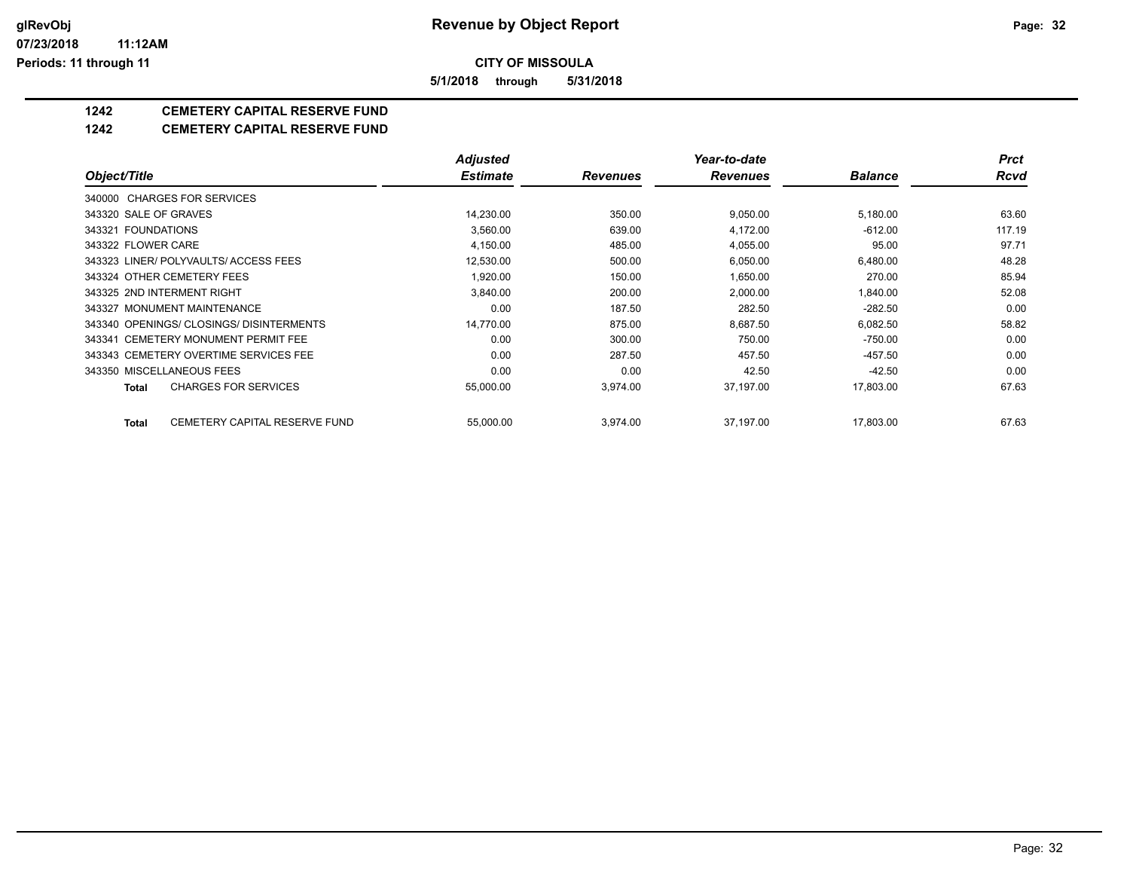**5/1/2018 through 5/31/2018**

# **1242 CEMETERY CAPITAL RESERVE FUND**

**1242 CEMETERY CAPITAL RESERVE FUND**

|                                                      | <b>Adjusted</b> |                 | Year-to-date    |                | <b>Prct</b> |
|------------------------------------------------------|-----------------|-----------------|-----------------|----------------|-------------|
| Object/Title                                         | <b>Estimate</b> | <b>Revenues</b> | <b>Revenues</b> | <b>Balance</b> | Rcvd        |
| 340000 CHARGES FOR SERVICES                          |                 |                 |                 |                |             |
| 343320 SALE OF GRAVES                                | 14,230.00       | 350.00          | 9,050.00        | 5,180.00       | 63.60       |
| 343321 FOUNDATIONS                                   | 3,560.00        | 639.00          | 4,172.00        | $-612.00$      | 117.19      |
| 343322 FLOWER CARE                                   | 4,150.00        | 485.00          | 4,055.00        | 95.00          | 97.71       |
| 343323 LINER/ POLYVAULTS/ ACCESS FEES                | 12,530.00       | 500.00          | 6,050.00        | 6,480.00       | 48.28       |
| 343324 OTHER CEMETERY FEES                           | 1,920.00        | 150.00          | 1,650.00        | 270.00         | 85.94       |
| 343325 2ND INTERMENT RIGHT                           | 3,840.00        | 200.00          | 2,000.00        | 1,840.00       | 52.08       |
| 343327 MONUMENT MAINTENANCE                          | 0.00            | 187.50          | 282.50          | $-282.50$      | 0.00        |
| 343340 OPENINGS/ CLOSINGS/ DISINTERMENTS             | 14.770.00       | 875.00          | 8.687.50        | 6,082.50       | 58.82       |
| 343341 CEMETERY MONUMENT PERMIT FEE                  | 0.00            | 300.00          | 750.00          | $-750.00$      | 0.00        |
| 343343 CEMETERY OVERTIME SERVICES FEE                | 0.00            | 287.50          | 457.50          | $-457.50$      | 0.00        |
| 343350 MISCELLANEOUS FEES                            | 0.00            | 0.00            | 42.50           | $-42.50$       | 0.00        |
| <b>CHARGES FOR SERVICES</b><br>Total                 | 55,000.00       | 3,974.00        | 37,197.00       | 17,803.00      | 67.63       |
| <b>CEMETERY CAPITAL RESERVE FUND</b><br><b>Total</b> | 55,000.00       | 3.974.00        | 37,197.00       | 17.803.00      | 67.63       |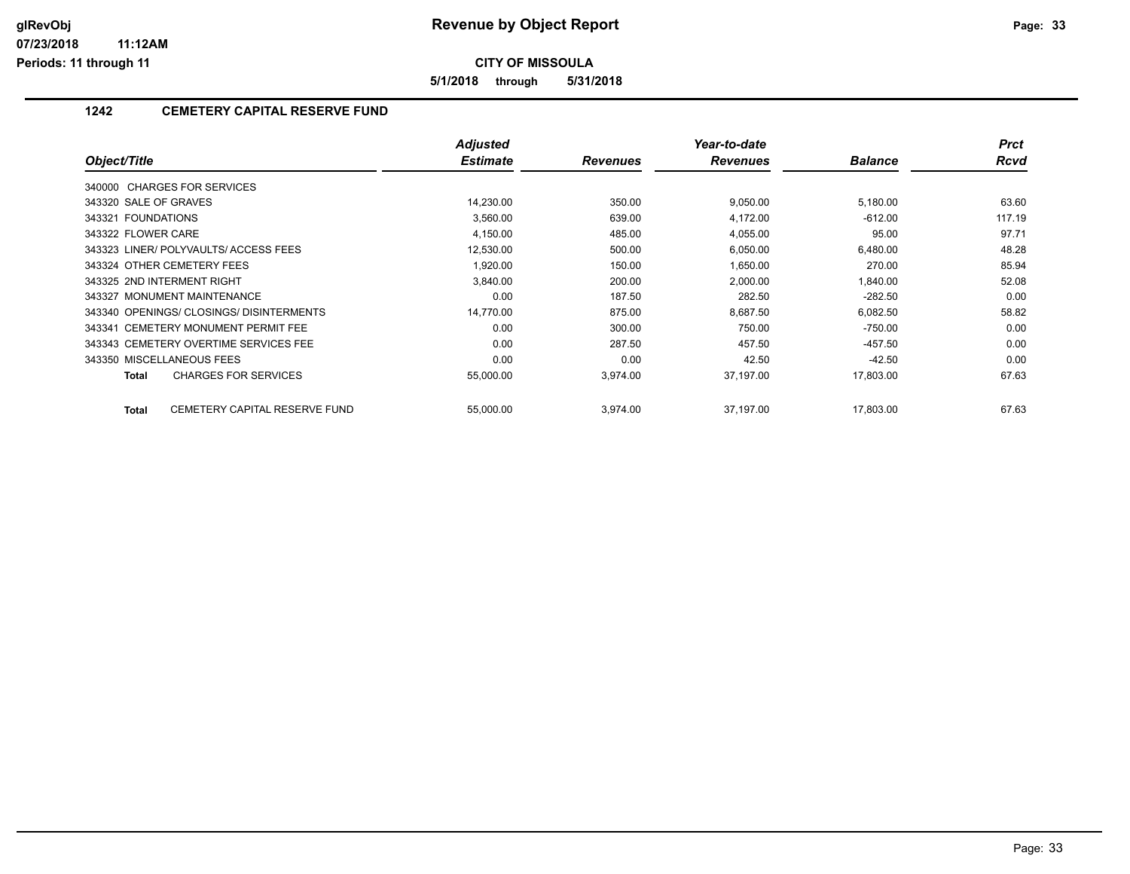**5/1/2018 through 5/31/2018**

## **1242 CEMETERY CAPITAL RESERVE FUND**

|                                               | <b>Adjusted</b> |                 | Year-to-date    |                | <b>Prct</b> |
|-----------------------------------------------|-----------------|-----------------|-----------------|----------------|-------------|
| Object/Title                                  | <b>Estimate</b> | <b>Revenues</b> | <b>Revenues</b> | <b>Balance</b> | <b>Rcvd</b> |
| 340000 CHARGES FOR SERVICES                   |                 |                 |                 |                |             |
| 343320 SALE OF GRAVES                         | 14,230.00       | 350.00          | 9,050.00        | 5,180.00       | 63.60       |
| 343321 FOUNDATIONS                            | 3,560.00        | 639.00          | 4,172.00        | $-612.00$      | 117.19      |
| 343322 FLOWER CARE                            | 4,150.00        | 485.00          | 4,055.00        | 95.00          | 97.71       |
| 343323 LINER/POLYVAULTS/ACCESS FEES           | 12,530.00       | 500.00          | 6,050.00        | 6,480.00       | 48.28       |
| 343324 OTHER CEMETERY FEES                    | 1,920.00        | 150.00          | 1,650.00        | 270.00         | 85.94       |
| 343325 2ND INTERMENT RIGHT                    | 3,840.00        | 200.00          | 2,000.00        | 1,840.00       | 52.08       |
| 343327 MONUMENT MAINTENANCE                   | 0.00            | 187.50          | 282.50          | $-282.50$      | 0.00        |
| 343340 OPENINGS/ CLOSINGS/ DISINTERMENTS      | 14.770.00       | 875.00          | 8,687.50        | 6,082.50       | 58.82       |
| 343341 CEMETERY MONUMENT PERMIT FEE           | 0.00            | 300.00          | 750.00          | -750.00        | 0.00        |
| 343343 CEMETERY OVERTIME SERVICES FEE         | 0.00            | 287.50          | 457.50          | $-457.50$      | 0.00        |
| 343350 MISCELLANEOUS FEES                     | 0.00            | 0.00            | 42.50           | $-42.50$       | 0.00        |
| <b>CHARGES FOR SERVICES</b><br>Total          | 55,000.00       | 3,974.00        | 37,197.00       | 17,803.00      | 67.63       |
| <b>CEMETERY CAPITAL RESERVE FUND</b><br>Total | 55,000.00       | 3,974.00        | 37,197.00       | 17,803.00      | 67.63       |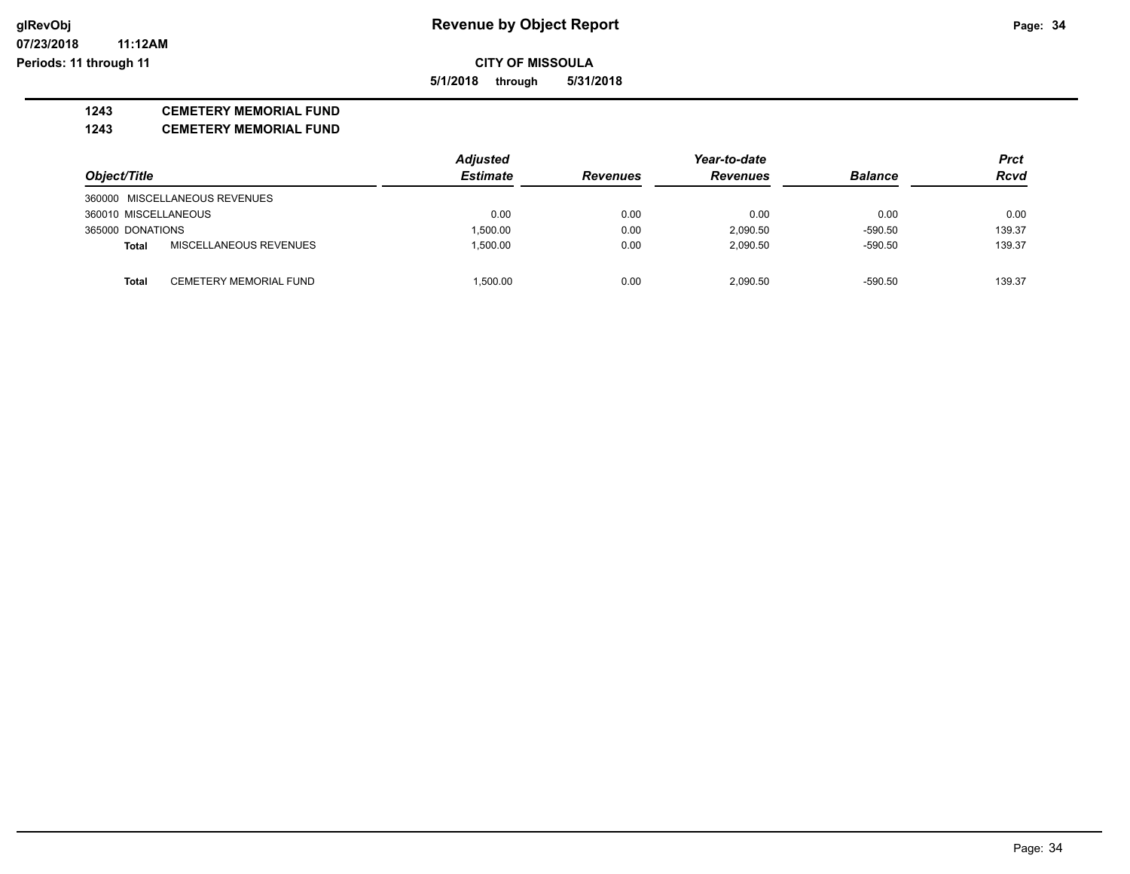**5/1/2018 through 5/31/2018**

# **1243 CEMETERY MEMORIAL FUND**

**1243 CEMETERY MEMORIAL FUND**

|                      |                               | <b>Adjusted</b> | Year-to-date    |                 |                | Prct        |
|----------------------|-------------------------------|-----------------|-----------------|-----------------|----------------|-------------|
| Object/Title         |                               | <b>Estimate</b> | <b>Revenues</b> | <b>Revenues</b> | <b>Balance</b> | <b>Rcvd</b> |
|                      | 360000 MISCELLANEOUS REVENUES |                 |                 |                 |                |             |
| 360010 MISCELLANEOUS |                               | 0.00            | 0.00            | 0.00            | 0.00           | 0.00        |
| 365000 DONATIONS     |                               | 1.500.00        | 0.00            | 2,090.50        | $-590.50$      | 139.37      |
| Total                | MISCELLANEOUS REVENUES        | 1.500.00        | 0.00            | 2,090.50        | $-590.50$      | 139.37      |
| Total                | CEMETERY MEMORIAL FUND        | 1.500.00        | 0.00            | 2,090.50        | $-590.50$      | 139.37      |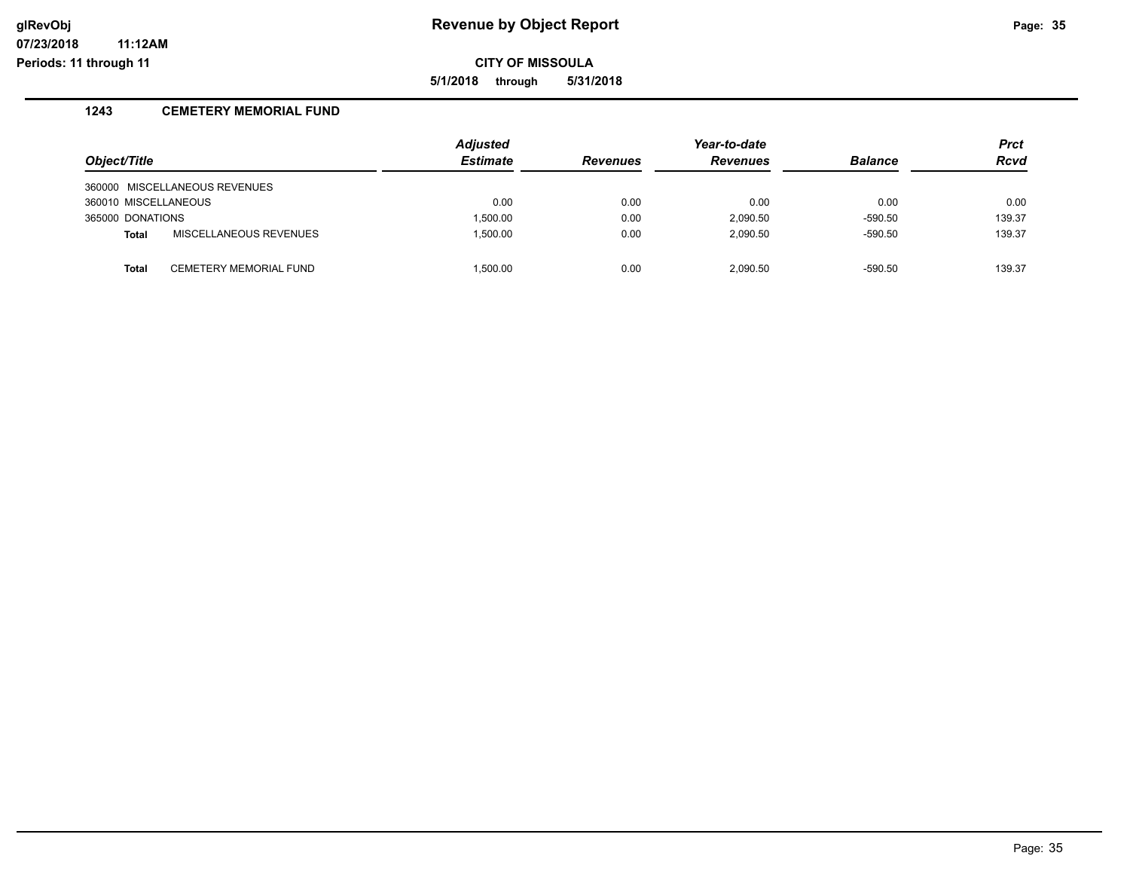**07/23/2018 11:12AM Periods: 11 through 11**

# **CITY OF MISSOULA**

**5/1/2018 through 5/31/2018**

# **1243 CEMETERY MEMORIAL FUND**

| Object/Title         |                               | <b>Adjusted</b><br><b>Estimate</b> | <b>Revenues</b> | Year-to-date<br><b>Revenues</b> | <b>Balance</b> | <b>Prct</b><br><b>Rcvd</b> |
|----------------------|-------------------------------|------------------------------------|-----------------|---------------------------------|----------------|----------------------------|
|                      | 360000 MISCELLANEOUS REVENUES |                                    |                 |                                 |                |                            |
| 360010 MISCELLANEOUS |                               | 0.00                               | 0.00            | 0.00                            | 0.00           | 0.00                       |
| 365000 DONATIONS     |                               | 1.500.00                           | 0.00            | 2.090.50                        | $-590.50$      | 139.37                     |
| <b>Total</b>         | MISCELLANEOUS REVENUES        | 1.500.00                           | 0.00            | 2.090.50                        | $-590.50$      | 139.37                     |
|                      |                               |                                    |                 |                                 |                |                            |
| <b>Total</b>         | <b>CEMETERY MEMORIAL FUND</b> | 1.500.00                           | 0.00            | 2.090.50                        | $-590.50$      | 139.37                     |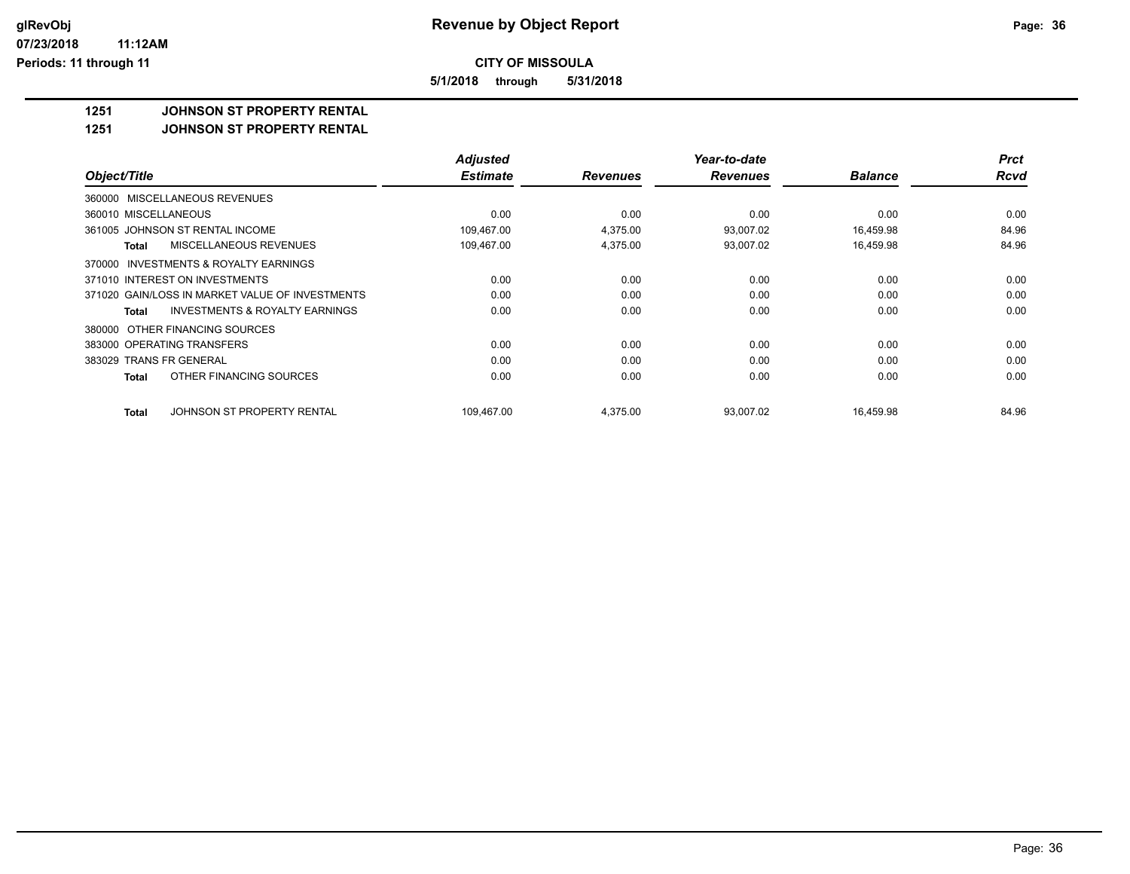**5/1/2018 through 5/31/2018**

# **1251 JOHNSON ST PROPERTY RENTAL**

**1251 JOHNSON ST PROPERTY RENTAL**

|                                                           | <b>Adjusted</b> |                 | Year-to-date    |                | <b>Prct</b> |
|-----------------------------------------------------------|-----------------|-----------------|-----------------|----------------|-------------|
| Object/Title                                              | <b>Estimate</b> | <b>Revenues</b> | <b>Revenues</b> | <b>Balance</b> | <b>Rcvd</b> |
| MISCELLANEOUS REVENUES<br>360000                          |                 |                 |                 |                |             |
| 360010 MISCELLANEOUS                                      | 0.00            | 0.00            | 0.00            | 0.00           | 0.00        |
| 361005 JOHNSON ST RENTAL INCOME                           | 109,467.00      | 4,375.00        | 93,007.02       | 16,459.98      | 84.96       |
| MISCELLANEOUS REVENUES<br><b>Total</b>                    | 109,467.00      | 4,375.00        | 93,007.02       | 16,459.98      | 84.96       |
| INVESTMENTS & ROYALTY EARNINGS<br>370000                  |                 |                 |                 |                |             |
| 371010 INTEREST ON INVESTMENTS                            | 0.00            | 0.00            | 0.00            | 0.00           | 0.00        |
| 371020 GAIN/LOSS IN MARKET VALUE OF INVESTMENTS           | 0.00            | 0.00            | 0.00            | 0.00           | 0.00        |
| <b>INVESTMENTS &amp; ROYALTY EARNINGS</b><br><b>Total</b> | 0.00            | 0.00            | 0.00            | 0.00           | 0.00        |
| OTHER FINANCING SOURCES<br>380000                         |                 |                 |                 |                |             |
| 383000 OPERATING TRANSFERS                                | 0.00            | 0.00            | 0.00            | 0.00           | 0.00        |
| 383029 TRANS FR GENERAL                                   | 0.00            | 0.00            | 0.00            | 0.00           | 0.00        |
| OTHER FINANCING SOURCES<br><b>Total</b>                   | 0.00            | 0.00            | 0.00            | 0.00           | 0.00        |
| JOHNSON ST PROPERTY RENTAL<br><b>Total</b>                | 109.467.00      | 4,375.00        | 93,007.02       | 16,459.98      | 84.96       |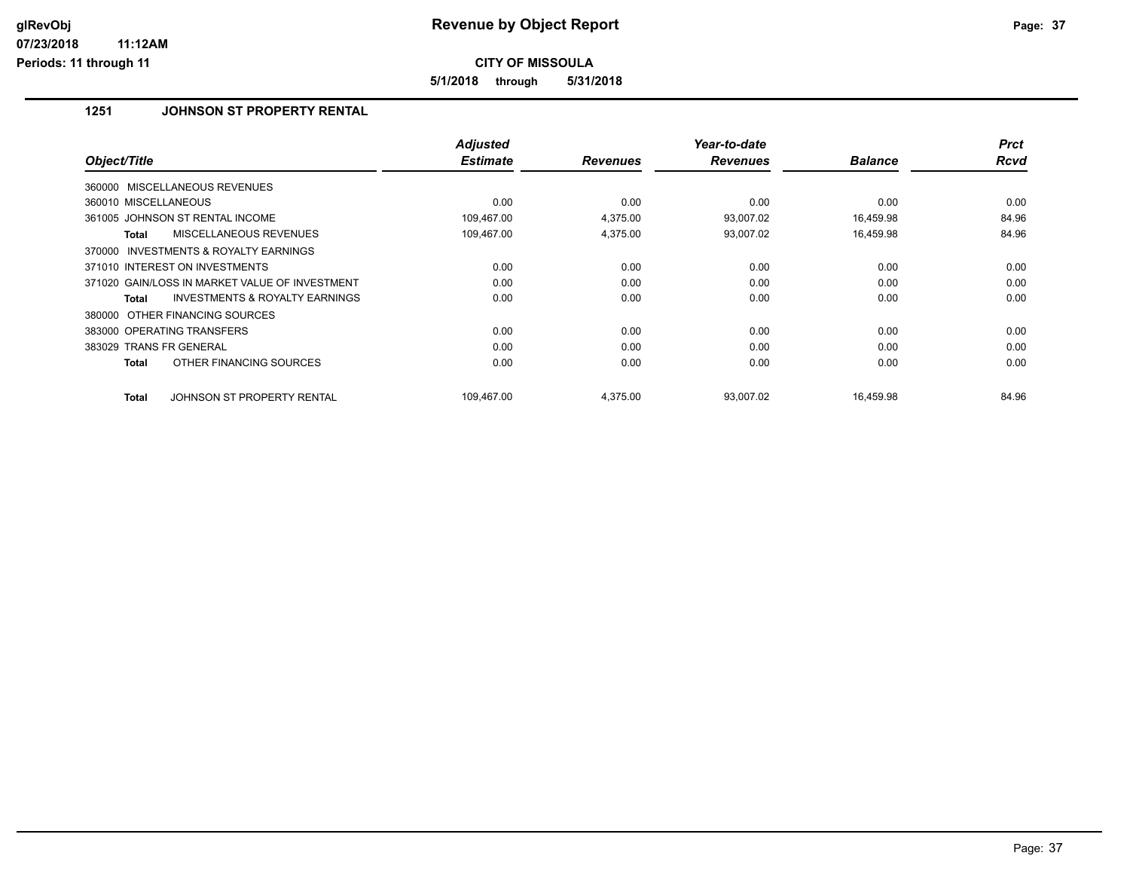**5/1/2018 through 5/31/2018**

### **1251 JOHNSON ST PROPERTY RENTAL**

| Object/Title                                        | <b>Adjusted</b><br><b>Estimate</b> | <b>Revenues</b> | Year-to-date<br><b>Revenues</b> | <b>Balance</b> | <b>Prct</b><br><b>Rcvd</b> |
|-----------------------------------------------------|------------------------------------|-----------------|---------------------------------|----------------|----------------------------|
|                                                     |                                    |                 |                                 |                |                            |
| 360000 MISCELLANEOUS REVENUES                       |                                    |                 |                                 |                |                            |
| 360010 MISCELLANEOUS                                | 0.00                               | 0.00            | 0.00                            | 0.00           | 0.00                       |
| 361005 JOHNSON ST RENTAL INCOME                     | 109,467.00                         | 4,375.00        | 93,007.02                       | 16,459.98      | 84.96                      |
| <b>MISCELLANEOUS REVENUES</b><br>Total              | 109,467.00                         | 4,375.00        | 93,007.02                       | 16,459.98      | 84.96                      |
| <b>INVESTMENTS &amp; ROYALTY EARNINGS</b><br>370000 |                                    |                 |                                 |                |                            |
| 371010 INTEREST ON INVESTMENTS                      | 0.00                               | 0.00            | 0.00                            | 0.00           | 0.00                       |
| 371020 GAIN/LOSS IN MARKET VALUE OF INVESTMENT      | 0.00                               | 0.00            | 0.00                            | 0.00           | 0.00                       |
| <b>INVESTMENTS &amp; ROYALTY EARNINGS</b><br>Total  | 0.00                               | 0.00            | 0.00                            | 0.00           | 0.00                       |
| 380000 OTHER FINANCING SOURCES                      |                                    |                 |                                 |                |                            |
| 383000 OPERATING TRANSFERS                          | 0.00                               | 0.00            | 0.00                            | 0.00           | 0.00                       |
| 383029 TRANS FR GENERAL                             | 0.00                               | 0.00            | 0.00                            | 0.00           | 0.00                       |
| OTHER FINANCING SOURCES<br><b>Total</b>             | 0.00                               | 0.00            | 0.00                            | 0.00           | 0.00                       |
| JOHNSON ST PROPERTY RENTAL<br><b>Total</b>          | 109.467.00                         | 4,375.00        | 93,007.02                       | 16,459.98      | 84.96                      |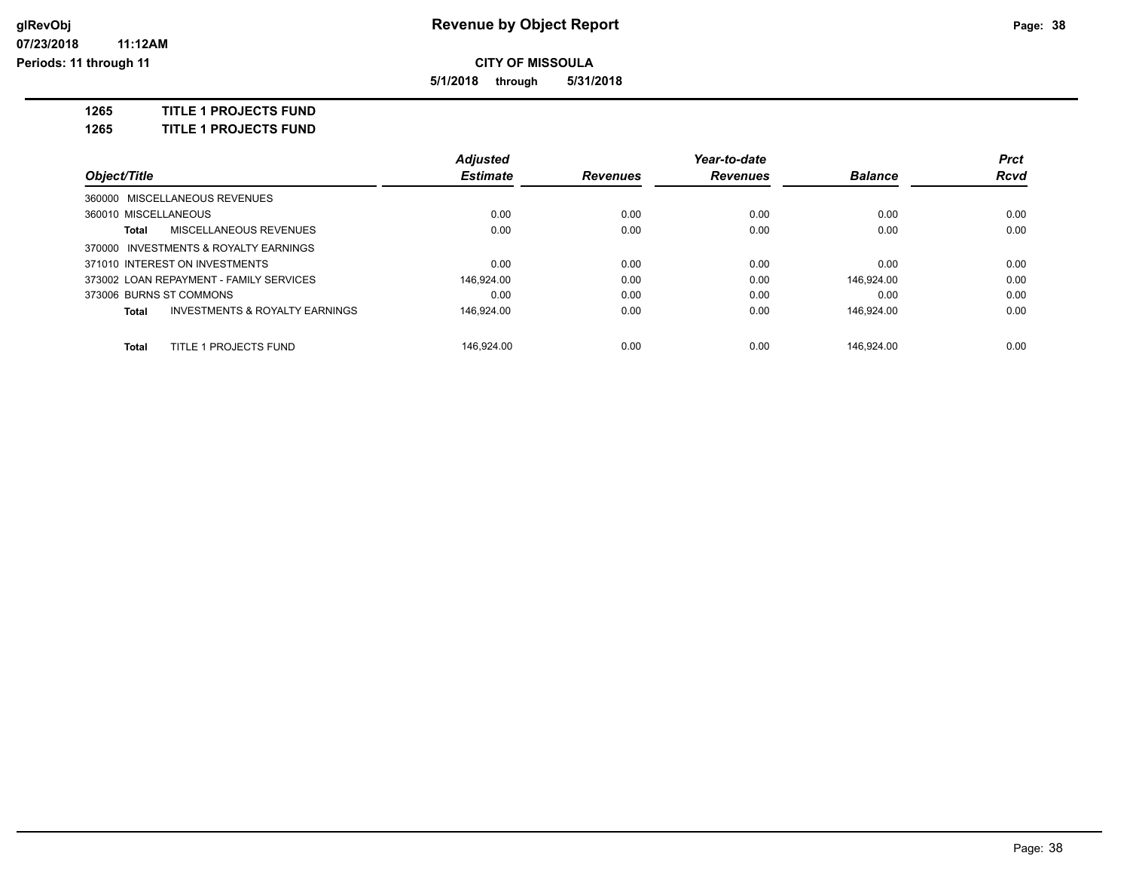**5/1/2018 through 5/31/2018**

**1265 TITLE 1 PROJECTS FUND**

**1265 TITLE 1 PROJECTS FUND**

|                                         | <b>Adjusted</b> |                 | Year-to-date    |                | <b>Prct</b> |
|-----------------------------------------|-----------------|-----------------|-----------------|----------------|-------------|
| Object/Title                            | <b>Estimate</b> | <b>Revenues</b> | <b>Revenues</b> | <b>Balance</b> | Rcvd        |
| 360000 MISCELLANEOUS REVENUES           |                 |                 |                 |                |             |
| 360010 MISCELLANEOUS                    | 0.00            | 0.00            | 0.00            | 0.00           | 0.00        |
| MISCELLANEOUS REVENUES<br>Total         | 0.00            | 0.00            | 0.00            | 0.00           | 0.00        |
| 370000 INVESTMENTS & ROYALTY EARNINGS   |                 |                 |                 |                |             |
| 371010 INTEREST ON INVESTMENTS          | 0.00            | 0.00            | 0.00            | 0.00           | 0.00        |
| 373002 LOAN REPAYMENT - FAMILY SERVICES | 146.924.00      | 0.00            | 0.00            | 146.924.00     | 0.00        |
| 373006 BURNS ST COMMONS                 | 0.00            | 0.00            | 0.00            | 0.00           | 0.00        |
| INVESTMENTS & ROYALTY EARNINGS<br>Total | 146.924.00      | 0.00            | 0.00            | 146.924.00     | 0.00        |
| TITLE 1 PROJECTS FUND<br>Total          | 146.924.00      | 0.00            | 0.00            | 146.924.00     | 0.00        |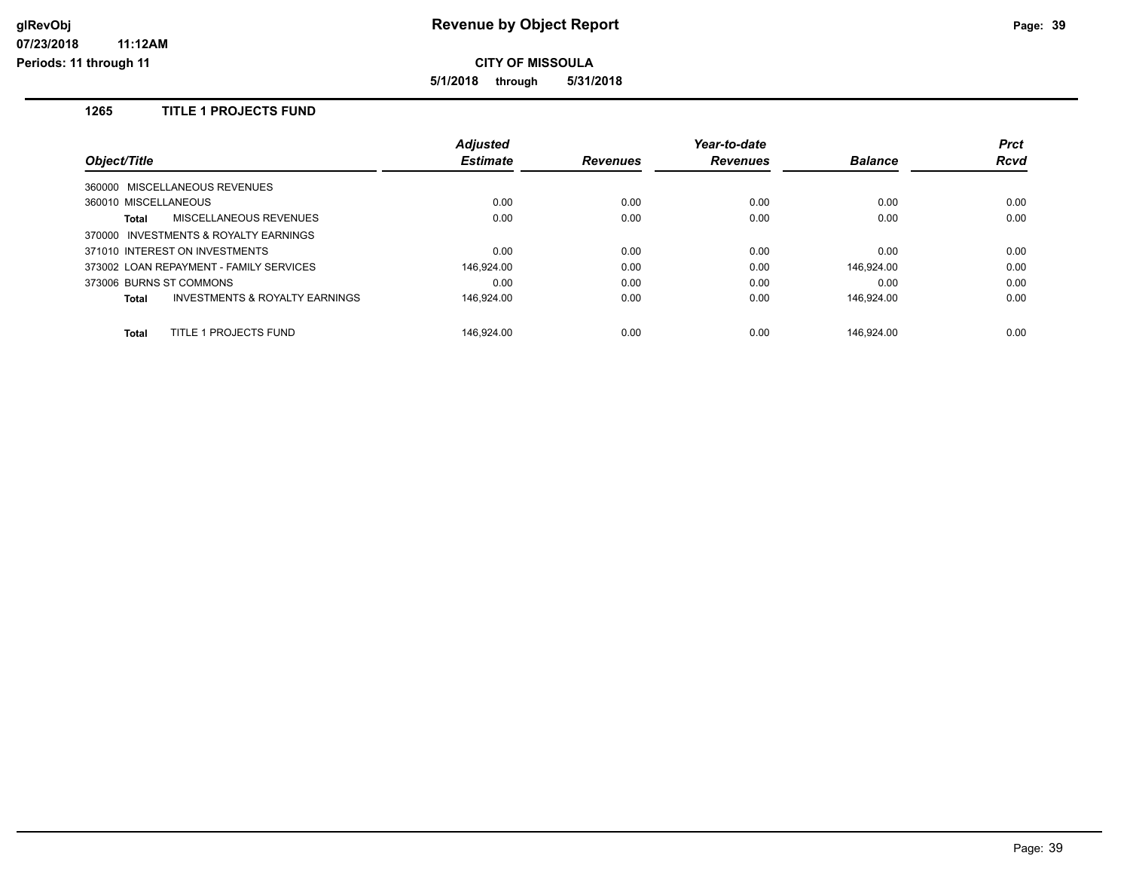**CITY OF MISSOULA**

**5/1/2018 through 5/31/2018**

### **1265 TITLE 1 PROJECTS FUND**

|                                         |                                | <b>Adjusted</b> |                 | Year-to-date    |                | <b>Prct</b> |
|-----------------------------------------|--------------------------------|-----------------|-----------------|-----------------|----------------|-------------|
| Object/Title                            |                                | <b>Estimate</b> | <b>Revenues</b> | <b>Revenues</b> | <b>Balance</b> | <b>Rcvd</b> |
| 360000 MISCELLANEOUS REVENUES           |                                |                 |                 |                 |                |             |
| 360010 MISCELLANEOUS                    |                                | 0.00            | 0.00            | 0.00            | 0.00           | 0.00        |
| MISCELLANEOUS REVENUES<br>Total         |                                | 0.00            | 0.00            | 0.00            | 0.00           | 0.00        |
| 370000 INVESTMENTS & ROYALTY EARNINGS   |                                |                 |                 |                 |                |             |
| 371010 INTEREST ON INVESTMENTS          |                                | 0.00            | 0.00            | 0.00            | 0.00           | 0.00        |
| 373002 LOAN REPAYMENT - FAMILY SERVICES |                                | 146.924.00      | 0.00            | 0.00            | 146.924.00     | 0.00        |
| 373006 BURNS ST COMMONS                 |                                | 0.00            | 0.00            | 0.00            | 0.00           | 0.00        |
| Total                                   | INVESTMENTS & ROYALTY EARNINGS | 146.924.00      | 0.00            | 0.00            | 146.924.00     | 0.00        |
| TITLE 1 PROJECTS FUND<br><b>Total</b>   |                                | 146.924.00      | 0.00            | 0.00            | 146.924.00     | 0.00        |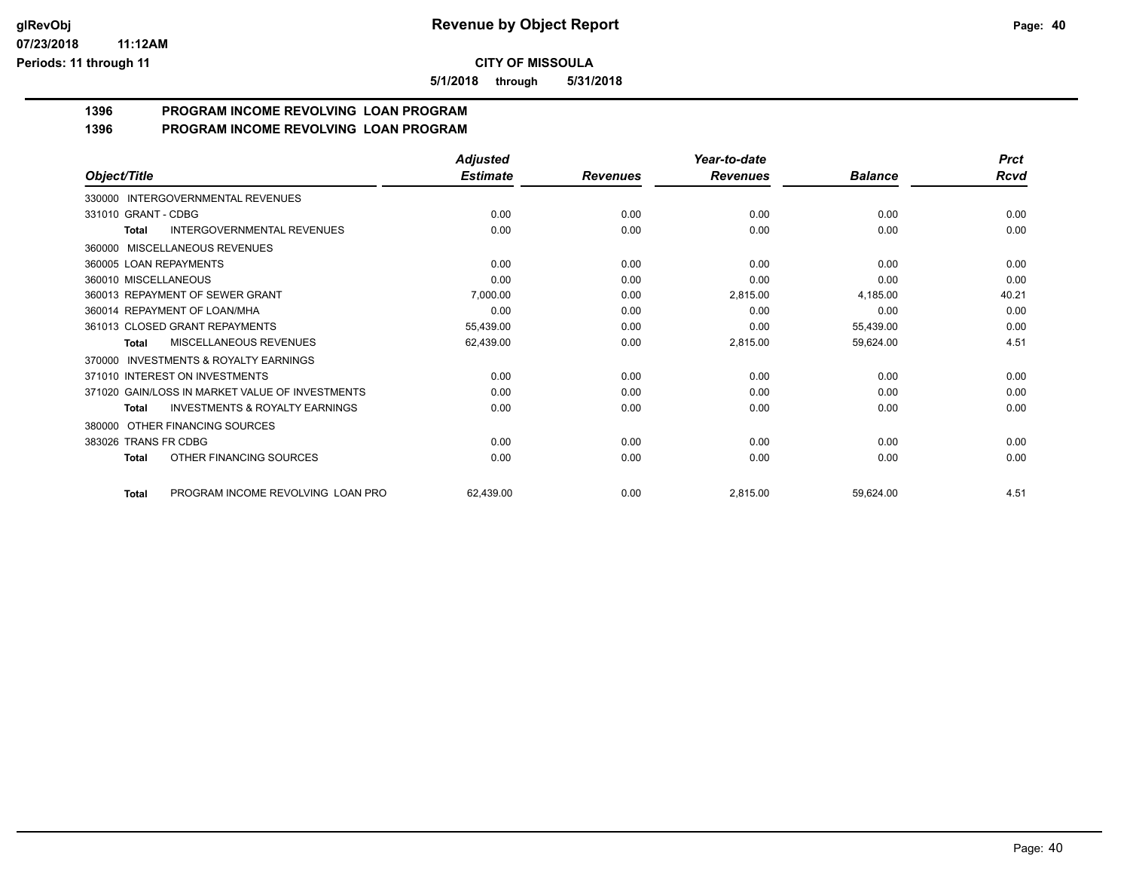**5/1/2018 through 5/31/2018**

# **1396 PROGRAM INCOME REVOLVING LOAN PROGRAM**

|  | 1396 | <b>PROGRAM INCOME REVOLVING LOAN PROGRAM</b> |  |
|--|------|----------------------------------------------|--|
|--|------|----------------------------------------------|--|

|                                                           | <b>Adjusted</b> |                 | Year-to-date    |                | <b>Prct</b> |
|-----------------------------------------------------------|-----------------|-----------------|-----------------|----------------|-------------|
| Object/Title                                              | <b>Estimate</b> | <b>Revenues</b> | <b>Revenues</b> | <b>Balance</b> | <b>Rcvd</b> |
| 330000 INTERGOVERNMENTAL REVENUES                         |                 |                 |                 |                |             |
| 331010 GRANT - CDBG                                       | 0.00            | 0.00            | 0.00            | 0.00           | 0.00        |
| <b>INTERGOVERNMENTAL REVENUES</b><br><b>Total</b>         | 0.00            | 0.00            | 0.00            | 0.00           | 0.00        |
| MISCELLANEOUS REVENUES<br>360000                          |                 |                 |                 |                |             |
| 360005 LOAN REPAYMENTS                                    | 0.00            | 0.00            | 0.00            | 0.00           | 0.00        |
| 360010 MISCELLANEOUS                                      | 0.00            | 0.00            | 0.00            | 0.00           | 0.00        |
| 360013 REPAYMENT OF SEWER GRANT                           | 7,000.00        | 0.00            | 2,815.00        | 4,185.00       | 40.21       |
| 360014 REPAYMENT OF LOAN/MHA                              | 0.00            | 0.00            | 0.00            | 0.00           | 0.00        |
| 361013 CLOSED GRANT REPAYMENTS                            | 55,439.00       | 0.00            | 0.00            | 55,439.00      | 0.00        |
| MISCELLANEOUS REVENUES<br><b>Total</b>                    | 62,439.00       | 0.00            | 2,815.00        | 59,624.00      | 4.51        |
| <b>INVESTMENTS &amp; ROYALTY EARNINGS</b><br>370000       |                 |                 |                 |                |             |
| 371010 INTEREST ON INVESTMENTS                            | 0.00            | 0.00            | 0.00            | 0.00           | 0.00        |
| 371020 GAIN/LOSS IN MARKET VALUE OF INVESTMENTS           | 0.00            | 0.00            | 0.00            | 0.00           | 0.00        |
| <b>INVESTMENTS &amp; ROYALTY EARNINGS</b><br><b>Total</b> | 0.00            | 0.00            | 0.00            | 0.00           | 0.00        |
| OTHER FINANCING SOURCES<br>380000                         |                 |                 |                 |                |             |
| 383026 TRANS FR CDBG                                      | 0.00            | 0.00            | 0.00            | 0.00           | 0.00        |
| OTHER FINANCING SOURCES<br><b>Total</b>                   | 0.00            | 0.00            | 0.00            | 0.00           | 0.00        |
| PROGRAM INCOME REVOLVING LOAN PRO<br>Total                | 62,439.00       | 0.00            | 2,815.00        | 59,624.00      | 4.51        |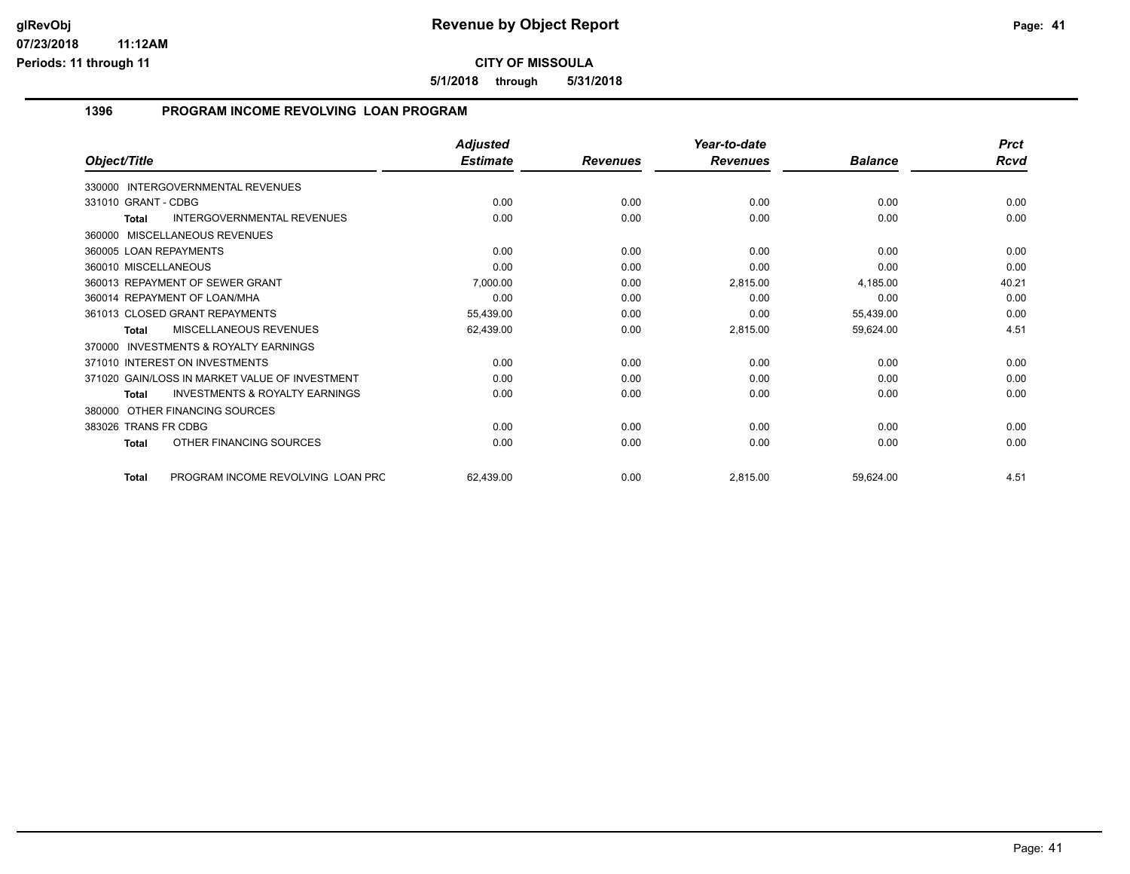**5/1/2018 through 5/31/2018**

### **1396 PROGRAM INCOME REVOLVING LOAN PROGRAM**

|                                                           | <b>Adjusted</b> |                 | Year-to-date    |                | <b>Prct</b> |
|-----------------------------------------------------------|-----------------|-----------------|-----------------|----------------|-------------|
| Object/Title                                              | <b>Estimate</b> | <b>Revenues</b> | <b>Revenues</b> | <b>Balance</b> | <b>Rcvd</b> |
| 330000 INTERGOVERNMENTAL REVENUES                         |                 |                 |                 |                |             |
| 331010 GRANT - CDBG                                       | 0.00            | 0.00            | 0.00            | 0.00           | 0.00        |
| <b>INTERGOVERNMENTAL REVENUES</b><br><b>Total</b>         | 0.00            | 0.00            | 0.00            | 0.00           | 0.00        |
| 360000 MISCELLANEOUS REVENUES                             |                 |                 |                 |                |             |
| 360005 LOAN REPAYMENTS                                    | 0.00            | 0.00            | 0.00            | 0.00           | 0.00        |
| 360010 MISCELLANEOUS                                      | 0.00            | 0.00            | 0.00            | 0.00           | 0.00        |
| 360013 REPAYMENT OF SEWER GRANT                           | 7,000.00        | 0.00            | 2,815.00        | 4,185.00       | 40.21       |
| 360014 REPAYMENT OF LOAN/MHA                              | 0.00            | 0.00            | 0.00            | 0.00           | 0.00        |
| 361013 CLOSED GRANT REPAYMENTS                            | 55,439.00       | 0.00            | 0.00            | 55,439.00      | 0.00        |
| MISCELLANEOUS REVENUES<br><b>Total</b>                    | 62,439.00       | 0.00            | 2,815.00        | 59,624.00      | 4.51        |
| <b>INVESTMENTS &amp; ROYALTY EARNINGS</b><br>370000       |                 |                 |                 |                |             |
| 371010 INTEREST ON INVESTMENTS                            | 0.00            | 0.00            | 0.00            | 0.00           | 0.00        |
| 371020 GAIN/LOSS IN MARKET VALUE OF INVESTMENT            | 0.00            | 0.00            | 0.00            | 0.00           | 0.00        |
| <b>INVESTMENTS &amp; ROYALTY EARNINGS</b><br><b>Total</b> | 0.00            | 0.00            | 0.00            | 0.00           | 0.00        |
| 380000 OTHER FINANCING SOURCES                            |                 |                 |                 |                |             |
| 383026 TRANS FR CDBG                                      | 0.00            | 0.00            | 0.00            | 0.00           | 0.00        |
| OTHER FINANCING SOURCES<br><b>Total</b>                   | 0.00            | 0.00            | 0.00            | 0.00           | 0.00        |
| PROGRAM INCOME REVOLVING LOAN PRC<br><b>Total</b>         | 62,439.00       | 0.00            | 2,815.00        | 59,624.00      | 4.51        |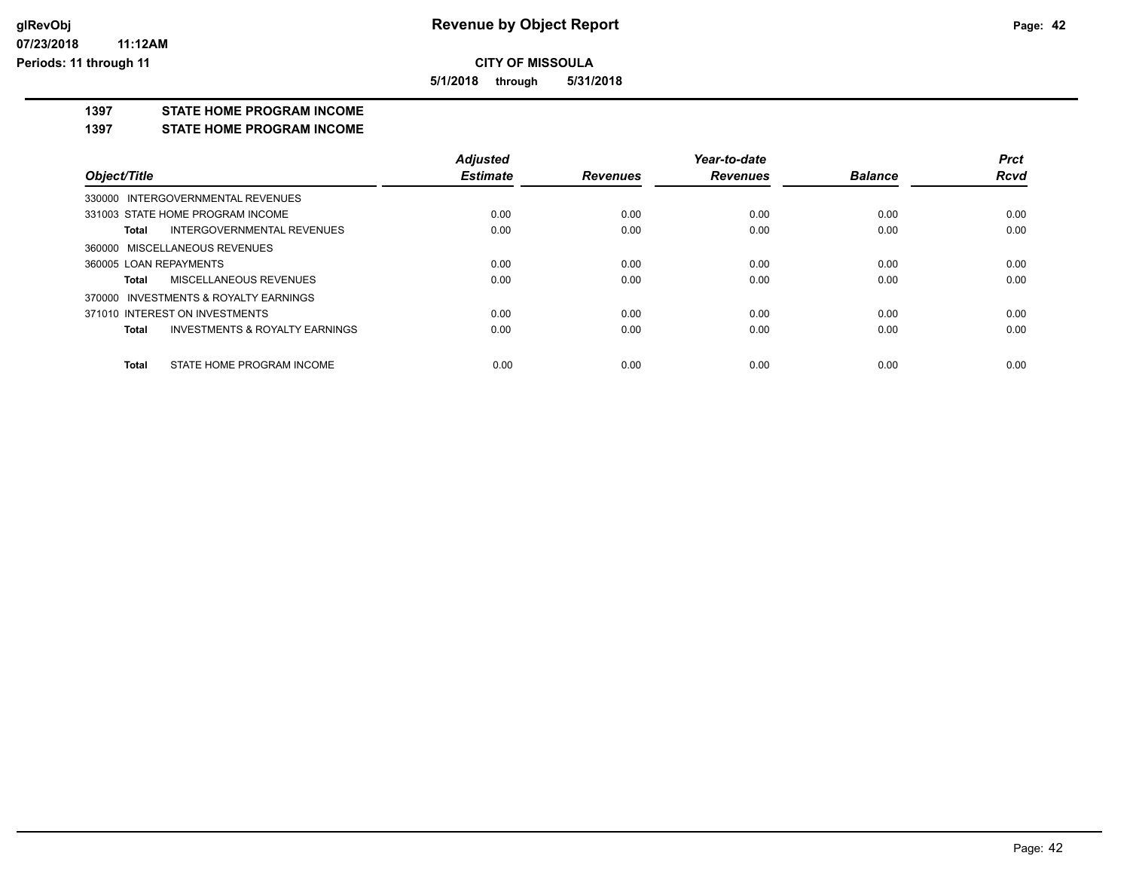**5/1/2018 through 5/31/2018**

### **1397 STATE HOME PROGRAM INCOME**

### **1397 STATE HOME PROGRAM INCOME**

|                                                    | <b>Adjusted</b> |                 | Year-to-date    |                | <b>Prct</b> |
|----------------------------------------------------|-----------------|-----------------|-----------------|----------------|-------------|
| Object/Title                                       | <b>Estimate</b> | <b>Revenues</b> | <b>Revenues</b> | <b>Balance</b> | <b>Rcvd</b> |
| 330000 INTERGOVERNMENTAL REVENUES                  |                 |                 |                 |                |             |
| 331003 STATE HOME PROGRAM INCOME                   | 0.00            | 0.00            | 0.00            | 0.00           | 0.00        |
| INTERGOVERNMENTAL REVENUES<br>Total                | 0.00            | 0.00            | 0.00            | 0.00           | 0.00        |
| 360000 MISCELLANEOUS REVENUES                      |                 |                 |                 |                |             |
| 360005 LOAN REPAYMENTS                             | 0.00            | 0.00            | 0.00            | 0.00           | 0.00        |
| <b>MISCELLANEOUS REVENUES</b><br>Total             | 0.00            | 0.00            | 0.00            | 0.00           | 0.00        |
| 370000 INVESTMENTS & ROYALTY EARNINGS              |                 |                 |                 |                |             |
| 371010 INTEREST ON INVESTMENTS                     | 0.00            | 0.00            | 0.00            | 0.00           | 0.00        |
| <b>INVESTMENTS &amp; ROYALTY EARNINGS</b><br>Total | 0.00            | 0.00            | 0.00            | 0.00           | 0.00        |
| STATE HOME PROGRAM INCOME<br><b>Total</b>          | 0.00            | 0.00            | 0.00            | 0.00           | 0.00        |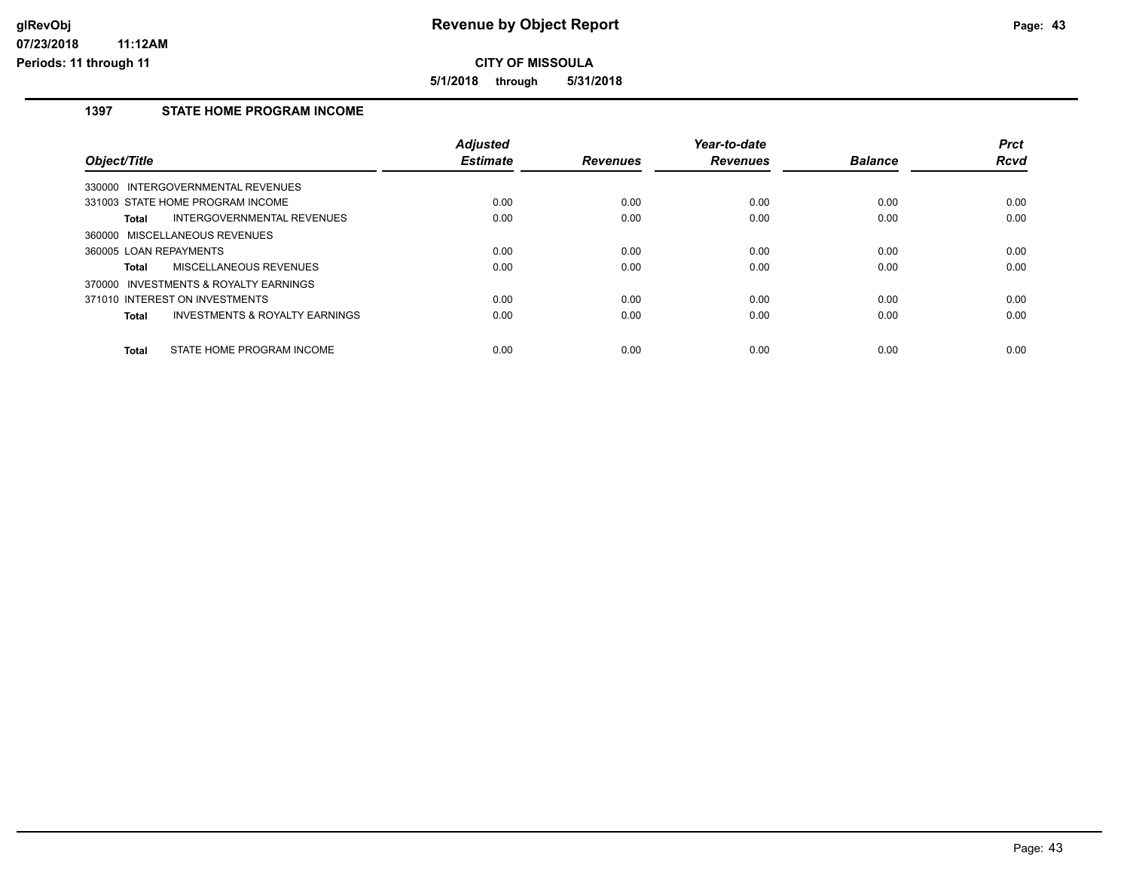**5/1/2018 through 5/31/2018**

### **1397 STATE HOME PROGRAM INCOME**

| Object/Title           |                                           | <b>Adjusted</b><br><b>Estimate</b> | <b>Revenues</b> | Year-to-date<br><b>Revenues</b> | <b>Balance</b> | <b>Prct</b><br><b>Rcvd</b> |
|------------------------|-------------------------------------------|------------------------------------|-----------------|---------------------------------|----------------|----------------------------|
| 330000                 | INTERGOVERNMENTAL REVENUES                |                                    |                 |                                 |                |                            |
|                        | 331003 STATE HOME PROGRAM INCOME          | 0.00                               | 0.00            | 0.00                            | 0.00           | 0.00                       |
| Total                  | INTERGOVERNMENTAL REVENUES                | 0.00                               | 0.00            | 0.00                            | 0.00           | 0.00                       |
| 360000                 | MISCELLANEOUS REVENUES                    |                                    |                 |                                 |                |                            |
| 360005 LOAN REPAYMENTS |                                           | 0.00                               | 0.00            | 0.00                            | 0.00           | 0.00                       |
| <b>Total</b>           | MISCELLANEOUS REVENUES                    | 0.00                               | 0.00            | 0.00                            | 0.00           | 0.00                       |
| 370000                 | INVESTMENTS & ROYALTY EARNINGS            |                                    |                 |                                 |                |                            |
|                        | 371010 INTEREST ON INVESTMENTS            | 0.00                               | 0.00            | 0.00                            | 0.00           | 0.00                       |
| <b>Total</b>           | <b>INVESTMENTS &amp; ROYALTY EARNINGS</b> | 0.00                               | 0.00            | 0.00                            | 0.00           | 0.00                       |
| <b>Total</b>           | STATE HOME PROGRAM INCOME                 | 0.00                               | 0.00            | 0.00                            | 0.00           | 0.00                       |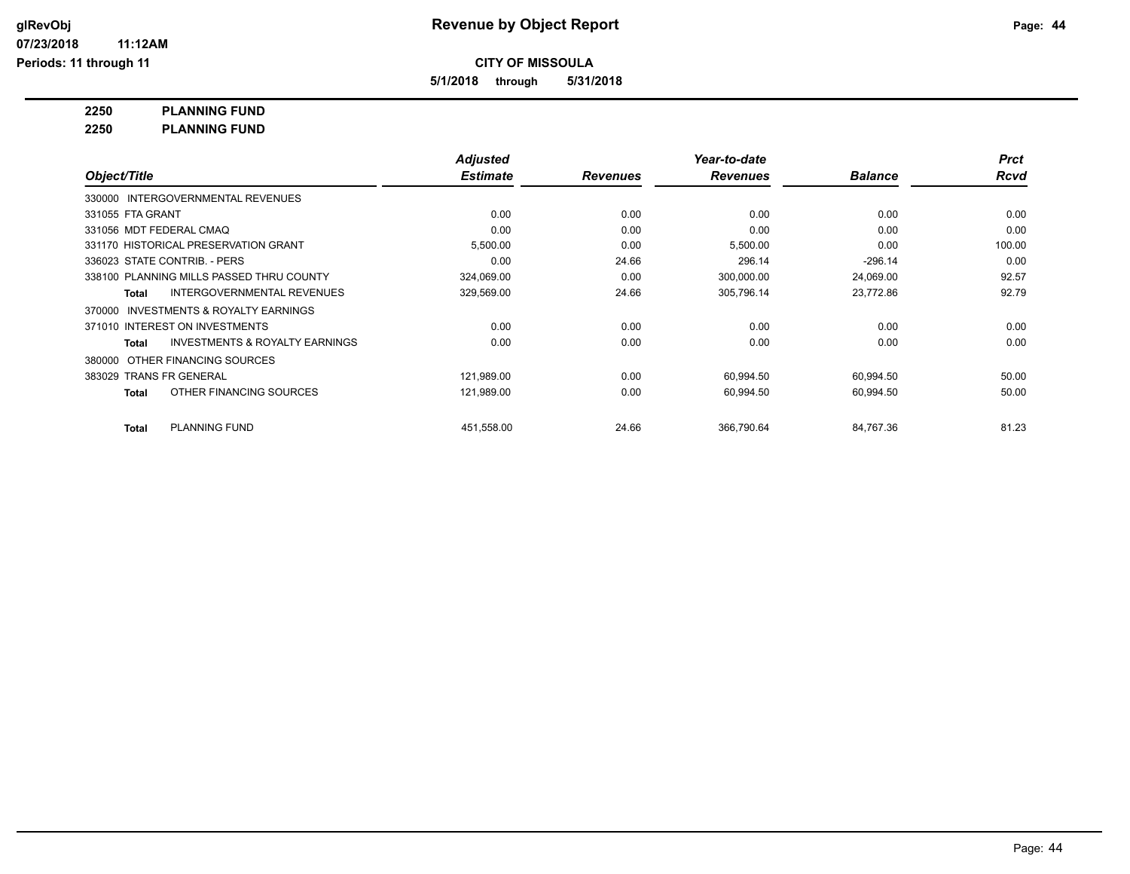**5/1/2018 through 5/31/2018**

### **2250 PLANNING FUND**

**2250 PLANNING FUND**

|                                                     | <b>Adjusted</b> |                 | Year-to-date    |                | <b>Prct</b> |
|-----------------------------------------------------|-----------------|-----------------|-----------------|----------------|-------------|
| Object/Title                                        | <b>Estimate</b> | <b>Revenues</b> | <b>Revenues</b> | <b>Balance</b> | <b>Rcvd</b> |
| 330000 INTERGOVERNMENTAL REVENUES                   |                 |                 |                 |                |             |
| 331055 FTA GRANT                                    | 0.00            | 0.00            | 0.00            | 0.00           | 0.00        |
| 331056 MDT FEDERAL CMAQ                             | 0.00            | 0.00            | 0.00            | 0.00           | 0.00        |
| 331170 HISTORICAL PRESERVATION GRANT                | 5,500.00        | 0.00            | 5,500.00        | 0.00           | 100.00      |
| 336023 STATE CONTRIB. - PERS                        | 0.00            | 24.66           | 296.14          | $-296.14$      | 0.00        |
| 338100 PLANNING MILLS PASSED THRU COUNTY            | 324,069.00      | 0.00            | 300,000.00      | 24,069.00      | 92.57       |
| <b>INTERGOVERNMENTAL REVENUES</b><br>Total          | 329,569.00      | 24.66           | 305,796.14      | 23,772.86      | 92.79       |
| <b>INVESTMENTS &amp; ROYALTY EARNINGS</b><br>370000 |                 |                 |                 |                |             |
| 371010 INTEREST ON INVESTMENTS                      | 0.00            | 0.00            | 0.00            | 0.00           | 0.00        |
| <b>INVESTMENTS &amp; ROYALTY EARNINGS</b><br>Total  | 0.00            | 0.00            | 0.00            | 0.00           | 0.00        |
| OTHER FINANCING SOURCES<br>380000                   |                 |                 |                 |                |             |
| 383029 TRANS FR GENERAL                             | 121,989.00      | 0.00            | 60,994.50       | 60,994.50      | 50.00       |
| OTHER FINANCING SOURCES<br><b>Total</b>             | 121,989.00      | 0.00            | 60,994.50       | 60,994.50      | 50.00       |
| <b>PLANNING FUND</b><br><b>Total</b>                | 451,558.00      | 24.66           | 366,790.64      | 84,767.36      | 81.23       |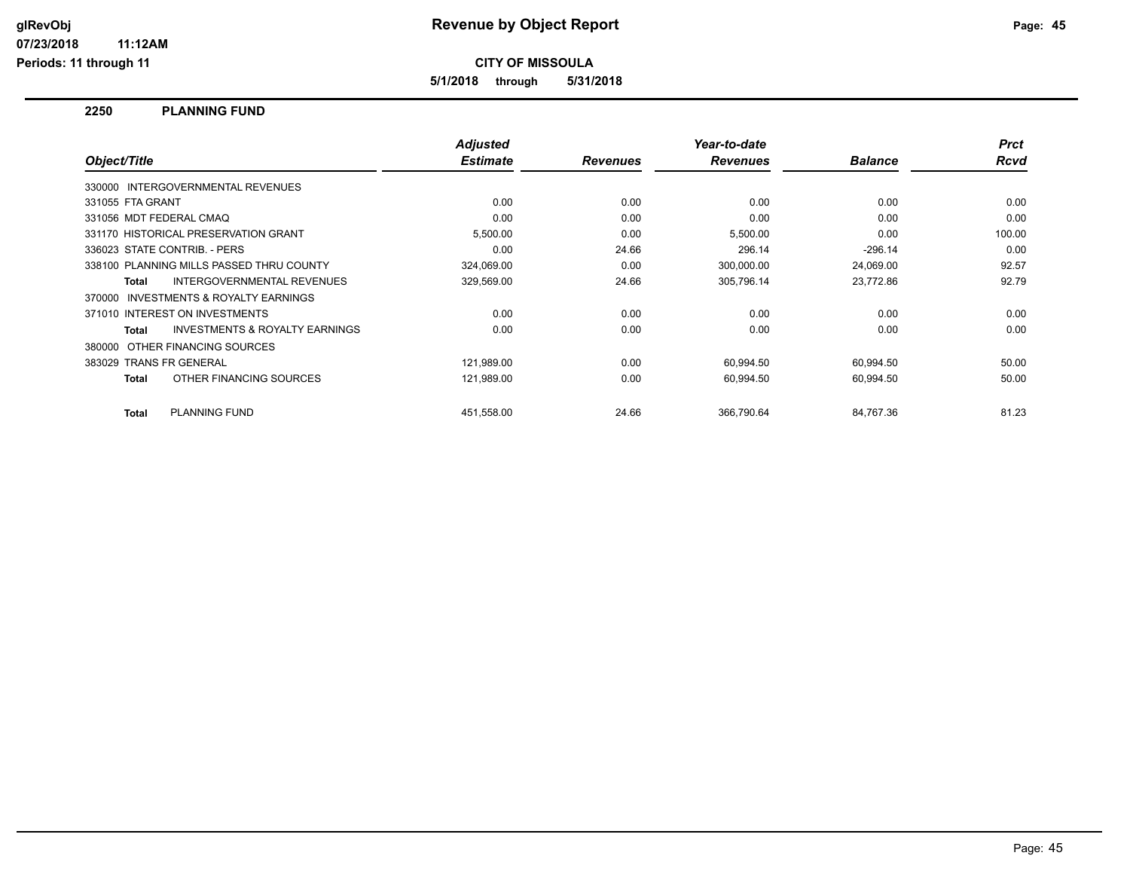**CITY OF MISSOULA**

**5/1/2018 through 5/31/2018**

### **2250 PLANNING FUND**

**11:12AM**

| Object/Title     |                                           | <b>Adjusted</b><br><b>Estimate</b> | <b>Revenues</b> | Year-to-date<br><b>Revenues</b> | <b>Balance</b> | <b>Prct</b><br>Rcvd |
|------------------|-------------------------------------------|------------------------------------|-----------------|---------------------------------|----------------|---------------------|
|                  | 330000 INTERGOVERNMENTAL REVENUES         |                                    |                 |                                 |                |                     |
| 331055 FTA GRANT |                                           | 0.00                               | 0.00            | 0.00                            | 0.00           | 0.00                |
|                  | 331056 MDT FEDERAL CMAQ                   | 0.00                               | 0.00            | 0.00                            | 0.00           | 0.00                |
|                  | 331170 HISTORICAL PRESERVATION GRANT      | 5,500.00                           | 0.00            | 5,500.00                        | 0.00           | 100.00              |
|                  | 336023 STATE CONTRIB. - PERS              | 0.00                               | 24.66           | 296.14                          | $-296.14$      | 0.00                |
|                  | 338100 PLANNING MILLS PASSED THRU COUNTY  | 324,069.00                         | 0.00            | 300,000.00                      | 24,069.00      | 92.57               |
| <b>Total</b>     | <b>INTERGOVERNMENTAL REVENUES</b>         | 329,569.00                         | 24.66           | 305,796.14                      | 23,772.86      | 92.79               |
| 370000           | <b>INVESTMENTS &amp; ROYALTY EARNINGS</b> |                                    |                 |                                 |                |                     |
|                  | 371010 INTEREST ON INVESTMENTS            | 0.00                               | 0.00            | 0.00                            | 0.00           | 0.00                |
| Total            | <b>INVESTMENTS &amp; ROYALTY EARNINGS</b> | 0.00                               | 0.00            | 0.00                            | 0.00           | 0.00                |
|                  | 380000 OTHER FINANCING SOURCES            |                                    |                 |                                 |                |                     |
|                  | 383029 TRANS FR GENERAL                   | 121,989.00                         | 0.00            | 60,994.50                       | 60,994.50      | 50.00               |
| Total            | OTHER FINANCING SOURCES                   | 121,989.00                         | 0.00            | 60,994.50                       | 60,994.50      | 50.00               |
|                  |                                           |                                    |                 |                                 |                |                     |
| Total            | <b>PLANNING FUND</b>                      | 451,558.00                         | 24.66           | 366.790.64                      | 84,767.36      | 81.23               |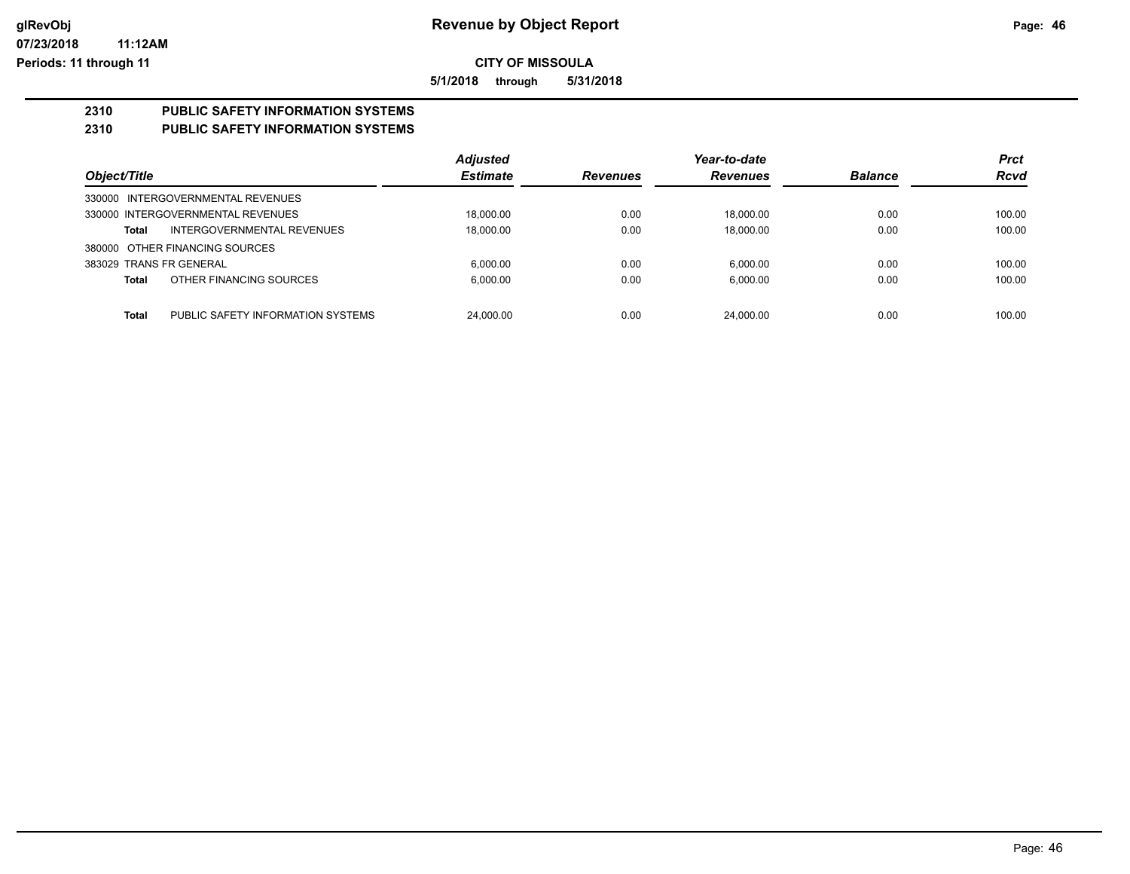**5/1/2018 through 5/31/2018**

### **2310 PUBLIC SAFETY INFORMATION SYSTEMS 2310 PUBLIC SAFETY INFORMATION SYSTEMS**

|                                            | <b>Adjusted</b> |                 | Year-to-date    |                | <b>Prct</b> |
|--------------------------------------------|-----------------|-----------------|-----------------|----------------|-------------|
| Object/Title                               | <b>Estimate</b> | <b>Revenues</b> | <b>Revenues</b> | <b>Balance</b> | Rcvd        |
| 330000 INTERGOVERNMENTAL REVENUES          |                 |                 |                 |                |             |
| 330000 INTERGOVERNMENTAL REVENUES          | 18.000.00       | 0.00            | 18.000.00       | 0.00           | 100.00      |
| <b>INTERGOVERNMENTAL REVENUES</b><br>Total | 18,000.00       | 0.00            | 18.000.00       | 0.00           | 100.00      |
| 380000 OTHER FINANCING SOURCES             |                 |                 |                 |                |             |
| 383029 TRANS FR GENERAL                    | 6.000.00        | 0.00            | 6.000.00        | 0.00           | 100.00      |
| OTHER FINANCING SOURCES<br>Total           | 6.000.00        | 0.00            | 6.000.00        | 0.00           | 100.00      |
|                                            |                 |                 |                 |                |             |
| PUBLIC SAFETY INFORMATION SYSTEMS<br>Total | 24.000.00       | 0.00            | 24.000.00       | 0.00           | 100.00      |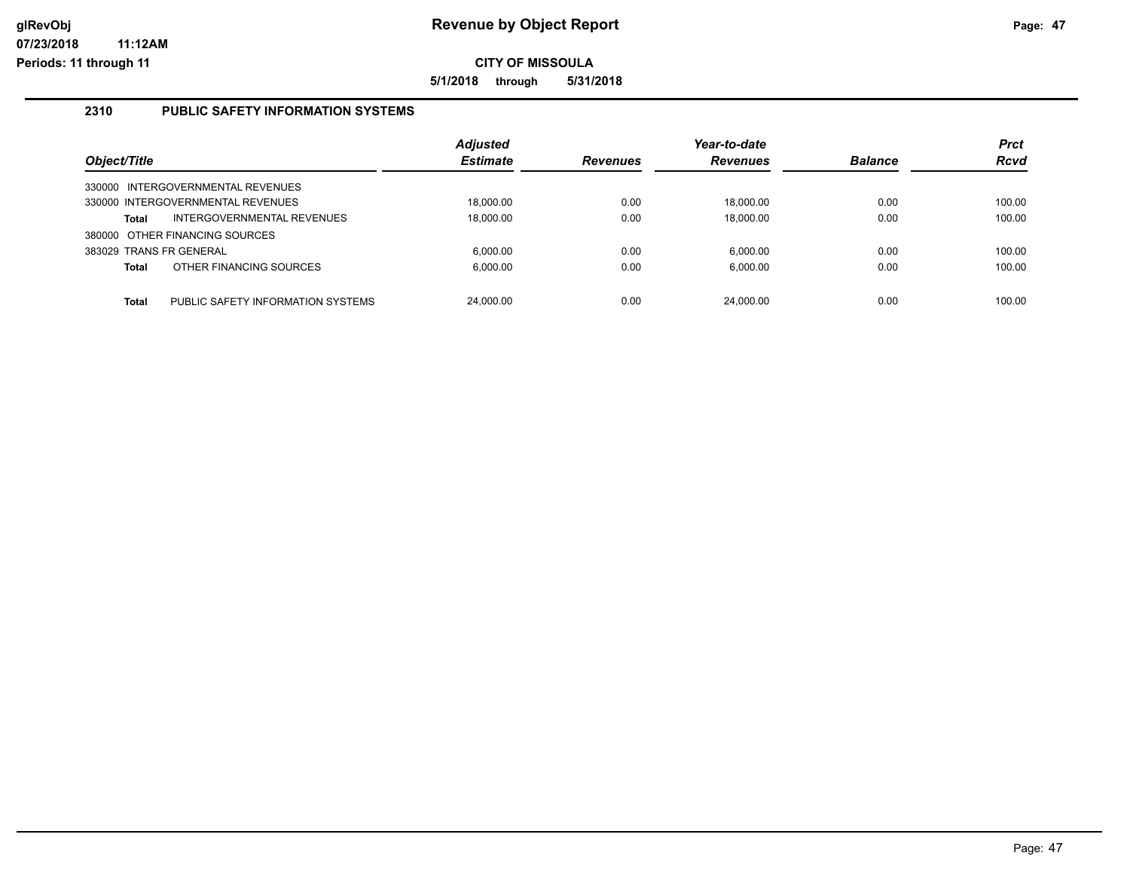**5/1/2018 through 5/31/2018**

### **2310 PUBLIC SAFETY INFORMATION SYSTEMS**

|                                                   | <b>Adjusted</b> |                 | Year-to-date    |                | <b>Prct</b> |
|---------------------------------------------------|-----------------|-----------------|-----------------|----------------|-------------|
| Object/Title                                      | <b>Estimate</b> | <b>Revenues</b> | <b>Revenues</b> | <b>Balance</b> | <b>Rcvd</b> |
| 330000 INTERGOVERNMENTAL REVENUES                 |                 |                 |                 |                |             |
| 330000 INTERGOVERNMENTAL REVENUES                 | 18.000.00       | 0.00            | 18.000.00       | 0.00           | 100.00      |
| INTERGOVERNMENTAL REVENUES<br><b>Total</b>        | 18.000.00       | 0.00            | 18.000.00       | 0.00           | 100.00      |
| 380000 OTHER FINANCING SOURCES                    |                 |                 |                 |                |             |
| 383029 TRANS FR GENERAL                           | 6,000.00        | 0.00            | 6,000.00        | 0.00           | 100.00      |
| OTHER FINANCING SOURCES<br><b>Total</b>           | 6,000.00        | 0.00            | 6,000.00        | 0.00           | 100.00      |
|                                                   |                 |                 |                 |                |             |
| PUBLIC SAFETY INFORMATION SYSTEMS<br><b>Total</b> | 24.000.00       | 0.00            | 24.000.00       | 0.00           | 100.00      |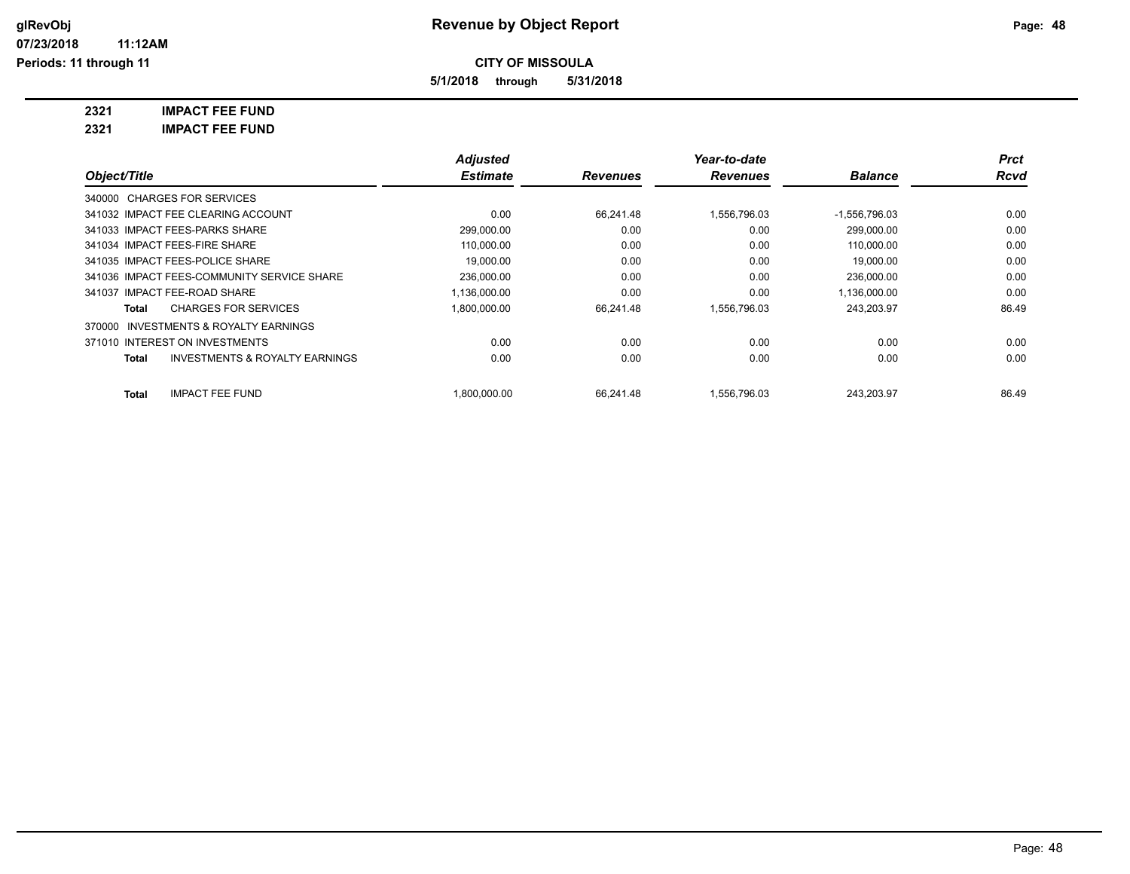**5/1/2018 through 5/31/2018**

**2321 IMPACT FEE FUND**

**2321 IMPACT FEE FUND**

|                                                           | <b>Adjusted</b> |                 | Year-to-date    |                 | <b>Prct</b> |
|-----------------------------------------------------------|-----------------|-----------------|-----------------|-----------------|-------------|
| Object/Title                                              | <b>Estimate</b> | <b>Revenues</b> | <b>Revenues</b> | <b>Balance</b>  | Rcvd        |
| 340000 CHARGES FOR SERVICES                               |                 |                 |                 |                 |             |
| 341032 IMPACT FEE CLEARING ACCOUNT                        | 0.00            | 66,241.48       | 1,556,796.03    | $-1,556,796.03$ | 0.00        |
| 341033 IMPACT FEES-PARKS SHARE                            | 299,000.00      | 0.00            | 0.00            | 299.000.00      | 0.00        |
| 341034 IMPACT FEES-FIRE SHARE                             | 110,000.00      | 0.00            | 0.00            | 110.000.00      | 0.00        |
| 341035 IMPACT FEES-POLICE SHARE                           | 19.000.00       | 0.00            | 0.00            | 19.000.00       | 0.00        |
| 341036 IMPACT FEES-COMMUNITY SERVICE SHARE                | 236,000.00      | 0.00            | 0.00            | 236,000.00      | 0.00        |
| 341037 IMPACT FEE-ROAD SHARE                              | 1,136,000.00    | 0.00            | 0.00            | 1,136,000.00    | 0.00        |
| <b>CHARGES FOR SERVICES</b><br>Total                      | 1,800,000.00    | 66,241.48       | 1,556,796.03    | 243,203.97      | 86.49       |
| 370000 INVESTMENTS & ROYALTY EARNINGS                     |                 |                 |                 |                 |             |
| 371010 INTEREST ON INVESTMENTS                            | 0.00            | 0.00            | 0.00            | 0.00            | 0.00        |
| <b>INVESTMENTS &amp; ROYALTY EARNINGS</b><br><b>Total</b> | 0.00            | 0.00            | 0.00            | 0.00            | 0.00        |
| <b>IMPACT FEE FUND</b><br><b>Total</b>                    | 1.800.000.00    | 66.241.48       | 1.556.796.03    | 243.203.97      | 86.49       |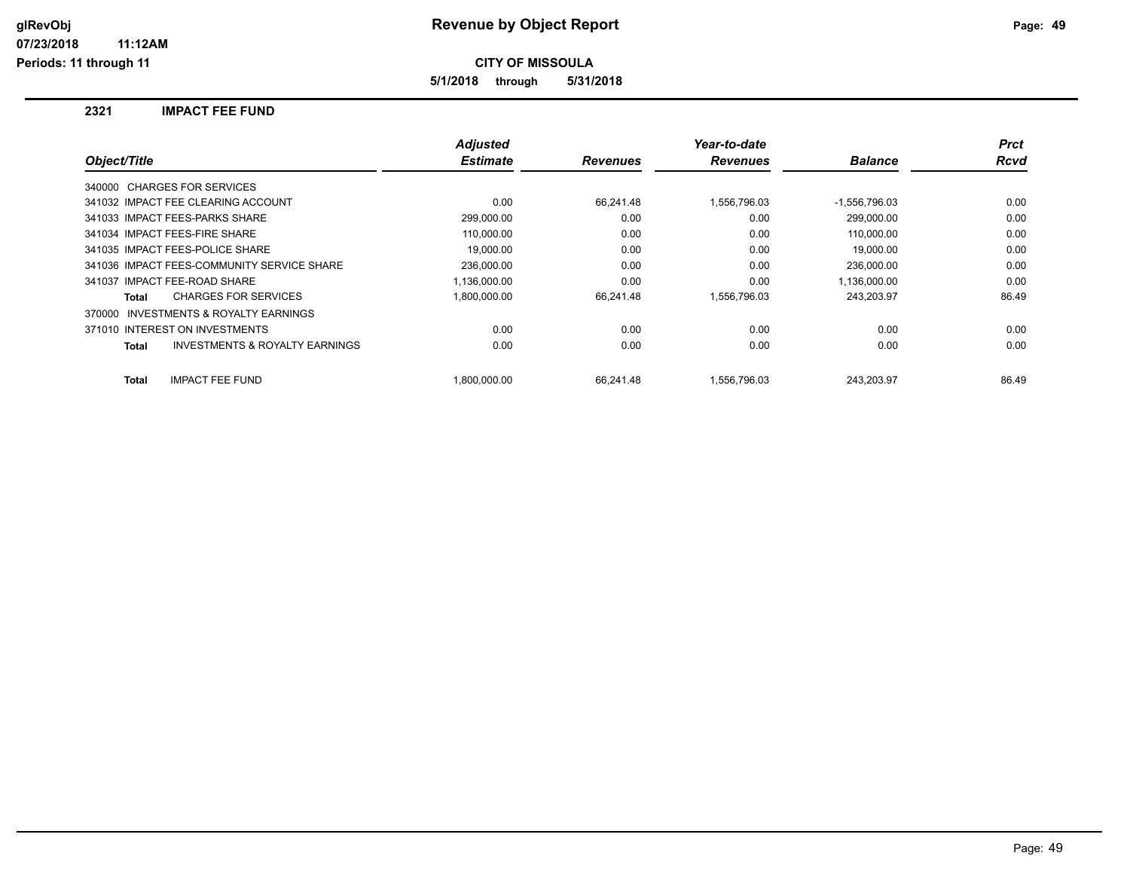**CITY OF MISSOULA**

**5/1/2018 through 5/31/2018**

### **2321 IMPACT FEE FUND**

**11:12AM**

|                                                     | <b>Adjusted</b> |                 | Year-to-date    |                 | <b>Prct</b> |
|-----------------------------------------------------|-----------------|-----------------|-----------------|-----------------|-------------|
| Object/Title                                        | <b>Estimate</b> | <b>Revenues</b> | <b>Revenues</b> | <b>Balance</b>  | <b>Rcvd</b> |
| 340000 CHARGES FOR SERVICES                         |                 |                 |                 |                 |             |
| 341032 IMPACT FEE CLEARING ACCOUNT                  | 0.00            | 66,241.48       | 1,556,796.03    | $-1,556,796.03$ | 0.00        |
| 341033 IMPACT FEES-PARKS SHARE                      | 299,000.00      | 0.00            | 0.00            | 299,000.00      | 0.00        |
| 341034 IMPACT FEES-FIRE SHARE                       | 110.000.00      | 0.00            | 0.00            | 110,000.00      | 0.00        |
| 341035 IMPACT FEES-POLICE SHARE                     | 19.000.00       | 0.00            | 0.00            | 19,000.00       | 0.00        |
| 341036 IMPACT FEES-COMMUNITY SERVICE SHARE          | 236.000.00      | 0.00            | 0.00            | 236,000.00      | 0.00        |
| 341037 IMPACT FEE-ROAD SHARE                        | 1,136,000.00    | 0.00            | 0.00            | 1,136,000.00    | 0.00        |
| <b>CHARGES FOR SERVICES</b><br><b>Total</b>         | 1.800.000.00    | 66.241.48       | 1.556.796.03    | 243.203.97      | 86.49       |
| <b>INVESTMENTS &amp; ROYALTY EARNINGS</b><br>370000 |                 |                 |                 |                 |             |
| 371010 INTEREST ON INVESTMENTS                      | 0.00            | 0.00            | 0.00            | 0.00            | 0.00        |
| INVESTMENTS & ROYALTY EARNINGS<br><b>Total</b>      | 0.00            | 0.00            | 0.00            | 0.00            | 0.00        |
| <b>IMPACT FEE FUND</b><br><b>Total</b>              | 1.800.000.00    | 66,241.48       | 1,556,796.03    | 243,203.97      | 86.49       |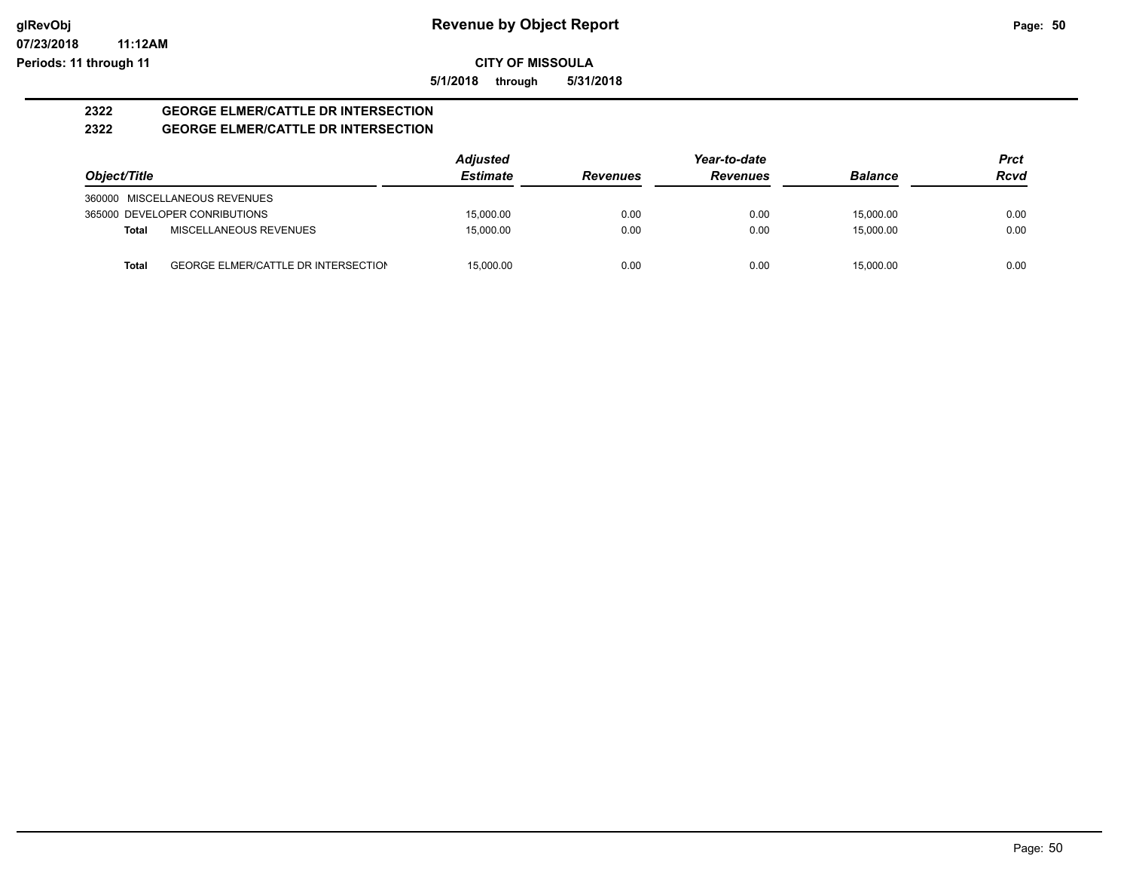### **07/23/2018 11:12AM Periods: 11 through 11**

**CITY OF MISSOULA**

**5/1/2018 through 5/31/2018**

### **2322 GEORGE ELMER/CATTLE DR INTERSECTION 2322 GEORGE ELMER/CATTLE DR INTERSECTION**

|                                                            | <b>Adjusted</b> |                 | Year-to-date    |                | Prct |
|------------------------------------------------------------|-----------------|-----------------|-----------------|----------------|------|
| Object/Title                                               | <b>Estimate</b> | <b>Revenues</b> | <b>Revenues</b> | <b>Balance</b> | Rcvd |
| 360000 MISCELLANEOUS REVENUES                              |                 |                 |                 |                |      |
| 365000 DEVELOPER CONRIBUTIONS                              | 15,000.00       | 0.00            | 0.00            | 15,000.00      | 0.00 |
| MISCELLANEOUS REVENUES<br>Total                            | 15.000.00       | 0.00            | 0.00            | 15,000.00      | 0.00 |
| <b>GEORGE ELMER/CATTLE DR INTERSECTION</b><br><b>Total</b> | 15.000.00       | 0.00            | 0.00            | 15,000.00      | 0.00 |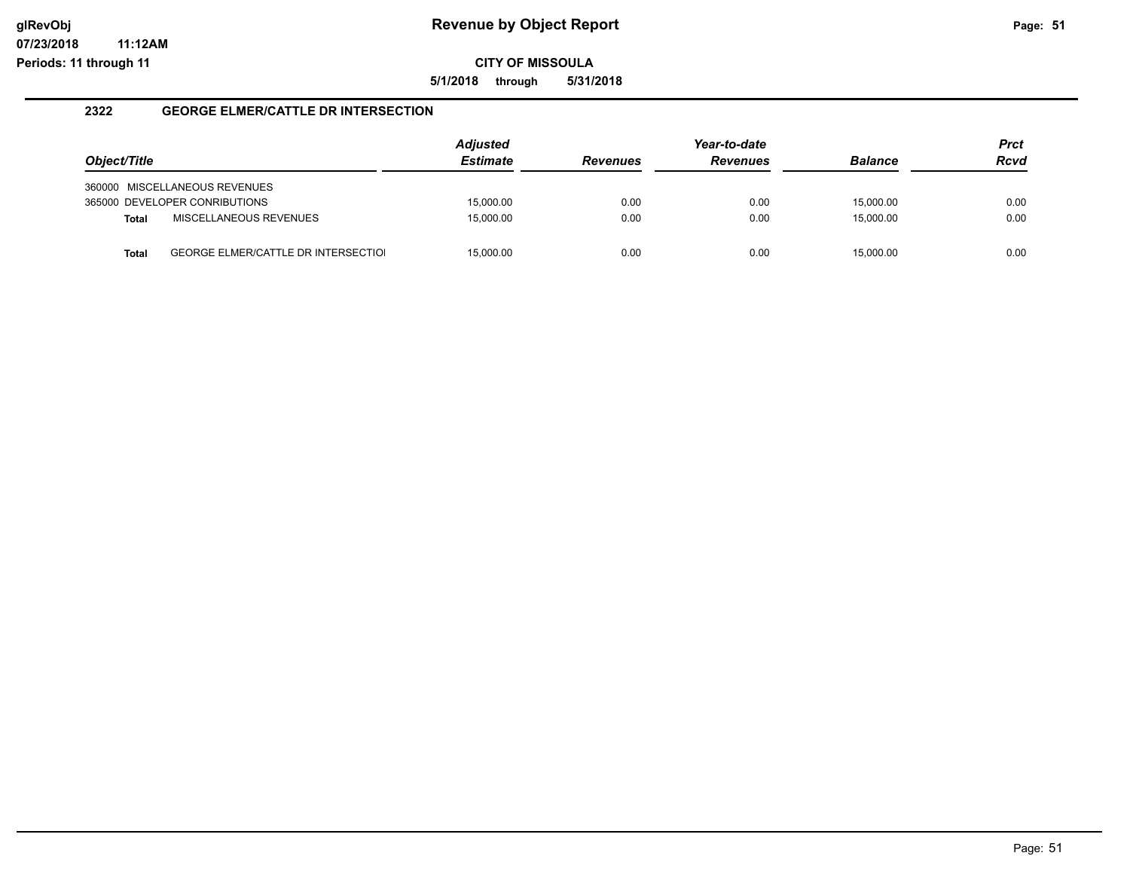**5/1/2018 through 5/31/2018**

### **2322 GEORGE ELMER/CATTLE DR INTERSECTION**

| Object/Title |                                            | Adjusted<br><b>Estimate</b> | <b>Revenues</b> | Year-to-date<br><b>Revenues</b> | <b>Balance</b> | <b>Prct</b><br><b>Rcvd</b> |
|--------------|--------------------------------------------|-----------------------------|-----------------|---------------------------------|----------------|----------------------------|
|              | 360000 MISCELLANEOUS REVENUES              |                             |                 |                                 |                |                            |
|              | 365000 DEVELOPER CONRIBUTIONS              | 15.000.00                   | 0.00            | 0.00                            | 15.000.00      | 0.00                       |
| <b>Total</b> | MISCELLANEOUS REVENUES                     | 15.000.00                   | 0.00            | 0.00                            | 15.000.00      | 0.00                       |
|              |                                            |                             |                 |                                 |                |                            |
| <b>Total</b> | <b>GEORGE ELMER/CATTLE DR INTERSECTIOL</b> | 15.000.00                   | 0.00            | 0.00                            | 15.000.00      | 0.00                       |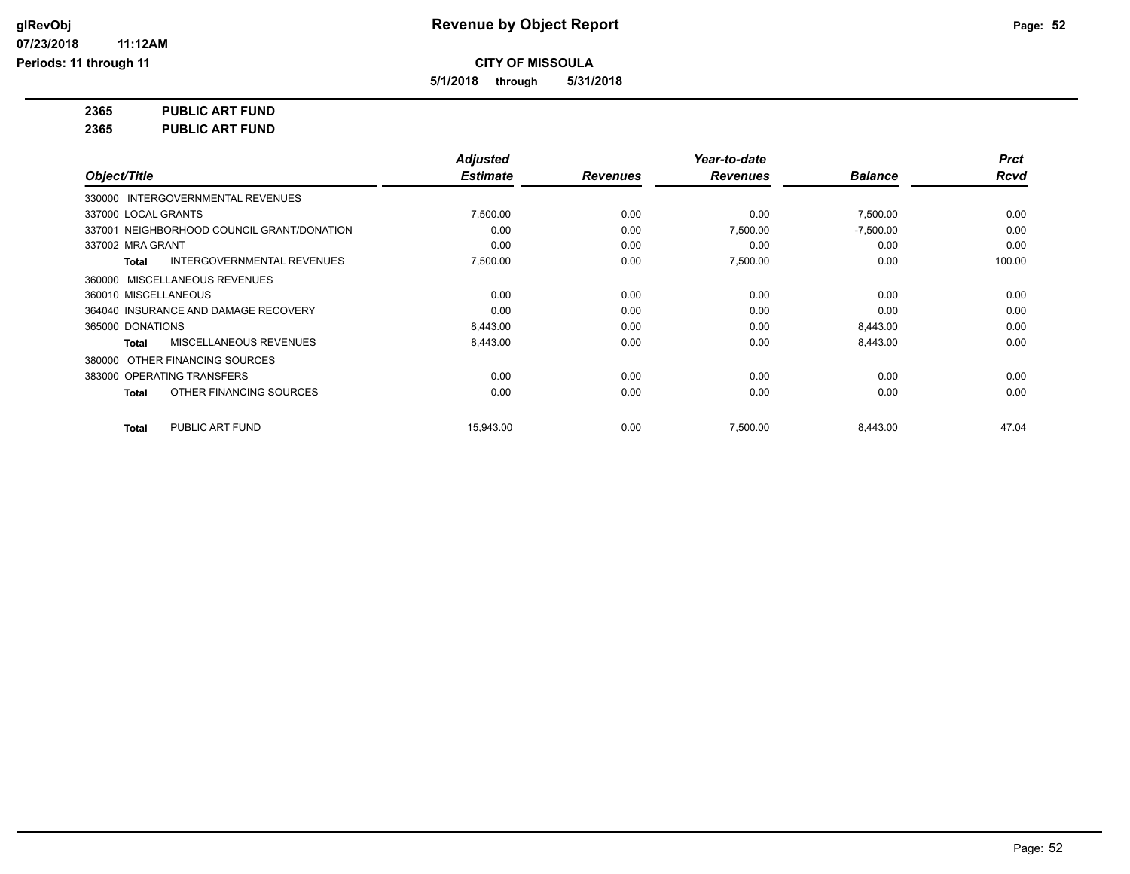**5/1/2018 through 5/31/2018**

**2365 PUBLIC ART FUND**

**2365 PUBLIC ART FUND**

|                                            | <b>Adjusted</b> |                 | Year-to-date    |                | <b>Prct</b> |
|--------------------------------------------|-----------------|-----------------|-----------------|----------------|-------------|
| Object/Title                               | <b>Estimate</b> | <b>Revenues</b> | <b>Revenues</b> | <b>Balance</b> | Rcvd        |
| 330000 INTERGOVERNMENTAL REVENUES          |                 |                 |                 |                |             |
| 337000 LOCAL GRANTS                        | 7,500.00        | 0.00            | 0.00            | 7,500.00       | 0.00        |
| 337001 NEIGHBORHOOD COUNCIL GRANT/DONATION | 0.00            | 0.00            | 7,500.00        | $-7,500.00$    | 0.00        |
| 337002 MRA GRANT                           | 0.00            | 0.00            | 0.00            | 0.00           | 0.00        |
| <b>INTERGOVERNMENTAL REVENUES</b><br>Total | 7,500.00        | 0.00            | 7,500.00        | 0.00           | 100.00      |
| 360000 MISCELLANEOUS REVENUES              |                 |                 |                 |                |             |
| 360010 MISCELLANEOUS                       | 0.00            | 0.00            | 0.00            | 0.00           | 0.00        |
| 364040 INSURANCE AND DAMAGE RECOVERY       | 0.00            | 0.00            | 0.00            | 0.00           | 0.00        |
| 365000 DONATIONS                           | 8,443.00        | 0.00            | 0.00            | 8,443.00       | 0.00        |
| MISCELLANEOUS REVENUES<br>Total            | 8,443.00        | 0.00            | 0.00            | 8,443.00       | 0.00        |
| 380000 OTHER FINANCING SOURCES             |                 |                 |                 |                |             |
| 383000 OPERATING TRANSFERS                 | 0.00            | 0.00            | 0.00            | 0.00           | 0.00        |
| OTHER FINANCING SOURCES<br>Total           | 0.00            | 0.00            | 0.00            | 0.00           | 0.00        |
| PUBLIC ART FUND<br>Total                   | 15.943.00       | 0.00            | 7,500.00        | 8,443.00       | 47.04       |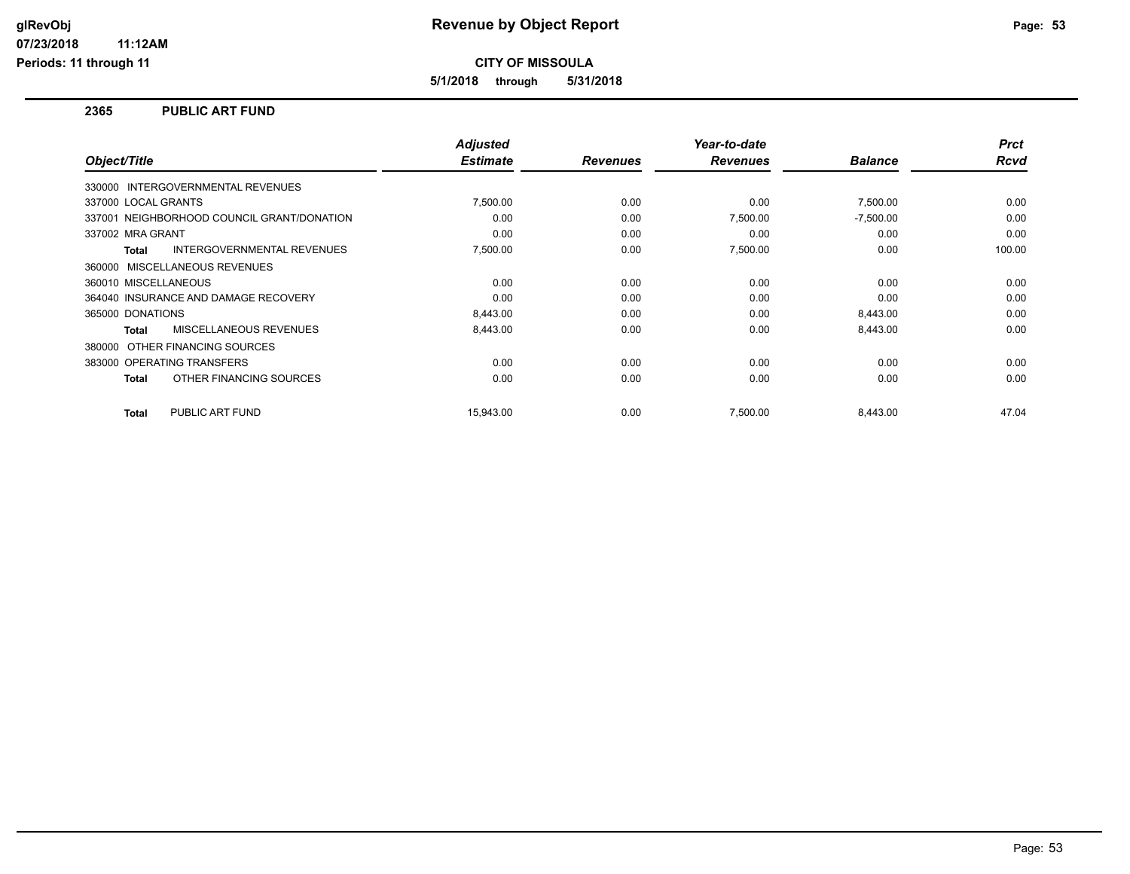**CITY OF MISSOULA**

**5/1/2018 through 5/31/2018**

### **2365 PUBLIC ART FUND**

**11:12AM**

| Object/Title                                      | <b>Adjusted</b><br><b>Estimate</b> | <b>Revenues</b> | Year-to-date<br><b>Revenues</b> | <b>Balance</b> | <b>Prct</b><br><b>Rcvd</b> |
|---------------------------------------------------|------------------------------------|-----------------|---------------------------------|----------------|----------------------------|
| 330000 INTERGOVERNMENTAL REVENUES                 |                                    |                 |                                 |                |                            |
|                                                   |                                    |                 |                                 |                |                            |
| 337000 LOCAL GRANTS                               | 7,500.00                           | 0.00            | 0.00                            | 7,500.00       | 0.00                       |
| 337001 NEIGHBORHOOD COUNCIL GRANT/DONATION        | 0.00                               | 0.00            | 7,500.00                        | $-7,500.00$    | 0.00                       |
| 337002 MRA GRANT                                  | 0.00                               | 0.00            | 0.00                            | 0.00           | 0.00                       |
| <b>INTERGOVERNMENTAL REVENUES</b><br><b>Total</b> | 7,500.00                           | 0.00            | 7,500.00                        | 0.00           | 100.00                     |
| 360000 MISCELLANEOUS REVENUES                     |                                    |                 |                                 |                |                            |
| 360010 MISCELLANEOUS                              | 0.00                               | 0.00            | 0.00                            | 0.00           | 0.00                       |
| 364040 INSURANCE AND DAMAGE RECOVERY              | 0.00                               | 0.00            | 0.00                            | 0.00           | 0.00                       |
| 365000 DONATIONS                                  | 8,443.00                           | 0.00            | 0.00                            | 8,443.00       | 0.00                       |
| MISCELLANEOUS REVENUES<br><b>Total</b>            | 8,443.00                           | 0.00            | 0.00                            | 8,443.00       | 0.00                       |
| 380000 OTHER FINANCING SOURCES                    |                                    |                 |                                 |                |                            |
| 383000 OPERATING TRANSFERS                        | 0.00                               | 0.00            | 0.00                            | 0.00           | 0.00                       |
| OTHER FINANCING SOURCES<br><b>Total</b>           | 0.00                               | 0.00            | 0.00                            | 0.00           | 0.00                       |
| PUBLIC ART FUND<br><b>Total</b>                   | 15,943.00                          | 0.00            | 7,500.00                        | 8,443.00       | 47.04                      |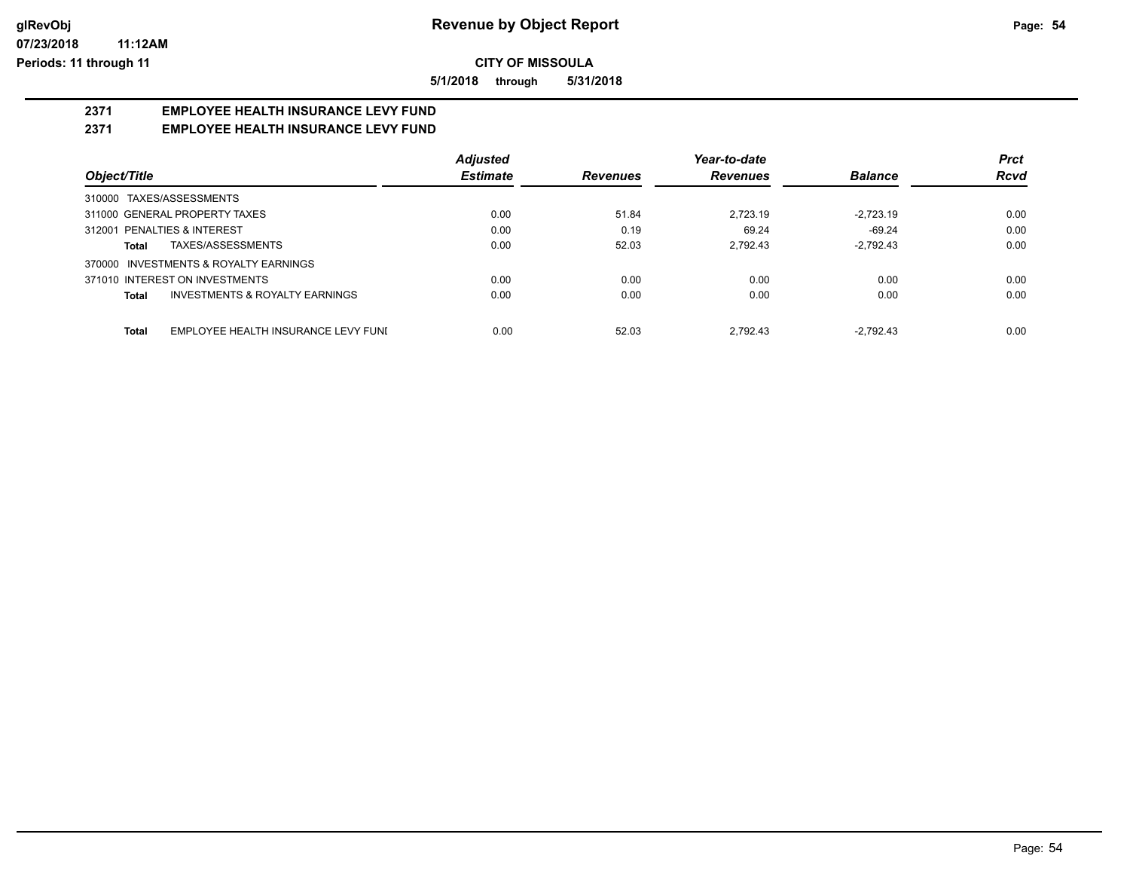**5/1/2018 through 5/31/2018**

# **2371 EMPLOYEE HEALTH INSURANCE LEVY FUND**

### **2371 EMPLOYEE HEALTH INSURANCE LEVY FUND**

|                                                     | <b>Adjusted</b> |                 | Year-to-date    |                | <b>Prct</b> |
|-----------------------------------------------------|-----------------|-----------------|-----------------|----------------|-------------|
| Object/Title                                        | <b>Estimate</b> | <b>Revenues</b> | <b>Revenues</b> | <b>Balance</b> | <b>Rcvd</b> |
| 310000 TAXES/ASSESSMENTS                            |                 |                 |                 |                |             |
| 311000 GENERAL PROPERTY TAXES                       | 0.00            | 51.84           | 2.723.19        | $-2.723.19$    | 0.00        |
| 312001 PENALTIES & INTEREST                         | 0.00            | 0.19            | 69.24           | $-69.24$       | 0.00        |
| TAXES/ASSESSMENTS<br>Total                          | 0.00            | 52.03           | 2.792.43        | $-2.792.43$    | 0.00        |
| INVESTMENTS & ROYALTY EARNINGS<br>370000            |                 |                 |                 |                |             |
| 371010 INTEREST ON INVESTMENTS                      | 0.00            | 0.00            | 0.00            | 0.00           | 0.00        |
| <b>INVESTMENTS &amp; ROYALTY EARNINGS</b><br>Total  | 0.00            | 0.00            | 0.00            | 0.00           | 0.00        |
|                                                     |                 |                 |                 |                |             |
| <b>Total</b><br>EMPLOYEE HEALTH INSURANCE LEVY FUNI | 0.00            | 52.03           | 2.792.43        | $-2.792.43$    | 0.00        |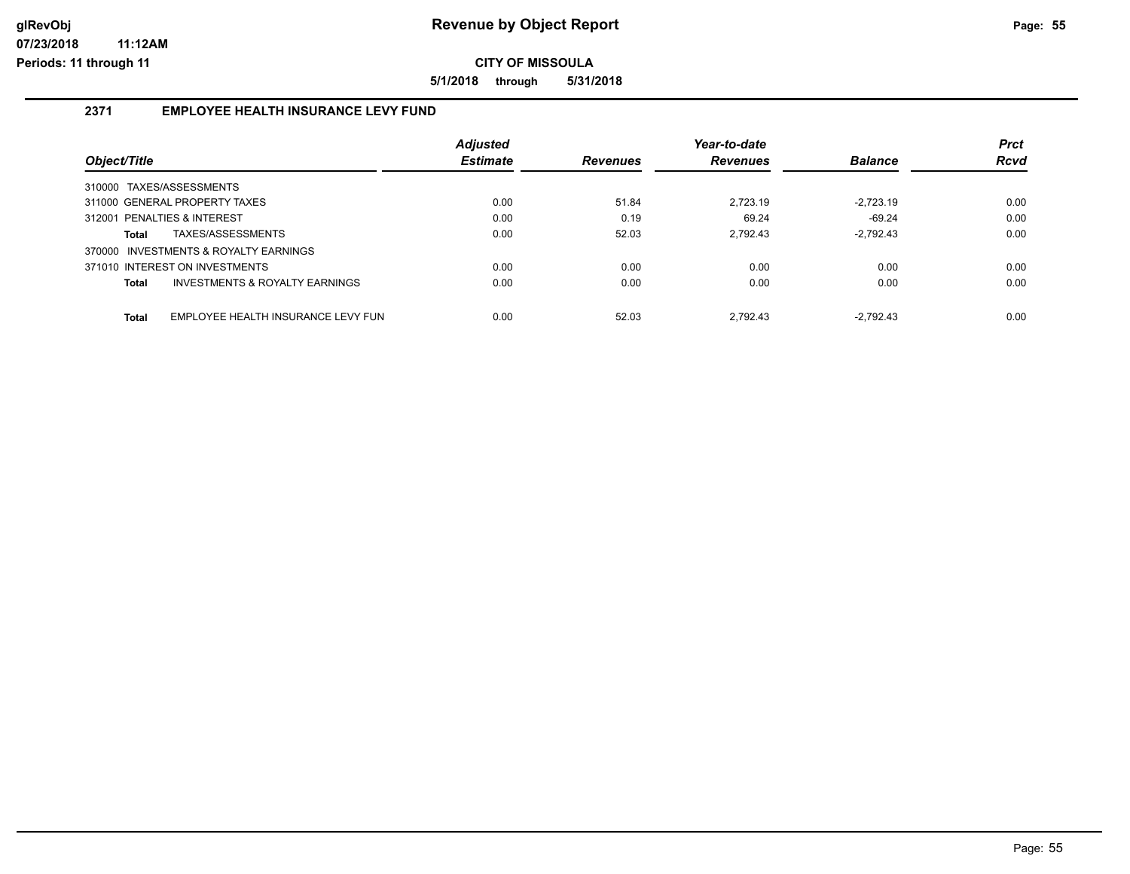**5/1/2018 through 5/31/2018**

### **2371 EMPLOYEE HEALTH INSURANCE LEVY FUND**

|                             |                                       | <b>Adjusted</b> |                 | Year-to-date    |                | <b>Prct</b> |
|-----------------------------|---------------------------------------|-----------------|-----------------|-----------------|----------------|-------------|
| Object/Title                |                                       | <b>Estimate</b> | <b>Revenues</b> | <b>Revenues</b> | <b>Balance</b> | <b>Rcvd</b> |
| 310000 TAXES/ASSESSMENTS    |                                       |                 |                 |                 |                |             |
|                             | 311000 GENERAL PROPERTY TAXES         | 0.00            | 51.84           | 2.723.19        | $-2.723.19$    | 0.00        |
| 312001 PENALTIES & INTEREST |                                       | 0.00            | 0.19            | 69.24           | $-69.24$       | 0.00        |
| <b>Total</b>                | TAXES/ASSESSMENTS                     | 0.00            | 52.03           | 2.792.43        | $-2.792.43$    | 0.00        |
|                             | 370000 INVESTMENTS & ROYALTY EARNINGS |                 |                 |                 |                |             |
|                             | 371010 INTEREST ON INVESTMENTS        | 0.00            | 0.00            | 0.00            | 0.00           | 0.00        |
| <b>Total</b>                | INVESTMENTS & ROYALTY EARNINGS        | 0.00            | 0.00            | 0.00            | 0.00           | 0.00        |
| <b>Total</b>                | EMPLOYEE HEALTH INSURANCE LEVY FUN    | 0.00            | 52.03           | 2.792.43        | $-2.792.43$    | 0.00        |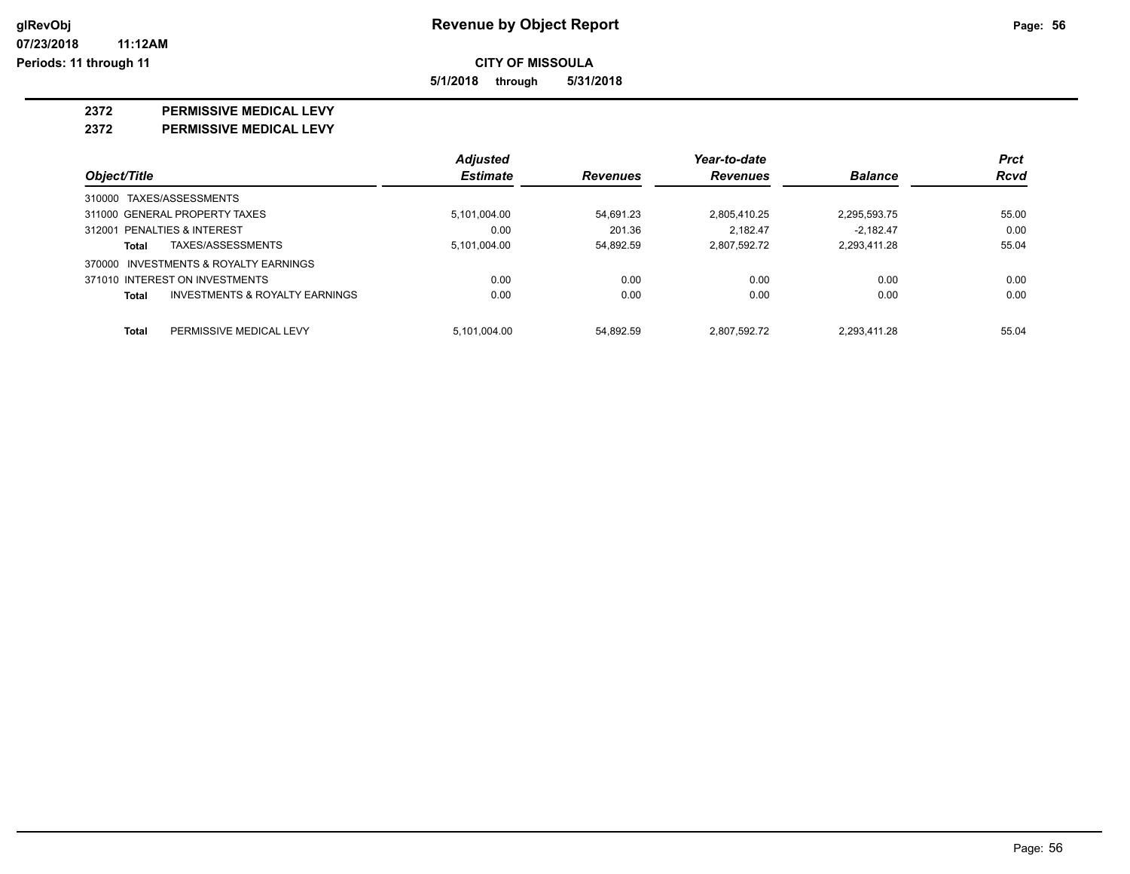**5/1/2018 through 5/31/2018**

**2372 PERMISSIVE MEDICAL LEVY**

**2372 PERMISSIVE MEDICAL LEVY**

|                                         | <b>Adjusted</b> |                 | Year-to-date    |                | <b>Prct</b> |
|-----------------------------------------|-----------------|-----------------|-----------------|----------------|-------------|
| Object/Title                            | <b>Estimate</b> | <b>Revenues</b> | <b>Revenues</b> | <b>Balance</b> | Rcvd        |
| 310000 TAXES/ASSESSMENTS                |                 |                 |                 |                |             |
| 311000 GENERAL PROPERTY TAXES           | 5,101,004.00    | 54.691.23       | 2,805,410.25    | 2,295,593.75   | 55.00       |
| 312001 PENALTIES & INTEREST             | 0.00            | 201.36          | 2.182.47        | $-2.182.47$    | 0.00        |
| TAXES/ASSESSMENTS<br>Total              | 5.101.004.00    | 54.892.59       | 2,807,592.72    | 2.293.411.28   | 55.04       |
| 370000 INVESTMENTS & ROYALTY EARNINGS   |                 |                 |                 |                |             |
| 371010 INTEREST ON INVESTMENTS          | 0.00            | 0.00            | 0.00            | 0.00           | 0.00        |
| INVESTMENTS & ROYALTY EARNINGS<br>Total | 0.00            | 0.00            | 0.00            | 0.00           | 0.00        |
| PERMISSIVE MEDICAL LEVY<br>Total        | 5.101.004.00    | 54.892.59       | 2.807.592.72    | 2.293.411.28   | 55.04       |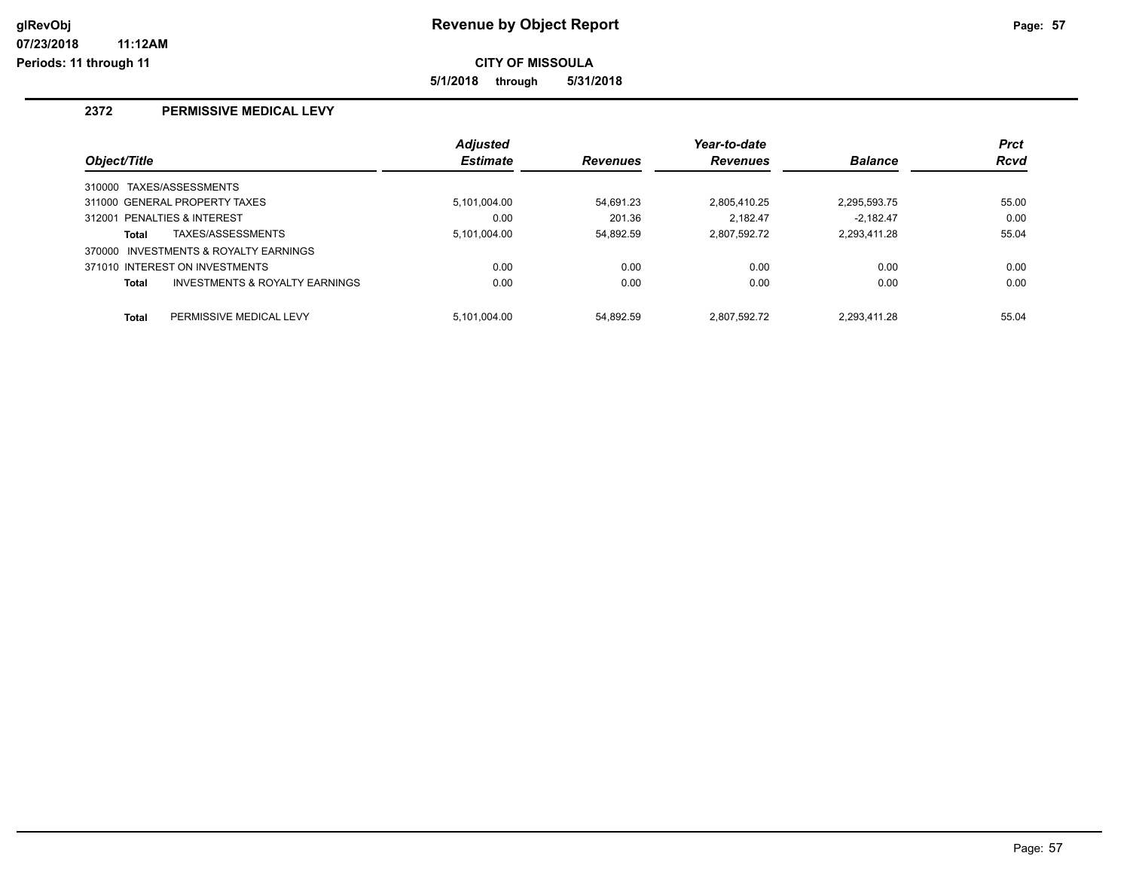**CITY OF MISSOULA**

**5/1/2018 through 5/31/2018**

### **2372 PERMISSIVE MEDICAL LEVY**

|              |                                       | <b>Adjusted</b> |                 | Year-to-date    |                | <b>Prct</b> |
|--------------|---------------------------------------|-----------------|-----------------|-----------------|----------------|-------------|
| Object/Title |                                       | <b>Estimate</b> | <b>Revenues</b> | <b>Revenues</b> | <b>Balance</b> | <b>Rcvd</b> |
|              | 310000 TAXES/ASSESSMENTS              |                 |                 |                 |                |             |
|              | 311000 GENERAL PROPERTY TAXES         | 5.101.004.00    | 54.691.23       | 2.805.410.25    | 2,295,593.75   | 55.00       |
|              | 312001 PENALTIES & INTEREST           | 0.00            | 201.36          | 2.182.47        | $-2.182.47$    | 0.00        |
| <b>Total</b> | TAXES/ASSESSMENTS                     | 5.101.004.00    | 54.892.59       | 2.807.592.72    | 2,293,411.28   | 55.04       |
|              | 370000 INVESTMENTS & ROYALTY EARNINGS |                 |                 |                 |                |             |
|              | 371010 INTEREST ON INVESTMENTS        | 0.00            | 0.00            | 0.00            | 0.00           | 0.00        |
| <b>Total</b> | INVESTMENTS & ROYALTY EARNINGS        | 0.00            | 0.00            | 0.00            | 0.00           | 0.00        |
| <b>Total</b> | PERMISSIVE MEDICAL LEVY               | 5.101.004.00    | 54.892.59       | 2.807.592.72    | 2.293.411.28   | 55.04       |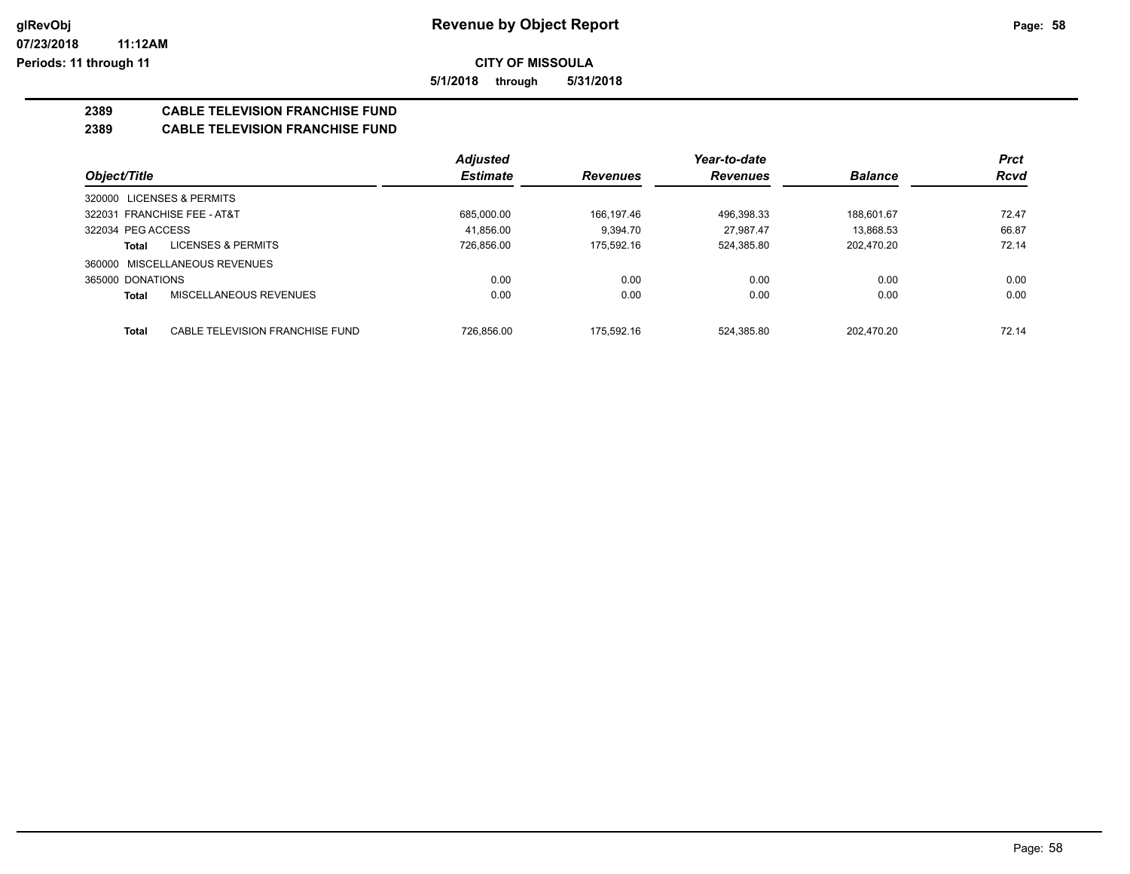**5/1/2018 through 5/31/2018**

# **2389 CABLE TELEVISION FRANCHISE FUND**

### **2389 CABLE TELEVISION FRANCHISE FUND**

|                                                 | <b>Adjusted</b> |                 | Year-to-date    |                | <b>Prct</b> |
|-------------------------------------------------|-----------------|-----------------|-----------------|----------------|-------------|
| Object/Title                                    | <b>Estimate</b> | <b>Revenues</b> | <b>Revenues</b> | <b>Balance</b> | <b>Rcvd</b> |
| LICENSES & PERMITS<br>320000                    |                 |                 |                 |                |             |
| 322031 FRANCHISE FEE - AT&T                     | 685.000.00      | 166.197.46      | 496,398.33      | 188.601.67     | 72.47       |
| 322034 PEG ACCESS                               | 41.856.00       | 9.394.70        | 27.987.47       | 13.868.53      | 66.87       |
| <b>LICENSES &amp; PERMITS</b><br>Total          | 726,856.00      | 175.592.16      | 524,385.80      | 202.470.20     | 72.14       |
| 360000 MISCELLANEOUS REVENUES                   |                 |                 |                 |                |             |
| 365000 DONATIONS                                | 0.00            | 0.00            | 0.00            | 0.00           | 0.00        |
| MISCELLANEOUS REVENUES<br><b>Total</b>          | 0.00            | 0.00            | 0.00            | 0.00           | 0.00        |
| <b>Total</b><br>CABLE TELEVISION FRANCHISE FUND | 726.856.00      | 175.592.16      | 524.385.80      | 202.470.20     | 72.14       |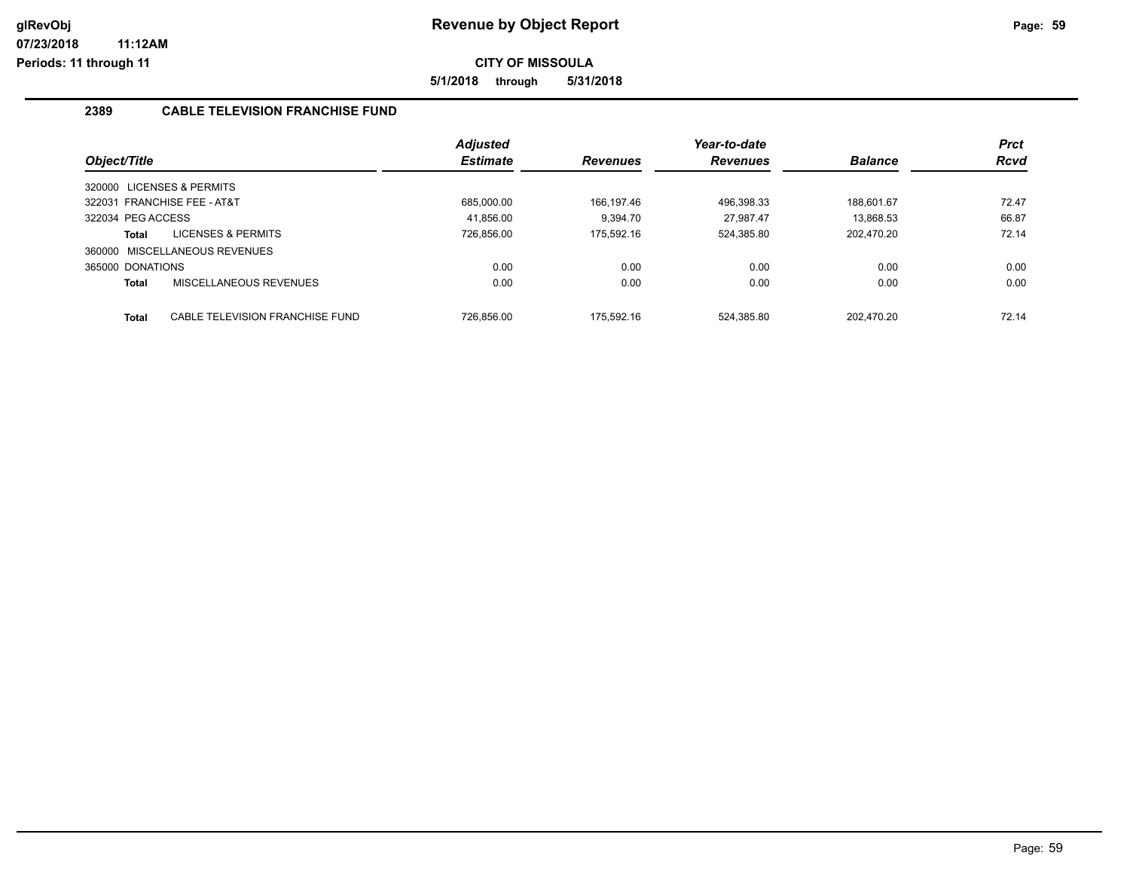**5/1/2018 through 5/31/2018**

### **2389 CABLE TELEVISION FRANCHISE FUND**

|                   |                                 | <b>Adjusted</b> |                 | Year-to-date    |                | <b>Prct</b> |
|-------------------|---------------------------------|-----------------|-----------------|-----------------|----------------|-------------|
| Object/Title      |                                 | <b>Estimate</b> | <b>Revenues</b> | <b>Revenues</b> | <b>Balance</b> | <b>Rcvd</b> |
|                   | 320000 LICENSES & PERMITS       |                 |                 |                 |                |             |
|                   | 322031 FRANCHISE FEE - AT&T     | 685.000.00      | 166.197.46      | 496.398.33      | 188.601.67     | 72.47       |
| 322034 PEG ACCESS |                                 | 41.856.00       | 9.394.70        | 27.987.47       | 13.868.53      | 66.87       |
| Total             | <b>LICENSES &amp; PERMITS</b>   | 726,856.00      | 175.592.16      | 524,385.80      | 202.470.20     | 72.14       |
|                   | 360000 MISCELLANEOUS REVENUES   |                 |                 |                 |                |             |
| 365000 DONATIONS  |                                 | 0.00            | 0.00            | 0.00            | 0.00           | 0.00        |
| Total             | MISCELLANEOUS REVENUES          | 0.00            | 0.00            | 0.00            | 0.00           | 0.00        |
|                   |                                 |                 |                 |                 |                |             |
| <b>Total</b>      | CABLE TELEVISION FRANCHISE FUND | 726.856.00      | 175.592.16      | 524.385.80      | 202.470.20     | 72.14       |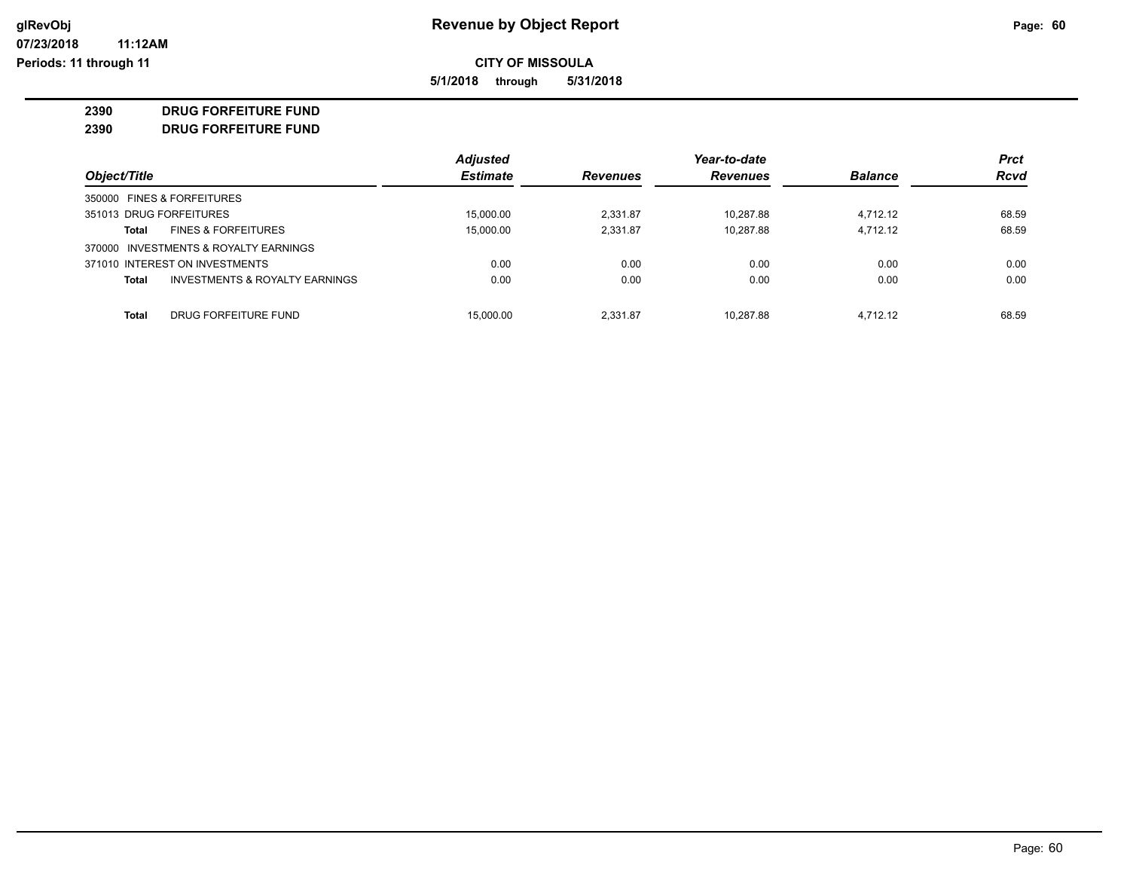**5/1/2018 through 5/31/2018**

### **2390 DRUG FORFEITURE FUND**

**2390 DRUG FORFEITURE FUND**

|                                                | <b>Adjusted</b> |                 | Year-to-date    |                | <b>Prct</b> |
|------------------------------------------------|-----------------|-----------------|-----------------|----------------|-------------|
| Object/Title                                   | <b>Estimate</b> | <b>Revenues</b> | <b>Revenues</b> | <b>Balance</b> | <b>Rcvd</b> |
| 350000 FINES & FORFEITURES                     |                 |                 |                 |                |             |
| 351013 DRUG FORFEITURES                        | 15.000.00       | 2.331.87        | 10.287.88       | 4.712.12       | 68.59       |
| <b>FINES &amp; FORFEITURES</b><br><b>Total</b> | 15.000.00       | 2.331.87        | 10.287.88       | 4.712.12       | 68.59       |
| 370000 INVESTMENTS & ROYALTY EARNINGS          |                 |                 |                 |                |             |
| 371010 INTEREST ON INVESTMENTS                 | 0.00            | 0.00            | 0.00            | 0.00           | 0.00        |
| INVESTMENTS & ROYALTY EARNINGS<br><b>Total</b> | 0.00            | 0.00            | 0.00            | 0.00           | 0.00        |
| DRUG FORFEITURE FUND<br><b>Total</b>           | 15.000.00       | 2.331.87        | 10.287.88       | 4.712.12       | 68.59       |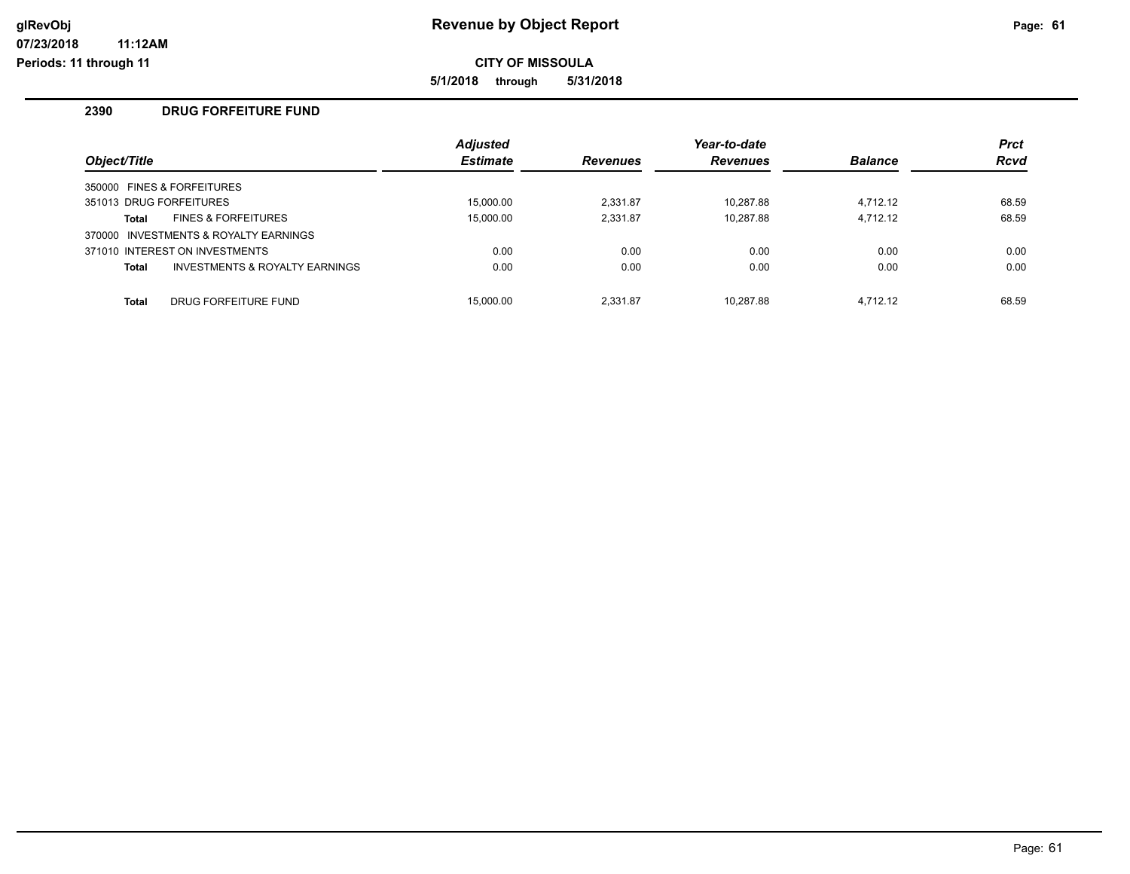**CITY OF MISSOULA**

**5/1/2018 through 5/31/2018**

### **2390 DRUG FORFEITURE FUND**

**11:12AM**

|                         |                                           | <b>Adjusted</b> |                 | Year-to-date    |                | <b>Prct</b> |
|-------------------------|-------------------------------------------|-----------------|-----------------|-----------------|----------------|-------------|
| Obiect/Title            |                                           | <b>Estimate</b> | <b>Revenues</b> | <b>Revenues</b> | <b>Balance</b> | <b>Rcvd</b> |
|                         | 350000 FINES & FORFEITURES                |                 |                 |                 |                |             |
| 351013 DRUG FORFEITURES |                                           | 15.000.00       | 2.331.87        | 10.287.88       | 4,712.12       | 68.59       |
| <b>Total</b>            | <b>FINES &amp; FORFEITURES</b>            | 15.000.00       | 2,331.87        | 10.287.88       | 4,712.12       | 68.59       |
|                         | 370000 INVESTMENTS & ROYALTY EARNINGS     |                 |                 |                 |                |             |
|                         | 371010 INTEREST ON INVESTMENTS            | 0.00            | 0.00            | 0.00            | 0.00           | 0.00        |
| <b>Total</b>            | <b>INVESTMENTS &amp; ROYALTY EARNINGS</b> | 0.00            | 0.00            | 0.00            | 0.00           | 0.00        |
| <b>Total</b>            | DRUG FORFEITURE FUND                      | 15.000.00       | 2.331.87        | 10.287.88       | 4,712.12       | 68.59       |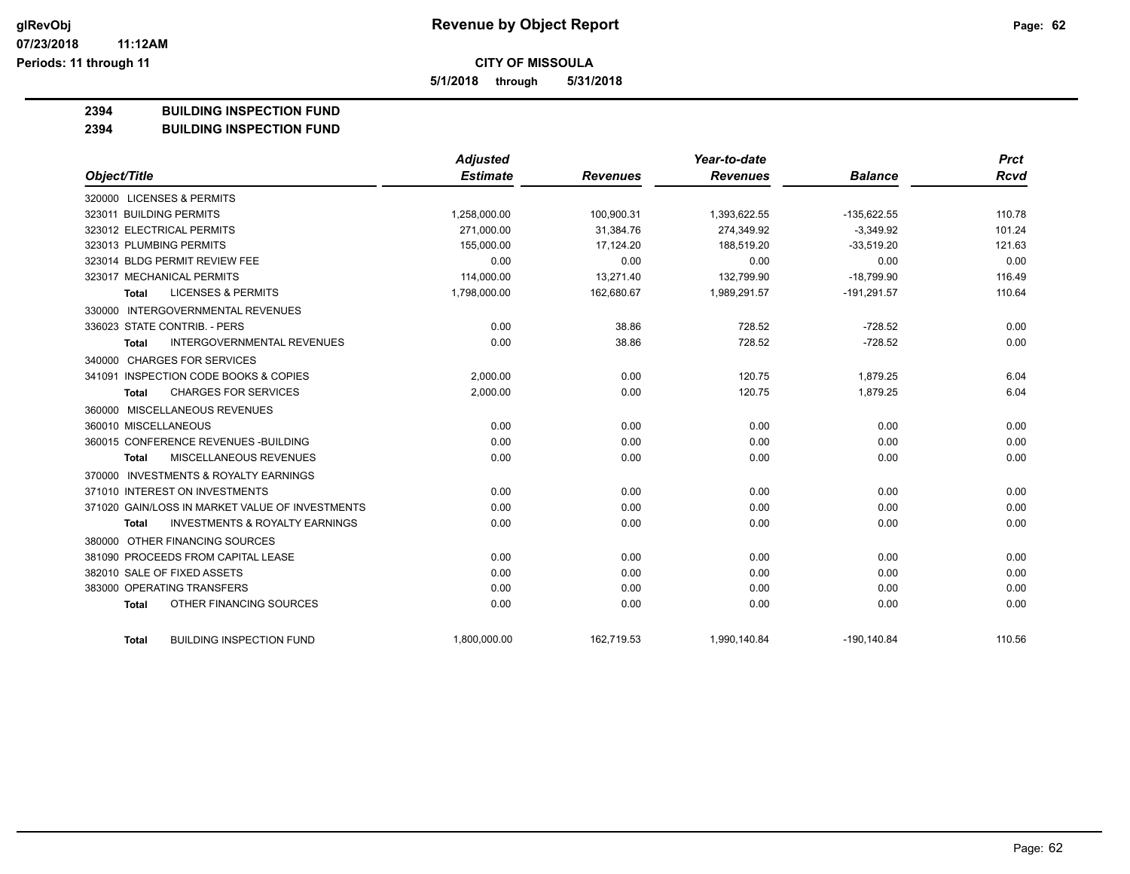**5/1/2018 through 5/31/2018**

### **2394 BUILDING INSPECTION FUND**

### **2394 BUILDING INSPECTION FUND**

|                                                           | Adjusted        |                 | Year-to-date    |                | <b>Prct</b> |
|-----------------------------------------------------------|-----------------|-----------------|-----------------|----------------|-------------|
| Object/Title                                              | <b>Estimate</b> | <b>Revenues</b> | <b>Revenues</b> | <b>Balance</b> | Rcvd        |
| 320000 LICENSES & PERMITS                                 |                 |                 |                 |                |             |
| 323011 BUILDING PERMITS                                   | 1,258,000.00    | 100,900.31      | 1,393,622.55    | $-135,622.55$  | 110.78      |
| 323012 ELECTRICAL PERMITS                                 | 271,000.00      | 31,384.76       | 274,349.92      | $-3,349.92$    | 101.24      |
| 323013 PLUMBING PERMITS                                   | 155,000.00      | 17,124.20       | 188,519.20      | $-33,519.20$   | 121.63      |
| 323014 BLDG PERMIT REVIEW FEE                             | 0.00            | 0.00            | 0.00            | 0.00           | 0.00        |
| 323017 MECHANICAL PERMITS                                 | 114,000.00      | 13,271.40       | 132,799.90      | $-18,799.90$   | 116.49      |
| <b>LICENSES &amp; PERMITS</b><br><b>Total</b>             | 1,798,000.00    | 162,680.67      | 1,989,291.57    | $-191,291.57$  | 110.64      |
| 330000 INTERGOVERNMENTAL REVENUES                         |                 |                 |                 |                |             |
| 336023 STATE CONTRIB. - PERS                              | 0.00            | 38.86           | 728.52          | $-728.52$      | 0.00        |
| <b>INTERGOVERNMENTAL REVENUES</b><br><b>Total</b>         | 0.00            | 38.86           | 728.52          | $-728.52$      | 0.00        |
| 340000 CHARGES FOR SERVICES                               |                 |                 |                 |                |             |
| 341091 INSPECTION CODE BOOKS & COPIES                     | 2,000.00        | 0.00            | 120.75          | 1,879.25       | 6.04        |
| <b>CHARGES FOR SERVICES</b><br>Total                      | 2,000.00        | 0.00            | 120.75          | 1,879.25       | 6.04        |
| 360000 MISCELLANEOUS REVENUES                             |                 |                 |                 |                |             |
| 360010 MISCELLANEOUS                                      | 0.00            | 0.00            | 0.00            | 0.00           | 0.00        |
| 360015 CONFERENCE REVENUES - BUILDING                     | 0.00            | 0.00            | 0.00            | 0.00           | 0.00        |
| MISCELLANEOUS REVENUES<br><b>Total</b>                    | 0.00            | 0.00            | 0.00            | 0.00           | 0.00        |
| 370000 INVESTMENTS & ROYALTY EARNINGS                     |                 |                 |                 |                |             |
| 371010 INTEREST ON INVESTMENTS                            | 0.00            | 0.00            | 0.00            | 0.00           | 0.00        |
| 371020 GAIN/LOSS IN MARKET VALUE OF INVESTMENTS           | 0.00            | 0.00            | 0.00            | 0.00           | 0.00        |
| <b>INVESTMENTS &amp; ROYALTY EARNINGS</b><br><b>Total</b> | 0.00            | 0.00            | 0.00            | 0.00           | 0.00        |
| 380000 OTHER FINANCING SOURCES                            |                 |                 |                 |                |             |
| 381090 PROCEEDS FROM CAPITAL LEASE                        | 0.00            | 0.00            | 0.00            | 0.00           | 0.00        |
| 382010 SALE OF FIXED ASSETS                               | 0.00            | 0.00            | 0.00            | 0.00           | 0.00        |
| 383000 OPERATING TRANSFERS                                | 0.00            | 0.00            | 0.00            | 0.00           | 0.00        |
| OTHER FINANCING SOURCES<br><b>Total</b>                   | 0.00            | 0.00            | 0.00            | 0.00           | 0.00        |
| <b>BUILDING INSPECTION FUND</b><br><b>Total</b>           | 1,800,000.00    | 162,719.53      | 1,990,140.84    | $-190, 140.84$ | 110.56      |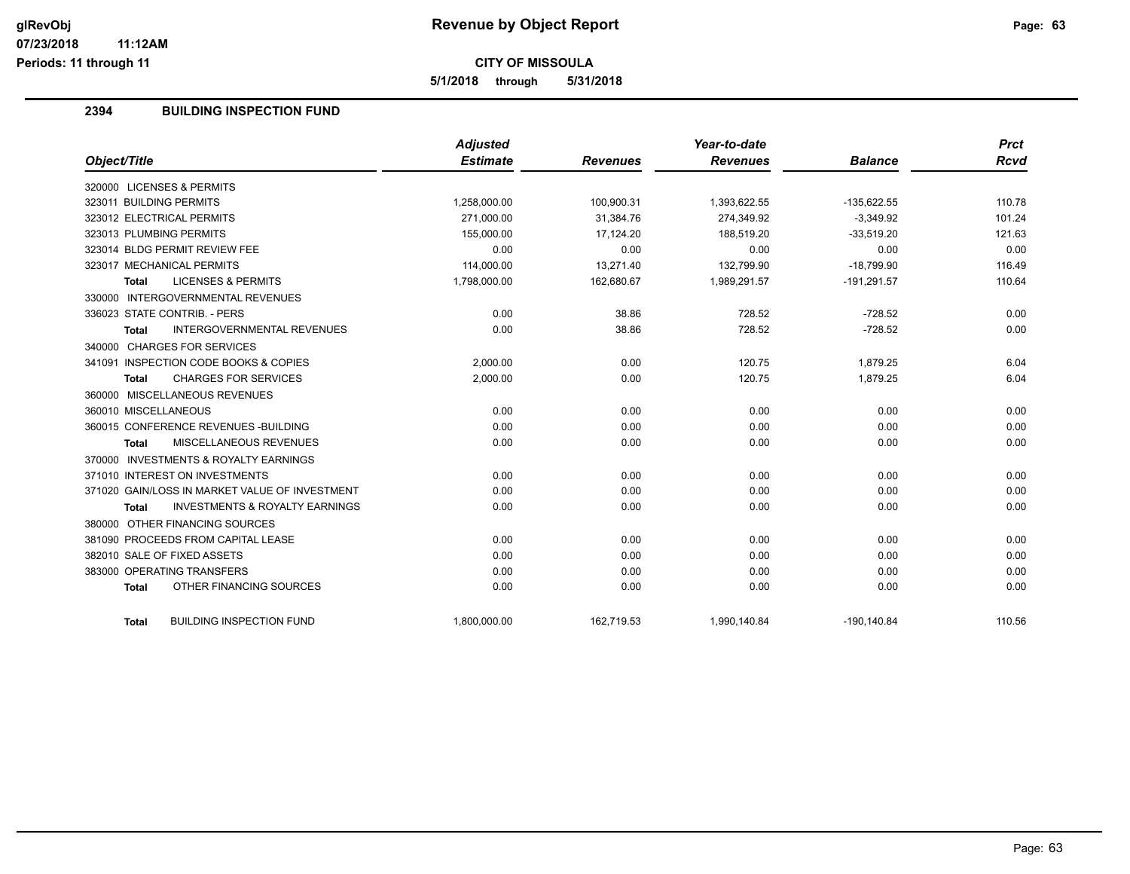**CITY OF MISSOULA**

**5/1/2018 through 5/31/2018**

### **2394 BUILDING INSPECTION FUND**

|                                                           | <b>Adjusted</b> |                 | Year-to-date    |                | <b>Prct</b> |
|-----------------------------------------------------------|-----------------|-----------------|-----------------|----------------|-------------|
| Object/Title                                              | <b>Estimate</b> | <b>Revenues</b> | <b>Revenues</b> | <b>Balance</b> | Rcvd        |
| 320000 LICENSES & PERMITS                                 |                 |                 |                 |                |             |
| 323011 BUILDING PERMITS                                   | 1,258,000.00    | 100,900.31      | 1,393,622.55    | $-135,622.55$  | 110.78      |
| 323012 ELECTRICAL PERMITS                                 | 271.000.00      | 31.384.76       | 274.349.92      | $-3.349.92$    | 101.24      |
| 323013 PLUMBING PERMITS                                   | 155,000.00      | 17,124.20       | 188,519.20      | $-33,519.20$   | 121.63      |
| 323014 BLDG PERMIT REVIEW FEE                             | 0.00            | 0.00            | 0.00            | 0.00           | 0.00        |
| 323017 MECHANICAL PERMITS                                 | 114,000.00      | 13,271.40       | 132,799.90      | $-18,799.90$   | 116.49      |
| <b>LICENSES &amp; PERMITS</b><br>Total                    | 1,798,000.00    | 162,680.67      | 1,989,291.57    | $-191,291.57$  | 110.64      |
| 330000 INTERGOVERNMENTAL REVENUES                         |                 |                 |                 |                |             |
| 336023 STATE CONTRIB. - PERS                              | 0.00            | 38.86           | 728.52          | $-728.52$      | 0.00        |
| INTERGOVERNMENTAL REVENUES<br><b>Total</b>                | 0.00            | 38.86           | 728.52          | $-728.52$      | 0.00        |
| 340000 CHARGES FOR SERVICES                               |                 |                 |                 |                |             |
| 341091 INSPECTION CODE BOOKS & COPIES                     | 2,000.00        | 0.00            | 120.75          | 1,879.25       | 6.04        |
| <b>CHARGES FOR SERVICES</b><br><b>Total</b>               | 2,000.00        | 0.00            | 120.75          | 1,879.25       | 6.04        |
| 360000 MISCELLANEOUS REVENUES                             |                 |                 |                 |                |             |
| 360010 MISCELLANEOUS                                      | 0.00            | 0.00            | 0.00            | 0.00           | 0.00        |
| 360015 CONFERENCE REVENUES - BUILDING                     | 0.00            | 0.00            | 0.00            | 0.00           | 0.00        |
| <b>MISCELLANEOUS REVENUES</b><br><b>Total</b>             | 0.00            | 0.00            | 0.00            | 0.00           | 0.00        |
| 370000 INVESTMENTS & ROYALTY EARNINGS                     |                 |                 |                 |                |             |
| 371010 INTEREST ON INVESTMENTS                            | 0.00            | 0.00            | 0.00            | 0.00           | 0.00        |
| 371020 GAIN/LOSS IN MARKET VALUE OF INVESTMENT            | 0.00            | 0.00            | 0.00            | 0.00           | 0.00        |
| <b>INVESTMENTS &amp; ROYALTY EARNINGS</b><br><b>Total</b> | 0.00            | 0.00            | 0.00            | 0.00           | 0.00        |
| 380000 OTHER FINANCING SOURCES                            |                 |                 |                 |                |             |
| 381090 PROCEEDS FROM CAPITAL LEASE                        | 0.00            | 0.00            | 0.00            | 0.00           | 0.00        |
| 382010 SALE OF FIXED ASSETS                               | 0.00            | 0.00            | 0.00            | 0.00           | 0.00        |
| 383000 OPERATING TRANSFERS                                | 0.00            | 0.00            | 0.00            | 0.00           | 0.00        |
| OTHER FINANCING SOURCES<br><b>Total</b>                   | 0.00            | 0.00            | 0.00            | 0.00           | 0.00        |
| <b>BUILDING INSPECTION FUND</b><br><b>Total</b>           | 1,800,000.00    | 162,719.53      | 1,990,140.84    | $-190, 140.84$ | 110.56      |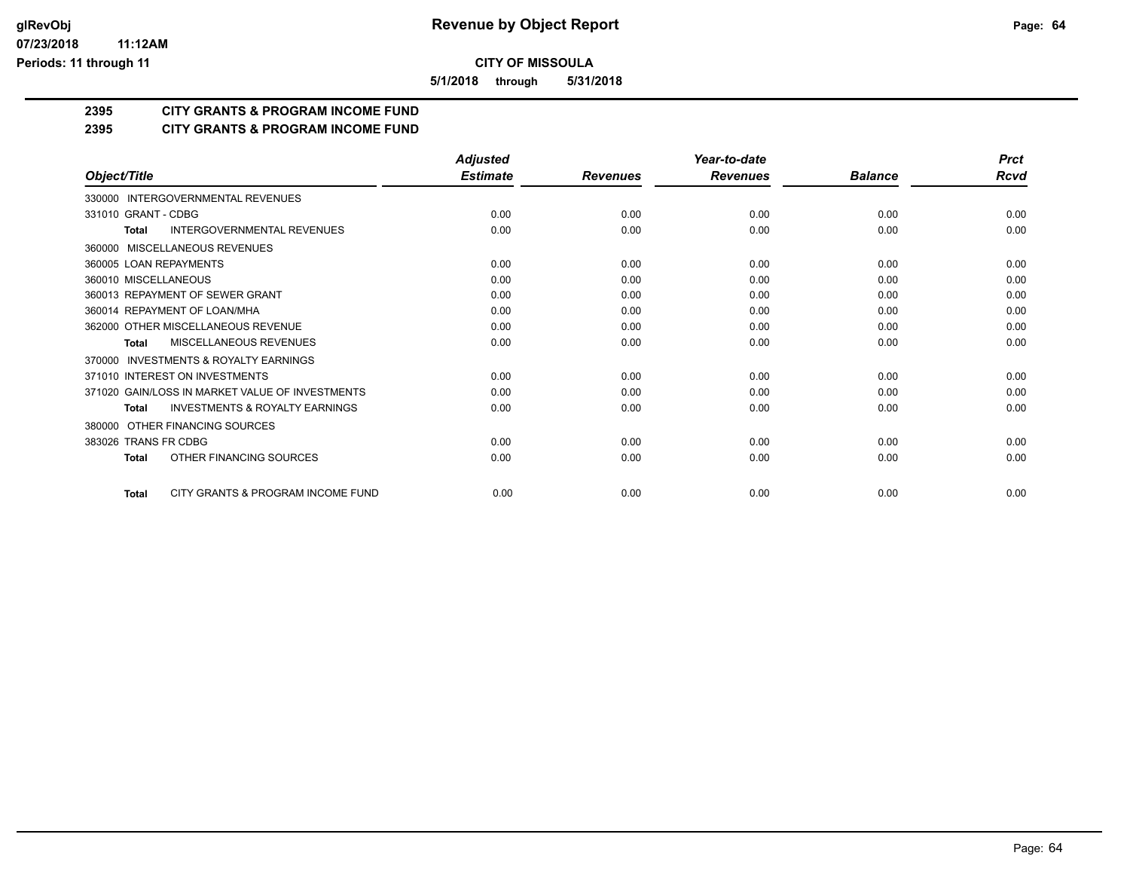**5/1/2018 through 5/31/2018**

## **2395 CITY GRANTS & PROGRAM INCOME FUND**

### **2395 CITY GRANTS & PROGRAM INCOME FUND**

|                                                           | <b>Adjusted</b> |                 | Year-to-date    |                | <b>Prct</b> |
|-----------------------------------------------------------|-----------------|-----------------|-----------------|----------------|-------------|
| Object/Title                                              | <b>Estimate</b> | <b>Revenues</b> | <b>Revenues</b> | <b>Balance</b> | Rcvd        |
| 330000 INTERGOVERNMENTAL REVENUES                         |                 |                 |                 |                |             |
| 331010 GRANT - CDBG                                       | 0.00            | 0.00            | 0.00            | 0.00           | 0.00        |
| <b>INTERGOVERNMENTAL REVENUES</b><br><b>Total</b>         | 0.00            | 0.00            | 0.00            | 0.00           | 0.00        |
| MISCELLANEOUS REVENUES<br>360000                          |                 |                 |                 |                |             |
| 360005 LOAN REPAYMENTS                                    | 0.00            | 0.00            | 0.00            | 0.00           | 0.00        |
| 360010 MISCELLANEOUS                                      | 0.00            | 0.00            | 0.00            | 0.00           | 0.00        |
| 360013 REPAYMENT OF SEWER GRANT                           | 0.00            | 0.00            | 0.00            | 0.00           | 0.00        |
| 360014 REPAYMENT OF LOAN/MHA                              | 0.00            | 0.00            | 0.00            | 0.00           | 0.00        |
| 362000 OTHER MISCELLANEOUS REVENUE                        | 0.00            | 0.00            | 0.00            | 0.00           | 0.00        |
| MISCELLANEOUS REVENUES<br><b>Total</b>                    | 0.00            | 0.00            | 0.00            | 0.00           | 0.00        |
| INVESTMENTS & ROYALTY EARNINGS<br>370000                  |                 |                 |                 |                |             |
| 371010 INTEREST ON INVESTMENTS                            | 0.00            | 0.00            | 0.00            | 0.00           | 0.00        |
| 371020 GAIN/LOSS IN MARKET VALUE OF INVESTMENTS           | 0.00            | 0.00            | 0.00            | 0.00           | 0.00        |
| <b>INVESTMENTS &amp; ROYALTY EARNINGS</b><br><b>Total</b> | 0.00            | 0.00            | 0.00            | 0.00           | 0.00        |
| OTHER FINANCING SOURCES<br>380000                         |                 |                 |                 |                |             |
| 383026 TRANS FR CDBG                                      | 0.00            | 0.00            | 0.00            | 0.00           | 0.00        |
| OTHER FINANCING SOURCES<br><b>Total</b>                   | 0.00            | 0.00            | 0.00            | 0.00           | 0.00        |
| CITY GRANTS & PROGRAM INCOME FUND<br><b>Total</b>         | 0.00            | 0.00            | 0.00            | 0.00           | 0.00        |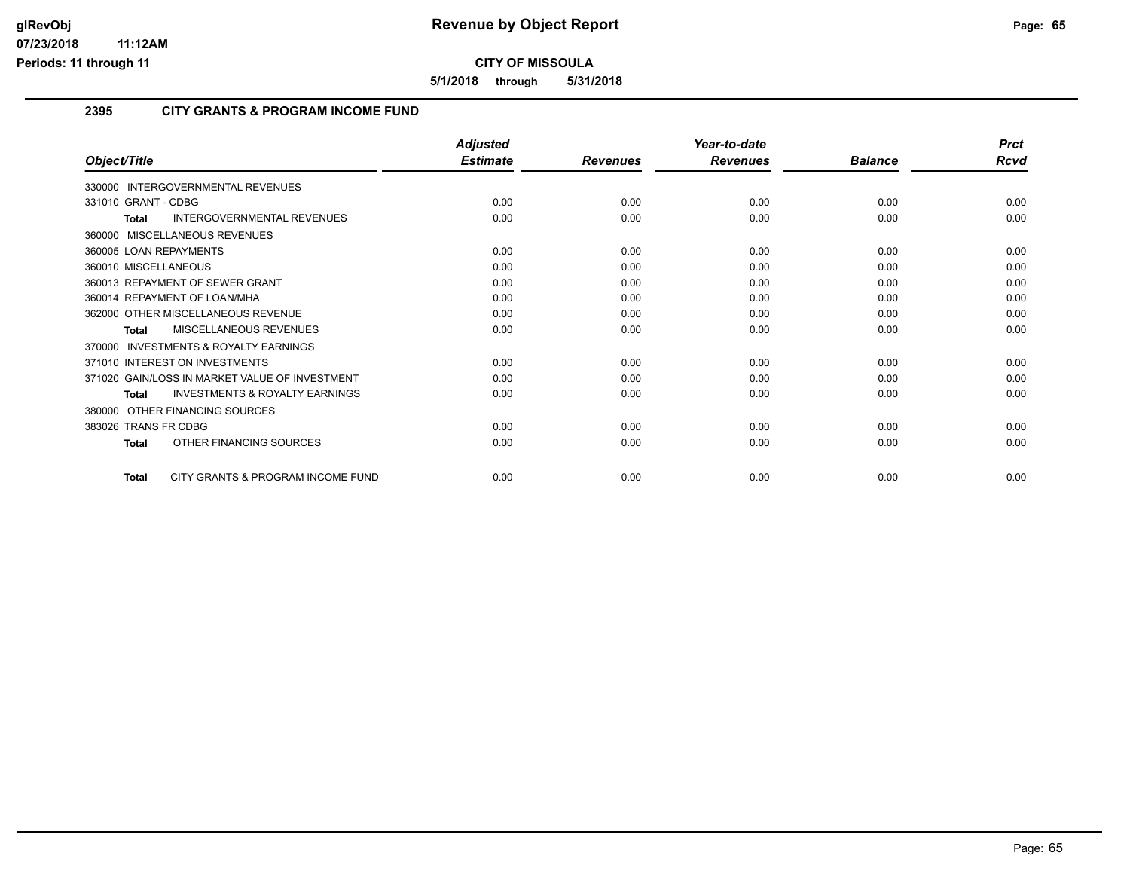**CITY OF MISSOULA**

**5/1/2018 through 5/31/2018**

### **2395 CITY GRANTS & PROGRAM INCOME FUND**

|                                                           | <b>Adjusted</b> |                 | Year-to-date    |                | <b>Prct</b> |
|-----------------------------------------------------------|-----------------|-----------------|-----------------|----------------|-------------|
| Object/Title                                              | <b>Estimate</b> | <b>Revenues</b> | <b>Revenues</b> | <b>Balance</b> | <b>Rcvd</b> |
| 330000 INTERGOVERNMENTAL REVENUES                         |                 |                 |                 |                |             |
| 331010 GRANT - CDBG                                       | 0.00            | 0.00            | 0.00            | 0.00           | 0.00        |
| <b>INTERGOVERNMENTAL REVENUES</b><br><b>Total</b>         | 0.00            | 0.00            | 0.00            | 0.00           | 0.00        |
| MISCELLANEOUS REVENUES<br>360000                          |                 |                 |                 |                |             |
| 360005 LOAN REPAYMENTS                                    | 0.00            | 0.00            | 0.00            | 0.00           | 0.00        |
| 360010 MISCELLANEOUS                                      | 0.00            | 0.00            | 0.00            | 0.00           | 0.00        |
| 360013 REPAYMENT OF SEWER GRANT                           | 0.00            | 0.00            | 0.00            | 0.00           | 0.00        |
| 360014 REPAYMENT OF LOAN/MHA                              | 0.00            | 0.00            | 0.00            | 0.00           | 0.00        |
| 362000 OTHER MISCELLANEOUS REVENUE                        | 0.00            | 0.00            | 0.00            | 0.00           | 0.00        |
| MISCELLANEOUS REVENUES<br><b>Total</b>                    | 0.00            | 0.00            | 0.00            | 0.00           | 0.00        |
| <b>INVESTMENTS &amp; ROYALTY EARNINGS</b><br>370000       |                 |                 |                 |                |             |
| 371010 INTEREST ON INVESTMENTS                            | 0.00            | 0.00            | 0.00            | 0.00           | 0.00        |
| 371020 GAIN/LOSS IN MARKET VALUE OF INVESTMENT            | 0.00            | 0.00            | 0.00            | 0.00           | 0.00        |
| <b>INVESTMENTS &amp; ROYALTY EARNINGS</b><br><b>Total</b> | 0.00            | 0.00            | 0.00            | 0.00           | 0.00        |
| OTHER FINANCING SOURCES<br>380000                         |                 |                 |                 |                |             |
| 383026 TRANS FR CDBG                                      | 0.00            | 0.00            | 0.00            | 0.00           | 0.00        |
| OTHER FINANCING SOURCES<br><b>Total</b>                   | 0.00            | 0.00            | 0.00            | 0.00           | 0.00        |
| CITY GRANTS & PROGRAM INCOME FUND<br><b>Total</b>         | 0.00            | 0.00            | 0.00            | 0.00           | 0.00        |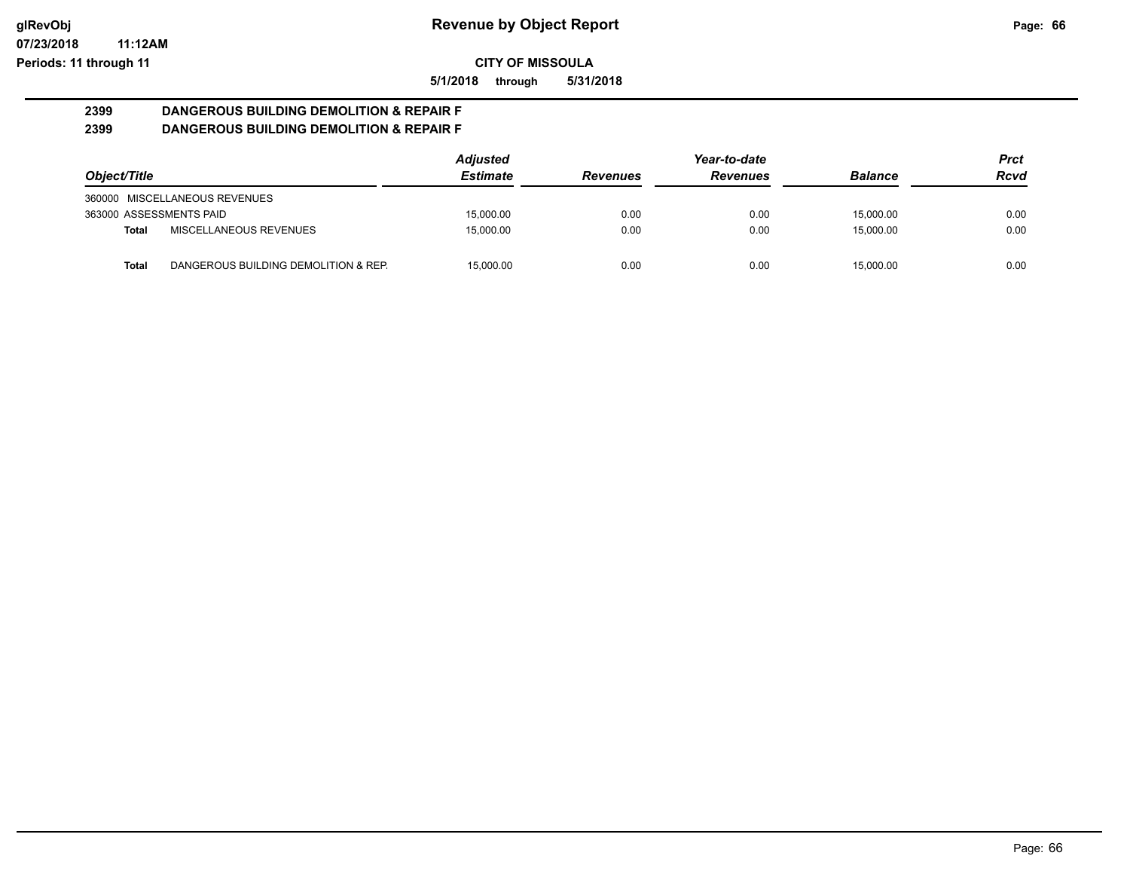**5/1/2018 through 5/31/2018**

### **2399 DANGEROUS BUILDING DEMOLITION & REPAIR F 2399 DANGEROUS BUILDING DEMOLITION & REPAIR F**

|                         |                                      | <b>Adjusted</b> |                 | Year-to-date    |                | Prct |
|-------------------------|--------------------------------------|-----------------|-----------------|-----------------|----------------|------|
| Object/Title            |                                      | <b>Estimate</b> | <b>Revenues</b> | <b>Revenues</b> | <b>Balance</b> | Rcvd |
|                         | 360000 MISCELLANEOUS REVENUES        |                 |                 |                 |                |      |
| 363000 ASSESSMENTS PAID |                                      | 15.000.00       | 0.00            | 0.00            | 15.000.00      | 0.00 |
| Total                   | MISCELLANEOUS REVENUES               | 15.000.00       | 0.00            | 0.00            | 15.000.00      | 0.00 |
| <b>Total</b>            | DANGEROUS BUILDING DEMOLITION & REP. | 15.000.00       | 0.00            | 0.00            | 15.000.00      | 0.00 |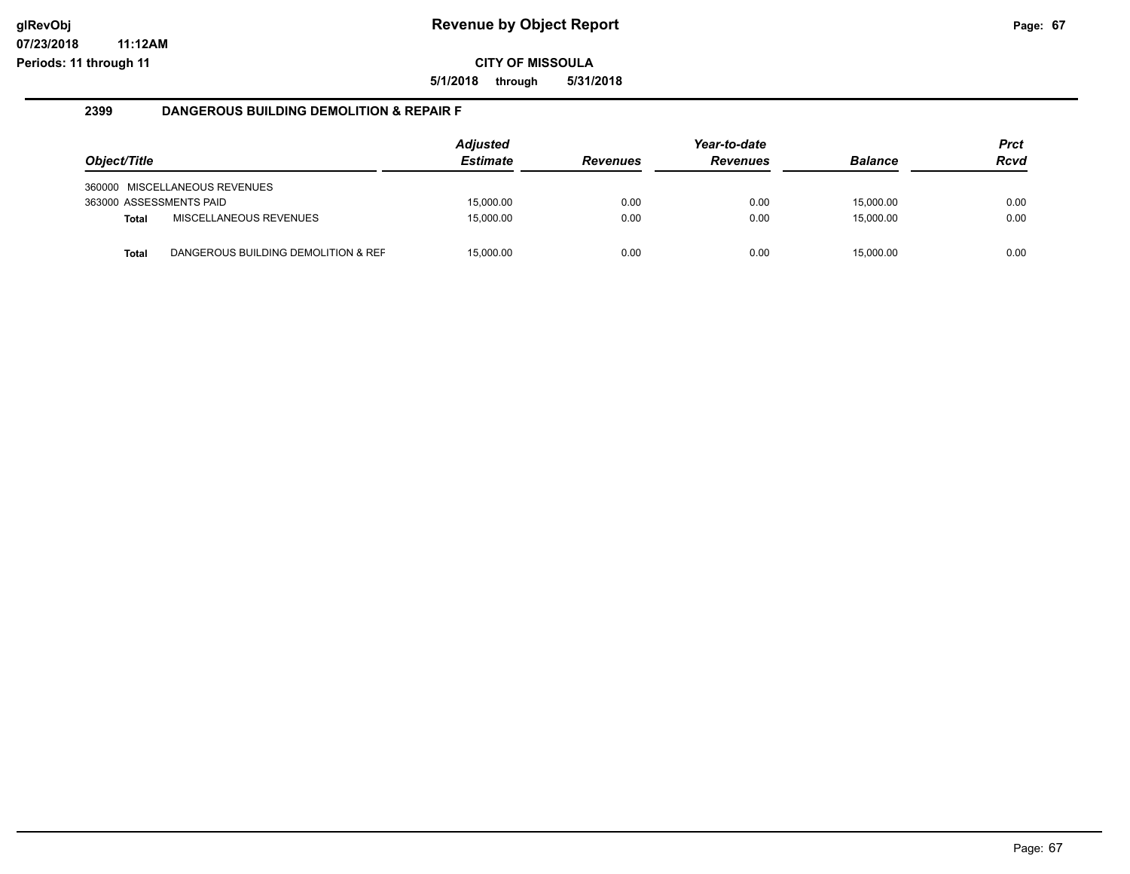**CITY OF MISSOULA**

**5/1/2018 through 5/31/2018**

### **2399 DANGEROUS BUILDING DEMOLITION & REPAIR F**

| Object/Title            |                                     | <b>Adjusted</b><br><b>Estimate</b> | <b>Revenues</b> | Year-to-date<br><b>Revenues</b> | <b>Balance</b> | <b>Prct</b><br><b>Rcvd</b> |
|-------------------------|-------------------------------------|------------------------------------|-----------------|---------------------------------|----------------|----------------------------|
|                         | 360000 MISCELLANEOUS REVENUES       |                                    |                 |                                 |                |                            |
| 363000 ASSESSMENTS PAID |                                     | 15.000.00                          | 0.00            | 0.00                            | 15.000.00      | 0.00                       |
| <b>Total</b>            | MISCELLANEOUS REVENUES              | 15.000.00                          | 0.00            | 0.00                            | 15.000.00      | 0.00                       |
| Total                   | DANGEROUS BUILDING DEMOLITION & REF | 15,000.00                          | 0.00            | 0.00                            | 15.000.00      | 0.00                       |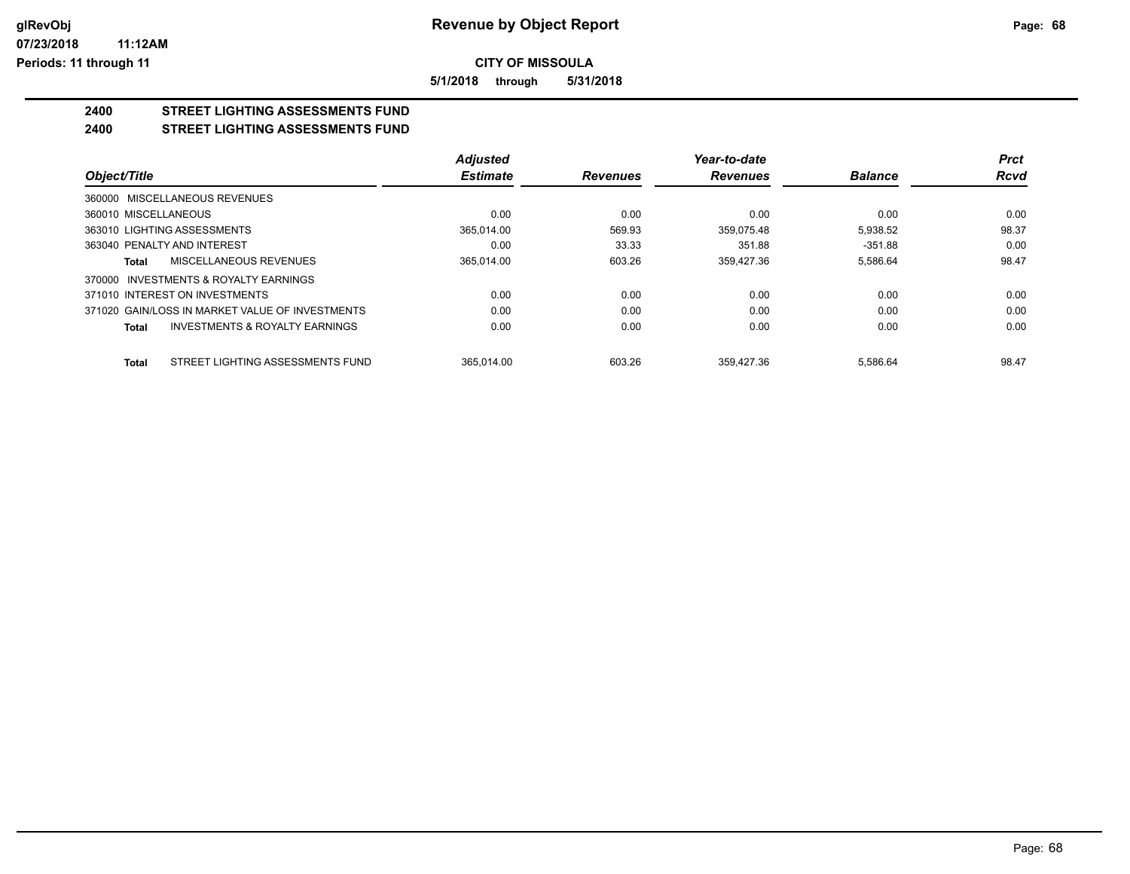**5/1/2018 through 5/31/2018**

# **2400 STREET LIGHTING ASSESSMENTS FUND**

## **2400 STREET LIGHTING ASSESSMENTS FUND**

|                                                    | <b>Adjusted</b> |                 | Year-to-date    |                | <b>Prct</b> |
|----------------------------------------------------|-----------------|-----------------|-----------------|----------------|-------------|
| Object/Title                                       | <b>Estimate</b> | <b>Revenues</b> | <b>Revenues</b> | <b>Balance</b> | <b>Rcvd</b> |
| 360000 MISCELLANEOUS REVENUES                      |                 |                 |                 |                |             |
| 360010 MISCELLANEOUS                               | 0.00            | 0.00            | 0.00            | 0.00           | 0.00        |
| 363010 LIGHTING ASSESSMENTS                        | 365.014.00      | 569.93          | 359.075.48      | 5.938.52       | 98.37       |
| 363040 PENALTY AND INTEREST                        | 0.00            | 33.33           | 351.88          | $-351.88$      | 0.00        |
| MISCELLANEOUS REVENUES<br>Total                    | 365.014.00      | 603.26          | 359.427.36      | 5,586.64       | 98.47       |
| 370000 INVESTMENTS & ROYALTY EARNINGS              |                 |                 |                 |                |             |
| 371010 INTEREST ON INVESTMENTS                     | 0.00            | 0.00            | 0.00            | 0.00           | 0.00        |
| 371020 GAIN/LOSS IN MARKET VALUE OF INVESTMENTS    | 0.00            | 0.00            | 0.00            | 0.00           | 0.00        |
| <b>INVESTMENTS &amp; ROYALTY EARNINGS</b><br>Total | 0.00            | 0.00            | 0.00            | 0.00           | 0.00        |
| STREET LIGHTING ASSESSMENTS FUND<br><b>Total</b>   | 365.014.00      | 603.26          | 359.427.36      | 5.586.64       | 98.47       |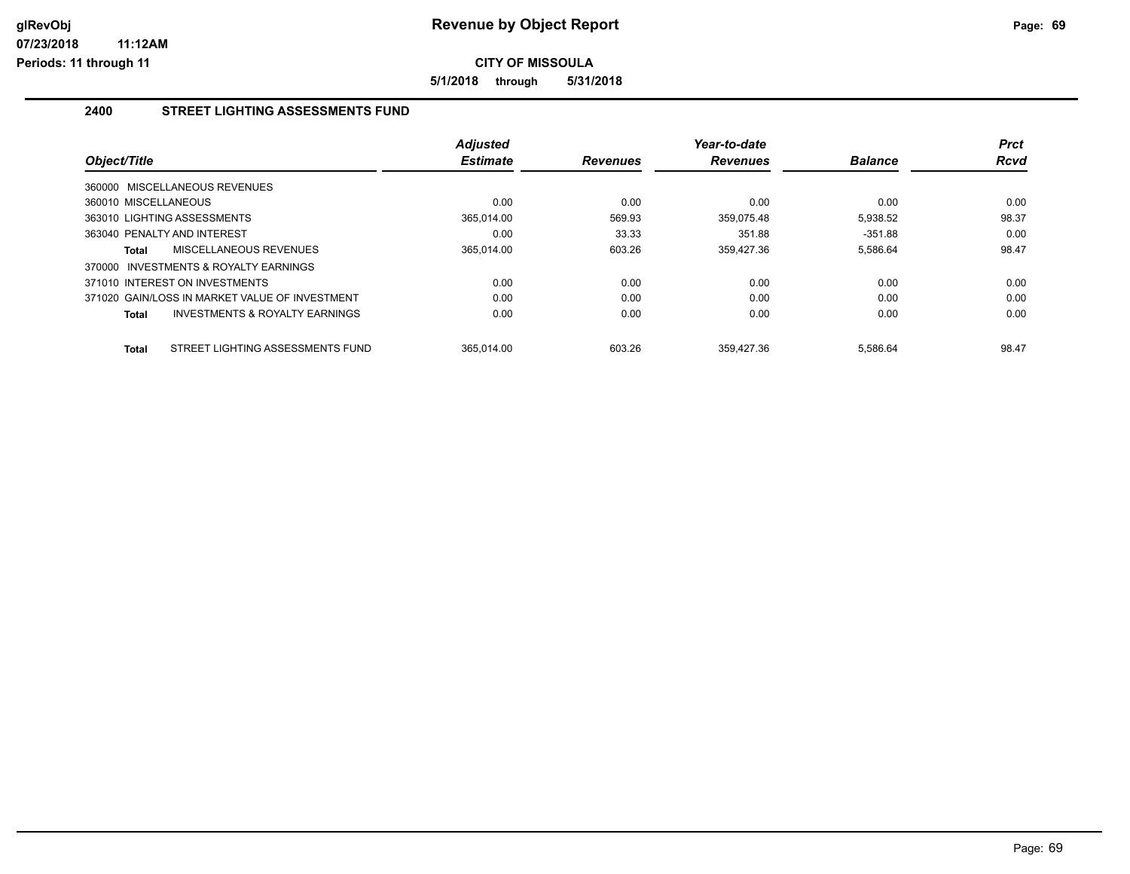**5/1/2018 through 5/31/2018**

### **2400 STREET LIGHTING ASSESSMENTS FUND**

| Object/Title                                       | <b>Adjusted</b><br><b>Estimate</b> | <b>Revenues</b> | Year-to-date<br><b>Revenues</b> | <b>Balance</b> | <b>Prct</b><br><b>Rcvd</b> |
|----------------------------------------------------|------------------------------------|-----------------|---------------------------------|----------------|----------------------------|
| 360000 MISCELLANEOUS REVENUES                      |                                    |                 |                                 |                |                            |
| 360010 MISCELLANEOUS                               | 0.00                               | 0.00            | 0.00                            | 0.00           | 0.00                       |
| 363010 LIGHTING ASSESSMENTS                        | 365.014.00                         | 569.93          | 359.075.48                      | 5.938.52       | 98.37                      |
| 363040 PENALTY AND INTEREST                        | 0.00                               | 33.33           | 351.88                          | $-351.88$      | 0.00                       |
| MISCELLANEOUS REVENUES<br>Total                    | 365,014.00                         | 603.26          | 359,427.36                      | 5,586.64       | 98.47                      |
| 370000 INVESTMENTS & ROYALTY EARNINGS              |                                    |                 |                                 |                |                            |
| 371010 INTEREST ON INVESTMENTS                     | 0.00                               | 0.00            | 0.00                            | 0.00           | 0.00                       |
| 371020 GAIN/LOSS IN MARKET VALUE OF INVESTMENT     | 0.00                               | 0.00            | 0.00                            | 0.00           | 0.00                       |
| <b>INVESTMENTS &amp; ROYALTY EARNINGS</b><br>Total | 0.00                               | 0.00            | 0.00                            | 0.00           | 0.00                       |
| STREET LIGHTING ASSESSMENTS FUND<br>Total          | 365.014.00                         | 603.26          | 359.427.36                      | 5.586.64       | 98.47                      |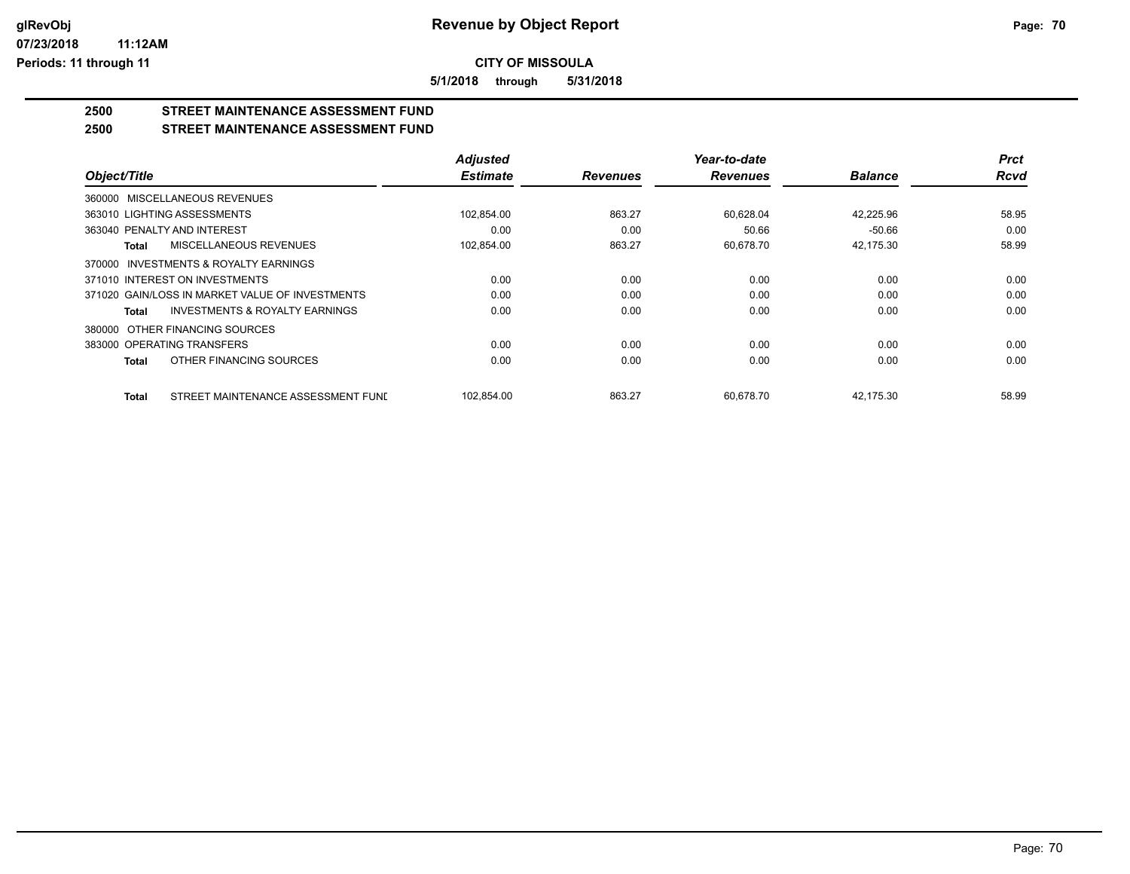**5/1/2018 through 5/31/2018**

# **2500 STREET MAINTENANCE ASSESSMENT FUND**

### **2500 STREET MAINTENANCE ASSESSMENT FUND**

|                                                    | <b>Adjusted</b> |                 | Year-to-date    |                | <b>Prct</b> |
|----------------------------------------------------|-----------------|-----------------|-----------------|----------------|-------------|
| Object/Title                                       | <b>Estimate</b> | <b>Revenues</b> | <b>Revenues</b> | <b>Balance</b> | <b>Rcvd</b> |
| 360000 MISCELLANEOUS REVENUES                      |                 |                 |                 |                |             |
| 363010 LIGHTING ASSESSMENTS                        | 102,854.00      | 863.27          | 60,628.04       | 42,225.96      | 58.95       |
| 363040 PENALTY AND INTEREST                        | 0.00            | 0.00            | 50.66           | $-50.66$       | 0.00        |
| MISCELLANEOUS REVENUES<br>Total                    | 102,854.00      | 863.27          | 60.678.70       | 42.175.30      | 58.99       |
| INVESTMENTS & ROYALTY EARNINGS<br>370000           |                 |                 |                 |                |             |
| 371010 INTEREST ON INVESTMENTS                     | 0.00            | 0.00            | 0.00            | 0.00           | 0.00        |
| 371020 GAIN/LOSS IN MARKET VALUE OF INVESTMENTS    | 0.00            | 0.00            | 0.00            | 0.00           | 0.00        |
| <b>INVESTMENTS &amp; ROYALTY EARNINGS</b><br>Total | 0.00            | 0.00            | 0.00            | 0.00           | 0.00        |
| OTHER FINANCING SOURCES<br>380000                  |                 |                 |                 |                |             |
| 383000 OPERATING TRANSFERS                         | 0.00            | 0.00            | 0.00            | 0.00           | 0.00        |
| OTHER FINANCING SOURCES<br><b>Total</b>            | 0.00            | 0.00            | 0.00            | 0.00           | 0.00        |
| STREET MAINTENANCE ASSESSMENT FUND<br><b>Total</b> | 102.854.00      | 863.27          | 60.678.70       | 42.175.30      | 58.99       |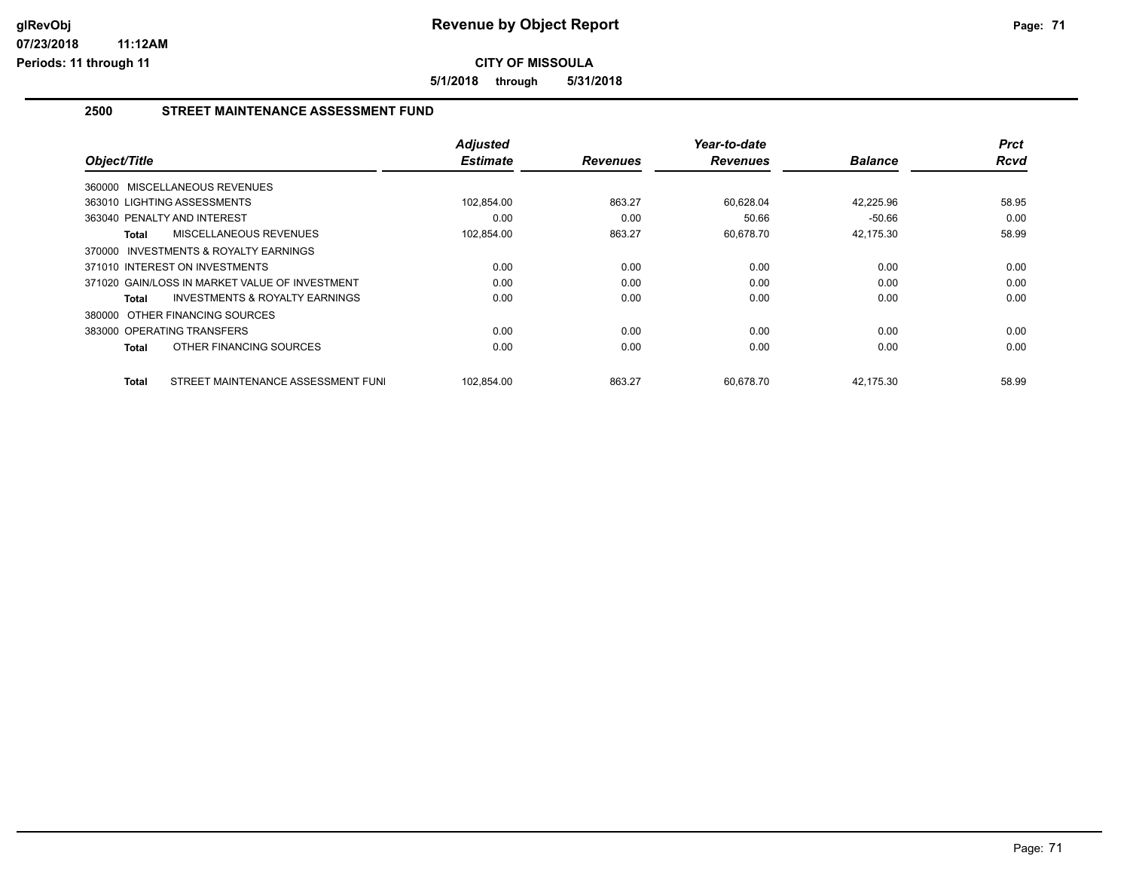**5/1/2018 through 5/31/2018**

### **2500 STREET MAINTENANCE ASSESSMENT FUND**

| Object/Title |                                                | <b>Adjusted</b><br><b>Estimate</b> | <b>Revenues</b> | Year-to-date<br><b>Revenues</b> | <b>Balance</b> | <b>Prct</b><br>Rcvd |
|--------------|------------------------------------------------|------------------------------------|-----------------|---------------------------------|----------------|---------------------|
|              | 360000 MISCELLANEOUS REVENUES                  |                                    |                 |                                 |                |                     |
|              | 363010 LIGHTING ASSESSMENTS                    | 102,854.00                         | 863.27          | 60,628.04                       | 42.225.96      | 58.95               |
|              | 363040 PENALTY AND INTEREST                    | 0.00                               | 0.00            | 50.66                           | $-50.66$       | 0.00                |
| Total        | <b>MISCELLANEOUS REVENUES</b>                  | 102,854.00                         | 863.27          | 60,678.70                       | 42,175.30      | 58.99               |
| 370000       | <b>INVESTMENTS &amp; ROYALTY EARNINGS</b>      |                                    |                 |                                 |                |                     |
|              | 371010 INTEREST ON INVESTMENTS                 | 0.00                               | 0.00            | 0.00                            | 0.00           | 0.00                |
|              | 371020 GAIN/LOSS IN MARKET VALUE OF INVESTMENT | 0.00                               | 0.00            | 0.00                            | 0.00           | 0.00                |
| Total        | <b>INVESTMENTS &amp; ROYALTY EARNINGS</b>      | 0.00                               | 0.00            | 0.00                            | 0.00           | 0.00                |
|              | 380000 OTHER FINANCING SOURCES                 |                                    |                 |                                 |                |                     |
|              | 383000 OPERATING TRANSFERS                     | 0.00                               | 0.00            | 0.00                            | 0.00           | 0.00                |
| Total        | OTHER FINANCING SOURCES                        | 0.00                               | 0.00            | 0.00                            | 0.00           | 0.00                |
| Total        | STREET MAINTENANCE ASSESSMENT FUNI             | 102.854.00                         | 863.27          | 60.678.70                       | 42.175.30      | 58.99               |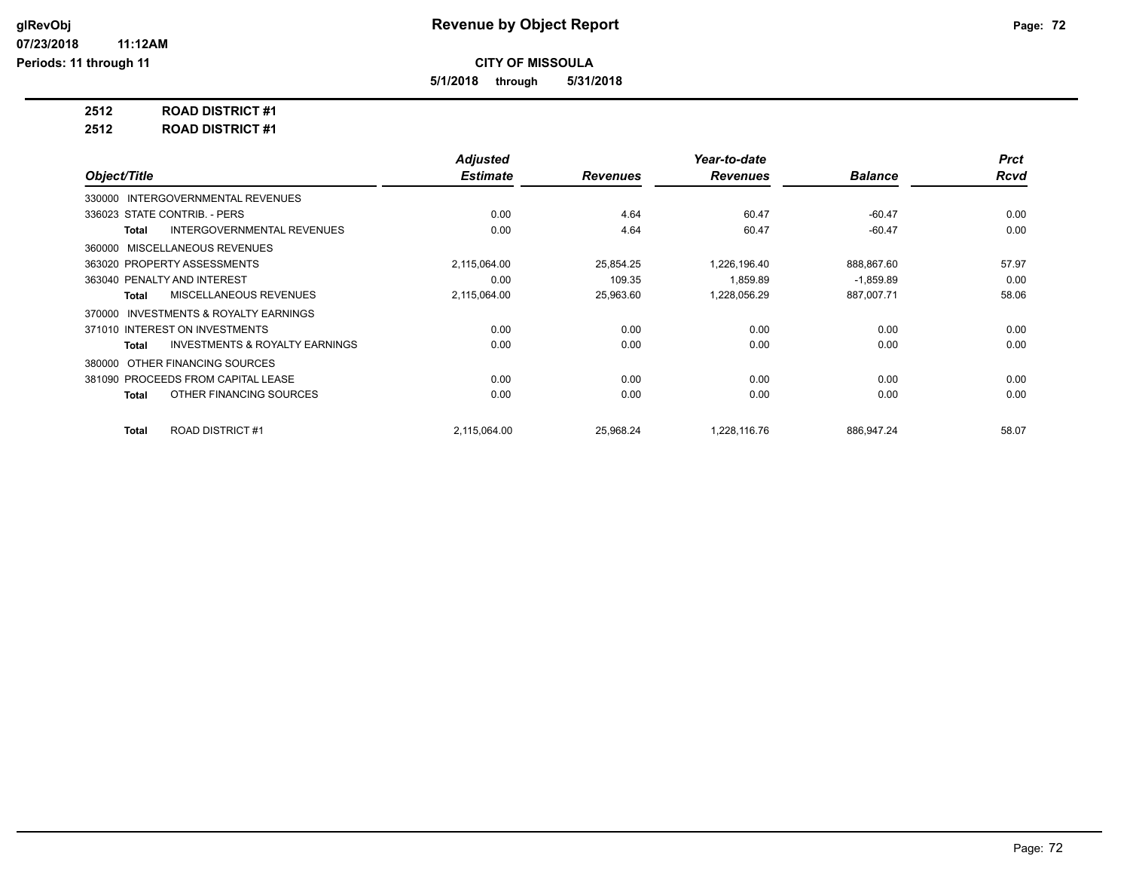**5/1/2018 through 5/31/2018**

**2512 ROAD DISTRICT #1**

**2512 ROAD DISTRICT #1**

| Object/Title                                       | <b>Adjusted</b> |                 | Year-to-date    |                | <b>Prct</b> |
|----------------------------------------------------|-----------------|-----------------|-----------------|----------------|-------------|
|                                                    | <b>Estimate</b> | <b>Revenues</b> | <b>Revenues</b> | <b>Balance</b> | <b>Rcvd</b> |
| INTERGOVERNMENTAL REVENUES<br>330000               |                 |                 |                 |                |             |
| 336023 STATE CONTRIB. - PERS                       | 0.00            | 4.64            | 60.47           | $-60.47$       | 0.00        |
| <b>INTERGOVERNMENTAL REVENUES</b><br>Total         | 0.00            | 4.64            | 60.47           | $-60.47$       | 0.00        |
| 360000 MISCELLANEOUS REVENUES                      |                 |                 |                 |                |             |
| 363020 PROPERTY ASSESSMENTS                        | 2,115,064.00    | 25,854.25       | 1,226,196.40    | 888,867.60     | 57.97       |
| 363040 PENALTY AND INTEREST                        | 0.00            | 109.35          | 1,859.89        | $-1,859.89$    | 0.00        |
| MISCELLANEOUS REVENUES<br>Total                    | 2,115,064.00    | 25,963.60       | 1,228,056.29    | 887,007.71     | 58.06       |
| INVESTMENTS & ROYALTY EARNINGS<br>370000           |                 |                 |                 |                |             |
| 371010 INTEREST ON INVESTMENTS                     | 0.00            | 0.00            | 0.00            | 0.00           | 0.00        |
| <b>INVESTMENTS &amp; ROYALTY EARNINGS</b><br>Total | 0.00            | 0.00            | 0.00            | 0.00           | 0.00        |
| OTHER FINANCING SOURCES<br>380000                  |                 |                 |                 |                |             |
| 381090 PROCEEDS FROM CAPITAL LEASE                 | 0.00            | 0.00            | 0.00            | 0.00           | 0.00        |
| OTHER FINANCING SOURCES<br>Total                   | 0.00            | 0.00            | 0.00            | 0.00           | 0.00        |
| <b>ROAD DISTRICT #1</b><br><b>Total</b>            | 2,115,064.00    | 25,968.24       | 1,228,116.76    | 886,947.24     | 58.07       |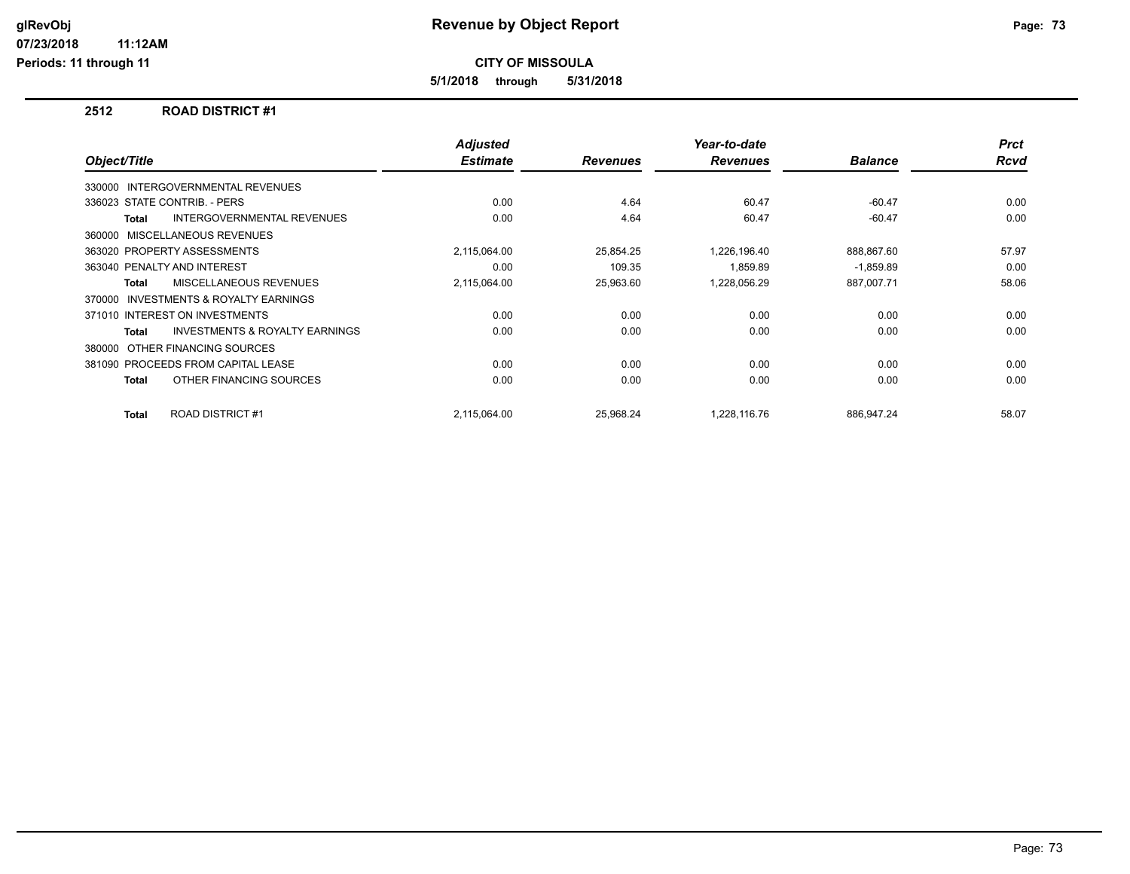**CITY OF MISSOULA**

**5/1/2018 through 5/31/2018**

### **2512 ROAD DISTRICT #1**

| Object/Title                   |                                           | <b>Adjusted</b><br><b>Estimate</b> | <b>Revenues</b> | Year-to-date<br><b>Revenues</b> | <b>Balance</b> | <b>Prct</b><br><b>Rcvd</b> |
|--------------------------------|-------------------------------------------|------------------------------------|-----------------|---------------------------------|----------------|----------------------------|
|                                |                                           |                                    |                 |                                 |                |                            |
|                                | 330000 INTERGOVERNMENTAL REVENUES         |                                    |                 |                                 |                |                            |
| 336023 STATE CONTRIB. - PERS   |                                           | 0.00                               | 4.64            | 60.47                           | $-60.47$       | 0.00                       |
| <b>Total</b>                   | <b>INTERGOVERNMENTAL REVENUES</b>         | 0.00                               | 4.64            | 60.47                           | $-60.47$       | 0.00                       |
| 360000                         | MISCELLANEOUS REVENUES                    |                                    |                 |                                 |                |                            |
| 363020 PROPERTY ASSESSMENTS    |                                           | 2,115,064.00                       | 25,854.25       | 1,226,196.40                    | 888,867.60     | 57.97                      |
| 363040 PENALTY AND INTEREST    |                                           | 0.00                               | 109.35          | 1,859.89                        | $-1,859.89$    | 0.00                       |
| <b>Total</b>                   | <b>MISCELLANEOUS REVENUES</b>             | 2,115,064.00                       | 25,963.60       | 1,228,056.29                    | 887,007.71     | 58.06                      |
| 370000                         | <b>INVESTMENTS &amp; ROYALTY EARNINGS</b> |                                    |                 |                                 |                |                            |
| 371010 INTEREST ON INVESTMENTS |                                           | 0.00                               | 0.00            | 0.00                            | 0.00           | 0.00                       |
| Total                          | <b>INVESTMENTS &amp; ROYALTY EARNINGS</b> | 0.00                               | 0.00            | 0.00                            | 0.00           | 0.00                       |
| 380000 OTHER FINANCING SOURCES |                                           |                                    |                 |                                 |                |                            |
|                                | 381090 PROCEEDS FROM CAPITAL LEASE        | 0.00                               | 0.00            | 0.00                            | 0.00           | 0.00                       |
| Total                          | OTHER FINANCING SOURCES                   | 0.00                               | 0.00            | 0.00                            | 0.00           | 0.00                       |
| <b>Total</b>                   | ROAD DISTRICT #1                          | 2,115,064.00                       | 25,968.24       | 1,228,116.76                    | 886,947.24     | 58.07                      |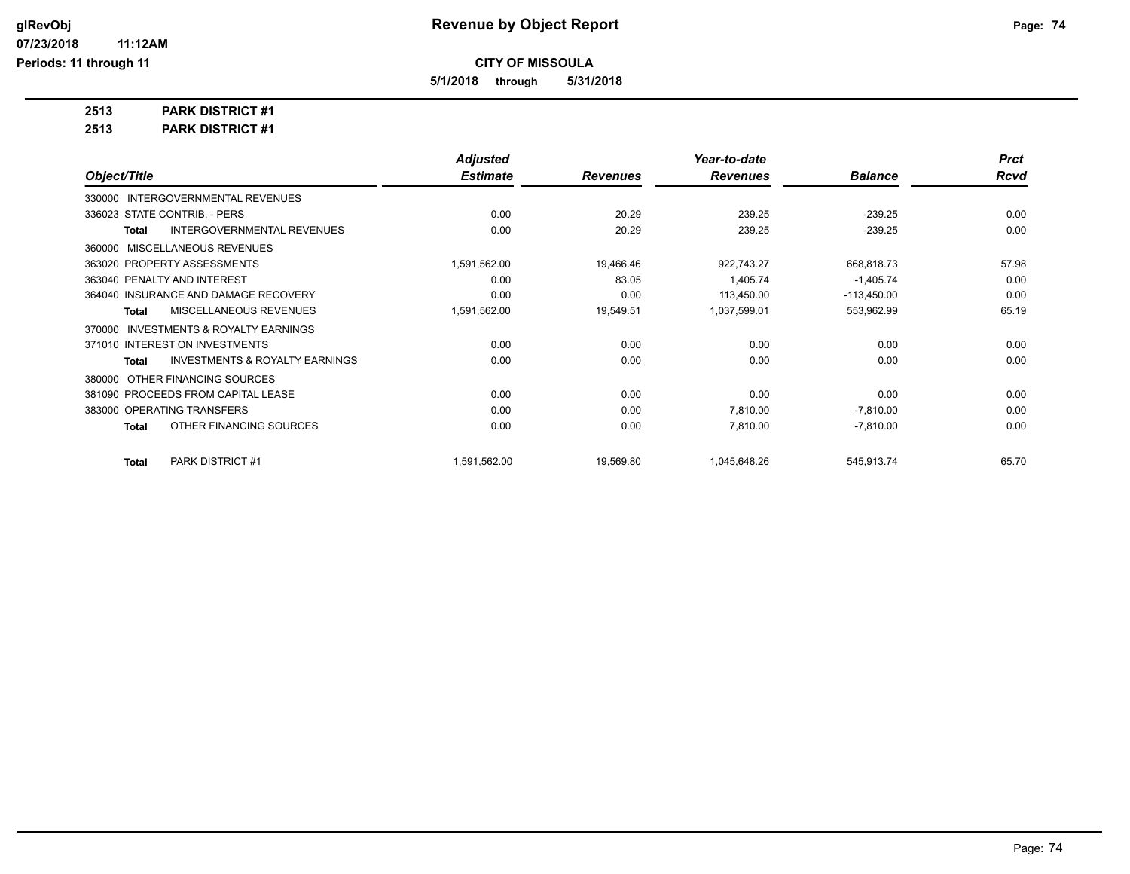**5/1/2018 through 5/31/2018**

**2513 PARK DISTRICT #1**

**2513 PARK DISTRICT #1**

|                                                    | <b>Adjusted</b> |                 | Year-to-date    |                | <b>Prct</b> |
|----------------------------------------------------|-----------------|-----------------|-----------------|----------------|-------------|
| Object/Title                                       | <b>Estimate</b> | <b>Revenues</b> | <b>Revenues</b> | <b>Balance</b> | Rcvd        |
| 330000 INTERGOVERNMENTAL REVENUES                  |                 |                 |                 |                |             |
| 336023 STATE CONTRIB. - PERS                       | 0.00            | 20.29           | 239.25          | $-239.25$      | 0.00        |
| <b>INTERGOVERNMENTAL REVENUES</b><br><b>Total</b>  | 0.00            | 20.29           | 239.25          | $-239.25$      | 0.00        |
| MISCELLANEOUS REVENUES<br>360000                   |                 |                 |                 |                |             |
| 363020 PROPERTY ASSESSMENTS                        | 1,591,562.00    | 19,466.46       | 922,743.27      | 668,818.73     | 57.98       |
| 363040 PENALTY AND INTEREST                        | 0.00            | 83.05           | 1,405.74        | $-1,405.74$    | 0.00        |
| 364040 INSURANCE AND DAMAGE RECOVERY               | 0.00            | 0.00            | 113,450.00      | $-113,450.00$  | 0.00        |
| MISCELLANEOUS REVENUES<br><b>Total</b>             | 1,591,562.00    | 19,549.51       | 1,037,599.01    | 553,962.99     | 65.19       |
| INVESTMENTS & ROYALTY EARNINGS<br>370000           |                 |                 |                 |                |             |
| 371010 INTEREST ON INVESTMENTS                     | 0.00            | 0.00            | 0.00            | 0.00           | 0.00        |
| <b>INVESTMENTS &amp; ROYALTY EARNINGS</b><br>Total | 0.00            | 0.00            | 0.00            | 0.00           | 0.00        |
| OTHER FINANCING SOURCES<br>380000                  |                 |                 |                 |                |             |
| 381090 PROCEEDS FROM CAPITAL LEASE                 | 0.00            | 0.00            | 0.00            | 0.00           | 0.00        |
| 383000 OPERATING TRANSFERS                         | 0.00            | 0.00            | 7,810.00        | $-7,810.00$    | 0.00        |
| OTHER FINANCING SOURCES<br><b>Total</b>            | 0.00            | 0.00            | 7,810.00        | $-7,810.00$    | 0.00        |
| PARK DISTRICT #1<br><b>Total</b>                   | 1,591,562.00    | 19,569.80       | 1,045,648.26    | 545,913.74     | 65.70       |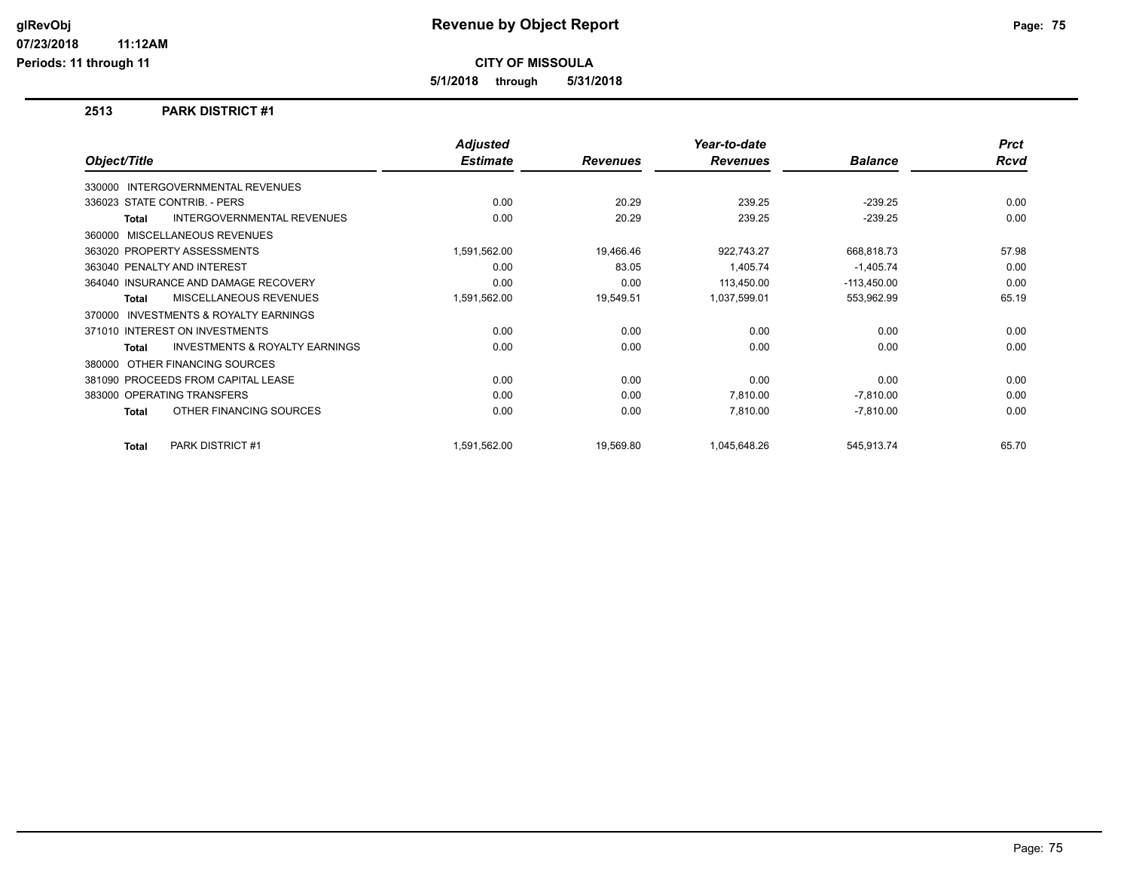**CITY OF MISSOULA**

**5/1/2018 through 5/31/2018**

### **2513 PARK DISTRICT #1**

|                                                           | <b>Adjusted</b> |                 | Year-to-date    |                | <b>Prct</b> |
|-----------------------------------------------------------|-----------------|-----------------|-----------------|----------------|-------------|
| Object/Title                                              | <b>Estimate</b> | <b>Revenues</b> | <b>Revenues</b> | <b>Balance</b> | Rcvd        |
| INTERGOVERNMENTAL REVENUES<br>330000                      |                 |                 |                 |                |             |
| 336023 STATE CONTRIB. - PERS                              | 0.00            | 20.29           | 239.25          | $-239.25$      | 0.00        |
| <b>INTERGOVERNMENTAL REVENUES</b><br><b>Total</b>         | 0.00            | 20.29           | 239.25          | $-239.25$      | 0.00        |
| 360000 MISCELLANEOUS REVENUES                             |                 |                 |                 |                |             |
| 363020 PROPERTY ASSESSMENTS                               | 1,591,562.00    | 19,466.46       | 922,743.27      | 668,818.73     | 57.98       |
| 363040 PENALTY AND INTEREST                               | 0.00            | 83.05           | 1,405.74        | $-1,405.74$    | 0.00        |
| 364040 INSURANCE AND DAMAGE RECOVERY                      | 0.00            | 0.00            | 113,450.00      | $-113,450.00$  | 0.00        |
| <b>MISCELLANEOUS REVENUES</b><br><b>Total</b>             | 1,591,562.00    | 19,549.51       | 1,037,599.01    | 553,962.99     | 65.19       |
| INVESTMENTS & ROYALTY EARNINGS<br>370000                  |                 |                 |                 |                |             |
| 371010 INTEREST ON INVESTMENTS                            | 0.00            | 0.00            | 0.00            | 0.00           | 0.00        |
| <b>INVESTMENTS &amp; ROYALTY EARNINGS</b><br><b>Total</b> | 0.00            | 0.00            | 0.00            | 0.00           | 0.00        |
| 380000 OTHER FINANCING SOURCES                            |                 |                 |                 |                |             |
| 381090 PROCEEDS FROM CAPITAL LEASE                        | 0.00            | 0.00            | 0.00            | 0.00           | 0.00        |
| 383000 OPERATING TRANSFERS                                | 0.00            | 0.00            | 7,810.00        | $-7,810.00$    | 0.00        |
| OTHER FINANCING SOURCES<br><b>Total</b>                   | 0.00            | 0.00            | 7,810.00        | $-7,810.00$    | 0.00        |
| <b>PARK DISTRICT #1</b><br><b>Total</b>                   | 1,591,562.00    | 19,569.80       | 1,045,648.26    | 545,913.74     | 65.70       |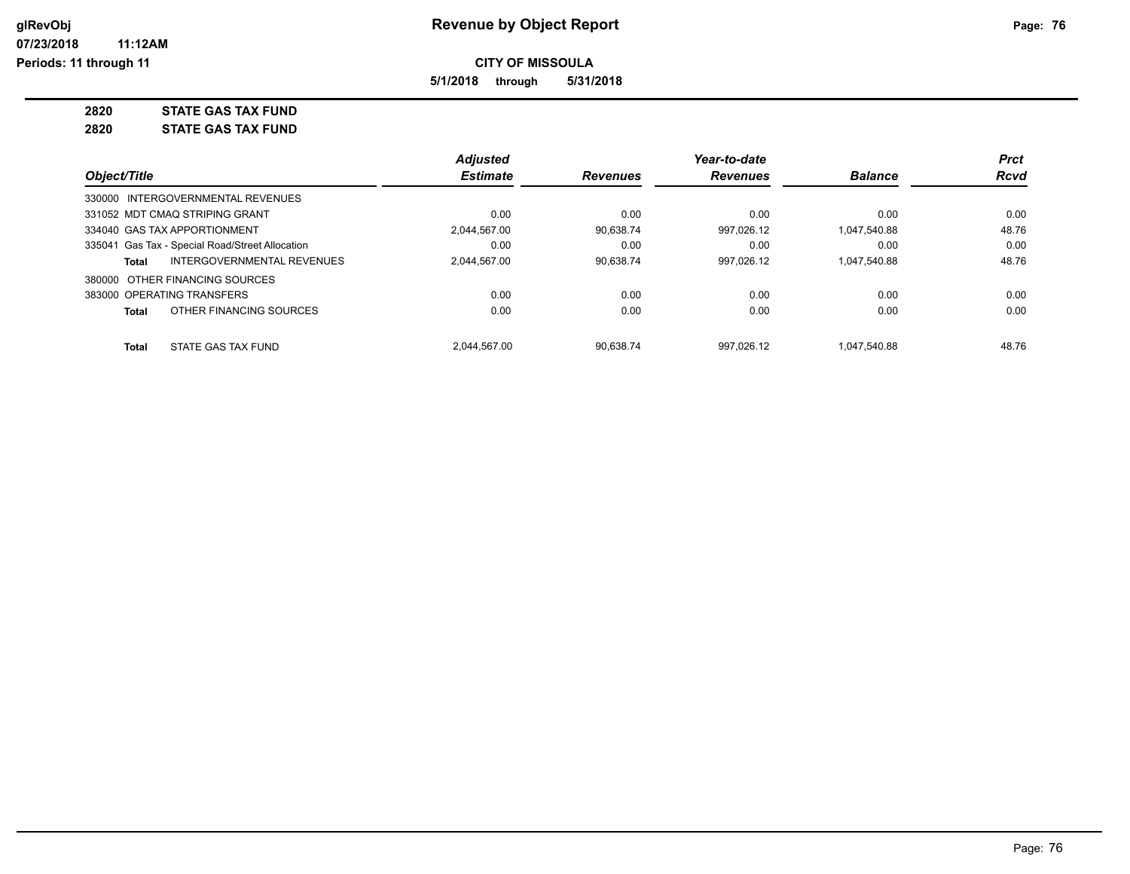**5/1/2018 through 5/31/2018**

**2820 STATE GAS TAX FUND**

**2820 STATE GAS TAX FUND**

|                                                 |                            | <b>Adjusted</b> |                 | Year-to-date    |                | <b>Prct</b> |
|-------------------------------------------------|----------------------------|-----------------|-----------------|-----------------|----------------|-------------|
| Object/Title                                    |                            | <b>Estimate</b> | <b>Revenues</b> | <b>Revenues</b> | <b>Balance</b> | Rcvd        |
| 330000 INTERGOVERNMENTAL REVENUES               |                            |                 |                 |                 |                |             |
| 331052 MDT CMAQ STRIPING GRANT                  |                            | 0.00            | 0.00            | 0.00            | 0.00           | 0.00        |
| 334040 GAS TAX APPORTIONMENT                    |                            | 2.044.567.00    | 90.638.74       | 997.026.12      | 1.047.540.88   | 48.76       |
| 335041 Gas Tax - Special Road/Street Allocation |                            | 0.00            | 0.00            | 0.00            | 0.00           | 0.00        |
| Total                                           | INTERGOVERNMENTAL REVENUES | 2.044.567.00    | 90.638.74       | 997.026.12      | 1,047,540.88   | 48.76       |
| 380000 OTHER FINANCING SOURCES                  |                            |                 |                 |                 |                |             |
| 383000 OPERATING TRANSFERS                      |                            | 0.00            | 0.00            | 0.00            | 0.00           | 0.00        |
| OTHER FINANCING SOURCES<br><b>Total</b>         |                            | 0.00            | 0.00            | 0.00            | 0.00           | 0.00        |
| STATE GAS TAX FUND<br>Total                     |                            | 2.044.567.00    | 90.638.74       | 997.026.12      | 1.047.540.88   | 48.76       |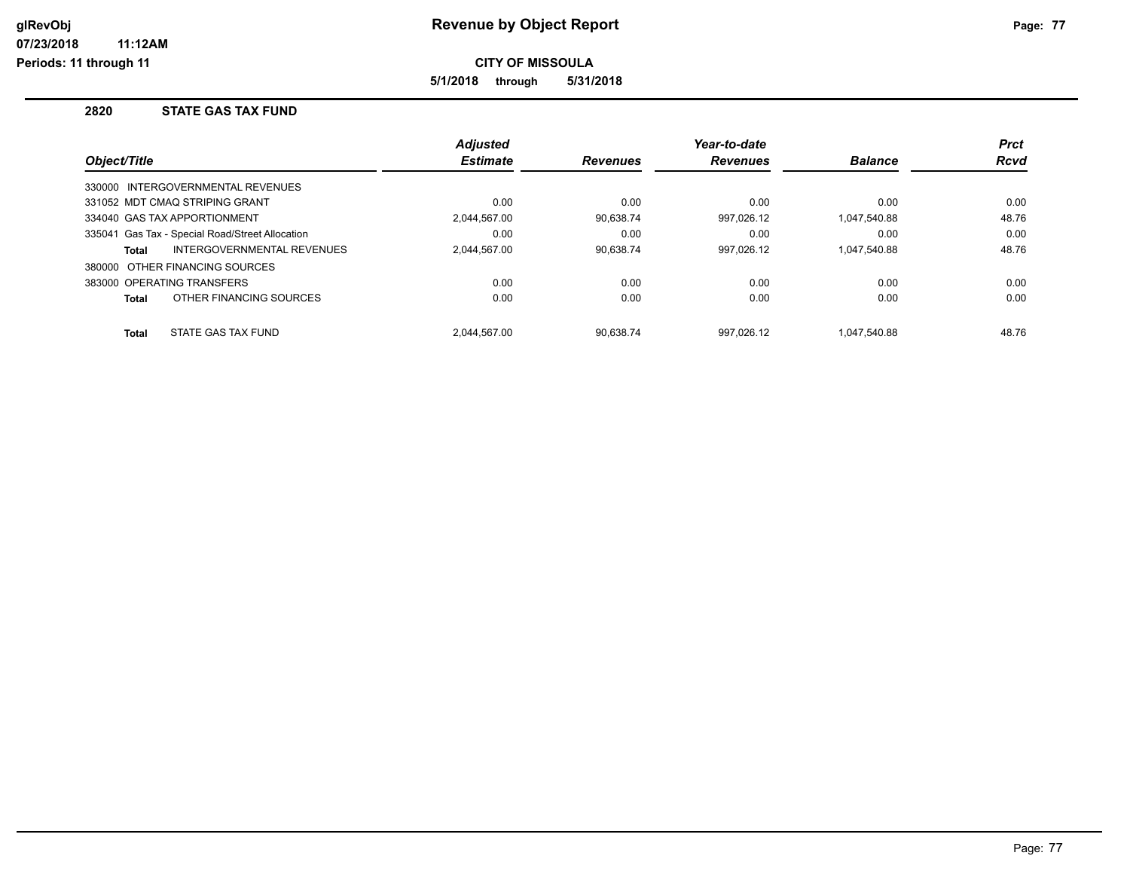**CITY OF MISSOULA**

**5/1/2018 through 5/31/2018**

### **2820 STATE GAS TAX FUND**

|                                                 | <b>Adjusted</b> |                 | Year-to-date    |                | <b>Prct</b> |
|-------------------------------------------------|-----------------|-----------------|-----------------|----------------|-------------|
| <i><b>Object/Title</b></i>                      | <b>Estimate</b> | <b>Revenues</b> | <b>Revenues</b> | <b>Balance</b> | <b>Rcvd</b> |
| 330000 INTERGOVERNMENTAL REVENUES               |                 |                 |                 |                |             |
| 331052 MDT CMAQ STRIPING GRANT                  | 0.00            | 0.00            | 0.00            | 0.00           | 0.00        |
| 334040 GAS TAX APPORTIONMENT                    | 2.044.567.00    | 90.638.74       | 997.026.12      | 1.047.540.88   | 48.76       |
| 335041 Gas Tax - Special Road/Street Allocation | 0.00            | 0.00            | 0.00            | 0.00           | 0.00        |
| INTERGOVERNMENTAL REVENUES<br>Total             | 2.044.567.00    | 90.638.74       | 997.026.12      | 1.047.540.88   | 48.76       |
| 380000 OTHER FINANCING SOURCES                  |                 |                 |                 |                |             |
| 383000 OPERATING TRANSFERS                      | 0.00            | 0.00            | 0.00            | 0.00           | 0.00        |
| OTHER FINANCING SOURCES<br><b>Total</b>         | 0.00            | 0.00            | 0.00            | 0.00           | 0.00        |
| STATE GAS TAX FUND<br><b>Total</b>              | 2.044.567.00    | 90.638.74       | 997.026.12      | 1.047.540.88   | 48.76       |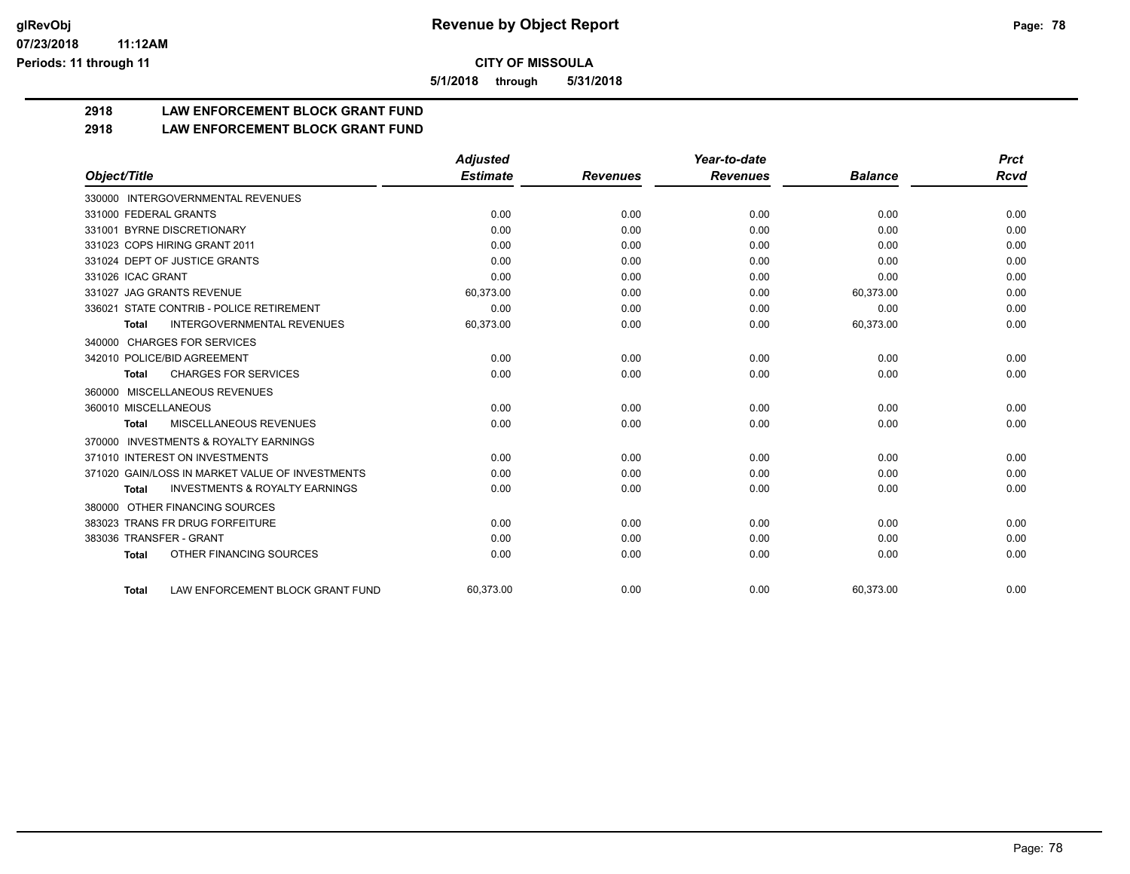**5/1/2018 through 5/31/2018**

### **2918 LAW ENFORCEMENT BLOCK GRANT FUND**

### **2918 LAW ENFORCEMENT BLOCK GRANT FUND**

|                         |                                                 | <b>Adjusted</b> |                 | Year-to-date    |                | <b>Prct</b> |
|-------------------------|-------------------------------------------------|-----------------|-----------------|-----------------|----------------|-------------|
| Object/Title            |                                                 | <b>Estimate</b> | <b>Revenues</b> | <b>Revenues</b> | <b>Balance</b> | <b>Rcvd</b> |
|                         | 330000 INTERGOVERNMENTAL REVENUES               |                 |                 |                 |                |             |
| 331000 FEDERAL GRANTS   |                                                 | 0.00            | 0.00            | 0.00            | 0.00           | 0.00        |
|                         | 331001 BYRNE DISCRETIONARY                      | 0.00            | 0.00            | 0.00            | 0.00           | 0.00        |
|                         | 331023 COPS HIRING GRANT 2011                   | 0.00            | 0.00            | 0.00            | 0.00           | 0.00        |
|                         | 331024 DEPT OF JUSTICE GRANTS                   | 0.00            | 0.00            | 0.00            | 0.00           | 0.00        |
| 331026 ICAC GRANT       |                                                 | 0.00            | 0.00            | 0.00            | 0.00           | 0.00        |
|                         | 331027 JAG GRANTS REVENUE                       | 60,373.00       | 0.00            | 0.00            | 60,373.00      | 0.00        |
|                         | 336021 STATE CONTRIB - POLICE RETIREMENT        | 0.00            | 0.00            | 0.00            | 0.00           | 0.00        |
| <b>Total</b>            | <b>INTERGOVERNMENTAL REVENUES</b>               | 60,373.00       | 0.00            | 0.00            | 60,373.00      | 0.00        |
|                         | 340000 CHARGES FOR SERVICES                     |                 |                 |                 |                |             |
|                         | 342010 POLICE/BID AGREEMENT                     | 0.00            | 0.00            | 0.00            | 0.00           | 0.00        |
| <b>Total</b>            | <b>CHARGES FOR SERVICES</b>                     | 0.00            | 0.00            | 0.00            | 0.00           | 0.00        |
| 360000                  | MISCELLANEOUS REVENUES                          |                 |                 |                 |                |             |
| 360010 MISCELLANEOUS    |                                                 | 0.00            | 0.00            | 0.00            | 0.00           | 0.00        |
| <b>Total</b>            | <b>MISCELLANEOUS REVENUES</b>                   | 0.00            | 0.00            | 0.00            | 0.00           | 0.00        |
| 370000                  | <b>INVESTMENTS &amp; ROYALTY EARNINGS</b>       |                 |                 |                 |                |             |
|                         | 371010 INTEREST ON INVESTMENTS                  | 0.00            | 0.00            | 0.00            | 0.00           | 0.00        |
|                         | 371020 GAIN/LOSS IN MARKET VALUE OF INVESTMENTS | 0.00            | 0.00            | 0.00            | 0.00           | 0.00        |
| <b>Total</b>            | <b>INVESTMENTS &amp; ROYALTY EARNINGS</b>       | 0.00            | 0.00            | 0.00            | 0.00           | 0.00        |
|                         | 380000 OTHER FINANCING SOURCES                  |                 |                 |                 |                |             |
|                         | 383023 TRANS FR DRUG FORFEITURE                 | 0.00            | 0.00            | 0.00            | 0.00           | 0.00        |
| 383036 TRANSFER - GRANT |                                                 | 0.00            | 0.00            | 0.00            | 0.00           | 0.00        |
| <b>Total</b>            | OTHER FINANCING SOURCES                         | 0.00            | 0.00            | 0.00            | 0.00           | 0.00        |
| <b>Total</b>            | LAW ENFORCEMENT BLOCK GRANT FUND                | 60.373.00       | 0.00            | 0.00            | 60,373.00      | 0.00        |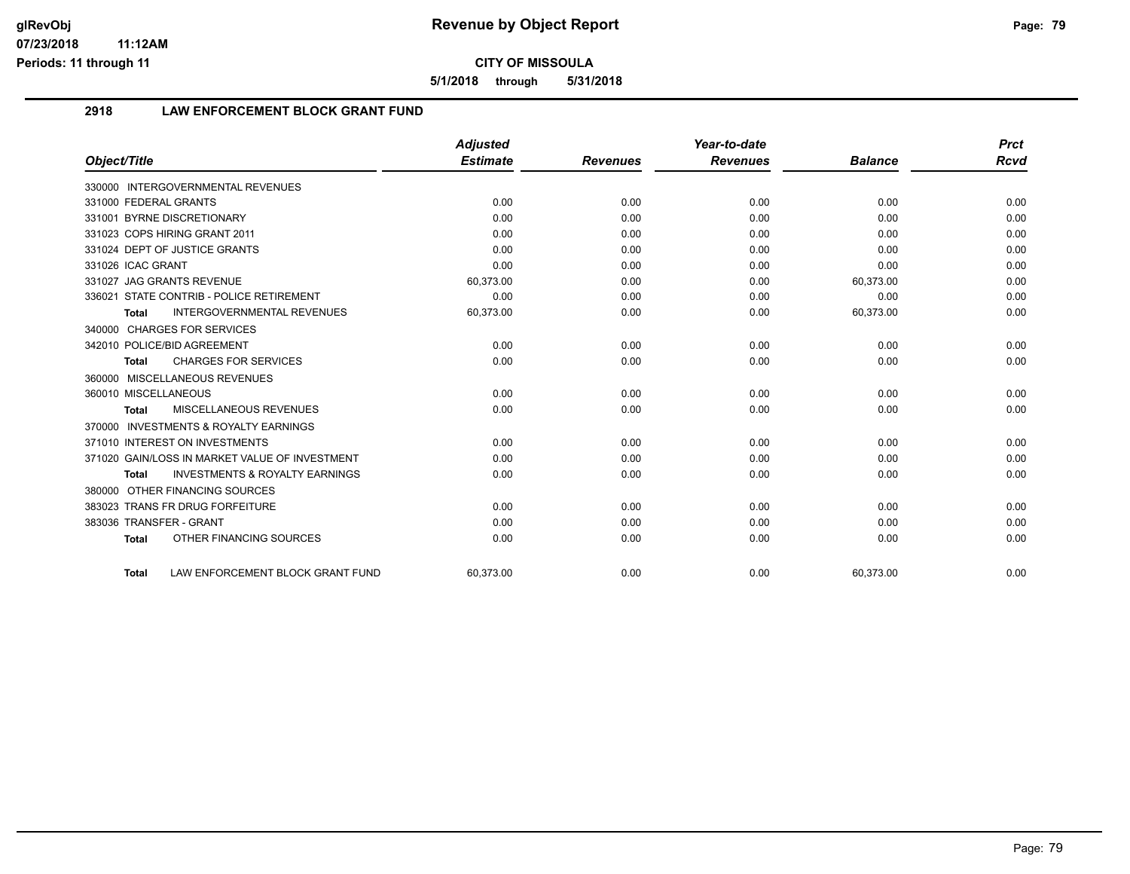**5/1/2018 through 5/31/2018**

### **2918 LAW ENFORCEMENT BLOCK GRANT FUND**

|                                                |                                           | <b>Adjusted</b> |                 | Year-to-date    |                | <b>Prct</b> |
|------------------------------------------------|-------------------------------------------|-----------------|-----------------|-----------------|----------------|-------------|
| Object/Title                                   |                                           | <b>Estimate</b> | <b>Revenues</b> | <b>Revenues</b> | <b>Balance</b> | <b>Rcvd</b> |
| 330000 INTERGOVERNMENTAL REVENUES              |                                           |                 |                 |                 |                |             |
| 331000 FEDERAL GRANTS                          |                                           | 0.00            | 0.00            | 0.00            | 0.00           | 0.00        |
| 331001 BYRNE DISCRETIONARY                     |                                           | 0.00            | 0.00            | 0.00            | 0.00           | 0.00        |
| 331023 COPS HIRING GRANT 2011                  |                                           | 0.00            | 0.00            | 0.00            | 0.00           | 0.00        |
| 331024 DEPT OF JUSTICE GRANTS                  |                                           | 0.00            | 0.00            | 0.00            | 0.00           | 0.00        |
| 331026 ICAC GRANT                              |                                           | 0.00            | 0.00            | 0.00            | 0.00           | 0.00        |
| 331027 JAG GRANTS REVENUE                      |                                           | 60,373.00       | 0.00            | 0.00            | 60,373.00      | 0.00        |
| 336021 STATE CONTRIB - POLICE RETIREMENT       |                                           | 0.00            | 0.00            | 0.00            | 0.00           | 0.00        |
| <b>Total</b>                                   | <b>INTERGOVERNMENTAL REVENUES</b>         | 60,373.00       | 0.00            | 0.00            | 60,373.00      | 0.00        |
| 340000 CHARGES FOR SERVICES                    |                                           |                 |                 |                 |                |             |
| 342010 POLICE/BID AGREEMENT                    |                                           | 0.00            | 0.00            | 0.00            | 0.00           | 0.00        |
| <b>Total</b>                                   | <b>CHARGES FOR SERVICES</b>               | 0.00            | 0.00            | 0.00            | 0.00           | 0.00        |
| 360000 MISCELLANEOUS REVENUES                  |                                           |                 |                 |                 |                |             |
| 360010 MISCELLANEOUS                           |                                           | 0.00            | 0.00            | 0.00            | 0.00           | 0.00        |
| <b>Total</b>                                   | MISCELLANEOUS REVENUES                    | 0.00            | 0.00            | 0.00            | 0.00           | 0.00        |
| 370000 INVESTMENTS & ROYALTY EARNINGS          |                                           |                 |                 |                 |                |             |
| 371010 INTEREST ON INVESTMENTS                 |                                           | 0.00            | 0.00            | 0.00            | 0.00           | 0.00        |
| 371020 GAIN/LOSS IN MARKET VALUE OF INVESTMENT |                                           | 0.00            | 0.00            | 0.00            | 0.00           | 0.00        |
| <b>Total</b>                                   | <b>INVESTMENTS &amp; ROYALTY EARNINGS</b> | 0.00            | 0.00            | 0.00            | 0.00           | 0.00        |
| 380000 OTHER FINANCING SOURCES                 |                                           |                 |                 |                 |                |             |
| 383023 TRANS FR DRUG FORFEITURE                |                                           | 0.00            | 0.00            | 0.00            | 0.00           | 0.00        |
| 383036 TRANSFER - GRANT                        |                                           | 0.00            | 0.00            | 0.00            | 0.00           | 0.00        |
| <b>Total</b>                                   | OTHER FINANCING SOURCES                   | 0.00            | 0.00            | 0.00            | 0.00           | 0.00        |
| <b>Total</b>                                   | LAW ENFORCEMENT BLOCK GRANT FUND          | 60.373.00       | 0.00            | 0.00            | 60,373.00      | 0.00        |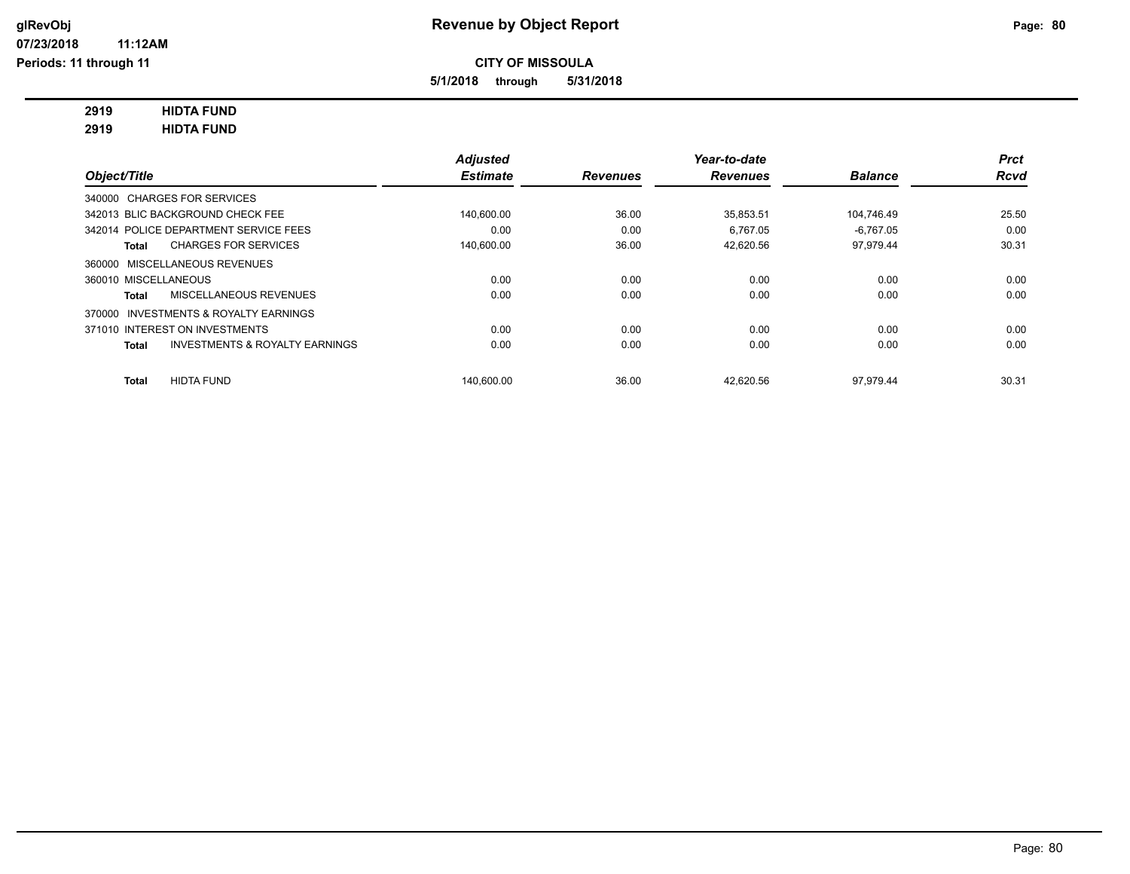**5/1/2018 through 5/31/2018**

### **2919 HIDTA FUND**

**2919 HIDTA FUND**

|                                                           | <b>Adjusted</b> |                 | Year-to-date    |                | <b>Prct</b> |
|-----------------------------------------------------------|-----------------|-----------------|-----------------|----------------|-------------|
| Object/Title                                              | <b>Estimate</b> | <b>Revenues</b> | <b>Revenues</b> | <b>Balance</b> | <b>Rcvd</b> |
| 340000 CHARGES FOR SERVICES                               |                 |                 |                 |                |             |
| 342013 BLIC BACKGROUND CHECK FEE                          | 140,600.00      | 36.00           | 35,853.51       | 104,746.49     | 25.50       |
| 342014 POLICE DEPARTMENT SERVICE FEES                     | 0.00            | 0.00            | 6.767.05        | $-6.767.05$    | 0.00        |
| <b>CHARGES FOR SERVICES</b><br>Total                      | 140,600.00      | 36.00           | 42,620.56       | 97,979.44      | 30.31       |
| 360000 MISCELLANEOUS REVENUES                             |                 |                 |                 |                |             |
| 360010 MISCELLANEOUS                                      | 0.00            | 0.00            | 0.00            | 0.00           | 0.00        |
| MISCELLANEOUS REVENUES<br>Total                           | 0.00            | 0.00            | 0.00            | 0.00           | 0.00        |
| INVESTMENTS & ROYALTY EARNINGS<br>370000                  |                 |                 |                 |                |             |
| 371010 INTEREST ON INVESTMENTS                            | 0.00            | 0.00            | 0.00            | 0.00           | 0.00        |
| <b>INVESTMENTS &amp; ROYALTY EARNINGS</b><br><b>Total</b> | 0.00            | 0.00            | 0.00            | 0.00           | 0.00        |
| <b>HIDTA FUND</b><br><b>Total</b>                         | 140.600.00      | 36.00           | 42.620.56       | 97.979.44      | 30.31       |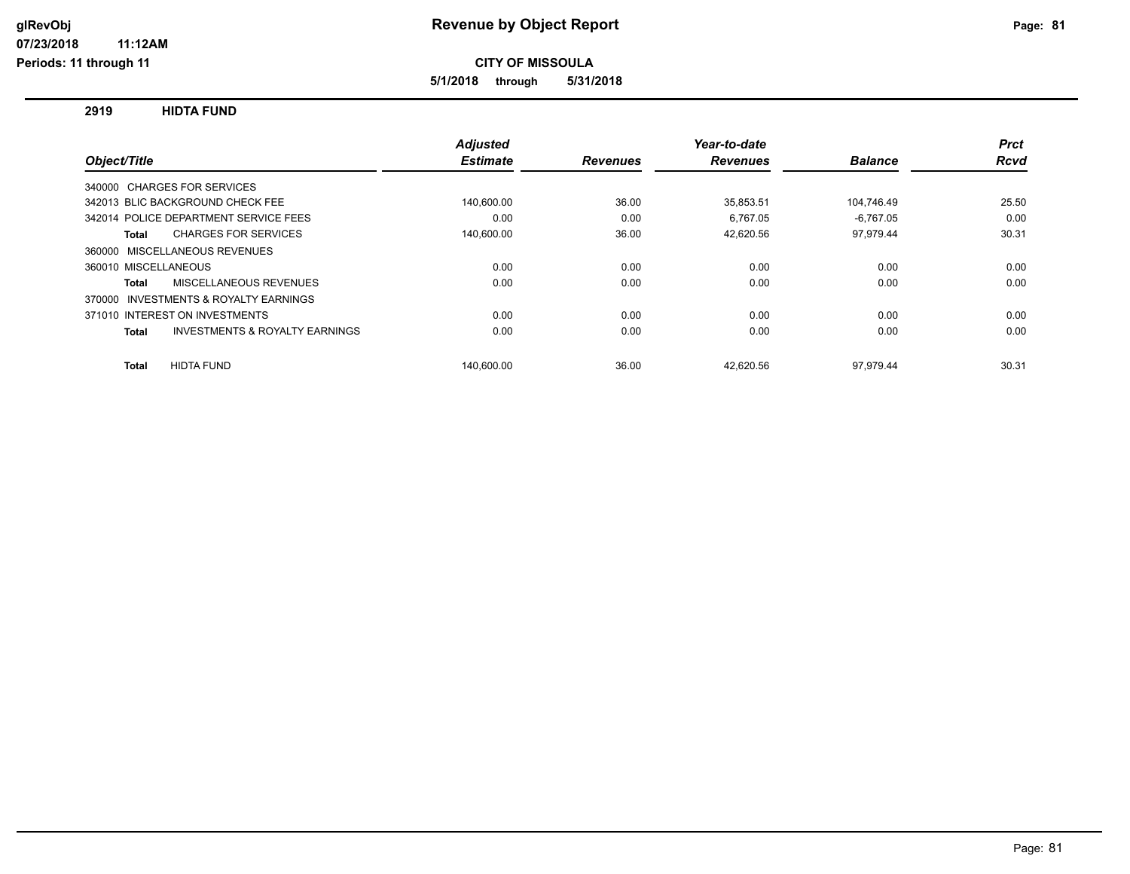**07/23/2018 11:12AM Periods: 11 through 11**

**CITY OF MISSOULA**

**5/1/2018 through 5/31/2018**

**2919 HIDTA FUND**

|                                                    | <b>Adjusted</b> |                 | Year-to-date    |                | <b>Prct</b> |
|----------------------------------------------------|-----------------|-----------------|-----------------|----------------|-------------|
| Object/Title                                       | <b>Estimate</b> | <b>Revenues</b> | <b>Revenues</b> | <b>Balance</b> | Rcvd        |
| 340000 CHARGES FOR SERVICES                        |                 |                 |                 |                |             |
| 342013 BLIC BACKGROUND CHECK FEE                   | 140.600.00      | 36.00           | 35,853.51       | 104,746.49     | 25.50       |
| 342014 POLICE DEPARTMENT SERVICE FEES              | 0.00            | 0.00            | 6.767.05        | $-6.767.05$    | 0.00        |
| <b>CHARGES FOR SERVICES</b><br>Total               | 140,600.00      | 36.00           | 42,620.56       | 97,979.44      | 30.31       |
| 360000 MISCELLANEOUS REVENUES                      |                 |                 |                 |                |             |
| 360010 MISCELLANEOUS                               | 0.00            | 0.00            | 0.00            | 0.00           | 0.00        |
| MISCELLANEOUS REVENUES<br>Total                    | 0.00            | 0.00            | 0.00            | 0.00           | 0.00        |
| 370000 INVESTMENTS & ROYALTY EARNINGS              |                 |                 |                 |                |             |
| 371010 INTEREST ON INVESTMENTS                     | 0.00            | 0.00            | 0.00            | 0.00           | 0.00        |
| <b>INVESTMENTS &amp; ROYALTY EARNINGS</b><br>Total | 0.00            | 0.00            | 0.00            | 0.00           | 0.00        |
| <b>HIDTA FUND</b><br><b>Total</b>                  | 140.600.00      | 36.00           | 42.620.56       | 97.979.44      | 30.31       |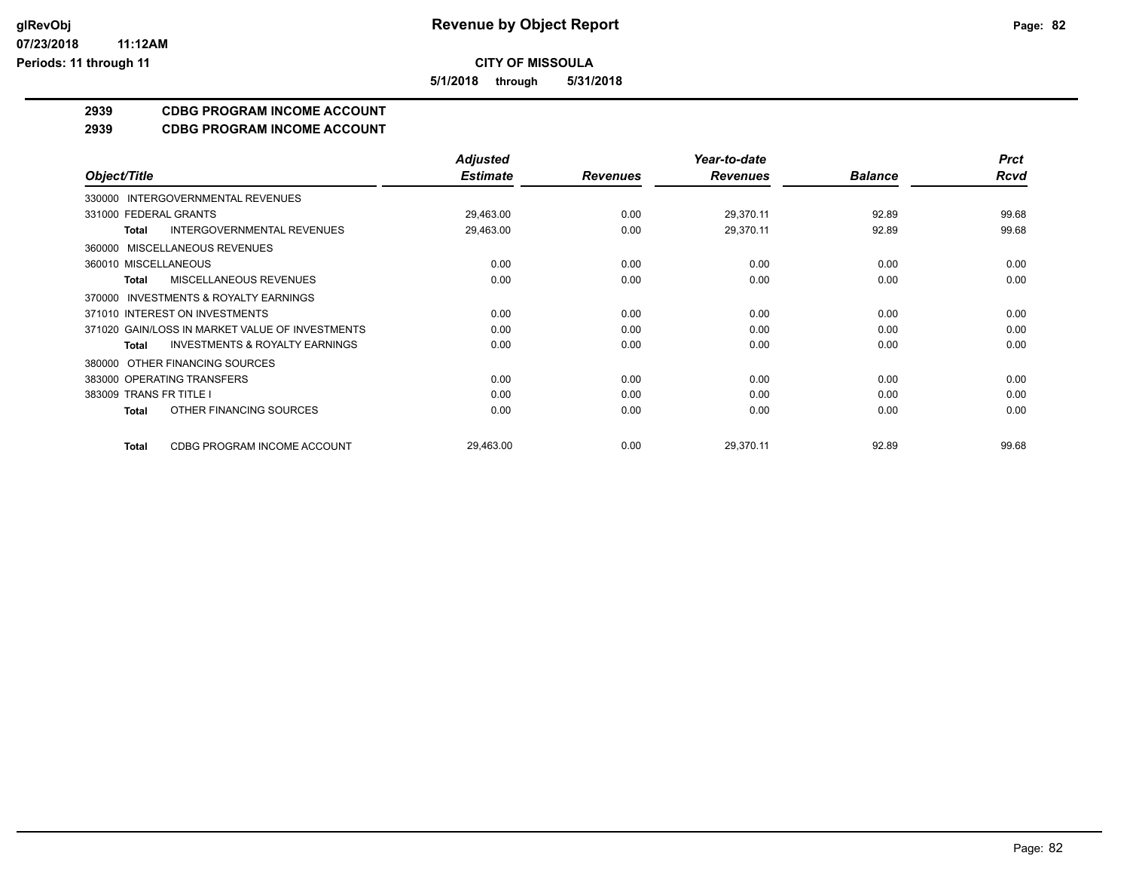**5/1/2018 through 5/31/2018**

### **2939 CDBG PROGRAM INCOME ACCOUNT**

### **2939 CDBG PROGRAM INCOME ACCOUNT**

|                                                           | <b>Adjusted</b> |                 | Year-to-date    |                | <b>Prct</b> |
|-----------------------------------------------------------|-----------------|-----------------|-----------------|----------------|-------------|
| Object/Title                                              | <b>Estimate</b> | <b>Revenues</b> | <b>Revenues</b> | <b>Balance</b> | Rcvd        |
| 330000 INTERGOVERNMENTAL REVENUES                         |                 |                 |                 |                |             |
| 331000 FEDERAL GRANTS                                     | 29,463.00       | 0.00            | 29,370.11       | 92.89          | 99.68       |
| INTERGOVERNMENTAL REVENUES<br><b>Total</b>                | 29,463.00       | 0.00            | 29,370.11       | 92.89          | 99.68       |
| 360000 MISCELLANEOUS REVENUES                             |                 |                 |                 |                |             |
| 360010 MISCELLANEOUS                                      | 0.00            | 0.00            | 0.00            | 0.00           | 0.00        |
| MISCELLANEOUS REVENUES<br><b>Total</b>                    | 0.00            | 0.00            | 0.00            | 0.00           | 0.00        |
| 370000 INVESTMENTS & ROYALTY EARNINGS                     |                 |                 |                 |                |             |
| 371010 INTEREST ON INVESTMENTS                            | 0.00            | 0.00            | 0.00            | 0.00           | 0.00        |
| 371020 GAIN/LOSS IN MARKET VALUE OF INVESTMENTS           | 0.00            | 0.00            | 0.00            | 0.00           | 0.00        |
| <b>INVESTMENTS &amp; ROYALTY EARNINGS</b><br><b>Total</b> | 0.00            | 0.00            | 0.00            | 0.00           | 0.00        |
| 380000 OTHER FINANCING SOURCES                            |                 |                 |                 |                |             |
| 383000 OPERATING TRANSFERS                                | 0.00            | 0.00            | 0.00            | 0.00           | 0.00        |
| 383009 TRANS FR TITLE I                                   | 0.00            | 0.00            | 0.00            | 0.00           | 0.00        |
| OTHER FINANCING SOURCES<br><b>Total</b>                   | 0.00            | 0.00            | 0.00            | 0.00           | 0.00        |
| CDBG PROGRAM INCOME ACCOUNT<br><b>Total</b>               | 29.463.00       | 0.00            | 29,370.11       | 92.89          | 99.68       |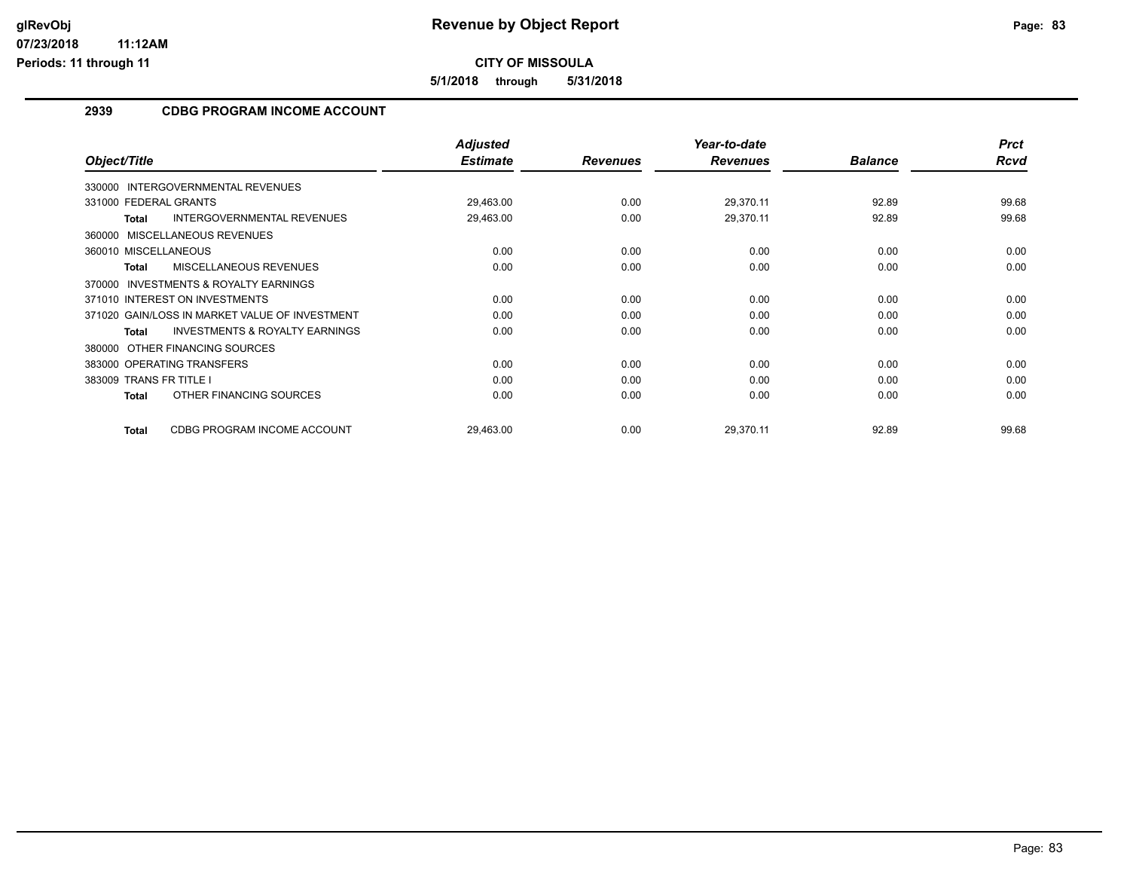**11:12AM**

**CITY OF MISSOULA**

**5/1/2018 through 5/31/2018**

### **2939 CDBG PROGRAM INCOME ACCOUNT**

|                                                           | <b>Adjusted</b> |                 | Year-to-date    |                | <b>Prct</b> |
|-----------------------------------------------------------|-----------------|-----------------|-----------------|----------------|-------------|
| Object/Title                                              | <b>Estimate</b> | <b>Revenues</b> | <b>Revenues</b> | <b>Balance</b> | <b>Rcvd</b> |
| 330000 INTERGOVERNMENTAL REVENUES                         |                 |                 |                 |                |             |
| 331000 FEDERAL GRANTS                                     | 29,463.00       | 0.00            | 29,370.11       | 92.89          | 99.68       |
| <b>INTERGOVERNMENTAL REVENUES</b><br><b>Total</b>         | 29,463.00       | 0.00            | 29,370.11       | 92.89          | 99.68       |
| MISCELLANEOUS REVENUES<br>360000                          |                 |                 |                 |                |             |
| 360010 MISCELLANEOUS                                      | 0.00            | 0.00            | 0.00            | 0.00           | 0.00        |
| MISCELLANEOUS REVENUES<br><b>Total</b>                    | 0.00            | 0.00            | 0.00            | 0.00           | 0.00        |
| <b>INVESTMENTS &amp; ROYALTY EARNINGS</b><br>370000       |                 |                 |                 |                |             |
| 371010 INTEREST ON INVESTMENTS                            | 0.00            | 0.00            | 0.00            | 0.00           | 0.00        |
| 371020 GAIN/LOSS IN MARKET VALUE OF INVESTMENT            | 0.00            | 0.00            | 0.00            | 0.00           | 0.00        |
| <b>INVESTMENTS &amp; ROYALTY EARNINGS</b><br><b>Total</b> | 0.00            | 0.00            | 0.00            | 0.00           | 0.00        |
| OTHER FINANCING SOURCES<br>380000                         |                 |                 |                 |                |             |
| 383000 OPERATING TRANSFERS                                | 0.00            | 0.00            | 0.00            | 0.00           | 0.00        |
| 383009 TRANS FR TITLE I                                   | 0.00            | 0.00            | 0.00            | 0.00           | 0.00        |
| OTHER FINANCING SOURCES<br><b>Total</b>                   | 0.00            | 0.00            | 0.00            | 0.00           | 0.00        |
| <b>Total</b><br>CDBG PROGRAM INCOME ACCOUNT               | 29,463.00       | 0.00            | 29.370.11       | 92.89          | 99.68       |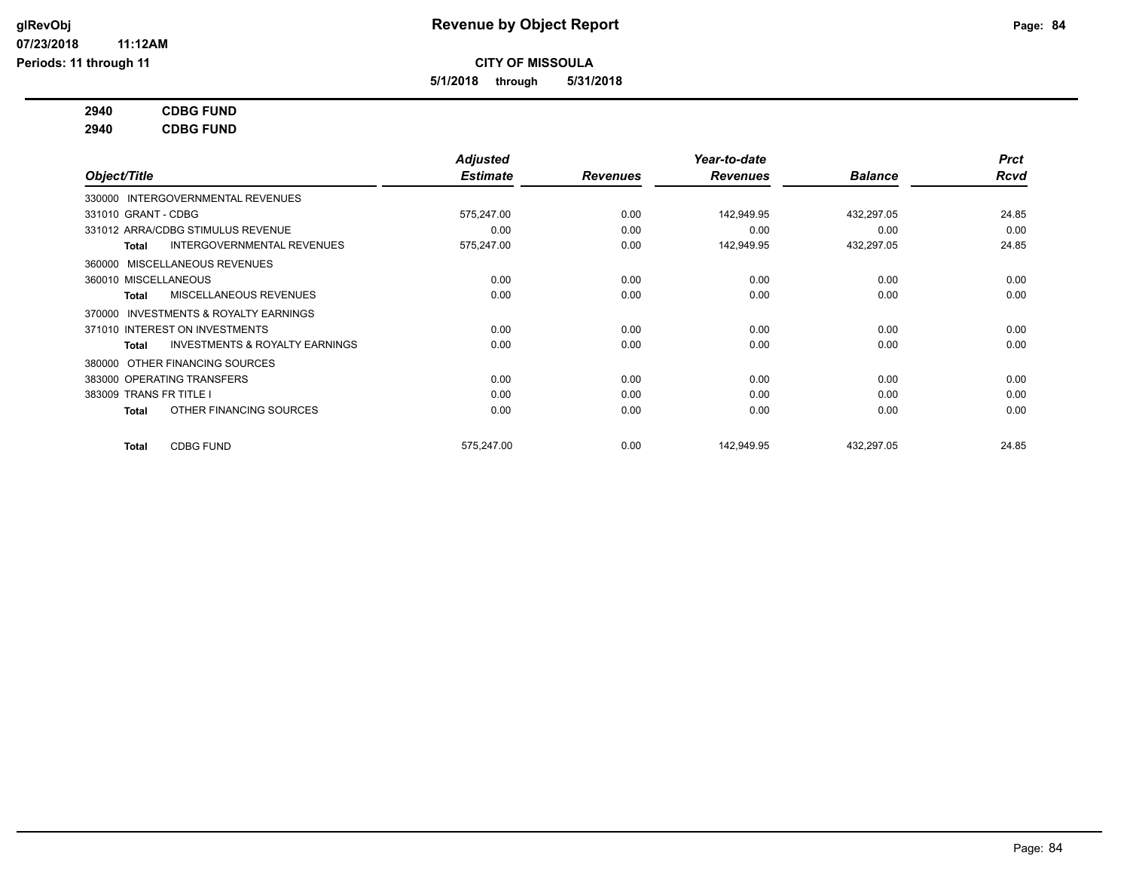**5/1/2018 through 5/31/2018**

### **2940 CDBG FUND**

**2940 CDBG FUND**

|                                   |                                           | Adjusted        |                 | Year-to-date    |                | <b>Prct</b> |
|-----------------------------------|-------------------------------------------|-----------------|-----------------|-----------------|----------------|-------------|
| Object/Title                      |                                           | <b>Estimate</b> | <b>Revenues</b> | <b>Revenues</b> | <b>Balance</b> | <b>Rcvd</b> |
|                                   | 330000 INTERGOVERNMENTAL REVENUES         |                 |                 |                 |                |             |
| 331010 GRANT - CDBG               |                                           | 575,247.00      | 0.00            | 142,949.95      | 432,297.05     | 24.85       |
| 331012 ARRA/CDBG STIMULUS REVENUE |                                           | 0.00            | 0.00            | 0.00            | 0.00           | 0.00        |
| Total                             | INTERGOVERNMENTAL REVENUES                | 575,247.00      | 0.00            | 142,949.95      | 432,297.05     | 24.85       |
| 360000 MISCELLANEOUS REVENUES     |                                           |                 |                 |                 |                |             |
| 360010 MISCELLANEOUS              |                                           | 0.00            | 0.00            | 0.00            | 0.00           | 0.00        |
| Total                             | MISCELLANEOUS REVENUES                    | 0.00            | 0.00            | 0.00            | 0.00           | 0.00        |
| 370000                            | <b>INVESTMENTS &amp; ROYALTY EARNINGS</b> |                 |                 |                 |                |             |
| 371010 INTEREST ON INVESTMENTS    |                                           | 0.00            | 0.00            | 0.00            | 0.00           | 0.00        |
| Total                             | <b>INVESTMENTS &amp; ROYALTY EARNINGS</b> | 0.00            | 0.00            | 0.00            | 0.00           | 0.00        |
| 380000                            | OTHER FINANCING SOURCES                   |                 |                 |                 |                |             |
| 383000 OPERATING TRANSFERS        |                                           | 0.00            | 0.00            | 0.00            | 0.00           | 0.00        |
| 383009 TRANS FR TITLE I           |                                           | 0.00            | 0.00            | 0.00            | 0.00           | 0.00        |
| <b>Total</b>                      | OTHER FINANCING SOURCES                   | 0.00            | 0.00            | 0.00            | 0.00           | 0.00        |
| <b>Total</b>                      | <b>CDBG FUND</b>                          | 575,247.00      | 0.00            | 142.949.95      | 432,297.05     | 24.85       |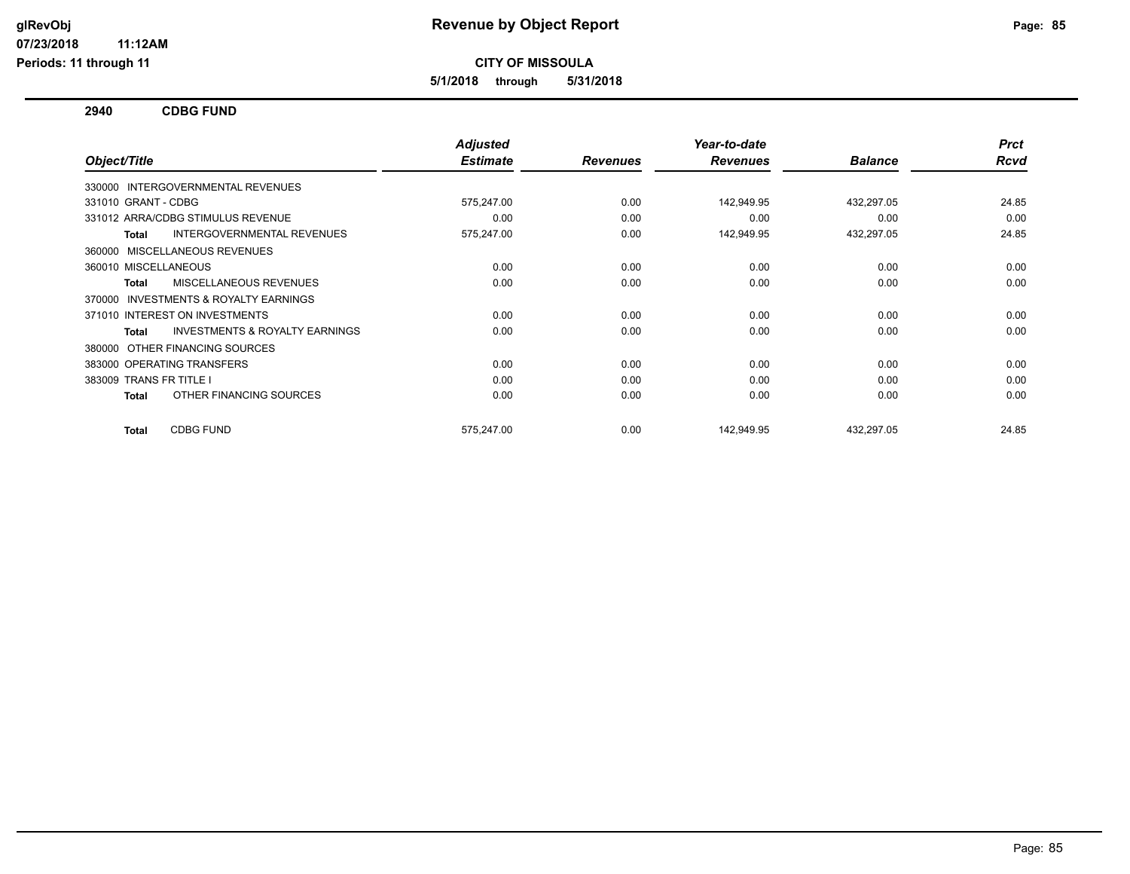**CITY OF MISSOULA**

**5/1/2018 through 5/31/2018**

**2940 CDBG FUND**

**11:12AM**

|                                                           | <b>Adjusted</b> |                 | Year-to-date    |                | <b>Prct</b> |
|-----------------------------------------------------------|-----------------|-----------------|-----------------|----------------|-------------|
| Object/Title                                              | <b>Estimate</b> | <b>Revenues</b> | <b>Revenues</b> | <b>Balance</b> | Rcvd        |
| 330000 INTERGOVERNMENTAL REVENUES                         |                 |                 |                 |                |             |
| 331010 GRANT - CDBG                                       | 575,247.00      | 0.00            | 142,949.95      | 432,297.05     | 24.85       |
| 331012 ARRA/CDBG STIMULUS REVENUE                         | 0.00            | 0.00            | 0.00            | 0.00           | 0.00        |
| <b>INTERGOVERNMENTAL REVENUES</b><br><b>Total</b>         | 575,247.00      | 0.00            | 142,949.95      | 432,297.05     | 24.85       |
| 360000 MISCELLANEOUS REVENUES                             |                 |                 |                 |                |             |
| 360010 MISCELLANEOUS                                      | 0.00            | 0.00            | 0.00            | 0.00           | 0.00        |
| MISCELLANEOUS REVENUES<br><b>Total</b>                    | 0.00            | 0.00            | 0.00            | 0.00           | 0.00        |
| INVESTMENTS & ROYALTY EARNINGS<br>370000                  |                 |                 |                 |                |             |
| 371010 INTEREST ON INVESTMENTS                            | 0.00            | 0.00            | 0.00            | 0.00           | 0.00        |
| <b>INVESTMENTS &amp; ROYALTY EARNINGS</b><br><b>Total</b> | 0.00            | 0.00            | 0.00            | 0.00           | 0.00        |
| OTHER FINANCING SOURCES<br>380000                         |                 |                 |                 |                |             |
| 383000 OPERATING TRANSFERS                                | 0.00            | 0.00            | 0.00            | 0.00           | 0.00        |
| 383009 TRANS FR TITLE I                                   | 0.00            | 0.00            | 0.00            | 0.00           | 0.00        |
| OTHER FINANCING SOURCES<br><b>Total</b>                   | 0.00            | 0.00            | 0.00            | 0.00           | 0.00        |
| <b>CDBG FUND</b><br><b>Total</b>                          | 575.247.00      | 0.00            | 142,949.95      | 432,297.05     | 24.85       |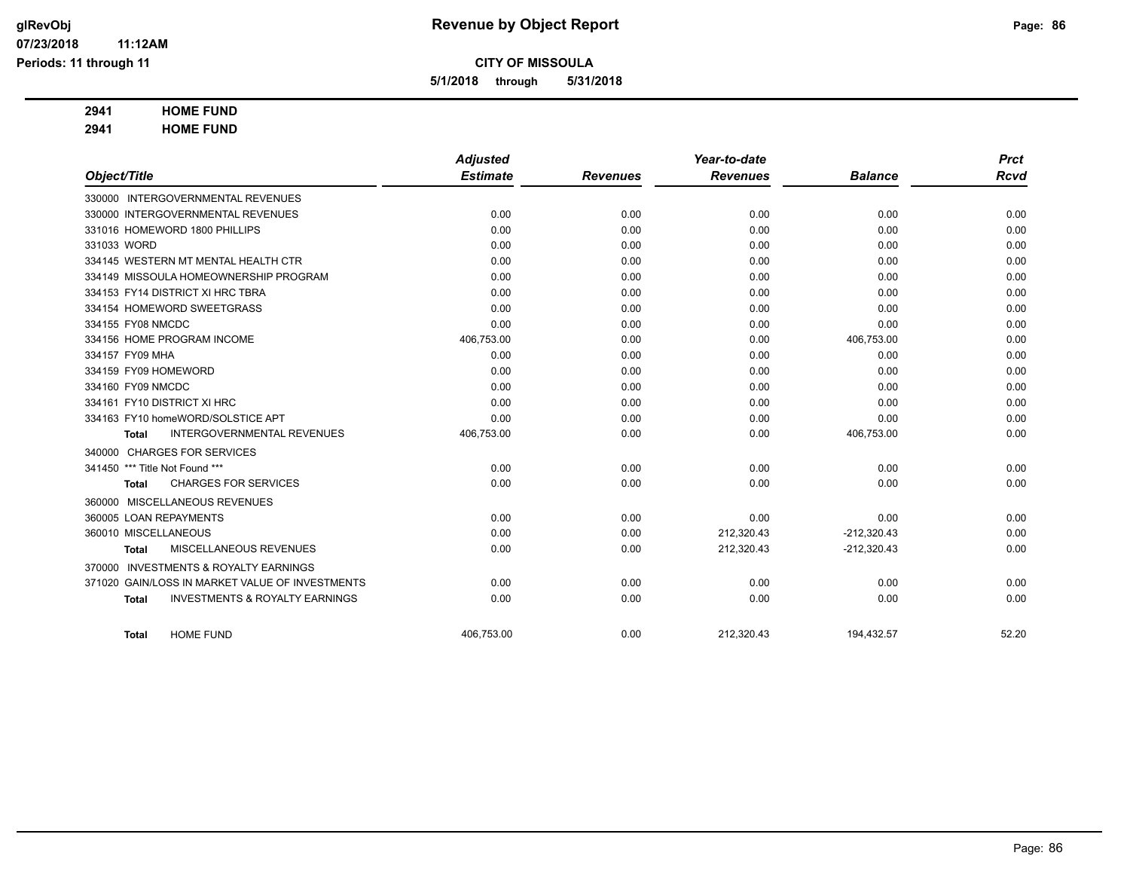**5/1/2018 through 5/31/2018**

### **2941 HOME FUND**

**2941 HOME FUND**

|                                                           | <b>Adjusted</b> |                 | Year-to-date    |                | <b>Prct</b> |
|-----------------------------------------------------------|-----------------|-----------------|-----------------|----------------|-------------|
| Object/Title                                              | <b>Estimate</b> | <b>Revenues</b> | <b>Revenues</b> | <b>Balance</b> | <b>Rcvd</b> |
| 330000 INTERGOVERNMENTAL REVENUES                         |                 |                 |                 |                |             |
| 330000 INTERGOVERNMENTAL REVENUES                         | 0.00            | 0.00            | 0.00            | 0.00           | 0.00        |
| 331016 HOMEWORD 1800 PHILLIPS                             | 0.00            | 0.00            | 0.00            | 0.00           | 0.00        |
| 331033 WORD                                               | 0.00            | 0.00            | 0.00            | 0.00           | 0.00        |
| 334145 WESTERN MT MENTAL HEALTH CTR                       | 0.00            | 0.00            | 0.00            | 0.00           | 0.00        |
| 334149 MISSOULA HOMEOWNERSHIP PROGRAM                     | 0.00            | 0.00            | 0.00            | 0.00           | 0.00        |
| 334153 FY14 DISTRICT XI HRC TBRA                          | 0.00            | 0.00            | 0.00            | 0.00           | 0.00        |
| 334154 HOMEWORD SWEETGRASS                                | 0.00            | 0.00            | 0.00            | 0.00           | 0.00        |
| 334155 FY08 NMCDC                                         | 0.00            | 0.00            | 0.00            | 0.00           | 0.00        |
| 334156 HOME PROGRAM INCOME                                | 406,753.00      | 0.00            | 0.00            | 406,753.00     | 0.00        |
| 334157 FY09 MHA                                           | 0.00            | 0.00            | 0.00            | 0.00           | 0.00        |
| 334159 FY09 HOMEWORD                                      | 0.00            | 0.00            | 0.00            | 0.00           | 0.00        |
| 334160 FY09 NMCDC                                         | 0.00            | 0.00            | 0.00            | 0.00           | 0.00        |
| 334161 FY10 DISTRICT XI HRC                               | 0.00            | 0.00            | 0.00            | 0.00           | 0.00        |
| 334163 FY10 homeWORD/SOLSTICE APT                         | 0.00            | 0.00            | 0.00            | 0.00           | 0.00        |
| <b>INTERGOVERNMENTAL REVENUES</b><br><b>Total</b>         | 406,753.00      | 0.00            | 0.00            | 406,753.00     | 0.00        |
| <b>CHARGES FOR SERVICES</b><br>340000                     |                 |                 |                 |                |             |
| 341450 *** Title Not Found ***                            | 0.00            | 0.00            | 0.00            | 0.00           | 0.00        |
| <b>CHARGES FOR SERVICES</b><br>Total                      | 0.00            | 0.00            | 0.00            | 0.00           | 0.00        |
| 360000 MISCELLANEOUS REVENUES                             |                 |                 |                 |                |             |
| 360005 LOAN REPAYMENTS                                    | 0.00            | 0.00            | 0.00            | 0.00           | 0.00        |
| 360010 MISCELLANEOUS                                      | 0.00            | 0.00            | 212,320.43      | $-212,320.43$  | 0.00        |
| MISCELLANEOUS REVENUES<br><b>Total</b>                    | 0.00            | 0.00            | 212,320.43      | $-212,320.43$  | 0.00        |
| 370000 INVESTMENTS & ROYALTY EARNINGS                     |                 |                 |                 |                |             |
| <b>GAIN/LOSS IN MARKET VALUE OF INVESTMENTS</b><br>371020 | 0.00            | 0.00            | 0.00            | 0.00           | 0.00        |
| <b>INVESTMENTS &amp; ROYALTY EARNINGS</b><br><b>Total</b> | 0.00            | 0.00            | 0.00            | 0.00           | 0.00        |
| <b>HOME FUND</b><br><b>Total</b>                          | 406,753.00      | 0.00            | 212,320.43      | 194,432.57     | 52.20       |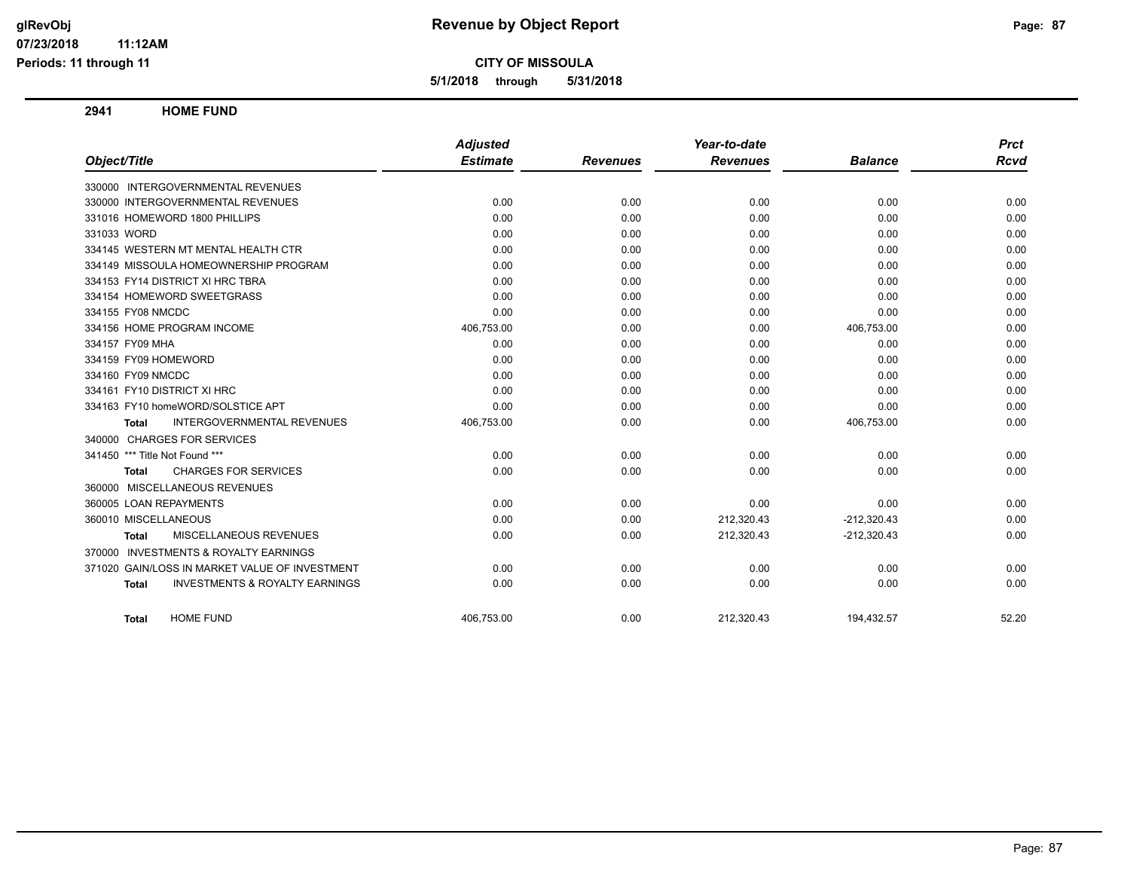**CITY OF MISSOULA**

**5/1/2018 through 5/31/2018**

**2941 HOME FUND**

|                                                           | <b>Adjusted</b> |                 | Year-to-date    |                | <b>Prct</b> |
|-----------------------------------------------------------|-----------------|-----------------|-----------------|----------------|-------------|
| Object/Title                                              | <b>Estimate</b> | <b>Revenues</b> | <b>Revenues</b> | <b>Balance</b> | Rcvd        |
| 330000 INTERGOVERNMENTAL REVENUES                         |                 |                 |                 |                |             |
| 330000 INTERGOVERNMENTAL REVENUES                         | 0.00            | 0.00            | 0.00            | 0.00           | 0.00        |
| 331016 HOMEWORD 1800 PHILLIPS                             | 0.00            | 0.00            | 0.00            | 0.00           | 0.00        |
| 331033 WORD                                               | 0.00            | 0.00            | 0.00            | 0.00           | 0.00        |
| 334145 WESTERN MT MENTAL HEALTH CTR                       | 0.00            | 0.00            | 0.00            | 0.00           | 0.00        |
| 334149 MISSOULA HOMEOWNERSHIP PROGRAM                     | 0.00            | 0.00            | 0.00            | 0.00           | 0.00        |
| 334153 FY14 DISTRICT XI HRC TBRA                          | 0.00            | 0.00            | 0.00            | 0.00           | 0.00        |
| 334154 HOMEWORD SWEETGRASS                                | 0.00            | 0.00            | 0.00            | 0.00           | 0.00        |
| 334155 FY08 NMCDC                                         | 0.00            | 0.00            | 0.00            | 0.00           | 0.00        |
| 334156 HOME PROGRAM INCOME                                | 406,753.00      | 0.00            | 0.00            | 406,753.00     | 0.00        |
| 334157 FY09 MHA                                           | 0.00            | 0.00            | 0.00            | 0.00           | 0.00        |
| 334159 FY09 HOMEWORD                                      | 0.00            | 0.00            | 0.00            | 0.00           | 0.00        |
| 334160 FY09 NMCDC                                         | 0.00            | 0.00            | 0.00            | 0.00           | 0.00        |
| 334161 FY10 DISTRICT XI HRC                               | 0.00            | 0.00            | 0.00            | 0.00           | 0.00        |
| 334163 FY10 homeWORD/SOLSTICE APT                         | 0.00            | 0.00            | 0.00            | 0.00           | 0.00        |
| INTERGOVERNMENTAL REVENUES<br><b>Total</b>                | 406,753.00      | 0.00            | 0.00            | 406,753.00     | 0.00        |
| 340000 CHARGES FOR SERVICES                               |                 |                 |                 |                |             |
| 341450 *** Title Not Found ***                            | 0.00            | 0.00            | 0.00            | 0.00           | 0.00        |
| <b>CHARGES FOR SERVICES</b><br>Total                      | 0.00            | 0.00            | 0.00            | 0.00           | 0.00        |
| 360000 MISCELLANEOUS REVENUES                             |                 |                 |                 |                |             |
| 360005 LOAN REPAYMENTS                                    | 0.00            | 0.00            | 0.00            | 0.00           | 0.00        |
| 360010 MISCELLANEOUS                                      | 0.00            | 0.00            | 212,320.43      | $-212,320.43$  | 0.00        |
| MISCELLANEOUS REVENUES<br>Total                           | 0.00            | 0.00            | 212,320.43      | $-212,320.43$  | 0.00        |
| 370000 INVESTMENTS & ROYALTY EARNINGS                     |                 |                 |                 |                |             |
| 371020 GAIN/LOSS IN MARKET VALUE OF INVESTMENT            | 0.00            | 0.00            | 0.00            | 0.00           | 0.00        |
| <b>INVESTMENTS &amp; ROYALTY EARNINGS</b><br><b>Total</b> | 0.00            | 0.00            | 0.00            | 0.00           | 0.00        |
| <b>HOME FUND</b><br><b>Total</b>                          | 406,753.00      | 0.00            | 212,320.43      | 194,432.57     | 52.20       |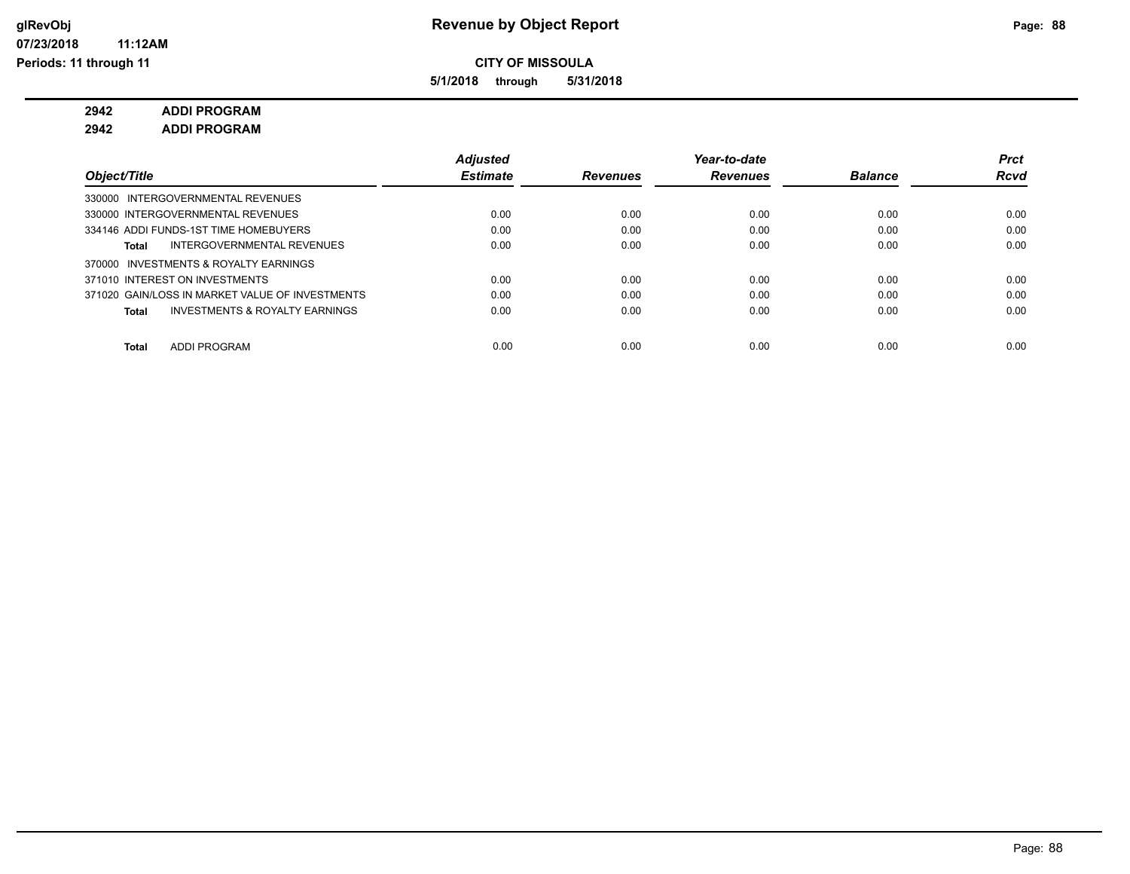**5/1/2018 through 5/31/2018**

### **2942 ADDI PROGRAM**

**2942 ADDI PROGRAM**

|                                                           | <b>Adjusted</b> |                 | Year-to-date    |                | <b>Prct</b> |
|-----------------------------------------------------------|-----------------|-----------------|-----------------|----------------|-------------|
| Object/Title                                              | <b>Estimate</b> | <b>Revenues</b> | <b>Revenues</b> | <b>Balance</b> | <b>Rcvd</b> |
| 330000 INTERGOVERNMENTAL REVENUES                         |                 |                 |                 |                |             |
| 330000 INTERGOVERNMENTAL REVENUES                         | 0.00            | 0.00            | 0.00            | 0.00           | 0.00        |
| 334146 ADDI FUNDS-1ST TIME HOMEBUYERS                     | 0.00            | 0.00            | 0.00            | 0.00           | 0.00        |
| INTERGOVERNMENTAL REVENUES<br>Total                       | 0.00            | 0.00            | 0.00            | 0.00           | 0.00        |
| 370000 INVESTMENTS & ROYALTY EARNINGS                     |                 |                 |                 |                |             |
| 371010 INTEREST ON INVESTMENTS                            | 0.00            | 0.00            | 0.00            | 0.00           | 0.00        |
| 371020 GAIN/LOSS IN MARKET VALUE OF INVESTMENTS           | 0.00            | 0.00            | 0.00            | 0.00           | 0.00        |
| <b>INVESTMENTS &amp; ROYALTY EARNINGS</b><br><b>Total</b> | 0.00            | 0.00            | 0.00            | 0.00           | 0.00        |
|                                                           |                 |                 |                 |                |             |
| ADDI PROGRAM<br><b>Total</b>                              | 0.00            | 0.00            | 0.00            | 0.00           | 0.00        |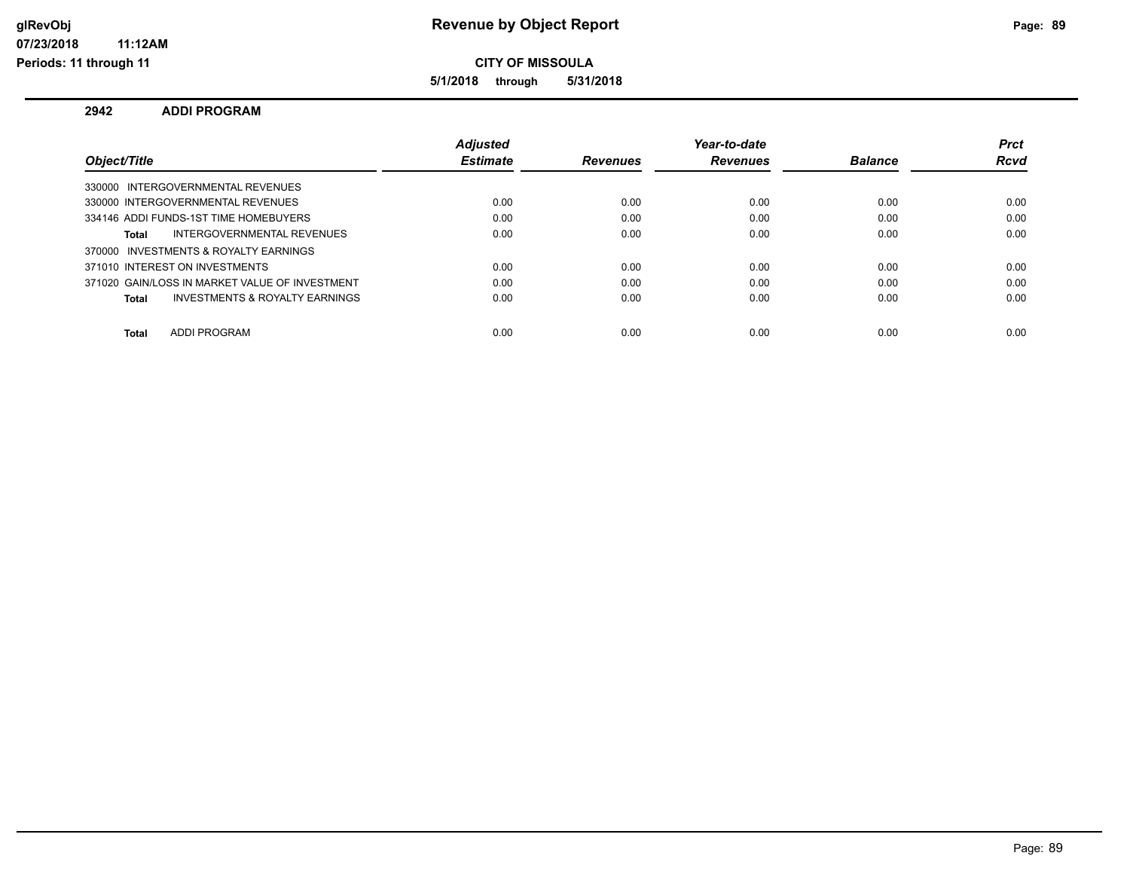**CITY OF MISSOULA**

**5/1/2018 through 5/31/2018**

### **2942 ADDI PROGRAM**

|                                                | <b>Adiusted</b> |                 | Year-to-date    |                | <b>Prct</b> |
|------------------------------------------------|-----------------|-----------------|-----------------|----------------|-------------|
| Object/Title                                   | <b>Estimate</b> | <b>Revenues</b> | <b>Revenues</b> | <b>Balance</b> | <b>Rcvd</b> |
| 330000 INTERGOVERNMENTAL REVENUES              |                 |                 |                 |                |             |
| 330000 INTERGOVERNMENTAL REVENUES              | 0.00            | 0.00            | 0.00            | 0.00           | 0.00        |
| 334146 ADDI FUNDS-1ST TIME HOMEBUYERS          | 0.00            | 0.00            | 0.00            | 0.00           | 0.00        |
| INTERGOVERNMENTAL REVENUES<br>Total            | 0.00            | 0.00            | 0.00            | 0.00           | 0.00        |
| 370000 INVESTMENTS & ROYALTY EARNINGS          |                 |                 |                 |                |             |
| 371010 INTEREST ON INVESTMENTS                 | 0.00            | 0.00            | 0.00            | 0.00           | 0.00        |
| 371020 GAIN/LOSS IN MARKET VALUE OF INVESTMENT | 0.00            | 0.00            | 0.00            | 0.00           | 0.00        |
| Total<br>INVESTMENTS & ROYALTY EARNINGS        | 0.00            | 0.00            | 0.00            | 0.00           | 0.00        |
|                                                |                 |                 |                 |                |             |
| <b>ADDI PROGRAM</b><br><b>Total</b>            | 0.00            | 0.00            | 0.00            | 0.00           | 0.00        |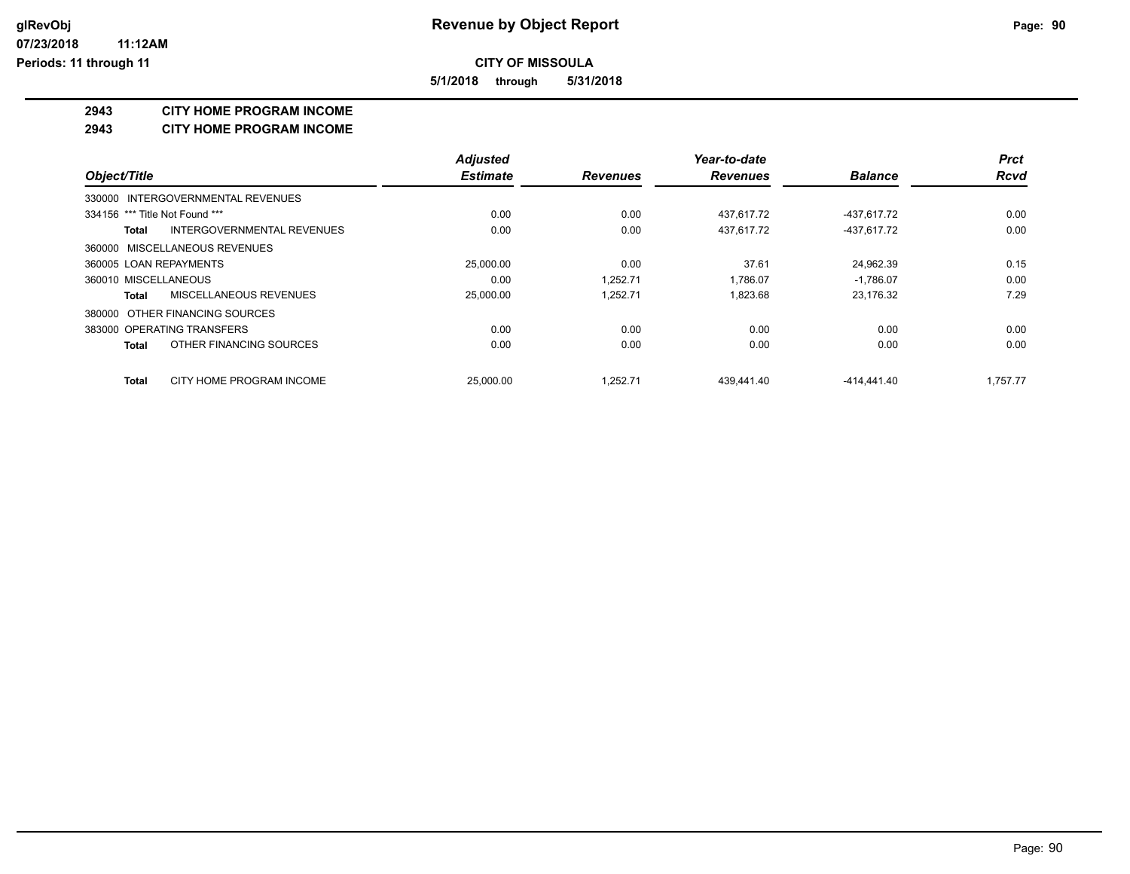**5/1/2018 through 5/31/2018**

### **2943 CITY HOME PROGRAM INCOME**

### **2943 CITY HOME PROGRAM INCOME**

|                                          | <b>Adjusted</b> |                 | Year-to-date    |                | <b>Prct</b> |
|------------------------------------------|-----------------|-----------------|-----------------|----------------|-------------|
| Object/Title                             | <b>Estimate</b> | <b>Revenues</b> | <b>Revenues</b> | <b>Balance</b> | <b>Rcvd</b> |
| INTERGOVERNMENTAL REVENUES<br>330000     |                 |                 |                 |                |             |
| 334156 *** Title Not Found ***           | 0.00            | 0.00            | 437,617.72      | -437,617.72    | 0.00        |
| INTERGOVERNMENTAL REVENUES<br>Total      | 0.00            | 0.00            | 437.617.72      | -437.617.72    | 0.00        |
| 360000 MISCELLANEOUS REVENUES            |                 |                 |                 |                |             |
| 360005 LOAN REPAYMENTS                   | 25,000.00       | 0.00            | 37.61           | 24.962.39      | 0.15        |
| 360010 MISCELLANEOUS                     | 0.00            | 1.252.71        | 1.786.07        | $-1,786.07$    | 0.00        |
| MISCELLANEOUS REVENUES<br>Total          | 25,000.00       | 1,252.71        | 1,823.68        | 23,176.32      | 7.29        |
| OTHER FINANCING SOURCES<br>380000        |                 |                 |                 |                |             |
| 383000 OPERATING TRANSFERS               | 0.00            | 0.00            | 0.00            | 0.00           | 0.00        |
| OTHER FINANCING SOURCES<br><b>Total</b>  | 0.00            | 0.00            | 0.00            | 0.00           | 0.00        |
| CITY HOME PROGRAM INCOME<br><b>Total</b> | 25.000.00       | 1.252.71        | 439.441.40      | $-414.441.40$  | 1.757.77    |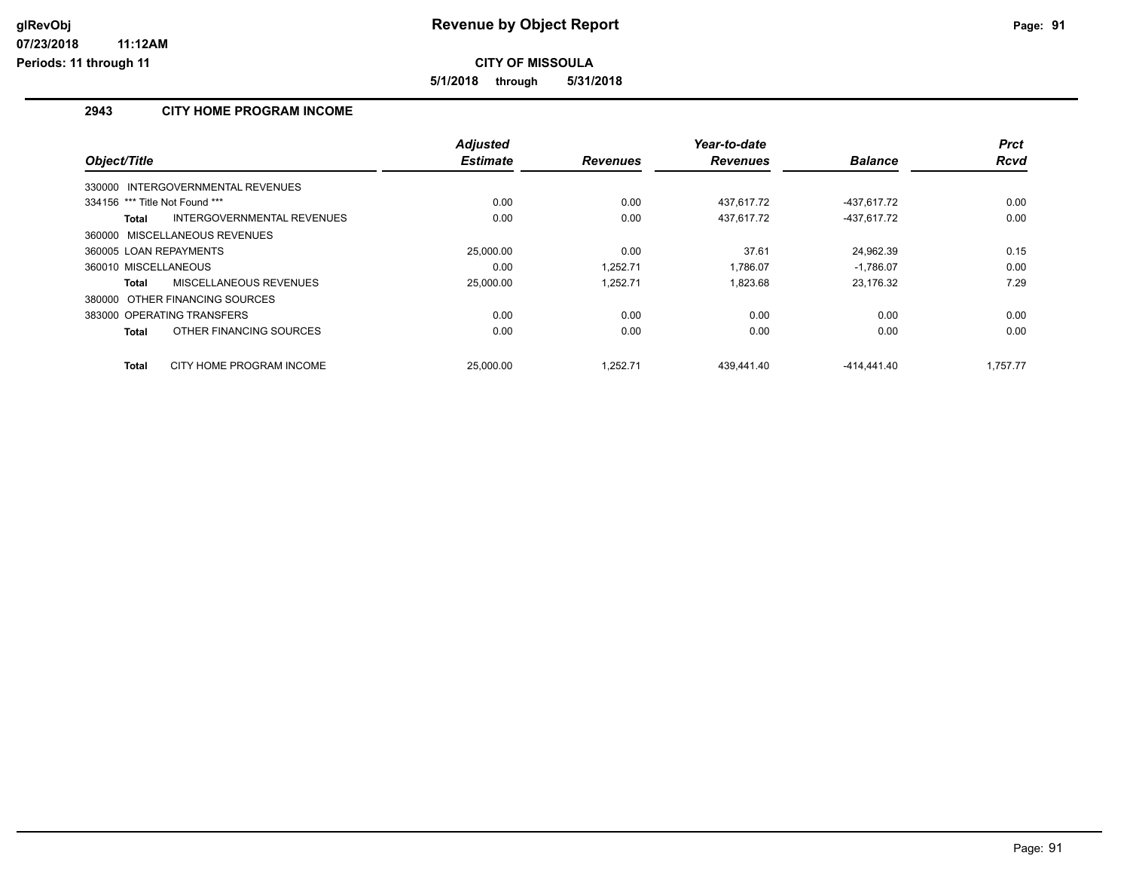**CITY OF MISSOULA**

**5/1/2018 through 5/31/2018**

### **2943 CITY HOME PROGRAM INCOME**

|                                            | <b>Adjusted</b> |                 | Year-to-date    |                | <b>Prct</b> |
|--------------------------------------------|-----------------|-----------------|-----------------|----------------|-------------|
| Object/Title                               | <b>Estimate</b> | <b>Revenues</b> | <b>Revenues</b> | <b>Balance</b> | <b>Rcvd</b> |
| 330000 INTERGOVERNMENTAL REVENUES          |                 |                 |                 |                |             |
| 334156 *** Title Not Found ***             | 0.00            | 0.00            | 437.617.72      | -437.617.72    | 0.00        |
| INTERGOVERNMENTAL REVENUES<br><b>Total</b> | 0.00            | 0.00            | 437.617.72      | -437.617.72    | 0.00        |
| 360000 MISCELLANEOUS REVENUES              |                 |                 |                 |                |             |
| 360005 LOAN REPAYMENTS                     | 25.000.00       | 0.00            | 37.61           | 24,962.39      | 0.15        |
| 360010 MISCELLANEOUS                       | 0.00            | 1,252.71        | 1,786.07        | $-1,786.07$    | 0.00        |
| MISCELLANEOUS REVENUES<br><b>Total</b>     | 25,000.00       | 1.252.71        | 1.823.68        | 23.176.32      | 7.29        |
| 380000 OTHER FINANCING SOURCES             |                 |                 |                 |                |             |
| 383000 OPERATING TRANSFERS                 | 0.00            | 0.00            | 0.00            | 0.00           | 0.00        |
| OTHER FINANCING SOURCES<br><b>Total</b>    | 0.00            | 0.00            | 0.00            | 0.00           | 0.00        |
| CITY HOME PROGRAM INCOME<br><b>Total</b>   | 25.000.00       | 1.252.71        | 439.441.40      | -414.441.40    | 1.757.77    |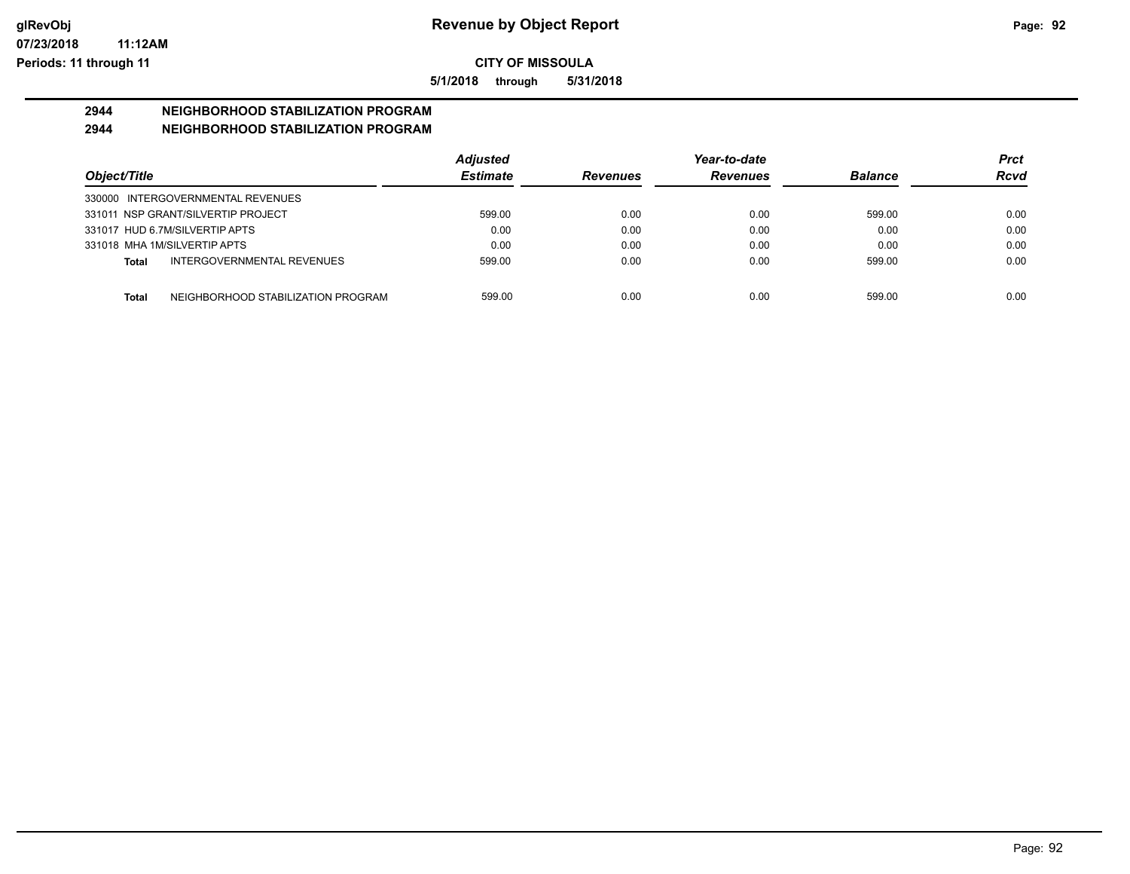**5/1/2018 through 5/31/2018**

# **2944 NEIGHBORHOOD STABILIZATION PROGRAM**

### **2944 NEIGHBORHOOD STABILIZATION PROGRAM**

|                                                    | <b>Adjusted</b> |                 | Year-to-date    |                | Prct |
|----------------------------------------------------|-----------------|-----------------|-----------------|----------------|------|
| Object/Title                                       | <b>Estimate</b> | <b>Revenues</b> | <b>Revenues</b> | <b>Balance</b> | Rcvd |
| 330000 INTERGOVERNMENTAL REVENUES                  |                 |                 |                 |                |      |
| 331011 NSP GRANT/SILVERTIP PROJECT                 | 599.00          | 0.00            | 0.00            | 599.00         | 0.00 |
| 331017 HUD 6.7M/SILVERTIP APTS                     | 0.00            | 0.00            | 0.00            | 0.00           | 0.00 |
| 331018 MHA 1M/SILVERTIP APTS                       | 0.00            | 0.00            | 0.00            | 0.00           | 0.00 |
| INTERGOVERNMENTAL REVENUES<br>Total                | 599.00          | 0.00            | 0.00            | 599.00         | 0.00 |
| NEIGHBORHOOD STABILIZATION PROGRAM<br><b>Total</b> | 599.00          | 0.00            | 0.00            | 599.00         | 0.00 |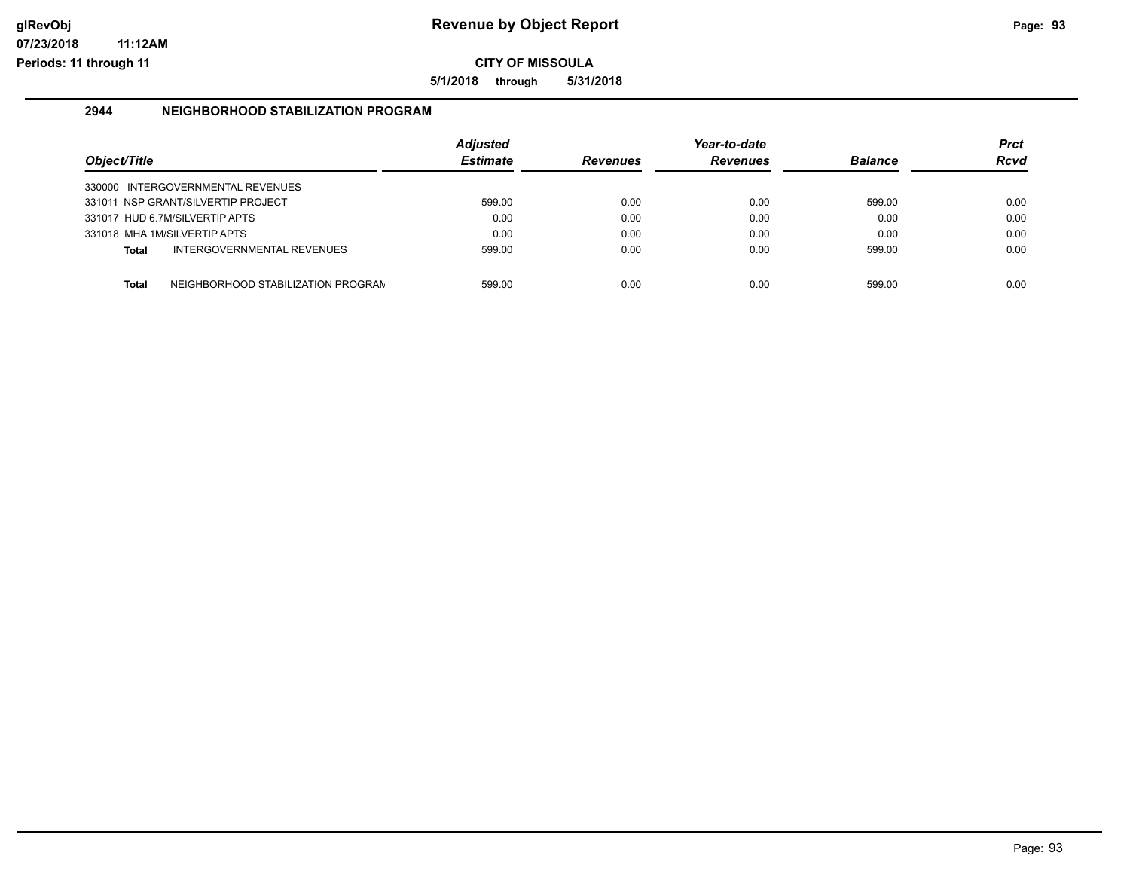**5/1/2018 through 5/31/2018**

### **2944 NEIGHBORHOOD STABILIZATION PROGRAM**

| Obiect/Title |                                    | <b>Adjusted</b><br><b>Estimate</b> | <b>Revenues</b> | Year-to-date<br><b>Revenues</b> | <b>Balance</b> | <b>Prct</b><br><b>Rcvd</b> |
|--------------|------------------------------------|------------------------------------|-----------------|---------------------------------|----------------|----------------------------|
|              | 330000 INTERGOVERNMENTAL REVENUES  |                                    |                 |                                 |                |                            |
|              | 331011 NSP GRANT/SILVERTIP PROJECT | 599.00                             | 0.00            | 0.00                            | 599.00         | 0.00                       |
|              | 331017 HUD 6.7M/SILVERTIP APTS     | 0.00                               | 0.00            | 0.00                            | 0.00           | 0.00                       |
|              | 331018 MHA 1M/SILVERTIP APTS       | 0.00                               | 0.00            | 0.00                            | 0.00           | 0.00                       |
| Total        | INTERGOVERNMENTAL REVENUES         | 599.00                             | 0.00            | 0.00                            | 599.00         | 0.00                       |
| <b>Total</b> | NEIGHBORHOOD STABILIZATION PROGRAM | 599.00                             | 0.00            | 0.00                            | 599.00         | 0.00                       |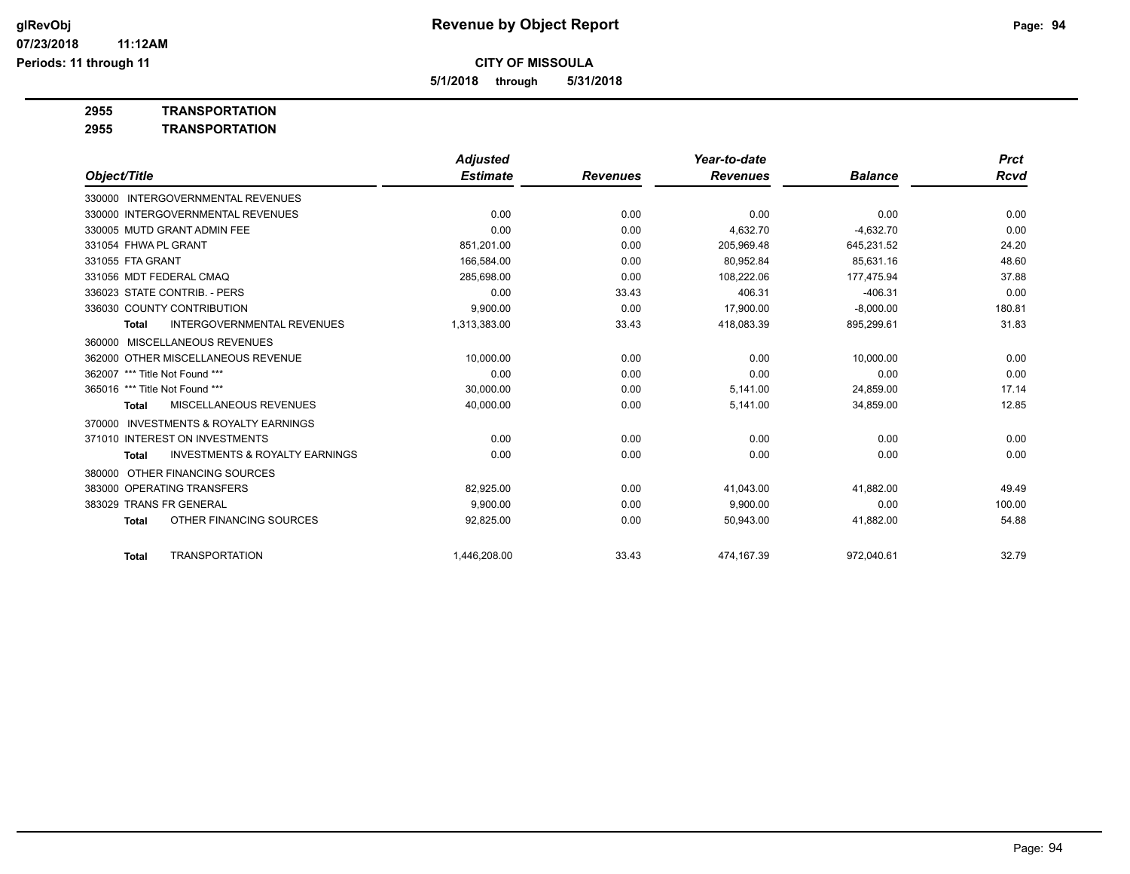**5/1/2018 through 5/31/2018**

**2955 TRANSPORTATION**

**2955 TRANSPORTATION**

|                                                           | <b>Adjusted</b> |                 | Year-to-date    |                | <b>Prct</b> |
|-----------------------------------------------------------|-----------------|-----------------|-----------------|----------------|-------------|
| Object/Title                                              | <b>Estimate</b> | <b>Revenues</b> | <b>Revenues</b> | <b>Balance</b> | Rcvd        |
| 330000 INTERGOVERNMENTAL REVENUES                         |                 |                 |                 |                |             |
| 330000 INTERGOVERNMENTAL REVENUES                         | 0.00            | 0.00            | 0.00            | 0.00           | 0.00        |
| 330005 MUTD GRANT ADMIN FEE                               | 0.00            | 0.00            | 4,632.70        | $-4,632.70$    | 0.00        |
| 331054 FHWA PL GRANT                                      | 851.201.00      | 0.00            | 205.969.48      | 645,231.52     | 24.20       |
| 331055 FTA GRANT                                          | 166,584.00      | 0.00            | 80.952.84       | 85.631.16      | 48.60       |
| 331056 MDT FEDERAL CMAO                                   | 285,698.00      | 0.00            | 108,222.06      | 177,475.94     | 37.88       |
| 336023 STATE CONTRIB. - PERS                              | 0.00            | 33.43           | 406.31          | $-406.31$      | 0.00        |
| 336030 COUNTY CONTRIBUTION                                | 9,900.00        | 0.00            | 17,900.00       | $-8,000.00$    | 180.81      |
| <b>INTERGOVERNMENTAL REVENUES</b><br><b>Total</b>         | 1,313,383.00    | 33.43           | 418,083.39      | 895,299.61     | 31.83       |
| <b>MISCELLANEOUS REVENUES</b><br>360000                   |                 |                 |                 |                |             |
| 362000 OTHER MISCELLANEOUS REVENUE                        | 10,000.00       | 0.00            | 0.00            | 10,000.00      | 0.00        |
| 362007 *** Title Not Found ***                            | 0.00            | 0.00            | 0.00            | 0.00           | 0.00        |
| 365016 *** Title Not Found ***                            | 30,000.00       | 0.00            | 5,141.00        | 24,859.00      | 17.14       |
| MISCELLANEOUS REVENUES<br><b>Total</b>                    | 40,000.00       | 0.00            | 5,141.00        | 34,859.00      | 12.85       |
| <b>INVESTMENTS &amp; ROYALTY EARNINGS</b><br>370000       |                 |                 |                 |                |             |
| 371010 INTEREST ON INVESTMENTS                            | 0.00            | 0.00            | 0.00            | 0.00           | 0.00        |
| <b>INVESTMENTS &amp; ROYALTY EARNINGS</b><br><b>Total</b> | 0.00            | 0.00            | 0.00            | 0.00           | 0.00        |
| OTHER FINANCING SOURCES<br>380000                         |                 |                 |                 |                |             |
| 383000 OPERATING TRANSFERS                                | 82,925.00       | 0.00            | 41,043.00       | 41,882.00      | 49.49       |
| 383029 TRANS FR GENERAL                                   | 9.900.00        | 0.00            | 9,900.00        | 0.00           | 100.00      |
| OTHER FINANCING SOURCES<br><b>Total</b>                   | 92,825.00       | 0.00            | 50,943.00       | 41,882.00      | 54.88       |
| <b>TRANSPORTATION</b><br><b>Total</b>                     | 1,446,208.00    | 33.43           | 474,167.39      | 972,040.61     | 32.79       |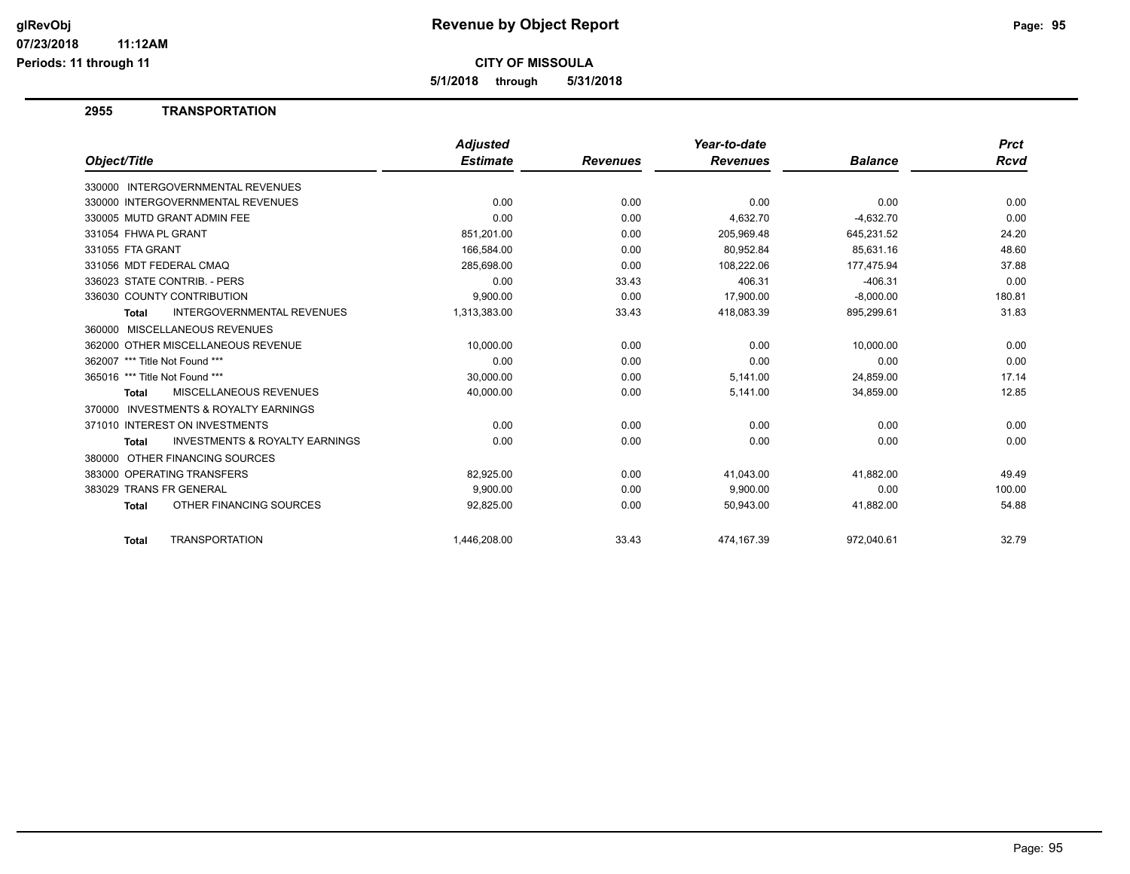**5/1/2018 through 5/31/2018**

### **2955 TRANSPORTATION**

|                                                           | <b>Adjusted</b> |                 | Year-to-date    |                | <b>Prct</b> |
|-----------------------------------------------------------|-----------------|-----------------|-----------------|----------------|-------------|
| Object/Title                                              | <b>Estimate</b> | <b>Revenues</b> | <b>Revenues</b> | <b>Balance</b> | Rcvd        |
| 330000 INTERGOVERNMENTAL REVENUES                         |                 |                 |                 |                |             |
| 330000 INTERGOVERNMENTAL REVENUES                         | 0.00            | 0.00            | 0.00            | 0.00           | 0.00        |
| 330005 MUTD GRANT ADMIN FEE                               | 0.00            | 0.00            | 4,632.70        | $-4,632.70$    | 0.00        |
| 331054 FHWA PL GRANT                                      | 851,201.00      | 0.00            | 205,969.48      | 645,231.52     | 24.20       |
| 331055 FTA GRANT                                          | 166,584.00      | 0.00            | 80,952.84       | 85,631.16      | 48.60       |
| 331056 MDT FEDERAL CMAQ                                   | 285,698.00      | 0.00            | 108,222.06      | 177,475.94     | 37.88       |
| 336023 STATE CONTRIB. - PERS                              | 0.00            | 33.43           | 406.31          | $-406.31$      | 0.00        |
| 336030 COUNTY CONTRIBUTION                                | 9,900.00        | 0.00            | 17,900.00       | $-8,000.00$    | 180.81      |
| <b>INTERGOVERNMENTAL REVENUES</b><br>Total                | 1,313,383.00    | 33.43           | 418,083.39      | 895,299.61     | 31.83       |
| 360000 MISCELLANEOUS REVENUES                             |                 |                 |                 |                |             |
| 362000 OTHER MISCELLANEOUS REVENUE                        | 10,000.00       | 0.00            | 0.00            | 10,000.00      | 0.00        |
| 362007 *** Title Not Found ***                            | 0.00            | 0.00            | 0.00            | 0.00           | 0.00        |
| 365016 *** Title Not Found ***                            | 30,000.00       | 0.00            | 5,141.00        | 24,859.00      | 17.14       |
| MISCELLANEOUS REVENUES<br>Total                           | 40,000.00       | 0.00            | 5,141.00        | 34,859.00      | 12.85       |
| 370000 INVESTMENTS & ROYALTY EARNINGS                     |                 |                 |                 |                |             |
| 371010 INTEREST ON INVESTMENTS                            | 0.00            | 0.00            | 0.00            | 0.00           | 0.00        |
| <b>INVESTMENTS &amp; ROYALTY EARNINGS</b><br><b>Total</b> | 0.00            | 0.00            | 0.00            | 0.00           | 0.00        |
| 380000 OTHER FINANCING SOURCES                            |                 |                 |                 |                |             |
| 383000 OPERATING TRANSFERS                                | 82,925.00       | 0.00            | 41,043.00       | 41,882.00      | 49.49       |
| 383029 TRANS FR GENERAL                                   | 9,900.00        | 0.00            | 9,900.00        | 0.00           | 100.00      |
| OTHER FINANCING SOURCES<br><b>Total</b>                   | 92,825.00       | 0.00            | 50,943.00       | 41,882.00      | 54.88       |
| <b>TRANSPORTATION</b><br><b>Total</b>                     | 1.446.208.00    | 33.43           | 474.167.39      | 972.040.61     | 32.79       |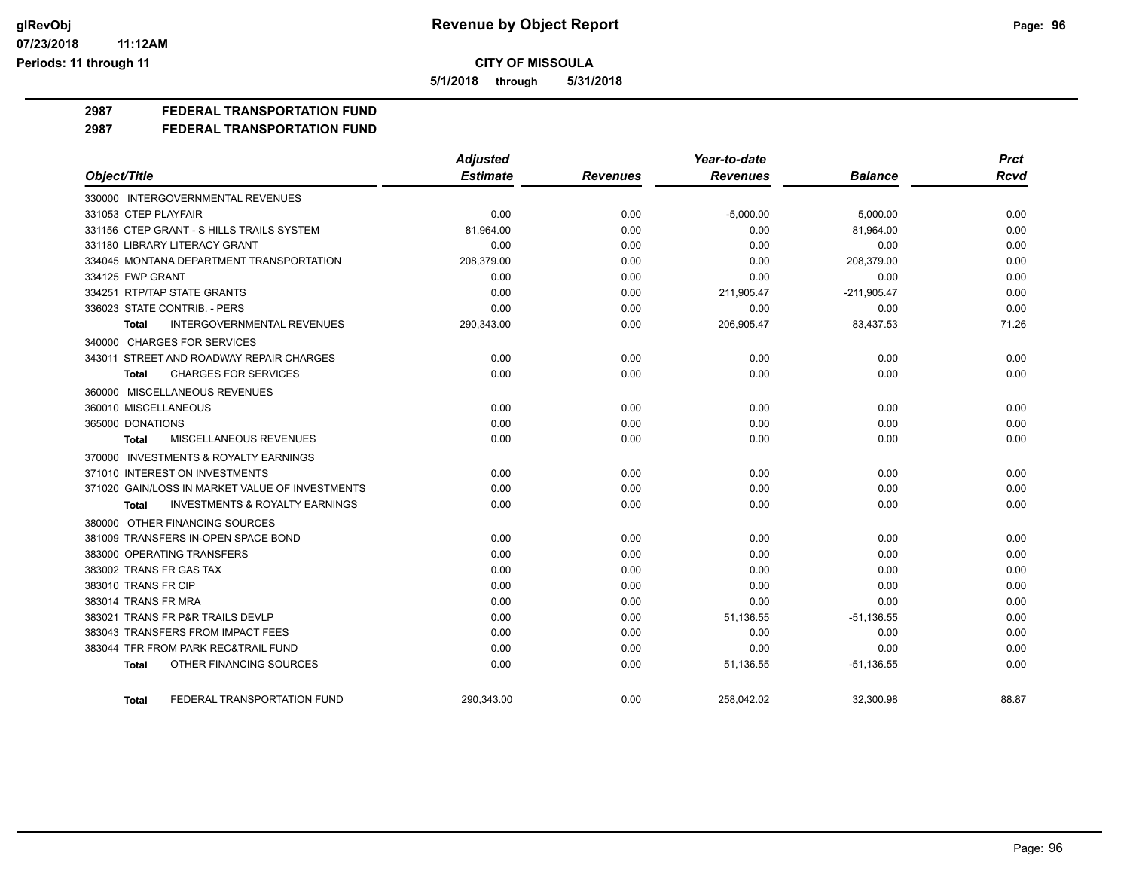**5/1/2018 through 5/31/2018**

**2987 FEDERAL TRANSPORTATION FUND**

**2987 FEDERAL TRANSPORTATION FUND**

|                                                    | <b>Adjusted</b> |                 | Year-to-date    |                | <b>Prct</b> |
|----------------------------------------------------|-----------------|-----------------|-----------------|----------------|-------------|
| Object/Title                                       | <b>Estimate</b> | <b>Revenues</b> | <b>Revenues</b> | <b>Balance</b> | <b>Rcvd</b> |
| 330000 INTERGOVERNMENTAL REVENUES                  |                 |                 |                 |                |             |
| 331053 CTEP PLAYFAIR                               | 0.00            | 0.00            | $-5,000.00$     | 5,000.00       | 0.00        |
| 331156 CTEP GRANT - S HILLS TRAILS SYSTEM          | 81,964.00       | 0.00            | 0.00            | 81,964.00      | 0.00        |
| 331180 LIBRARY LITERACY GRANT                      | 0.00            | 0.00            | 0.00            | 0.00           | 0.00        |
| 334045 MONTANA DEPARTMENT TRANSPORTATION           | 208,379.00      | 0.00            | 0.00            | 208,379.00     | 0.00        |
| 334125 FWP GRANT                                   | 0.00            | 0.00            | 0.00            | 0.00           | 0.00        |
| 334251 RTP/TAP STATE GRANTS                        | 0.00            | 0.00            | 211,905.47      | $-211,905.47$  | 0.00        |
| 336023 STATE CONTRIB. - PERS                       | 0.00            | 0.00            | 0.00            | 0.00           | 0.00        |
| <b>INTERGOVERNMENTAL REVENUES</b><br><b>Total</b>  | 290,343.00      | 0.00            | 206,905.47      | 83,437.53      | 71.26       |
| 340000 CHARGES FOR SERVICES                        |                 |                 |                 |                |             |
| 343011 STREET AND ROADWAY REPAIR CHARGES           | 0.00            | 0.00            | 0.00            | 0.00           | 0.00        |
| <b>CHARGES FOR SERVICES</b><br><b>Total</b>        | 0.00            | 0.00            | 0.00            | 0.00           | 0.00        |
| 360000 MISCELLANEOUS REVENUES                      |                 |                 |                 |                |             |
| 360010 MISCELLANEOUS                               | 0.00            | 0.00            | 0.00            | 0.00           | 0.00        |
| 365000 DONATIONS                                   | 0.00            | 0.00            | 0.00            | 0.00           | 0.00        |
| MISCELLANEOUS REVENUES<br><b>Total</b>             | 0.00            | 0.00            | 0.00            | 0.00           | 0.00        |
| 370000 INVESTMENTS & ROYALTY EARNINGS              |                 |                 |                 |                |             |
| 371010 INTEREST ON INVESTMENTS                     | 0.00            | 0.00            | 0.00            | 0.00           | 0.00        |
| 371020 GAIN/LOSS IN MARKET VALUE OF INVESTMENTS    | 0.00            | 0.00            | 0.00            | 0.00           | 0.00        |
| <b>INVESTMENTS &amp; ROYALTY EARNINGS</b><br>Total | 0.00            | 0.00            | 0.00            | 0.00           | 0.00        |
| 380000 OTHER FINANCING SOURCES                     |                 |                 |                 |                |             |
| 381009 TRANSFERS IN-OPEN SPACE BOND                | 0.00            | 0.00            | 0.00            | 0.00           | 0.00        |
| 383000 OPERATING TRANSFERS                         | 0.00            | 0.00            | 0.00            | 0.00           | 0.00        |
| 383002 TRANS FR GAS TAX                            | 0.00            | 0.00            | 0.00            | 0.00           | 0.00        |
| 383010 TRANS FR CIP                                | 0.00            | 0.00            | 0.00            | 0.00           | 0.00        |
| 383014 TRANS FR MRA                                | 0.00            | 0.00            | 0.00            | 0.00           | 0.00        |
| 383021 TRANS FR P&R TRAILS DEVLP                   | 0.00            | 0.00            | 51,136.55       | $-51,136.55$   | 0.00        |
| 383043 TRANSFERS FROM IMPACT FEES                  | 0.00            | 0.00            | 0.00            | 0.00           | 0.00        |
| 383044 TFR FROM PARK REC&TRAIL FUND                | 0.00            | 0.00            | 0.00            | 0.00           | 0.00        |
| OTHER FINANCING SOURCES<br><b>Total</b>            | 0.00            | 0.00            | 51,136.55       | $-51, 136.55$  | 0.00        |
| FEDERAL TRANSPORTATION FUND<br><b>Total</b>        | 290.343.00      | 0.00            | 258.042.02      | 32.300.98      | 88.87       |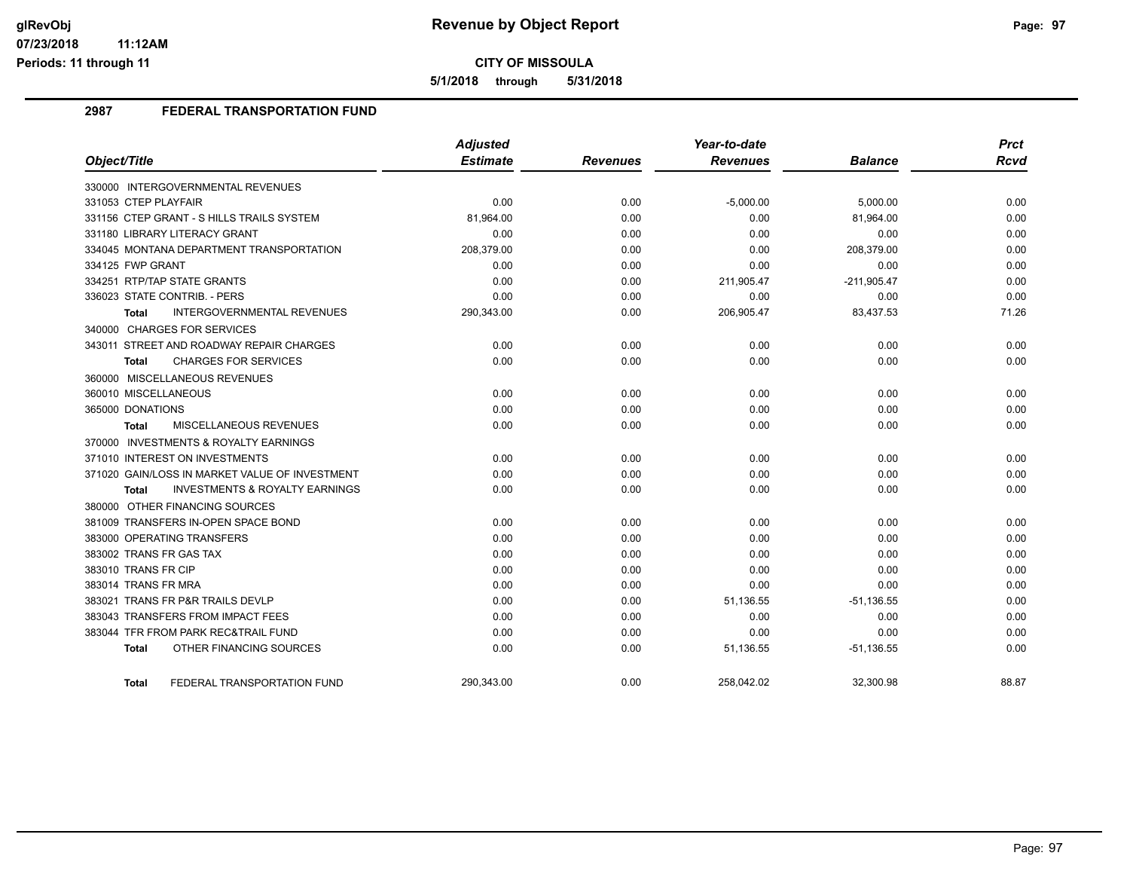**5/1/2018 through 5/31/2018**

### **2987 FEDERAL TRANSPORTATION FUND**

|                                                    | <b>Adjusted</b> |                 | Year-to-date    |                | <b>Prct</b> |
|----------------------------------------------------|-----------------|-----------------|-----------------|----------------|-------------|
| Object/Title                                       | <b>Estimate</b> | <b>Revenues</b> | <b>Revenues</b> | <b>Balance</b> | <b>Rcvd</b> |
| 330000 INTERGOVERNMENTAL REVENUES                  |                 |                 |                 |                |             |
| 331053 CTEP PLAYFAIR                               | 0.00            | 0.00            | $-5,000.00$     | 5,000.00       | 0.00        |
| 331156 CTEP GRANT - S HILLS TRAILS SYSTEM          | 81,964.00       | 0.00            | 0.00            | 81,964.00      | 0.00        |
| 331180 LIBRARY LITERACY GRANT                      | 0.00            | 0.00            | 0.00            | 0.00           | 0.00        |
| 334045 MONTANA DEPARTMENT TRANSPORTATION           | 208,379.00      | 0.00            | 0.00            | 208,379.00     | 0.00        |
| 334125 FWP GRANT                                   | 0.00            | 0.00            | 0.00            | 0.00           | 0.00        |
| 334251 RTP/TAP STATE GRANTS                        | 0.00            | 0.00            | 211,905.47      | $-211,905.47$  | 0.00        |
| 336023 STATE CONTRIB. - PERS                       | 0.00            | 0.00            | 0.00            | 0.00           | 0.00        |
| <b>INTERGOVERNMENTAL REVENUES</b><br><b>Total</b>  | 290,343.00      | 0.00            | 206,905.47      | 83,437.53      | 71.26       |
| 340000 CHARGES FOR SERVICES                        |                 |                 |                 |                |             |
| 343011 STREET AND ROADWAY REPAIR CHARGES           | 0.00            | 0.00            | 0.00            | 0.00           | 0.00        |
| <b>CHARGES FOR SERVICES</b><br>Total               | 0.00            | 0.00            | 0.00            | 0.00           | 0.00        |
| 360000 MISCELLANEOUS REVENUES                      |                 |                 |                 |                |             |
| 360010 MISCELLANEOUS                               | 0.00            | 0.00            | 0.00            | 0.00           | 0.00        |
| 365000 DONATIONS                                   | 0.00            | 0.00            | 0.00            | 0.00           | 0.00        |
| MISCELLANEOUS REVENUES<br>Total                    | 0.00            | 0.00            | 0.00            | 0.00           | 0.00        |
| 370000 INVESTMENTS & ROYALTY EARNINGS              |                 |                 |                 |                |             |
| 371010 INTEREST ON INVESTMENTS                     | 0.00            | 0.00            | 0.00            | 0.00           | 0.00        |
| 371020 GAIN/LOSS IN MARKET VALUE OF INVESTMENT     | 0.00            | 0.00            | 0.00            | 0.00           | 0.00        |
| <b>INVESTMENTS &amp; ROYALTY EARNINGS</b><br>Total | 0.00            | 0.00            | 0.00            | 0.00           | 0.00        |
| 380000 OTHER FINANCING SOURCES                     |                 |                 |                 |                |             |
| 381009 TRANSFERS IN-OPEN SPACE BOND                | 0.00            | 0.00            | 0.00            | 0.00           | 0.00        |
| 383000 OPERATING TRANSFERS                         | 0.00            | 0.00            | 0.00            | 0.00           | 0.00        |
| 383002 TRANS FR GAS TAX                            | 0.00            | 0.00            | 0.00            | 0.00           | 0.00        |
| 383010 TRANS FR CIP                                | 0.00            | 0.00            | 0.00            | 0.00           | 0.00        |
| 383014 TRANS FR MRA                                | 0.00            | 0.00            | 0.00            | 0.00           | 0.00        |
| 383021 TRANS FR P&R TRAILS DEVLP                   | 0.00            | 0.00            | 51,136.55       | $-51,136.55$   | 0.00        |
| 383043 TRANSFERS FROM IMPACT FEES                  | 0.00            | 0.00            | 0.00            | 0.00           | 0.00        |
| 383044 TFR FROM PARK REC&TRAIL FUND                | 0.00            | 0.00            | 0.00            | 0.00           | 0.00        |
| OTHER FINANCING SOURCES<br><b>Total</b>            | 0.00            | 0.00            | 51,136.55       | $-51,136.55$   | 0.00        |
| FEDERAL TRANSPORTATION FUND<br>Total               | 290,343.00      | 0.00            | 258,042.02      | 32,300.98      | 88.87       |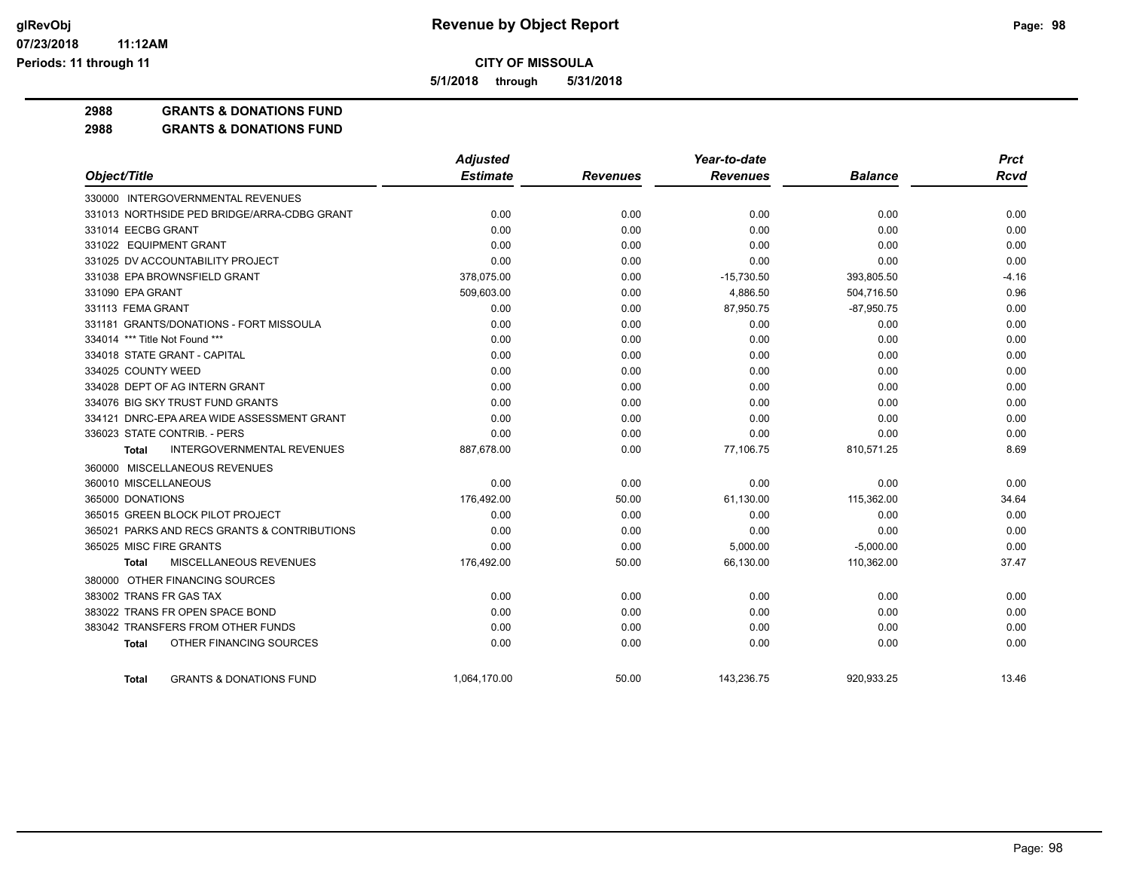**5/1/2018 through 5/31/2018**

**2988 GRANTS & DONATIONS FUND**

**2988 GRANTS & DONATIONS FUND**

|                                               | <b>Adjusted</b> |                 | Year-to-date    |                | <b>Prct</b> |
|-----------------------------------------------|-----------------|-----------------|-----------------|----------------|-------------|
| Object/Title                                  | <b>Estimate</b> | <b>Revenues</b> | <b>Revenues</b> | <b>Balance</b> | Rcvd        |
| 330000 INTERGOVERNMENTAL REVENUES             |                 |                 |                 |                |             |
| 331013 NORTHSIDE PED BRIDGE/ARRA-CDBG GRANT   | 0.00            | 0.00            | 0.00            | 0.00           | 0.00        |
| 331014 EECBG GRANT                            | 0.00            | 0.00            | 0.00            | 0.00           | 0.00        |
| 331022 EQUIPMENT GRANT                        | 0.00            | 0.00            | 0.00            | 0.00           | 0.00        |
| 331025 DV ACCOUNTABILITY PROJECT              | 0.00            | 0.00            | 0.00            | 0.00           | 0.00        |
| 331038 EPA BROWNSFIELD GRANT                  | 378,075.00      | 0.00            | $-15,730.50$    | 393,805.50     | $-4.16$     |
| 331090 EPA GRANT                              | 509,603.00      | 0.00            | 4,886.50        | 504,716.50     | 0.96        |
| 331113 FEMA GRANT                             | 0.00            | 0.00            | 87,950.75       | $-87,950.75$   | 0.00        |
| 331181 GRANTS/DONATIONS - FORT MISSOULA       | 0.00            | 0.00            | 0.00            | 0.00           | 0.00        |
| 334014 *** Title Not Found ***                | 0.00            | 0.00            | 0.00            | 0.00           | 0.00        |
| 334018 STATE GRANT - CAPITAL                  | 0.00            | 0.00            | 0.00            | 0.00           | 0.00        |
| 334025 COUNTY WEED                            | 0.00            | 0.00            | 0.00            | 0.00           | 0.00        |
| 334028 DEPT OF AG INTERN GRANT                | 0.00            | 0.00            | 0.00            | 0.00           | 0.00        |
| 334076 BIG SKY TRUST FUND GRANTS              | 0.00            | 0.00            | 0.00            | 0.00           | 0.00        |
| 334121 DNRC-EPA AREA WIDE ASSESSMENT GRANT    | 0.00            | 0.00            | 0.00            | 0.00           | 0.00        |
| 336023 STATE CONTRIB. - PERS                  | 0.00            | 0.00            | 0.00            | 0.00           | 0.00        |
| INTERGOVERNMENTAL REVENUES<br>Total           | 887,678.00      | 0.00            | 77,106.75       | 810,571.25     | 8.69        |
| 360000 MISCELLANEOUS REVENUES                 |                 |                 |                 |                |             |
| 360010 MISCELLANEOUS                          | 0.00            | 0.00            | 0.00            | 0.00           | 0.00        |
| 365000 DONATIONS                              | 176,492.00      | 50.00           | 61,130.00       | 115,362.00     | 34.64       |
| 365015 GREEN BLOCK PILOT PROJECT              | 0.00            | 0.00            | 0.00            | 0.00           | 0.00        |
| 365021 PARKS AND RECS GRANTS & CONTRIBUTIONS  | 0.00            | 0.00            | 0.00            | 0.00           | 0.00        |
| 365025 MISC FIRE GRANTS                       | 0.00            | 0.00            | 5,000.00        | $-5,000.00$    | 0.00        |
| <b>MISCELLANEOUS REVENUES</b><br><b>Total</b> | 176,492.00      | 50.00           | 66,130.00       | 110,362.00     | 37.47       |
| OTHER FINANCING SOURCES<br>380000             |                 |                 |                 |                |             |
| 383002 TRANS FR GAS TAX                       | 0.00            | 0.00            | 0.00            | 0.00           | 0.00        |
| 383022 TRANS FR OPEN SPACE BOND               | 0.00            | 0.00            | 0.00            | 0.00           | 0.00        |
| 383042 TRANSFERS FROM OTHER FUNDS             | 0.00            | 0.00            | 0.00            | 0.00           | 0.00        |
| OTHER FINANCING SOURCES<br><b>Total</b>       | 0.00            | 0.00            | 0.00            | 0.00           | 0.00        |
| <b>GRANTS &amp; DONATIONS FUND</b><br>Total   | 1,064,170.00    | 50.00           | 143,236.75      | 920,933.25     | 13.46       |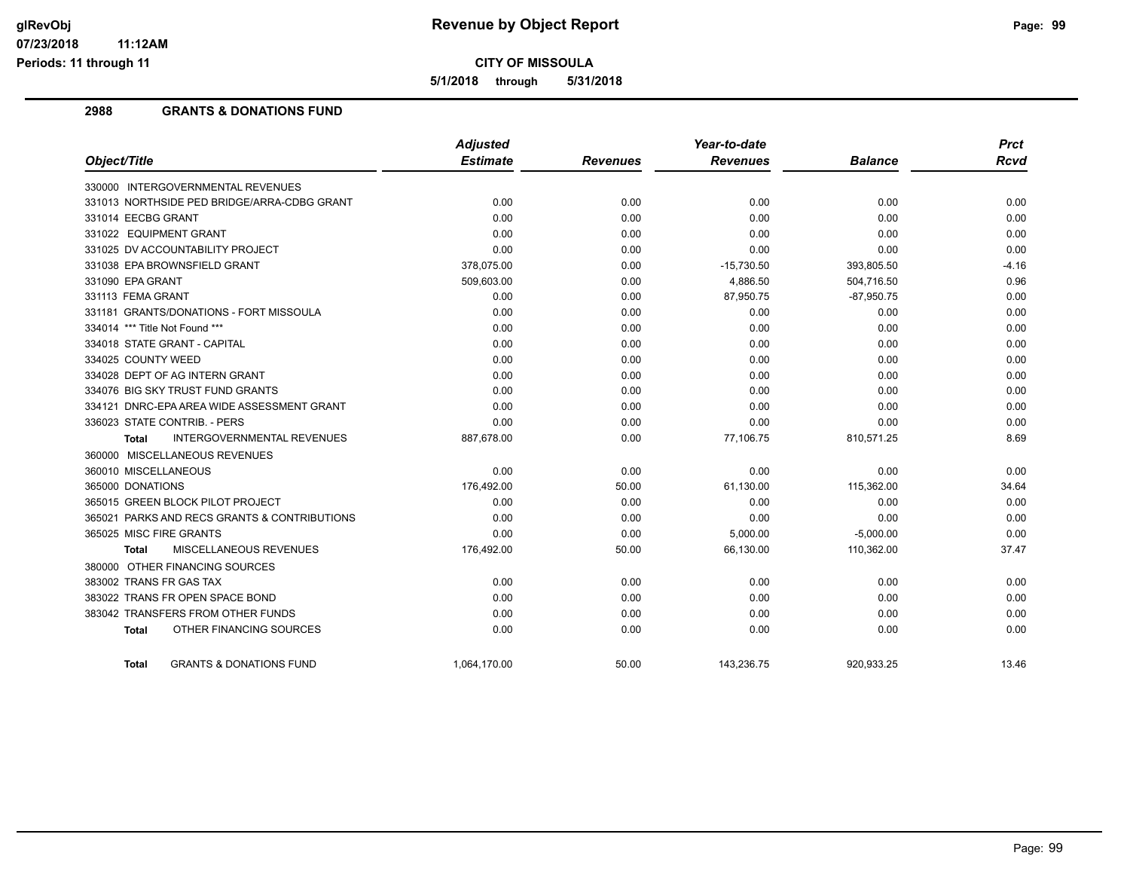**CITY OF MISSOULA**

**5/1/2018 through 5/31/2018**

### **2988 GRANTS & DONATIONS FUND**

|                                                    | Adjusted        |                 | Year-to-date    |                | <b>Prct</b> |
|----------------------------------------------------|-----------------|-----------------|-----------------|----------------|-------------|
| Object/Title                                       | <b>Estimate</b> | <b>Revenues</b> | <b>Revenues</b> | <b>Balance</b> | Rcvd        |
| 330000 INTERGOVERNMENTAL REVENUES                  |                 |                 |                 |                |             |
| 331013 NORTHSIDE PED BRIDGE/ARRA-CDBG GRANT        | 0.00            | 0.00            | 0.00            | 0.00           | 0.00        |
| 331014 EECBG GRANT                                 | 0.00            | 0.00            | 0.00            | 0.00           | 0.00        |
| 331022 EQUIPMENT GRANT                             | 0.00            | 0.00            | 0.00            | 0.00           | 0.00        |
| 331025 DV ACCOUNTABILITY PROJECT                   | 0.00            | 0.00            | 0.00            | 0.00           | 0.00        |
| 331038 EPA BROWNSFIELD GRANT                       | 378,075.00      | 0.00            | $-15,730.50$    | 393,805.50     | $-4.16$     |
| 331090 EPA GRANT                                   | 509,603.00      | 0.00            | 4,886.50        | 504,716.50     | 0.96        |
| 331113 FEMA GRANT                                  | 0.00            | 0.00            | 87,950.75       | $-87,950.75$   | 0.00        |
| 331181 GRANTS/DONATIONS - FORT MISSOULA            | 0.00            | 0.00            | 0.00            | 0.00           | 0.00        |
| 334014 *** Title Not Found ***                     | 0.00            | 0.00            | 0.00            | 0.00           | 0.00        |
| 334018 STATE GRANT - CAPITAL                       | 0.00            | 0.00            | 0.00            | 0.00           | 0.00        |
| 334025 COUNTY WEED                                 | 0.00            | 0.00            | 0.00            | 0.00           | 0.00        |
| 334028 DEPT OF AG INTERN GRANT                     | 0.00            | 0.00            | 0.00            | 0.00           | 0.00        |
| 334076 BIG SKY TRUST FUND GRANTS                   | 0.00            | 0.00            | 0.00            | 0.00           | 0.00        |
| 334121 DNRC-EPA AREA WIDE ASSESSMENT GRANT         | 0.00            | 0.00            | 0.00            | 0.00           | 0.00        |
| 336023 STATE CONTRIB. - PERS                       | 0.00            | 0.00            | 0.00            | 0.00           | 0.00        |
| <b>INTERGOVERNMENTAL REVENUES</b><br><b>Total</b>  | 887,678.00      | 0.00            | 77,106.75       | 810,571.25     | 8.69        |
| 360000 MISCELLANEOUS REVENUES                      |                 |                 |                 |                |             |
| 360010 MISCELLANEOUS                               | 0.00            | 0.00            | 0.00            | 0.00           | 0.00        |
| 365000 DONATIONS                                   | 176,492.00      | 50.00           | 61,130.00       | 115,362.00     | 34.64       |
| 365015 GREEN BLOCK PILOT PROJECT                   | 0.00            | 0.00            | 0.00            | 0.00           | 0.00        |
| 365021 PARKS AND RECS GRANTS & CONTRIBUTIONS       | 0.00            | 0.00            | 0.00            | 0.00           | 0.00        |
| 365025 MISC FIRE GRANTS                            | 0.00            | 0.00            | 5,000.00        | $-5,000.00$    | 0.00        |
| MISCELLANEOUS REVENUES<br><b>Total</b>             | 176,492.00      | 50.00           | 66,130.00       | 110,362.00     | 37.47       |
| 380000 OTHER FINANCING SOURCES                     |                 |                 |                 |                |             |
| 383002 TRANS FR GAS TAX                            | 0.00            | 0.00            | 0.00            | 0.00           | 0.00        |
| 383022 TRANS FR OPEN SPACE BOND                    | 0.00            | 0.00            | 0.00            | 0.00           | 0.00        |
| 383042 TRANSFERS FROM OTHER FUNDS                  | 0.00            | 0.00            | 0.00            | 0.00           | 0.00        |
| OTHER FINANCING SOURCES<br><b>Total</b>            | 0.00            | 0.00            | 0.00            | 0.00           | 0.00        |
| <b>GRANTS &amp; DONATIONS FUND</b><br><b>Total</b> | 1.064.170.00    | 50.00           | 143.236.75      | 920.933.25     | 13.46       |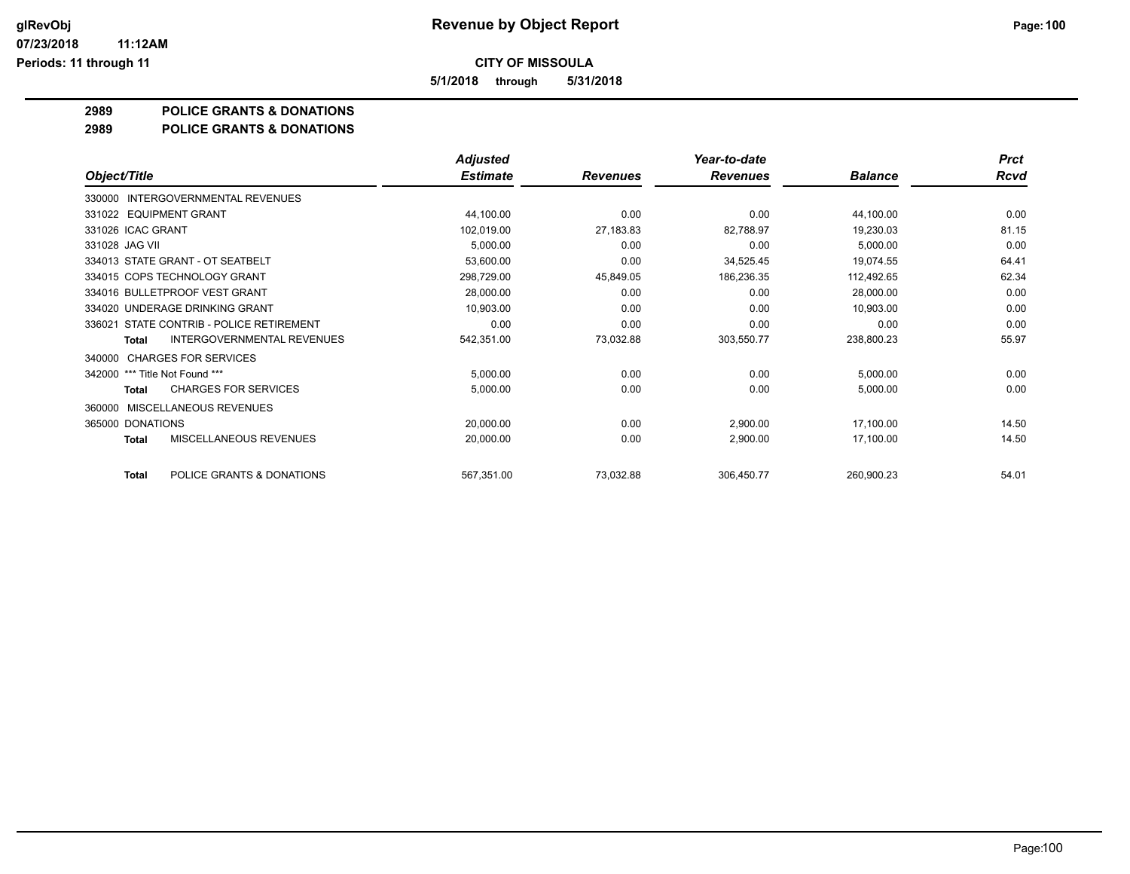**5/1/2018 through 5/31/2018**

### **2989 POLICE GRANTS & DONATIONS**

### **2989 POLICE GRANTS & DONATIONS**

|                                             | <b>Adjusted</b> |                 | Year-to-date    |                | <b>Prct</b> |
|---------------------------------------------|-----------------|-----------------|-----------------|----------------|-------------|
| Object/Title                                | <b>Estimate</b> | <b>Revenues</b> | <b>Revenues</b> | <b>Balance</b> | Rcvd        |
| <b>INTERGOVERNMENTAL REVENUES</b><br>330000 |                 |                 |                 |                |             |
| 331022 EQUIPMENT GRANT                      | 44,100.00       | 0.00            | 0.00            | 44,100.00      | 0.00        |
| 331026 ICAC GRANT                           | 102,019.00      | 27,183.83       | 82,788.97       | 19,230.03      | 81.15       |
| 331028 JAG VII                              | 5,000.00        | 0.00            | 0.00            | 5,000.00       | 0.00        |
| 334013 STATE GRANT - OT SEATBELT            | 53,600.00       | 0.00            | 34,525.45       | 19,074.55      | 64.41       |
| 334015 COPS TECHNOLOGY GRANT                | 298,729.00      | 45,849.05       | 186,236.35      | 112,492.65     | 62.34       |
| 334016 BULLETPROOF VEST GRANT               | 28,000.00       | 0.00            | 0.00            | 28,000.00      | 0.00        |
| 334020 UNDERAGE DRINKING GRANT              | 10,903.00       | 0.00            | 0.00            | 10,903.00      | 0.00        |
| STATE CONTRIB - POLICE RETIREMENT<br>336021 | 0.00            | 0.00            | 0.00            | 0.00           | 0.00        |
| <b>INTERGOVERNMENTAL REVENUES</b><br>Total  | 542,351.00      | 73,032.88       | 303,550.77      | 238,800.23     | 55.97       |
| <b>CHARGES FOR SERVICES</b><br>340000       |                 |                 |                 |                |             |
| 342000 *** Title Not Found ***              | 5,000.00        | 0.00            | 0.00            | 5,000.00       | 0.00        |
| <b>CHARGES FOR SERVICES</b><br>Total        | 5,000.00        | 0.00            | 0.00            | 5,000.00       | 0.00        |
| MISCELLANEOUS REVENUES<br>360000            |                 |                 |                 |                |             |
| 365000 DONATIONS                            | 20,000.00       | 0.00            | 2,900.00        | 17,100.00      | 14.50       |
| MISCELLANEOUS REVENUES<br><b>Total</b>      | 20,000.00       | 0.00            | 2,900.00        | 17,100.00      | 14.50       |
| POLICE GRANTS & DONATIONS<br><b>Total</b>   | 567,351.00      | 73,032.88       | 306,450.77      | 260,900.23     | 54.01       |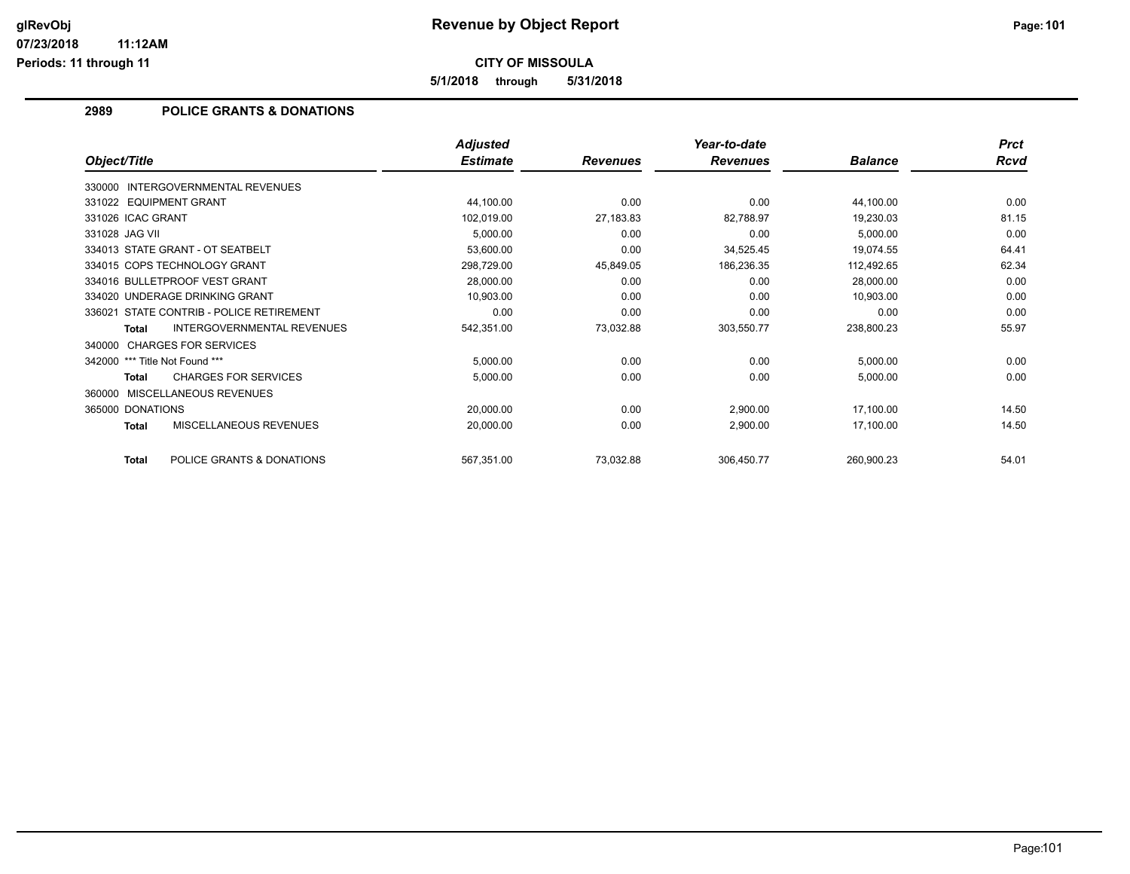**5/1/2018 through 5/31/2018**

### **2989 POLICE GRANTS & DONATIONS**

|                                                   | <b>Adjusted</b> |                 | Year-to-date    |                | <b>Prct</b> |
|---------------------------------------------------|-----------------|-----------------|-----------------|----------------|-------------|
| Object/Title                                      | <b>Estimate</b> | <b>Revenues</b> | <b>Revenues</b> | <b>Balance</b> | <b>Rcvd</b> |
| <b>INTERGOVERNMENTAL REVENUES</b><br>330000       |                 |                 |                 |                |             |
| 331022 EQUIPMENT GRANT                            | 44,100.00       | 0.00            | 0.00            | 44,100.00      | 0.00        |
| 331026 ICAC GRANT                                 | 102,019.00      | 27,183.83       | 82,788.97       | 19,230.03      | 81.15       |
| 331028 JAG VII                                    | 5,000.00        | 0.00            | 0.00            | 5,000.00       | 0.00        |
| 334013 STATE GRANT - OT SEATBELT                  | 53,600.00       | 0.00            | 34,525.45       | 19,074.55      | 64.41       |
| 334015 COPS TECHNOLOGY GRANT                      | 298,729.00      | 45,849.05       | 186,236.35      | 112,492.65     | 62.34       |
| 334016 BULLETPROOF VEST GRANT                     | 28,000.00       | 0.00            | 0.00            | 28,000.00      | 0.00        |
| 334020 UNDERAGE DRINKING GRANT                    | 10,903.00       | 0.00            | 0.00            | 10,903.00      | 0.00        |
| 336021 STATE CONTRIB - POLICE RETIREMENT          | 0.00            | 0.00            | 0.00            | 0.00           | 0.00        |
| <b>INTERGOVERNMENTAL REVENUES</b><br><b>Total</b> | 542,351.00      | 73,032.88       | 303,550.77      | 238,800.23     | 55.97       |
| 340000 CHARGES FOR SERVICES                       |                 |                 |                 |                |             |
| *** Title Not Found ***<br>342000                 | 5,000.00        | 0.00            | 0.00            | 5,000.00       | 0.00        |
| <b>CHARGES FOR SERVICES</b><br><b>Total</b>       | 5,000.00        | 0.00            | 0.00            | 5,000.00       | 0.00        |
| MISCELLANEOUS REVENUES<br>360000                  |                 |                 |                 |                |             |
| 365000 DONATIONS                                  | 20,000.00       | 0.00            | 2,900.00        | 17,100.00      | 14.50       |
| MISCELLANEOUS REVENUES<br><b>Total</b>            | 20,000.00       | 0.00            | 2,900.00        | 17,100.00      | 14.50       |
| POLICE GRANTS & DONATIONS<br>Total                | 567,351.00      | 73,032.88       | 306,450.77      | 260,900.23     | 54.01       |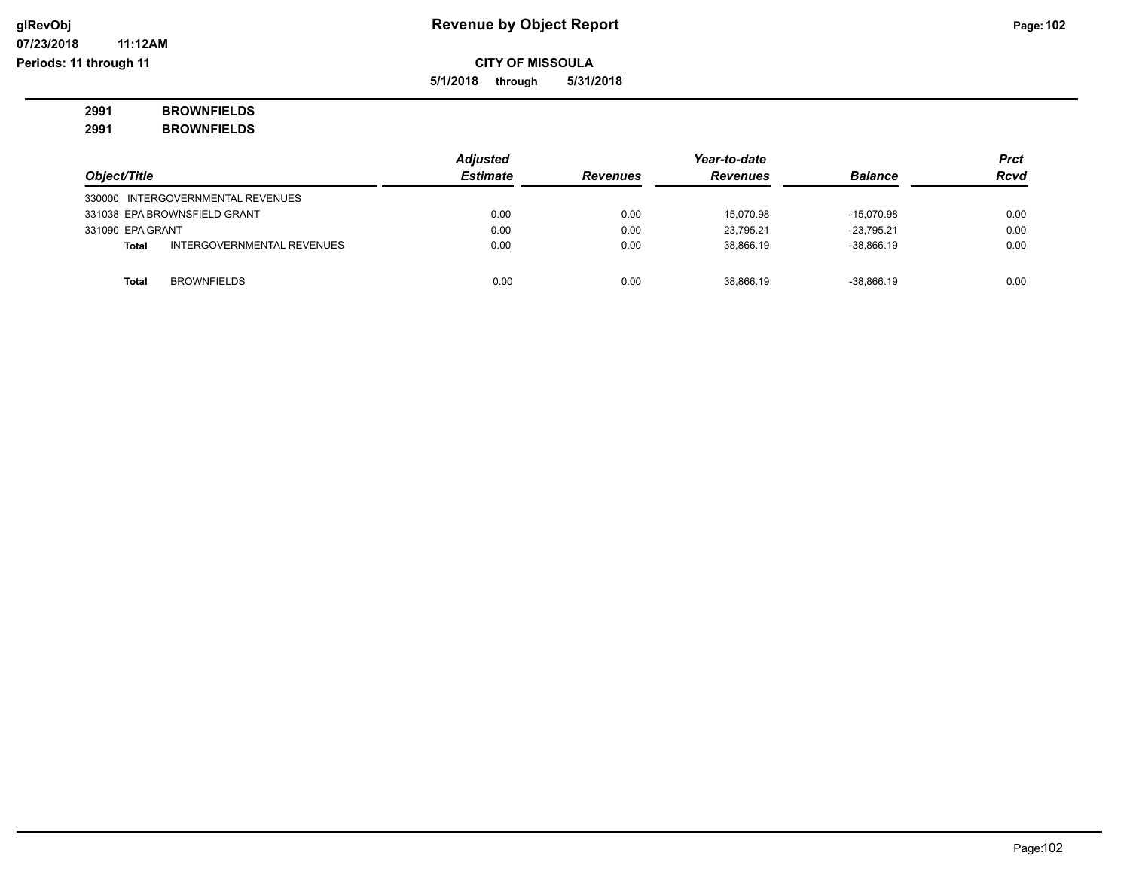**5/1/2018 through 5/31/2018**

# **2991 BROWNFIELDS**

**2991 BROWNFIELDS**

|                  |                                   | <b>Adjusted</b> |                 | Year-to-date    |                | <b>Prct</b> |
|------------------|-----------------------------------|-----------------|-----------------|-----------------|----------------|-------------|
| Object/Title     |                                   | <b>Estimate</b> | <b>Revenues</b> | <b>Revenues</b> | <b>Balance</b> | <b>Rcvd</b> |
|                  | 330000 INTERGOVERNMENTAL REVENUES |                 |                 |                 |                |             |
|                  | 331038 EPA BROWNSFIELD GRANT      | 0.00            | 0.00            | 15.070.98       | $-15.070.98$   | 0.00        |
| 331090 EPA GRANT |                                   | 0.00            | 0.00            | 23.795.21       | $-23.795.21$   | 0.00        |
| Total            | INTERGOVERNMENTAL REVENUES        | 0.00            | 0.00            | 38.866.19       | $-38.866.19$   | 0.00        |
|                  |                                   |                 |                 |                 |                |             |
| Total            | <b>BROWNFIELDS</b>                | 0.00            | 0.00            | 38.866.19       | $-38.866.19$   | 0.00        |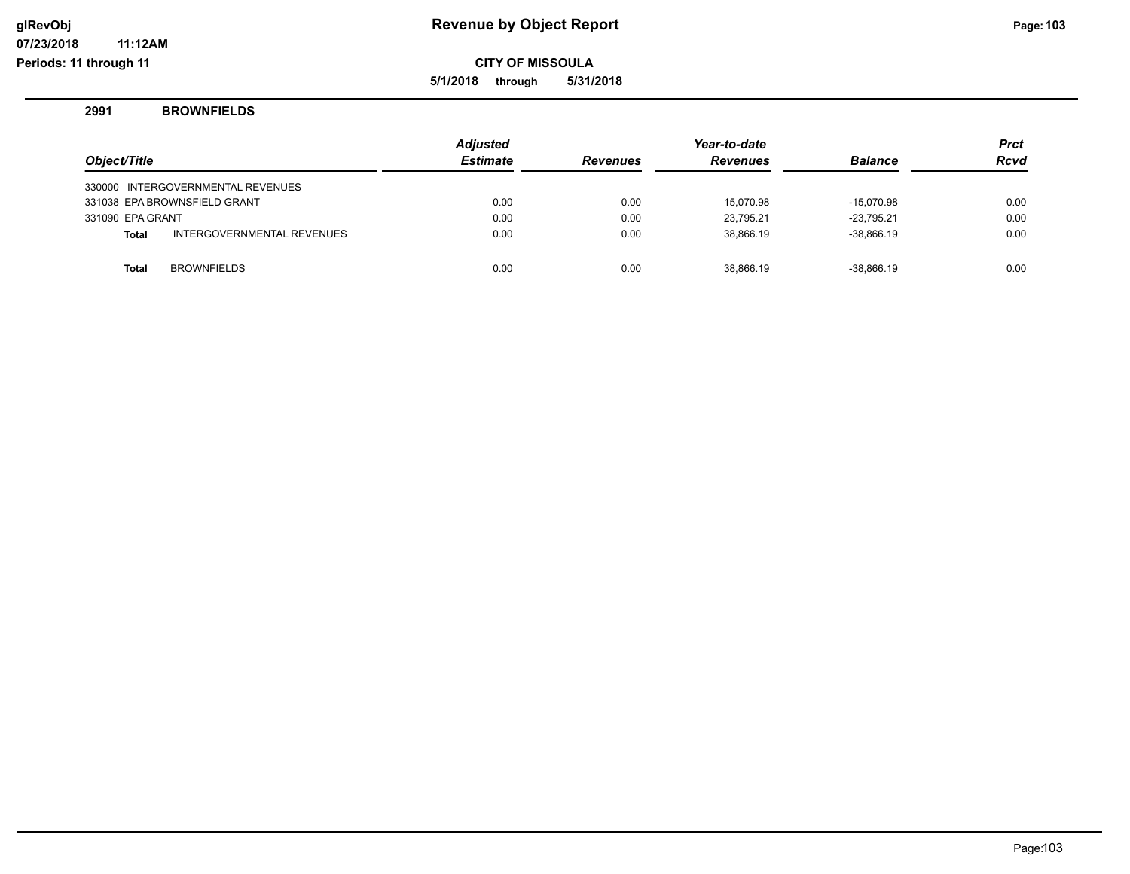**CITY OF MISSOULA**

**5/1/2018 through 5/31/2018**

### **2991 BROWNFIELDS**

**11:12AM**

| Object/Title     |                                   | <b>Adjusted</b><br><b>Estimate</b> | <b>Revenues</b> | Year-to-date<br><b>Revenues</b> | <b>Balance</b> | <b>Prct</b><br><b>Rcvd</b> |
|------------------|-----------------------------------|------------------------------------|-----------------|---------------------------------|----------------|----------------------------|
|                  | 330000 INTERGOVERNMENTAL REVENUES |                                    |                 |                                 |                |                            |
|                  | 331038 EPA BROWNSFIELD GRANT      | 0.00                               | 0.00            | 15.070.98                       | $-15.070.98$   | 0.00                       |
| 331090 EPA GRANT |                                   | 0.00                               | 0.00            | 23.795.21                       | $-23.795.21$   | 0.00                       |
| Total            | INTERGOVERNMENTAL REVENUES        | 0.00                               | 0.00            | 38.866.19                       | $-38.866.19$   | 0.00                       |
| Total            | <b>BROWNFIELDS</b>                | 0.00                               | 0.00            | 38.866.19                       | $-38.866.19$   | 0.00                       |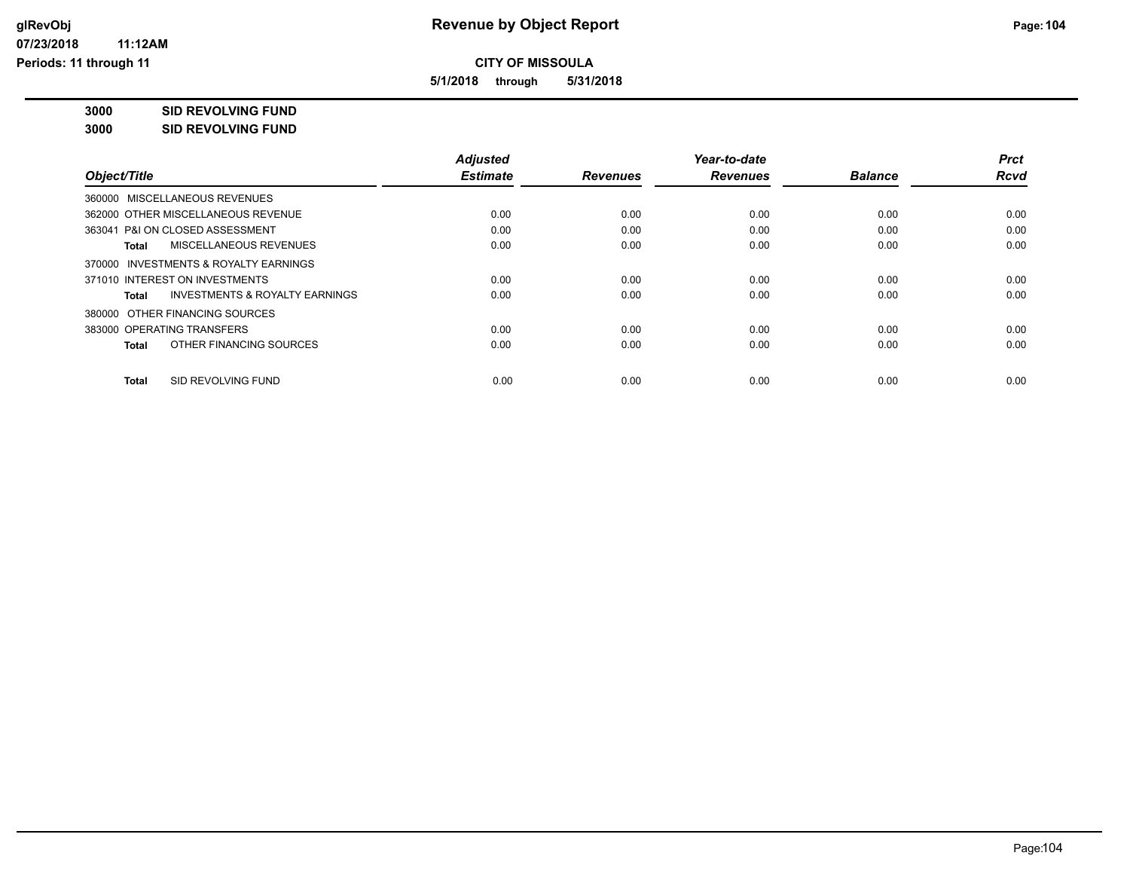**5/1/2018 through 5/31/2018**

**3000 SID REVOLVING FUND**

**3000 SID REVOLVING FUND**

|                                                    | <b>Adjusted</b> |                 | Year-to-date    |                | <b>Prct</b> |
|----------------------------------------------------|-----------------|-----------------|-----------------|----------------|-------------|
| Object/Title                                       | <b>Estimate</b> | <b>Revenues</b> | <b>Revenues</b> | <b>Balance</b> | <b>Rcvd</b> |
| 360000 MISCELLANEOUS REVENUES                      |                 |                 |                 |                |             |
| 362000 OTHER MISCELLANEOUS REVENUE                 | 0.00            | 0.00            | 0.00            | 0.00           | 0.00        |
| 363041 P&I ON CLOSED ASSESSMENT                    | 0.00            | 0.00            | 0.00            | 0.00           | 0.00        |
| MISCELLANEOUS REVENUES<br>Total                    | 0.00            | 0.00            | 0.00            | 0.00           | 0.00        |
| 370000 INVESTMENTS & ROYALTY EARNINGS              |                 |                 |                 |                |             |
| 371010 INTEREST ON INVESTMENTS                     | 0.00            | 0.00            | 0.00            | 0.00           | 0.00        |
| <b>INVESTMENTS &amp; ROYALTY EARNINGS</b><br>Total | 0.00            | 0.00            | 0.00            | 0.00           | 0.00        |
| 380000 OTHER FINANCING SOURCES                     |                 |                 |                 |                |             |
| 383000 OPERATING TRANSFERS                         | 0.00            | 0.00            | 0.00            | 0.00           | 0.00        |
| OTHER FINANCING SOURCES<br>Total                   | 0.00            | 0.00            | 0.00            | 0.00           | 0.00        |
| SID REVOLVING FUND<br>Total                        | 0.00            | 0.00            | 0.00            | 0.00           | 0.00        |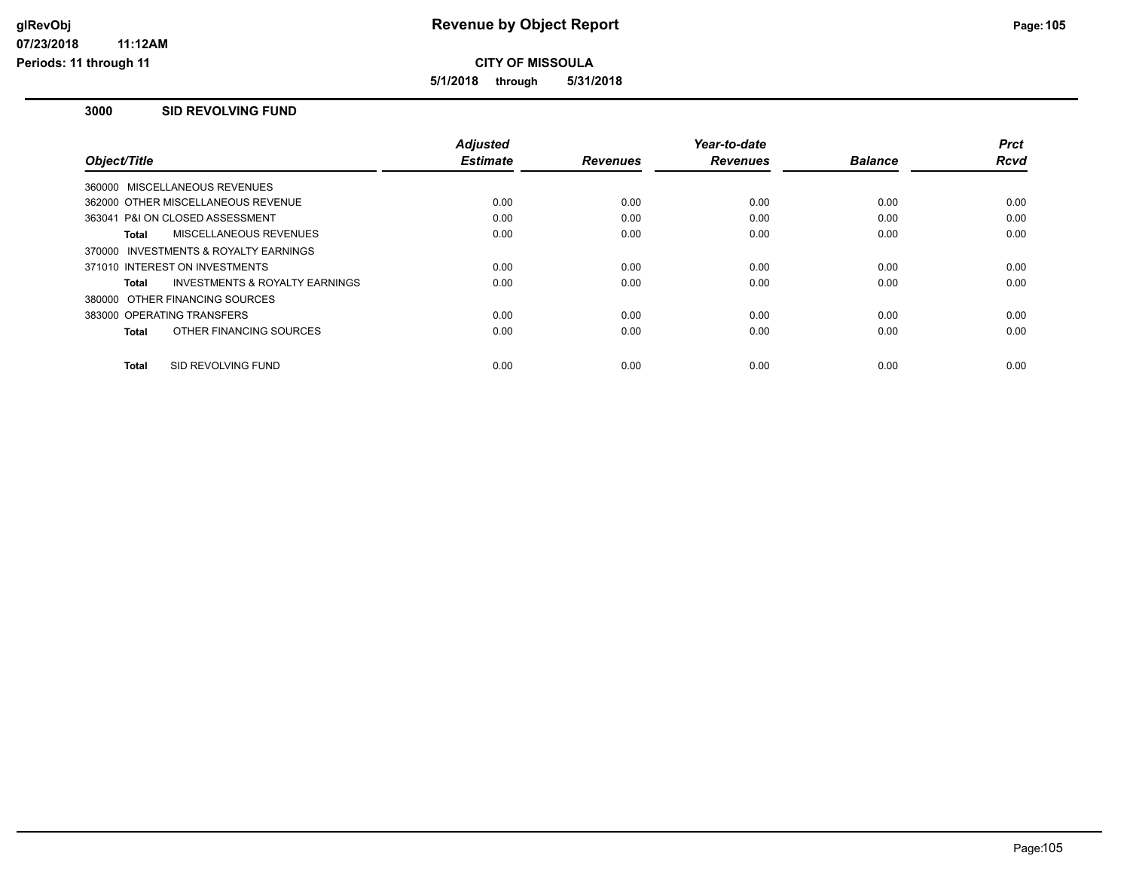**CITY OF MISSOULA**

**5/1/2018 through 5/31/2018**

### **3000 SID REVOLVING FUND**

|                                         | <b>Adjusted</b> |                 | Year-to-date    |                | <b>Prct</b> |
|-----------------------------------------|-----------------|-----------------|-----------------|----------------|-------------|
| Object/Title                            | <b>Estimate</b> | <b>Revenues</b> | <b>Revenues</b> | <b>Balance</b> | Rcvd        |
| 360000 MISCELLANEOUS REVENUES           |                 |                 |                 |                |             |
| 362000 OTHER MISCELLANEOUS REVENUE      | 0.00            | 0.00            | 0.00            | 0.00           | 0.00        |
| 363041 P&I ON CLOSED ASSESSMENT         | 0.00            | 0.00            | 0.00            | 0.00           | 0.00        |
| <b>MISCELLANEOUS REVENUES</b><br>Total  | 0.00            | 0.00            | 0.00            | 0.00           | 0.00        |
| 370000 INVESTMENTS & ROYALTY EARNINGS   |                 |                 |                 |                |             |
| 371010 INTEREST ON INVESTMENTS          | 0.00            | 0.00            | 0.00            | 0.00           | 0.00        |
| INVESTMENTS & ROYALTY EARNINGS<br>Total | 0.00            | 0.00            | 0.00            | 0.00           | 0.00        |
| 380000 OTHER FINANCING SOURCES          |                 |                 |                 |                |             |
| 383000 OPERATING TRANSFERS              | 0.00            | 0.00            | 0.00            | 0.00           | 0.00        |
| OTHER FINANCING SOURCES<br><b>Total</b> | 0.00            | 0.00            | 0.00            | 0.00           | 0.00        |
|                                         |                 |                 |                 |                |             |
| SID REVOLVING FUND<br><b>Total</b>      | 0.00            | 0.00            | 0.00            | 0.00           | 0.00        |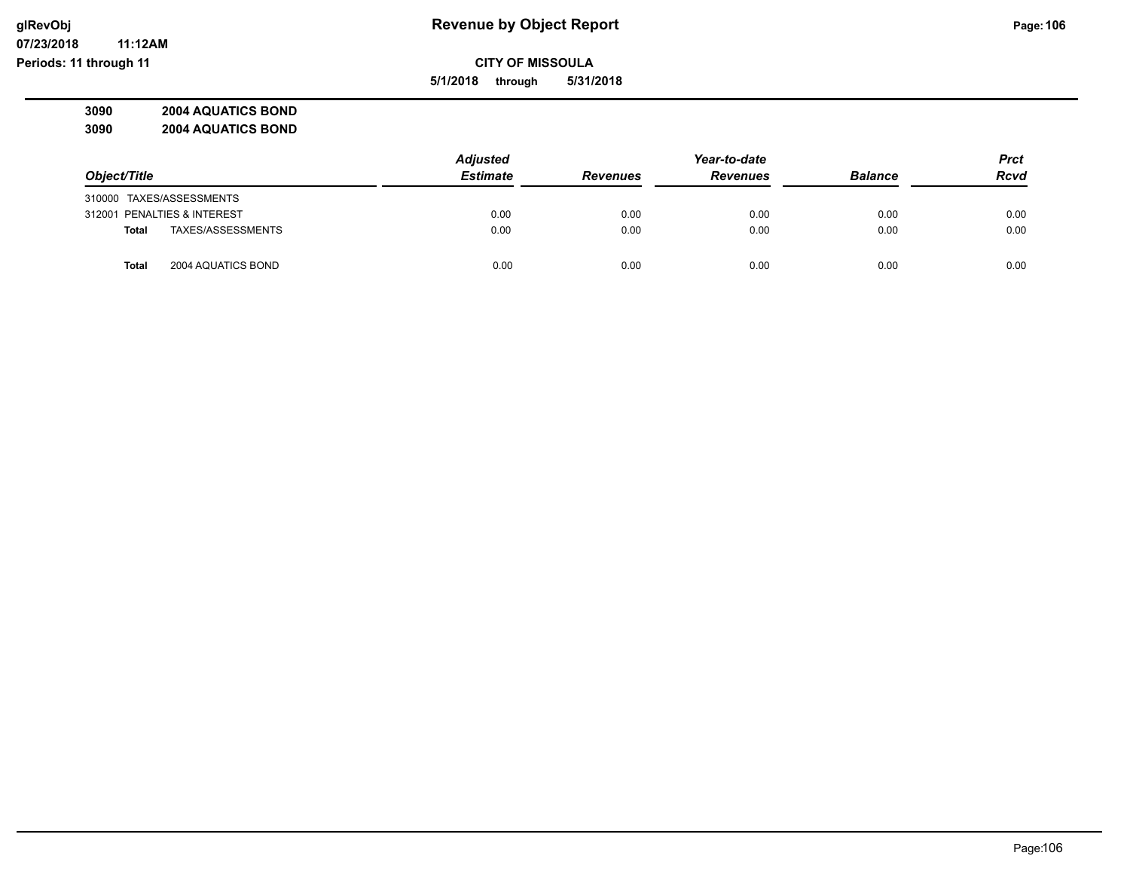**07/23/2018 11:12AM**

**Periods: 11 through 11**

**CITY OF MISSOULA**

**5/1/2018 through 5/31/2018**

**3090 2004 AQUATICS BOND**

| 3090 | <b>2004 AQUATICS BOND</b> |
|------|---------------------------|
|------|---------------------------|

|                             |                    | <b>Adjusted</b> |                 | Year-to-date    |                | <b>Prct</b> |
|-----------------------------|--------------------|-----------------|-----------------|-----------------|----------------|-------------|
| Object/Title                |                    | <b>Estimate</b> | <b>Revenues</b> | <b>Revenues</b> | <b>Balance</b> | <b>Rcvd</b> |
| 310000 TAXES/ASSESSMENTS    |                    |                 |                 |                 |                |             |
| 312001 PENALTIES & INTEREST |                    | 0.00            | 0.00            | 0.00            | 0.00           | 0.00        |
| Total                       | TAXES/ASSESSMENTS  | 0.00            | 0.00            | 0.00            | 0.00           | 0.00        |
| Total                       | 2004 AQUATICS BOND | 0.00            | 0.00            | 0.00            | 0.00           | 0.00        |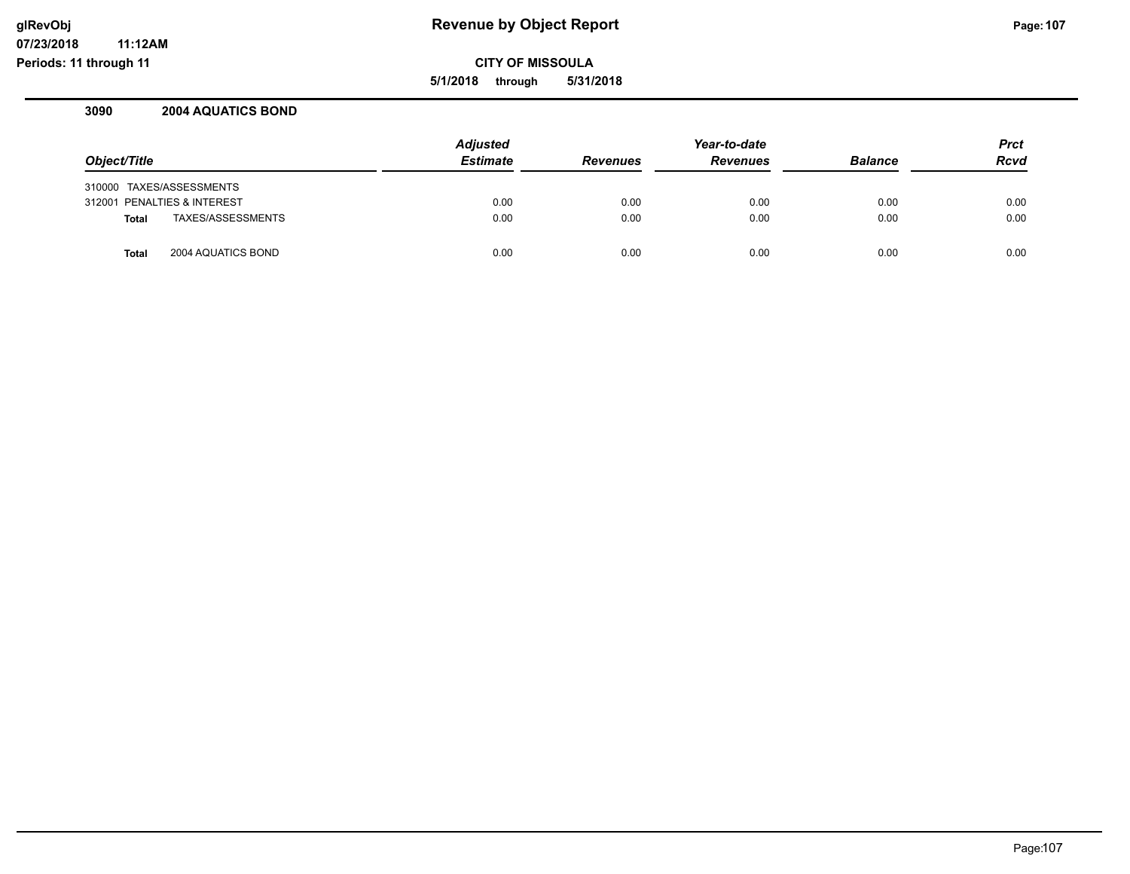**CITY OF MISSOULA**

**5/1/2018 through 5/31/2018**

# **3090 2004 AQUATICS BOND**

**11:12AM**

| Object/Title                       | <b>Adjusted</b><br><b>Estimate</b> | <b>Revenues</b> | Year-to-date<br><b>Revenues</b> | <b>Balance</b> | <b>Prct</b><br><b>Rcvd</b> |
|------------------------------------|------------------------------------|-----------------|---------------------------------|----------------|----------------------------|
| 310000 TAXES/ASSESSMENTS           |                                    |                 |                                 |                |                            |
| 312001 PENALTIES & INTEREST        | 0.00                               | 0.00            | 0.00                            | 0.00           | 0.00                       |
| TAXES/ASSESSMENTS<br><b>Total</b>  | 0.00                               | 0.00            | 0.00                            | 0.00           | 0.00                       |
| 2004 AQUATICS BOND<br><b>Total</b> | 0.00                               | 0.00            | 0.00                            | 0.00           | 0.00                       |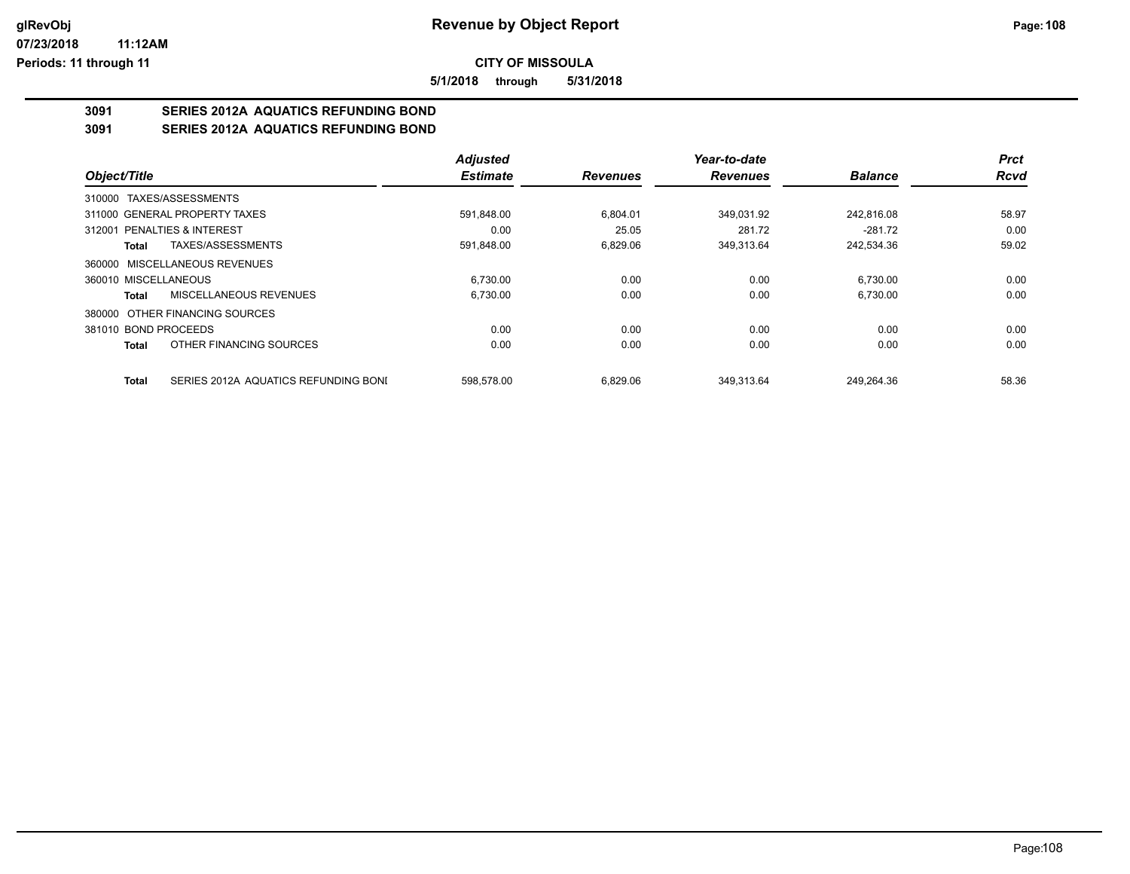**5/1/2018 through 5/31/2018**

### **3091 SERIES 2012A AQUATICS REFUNDING BOND**

### **3091 SERIES 2012A AQUATICS REFUNDING BOND**

|                                |                                      | <b>Adjusted</b> |                 | Year-to-date    |                | <b>Prct</b> |
|--------------------------------|--------------------------------------|-----------------|-----------------|-----------------|----------------|-------------|
| Object/Title                   |                                      | <b>Estimate</b> | <b>Revenues</b> | <b>Revenues</b> | <b>Balance</b> | <b>Rcvd</b> |
| 310000 TAXES/ASSESSMENTS       |                                      |                 |                 |                 |                |             |
| 311000 GENERAL PROPERTY TAXES  |                                      | 591.848.00      | 6.804.01        | 349.031.92      | 242.816.08     | 58.97       |
| 312001 PENALTIES & INTEREST    |                                      | 0.00            | 25.05           | 281.72          | $-281.72$      | 0.00        |
| Total                          | TAXES/ASSESSMENTS                    | 591,848.00      | 6,829.06        | 349,313.64      | 242,534.36     | 59.02       |
| 360000 MISCELLANEOUS REVENUES  |                                      |                 |                 |                 |                |             |
| 360010 MISCELLANEOUS           |                                      | 6.730.00        | 0.00            | 0.00            | 6.730.00       | 0.00        |
| Total                          | MISCELLANEOUS REVENUES               | 6,730.00        | 0.00            | 0.00            | 6,730.00       | 0.00        |
| 380000 OTHER FINANCING SOURCES |                                      |                 |                 |                 |                |             |
| 381010 BOND PROCEEDS           |                                      | 0.00            | 0.00            | 0.00            | 0.00           | 0.00        |
| Total                          | OTHER FINANCING SOURCES              | 0.00            | 0.00            | 0.00            | 0.00           | 0.00        |
| Total                          | SERIES 2012A AQUATICS REFUNDING BONI | 598.578.00      | 6.829.06        | 349.313.64      | 249.264.36     | 58.36       |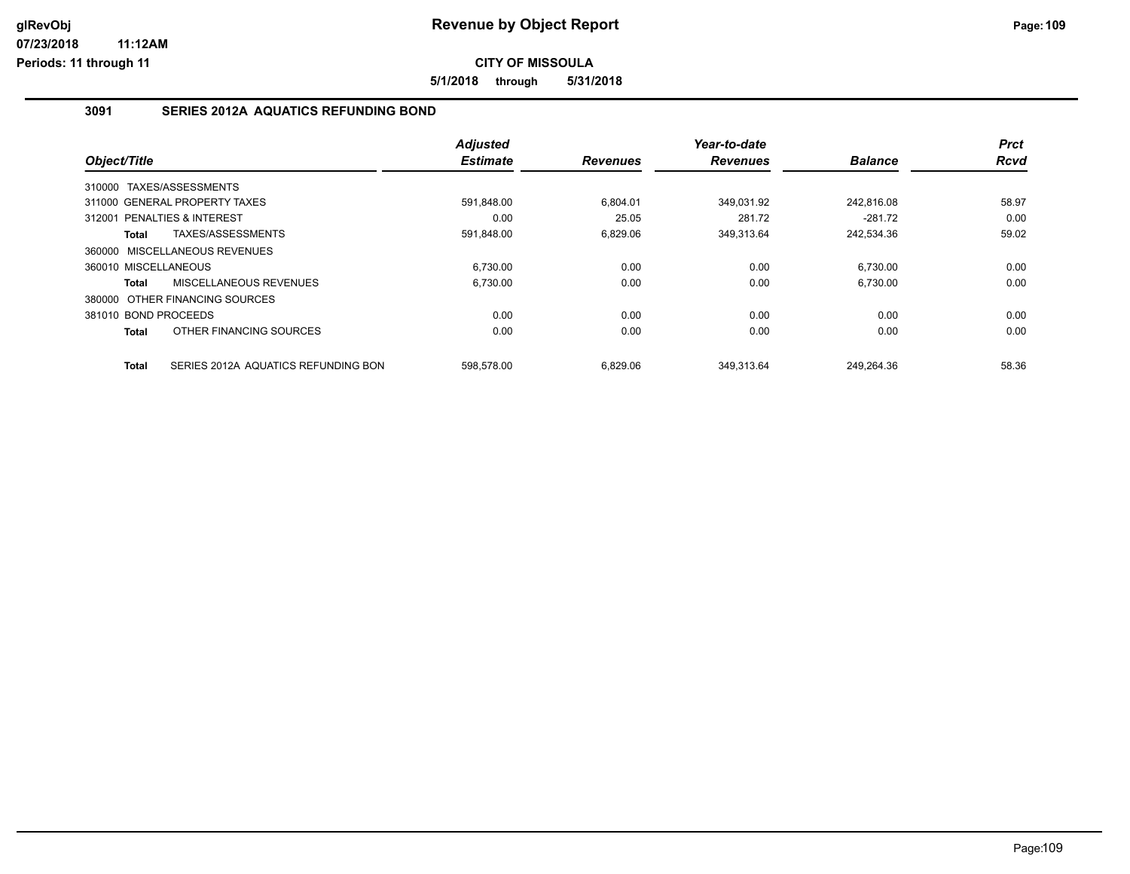**5/1/2018 through 5/31/2018**

### **3091 SERIES 2012A AQUATICS REFUNDING BOND**

|                                                     | <b>Adjusted</b> |                 | Year-to-date    |                | <b>Prct</b> |
|-----------------------------------------------------|-----------------|-----------------|-----------------|----------------|-------------|
| Object/Title                                        | <b>Estimate</b> | <b>Revenues</b> | <b>Revenues</b> | <b>Balance</b> | <b>Rcvd</b> |
| 310000 TAXES/ASSESSMENTS                            |                 |                 |                 |                |             |
| 311000 GENERAL PROPERTY TAXES                       | 591.848.00      | 6.804.01        | 349.031.92      | 242.816.08     | 58.97       |
| PENALTIES & INTEREST<br>312001                      | 0.00            | 25.05           | 281.72          | $-281.72$      | 0.00        |
| TAXES/ASSESSMENTS<br>Total                          | 591,848.00      | 6,829.06        | 349,313.64      | 242.534.36     | 59.02       |
| 360000 MISCELLANEOUS REVENUES                       |                 |                 |                 |                |             |
| 360010 MISCELLANEOUS                                | 6,730.00        | 0.00            | 0.00            | 6,730.00       | 0.00        |
| MISCELLANEOUS REVENUES<br><b>Total</b>              | 6,730.00        | 0.00            | 0.00            | 6.730.00       | 0.00        |
| 380000 OTHER FINANCING SOURCES                      |                 |                 |                 |                |             |
| 381010 BOND PROCEEDS                                | 0.00            | 0.00            | 0.00            | 0.00           | 0.00        |
| OTHER FINANCING SOURCES<br><b>Total</b>             | 0.00            | 0.00            | 0.00            | 0.00           | 0.00        |
| SERIES 2012A AQUATICS REFUNDING BON<br><b>Total</b> | 598.578.00      | 6.829.06        | 349.313.64      | 249.264.36     | 58.36       |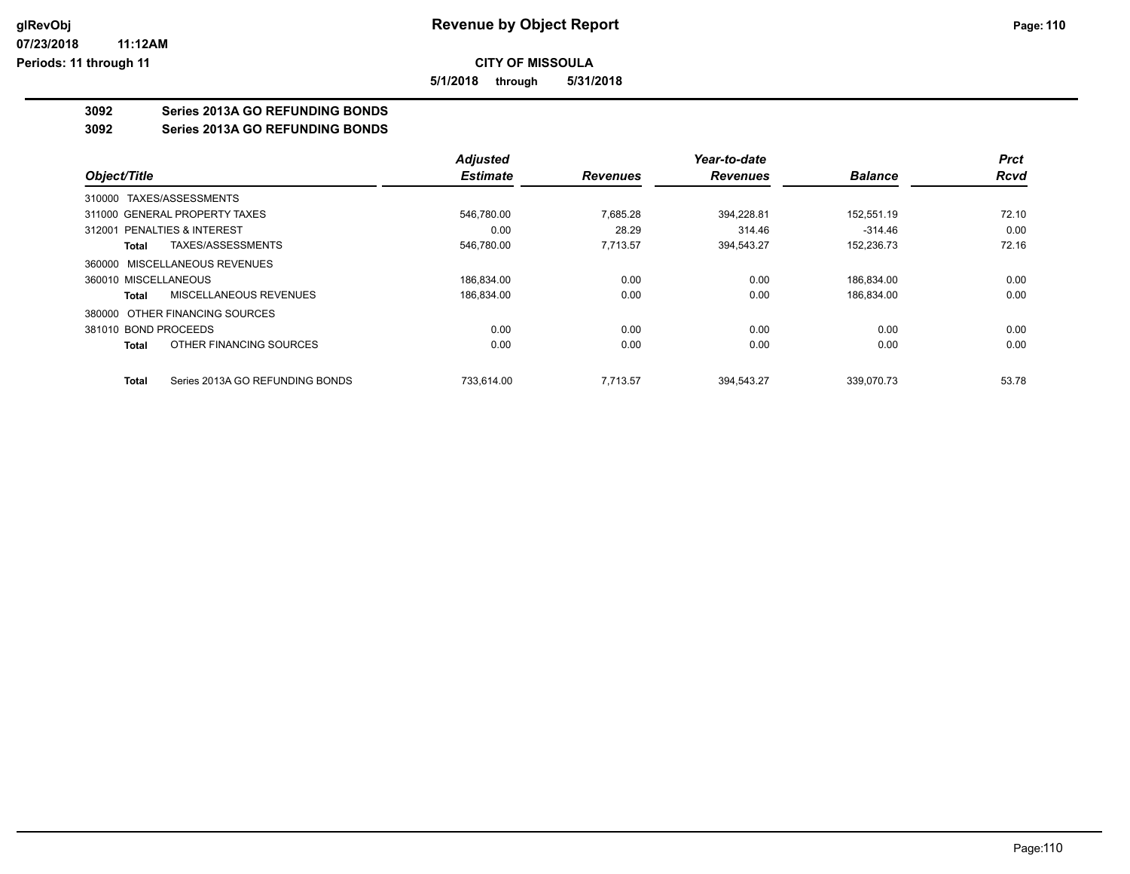**5/1/2018 through 5/31/2018**

# **3092 Series 2013A GO REFUNDING BONDS**

#### **3092 Series 2013A GO REFUNDING BONDS**

|                             |                                 | <b>Adjusted</b> |                 | Year-to-date    |                | <b>Prct</b> |
|-----------------------------|---------------------------------|-----------------|-----------------|-----------------|----------------|-------------|
| Object/Title                |                                 | <b>Estimate</b> | <b>Revenues</b> | <b>Revenues</b> | <b>Balance</b> | <b>Rcvd</b> |
| 310000                      | TAXES/ASSESSMENTS               |                 |                 |                 |                |             |
|                             | 311000 GENERAL PROPERTY TAXES   | 546.780.00      | 7.685.28        | 394.228.81      | 152.551.19     | 72.10       |
| 312001 PENALTIES & INTEREST |                                 | 0.00            | 28.29           | 314.46          | $-314.46$      | 0.00        |
| Total                       | TAXES/ASSESSMENTS               | 546,780.00      | 7.713.57        | 394,543.27      | 152,236.73     | 72.16       |
|                             | 360000 MISCELLANEOUS REVENUES   |                 |                 |                 |                |             |
| 360010 MISCELLANEOUS        |                                 | 186,834.00      | 0.00            | 0.00            | 186,834.00     | 0.00        |
| <b>Total</b>                | MISCELLANEOUS REVENUES          | 186,834.00      | 0.00            | 0.00            | 186,834.00     | 0.00        |
| 380000                      | OTHER FINANCING SOURCES         |                 |                 |                 |                |             |
| 381010 BOND PROCEEDS        |                                 | 0.00            | 0.00            | 0.00            | 0.00           | 0.00        |
| <b>Total</b>                | OTHER FINANCING SOURCES         | 0.00            | 0.00            | 0.00            | 0.00           | 0.00        |
| <b>Total</b>                | Series 2013A GO REFUNDING BONDS | 733.614.00      | 7.713.57        | 394.543.27      | 339.070.73     | 53.78       |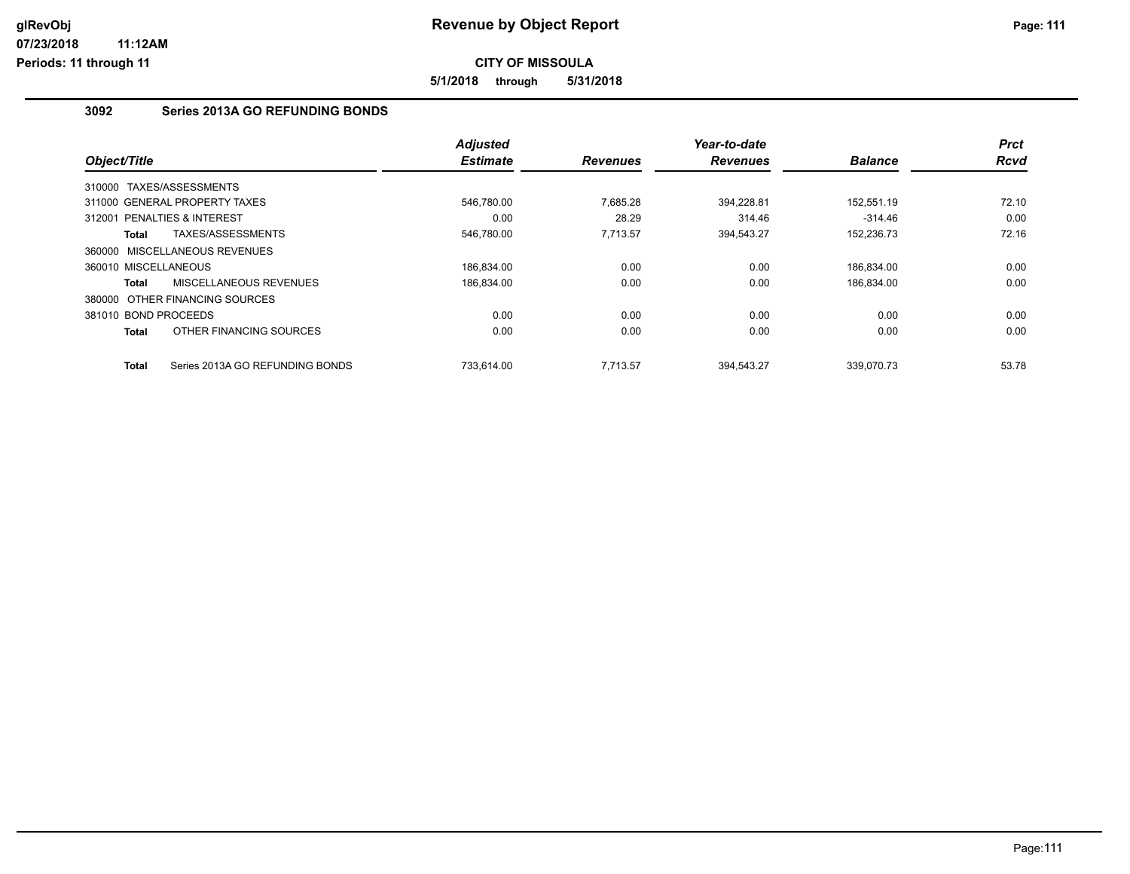**5/1/2018 through 5/31/2018**

### **3092 Series 2013A GO REFUNDING BONDS**

|                             |                                 | <b>Adjusted</b> |                 | Year-to-date    |                | <b>Prct</b> |
|-----------------------------|---------------------------------|-----------------|-----------------|-----------------|----------------|-------------|
| Object/Title                |                                 | <b>Estimate</b> | <b>Revenues</b> | <b>Revenues</b> | <b>Balance</b> | <b>Rcvd</b> |
| 310000 TAXES/ASSESSMENTS    |                                 |                 |                 |                 |                |             |
|                             | 311000 GENERAL PROPERTY TAXES   | 546,780.00      | 7,685.28        | 394,228.81      | 152,551.19     | 72.10       |
| 312001 PENALTIES & INTEREST |                                 | 0.00            | 28.29           | 314.46          | $-314.46$      | 0.00        |
| Total                       | TAXES/ASSESSMENTS               | 546,780.00      | 7.713.57        | 394,543.27      | 152,236.73     | 72.16       |
|                             | 360000 MISCELLANEOUS REVENUES   |                 |                 |                 |                |             |
| 360010 MISCELLANEOUS        |                                 | 186.834.00      | 0.00            | 0.00            | 186.834.00     | 0.00        |
| Total                       | MISCELLANEOUS REVENUES          | 186.834.00      | 0.00            | 0.00            | 186.834.00     | 0.00        |
|                             | 380000 OTHER FINANCING SOURCES  |                 |                 |                 |                |             |
| 381010 BOND PROCEEDS        |                                 | 0.00            | 0.00            | 0.00            | 0.00           | 0.00        |
| Total                       | OTHER FINANCING SOURCES         | 0.00            | 0.00            | 0.00            | 0.00           | 0.00        |
| Total                       | Series 2013A GO REFUNDING BONDS | 733.614.00      | 7.713.57        | 394.543.27      | 339.070.73     | 53.78       |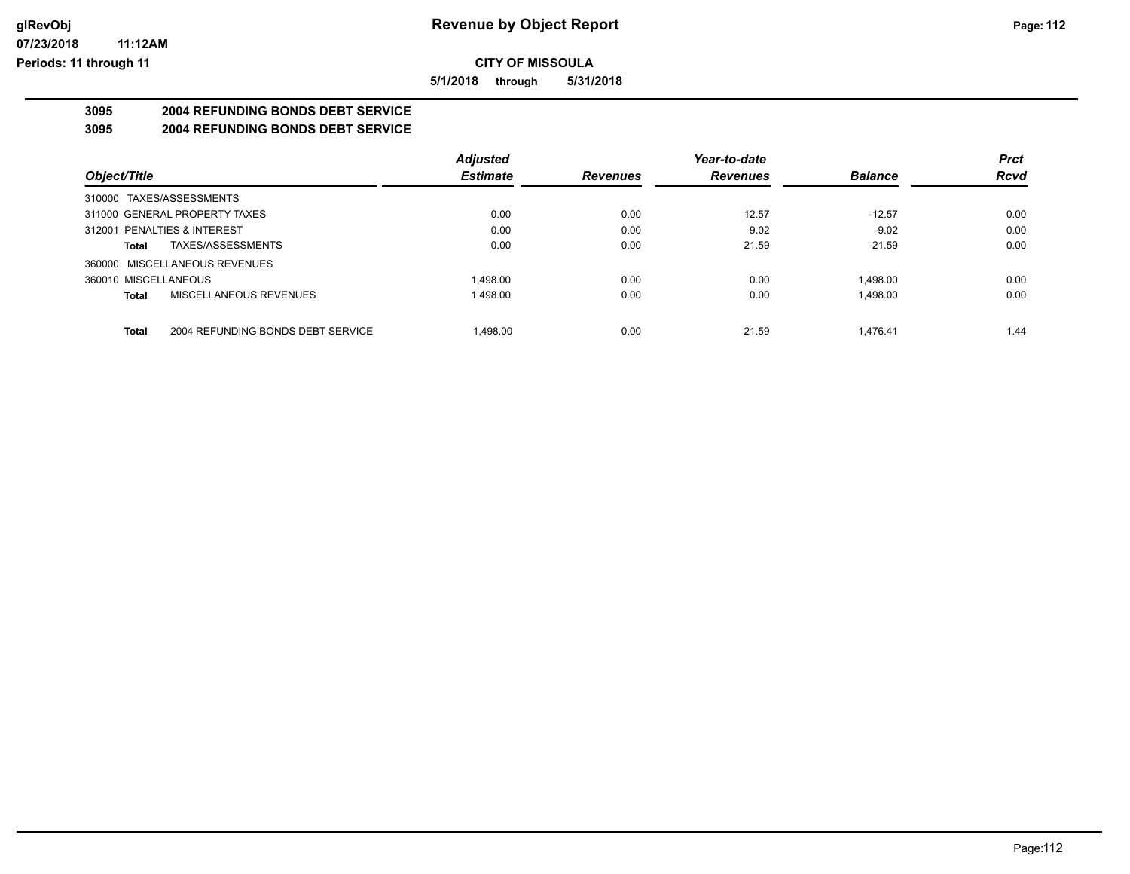#### **07/23/2018 11:12AM Periods: 11 through 11**

**CITY OF MISSOULA**

**5/1/2018 through 5/31/2018**

# **3095 2004 REFUNDING BONDS DEBT SERVICE**

# **3095 2004 REFUNDING BONDS DEBT SERVICE**

|                                                   | <b>Adjusted</b> |                 | Year-to-date    |                | <b>Prct</b> |
|---------------------------------------------------|-----------------|-----------------|-----------------|----------------|-------------|
| Object/Title                                      | <b>Estimate</b> | <b>Revenues</b> | <b>Revenues</b> | <b>Balance</b> | <b>Rcvd</b> |
| 310000 TAXES/ASSESSMENTS                          |                 |                 |                 |                |             |
| 311000 GENERAL PROPERTY TAXES                     | 0.00            | 0.00            | 12.57           | $-12.57$       | 0.00        |
| 312001 PENALTIES & INTEREST                       | 0.00            | 0.00            | 9.02            | $-9.02$        | 0.00        |
| TAXES/ASSESSMENTS<br>Total                        | 0.00            | 0.00            | 21.59           | $-21.59$       | 0.00        |
| 360000 MISCELLANEOUS REVENUES                     |                 |                 |                 |                |             |
| 360010 MISCELLANEOUS                              | 1.498.00        | 0.00            | 0.00            | 1.498.00       | 0.00        |
| MISCELLANEOUS REVENUES<br>Total                   | 1.498.00        | 0.00            | 0.00            | 1,498.00       | 0.00        |
|                                                   |                 |                 |                 |                |             |
| 2004 REFUNDING BONDS DEBT SERVICE<br><b>Total</b> | 1.498.00        | 0.00            | 21.59           | 1.476.41       | 1.44        |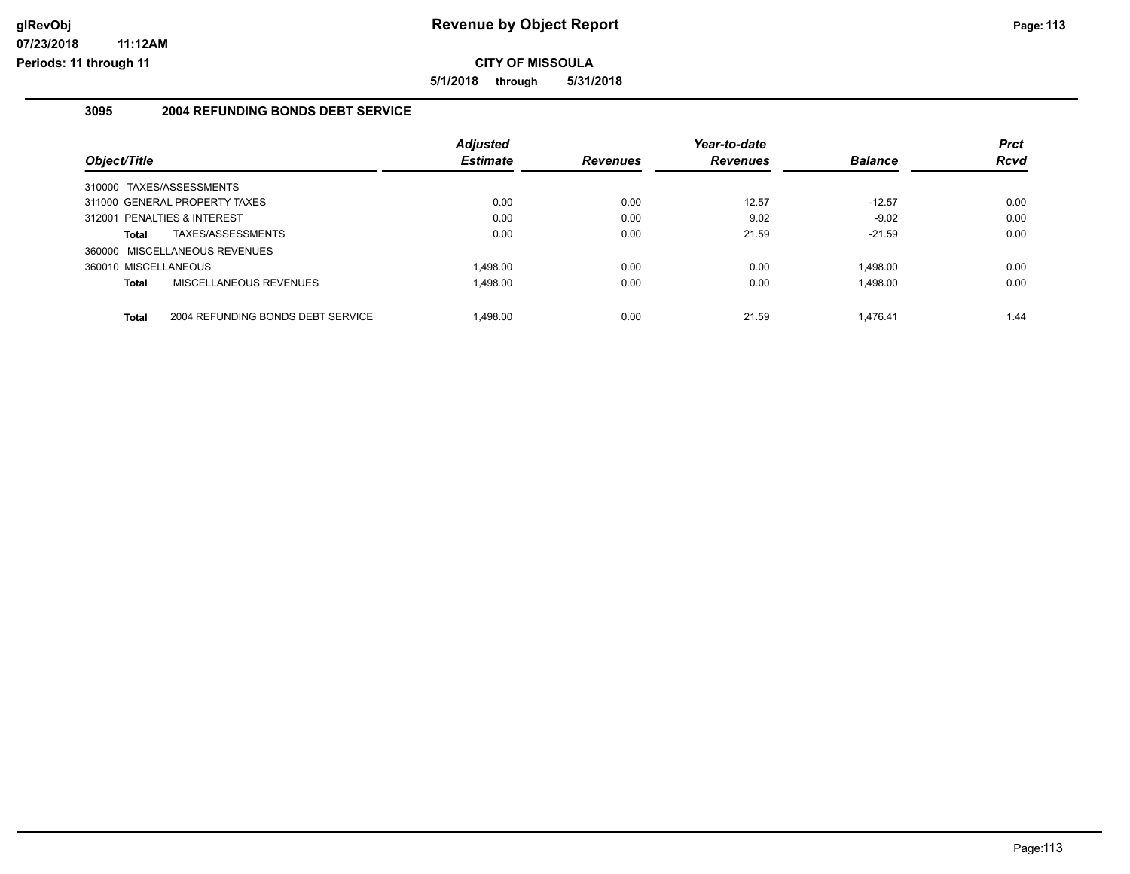**5/1/2018 through 5/31/2018**

#### **3095 2004 REFUNDING BONDS DEBT SERVICE**

|                                            | <b>Adjusted</b> |                 | Year-to-date    |                | <b>Prct</b> |
|--------------------------------------------|-----------------|-----------------|-----------------|----------------|-------------|
| Object/Title                               | <b>Estimate</b> | <b>Revenues</b> | <b>Revenues</b> | <b>Balance</b> | <b>Rcvd</b> |
| 310000 TAXES/ASSESSMENTS                   |                 |                 |                 |                |             |
| 311000 GENERAL PROPERTY TAXES              | 0.00            | 0.00            | 12.57           | $-12.57$       | 0.00        |
| 312001 PENALTIES & INTEREST                | 0.00            | 0.00            | 9.02            | $-9.02$        | 0.00        |
| TAXES/ASSESSMENTS<br>Total                 | 0.00            | 0.00            | 21.59           | $-21.59$       | 0.00        |
| 360000 MISCELLANEOUS REVENUES              |                 |                 |                 |                |             |
| 360010 MISCELLANEOUS                       | 1.498.00        | 0.00            | 0.00            | 1.498.00       | 0.00        |
| <b>MISCELLANEOUS REVENUES</b><br>Total     | 1.498.00        | 0.00            | 0.00            | 1.498.00       | 0.00        |
|                                            |                 |                 |                 |                |             |
| 2004 REFUNDING BONDS DEBT SERVICE<br>Total | 1.498.00        | 0.00            | 21.59           | 1.476.41       | 1.44        |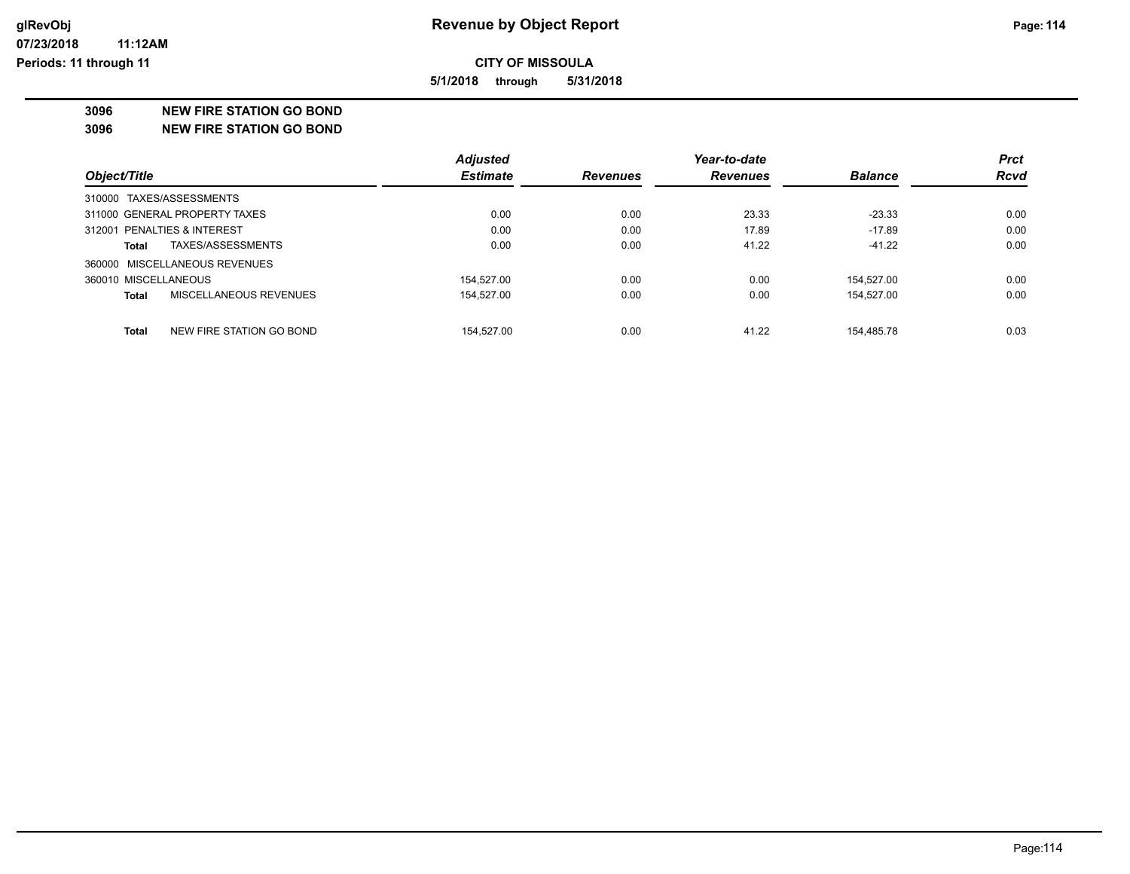**5/1/2018 through 5/31/2018**

**3096 NEW FIRE STATION GO BOND**

**3096 NEW FIRE STATION GO BOND**

|                                   | <b>Adjusted</b> |                 | Year-to-date    |                | <b>Prct</b> |
|-----------------------------------|-----------------|-----------------|-----------------|----------------|-------------|
| Object/Title                      | <b>Estimate</b> | <b>Revenues</b> | <b>Revenues</b> | <b>Balance</b> | <b>Rcvd</b> |
| 310000 TAXES/ASSESSMENTS          |                 |                 |                 |                |             |
| 311000 GENERAL PROPERTY TAXES     | 0.00            | 0.00            | 23.33           | $-23.33$       | 0.00        |
| 312001 PENALTIES & INTEREST       | 0.00            | 0.00            | 17.89           | $-17.89$       | 0.00        |
| TAXES/ASSESSMENTS<br>Total        | 0.00            | 0.00            | 41.22           | $-41.22$       | 0.00        |
| 360000 MISCELLANEOUS REVENUES     |                 |                 |                 |                |             |
| 360010 MISCELLANEOUS              | 154.527.00      | 0.00            | 0.00            | 154.527.00     | 0.00        |
| MISCELLANEOUS REVENUES<br>Total   | 154.527.00      | 0.00            | 0.00            | 154.527.00     | 0.00        |
|                                   |                 |                 |                 |                |             |
| NEW FIRE STATION GO BOND<br>Total | 154.527.00      | 0.00            | 41.22           | 154.485.78     | 0.03        |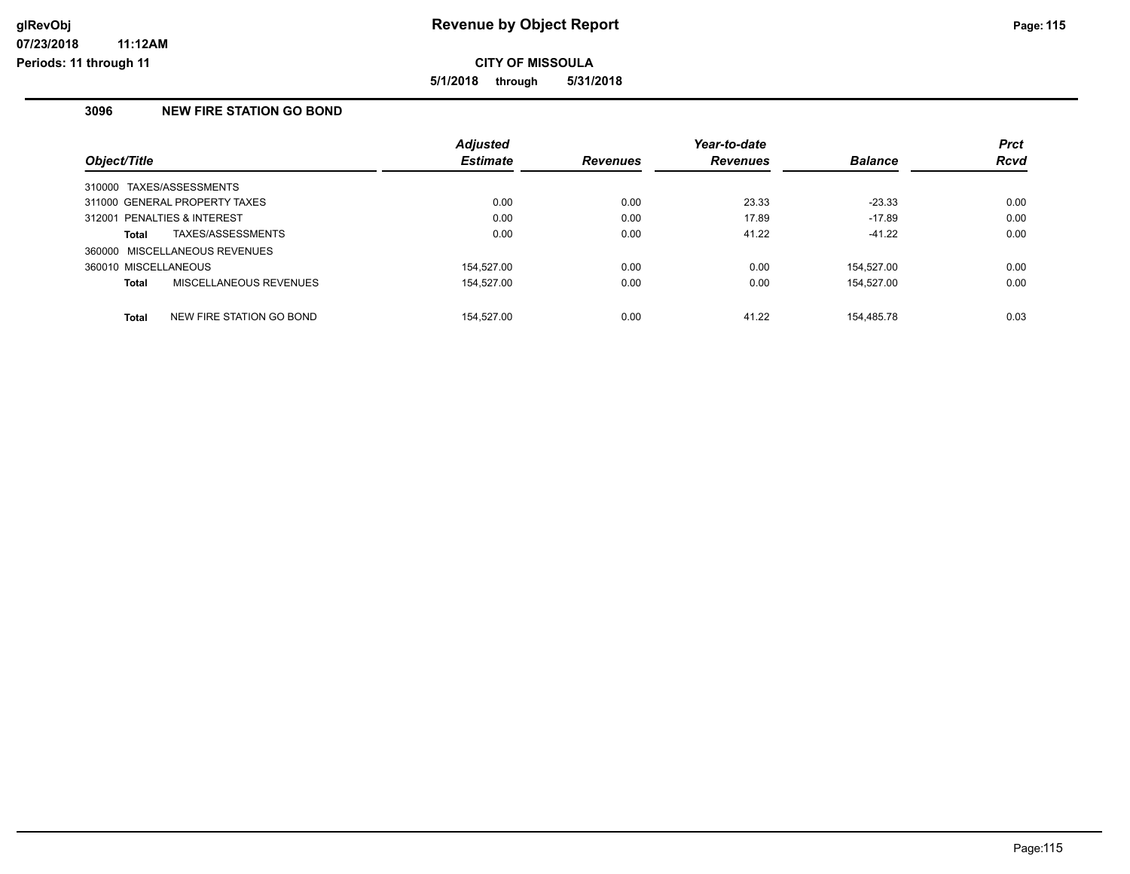**5/1/2018 through 5/31/2018**

### **3096 NEW FIRE STATION GO BOND**

|                      |                               | <b>Adjusted</b> |                 | Year-to-date    |                | <b>Prct</b> |
|----------------------|-------------------------------|-----------------|-----------------|-----------------|----------------|-------------|
| Object/Title         |                               | <b>Estimate</b> | <b>Revenues</b> | <b>Revenues</b> | <b>Balance</b> | <b>Rcvd</b> |
|                      | 310000 TAXES/ASSESSMENTS      |                 |                 |                 |                |             |
|                      | 311000 GENERAL PROPERTY TAXES | 0.00            | 0.00            | 23.33           | $-23.33$       | 0.00        |
|                      | 312001 PENALTIES & INTEREST   | 0.00            | 0.00            | 17.89           | $-17.89$       | 0.00        |
| Total                | TAXES/ASSESSMENTS             | 0.00            | 0.00            | 41.22           | $-41.22$       | 0.00        |
|                      | 360000 MISCELLANEOUS REVENUES |                 |                 |                 |                |             |
| 360010 MISCELLANEOUS |                               | 154.527.00      | 0.00            | 0.00            | 154.527.00     | 0.00        |
| <b>Total</b>         | MISCELLANEOUS REVENUES        | 154.527.00      | 0.00            | 0.00            | 154.527.00     | 0.00        |
| <b>Total</b>         | NEW FIRE STATION GO BOND      | 154.527.00      | 0.00            | 41.22           | 154.485.78     | 0.03        |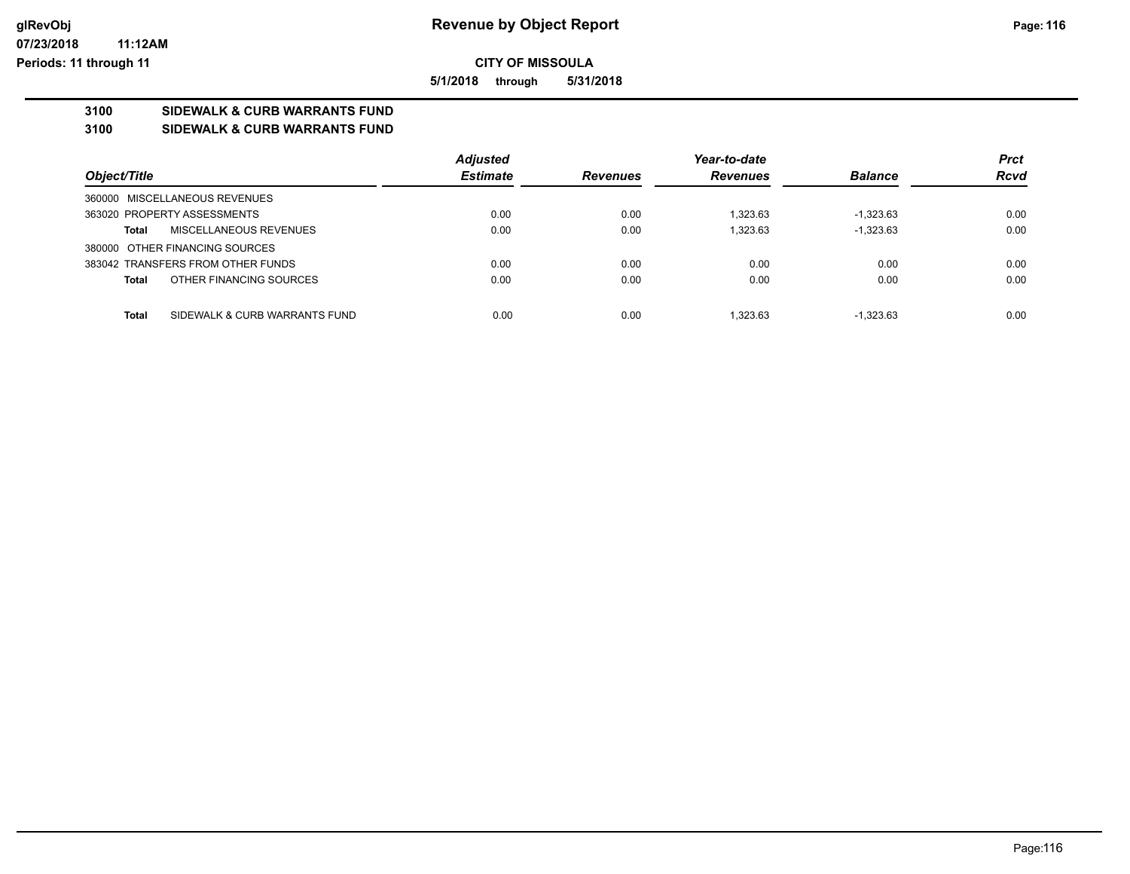**5/1/2018 through 5/31/2018**

# **3100 SIDEWALK & CURB WARRANTS FUND**

# **3100 SIDEWALK & CURB WARRANTS FUND**

|                                        | <b>Adiusted</b> |                 | Year-to-date    |                | <b>Prct</b> |
|----------------------------------------|-----------------|-----------------|-----------------|----------------|-------------|
| Object/Title                           | <b>Estimate</b> | <b>Revenues</b> | <b>Revenues</b> | <b>Balance</b> | <b>Rcvd</b> |
| 360000 MISCELLANEOUS REVENUES          |                 |                 |                 |                |             |
| 363020 PROPERTY ASSESSMENTS            | 0.00            | 0.00            | 1.323.63        | $-1.323.63$    | 0.00        |
| MISCELLANEOUS REVENUES<br>Total        | 0.00            | 0.00            | 1.323.63        | $-1.323.63$    | 0.00        |
| 380000 OTHER FINANCING SOURCES         |                 |                 |                 |                |             |
| 383042 TRANSFERS FROM OTHER FUNDS      | 0.00            | 0.00            | 0.00            | 0.00           | 0.00        |
| OTHER FINANCING SOURCES<br>Total       | 0.00            | 0.00            | 0.00            | 0.00           | 0.00        |
|                                        |                 |                 |                 |                |             |
| SIDEWALK & CURB WARRANTS FUND<br>Total | 0.00            | 0.00            | 1.323.63        | $-1.323.63$    | 0.00        |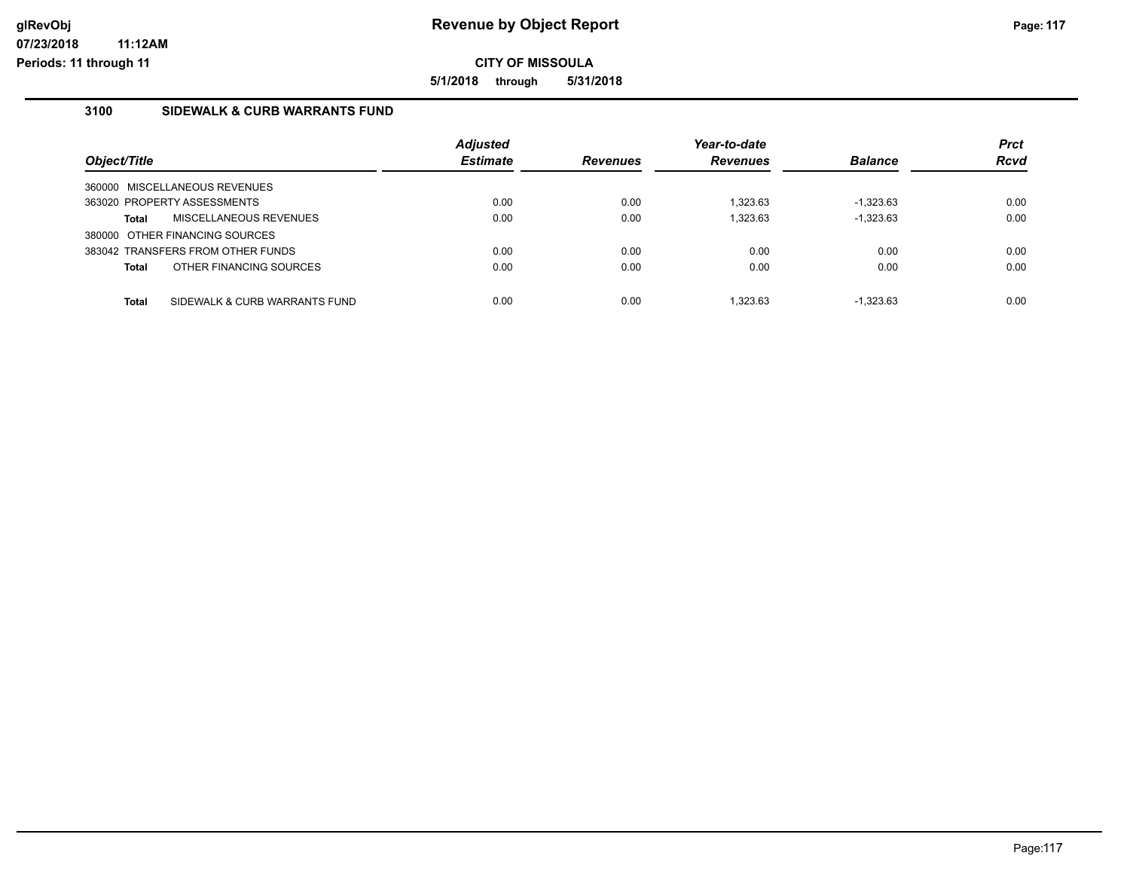**5/1/2018 through 5/31/2018**

### **3100 SIDEWALK & CURB WARRANTS FUND**

|                                               | <b>Adjusted</b> |                 | Year-to-date    |                | <b>Prct</b> |
|-----------------------------------------------|-----------------|-----------------|-----------------|----------------|-------------|
| Object/Title                                  | <b>Estimate</b> | <b>Revenues</b> | <b>Revenues</b> | <b>Balance</b> | <b>Rcvd</b> |
| 360000 MISCELLANEOUS REVENUES                 |                 |                 |                 |                |             |
| 363020 PROPERTY ASSESSMENTS                   | 0.00            | 0.00            | 1.323.63        | $-1.323.63$    | 0.00        |
| MISCELLANEOUS REVENUES<br>Total               | 0.00            | 0.00            | 1.323.63        | $-1.323.63$    | 0.00        |
| 380000 OTHER FINANCING SOURCES                |                 |                 |                 |                |             |
| 383042 TRANSFERS FROM OTHER FUNDS             | 0.00            | 0.00            | 0.00            | 0.00           | 0.00        |
| OTHER FINANCING SOURCES<br><b>Total</b>       | 0.00            | 0.00            | 0.00            | 0.00           | 0.00        |
| SIDEWALK & CURB WARRANTS FUND<br><b>Total</b> | 0.00            | 0.00            | 1.323.63        | $-1.323.63$    | 0.00        |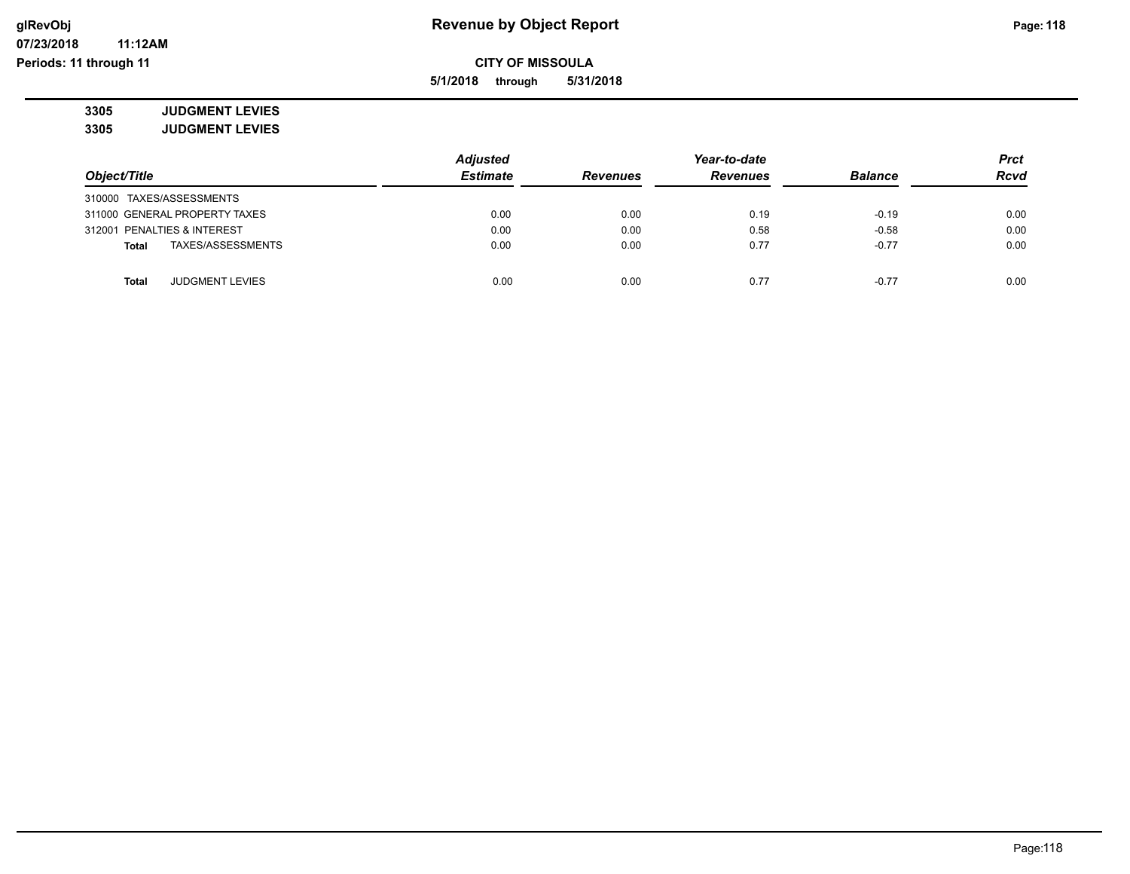**5/1/2018 through 5/31/2018**

**3305 JUDGMENT LEVIES**

**3305 JUDGMENT LEVIES**

|                                 | <b>Adjusted</b> |                 | Year-to-date    |                | <b>Prct</b> |
|---------------------------------|-----------------|-----------------|-----------------|----------------|-------------|
| Object/Title                    | <b>Estimate</b> | <b>Revenues</b> | <b>Revenues</b> | <b>Balance</b> | <b>Rcvd</b> |
| 310000 TAXES/ASSESSMENTS        |                 |                 |                 |                |             |
| 311000 GENERAL PROPERTY TAXES   | 0.00            | 0.00            | 0.19            | $-0.19$        | 0.00        |
| 312001 PENALTIES & INTEREST     | 0.00            | 0.00            | 0.58            | $-0.58$        | 0.00        |
| TAXES/ASSESSMENTS<br>Total      | 0.00            | 0.00            | 0.77            | $-0.77$        | 0.00        |
| Total<br><b>JUDGMENT LEVIES</b> | 0.00            | 0.00            | 0.77            | $-0.77$        | 0.00        |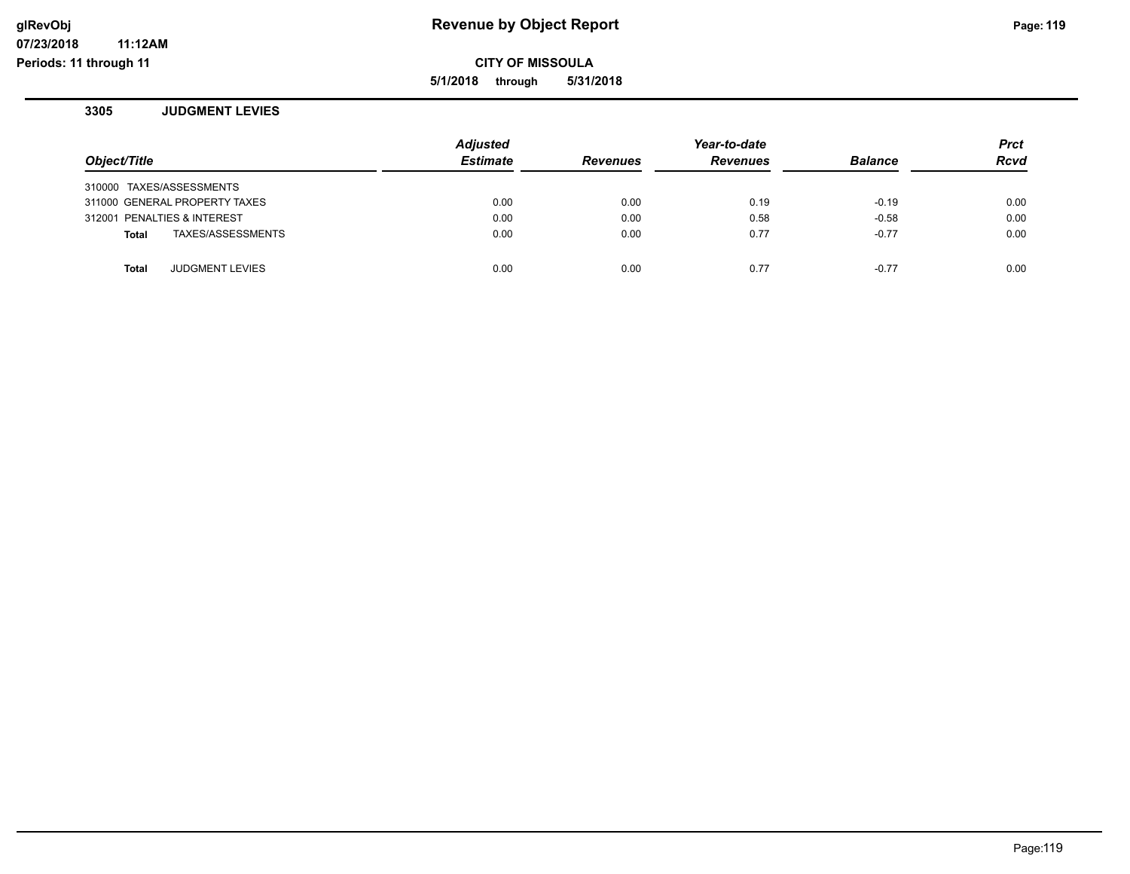**Periods: 11 through 11**

**CITY OF MISSOULA**

**5/1/2018 through 5/31/2018**

# **3305 JUDGMENT LEVIES**

**11:12AM**

|                                 | <b>Adjusted</b> |                 | Year-to-date    |                | <b>Prct</b> |
|---------------------------------|-----------------|-----------------|-----------------|----------------|-------------|
| Object/Title                    | <b>Estimate</b> | <b>Revenues</b> | <b>Revenues</b> | <b>Balance</b> | <b>Rcvd</b> |
| 310000 TAXES/ASSESSMENTS        |                 |                 |                 |                |             |
| 311000 GENERAL PROPERTY TAXES   | 0.00            | 0.00            | 0.19            | $-0.19$        | 0.00        |
| 312001 PENALTIES & INTEREST     | 0.00            | 0.00            | 0.58            | $-0.58$        | 0.00        |
| TAXES/ASSESSMENTS<br>Total      | 0.00            | 0.00            | 0.77            | $-0.77$        | 0.00        |
| <b>JUDGMENT LEVIES</b><br>Total | 0.00            | 0.00            | 0.77            | $-0.77$        | 0.00        |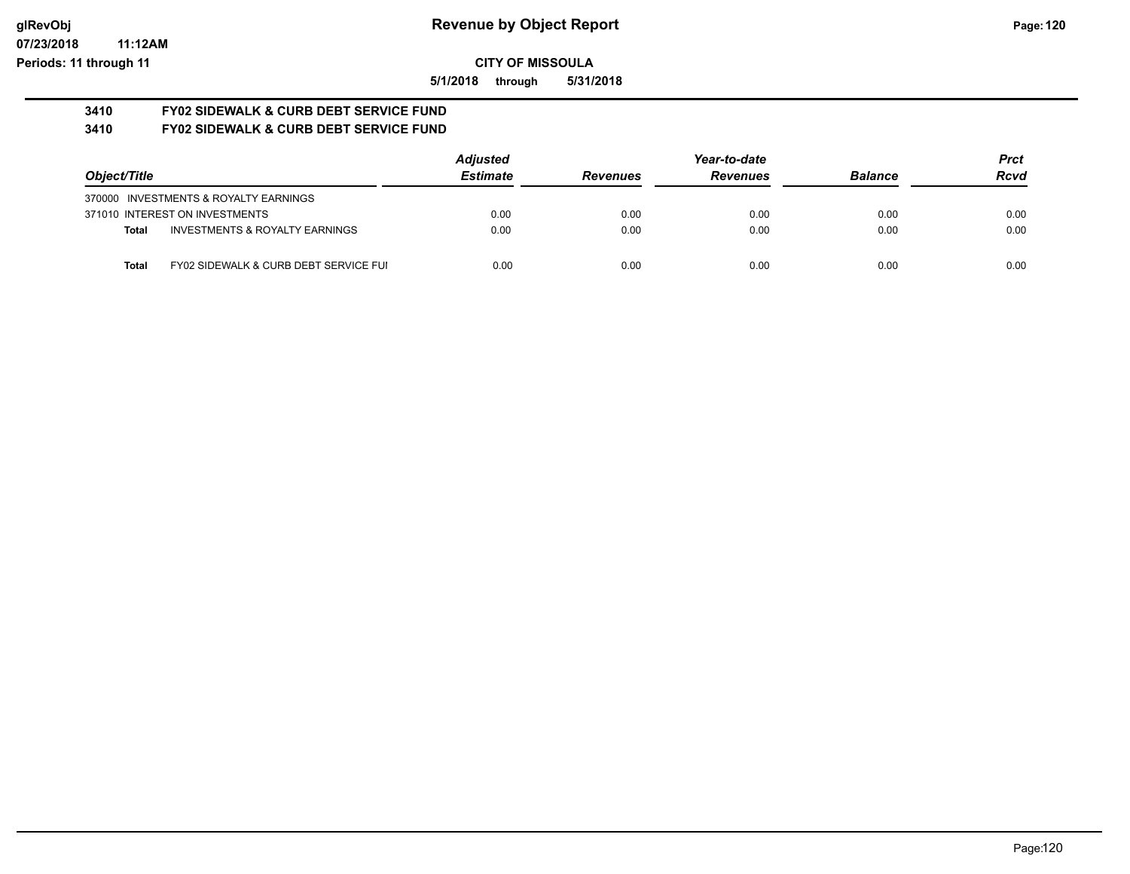**07/23/2018 11:12AM Periods: 11 through 11**

**CITY OF MISSOULA**

**5/1/2018 through 5/31/2018**

#### **3410 FY02 SIDEWALK & CURB DEBT SERVICE FUND 3410 FY02 SIDEWALK & CURB DEBT SERVICE FUND**

|              |                                       | <b>Adjusted</b> |                 | Year-to-date    |                | Prct |
|--------------|---------------------------------------|-----------------|-----------------|-----------------|----------------|------|
| Object/Title |                                       | <b>Estimate</b> | <b>Revenues</b> | <b>Revenues</b> | <b>Balance</b> | Rcvd |
|              | 370000 INVESTMENTS & ROYALTY EARNINGS |                 |                 |                 |                |      |
|              | 371010 INTEREST ON INVESTMENTS        | 0.00            | 0.00            | 0.00            | 0.00           | 0.00 |
| Total        | INVESTMENTS & ROYALTY EARNINGS        | 0.00            | 0.00            | 0.00            | 0.00           | 0.00 |
| Total        | FY02 SIDEWALK & CURB DEBT SERVICE FUI | 0.00            | 0.00            | 0.00            | 0.00           | 0.00 |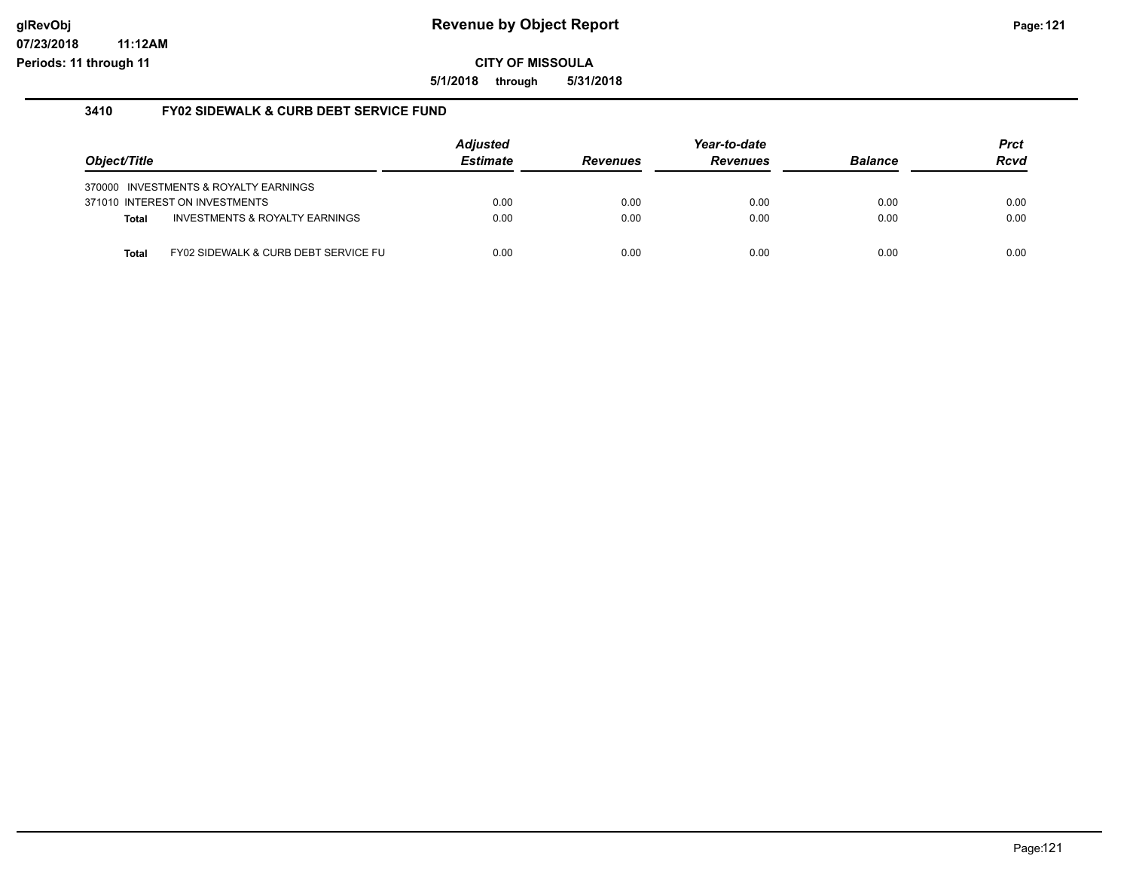**5/1/2018 through 5/31/2018**

#### **3410 FY02 SIDEWALK & CURB DEBT SERVICE FUND**

| Object/Title |                                       | <b>Adjusted</b><br><b>Estimate</b> | <b>Revenues</b> | Year-to-date<br><b>Revenues</b> | <b>Balance</b> | <b>Prct</b><br><b>Rcvd</b> |
|--------------|---------------------------------------|------------------------------------|-----------------|---------------------------------|----------------|----------------------------|
|              | 370000 INVESTMENTS & ROYALTY EARNINGS |                                    |                 |                                 |                |                            |
|              | 371010 INTEREST ON INVESTMENTS        | 0.00                               | 0.00            | 0.00                            | 0.00           | 0.00                       |
| Total        | INVESTMENTS & ROYALTY EARNINGS        | 0.00                               | 0.00            | 0.00                            | 0.00           | 0.00                       |
| <b>Total</b> | FY02 SIDEWALK & CURB DEBT SERVICE FU  | 0.00                               | 0.00            | 0.00                            | 0.00           | 0.00                       |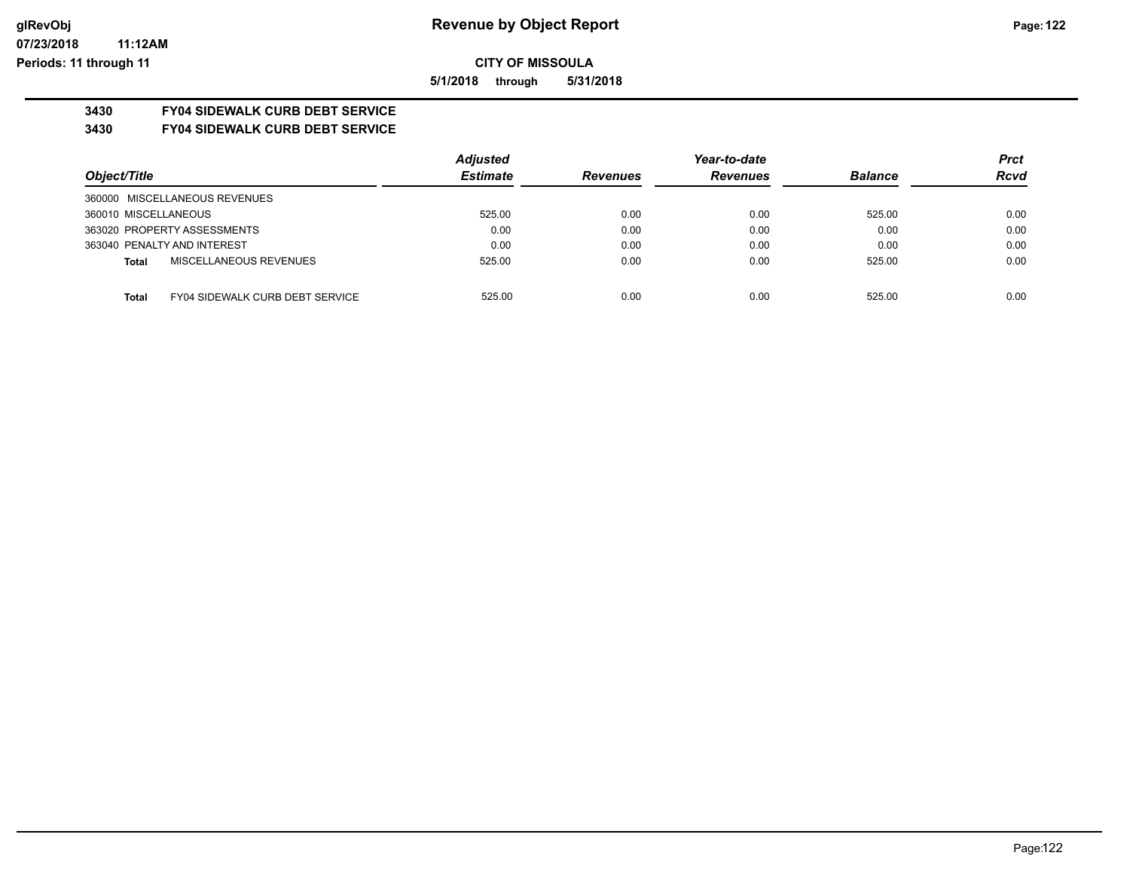**5/1/2018 through 5/31/2018**

# **3430 FY04 SIDEWALK CURB DEBT SERVICE**

# **3430 FY04 SIDEWALK CURB DEBT SERVICE**

|                                                 | <b>Adjusted</b> |                 | Year-to-date    |                | Prct        |
|-------------------------------------------------|-----------------|-----------------|-----------------|----------------|-------------|
| Object/Title                                    | <b>Estimate</b> | <b>Revenues</b> | <b>Revenues</b> | <b>Balance</b> | <b>Rcvd</b> |
| 360000 MISCELLANEOUS REVENUES                   |                 |                 |                 |                |             |
| 360010 MISCELLANEOUS                            | 525.00          | 0.00            | 0.00            | 525.00         | 0.00        |
| 363020 PROPERTY ASSESSMENTS                     | 0.00            | 0.00            | 0.00            | 0.00           | 0.00        |
| 363040 PENALTY AND INTEREST                     | 0.00            | 0.00            | 0.00            | 0.00           | 0.00        |
| MISCELLANEOUS REVENUES<br>Total                 | 525.00          | 0.00            | 0.00            | 525.00         | 0.00        |
|                                                 |                 |                 |                 |                |             |
| FY04 SIDEWALK CURB DEBT SERVICE<br><b>Total</b> | 525.00          | 0.00            | 0.00            | 525.00         | 0.00        |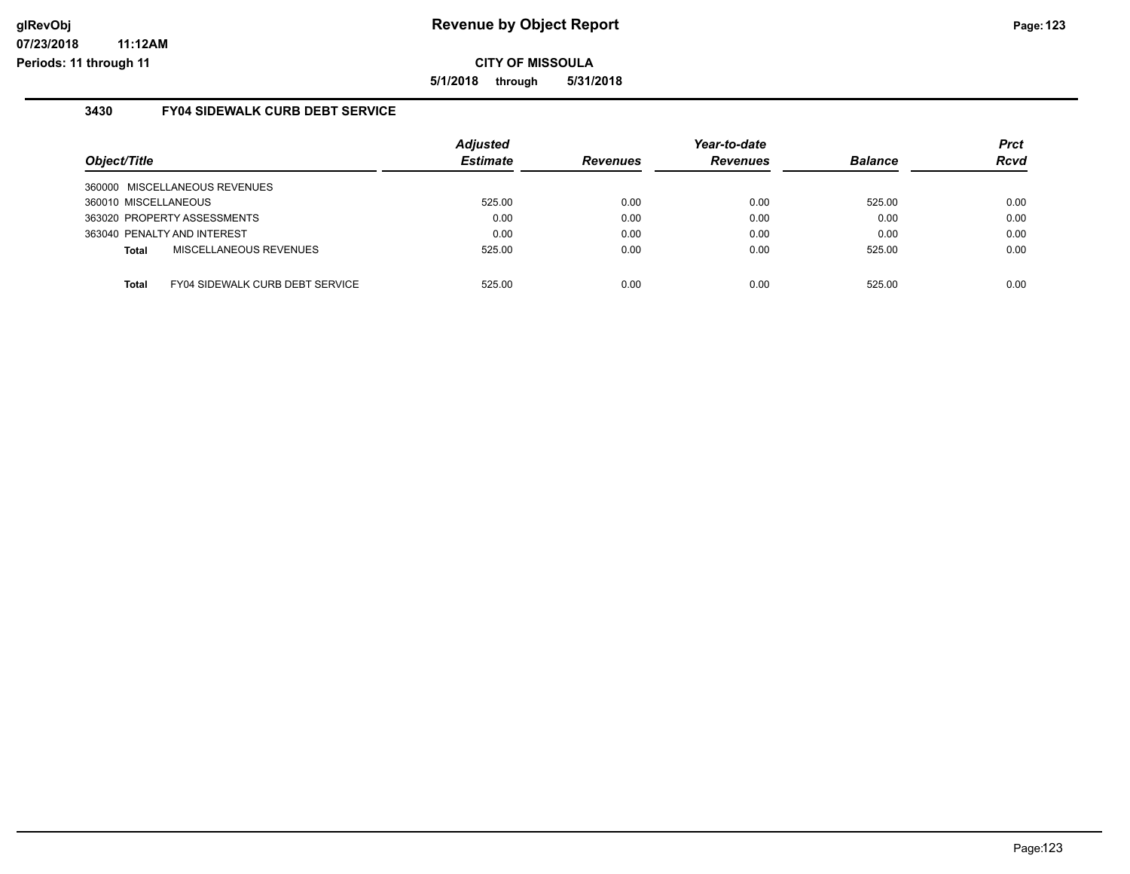**5/1/2018 through 5/31/2018**

### **3430 FY04 SIDEWALK CURB DEBT SERVICE**

| Object/Title                                           | <b>Adjusted</b><br><b>Estimate</b> | <b>Revenues</b> | Year-to-date<br><b>Revenues</b> | <b>Balance</b> | <b>Prct</b><br><b>Rcvd</b> |
|--------------------------------------------------------|------------------------------------|-----------------|---------------------------------|----------------|----------------------------|
| 360000 MISCELLANEOUS REVENUES                          |                                    |                 |                                 |                |                            |
| 360010 MISCELLANEOUS                                   | 525.00                             | 0.00            | 0.00                            | 525.00         | 0.00                       |
| 363020 PROPERTY ASSESSMENTS                            | 0.00                               | 0.00            | 0.00                            | 0.00           | 0.00                       |
| 363040 PENALTY AND INTEREST                            | 0.00                               | 0.00            | 0.00                            | 0.00           | 0.00                       |
| MISCELLANEOUS REVENUES<br>Total                        | 525.00                             | 0.00            | 0.00                            | 525.00         | 0.00                       |
| <b>FY04 SIDEWALK CURB DEBT SERVICE</b><br><b>Total</b> | 525.00                             | 0.00            | 0.00                            | 525.00         | 0.00                       |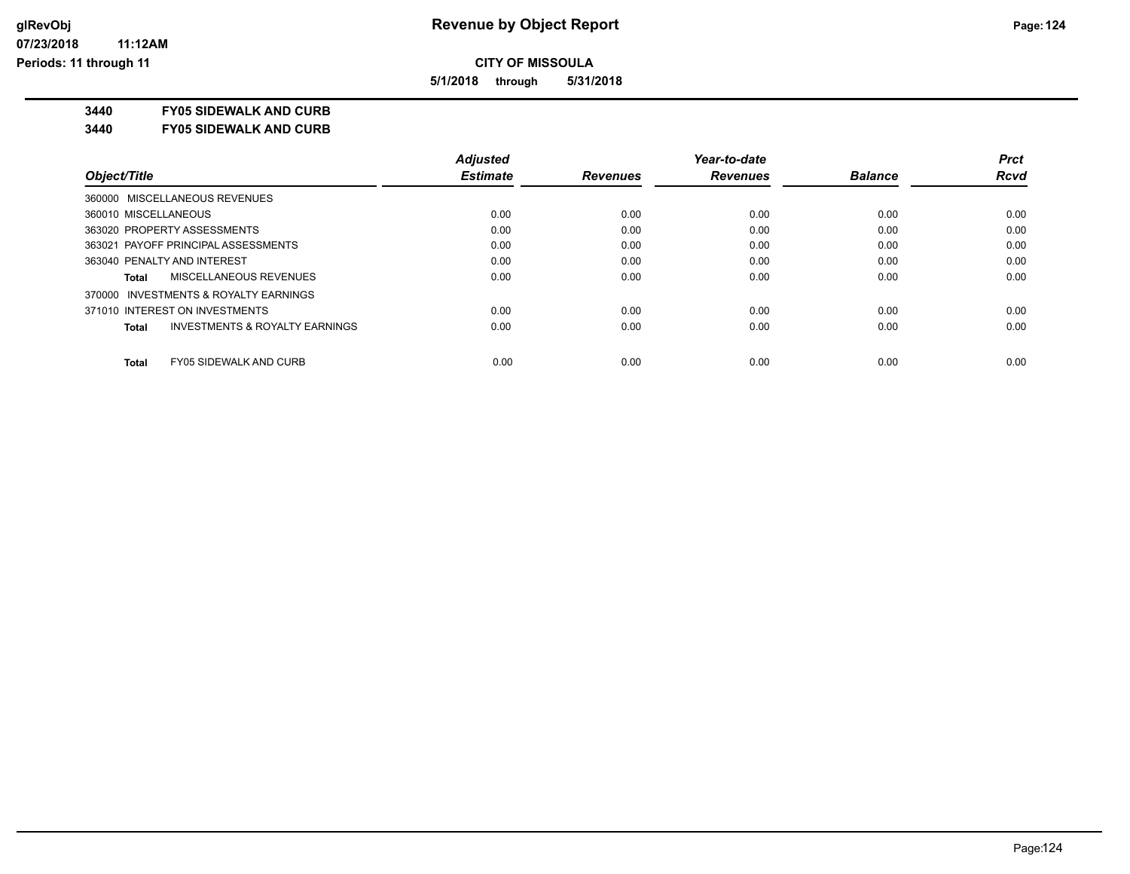**5/1/2018 through 5/31/2018**

**3440 FY05 SIDEWALK AND CURB**

**3440 FY05 SIDEWALK AND CURB**

|                                                           | <b>Adjusted</b> |                 | Year-to-date    |                | <b>Prct</b> |
|-----------------------------------------------------------|-----------------|-----------------|-----------------|----------------|-------------|
| Object/Title                                              | <b>Estimate</b> | <b>Revenues</b> | <b>Revenues</b> | <b>Balance</b> | <b>Rcvd</b> |
| 360000 MISCELLANEOUS REVENUES                             |                 |                 |                 |                |             |
| 360010 MISCELLANEOUS                                      | 0.00            | 0.00            | 0.00            | 0.00           | 0.00        |
| 363020 PROPERTY ASSESSMENTS                               | 0.00            | 0.00            | 0.00            | 0.00           | 0.00        |
| 363021 PAYOFF PRINCIPAL ASSESSMENTS                       | 0.00            | 0.00            | 0.00            | 0.00           | 0.00        |
| 363040 PENALTY AND INTEREST                               | 0.00            | 0.00            | 0.00            | 0.00           | 0.00        |
| <b>MISCELLANEOUS REVENUES</b><br>Total                    | 0.00            | 0.00            | 0.00            | 0.00           | 0.00        |
| 370000 INVESTMENTS & ROYALTY EARNINGS                     |                 |                 |                 |                |             |
| 371010 INTEREST ON INVESTMENTS                            | 0.00            | 0.00            | 0.00            | 0.00           | 0.00        |
| <b>INVESTMENTS &amp; ROYALTY EARNINGS</b><br><b>Total</b> | 0.00            | 0.00            | 0.00            | 0.00           | 0.00        |
| <b>FY05 SIDEWALK AND CURB</b><br>Total                    | 0.00            | 0.00            | 0.00            | 0.00           | 0.00        |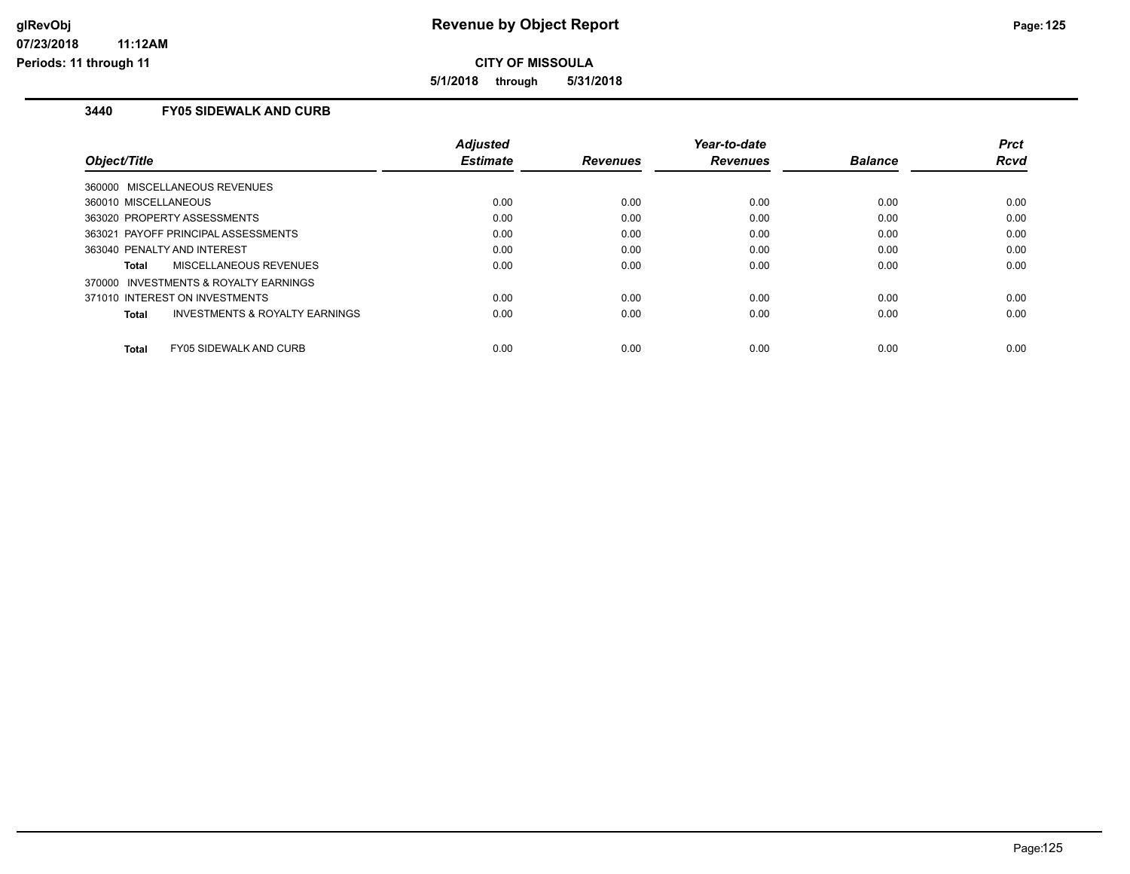**5/1/2018 through 5/31/2018**

### **3440 FY05 SIDEWALK AND CURB**

| Object/Title                                              | <b>Adjusted</b><br><b>Estimate</b> | <b>Revenues</b> | Year-to-date<br><b>Revenues</b> | <b>Balance</b> | <b>Prct</b><br><b>Rcvd</b> |
|-----------------------------------------------------------|------------------------------------|-----------------|---------------------------------|----------------|----------------------------|
| 360000 MISCELLANEOUS REVENUES                             |                                    |                 |                                 |                |                            |
| 360010 MISCELLANEOUS                                      | 0.00                               | 0.00            | 0.00                            | 0.00           | 0.00                       |
| 363020 PROPERTY ASSESSMENTS                               | 0.00                               | 0.00            | 0.00                            | 0.00           | 0.00                       |
| 363021 PAYOFF PRINCIPAL ASSESSMENTS                       | 0.00                               | 0.00            | 0.00                            | 0.00           | 0.00                       |
| 363040 PENALTY AND INTEREST                               | 0.00                               | 0.00            | 0.00                            | 0.00           | 0.00                       |
| MISCELLANEOUS REVENUES<br>Total                           | 0.00                               | 0.00            | 0.00                            | 0.00           | 0.00                       |
| 370000 INVESTMENTS & ROYALTY EARNINGS                     |                                    |                 |                                 |                |                            |
| 371010 INTEREST ON INVESTMENTS                            | 0.00                               | 0.00            | 0.00                            | 0.00           | 0.00                       |
| <b>INVESTMENTS &amp; ROYALTY EARNINGS</b><br><b>Total</b> | 0.00                               | 0.00            | 0.00                            | 0.00           | 0.00                       |
| <b>FY05 SIDEWALK AND CURB</b><br><b>Total</b>             | 0.00                               | 0.00            | 0.00                            | 0.00           | 0.00                       |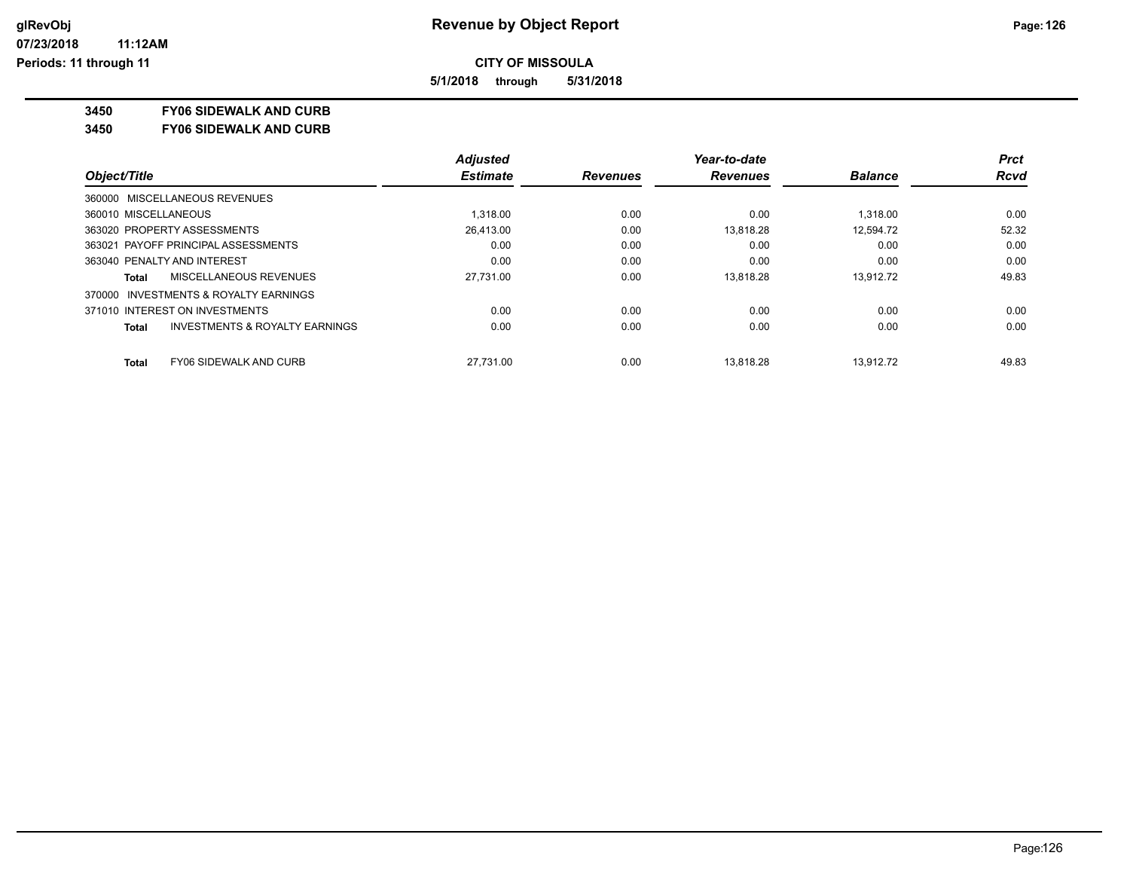**5/1/2018 through 5/31/2018**

**3450 FY06 SIDEWALK AND CURB**

**3450 FY06 SIDEWALK AND CURB**

|                                                           | <b>Adjusted</b> |                 | Year-to-date    |                | <b>Prct</b> |
|-----------------------------------------------------------|-----------------|-----------------|-----------------|----------------|-------------|
| Object/Title                                              | <b>Estimate</b> | <b>Revenues</b> | <b>Revenues</b> | <b>Balance</b> | Rcvd        |
| 360000 MISCELLANEOUS REVENUES                             |                 |                 |                 |                |             |
| 360010 MISCELLANEOUS                                      | 1.318.00        | 0.00            | 0.00            | 1.318.00       | 0.00        |
| 363020 PROPERTY ASSESSMENTS                               | 26,413.00       | 0.00            | 13.818.28       | 12.594.72      | 52.32       |
| 363021 PAYOFF PRINCIPAL ASSESSMENTS                       | 0.00            | 0.00            | 0.00            | 0.00           | 0.00        |
| 363040 PENALTY AND INTEREST                               | 0.00            | 0.00            | 0.00            | 0.00           | 0.00        |
| <b>MISCELLANEOUS REVENUES</b><br>Total                    | 27,731.00       | 0.00            | 13.818.28       | 13.912.72      | 49.83       |
| 370000 INVESTMENTS & ROYALTY EARNINGS                     |                 |                 |                 |                |             |
| 371010 INTEREST ON INVESTMENTS                            | 0.00            | 0.00            | 0.00            | 0.00           | 0.00        |
| <b>INVESTMENTS &amp; ROYALTY EARNINGS</b><br><b>Total</b> | 0.00            | 0.00            | 0.00            | 0.00           | 0.00        |
| <b>FY06 SIDEWALK AND CURB</b><br><b>Total</b>             | 27.731.00       | 0.00            | 13.818.28       | 13.912.72      | 49.83       |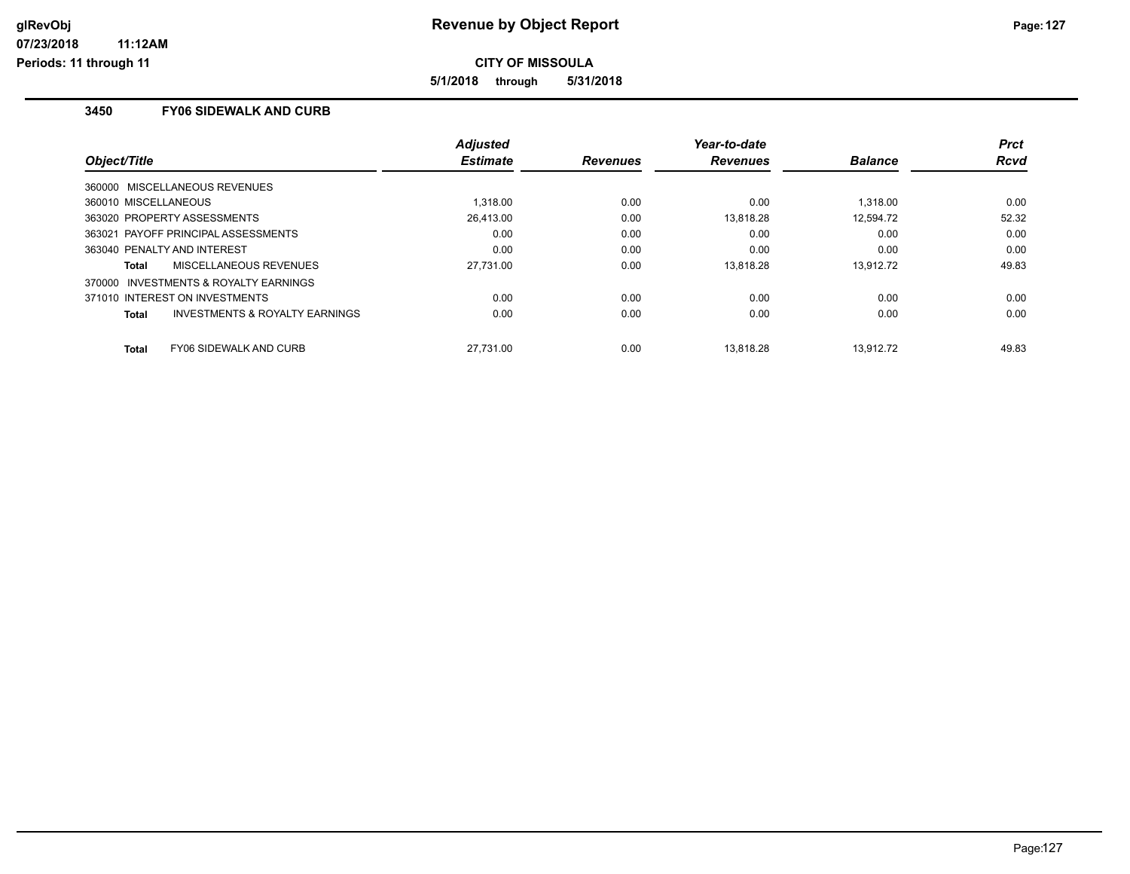**Periods: 11 through 11**

**CITY OF MISSOULA**

**5/1/2018 through 5/31/2018**

### **3450 FY06 SIDEWALK AND CURB**

|                                                    | <b>Adjusted</b> |                 | Year-to-date    |                | <b>Prct</b> |
|----------------------------------------------------|-----------------|-----------------|-----------------|----------------|-------------|
| Object/Title                                       | <b>Estimate</b> | <b>Revenues</b> | <b>Revenues</b> | <b>Balance</b> | <b>Rcvd</b> |
| 360000 MISCELLANEOUS REVENUES                      |                 |                 |                 |                |             |
| 360010 MISCELLANEOUS                               | 1.318.00        | 0.00            | 0.00            | 1.318.00       | 0.00        |
| 363020 PROPERTY ASSESSMENTS                        | 26.413.00       | 0.00            | 13.818.28       | 12,594.72      | 52.32       |
| 363021 PAYOFF PRINCIPAL ASSESSMENTS                | 0.00            | 0.00            | 0.00            | 0.00           | 0.00        |
| 363040 PENALTY AND INTEREST                        | 0.00            | 0.00            | 0.00            | 0.00           | 0.00        |
| MISCELLANEOUS REVENUES<br>Total                    | 27.731.00       | 0.00            | 13.818.28       | 13.912.72      | 49.83       |
| 370000 INVESTMENTS & ROYALTY EARNINGS              |                 |                 |                 |                |             |
| 371010 INTEREST ON INVESTMENTS                     | 0.00            | 0.00            | 0.00            | 0.00           | 0.00        |
| <b>INVESTMENTS &amp; ROYALTY EARNINGS</b><br>Total | 0.00            | 0.00            | 0.00            | 0.00           | 0.00        |
|                                                    |                 |                 |                 |                |             |
| <b>FY06 SIDEWALK AND CURB</b><br>Total             | 27.731.00       | 0.00            | 13.818.28       | 13.912.72      | 49.83       |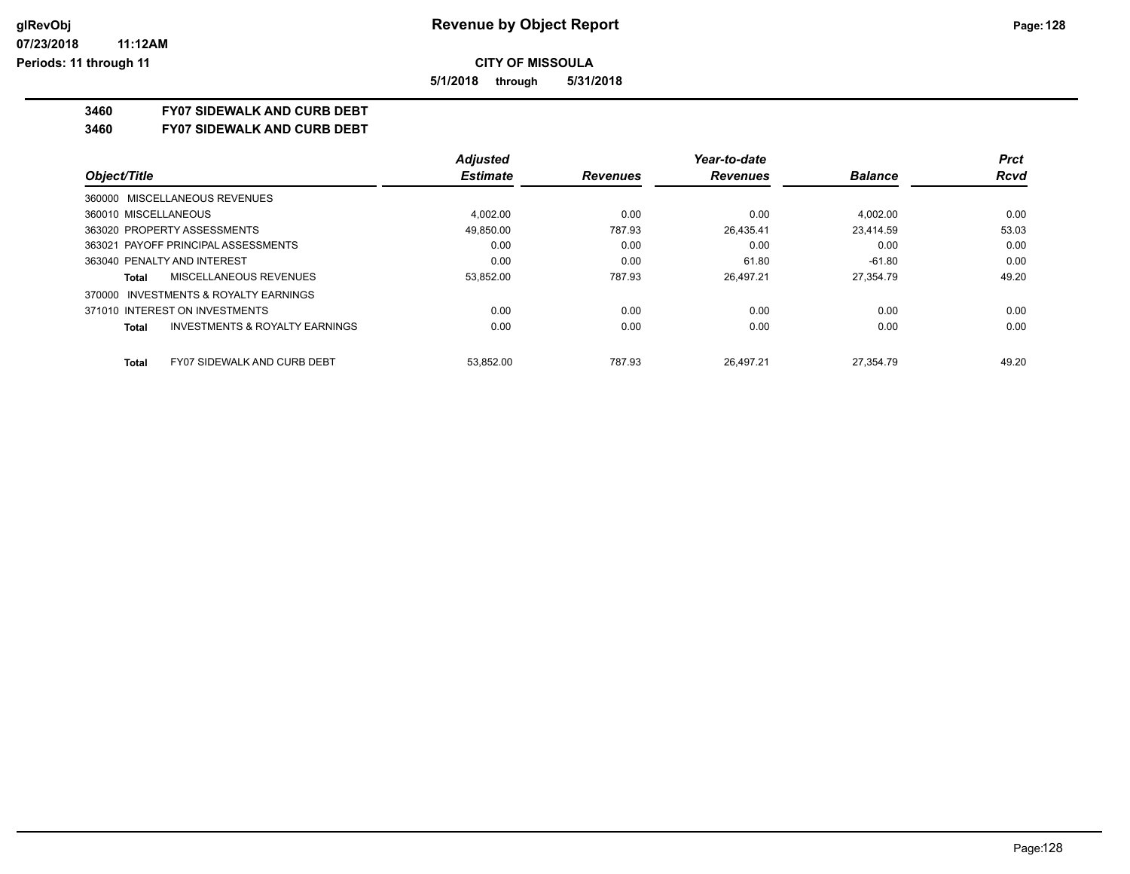**5/1/2018 through 5/31/2018**

**3460 FY07 SIDEWALK AND CURB DEBT**

**3460 FY07 SIDEWALK AND CURB DEBT**

|                                                           | <b>Adjusted</b> |                 | Year-to-date    |                | <b>Prct</b> |
|-----------------------------------------------------------|-----------------|-----------------|-----------------|----------------|-------------|
| Object/Title                                              | <b>Estimate</b> | <b>Revenues</b> | <b>Revenues</b> | <b>Balance</b> | Rcvd        |
| 360000 MISCELLANEOUS REVENUES                             |                 |                 |                 |                |             |
| 360010 MISCELLANEOUS                                      | 4.002.00        | 0.00            | 0.00            | 4.002.00       | 0.00        |
| 363020 PROPERTY ASSESSMENTS                               | 49,850.00       | 787.93          | 26,435.41       | 23.414.59      | 53.03       |
| 363021 PAYOFF PRINCIPAL ASSESSMENTS                       | 0.00            | 0.00            | 0.00            | 0.00           | 0.00        |
| 363040 PENALTY AND INTEREST                               | 0.00            | 0.00            | 61.80           | $-61.80$       | 0.00        |
| <b>MISCELLANEOUS REVENUES</b><br>Total                    | 53,852.00       | 787.93          | 26.497.21       | 27.354.79      | 49.20       |
| 370000 INVESTMENTS & ROYALTY EARNINGS                     |                 |                 |                 |                |             |
| 371010 INTEREST ON INVESTMENTS                            | 0.00            | 0.00            | 0.00            | 0.00           | 0.00        |
| <b>INVESTMENTS &amp; ROYALTY EARNINGS</b><br><b>Total</b> | 0.00            | 0.00            | 0.00            | 0.00           | 0.00        |
| <b>FY07 SIDEWALK AND CURB DEBT</b><br><b>Total</b>        | 53.852.00       | 787.93          | 26.497.21       | 27.354.79      | 49.20       |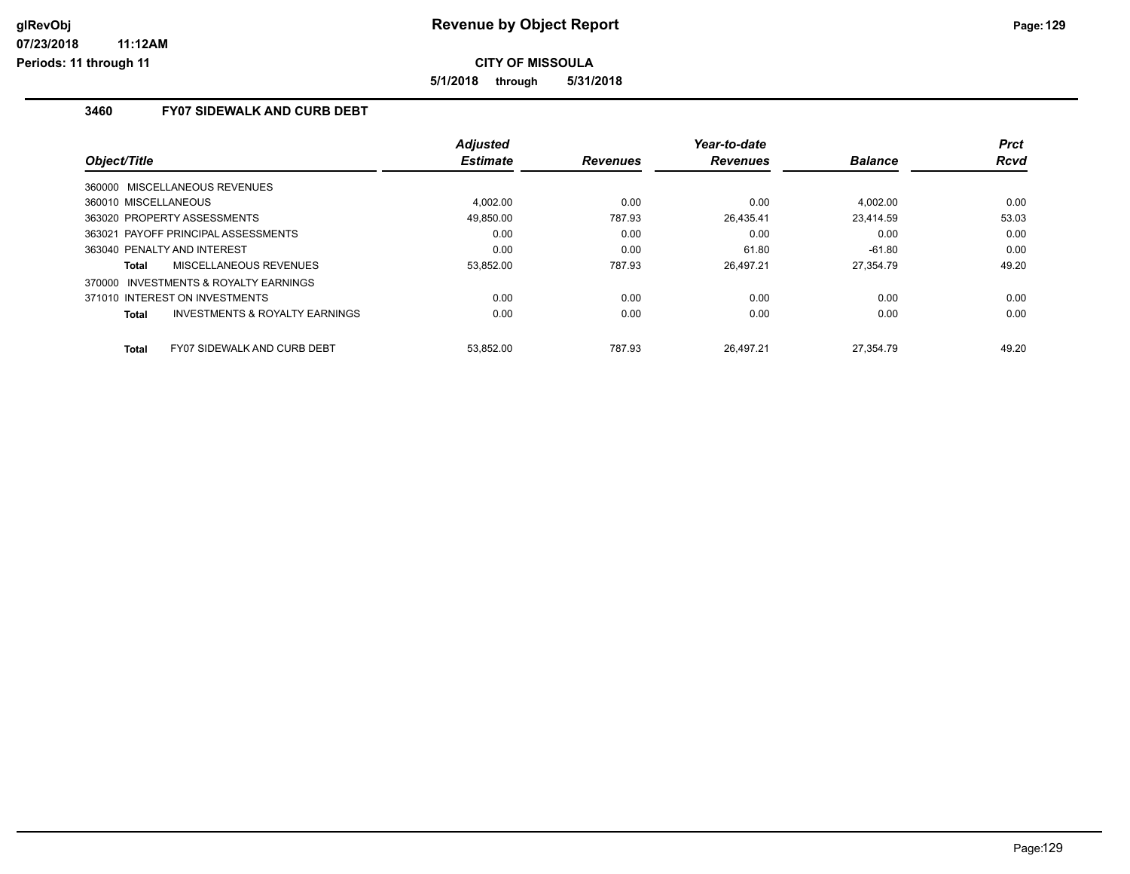**Periods: 11 through 11**

**CITY OF MISSOULA**

**5/1/2018 through 5/31/2018**

#### **3460 FY07 SIDEWALK AND CURB DEBT**

| Object/Title                |                                           | <b>Adjusted</b><br><b>Estimate</b> | <b>Revenues</b> | Year-to-date<br><b>Revenues</b> | <b>Balance</b> | <b>Prct</b><br><b>Rcvd</b> |
|-----------------------------|-------------------------------------------|------------------------------------|-----------------|---------------------------------|----------------|----------------------------|
|                             | 360000 MISCELLANEOUS REVENUES             |                                    |                 |                                 |                |                            |
| 360010 MISCELLANEOUS        |                                           | 4,002.00                           | 0.00            | 0.00                            | 4,002.00       | 0.00                       |
|                             | 363020 PROPERTY ASSESSMENTS               | 49.850.00                          | 787.93          | 26.435.41                       | 23.414.59      | 53.03                      |
|                             | 363021 PAYOFF PRINCIPAL ASSESSMENTS       | 0.00                               | 0.00            | 0.00                            | 0.00           | 0.00                       |
| 363040 PENALTY AND INTEREST |                                           | 0.00                               | 0.00            | 61.80                           | $-61.80$       | 0.00                       |
| <b>Total</b>                | MISCELLANEOUS REVENUES                    | 53,852.00                          | 787.93          | 26.497.21                       | 27.354.79      | 49.20                      |
| 370000                      | INVESTMENTS & ROYALTY EARNINGS            |                                    |                 |                                 |                |                            |
|                             | 371010 INTEREST ON INVESTMENTS            | 0.00                               | 0.00            | 0.00                            | 0.00           | 0.00                       |
| <b>Total</b>                | <b>INVESTMENTS &amp; ROYALTY EARNINGS</b> | 0.00                               | 0.00            | 0.00                            | 0.00           | 0.00                       |
| <b>Total</b>                | <b>FY07 SIDEWALK AND CURB DEBT</b>        | 53.852.00                          | 787.93          | 26.497.21                       | 27.354.79      | 49.20                      |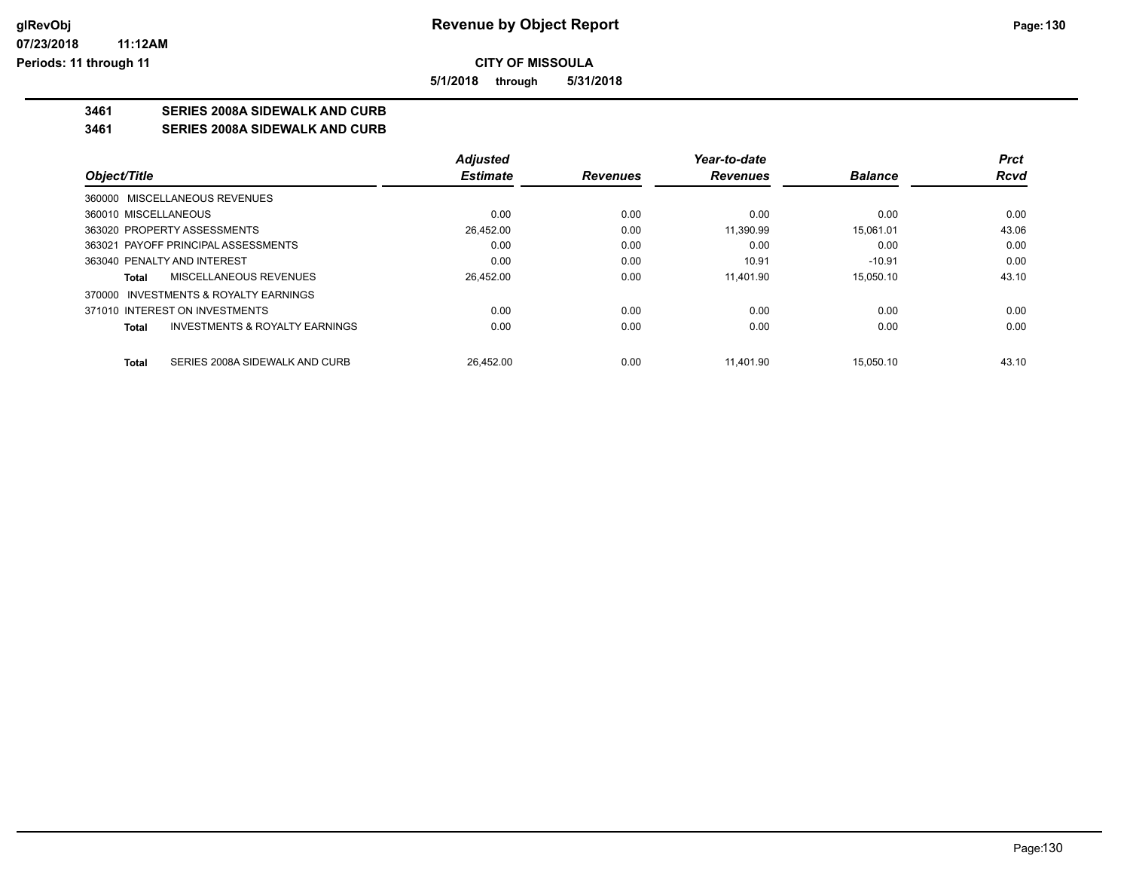**5/1/2018 through 5/31/2018**

# **3461 SERIES 2008A SIDEWALK AND CURB**

#### **3461 SERIES 2008A SIDEWALK AND CURB**

|                                                           | <b>Adjusted</b> |                 | Year-to-date    |                | <b>Prct</b> |
|-----------------------------------------------------------|-----------------|-----------------|-----------------|----------------|-------------|
| Object/Title                                              | <b>Estimate</b> | <b>Revenues</b> | <b>Revenues</b> | <b>Balance</b> | <b>Rcvd</b> |
| 360000 MISCELLANEOUS REVENUES                             |                 |                 |                 |                |             |
| 360010 MISCELLANEOUS                                      | 0.00            | 0.00            | 0.00            | 0.00           | 0.00        |
| 363020 PROPERTY ASSESSMENTS                               | 26,452.00       | 0.00            | 11.390.99       | 15.061.01      | 43.06       |
| 363021 PAYOFF PRINCIPAL ASSESSMENTS                       | 0.00            | 0.00            | 0.00            | 0.00           | 0.00        |
| 363040 PENALTY AND INTEREST                               | 0.00            | 0.00            | 10.91           | $-10.91$       | 0.00        |
| MISCELLANEOUS REVENUES<br>Total                           | 26,452.00       | 0.00            | 11.401.90       | 15.050.10      | 43.10       |
| 370000 INVESTMENTS & ROYALTY EARNINGS                     |                 |                 |                 |                |             |
| 371010 INTEREST ON INVESTMENTS                            | 0.00            | 0.00            | 0.00            | 0.00           | 0.00        |
| <b>INVESTMENTS &amp; ROYALTY EARNINGS</b><br><b>Total</b> | 0.00            | 0.00            | 0.00            | 0.00           | 0.00        |
| SERIES 2008A SIDEWALK AND CURB<br>Total                   | 26.452.00       | 0.00            | 11.401.90       | 15.050.10      | 43.10       |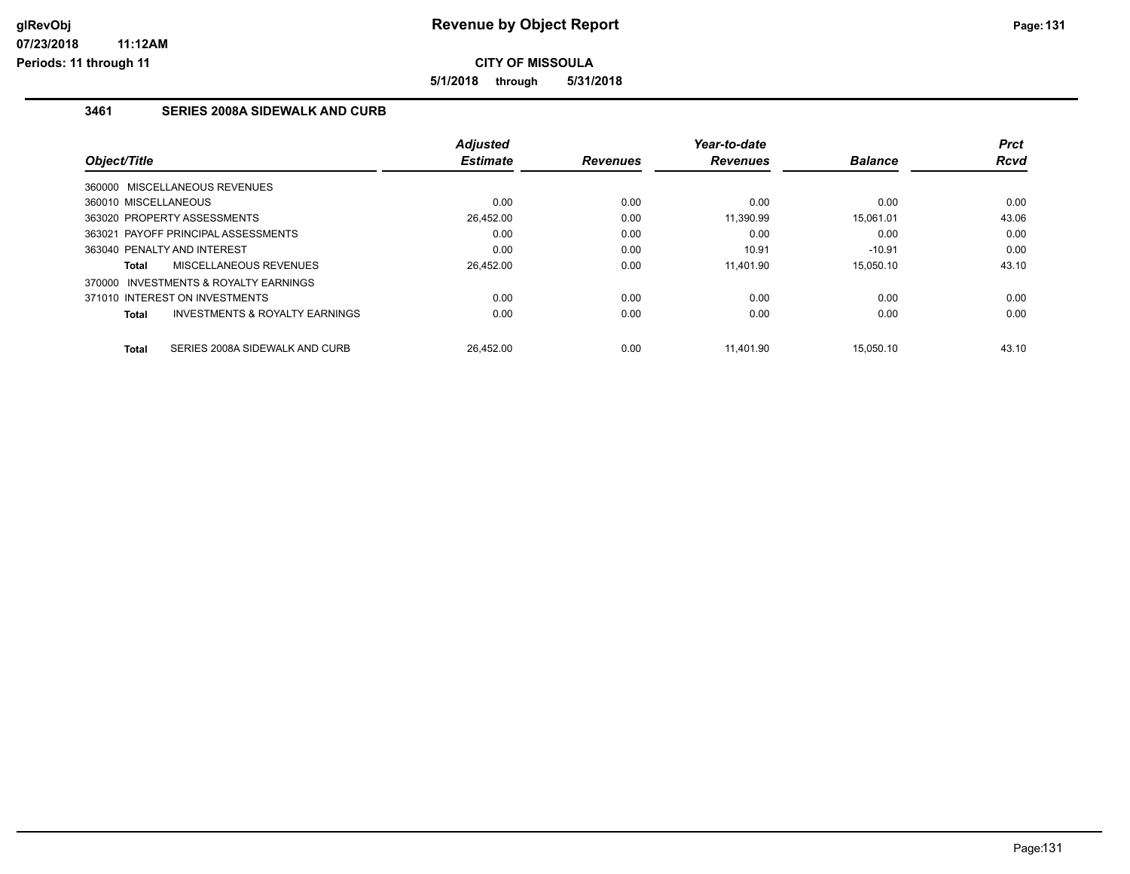**5/1/2018 through 5/31/2018**

### **3461 SERIES 2008A SIDEWALK AND CURB**

|                                                           | <b>Adjusted</b> |                 | Year-to-date    |                | <b>Prct</b> |
|-----------------------------------------------------------|-----------------|-----------------|-----------------|----------------|-------------|
| Object/Title                                              | <b>Estimate</b> | <b>Revenues</b> | <b>Revenues</b> | <b>Balance</b> | <b>Rcvd</b> |
| 360000 MISCELLANEOUS REVENUES                             |                 |                 |                 |                |             |
| 360010 MISCELLANEOUS                                      | 0.00            | 0.00            | 0.00            | 0.00           | 0.00        |
| 363020 PROPERTY ASSESSMENTS                               | 26.452.00       | 0.00            | 11.390.99       | 15.061.01      | 43.06       |
| 363021 PAYOFF PRINCIPAL ASSESSMENTS                       | 0.00            | 0.00            | 0.00            | 0.00           | 0.00        |
| 363040 PENALTY AND INTEREST                               | 0.00            | 0.00            | 10.91           | $-10.91$       | 0.00        |
| MISCELLANEOUS REVENUES<br>Total                           | 26.452.00       | 0.00            | 11.401.90       | 15.050.10      | 43.10       |
| 370000 INVESTMENTS & ROYALTY EARNINGS                     |                 |                 |                 |                |             |
| 371010 INTEREST ON INVESTMENTS                            | 0.00            | 0.00            | 0.00            | 0.00           | 0.00        |
| <b>INVESTMENTS &amp; ROYALTY EARNINGS</b><br><b>Total</b> | 0.00            | 0.00            | 0.00            | 0.00           | 0.00        |
| SERIES 2008A SIDEWALK AND CURB<br><b>Total</b>            | 26.452.00       | 0.00            | 11.401.90       | 15.050.10      | 43.10       |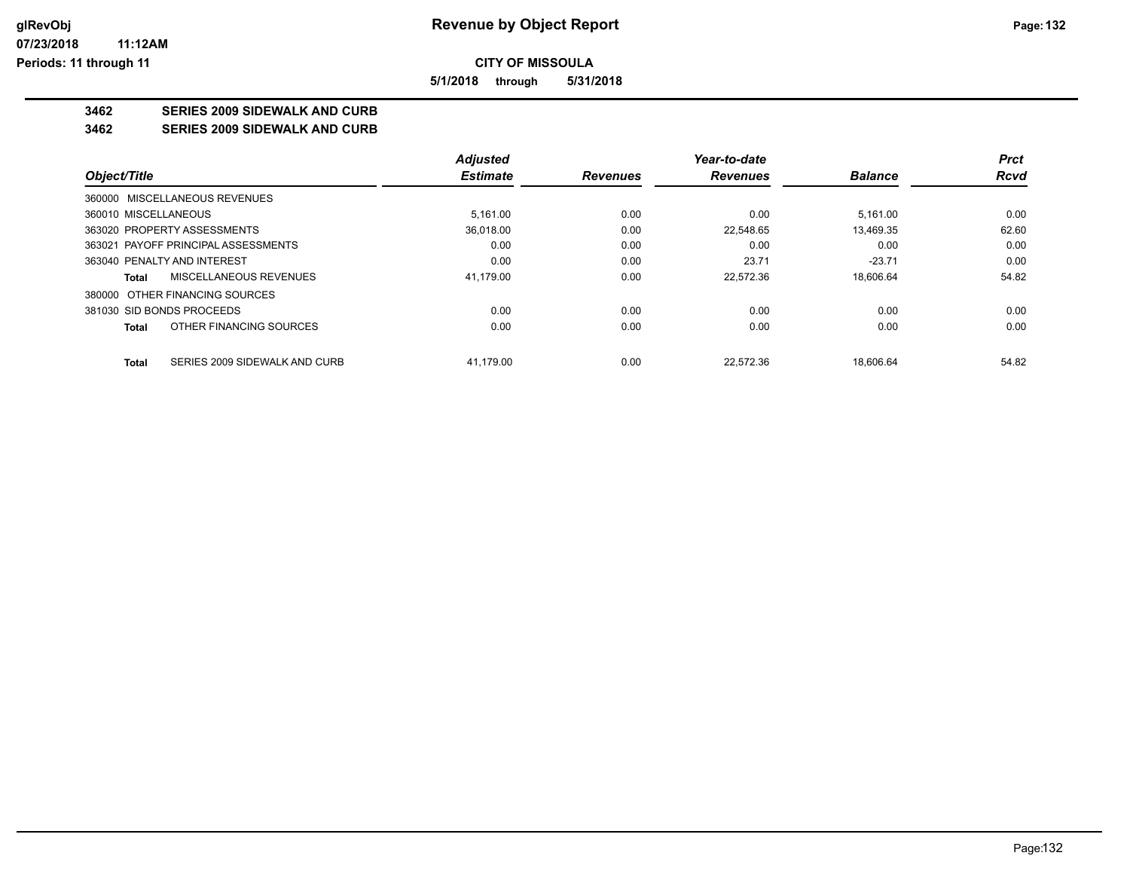**5/1/2018 through 5/31/2018**

# **3462 SERIES 2009 SIDEWALK AND CURB**

#### **3462 SERIES 2009 SIDEWALK AND CURB**

|                                               | <b>Adjusted</b> |                 | Year-to-date    |                | <b>Prct</b> |
|-----------------------------------------------|-----------------|-----------------|-----------------|----------------|-------------|
| Object/Title                                  | <b>Estimate</b> | <b>Revenues</b> | <b>Revenues</b> | <b>Balance</b> | <b>Rcvd</b> |
| 360000 MISCELLANEOUS REVENUES                 |                 |                 |                 |                |             |
| 360010 MISCELLANEOUS                          | 5.161.00        | 0.00            | 0.00            | 5.161.00       | 0.00        |
| 363020 PROPERTY ASSESSMENTS                   | 36,018.00       | 0.00            | 22,548.65       | 13,469.35      | 62.60       |
| 363021 PAYOFF PRINCIPAL ASSESSMENTS           | 0.00            | 0.00            | 0.00            | 0.00           | 0.00        |
| 363040 PENALTY AND INTEREST                   | 0.00            | 0.00            | 23.71           | $-23.71$       | 0.00        |
| MISCELLANEOUS REVENUES<br>Total               | 41,179.00       | 0.00            | 22.572.36       | 18.606.64      | 54.82       |
| OTHER FINANCING SOURCES<br>380000             |                 |                 |                 |                |             |
| 381030 SID BONDS PROCEEDS                     | 0.00            | 0.00            | 0.00            | 0.00           | 0.00        |
| OTHER FINANCING SOURCES<br><b>Total</b>       | 0.00            | 0.00            | 0.00            | 0.00           | 0.00        |
| SERIES 2009 SIDEWALK AND CURB<br><b>Total</b> | 41.179.00       | 0.00            | 22.572.36       | 18.606.64      | 54.82       |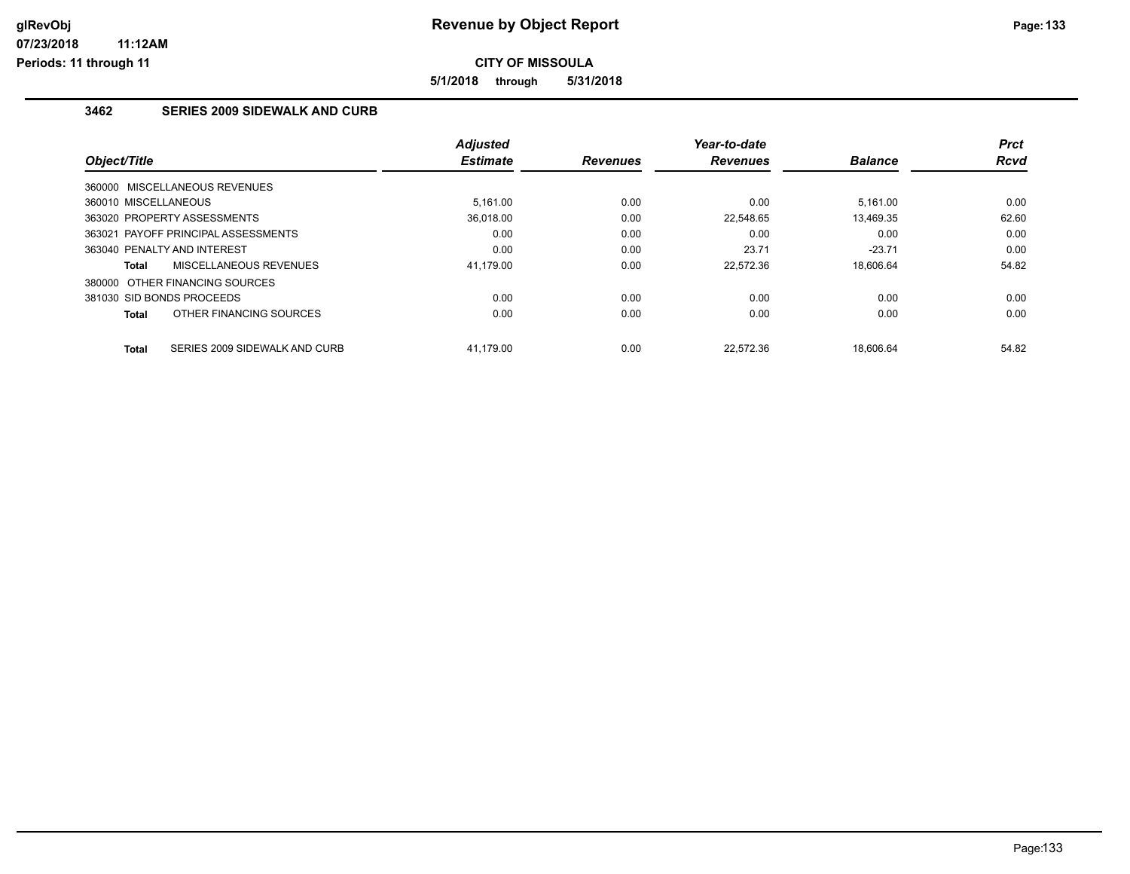**5/1/2018 through 5/31/2018**

### **3462 SERIES 2009 SIDEWALK AND CURB**

| Object/Title                                  | <b>Adjusted</b><br><b>Estimate</b> | <b>Revenues</b> | Year-to-date<br><b>Revenues</b> | <b>Balance</b> | <b>Prct</b><br><b>Rcvd</b> |
|-----------------------------------------------|------------------------------------|-----------------|---------------------------------|----------------|----------------------------|
| 360000 MISCELLANEOUS REVENUES                 |                                    |                 |                                 |                |                            |
| 360010 MISCELLANEOUS                          | 5.161.00                           | 0.00            | 0.00                            | 5.161.00       | 0.00                       |
| 363020 PROPERTY ASSESSMENTS                   | 36.018.00                          | 0.00            | 22.548.65                       | 13.469.35      | 62.60                      |
| 363021 PAYOFF PRINCIPAL ASSESSMENTS           | 0.00                               | 0.00            | 0.00                            | 0.00           | 0.00                       |
| 363040 PENALTY AND INTEREST                   | 0.00                               | 0.00            | 23.71                           | $-23.71$       | 0.00                       |
| MISCELLANEOUS REVENUES<br><b>Total</b>        | 41.179.00                          | 0.00            | 22.572.36                       | 18.606.64      | 54.82                      |
| 380000 OTHER FINANCING SOURCES                |                                    |                 |                                 |                |                            |
| 381030 SID BONDS PROCEEDS                     | 0.00                               | 0.00            | 0.00                            | 0.00           | 0.00                       |
| OTHER FINANCING SOURCES<br><b>Total</b>       | 0.00                               | 0.00            | 0.00                            | 0.00           | 0.00                       |
| SERIES 2009 SIDEWALK AND CURB<br><b>Total</b> | 41.179.00                          | 0.00            | 22.572.36                       | 18.606.64      | 54.82                      |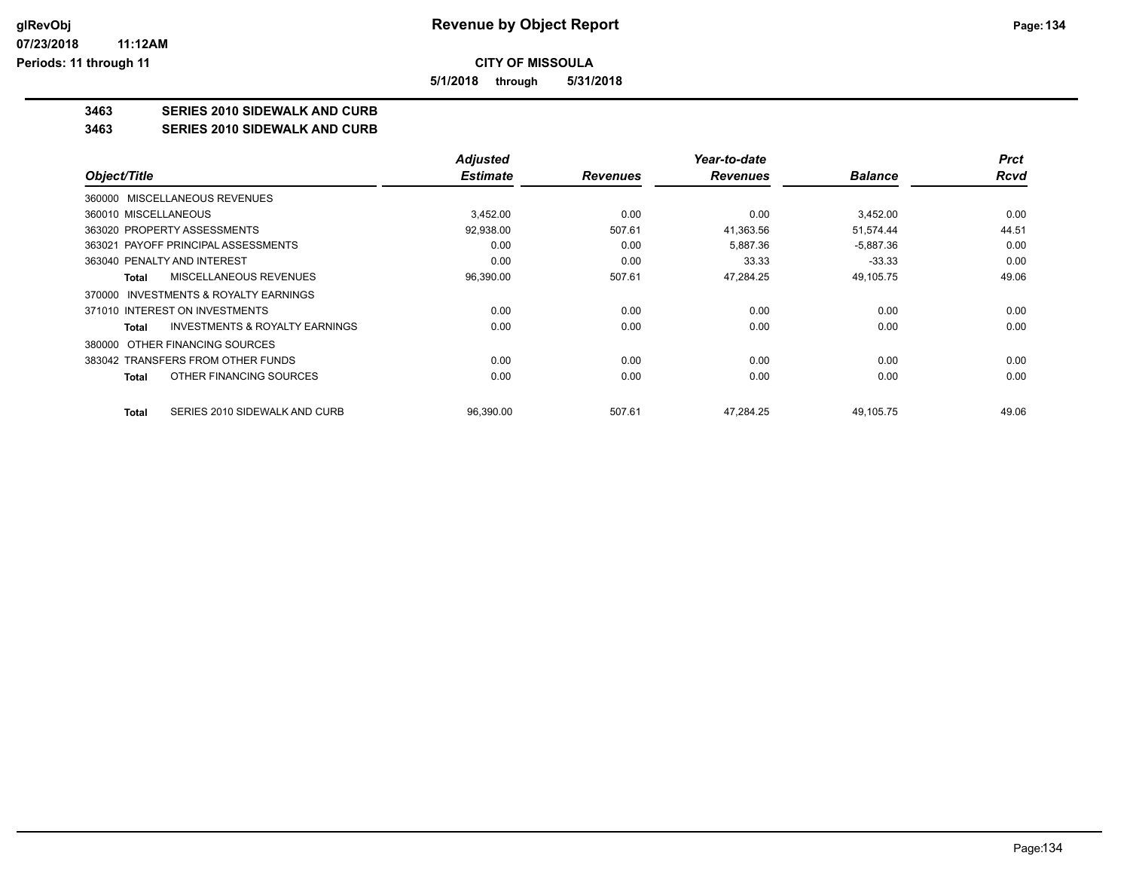**5/1/2018 through 5/31/2018**

# **3463 SERIES 2010 SIDEWALK AND CURB**

### **3463 SERIES 2010 SIDEWALK AND CURB**

|                                                           | <b>Adjusted</b> |                 | Year-to-date    |                | <b>Prct</b> |
|-----------------------------------------------------------|-----------------|-----------------|-----------------|----------------|-------------|
| Object/Title                                              | <b>Estimate</b> | <b>Revenues</b> | <b>Revenues</b> | <b>Balance</b> | <b>Rcvd</b> |
| 360000 MISCELLANEOUS REVENUES                             |                 |                 |                 |                |             |
| 360010 MISCELLANEOUS                                      | 3.452.00        | 0.00            | 0.00            | 3.452.00       | 0.00        |
| 363020 PROPERTY ASSESSMENTS                               | 92,938.00       | 507.61          | 41,363.56       | 51,574.44      | 44.51       |
| PAYOFF PRINCIPAL ASSESSMENTS<br>363021                    | 0.00            | 0.00            | 5,887.36        | $-5,887.36$    | 0.00        |
| 363040 PENALTY AND INTEREST                               | 0.00            | 0.00            | 33.33           | $-33.33$       | 0.00        |
| MISCELLANEOUS REVENUES<br><b>Total</b>                    | 96,390.00       | 507.61          | 47,284.25       | 49,105.75      | 49.06       |
| INVESTMENTS & ROYALTY EARNINGS<br>370000                  |                 |                 |                 |                |             |
| 371010 INTEREST ON INVESTMENTS                            | 0.00            | 0.00            | 0.00            | 0.00           | 0.00        |
| <b>INVESTMENTS &amp; ROYALTY EARNINGS</b><br><b>Total</b> | 0.00            | 0.00            | 0.00            | 0.00           | 0.00        |
| OTHER FINANCING SOURCES<br>380000                         |                 |                 |                 |                |             |
| 383042 TRANSFERS FROM OTHER FUNDS                         | 0.00            | 0.00            | 0.00            | 0.00           | 0.00        |
| OTHER FINANCING SOURCES<br>Total                          | 0.00            | 0.00            | 0.00            | 0.00           | 0.00        |
| SERIES 2010 SIDEWALK AND CURB<br><b>Total</b>             | 96,390.00       | 507.61          | 47,284.25       | 49,105.75      | 49.06       |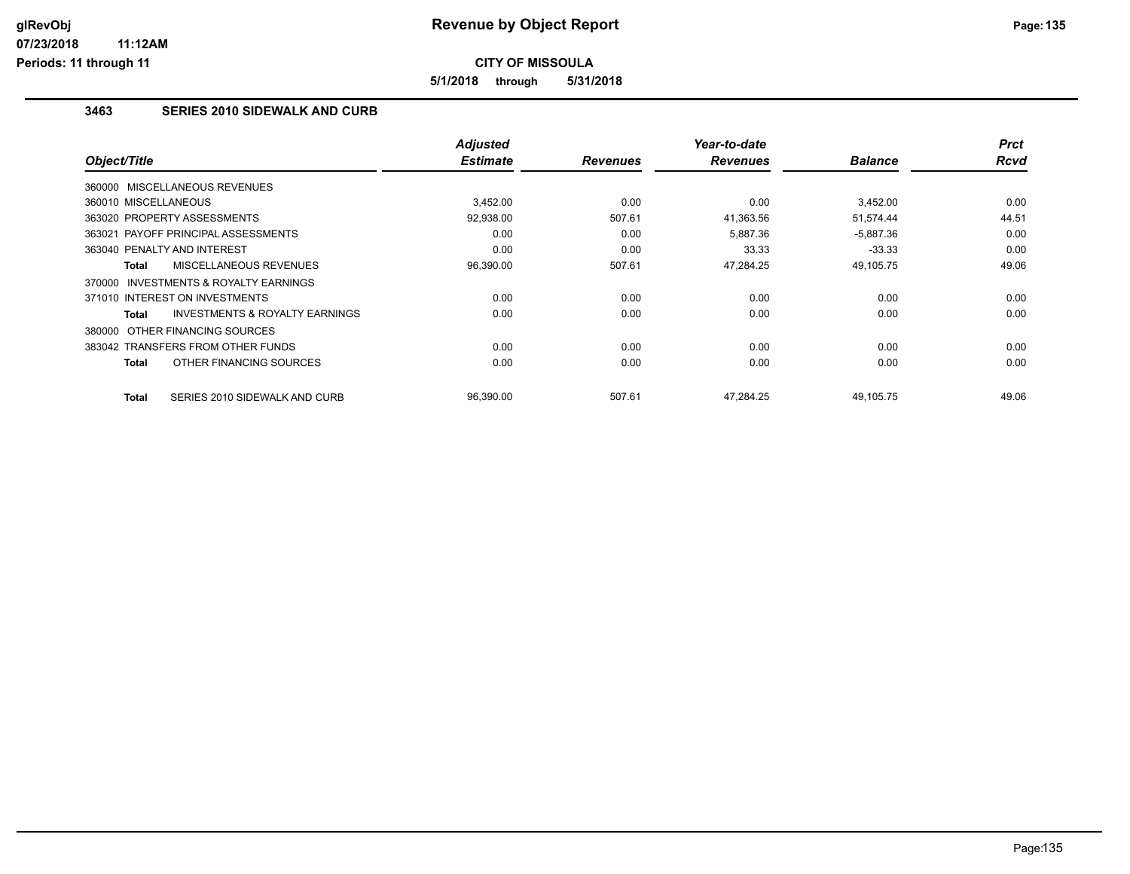**5/1/2018 through 5/31/2018**

### **3463 SERIES 2010 SIDEWALK AND CURB**

| Object/Title                                              | <b>Adjusted</b><br><b>Estimate</b> | <b>Revenues</b> | Year-to-date<br><b>Revenues</b> | <b>Balance</b> | <b>Prct</b><br>Rcvd |
|-----------------------------------------------------------|------------------------------------|-----------------|---------------------------------|----------------|---------------------|
| 360000 MISCELLANEOUS REVENUES                             |                                    |                 |                                 |                |                     |
|                                                           |                                    |                 |                                 |                |                     |
| 360010 MISCELLANEOUS                                      | 3,452.00                           | 0.00            | 0.00                            | 3,452.00       | 0.00                |
| 363020 PROPERTY ASSESSMENTS                               | 92,938.00                          | 507.61          | 41,363.56                       | 51,574.44      | 44.51               |
| 363021 PAYOFF PRINCIPAL ASSESSMENTS                       | 0.00                               | 0.00            | 5,887.36                        | $-5,887.36$    | 0.00                |
| 363040 PENALTY AND INTEREST                               | 0.00                               | 0.00            | 33.33                           | $-33.33$       | 0.00                |
| MISCELLANEOUS REVENUES<br>Total                           | 96,390.00                          | 507.61          | 47,284.25                       | 49,105.75      | 49.06               |
| <b>INVESTMENTS &amp; ROYALTY EARNINGS</b><br>370000       |                                    |                 |                                 |                |                     |
| 371010 INTEREST ON INVESTMENTS                            | 0.00                               | 0.00            | 0.00                            | 0.00           | 0.00                |
| <b>INVESTMENTS &amp; ROYALTY EARNINGS</b><br><b>Total</b> | 0.00                               | 0.00            | 0.00                            | 0.00           | 0.00                |
| 380000 OTHER FINANCING SOURCES                            |                                    |                 |                                 |                |                     |
| 383042 TRANSFERS FROM OTHER FUNDS                         | 0.00                               | 0.00            | 0.00                            | 0.00           | 0.00                |
| OTHER FINANCING SOURCES<br><b>Total</b>                   | 0.00                               | 0.00            | 0.00                            | 0.00           | 0.00                |
| SERIES 2010 SIDEWALK AND CURB<br><b>Total</b>             | 96,390.00                          | 507.61          | 47,284.25                       | 49,105.75      | 49.06               |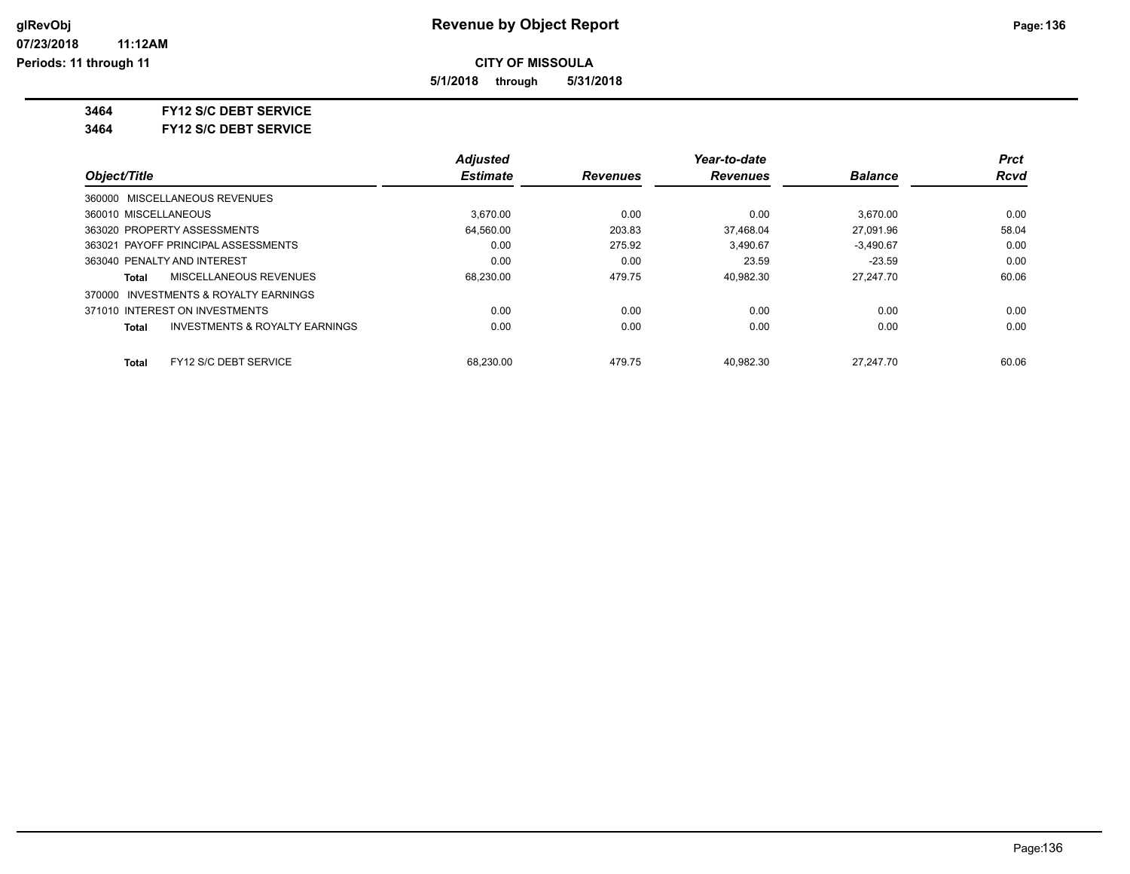**5/1/2018 through 5/31/2018**

**3464 FY12 S/C DEBT SERVICE**

**3464 FY12 S/C DEBT SERVICE**

|                                                           | <b>Adjusted</b> |                 | Year-to-date    |                | <b>Prct</b> |
|-----------------------------------------------------------|-----------------|-----------------|-----------------|----------------|-------------|
| Object/Title                                              | <b>Estimate</b> | <b>Revenues</b> | <b>Revenues</b> | <b>Balance</b> | <b>Rcvd</b> |
| 360000 MISCELLANEOUS REVENUES                             |                 |                 |                 |                |             |
| 360010 MISCELLANEOUS                                      | 3.670.00        | 0.00            | 0.00            | 3.670.00       | 0.00        |
| 363020 PROPERTY ASSESSMENTS                               | 64,560.00       | 203.83          | 37.468.04       | 27.091.96      | 58.04       |
| 363021 PAYOFF PRINCIPAL ASSESSMENTS                       | 0.00            | 275.92          | 3.490.67        | $-3.490.67$    | 0.00        |
| 363040 PENALTY AND INTEREST                               | 0.00            | 0.00            | 23.59           | $-23.59$       | 0.00        |
| MISCELLANEOUS REVENUES<br>Total                           | 68,230.00       | 479.75          | 40.982.30       | 27.247.70      | 60.06       |
| 370000 INVESTMENTS & ROYALTY EARNINGS                     |                 |                 |                 |                |             |
| 371010 INTEREST ON INVESTMENTS                            | 0.00            | 0.00            | 0.00            | 0.00           | 0.00        |
| <b>INVESTMENTS &amp; ROYALTY EARNINGS</b><br><b>Total</b> | 0.00            | 0.00            | 0.00            | 0.00           | 0.00        |
| FY12 S/C DEBT SERVICE<br><b>Total</b>                     | 68.230.00       | 479.75          | 40.982.30       | 27.247.70      | 60.06       |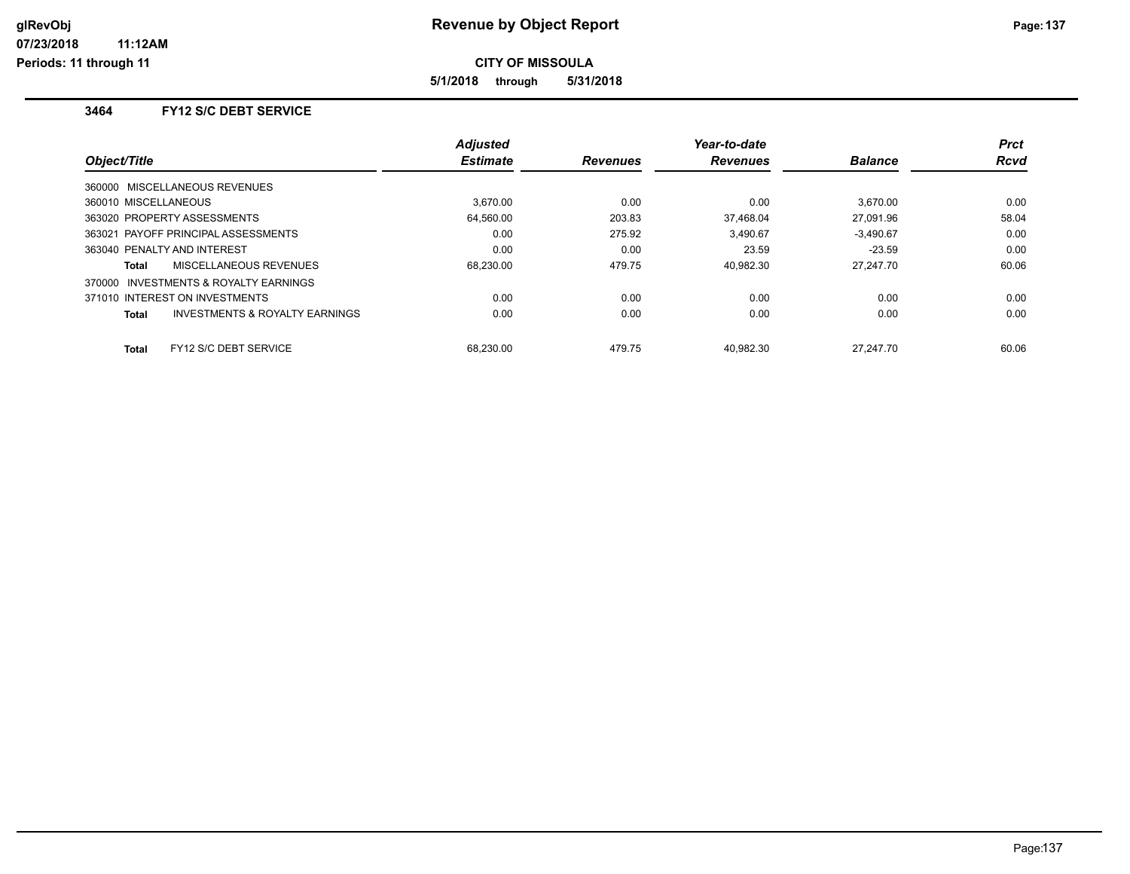**Periods: 11 through 11**

**CITY OF MISSOULA**

**5/1/2018 through 5/31/2018**

#### **3464 FY12 S/C DEBT SERVICE**

| Object/Title                                       | <b>Adjusted</b><br><b>Estimate</b> | <b>Revenues</b> | Year-to-date<br><b>Revenues</b> | <b>Balance</b> | <b>Prct</b><br><b>Rcvd</b> |
|----------------------------------------------------|------------------------------------|-----------------|---------------------------------|----------------|----------------------------|
|                                                    |                                    |                 |                                 |                |                            |
| 360000 MISCELLANEOUS REVENUES                      |                                    |                 |                                 |                |                            |
| 360010 MISCELLANEOUS                               | 3.670.00                           | 0.00            | 0.00                            | 3.670.00       | 0.00                       |
| 363020 PROPERTY ASSESSMENTS                        | 64.560.00                          | 203.83          | 37.468.04                       | 27.091.96      | 58.04                      |
| 363021 PAYOFF PRINCIPAL ASSESSMENTS                | 0.00                               | 275.92          | 3.490.67                        | $-3.490.67$    | 0.00                       |
| 363040 PENALTY AND INTEREST                        | 0.00                               | 0.00            | 23.59                           | $-23.59$       | 0.00                       |
| MISCELLANEOUS REVENUES<br>Total                    | 68.230.00                          | 479.75          | 40.982.30                       | 27.247.70      | 60.06                      |
| INVESTMENTS & ROYALTY EARNINGS<br>370000           |                                    |                 |                                 |                |                            |
| 371010 INTEREST ON INVESTMENTS                     | 0.00                               | 0.00            | 0.00                            | 0.00           | 0.00                       |
| <b>INVESTMENTS &amp; ROYALTY EARNINGS</b><br>Total | 0.00                               | 0.00            | 0.00                            | 0.00           | 0.00                       |
|                                                    |                                    |                 |                                 |                |                            |
| FY12 S/C DEBT SERVICE<br><b>Total</b>              | 68.230.00                          | 479.75          | 40.982.30                       | 27.247.70      | 60.06                      |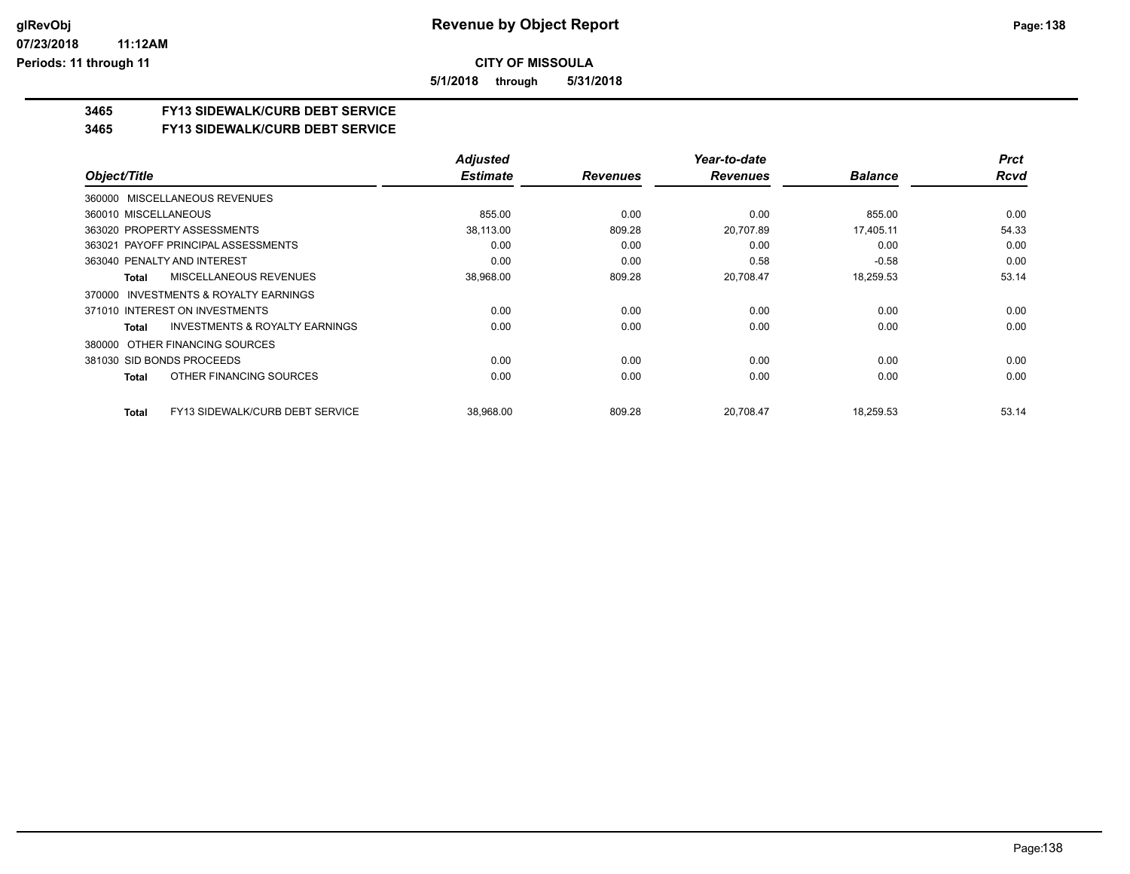**5/1/2018 through 5/31/2018**

# **3465 FY13 SIDEWALK/CURB DEBT SERVICE**

#### **3465 FY13 SIDEWALK/CURB DEBT SERVICE**

|                                                    | <b>Adjusted</b> |                 | Year-to-date    |                | <b>Prct</b> |
|----------------------------------------------------|-----------------|-----------------|-----------------|----------------|-------------|
| Object/Title                                       | <b>Estimate</b> | <b>Revenues</b> | <b>Revenues</b> | <b>Balance</b> | <b>Rcvd</b> |
| MISCELLANEOUS REVENUES<br>360000                   |                 |                 |                 |                |             |
| 360010 MISCELLANEOUS                               | 855.00          | 0.00            | 0.00            | 855.00         | 0.00        |
| 363020 PROPERTY ASSESSMENTS                        | 38,113.00       | 809.28          | 20,707.89       | 17,405.11      | 54.33       |
| 363021 PAYOFF PRINCIPAL ASSESSMENTS                | 0.00            | 0.00            | 0.00            | 0.00           | 0.00        |
| 363040 PENALTY AND INTEREST                        | 0.00            | 0.00            | 0.58            | $-0.58$        | 0.00        |
| MISCELLANEOUS REVENUES<br>Total                    | 38,968.00       | 809.28          | 20,708.47       | 18,259.53      | 53.14       |
| INVESTMENTS & ROYALTY EARNINGS<br>370000           |                 |                 |                 |                |             |
| 371010 INTEREST ON INVESTMENTS                     | 0.00            | 0.00            | 0.00            | 0.00           | 0.00        |
| <b>INVESTMENTS &amp; ROYALTY EARNINGS</b><br>Total | 0.00            | 0.00            | 0.00            | 0.00           | 0.00        |
| OTHER FINANCING SOURCES<br>380000                  |                 |                 |                 |                |             |
| 381030 SID BONDS PROCEEDS                          | 0.00            | 0.00            | 0.00            | 0.00           | 0.00        |
| OTHER FINANCING SOURCES<br><b>Total</b>            | 0.00            | 0.00            | 0.00            | 0.00           | 0.00        |
| FY13 SIDEWALK/CURB DEBT SERVICE<br><b>Total</b>    | 38,968.00       | 809.28          | 20.708.47       | 18,259.53      | 53.14       |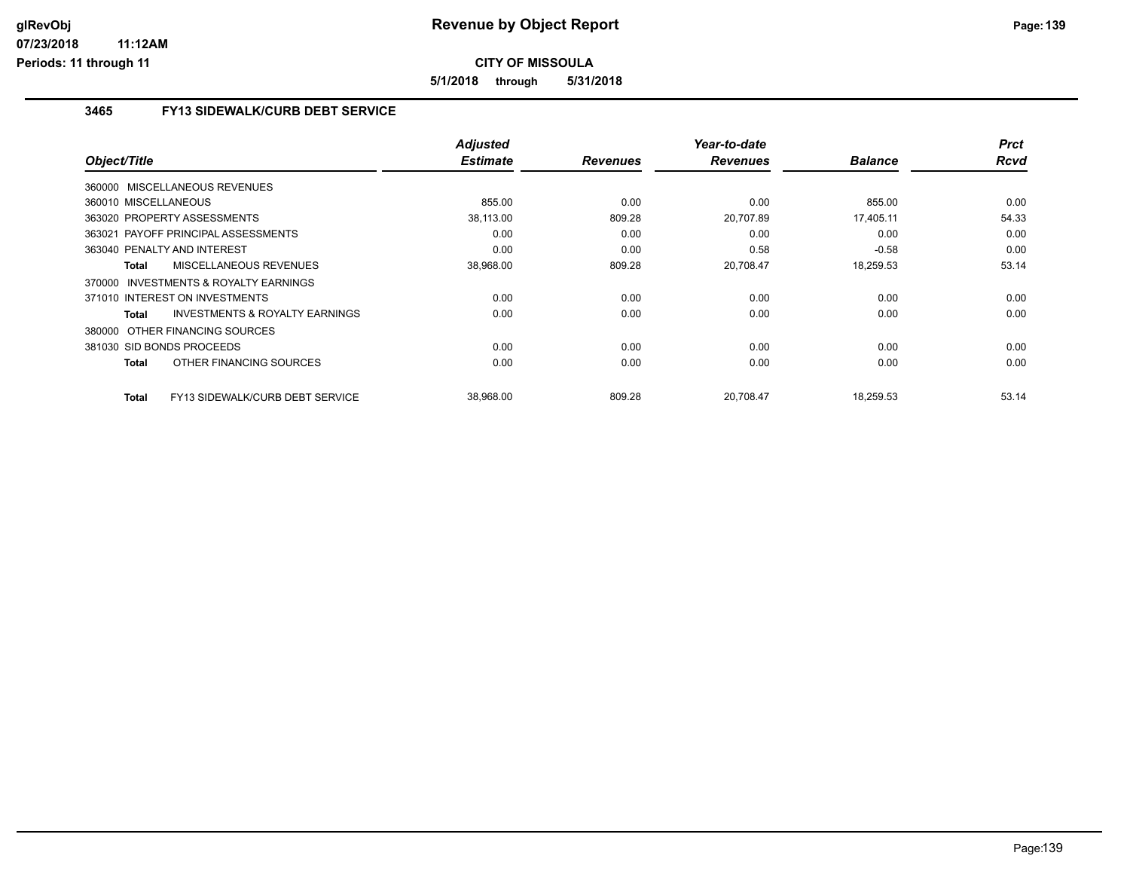**5/1/2018 through 5/31/2018**

### **3465 FY13 SIDEWALK/CURB DEBT SERVICE**

|                                                     | <b>Adjusted</b> |                 | Year-to-date    |                | <b>Prct</b> |
|-----------------------------------------------------|-----------------|-----------------|-----------------|----------------|-------------|
| Object/Title                                        | <b>Estimate</b> | <b>Revenues</b> | <b>Revenues</b> | <b>Balance</b> | Rcvd        |
| 360000 MISCELLANEOUS REVENUES                       |                 |                 |                 |                |             |
| 360010 MISCELLANEOUS                                | 855.00          | 0.00            | 0.00            | 855.00         | 0.00        |
| 363020 PROPERTY ASSESSMENTS                         | 38.113.00       | 809.28          | 20.707.89       | 17.405.11      | 54.33       |
| 363021 PAYOFF PRINCIPAL ASSESSMENTS                 | 0.00            | 0.00            | 0.00            | 0.00           | 0.00        |
| 363040 PENALTY AND INTEREST                         | 0.00            | 0.00            | 0.58            | $-0.58$        | 0.00        |
| <b>MISCELLANEOUS REVENUES</b><br><b>Total</b>       | 38,968.00       | 809.28          | 20,708.47       | 18,259.53      | 53.14       |
| <b>INVESTMENTS &amp; ROYALTY EARNINGS</b><br>370000 |                 |                 |                 |                |             |
| 371010 INTEREST ON INVESTMENTS                      | 0.00            | 0.00            | 0.00            | 0.00           | 0.00        |
| <b>INVESTMENTS &amp; ROYALTY EARNINGS</b><br>Total  | 0.00            | 0.00            | 0.00            | 0.00           | 0.00        |
| 380000 OTHER FINANCING SOURCES                      |                 |                 |                 |                |             |
| 381030 SID BONDS PROCEEDS                           | 0.00            | 0.00            | 0.00            | 0.00           | 0.00        |
| OTHER FINANCING SOURCES<br><b>Total</b>             | 0.00            | 0.00            | 0.00            | 0.00           | 0.00        |
| FY13 SIDEWALK/CURB DEBT SERVICE<br><b>Total</b>     | 38,968.00       | 809.28          | 20.708.47       | 18,259.53      | 53.14       |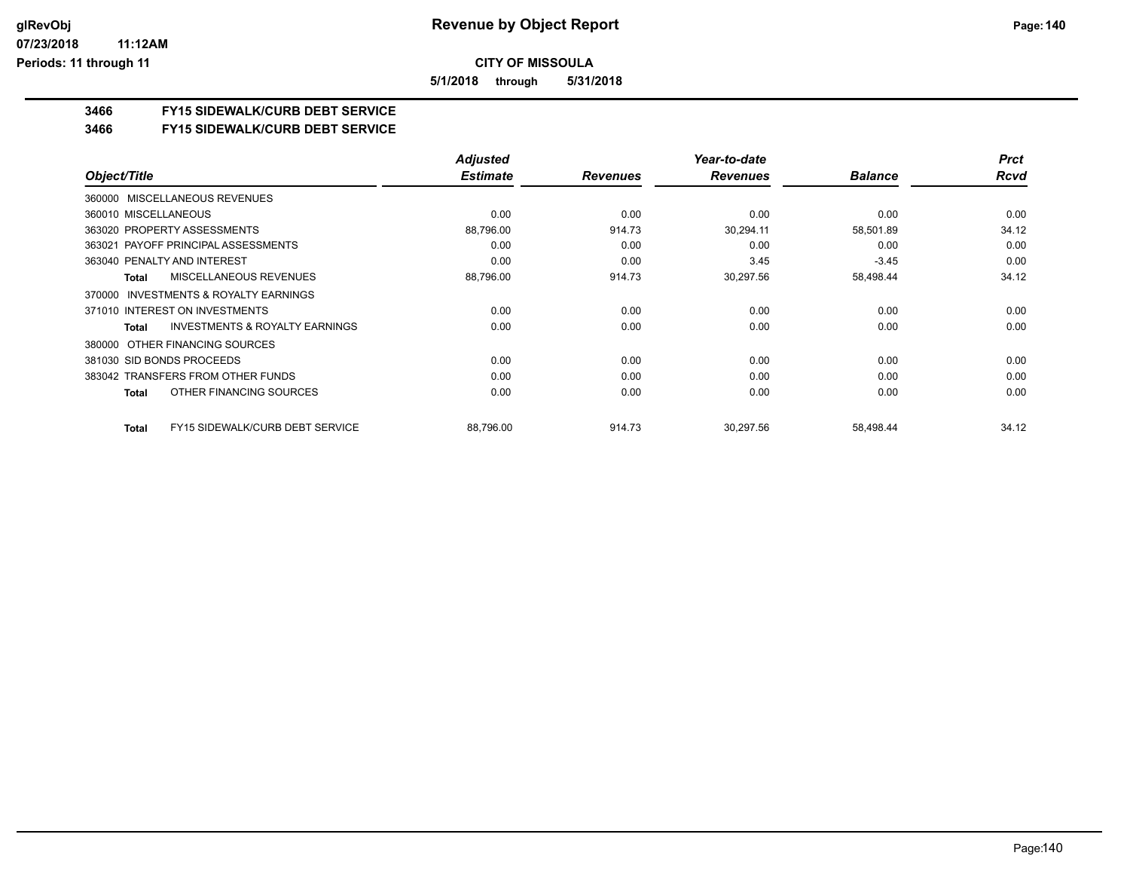**5/1/2018 through 5/31/2018**

# **3466 FY15 SIDEWALK/CURB DEBT SERVICE**

#### **3466 FY15 SIDEWALK/CURB DEBT SERVICE**

|                                                     | <b>Adjusted</b> |                 | Year-to-date    |                | <b>Prct</b> |
|-----------------------------------------------------|-----------------|-----------------|-----------------|----------------|-------------|
| Object/Title                                        | <b>Estimate</b> | <b>Revenues</b> | <b>Revenues</b> | <b>Balance</b> | <b>Rcvd</b> |
| 360000 MISCELLANEOUS REVENUES                       |                 |                 |                 |                |             |
| 360010 MISCELLANEOUS                                | 0.00            | 0.00            | 0.00            | 0.00           | 0.00        |
| 363020 PROPERTY ASSESSMENTS                         | 88,796.00       | 914.73          | 30,294.11       | 58,501.89      | 34.12       |
| 363021 PAYOFF PRINCIPAL ASSESSMENTS                 | 0.00            | 0.00            | 0.00            | 0.00           | 0.00        |
| 363040 PENALTY AND INTEREST                         | 0.00            | 0.00            | 3.45            | $-3.45$        | 0.00        |
| <b>MISCELLANEOUS REVENUES</b><br><b>Total</b>       | 88,796.00       | 914.73          | 30,297.56       | 58,498.44      | 34.12       |
| <b>INVESTMENTS &amp; ROYALTY EARNINGS</b><br>370000 |                 |                 |                 |                |             |
| 371010 INTEREST ON INVESTMENTS                      | 0.00            | 0.00            | 0.00            | 0.00           | 0.00        |
| <b>INVESTMENTS &amp; ROYALTY EARNINGS</b><br>Total  | 0.00            | 0.00            | 0.00            | 0.00           | 0.00        |
| OTHER FINANCING SOURCES<br>380000                   |                 |                 |                 |                |             |
| 381030 SID BONDS PROCEEDS                           | 0.00            | 0.00            | 0.00            | 0.00           | 0.00        |
| 383042 TRANSFERS FROM OTHER FUNDS                   | 0.00            | 0.00            | 0.00            | 0.00           | 0.00        |
| OTHER FINANCING SOURCES<br>Total                    | 0.00            | 0.00            | 0.00            | 0.00           | 0.00        |
| FY15 SIDEWALK/CURB DEBT SERVICE<br><b>Total</b>     | 88,796.00       | 914.73          | 30,297.56       | 58,498.44      | 34.12       |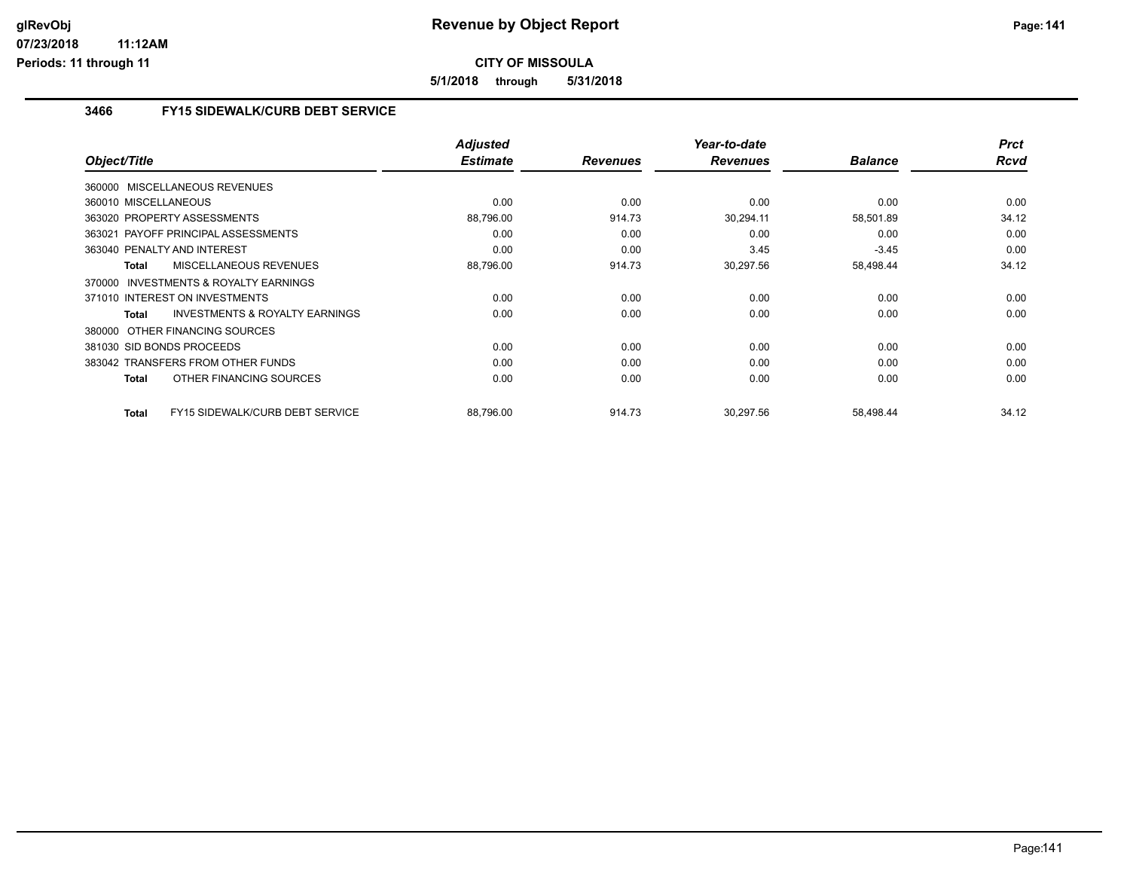**5/1/2018 through 5/31/2018**

### **3466 FY15 SIDEWALK/CURB DEBT SERVICE**

| Object/Title                                       | <b>Adjusted</b><br><b>Estimate</b> | <b>Revenues</b> | Year-to-date<br><b>Revenues</b> | <b>Balance</b> | <b>Prct</b><br><b>Rcvd</b> |
|----------------------------------------------------|------------------------------------|-----------------|---------------------------------|----------------|----------------------------|
|                                                    |                                    |                 |                                 |                |                            |
| 360000 MISCELLANEOUS REVENUES                      |                                    |                 |                                 |                |                            |
| 360010 MISCELLANEOUS                               | 0.00                               | 0.00            | 0.00                            | 0.00           | 0.00                       |
| 363020 PROPERTY ASSESSMENTS                        | 88,796.00                          | 914.73          | 30,294.11                       | 58,501.89      | 34.12                      |
| 363021 PAYOFF PRINCIPAL ASSESSMENTS                | 0.00                               | 0.00            | 0.00                            | 0.00           | 0.00                       |
| 363040 PENALTY AND INTEREST                        | 0.00                               | 0.00            | 3.45                            | $-3.45$        | 0.00                       |
| MISCELLANEOUS REVENUES<br>Total                    | 88,796.00                          | 914.73          | 30,297.56                       | 58,498.44      | 34.12                      |
| 370000 INVESTMENTS & ROYALTY EARNINGS              |                                    |                 |                                 |                |                            |
| 371010 INTEREST ON INVESTMENTS                     | 0.00                               | 0.00            | 0.00                            | 0.00           | 0.00                       |
| <b>INVESTMENTS &amp; ROYALTY EARNINGS</b><br>Total | 0.00                               | 0.00            | 0.00                            | 0.00           | 0.00                       |
| 380000 OTHER FINANCING SOURCES                     |                                    |                 |                                 |                |                            |
| 381030 SID BONDS PROCEEDS                          | 0.00                               | 0.00            | 0.00                            | 0.00           | 0.00                       |
| 383042 TRANSFERS FROM OTHER FUNDS                  | 0.00                               | 0.00            | 0.00                            | 0.00           | 0.00                       |
| OTHER FINANCING SOURCES<br>Total                   | 0.00                               | 0.00            | 0.00                            | 0.00           | 0.00                       |
| FY15 SIDEWALK/CURB DEBT SERVICE<br>Total           | 88.796.00                          | 914.73          | 30.297.56                       | 58,498.44      | 34.12                      |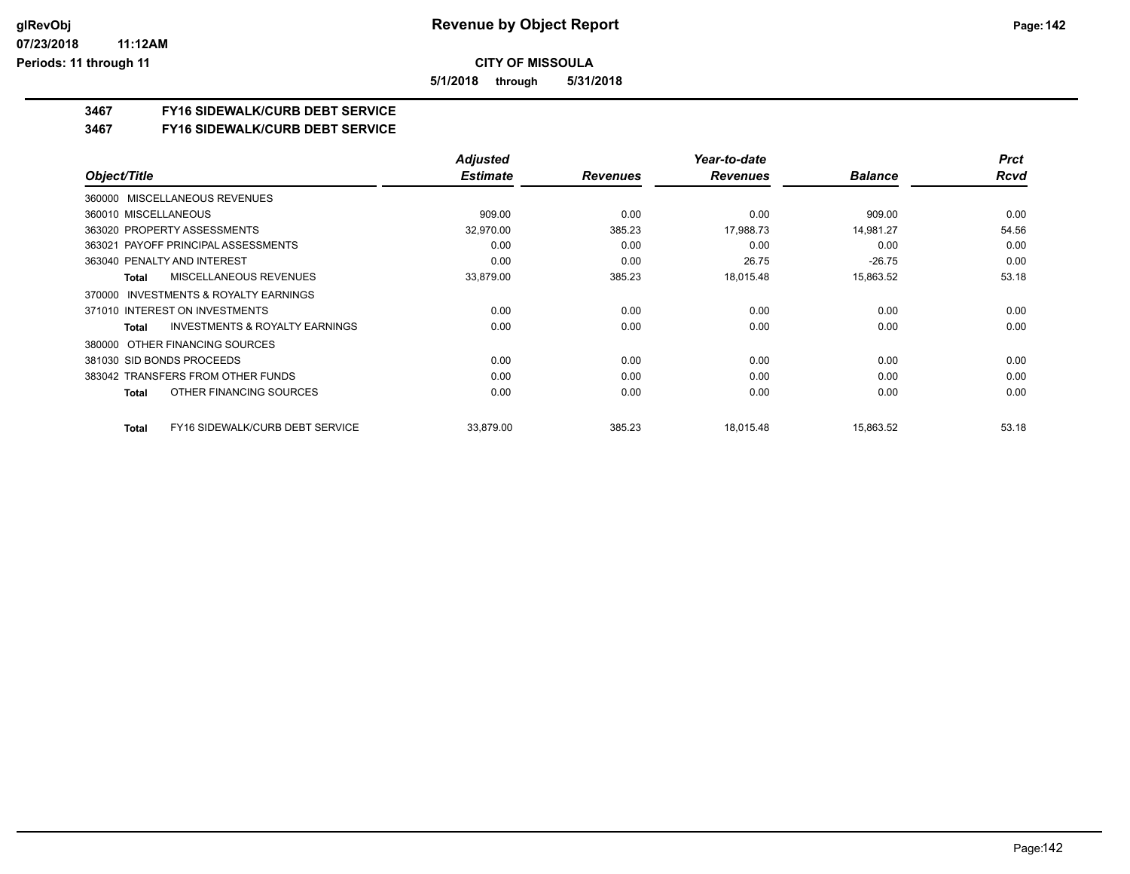**5/1/2018 through 5/31/2018**

# **3467 FY16 SIDEWALK/CURB DEBT SERVICE**

### **3467 FY16 SIDEWALK/CURB DEBT SERVICE**

|                                                     | <b>Adjusted</b> |                 | Year-to-date    |                | <b>Prct</b> |
|-----------------------------------------------------|-----------------|-----------------|-----------------|----------------|-------------|
| Object/Title                                        | <b>Estimate</b> | <b>Revenues</b> | <b>Revenues</b> | <b>Balance</b> | <b>Rcvd</b> |
| MISCELLANEOUS REVENUES<br>360000                    |                 |                 |                 |                |             |
| 360010 MISCELLANEOUS                                | 909.00          | 0.00            | 0.00            | 909.00         | 0.00        |
| 363020 PROPERTY ASSESSMENTS                         | 32,970.00       | 385.23          | 17,988.73       | 14,981.27      | 54.56       |
| 363021 PAYOFF PRINCIPAL ASSESSMENTS                 | 0.00            | 0.00            | 0.00            | 0.00           | 0.00        |
| 363040 PENALTY AND INTEREST                         | 0.00            | 0.00            | 26.75           | $-26.75$       | 0.00        |
| <b>MISCELLANEOUS REVENUES</b><br><b>Total</b>       | 33,879.00       | 385.23          | 18,015.48       | 15,863.52      | 53.18       |
| <b>INVESTMENTS &amp; ROYALTY EARNINGS</b><br>370000 |                 |                 |                 |                |             |
| 371010 INTEREST ON INVESTMENTS                      | 0.00            | 0.00            | 0.00            | 0.00           | 0.00        |
| <b>INVESTMENTS &amp; ROYALTY EARNINGS</b><br>Total  | 0.00            | 0.00            | 0.00            | 0.00           | 0.00        |
| OTHER FINANCING SOURCES<br>380000                   |                 |                 |                 |                |             |
| 381030 SID BONDS PROCEEDS                           | 0.00            | 0.00            | 0.00            | 0.00           | 0.00        |
| 383042 TRANSFERS FROM OTHER FUNDS                   | 0.00            | 0.00            | 0.00            | 0.00           | 0.00        |
| OTHER FINANCING SOURCES<br><b>Total</b>             | 0.00            | 0.00            | 0.00            | 0.00           | 0.00        |
| FY16 SIDEWALK/CURB DEBT SERVICE<br><b>Total</b>     | 33,879.00       | 385.23          | 18.015.48       | 15,863.52      | 53.18       |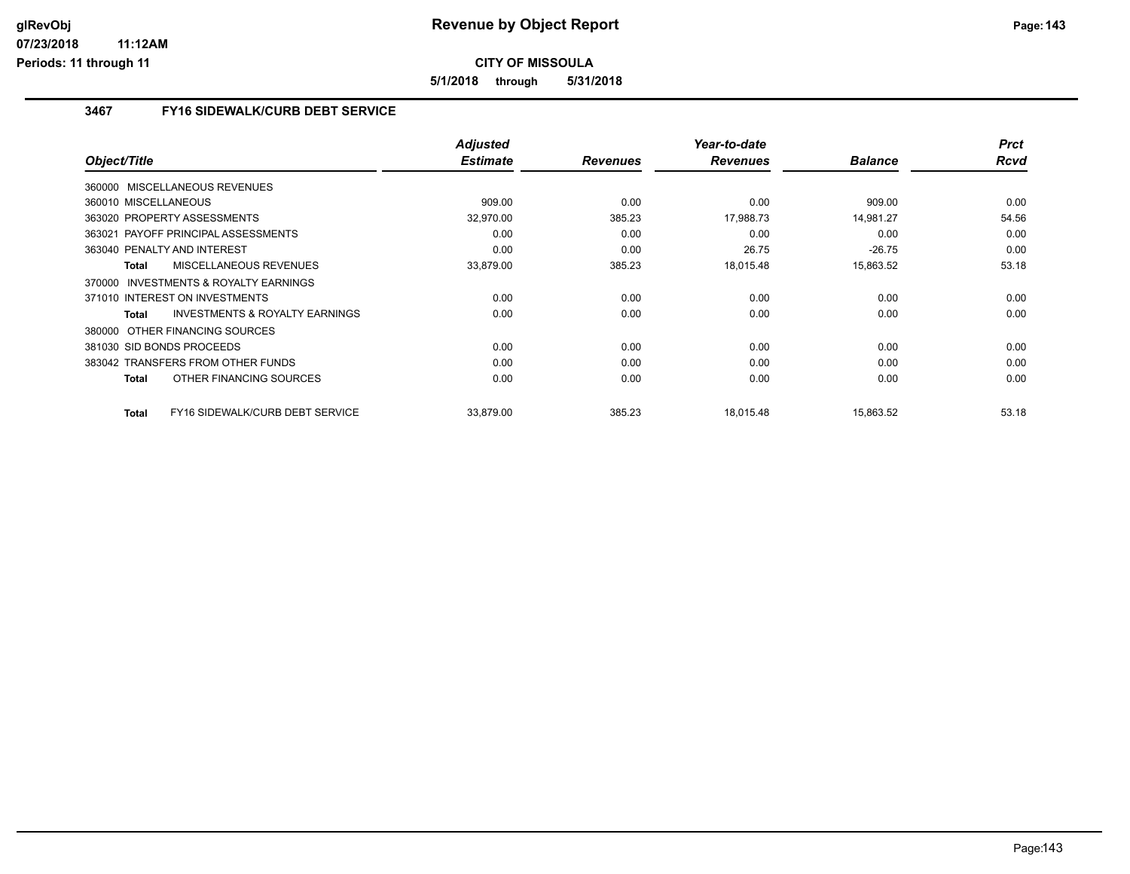**5/1/2018 through 5/31/2018**

### **3467 FY16 SIDEWALK/CURB DEBT SERVICE**

|                                                     | <b>Adjusted</b> |                 | Year-to-date    |                | <b>Prct</b> |
|-----------------------------------------------------|-----------------|-----------------|-----------------|----------------|-------------|
| Object/Title                                        | <b>Estimate</b> | <b>Revenues</b> | <b>Revenues</b> | <b>Balance</b> | <b>Rcvd</b> |
| 360000 MISCELLANEOUS REVENUES                       |                 |                 |                 |                |             |
| 360010 MISCELLANEOUS                                | 909.00          | 0.00            | 0.00            | 909.00         | 0.00        |
| 363020 PROPERTY ASSESSMENTS                         | 32,970.00       | 385.23          | 17,988.73       | 14,981.27      | 54.56       |
| 363021 PAYOFF PRINCIPAL ASSESSMENTS                 | 0.00            | 0.00            | 0.00            | 0.00           | 0.00        |
| 363040 PENALTY AND INTEREST                         | 0.00            | 0.00            | 26.75           | $-26.75$       | 0.00        |
| <b>MISCELLANEOUS REVENUES</b><br>Total              | 33,879.00       | 385.23          | 18,015.48       | 15,863.52      | 53.18       |
| <b>INVESTMENTS &amp; ROYALTY EARNINGS</b><br>370000 |                 |                 |                 |                |             |
| 371010 INTEREST ON INVESTMENTS                      | 0.00            | 0.00            | 0.00            | 0.00           | 0.00        |
| <b>INVESTMENTS &amp; ROYALTY EARNINGS</b><br>Total  | 0.00            | 0.00            | 0.00            | 0.00           | 0.00        |
| 380000 OTHER FINANCING SOURCES                      |                 |                 |                 |                |             |
| 381030 SID BONDS PROCEEDS                           | 0.00            | 0.00            | 0.00            | 0.00           | 0.00        |
| 383042 TRANSFERS FROM OTHER FUNDS                   | 0.00            | 0.00            | 0.00            | 0.00           | 0.00        |
| OTHER FINANCING SOURCES<br>Total                    | 0.00            | 0.00            | 0.00            | 0.00           | 0.00        |
| FY16 SIDEWALK/CURB DEBT SERVICE<br>Total            | 33,879.00       | 385.23          | 18,015.48       | 15,863.52      | 53.18       |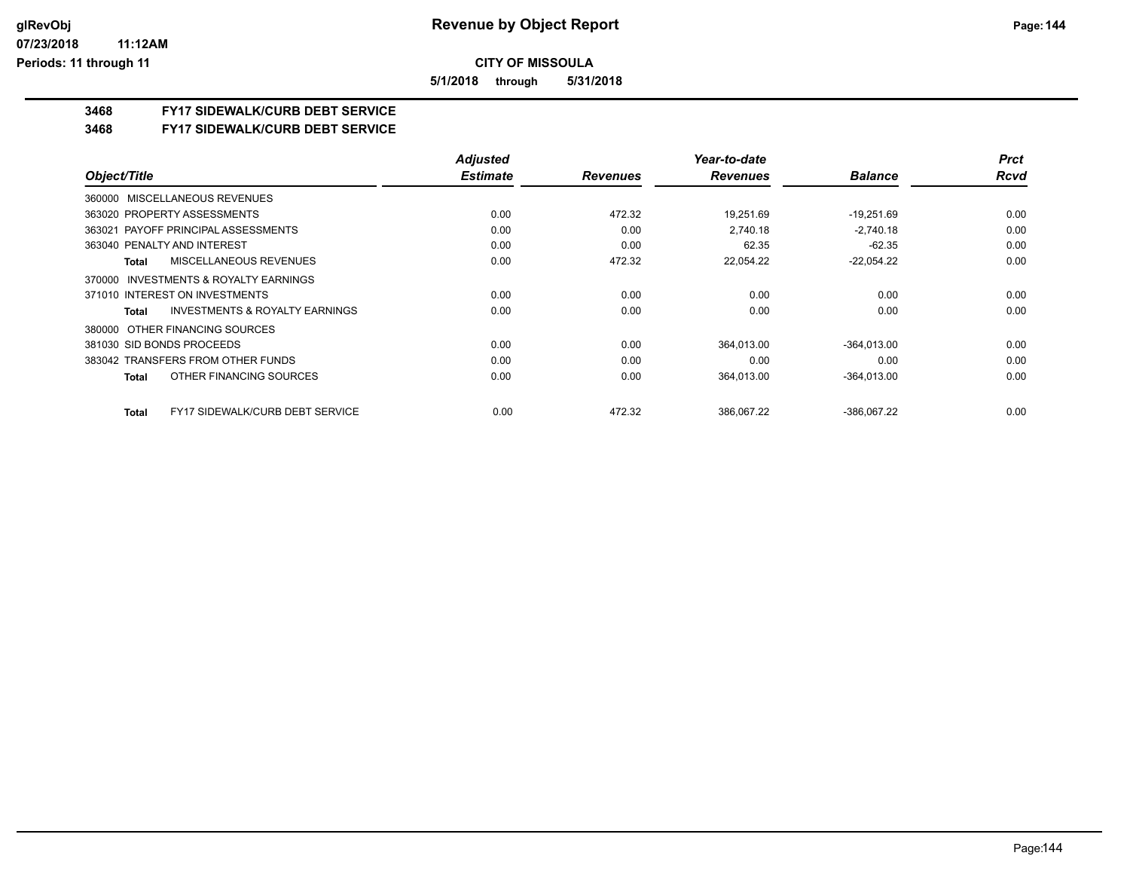**5/1/2018 through 5/31/2018**

# **3468 FY17 SIDEWALK/CURB DEBT SERVICE**

#### **3468 FY17 SIDEWALK/CURB DEBT SERVICE**

|                                                           | <b>Adjusted</b> |                 | Year-to-date    |                | <b>Prct</b> |
|-----------------------------------------------------------|-----------------|-----------------|-----------------|----------------|-------------|
| Object/Title                                              | <b>Estimate</b> | <b>Revenues</b> | <b>Revenues</b> | <b>Balance</b> | <b>Rcvd</b> |
| MISCELLANEOUS REVENUES<br>360000                          |                 |                 |                 |                |             |
| 363020 PROPERTY ASSESSMENTS                               | 0.00            | 472.32          | 19,251.69       | $-19,251.69$   | 0.00        |
| 363021 PAYOFF PRINCIPAL ASSESSMENTS                       | 0.00            | 0.00            | 2.740.18        | $-2,740.18$    | 0.00        |
| 363040 PENALTY AND INTEREST                               | 0.00            | 0.00            | 62.35           | $-62.35$       | 0.00        |
| MISCELLANEOUS REVENUES<br><b>Total</b>                    | 0.00            | 472.32          | 22,054.22       | $-22,054.22$   | 0.00        |
| INVESTMENTS & ROYALTY EARNINGS<br>370000                  |                 |                 |                 |                |             |
| 371010 INTEREST ON INVESTMENTS                            | 0.00            | 0.00            | 0.00            | 0.00           | 0.00        |
| <b>INVESTMENTS &amp; ROYALTY EARNINGS</b><br><b>Total</b> | 0.00            | 0.00            | 0.00            | 0.00           | 0.00        |
| OTHER FINANCING SOURCES<br>380000                         |                 |                 |                 |                |             |
| 381030 SID BONDS PROCEEDS                                 | 0.00            | 0.00            | 364.013.00      | $-364.013.00$  | 0.00        |
| 383042 TRANSFERS FROM OTHER FUNDS                         | 0.00            | 0.00            | 0.00            | 0.00           | 0.00        |
| OTHER FINANCING SOURCES<br><b>Total</b>                   | 0.00            | 0.00            | 364,013.00      | $-364,013.00$  | 0.00        |
| <b>FY17 SIDEWALK/CURB DEBT SERVICE</b><br><b>Total</b>    | 0.00            | 472.32          | 386.067.22      | $-386,067.22$  | 0.00        |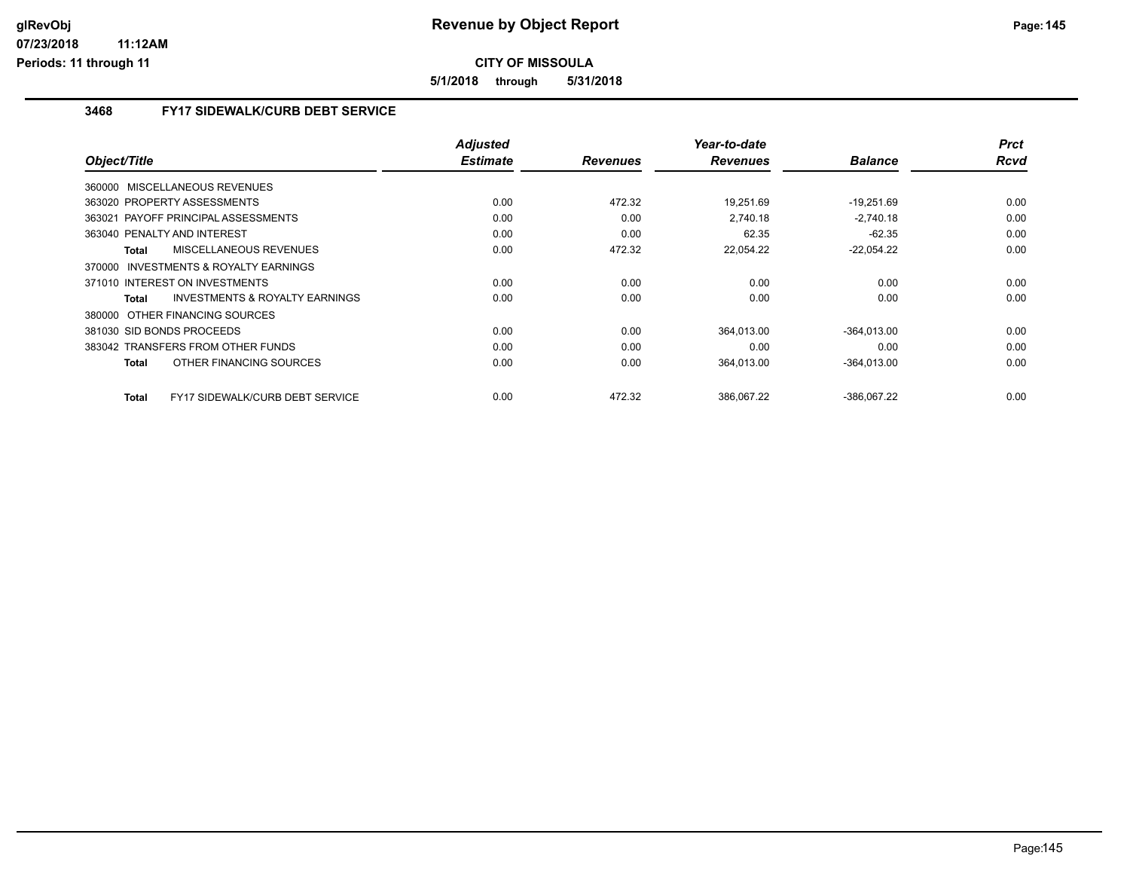**5/1/2018 through 5/31/2018**

## **3468 FY17 SIDEWALK/CURB DEBT SERVICE**

| Object/Title                                       | <b>Adjusted</b><br><b>Estimate</b> | <b>Revenues</b> | Year-to-date<br><b>Revenues</b> | <b>Balance</b> | <b>Prct</b><br>Rcvd |
|----------------------------------------------------|------------------------------------|-----------------|---------------------------------|----------------|---------------------|
|                                                    |                                    |                 |                                 |                |                     |
| 360000 MISCELLANEOUS REVENUES                      |                                    |                 |                                 |                |                     |
| 363020 PROPERTY ASSESSMENTS                        | 0.00                               | 472.32          | 19,251.69                       | $-19,251.69$   | 0.00                |
| 363021 PAYOFF PRINCIPAL ASSESSMENTS                | 0.00                               | 0.00            | 2,740.18                        | $-2.740.18$    | 0.00                |
| 363040 PENALTY AND INTEREST                        | 0.00                               | 0.00            | 62.35                           | $-62.35$       | 0.00                |
| <b>MISCELLANEOUS REVENUES</b><br>Total             | 0.00                               | 472.32          | 22,054.22                       | $-22,054.22$   | 0.00                |
| 370000 INVESTMENTS & ROYALTY EARNINGS              |                                    |                 |                                 |                |                     |
| 371010 INTEREST ON INVESTMENTS                     | 0.00                               | 0.00            | 0.00                            | 0.00           | 0.00                |
| <b>INVESTMENTS &amp; ROYALTY EARNINGS</b><br>Total | 0.00                               | 0.00            | 0.00                            | 0.00           | 0.00                |
| 380000 OTHER FINANCING SOURCES                     |                                    |                 |                                 |                |                     |
| 381030 SID BONDS PROCEEDS                          | 0.00                               | 0.00            | 364,013.00                      | $-364,013.00$  | 0.00                |
| 383042 TRANSFERS FROM OTHER FUNDS                  | 0.00                               | 0.00            | 0.00                            | 0.00           | 0.00                |
| OTHER FINANCING SOURCES<br>Total                   | 0.00                               | 0.00            | 364,013.00                      | $-364,013.00$  | 0.00                |
| <b>FY17 SIDEWALK/CURB DEBT SERVICE</b><br>Total    | 0.00                               | 472.32          | 386.067.22                      | $-386.067.22$  | 0.00                |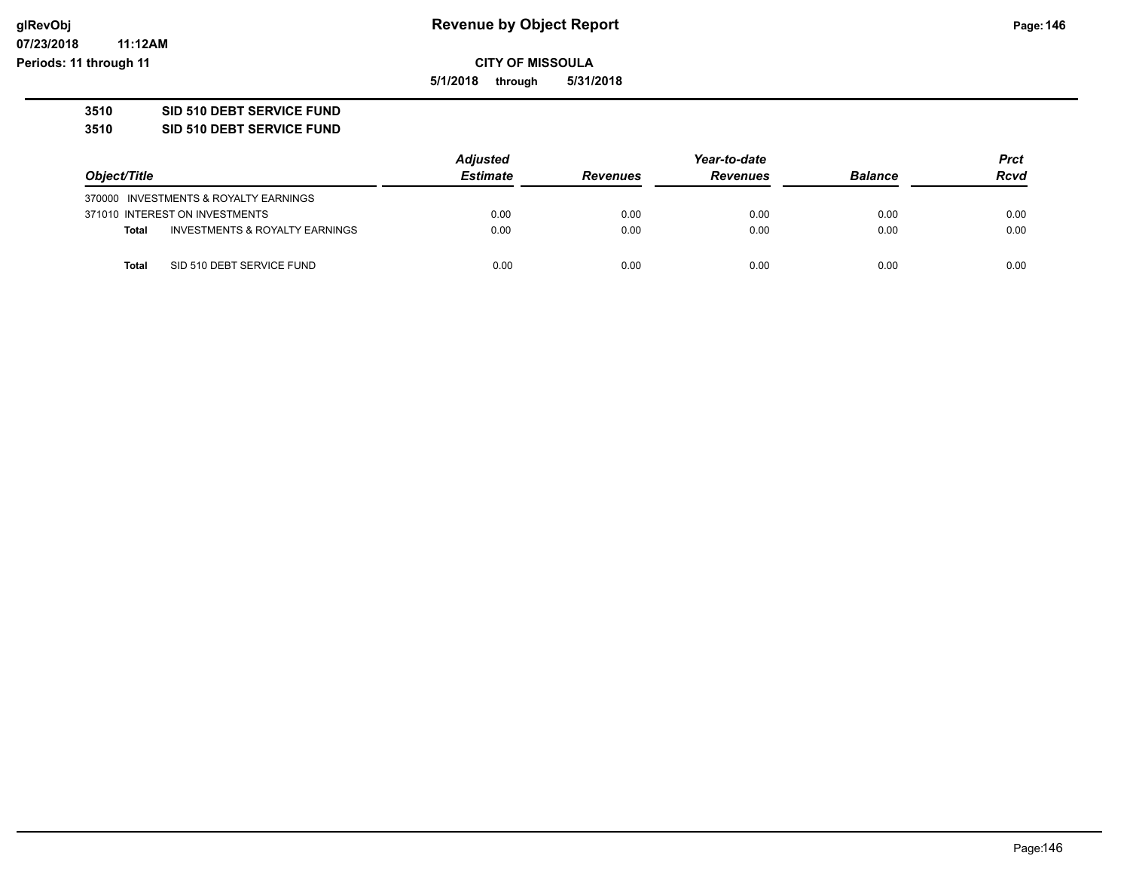**07/23/2018 11:12AM Periods: 11 through 11**

**CITY OF MISSOULA**

**5/1/2018 through 5/31/2018**

## **3510 SID 510 DEBT SERVICE FUND**

**3510 SID 510 DEBT SERVICE FUND**

|              |                                       | <b>Adjusted</b> |                 | Year-to-date    |                | Prct |
|--------------|---------------------------------------|-----------------|-----------------|-----------------|----------------|------|
| Object/Title |                                       | <b>Estimate</b> | <b>Revenues</b> | <b>Revenues</b> | <b>Balance</b> | Rcvd |
|              | 370000 INVESTMENTS & ROYALTY EARNINGS |                 |                 |                 |                |      |
|              | 371010 INTEREST ON INVESTMENTS        | 0.00            | 0.00            | 0.00            | 0.00           | 0.00 |
| Total        | INVESTMENTS & ROYALTY EARNINGS        | 0.00            | 0.00            | 0.00            | 0.00           | 0.00 |
| Total        | SID 510 DEBT SERVICE FUND             | 0.00            | 0.00            | 0.00            | 0.00           | 0.00 |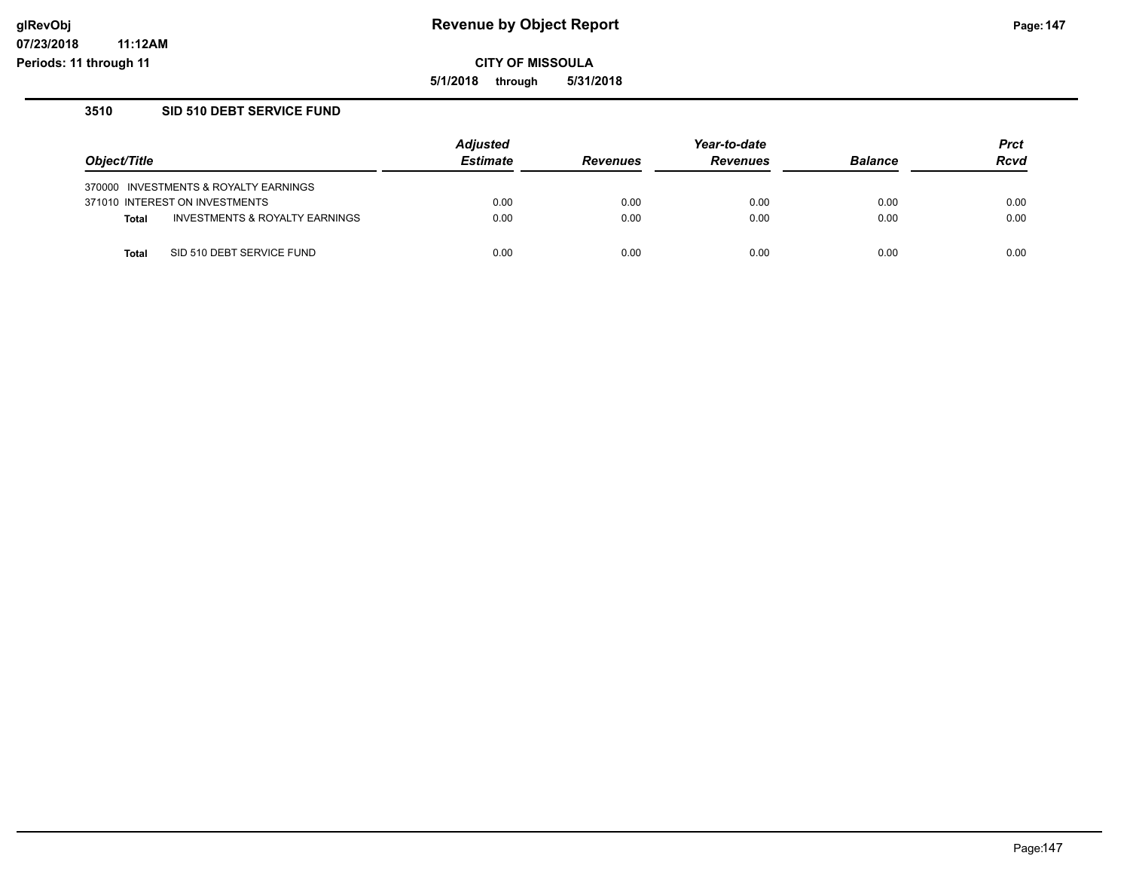**Periods: 11 through 11**

**CITY OF MISSOULA**

**5/1/2018 through 5/31/2018**

## **3510 SID 510 DEBT SERVICE FUND**

**11:12AM**

|              |                                           | <b>Adjusted</b> |                 | Year-to-date    |                | <b>Prct</b> |
|--------------|-------------------------------------------|-----------------|-----------------|-----------------|----------------|-------------|
| Object/Title |                                           | <b>Estimate</b> | <b>Revenues</b> | <b>Revenues</b> | <b>Balance</b> | Rcvd        |
|              | 370000 INVESTMENTS & ROYALTY EARNINGS     |                 |                 |                 |                |             |
|              | 371010 INTEREST ON INVESTMENTS            | 0.00            | 0.00            | 0.00            | 0.00           | 0.00        |
| <b>Total</b> | <b>INVESTMENTS &amp; ROYALTY EARNINGS</b> | 0.00            | 0.00            | 0.00            | 0.00           | 0.00        |
| Total        | SID 510 DEBT SERVICE FUND                 | 0.00            | 0.00            | 0.00            | 0.00           | 0.00        |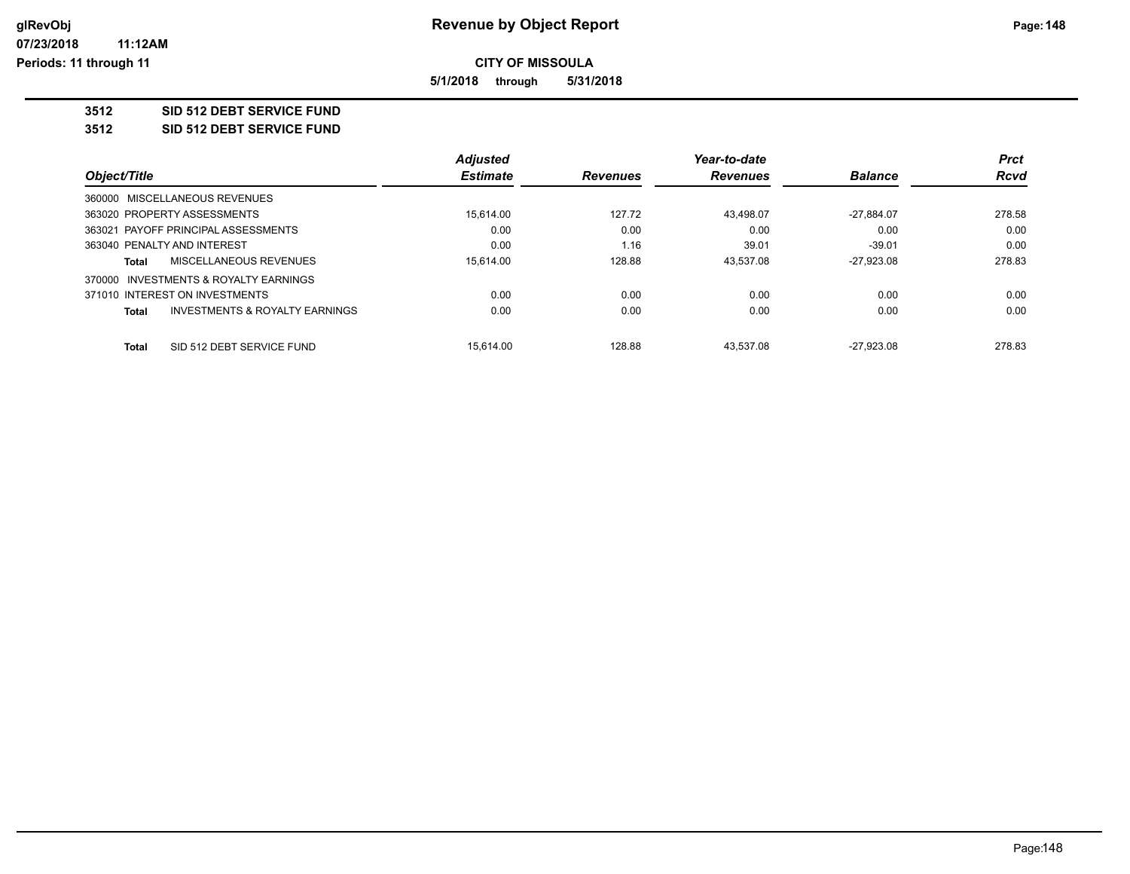**5/1/2018 through 5/31/2018**

**3512 SID 512 DEBT SERVICE FUND**

**3512 SID 512 DEBT SERVICE FUND**

|                                         | <b>Adjusted</b> |                 | Year-to-date    |                | <b>Prct</b> |
|-----------------------------------------|-----------------|-----------------|-----------------|----------------|-------------|
| Object/Title                            | <b>Estimate</b> | <b>Revenues</b> | <b>Revenues</b> | <b>Balance</b> | Rcvd        |
| 360000 MISCELLANEOUS REVENUES           |                 |                 |                 |                |             |
| 363020 PROPERTY ASSESSMENTS             | 15.614.00       | 127.72          | 43,498.07       | $-27,884.07$   | 278.58      |
| 363021 PAYOFF PRINCIPAL ASSESSMENTS     | 0.00            | 0.00            | 0.00            | 0.00           | 0.00        |
| 363040 PENALTY AND INTEREST             | 0.00            | 1.16            | 39.01           | $-39.01$       | 0.00        |
| MISCELLANEOUS REVENUES<br>Total         | 15.614.00       | 128.88          | 43.537.08       | $-27.923.08$   | 278.83      |
| 370000 INVESTMENTS & ROYALTY EARNINGS   |                 |                 |                 |                |             |
| 371010 INTEREST ON INVESTMENTS          | 0.00            | 0.00            | 0.00            | 0.00           | 0.00        |
| INVESTMENTS & ROYALTY EARNINGS<br>Total | 0.00            | 0.00            | 0.00            | 0.00           | 0.00        |
| SID 512 DEBT SERVICE FUND<br>Total      | 15.614.00       | 128.88          | 43.537.08       | $-27.923.08$   | 278.83      |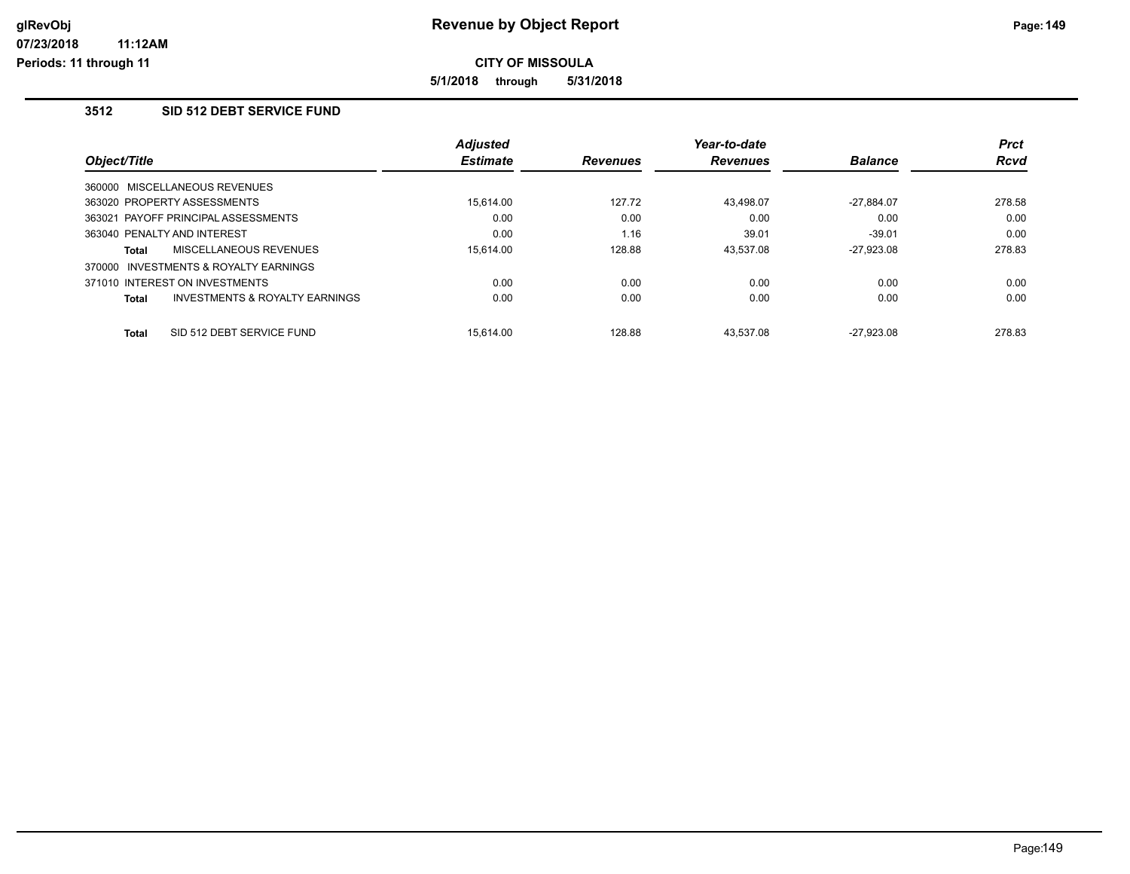**5/1/2018 through 5/31/2018**

## **3512 SID 512 DEBT SERVICE FUND**

|              |                                     | <b>Adjusted</b> |                 | Year-to-date    |                | <b>Prct</b> |
|--------------|-------------------------------------|-----------------|-----------------|-----------------|----------------|-------------|
| Object/Title |                                     | <b>Estimate</b> | <b>Revenues</b> | <b>Revenues</b> | <b>Balance</b> | <b>Rcvd</b> |
|              | 360000 MISCELLANEOUS REVENUES       |                 |                 |                 |                |             |
|              | 363020 PROPERTY ASSESSMENTS         | 15.614.00       | 127.72          | 43.498.07       | $-27.884.07$   | 278.58      |
|              | 363021 PAYOFF PRINCIPAL ASSESSMENTS | 0.00            | 0.00            | 0.00            | 0.00           | 0.00        |
|              | 363040 PENALTY AND INTEREST         | 0.00            | 1.16            | 39.01           | $-39.01$       | 0.00        |
| Total        | MISCELLANEOUS REVENUES              | 15.614.00       | 128.88          | 43.537.08       | $-27.923.08$   | 278.83      |
| 370000       | INVESTMENTS & ROYALTY EARNINGS      |                 |                 |                 |                |             |
|              | 371010 INTEREST ON INVESTMENTS      | 0.00            | 0.00            | 0.00            | 0.00           | 0.00        |
| <b>Total</b> | INVESTMENTS & ROYALTY EARNINGS      | 0.00            | 0.00            | 0.00            | 0.00           | 0.00        |
| <b>Total</b> | SID 512 DEBT SERVICE FUND           | 15.614.00       | 128.88          | 43.537.08       | $-27.923.08$   | 278.83      |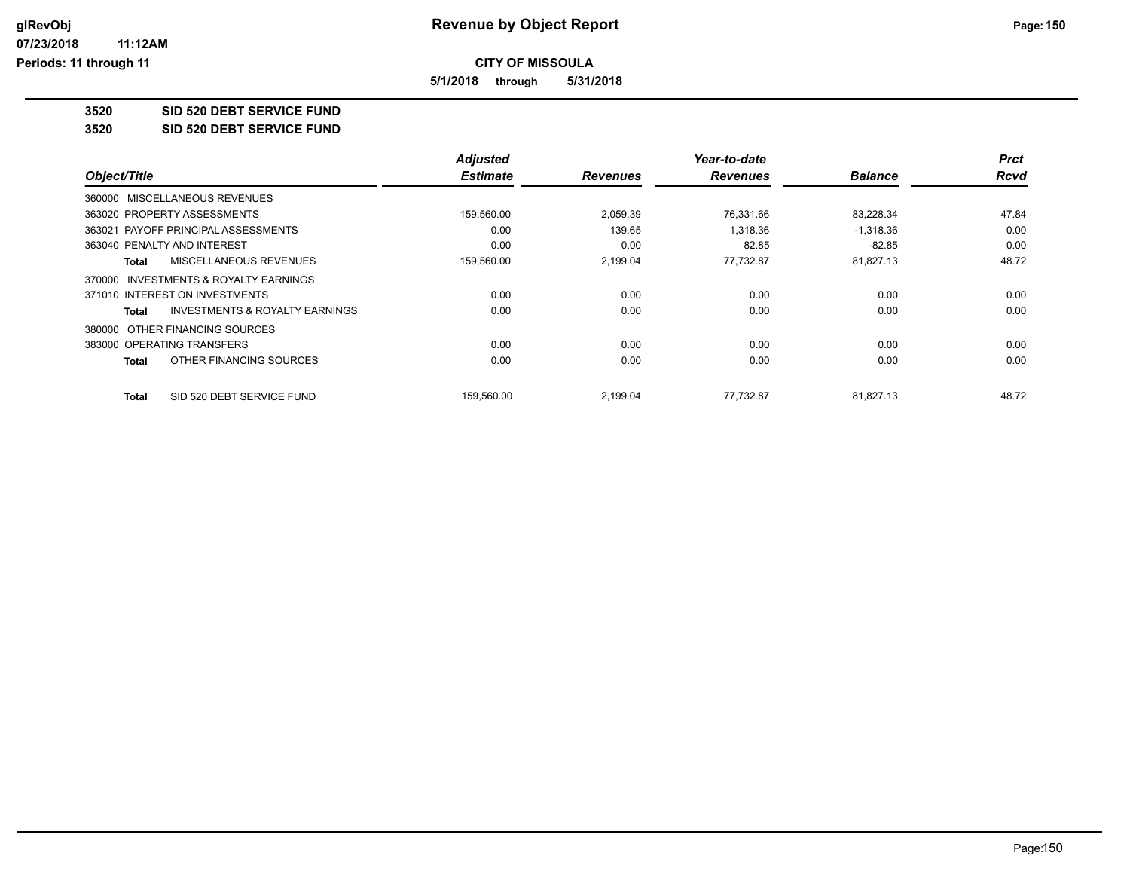**5/1/2018 through 5/31/2018**

**3520 SID 520 DEBT SERVICE FUND**

**3520 SID 520 DEBT SERVICE FUND**

|                                         | <b>Adjusted</b> |                 | Year-to-date    |                | <b>Prct</b> |
|-----------------------------------------|-----------------|-----------------|-----------------|----------------|-------------|
| Object/Title                            | <b>Estimate</b> | <b>Revenues</b> | <b>Revenues</b> | <b>Balance</b> | <b>Rcvd</b> |
| 360000 MISCELLANEOUS REVENUES           |                 |                 |                 |                |             |
| 363020 PROPERTY ASSESSMENTS             | 159,560.00      | 2,059.39        | 76,331.66       | 83,228.34      | 47.84       |
| 363021 PAYOFF PRINCIPAL ASSESSMENTS     | 0.00            | 139.65          | 1,318.36        | $-1,318.36$    | 0.00        |
| 363040 PENALTY AND INTEREST             | 0.00            | 0.00            | 82.85           | $-82.85$       | 0.00        |
| MISCELLANEOUS REVENUES<br>Total         | 159,560.00      | 2,199.04        | 77.732.87       | 81,827.13      | 48.72       |
| 370000 INVESTMENTS & ROYALTY EARNINGS   |                 |                 |                 |                |             |
| 371010 INTEREST ON INVESTMENTS          | 0.00            | 0.00            | 0.00            | 0.00           | 0.00        |
| INVESTMENTS & ROYALTY EARNINGS<br>Total | 0.00            | 0.00            | 0.00            | 0.00           | 0.00        |
| 380000 OTHER FINANCING SOURCES          |                 |                 |                 |                |             |
| 383000 OPERATING TRANSFERS              | 0.00            | 0.00            | 0.00            | 0.00           | 0.00        |
| OTHER FINANCING SOURCES<br>Total        | 0.00            | 0.00            | 0.00            | 0.00           | 0.00        |
| SID 520 DEBT SERVICE FUND<br>Total      | 159.560.00      | 2.199.04        | 77.732.87       | 81,827.13      | 48.72       |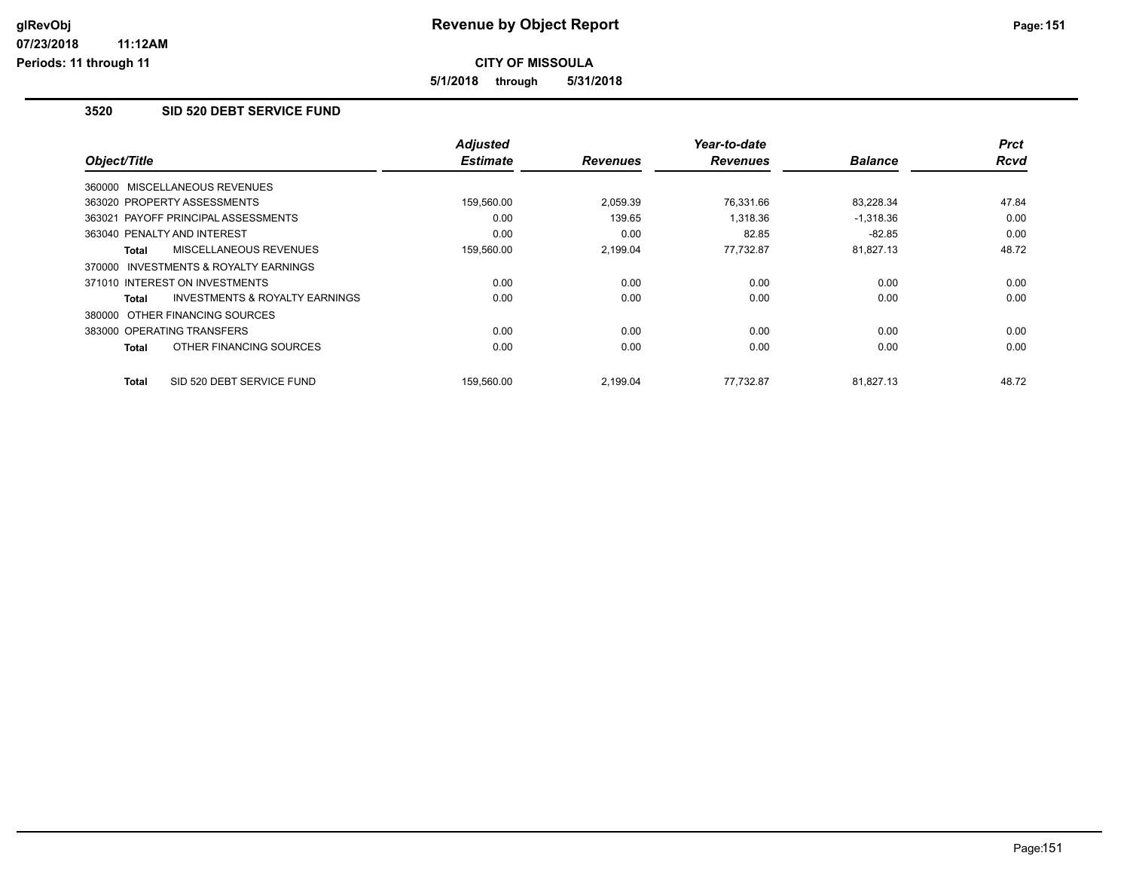**Periods: 11 through 11**

**CITY OF MISSOULA**

**5/1/2018 through 5/31/2018**

## **3520 SID 520 DEBT SERVICE FUND**

|                                                    | <b>Adjusted</b> |                 | Year-to-date    |                | <b>Prct</b> |
|----------------------------------------------------|-----------------|-----------------|-----------------|----------------|-------------|
| Object/Title                                       | <b>Estimate</b> | <b>Revenues</b> | <b>Revenues</b> | <b>Balance</b> | Rcvd        |
| 360000 MISCELLANEOUS REVENUES                      |                 |                 |                 |                |             |
| 363020 PROPERTY ASSESSMENTS                        | 159,560.00      | 2.059.39        | 76.331.66       | 83,228.34      | 47.84       |
| 363021 PAYOFF PRINCIPAL ASSESSMENTS                | 0.00            | 139.65          | 1,318.36        | $-1,318.36$    | 0.00        |
| 363040 PENALTY AND INTEREST                        | 0.00            | 0.00            | 82.85           | -82.85         | 0.00        |
| MISCELLANEOUS REVENUES<br>Total                    | 159,560.00      | 2.199.04        | 77.732.87       | 81,827.13      | 48.72       |
| INVESTMENTS & ROYALTY EARNINGS<br>370000           |                 |                 |                 |                |             |
| 371010 INTEREST ON INVESTMENTS                     | 0.00            | 0.00            | 0.00            | 0.00           | 0.00        |
| <b>INVESTMENTS &amp; ROYALTY EARNINGS</b><br>Total | 0.00            | 0.00            | 0.00            | 0.00           | 0.00        |
| 380000 OTHER FINANCING SOURCES                     |                 |                 |                 |                |             |
| 383000 OPERATING TRANSFERS                         | 0.00            | 0.00            | 0.00            | 0.00           | 0.00        |
| OTHER FINANCING SOURCES<br><b>Total</b>            | 0.00            | 0.00            | 0.00            | 0.00           | 0.00        |
| SID 520 DEBT SERVICE FUND<br><b>Total</b>          | 159,560.00      | 2,199.04        | 77.732.87       | 81,827.13      | 48.72       |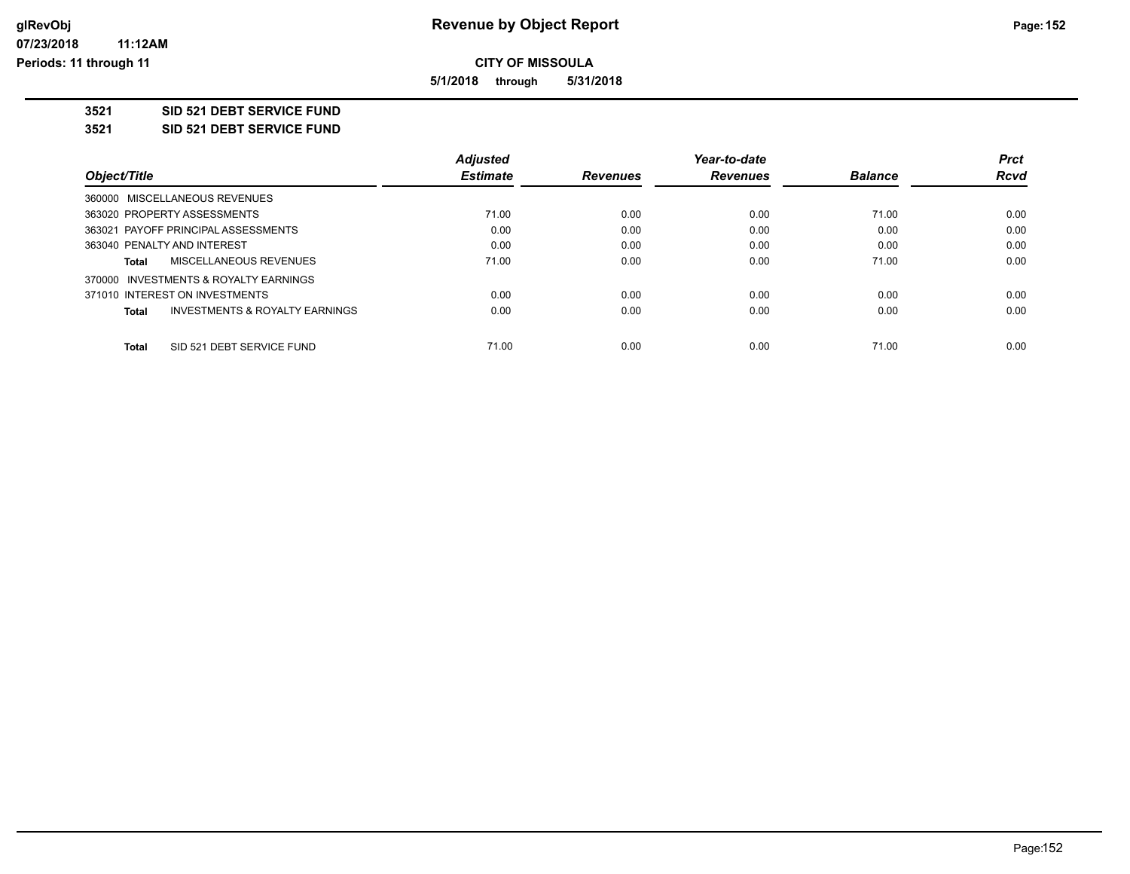**5/1/2018 through 5/31/2018**

**3521 SID 521 DEBT SERVICE FUND**

**3521 SID 521 DEBT SERVICE FUND**

|                                                    | <b>Adjusted</b> |                 | Year-to-date    |                | <b>Prct</b> |
|----------------------------------------------------|-----------------|-----------------|-----------------|----------------|-------------|
| Object/Title                                       | <b>Estimate</b> | <b>Revenues</b> | <b>Revenues</b> | <b>Balance</b> | <b>Rcvd</b> |
| 360000 MISCELLANEOUS REVENUES                      |                 |                 |                 |                |             |
| 363020 PROPERTY ASSESSMENTS                        | 71.00           | 0.00            | 0.00            | 71.00          | 0.00        |
| 363021 PAYOFF PRINCIPAL ASSESSMENTS                | 0.00            | 0.00            | 0.00            | 0.00           | 0.00        |
| 363040 PENALTY AND INTEREST                        | 0.00            | 0.00            | 0.00            | 0.00           | 0.00        |
| <b>MISCELLANEOUS REVENUES</b><br>Total             | 71.00           | 0.00            | 0.00            | 71.00          | 0.00        |
| 370000 INVESTMENTS & ROYALTY EARNINGS              |                 |                 |                 |                |             |
| 371010 INTEREST ON INVESTMENTS                     | 0.00            | 0.00            | 0.00            | 0.00           | 0.00        |
| <b>INVESTMENTS &amp; ROYALTY EARNINGS</b><br>Total | 0.00            | 0.00            | 0.00            | 0.00           | 0.00        |
| SID 521 DEBT SERVICE FUND<br>Total                 | 71.00           | 0.00            | 0.00            | 71.00          | 0.00        |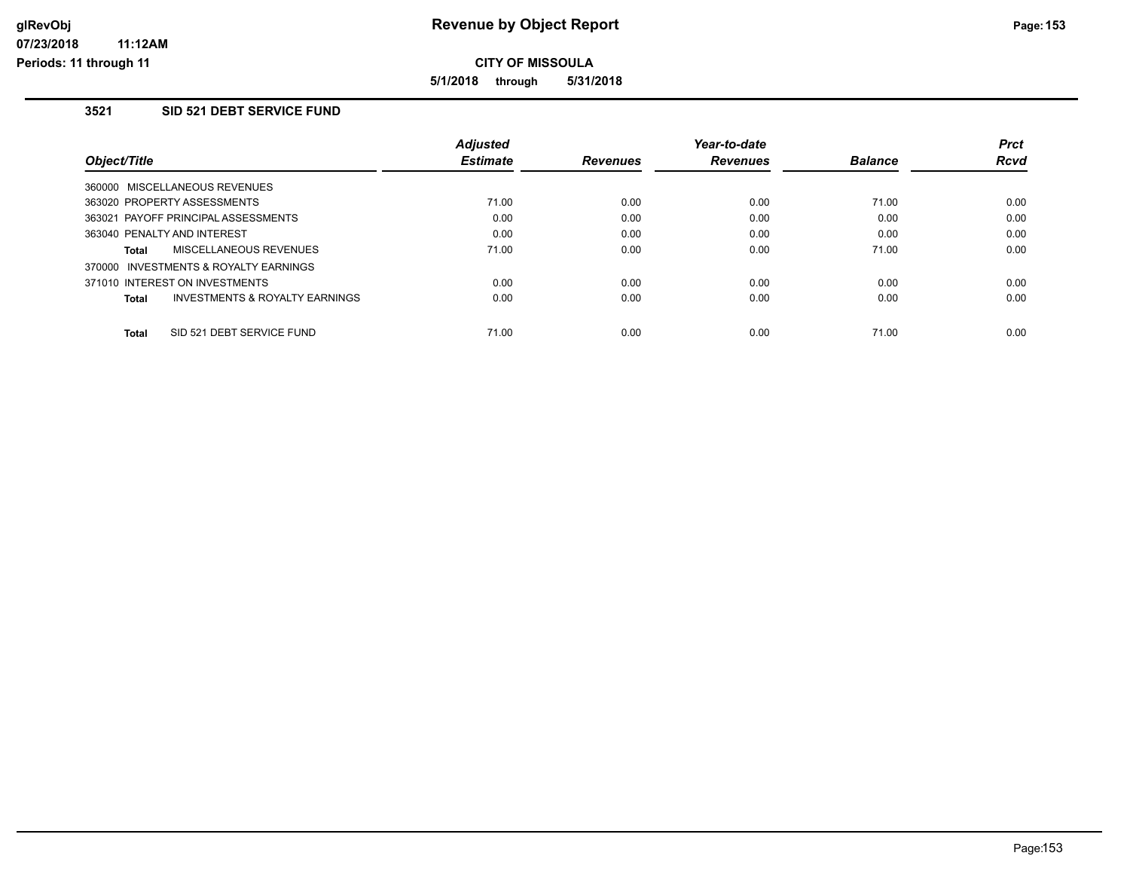**5/1/2018 through 5/31/2018**

## **3521 SID 521 DEBT SERVICE FUND**

|                                         | <b>Adjusted</b> |                 | Year-to-date    |                | <b>Prct</b> |
|-----------------------------------------|-----------------|-----------------|-----------------|----------------|-------------|
| Object/Title                            | <b>Estimate</b> | <b>Revenues</b> | <b>Revenues</b> | <b>Balance</b> | Rcvd        |
| 360000 MISCELLANEOUS REVENUES           |                 |                 |                 |                |             |
| 363020 PROPERTY ASSESSMENTS             | 71.00           | 0.00            | 0.00            | 71.00          | 0.00        |
| 363021 PAYOFF PRINCIPAL ASSESSMENTS     | 0.00            | 0.00            | 0.00            | 0.00           | 0.00        |
| 363040 PENALTY AND INTEREST             | 0.00            | 0.00            | 0.00            | 0.00           | 0.00        |
| MISCELLANEOUS REVENUES<br>Total         | 71.00           | 0.00            | 0.00            | 71.00          | 0.00        |
| 370000 INVESTMENTS & ROYALTY EARNINGS   |                 |                 |                 |                |             |
| 371010 INTEREST ON INVESTMENTS          | 0.00            | 0.00            | 0.00            | 0.00           | 0.00        |
| INVESTMENTS & ROYALTY EARNINGS<br>Total | 0.00            | 0.00            | 0.00            | 0.00           | 0.00        |
| SID 521 DEBT SERVICE FUND<br>Total      | 71.00           | 0.00            | 0.00            | 71.00          | 0.00        |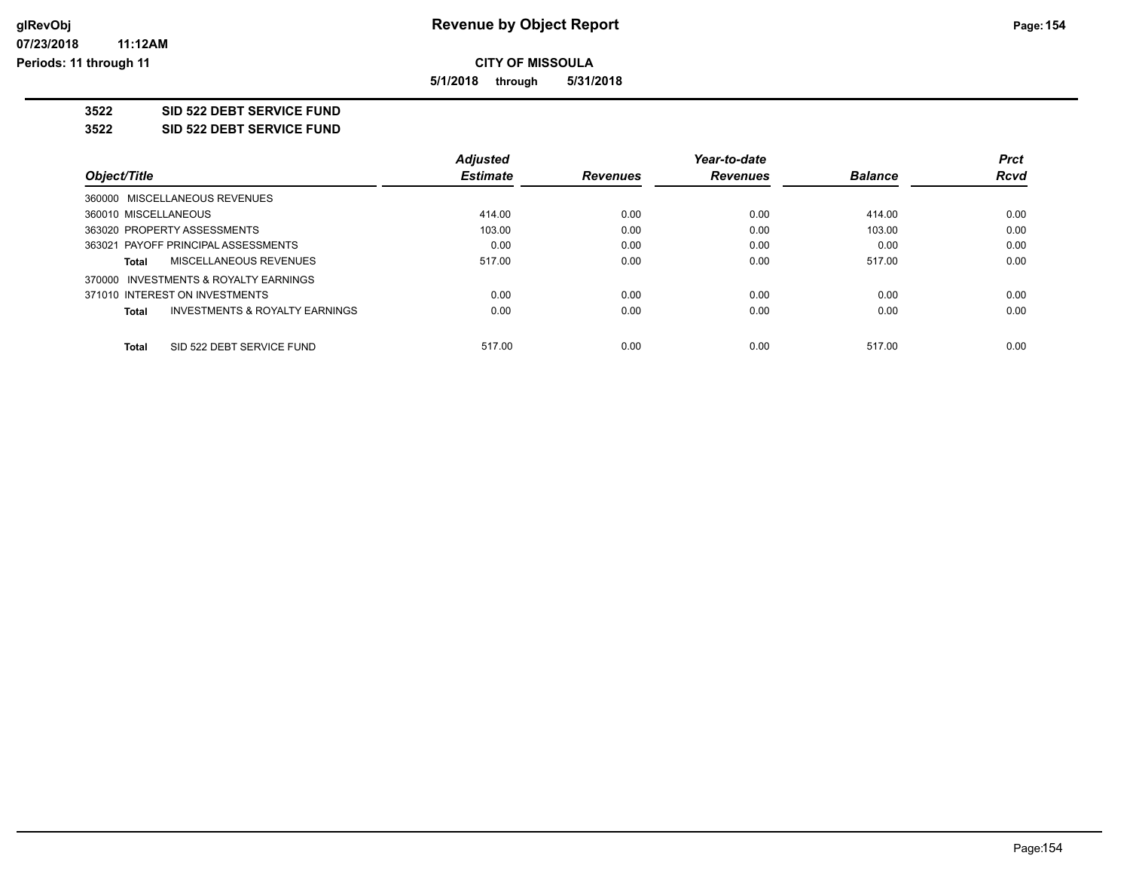**5/1/2018 through 5/31/2018**

**3522 SID 522 DEBT SERVICE FUND**

**3522 SID 522 DEBT SERVICE FUND**

|                                                    | <b>Adjusted</b> |                 | Year-to-date    |                | <b>Prct</b> |
|----------------------------------------------------|-----------------|-----------------|-----------------|----------------|-------------|
| Object/Title                                       | <b>Estimate</b> | <b>Revenues</b> | <b>Revenues</b> | <b>Balance</b> | Rcvd        |
| 360000 MISCELLANEOUS REVENUES                      |                 |                 |                 |                |             |
| 360010 MISCELLANEOUS                               | 414.00          | 0.00            | 0.00            | 414.00         | 0.00        |
| 363020 PROPERTY ASSESSMENTS                        | 103.00          | 0.00            | 0.00            | 103.00         | 0.00        |
| 363021 PAYOFF PRINCIPAL ASSESSMENTS                | 0.00            | 0.00            | 0.00            | 0.00           | 0.00        |
| <b>MISCELLANEOUS REVENUES</b><br>Total             | 517.00          | 0.00            | 0.00            | 517.00         | 0.00        |
| 370000 INVESTMENTS & ROYALTY EARNINGS              |                 |                 |                 |                |             |
| 371010 INTEREST ON INVESTMENTS                     | 0.00            | 0.00            | 0.00            | 0.00           | 0.00        |
| <b>INVESTMENTS &amp; ROYALTY EARNINGS</b><br>Total | 0.00            | 0.00            | 0.00            | 0.00           | 0.00        |
| SID 522 DEBT SERVICE FUND<br>Total                 | 517.00          | 0.00            | 0.00            | 517.00         | 0.00        |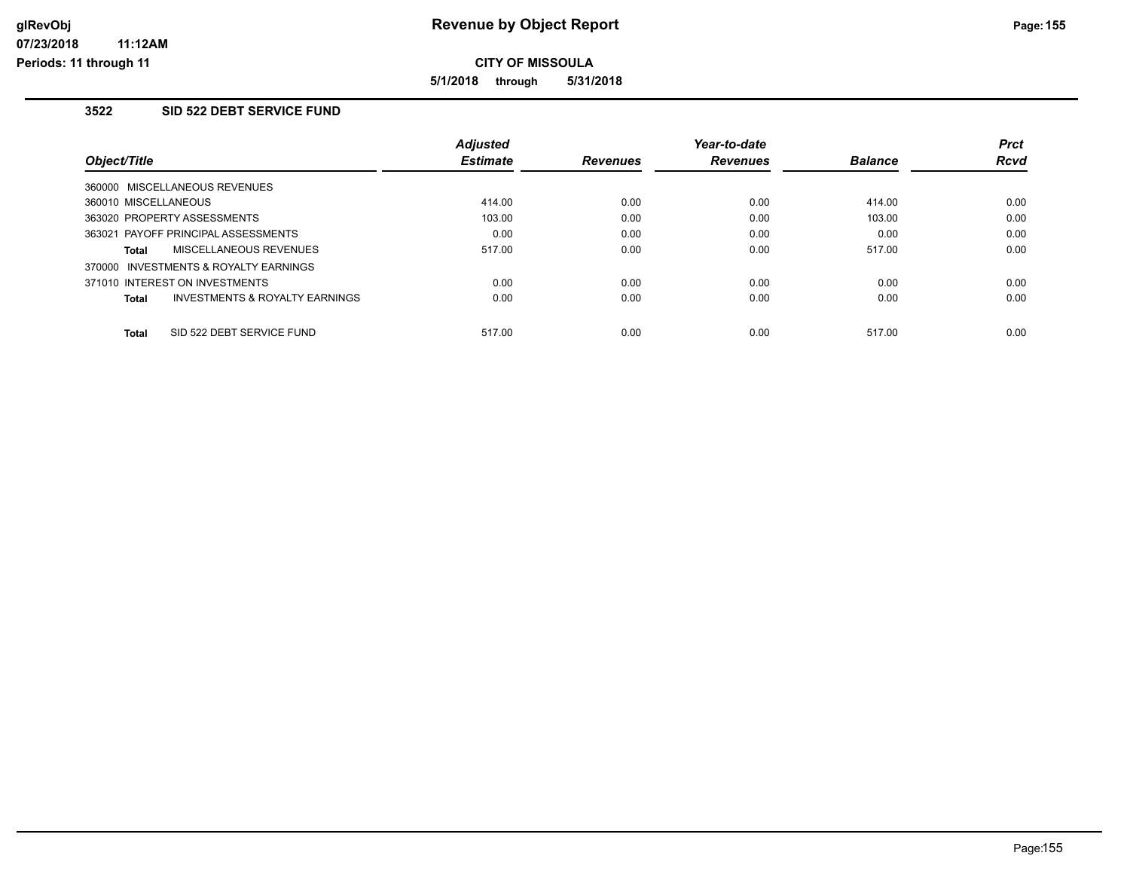**5/1/2018 through 5/31/2018**

## **3522 SID 522 DEBT SERVICE FUND**

|                                                           | <b>Adiusted</b> |                 | Year-to-date    |                | <b>Prct</b> |
|-----------------------------------------------------------|-----------------|-----------------|-----------------|----------------|-------------|
| Object/Title                                              | <b>Estimate</b> | <b>Revenues</b> | <b>Revenues</b> | <b>Balance</b> | <b>Rcvd</b> |
| 360000 MISCELLANEOUS REVENUES                             |                 |                 |                 |                |             |
| 360010 MISCELLANEOUS                                      | 414.00          | 0.00            | 0.00            | 414.00         | 0.00        |
| 363020 PROPERTY ASSESSMENTS                               | 103.00          | 0.00            | 0.00            | 103.00         | 0.00        |
| 363021 PAYOFF PRINCIPAL ASSESSMENTS                       | 0.00            | 0.00            | 0.00            | 0.00           | 0.00        |
| MISCELLANEOUS REVENUES<br>Total                           | 517.00          | 0.00            | 0.00            | 517.00         | 0.00        |
| INVESTMENTS & ROYALTY EARNINGS<br>370000                  |                 |                 |                 |                |             |
| 371010 INTEREST ON INVESTMENTS                            | 0.00            | 0.00            | 0.00            | 0.00           | 0.00        |
| <b>Total</b><br><b>INVESTMENTS &amp; ROYALTY EARNINGS</b> | 0.00            | 0.00            | 0.00            | 0.00           | 0.00        |
| SID 522 DEBT SERVICE FUND<br>Total                        | 517.00          | 0.00            | 0.00            | 517.00         | 0.00        |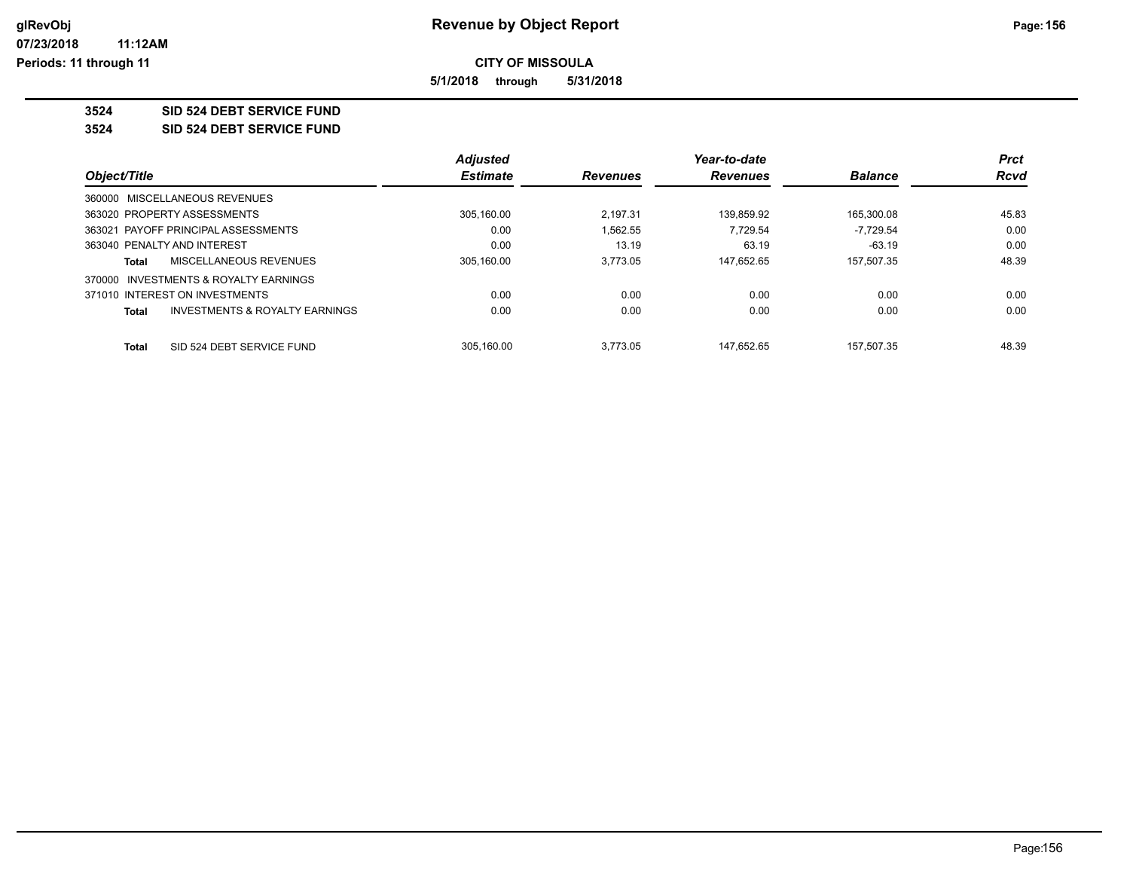**5/1/2018 through 5/31/2018**

**3524 SID 524 DEBT SERVICE FUND**

**3524 SID 524 DEBT SERVICE FUND**

|              |                                           | <b>Adjusted</b> |                 | Year-to-date    |                | <b>Prct</b> |
|--------------|-------------------------------------------|-----------------|-----------------|-----------------|----------------|-------------|
| Object/Title |                                           | <b>Estimate</b> | <b>Revenues</b> | <b>Revenues</b> | <b>Balance</b> | Rcvd        |
|              | 360000 MISCELLANEOUS REVENUES             |                 |                 |                 |                |             |
|              | 363020 PROPERTY ASSESSMENTS               | 305,160.00      | 2.197.31        | 139,859.92      | 165,300.08     | 45.83       |
|              | 363021 PAYOFF PRINCIPAL ASSESSMENTS       | 0.00            | 1.562.55        | 7.729.54        | $-7.729.54$    | 0.00        |
|              | 363040 PENALTY AND INTEREST               | 0.00            | 13.19           | 63.19           | $-63.19$       | 0.00        |
| Total        | <b>MISCELLANEOUS REVENUES</b>             | 305.160.00      | 3.773.05        | 147.652.65      | 157.507.35     | 48.39       |
|              | 370000 INVESTMENTS & ROYALTY EARNINGS     |                 |                 |                 |                |             |
|              | 371010 INTEREST ON INVESTMENTS            | 0.00            | 0.00            | 0.00            | 0.00           | 0.00        |
| Total        | <b>INVESTMENTS &amp; ROYALTY EARNINGS</b> | 0.00            | 0.00            | 0.00            | 0.00           | 0.00        |
| <b>Total</b> | SID 524 DEBT SERVICE FUND                 | 305.160.00      | 3.773.05        | 147.652.65      | 157.507.35     | 48.39       |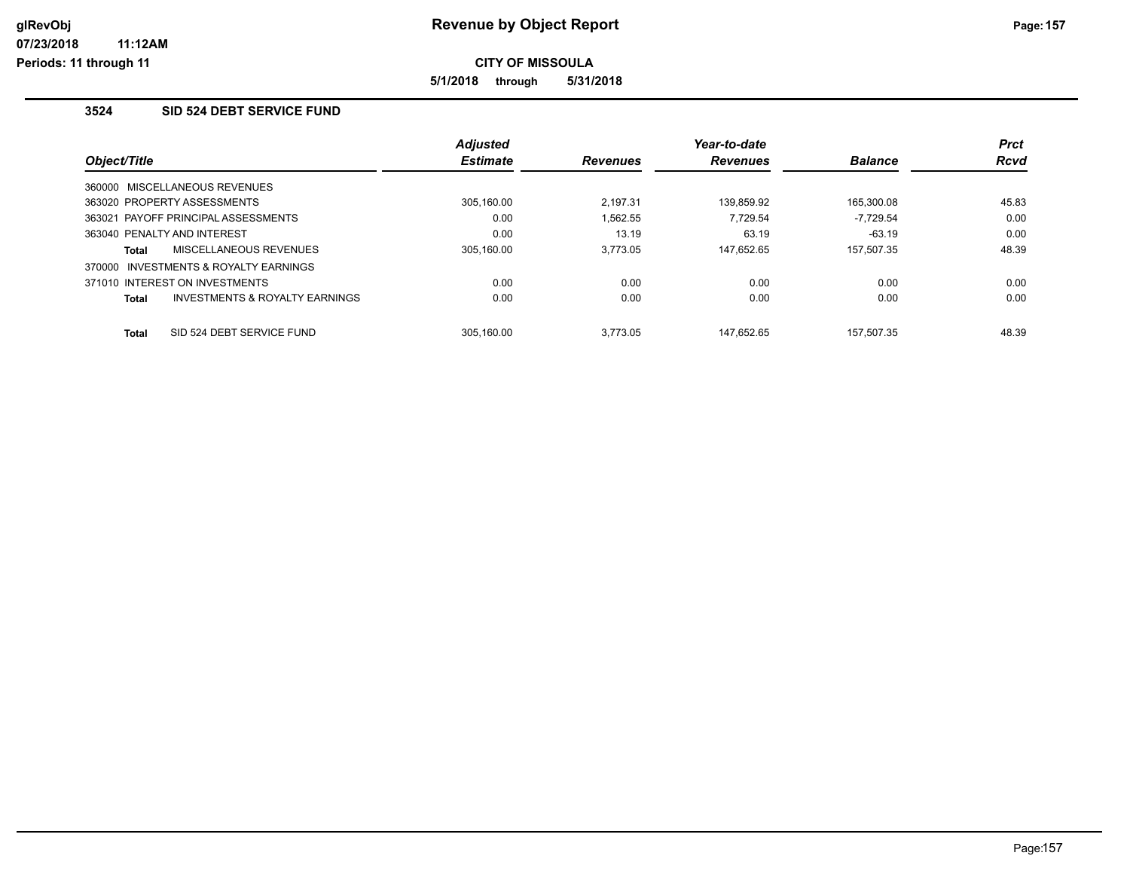**5/1/2018 through 5/31/2018**

## **3524 SID 524 DEBT SERVICE FUND**

|              |                                           | <b>Adjusted</b> |                 | Year-to-date    |                | <b>Prct</b> |
|--------------|-------------------------------------------|-----------------|-----------------|-----------------|----------------|-------------|
| Object/Title |                                           | <b>Estimate</b> | <b>Revenues</b> | <b>Revenues</b> | <b>Balance</b> | Rcvd        |
|              | 360000 MISCELLANEOUS REVENUES             |                 |                 |                 |                |             |
|              | 363020 PROPERTY ASSESSMENTS               | 305.160.00      | 2.197.31        | 139,859.92      | 165,300.08     | 45.83       |
|              | 363021 PAYOFF PRINCIPAL ASSESSMENTS       | 0.00            | 1.562.55        | 7.729.54        | $-7.729.54$    | 0.00        |
|              | 363040 PENALTY AND INTEREST               | 0.00            | 13.19           | 63.19           | $-63.19$       | 0.00        |
| Total        | <b>MISCELLANEOUS REVENUES</b>             | 305.160.00      | 3.773.05        | 147.652.65      | 157.507.35     | 48.39       |
| 370000       | INVESTMENTS & ROYALTY EARNINGS            |                 |                 |                 |                |             |
|              | 371010 INTEREST ON INVESTMENTS            | 0.00            | 0.00            | 0.00            | 0.00           | 0.00        |
| Total        | <b>INVESTMENTS &amp; ROYALTY EARNINGS</b> | 0.00            | 0.00            | 0.00            | 0.00           | 0.00        |
| <b>Total</b> | SID 524 DEBT SERVICE FUND                 | 305.160.00      | 3.773.05        | 147.652.65      | 157.507.35     | 48.39       |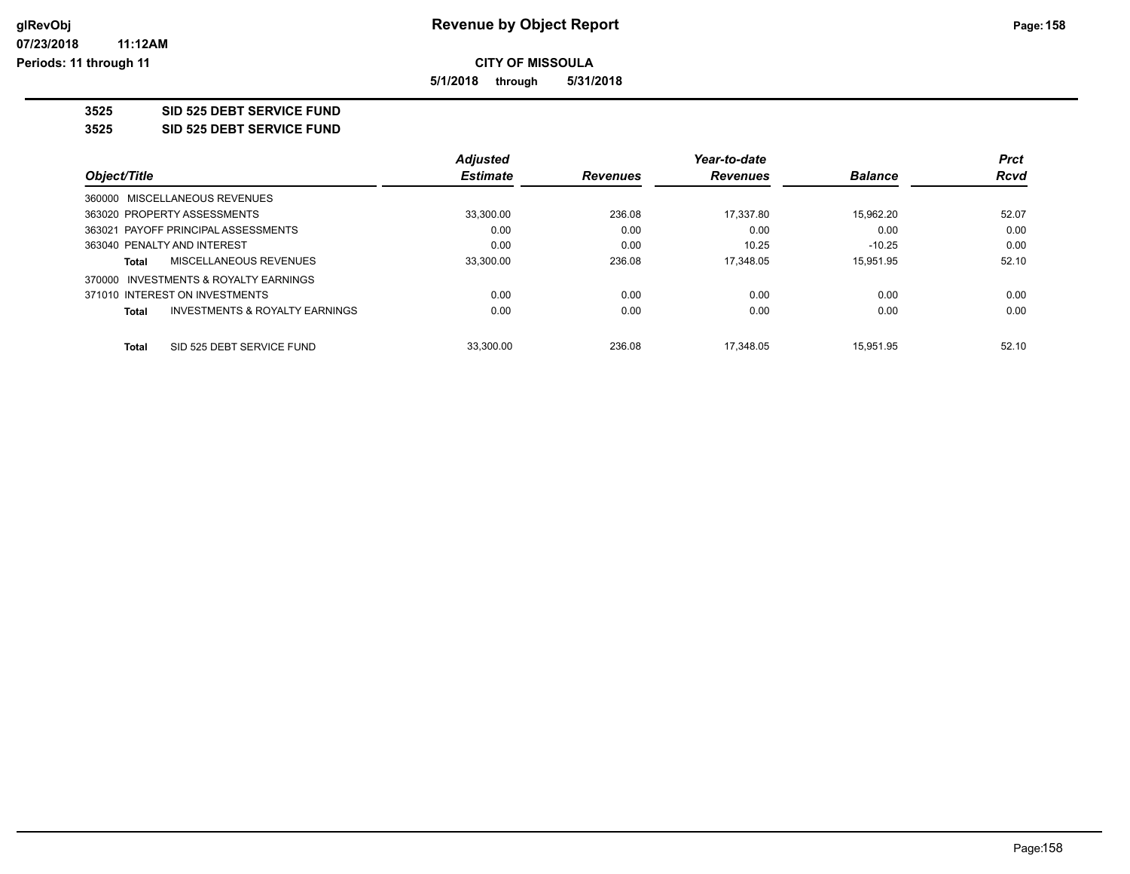**5/1/2018 through 5/31/2018**

**3525 SID 525 DEBT SERVICE FUND**

**3525 SID 525 DEBT SERVICE FUND**

|                                         | <b>Adjusted</b> |                 | Year-to-date    |                | <b>Prct</b> |
|-----------------------------------------|-----------------|-----------------|-----------------|----------------|-------------|
| Object/Title                            | <b>Estimate</b> | <b>Revenues</b> | <b>Revenues</b> | <b>Balance</b> | Rcvd        |
| 360000 MISCELLANEOUS REVENUES           |                 |                 |                 |                |             |
| 363020 PROPERTY ASSESSMENTS             | 33.300.00       | 236.08          | 17.337.80       | 15.962.20      | 52.07       |
| 363021 PAYOFF PRINCIPAL ASSESSMENTS     | 0.00            | 0.00            | 0.00            | 0.00           | 0.00        |
| 363040 PENALTY AND INTEREST             | 0.00            | 0.00            | 10.25           | $-10.25$       | 0.00        |
| <b>MISCELLANEOUS REVENUES</b><br>Total  | 33,300.00       | 236.08          | 17.348.05       | 15.951.95      | 52.10       |
| 370000 INVESTMENTS & ROYALTY EARNINGS   |                 |                 |                 |                |             |
| 371010 INTEREST ON INVESTMENTS          | 0.00            | 0.00            | 0.00            | 0.00           | 0.00        |
| INVESTMENTS & ROYALTY EARNINGS<br>Total | 0.00            | 0.00            | 0.00            | 0.00           | 0.00        |
| SID 525 DEBT SERVICE FUND<br>Total      | 33.300.00       | 236.08          | 17.348.05       | 15.951.95      | 52.10       |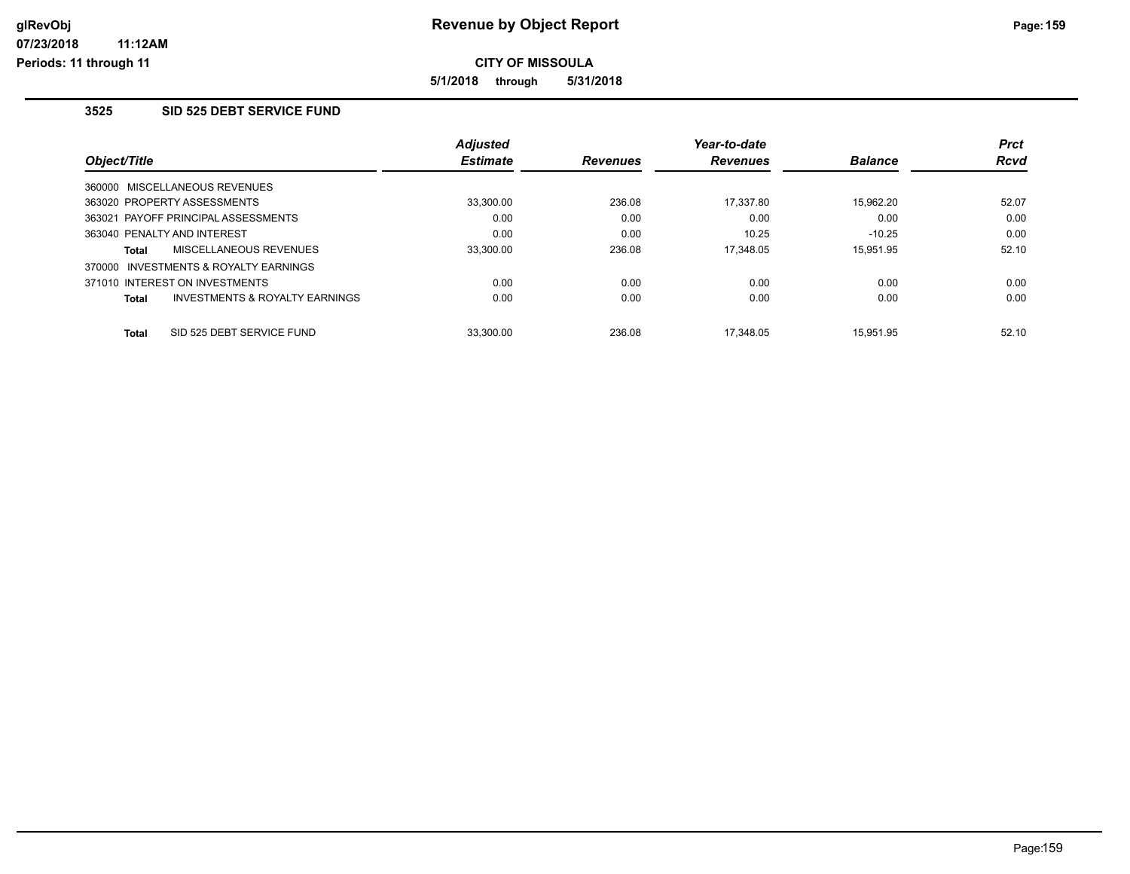**5/1/2018 through 5/31/2018**

## **3525 SID 525 DEBT SERVICE FUND**

|                             |                                     | <b>Adjusted</b> |                 | Year-to-date    |                | <b>Prct</b> |
|-----------------------------|-------------------------------------|-----------------|-----------------|-----------------|----------------|-------------|
| Object/Title                |                                     | <b>Estimate</b> | <b>Revenues</b> | <b>Revenues</b> | <b>Balance</b> | <b>Rcvd</b> |
|                             | 360000 MISCELLANEOUS REVENUES       |                 |                 |                 |                |             |
|                             | 363020 PROPERTY ASSESSMENTS         | 33,300.00       | 236.08          | 17,337.80       | 15.962.20      | 52.07       |
|                             | 363021 PAYOFF PRINCIPAL ASSESSMENTS | 0.00            | 0.00            | 0.00            | 0.00           | 0.00        |
| 363040 PENALTY AND INTEREST |                                     | 0.00            | 0.00            | 10.25           | $-10.25$       | 0.00        |
| Total                       | MISCELLANEOUS REVENUES              | 33.300.00       | 236.08          | 17.348.05       | 15.951.95      | 52.10       |
| 370000                      | INVESTMENTS & ROYALTY EARNINGS      |                 |                 |                 |                |             |
|                             | 371010 INTEREST ON INVESTMENTS      | 0.00            | 0.00            | 0.00            | 0.00           | 0.00        |
| <b>Total</b>                | INVESTMENTS & ROYALTY EARNINGS      | 0.00            | 0.00            | 0.00            | 0.00           | 0.00        |
| <b>Total</b>                | SID 525 DEBT SERVICE FUND           | 33.300.00       | 236.08          | 17.348.05       | 15.951.95      | 52.10       |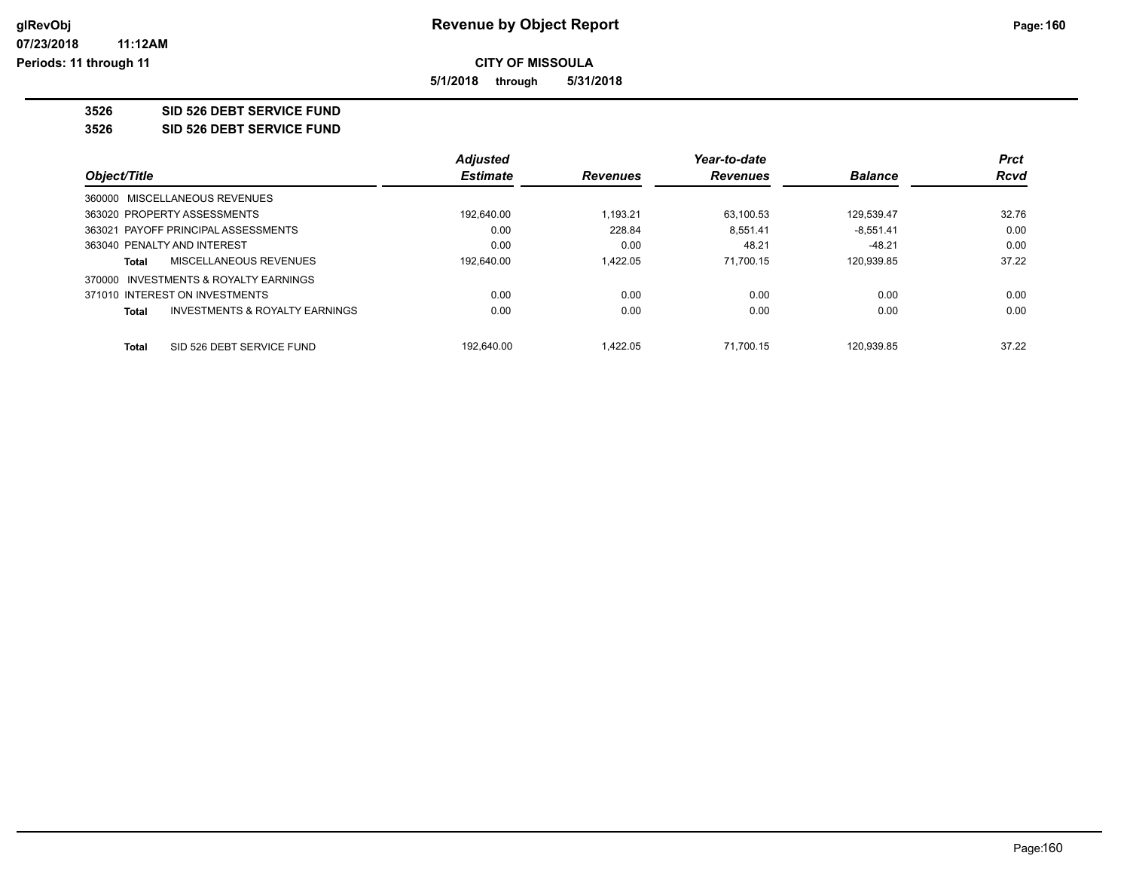**5/1/2018 through 5/31/2018**

**3526 SID 526 DEBT SERVICE FUND**

**3526 SID 526 DEBT SERVICE FUND**

|                             |                                       | <b>Adjusted</b> |                 | Year-to-date    |                | <b>Prct</b> |
|-----------------------------|---------------------------------------|-----------------|-----------------|-----------------|----------------|-------------|
| Object/Title                |                                       | <b>Estimate</b> | <b>Revenues</b> | <b>Revenues</b> | <b>Balance</b> | Rcvd        |
|                             | 360000 MISCELLANEOUS REVENUES         |                 |                 |                 |                |             |
| 363020 PROPERTY ASSESSMENTS |                                       | 192.640.00      | 1.193.21        | 63,100.53       | 129,539.47     | 32.76       |
|                             | 363021 PAYOFF PRINCIPAL ASSESSMENTS   | 0.00            | 228.84          | 8.551.41        | $-8.551.41$    | 0.00        |
| 363040 PENALTY AND INTEREST |                                       | 0.00            | 0.00            | 48.21           | $-48.21$       | 0.00        |
| Total                       | MISCELLANEOUS REVENUES                | 192.640.00      | 1.422.05        | 71.700.15       | 120.939.85     | 37.22       |
|                             | 370000 INVESTMENTS & ROYALTY EARNINGS |                 |                 |                 |                |             |
|                             | 371010 INTEREST ON INVESTMENTS        | 0.00            | 0.00            | 0.00            | 0.00           | 0.00        |
| <b>Total</b>                | INVESTMENTS & ROYALTY EARNINGS        | 0.00            | 0.00            | 0.00            | 0.00           | 0.00        |
| <b>Total</b>                | SID 526 DEBT SERVICE FUND             | 192.640.00      | .422.05         | 71.700.15       | 120.939.85     | 37.22       |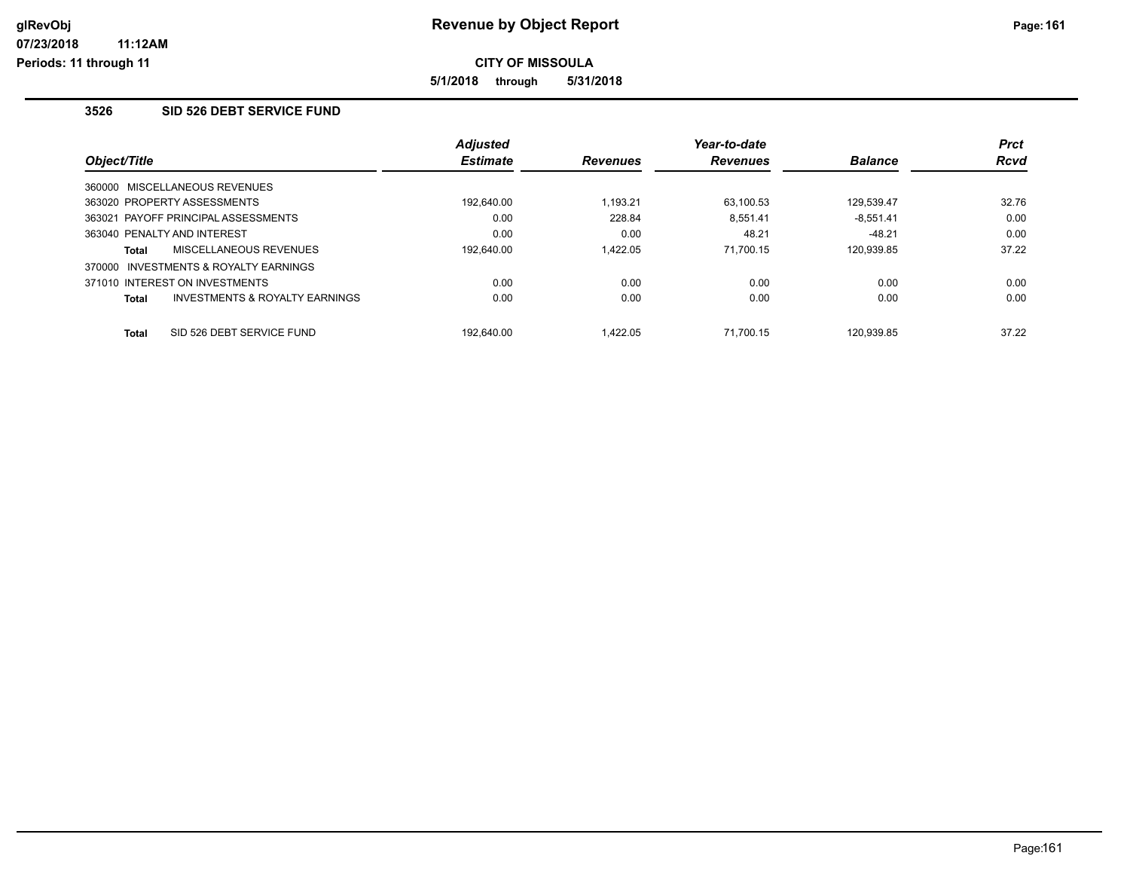**Periods: 11 through 11**

**CITY OF MISSOULA**

**5/1/2018 through 5/31/2018**

## **3526 SID 526 DEBT SERVICE FUND**

|              |                                     | <b>Adjusted</b> |                 | Year-to-date    |                | <b>Prct</b> |
|--------------|-------------------------------------|-----------------|-----------------|-----------------|----------------|-------------|
| Object/Title |                                     | <b>Estimate</b> | <b>Revenues</b> | <b>Revenues</b> | <b>Balance</b> | <b>Rcvd</b> |
|              | 360000 MISCELLANEOUS REVENUES       |                 |                 |                 |                |             |
|              | 363020 PROPERTY ASSESSMENTS         | 192.640.00      | 1.193.21        | 63,100.53       | 129,539.47     | 32.76       |
|              | 363021 PAYOFF PRINCIPAL ASSESSMENTS | 0.00            | 228.84          | 8.551.41        | $-8.551.41$    | 0.00        |
|              | 363040 PENALTY AND INTEREST         | 0.00            | 0.00            | 48.21           | $-48.21$       | 0.00        |
| <b>Total</b> | MISCELLANEOUS REVENUES              | 192.640.00      | 1.422.05        | 71.700.15       | 120.939.85     | 37.22       |
| 370000       | INVESTMENTS & ROYALTY EARNINGS      |                 |                 |                 |                |             |
|              | 371010 INTEREST ON INVESTMENTS      | 0.00            | 0.00            | 0.00            | 0.00           | 0.00        |
| <b>Total</b> | INVESTMENTS & ROYALTY EARNINGS      | 0.00            | 0.00            | 0.00            | 0.00           | 0.00        |
| <b>Total</b> | SID 526 DEBT SERVICE FUND           | 192.640.00      | 1.422.05        | 71.700.15       | 120.939.85     | 37.22       |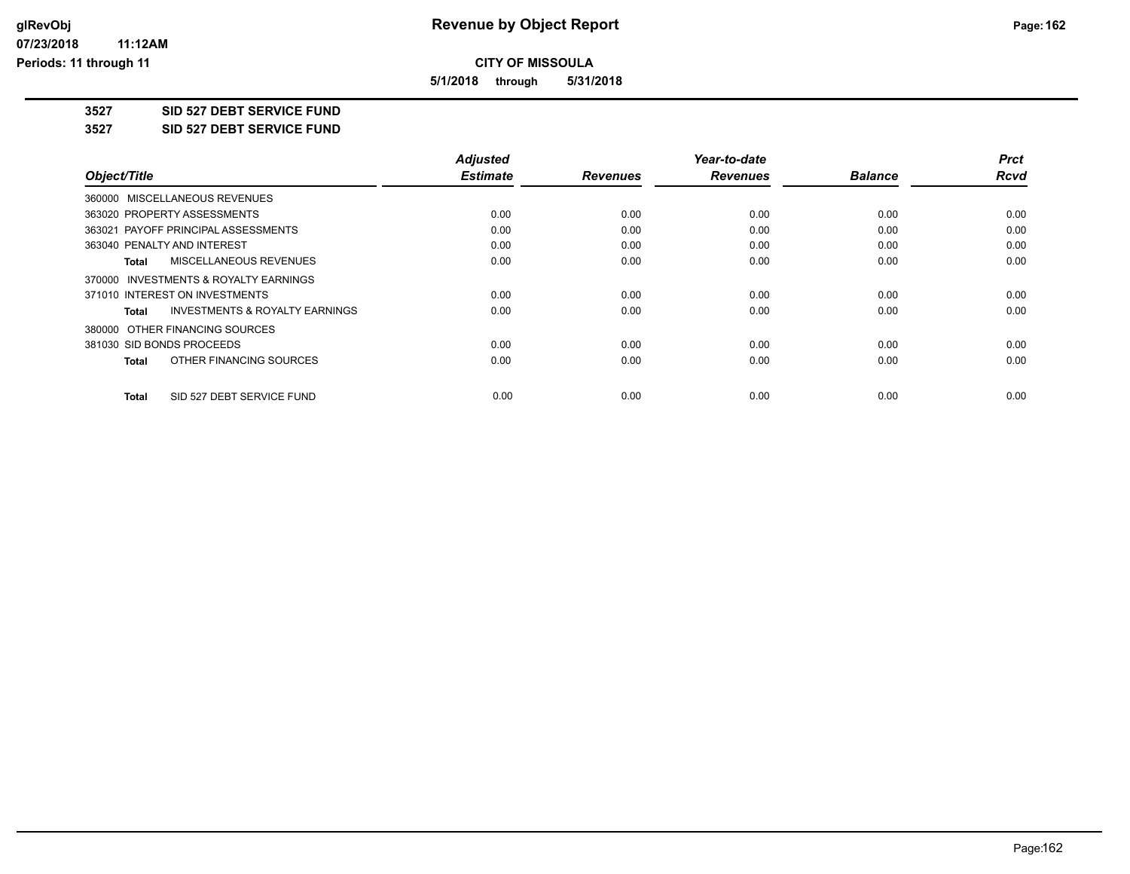**5/1/2018 through 5/31/2018**

**3527 SID 527 DEBT SERVICE FUND**

**3527 SID 527 DEBT SERVICE FUND**

|                                                     | <b>Adjusted</b> |                 | Year-to-date    |                | <b>Prct</b> |
|-----------------------------------------------------|-----------------|-----------------|-----------------|----------------|-------------|
| Object/Title                                        | <b>Estimate</b> | <b>Revenues</b> | <b>Revenues</b> | <b>Balance</b> | <b>Rcvd</b> |
| 360000 MISCELLANEOUS REVENUES                       |                 |                 |                 |                |             |
| 363020 PROPERTY ASSESSMENTS                         | 0.00            | 0.00            | 0.00            | 0.00           | 0.00        |
| 363021 PAYOFF PRINCIPAL ASSESSMENTS                 | 0.00            | 0.00            | 0.00            | 0.00           | 0.00        |
| 363040 PENALTY AND INTEREST                         | 0.00            | 0.00            | 0.00            | 0.00           | 0.00        |
| MISCELLANEOUS REVENUES<br>Total                     | 0.00            | 0.00            | 0.00            | 0.00           | 0.00        |
| <b>INVESTMENTS &amp; ROYALTY EARNINGS</b><br>370000 |                 |                 |                 |                |             |
| 371010 INTEREST ON INVESTMENTS                      | 0.00            | 0.00            | 0.00            | 0.00           | 0.00        |
| INVESTMENTS & ROYALTY EARNINGS<br>Total             | 0.00            | 0.00            | 0.00            | 0.00           | 0.00        |
| 380000 OTHER FINANCING SOURCES                      |                 |                 |                 |                |             |
| 381030 SID BONDS PROCEEDS                           | 0.00            | 0.00            | 0.00            | 0.00           | 0.00        |
| OTHER FINANCING SOURCES<br><b>Total</b>             | 0.00            | 0.00            | 0.00            | 0.00           | 0.00        |
| SID 527 DEBT SERVICE FUND<br><b>Total</b>           | 0.00            | 0.00            | 0.00            | 0.00           | 0.00        |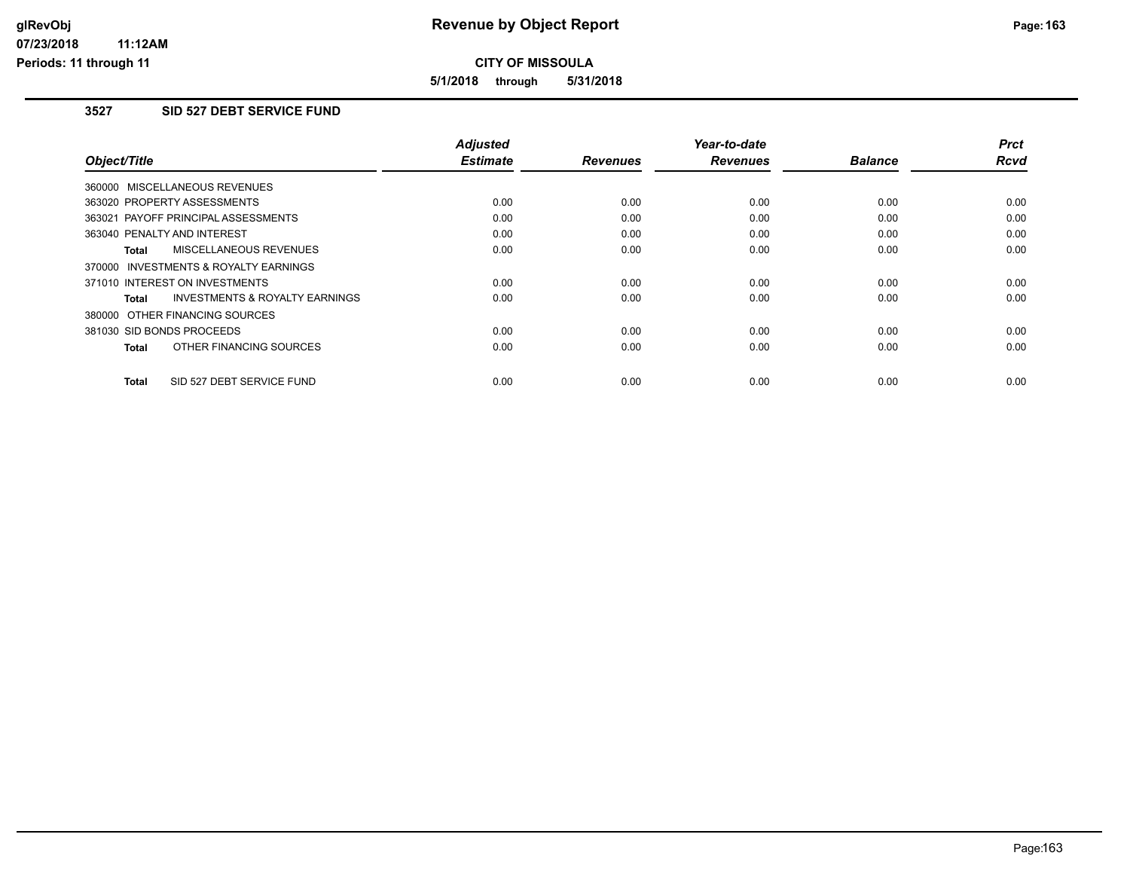**5/1/2018 through 5/31/2018**

## **3527 SID 527 DEBT SERVICE FUND**

| Object/Title                                              | <b>Adjusted</b><br><b>Estimate</b> | <b>Revenues</b> | Year-to-date<br><b>Revenues</b> | <b>Balance</b> | <b>Prct</b><br><b>Rcvd</b> |
|-----------------------------------------------------------|------------------------------------|-----------------|---------------------------------|----------------|----------------------------|
| 360000 MISCELLANEOUS REVENUES                             |                                    |                 |                                 |                |                            |
| 363020 PROPERTY ASSESSMENTS                               | 0.00                               | 0.00            | 0.00                            | 0.00           | 0.00                       |
| 363021 PAYOFF PRINCIPAL ASSESSMENTS                       | 0.00                               | 0.00            | 0.00                            | 0.00           | 0.00                       |
| 363040 PENALTY AND INTEREST                               | 0.00                               | 0.00            | 0.00                            | 0.00           | 0.00                       |
| MISCELLANEOUS REVENUES<br><b>Total</b>                    | 0.00                               | 0.00            | 0.00                            | 0.00           | 0.00                       |
| 370000 INVESTMENTS & ROYALTY EARNINGS                     |                                    |                 |                                 |                |                            |
| 371010 INTEREST ON INVESTMENTS                            | 0.00                               | 0.00            | 0.00                            | 0.00           | 0.00                       |
| <b>INVESTMENTS &amp; ROYALTY EARNINGS</b><br><b>Total</b> | 0.00                               | 0.00            | 0.00                            | 0.00           | 0.00                       |
| 380000 OTHER FINANCING SOURCES                            |                                    |                 |                                 |                |                            |
| 381030 SID BONDS PROCEEDS                                 | 0.00                               | 0.00            | 0.00                            | 0.00           | 0.00                       |
| OTHER FINANCING SOURCES<br><b>Total</b>                   | 0.00                               | 0.00            | 0.00                            | 0.00           | 0.00                       |
| SID 527 DEBT SERVICE FUND<br><b>Total</b>                 | 0.00                               | 0.00            | 0.00                            | 0.00           | 0.00                       |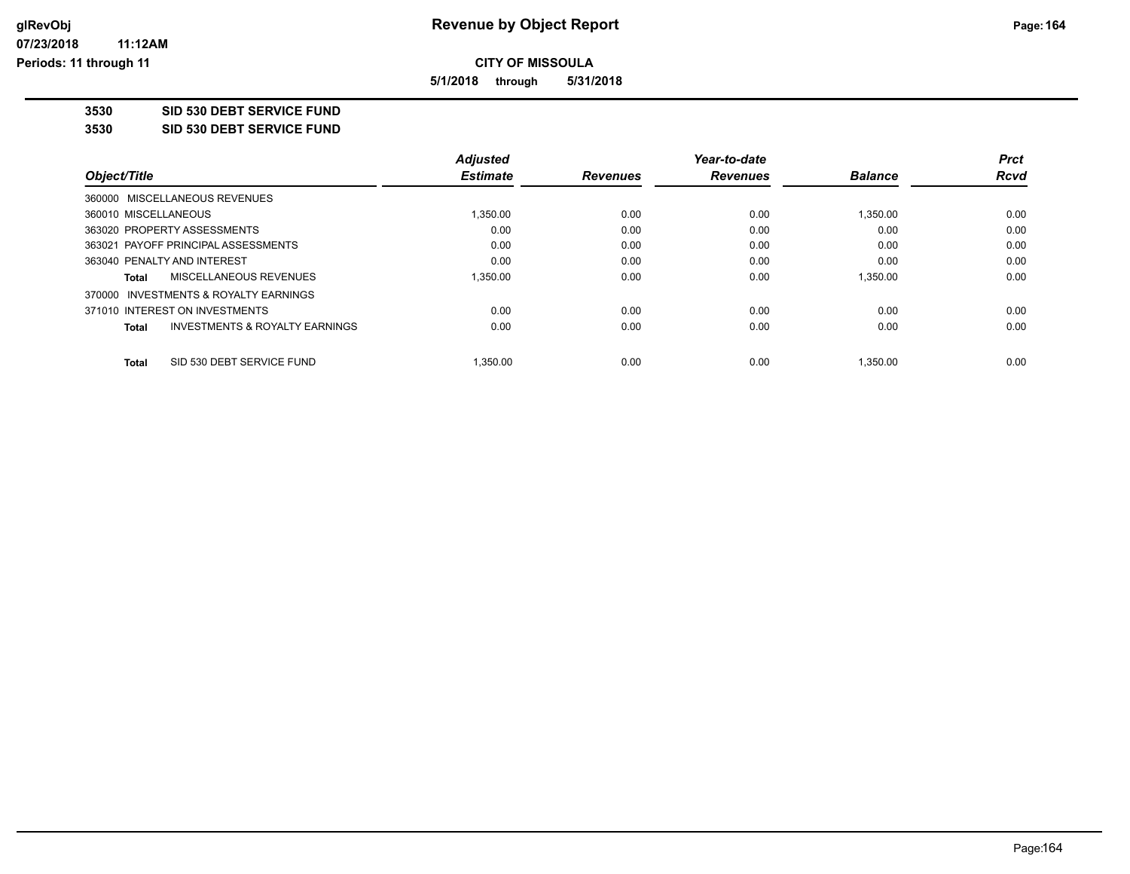**5/1/2018 through 5/31/2018**

**3530 SID 530 DEBT SERVICE FUND**

**3530 SID 530 DEBT SERVICE FUND**

|                                           | <b>Adjusted</b> |                 | Year-to-date    |                | <b>Prct</b> |
|-------------------------------------------|-----------------|-----------------|-----------------|----------------|-------------|
| Obiect/Title                              | <b>Estimate</b> | <b>Revenues</b> | <b>Revenues</b> | <b>Balance</b> | <b>Rcvd</b> |
| 360000 MISCELLANEOUS REVENUES             |                 |                 |                 |                |             |
| 360010 MISCELLANEOUS                      | 1.350.00        | 0.00            | 0.00            | 1.350.00       | 0.00        |
| 363020 PROPERTY ASSESSMENTS               | 0.00            | 0.00            | 0.00            | 0.00           | 0.00        |
| 363021 PAYOFF PRINCIPAL ASSESSMENTS       | 0.00            | 0.00            | 0.00            | 0.00           | 0.00        |
| 363040 PENALTY AND INTEREST               | 0.00            | 0.00            | 0.00            | 0.00           | 0.00        |
| <b>MISCELLANEOUS REVENUES</b><br>Total    | 1,350.00        | 0.00            | 0.00            | 1,350.00       | 0.00        |
| 370000 INVESTMENTS & ROYALTY EARNINGS     |                 |                 |                 |                |             |
| 371010 INTEREST ON INVESTMENTS            | 0.00            | 0.00            | 0.00            | 0.00           | 0.00        |
| INVESTMENTS & ROYALTY EARNINGS<br>Total   | 0.00            | 0.00            | 0.00            | 0.00           | 0.00        |
| SID 530 DEBT SERVICE FUND<br><b>Total</b> | 1.350.00        | 0.00            | 0.00            | 1.350.00       | 0.00        |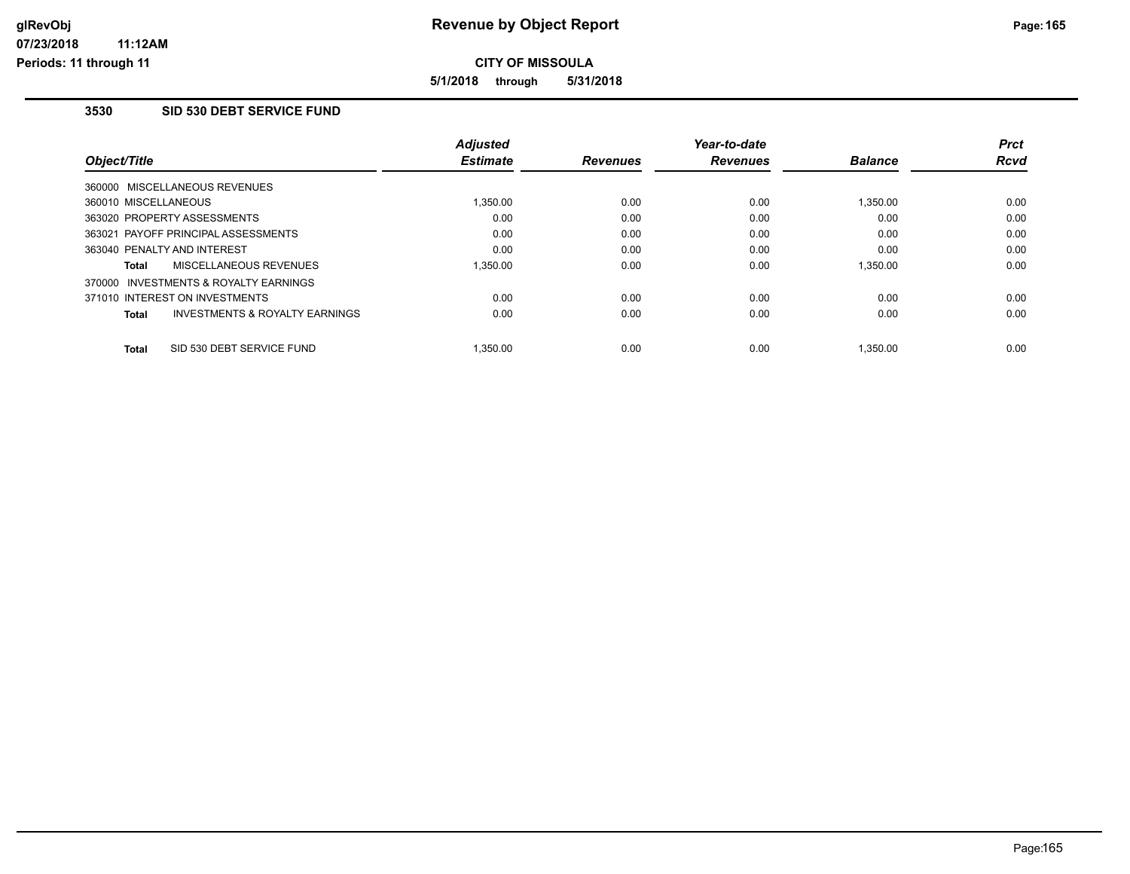**5/1/2018 through 5/31/2018**

## **3530 SID 530 DEBT SERVICE FUND**

| Object/Title                                   | <b>Adjusted</b><br><b>Estimate</b> | <b>Revenues</b> | Year-to-date<br><b>Revenues</b> | <b>Balance</b> | <b>Prct</b><br><b>Rcvd</b> |
|------------------------------------------------|------------------------------------|-----------------|---------------------------------|----------------|----------------------------|
| 360000 MISCELLANEOUS REVENUES                  |                                    |                 |                                 |                |                            |
| 360010 MISCELLANEOUS                           | 1,350.00                           | 0.00            | 0.00                            | 1,350.00       | 0.00                       |
| 363020 PROPERTY ASSESSMENTS                    | 0.00                               | 0.00            | 0.00                            | 0.00           | 0.00                       |
| 363021 PAYOFF PRINCIPAL ASSESSMENTS            | 0.00                               | 0.00            | 0.00                            | 0.00           | 0.00                       |
| 363040 PENALTY AND INTEREST                    | 0.00                               | 0.00            | 0.00                            | 0.00           | 0.00                       |
| MISCELLANEOUS REVENUES<br><b>Total</b>         | 1.350.00                           | 0.00            | 0.00                            | 1.350.00       | 0.00                       |
| 370000 INVESTMENTS & ROYALTY EARNINGS          |                                    |                 |                                 |                |                            |
| 371010 INTEREST ON INVESTMENTS                 | 0.00                               | 0.00            | 0.00                            | 0.00           | 0.00                       |
| INVESTMENTS & ROYALTY EARNINGS<br><b>Total</b> | 0.00                               | 0.00            | 0.00                            | 0.00           | 0.00                       |
| SID 530 DEBT SERVICE FUND<br><b>Total</b>      | 1.350.00                           | 0.00            | 0.00                            | 1.350.00       | 0.00                       |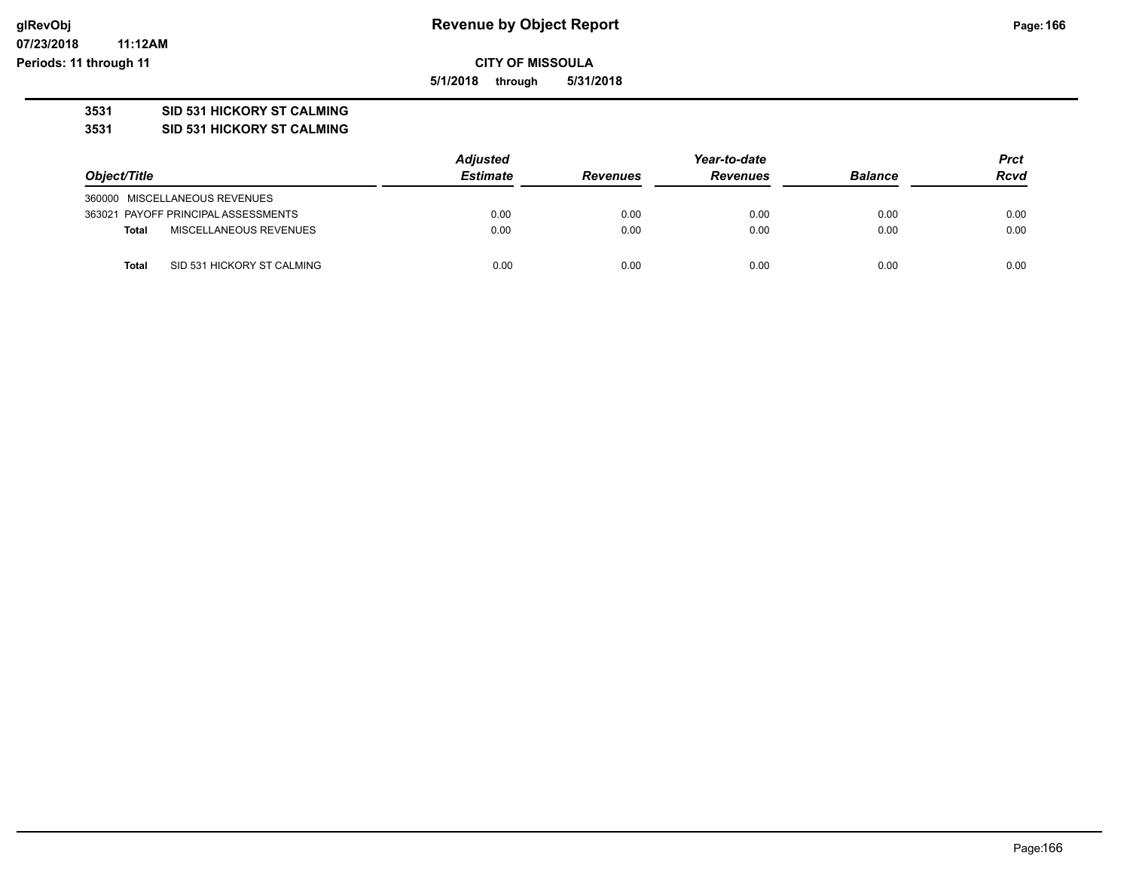**07/23/2018 11:12AM Periods: 11 through 11**

**CITY OF MISSOULA**

**5/1/2018 through 5/31/2018**

## **3531 SID 531 HICKORY ST CALMING**

**3531 SID 531 HICKORY ST CALMING**

|                                            | <b>Adjusted</b> |                 | Year-to-date    |                | Prct |
|--------------------------------------------|-----------------|-----------------|-----------------|----------------|------|
| Object/Title                               | <b>Estimate</b> | <b>Revenues</b> | <b>Revenues</b> | <b>Balance</b> | Rcvd |
| 360000 MISCELLANEOUS REVENUES              |                 |                 |                 |                |      |
| 363021 PAYOFF PRINCIPAL ASSESSMENTS        | 0.00            | 0.00            | 0.00            | 0.00           | 0.00 |
| MISCELLANEOUS REVENUES<br><b>Total</b>     | 0.00            | 0.00            | 0.00            | 0.00           | 0.00 |
| SID 531 HICKORY ST CALMING<br><b>Total</b> | 0.00            | 0.00            | 0.00            | 0.00           | 0.00 |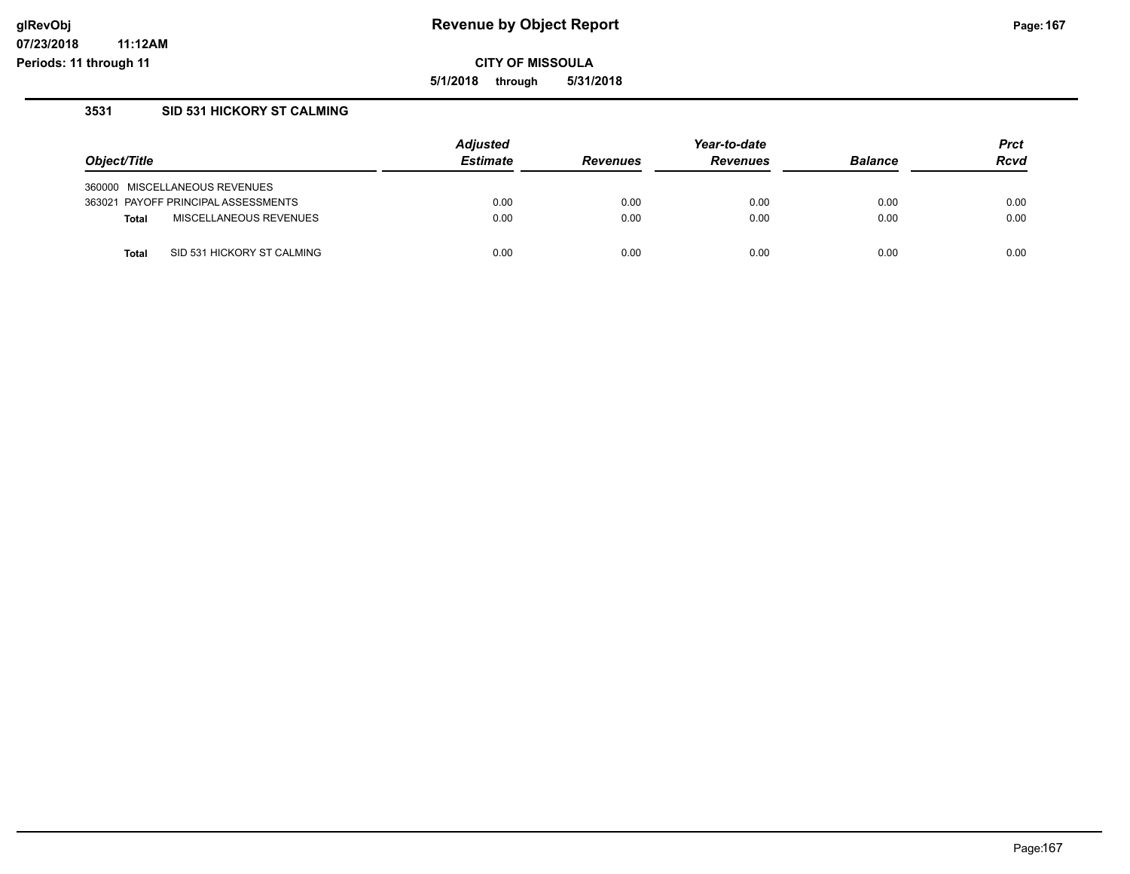**5/1/2018 through 5/31/2018**

## **3531 SID 531 HICKORY ST CALMING**

| Object/Title                               | <b>Adjusted</b><br><b>Estimate</b> | <b>Revenues</b> | Year-to-date<br><b>Revenues</b> | <b>Balance</b> | <b>Prct</b><br><b>Rcvd</b> |
|--------------------------------------------|------------------------------------|-----------------|---------------------------------|----------------|----------------------------|
| 360000 MISCELLANEOUS REVENUES              |                                    |                 |                                 |                |                            |
| 363021 PAYOFF PRINCIPAL ASSESSMENTS        | 0.00                               | 0.00            | 0.00                            | 0.00           | 0.00                       |
| MISCELLANEOUS REVENUES<br><b>Total</b>     | 0.00                               | 0.00            | 0.00                            | 0.00           | 0.00                       |
|                                            |                                    |                 |                                 |                |                            |
| <b>Total</b><br>SID 531 HICKORY ST CALMING | 0.00                               | 0.00            | 0.00                            | 0.00           | 0.00                       |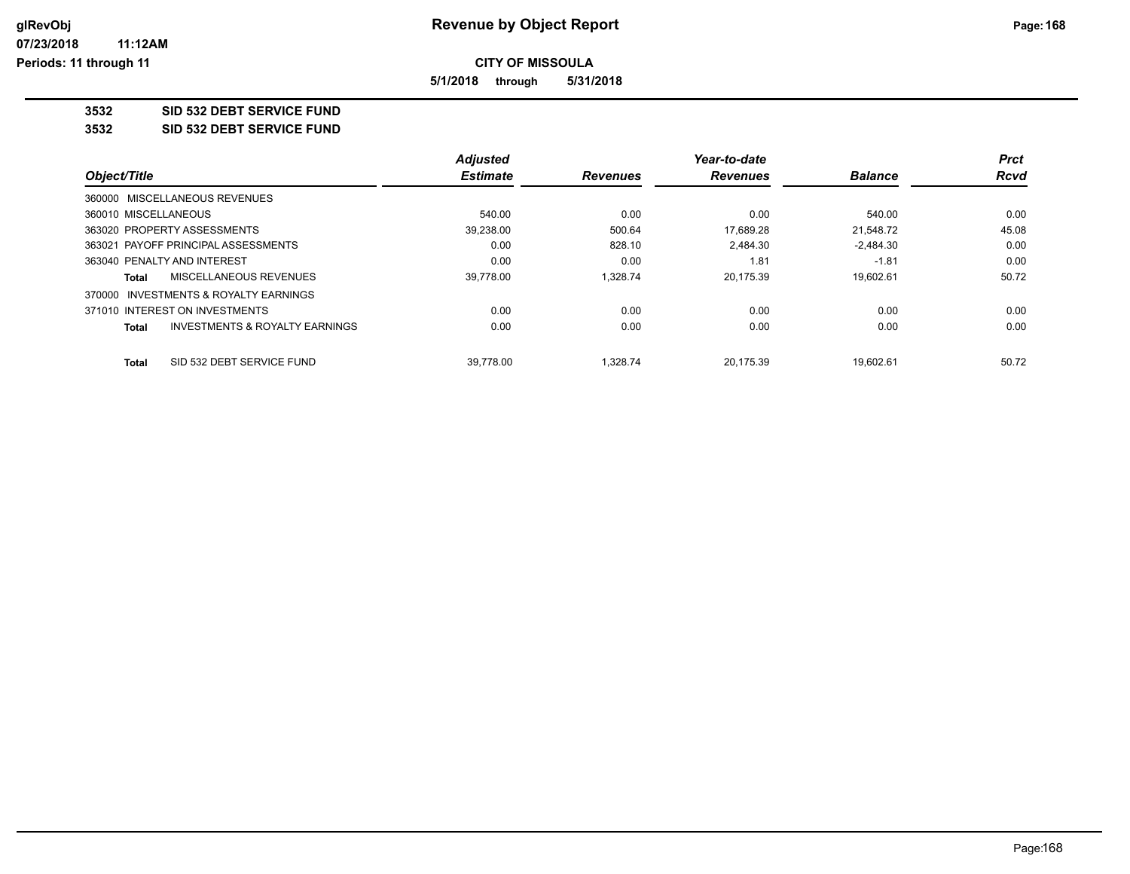**5/1/2018 through 5/31/2018**

**3532 SID 532 DEBT SERVICE FUND**

**3532 SID 532 DEBT SERVICE FUND**

|                                                           | <b>Adjusted</b> |                 | Year-to-date    |                | <b>Prct</b> |
|-----------------------------------------------------------|-----------------|-----------------|-----------------|----------------|-------------|
| Object/Title                                              | <b>Estimate</b> | <b>Revenues</b> | <b>Revenues</b> | <b>Balance</b> | Rcvd        |
| 360000 MISCELLANEOUS REVENUES                             |                 |                 |                 |                |             |
| 360010 MISCELLANEOUS                                      | 540.00          | 0.00            | 0.00            | 540.00         | 0.00        |
| 363020 PROPERTY ASSESSMENTS                               | 39,238.00       | 500.64          | 17.689.28       | 21.548.72      | 45.08       |
| 363021 PAYOFF PRINCIPAL ASSESSMENTS                       | 0.00            | 828.10          | 2.484.30        | $-2.484.30$    | 0.00        |
| 363040 PENALTY AND INTEREST                               | 0.00            | 0.00            | 1.81            | $-1.81$        | 0.00        |
| MISCELLANEOUS REVENUES<br>Total                           | 39,778.00       | 1,328.74        | 20,175.39       | 19.602.61      | 50.72       |
| 370000 INVESTMENTS & ROYALTY EARNINGS                     |                 |                 |                 |                |             |
| 371010 INTEREST ON INVESTMENTS                            | 0.00            | 0.00            | 0.00            | 0.00           | 0.00        |
| <b>INVESTMENTS &amp; ROYALTY EARNINGS</b><br><b>Total</b> | 0.00            | 0.00            | 0.00            | 0.00           | 0.00        |
| SID 532 DEBT SERVICE FUND<br><b>Total</b>                 | 39.778.00       | 1.328.74        | 20.175.39       | 19.602.61      | 50.72       |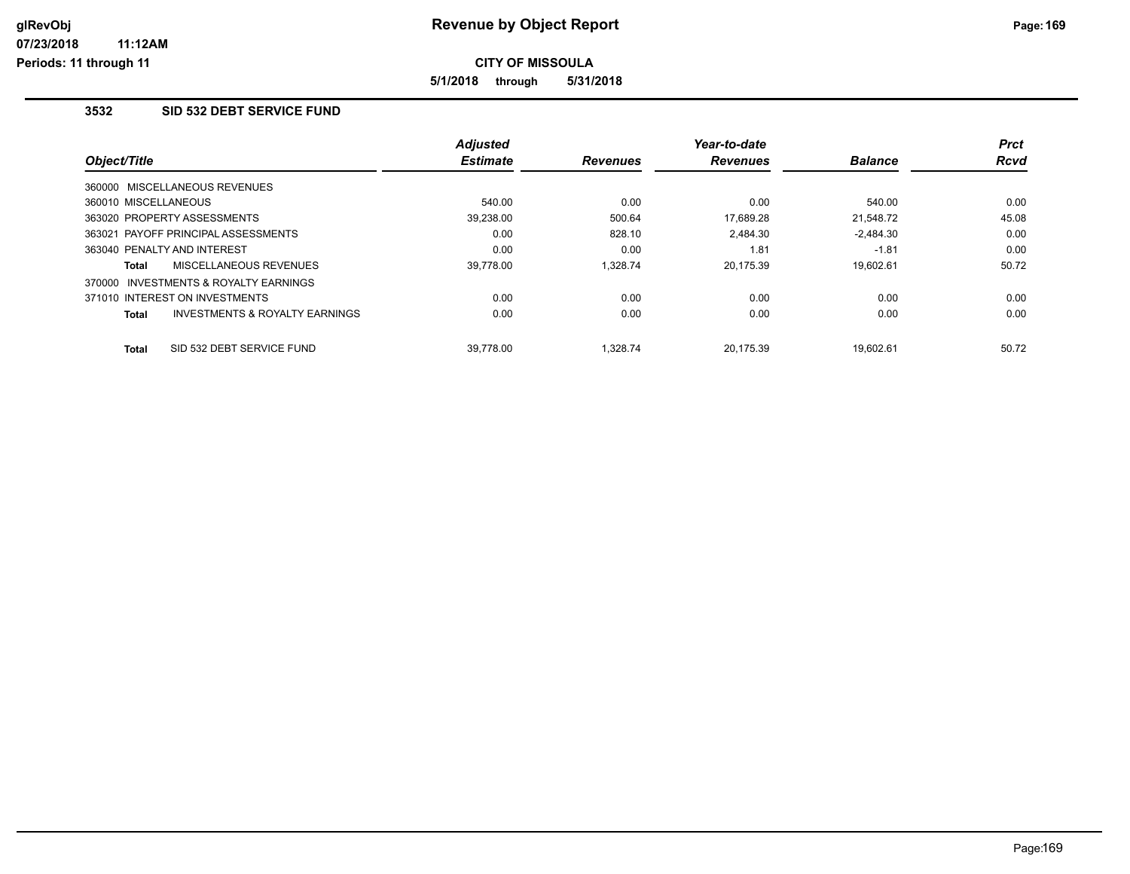**5/1/2018 through 5/31/2018**

## **3532 SID 532 DEBT SERVICE FUND**

| Object/Title                |                                     | <b>Adjusted</b><br><b>Estimate</b> | <b>Revenues</b> | Year-to-date<br><b>Revenues</b> | <b>Balance</b> | <b>Prct</b><br><b>Rcvd</b> |
|-----------------------------|-------------------------------------|------------------------------------|-----------------|---------------------------------|----------------|----------------------------|
|                             | 360000 MISCELLANEOUS REVENUES       |                                    |                 |                                 |                |                            |
| 360010 MISCELLANEOUS        |                                     | 540.00                             | 0.00            | 0.00                            | 540.00         | 0.00                       |
|                             | 363020 PROPERTY ASSESSMENTS         | 39.238.00                          | 500.64          | 17.689.28                       | 21.548.72      | 45.08                      |
|                             | 363021 PAYOFF PRINCIPAL ASSESSMENTS | 0.00                               | 828.10          | 2.484.30                        | $-2,484.30$    | 0.00                       |
| 363040 PENALTY AND INTEREST |                                     | 0.00                               | 0.00            | 1.81                            | $-1.81$        | 0.00                       |
| Total                       | MISCELLANEOUS REVENUES              | 39.778.00                          | 1.328.74        | 20.175.39                       | 19.602.61      | 50.72                      |
| 370000                      | INVESTMENTS & ROYALTY EARNINGS      |                                    |                 |                                 |                |                            |
|                             | 371010 INTEREST ON INVESTMENTS      | 0.00                               | 0.00            | 0.00                            | 0.00           | 0.00                       |
| <b>Total</b>                | INVESTMENTS & ROYALTY EARNINGS      | 0.00                               | 0.00            | 0.00                            | 0.00           | 0.00                       |
| <b>Total</b>                | SID 532 DEBT SERVICE FUND           | 39.778.00                          | 1.328.74        | 20.175.39                       | 19.602.61      | 50.72                      |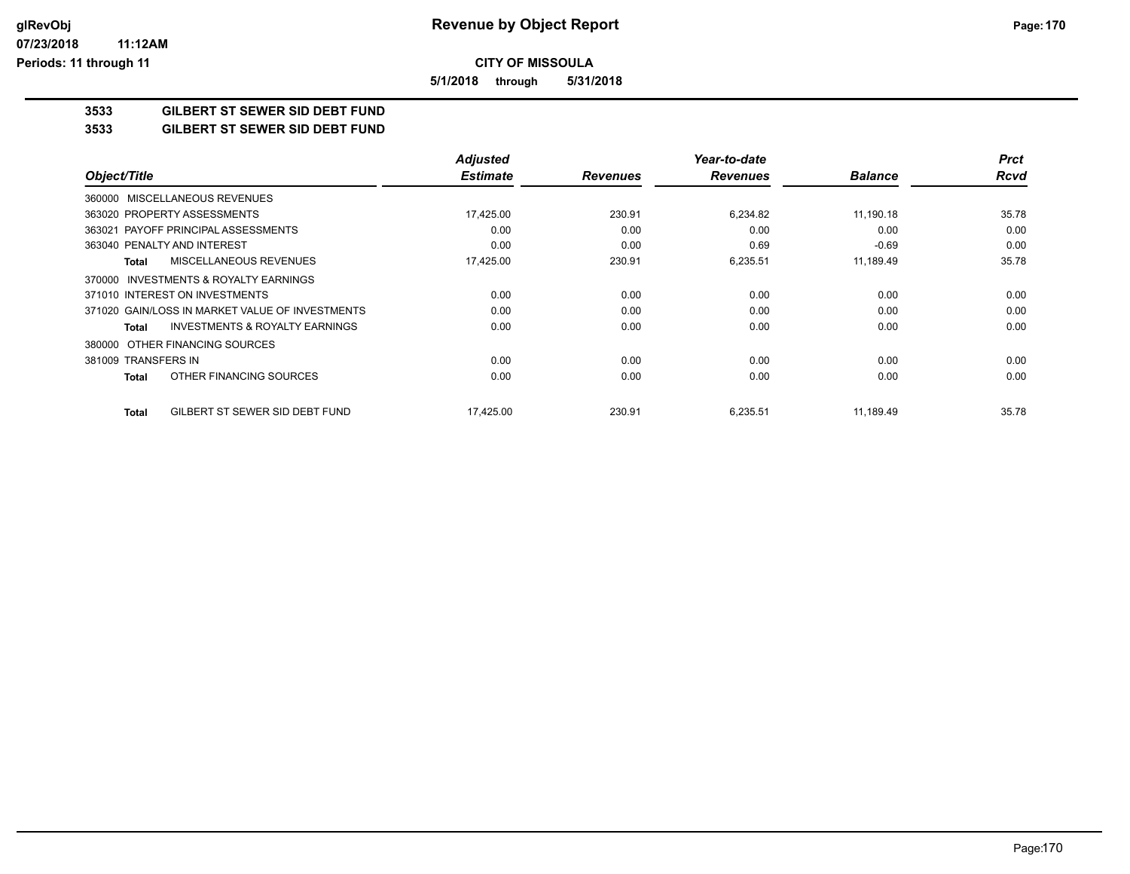**5/1/2018 through 5/31/2018**

## **3533 GILBERT ST SEWER SID DEBT FUND**

## **3533 GILBERT ST SEWER SID DEBT FUND**

|                                                 | <b>Adjusted</b> |                 | Year-to-date    |                | <b>Prct</b> |
|-------------------------------------------------|-----------------|-----------------|-----------------|----------------|-------------|
| Object/Title                                    | <b>Estimate</b> | <b>Revenues</b> | <b>Revenues</b> | <b>Balance</b> | <b>Rcvd</b> |
| 360000 MISCELLANEOUS REVENUES                   |                 |                 |                 |                |             |
| 363020 PROPERTY ASSESSMENTS                     | 17,425.00       | 230.91          | 6,234.82        | 11,190.18      | 35.78       |
| 363021 PAYOFF PRINCIPAL ASSESSMENTS             | 0.00            | 0.00            | 0.00            | 0.00           | 0.00        |
| 363040 PENALTY AND INTEREST                     | 0.00            | 0.00            | 0.69            | $-0.69$        | 0.00        |
| MISCELLANEOUS REVENUES<br>Total                 | 17,425.00       | 230.91          | 6,235.51        | 11.189.49      | 35.78       |
| 370000 INVESTMENTS & ROYALTY EARNINGS           |                 |                 |                 |                |             |
| 371010 INTEREST ON INVESTMENTS                  | 0.00            | 0.00            | 0.00            | 0.00           | 0.00        |
| 371020 GAIN/LOSS IN MARKET VALUE OF INVESTMENTS | 0.00            | 0.00            | 0.00            | 0.00           | 0.00        |
| INVESTMENTS & ROYALTY EARNINGS<br>Total         | 0.00            | 0.00            | 0.00            | 0.00           | 0.00        |
| OTHER FINANCING SOURCES<br>380000               |                 |                 |                 |                |             |
| 381009 TRANSFERS IN                             | 0.00            | 0.00            | 0.00            | 0.00           | 0.00        |
| OTHER FINANCING SOURCES<br>Total                | 0.00            | 0.00            | 0.00            | 0.00           | 0.00        |
| GILBERT ST SEWER SID DEBT FUND<br><b>Total</b>  | 17.425.00       | 230.91          | 6,235.51        | 11,189.49      | 35.78       |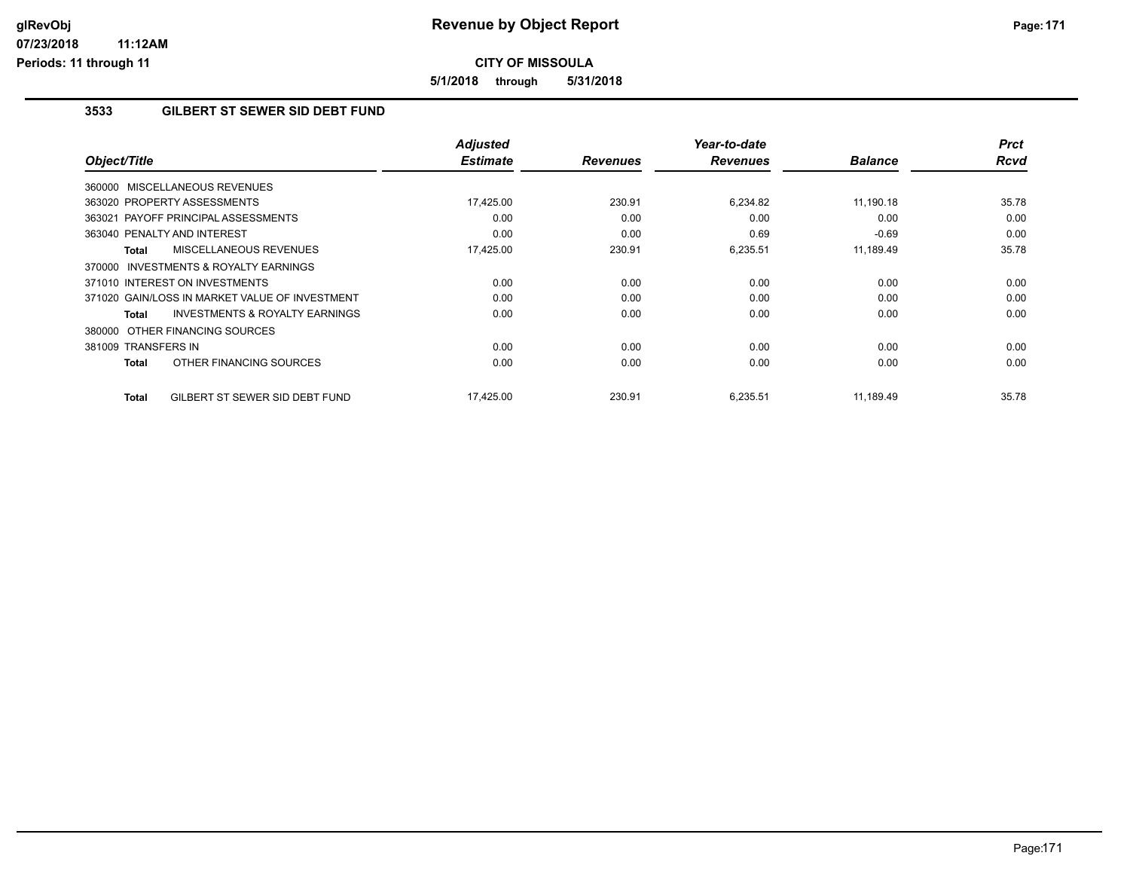**5/1/2018 through 5/31/2018**

## **3533 GILBERT ST SEWER SID DEBT FUND**

|                                                     | <b>Adjusted</b> |                 | Year-to-date    |                | <b>Prct</b> |
|-----------------------------------------------------|-----------------|-----------------|-----------------|----------------|-------------|
| Object/Title                                        | <b>Estimate</b> | <b>Revenues</b> | <b>Revenues</b> | <b>Balance</b> | Rcvd        |
| 360000 MISCELLANEOUS REVENUES                       |                 |                 |                 |                |             |
| 363020 PROPERTY ASSESSMENTS                         | 17,425.00       | 230.91          | 6,234.82        | 11,190.18      | 35.78       |
| 363021 PAYOFF PRINCIPAL ASSESSMENTS                 | 0.00            | 0.00            | 0.00            | 0.00           | 0.00        |
| 363040 PENALTY AND INTEREST                         | 0.00            | 0.00            | 0.69            | $-0.69$        | 0.00        |
| MISCELLANEOUS REVENUES<br>Total                     | 17,425.00       | 230.91          | 6,235.51        | 11,189.49      | 35.78       |
| <b>INVESTMENTS &amp; ROYALTY EARNINGS</b><br>370000 |                 |                 |                 |                |             |
| 371010 INTEREST ON INVESTMENTS                      | 0.00            | 0.00            | 0.00            | 0.00           | 0.00        |
| 371020 GAIN/LOSS IN MARKET VALUE OF INVESTMENT      | 0.00            | 0.00            | 0.00            | 0.00           | 0.00        |
| <b>INVESTMENTS &amp; ROYALTY EARNINGS</b><br>Total  | 0.00            | 0.00            | 0.00            | 0.00           | 0.00        |
| 380000 OTHER FINANCING SOURCES                      |                 |                 |                 |                |             |
| 381009 TRANSFERS IN                                 | 0.00            | 0.00            | 0.00            | 0.00           | 0.00        |
| OTHER FINANCING SOURCES<br>Total                    | 0.00            | 0.00            | 0.00            | 0.00           | 0.00        |
| GILBERT ST SEWER SID DEBT FUND<br><b>Total</b>      | 17,425.00       | 230.91          | 6,235.51        | 11,189.49      | 35.78       |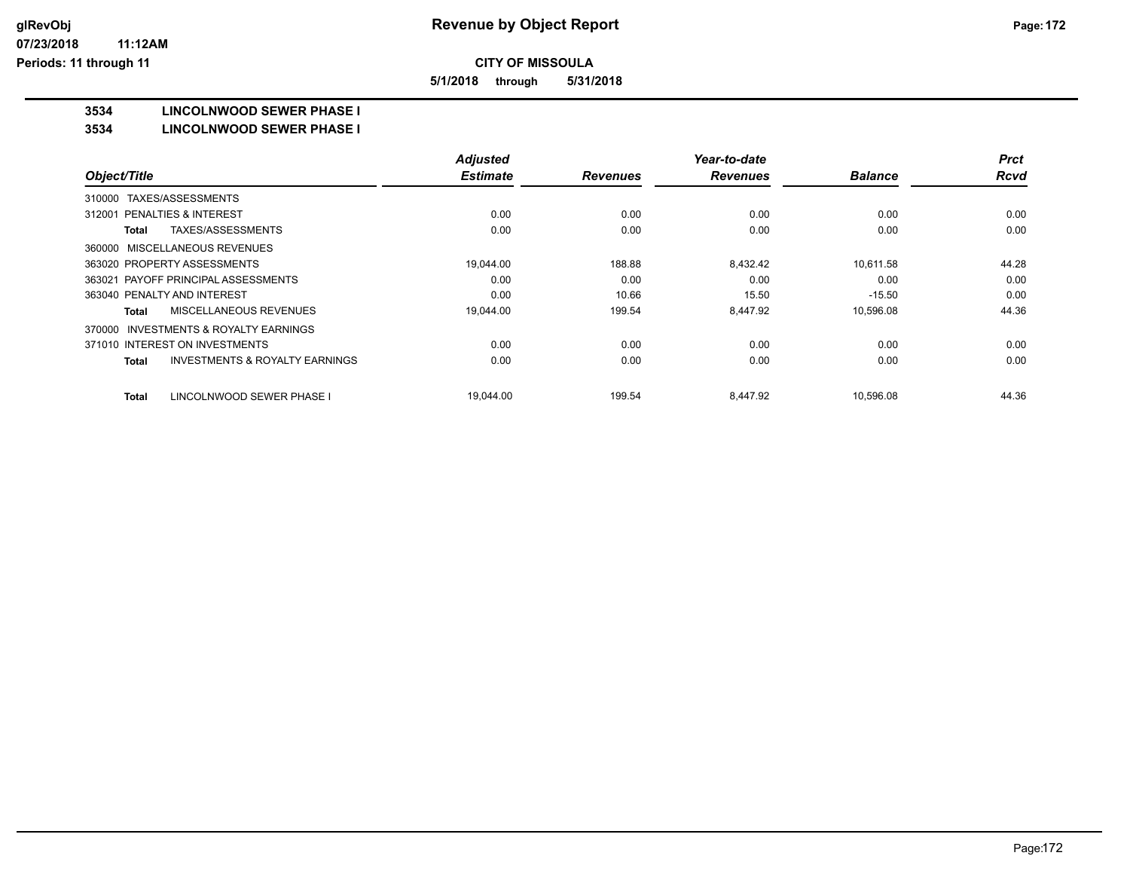**5/1/2018 through 5/31/2018**

## **3534 LINCOLNWOOD SEWER PHASE I**

#### **3534 LINCOLNWOOD SEWER PHASE I**

|                                                           | <b>Adjusted</b> |                 | Year-to-date    |                | <b>Prct</b> |
|-----------------------------------------------------------|-----------------|-----------------|-----------------|----------------|-------------|
| Object/Title                                              | <b>Estimate</b> | <b>Revenues</b> | <b>Revenues</b> | <b>Balance</b> | <b>Rcvd</b> |
| TAXES/ASSESSMENTS<br>310000                               |                 |                 |                 |                |             |
| 312001 PENALTIES & INTEREST                               | 0.00            | 0.00            | 0.00            | 0.00           | 0.00        |
| TAXES/ASSESSMENTS<br>Total                                | 0.00            | 0.00            | 0.00            | 0.00           | 0.00        |
| MISCELLANEOUS REVENUES<br>360000                          |                 |                 |                 |                |             |
| 363020 PROPERTY ASSESSMENTS                               | 19.044.00       | 188.88          | 8.432.42        | 10.611.58      | 44.28       |
| 363021 PAYOFF PRINCIPAL ASSESSMENTS                       | 0.00            | 0.00            | 0.00            | 0.00           | 0.00        |
| 363040 PENALTY AND INTEREST                               | 0.00            | 10.66           | 15.50           | $-15.50$       | 0.00        |
| MISCELLANEOUS REVENUES<br><b>Total</b>                    | 19,044.00       | 199.54          | 8.447.92        | 10.596.08      | 44.36       |
| INVESTMENTS & ROYALTY EARNINGS<br>370000                  |                 |                 |                 |                |             |
| 371010 INTEREST ON INVESTMENTS                            | 0.00            | 0.00            | 0.00            | 0.00           | 0.00        |
| <b>INVESTMENTS &amp; ROYALTY EARNINGS</b><br><b>Total</b> | 0.00            | 0.00            | 0.00            | 0.00           | 0.00        |
| LINCOLNWOOD SEWER PHASE I<br><b>Total</b>                 | 19.044.00       | 199.54          | 8.447.92        | 10.596.08      | 44.36       |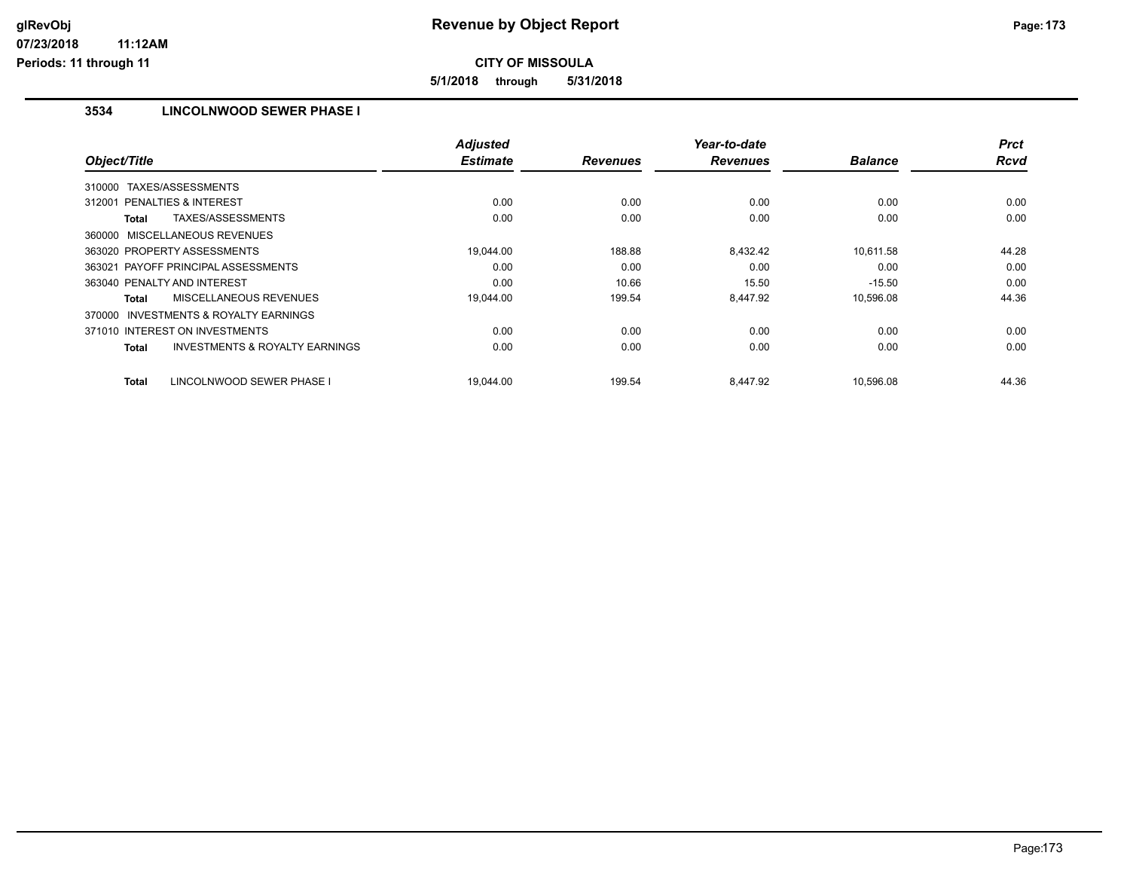**5/1/2018 through 5/31/2018**

## **3534 LINCOLNWOOD SEWER PHASE I**

| Object/Title                                              | <b>Adjusted</b><br><b>Estimate</b> | <b>Revenues</b> | Year-to-date<br><b>Revenues</b> | <b>Balance</b> | <b>Prct</b><br><b>Rcvd</b> |
|-----------------------------------------------------------|------------------------------------|-----------------|---------------------------------|----------------|----------------------------|
|                                                           |                                    |                 |                                 |                |                            |
| 310000 TAXES/ASSESSMENTS                                  |                                    |                 |                                 |                |                            |
| <b>PENALTIES &amp; INTEREST</b><br>312001                 | 0.00                               | 0.00            | 0.00                            | 0.00           | 0.00                       |
| TAXES/ASSESSMENTS<br>Total                                | 0.00                               | 0.00            | 0.00                            | 0.00           | 0.00                       |
| 360000 MISCELLANEOUS REVENUES                             |                                    |                 |                                 |                |                            |
| 363020 PROPERTY ASSESSMENTS                               | 19,044.00                          | 188.88          | 8,432.42                        | 10,611.58      | 44.28                      |
| 363021 PAYOFF PRINCIPAL ASSESSMENTS                       | 0.00                               | 0.00            | 0.00                            | 0.00           | 0.00                       |
| 363040 PENALTY AND INTEREST                               | 0.00                               | 10.66           | 15.50                           | $-15.50$       | 0.00                       |
| MISCELLANEOUS REVENUES<br>Total                           | 19,044.00                          | 199.54          | 8,447.92                        | 10,596.08      | 44.36                      |
| <b>INVESTMENTS &amp; ROYALTY EARNINGS</b><br>370000       |                                    |                 |                                 |                |                            |
| 371010 INTEREST ON INVESTMENTS                            | 0.00                               | 0.00            | 0.00                            | 0.00           | 0.00                       |
| <b>INVESTMENTS &amp; ROYALTY EARNINGS</b><br><b>Total</b> | 0.00                               | 0.00            | 0.00                            | 0.00           | 0.00                       |
| LINCOLNWOOD SEWER PHASE I<br>Total                        | 19.044.00                          | 199.54          | 8,447.92                        | 10,596.08      | 44.36                      |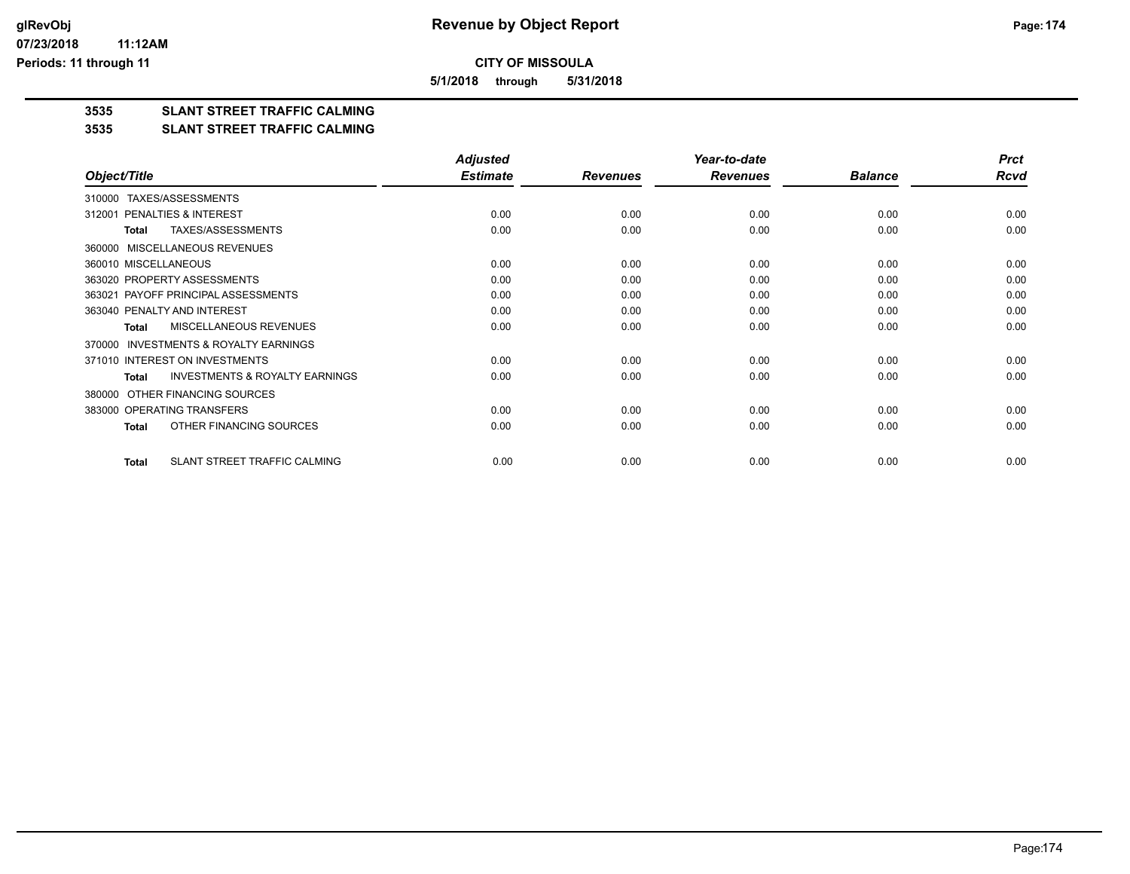**5/1/2018 through 5/31/2018**

## **3535 SLANT STREET TRAFFIC CALMING**

#### **3535 SLANT STREET TRAFFIC CALMING**

|                                                           | <b>Adjusted</b> |                 | Year-to-date    |                | <b>Prct</b> |
|-----------------------------------------------------------|-----------------|-----------------|-----------------|----------------|-------------|
| Object/Title                                              | <b>Estimate</b> | <b>Revenues</b> | <b>Revenues</b> | <b>Balance</b> | <b>Rcvd</b> |
| TAXES/ASSESSMENTS<br>310000                               |                 |                 |                 |                |             |
| 312001 PENALTIES & INTEREST                               | 0.00            | 0.00            | 0.00            | 0.00           | 0.00        |
| TAXES/ASSESSMENTS<br><b>Total</b>                         | 0.00            | 0.00            | 0.00            | 0.00           | 0.00        |
| MISCELLANEOUS REVENUES<br>360000                          |                 |                 |                 |                |             |
| 360010 MISCELLANEOUS                                      | 0.00            | 0.00            | 0.00            | 0.00           | 0.00        |
| 363020 PROPERTY ASSESSMENTS                               | 0.00            | 0.00            | 0.00            | 0.00           | 0.00        |
| 363021 PAYOFF PRINCIPAL ASSESSMENTS                       | 0.00            | 0.00            | 0.00            | 0.00           | 0.00        |
| 363040 PENALTY AND INTEREST                               | 0.00            | 0.00            | 0.00            | 0.00           | 0.00        |
| <b>MISCELLANEOUS REVENUES</b><br><b>Total</b>             | 0.00            | 0.00            | 0.00            | 0.00           | 0.00        |
| INVESTMENTS & ROYALTY EARNINGS<br>370000                  |                 |                 |                 |                |             |
| 371010 INTEREST ON INVESTMENTS                            | 0.00            | 0.00            | 0.00            | 0.00           | 0.00        |
| <b>INVESTMENTS &amp; ROYALTY EARNINGS</b><br><b>Total</b> | 0.00            | 0.00            | 0.00            | 0.00           | 0.00        |
| OTHER FINANCING SOURCES<br>380000                         |                 |                 |                 |                |             |
| 383000 OPERATING TRANSFERS                                | 0.00            | 0.00            | 0.00            | 0.00           | 0.00        |
| OTHER FINANCING SOURCES<br><b>Total</b>                   | 0.00            | 0.00            | 0.00            | 0.00           | 0.00        |
| SLANT STREET TRAFFIC CALMING<br>Total                     | 0.00            | 0.00            | 0.00            | 0.00           | 0.00        |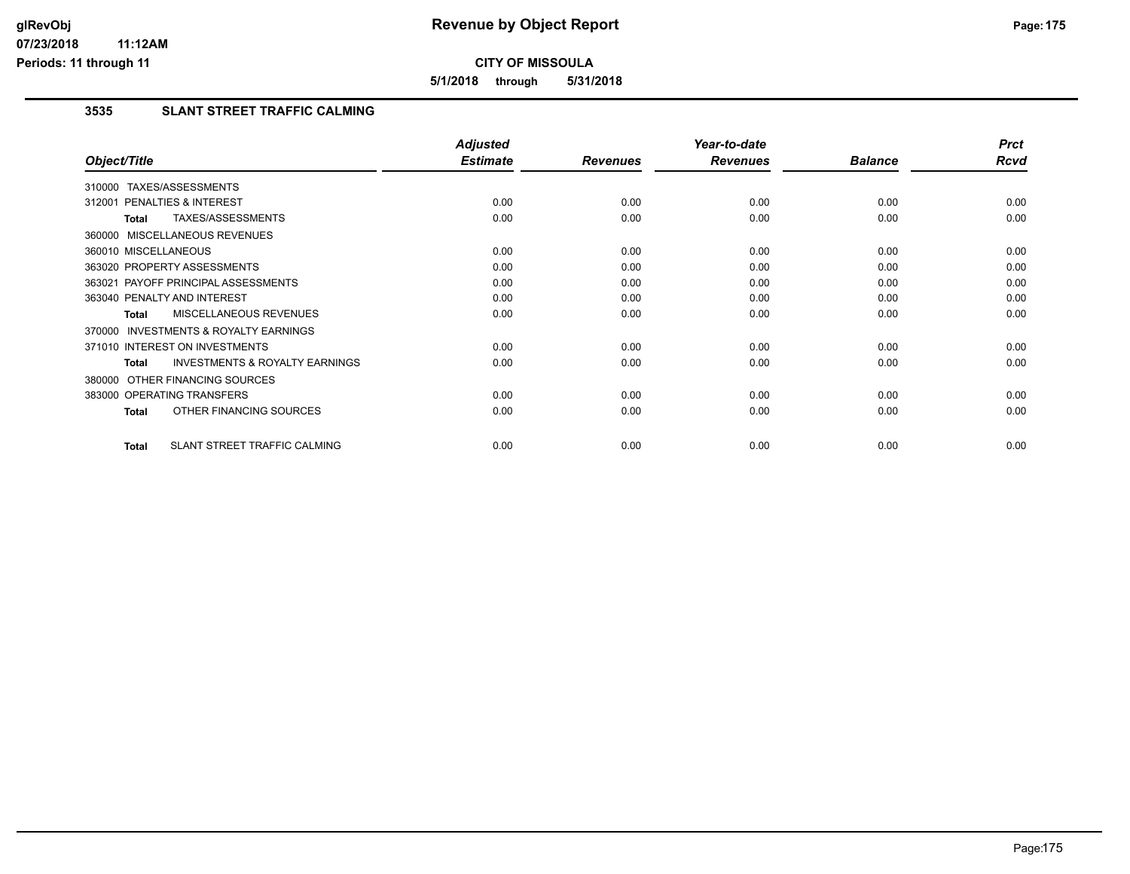**5/1/2018 through 5/31/2018**

## **3535 SLANT STREET TRAFFIC CALMING**

|                                                           | <b>Adjusted</b> |                 | Year-to-date    |                | <b>Prct</b> |
|-----------------------------------------------------------|-----------------|-----------------|-----------------|----------------|-------------|
| Object/Title                                              | <b>Estimate</b> | <b>Revenues</b> | <b>Revenues</b> | <b>Balance</b> | Rcvd        |
| TAXES/ASSESSMENTS<br>310000                               |                 |                 |                 |                |             |
| 312001 PENALTIES & INTEREST                               | 0.00            | 0.00            | 0.00            | 0.00           | 0.00        |
| TAXES/ASSESSMENTS<br><b>Total</b>                         | 0.00            | 0.00            | 0.00            | 0.00           | 0.00        |
| 360000 MISCELLANEOUS REVENUES                             |                 |                 |                 |                |             |
| 360010 MISCELLANEOUS                                      | 0.00            | 0.00            | 0.00            | 0.00           | 0.00        |
| 363020 PROPERTY ASSESSMENTS                               | 0.00            | 0.00            | 0.00            | 0.00           | 0.00        |
| 363021 PAYOFF PRINCIPAL ASSESSMENTS                       | 0.00            | 0.00            | 0.00            | 0.00           | 0.00        |
| 363040 PENALTY AND INTEREST                               | 0.00            | 0.00            | 0.00            | 0.00           | 0.00        |
| <b>MISCELLANEOUS REVENUES</b><br><b>Total</b>             | 0.00            | 0.00            | 0.00            | 0.00           | 0.00        |
| <b>INVESTMENTS &amp; ROYALTY EARNINGS</b><br>370000       |                 |                 |                 |                |             |
| 371010 INTEREST ON INVESTMENTS                            | 0.00            | 0.00            | 0.00            | 0.00           | 0.00        |
| <b>INVESTMENTS &amp; ROYALTY EARNINGS</b><br><b>Total</b> | 0.00            | 0.00            | 0.00            | 0.00           | 0.00        |
| 380000 OTHER FINANCING SOURCES                            |                 |                 |                 |                |             |
| 383000 OPERATING TRANSFERS                                | 0.00            | 0.00            | 0.00            | 0.00           | 0.00        |
| OTHER FINANCING SOURCES<br><b>Total</b>                   | 0.00            | 0.00            | 0.00            | 0.00           | 0.00        |
| SLANT STREET TRAFFIC CALMING<br><b>Total</b>              | 0.00            | 0.00            | 0.00            | 0.00           | 0.00        |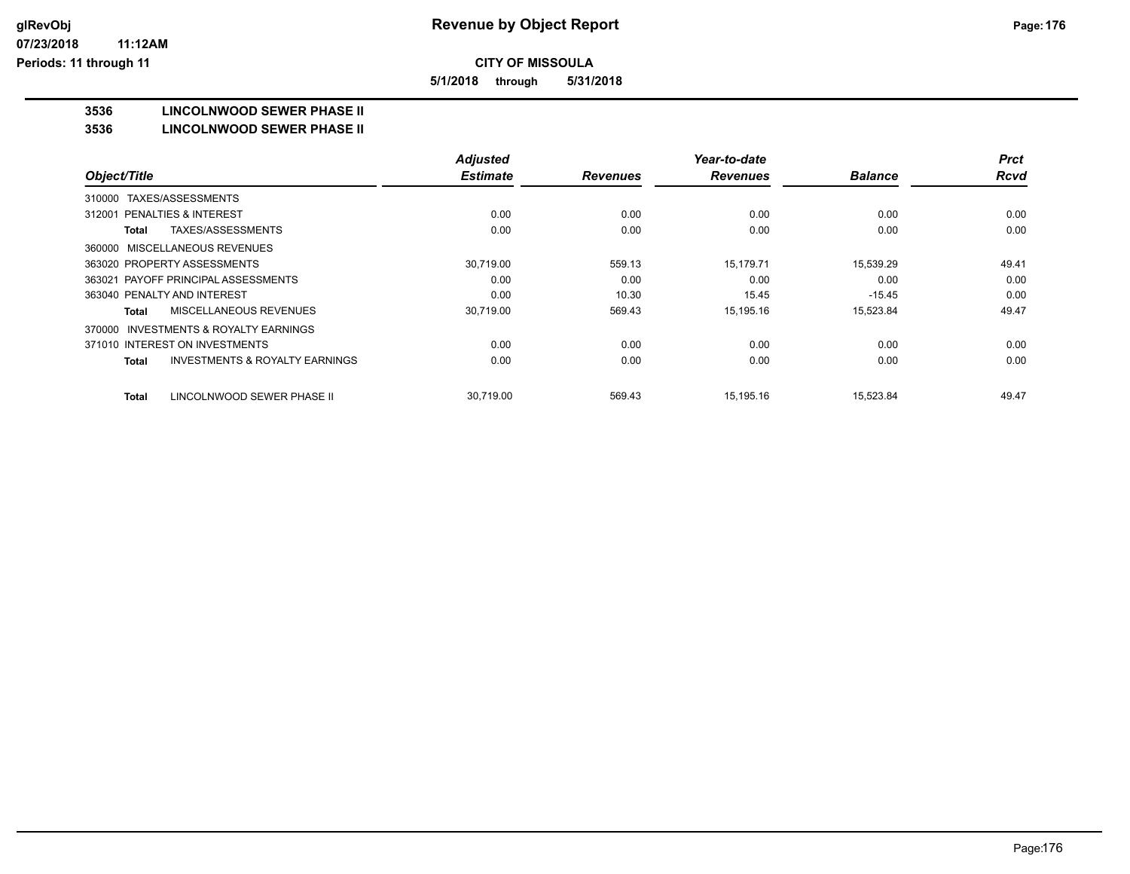**5/1/2018 through 5/31/2018**

## **3536 LINCOLNWOOD SEWER PHASE II**

#### **3536 LINCOLNWOOD SEWER PHASE II**

|                                                           | <b>Adjusted</b> |                 | Year-to-date    |                | <b>Prct</b> |
|-----------------------------------------------------------|-----------------|-----------------|-----------------|----------------|-------------|
| Object/Title                                              | <b>Estimate</b> | <b>Revenues</b> | <b>Revenues</b> | <b>Balance</b> | <b>Rcvd</b> |
| TAXES/ASSESSMENTS<br>310000                               |                 |                 |                 |                |             |
| 312001 PENALTIES & INTEREST                               | 0.00            | 0.00            | 0.00            | 0.00           | 0.00        |
| TAXES/ASSESSMENTS<br>Total                                | 0.00            | 0.00            | 0.00            | 0.00           | 0.00        |
| MISCELLANEOUS REVENUES<br>360000                          |                 |                 |                 |                |             |
| 363020 PROPERTY ASSESSMENTS                               | 30.719.00       | 559.13          | 15.179.71       | 15.539.29      | 49.41       |
| 363021 PAYOFF PRINCIPAL ASSESSMENTS                       | 0.00            | 0.00            | 0.00            | 0.00           | 0.00        |
| 363040 PENALTY AND INTEREST                               | 0.00            | 10.30           | 15.45           | $-15.45$       | 0.00        |
| MISCELLANEOUS REVENUES<br><b>Total</b>                    | 30.719.00       | 569.43          | 15.195.16       | 15,523.84      | 49.47       |
| INVESTMENTS & ROYALTY EARNINGS<br>370000                  |                 |                 |                 |                |             |
| 371010 INTEREST ON INVESTMENTS                            | 0.00            | 0.00            | 0.00            | 0.00           | 0.00        |
| <b>INVESTMENTS &amp; ROYALTY EARNINGS</b><br><b>Total</b> | 0.00            | 0.00            | 0.00            | 0.00           | 0.00        |
| LINCOLNWOOD SEWER PHASE II<br><b>Total</b>                | 30.719.00       | 569.43          | 15,195.16       | 15.523.84      | 49.47       |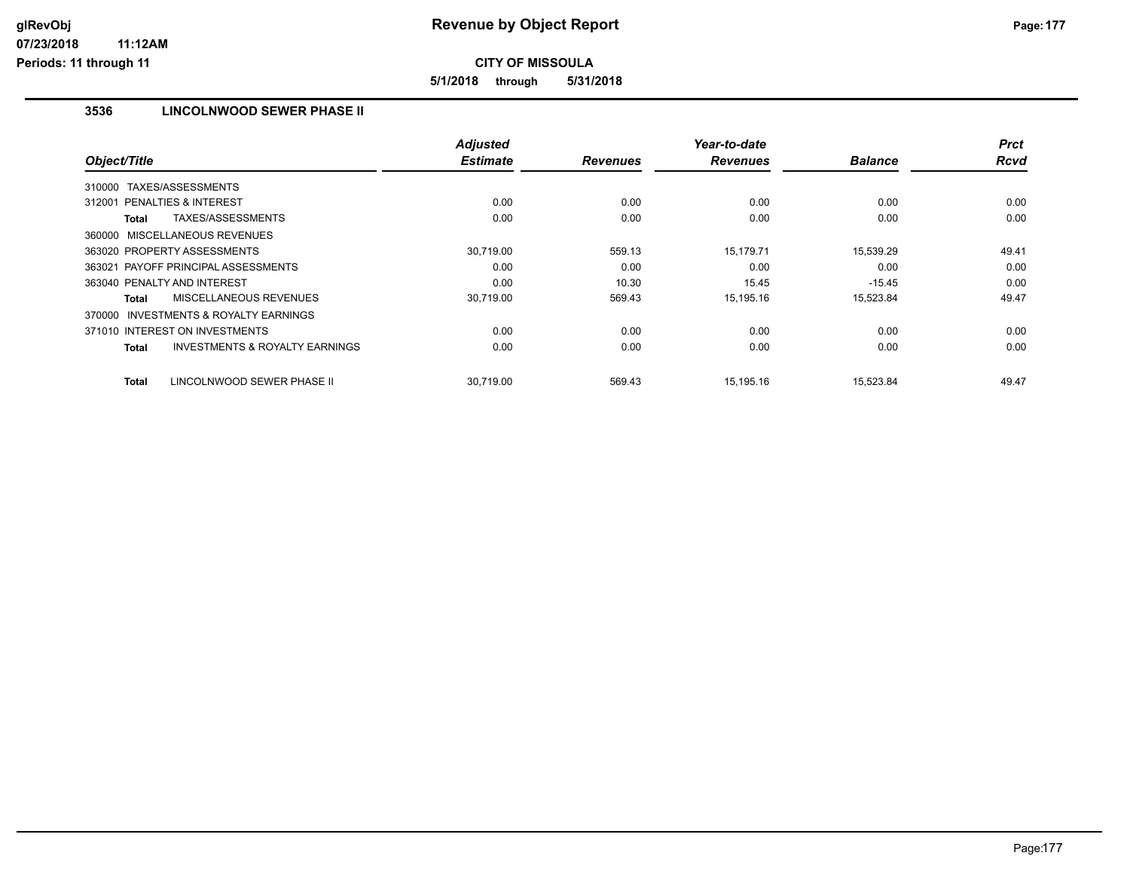**5/1/2018 through 5/31/2018**

## **3536 LINCOLNWOOD SEWER PHASE II**

| Object/Title                                              | <b>Adjusted</b><br><b>Estimate</b> | <b>Revenues</b> | Year-to-date<br><b>Revenues</b> | <b>Balance</b> | <b>Prct</b><br>Rcvd |
|-----------------------------------------------------------|------------------------------------|-----------------|---------------------------------|----------------|---------------------|
| TAXES/ASSESSMENTS                                         |                                    |                 |                                 |                |                     |
| 310000                                                    |                                    |                 |                                 |                |                     |
| <b>PENALTIES &amp; INTEREST</b><br>312001                 | 0.00                               | 0.00            | 0.00                            | 0.00           | 0.00                |
| TAXES/ASSESSMENTS<br>Total                                | 0.00                               | 0.00            | 0.00                            | 0.00           | 0.00                |
| 360000 MISCELLANEOUS REVENUES                             |                                    |                 |                                 |                |                     |
| 363020 PROPERTY ASSESSMENTS                               | 30.719.00                          | 559.13          | 15.179.71                       | 15,539.29      | 49.41               |
| 363021 PAYOFF PRINCIPAL ASSESSMENTS                       | 0.00                               | 0.00            | 0.00                            | 0.00           | 0.00                |
| 363040 PENALTY AND INTEREST                               | 0.00                               | 10.30           | 15.45                           | $-15.45$       | 0.00                |
| MISCELLANEOUS REVENUES<br><b>Total</b>                    | 30,719.00                          | 569.43          | 15,195.16                       | 15,523.84      | 49.47               |
| 370000 INVESTMENTS & ROYALTY EARNINGS                     |                                    |                 |                                 |                |                     |
| 371010 INTEREST ON INVESTMENTS                            | 0.00                               | 0.00            | 0.00                            | 0.00           | 0.00                |
| <b>INVESTMENTS &amp; ROYALTY EARNINGS</b><br><b>Total</b> | 0.00                               | 0.00            | 0.00                            | 0.00           | 0.00                |
| LINCOLNWOOD SEWER PHASE II<br>Total                       | 30.719.00                          | 569.43          | 15,195.16                       | 15,523.84      | 49.47               |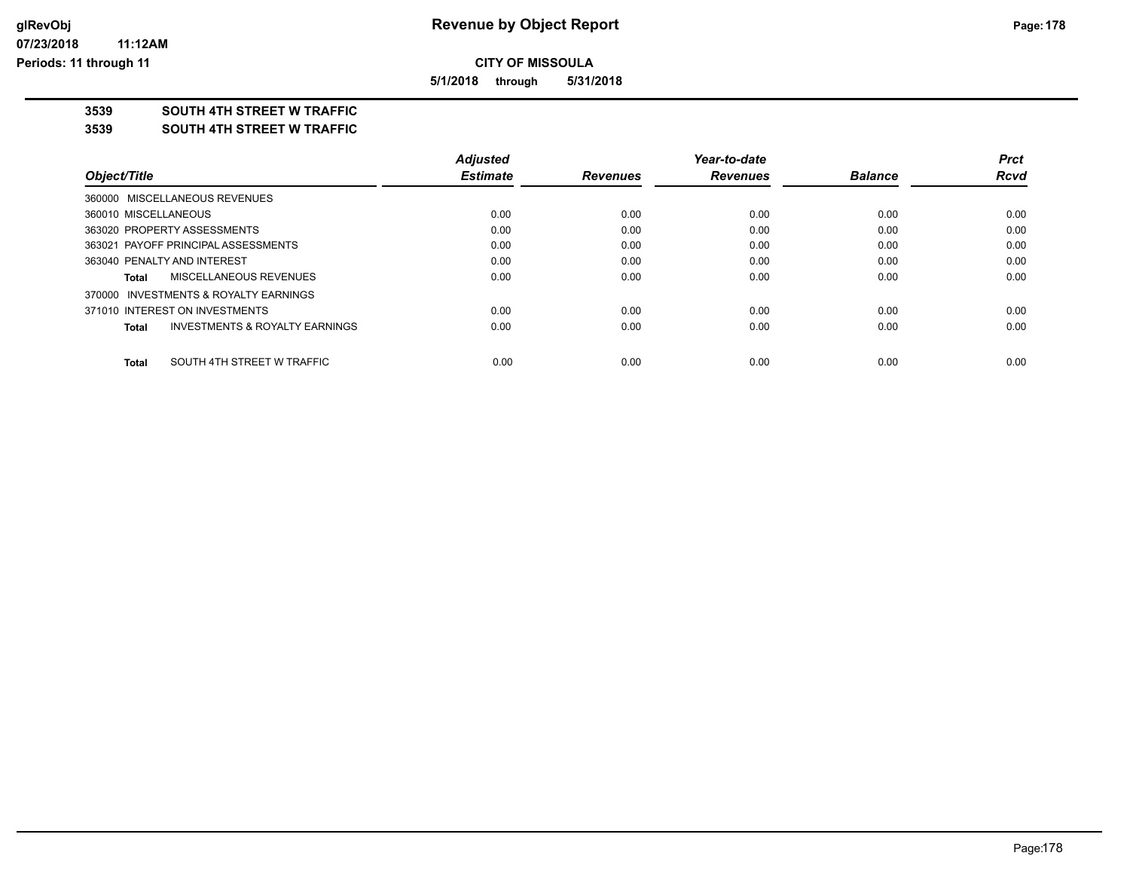**5/1/2018 through 5/31/2018**

## **3539 SOUTH 4TH STREET W TRAFFIC**

#### **3539 SOUTH 4TH STREET W TRAFFIC**

|                                         | <b>Adjusted</b> |                 | Year-to-date    |                | <b>Prct</b> |
|-----------------------------------------|-----------------|-----------------|-----------------|----------------|-------------|
| Object/Title                            | <b>Estimate</b> | <b>Revenues</b> | <b>Revenues</b> | <b>Balance</b> | Rcvd        |
| 360000 MISCELLANEOUS REVENUES           |                 |                 |                 |                |             |
| 360010 MISCELLANEOUS                    | 0.00            | 0.00            | 0.00            | 0.00           | 0.00        |
| 363020 PROPERTY ASSESSMENTS             | 0.00            | 0.00            | 0.00            | 0.00           | 0.00        |
| 363021 PAYOFF PRINCIPAL ASSESSMENTS     | 0.00            | 0.00            | 0.00            | 0.00           | 0.00        |
| 363040 PENALTY AND INTEREST             | 0.00            | 0.00            | 0.00            | 0.00           | 0.00        |
| MISCELLANEOUS REVENUES<br>Total         | 0.00            | 0.00            | 0.00            | 0.00           | 0.00        |
| 370000 INVESTMENTS & ROYALTY EARNINGS   |                 |                 |                 |                |             |
| 371010 INTEREST ON INVESTMENTS          | 0.00            | 0.00            | 0.00            | 0.00           | 0.00        |
| INVESTMENTS & ROYALTY EARNINGS<br>Total | 0.00            | 0.00            | 0.00            | 0.00           | 0.00        |
| SOUTH 4TH STREET W TRAFFIC<br>Total     | 0.00            | 0.00            | 0.00            | 0.00           | 0.00        |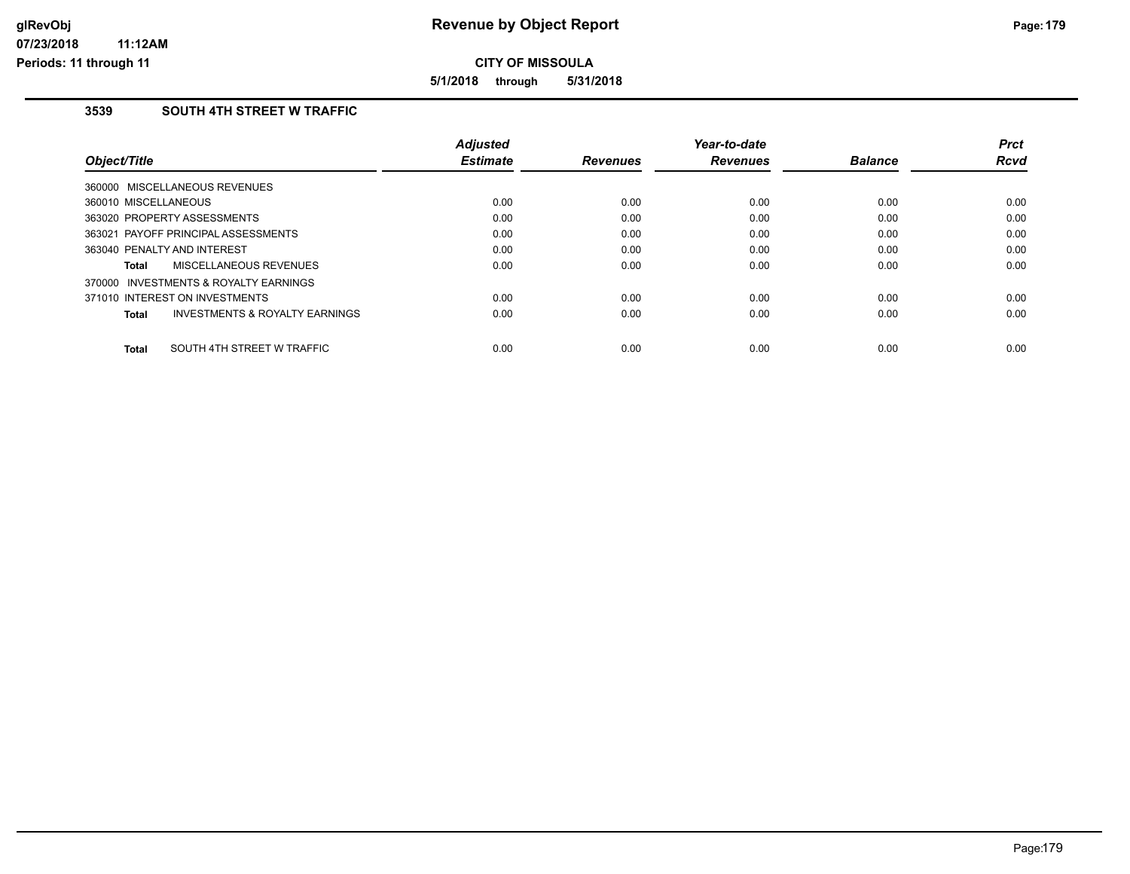**5/1/2018 through 5/31/2018**

## **3539 SOUTH 4TH STREET W TRAFFIC**

| Object/Title                                       | <b>Adjusted</b><br><b>Estimate</b> | <b>Revenues</b> | Year-to-date<br><b>Revenues</b> | <b>Balance</b> | <b>Prct</b><br><b>Rcvd</b> |
|----------------------------------------------------|------------------------------------|-----------------|---------------------------------|----------------|----------------------------|
| 360000 MISCELLANEOUS REVENUES                      |                                    |                 |                                 |                |                            |
| 360010 MISCELLANEOUS                               | 0.00                               | 0.00            | 0.00                            | 0.00           | 0.00                       |
| 363020 PROPERTY ASSESSMENTS                        | 0.00                               | 0.00            | 0.00                            | 0.00           | 0.00                       |
| 363021 PAYOFF PRINCIPAL ASSESSMENTS                | 0.00                               | 0.00            | 0.00                            | 0.00           | 0.00                       |
| 363040 PENALTY AND INTEREST                        | 0.00                               | 0.00            | 0.00                            | 0.00           | 0.00                       |
| MISCELLANEOUS REVENUES<br>Total                    | 0.00                               | 0.00            | 0.00                            | 0.00           | 0.00                       |
| 370000 INVESTMENTS & ROYALTY EARNINGS              |                                    |                 |                                 |                |                            |
| 371010 INTEREST ON INVESTMENTS                     | 0.00                               | 0.00            | 0.00                            | 0.00           | 0.00                       |
| <b>INVESTMENTS &amp; ROYALTY EARNINGS</b><br>Total | 0.00                               | 0.00            | 0.00                            | 0.00           | 0.00                       |
| SOUTH 4TH STREET W TRAFFIC<br>Total                | 0.00                               | 0.00            | 0.00                            | 0.00           | 0.00                       |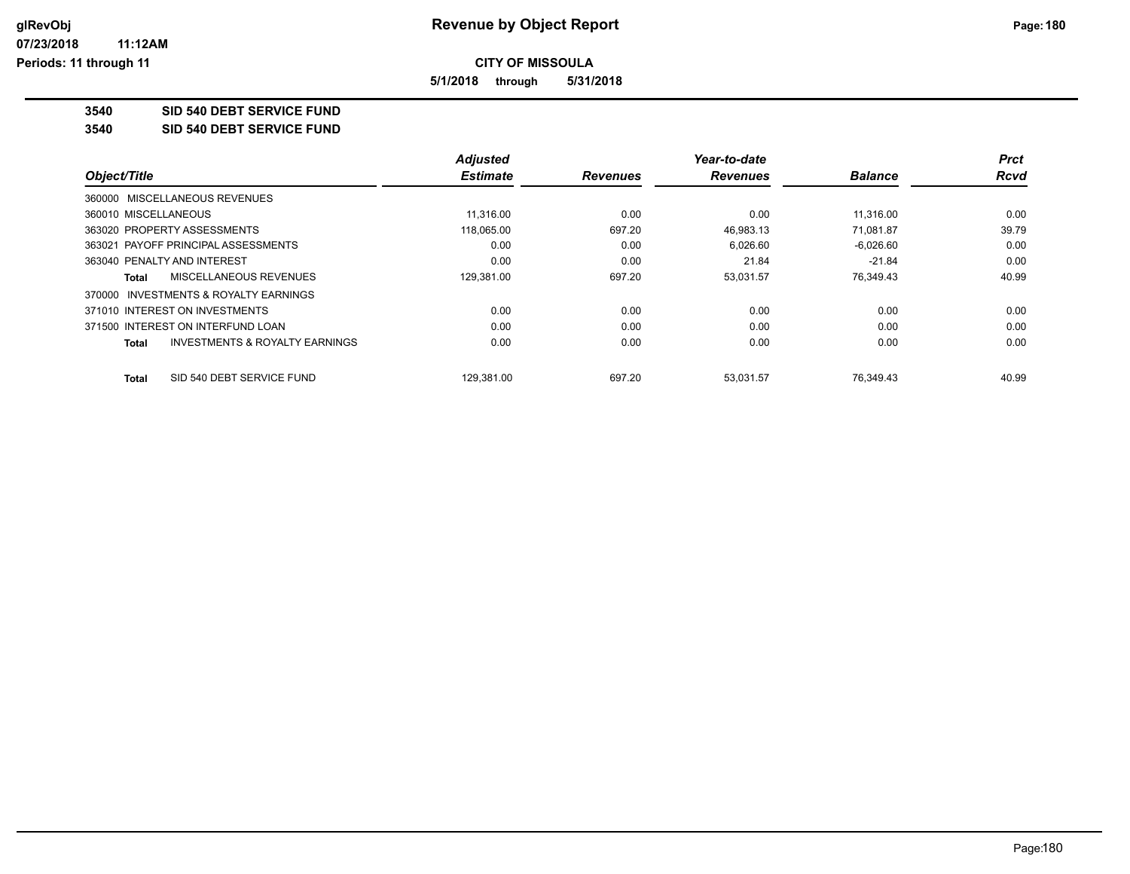**5/1/2018 through 5/31/2018**

**3540 SID 540 DEBT SERVICE FUND**

**3540 SID 540 DEBT SERVICE FUND**

|                                                    | <b>Adjusted</b> |                 | Year-to-date    |                | <b>Prct</b> |
|----------------------------------------------------|-----------------|-----------------|-----------------|----------------|-------------|
| Object/Title                                       | <b>Estimate</b> | <b>Revenues</b> | <b>Revenues</b> | <b>Balance</b> | <b>Rcvd</b> |
| 360000 MISCELLANEOUS REVENUES                      |                 |                 |                 |                |             |
| 360010 MISCELLANEOUS                               | 11.316.00       | 0.00            | 0.00            | 11.316.00      | 0.00        |
| 363020 PROPERTY ASSESSMENTS                        | 118.065.00      | 697.20          | 46.983.13       | 71.081.87      | 39.79       |
| 363021 PAYOFF PRINCIPAL ASSESSMENTS                | 0.00            | 0.00            | 6.026.60        | $-6.026.60$    | 0.00        |
| 363040 PENALTY AND INTEREST                        | 0.00            | 0.00            | 21.84           | $-21.84$       | 0.00        |
| MISCELLANEOUS REVENUES<br>Total                    | 129,381.00      | 697.20          | 53,031.57       | 76.349.43      | 40.99       |
| INVESTMENTS & ROYALTY EARNINGS<br>370000           |                 |                 |                 |                |             |
| 371010 INTEREST ON INVESTMENTS                     | 0.00            | 0.00            | 0.00            | 0.00           | 0.00        |
| 371500 INTEREST ON INTERFUND LOAN                  | 0.00            | 0.00            | 0.00            | 0.00           | 0.00        |
| <b>INVESTMENTS &amp; ROYALTY EARNINGS</b><br>Total | 0.00            | 0.00            | 0.00            | 0.00           | 0.00        |
| SID 540 DEBT SERVICE FUND<br><b>Total</b>          | 129.381.00      | 697.20          | 53.031.57       | 76.349.43      | 40.99       |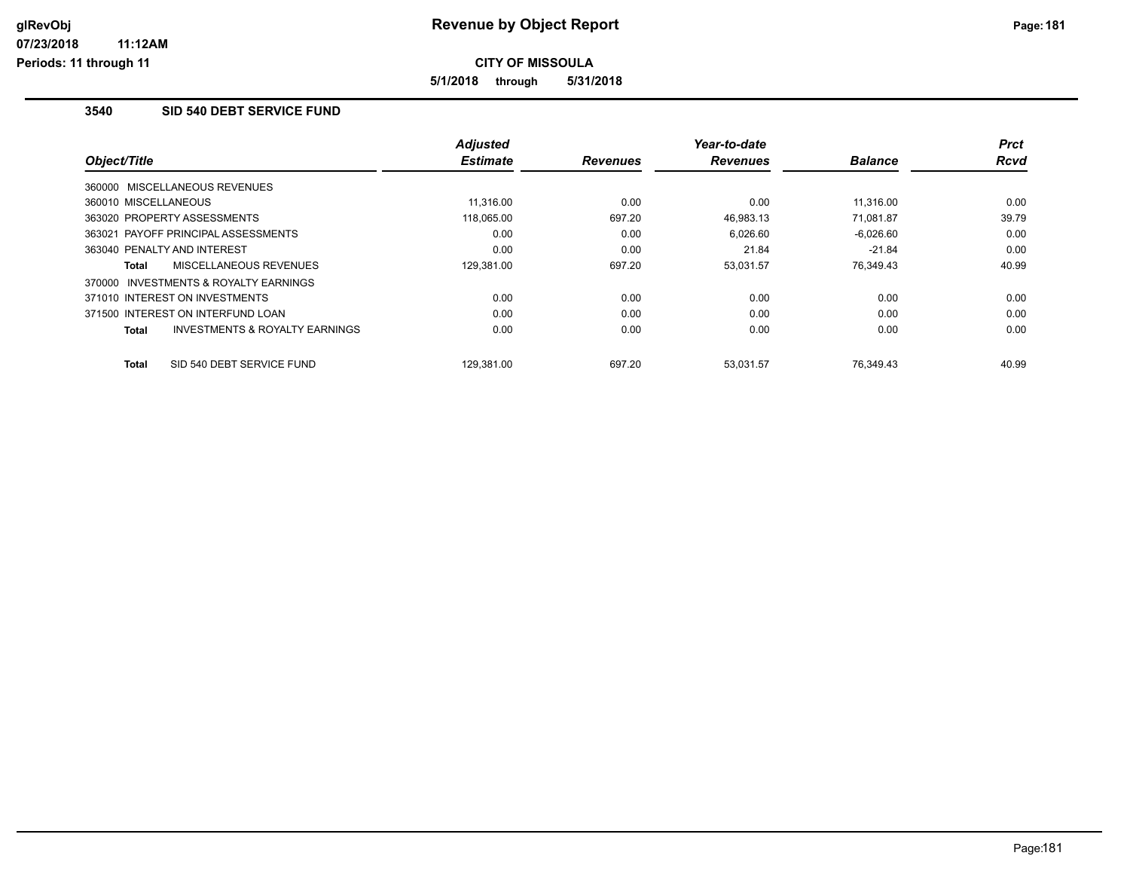**5/1/2018 through 5/31/2018**

# **3540 SID 540 DEBT SERVICE FUND**

|                                                     | <b>Adjusted</b> |                 | Year-to-date    |                | <b>Prct</b> |
|-----------------------------------------------------|-----------------|-----------------|-----------------|----------------|-------------|
| Object/Title                                        | <b>Estimate</b> | <b>Revenues</b> | <b>Revenues</b> | <b>Balance</b> | Rcvd        |
| 360000 MISCELLANEOUS REVENUES                       |                 |                 |                 |                |             |
| 360010 MISCELLANEOUS                                | 11.316.00       | 0.00            | 0.00            | 11.316.00      | 0.00        |
| 363020 PROPERTY ASSESSMENTS                         | 118.065.00      | 697.20          | 46.983.13       | 71.081.87      | 39.79       |
| 363021 PAYOFF PRINCIPAL ASSESSMENTS                 | 0.00            | 0.00            | 6.026.60        | $-6.026.60$    | 0.00        |
| 363040 PENALTY AND INTEREST                         | 0.00            | 0.00            | 21.84           | $-21.84$       | 0.00        |
| MISCELLANEOUS REVENUES<br>Total                     | 129,381.00      | 697.20          | 53,031.57       | 76,349.43      | 40.99       |
| <b>INVESTMENTS &amp; ROYALTY EARNINGS</b><br>370000 |                 |                 |                 |                |             |
| 371010 INTEREST ON INVESTMENTS                      | 0.00            | 0.00            | 0.00            | 0.00           | 0.00        |
| 371500 INTEREST ON INTERFUND LOAN                   | 0.00            | 0.00            | 0.00            | 0.00           | 0.00        |
| <b>INVESTMENTS &amp; ROYALTY EARNINGS</b><br>Total  | 0.00            | 0.00            | 0.00            | 0.00           | 0.00        |
| SID 540 DEBT SERVICE FUND<br><b>Total</b>           | 129.381.00      | 697.20          | 53.031.57       | 76.349.43      | 40.99       |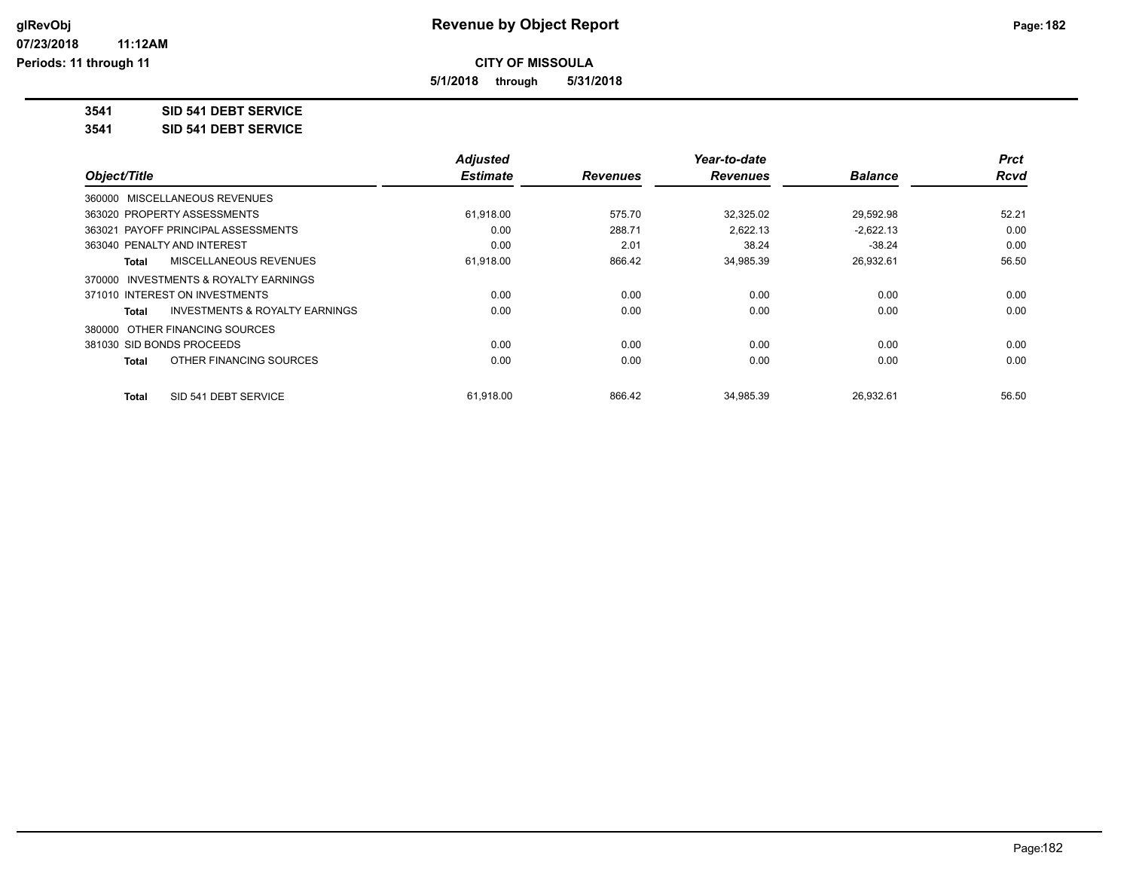**5/1/2018 through 5/31/2018**

**3541 SID 541 DEBT SERVICE**

**3541 SID 541 DEBT SERVICE**

|                                         | <b>Adjusted</b> |                 | Year-to-date    |                | <b>Prct</b> |
|-----------------------------------------|-----------------|-----------------|-----------------|----------------|-------------|
| Object/Title                            | <b>Estimate</b> | <b>Revenues</b> | <b>Revenues</b> | <b>Balance</b> | <b>Rcvd</b> |
| 360000 MISCELLANEOUS REVENUES           |                 |                 |                 |                |             |
| 363020 PROPERTY ASSESSMENTS             | 61,918.00       | 575.70          | 32,325.02       | 29,592.98      | 52.21       |
| 363021 PAYOFF PRINCIPAL ASSESSMENTS     | 0.00            | 288.71          | 2.622.13        | $-2.622.13$    | 0.00        |
| 363040 PENALTY AND INTEREST             | 0.00            | 2.01            | 38.24           | $-38.24$       | 0.00        |
| MISCELLANEOUS REVENUES<br>Total         | 61,918.00       | 866.42          | 34,985.39       | 26,932.61      | 56.50       |
| 370000 INVESTMENTS & ROYALTY EARNINGS   |                 |                 |                 |                |             |
| 371010 INTEREST ON INVESTMENTS          | 0.00            | 0.00            | 0.00            | 0.00           | 0.00        |
| INVESTMENTS & ROYALTY EARNINGS<br>Total | 0.00            | 0.00            | 0.00            | 0.00           | 0.00        |
| 380000 OTHER FINANCING SOURCES          |                 |                 |                 |                |             |
| 381030 SID BONDS PROCEEDS               | 0.00            | 0.00            | 0.00            | 0.00           | 0.00        |
| OTHER FINANCING SOURCES<br>Total        | 0.00            | 0.00            | 0.00            | 0.00           | 0.00        |
| SID 541 DEBT SERVICE<br>Total           | 61.918.00       | 866.42          | 34.985.39       | 26.932.61      | 56.50       |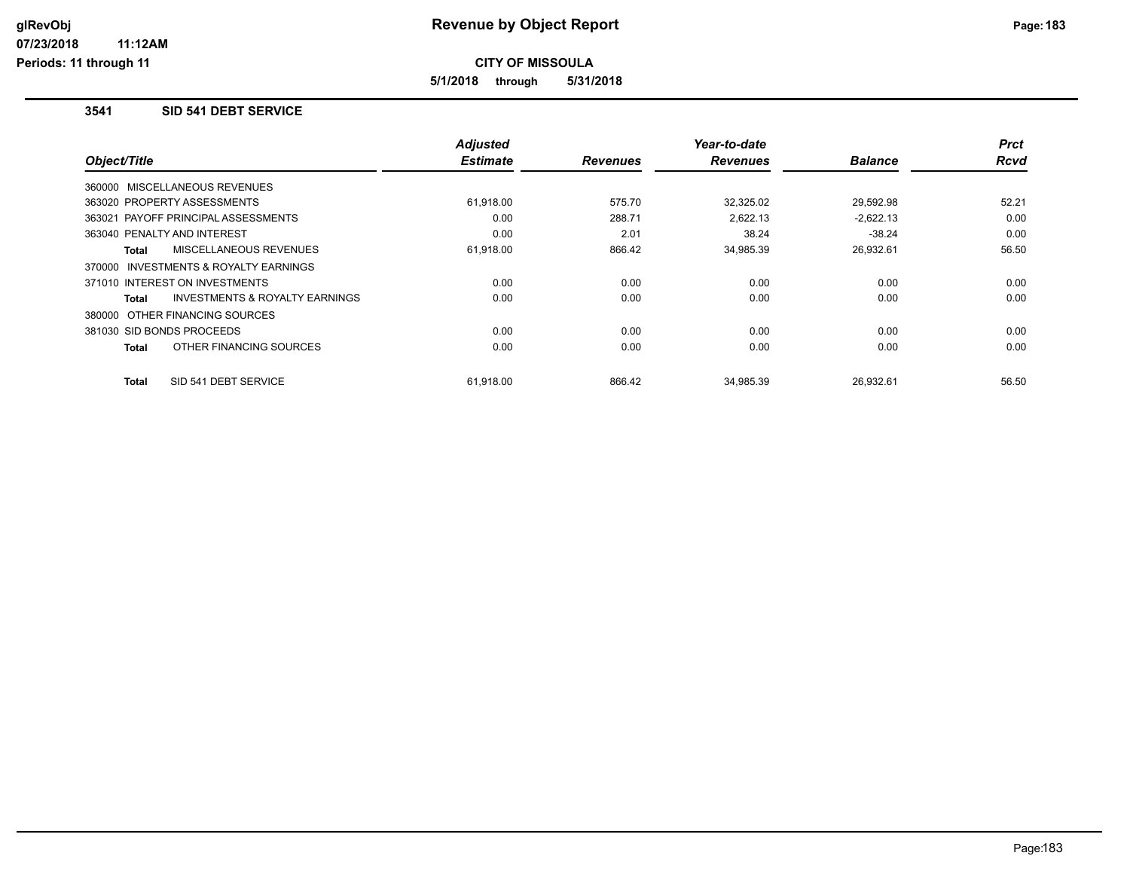**5/1/2018 through 5/31/2018**

#### **3541 SID 541 DEBT SERVICE**

| Object/Title                                        | <b>Adjusted</b><br><b>Estimate</b> | <b>Revenues</b> | Year-to-date<br><b>Revenues</b> | <b>Balance</b> | <b>Prct</b><br>Rcvd |
|-----------------------------------------------------|------------------------------------|-----------------|---------------------------------|----------------|---------------------|
| 360000 MISCELLANEOUS REVENUES                       |                                    |                 |                                 |                |                     |
| 363020 PROPERTY ASSESSMENTS                         | 61,918.00                          | 575.70          | 32,325.02                       | 29,592.98      | 52.21               |
| 363021 PAYOFF PRINCIPAL ASSESSMENTS                 | 0.00                               | 288.71          | 2.622.13                        | $-2.622.13$    | 0.00                |
| 363040 PENALTY AND INTEREST                         | 0.00                               | 2.01            | 38.24                           | $-38.24$       | 0.00                |
| MISCELLANEOUS REVENUES<br>Total                     | 61,918.00                          | 866.42          | 34,985.39                       | 26,932.61      | 56.50               |
| <b>INVESTMENTS &amp; ROYALTY EARNINGS</b><br>370000 |                                    |                 |                                 |                |                     |
| 371010 INTEREST ON INVESTMENTS                      | 0.00                               | 0.00            | 0.00                            | 0.00           | 0.00                |
| <b>INVESTMENTS &amp; ROYALTY EARNINGS</b><br>Total  | 0.00                               | 0.00            | 0.00                            | 0.00           | 0.00                |
| 380000 OTHER FINANCING SOURCES                      |                                    |                 |                                 |                |                     |
| 381030 SID BONDS PROCEEDS                           | 0.00                               | 0.00            | 0.00                            | 0.00           | 0.00                |
| OTHER FINANCING SOURCES<br><b>Total</b>             | 0.00                               | 0.00            | 0.00                            | 0.00           | 0.00                |
| SID 541 DEBT SERVICE<br><b>Total</b>                | 61.918.00                          | 866.42          | 34.985.39                       | 26.932.61      | 56.50               |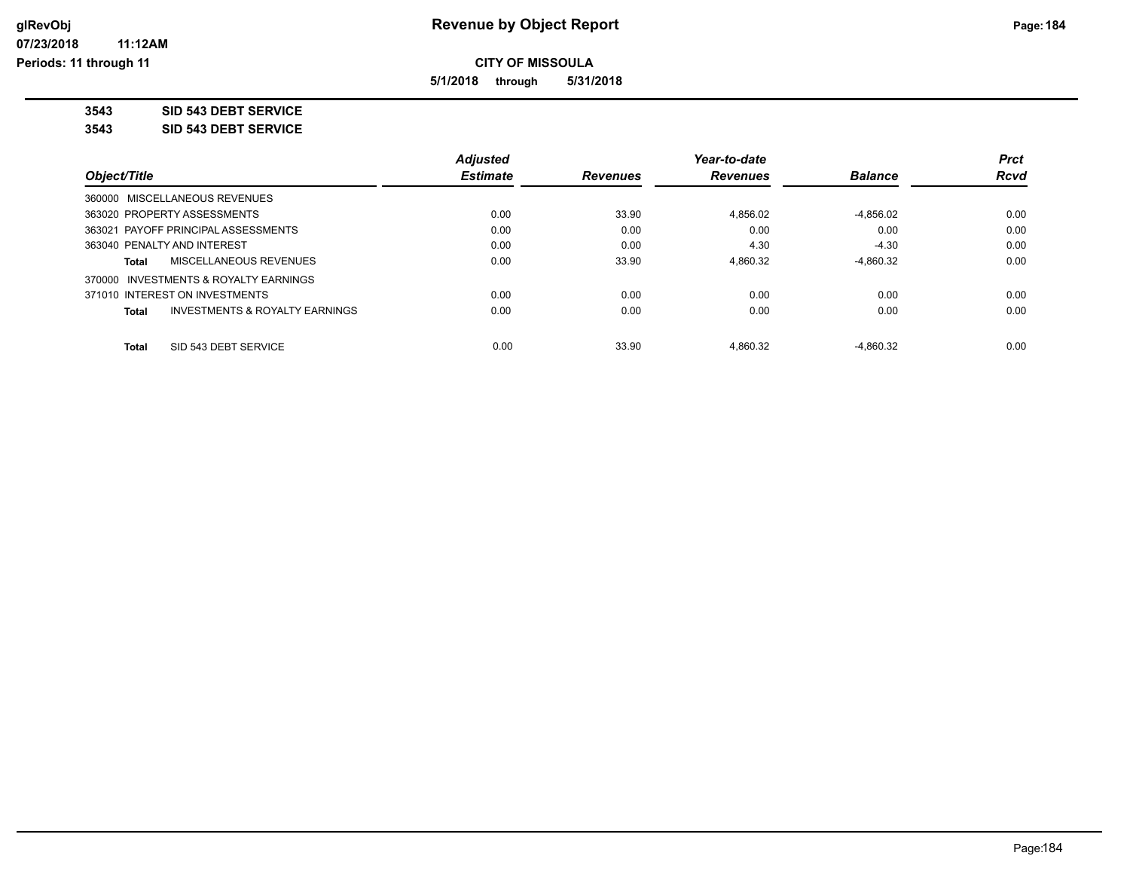**5/1/2018 through 5/31/2018**

**3543 SID 543 DEBT SERVICE**

**3543 SID 543 DEBT SERVICE**

|                                                | <b>Adjusted</b> |                 | Year-to-date    |                | <b>Prct</b> |
|------------------------------------------------|-----------------|-----------------|-----------------|----------------|-------------|
| Object/Title                                   | <b>Estimate</b> | <b>Revenues</b> | <b>Revenues</b> | <b>Balance</b> | Rcvd        |
| 360000 MISCELLANEOUS REVENUES                  |                 |                 |                 |                |             |
| 363020 PROPERTY ASSESSMENTS                    | 0.00            | 33.90           | 4.856.02        | $-4.856.02$    | 0.00        |
| 363021 PAYOFF PRINCIPAL ASSESSMENTS            | 0.00            | 0.00            | 0.00            | 0.00           | 0.00        |
| 363040 PENALTY AND INTEREST                    | 0.00            | 0.00            | 4.30            | $-4.30$        | 0.00        |
| MISCELLANEOUS REVENUES<br>Total                | 0.00            | 33.90           | 4.860.32        | $-4.860.32$    | 0.00        |
| 370000 INVESTMENTS & ROYALTY EARNINGS          |                 |                 |                 |                |             |
| 371010 INTEREST ON INVESTMENTS                 | 0.00            | 0.00            | 0.00            | 0.00           | 0.00        |
| INVESTMENTS & ROYALTY EARNINGS<br><b>Total</b> | 0.00            | 0.00            | 0.00            | 0.00           | 0.00        |
| SID 543 DEBT SERVICE<br>Total                  | 0.00            | 33.90           | 4.860.32        | $-4.860.32$    | 0.00        |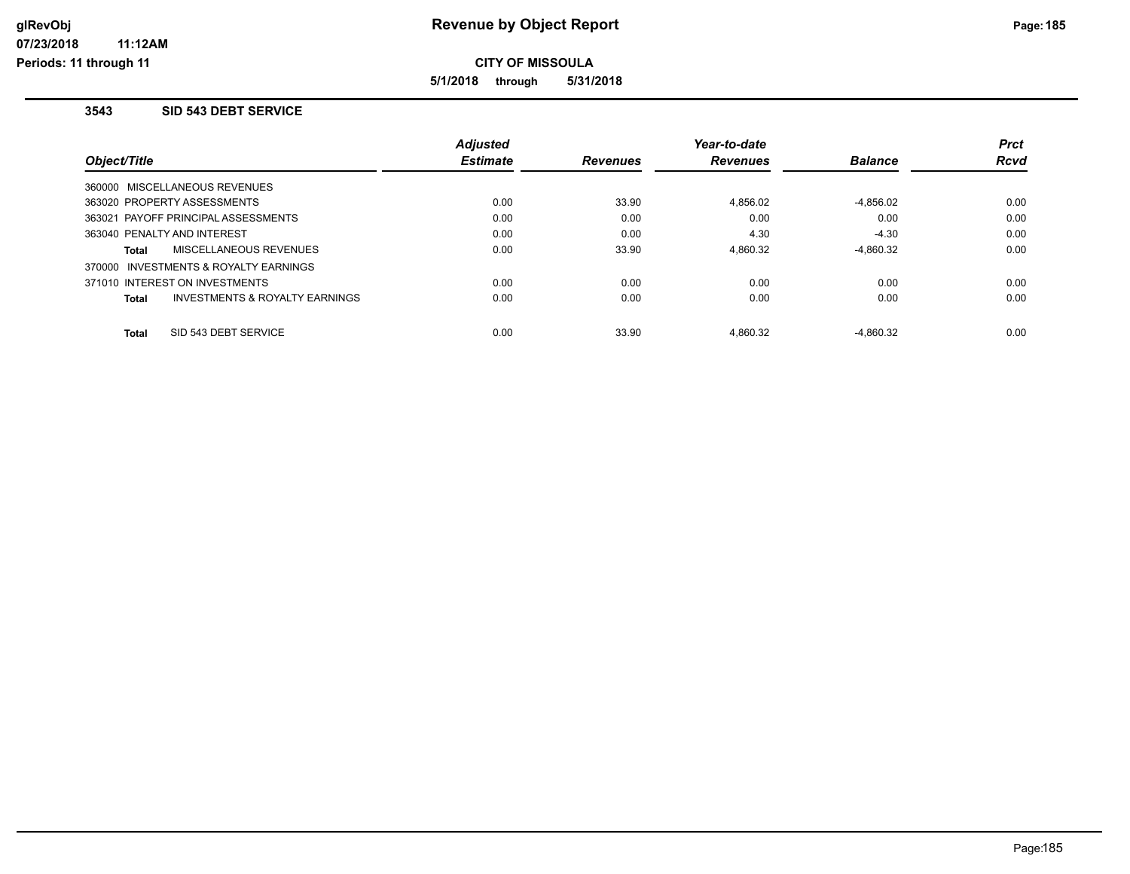**5/1/2018 through 5/31/2018**

#### **3543 SID 543 DEBT SERVICE**

|                                                | <b>Adjusted</b> |                 | Year-to-date    |                | <b>Prct</b> |
|------------------------------------------------|-----------------|-----------------|-----------------|----------------|-------------|
| Object/Title                                   | <b>Estimate</b> | <b>Revenues</b> | <b>Revenues</b> | <b>Balance</b> | <b>Rcvd</b> |
| 360000 MISCELLANEOUS REVENUES                  |                 |                 |                 |                |             |
| 363020 PROPERTY ASSESSMENTS                    | 0.00            | 33.90           | 4.856.02        | $-4,856.02$    | 0.00        |
| 363021 PAYOFF PRINCIPAL ASSESSMENTS            | 0.00            | 0.00            | 0.00            | 0.00           | 0.00        |
| 363040 PENALTY AND INTEREST                    | 0.00            | 0.00            | 4.30            | $-4.30$        | 0.00        |
| MISCELLANEOUS REVENUES<br><b>Total</b>         | 0.00            | 33.90           | 4.860.32        | $-4.860.32$    | 0.00        |
| 370000 INVESTMENTS & ROYALTY EARNINGS          |                 |                 |                 |                |             |
| 371010 INTEREST ON INVESTMENTS                 | 0.00            | 0.00            | 0.00            | 0.00           | 0.00        |
| INVESTMENTS & ROYALTY EARNINGS<br><b>Total</b> | 0.00            | 0.00            | 0.00            | 0.00           | 0.00        |
| SID 543 DEBT SERVICE<br><b>Total</b>           | 0.00            | 33.90           | 4.860.32        | $-4.860.32$    | 0.00        |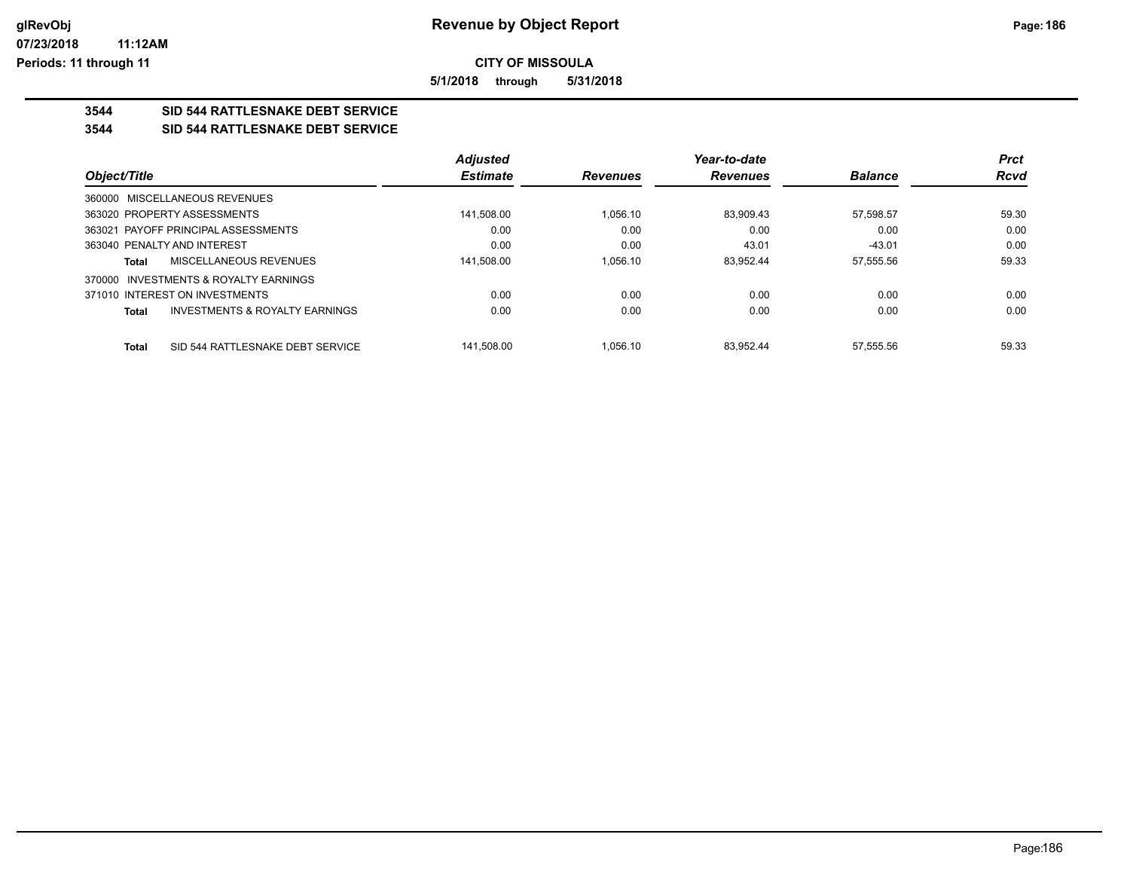**5/1/2018 through 5/31/2018**

# **3544 SID 544 RATTLESNAKE DEBT SERVICE**

# **3544 SID 544 RATTLESNAKE DEBT SERVICE**

|                                     |                                           | <b>Adjusted</b> |                 | Year-to-date    |                | <b>Prct</b> |
|-------------------------------------|-------------------------------------------|-----------------|-----------------|-----------------|----------------|-------------|
| Object/Title                        |                                           | <b>Estimate</b> | <b>Revenues</b> | <b>Revenues</b> | <b>Balance</b> | <b>Rcvd</b> |
| 360000 MISCELLANEOUS REVENUES       |                                           |                 |                 |                 |                |             |
| 363020 PROPERTY ASSESSMENTS         |                                           | 141,508.00      | 1.056.10        | 83,909.43       | 57,598.57      | 59.30       |
| 363021 PAYOFF PRINCIPAL ASSESSMENTS |                                           | 0.00            | 0.00            | 0.00            | 0.00           | 0.00        |
| 363040 PENALTY AND INTEREST         |                                           | 0.00            | 0.00            | 43.01           | $-43.01$       | 0.00        |
| Total                               | MISCELLANEOUS REVENUES                    | 141,508.00      | 1.056.10        | 83.952.44       | 57,555.56      | 59.33       |
| 370000                              | INVESTMENTS & ROYALTY EARNINGS            |                 |                 |                 |                |             |
| 371010 INTEREST ON INVESTMENTS      |                                           | 0.00            | 0.00            | 0.00            | 0.00           | 0.00        |
| <b>Total</b>                        | <b>INVESTMENTS &amp; ROYALTY EARNINGS</b> | 0.00            | 0.00            | 0.00            | 0.00           | 0.00        |
| <b>Total</b>                        | SID 544 RATTLESNAKE DEBT SERVICE          | 141.508.00      | 1.056.10        | 83.952.44       | 57.555.56      | 59.33       |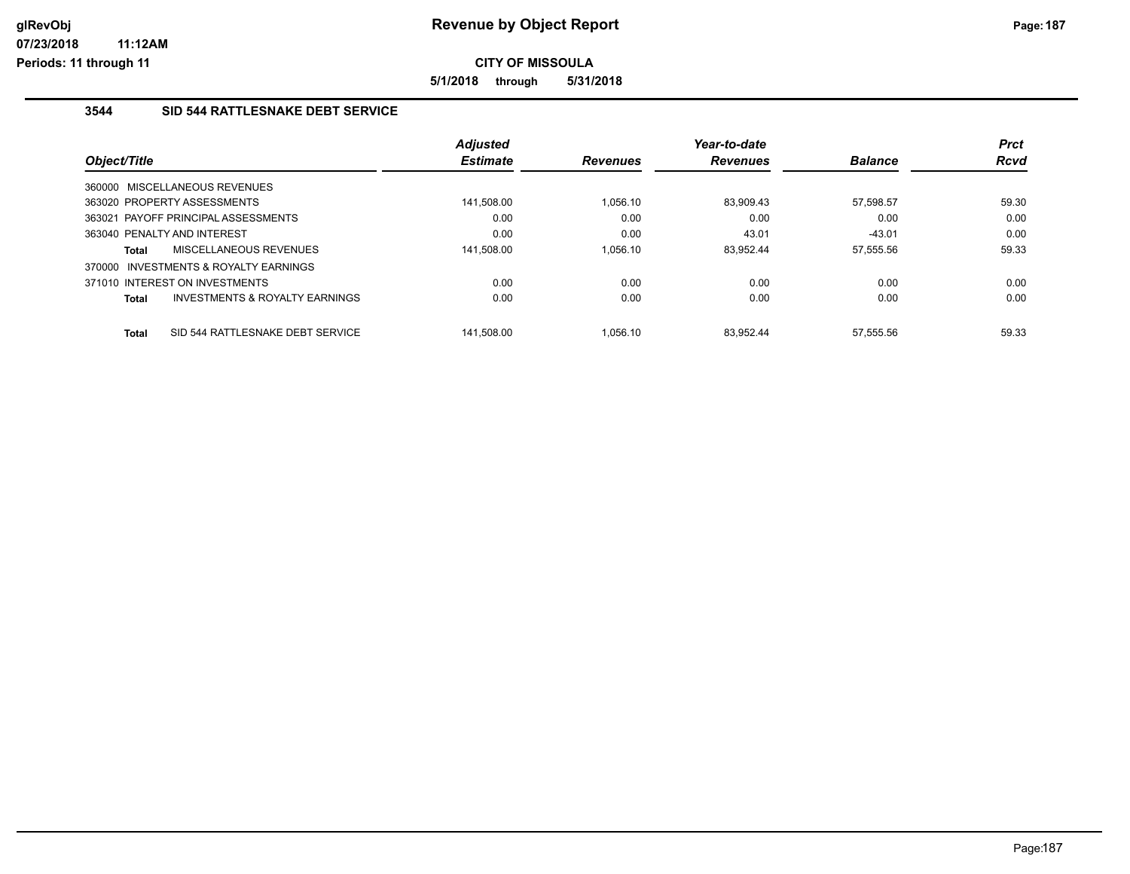**5/1/2018 through 5/31/2018**

# **3544 SID 544 RATTLESNAKE DEBT SERVICE**

|              |                                     | <b>Adjusted</b> |                 | Year-to-date    |                | <b>Prct</b> |
|--------------|-------------------------------------|-----------------|-----------------|-----------------|----------------|-------------|
| Object/Title |                                     | <b>Estimate</b> | <b>Revenues</b> | <b>Revenues</b> | <b>Balance</b> | <b>Rcvd</b> |
|              | 360000 MISCELLANEOUS REVENUES       |                 |                 |                 |                |             |
|              | 363020 PROPERTY ASSESSMENTS         | 141,508.00      | 1.056.10        | 83,909.43       | 57,598.57      | 59.30       |
|              | 363021 PAYOFF PRINCIPAL ASSESSMENTS | 0.00            | 0.00            | 0.00            | 0.00           | 0.00        |
|              | 363040 PENALTY AND INTEREST         | 0.00            | 0.00            | 43.01           | $-43.01$       | 0.00        |
| <b>Total</b> | MISCELLANEOUS REVENUES              | 141.508.00      | 1.056.10        | 83.952.44       | 57.555.56      | 59.33       |
| 370000       | INVESTMENTS & ROYALTY EARNINGS      |                 |                 |                 |                |             |
|              | 371010 INTEREST ON INVESTMENTS      | 0.00            | 0.00            | 0.00            | 0.00           | 0.00        |
| <b>Total</b> | INVESTMENTS & ROYALTY EARNINGS      | 0.00            | 0.00            | 0.00            | 0.00           | 0.00        |
| <b>Total</b> | SID 544 RATTLESNAKE DEBT SERVICE    | 141.508.00      | 1.056.10        | 83.952.44       | 57.555.56      | 59.33       |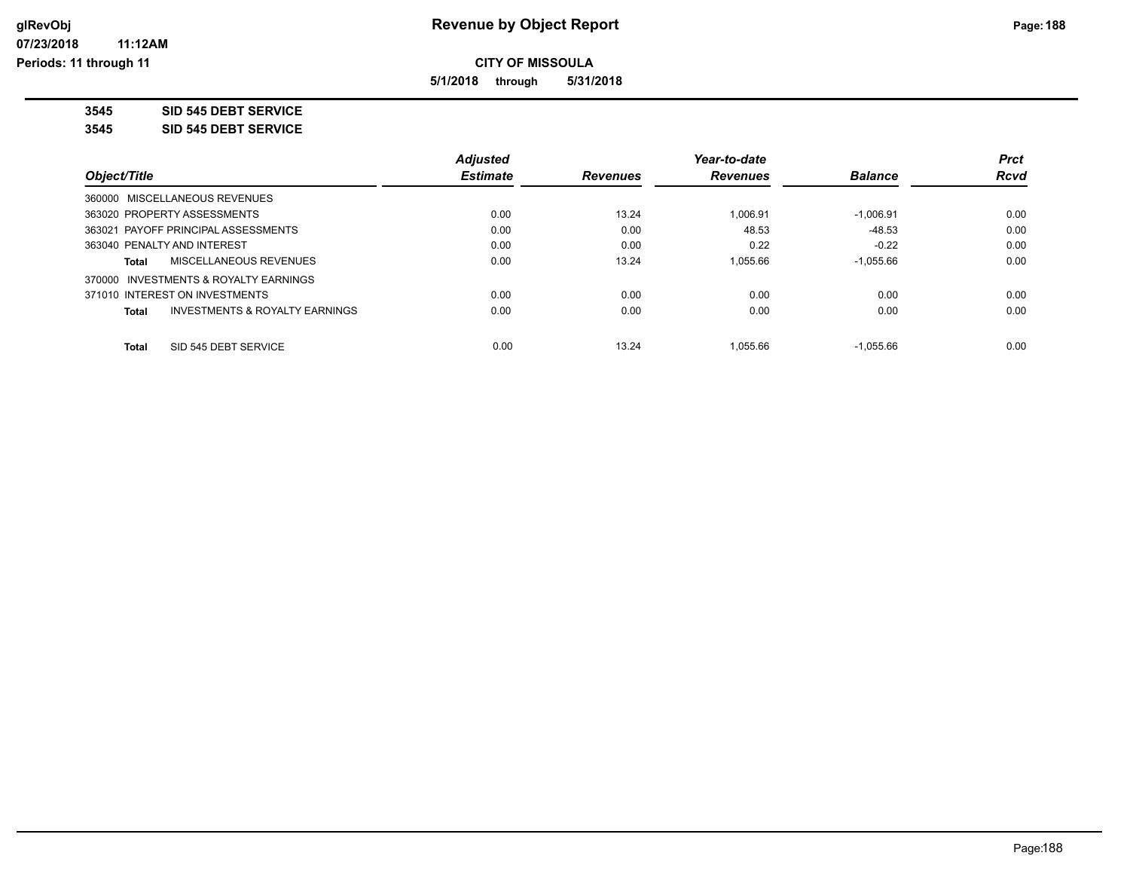**5/1/2018 through 5/31/2018**

**3545 SID 545 DEBT SERVICE**

**3545 SID 545 DEBT SERVICE**

|                                                | <b>Adjusted</b> |                 | Year-to-date    |                | <b>Prct</b> |
|------------------------------------------------|-----------------|-----------------|-----------------|----------------|-------------|
| Object/Title                                   | <b>Estimate</b> | <b>Revenues</b> | <b>Revenues</b> | <b>Balance</b> | Rcvd        |
| 360000 MISCELLANEOUS REVENUES                  |                 |                 |                 |                |             |
| 363020 PROPERTY ASSESSMENTS                    | 0.00            | 13.24           | 1.006.91        | $-1.006.91$    | 0.00        |
| 363021 PAYOFF PRINCIPAL ASSESSMENTS            | 0.00            | 0.00            | 48.53           | $-48.53$       | 0.00        |
| 363040 PENALTY AND INTEREST                    | 0.00            | 0.00            | 0.22            | $-0.22$        | 0.00        |
| MISCELLANEOUS REVENUES<br>Total                | 0.00            | 13.24           | 1.055.66        | $-1.055.66$    | 0.00        |
| 370000 INVESTMENTS & ROYALTY EARNINGS          |                 |                 |                 |                |             |
| 371010 INTEREST ON INVESTMENTS                 | 0.00            | 0.00            | 0.00            | 0.00           | 0.00        |
| INVESTMENTS & ROYALTY EARNINGS<br><b>Total</b> | 0.00            | 0.00            | 0.00            | 0.00           | 0.00        |
| SID 545 DEBT SERVICE<br>Total                  | 0.00            | 13.24           | 1.055.66        | $-1.055.66$    | 0.00        |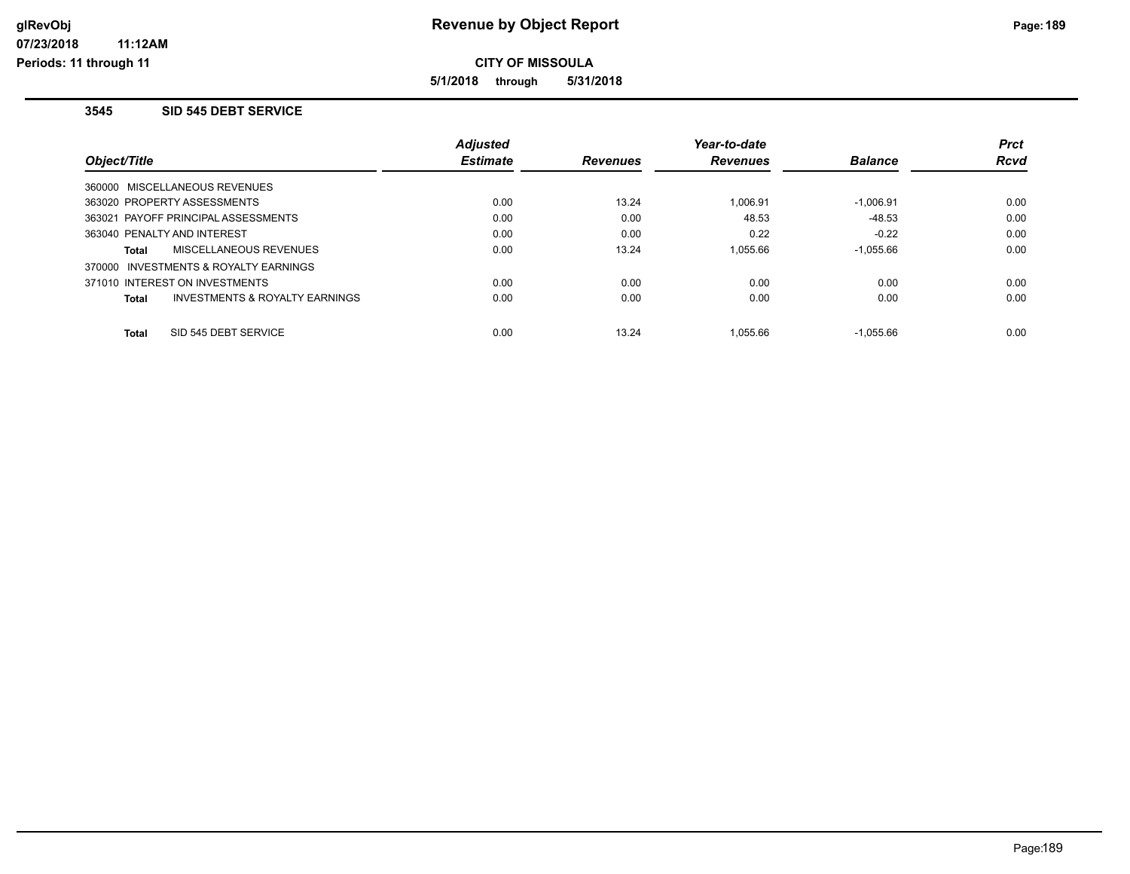**5/1/2018 through 5/31/2018**

#### **3545 SID 545 DEBT SERVICE**

|                                                | <b>Adjusted</b> |                 | Year-to-date    |                | <b>Prct</b> |
|------------------------------------------------|-----------------|-----------------|-----------------|----------------|-------------|
| Object/Title                                   | <b>Estimate</b> | <b>Revenues</b> | <b>Revenues</b> | <b>Balance</b> | <b>Rcvd</b> |
| 360000 MISCELLANEOUS REVENUES                  |                 |                 |                 |                |             |
| 363020 PROPERTY ASSESSMENTS                    | 0.00            | 13.24           | 1.006.91        | $-1,006.91$    | 0.00        |
| 363021 PAYOFF PRINCIPAL ASSESSMENTS            | 0.00            | 0.00            | 48.53           | $-48.53$       | 0.00        |
| 363040 PENALTY AND INTEREST                    | 0.00            | 0.00            | 0.22            | $-0.22$        | 0.00        |
| MISCELLANEOUS REVENUES<br><b>Total</b>         | 0.00            | 13.24           | 1.055.66        | $-1.055.66$    | 0.00        |
| 370000 INVESTMENTS & ROYALTY EARNINGS          |                 |                 |                 |                |             |
| 371010 INTEREST ON INVESTMENTS                 | 0.00            | 0.00            | 0.00            | 0.00           | 0.00        |
| INVESTMENTS & ROYALTY EARNINGS<br><b>Total</b> | 0.00            | 0.00            | 0.00            | 0.00           | 0.00        |
| SID 545 DEBT SERVICE<br><b>Total</b>           | 0.00            | 13.24           | 1.055.66        | $-1.055.66$    | 0.00        |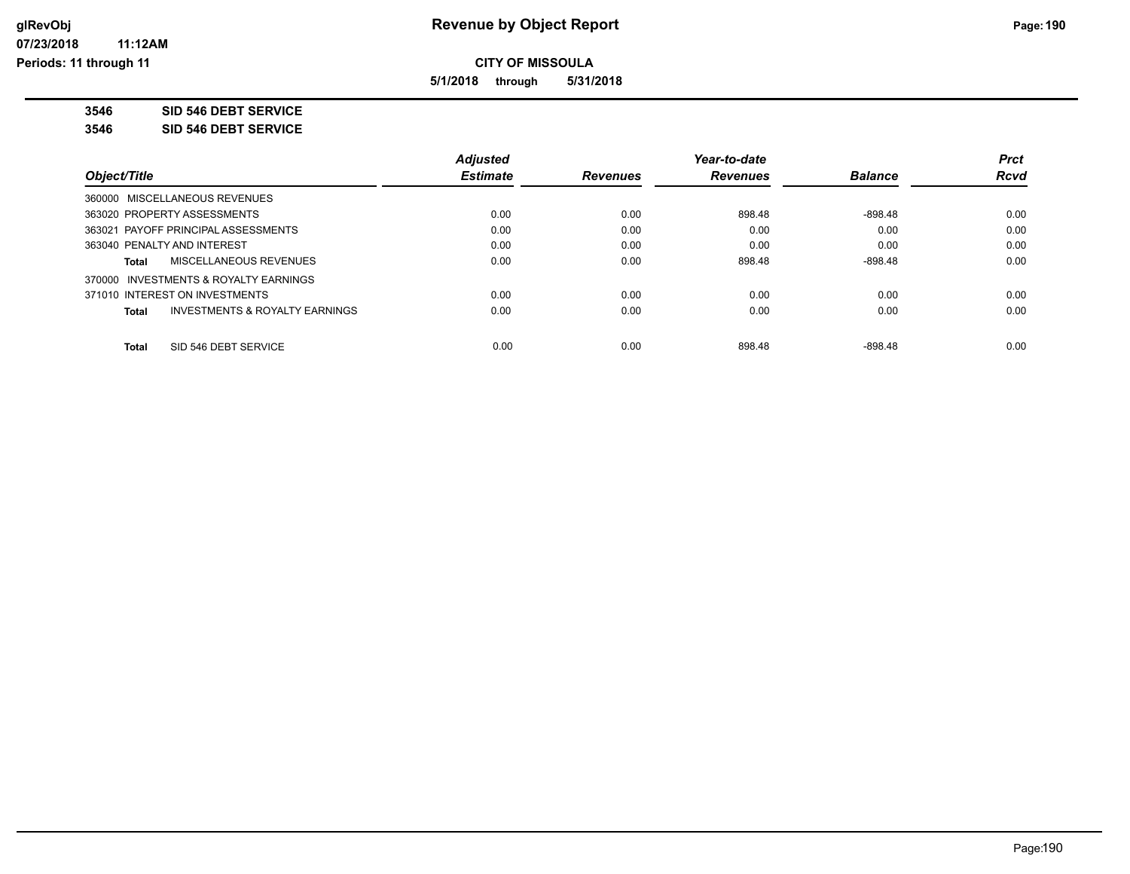**5/1/2018 through 5/31/2018**

**3546 SID 546 DEBT SERVICE**

**3546 SID 546 DEBT SERVICE**

|                                         | <b>Adjusted</b> |                 | Year-to-date    |                | <b>Prct</b> |
|-----------------------------------------|-----------------|-----------------|-----------------|----------------|-------------|
| Object/Title                            | <b>Estimate</b> | <b>Revenues</b> | <b>Revenues</b> | <b>Balance</b> | <b>Rcvd</b> |
| 360000 MISCELLANEOUS REVENUES           |                 |                 |                 |                |             |
| 363020 PROPERTY ASSESSMENTS             | 0.00            | 0.00            | 898.48          | -898.48        | 0.00        |
| 363021 PAYOFF PRINCIPAL ASSESSMENTS     | 0.00            | 0.00            | 0.00            | 0.00           | 0.00        |
| 363040 PENALTY AND INTEREST             | 0.00            | 0.00            | 0.00            | 0.00           | 0.00        |
| MISCELLANEOUS REVENUES<br>Total         | 0.00            | 0.00            | 898.48          | $-898.48$      | 0.00        |
| 370000 INVESTMENTS & ROYALTY EARNINGS   |                 |                 |                 |                |             |
| 371010 INTEREST ON INVESTMENTS          | 0.00            | 0.00            | 0.00            | 0.00           | 0.00        |
| INVESTMENTS & ROYALTY EARNINGS<br>Total | 0.00            | 0.00            | 0.00            | 0.00           | 0.00        |
| SID 546 DEBT SERVICE<br><b>Total</b>    | 0.00            | 0.00            | 898.48          | $-898.48$      | 0.00        |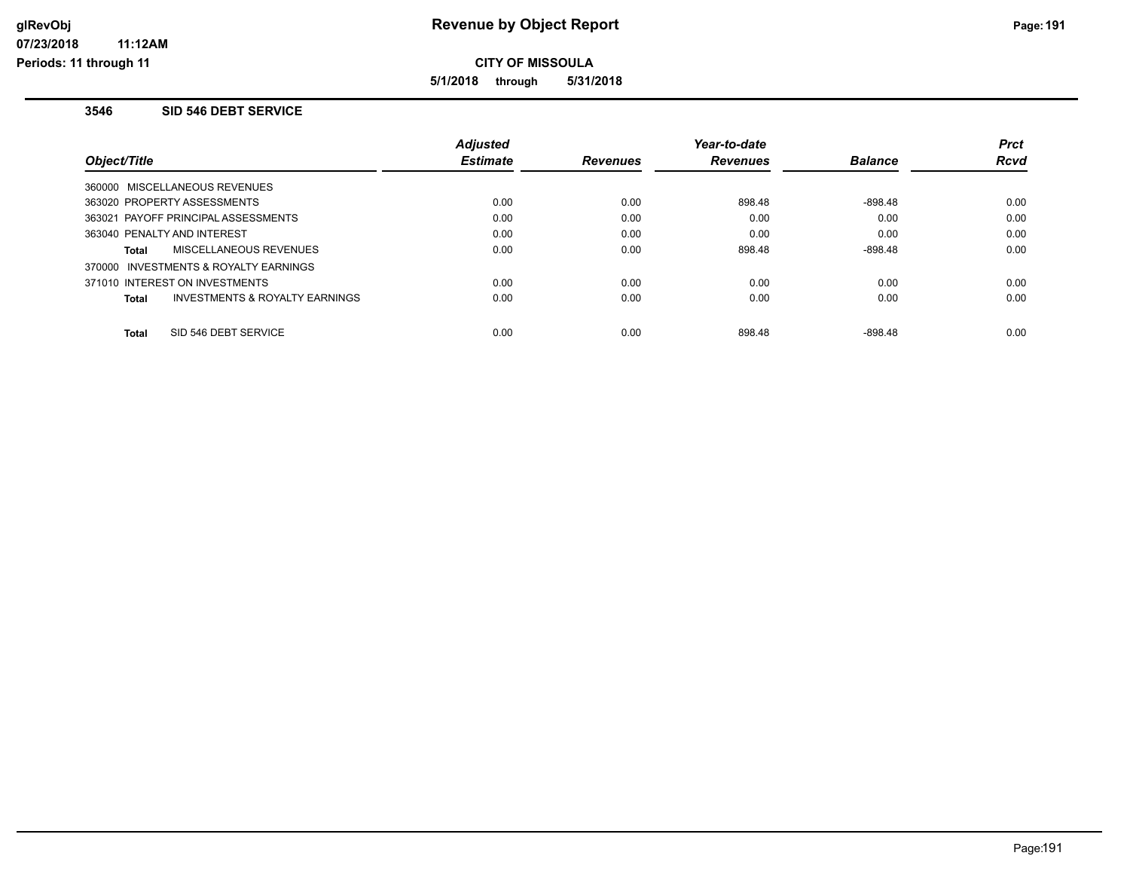**5/1/2018 through 5/31/2018**

#### **3546 SID 546 DEBT SERVICE**

|                                                | <b>Adjusted</b> |                 | Year-to-date    |                | <b>Prct</b> |
|------------------------------------------------|-----------------|-----------------|-----------------|----------------|-------------|
| Object/Title                                   | <b>Estimate</b> | <b>Revenues</b> | <b>Revenues</b> | <b>Balance</b> | Rcvd        |
| 360000 MISCELLANEOUS REVENUES                  |                 |                 |                 |                |             |
| 363020 PROPERTY ASSESSMENTS                    | 0.00            | 0.00            | 898.48          | $-898.48$      | 0.00        |
| 363021 PAYOFF PRINCIPAL ASSESSMENTS            | 0.00            | 0.00            | 0.00            | 0.00           | 0.00        |
| 363040 PENALTY AND INTEREST                    | 0.00            | 0.00            | 0.00            | 0.00           | 0.00        |
| MISCELLANEOUS REVENUES<br><b>Total</b>         | 0.00            | 0.00            | 898.48          | $-898.48$      | 0.00        |
| 370000 INVESTMENTS & ROYALTY EARNINGS          |                 |                 |                 |                |             |
| 371010 INTEREST ON INVESTMENTS                 | 0.00            | 0.00            | 0.00            | 0.00           | 0.00        |
| INVESTMENTS & ROYALTY EARNINGS<br><b>Total</b> | 0.00            | 0.00            | 0.00            | 0.00           | 0.00        |
| SID 546 DEBT SERVICE                           |                 |                 |                 |                |             |
| <b>Total</b>                                   | 0.00            | 0.00            | 898.48          | -898.48        | 0.00        |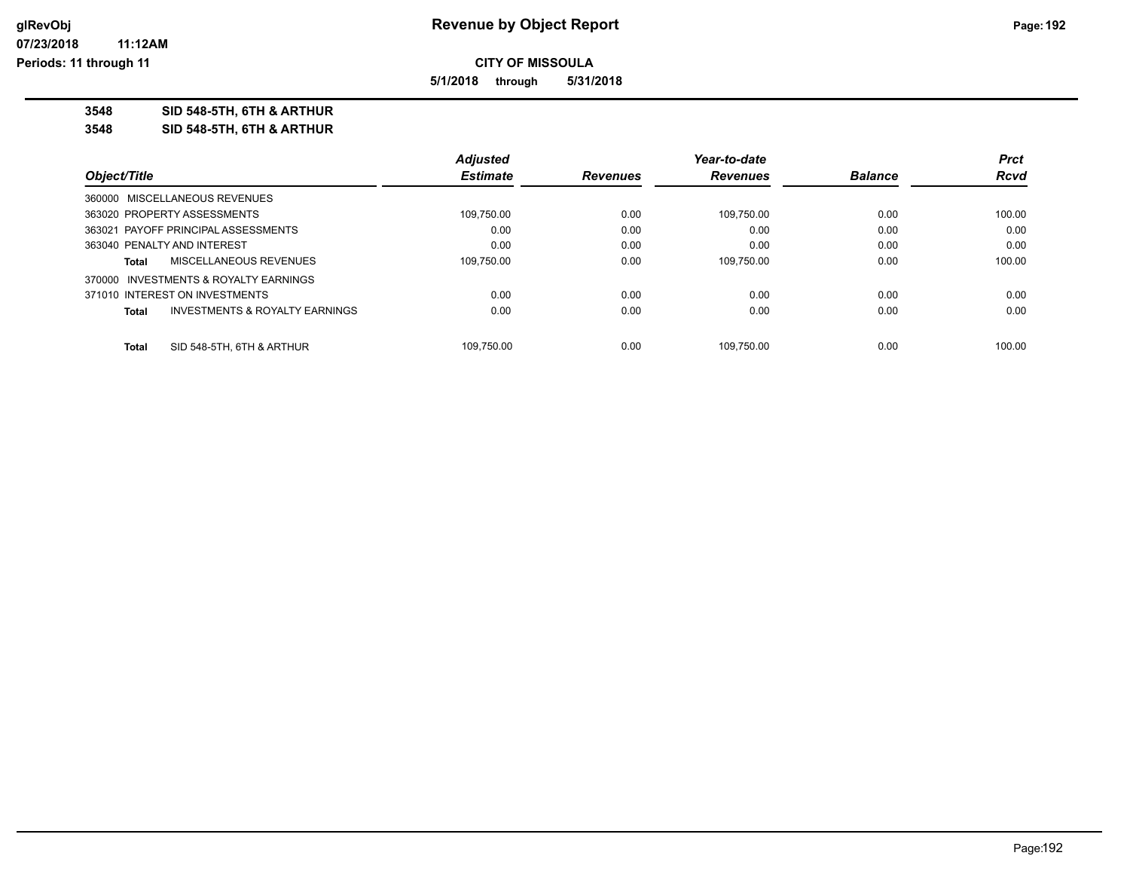**5/1/2018 through 5/31/2018**

**3548 SID 548-5TH, 6TH & ARTHUR**

**3548 SID 548-5TH, 6TH & ARTHUR**

|              |                                       | <b>Adjusted</b> |                 | Year-to-date    |                | <b>Prct</b> |
|--------------|---------------------------------------|-----------------|-----------------|-----------------|----------------|-------------|
| Object/Title |                                       | <b>Estimate</b> | <b>Revenues</b> | <b>Revenues</b> | <b>Balance</b> | Rcvd        |
|              | 360000 MISCELLANEOUS REVENUES         |                 |                 |                 |                |             |
|              | 363020 PROPERTY ASSESSMENTS           | 109,750.00      | 0.00            | 109,750.00      | 0.00           | 100.00      |
|              | 363021 PAYOFF PRINCIPAL ASSESSMENTS   | 0.00            | 0.00            | 0.00            | 0.00           | 0.00        |
|              | 363040 PENALTY AND INTEREST           | 0.00            | 0.00            | 0.00            | 0.00           | 0.00        |
| Total        | MISCELLANEOUS REVENUES                | 109,750.00      | 0.00            | 109.750.00      | 0.00           | 100.00      |
|              | 370000 INVESTMENTS & ROYALTY EARNINGS |                 |                 |                 |                |             |
|              | 371010 INTEREST ON INVESTMENTS        | 0.00            | 0.00            | 0.00            | 0.00           | 0.00        |
| Total        | INVESTMENTS & ROYALTY EARNINGS        | 0.00            | 0.00            | 0.00            | 0.00           | 0.00        |
| Total        | SID 548-5TH, 6TH & ARTHUR             | 109.750.00      | 0.00            | 109.750.00      | 0.00           | 100.00      |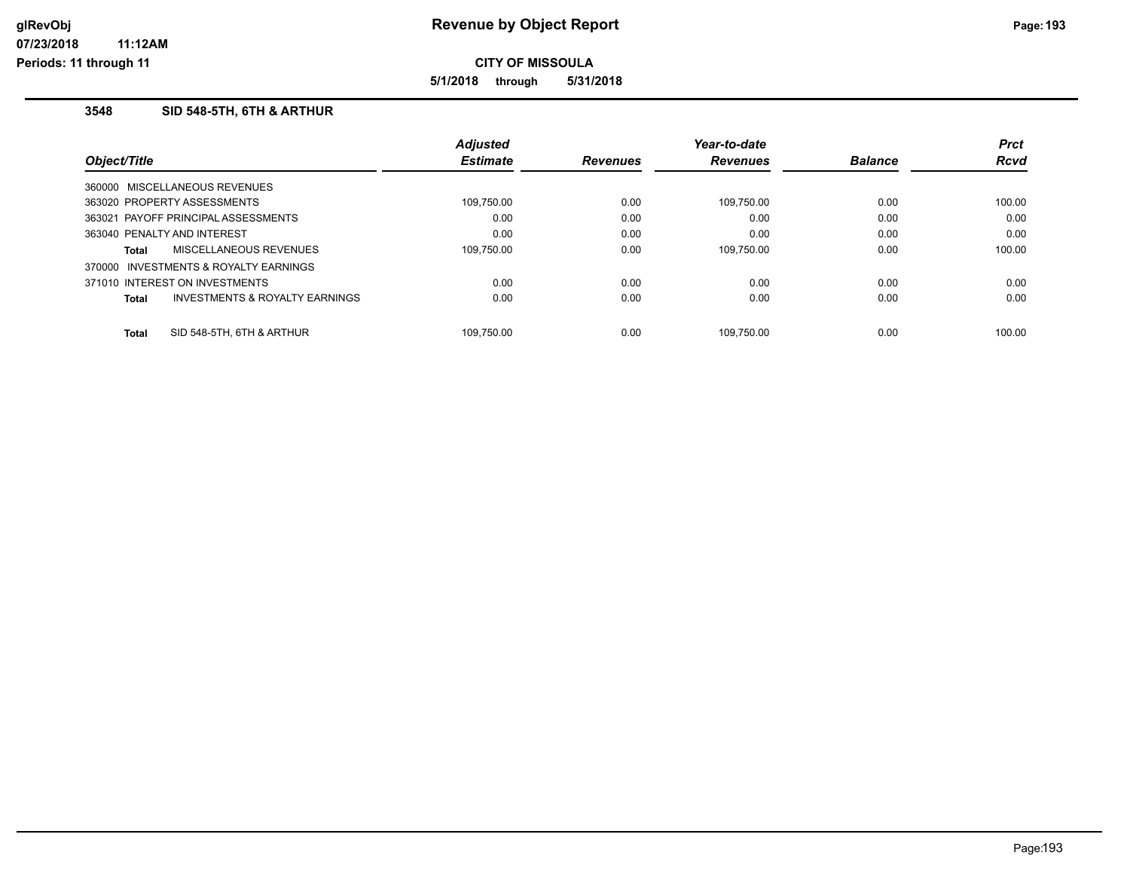**CITY OF MISSOULA**

**5/1/2018 through 5/31/2018**

# **3548 SID 548-5TH, 6TH & ARTHUR**

|              |                                       | <b>Adjusted</b> |                 | Year-to-date    |                | <b>Prct</b> |
|--------------|---------------------------------------|-----------------|-----------------|-----------------|----------------|-------------|
| Object/Title |                                       | <b>Estimate</b> | <b>Revenues</b> | <b>Revenues</b> | <b>Balance</b> | <b>Rcvd</b> |
|              | 360000 MISCELLANEOUS REVENUES         |                 |                 |                 |                |             |
|              | 363020 PROPERTY ASSESSMENTS           | 109.750.00      | 0.00            | 109.750.00      | 0.00           | 100.00      |
|              | 363021 PAYOFF PRINCIPAL ASSESSMENTS   | 0.00            | 0.00            | 0.00            | 0.00           | 0.00        |
|              | 363040 PENALTY AND INTEREST           | 0.00            | 0.00            | 0.00            | 0.00           | 0.00        |
| <b>Total</b> | MISCELLANEOUS REVENUES                | 109.750.00      | 0.00            | 109.750.00      | 0.00           | 100.00      |
|              | 370000 INVESTMENTS & ROYALTY EARNINGS |                 |                 |                 |                |             |
|              | 371010 INTEREST ON INVESTMENTS        | 0.00            | 0.00            | 0.00            | 0.00           | 0.00        |
| <b>Total</b> | INVESTMENTS & ROYALTY EARNINGS        | 0.00            | 0.00            | 0.00            | 0.00           | 0.00        |
| <b>Total</b> | SID 548-5TH, 6TH & ARTHUR             | 109.750.00      | 0.00            | 109.750.00      | 0.00           | 100.00      |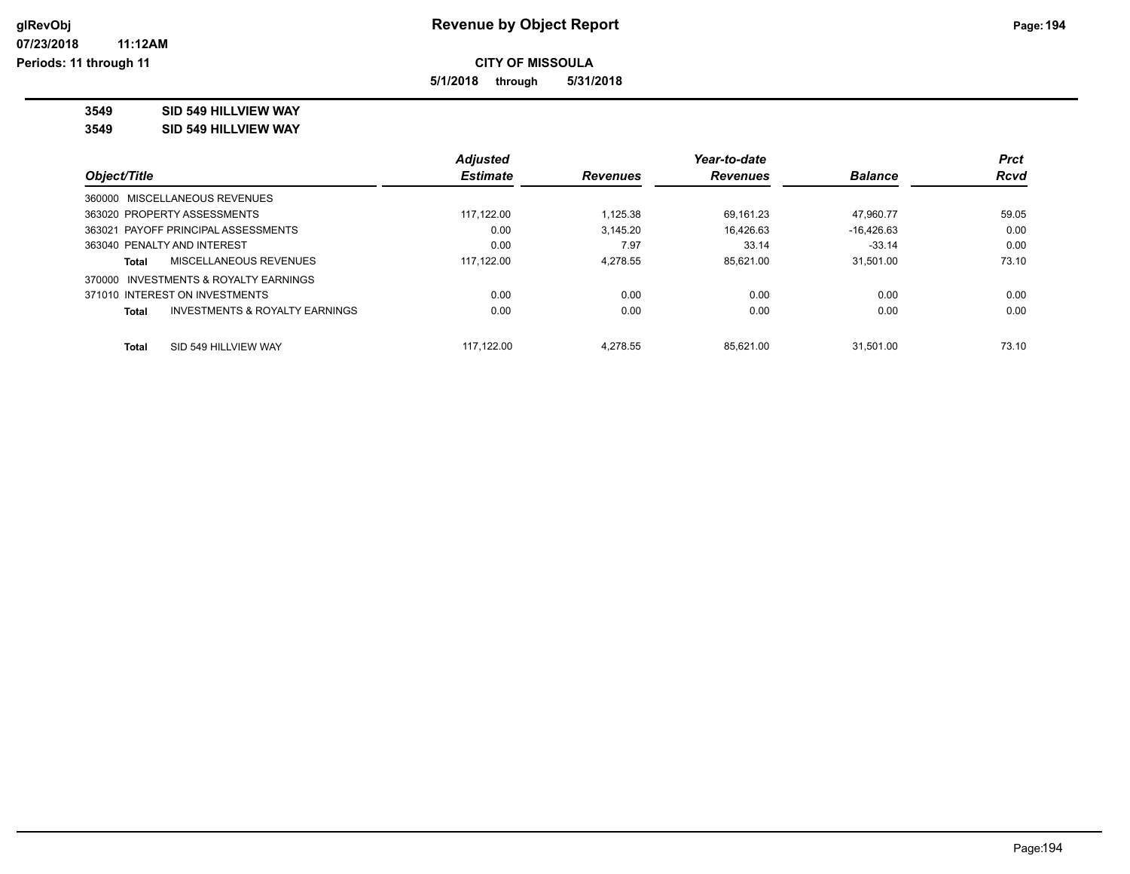**5/1/2018 through 5/31/2018**

### **3549 SID 549 HILLVIEW WAY**

#### **3549 SID 549 HILLVIEW WAY**

|                                                    | <b>Adjusted</b> |                 | Year-to-date    |                | <b>Prct</b> |
|----------------------------------------------------|-----------------|-----------------|-----------------|----------------|-------------|
| Object/Title                                       | <b>Estimate</b> | <b>Revenues</b> | <b>Revenues</b> | <b>Balance</b> | <b>Rcvd</b> |
| 360000 MISCELLANEOUS REVENUES                      |                 |                 |                 |                |             |
| 363020 PROPERTY ASSESSMENTS                        | 117.122.00      | 1.125.38        | 69.161.23       | 47.960.77      | 59.05       |
| 363021 PAYOFF PRINCIPAL ASSESSMENTS                | 0.00            | 3.145.20        | 16.426.63       | $-16,426.63$   | 0.00        |
| 363040 PENALTY AND INTEREST                        | 0.00            | 7.97            | 33.14           | $-33.14$       | 0.00        |
| MISCELLANEOUS REVENUES<br>Total                    | 117.122.00      | 4.278.55        | 85.621.00       | 31.501.00      | 73.10       |
| 370000 INVESTMENTS & ROYALTY EARNINGS              |                 |                 |                 |                |             |
| 371010 INTEREST ON INVESTMENTS                     | 0.00            | 0.00            | 0.00            | 0.00           | 0.00        |
| <b>INVESTMENTS &amp; ROYALTY EARNINGS</b><br>Total | 0.00            | 0.00            | 0.00            | 0.00           | 0.00        |
| SID 549 HILLVIEW WAY<br><b>Total</b>               | 117.122.00      | 4.278.55        | 85.621.00       | 31.501.00      | 73.10       |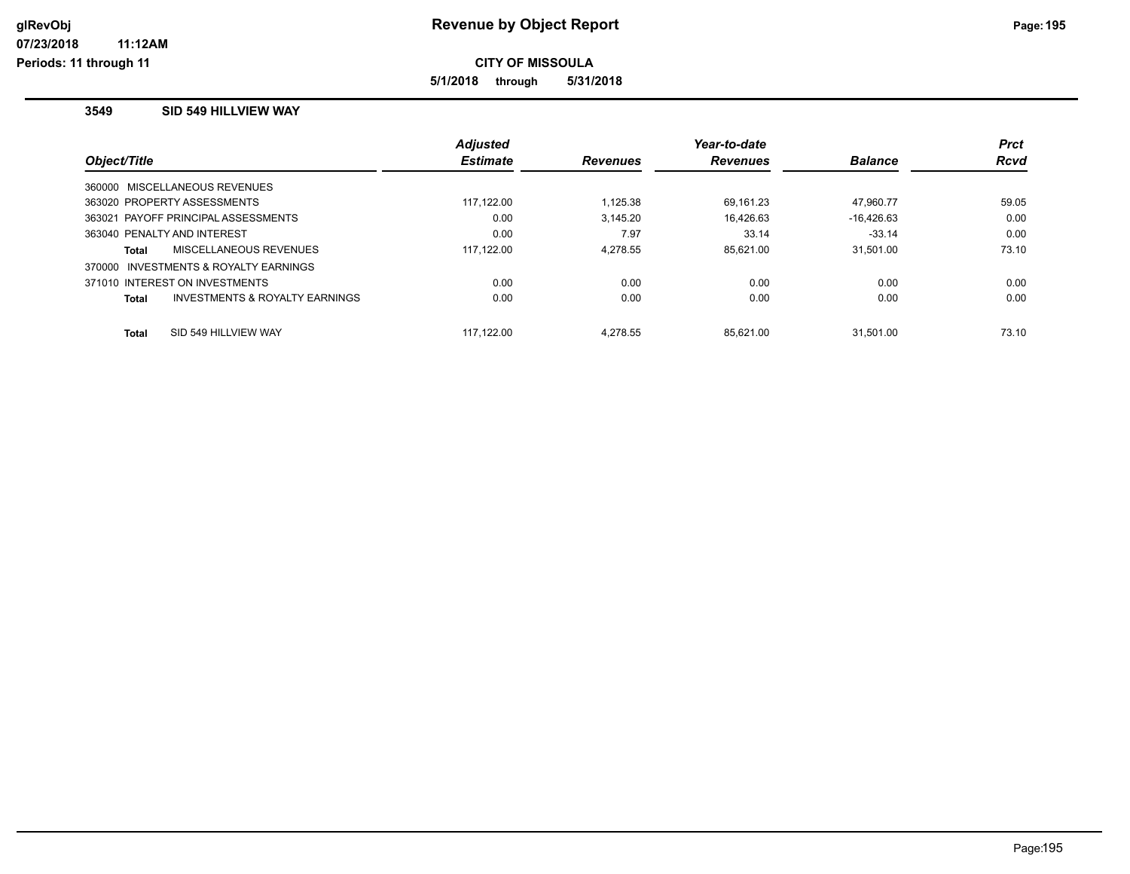**5/1/2018 through 5/31/2018**

#### **3549 SID 549 HILLVIEW WAY**

|              |                                       | <b>Adjusted</b> |                 | Year-to-date    |                | <b>Prct</b> |
|--------------|---------------------------------------|-----------------|-----------------|-----------------|----------------|-------------|
| Object/Title |                                       | <b>Estimate</b> | <b>Revenues</b> | <b>Revenues</b> | <b>Balance</b> | <b>Rcvd</b> |
|              | 360000 MISCELLANEOUS REVENUES         |                 |                 |                 |                |             |
|              | 363020 PROPERTY ASSESSMENTS           | 117.122.00      | 1.125.38        | 69,161.23       | 47.960.77      | 59.05       |
|              | 363021 PAYOFF PRINCIPAL ASSESSMENTS   | 0.00            | 3.145.20        | 16.426.63       | $-16.426.63$   | 0.00        |
|              | 363040 PENALTY AND INTEREST           | 0.00            | 7.97            | 33.14           | $-33.14$       | 0.00        |
| <b>Total</b> | MISCELLANEOUS REVENUES                | 117.122.00      | 4.278.55        | 85.621.00       | 31.501.00      | 73.10       |
|              | 370000 INVESTMENTS & ROYALTY EARNINGS |                 |                 |                 |                |             |
|              | 371010 INTEREST ON INVESTMENTS        | 0.00            | 0.00            | 0.00            | 0.00           | 0.00        |
| <b>Total</b> | INVESTMENTS & ROYALTY EARNINGS        | 0.00            | 0.00            | 0.00            | 0.00           | 0.00        |
| <b>Total</b> | SID 549 HILLVIEW WAY                  | 117.122.00      | 4.278.55        | 85.621.00       | 31.501.00      | 73.10       |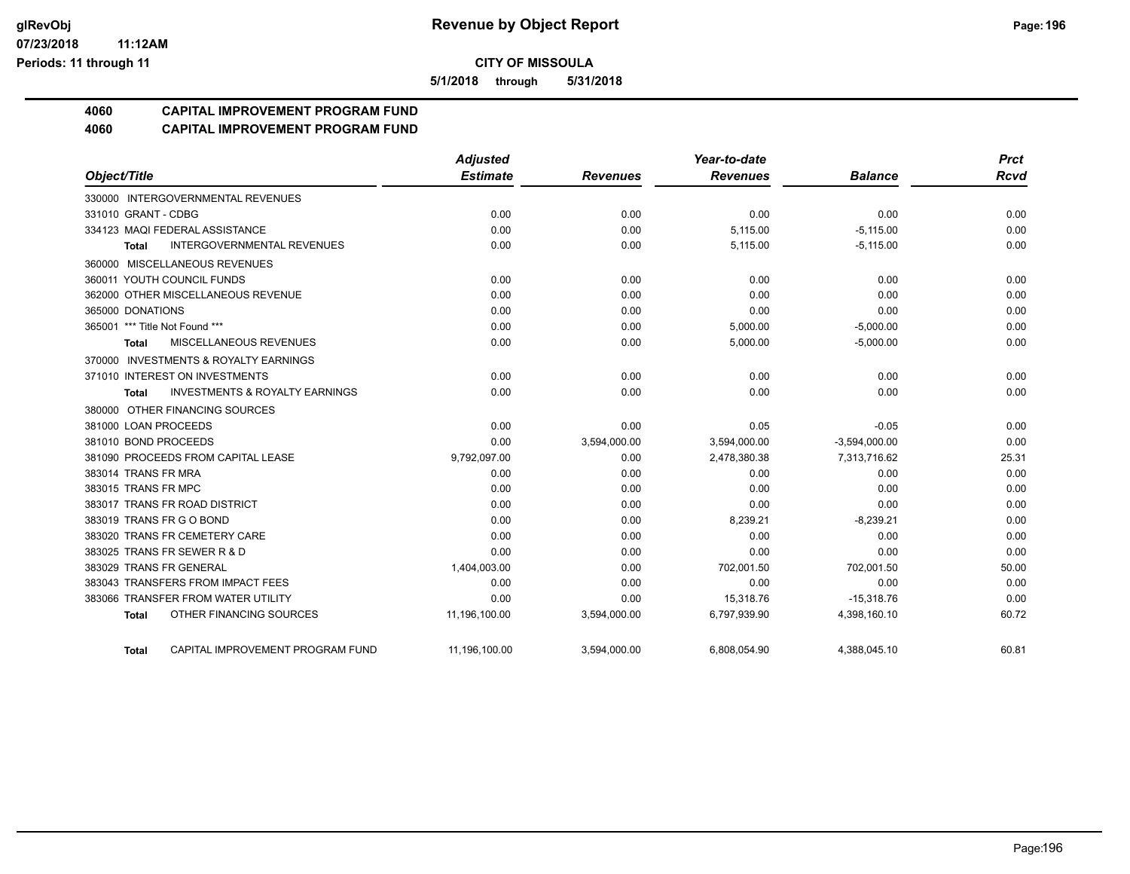**5/1/2018 through 5/31/2018**

# **4060 CAPITAL IMPROVEMENT PROGRAM FUND**

# **4060 CAPITAL IMPROVEMENT PROGRAM FUND**

|                                                     | <b>Adjusted</b> |                 | Year-to-date    |                 | <b>Prct</b> |
|-----------------------------------------------------|-----------------|-----------------|-----------------|-----------------|-------------|
| Object/Title                                        | <b>Estimate</b> | <b>Revenues</b> | <b>Revenues</b> | <b>Balance</b>  | <b>Rcvd</b> |
| 330000 INTERGOVERNMENTAL REVENUES                   |                 |                 |                 |                 |             |
| 331010 GRANT - CDBG                                 | 0.00            | 0.00            | 0.00            | 0.00            | 0.00        |
| 334123 MAQI FEDERAL ASSISTANCE                      | 0.00            | 0.00            | 5,115.00        | $-5,115.00$     | 0.00        |
| <b>INTERGOVERNMENTAL REVENUES</b><br><b>Total</b>   | 0.00            | 0.00            | 5,115.00        | $-5,115.00$     | 0.00        |
| 360000 MISCELLANEOUS REVENUES                       |                 |                 |                 |                 |             |
| 360011 YOUTH COUNCIL FUNDS                          | 0.00            | 0.00            | 0.00            | 0.00            | 0.00        |
| 362000 OTHER MISCELLANEOUS REVENUE                  | 0.00            | 0.00            | 0.00            | 0.00            | 0.00        |
| 365000 DONATIONS                                    | 0.00            | 0.00            | 0.00            | 0.00            | 0.00        |
| 365001 *** Title Not Found ***                      | 0.00            | 0.00            | 5,000.00        | $-5,000.00$     | 0.00        |
| <b>MISCELLANEOUS REVENUES</b><br>Total              | 0.00            | 0.00            | 5,000.00        | $-5,000.00$     | 0.00        |
| <b>INVESTMENTS &amp; ROYALTY EARNINGS</b><br>370000 |                 |                 |                 |                 |             |
| 371010 INTEREST ON INVESTMENTS                      | 0.00            | 0.00            | 0.00            | 0.00            | 0.00        |
| <b>INVESTMENTS &amp; ROYALTY EARNINGS</b><br>Total  | 0.00            | 0.00            | 0.00            | 0.00            | 0.00        |
| 380000 OTHER FINANCING SOURCES                      |                 |                 |                 |                 |             |
| 381000 LOAN PROCEEDS                                | 0.00            | 0.00            | 0.05            | $-0.05$         | 0.00        |
| 381010 BOND PROCEEDS                                | 0.00            | 3,594,000.00    | 3,594,000.00    | $-3,594,000.00$ | 0.00        |
| 381090 PROCEEDS FROM CAPITAL LEASE                  | 9,792,097.00    | 0.00            | 2,478,380.38    | 7,313,716.62    | 25.31       |
| 383014 TRANS FR MRA                                 | 0.00            | 0.00            | 0.00            | 0.00            | 0.00        |
| 383015 TRANS FR MPC                                 | 0.00            | 0.00            | 0.00            | 0.00            | 0.00        |
| 383017 TRANS FR ROAD DISTRICT                       | 0.00            | 0.00            | 0.00            | 0.00            | 0.00        |
| 383019 TRANS FR G O BOND                            | 0.00            | 0.00            | 8,239.21        | $-8,239.21$     | 0.00        |
| 383020 TRANS FR CEMETERY CARE                       | 0.00            | 0.00            | 0.00            | 0.00            | 0.00        |
| 383025 TRANS FR SEWER R & D                         | 0.00            | 0.00            | 0.00            | 0.00            | 0.00        |
| 383029 TRANS FR GENERAL                             | 1,404,003.00    | 0.00            | 702,001.50      | 702,001.50      | 50.00       |
| 383043 TRANSFERS FROM IMPACT FEES                   | 0.00            | 0.00            | 0.00            | 0.00            | 0.00        |
| 383066 TRANSFER FROM WATER UTILITY                  | 0.00            | 0.00            | 15,318.76       | $-15,318.76$    | 0.00        |
| OTHER FINANCING SOURCES<br>Total                    | 11,196,100.00   | 3,594,000.00    | 6,797,939.90    | 4,398,160.10    | 60.72       |
| CAPITAL IMPROVEMENT PROGRAM FUND<br><b>Total</b>    | 11,196,100.00   | 3,594,000.00    | 6,808,054.90    | 4,388,045.10    | 60.81       |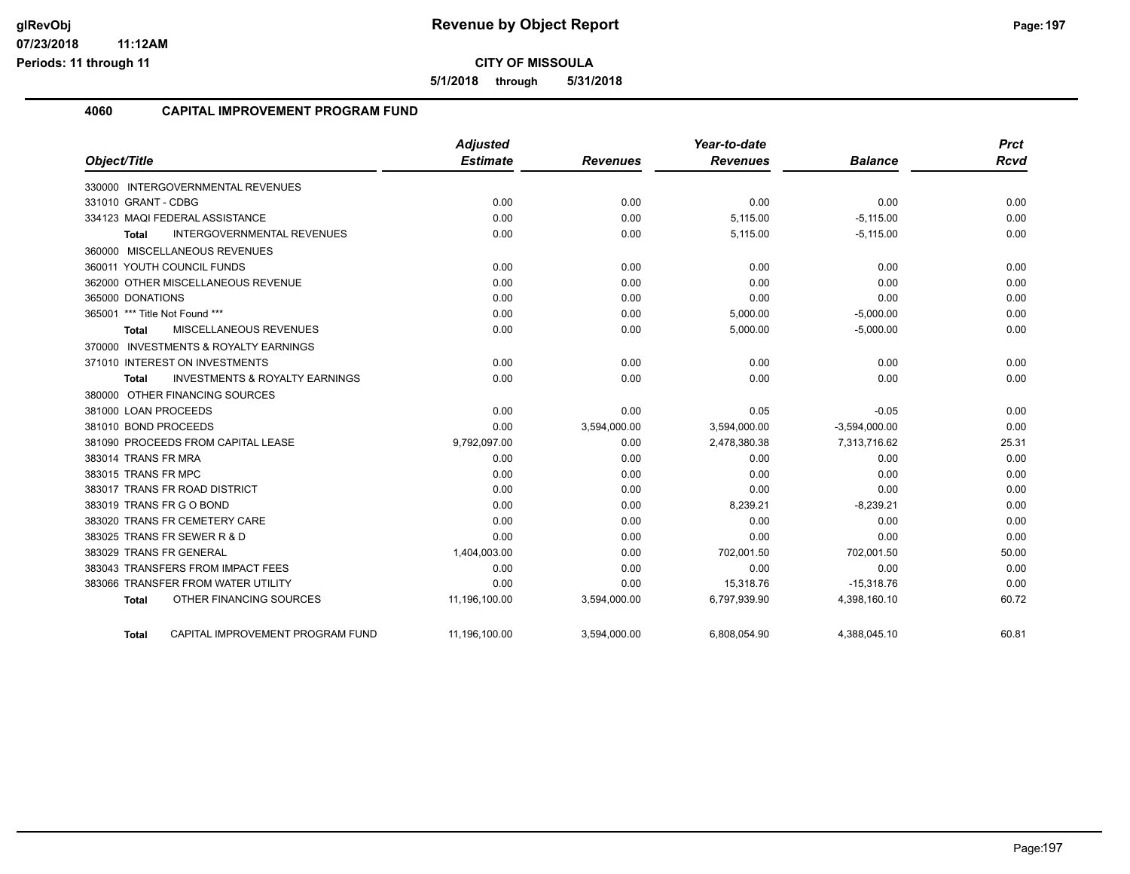#### **CITY OF MISSOULA**

**5/1/2018 through 5/31/2018**

### **4060 CAPITAL IMPROVEMENT PROGRAM FUND**

| Object/Title                                              | <b>Adjusted</b><br><b>Estimate</b> | <b>Revenues</b> | Year-to-date<br><b>Revenues</b> | <b>Balance</b>  | <b>Prct</b><br>Rcvd |
|-----------------------------------------------------------|------------------------------------|-----------------|---------------------------------|-----------------|---------------------|
|                                                           |                                    |                 |                                 |                 |                     |
| 330000 INTERGOVERNMENTAL REVENUES                         |                                    |                 |                                 |                 |                     |
| 331010 GRANT - CDBG                                       | 0.00                               | 0.00            | 0.00                            | 0.00            | 0.00                |
| 334123 MAQI FEDERAL ASSISTANCE                            | 0.00                               | 0.00            | 5,115.00                        | $-5,115.00$     | 0.00                |
| <b>INTERGOVERNMENTAL REVENUES</b><br><b>Total</b>         | 0.00                               | 0.00            | 5,115.00                        | $-5,115.00$     | 0.00                |
| 360000 MISCELLANEOUS REVENUES                             |                                    |                 |                                 |                 |                     |
| 360011 YOUTH COUNCIL FUNDS                                | 0.00                               | 0.00            | 0.00                            | 0.00            | 0.00                |
| 362000 OTHER MISCELLANEOUS REVENUE                        | 0.00                               | 0.00            | 0.00                            | 0.00            | 0.00                |
| 365000 DONATIONS                                          | 0.00                               | 0.00            | 0.00                            | 0.00            | 0.00                |
| 365001 *** Title Not Found ***                            | 0.00                               | 0.00            | 5,000.00                        | $-5,000.00$     | 0.00                |
| <b>MISCELLANEOUS REVENUES</b><br><b>Total</b>             | 0.00                               | 0.00            | 5,000.00                        | $-5,000.00$     | 0.00                |
| 370000 INVESTMENTS & ROYALTY EARNINGS                     |                                    |                 |                                 |                 |                     |
| 371010 INTEREST ON INVESTMENTS                            | 0.00                               | 0.00            | 0.00                            | 0.00            | 0.00                |
| <b>INVESTMENTS &amp; ROYALTY EARNINGS</b><br><b>Total</b> | 0.00                               | 0.00            | 0.00                            | 0.00            | 0.00                |
| 380000 OTHER FINANCING SOURCES                            |                                    |                 |                                 |                 |                     |
| 381000 LOAN PROCEEDS                                      | 0.00                               | 0.00            | 0.05                            | $-0.05$         | 0.00                |
| 381010 BOND PROCEEDS                                      | 0.00                               | 3,594,000.00    | 3,594,000.00                    | $-3,594,000.00$ | 0.00                |
| 381090 PROCEEDS FROM CAPITAL LEASE                        | 9,792,097.00                       | 0.00            | 2,478,380.38                    | 7,313,716.62    | 25.31               |
| 383014 TRANS FR MRA                                       | 0.00                               | 0.00            | 0.00                            | 0.00            | 0.00                |
| 383015 TRANS FR MPC                                       | 0.00                               | 0.00            | 0.00                            | 0.00            | 0.00                |
| 383017 TRANS FR ROAD DISTRICT                             | 0.00                               | 0.00            | 0.00                            | 0.00            | 0.00                |
| 383019 TRANS FR G O BOND                                  | 0.00                               | 0.00            | 8.239.21                        | $-8.239.21$     | 0.00                |
| 383020 TRANS FR CEMETERY CARE                             | 0.00                               | 0.00            | 0.00                            | 0.00            | 0.00                |
| 383025 TRANS FR SEWER R & D                               | 0.00                               | 0.00            | 0.00                            | 0.00            | 0.00                |
| 383029 TRANS FR GENERAL                                   | 1,404,003.00                       | 0.00            | 702,001.50                      | 702,001.50      | 50.00               |
| 383043 TRANSFERS FROM IMPACT FEES                         | 0.00                               | 0.00            | 0.00                            | 0.00            | 0.00                |
| 383066 TRANSFER FROM WATER UTILITY                        | 0.00                               | 0.00            | 15,318.76                       | $-15,318.76$    | 0.00                |
| OTHER FINANCING SOURCES<br><b>Total</b>                   | 11,196,100.00                      | 3,594,000.00    | 6,797,939.90                    | 4,398,160.10    | 60.72               |
| CAPITAL IMPROVEMENT PROGRAM FUND<br><b>Total</b>          | 11.196.100.00                      | 3,594,000.00    | 6,808,054.90                    | 4.388.045.10    | 60.81               |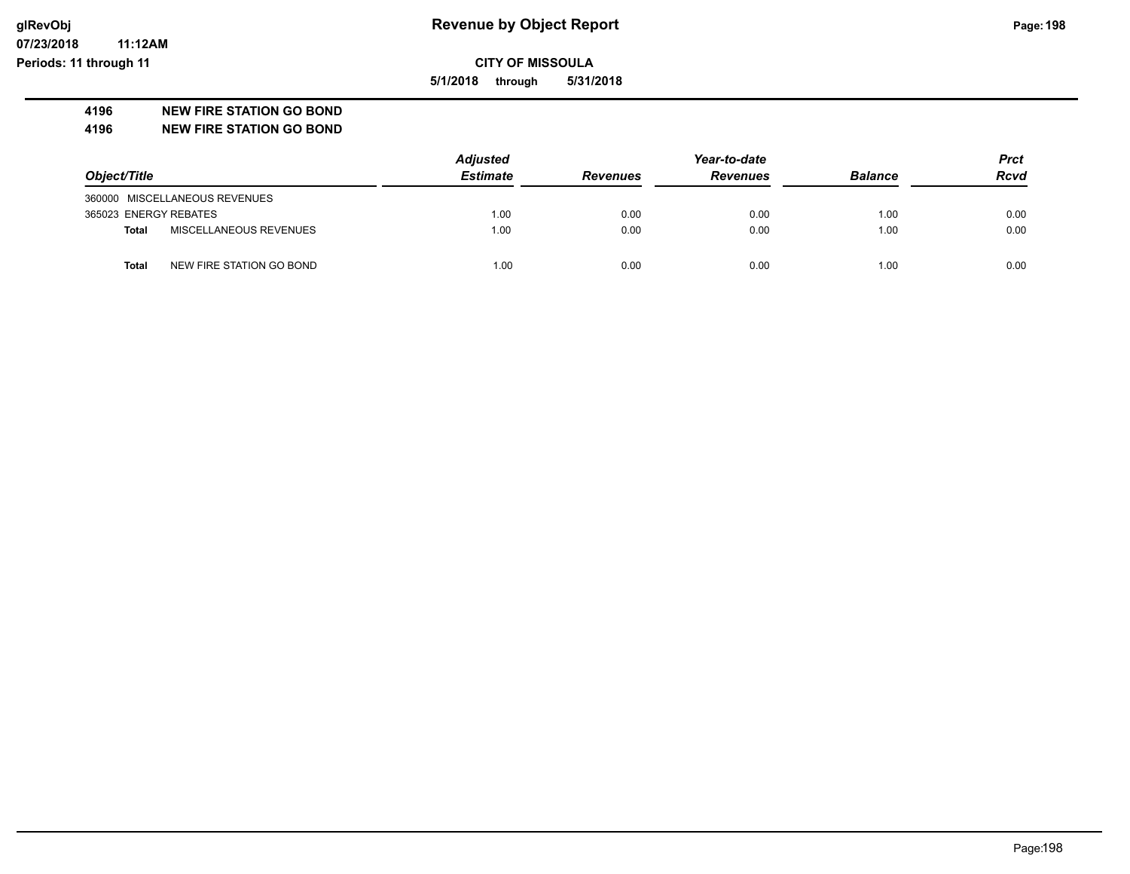**07/23/2018 11:12AM Periods: 11 through 11**

**CITY OF MISSOULA**

**5/1/2018 through 5/31/2018**

### **4196 NEW FIRE STATION GO BOND**

**4196 NEW FIRE STATION GO BOND**

|                                          | <b>Adjusted</b> |                 | Year-to-date    |                | Prct        |
|------------------------------------------|-----------------|-----------------|-----------------|----------------|-------------|
| Object/Title                             | <b>Estimate</b> | <b>Revenues</b> | <b>Revenues</b> | <b>Balance</b> | <b>Rcvd</b> |
| 360000 MISCELLANEOUS REVENUES            |                 |                 |                 |                |             |
| 365023 ENERGY REBATES                    | 1.00            | 0.00            | 0.00            | 1.00           | 0.00        |
| MISCELLANEOUS REVENUES<br><b>Total</b>   | 1.00            | 0.00            | 0.00            | 1.00           | 0.00        |
| NEW FIRE STATION GO BOND<br><b>Total</b> | 1.00            | 0.00            | 0.00            | 1.00           | 0.00        |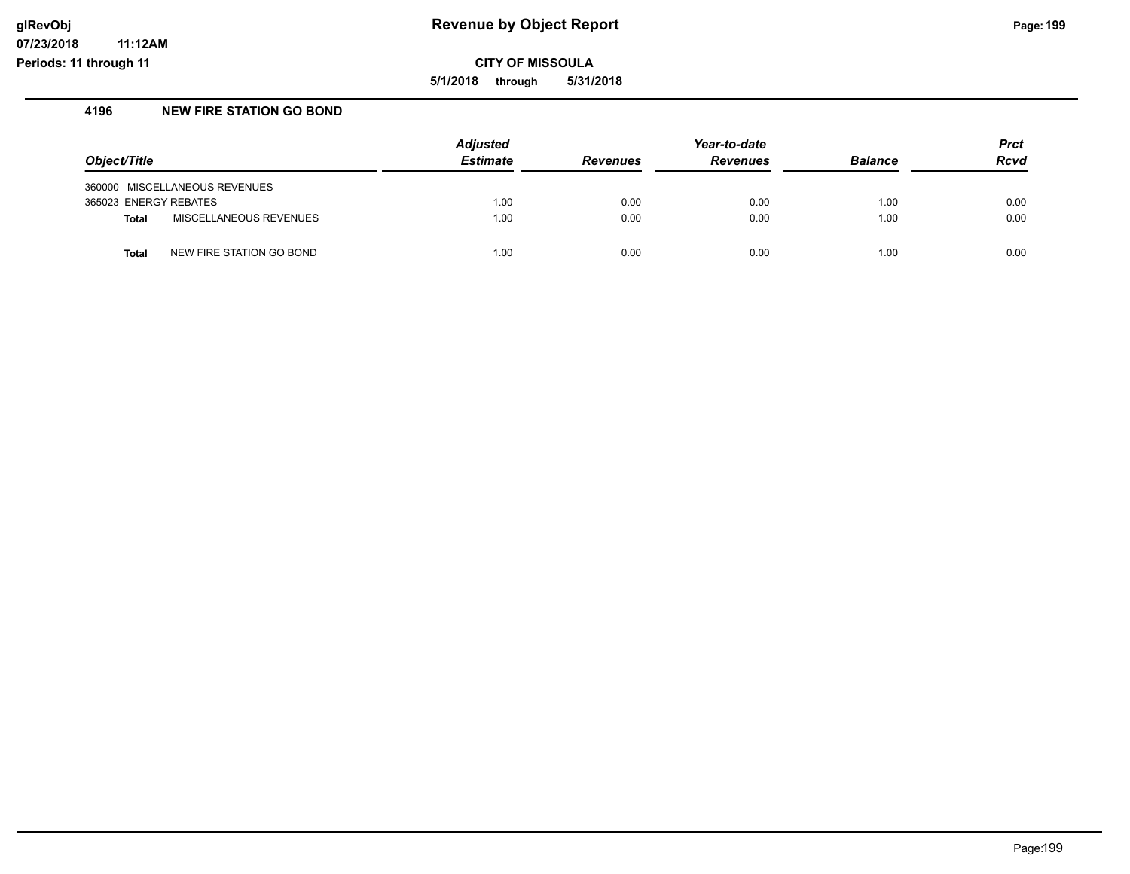**CITY OF MISSOULA**

**5/1/2018 through 5/31/2018**

#### **4196 NEW FIRE STATION GO BOND**

|                       |                               | <b>Adjusted</b> |                 | Year-to-date    |                | <b>Prct</b> |
|-----------------------|-------------------------------|-----------------|-----------------|-----------------|----------------|-------------|
| Object/Title          |                               | <b>Estimate</b> | <b>Revenues</b> | <b>Revenues</b> | <b>Balance</b> | <b>Rcvd</b> |
|                       | 360000 MISCELLANEOUS REVENUES |                 |                 |                 |                |             |
| 365023 ENERGY REBATES |                               | 1.00            | 0.00            | 0.00            | 1.00           | 0.00        |
| <b>Total</b>          | MISCELLANEOUS REVENUES        | 1.00            | 0.00            | 0.00            | 1.00           | 0.00        |
| <b>Total</b>          | NEW FIRE STATION GO BOND      | 1.00            | 0.00            | 0.00            | 1.00           | 0.00        |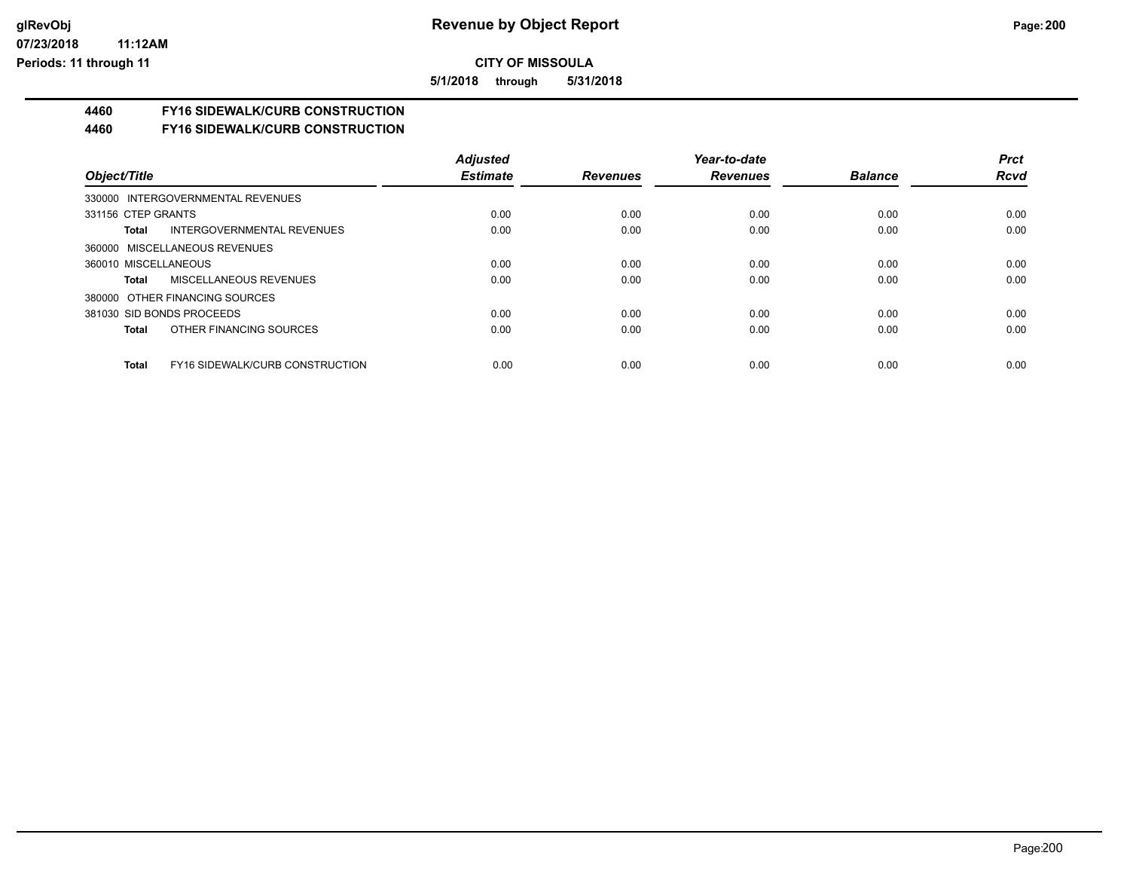**11:12AM**

**glRevObj Revenue by Object Report Page:200** 

**CITY OF MISSOULA**

**5/1/2018 through 5/31/2018**

# **4460 FY16 SIDEWALK/CURB CONSTRUCTION**

**4460 FY16 SIDEWALK/CURB CONSTRUCTION**

|                                                 | <b>Adjusted</b> |                 | Year-to-date    |                | <b>Prct</b> |
|-------------------------------------------------|-----------------|-----------------|-----------------|----------------|-------------|
| Object/Title                                    | <b>Estimate</b> | <b>Revenues</b> | <b>Revenues</b> | <b>Balance</b> | <b>Rcvd</b> |
| 330000 INTERGOVERNMENTAL REVENUES               |                 |                 |                 |                |             |
| 331156 CTEP GRANTS                              | 0.00            | 0.00            | 0.00            | 0.00           | 0.00        |
| INTERGOVERNMENTAL REVENUES<br>Total             | 0.00            | 0.00            | 0.00            | 0.00           | 0.00        |
| 360000 MISCELLANEOUS REVENUES                   |                 |                 |                 |                |             |
| 360010 MISCELLANEOUS                            | 0.00            | 0.00            | 0.00            | 0.00           | 0.00        |
| <b>MISCELLANEOUS REVENUES</b><br>Total          | 0.00            | 0.00            | 0.00            | 0.00           | 0.00        |
| 380000 OTHER FINANCING SOURCES                  |                 |                 |                 |                |             |
| 381030 SID BONDS PROCEEDS                       | 0.00            | 0.00            | 0.00            | 0.00           | 0.00        |
| OTHER FINANCING SOURCES<br>Total                | 0.00            | 0.00            | 0.00            | 0.00           | 0.00        |
| <b>FY16 SIDEWALK/CURB CONSTRUCTION</b><br>Total | 0.00            | 0.00            | 0.00            | 0.00           | 0.00        |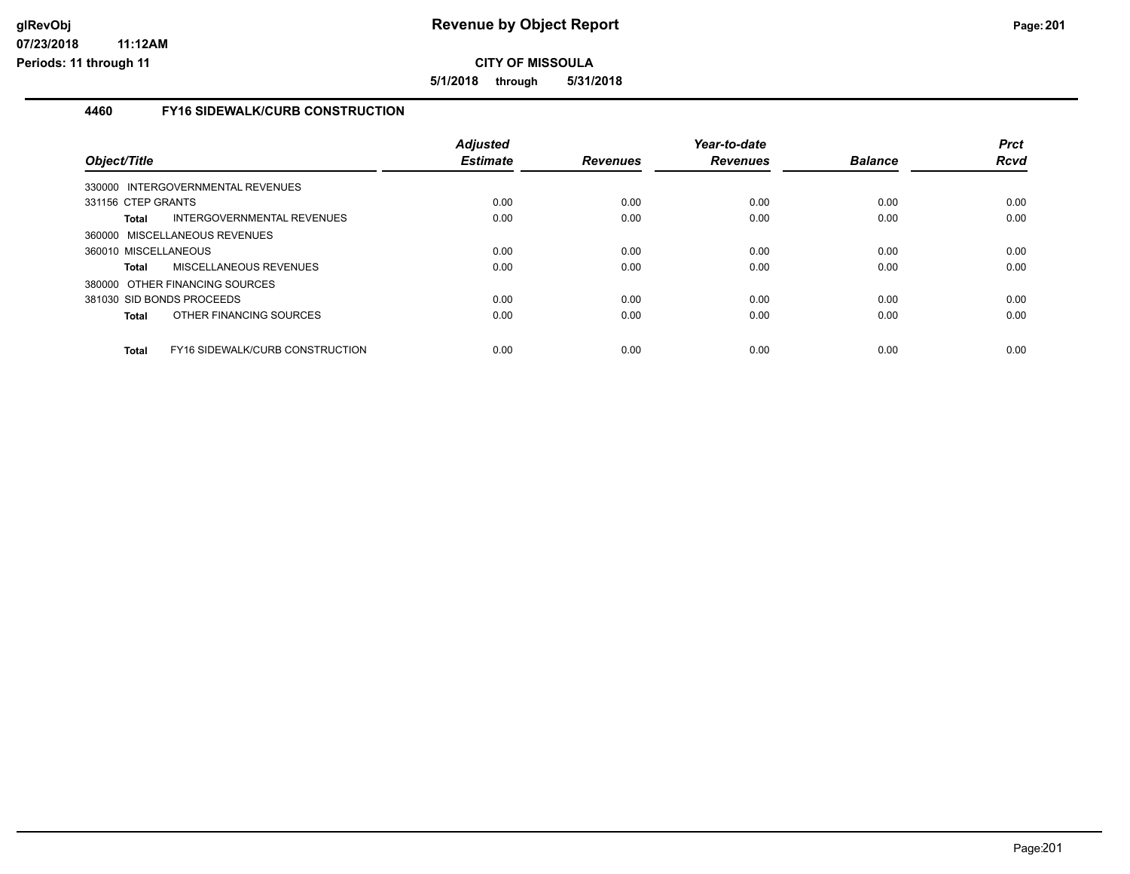**11:12AM**

**CITY OF MISSOULA**

**5/1/2018 through 5/31/2018**

# **4460 FY16 SIDEWALK/CURB CONSTRUCTION**

| Object/Title                   |                                        | <b>Adjusted</b><br><b>Estimate</b> | <b>Revenues</b> | Year-to-date<br><b>Revenues</b> | <b>Balance</b> | <b>Prct</b><br><b>Rcvd</b> |
|--------------------------------|----------------------------------------|------------------------------------|-----------------|---------------------------------|----------------|----------------------------|
|                                | 330000 INTERGOVERNMENTAL REVENUES      |                                    |                 |                                 |                |                            |
| 331156 CTEP GRANTS             |                                        | 0.00                               | 0.00            | 0.00                            | 0.00           | 0.00                       |
| <b>Total</b>                   | INTERGOVERNMENTAL REVENUES             | 0.00                               | 0.00            | 0.00                            | 0.00           | 0.00                       |
| 360000 MISCELLANEOUS REVENUES  |                                        |                                    |                 |                                 |                |                            |
| 360010 MISCELLANEOUS           |                                        | 0.00                               | 0.00            | 0.00                            | 0.00           | 0.00                       |
| <b>Total</b>                   | MISCELLANEOUS REVENUES                 | 0.00                               | 0.00            | 0.00                            | 0.00           | 0.00                       |
| 380000 OTHER FINANCING SOURCES |                                        |                                    |                 |                                 |                |                            |
| 381030 SID BONDS PROCEEDS      |                                        | 0.00                               | 0.00            | 0.00                            | 0.00           | 0.00                       |
| <b>Total</b>                   | OTHER FINANCING SOURCES                | 0.00                               | 0.00            | 0.00                            | 0.00           | 0.00                       |
| <b>Total</b>                   | <b>FY16 SIDEWALK/CURB CONSTRUCTION</b> | 0.00                               | 0.00            | 0.00                            | 0.00           | 0.00                       |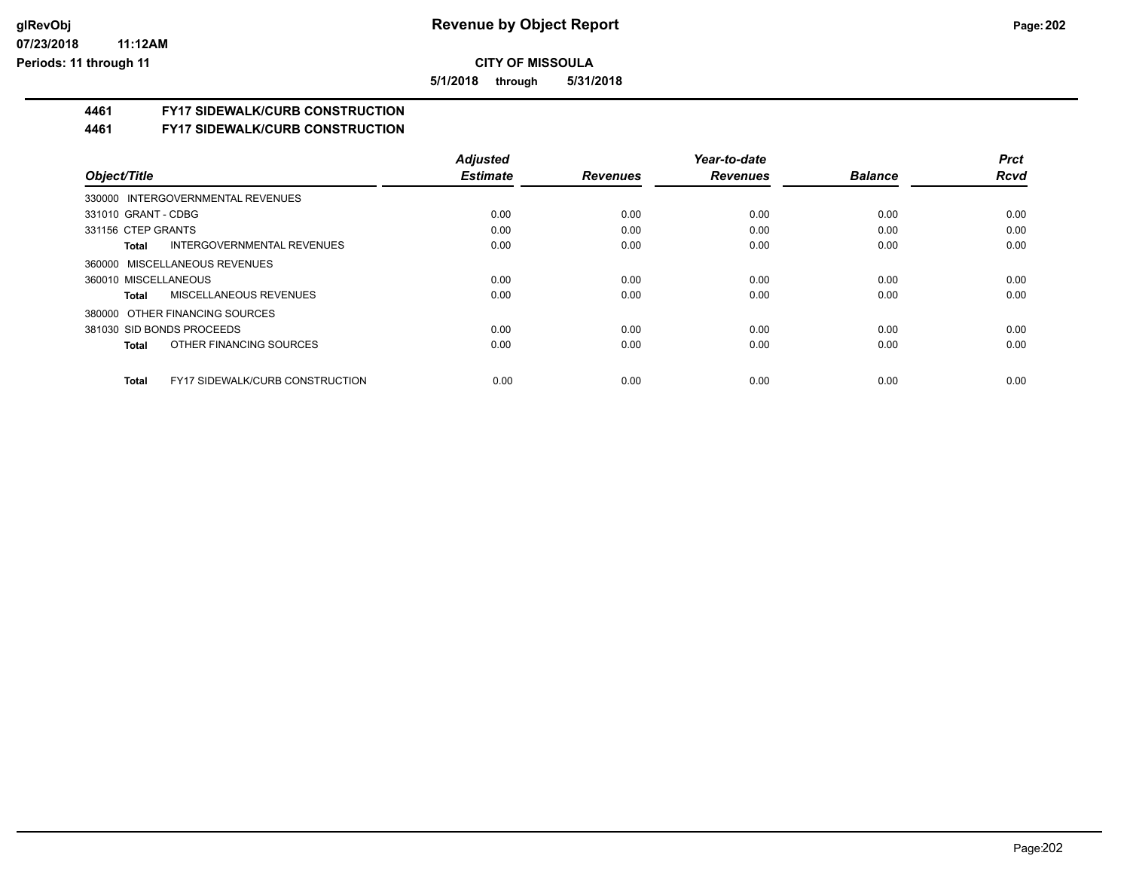**5/1/2018 through 5/31/2018**

# **4461 FY17 SIDEWALK/CURB CONSTRUCTION**

**4461 FY17 SIDEWALK/CURB CONSTRUCTION**

|                                                 | <b>Adjusted</b> |                 | Year-to-date    |                | <b>Prct</b> |
|-------------------------------------------------|-----------------|-----------------|-----------------|----------------|-------------|
| Object/Title                                    | <b>Estimate</b> | <b>Revenues</b> | <b>Revenues</b> | <b>Balance</b> | <b>Rcvd</b> |
| 330000 INTERGOVERNMENTAL REVENUES               |                 |                 |                 |                |             |
| 331010 GRANT - CDBG                             | 0.00            | 0.00            | 0.00            | 0.00           | 0.00        |
| 331156 CTEP GRANTS                              | 0.00            | 0.00            | 0.00            | 0.00           | 0.00        |
| INTERGOVERNMENTAL REVENUES<br>Total             | 0.00            | 0.00            | 0.00            | 0.00           | 0.00        |
| 360000 MISCELLANEOUS REVENUES                   |                 |                 |                 |                |             |
| 360010 MISCELLANEOUS                            | 0.00            | 0.00            | 0.00            | 0.00           | 0.00        |
| <b>MISCELLANEOUS REVENUES</b><br>Total          | 0.00            | 0.00            | 0.00            | 0.00           | 0.00        |
| 380000 OTHER FINANCING SOURCES                  |                 |                 |                 |                |             |
| 381030 SID BONDS PROCEEDS                       | 0.00            | 0.00            | 0.00            | 0.00           | 0.00        |
| OTHER FINANCING SOURCES<br>Total                | 0.00            | 0.00            | 0.00            | 0.00           | 0.00        |
| <b>FY17 SIDEWALK/CURB CONSTRUCTION</b><br>Total | 0.00            | 0.00            | 0.00            | 0.00           | 0.00        |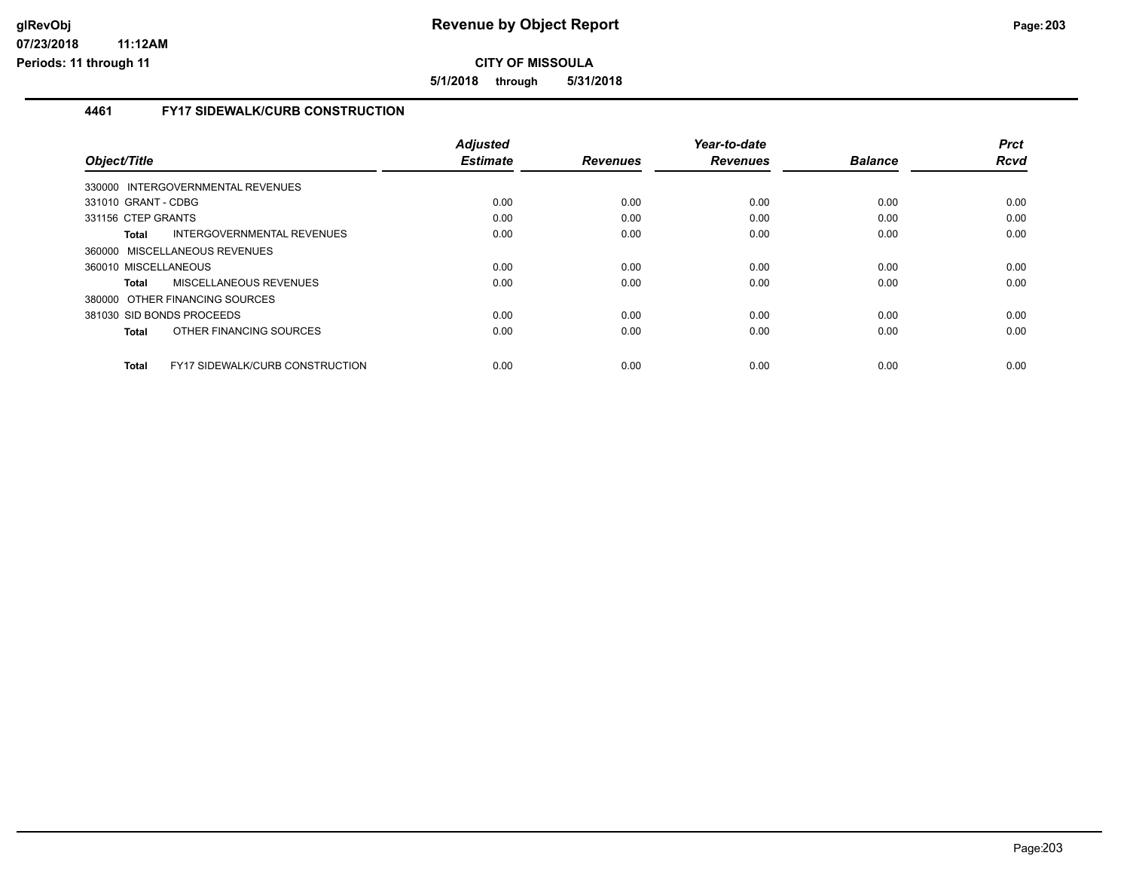### **CITY OF MISSOULA**

**5/1/2018 through 5/31/2018**

### **4461 FY17 SIDEWALK/CURB CONSTRUCTION**

| <b>Adjusted</b> |                 | Year-to-date    |                | <b>Prct</b> |
|-----------------|-----------------|-----------------|----------------|-------------|
| <b>Estimate</b> | <b>Revenues</b> | <b>Revenues</b> | <b>Balance</b> | <b>Rcvd</b> |
|                 |                 |                 |                |             |
| 0.00            | 0.00            | 0.00            | 0.00           | 0.00        |
| 0.00            | 0.00            | 0.00            | 0.00           | 0.00        |
| 0.00            | 0.00            | 0.00            | 0.00           | 0.00        |
|                 |                 |                 |                |             |
| 0.00            | 0.00            | 0.00            | 0.00           | 0.00        |
| 0.00            | 0.00            | 0.00            | 0.00           | 0.00        |
|                 |                 |                 |                |             |
| 0.00            | 0.00            | 0.00            | 0.00           | 0.00        |
| 0.00            | 0.00            | 0.00            | 0.00           | 0.00        |
|                 |                 |                 |                | 0.00        |
|                 | 0.00            | 0.00            | 0.00           | 0.00        |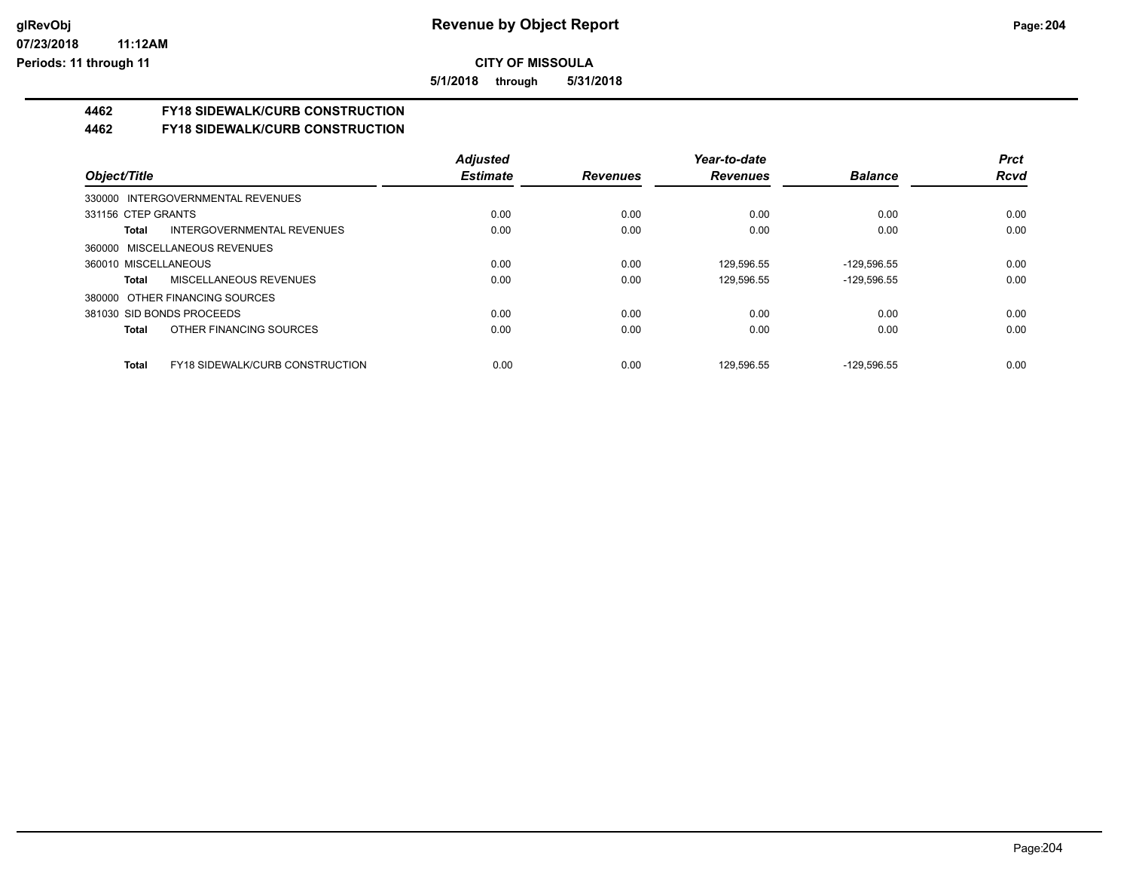**11:12AM**

**CITY OF MISSOULA**

**5/1/2018 through 5/31/2018**

# **4462 FY18 SIDEWALK/CURB CONSTRUCTION**

**4462 FY18 SIDEWALK/CURB CONSTRUCTION**

|                                                 | <b>Adjusted</b> |                 | Year-to-date    |                | <b>Prct</b> |
|-------------------------------------------------|-----------------|-----------------|-----------------|----------------|-------------|
| Object/Title                                    | <b>Estimate</b> | <b>Revenues</b> | <b>Revenues</b> | <b>Balance</b> | <b>Rcvd</b> |
| 330000 INTERGOVERNMENTAL REVENUES               |                 |                 |                 |                |             |
| 331156 CTEP GRANTS                              | 0.00            | 0.00            | 0.00            | 0.00           | 0.00        |
| INTERGOVERNMENTAL REVENUES<br>Total             | 0.00            | 0.00            | 0.00            | 0.00           | 0.00        |
| 360000 MISCELLANEOUS REVENUES                   |                 |                 |                 |                |             |
| 360010 MISCELLANEOUS                            | 0.00            | 0.00            | 129.596.55      | $-129.596.55$  | 0.00        |
| MISCELLANEOUS REVENUES<br>Total                 | 0.00            | 0.00            | 129,596.55      | $-129,596.55$  | 0.00        |
| 380000 OTHER FINANCING SOURCES                  |                 |                 |                 |                |             |
| 381030 SID BONDS PROCEEDS                       | 0.00            | 0.00            | 0.00            | 0.00           | 0.00        |
| OTHER FINANCING SOURCES<br>Total                | 0.00            | 0.00            | 0.00            | 0.00           | 0.00        |
| FY18 SIDEWALK/CURB CONSTRUCTION<br><b>Total</b> | 0.00            | 0.00            | 129.596.55      | $-129.596.55$  | 0.00        |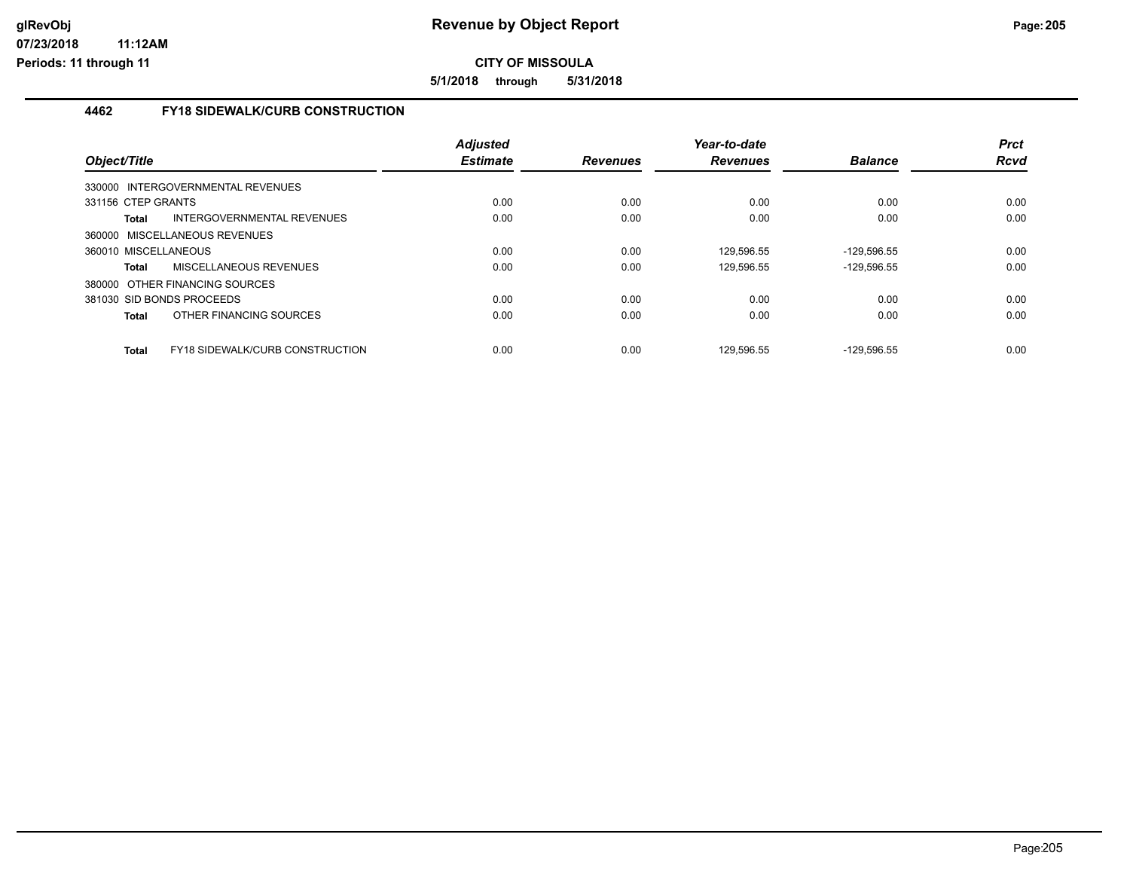**CITY OF MISSOULA**

**5/1/2018 through 5/31/2018**

# **4462 FY18 SIDEWALK/CURB CONSTRUCTION**

| Object/Title                                    | <b>Adjusted</b><br><b>Estimate</b> | <b>Revenues</b> | Year-to-date<br><b>Revenues</b> | <b>Balance</b> | <b>Prct</b><br><b>Rcvd</b> |
|-------------------------------------------------|------------------------------------|-----------------|---------------------------------|----------------|----------------------------|
| 330000 INTERGOVERNMENTAL REVENUES               |                                    |                 |                                 |                |                            |
| 331156 CTEP GRANTS                              | 0.00                               | 0.00            | 0.00                            | 0.00           | 0.00                       |
| INTERGOVERNMENTAL REVENUES<br><b>Total</b>      | 0.00                               | 0.00            | 0.00                            | 0.00           | 0.00                       |
| 360000 MISCELLANEOUS REVENUES                   |                                    |                 |                                 |                |                            |
| 360010 MISCELLANEOUS                            | 0.00                               | 0.00            | 129,596.55                      | $-129,596.55$  | 0.00                       |
| MISCELLANEOUS REVENUES<br><b>Total</b>          | 0.00                               | 0.00            | 129,596.55                      | $-129,596.55$  | 0.00                       |
| 380000 OTHER FINANCING SOURCES                  |                                    |                 |                                 |                |                            |
| 381030 SID BONDS PROCEEDS                       | 0.00                               | 0.00            | 0.00                            | 0.00           | 0.00                       |
| OTHER FINANCING SOURCES<br><b>Total</b>         | 0.00                               | 0.00            | 0.00                            | 0.00           | 0.00                       |
| FY18 SIDEWALK/CURB CONSTRUCTION<br><b>Total</b> | 0.00                               | 0.00            | 129.596.55                      | $-129.596.55$  | 0.00                       |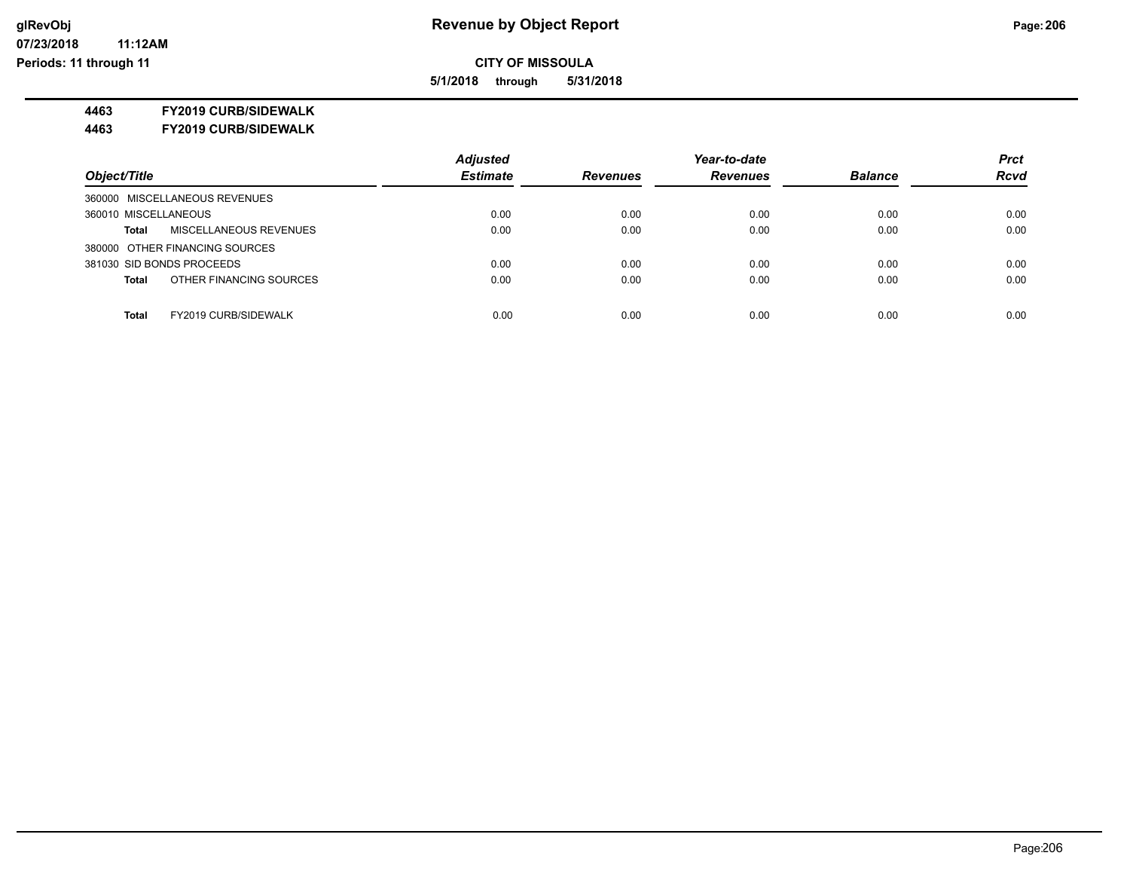**5/1/2018 through 5/31/2018**

**4463 FY2019 CURB/SIDEWALK**

**4463 FY2019 CURB/SIDEWALK**

|                                         | <b>Adjusted</b> |                 | Year-to-date    |                | <b>Prct</b> |
|-----------------------------------------|-----------------|-----------------|-----------------|----------------|-------------|
| Object/Title                            | <b>Estimate</b> | <b>Revenues</b> | <b>Revenues</b> | <b>Balance</b> | <b>Rcvd</b> |
| 360000 MISCELLANEOUS REVENUES           |                 |                 |                 |                |             |
| 360010 MISCELLANEOUS                    | 0.00            | 0.00            | 0.00            | 0.00           | 0.00        |
| MISCELLANEOUS REVENUES<br><b>Total</b>  | 0.00            | 0.00            | 0.00            | 0.00           | 0.00        |
| 380000 OTHER FINANCING SOURCES          |                 |                 |                 |                |             |
| 381030 SID BONDS PROCEEDS               | 0.00            | 0.00            | 0.00            | 0.00           | 0.00        |
| OTHER FINANCING SOURCES<br><b>Total</b> | 0.00            | 0.00            | 0.00            | 0.00           | 0.00        |
|                                         |                 |                 |                 |                |             |
| <b>FY2019 CURB/SIDEWALK</b><br>Total    | 0.00            | 0.00            | 0.00            | 0.00           | 0.00        |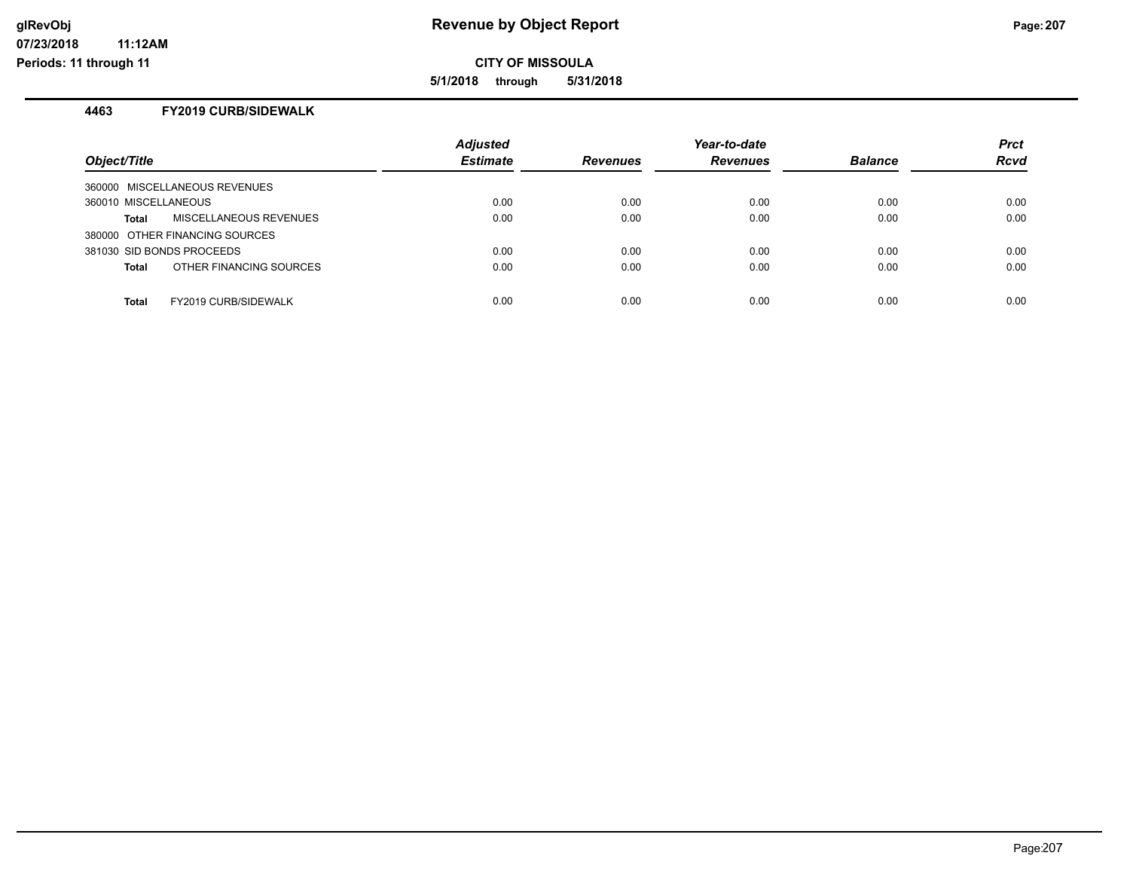**CITY OF MISSOULA**

**5/1/2018 through 5/31/2018**

#### **4463 FY2019 CURB/SIDEWALK**

**11:12AM**

| Object/Title                            | <b>Adjusted</b><br><b>Estimate</b> | <b>Revenues</b> | Year-to-date<br><b>Revenues</b> | <b>Balance</b> | <b>Prct</b><br><b>Rcvd</b> |
|-----------------------------------------|------------------------------------|-----------------|---------------------------------|----------------|----------------------------|
| 360000 MISCELLANEOUS REVENUES           |                                    |                 |                                 |                |                            |
| 360010 MISCELLANEOUS                    | 0.00                               | 0.00            | 0.00                            | 0.00           | 0.00                       |
| MISCELLANEOUS REVENUES<br>Total         | 0.00                               | 0.00            | 0.00                            | 0.00           | 0.00                       |
| 380000 OTHER FINANCING SOURCES          |                                    |                 |                                 |                |                            |
| 381030 SID BONDS PROCEEDS               | 0.00                               | 0.00            | 0.00                            | 0.00           | 0.00                       |
| OTHER FINANCING SOURCES<br><b>Total</b> | 0.00                               | 0.00            | 0.00                            | 0.00           | 0.00                       |
| <b>FY2019 CURB/SIDEWALK</b><br>Total    | 0.00                               | 0.00            | 0.00                            | 0.00           | 0.00                       |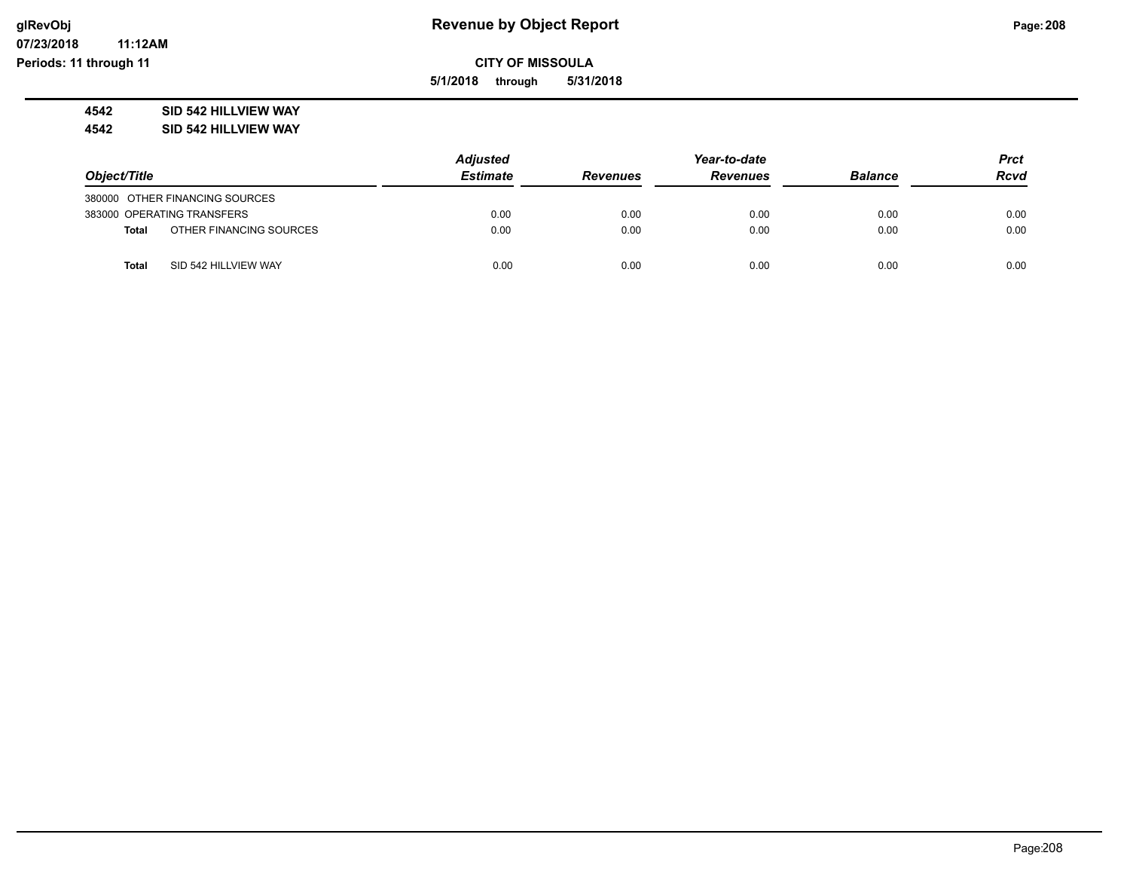**5/1/2018 through 5/31/2018**

### **4542 SID 542 HILLVIEW WAY**

**4542 SID 542 HILLVIEW WAY**

|              |                                | <b>Adjusted</b> |                 | Year-to-date    |                | Prct        |
|--------------|--------------------------------|-----------------|-----------------|-----------------|----------------|-------------|
| Object/Title |                                | <b>Estimate</b> | <b>Revenues</b> | <b>Revenues</b> | <b>Balance</b> | <b>Rcvd</b> |
|              | 380000 OTHER FINANCING SOURCES |                 |                 |                 |                |             |
|              | 383000 OPERATING TRANSFERS     | 0.00            | 0.00            | 0.00            | 0.00           | 0.00        |
| Total        | OTHER FINANCING SOURCES        | 0.00            | 0.00            | 0.00            | 0.00           | 0.00        |
| <b>Total</b> | SID 542 HILLVIEW WAY           | 0.00            | 0.00            | 0.00            | 0.00           | 0.00        |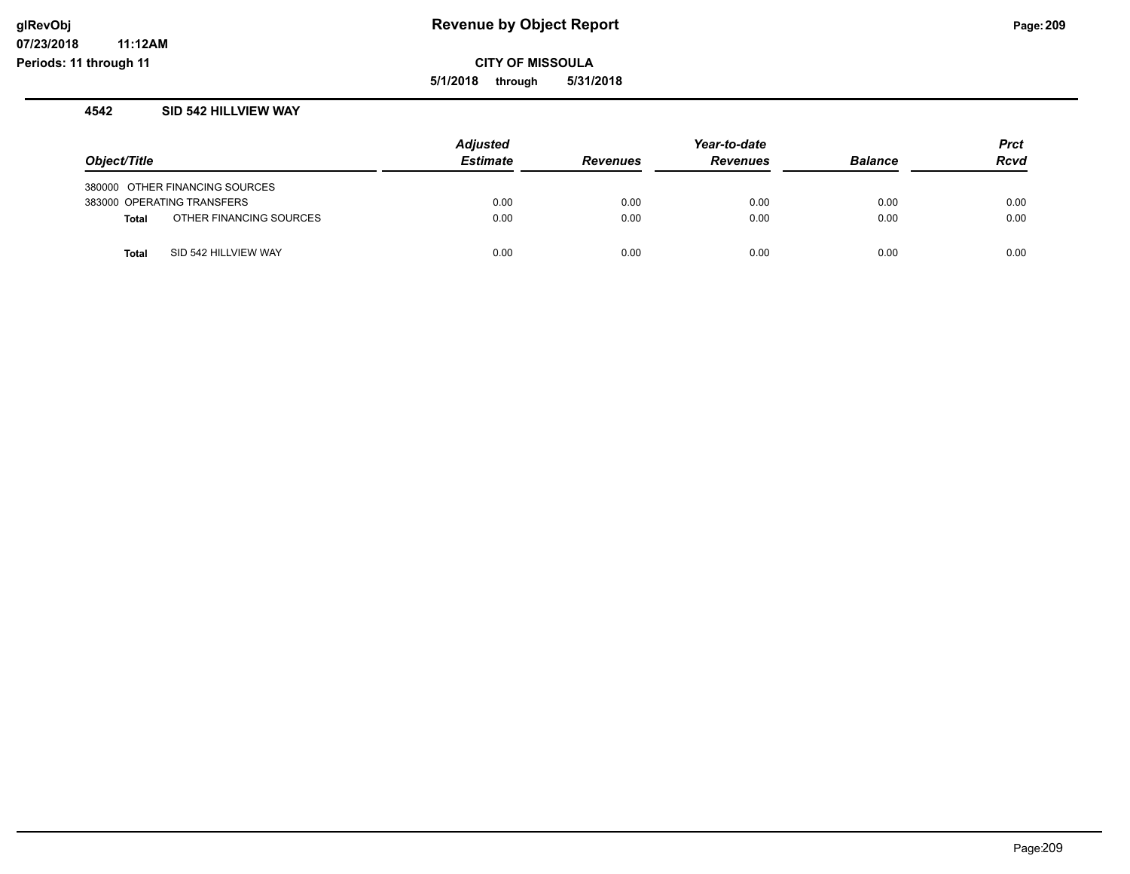**CITY OF MISSOULA**

**5/1/2018 through 5/31/2018**

#### **4542 SID 542 HILLVIEW WAY**

| Object/Title |                                | <b>Adjusted</b><br><b>Estimate</b> | <b>Revenues</b> | Year-to-date<br><b>Revenues</b> | <b>Balance</b> | <b>Prct</b><br><b>Rcvd</b> |
|--------------|--------------------------------|------------------------------------|-----------------|---------------------------------|----------------|----------------------------|
|              | 380000 OTHER FINANCING SOURCES |                                    |                 |                                 |                |                            |
|              | 383000 OPERATING TRANSFERS     | 0.00                               | 0.00            | 0.00                            | 0.00           | 0.00                       |
| <b>Total</b> | OTHER FINANCING SOURCES        | 0.00                               | 0.00            | 0.00                            | 0.00           | 0.00                       |
| <b>Total</b> | SID 542 HILLVIEW WAY           | 0.00                               | 0.00            | 0.00                            | 0.00           | 0.00                       |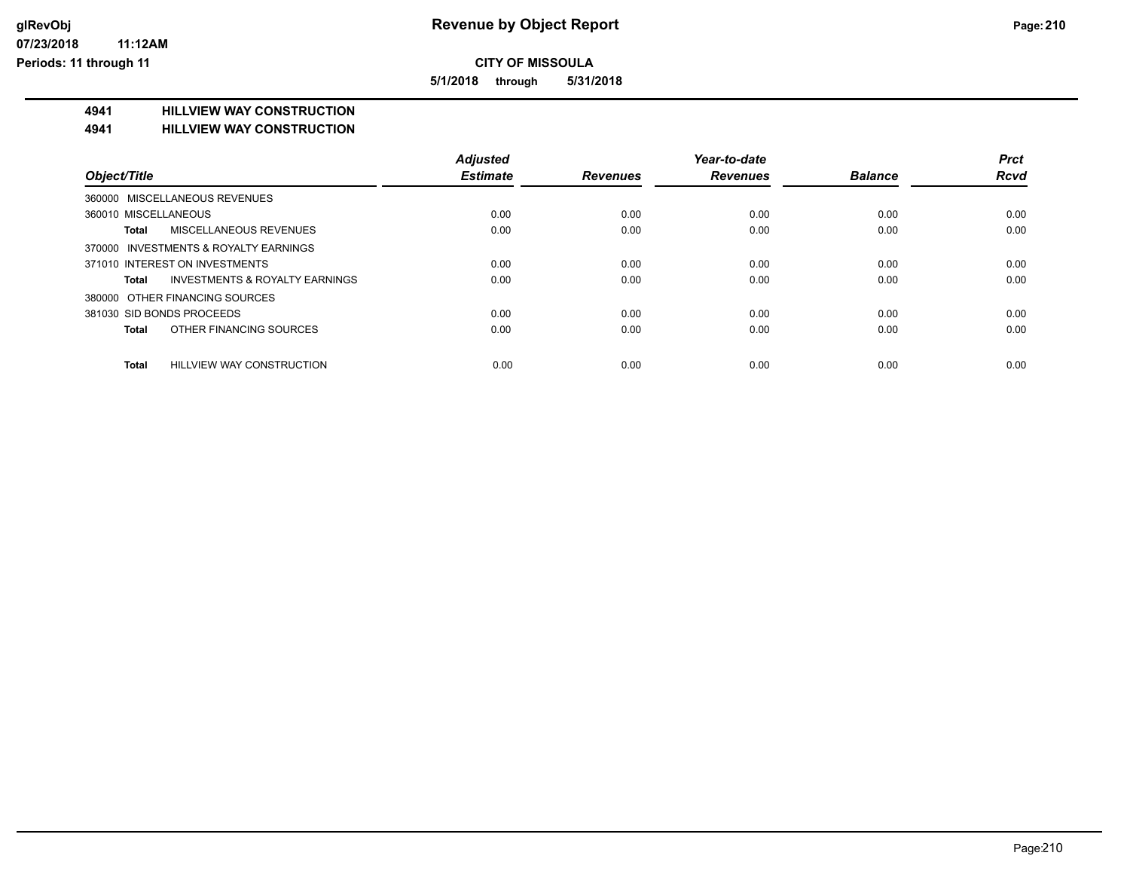**5/1/2018 through 5/31/2018**

### **4941 HILLVIEW WAY CONSTRUCTION**

#### **4941 HILLVIEW WAY CONSTRUCTION**

|                                           | <b>Adjusted</b> |                 | Year-to-date    |                | <b>Prct</b> |
|-------------------------------------------|-----------------|-----------------|-----------------|----------------|-------------|
| Object/Title                              | <b>Estimate</b> | <b>Revenues</b> | <b>Revenues</b> | <b>Balance</b> | <b>Rcvd</b> |
| 360000 MISCELLANEOUS REVENUES             |                 |                 |                 |                |             |
| 360010 MISCELLANEOUS                      | 0.00            | 0.00            | 0.00            | 0.00           | 0.00        |
| <b>MISCELLANEOUS REVENUES</b><br>Total    | 0.00            | 0.00            | 0.00            | 0.00           | 0.00        |
| 370000 INVESTMENTS & ROYALTY EARNINGS     |                 |                 |                 |                |             |
| 371010 INTEREST ON INVESTMENTS            | 0.00            | 0.00            | 0.00            | 0.00           | 0.00        |
| INVESTMENTS & ROYALTY EARNINGS<br>Total   | 0.00            | 0.00            | 0.00            | 0.00           | 0.00        |
| 380000 OTHER FINANCING SOURCES            |                 |                 |                 |                |             |
| 381030 SID BONDS PROCEEDS                 | 0.00            | 0.00            | 0.00            | 0.00           | 0.00        |
| OTHER FINANCING SOURCES<br>Total          | 0.00            | 0.00            | 0.00            | 0.00           | 0.00        |
|                                           |                 |                 |                 |                |             |
| <b>HILLVIEW WAY CONSTRUCTION</b><br>Total | 0.00            | 0.00            | 0.00            | 0.00           | 0.00        |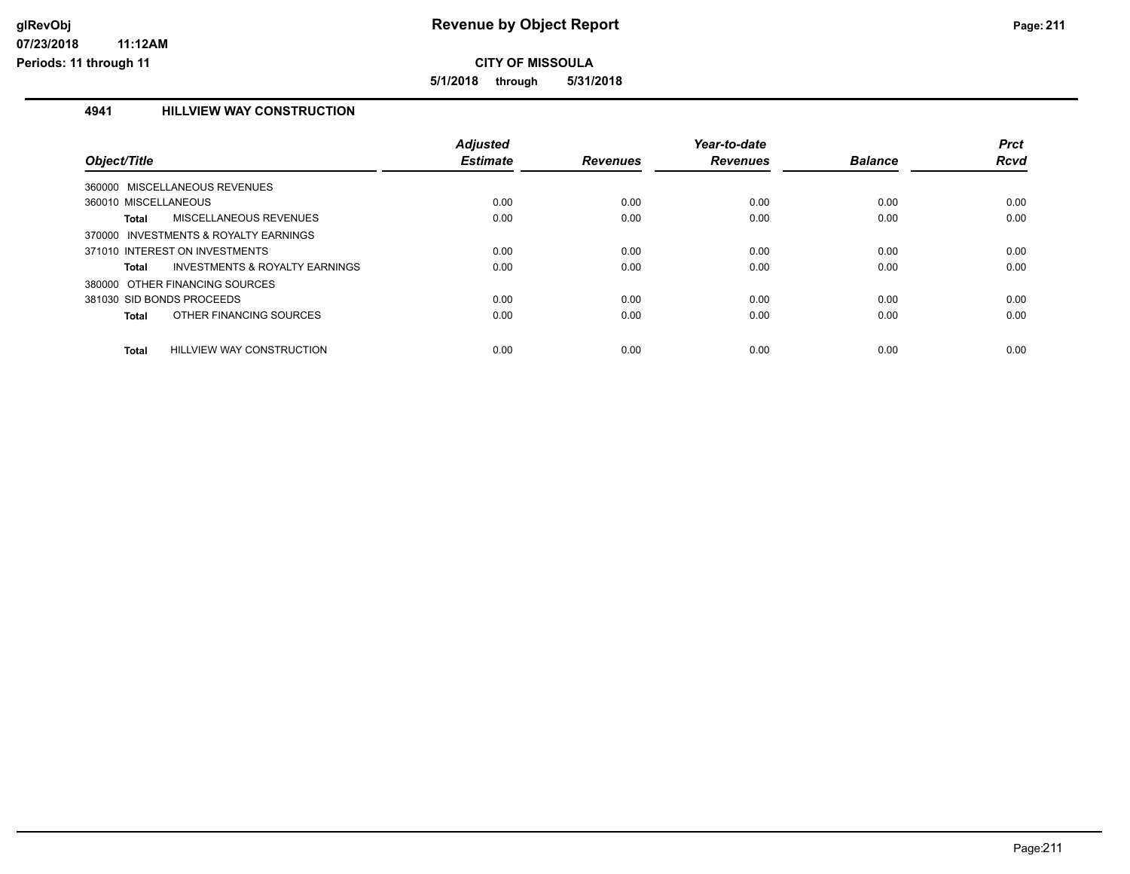**CITY OF MISSOULA**

**5/1/2018 through 5/31/2018**

# **4941 HILLVIEW WAY CONSTRUCTION**

**11:12AM**

|                                                | <b>Adjusted</b> |                 | Year-to-date    |                | <b>Prct</b> |
|------------------------------------------------|-----------------|-----------------|-----------------|----------------|-------------|
| Object/Title                                   | <b>Estimate</b> | <b>Revenues</b> | <b>Revenues</b> | <b>Balance</b> | <b>Rcvd</b> |
| 360000 MISCELLANEOUS REVENUES                  |                 |                 |                 |                |             |
| 360010 MISCELLANEOUS                           | 0.00            | 0.00            | 0.00            | 0.00           | 0.00        |
| MISCELLANEOUS REVENUES<br>Total                | 0.00            | 0.00            | 0.00            | 0.00           | 0.00        |
| INVESTMENTS & ROYALTY EARNINGS<br>370000       |                 |                 |                 |                |             |
| 371010 INTEREST ON INVESTMENTS                 | 0.00            | 0.00            | 0.00            | 0.00           | 0.00        |
| INVESTMENTS & ROYALTY EARNINGS<br><b>Total</b> | 0.00            | 0.00            | 0.00            | 0.00           | 0.00        |
| OTHER FINANCING SOURCES<br>380000              |                 |                 |                 |                |             |
| 381030 SID BONDS PROCEEDS                      | 0.00            | 0.00            | 0.00            | 0.00           | 0.00        |
| OTHER FINANCING SOURCES<br><b>Total</b>        | 0.00            | 0.00            | 0.00            | 0.00           | 0.00        |
| HILLVIEW WAY CONSTRUCTION<br><b>Total</b>      | 0.00            | 0.00            | 0.00            | 0.00           | 0.00        |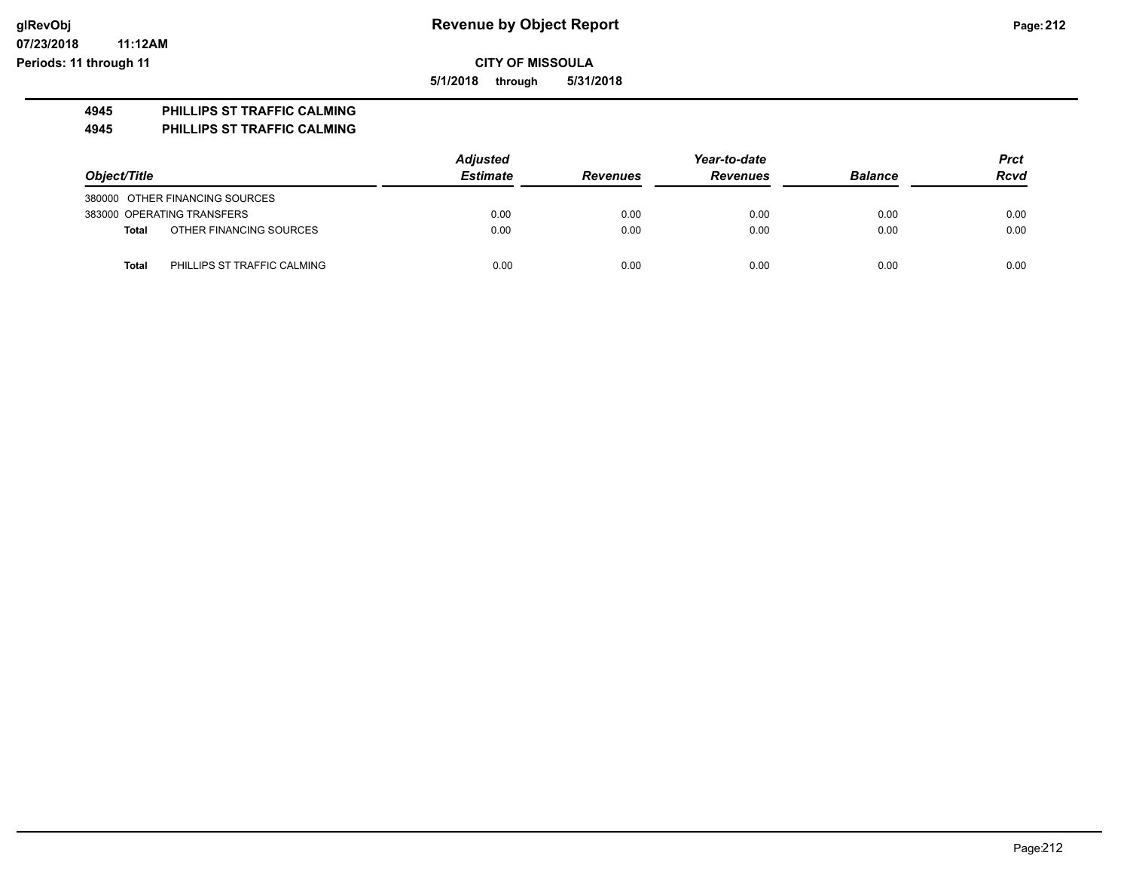**07/23/2018 11:12AM Periods: 11 through 11**

**CITY OF MISSOULA**

**5/1/2018 through 5/31/2018**

# **4945 PHILLIPS ST TRAFFIC CALMING**

**4945 PHILLIPS ST TRAFFIC CALMING**

|                                |                             | <b>Adjusted</b><br>Year-to-date |                 |                 |                |      |
|--------------------------------|-----------------------------|---------------------------------|-----------------|-----------------|----------------|------|
| Object/Title                   |                             | <b>Estimate</b>                 | <b>Revenues</b> | <b>Revenues</b> | <b>Balance</b> | Rcvd |
| 380000 OTHER FINANCING SOURCES |                             |                                 |                 |                 |                |      |
| 383000 OPERATING TRANSFERS     |                             | 0.00                            | 0.00            | 0.00            | 0.00           | 0.00 |
| Total                          | OTHER FINANCING SOURCES     | 0.00                            | 0.00            | 0.00            | 0.00           | 0.00 |
| <b>Total</b>                   | PHILLIPS ST TRAFFIC CALMING | 0.00                            | 0.00            | 0.00            | 0.00           | 0.00 |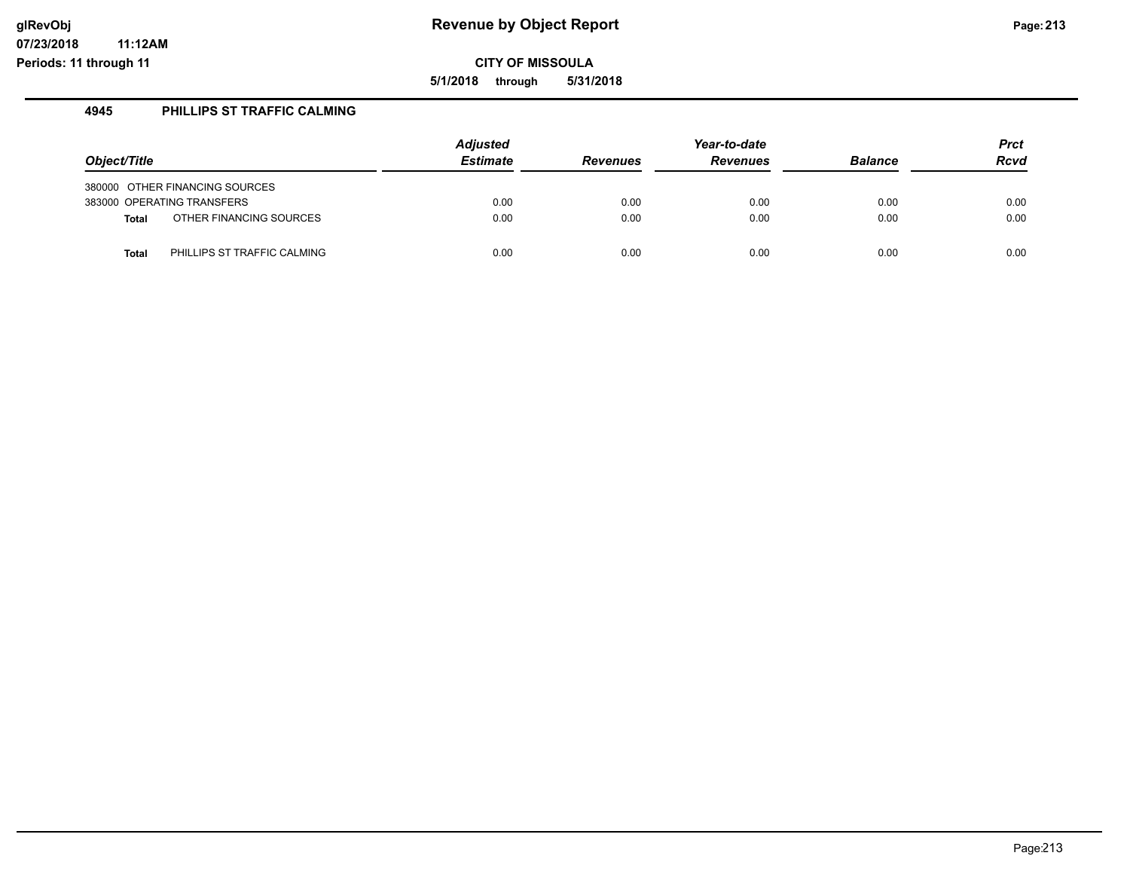**CITY OF MISSOULA**

**5/1/2018 through 5/31/2018**

#### **4945 PHILLIPS ST TRAFFIC CALMING**

**11:12AM**

|              |                                | <b>Adjusted</b> | Year-to-date    |                 |                | <b>Prct</b> |
|--------------|--------------------------------|-----------------|-----------------|-----------------|----------------|-------------|
| Object/Title |                                | <b>Estimate</b> | <b>Revenues</b> | <b>Revenues</b> | <b>Balance</b> | <b>Rcvd</b> |
|              | 380000 OTHER FINANCING SOURCES |                 |                 |                 |                |             |
|              | 383000 OPERATING TRANSFERS     | 0.00            | 0.00            | 0.00            | 0.00           | 0.00        |
| <b>Total</b> | OTHER FINANCING SOURCES        | 0.00            | 0.00            | 0.00            | 0.00           | 0.00        |
| <b>Total</b> | PHILLIPS ST TRAFFIC CALMING    | 0.00            | 0.00            | 0.00            | 0.00           | 0.00        |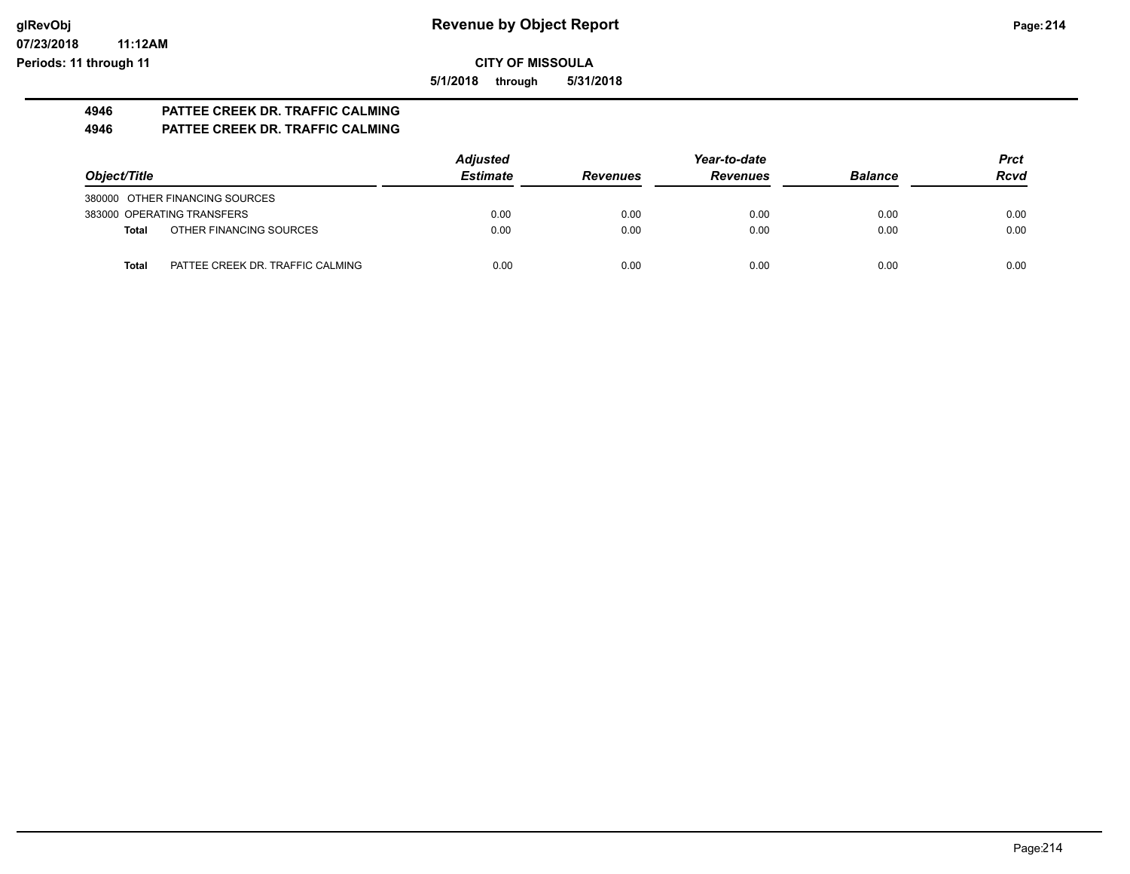#### **07/23/2018 11:12AM Periods: 11 through 11**

**CITY OF MISSOULA**

**5/1/2018 through 5/31/2018**

### **4946 PATTEE CREEK DR. TRAFFIC CALMING 4946 PATTEE CREEK DR. TRAFFIC CALMING**

|                                                  | <b>Adjusted</b> |                 | Year-to-date    |                | Prct |
|--------------------------------------------------|-----------------|-----------------|-----------------|----------------|------|
| Object/Title                                     | <b>Estimate</b> | <b>Revenues</b> | <b>Revenues</b> | <b>Balance</b> | Rcvd |
| 380000 OTHER FINANCING SOURCES                   |                 |                 |                 |                |      |
| 383000 OPERATING TRANSFERS                       | 0.00            | 0.00            | 0.00            | 0.00           | 0.00 |
| OTHER FINANCING SOURCES<br>Total                 | 0.00            | 0.00            | 0.00            | 0.00           | 0.00 |
| PATTEE CREEK DR. TRAFFIC CALMING<br><b>Total</b> | 0.00            | 0.00            | 0.00            | 0.00           | 0.00 |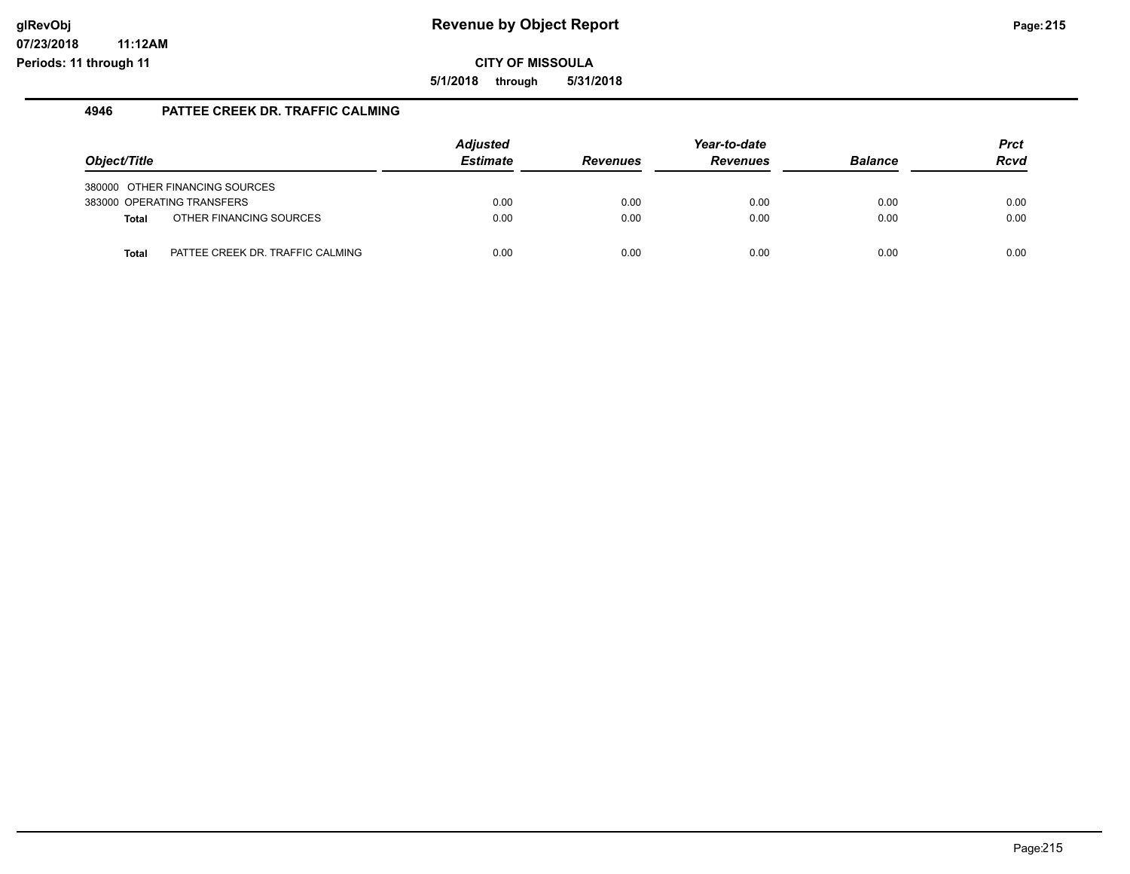**5/1/2018 through 5/31/2018**

### **4946 PATTEE CREEK DR. TRAFFIC CALMING**

| Object/Title |                                  | <b>Adjusted</b><br><b>Estimate</b> | <b>Revenues</b> | Year-to-date<br><b>Revenues</b> | <b>Balance</b> | <b>Prct</b><br><b>Rcvd</b> |
|--------------|----------------------------------|------------------------------------|-----------------|---------------------------------|----------------|----------------------------|
|              | 380000 OTHER FINANCING SOURCES   |                                    |                 |                                 |                |                            |
|              | 383000 OPERATING TRANSFERS       | 0.00                               | 0.00            | 0.00                            | 0.00           | 0.00                       |
| Total        | OTHER FINANCING SOURCES          | 0.00                               | 0.00            | 0.00                            | 0.00           | 0.00                       |
| <b>Total</b> | PATTEE CREEK DR. TRAFFIC CALMING | 0.00                               | 0.00            | 0.00                            | 0.00           | 0.00                       |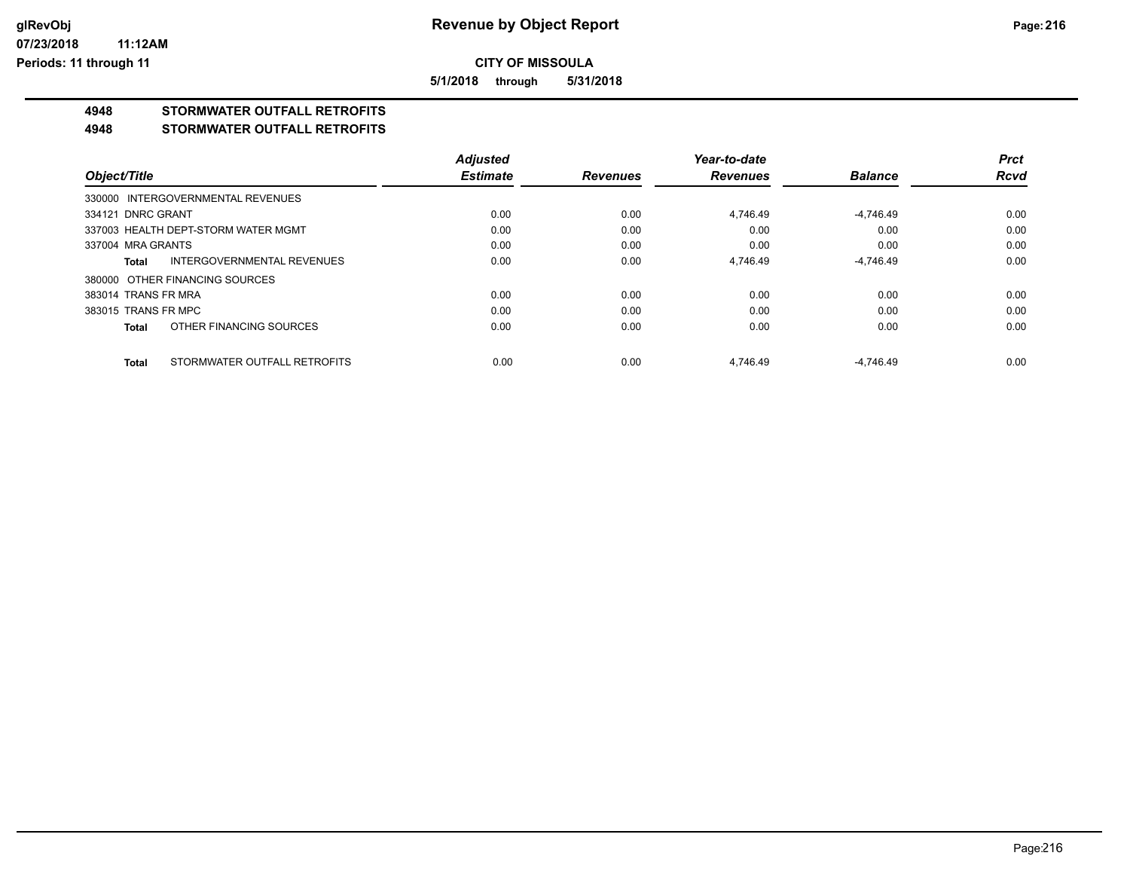**5/1/2018 through 5/31/2018**

# **4948 STORMWATER OUTFALL RETROFITS**

# **4948 STORMWATER OUTFALL RETROFITS**

|                     |                                     | <b>Adjusted</b> |                 | Year-to-date    |                | Prct |
|---------------------|-------------------------------------|-----------------|-----------------|-----------------|----------------|------|
| Object/Title        |                                     | <b>Estimate</b> | <b>Revenues</b> | <b>Revenues</b> | <b>Balance</b> | Rcvd |
|                     | 330000 INTERGOVERNMENTAL REVENUES   |                 |                 |                 |                |      |
| 334121 DNRC GRANT   |                                     | 0.00            | 0.00            | 4,746.49        | $-4.746.49$    | 0.00 |
|                     | 337003 HEALTH DEPT-STORM WATER MGMT | 0.00            | 0.00            | 0.00            | 0.00           | 0.00 |
| 337004 MRA GRANTS   |                                     | 0.00            | 0.00            | 0.00            | 0.00           | 0.00 |
| Total               | INTERGOVERNMENTAL REVENUES          | 0.00            | 0.00            | 4,746.49        | $-4,746.49$    | 0.00 |
|                     | 380000 OTHER FINANCING SOURCES      |                 |                 |                 |                |      |
| 383014 TRANS FR MRA |                                     | 0.00            | 0.00            | 0.00            | 0.00           | 0.00 |
| 383015 TRANS FR MPC |                                     | 0.00            | 0.00            | 0.00            | 0.00           | 0.00 |
| <b>Total</b>        | OTHER FINANCING SOURCES             | 0.00            | 0.00            | 0.00            | 0.00           | 0.00 |
| <b>Total</b>        | STORMWATER OUTFALL RETROFITS        | 0.00            | 0.00            | 4.746.49        | $-4.746.49$    | 0.00 |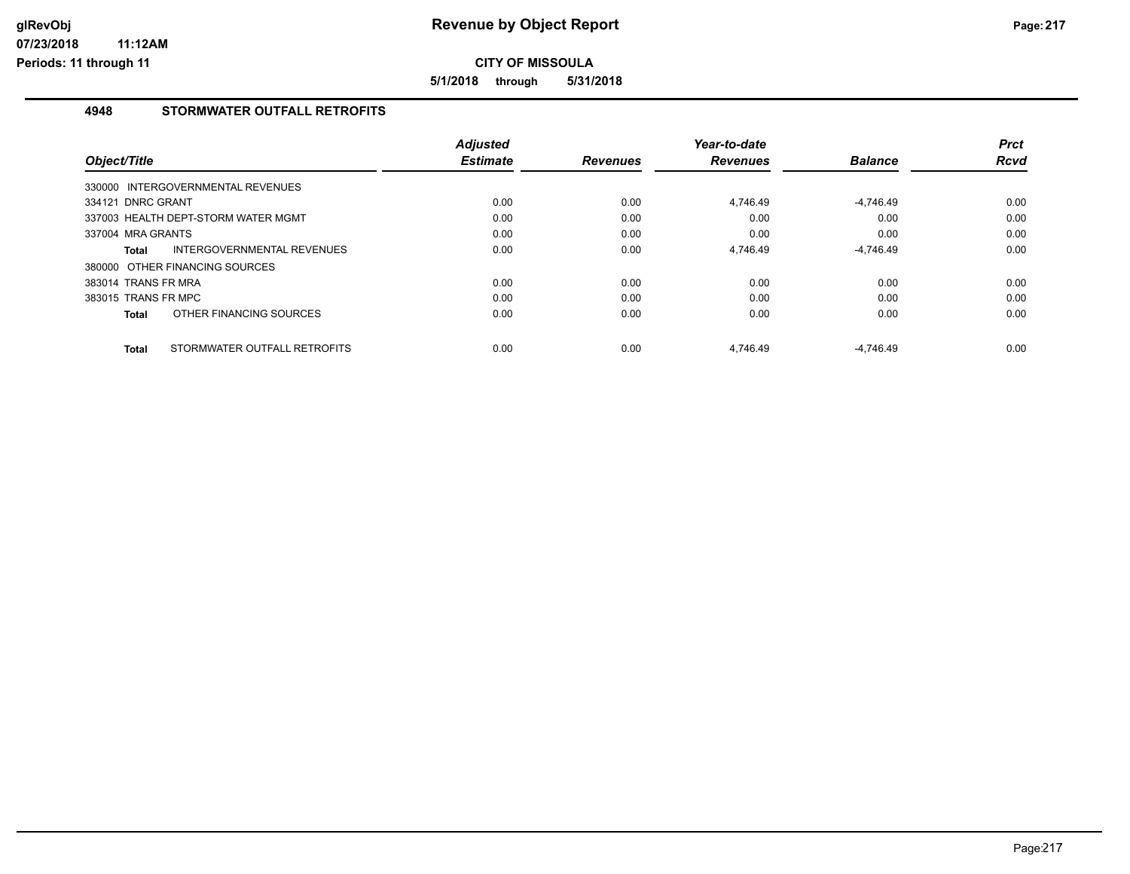**5/1/2018 through 5/31/2018**

## **4948 STORMWATER OUTFALL RETROFITS**

| Object/Title                                 | <b>Adjusted</b><br><b>Estimate</b> | <b>Revenues</b> | Year-to-date<br><b>Revenues</b> | <b>Balance</b> | <b>Prct</b><br><b>Rcvd</b> |
|----------------------------------------------|------------------------------------|-----------------|---------------------------------|----------------|----------------------------|
| 330000 INTERGOVERNMENTAL REVENUES            |                                    |                 |                                 |                |                            |
| 334121 DNRC GRANT                            | 0.00                               | 0.00            | 4,746.49                        | $-4,746.49$    | 0.00                       |
| 337003 HEALTH DEPT-STORM WATER MGMT          | 0.00                               | 0.00            | 0.00                            | 0.00           | 0.00                       |
| 337004 MRA GRANTS                            | 0.00                               | 0.00            | 0.00                            | 0.00           | 0.00                       |
| INTERGOVERNMENTAL REVENUES<br>Total          | 0.00                               | 0.00            | 4,746.49                        | $-4,746.49$    | 0.00                       |
| 380000 OTHER FINANCING SOURCES               |                                    |                 |                                 |                |                            |
| 383014 TRANS FR MRA                          | 0.00                               | 0.00            | 0.00                            | 0.00           | 0.00                       |
| 383015 TRANS FR MPC                          | 0.00                               | 0.00            | 0.00                            | 0.00           | 0.00                       |
| OTHER FINANCING SOURCES<br><b>Total</b>      | 0.00                               | 0.00            | 0.00                            | 0.00           | 0.00                       |
| STORMWATER OUTFALL RETROFITS<br><b>Total</b> | 0.00                               | 0.00            | 4.746.49                        | $-4.746.49$    | 0.00                       |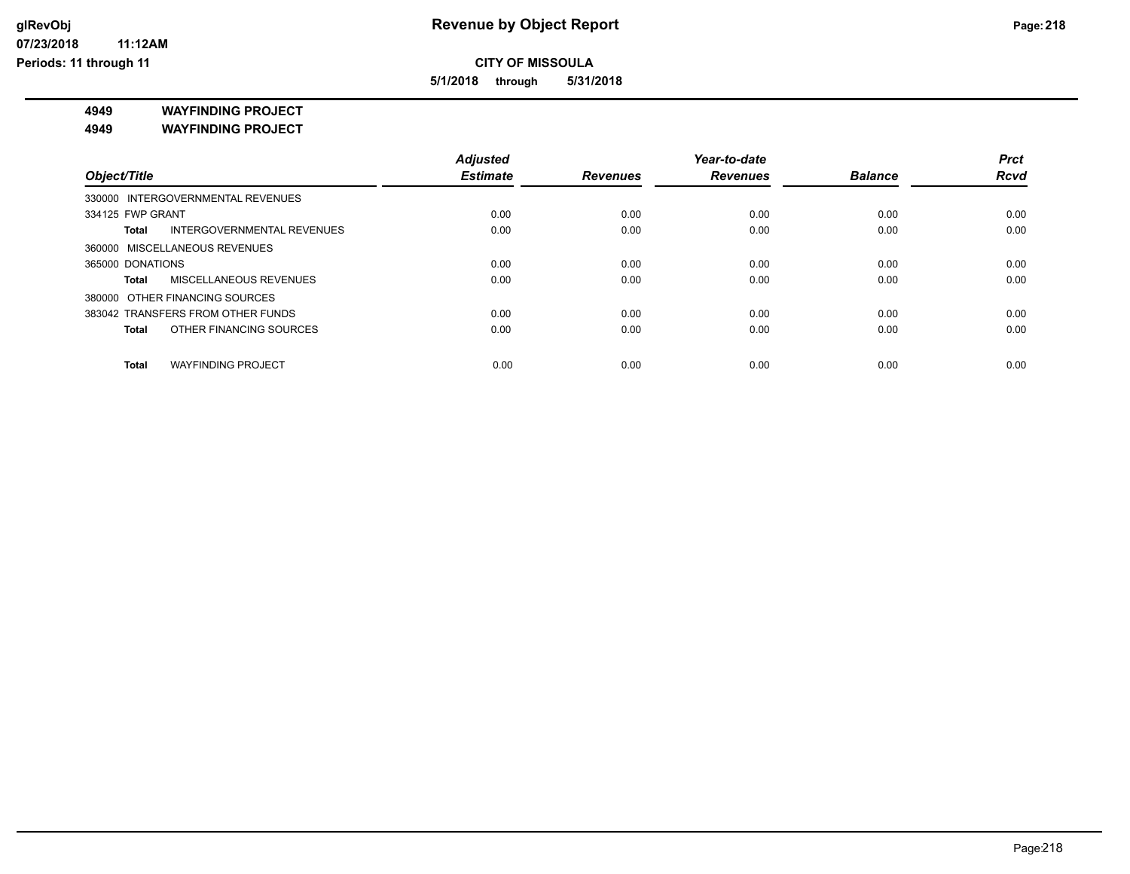**5/1/2018 through 5/31/2018**

**4949 WAYFINDING PROJECT**

**4949 WAYFINDING PROJECT**

|                                            | <b>Adjusted</b> |                 | Year-to-date    |                | <b>Prct</b> |
|--------------------------------------------|-----------------|-----------------|-----------------|----------------|-------------|
| Object/Title                               | <b>Estimate</b> | <b>Revenues</b> | <b>Revenues</b> | <b>Balance</b> | <b>Rcvd</b> |
| 330000 INTERGOVERNMENTAL REVENUES          |                 |                 |                 |                |             |
| 334125 FWP GRANT                           | 0.00            | 0.00            | 0.00            | 0.00           | 0.00        |
| <b>INTERGOVERNMENTAL REVENUES</b><br>Total | 0.00            | 0.00            | 0.00            | 0.00           | 0.00        |
| 360000 MISCELLANEOUS REVENUES              |                 |                 |                 |                |             |
| 365000 DONATIONS                           | 0.00            | 0.00            | 0.00            | 0.00           | 0.00        |
| MISCELLANEOUS REVENUES<br>Total            | 0.00            | 0.00            | 0.00            | 0.00           | 0.00        |
| 380000 OTHER FINANCING SOURCES             |                 |                 |                 |                |             |
| 383042 TRANSFERS FROM OTHER FUNDS          | 0.00            | 0.00            | 0.00            | 0.00           | 0.00        |
| OTHER FINANCING SOURCES<br>Total           | 0.00            | 0.00            | 0.00            | 0.00           | 0.00        |
|                                            |                 |                 |                 |                |             |
| <b>WAYFINDING PROJECT</b><br><b>Total</b>  | 0.00            | 0.00            | 0.00            | 0.00           | 0.00        |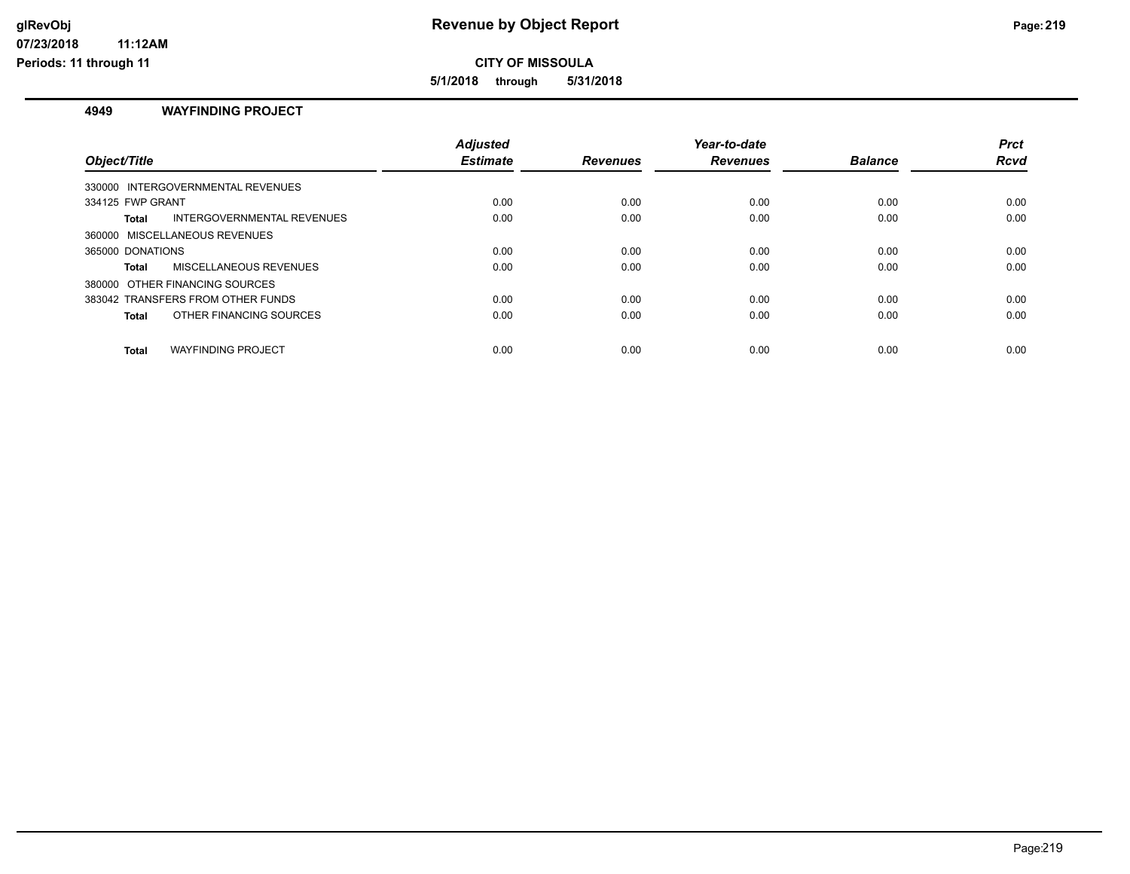**CITY OF MISSOULA**

**5/1/2018 through 5/31/2018**

#### **4949 WAYFINDING PROJECT**

| Object/Title                               | <b>Adjusted</b><br><b>Estimate</b> | <b>Revenues</b> | Year-to-date<br><b>Revenues</b> | <b>Balance</b> | <b>Prct</b><br><b>Rcvd</b> |
|--------------------------------------------|------------------------------------|-----------------|---------------------------------|----------------|----------------------------|
| 330000 INTERGOVERNMENTAL REVENUES          |                                    |                 |                                 |                |                            |
| 334125 FWP GRANT                           | 0.00                               | 0.00            | 0.00                            | 0.00           | 0.00                       |
| <b>INTERGOVERNMENTAL REVENUES</b><br>Total | 0.00                               | 0.00            | 0.00                            | 0.00           | 0.00                       |
| 360000 MISCELLANEOUS REVENUES              |                                    |                 |                                 |                |                            |
| 365000 DONATIONS                           | 0.00                               | 0.00            | 0.00                            | 0.00           | 0.00                       |
| <b>MISCELLANEOUS REVENUES</b><br>Total     | 0.00                               | 0.00            | 0.00                            | 0.00           | 0.00                       |
| 380000 OTHER FINANCING SOURCES             |                                    |                 |                                 |                |                            |
| 383042 TRANSFERS FROM OTHER FUNDS          | 0.00                               | 0.00            | 0.00                            | 0.00           | 0.00                       |
| OTHER FINANCING SOURCES<br><b>Total</b>    | 0.00                               | 0.00            | 0.00                            | 0.00           | 0.00                       |
| <b>WAYFINDING PROJECT</b><br><b>Total</b>  | 0.00                               | 0.00            | 0.00                            | 0.00           | 0.00                       |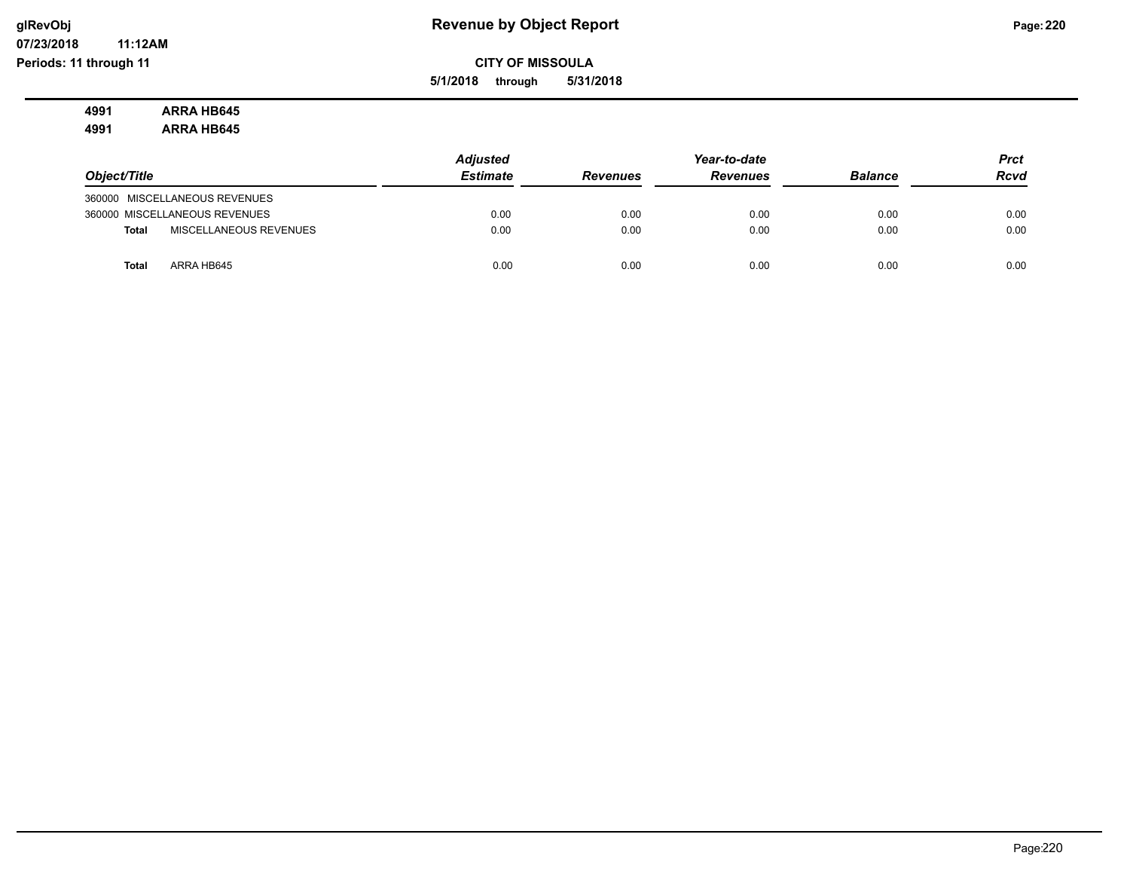**07/23/2018**

**glRevObj Revenue by Object Report Page:220** 

**Periods: 11 through 11**

**CITY OF MISSOULA**

**5/1/2018 through 5/31/2018**

## **4991 ARRA HB645 4991 ARRA HB645**

|                                        | <b>Adjusted</b> |                 |                 | <b>Prct</b>    |             |
|----------------------------------------|-----------------|-----------------|-----------------|----------------|-------------|
| Object/Title                           | <b>Estimate</b> | <b>Revenues</b> | <b>Revenues</b> | <b>Balance</b> | <b>Rcvd</b> |
| 360000 MISCELLANEOUS REVENUES          |                 |                 |                 |                |             |
| 360000 MISCELLANEOUS REVENUES          | 0.00            | 0.00            | 0.00            | 0.00           | 0.00        |
| MISCELLANEOUS REVENUES<br><b>Total</b> | 0.00            | 0.00            | 0.00            | 0.00           | 0.00        |
| ARRA HB645<br>Total                    | 0.00            | 0.00            | 0.00            | 0.00           | 0.00        |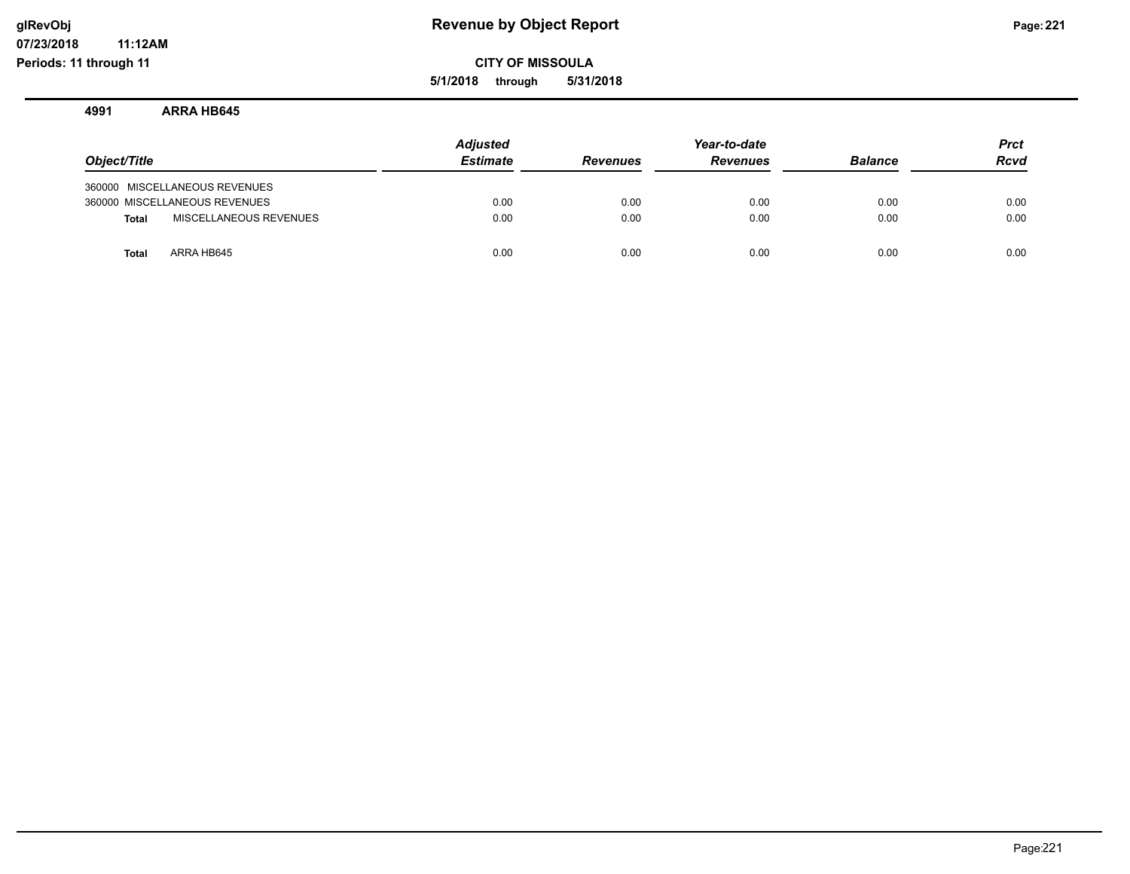**CITY OF MISSOULA**

**5/1/2018 through 5/31/2018**

**4991 ARRA HB645**

|              |                               | <b>Adjusted</b> |                 | Year-to-date   |             | <b>Prct</b> |
|--------------|-------------------------------|-----------------|-----------------|----------------|-------------|-------------|
| Object/Title | <b>Estimate</b>               | <b>Revenues</b> | <b>Revenues</b> | <b>Balance</b> | <b>Rcvd</b> |             |
|              | 360000 MISCELLANEOUS REVENUES |                 |                 |                |             |             |
|              | 360000 MISCELLANEOUS REVENUES | 0.00            | 0.00            | 0.00           | 0.00        | 0.00        |
| <b>Total</b> | MISCELLANEOUS REVENUES        | 0.00            | 0.00            | 0.00           | 0.00        | 0.00        |
| <b>Total</b> | ARRA HB645                    | 0.00            | 0.00            | 0.00           | 0.00        | 0.00        |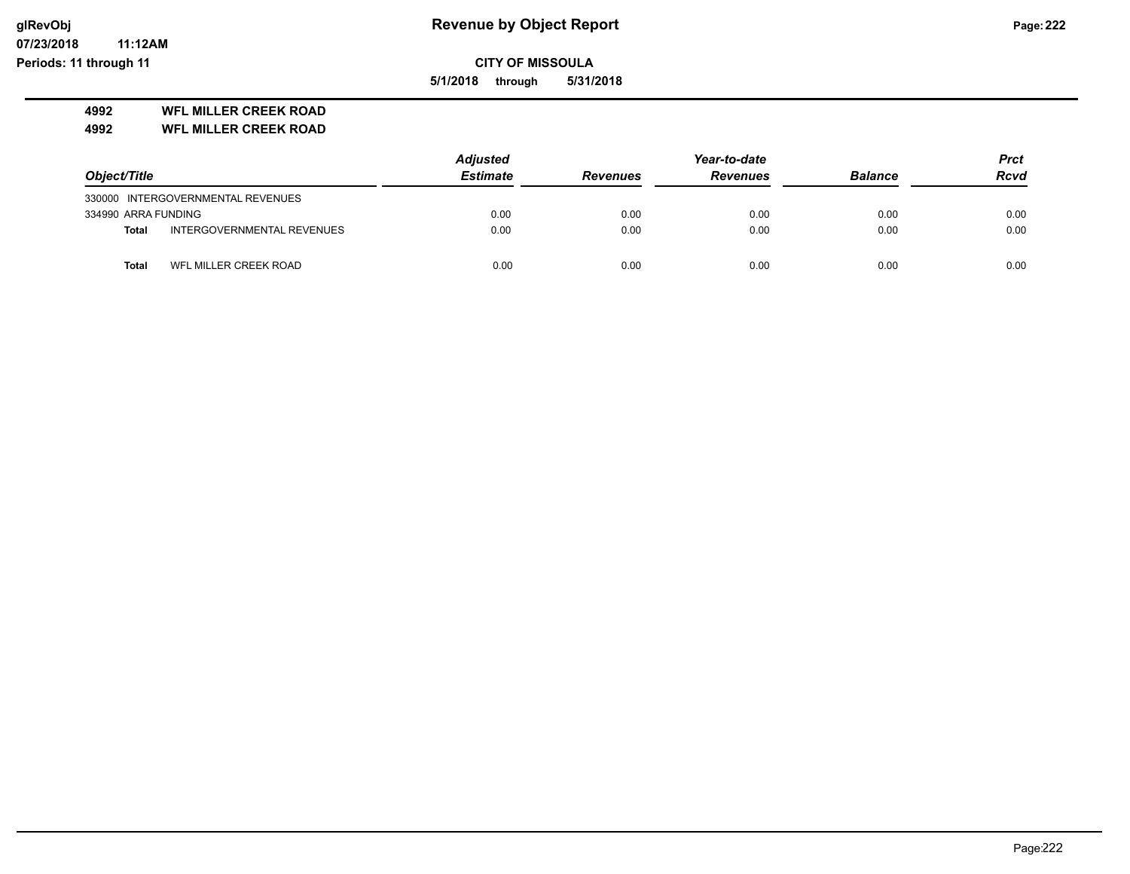**07/23/2018 11:12AM Periods: 11 through 11**

**CITY OF MISSOULA**

**5/1/2018 through 5/31/2018**

## **4992 WFL MILLER CREEK ROAD**

**4992 WFL MILLER CREEK ROAD**

| Object/Title        |                                   | <b>Adjusted</b> |                 |                 | <b>Prct</b>    |             |
|---------------------|-----------------------------------|-----------------|-----------------|-----------------|----------------|-------------|
|                     |                                   | <b>Estimate</b> | <b>Revenues</b> | <b>Revenues</b> | <b>Balance</b> | <b>Rcvd</b> |
|                     | 330000 INTERGOVERNMENTAL REVENUES |                 |                 |                 |                |             |
| 334990 ARRA FUNDING |                                   | 0.00            | 0.00            | 0.00            | 0.00           | 0.00        |
| <b>Total</b>        | INTERGOVERNMENTAL REVENUES        | 0.00            | 0.00            | 0.00            | 0.00           | 0.00        |
| Total               | WFL MILLER CREEK ROAD             | 0.00            | 0.00            | 0.00            | 0.00           | 0.00        |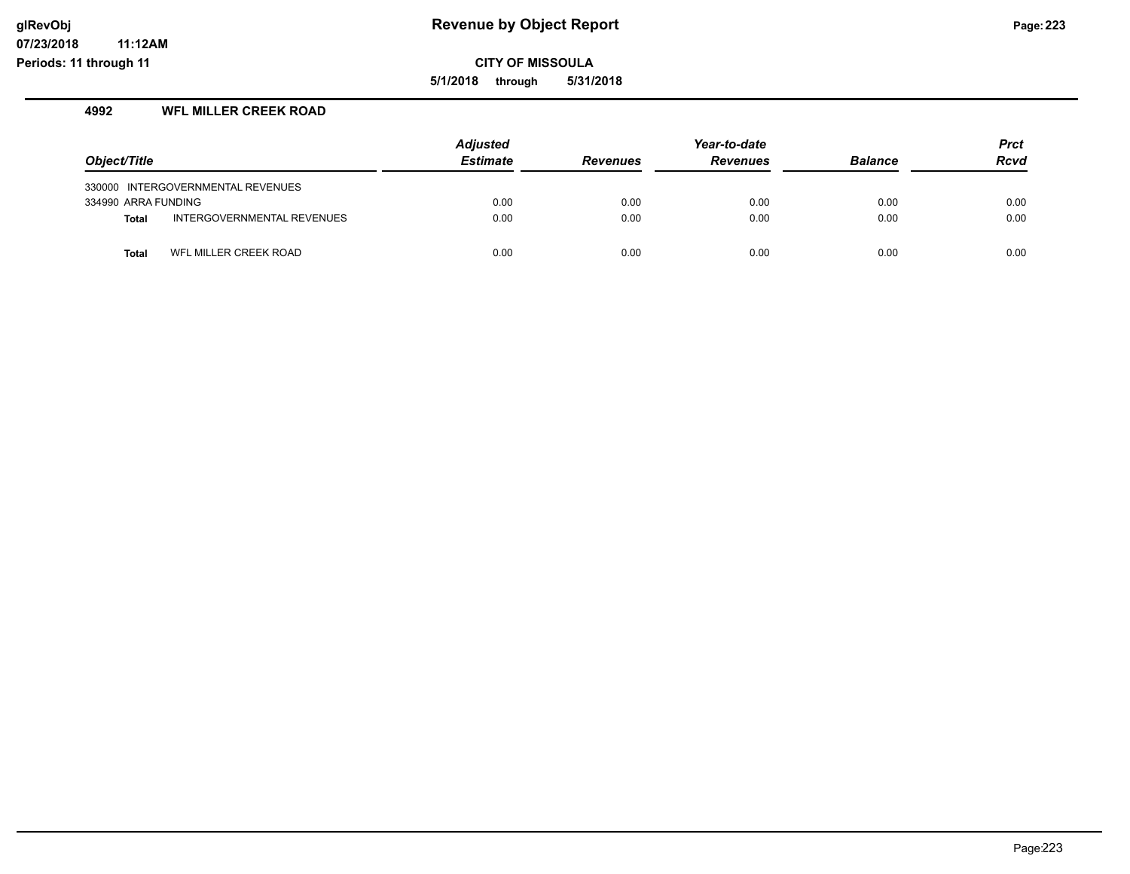**CITY OF MISSOULA**

**5/1/2018 through 5/31/2018**

## **4992 WFL MILLER CREEK ROAD**

|                     |                                   | <b>Adjusted</b> |                 | Year-to-date   |             | <b>Prct</b> |
|---------------------|-----------------------------------|-----------------|-----------------|----------------|-------------|-------------|
| Object/Title        | <b>Estimate</b>                   | <b>Revenues</b> | <b>Revenues</b> | <b>Balance</b> | <b>Rcvd</b> |             |
|                     | 330000 INTERGOVERNMENTAL REVENUES |                 |                 |                |             |             |
| 334990 ARRA FUNDING |                                   | 0.00            | 0.00            | 0.00           | 0.00        | 0.00        |
| <b>Total</b>        | INTERGOVERNMENTAL REVENUES        | 0.00            | 0.00            | 0.00           | 0.00        | 0.00        |
| <b>Total</b>        | WFL MILLER CREEK ROAD             | 0.00            | 0.00            | 0.00           | 0.00        | 0.00        |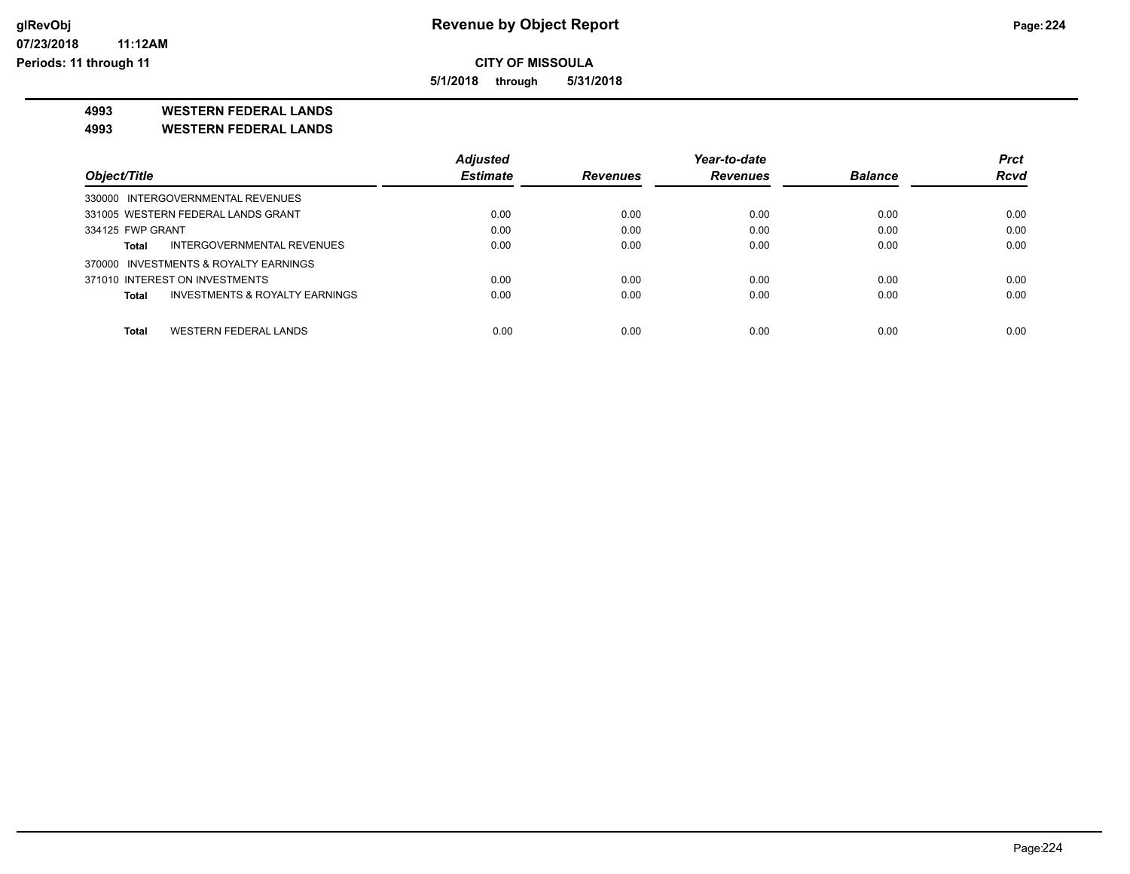**5/1/2018 through 5/31/2018**

**4993 WESTERN FEDERAL LANDS**

**4993 WESTERN FEDERAL LANDS**

|                                                | <b>Adjusted</b> |                 | Year-to-date    |                | <b>Prct</b> |
|------------------------------------------------|-----------------|-----------------|-----------------|----------------|-------------|
| Object/Title                                   | <b>Estimate</b> | <b>Revenues</b> | <b>Revenues</b> | <b>Balance</b> | <b>Rcvd</b> |
| 330000 INTERGOVERNMENTAL REVENUES              |                 |                 |                 |                |             |
| 331005 WESTERN FEDERAL LANDS GRANT             | 0.00            | 0.00            | 0.00            | 0.00           | 0.00        |
| 334125 FWP GRANT                               | 0.00            | 0.00            | 0.00            | 0.00           | 0.00        |
| INTERGOVERNMENTAL REVENUES<br><b>Total</b>     | 0.00            | 0.00            | 0.00            | 0.00           | 0.00        |
| 370000 INVESTMENTS & ROYALTY EARNINGS          |                 |                 |                 |                |             |
| 371010 INTEREST ON INVESTMENTS                 | 0.00            | 0.00            | 0.00            | 0.00           | 0.00        |
| INVESTMENTS & ROYALTY EARNINGS<br><b>Total</b> | 0.00            | 0.00            | 0.00            | 0.00           | 0.00        |
|                                                |                 |                 |                 |                |             |
| <b>WESTERN FEDERAL LANDS</b><br><b>Total</b>   | 0.00            | 0.00            | 0.00            | 0.00           | 0.00        |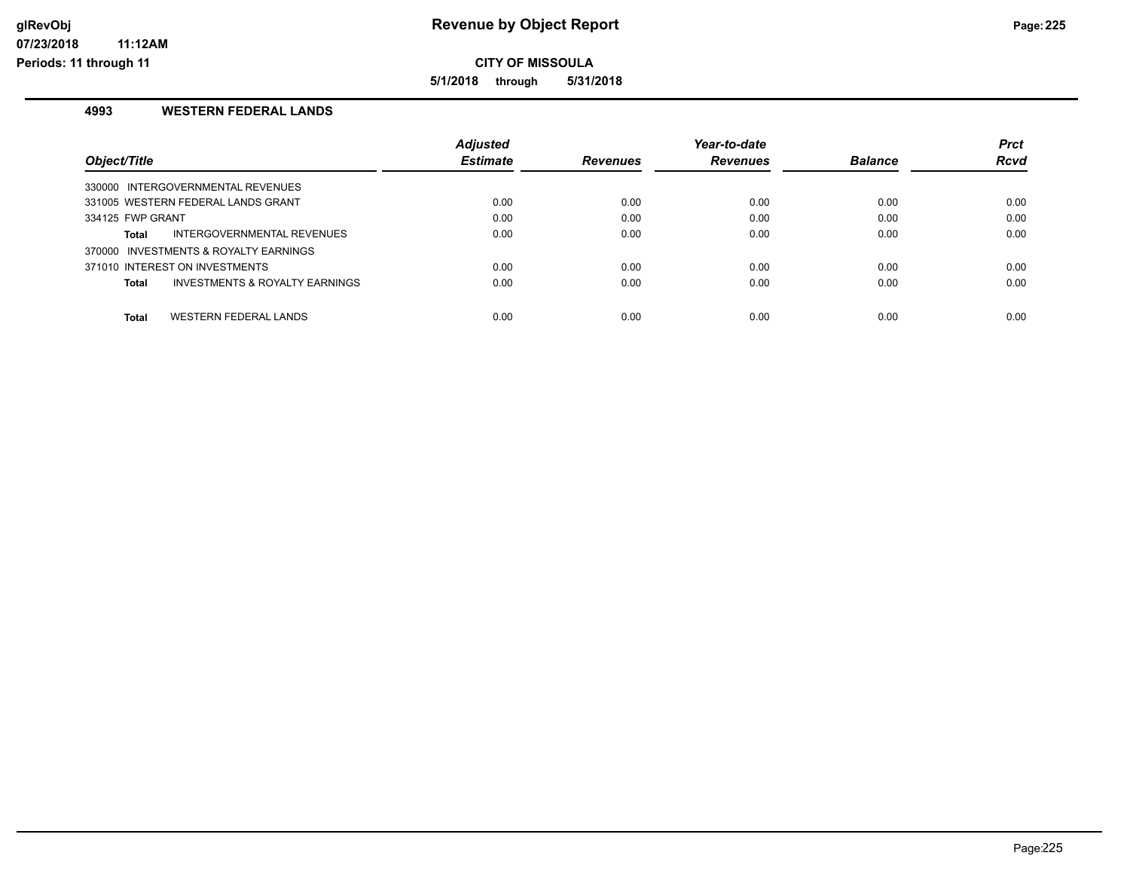**5/1/2018 through 5/31/2018**

## **4993 WESTERN FEDERAL LANDS**

|                                              | <b>Adjusted</b> |                 | Year-to-date    |                | <b>Prct</b> |
|----------------------------------------------|-----------------|-----------------|-----------------|----------------|-------------|
| Object/Title                                 | <b>Estimate</b> | <b>Revenues</b> | <b>Revenues</b> | <b>Balance</b> | <b>Rcvd</b> |
| 330000 INTERGOVERNMENTAL REVENUES            |                 |                 |                 |                |             |
| 331005 WESTERN FEDERAL LANDS GRANT           | 0.00            | 0.00            | 0.00            | 0.00           | 0.00        |
| 334125 FWP GRANT                             | 0.00            | 0.00            | 0.00            | 0.00           | 0.00        |
| INTERGOVERNMENTAL REVENUES<br>Total          | 0.00            | 0.00            | 0.00            | 0.00           | 0.00        |
| 370000 INVESTMENTS & ROYALTY EARNINGS        |                 |                 |                 |                |             |
| 371010 INTEREST ON INVESTMENTS               | 0.00            | 0.00            | 0.00            | 0.00           | 0.00        |
| INVESTMENTS & ROYALTY EARNINGS<br>Total      | 0.00            | 0.00            | 0.00            | 0.00           | 0.00        |
|                                              |                 |                 |                 |                |             |
| <b>Total</b><br><b>WESTERN FEDERAL LANDS</b> | 0.00            | 0.00            | 0.00            | 0.00           | 0.00        |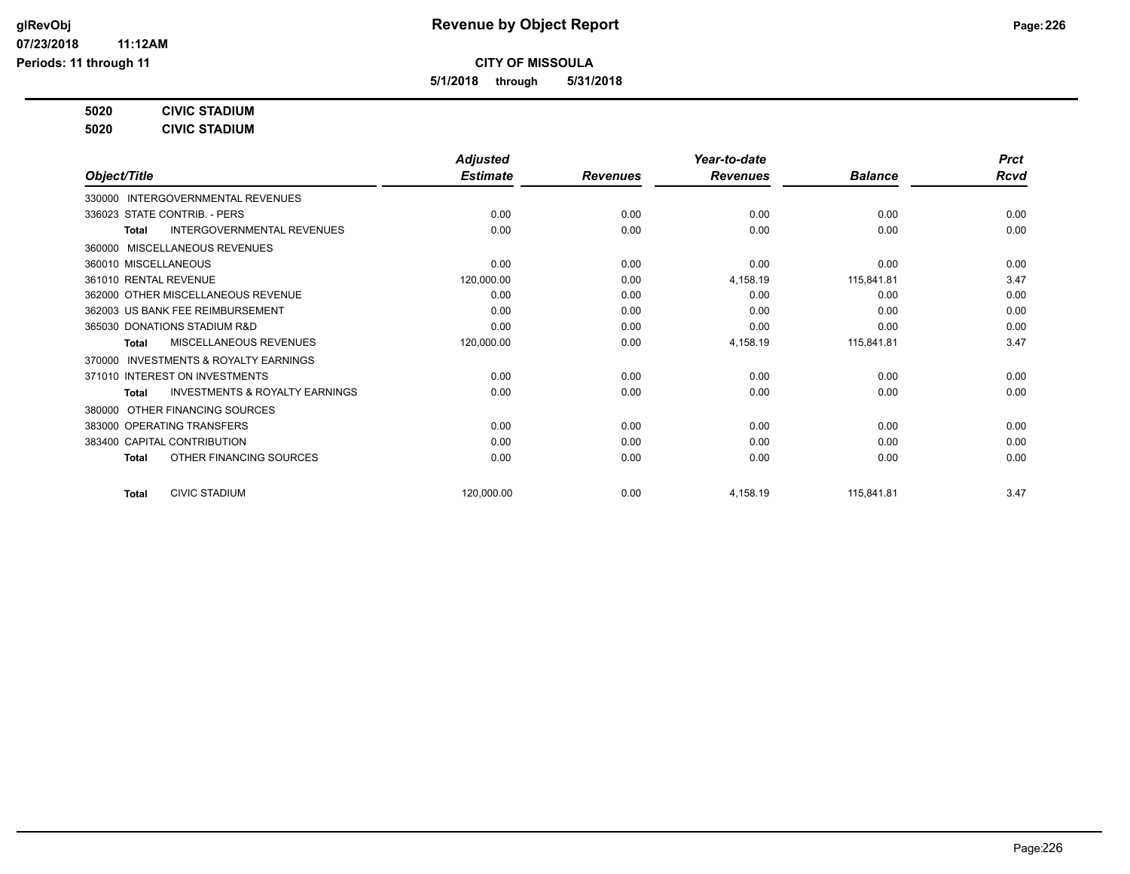**5/1/2018 through 5/31/2018**

## **5020 CIVIC STADIUM**

**5020 CIVIC STADIUM**

|                                                     | <b>Adjusted</b> |                 | Year-to-date    |                | <b>Prct</b> |
|-----------------------------------------------------|-----------------|-----------------|-----------------|----------------|-------------|
| Object/Title                                        | <b>Estimate</b> | <b>Revenues</b> | <b>Revenues</b> | <b>Balance</b> | <b>Rcvd</b> |
| <b>INTERGOVERNMENTAL REVENUES</b><br>330000         |                 |                 |                 |                |             |
| 336023 STATE CONTRIB. - PERS                        | 0.00            | 0.00            | 0.00            | 0.00           | 0.00        |
| <b>INTERGOVERNMENTAL REVENUES</b><br><b>Total</b>   | 0.00            | 0.00            | 0.00            | 0.00           | 0.00        |
| <b>MISCELLANEOUS REVENUES</b><br>360000             |                 |                 |                 |                |             |
| 360010 MISCELLANEOUS                                | 0.00            | 0.00            | 0.00            | 0.00           | 0.00        |
| 361010 RENTAL REVENUE                               | 120,000.00      | 0.00            | 4,158.19        | 115,841.81     | 3.47        |
| 362000 OTHER MISCELLANEOUS REVENUE                  | 0.00            | 0.00            | 0.00            | 0.00           | 0.00        |
| 362003 US BANK FEE REIMBURSEMENT                    | 0.00            | 0.00            | 0.00            | 0.00           | 0.00        |
| 365030 DONATIONS STADIUM R&D                        | 0.00            | 0.00            | 0.00            | 0.00           | 0.00        |
| MISCELLANEOUS REVENUES<br><b>Total</b>              | 120,000.00      | 0.00            | 4,158.19        | 115,841.81     | 3.47        |
| <b>INVESTMENTS &amp; ROYALTY EARNINGS</b><br>370000 |                 |                 |                 |                |             |
| 371010 INTEREST ON INVESTMENTS                      | 0.00            | 0.00            | 0.00            | 0.00           | 0.00        |
| <b>INVESTMENTS &amp; ROYALTY EARNINGS</b><br>Total  | 0.00            | 0.00            | 0.00            | 0.00           | 0.00        |
| OTHER FINANCING SOURCES<br>380000                   |                 |                 |                 |                |             |
| 383000 OPERATING TRANSFERS                          | 0.00            | 0.00            | 0.00            | 0.00           | 0.00        |
| 383400 CAPITAL CONTRIBUTION                         | 0.00            | 0.00            | 0.00            | 0.00           | 0.00        |
| OTHER FINANCING SOURCES<br><b>Total</b>             | 0.00            | 0.00            | 0.00            | 0.00           | 0.00        |
| <b>CIVIC STADIUM</b><br><b>Total</b>                | 120,000.00      | 0.00            | 4,158.19        | 115,841.81     | 3.47        |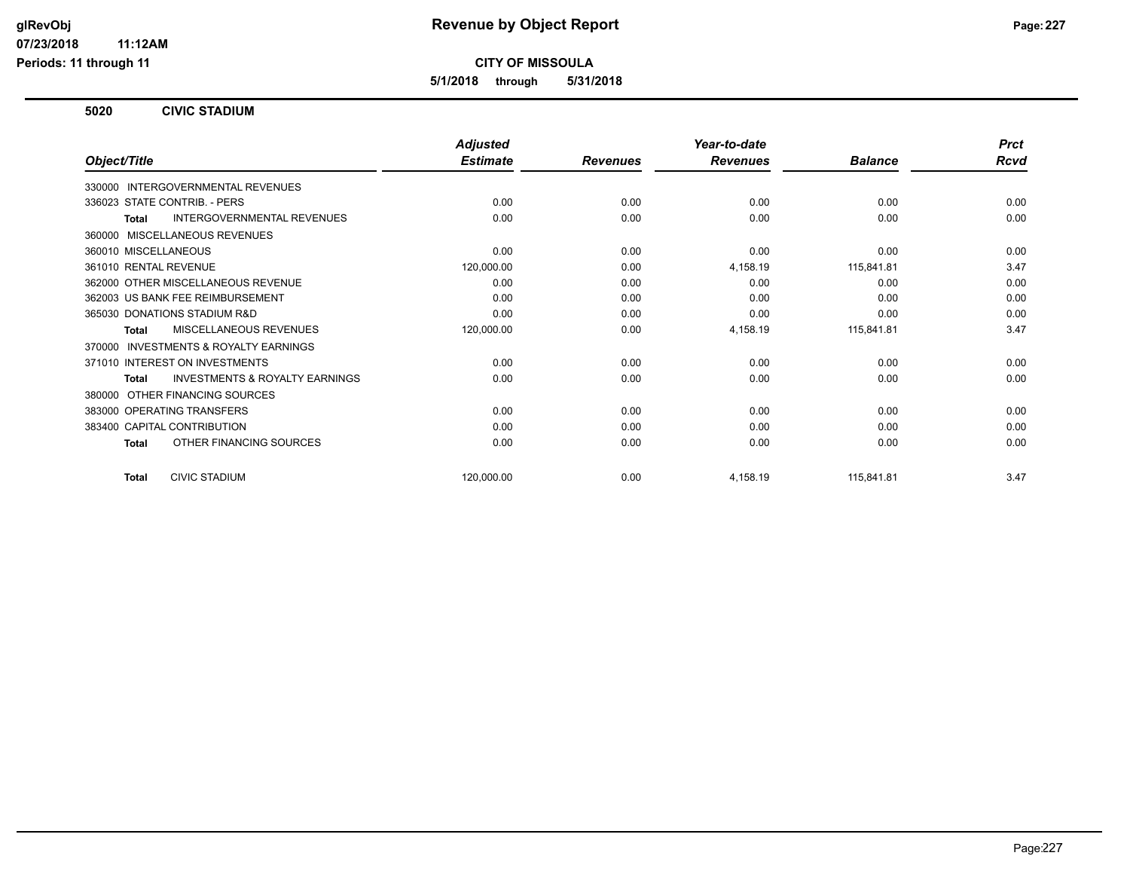**CITY OF MISSOULA**

**5/1/2018 through 5/31/2018**

### **5020 CIVIC STADIUM**

|                                                     | <b>Adjusted</b> |                 | Year-to-date    |                | <b>Prct</b> |
|-----------------------------------------------------|-----------------|-----------------|-----------------|----------------|-------------|
| Object/Title                                        | <b>Estimate</b> | <b>Revenues</b> | <b>Revenues</b> | <b>Balance</b> | <b>Rcvd</b> |
| 330000 INTERGOVERNMENTAL REVENUES                   |                 |                 |                 |                |             |
| 336023 STATE CONTRIB. - PERS                        | 0.00            | 0.00            | 0.00            | 0.00           | 0.00        |
| <b>INTERGOVERNMENTAL REVENUES</b><br><b>Total</b>   | 0.00            | 0.00            | 0.00            | 0.00           | 0.00        |
| MISCELLANEOUS REVENUES<br>360000                    |                 |                 |                 |                |             |
| 360010 MISCELLANEOUS                                | 0.00            | 0.00            | 0.00            | 0.00           | 0.00        |
| 361010 RENTAL REVENUE                               | 120,000.00      | 0.00            | 4,158.19        | 115,841.81     | 3.47        |
| 362000 OTHER MISCELLANEOUS REVENUE                  | 0.00            | 0.00            | 0.00            | 0.00           | 0.00        |
| 362003 US BANK FEE REIMBURSEMENT                    | 0.00            | 0.00            | 0.00            | 0.00           | 0.00        |
| 365030 DONATIONS STADIUM R&D                        | 0.00            | 0.00            | 0.00            | 0.00           | 0.00        |
| MISCELLANEOUS REVENUES<br><b>Total</b>              | 120,000.00      | 0.00            | 4,158.19        | 115,841.81     | 3.47        |
| <b>INVESTMENTS &amp; ROYALTY EARNINGS</b><br>370000 |                 |                 |                 |                |             |
| 371010 INTEREST ON INVESTMENTS                      | 0.00            | 0.00            | 0.00            | 0.00           | 0.00        |
| <b>INVESTMENTS &amp; ROYALTY EARNINGS</b><br>Total  | 0.00            | 0.00            | 0.00            | 0.00           | 0.00        |
| OTHER FINANCING SOURCES<br>380000                   |                 |                 |                 |                |             |
| 383000 OPERATING TRANSFERS                          | 0.00            | 0.00            | 0.00            | 0.00           | 0.00        |
| 383400 CAPITAL CONTRIBUTION                         | 0.00            | 0.00            | 0.00            | 0.00           | 0.00        |
| OTHER FINANCING SOURCES<br><b>Total</b>             | 0.00            | 0.00            | 0.00            | 0.00           | 0.00        |
| <b>CIVIC STADIUM</b><br><b>Total</b>                | 120,000.00      | 0.00            | 4.158.19        | 115,841.81     | 3.47        |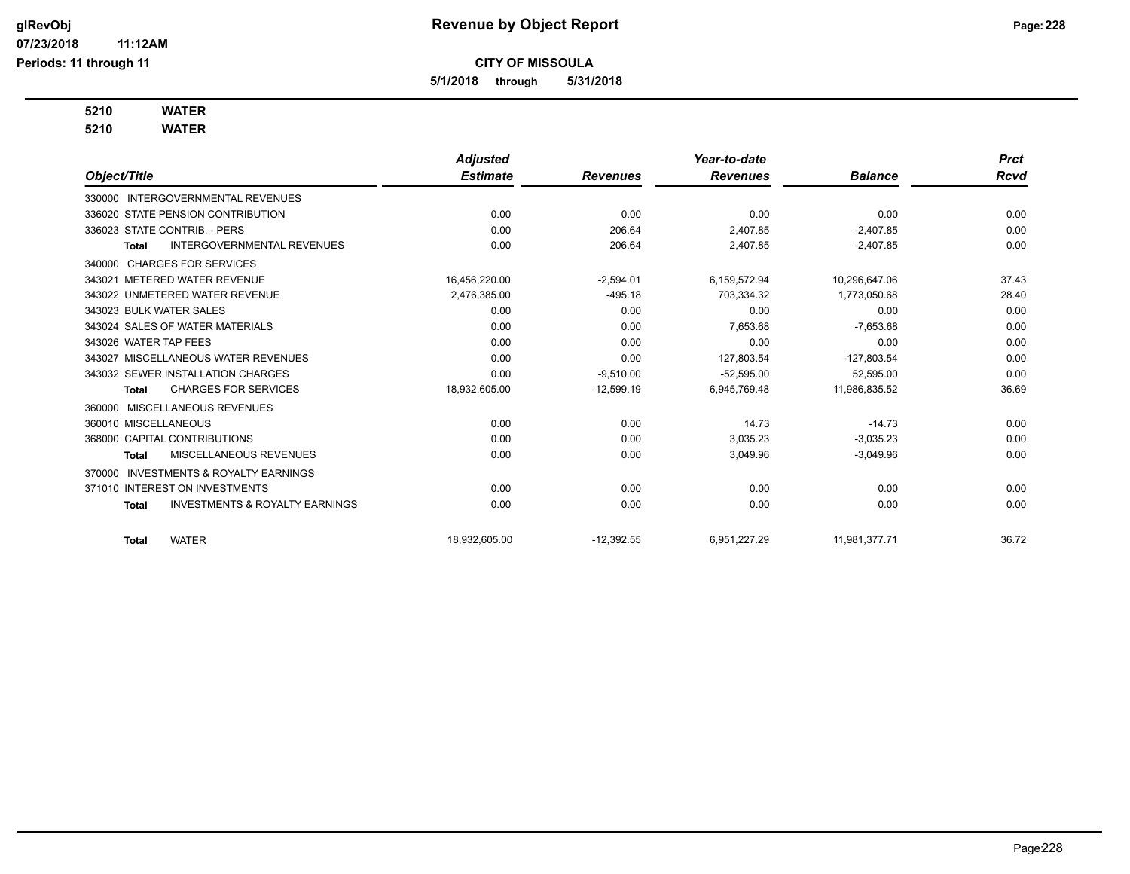**5/1/2018 through 5/31/2018**

# **5210 WATER**

**5210 WATER**

|                                                           | <b>Adjusted</b> |                 | Year-to-date    |                | <b>Prct</b> |
|-----------------------------------------------------------|-----------------|-----------------|-----------------|----------------|-------------|
| Object/Title                                              | <b>Estimate</b> | <b>Revenues</b> | <b>Revenues</b> | <b>Balance</b> | <b>Rcvd</b> |
| 330000 INTERGOVERNMENTAL REVENUES                         |                 |                 |                 |                |             |
| 336020 STATE PENSION CONTRIBUTION                         | 0.00            | 0.00            | 0.00            | 0.00           | 0.00        |
| 336023 STATE CONTRIB. - PERS                              | 0.00            | 206.64          | 2,407.85        | $-2,407.85$    | 0.00        |
| <b>INTERGOVERNMENTAL REVENUES</b><br><b>Total</b>         | 0.00            | 206.64          | 2,407.85        | $-2,407.85$    | 0.00        |
| <b>CHARGES FOR SERVICES</b><br>340000                     |                 |                 |                 |                |             |
| 343021 METERED WATER REVENUE                              | 16,456,220.00   | $-2,594.01$     | 6,159,572.94    | 10,296,647.06  | 37.43       |
| 343022 UNMETERED WATER REVENUE                            | 2,476,385.00    | $-495.18$       | 703,334.32      | 1,773,050.68   | 28.40       |
| 343023 BULK WATER SALES                                   | 0.00            | 0.00            | 0.00            | 0.00           | 0.00        |
| 343024 SALES OF WATER MATERIALS                           | 0.00            | 0.00            | 7,653.68        | $-7,653.68$    | 0.00        |
| 343026 WATER TAP FEES                                     | 0.00            | 0.00            | 0.00            | 0.00           | 0.00        |
| 343027 MISCELLANEOUS WATER REVENUES                       | 0.00            | 0.00            | 127,803.54      | $-127,803.54$  | 0.00        |
| 343032 SEWER INSTALLATION CHARGES                         | 0.00            | $-9.510.00$     | $-52.595.00$    | 52.595.00      | 0.00        |
| <b>CHARGES FOR SERVICES</b><br><b>Total</b>               | 18,932,605.00   | $-12,599.19$    | 6,945,769.48    | 11,986,835.52  | 36.69       |
| MISCELLANEOUS REVENUES<br>360000                          |                 |                 |                 |                |             |
| 360010 MISCELLANEOUS                                      | 0.00            | 0.00            | 14.73           | $-14.73$       | 0.00        |
| 368000 CAPITAL CONTRIBUTIONS                              | 0.00            | 0.00            | 3.035.23        | $-3,035.23$    | 0.00        |
| <b>MISCELLANEOUS REVENUES</b><br><b>Total</b>             | 0.00            | 0.00            | 3,049.96        | $-3,049.96$    | 0.00        |
| <b>INVESTMENTS &amp; ROYALTY EARNINGS</b><br>370000       |                 |                 |                 |                |             |
| 371010 INTEREST ON INVESTMENTS                            | 0.00            | 0.00            | 0.00            | 0.00           | 0.00        |
| <b>INVESTMENTS &amp; ROYALTY EARNINGS</b><br><b>Total</b> | 0.00            | 0.00            | 0.00            | 0.00           | 0.00        |
| <b>WATER</b><br><b>Total</b>                              | 18.932.605.00   | $-12,392.55$    | 6,951,227.29    | 11.981.377.71  | 36.72       |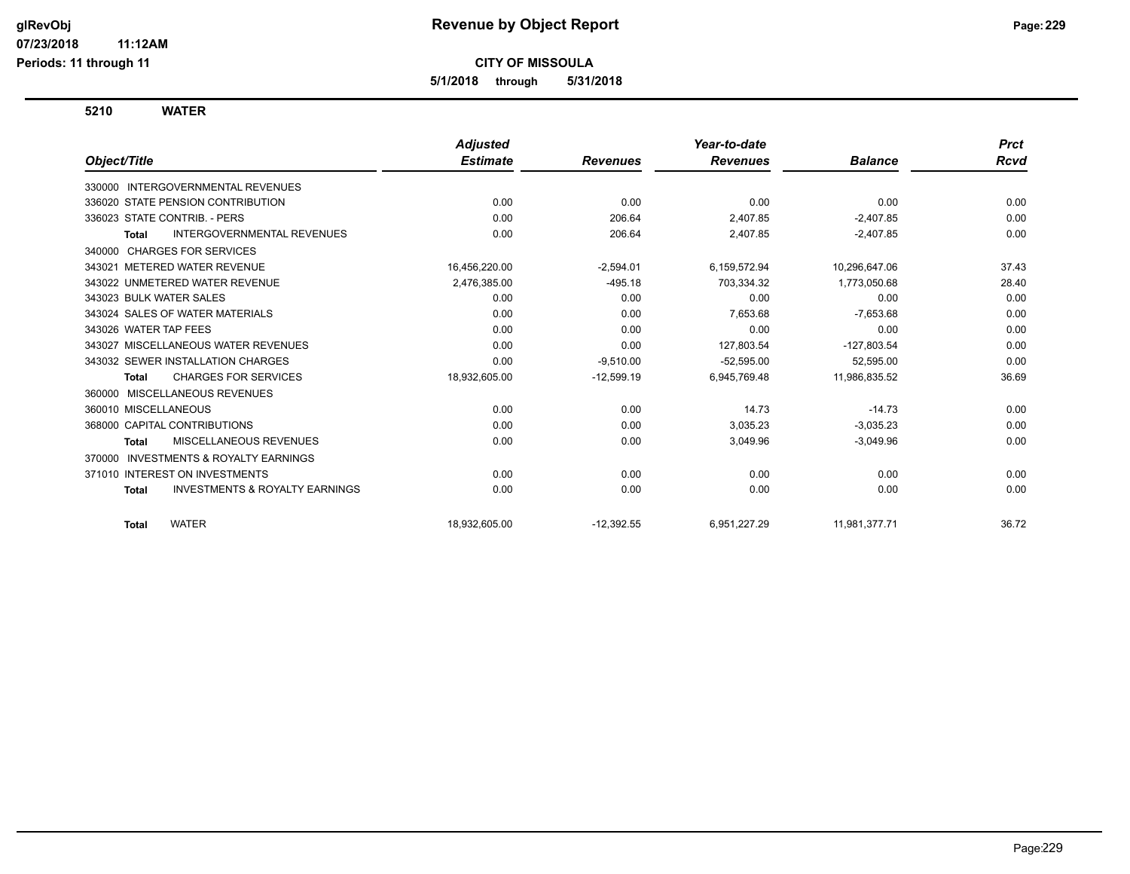**CITY OF MISSOULA**

**5/1/2018 through 5/31/2018**

**5210 WATER**

|                                                           |  | <b>Adjusted</b> |                 | Year-to-date    |                | <b>Prct</b> |
|-----------------------------------------------------------|--|-----------------|-----------------|-----------------|----------------|-------------|
| Object/Title                                              |  | <b>Estimate</b> | <b>Revenues</b> | <b>Revenues</b> | <b>Balance</b> | Rcvd        |
| <b>INTERGOVERNMENTAL REVENUES</b><br>330000               |  |                 |                 |                 |                |             |
| 336020 STATE PENSION CONTRIBUTION                         |  | 0.00            | 0.00            | 0.00            | 0.00           | 0.00        |
| 336023 STATE CONTRIB. - PERS                              |  | 0.00            | 206.64          | 2,407.85        | $-2,407.85$    | 0.00        |
| <b>INTERGOVERNMENTAL REVENUES</b><br><b>Total</b>         |  | 0.00            | 206.64          | 2,407.85        | $-2,407.85$    | 0.00        |
| <b>CHARGES FOR SERVICES</b><br>340000                     |  |                 |                 |                 |                |             |
| 343021 METERED WATER REVENUE                              |  | 16,456,220.00   | $-2,594.01$     | 6,159,572.94    | 10,296,647.06  | 37.43       |
| 343022 UNMETERED WATER REVENUE                            |  | 2,476,385.00    | $-495.18$       | 703,334.32      | 1,773,050.68   | 28.40       |
| 343023 BULK WATER SALES                                   |  | 0.00            | 0.00            | 0.00            | 0.00           | 0.00        |
| 343024 SALES OF WATER MATERIALS                           |  | 0.00            | 0.00            | 7,653.68        | $-7,653.68$    | 0.00        |
| 343026 WATER TAP FEES                                     |  | 0.00            | 0.00            | 0.00            | 0.00           | 0.00        |
| 343027 MISCELLANEOUS WATER REVENUES                       |  | 0.00            | 0.00            | 127,803.54      | $-127,803.54$  | 0.00        |
| 343032 SEWER INSTALLATION CHARGES                         |  | 0.00            | $-9,510.00$     | $-52,595.00$    | 52,595.00      | 0.00        |
| <b>CHARGES FOR SERVICES</b><br><b>Total</b>               |  | 18,932,605.00   | $-12,599.19$    | 6,945,769.48    | 11,986,835.52  | 36.69       |
| 360000 MISCELLANEOUS REVENUES                             |  |                 |                 |                 |                |             |
| 360010 MISCELLANEOUS                                      |  | 0.00            | 0.00            | 14.73           | $-14.73$       | 0.00        |
| 368000 CAPITAL CONTRIBUTIONS                              |  | 0.00            | 0.00            | 3,035.23        | $-3,035.23$    | 0.00        |
| <b>MISCELLANEOUS REVENUES</b><br><b>Total</b>             |  | 0.00            | 0.00            | 3,049.96        | $-3,049.96$    | 0.00        |
| INVESTMENTS & ROYALTY EARNINGS<br>370000                  |  |                 |                 |                 |                |             |
| 371010 INTEREST ON INVESTMENTS                            |  | 0.00            | 0.00            | 0.00            | 0.00           | 0.00        |
| <b>INVESTMENTS &amp; ROYALTY EARNINGS</b><br><b>Total</b> |  | 0.00            | 0.00            | 0.00            | 0.00           | 0.00        |
| <b>WATER</b><br><b>Total</b>                              |  | 18.932.605.00   | $-12.392.55$    | 6,951,227.29    | 11,981,377.71  | 36.72       |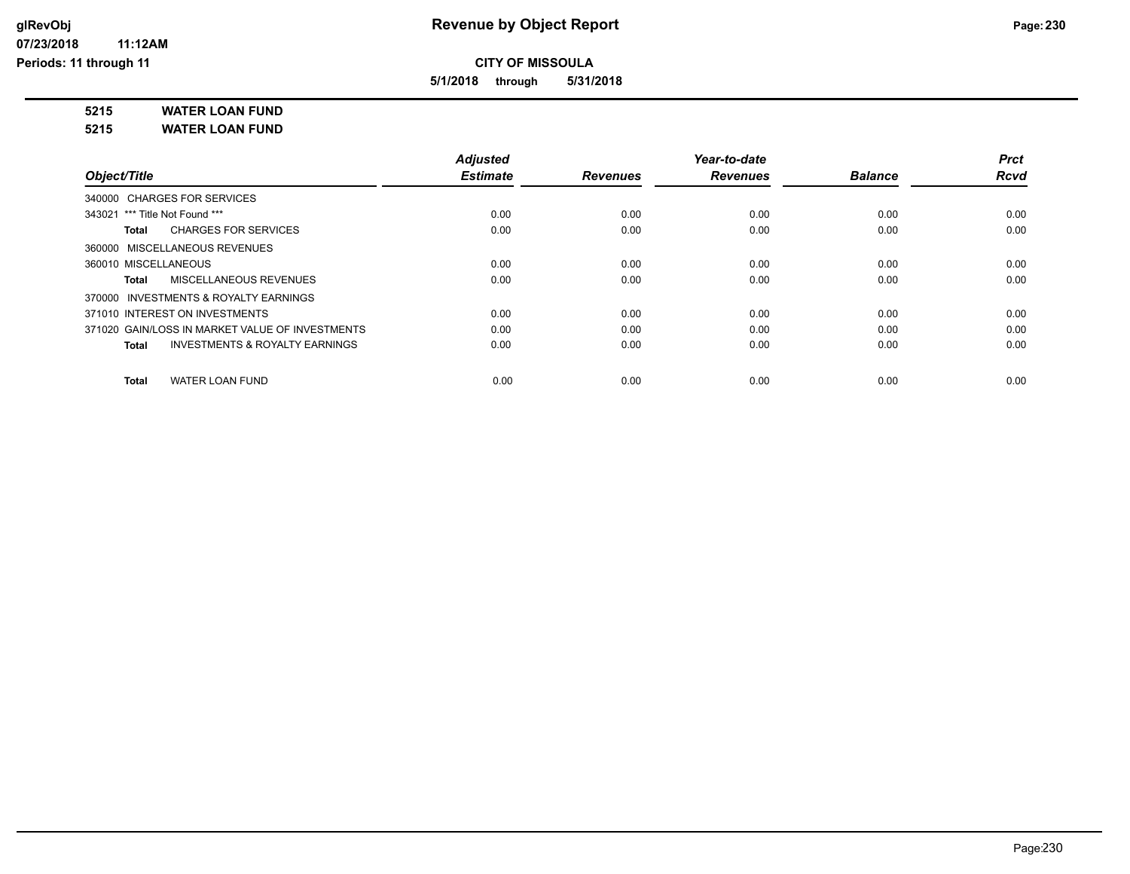**5/1/2018 through 5/31/2018**

**5215 WATER LOAN FUND**

**5215 WATER LOAN FUND**

|                                                 | <b>Adjusted</b> |                 | Year-to-date    |                | <b>Prct</b> |
|-------------------------------------------------|-----------------|-----------------|-----------------|----------------|-------------|
| Object/Title                                    | <b>Estimate</b> | <b>Revenues</b> | <b>Revenues</b> | <b>Balance</b> | <b>Rcvd</b> |
| 340000 CHARGES FOR SERVICES                     |                 |                 |                 |                |             |
| 343021 *** Title Not Found ***                  | 0.00            | 0.00            | 0.00            | 0.00           | 0.00        |
| <b>CHARGES FOR SERVICES</b><br>Total            | 0.00            | 0.00            | 0.00            | 0.00           | 0.00        |
| 360000 MISCELLANEOUS REVENUES                   |                 |                 |                 |                |             |
| 360010 MISCELLANEOUS                            | 0.00            | 0.00            | 0.00            | 0.00           | 0.00        |
| <b>MISCELLANEOUS REVENUES</b><br>Total          | 0.00            | 0.00            | 0.00            | 0.00           | 0.00        |
| 370000 INVESTMENTS & ROYALTY EARNINGS           |                 |                 |                 |                |             |
| 371010 INTEREST ON INVESTMENTS                  | 0.00            | 0.00            | 0.00            | 0.00           | 0.00        |
| 371020 GAIN/LOSS IN MARKET VALUE OF INVESTMENTS | 0.00            | 0.00            | 0.00            | 0.00           | 0.00        |
| INVESTMENTS & ROYALTY EARNINGS<br>Total         | 0.00            | 0.00            | 0.00            | 0.00           | 0.00        |
| <b>WATER LOAN FUND</b><br>Total                 | 0.00            | 0.00            | 0.00            | 0.00           | 0.00        |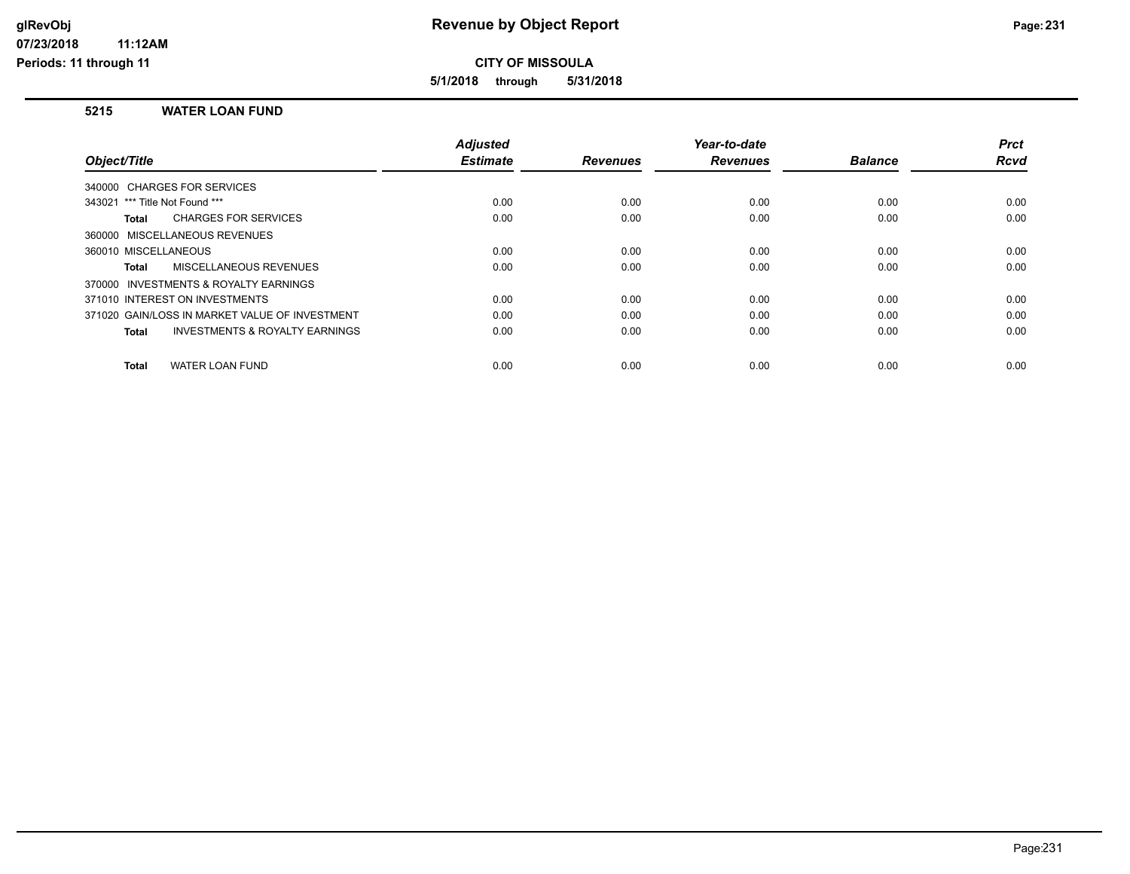**5/1/2018 through 5/31/2018**

#### **5215 WATER LOAN FUND**

|                                                           | <b>Adjusted</b> |                 | Year-to-date    |                | <b>Prct</b> |
|-----------------------------------------------------------|-----------------|-----------------|-----------------|----------------|-------------|
| Object/Title                                              | <b>Estimate</b> | <b>Revenues</b> | <b>Revenues</b> | <b>Balance</b> | <b>Rcvd</b> |
| 340000 CHARGES FOR SERVICES                               |                 |                 |                 |                |             |
| 343021 *** Title Not Found ***                            | 0.00            | 0.00            | 0.00            | 0.00           | 0.00        |
| <b>CHARGES FOR SERVICES</b><br>Total                      | 0.00            | 0.00            | 0.00            | 0.00           | 0.00        |
| 360000 MISCELLANEOUS REVENUES                             |                 |                 |                 |                |             |
| 360010 MISCELLANEOUS                                      | 0.00            | 0.00            | 0.00            | 0.00           | 0.00        |
| MISCELLANEOUS REVENUES<br>Total                           | 0.00            | 0.00            | 0.00            | 0.00           | 0.00        |
| 370000 INVESTMENTS & ROYALTY EARNINGS                     |                 |                 |                 |                |             |
| 371010 INTEREST ON INVESTMENTS                            | 0.00            | 0.00            | 0.00            | 0.00           | 0.00        |
| 371020 GAIN/LOSS IN MARKET VALUE OF INVESTMENT            | 0.00            | 0.00            | 0.00            | 0.00           | 0.00        |
| <b>INVESTMENTS &amp; ROYALTY EARNINGS</b><br><b>Total</b> | 0.00            | 0.00            | 0.00            | 0.00           | 0.00        |
|                                                           |                 |                 |                 |                |             |
| <b>WATER LOAN FUND</b><br><b>Total</b>                    | 0.00            | 0.00            | 0.00            | 0.00           | 0.00        |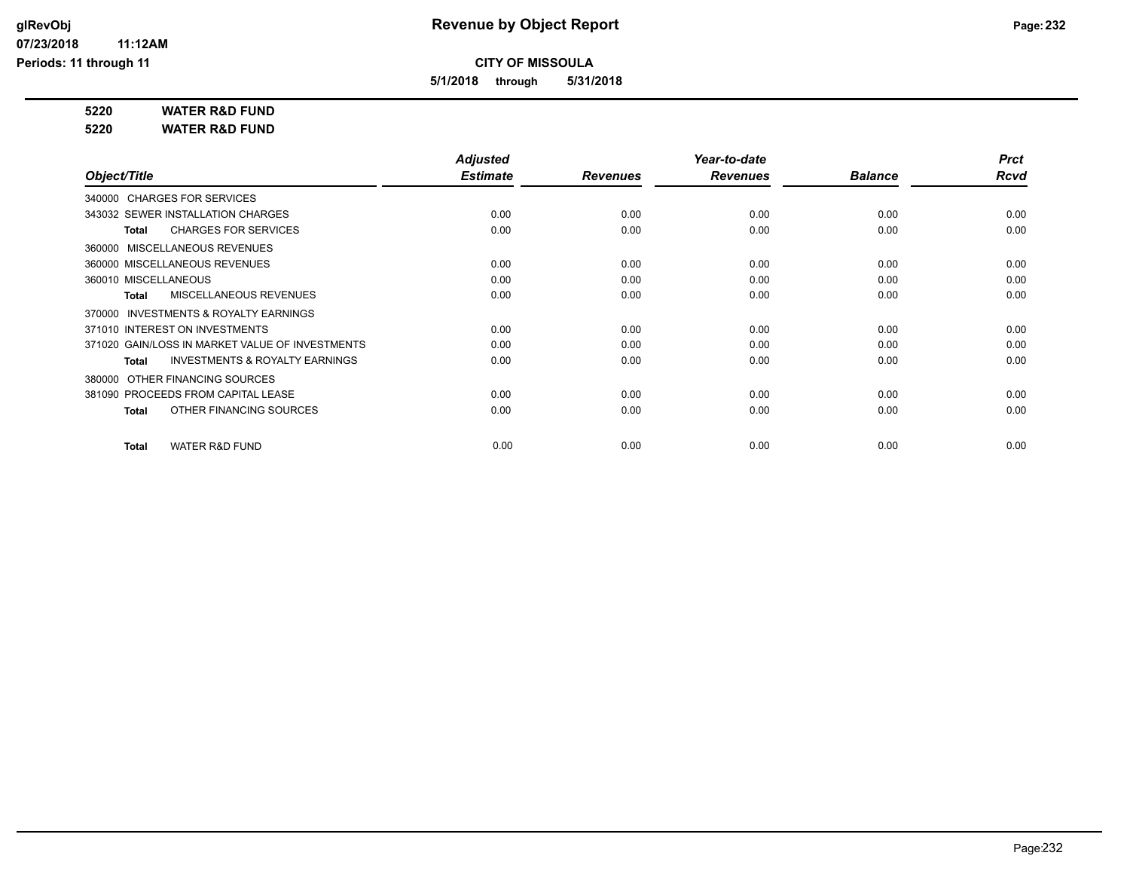**5/1/2018 through 5/31/2018**

**5220 WATER R&D FUND**

**5220 WATER R&D FUND**

|                                                    | <b>Adjusted</b> |                 | Year-to-date    |                | <b>Prct</b> |
|----------------------------------------------------|-----------------|-----------------|-----------------|----------------|-------------|
| Object/Title                                       | <b>Estimate</b> | <b>Revenues</b> | <b>Revenues</b> | <b>Balance</b> | <b>Rcvd</b> |
| 340000 CHARGES FOR SERVICES                        |                 |                 |                 |                |             |
| 343032 SEWER INSTALLATION CHARGES                  | 0.00            | 0.00            | 0.00            | 0.00           | 0.00        |
| <b>CHARGES FOR SERVICES</b><br>Total               | 0.00            | 0.00            | 0.00            | 0.00           | 0.00        |
| 360000 MISCELLANEOUS REVENUES                      |                 |                 |                 |                |             |
| 360000 MISCELLANEOUS REVENUES                      | 0.00            | 0.00            | 0.00            | 0.00           | 0.00        |
| 360010 MISCELLANEOUS                               | 0.00            | 0.00            | 0.00            | 0.00           | 0.00        |
| MISCELLANEOUS REVENUES<br>Total                    | 0.00            | 0.00            | 0.00            | 0.00           | 0.00        |
| 370000 INVESTMENTS & ROYALTY EARNINGS              |                 |                 |                 |                |             |
| 371010 INTEREST ON INVESTMENTS                     | 0.00            | 0.00            | 0.00            | 0.00           | 0.00        |
| 371020 GAIN/LOSS IN MARKET VALUE OF INVESTMENTS    | 0.00            | 0.00            | 0.00            | 0.00           | 0.00        |
| <b>INVESTMENTS &amp; ROYALTY EARNINGS</b><br>Total | 0.00            | 0.00            | 0.00            | 0.00           | 0.00        |
| 380000 OTHER FINANCING SOURCES                     |                 |                 |                 |                |             |
| 381090 PROCEEDS FROM CAPITAL LEASE                 | 0.00            | 0.00            | 0.00            | 0.00           | 0.00        |
| OTHER FINANCING SOURCES<br>Total                   | 0.00            | 0.00            | 0.00            | 0.00           | 0.00        |
| <b>WATER R&amp;D FUND</b><br>Total                 | 0.00            | 0.00            | 0.00            | 0.00           | 0.00        |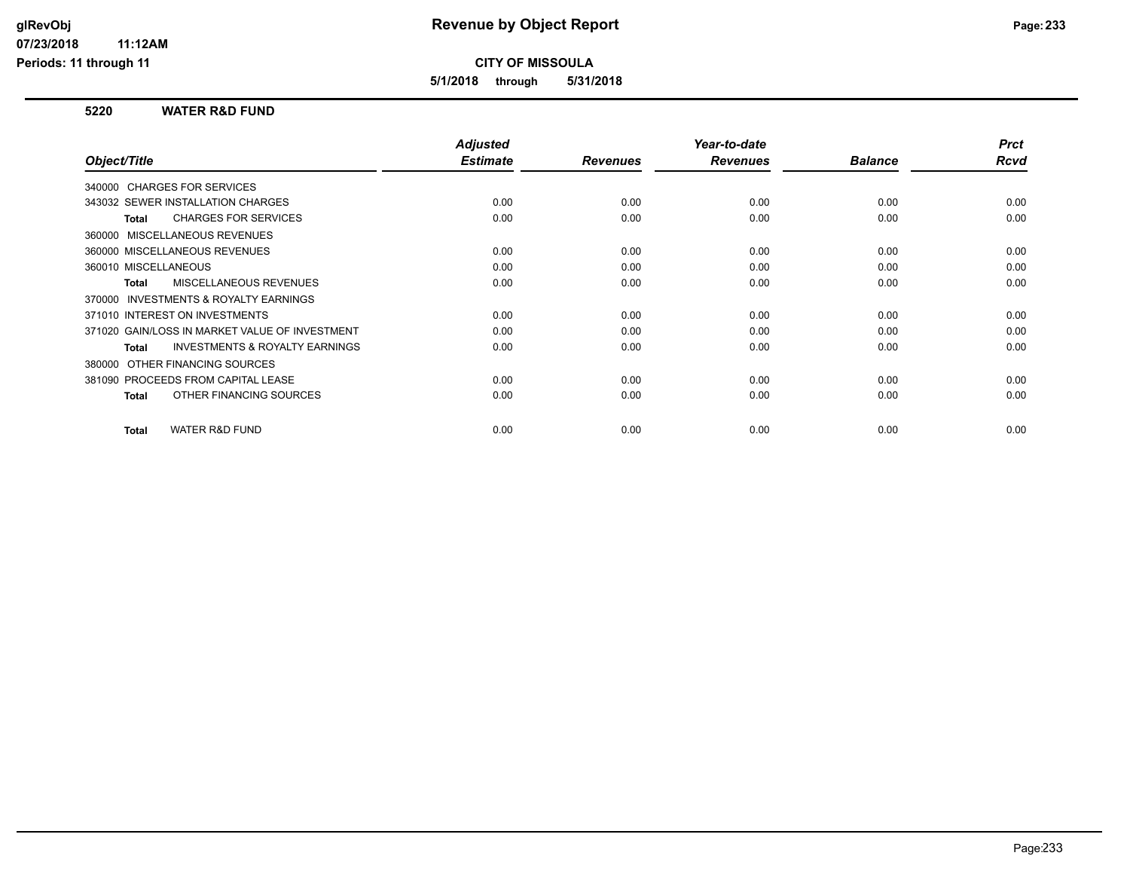**CITY OF MISSOULA**

**5/1/2018 through 5/31/2018**

#### **5220 WATER R&D FUND**

|                                                           | <b>Adjusted</b> |                 | Year-to-date    |                | <b>Prct</b> |
|-----------------------------------------------------------|-----------------|-----------------|-----------------|----------------|-------------|
| Object/Title                                              | <b>Estimate</b> | <b>Revenues</b> | <b>Revenues</b> | <b>Balance</b> | Rcvd        |
| 340000 CHARGES FOR SERVICES                               |                 |                 |                 |                |             |
| 343032 SEWER INSTALLATION CHARGES                         | 0.00            | 0.00            | 0.00            | 0.00           | 0.00        |
| <b>CHARGES FOR SERVICES</b><br><b>Total</b>               | 0.00            | 0.00            | 0.00            | 0.00           | 0.00        |
| 360000 MISCELLANEOUS REVENUES                             |                 |                 |                 |                |             |
| 360000 MISCELLANEOUS REVENUES                             | 0.00            | 0.00            | 0.00            | 0.00           | 0.00        |
| 360010 MISCELLANEOUS                                      | 0.00            | 0.00            | 0.00            | 0.00           | 0.00        |
| MISCELLANEOUS REVENUES<br><b>Total</b>                    | 0.00            | 0.00            | 0.00            | 0.00           | 0.00        |
| 370000 INVESTMENTS & ROYALTY EARNINGS                     |                 |                 |                 |                |             |
| 371010 INTEREST ON INVESTMENTS                            | 0.00            | 0.00            | 0.00            | 0.00           | 0.00        |
| 371020 GAIN/LOSS IN MARKET VALUE OF INVESTMENT            | 0.00            | 0.00            | 0.00            | 0.00           | 0.00        |
| <b>INVESTMENTS &amp; ROYALTY EARNINGS</b><br><b>Total</b> | 0.00            | 0.00            | 0.00            | 0.00           | 0.00        |
| 380000 OTHER FINANCING SOURCES                            |                 |                 |                 |                |             |
| 381090 PROCEEDS FROM CAPITAL LEASE                        | 0.00            | 0.00            | 0.00            | 0.00           | 0.00        |
| OTHER FINANCING SOURCES<br><b>Total</b>                   | 0.00            | 0.00            | 0.00            | 0.00           | 0.00        |
|                                                           |                 |                 |                 |                |             |
| <b>WATER R&amp;D FUND</b><br><b>Total</b>                 | 0.00            | 0.00            | 0.00            | 0.00           | 0.00        |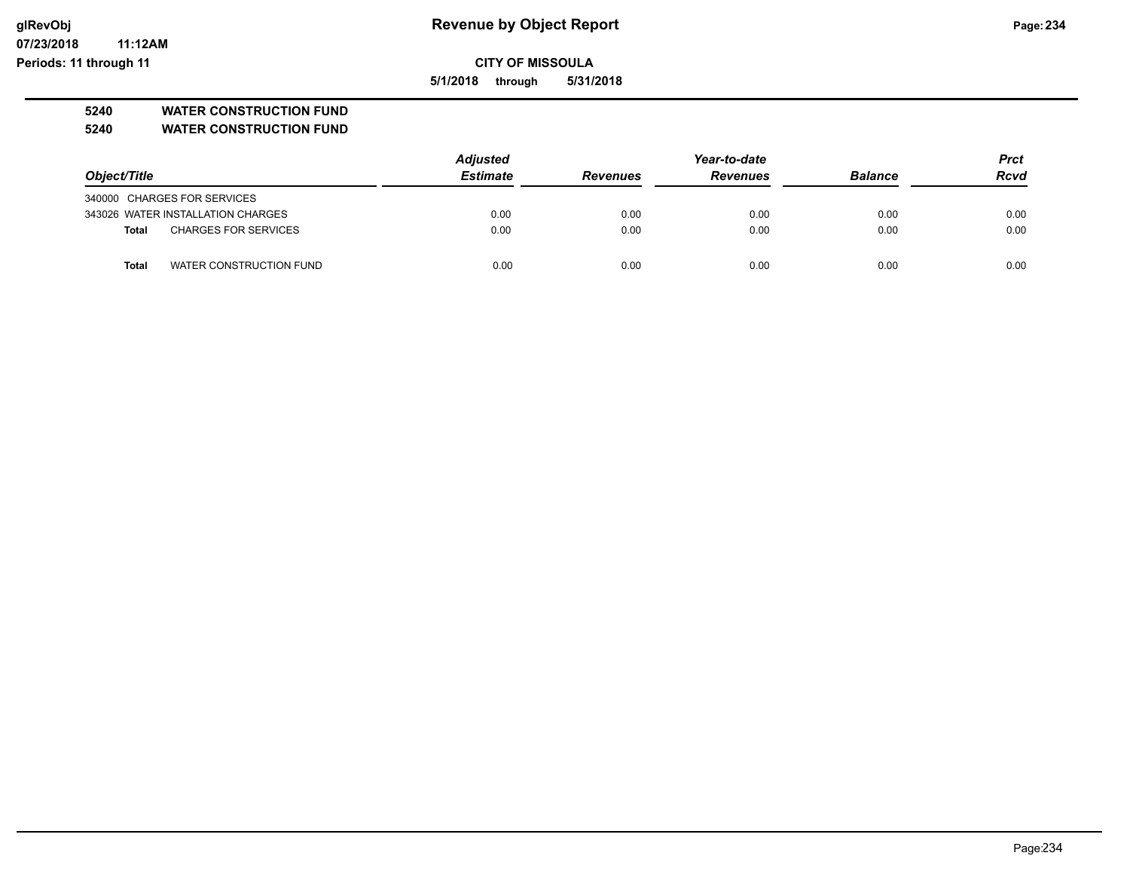**07/23/2018 11:12AM Periods: 11 through 11**

**CITY OF MISSOULA**

**5/1/2018 through 5/31/2018**

# **5240 WATER CONSTRUCTION FUND**

**5240 WATER CONSTRUCTION FUND**

|                                             | <b>Adjusted</b> |                 | Year-to-date    |                | Prct        |
|---------------------------------------------|-----------------|-----------------|-----------------|----------------|-------------|
| Object/Title                                | <b>Estimate</b> | <b>Revenues</b> | <b>Revenues</b> | <b>Balance</b> | <b>Rcvd</b> |
| 340000 CHARGES FOR SERVICES                 |                 |                 |                 |                |             |
| 343026 WATER INSTALLATION CHARGES           | 0.00            | 0.00            | 0.00            | 0.00           | 0.00        |
| <b>CHARGES FOR SERVICES</b><br><b>Total</b> | 0.00            | 0.00            | 0.00            | 0.00           | 0.00        |
| WATER CONSTRUCTION FUND<br><b>Total</b>     | 0.00            | 0.00            | 0.00            | 0.00           | 0.00        |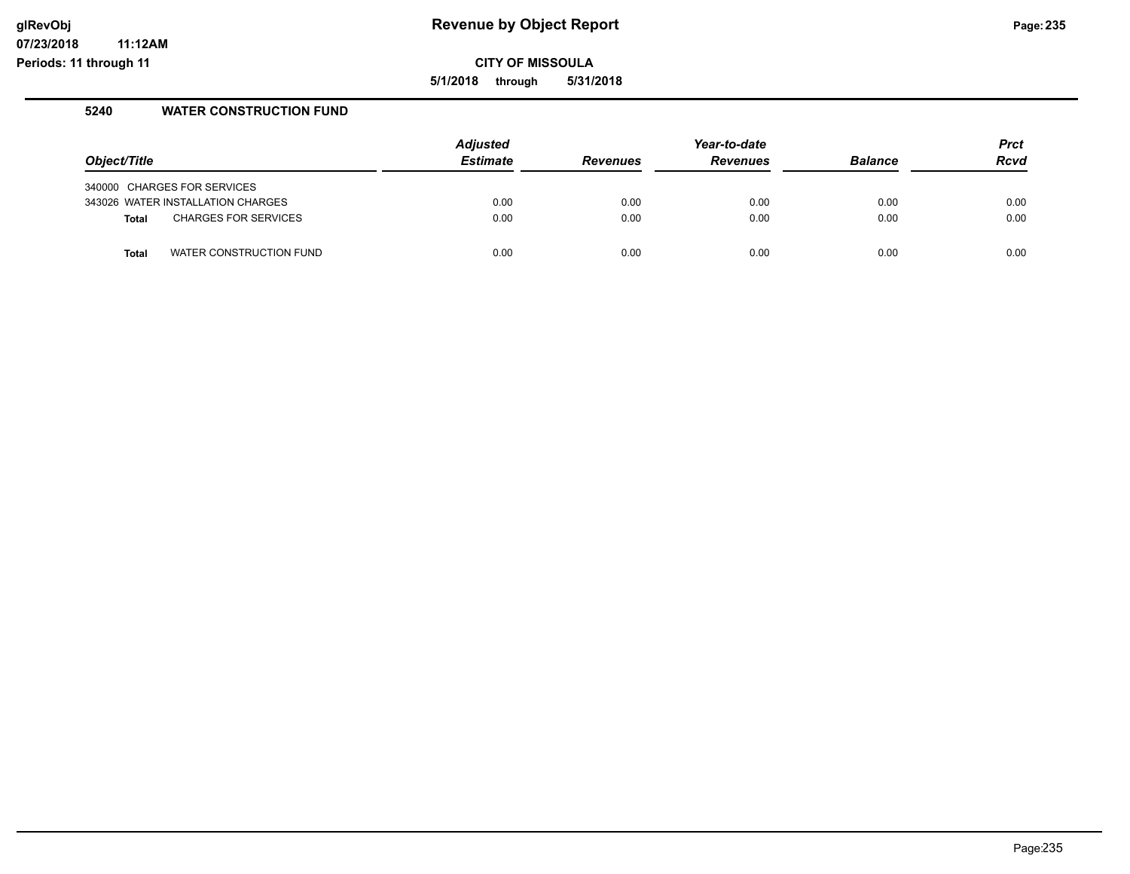**CITY OF MISSOULA**

**5/1/2018 through 5/31/2018**

#### **5240 WATER CONSTRUCTION FUND**

| Object/Title |                                   | <b>Adjusted</b><br><b>Estimate</b> | <b>Revenues</b> | Year-to-date<br><b>Revenues</b> | <b>Balance</b> | <b>Prct</b><br><b>Rcvd</b> |
|--------------|-----------------------------------|------------------------------------|-----------------|---------------------------------|----------------|----------------------------|
|              | 340000 CHARGES FOR SERVICES       |                                    |                 |                                 |                |                            |
|              | 343026 WATER INSTALLATION CHARGES | 0.00                               | 0.00            | 0.00                            | 0.00           | 0.00                       |
| <b>Total</b> | <b>CHARGES FOR SERVICES</b>       | 0.00                               | 0.00            | 0.00                            | 0.00           | 0.00                       |
| Total        | WATER CONSTRUCTION FUND           | 0.00                               | 0.00            | 0.00                            | 0.00           | 0.00                       |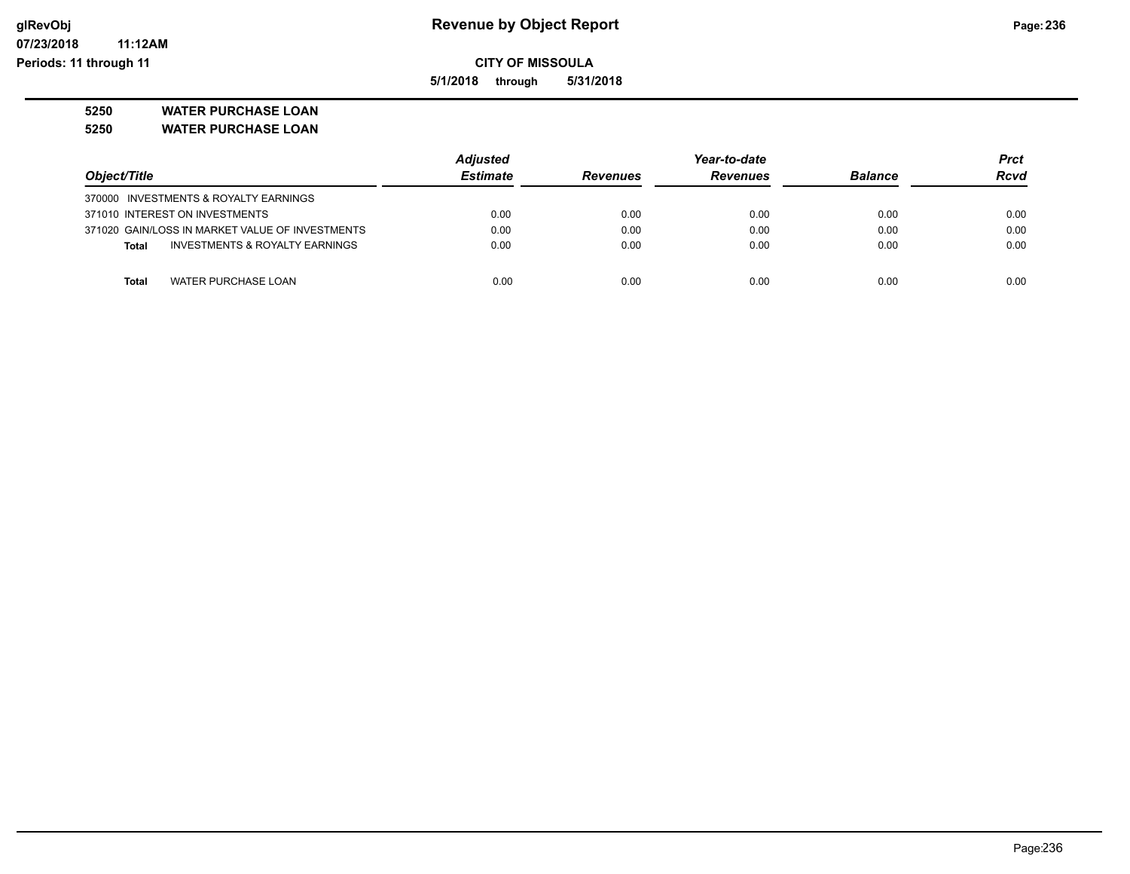**5/1/2018 through 5/31/2018**

## **5250 WATER PURCHASE LOAN**

**5250 WATER PURCHASE LOAN**

|                                                           | <b>Adjusted</b> |                 | Year-to-date    |                | Prct |
|-----------------------------------------------------------|-----------------|-----------------|-----------------|----------------|------|
| Object/Title                                              | <b>Estimate</b> | <b>Revenues</b> | <b>Revenues</b> | <b>Balance</b> | Rcvd |
| 370000 INVESTMENTS & ROYALTY EARNINGS                     |                 |                 |                 |                |      |
| 371010 INTEREST ON INVESTMENTS                            | 0.00            | 0.00            | 0.00            | 0.00           | 0.00 |
| 371020 GAIN/LOSS IN MARKET VALUE OF INVESTMENTS           | 0.00            | 0.00            | 0.00            | 0.00           | 0.00 |
| <b>INVESTMENTS &amp; ROYALTY EARNINGS</b><br><b>Total</b> | 0.00            | 0.00            | 0.00            | 0.00           | 0.00 |
|                                                           |                 |                 |                 |                |      |
| <b>Total</b><br>WATER PURCHASE LOAN                       | 0.00            | 0.00            | 0.00            | 0.00           | 0.00 |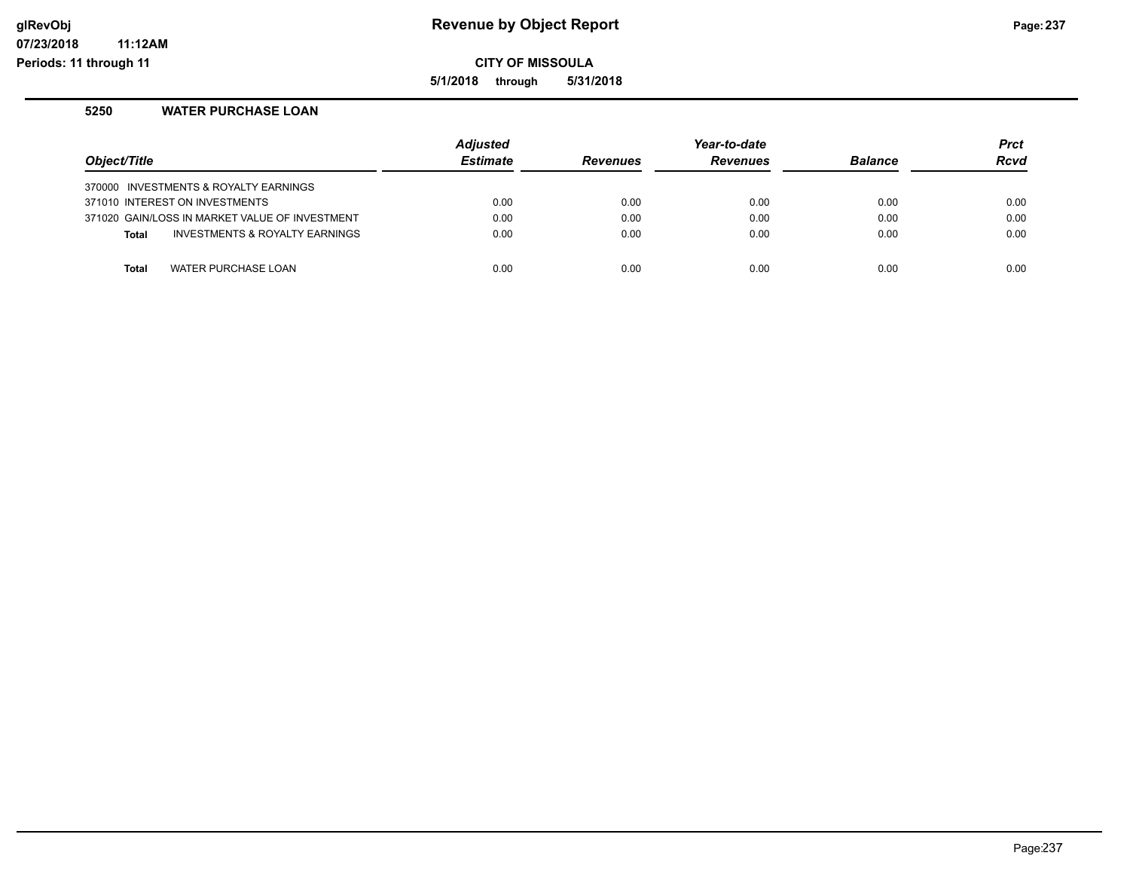**CITY OF MISSOULA**

**5/1/2018 through 5/31/2018**

#### **5250 WATER PURCHASE LOAN**

| Object/Title |                                                | Adjusted<br><b>Estimate</b> | <b>Revenues</b> | Year-to-date<br><b>Revenues</b> | <b>Balance</b> | <b>Prct</b><br><b>Rcvd</b> |
|--------------|------------------------------------------------|-----------------------------|-----------------|---------------------------------|----------------|----------------------------|
|              | 370000 INVESTMENTS & ROYALTY EARNINGS          |                             |                 |                                 |                |                            |
|              | 371010 INTEREST ON INVESTMENTS                 | 0.00                        | 0.00            | 0.00                            | 0.00           | 0.00                       |
|              | 371020 GAIN/LOSS IN MARKET VALUE OF INVESTMENT | 0.00                        | 0.00            | 0.00                            | 0.00           | 0.00                       |
| <b>Total</b> | <b>INVESTMENTS &amp; ROYALTY EARNINGS</b>      | 0.00                        | 0.00            | 0.00                            | 0.00           | 0.00                       |
|              |                                                |                             |                 |                                 |                |                            |
| <b>Total</b> | WATER PURCHASE LOAN                            | 0.00                        | 0.00            | 0.00                            | 0.00           | 0.00                       |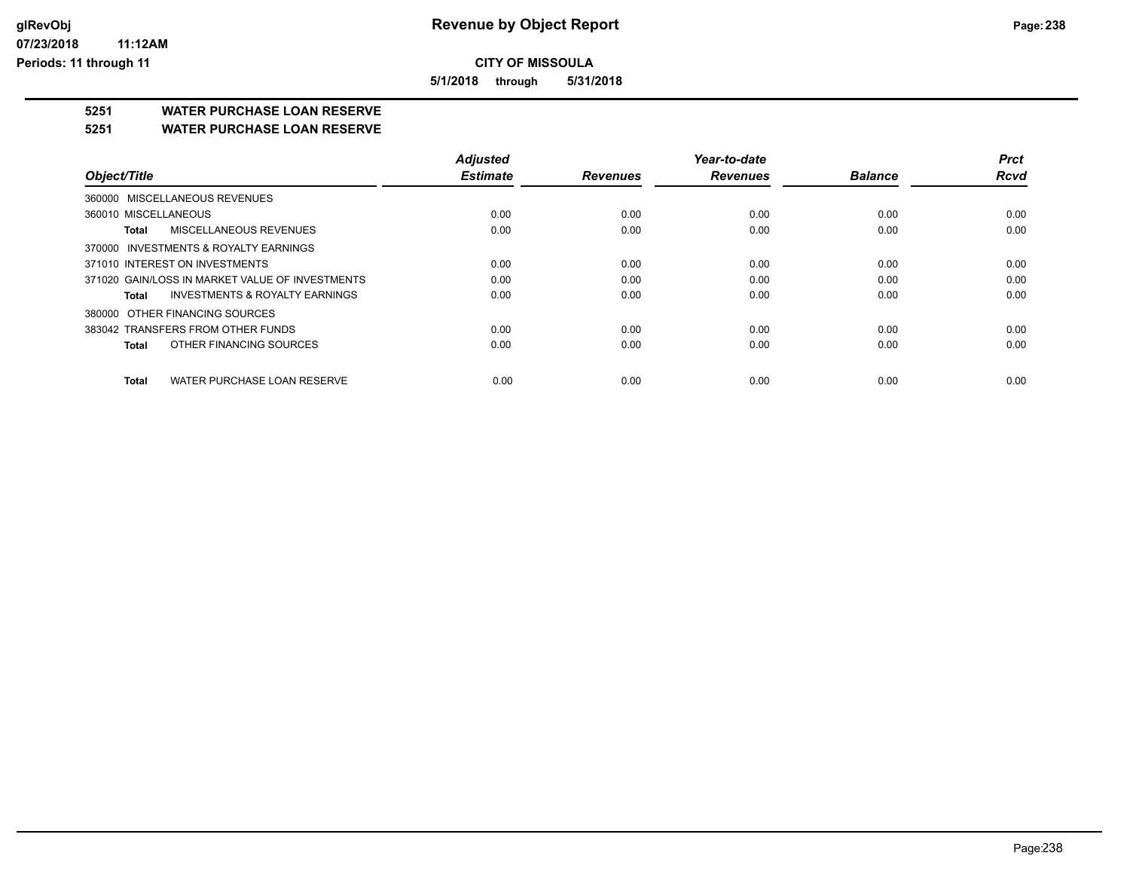**5/1/2018 through 5/31/2018**

# **5251 WATER PURCHASE LOAN RESERVE**

## **5251 WATER PURCHASE LOAN RESERVE**

|                                                    | <b>Adjusted</b> |                 | Year-to-date    |                | <b>Prct</b> |
|----------------------------------------------------|-----------------|-----------------|-----------------|----------------|-------------|
| Object/Title                                       | <b>Estimate</b> | <b>Revenues</b> | <b>Revenues</b> | <b>Balance</b> | <b>Rcvd</b> |
| 360000 MISCELLANEOUS REVENUES                      |                 |                 |                 |                |             |
| 360010 MISCELLANEOUS                               | 0.00            | 0.00            | 0.00            | 0.00           | 0.00        |
| MISCELLANEOUS REVENUES<br>Total                    | 0.00            | 0.00            | 0.00            | 0.00           | 0.00        |
| 370000 INVESTMENTS & ROYALTY EARNINGS              |                 |                 |                 |                |             |
| 371010 INTEREST ON INVESTMENTS                     | 0.00            | 0.00            | 0.00            | 0.00           | 0.00        |
| 371020 GAIN/LOSS IN MARKET VALUE OF INVESTMENTS    | 0.00            | 0.00            | 0.00            | 0.00           | 0.00        |
| <b>INVESTMENTS &amp; ROYALTY EARNINGS</b><br>Total | 0.00            | 0.00            | 0.00            | 0.00           | 0.00        |
| 380000 OTHER FINANCING SOURCES                     |                 |                 |                 |                |             |
| 383042 TRANSFERS FROM OTHER FUNDS                  | 0.00            | 0.00            | 0.00            | 0.00           | 0.00        |
| OTHER FINANCING SOURCES<br>Total                   | 0.00            | 0.00            | 0.00            | 0.00           | 0.00        |
| WATER PURCHASE LOAN RESERVE<br>Total               | 0.00            | 0.00            | 0.00            | 0.00           | 0.00        |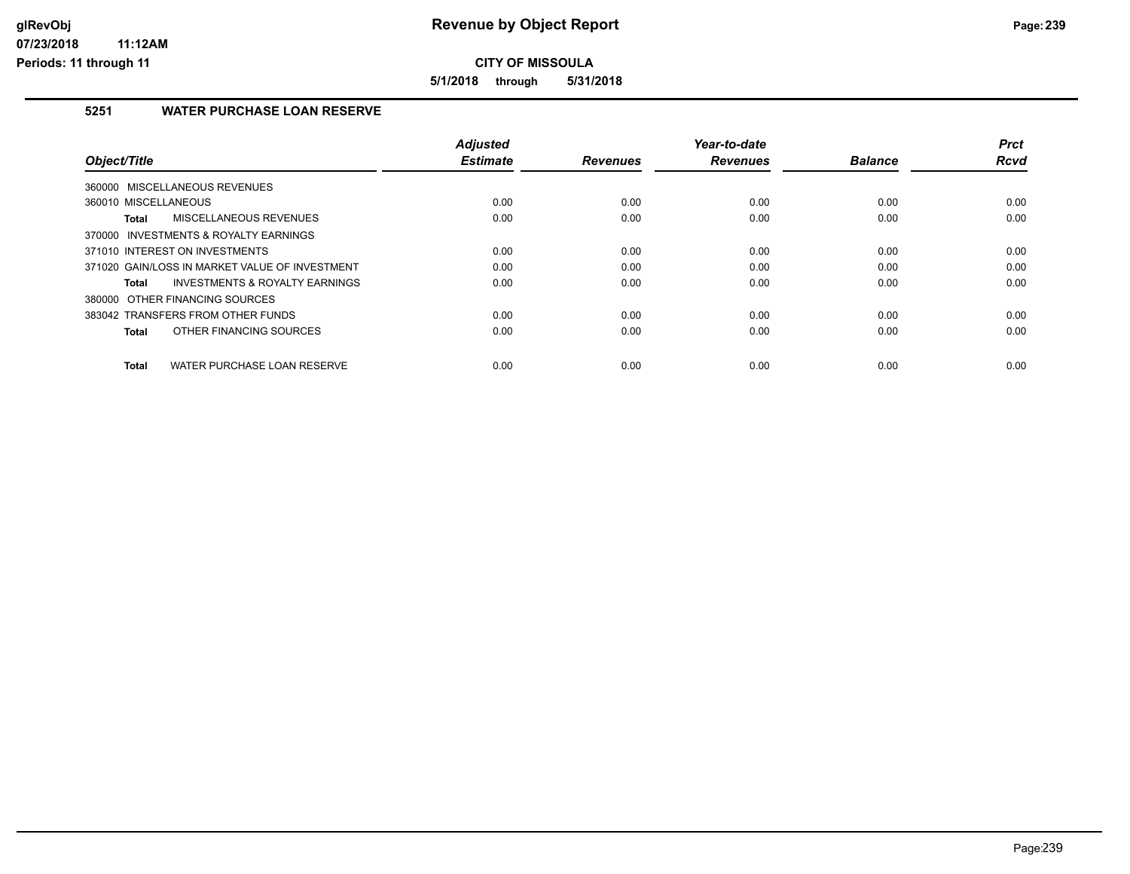**5/1/2018 through 5/31/2018**

## **5251 WATER PURCHASE LOAN RESERVE**

| Object/Title                                       | <b>Adjusted</b><br><b>Estimate</b> | <b>Revenues</b> | Year-to-date<br><b>Revenues</b> | <b>Balance</b> | <b>Prct</b><br><b>Rcvd</b> |
|----------------------------------------------------|------------------------------------|-----------------|---------------------------------|----------------|----------------------------|
| MISCELLANEOUS REVENUES<br>360000                   |                                    |                 |                                 |                |                            |
| 360010 MISCELLANEOUS                               | 0.00                               | 0.00            | 0.00                            | 0.00           | 0.00                       |
| <b>MISCELLANEOUS REVENUES</b><br>Total             | 0.00                               | 0.00            | 0.00                            | 0.00           | 0.00                       |
| 370000 INVESTMENTS & ROYALTY EARNINGS              |                                    |                 |                                 |                |                            |
| 371010 INTEREST ON INVESTMENTS                     | 0.00                               | 0.00            | 0.00                            | 0.00           | 0.00                       |
| 371020 GAIN/LOSS IN MARKET VALUE OF INVESTMENT     | 0.00                               | 0.00            | 0.00                            | 0.00           | 0.00                       |
| <b>INVESTMENTS &amp; ROYALTY EARNINGS</b><br>Total | 0.00                               | 0.00            | 0.00                            | 0.00           | 0.00                       |
| 380000 OTHER FINANCING SOURCES                     |                                    |                 |                                 |                |                            |
| 383042 TRANSFERS FROM OTHER FUNDS                  | 0.00                               | 0.00            | 0.00                            | 0.00           | 0.00                       |
| OTHER FINANCING SOURCES<br>Total                   | 0.00                               | 0.00            | 0.00                            | 0.00           | 0.00                       |
| WATER PURCHASE LOAN RESERVE<br><b>Total</b>        | 0.00                               | 0.00            | 0.00                            | 0.00           | 0.00                       |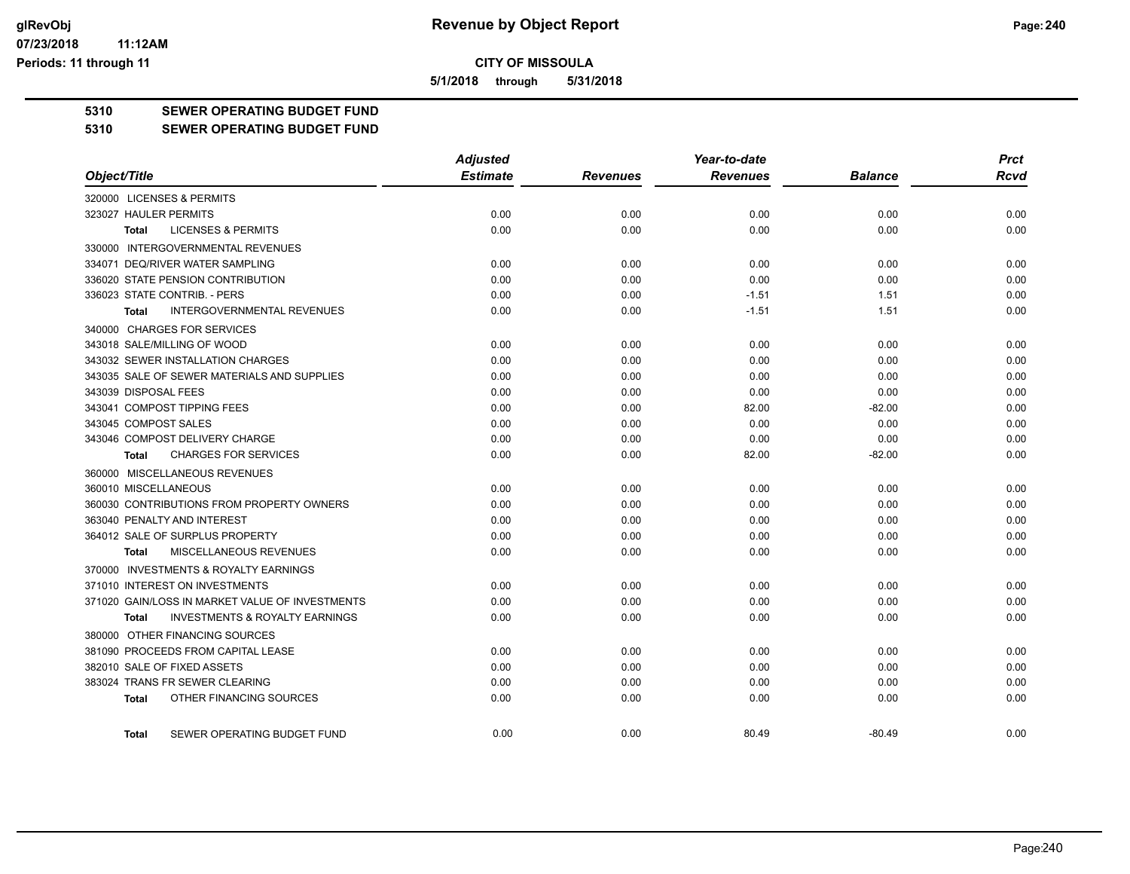**5/1/2018 through 5/31/2018**

**5310 SEWER OPERATING BUDGET FUND**

## **5310 SEWER OPERATING BUDGET FUND**

|                                                           | <b>Adjusted</b> |                 | Year-to-date    |                | <b>Prct</b><br><b>Rcvd</b> |
|-----------------------------------------------------------|-----------------|-----------------|-----------------|----------------|----------------------------|
| Object/Title                                              | <b>Estimate</b> | <b>Revenues</b> | <b>Revenues</b> | <b>Balance</b> |                            |
| 320000 LICENSES & PERMITS                                 |                 |                 |                 |                |                            |
| 323027 HAULER PERMITS                                     | 0.00            | 0.00            | 0.00            | 0.00           | 0.00                       |
| <b>LICENSES &amp; PERMITS</b><br>Total                    | 0.00            | 0.00            | 0.00            | 0.00           | 0.00                       |
| 330000 INTERGOVERNMENTAL REVENUES                         |                 |                 |                 |                |                            |
| 334071 DEQ/RIVER WATER SAMPLING                           | 0.00            | 0.00            | 0.00            | 0.00           | 0.00                       |
| 336020 STATE PENSION CONTRIBUTION                         | 0.00            | 0.00            | 0.00            | 0.00           | 0.00                       |
| 336023 STATE CONTRIB. - PERS                              | 0.00            | 0.00            | $-1.51$         | 1.51           | 0.00                       |
| <b>INTERGOVERNMENTAL REVENUES</b><br>Total                | 0.00            | 0.00            | $-1.51$         | 1.51           | 0.00                       |
| 340000 CHARGES FOR SERVICES                               |                 |                 |                 |                |                            |
| 343018 SALE/MILLING OF WOOD                               | 0.00            | 0.00            | 0.00            | 0.00           | 0.00                       |
| 343032 SEWER INSTALLATION CHARGES                         | 0.00            | 0.00            | 0.00            | 0.00           | 0.00                       |
| 343035 SALE OF SEWER MATERIALS AND SUPPLIES               | 0.00            | 0.00            | 0.00            | 0.00           | 0.00                       |
| 343039 DISPOSAL FEES                                      | 0.00            | 0.00            | 0.00            | 0.00           | 0.00                       |
| 343041 COMPOST TIPPING FEES                               | 0.00            | 0.00            | 82.00           | $-82.00$       | 0.00                       |
| 343045 COMPOST SALES                                      | 0.00            | 0.00            | 0.00            | 0.00           | 0.00                       |
| 343046 COMPOST DELIVERY CHARGE                            | 0.00            | 0.00            | 0.00            | 0.00           | 0.00                       |
| <b>CHARGES FOR SERVICES</b><br><b>Total</b>               | 0.00            | 0.00            | 82.00           | $-82.00$       | 0.00                       |
| 360000 MISCELLANEOUS REVENUES                             |                 |                 |                 |                |                            |
| 360010 MISCELLANEOUS                                      | 0.00            | 0.00            | 0.00            | 0.00           | 0.00                       |
| 360030 CONTRIBUTIONS FROM PROPERTY OWNERS                 | 0.00            | 0.00            | 0.00            | 0.00           | 0.00                       |
| 363040 PENALTY AND INTEREST                               | 0.00            | 0.00            | 0.00            | 0.00           | 0.00                       |
| 364012 SALE OF SURPLUS PROPERTY                           | 0.00            | 0.00            | 0.00            | 0.00           | 0.00                       |
| MISCELLANEOUS REVENUES<br><b>Total</b>                    | 0.00            | 0.00            | 0.00            | 0.00           | 0.00                       |
| 370000 INVESTMENTS & ROYALTY EARNINGS                     |                 |                 |                 |                |                            |
| 371010 INTEREST ON INVESTMENTS                            | 0.00            | 0.00            | 0.00            | 0.00           | 0.00                       |
| 371020 GAIN/LOSS IN MARKET VALUE OF INVESTMENTS           | 0.00            | 0.00            | 0.00            | 0.00           | 0.00                       |
| <b>INVESTMENTS &amp; ROYALTY EARNINGS</b><br><b>Total</b> | 0.00            | 0.00            | 0.00            | 0.00           | 0.00                       |
| 380000 OTHER FINANCING SOURCES                            |                 |                 |                 |                |                            |
| 381090 PROCEEDS FROM CAPITAL LEASE                        | 0.00            | 0.00            | 0.00            | 0.00           | 0.00                       |
| 382010 SALE OF FIXED ASSETS                               | 0.00            | 0.00            | 0.00            | 0.00           | 0.00                       |
| 383024 TRANS FR SEWER CLEARING                            | 0.00            | 0.00            | 0.00            | 0.00           | 0.00                       |
| OTHER FINANCING SOURCES<br><b>Total</b>                   | 0.00            | 0.00            | 0.00            | 0.00           | 0.00                       |
| SEWER OPERATING BUDGET FUND<br>Total                      | 0.00            | 0.00            | 80.49           | $-80.49$       | 0.00                       |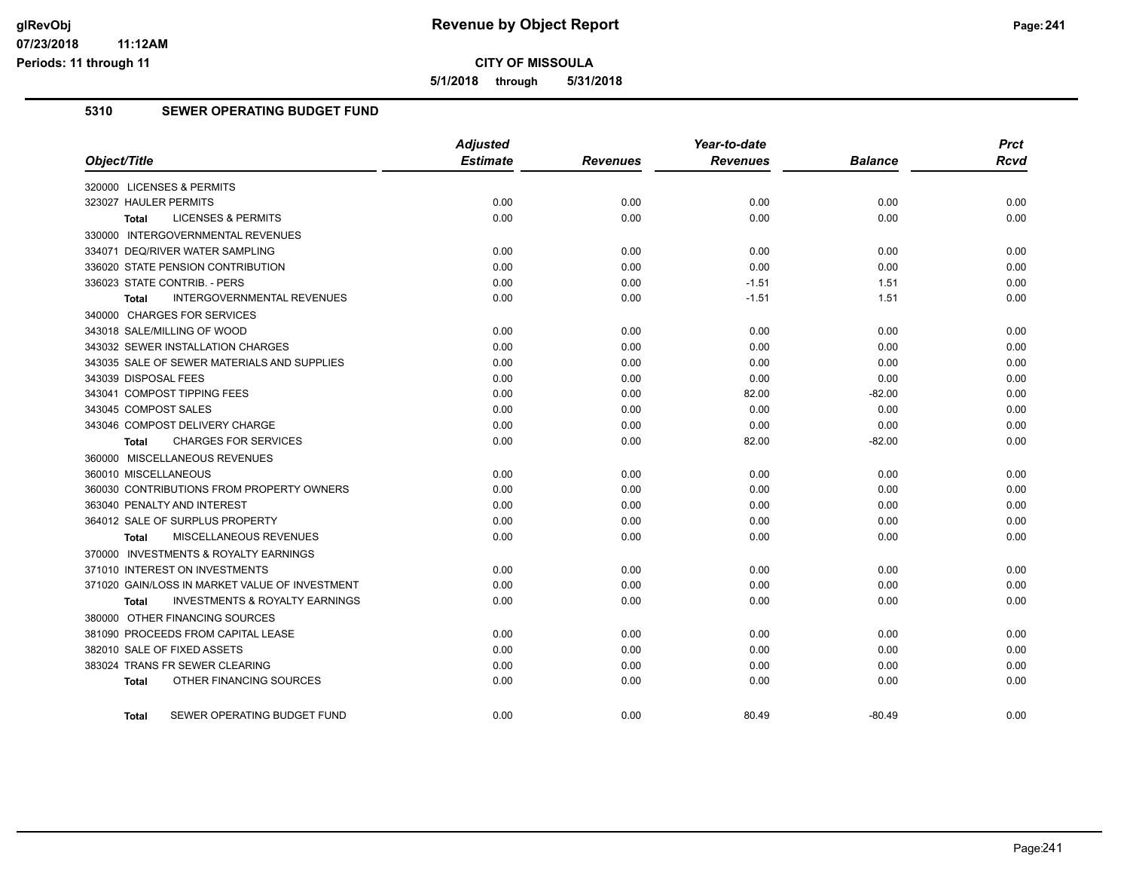**CITY OF MISSOULA**

**5/1/2018 through 5/31/2018**

## **5310 SEWER OPERATING BUDGET FUND**

|                                                    | <b>Adjusted</b> |                 | Year-to-date    | <b>Prct</b>    |      |
|----------------------------------------------------|-----------------|-----------------|-----------------|----------------|------|
| Object/Title                                       | <b>Estimate</b> | <b>Revenues</b> | <b>Revenues</b> | <b>Balance</b> | Rcvd |
| 320000 LICENSES & PERMITS                          |                 |                 |                 |                |      |
| 323027 HAULER PERMITS                              | 0.00            | 0.00            | 0.00            | 0.00           | 0.00 |
| <b>LICENSES &amp; PERMITS</b><br><b>Total</b>      | 0.00            | 0.00            | 0.00            | 0.00           | 0.00 |
| 330000 INTERGOVERNMENTAL REVENUES                  |                 |                 |                 |                |      |
| 334071 DEQ/RIVER WATER SAMPLING                    | 0.00            | 0.00            | 0.00            | 0.00           | 0.00 |
| 336020 STATE PENSION CONTRIBUTION                  | 0.00            | 0.00            | 0.00            | 0.00           | 0.00 |
| 336023 STATE CONTRIB. - PERS                       | 0.00            | 0.00            | $-1.51$         | 1.51           | 0.00 |
| <b>INTERGOVERNMENTAL REVENUES</b><br><b>Total</b>  | 0.00            | 0.00            | $-1.51$         | 1.51           | 0.00 |
| 340000 CHARGES FOR SERVICES                        |                 |                 |                 |                |      |
| 343018 SALE/MILLING OF WOOD                        | 0.00            | 0.00            | 0.00            | 0.00           | 0.00 |
| 343032 SEWER INSTALLATION CHARGES                  | 0.00            | 0.00            | 0.00            | 0.00           | 0.00 |
| 343035 SALE OF SEWER MATERIALS AND SUPPLIES        | 0.00            | 0.00            | 0.00            | 0.00           | 0.00 |
| 343039 DISPOSAL FEES                               | 0.00            | 0.00            | 0.00            | 0.00           | 0.00 |
| 343041 COMPOST TIPPING FEES                        | 0.00            | 0.00            | 82.00           | $-82.00$       | 0.00 |
| 343045 COMPOST SALES                               | 0.00            | 0.00            | 0.00            | 0.00           | 0.00 |
| 343046 COMPOST DELIVERY CHARGE                     | 0.00            | 0.00            | 0.00            | 0.00           | 0.00 |
| <b>CHARGES FOR SERVICES</b><br><b>Total</b>        | 0.00            | 0.00            | 82.00           | $-82.00$       | 0.00 |
| 360000 MISCELLANEOUS REVENUES                      |                 |                 |                 |                |      |
| 360010 MISCELLANEOUS                               | 0.00            | 0.00            | 0.00            | 0.00           | 0.00 |
| 360030 CONTRIBUTIONS FROM PROPERTY OWNERS          | 0.00            | 0.00            | 0.00            | 0.00           | 0.00 |
| 363040 PENALTY AND INTEREST                        | 0.00            | 0.00            | 0.00            | 0.00           | 0.00 |
| 364012 SALE OF SURPLUS PROPERTY                    | 0.00            | 0.00            | 0.00            | 0.00           | 0.00 |
| <b>MISCELLANEOUS REVENUES</b><br>Total             | 0.00            | 0.00            | 0.00            | 0.00           | 0.00 |
| 370000 INVESTMENTS & ROYALTY EARNINGS              |                 |                 |                 |                |      |
| 371010 INTEREST ON INVESTMENTS                     | 0.00            | 0.00            | 0.00            | 0.00           | 0.00 |
| 371020 GAIN/LOSS IN MARKET VALUE OF INVESTMENT     | 0.00            | 0.00            | 0.00            | 0.00           | 0.00 |
| <b>INVESTMENTS &amp; ROYALTY EARNINGS</b><br>Total | 0.00            | 0.00            | 0.00            | 0.00           | 0.00 |
| 380000 OTHER FINANCING SOURCES                     |                 |                 |                 |                |      |
| 381090 PROCEEDS FROM CAPITAL LEASE                 | 0.00            | 0.00            | 0.00            | 0.00           | 0.00 |
| 382010 SALE OF FIXED ASSETS                        | 0.00            | 0.00            | 0.00            | 0.00           | 0.00 |
| 383024 TRANS FR SEWER CLEARING                     | 0.00            | 0.00            | 0.00            | 0.00           | 0.00 |
| OTHER FINANCING SOURCES<br>Total                   | 0.00            | 0.00            | 0.00            | 0.00           | 0.00 |
| SEWER OPERATING BUDGET FUND<br>Total               | 0.00            | 0.00            | 80.49           | $-80.49$       | 0.00 |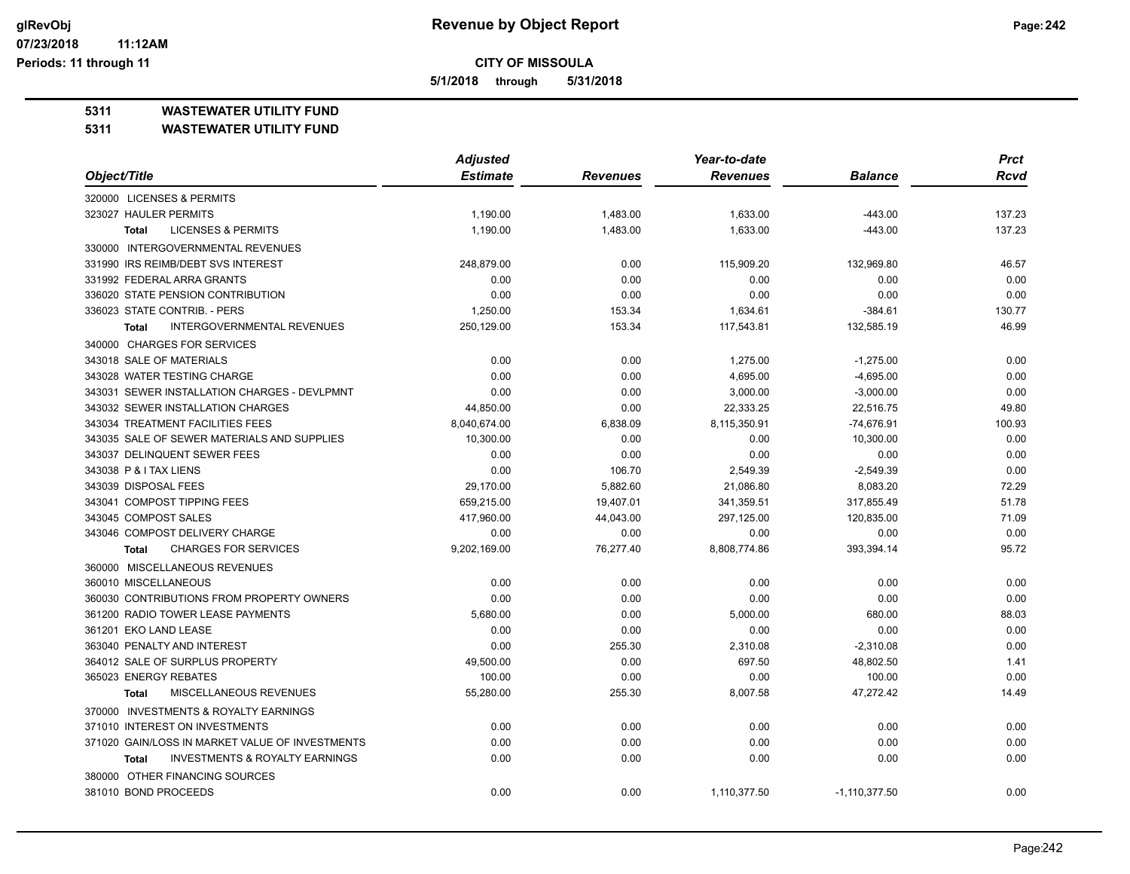**5/1/2018 through 5/31/2018**

**5311 WASTEWATER UTILITY FUND**

#### **5311 WASTEWATER UTILITY FUND**

| Object/Title                                              | <b>Adjusted</b> |                 | Year-to-date    |                 | <b>Prct</b> |
|-----------------------------------------------------------|-----------------|-----------------|-----------------|-----------------|-------------|
|                                                           | <b>Estimate</b> | <b>Revenues</b> | <b>Revenues</b> | <b>Balance</b>  | <b>Rcvd</b> |
| 320000 LICENSES & PERMITS                                 |                 |                 |                 |                 |             |
| 323027 HAULER PERMITS                                     | 1,190.00        | 1,483.00        | 1,633.00        | $-443.00$       | 137.23      |
| <b>LICENSES &amp; PERMITS</b><br><b>Total</b>             | 1.190.00        | 1.483.00        | 1.633.00        | $-443.00$       | 137.23      |
| 330000 INTERGOVERNMENTAL REVENUES                         |                 |                 |                 |                 |             |
| 331990 IRS REIMB/DEBT SVS INTEREST                        | 248,879.00      | 0.00            | 115,909.20      | 132,969.80      | 46.57       |
| 331992 FEDERAL ARRA GRANTS                                | 0.00            | 0.00            | 0.00            | 0.00            | 0.00        |
| 336020 STATE PENSION CONTRIBUTION                         | 0.00            | 0.00            | 0.00            | 0.00            | 0.00        |
| 336023 STATE CONTRIB. - PERS                              | 1,250.00        | 153.34          | 1,634.61        | $-384.61$       | 130.77      |
| <b>INTERGOVERNMENTAL REVENUES</b><br>Total                | 250,129.00      | 153.34          | 117,543.81      | 132,585.19      | 46.99       |
| 340000 CHARGES FOR SERVICES                               |                 |                 |                 |                 |             |
| 343018 SALE OF MATERIALS                                  | 0.00            | 0.00            | 1,275.00        | $-1,275.00$     | 0.00        |
| 343028 WATER TESTING CHARGE                               | 0.00            | 0.00            | 4,695.00        | $-4,695.00$     | 0.00        |
| 343031 SEWER INSTALLATION CHARGES - DEVLPMNT              | 0.00            | 0.00            | 3,000.00        | $-3,000.00$     | 0.00        |
| 343032 SEWER INSTALLATION CHARGES                         | 44,850.00       | 0.00            | 22,333.25       | 22,516.75       | 49.80       |
| 343034 TREATMENT FACILITIES FEES                          | 8,040,674.00    | 6,838.09        | 8,115,350.91    | $-74,676.91$    | 100.93      |
| 343035 SALE OF SEWER MATERIALS AND SUPPLIES               | 10,300.00       | 0.00            | 0.00            | 10,300.00       | 0.00        |
| 343037 DELINQUENT SEWER FEES                              | 0.00            | 0.00            | 0.00            | 0.00            | 0.00        |
| 343038 P & I TAX LIENS                                    | 0.00            | 106.70          | 2,549.39        | $-2,549.39$     | 0.00        |
| 343039 DISPOSAL FEES                                      | 29,170.00       | 5,882.60        | 21,086.80       | 8,083.20        | 72.29       |
| 343041 COMPOST TIPPING FEES                               | 659,215.00      | 19,407.01       | 341,359.51      | 317,855.49      | 51.78       |
| 343045 COMPOST SALES                                      | 417,960.00      | 44,043.00       | 297,125.00      | 120,835.00      | 71.09       |
| 343046 COMPOST DELIVERY CHARGE                            | 0.00            | 0.00            | 0.00            | 0.00            | 0.00        |
| <b>CHARGES FOR SERVICES</b><br><b>Total</b>               | 9,202,169.00    | 76,277.40       | 8,808,774.86    | 393,394.14      | 95.72       |
| 360000 MISCELLANEOUS REVENUES                             |                 |                 |                 |                 |             |
| 360010 MISCELLANEOUS                                      | 0.00            | 0.00            | 0.00            | 0.00            | 0.00        |
| 360030 CONTRIBUTIONS FROM PROPERTY OWNERS                 | 0.00            | 0.00            | 0.00            | 0.00            | 0.00        |
| 361200 RADIO TOWER LEASE PAYMENTS                         | 5,680.00        | 0.00            | 5,000.00        | 680.00          | 88.03       |
| 361201 EKO LAND LEASE                                     | 0.00            | 0.00            | 0.00            | 0.00            | 0.00        |
| 363040 PENALTY AND INTEREST                               | 0.00            | 255.30          | 2,310.08        | $-2,310.08$     | 0.00        |
| 364012 SALE OF SURPLUS PROPERTY                           | 49,500.00       | 0.00            | 697.50          | 48,802.50       | 1.41        |
| 365023 ENERGY REBATES                                     | 100.00          | 0.00            | 0.00            | 100.00          | 0.00        |
| MISCELLANEOUS REVENUES<br><b>Total</b>                    | 55,280.00       | 255.30          | 8,007.58        | 47,272.42       | 14.49       |
| 370000 INVESTMENTS & ROYALTY EARNINGS                     |                 |                 |                 |                 |             |
| 371010 INTEREST ON INVESTMENTS                            | 0.00            | 0.00            | 0.00            | 0.00            | 0.00        |
| 371020 GAIN/LOSS IN MARKET VALUE OF INVESTMENTS           | 0.00            | 0.00            | 0.00            | 0.00            | 0.00        |
| <b>INVESTMENTS &amp; ROYALTY EARNINGS</b><br><b>Total</b> | 0.00            | 0.00            | 0.00            | 0.00            | 0.00        |
| 380000 OTHER FINANCING SOURCES                            |                 |                 |                 |                 |             |
| 381010 BOND PROCEEDS                                      | 0.00            | 0.00            | 1,110,377.50    | $-1,110,377.50$ | 0.00        |
|                                                           |                 |                 |                 |                 |             |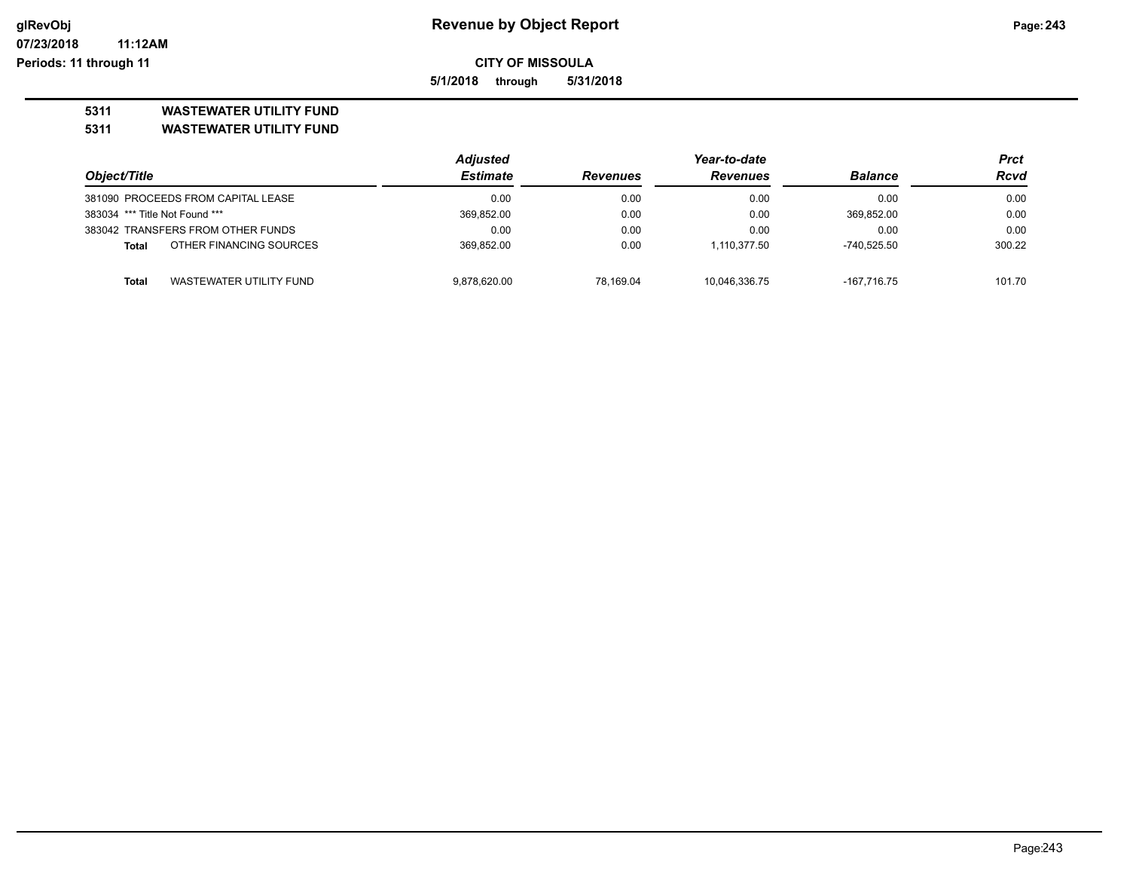**5/1/2018 through 5/31/2018**

## **5311 WASTEWATER UTILITY FUND**

### **5311 WASTEWATER UTILITY FUND**

|                                |                                    | Adjusted        |                 | Year-to-date   |               | Prct   |
|--------------------------------|------------------------------------|-----------------|-----------------|----------------|---------------|--------|
| Object/Title                   | <b>Estimate</b>                    | <b>Revenues</b> | <b>Revenues</b> | <b>Balance</b> | <b>Rcvd</b>   |        |
|                                | 381090 PROCEEDS FROM CAPITAL LEASE | 0.00            | 0.00            | 0.00           | 0.00          | 0.00   |
| 383034 *** Title Not Found *** |                                    | 369,852.00      | 0.00            | 0.00           | 369.852.00    | 0.00   |
|                                | 383042 TRANSFERS FROM OTHER FUNDS  | 0.00            | 0.00            | 0.00           | 0.00          | 0.00   |
| <b>Total</b>                   | OTHER FINANCING SOURCES            | 369.852.00      | 0.00            | 1.110.377.50   | $-740.525.50$ | 300.22 |
| <b>Total</b>                   | WASTEWATER UTILITY FUND            | 9.878.620.00    | 78.169.04       | 10.046.336.75  | $-167.716.75$ | 101.70 |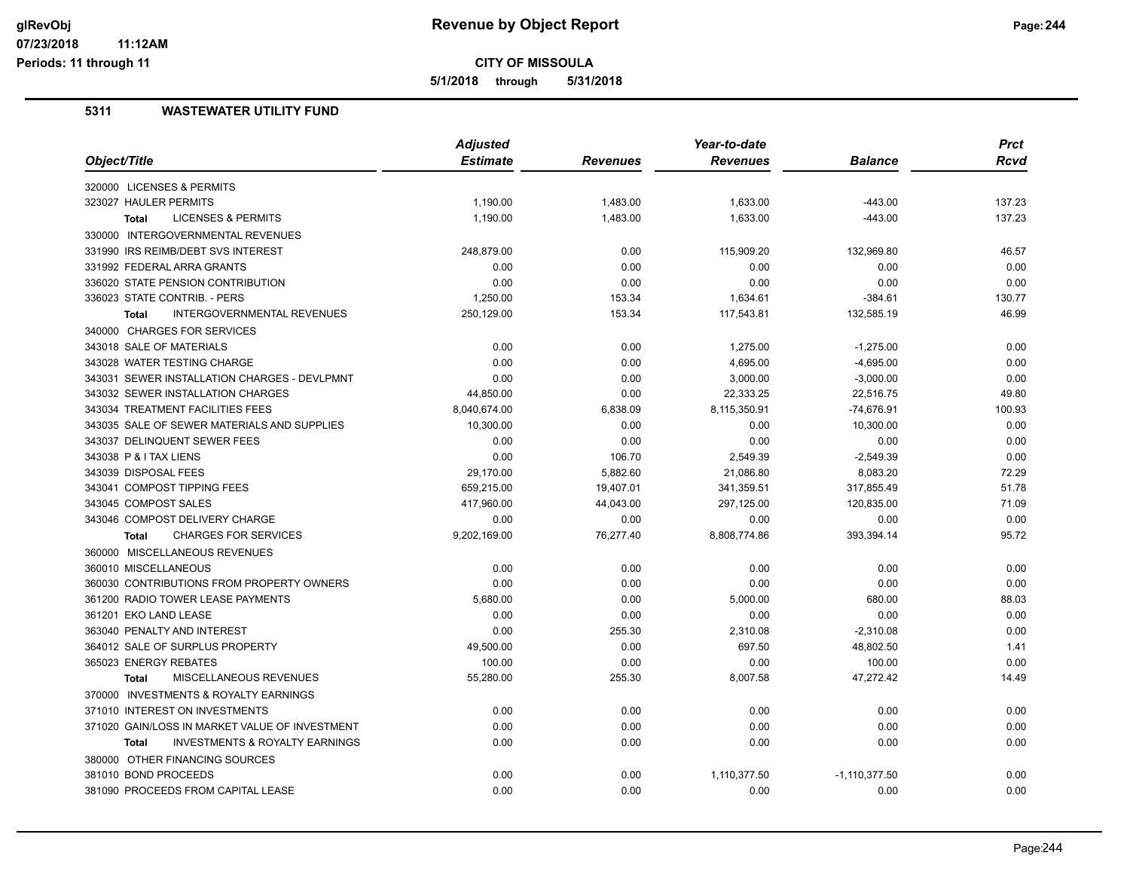**CITY OF MISSOULA**

**5/1/2018 through 5/31/2018**

## **5311 WASTEWATER UTILITY FUND**

| Object/Title                                              | <b>Adjusted</b> |                 | Year-to-date    | <b>Prct</b>     |        |
|-----------------------------------------------------------|-----------------|-----------------|-----------------|-----------------|--------|
|                                                           | <b>Estimate</b> | <b>Revenues</b> | <b>Revenues</b> | <b>Balance</b>  | Rcvd   |
| 320000 LICENSES & PERMITS                                 |                 |                 |                 |                 |        |
| 323027 HAULER PERMITS                                     | 1.190.00        | 1.483.00        | 1.633.00        | $-443.00$       | 137.23 |
| <b>LICENSES &amp; PERMITS</b><br><b>Total</b>             | 1.190.00        | 1,483.00        | 1,633.00        | $-443.00$       | 137.23 |
| 330000 INTERGOVERNMENTAL REVENUES                         |                 |                 |                 |                 |        |
| 331990 IRS REIMB/DEBT SVS INTEREST                        | 248,879.00      | 0.00            | 115,909.20      | 132,969.80      | 46.57  |
| 331992 FEDERAL ARRA GRANTS                                | 0.00            | 0.00            | 0.00            | 0.00            | 0.00   |
| 336020 STATE PENSION CONTRIBUTION                         | 0.00            | 0.00            | 0.00            | 0.00            | 0.00   |
| 336023 STATE CONTRIB. - PERS                              | 1,250.00        | 153.34          | 1,634.61        | $-384.61$       | 130.77 |
| <b>INTERGOVERNMENTAL REVENUES</b><br><b>Total</b>         | 250,129.00      | 153.34          | 117,543.81      | 132,585.19      | 46.99  |
| 340000 CHARGES FOR SERVICES                               |                 |                 |                 |                 |        |
| 343018 SALE OF MATERIALS                                  | 0.00            | 0.00            | 1,275.00        | $-1,275.00$     | 0.00   |
| 343028 WATER TESTING CHARGE                               | 0.00            | 0.00            | 4.695.00        | $-4,695.00$     | 0.00   |
| 343031 SEWER INSTALLATION CHARGES - DEVLPMNT              | 0.00            | 0.00            | 3,000.00        | $-3,000.00$     | 0.00   |
| 343032 SEWER INSTALLATION CHARGES                         | 44,850.00       | 0.00            | 22,333.25       | 22,516.75       | 49.80  |
| 343034 TREATMENT FACILITIES FEES                          | 8,040,674.00    | 6,838.09        | 8,115,350.91    | $-74,676.91$    | 100.93 |
| 343035 SALE OF SEWER MATERIALS AND SUPPLIES               | 10,300.00       | 0.00            | 0.00            | 10,300.00       | 0.00   |
| 343037 DELINQUENT SEWER FEES                              | 0.00            | 0.00            | 0.00            | 0.00            | 0.00   |
| 343038 P & I TAX LIENS                                    | 0.00            | 106.70          | 2,549.39        | $-2,549.39$     | 0.00   |
| 343039 DISPOSAL FEES                                      | 29,170.00       | 5,882.60        | 21,086.80       | 8,083.20        | 72.29  |
| 343041 COMPOST TIPPING FEES                               | 659,215.00      | 19,407.01       | 341,359.51      | 317,855.49      | 51.78  |
| 343045 COMPOST SALES                                      | 417,960.00      | 44,043.00       | 297,125.00      | 120,835.00      | 71.09  |
| 343046 COMPOST DELIVERY CHARGE                            | 0.00            | 0.00            | 0.00            | 0.00            | 0.00   |
| <b>CHARGES FOR SERVICES</b><br><b>Total</b>               | 9,202,169.00    | 76,277.40       | 8,808,774.86    | 393,394.14      | 95.72  |
| 360000 MISCELLANEOUS REVENUES                             |                 |                 |                 |                 |        |
| 360010 MISCELLANEOUS                                      | 0.00            | 0.00            | 0.00            | 0.00            | 0.00   |
| 360030 CONTRIBUTIONS FROM PROPERTY OWNERS                 | 0.00            | 0.00            | 0.00            | 0.00            | 0.00   |
| 361200 RADIO TOWER LEASE PAYMENTS                         | 5,680.00        | 0.00            | 5,000.00        | 680.00          | 88.03  |
| 361201 EKO LAND LEASE                                     | 0.00            | 0.00            | 0.00            | 0.00            | 0.00   |
| 363040 PENALTY AND INTEREST                               | 0.00            | 255.30          | 2,310.08        | $-2,310.08$     | 0.00   |
| 364012 SALE OF SURPLUS PROPERTY                           | 49,500.00       | 0.00            | 697.50          | 48,802.50       | 1.41   |
| 365023 ENERGY REBATES                                     | 100.00          | 0.00            | 0.00            | 100.00          | 0.00   |
| <b>MISCELLANEOUS REVENUES</b><br><b>Total</b>             | 55,280.00       | 255.30          | 8,007.58        | 47,272.42       | 14.49  |
| 370000 INVESTMENTS & ROYALTY EARNINGS                     |                 |                 |                 |                 |        |
| 371010 INTEREST ON INVESTMENTS                            | 0.00            | 0.00            | 0.00            | 0.00            | 0.00   |
| 371020 GAIN/LOSS IN MARKET VALUE OF INVESTMENT            | 0.00            | 0.00            | 0.00            | 0.00            | 0.00   |
| <b>INVESTMENTS &amp; ROYALTY EARNINGS</b><br><b>Total</b> | 0.00            | 0.00            | 0.00            | 0.00            | 0.00   |
| 380000 OTHER FINANCING SOURCES                            |                 |                 |                 |                 |        |
| 381010 BOND PROCEEDS                                      | 0.00            | 0.00            | 1,110,377.50    | $-1,110,377.50$ | 0.00   |
| 381090 PROCEEDS FROM CAPITAL LEASE                        | 0.00            | 0.00            | 0.00            | 0.00            | 0.00   |
|                                                           |                 |                 |                 |                 |        |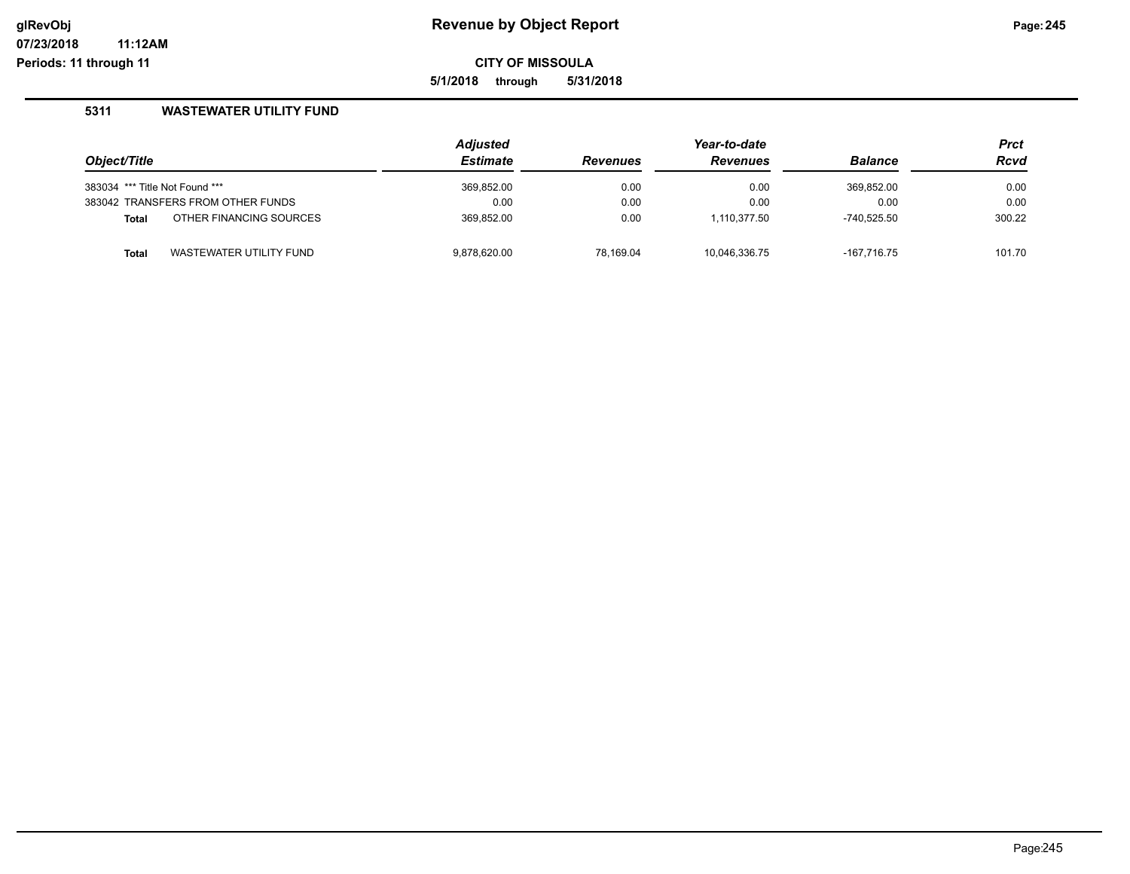**5/1/2018 through 5/31/2018**

## **5311 WASTEWATER UTILITY FUND**

|                                |                                   | <b>Adjusted</b> |                 | <b>Prct</b>    |               |        |
|--------------------------------|-----------------------------------|-----------------|-----------------|----------------|---------------|--------|
| Object/Title                   | <b>Estimate</b>                   | <b>Revenues</b> | <b>Revenues</b> | <b>Balance</b> | <b>Rcvd</b>   |        |
| 383034 *** Title Not Found *** |                                   | 369.852.00      | 0.00            | 0.00           | 369.852.00    | 0.00   |
|                                | 383042 TRANSFERS FROM OTHER FUNDS | 0.00            | 0.00            | 0.00           | 0.00          | 0.00   |
| <b>Total</b>                   | OTHER FINANCING SOURCES           | 369,852.00      | 0.00            | 1,110,377.50   | $-740.525.50$ | 300.22 |
| Total                          | WASTEWATER UTILITY FUND           | 9,878,620.00    | 78.169.04       | 10,046,336.75  | $-167.716.75$ | 101.70 |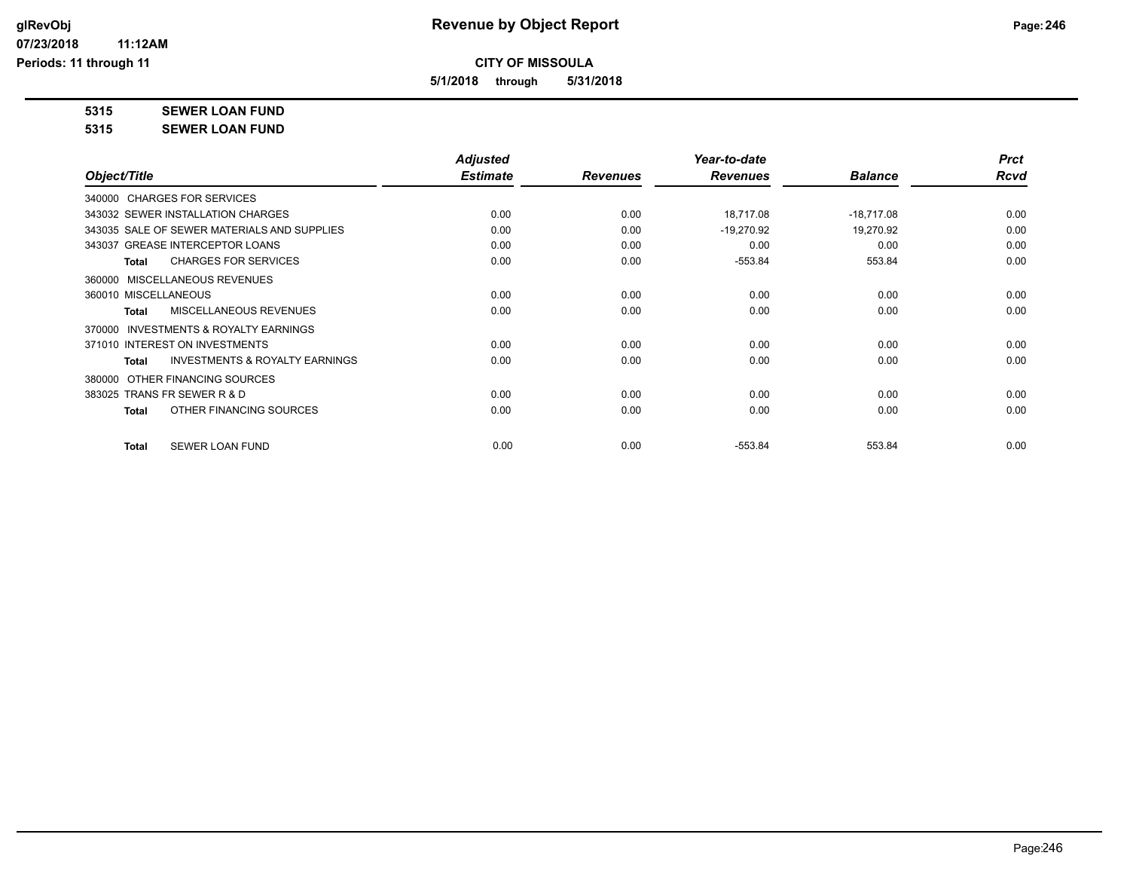**5/1/2018 through 5/31/2018**

**5315 SEWER LOAN FUND**

**5315 SEWER LOAN FUND**

|                                                    | <b>Adjusted</b> |                 | Year-to-date    |                | <b>Prct</b> |
|----------------------------------------------------|-----------------|-----------------|-----------------|----------------|-------------|
| Object/Title                                       | <b>Estimate</b> | <b>Revenues</b> | <b>Revenues</b> | <b>Balance</b> | <b>Rcvd</b> |
| 340000 CHARGES FOR SERVICES                        |                 |                 |                 |                |             |
| 343032 SEWER INSTALLATION CHARGES                  | 0.00            | 0.00            | 18,717.08       | $-18,717.08$   | 0.00        |
| 343035 SALE OF SEWER MATERIALS AND SUPPLIES        | 0.00            | 0.00            | $-19,270.92$    | 19,270.92      | 0.00        |
| 343037 GREASE INTERCEPTOR LOANS                    | 0.00            | 0.00            | 0.00            | 0.00           | 0.00        |
| <b>CHARGES FOR SERVICES</b><br>Total               | 0.00            | 0.00            | $-553.84$       | 553.84         | 0.00        |
| 360000 MISCELLANEOUS REVENUES                      |                 |                 |                 |                |             |
| 360010 MISCELLANEOUS                               | 0.00            | 0.00            | 0.00            | 0.00           | 0.00        |
| MISCELLANEOUS REVENUES<br>Total                    | 0.00            | 0.00            | 0.00            | 0.00           | 0.00        |
| 370000 INVESTMENTS & ROYALTY EARNINGS              |                 |                 |                 |                |             |
| 371010 INTEREST ON INVESTMENTS                     | 0.00            | 0.00            | 0.00            | 0.00           | 0.00        |
| <b>INVESTMENTS &amp; ROYALTY EARNINGS</b><br>Total | 0.00            | 0.00            | 0.00            | 0.00           | 0.00        |
| OTHER FINANCING SOURCES<br>380000                  |                 |                 |                 |                |             |
| 383025 TRANS FR SEWER R & D                        | 0.00            | 0.00            | 0.00            | 0.00           | 0.00        |
| OTHER FINANCING SOURCES<br><b>Total</b>            | 0.00            | 0.00            | 0.00            | 0.00           | 0.00        |
| <b>SEWER LOAN FUND</b><br><b>Total</b>             | 0.00            | 0.00            | $-553.84$       | 553.84         | 0.00        |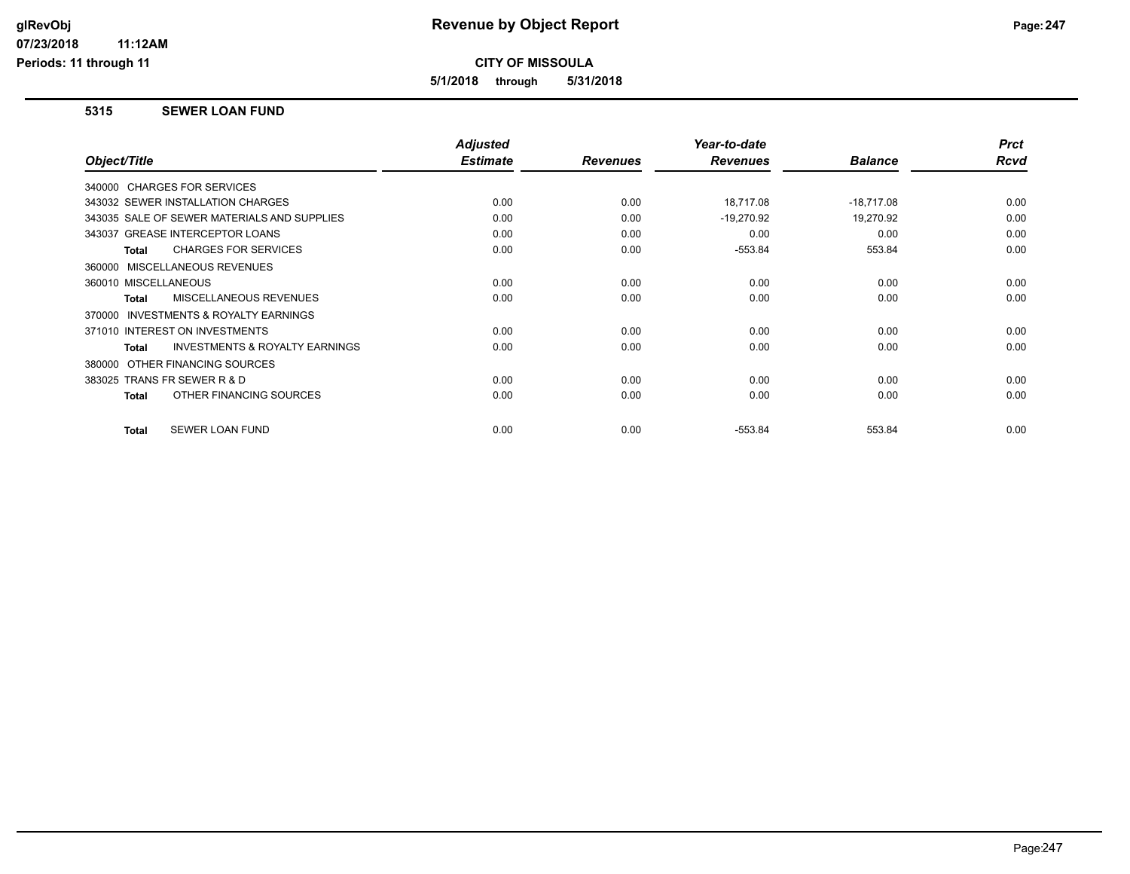**CITY OF MISSOULA**

**5/1/2018 through 5/31/2018**

#### **5315 SEWER LOAN FUND**

|                                                     | <b>Adjusted</b> |                 | Year-to-date    |                | <b>Prct</b> |
|-----------------------------------------------------|-----------------|-----------------|-----------------|----------------|-------------|
| Object/Title                                        | <b>Estimate</b> | <b>Revenues</b> | <b>Revenues</b> | <b>Balance</b> | <b>Rcvd</b> |
| 340000 CHARGES FOR SERVICES                         |                 |                 |                 |                |             |
| 343032 SEWER INSTALLATION CHARGES                   | 0.00            | 0.00            | 18,717.08       | $-18,717.08$   | 0.00        |
| 343035 SALE OF SEWER MATERIALS AND SUPPLIES         | 0.00            | 0.00            | $-19,270.92$    | 19.270.92      | 0.00        |
| 343037 GREASE INTERCEPTOR LOANS                     | 0.00            | 0.00            | 0.00            | 0.00           | 0.00        |
| <b>CHARGES FOR SERVICES</b><br>Total                | 0.00            | 0.00            | $-553.84$       | 553.84         | 0.00        |
| 360000 MISCELLANEOUS REVENUES                       |                 |                 |                 |                |             |
| 360010 MISCELLANEOUS                                | 0.00            | 0.00            | 0.00            | 0.00           | 0.00        |
| MISCELLANEOUS REVENUES<br>Total                     | 0.00            | 0.00            | 0.00            | 0.00           | 0.00        |
| <b>INVESTMENTS &amp; ROYALTY EARNINGS</b><br>370000 |                 |                 |                 |                |             |
| 371010 INTEREST ON INVESTMENTS                      | 0.00            | 0.00            | 0.00            | 0.00           | 0.00        |
| <b>INVESTMENTS &amp; ROYALTY EARNINGS</b><br>Total  | 0.00            | 0.00            | 0.00            | 0.00           | 0.00        |
| OTHER FINANCING SOURCES<br>380000                   |                 |                 |                 |                |             |
| 383025 TRANS FR SEWER R & D                         | 0.00            | 0.00            | 0.00            | 0.00           | 0.00        |
| OTHER FINANCING SOURCES<br><b>Total</b>             | 0.00            | 0.00            | 0.00            | 0.00           | 0.00        |
|                                                     |                 |                 |                 |                |             |
| <b>SEWER LOAN FUND</b><br><b>Total</b>              | 0.00            | 0.00            | $-553.84$       | 553.84         | 0.00        |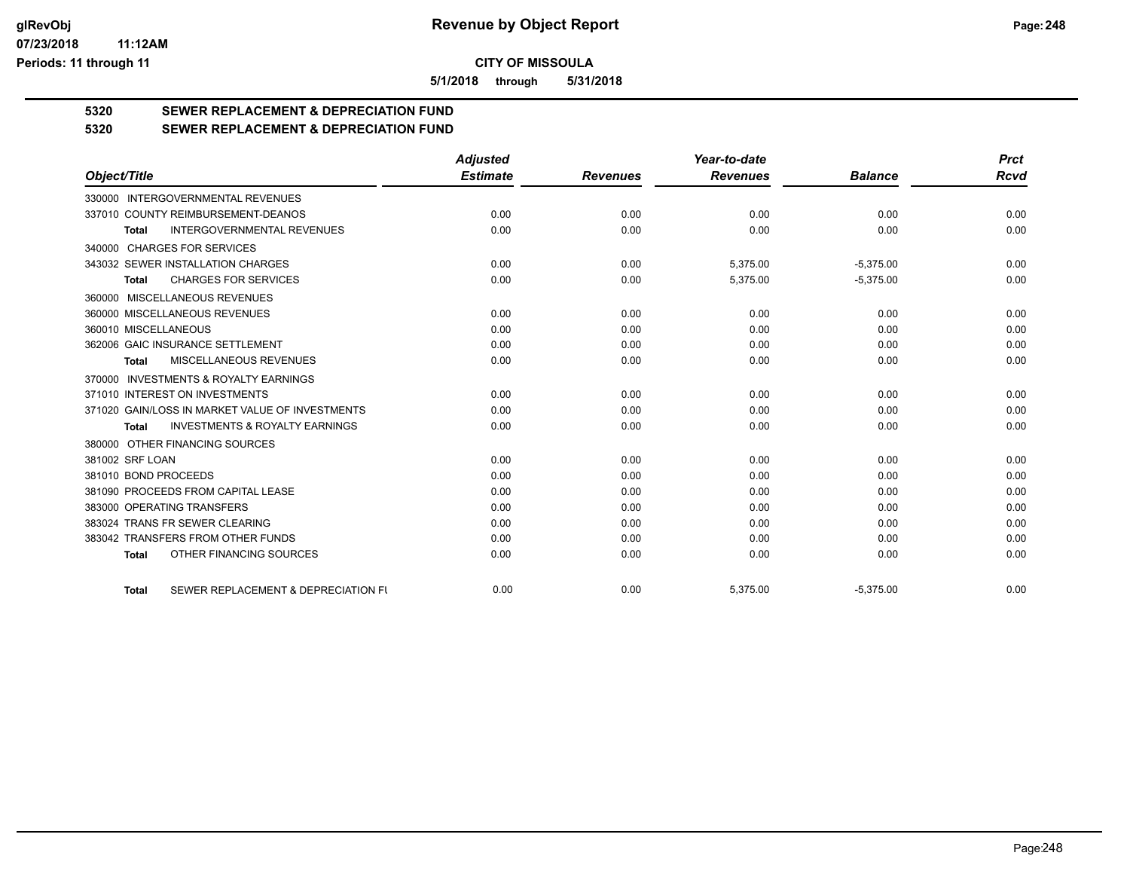**5/1/2018 through 5/31/2018**

# **5320 SEWER REPLACEMENT & DEPRECIATION FUND**

# **5320 SEWER REPLACEMENT & DEPRECIATION FUND**

|                                                           | <b>Adjusted</b> |                 | Year-to-date    |                | <b>Prct</b> |
|-----------------------------------------------------------|-----------------|-----------------|-----------------|----------------|-------------|
| Object/Title                                              | <b>Estimate</b> | <b>Revenues</b> | <b>Revenues</b> | <b>Balance</b> | <b>Rcvd</b> |
| 330000 INTERGOVERNMENTAL REVENUES                         |                 |                 |                 |                |             |
| 337010 COUNTY REIMBURSEMENT-DEANOS                        | 0.00            | 0.00            | 0.00            | 0.00           | 0.00        |
| <b>INTERGOVERNMENTAL REVENUES</b><br><b>Total</b>         | 0.00            | 0.00            | 0.00            | 0.00           | 0.00        |
| 340000 CHARGES FOR SERVICES                               |                 |                 |                 |                |             |
| 343032 SEWER INSTALLATION CHARGES                         | 0.00            | 0.00            | 5,375.00        | $-5,375.00$    | 0.00        |
| <b>CHARGES FOR SERVICES</b><br><b>Total</b>               | 0.00            | 0.00            | 5,375.00        | $-5,375.00$    | 0.00        |
| 360000 MISCELLANEOUS REVENUES                             |                 |                 |                 |                |             |
| 360000 MISCELLANEOUS REVENUES                             | 0.00            | 0.00            | 0.00            | 0.00           | 0.00        |
| 360010 MISCELLANEOUS                                      | 0.00            | 0.00            | 0.00            | 0.00           | 0.00        |
| 362006 GAIC INSURANCE SETTLEMENT                          | 0.00            | 0.00            | 0.00            | 0.00           | 0.00        |
| MISCELLANEOUS REVENUES<br><b>Total</b>                    | 0.00            | 0.00            | 0.00            | 0.00           | 0.00        |
| 370000 INVESTMENTS & ROYALTY EARNINGS                     |                 |                 |                 |                |             |
| 371010 INTEREST ON INVESTMENTS                            | 0.00            | 0.00            | 0.00            | 0.00           | 0.00        |
| 371020 GAIN/LOSS IN MARKET VALUE OF INVESTMENTS           | 0.00            | 0.00            | 0.00            | 0.00           | 0.00        |
| <b>INVESTMENTS &amp; ROYALTY EARNINGS</b><br><b>Total</b> | 0.00            | 0.00            | 0.00            | 0.00           | 0.00        |
| 380000 OTHER FINANCING SOURCES                            |                 |                 |                 |                |             |
| 381002 SRF LOAN                                           | 0.00            | 0.00            | 0.00            | 0.00           | 0.00        |
| 381010 BOND PROCEEDS                                      | 0.00            | 0.00            | 0.00            | 0.00           | 0.00        |
| 381090 PROCEEDS FROM CAPITAL LEASE                        | 0.00            | 0.00            | 0.00            | 0.00           | 0.00        |
| 383000 OPERATING TRANSFERS                                | 0.00            | 0.00            | 0.00            | 0.00           | 0.00        |
| 383024 TRANS FR SEWER CLEARING                            | 0.00            | 0.00            | 0.00            | 0.00           | 0.00        |
| 383042 TRANSFERS FROM OTHER FUNDS                         | 0.00            | 0.00            | 0.00            | 0.00           | 0.00        |
| OTHER FINANCING SOURCES<br><b>Total</b>                   | 0.00            | 0.00            | 0.00            | 0.00           | 0.00        |
| SEWER REPLACEMENT & DEPRECIATION FU<br><b>Total</b>       | 0.00            | 0.00            | 5,375.00        | $-5,375.00$    | 0.00        |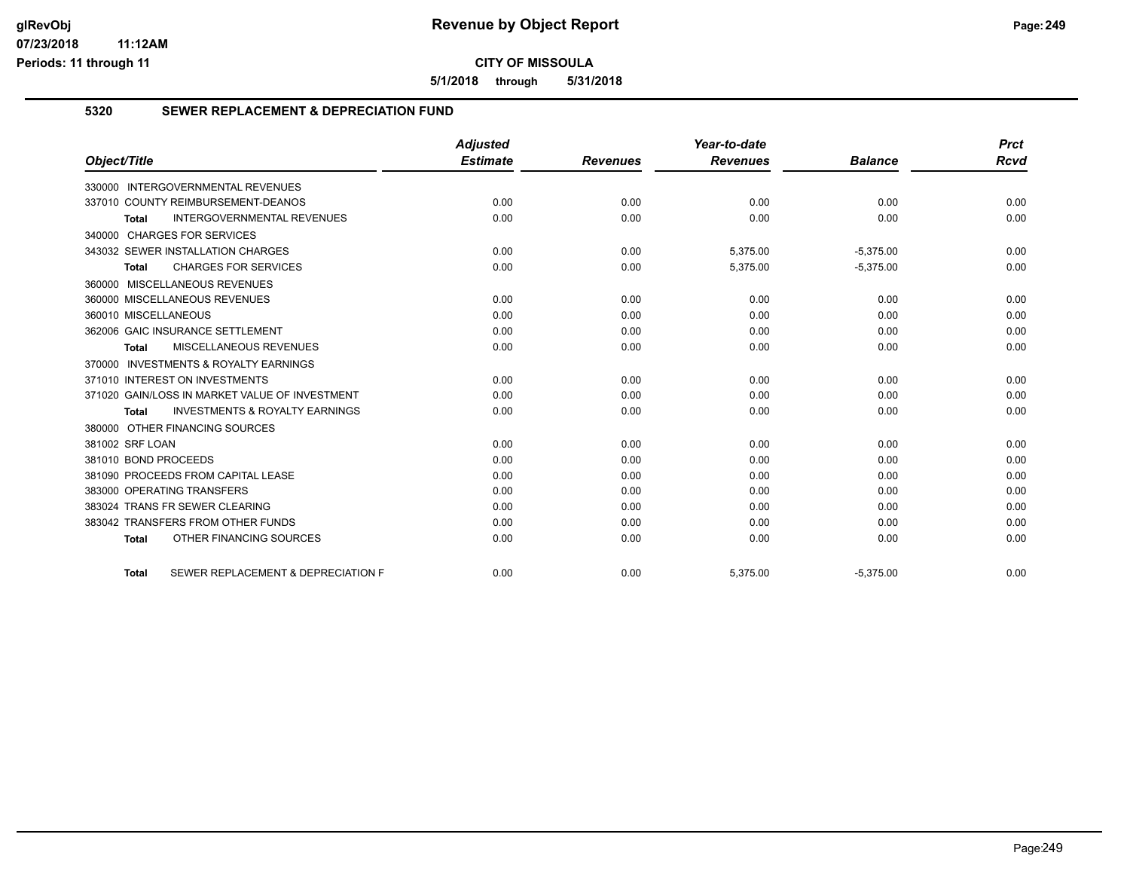**5/1/2018 through 5/31/2018**

## **5320 SEWER REPLACEMENT & DEPRECIATION FUND**

|                                                           | <b>Adjusted</b> |                 | Year-to-date    |                | <b>Prct</b> |
|-----------------------------------------------------------|-----------------|-----------------|-----------------|----------------|-------------|
| Object/Title                                              | <b>Estimate</b> | <b>Revenues</b> | <b>Revenues</b> | <b>Balance</b> | Rcvd        |
| 330000 INTERGOVERNMENTAL REVENUES                         |                 |                 |                 |                |             |
| 337010 COUNTY REIMBURSEMENT-DEANOS                        | 0.00            | 0.00            | 0.00            | 0.00           | 0.00        |
| <b>INTERGOVERNMENTAL REVENUES</b><br><b>Total</b>         | 0.00            | 0.00            | 0.00            | 0.00           | 0.00        |
| 340000 CHARGES FOR SERVICES                               |                 |                 |                 |                |             |
| 343032 SEWER INSTALLATION CHARGES                         | 0.00            | 0.00            | 5.375.00        | $-5.375.00$    | 0.00        |
| <b>CHARGES FOR SERVICES</b><br><b>Total</b>               | 0.00            | 0.00            | 5,375.00        | $-5,375.00$    | 0.00        |
| 360000 MISCELLANEOUS REVENUES                             |                 |                 |                 |                |             |
| 360000 MISCELLANEOUS REVENUES                             | 0.00            | 0.00            | 0.00            | 0.00           | 0.00        |
| 360010 MISCELLANEOUS                                      | 0.00            | 0.00            | 0.00            | 0.00           | 0.00        |
| 362006 GAIC INSURANCE SETTLEMENT                          | 0.00            | 0.00            | 0.00            | 0.00           | 0.00        |
| <b>MISCELLANEOUS REVENUES</b><br><b>Total</b>             | 0.00            | 0.00            | 0.00            | 0.00           | 0.00        |
| 370000 INVESTMENTS & ROYALTY EARNINGS                     |                 |                 |                 |                |             |
| 371010 INTEREST ON INVESTMENTS                            | 0.00            | 0.00            | 0.00            | 0.00           | 0.00        |
| 371020 GAIN/LOSS IN MARKET VALUE OF INVESTMENT            | 0.00            | 0.00            | 0.00            | 0.00           | 0.00        |
| <b>INVESTMENTS &amp; ROYALTY EARNINGS</b><br><b>Total</b> | 0.00            | 0.00            | 0.00            | 0.00           | 0.00        |
| 380000 OTHER FINANCING SOURCES                            |                 |                 |                 |                |             |
| 381002 SRF LOAN                                           | 0.00            | 0.00            | 0.00            | 0.00           | 0.00        |
| 381010 BOND PROCEEDS                                      | 0.00            | 0.00            | 0.00            | 0.00           | 0.00        |
| 381090 PROCEEDS FROM CAPITAL LEASE                        | 0.00            | 0.00            | 0.00            | 0.00           | 0.00        |
| 383000 OPERATING TRANSFERS                                | 0.00            | 0.00            | 0.00            | 0.00           | 0.00        |
| 383024 TRANS FR SEWER CLEARING                            | 0.00            | 0.00            | 0.00            | 0.00           | 0.00        |
| 383042 TRANSFERS FROM OTHER FUNDS                         | 0.00            | 0.00            | 0.00            | 0.00           | 0.00        |
| OTHER FINANCING SOURCES<br><b>Total</b>                   | 0.00            | 0.00            | 0.00            | 0.00           | 0.00        |
| SEWER REPLACEMENT & DEPRECIATION F<br><b>Total</b>        | 0.00            | 0.00            | 5,375.00        | $-5,375.00$    | 0.00        |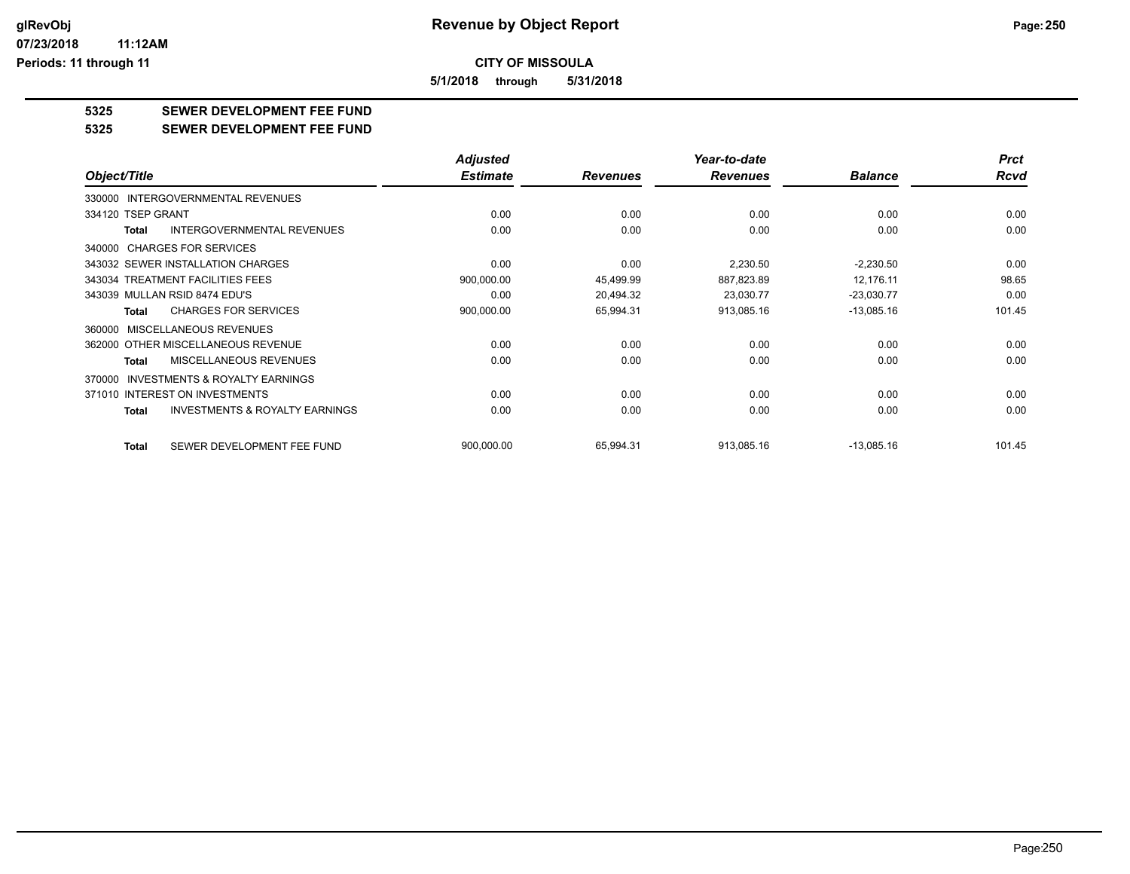**5/1/2018 through 5/31/2018**

# **5325 SEWER DEVELOPMENT FEE FUND**

### **5325 SEWER DEVELOPMENT FEE FUND**

|                                                     | <b>Adjusted</b> |                 | Year-to-date    |                | <b>Prct</b> |
|-----------------------------------------------------|-----------------|-----------------|-----------------|----------------|-------------|
| Object/Title                                        | <b>Estimate</b> | <b>Revenues</b> | <b>Revenues</b> | <b>Balance</b> | Rcvd        |
| 330000 INTERGOVERNMENTAL REVENUES                   |                 |                 |                 |                |             |
| 334120 TSEP GRANT                                   | 0.00            | 0.00            | 0.00            | 0.00           | 0.00        |
| INTERGOVERNMENTAL REVENUES<br>Total                 | 0.00            | 0.00            | 0.00            | 0.00           | 0.00        |
| 340000 CHARGES FOR SERVICES                         |                 |                 |                 |                |             |
| 343032 SEWER INSTALLATION CHARGES                   | 0.00            | 0.00            | 2,230.50        | $-2,230.50$    | 0.00        |
| 343034 TREATMENT FACILITIES FEES                    | 900,000.00      | 45,499.99       | 887,823.89      | 12.176.11      | 98.65       |
| 343039 MULLAN RSID 8474 EDU'S                       | 0.00            | 20,494.32       | 23,030.77       | $-23,030.77$   | 0.00        |
| <b>CHARGES FOR SERVICES</b><br>Total                | 900,000.00      | 65,994.31       | 913,085.16      | $-13,085.16$   | 101.45      |
| 360000 MISCELLANEOUS REVENUES                       |                 |                 |                 |                |             |
| 362000 OTHER MISCELLANEOUS REVENUE                  | 0.00            | 0.00            | 0.00            | 0.00           | 0.00        |
| MISCELLANEOUS REVENUES<br>Total                     | 0.00            | 0.00            | 0.00            | 0.00           | 0.00        |
| <b>INVESTMENTS &amp; ROYALTY EARNINGS</b><br>370000 |                 |                 |                 |                |             |
| 371010 INTEREST ON INVESTMENTS                      | 0.00            | 0.00            | 0.00            | 0.00           | 0.00        |
| <b>INVESTMENTS &amp; ROYALTY EARNINGS</b><br>Total  | 0.00            | 0.00            | 0.00            | 0.00           | 0.00        |
| SEWER DEVELOPMENT FEE FUND<br>Total                 | 900,000.00      | 65,994.31       | 913,085.16      | $-13,085.16$   | 101.45      |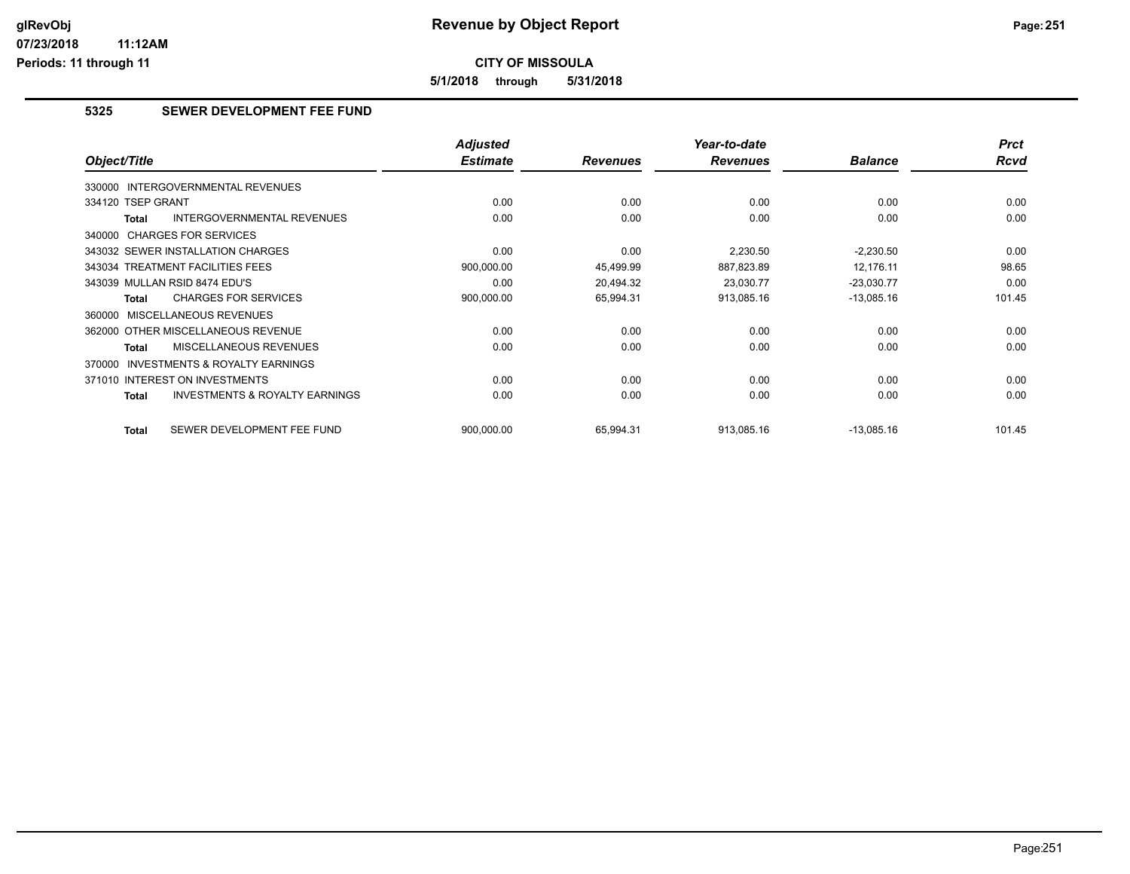**5/1/2018 through 5/31/2018**

## **5325 SEWER DEVELOPMENT FEE FUND**

|                                                           | <b>Adjusted</b> |                 | Year-to-date    |                | <b>Prct</b> |
|-----------------------------------------------------------|-----------------|-----------------|-----------------|----------------|-------------|
| Object/Title                                              | <b>Estimate</b> | <b>Revenues</b> | <b>Revenues</b> | <b>Balance</b> | Rcvd        |
| 330000 INTERGOVERNMENTAL REVENUES                         |                 |                 |                 |                |             |
| 334120 TSEP GRANT                                         | 0.00            | 0.00            | 0.00            | 0.00           | 0.00        |
| <b>INTERGOVERNMENTAL REVENUES</b><br><b>Total</b>         | 0.00            | 0.00            | 0.00            | 0.00           | 0.00        |
| 340000 CHARGES FOR SERVICES                               |                 |                 |                 |                |             |
| 343032 SEWER INSTALLATION CHARGES                         | 0.00            | 0.00            | 2,230.50        | $-2,230.50$    | 0.00        |
| 343034 TREATMENT FACILITIES FEES                          | 900,000.00      | 45,499.99       | 887,823.89      | 12,176.11      | 98.65       |
| 343039 MULLAN RSID 8474 EDU'S                             | 0.00            | 20,494.32       | 23,030.77       | $-23,030.77$   | 0.00        |
| <b>CHARGES FOR SERVICES</b><br>Total                      | 900,000.00      | 65,994.31       | 913,085.16      | $-13,085.16$   | 101.45      |
| MISCELLANEOUS REVENUES<br>360000                          |                 |                 |                 |                |             |
| 362000 OTHER MISCELLANEOUS REVENUE                        | 0.00            | 0.00            | 0.00            | 0.00           | 0.00        |
| MISCELLANEOUS REVENUES<br><b>Total</b>                    | 0.00            | 0.00            | 0.00            | 0.00           | 0.00        |
| <b>INVESTMENTS &amp; ROYALTY EARNINGS</b><br>370000       |                 |                 |                 |                |             |
| 371010 INTEREST ON INVESTMENTS                            | 0.00            | 0.00            | 0.00            | 0.00           | 0.00        |
| <b>INVESTMENTS &amp; ROYALTY EARNINGS</b><br><b>Total</b> | 0.00            | 0.00            | 0.00            | 0.00           | 0.00        |
| SEWER DEVELOPMENT FEE FUND<br><b>Total</b>                | 900,000.00      | 65,994.31       | 913,085.16      | $-13,085.16$   | 101.45      |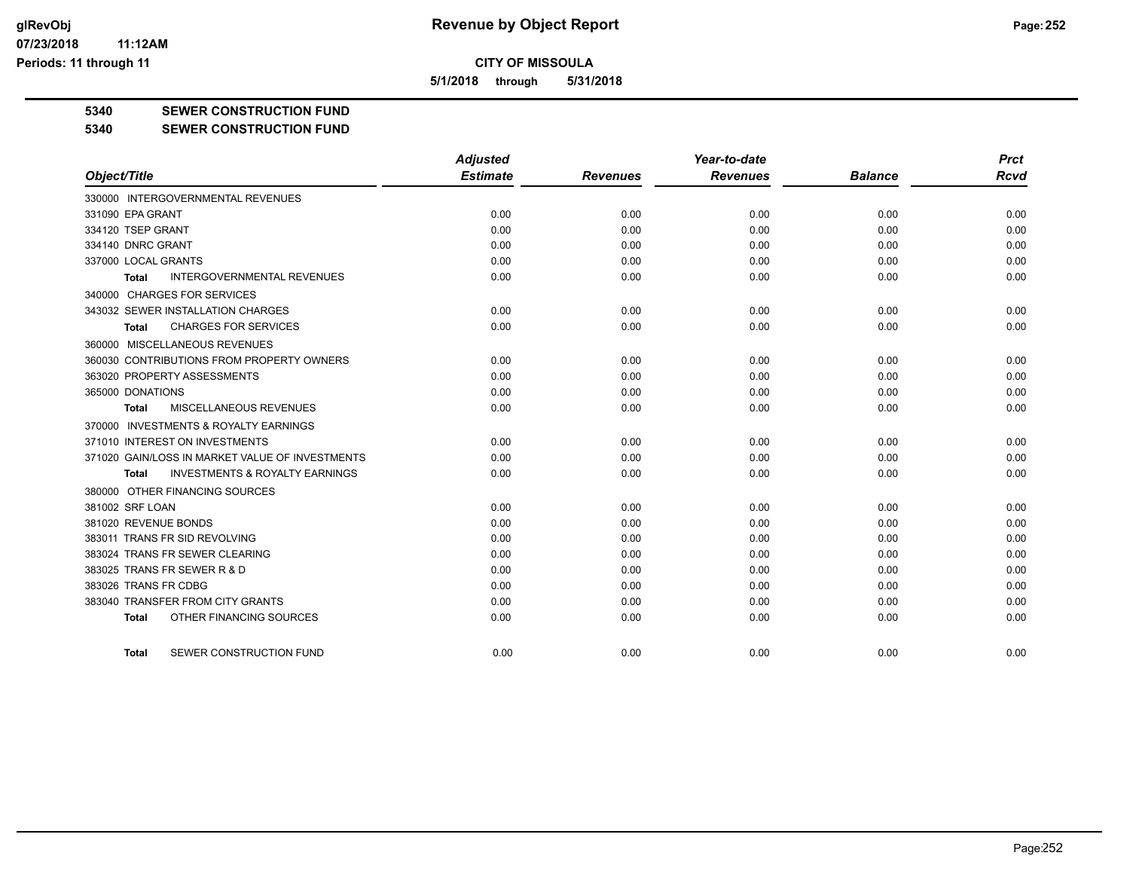**5/1/2018 through 5/31/2018**

**5340 SEWER CONSTRUCTION FUND**

**5340 SEWER CONSTRUCTION FUND**

|                                                    | <b>Adjusted</b> |                 | Year-to-date    |                | <b>Prct</b> |
|----------------------------------------------------|-----------------|-----------------|-----------------|----------------|-------------|
| Object/Title                                       | <b>Estimate</b> | <b>Revenues</b> | <b>Revenues</b> | <b>Balance</b> | <b>Rcvd</b> |
| 330000 INTERGOVERNMENTAL REVENUES                  |                 |                 |                 |                |             |
| 331090 EPA GRANT                                   | 0.00            | 0.00            | 0.00            | 0.00           | 0.00        |
| 334120 TSEP GRANT                                  | 0.00            | 0.00            | 0.00            | 0.00           | 0.00        |
| 334140 DNRC GRANT                                  | 0.00            | 0.00            | 0.00            | 0.00           | 0.00        |
| 337000 LOCAL GRANTS                                | 0.00            | 0.00            | 0.00            | 0.00           | 0.00        |
| <b>INTERGOVERNMENTAL REVENUES</b><br>Total         | 0.00            | 0.00            | 0.00            | 0.00           | 0.00        |
| 340000 CHARGES FOR SERVICES                        |                 |                 |                 |                |             |
| 343032 SEWER INSTALLATION CHARGES                  | 0.00            | 0.00            | 0.00            | 0.00           | 0.00        |
| <b>CHARGES FOR SERVICES</b><br>Total               | 0.00            | 0.00            | 0.00            | 0.00           | 0.00        |
| 360000 MISCELLANEOUS REVENUES                      |                 |                 |                 |                |             |
| 360030 CONTRIBUTIONS FROM PROPERTY OWNERS          | 0.00            | 0.00            | 0.00            | 0.00           | 0.00        |
| 363020 PROPERTY ASSESSMENTS                        | 0.00            | 0.00            | 0.00            | 0.00           | 0.00        |
| 365000 DONATIONS                                   | 0.00            | 0.00            | 0.00            | 0.00           | 0.00        |
| <b>MISCELLANEOUS REVENUES</b><br><b>Total</b>      | 0.00            | 0.00            | 0.00            | 0.00           | 0.00        |
| 370000 INVESTMENTS & ROYALTY EARNINGS              |                 |                 |                 |                |             |
| 371010 INTEREST ON INVESTMENTS                     | 0.00            | 0.00            | 0.00            | 0.00           | 0.00        |
| 371020 GAIN/LOSS IN MARKET VALUE OF INVESTMENTS    | 0.00            | 0.00            | 0.00            | 0.00           | 0.00        |
| <b>INVESTMENTS &amp; ROYALTY EARNINGS</b><br>Total | 0.00            | 0.00            | 0.00            | 0.00           | 0.00        |
| 380000 OTHER FINANCING SOURCES                     |                 |                 |                 |                |             |
| 381002 SRF LOAN                                    | 0.00            | 0.00            | 0.00            | 0.00           | 0.00        |
| 381020 REVENUE BONDS                               | 0.00            | 0.00            | 0.00            | 0.00           | 0.00        |
| 383011 TRANS FR SID REVOLVING                      | 0.00            | 0.00            | 0.00            | 0.00           | 0.00        |
| 383024 TRANS FR SEWER CLEARING                     | 0.00            | 0.00            | 0.00            | 0.00           | 0.00        |
| 383025 TRANS FR SEWER R & D                        | 0.00            | 0.00            | 0.00            | 0.00           | 0.00        |
| 383026 TRANS FR CDBG                               | 0.00            | 0.00            | 0.00            | 0.00           | 0.00        |
| 383040 TRANSFER FROM CITY GRANTS                   | 0.00            | 0.00            | 0.00            | 0.00           | 0.00        |
| OTHER FINANCING SOURCES<br><b>Total</b>            | 0.00            | 0.00            | 0.00            | 0.00           | 0.00        |
| SEWER CONSTRUCTION FUND<br>Total                   | 0.00            | 0.00            | 0.00            | 0.00           | 0.00        |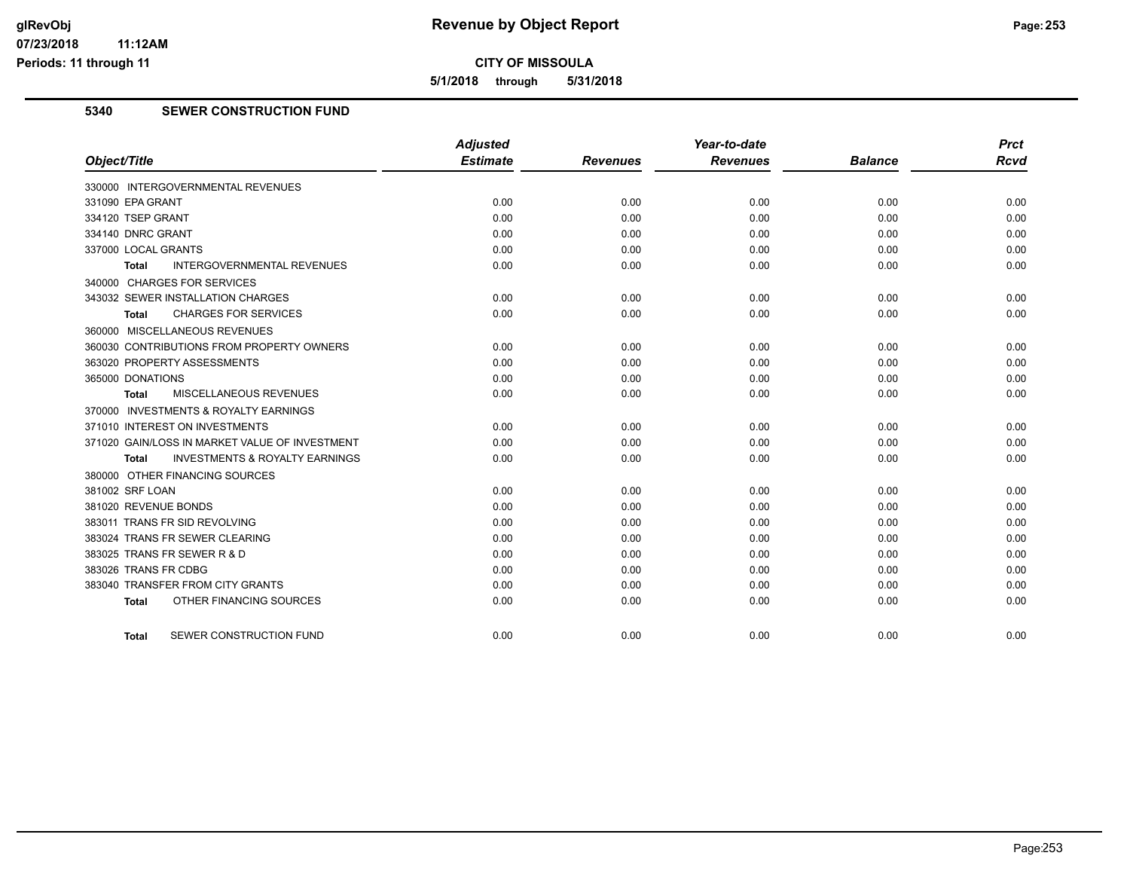**CITY OF MISSOULA**

**5/1/2018 through 5/31/2018**

#### **5340 SEWER CONSTRUCTION FUND**

|                                                           | <b>Adjusted</b> |                 | Year-to-date    |                | <b>Prct</b> |
|-----------------------------------------------------------|-----------------|-----------------|-----------------|----------------|-------------|
| Object/Title                                              | <b>Estimate</b> | <b>Revenues</b> | <b>Revenues</b> | <b>Balance</b> | <b>Rcvd</b> |
| 330000 INTERGOVERNMENTAL REVENUES                         |                 |                 |                 |                |             |
| 331090 EPA GRANT                                          | 0.00            | 0.00            | 0.00            | 0.00           | 0.00        |
| 334120 TSEP GRANT                                         | 0.00            | 0.00            | 0.00            | 0.00           | 0.00        |
| 334140 DNRC GRANT                                         | 0.00            | 0.00            | 0.00            | 0.00           | 0.00        |
| 337000 LOCAL GRANTS                                       | 0.00            | 0.00            | 0.00            | 0.00           | 0.00        |
| <b>INTERGOVERNMENTAL REVENUES</b><br><b>Total</b>         | 0.00            | 0.00            | 0.00            | 0.00           | 0.00        |
| 340000 CHARGES FOR SERVICES                               |                 |                 |                 |                |             |
| 343032 SEWER INSTALLATION CHARGES                         | 0.00            | 0.00            | 0.00            | 0.00           | 0.00        |
| <b>CHARGES FOR SERVICES</b><br><b>Total</b>               | 0.00            | 0.00            | 0.00            | 0.00           | 0.00        |
| 360000 MISCELLANEOUS REVENUES                             |                 |                 |                 |                |             |
| 360030 CONTRIBUTIONS FROM PROPERTY OWNERS                 | 0.00            | 0.00            | 0.00            | 0.00           | 0.00        |
| 363020 PROPERTY ASSESSMENTS                               | 0.00            | 0.00            | 0.00            | 0.00           | 0.00        |
| 365000 DONATIONS                                          | 0.00            | 0.00            | 0.00            | 0.00           | 0.00        |
| MISCELLANEOUS REVENUES<br><b>Total</b>                    | 0.00            | 0.00            | 0.00            | 0.00           | 0.00        |
| 370000 INVESTMENTS & ROYALTY EARNINGS                     |                 |                 |                 |                |             |
| 371010 INTEREST ON INVESTMENTS                            | 0.00            | 0.00            | 0.00            | 0.00           | 0.00        |
| 371020 GAIN/LOSS IN MARKET VALUE OF INVESTMENT            | 0.00            | 0.00            | 0.00            | 0.00           | 0.00        |
| <b>INVESTMENTS &amp; ROYALTY EARNINGS</b><br><b>Total</b> | 0.00            | 0.00            | 0.00            | 0.00           | 0.00        |
| 380000 OTHER FINANCING SOURCES                            |                 |                 |                 |                |             |
| 381002 SRF LOAN                                           | 0.00            | 0.00            | 0.00            | 0.00           | 0.00        |
| 381020 REVENUE BONDS                                      | 0.00            | 0.00            | 0.00            | 0.00           | 0.00        |
| 383011 TRANS FR SID REVOLVING                             | 0.00            | 0.00            | 0.00            | 0.00           | 0.00        |
| 383024 TRANS FR SEWER CLEARING                            | 0.00            | 0.00            | 0.00            | 0.00           | 0.00        |
| 383025 TRANS FR SEWER R & D                               | 0.00            | 0.00            | 0.00            | 0.00           | 0.00        |
| 383026 TRANS FR CDBG                                      | 0.00            | 0.00            | 0.00            | 0.00           | 0.00        |
| 383040 TRANSFER FROM CITY GRANTS                          | 0.00            | 0.00            | 0.00            | 0.00           | 0.00        |
| OTHER FINANCING SOURCES<br><b>Total</b>                   | 0.00            | 0.00            | 0.00            | 0.00           | 0.00        |
| SEWER CONSTRUCTION FUND<br><b>Total</b>                   | 0.00            | 0.00            | 0.00            | 0.00           | 0.00        |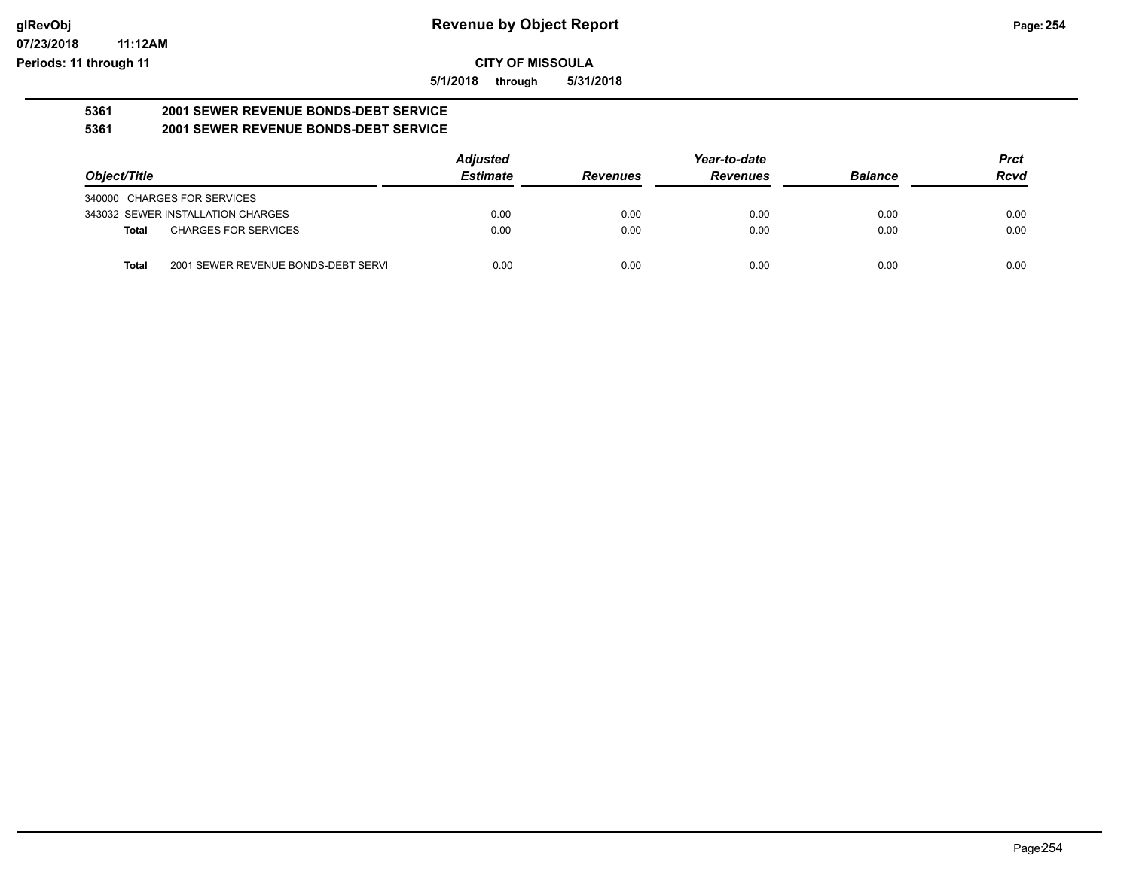**07/23/2018 11:12AM Periods: 11 through 11**

**CITY OF MISSOULA**

**5/1/2018 through 5/31/2018**

#### **5361 2001 SEWER REVENUE BONDS-DEBT SERVICE 5361 2001 SEWER REVENUE BONDS-DEBT SERVICE**

|                                                     |  | <b>Adjusted</b> |                 | Year-to-date    |                | <b>Prct</b> |
|-----------------------------------------------------|--|-----------------|-----------------|-----------------|----------------|-------------|
| Object/Title                                        |  | <b>Estimate</b> | <b>Revenues</b> | <b>Revenues</b> | <b>Balance</b> | <b>Rcvd</b> |
| 340000 CHARGES FOR SERVICES                         |  |                 |                 |                 |                |             |
| 343032 SEWER INSTALLATION CHARGES                   |  | 0.00            | 0.00            | 0.00            | 0.00           | 0.00        |
| <b>CHARGES FOR SERVICES</b><br>Total                |  | 0.00            | 0.00            | 0.00            | 0.00           | 0.00        |
| 2001 SEWER REVENUE BONDS-DEBT SERVI<br><b>Total</b> |  | 0.00            | 0.00            | 0.00            | 0.00           | 0.00        |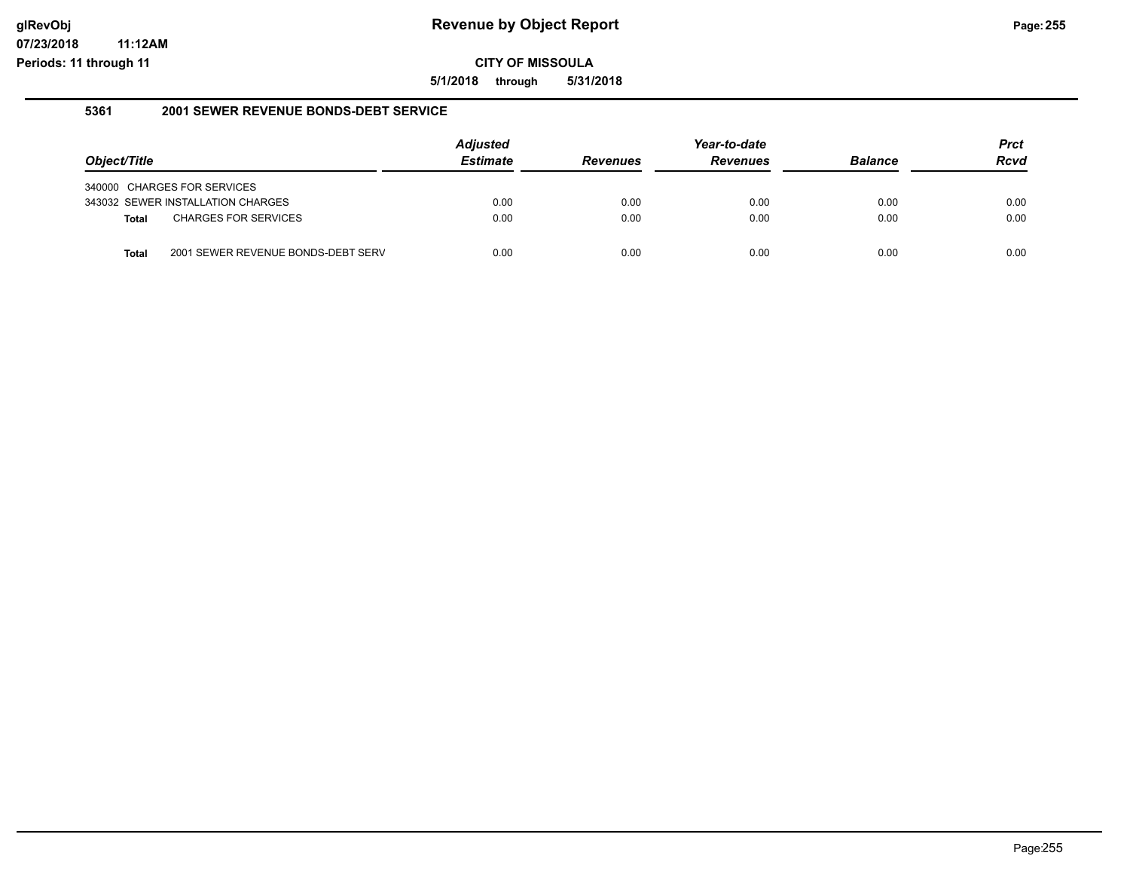**5/1/2018 through 5/31/2018**

#### **5361 2001 SEWER REVENUE BONDS-DEBT SERVICE**

|              |                                    | <b>Adjusted</b> |                 | Year-to-date    |                | <b>Prct</b> |
|--------------|------------------------------------|-----------------|-----------------|-----------------|----------------|-------------|
| Object/Title |                                    | <b>Estimate</b> | <b>Revenues</b> | <b>Revenues</b> | <b>Balance</b> | <b>Rcvd</b> |
|              | 340000 CHARGES FOR SERVICES        |                 |                 |                 |                |             |
|              | 343032 SEWER INSTALLATION CHARGES  | 0.00            | 0.00            | 0.00            | 0.00           | 0.00        |
| <b>Total</b> | <b>CHARGES FOR SERVICES</b>        | 0.00            | 0.00            | 0.00            | 0.00           | 0.00        |
|              |                                    |                 |                 |                 |                |             |
| <b>Total</b> | 2001 SEWER REVENUE BONDS-DEBT SERV | 0.00            | 0.00            | 0.00            | 0.00           | 0.00        |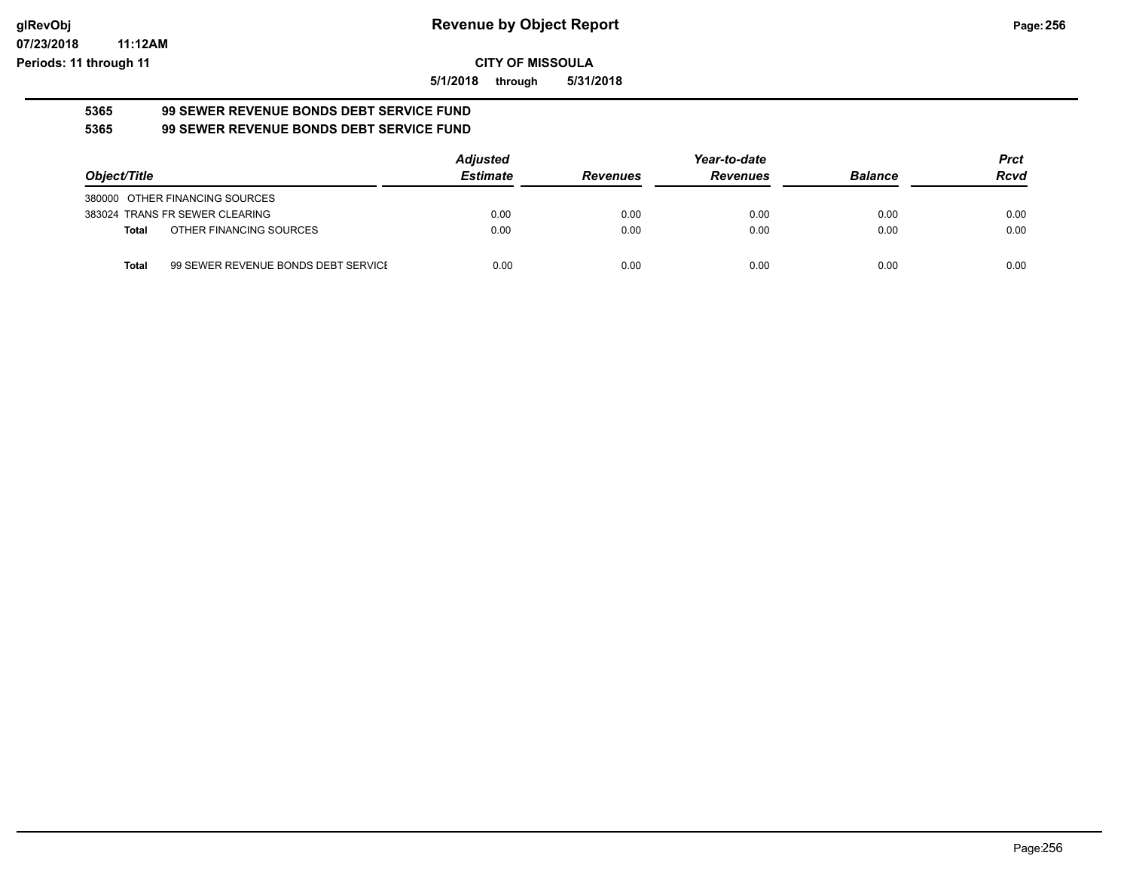#### **07/23/2018 11:12AM Periods: 11 through 11**

**CITY OF MISSOULA**

**5/1/2018 through 5/31/2018**

#### **5365 99 SEWER REVENUE BONDS DEBT SERVICE FUND 5365 99 SEWER REVENUE BONDS DEBT SERVICE FUND**

|              |                                     | <b>Adjusted</b> |                 | Year-to-date    |                | Prct |
|--------------|-------------------------------------|-----------------|-----------------|-----------------|----------------|------|
| Object/Title |                                     | <b>Estimate</b> | <b>Revenues</b> | <b>Revenues</b> | <b>Balance</b> | Rcvd |
|              | 380000 OTHER FINANCING SOURCES      |                 |                 |                 |                |      |
|              | 383024 TRANS FR SEWER CLEARING      | 0.00            | 0.00            | 0.00            | 0.00           | 0.00 |
| <b>Total</b> | OTHER FINANCING SOURCES             | 0.00            | 0.00            | 0.00            | 0.00           | 0.00 |
| <b>Total</b> | 99 SEWER REVENUE BONDS DEBT SERVICE | 0.00            | 0.00            | 0.00            | 0.00           | 0.00 |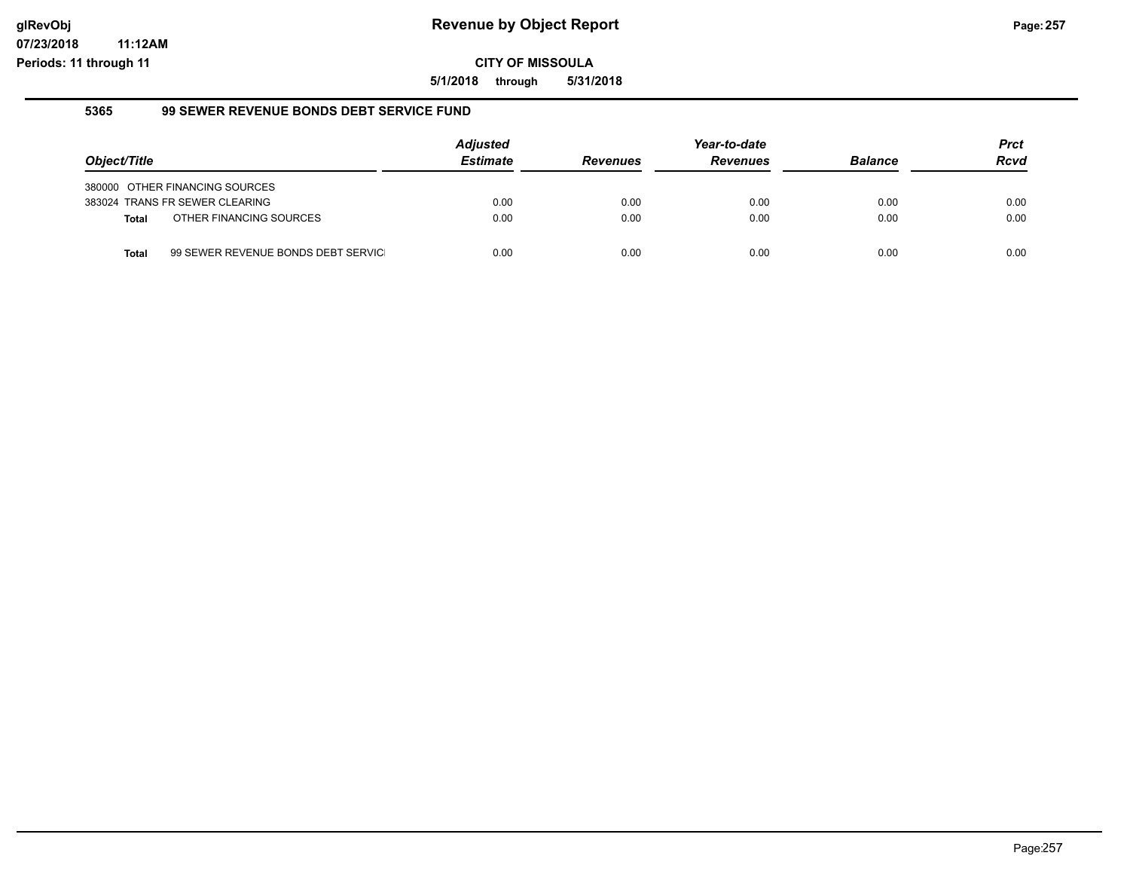**5/1/2018 through 5/31/2018**

#### **5365 99 SEWER REVENUE BONDS DEBT SERVICE FUND**

| Object/Title |                                    | <b>Adjusted</b><br><b>Estimate</b> | <b>Revenues</b> | Year-to-date<br><b>Revenues</b> | <b>Balance</b> | Prct<br><b>Rcvd</b> |
|--------------|------------------------------------|------------------------------------|-----------------|---------------------------------|----------------|---------------------|
|              | 380000 OTHER FINANCING SOURCES     |                                    |                 |                                 |                |                     |
|              | 383024 TRANS FR SEWER CLEARING     | 0.00                               | 0.00            | 0.00                            | 0.00           | 0.00                |
| Total        | OTHER FINANCING SOURCES            | 0.00                               | 0.00            | 0.00                            | 0.00           | 0.00                |
|              |                                    |                                    |                 |                                 |                |                     |
| <b>Total</b> | 99 SEWER REVENUE BONDS DEBT SERVIC | 0.00                               | 0.00            | 0.00                            | 0.00           | 0.00                |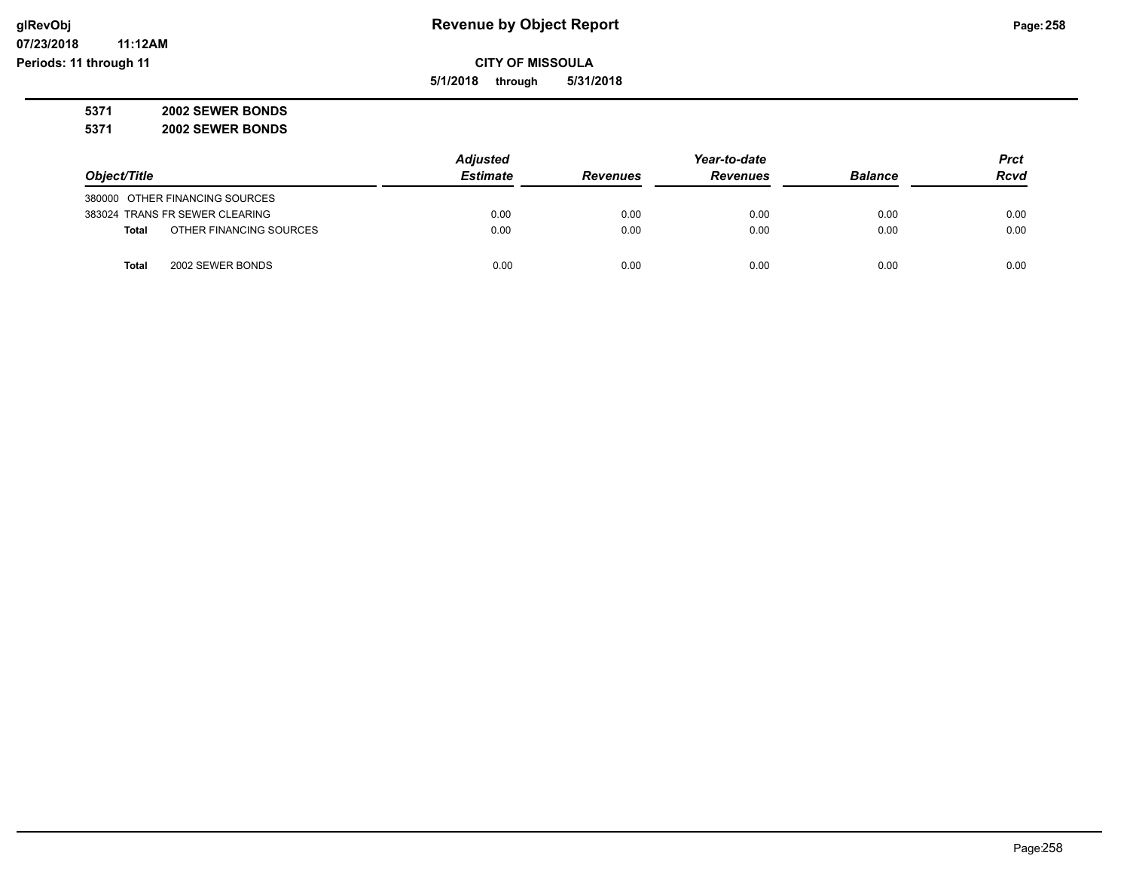**5/1/2018 through 5/31/2018**

**5371 2002 SEWER BONDS**

|                                | <b>Adjusted</b><br>Year-to-date |                 |                 |                 |                | <b>Prct</b> |
|--------------------------------|---------------------------------|-----------------|-----------------|-----------------|----------------|-------------|
| Object/Title                   |                                 | <b>Estimate</b> | <b>Revenues</b> | <b>Revenues</b> | <b>Balance</b> | <b>Rcvd</b> |
| 380000 OTHER FINANCING SOURCES |                                 |                 |                 |                 |                |             |
| 383024 TRANS FR SEWER CLEARING |                                 | 0.00            | 0.00            | 0.00            | 0.00           | 0.00        |
| <b>Total</b>                   | OTHER FINANCING SOURCES         | 0.00            | 0.00            | 0.00            | 0.00           | 0.00        |
| <b>Total</b>                   | 2002 SEWER BONDS                | 0.00            | 0.00            | 0.00            | 0.00           | 0.00        |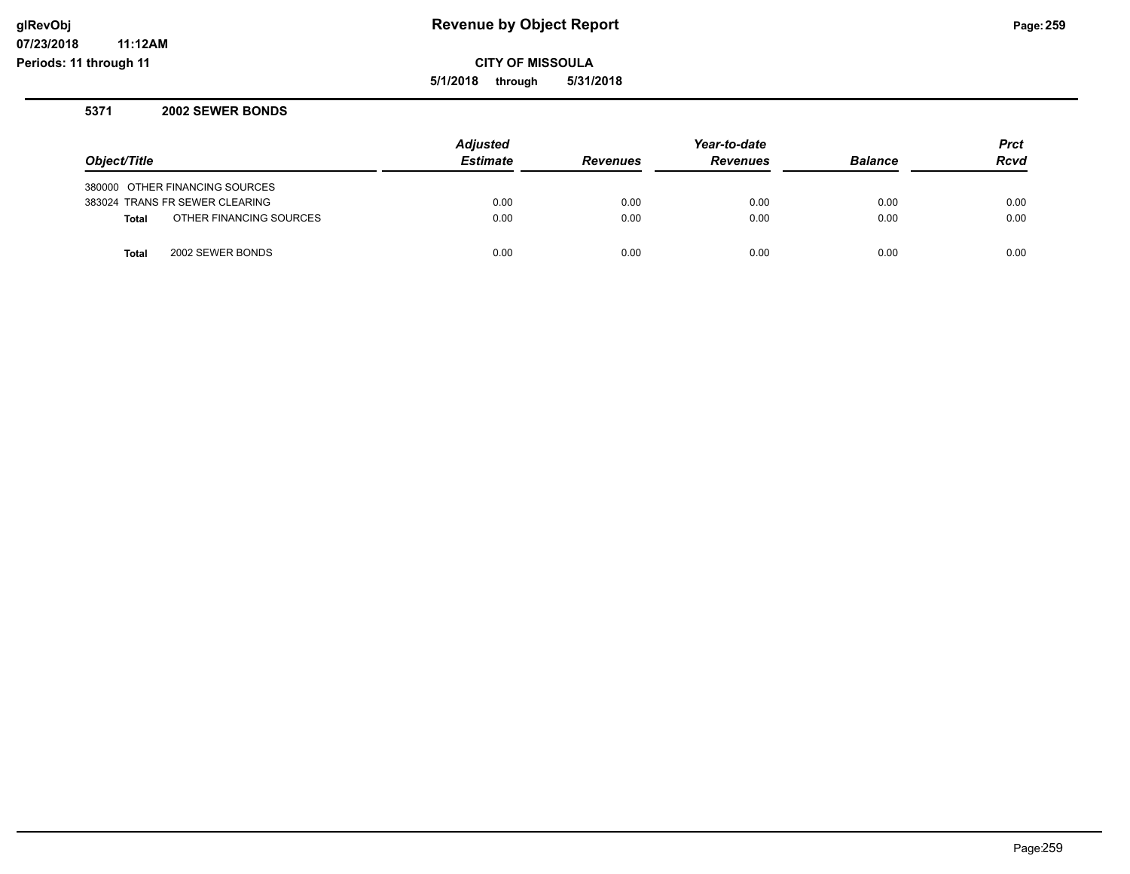**CITY OF MISSOULA**

**5/1/2018 through 5/31/2018**

#### **5371 2002 SEWER BONDS**

**11:12AM**

| Object/Title |                                | <b>Adjusted</b><br><b>Estimate</b> | <b>Revenues</b> | Year-to-date<br><b>Revenues</b> | <b>Balance</b> | <b>Prct</b><br><b>Rcvd</b> |
|--------------|--------------------------------|------------------------------------|-----------------|---------------------------------|----------------|----------------------------|
|              | 380000 OTHER FINANCING SOURCES |                                    |                 |                                 |                |                            |
|              | 383024 TRANS FR SEWER CLEARING | 0.00                               | 0.00            | 0.00                            | 0.00           | 0.00                       |
| <b>Total</b> | OTHER FINANCING SOURCES        | 0.00                               | 0.00            | 0.00                            | 0.00           | 0.00                       |
| Total        | 2002 SEWER BONDS               | 0.00                               | 0.00            | 0.00                            | 0.00           | 0.00                       |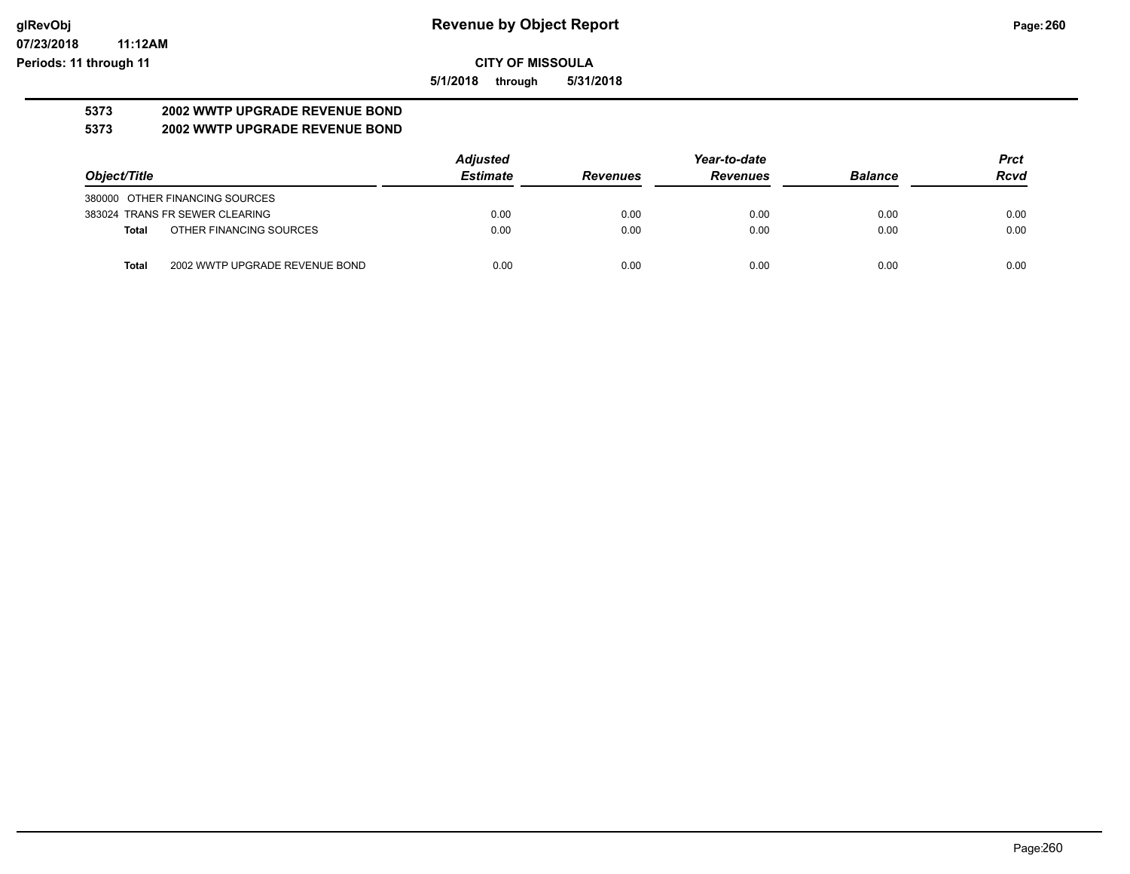**5/1/2018 through 5/31/2018**

# **5373 2002 WWTP UPGRADE REVENUE BOND**

#### **5373 2002 WWTP UPGRADE REVENUE BOND**

|              |                                | <b>Adjusted</b> |                 | Year-to-date    |                |             |  |
|--------------|--------------------------------|-----------------|-----------------|-----------------|----------------|-------------|--|
| Object/Title |                                | <b>Estimate</b> | <b>Revenues</b> | <b>Revenues</b> | <b>Balance</b> | <b>Rcvd</b> |  |
|              | 380000 OTHER FINANCING SOURCES |                 |                 |                 |                |             |  |
|              | 383024 TRANS FR SEWER CLEARING | 0.00            | 0.00            | 0.00            | 0.00           | 0.00        |  |
| Total        | OTHER FINANCING SOURCES        | 0.00            | 0.00            | 0.00            | 0.00           | 0.00        |  |
| Total        | 2002 WWTP UPGRADE REVENUE BOND | 0.00            | 0.00            | 0.00            | 0.00           | 0.00        |  |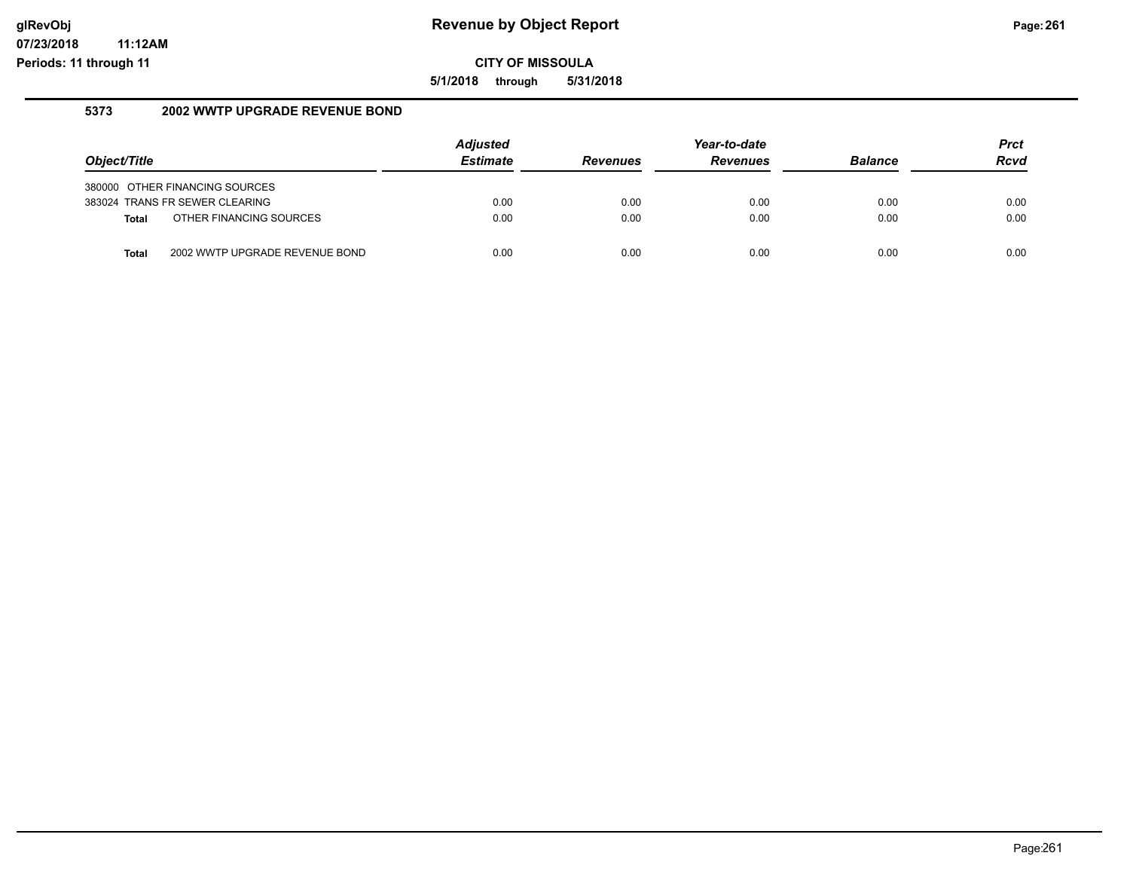**5/1/2018 through 5/31/2018**

#### **5373 2002 WWTP UPGRADE REVENUE BOND**

| Object/Title |                                | <b>Adjusted</b><br><b>Estimate</b> | <b>Revenues</b> | Year-to-date<br><b>Revenues</b> | <b>Balance</b> | <b>Prct</b><br><b>Rcvd</b> |
|--------------|--------------------------------|------------------------------------|-----------------|---------------------------------|----------------|----------------------------|
|              | 380000 OTHER FINANCING SOURCES |                                    |                 |                                 |                |                            |
|              | 383024 TRANS FR SEWER CLEARING | 0.00                               | 0.00            | 0.00                            | 0.00           | 0.00                       |
| Total        | OTHER FINANCING SOURCES        | 0.00                               | 0.00            | 0.00                            | 0.00           | 0.00                       |
| <b>Total</b> | 2002 WWTP UPGRADE REVENUE BOND | 0.00                               | 0.00            | 0.00                            | 0.00           | 0.00                       |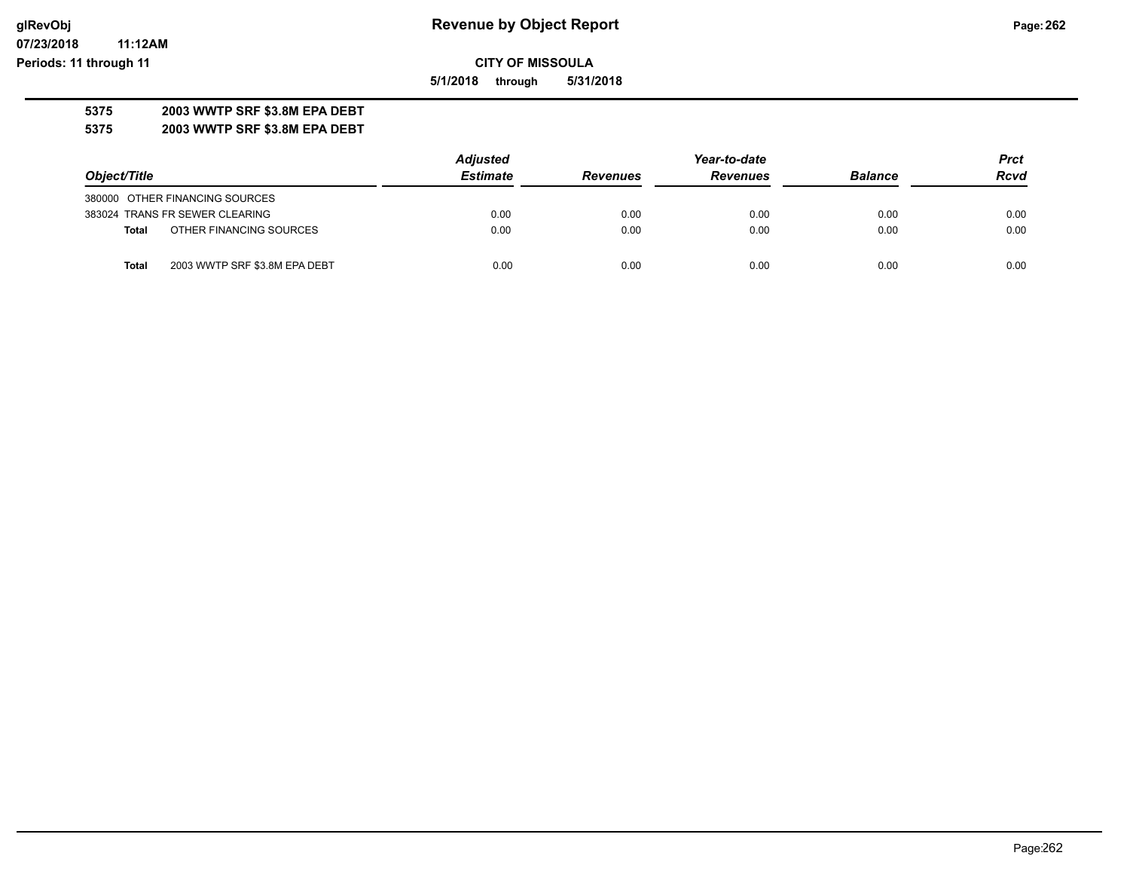**5/1/2018 through 5/31/2018**

### **5375 2003 WWTP SRF \$3.8M EPA DEBT**

**5375 2003 WWTP SRF \$3.8M EPA DEBT**

|                                        | <b>Adjusted</b> |                 | Year-to-date    |                |      |  |
|----------------------------------------|-----------------|-----------------|-----------------|----------------|------|--|
| Object/Title                           | <b>Estimate</b> | <b>Revenues</b> | <b>Revenues</b> | <b>Balance</b> | Rcvd |  |
| 380000 OTHER FINANCING SOURCES         |                 |                 |                 |                |      |  |
| 383024 TRANS FR SEWER CLEARING         | 0.00            | 0.00            | 0.00            | 0.00           | 0.00 |  |
| OTHER FINANCING SOURCES<br>Total       | 0.00            | 0.00            | 0.00            | 0.00           | 0.00 |  |
| 2003 WWTP SRF \$3.8M EPA DEBT<br>Total | 0.00            | 0.00            | 0.00            | 0.00           | 0.00 |  |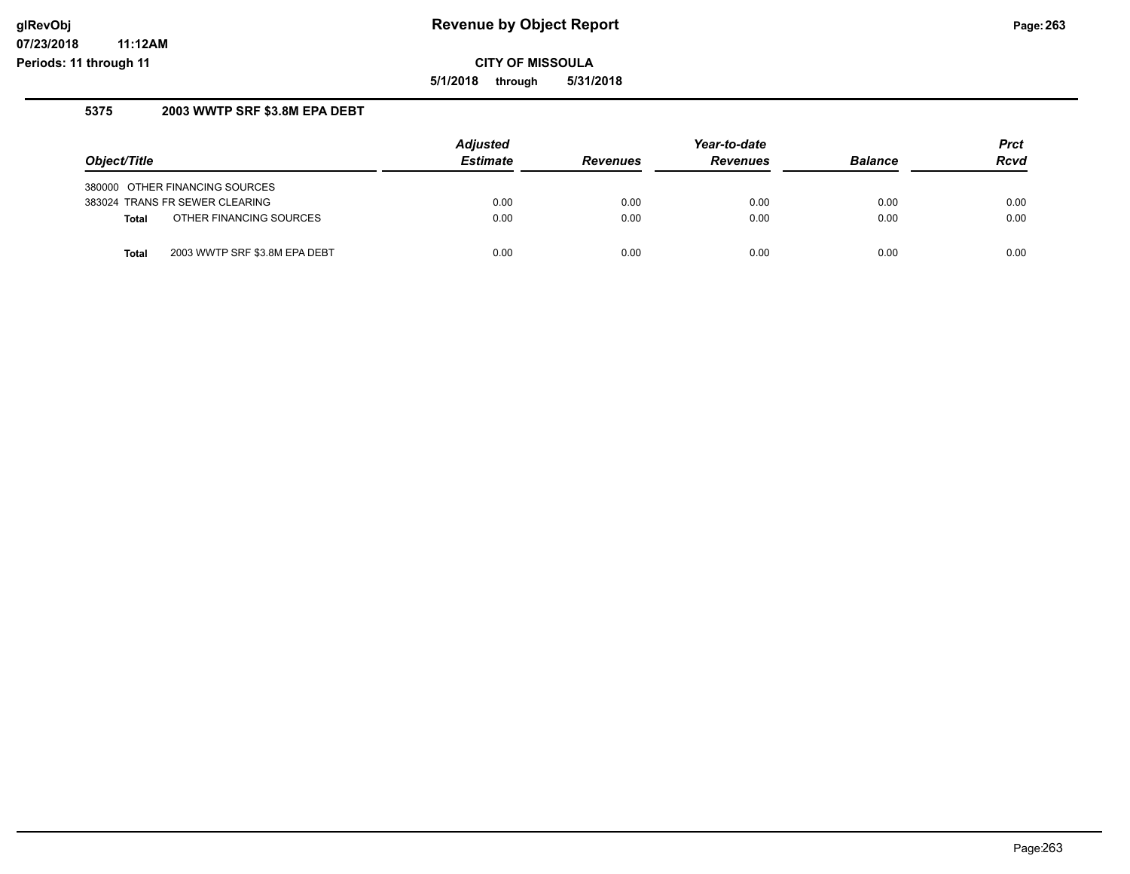**CITY OF MISSOULA**

**5/1/2018 through 5/31/2018**

#### **5375 2003 WWTP SRF \$3.8M EPA DEBT**

| Object/Title                                  | <b>Adjusted</b><br><b>Estimate</b> | <b>Revenues</b> | Year-to-date<br><b>Revenues</b> | <b>Balance</b> | <b>Prct</b><br><b>Rcvd</b> |
|-----------------------------------------------|------------------------------------|-----------------|---------------------------------|----------------|----------------------------|
| 380000 OTHER FINANCING SOURCES                |                                    |                 |                                 |                |                            |
| 383024 TRANS FR SEWER CLEARING                | 0.00                               | 0.00            | 0.00                            | 0.00           | 0.00                       |
| OTHER FINANCING SOURCES<br><b>Total</b>       | 0.00                               | 0.00            | 0.00                            | 0.00           | 0.00                       |
|                                               |                                    |                 |                                 |                |                            |
| <b>Total</b><br>2003 WWTP SRF \$3.8M EPA DEBT | 0.00                               | 0.00            | 0.00                            | 0.00           | 0.00                       |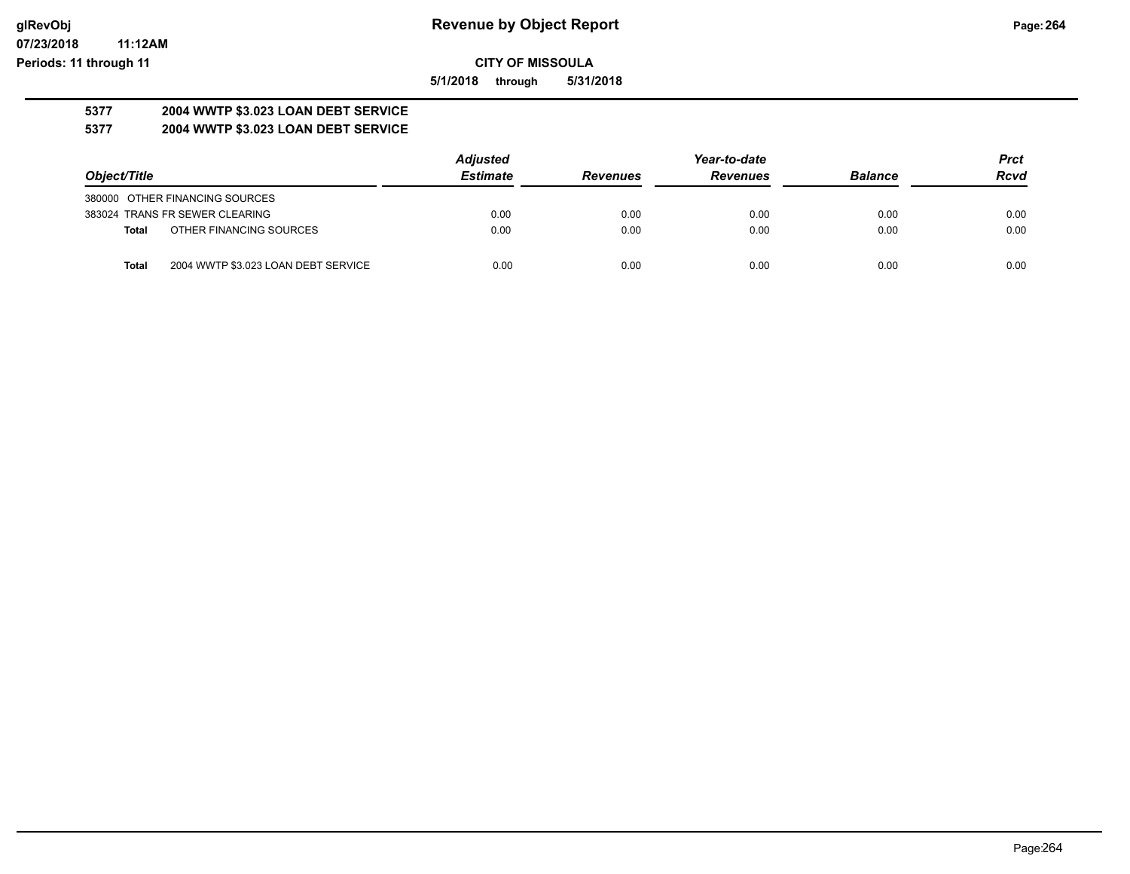**5/1/2018 through 5/31/2018**

#### **5377 2004 WWTP \$3.023 LOAN DEBT SERVICE 5377 2004 WWTP \$3.023 LOAN DEBT SERVICE**

| Object/Title |                                     | <b>Adjusted</b> |                 | Year-to-date    |                | Prct |  |
|--------------|-------------------------------------|-----------------|-----------------|-----------------|----------------|------|--|
|              |                                     | <b>Estimate</b> | <b>Revenues</b> | <b>Revenues</b> | <b>Balance</b> | Rcvd |  |
|              | 380000 OTHER FINANCING SOURCES      |                 |                 |                 |                |      |  |
|              | 383024 TRANS FR SEWER CLEARING      | 0.00            | 0.00            | 0.00            | 0.00           | 0.00 |  |
| Total        | OTHER FINANCING SOURCES             | 0.00            | 0.00            | 0.00            | 0.00           | 0.00 |  |
| Total        | 2004 WWTP \$3.023 LOAN DEBT SERVICE | 0.00            | 0.00            | 0.00            | 0.00           | 0.00 |  |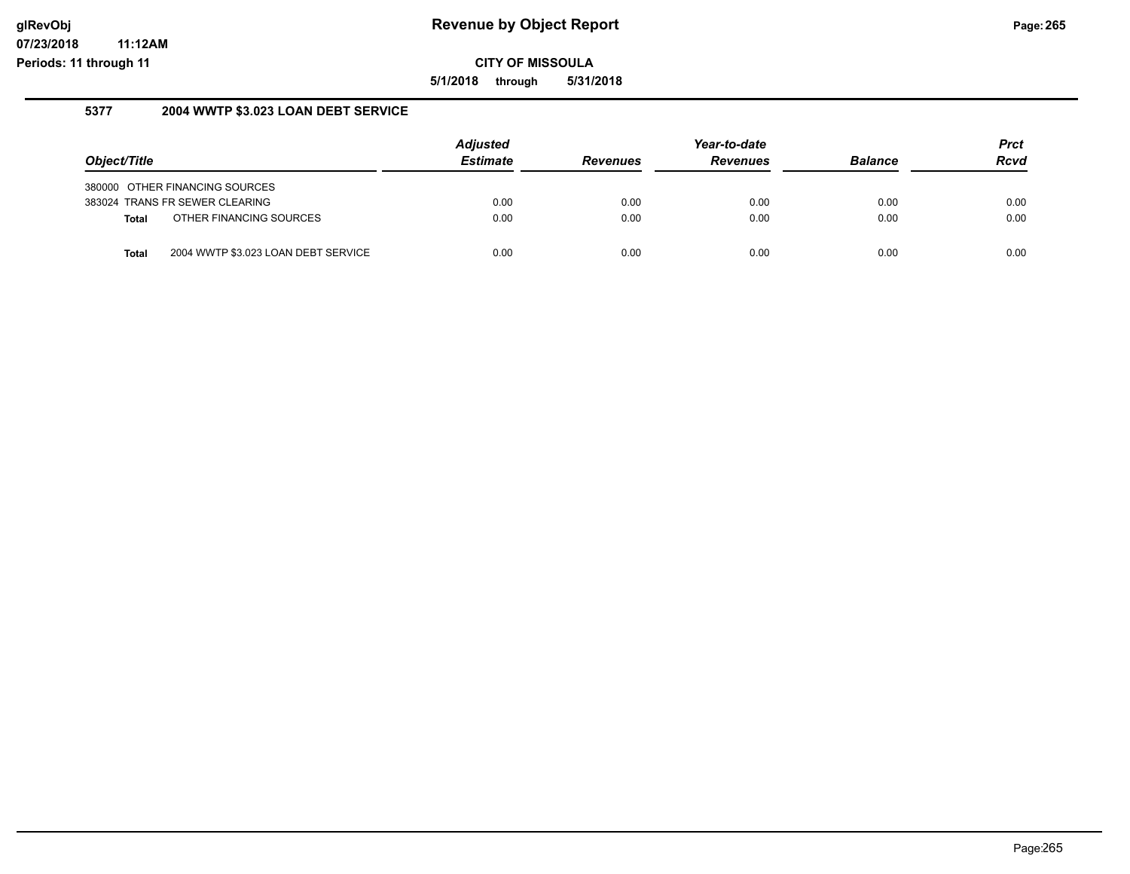**5/1/2018 through 5/31/2018**

#### **5377 2004 WWTP \$3.023 LOAN DEBT SERVICE**

| Object/Title |                                     | <b>Adjusted</b><br><b>Estimate</b> | <b>Revenues</b> | Year-to-date<br><b>Revenues</b> | <b>Balance</b> | <b>Prct</b><br><b>Rcvd</b> |
|--------------|-------------------------------------|------------------------------------|-----------------|---------------------------------|----------------|----------------------------|
|              | 380000 OTHER FINANCING SOURCES      |                                    |                 |                                 |                |                            |
|              | 383024 TRANS FR SEWER CLEARING      | 0.00                               | 0.00            | 0.00                            | 0.00           | 0.00                       |
| <b>Total</b> | OTHER FINANCING SOURCES             | 0.00                               | 0.00            | 0.00                            | 0.00           | 0.00                       |
| <b>Total</b> | 2004 WWTP \$3.023 LOAN DEBT SERVICE | 0.00                               | 0.00            | 0.00                            | 0.00           | 0.00                       |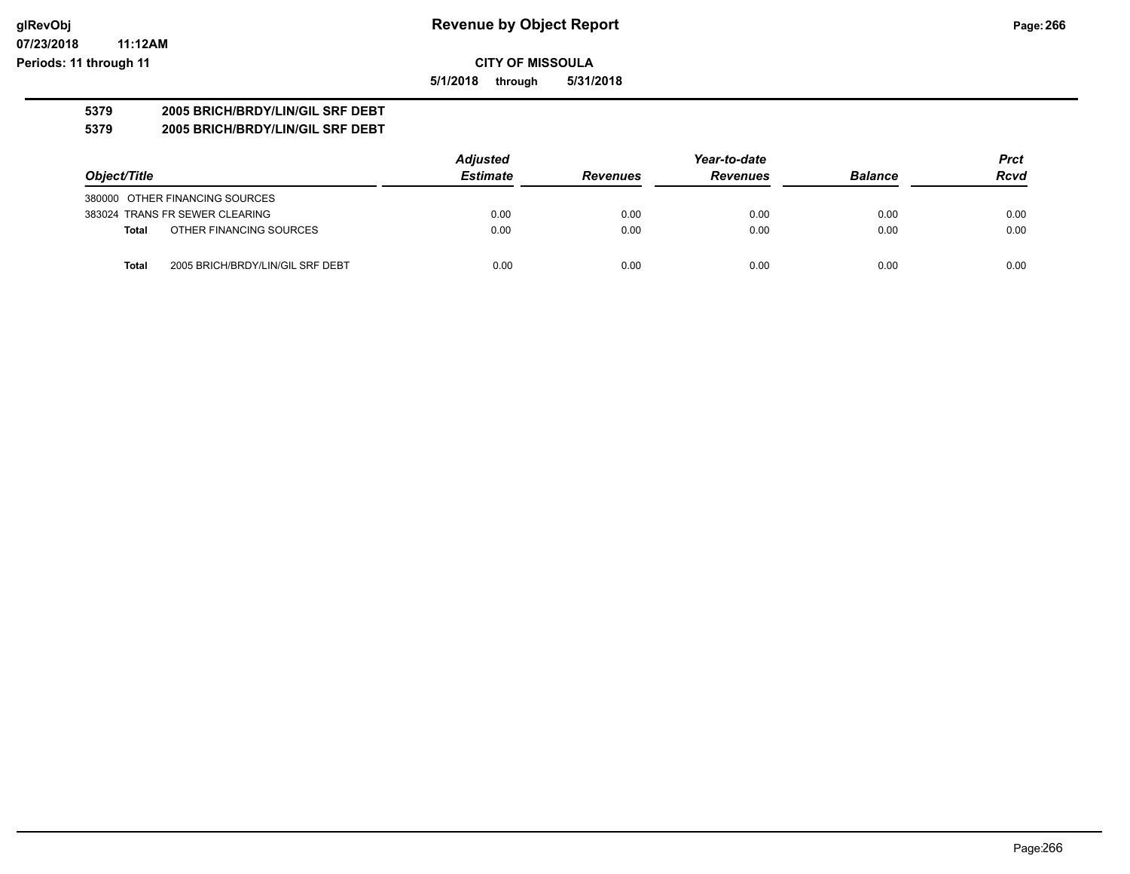**07/23/2018 11:12AM Periods: 11 through 11**

#### **CITY OF MISSOULA 5/1/2018 through 5/31/2018**

# **5379 2005 BRICH/BRDY/LIN/GIL SRF DEBT**

### **5379 2005 BRICH/BRDY/LIN/GIL SRF DEBT**

|                                                  | <b>Adjusted</b> |                 | Year-to-date    |                | <b>Prct</b> |
|--------------------------------------------------|-----------------|-----------------|-----------------|----------------|-------------|
| Object/Title                                     | <b>Estimate</b> | <b>Revenues</b> | <b>Revenues</b> | <b>Balance</b> | <b>Rcvd</b> |
| 380000 OTHER FINANCING SOURCES                   |                 |                 |                 |                |             |
| 383024 TRANS FR SEWER CLEARING                   | 0.00            | 0.00            | 0.00            | 0.00           | 0.00        |
| OTHER FINANCING SOURCES<br>Total                 | 0.00            | 0.00            | 0.00            | 0.00           | 0.00        |
| 2005 BRICH/BRDY/LIN/GIL SRF DEBT<br><b>Total</b> | 0.00            | 0.00            | 0.00            | 0.00           | 0.00        |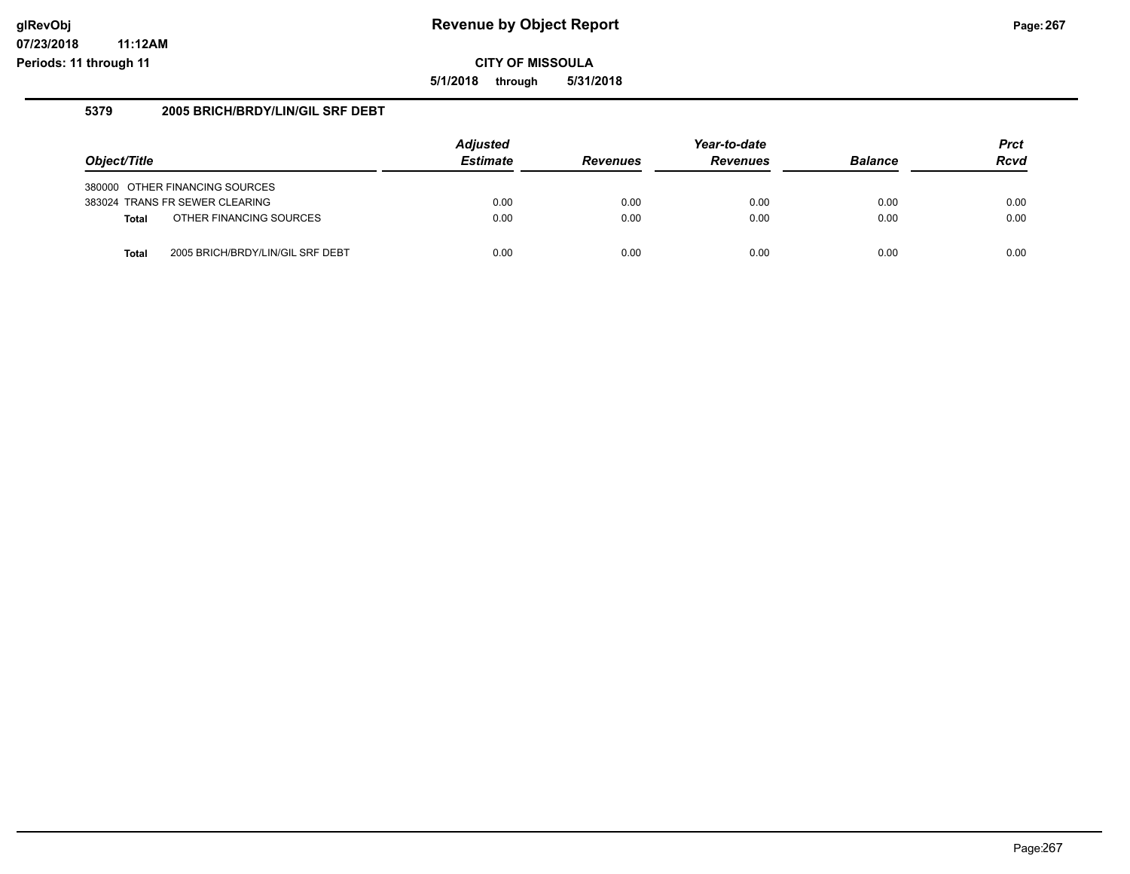**CITY OF MISSOULA**

**5/1/2018 through 5/31/2018**

#### **5379 2005 BRICH/BRDY/LIN/GIL SRF DEBT**

|              |                                  | <b>Adjusted</b> |                 | Year-to-date    |                | <b>Prct</b> |
|--------------|----------------------------------|-----------------|-----------------|-----------------|----------------|-------------|
| Object/Title |                                  | <b>Estimate</b> | <b>Revenues</b> | <b>Revenues</b> | <b>Balance</b> | <b>Rcvd</b> |
|              | 380000 OTHER FINANCING SOURCES   |                 |                 |                 |                |             |
|              | 383024 TRANS FR SEWER CLEARING   | 0.00            | 0.00            | 0.00            | 0.00           | 0.00        |
| <b>Total</b> | OTHER FINANCING SOURCES          | 0.00            | 0.00            | 0.00            | 0.00           | 0.00        |
|              |                                  |                 |                 |                 |                |             |
| <b>Total</b> | 2005 BRICH/BRDY/LIN/GIL SRF DEBT | 0.00            | 0.00            | 0.00            | 0.00           | 0.00        |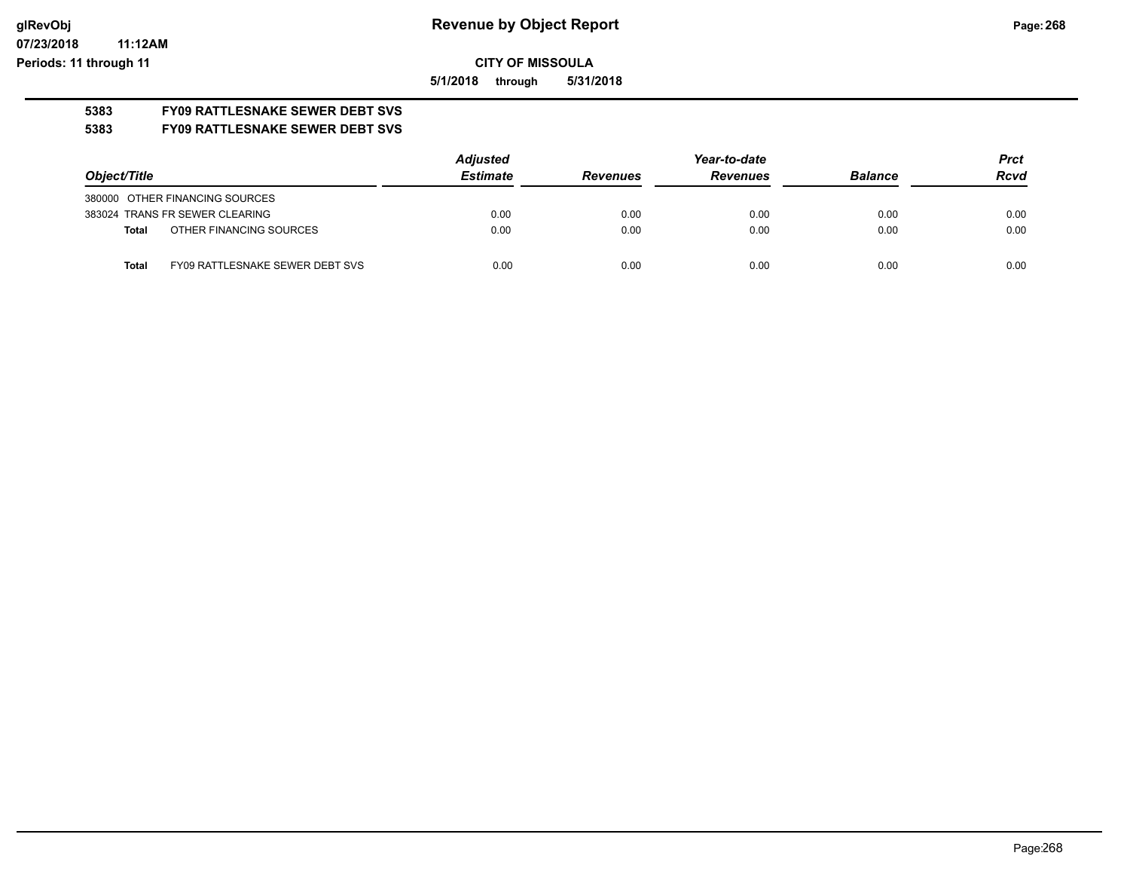#### **07/23/2018 11:12AM Periods: 11 through 11**

#### **CITY OF MISSOULA**

**5/1/2018 through 5/31/2018**

# **5383 FY09 RATTLESNAKE SEWER DEBT SVS**

### **5383 FY09 RATTLESNAKE SEWER DEBT SVS**

|                                          | <b>Adjusted</b> |                 | Year-to-date    |                |             |
|------------------------------------------|-----------------|-----------------|-----------------|----------------|-------------|
| Object/Title                             | <b>Estimate</b> | <b>Revenues</b> | <b>Revenues</b> | <b>Balance</b> | <b>Rcvd</b> |
| 380000 OTHER FINANCING SOURCES           |                 |                 |                 |                |             |
| 383024 TRANS FR SEWER CLEARING           | 0.00            | 0.00            | 0.00            | 0.00           | 0.00        |
| OTHER FINANCING SOURCES<br>Total         | 0.00            | 0.00            | 0.00            | 0.00           | 0.00        |
| FY09 RATTLESNAKE SEWER DEBT SVS<br>Total | 0.00            | 0.00            | 0.00            | 0.00           | 0.00        |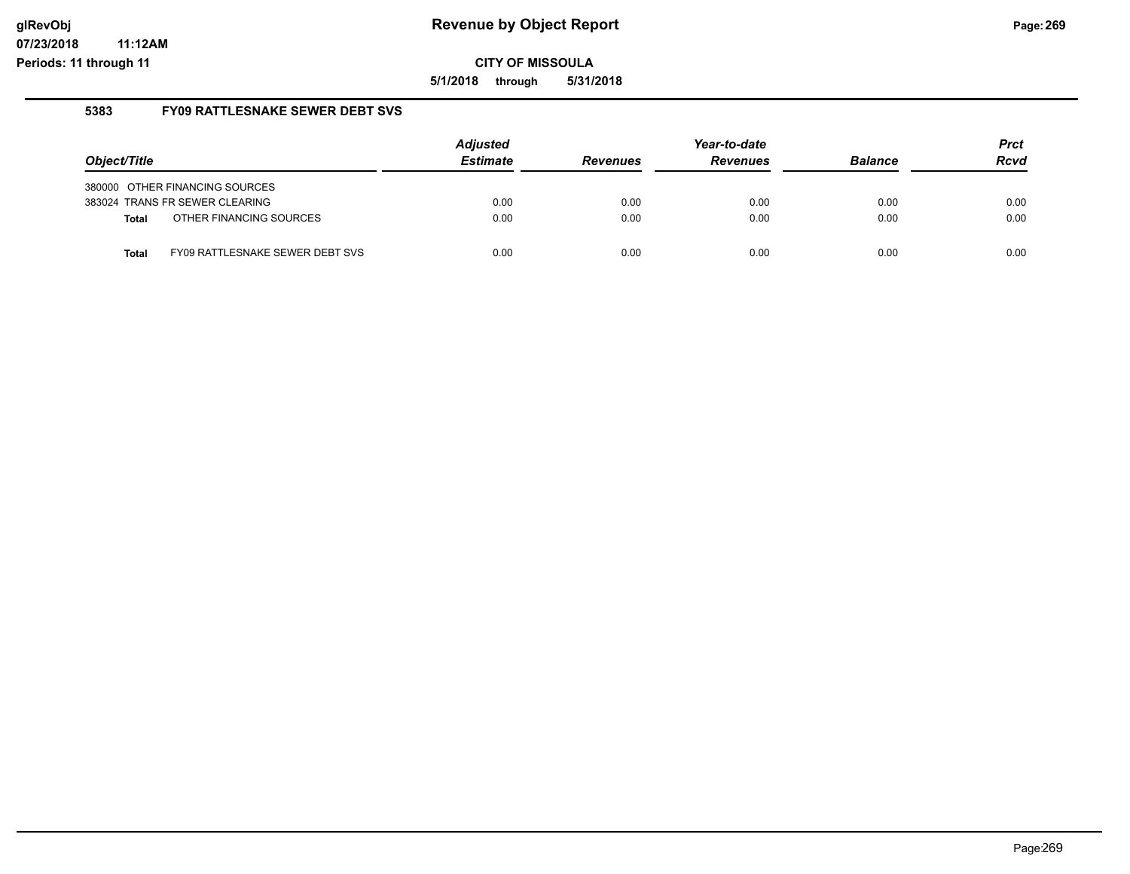**5/1/2018 through 5/31/2018**

#### **5383 FY09 RATTLESNAKE SEWER DEBT SVS**

| Object/Title |                                 | <b>Adjusted</b><br><b>Estimate</b> | <b>Revenues</b> | Year-to-date<br><b>Revenues</b> | <b>Balance</b> | <b>Prct</b><br><b>Rcvd</b> |
|--------------|---------------------------------|------------------------------------|-----------------|---------------------------------|----------------|----------------------------|
|              | 380000 OTHER FINANCING SOURCES  |                                    |                 |                                 |                |                            |
|              | 383024 TRANS FR SEWER CLEARING  | 0.00                               | 0.00            | 0.00                            | 0.00           | 0.00                       |
| Total        | OTHER FINANCING SOURCES         | 0.00                               | 0.00            | 0.00                            | 0.00           | 0.00                       |
| <b>Total</b> | FY09 RATTLESNAKE SEWER DEBT SVS | 0.00                               | 0.00            | 0.00                            | 0.00           | 0.00                       |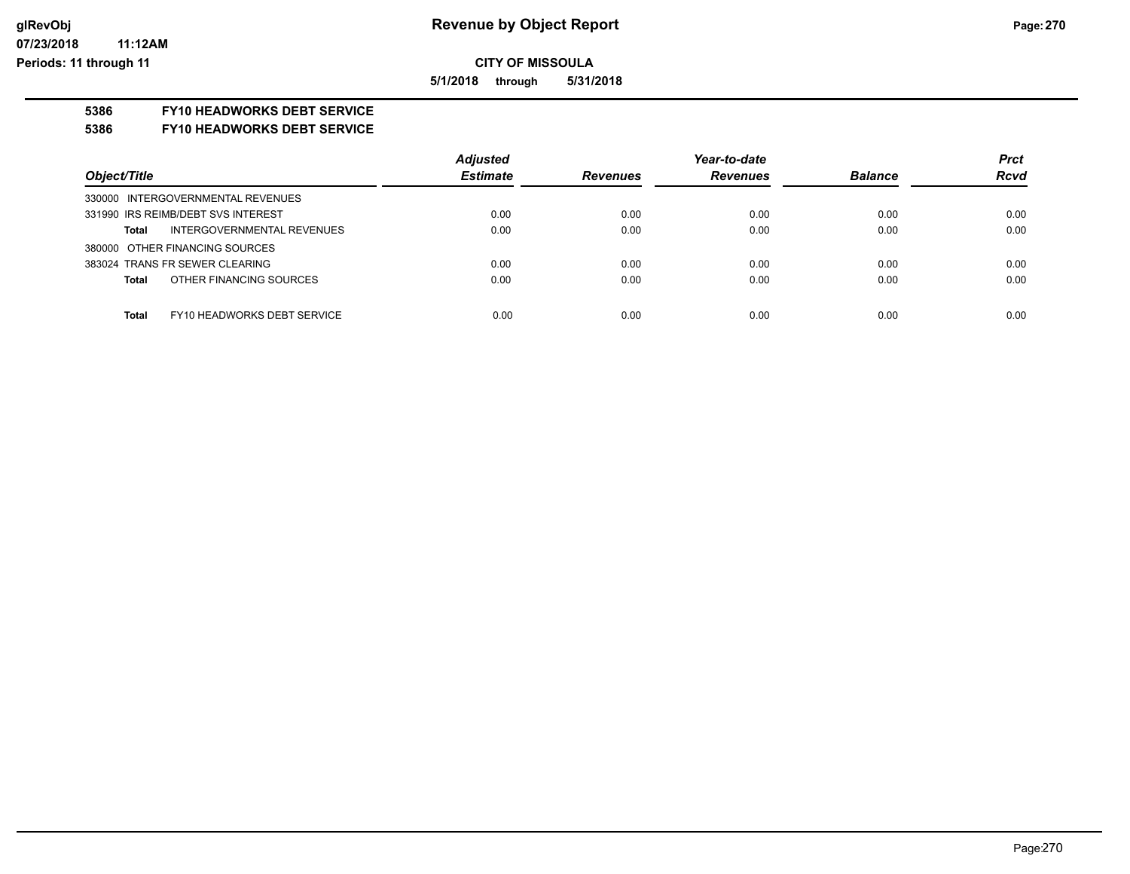**5/1/2018 through 5/31/2018**

#### **5386 FY10 HEADWORKS DEBT SERVICE**

#### **5386 FY10 HEADWORKS DEBT SERVICE**

|                                             | <b>Adjusted</b> |                 | Year-to-date    |                | <b>Prct</b> |
|---------------------------------------------|-----------------|-----------------|-----------------|----------------|-------------|
| Object/Title                                | <b>Estimate</b> | <b>Revenues</b> | <b>Revenues</b> | <b>Balance</b> | <b>Rcvd</b> |
| 330000 INTERGOVERNMENTAL REVENUES           |                 |                 |                 |                |             |
| 331990 IRS REIMB/DEBT SVS INTEREST          | 0.00            | 0.00            | 0.00            | 0.00           | 0.00        |
| INTERGOVERNMENTAL REVENUES<br><b>Total</b>  | 0.00            | 0.00            | 0.00            | 0.00           | 0.00        |
| 380000 OTHER FINANCING SOURCES              |                 |                 |                 |                |             |
| 383024 TRANS FR SEWER CLEARING              | 0.00            | 0.00            | 0.00            | 0.00           | 0.00        |
| OTHER FINANCING SOURCES<br><b>Total</b>     | 0.00            | 0.00            | 0.00            | 0.00           | 0.00        |
|                                             |                 |                 |                 |                |             |
| FY10 HEADWORKS DEBT SERVICE<br><b>Total</b> | 0.00            | 0.00            | 0.00            | 0.00           | 0.00        |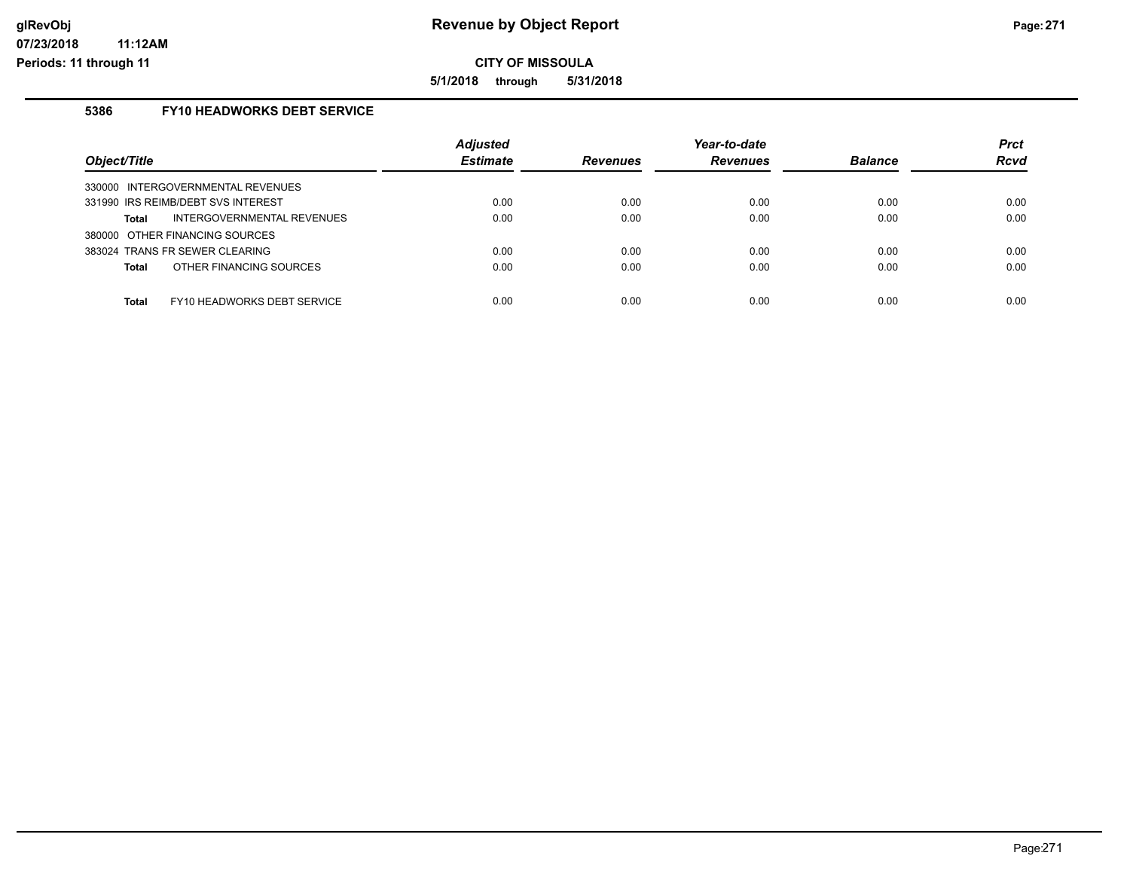**5/1/2018 through 5/31/2018**

#### **5386 FY10 HEADWORKS DEBT SERVICE**

|                                         | <b>Adjusted</b> |                 | Year-to-date    |                | <b>Prct</b> |
|-----------------------------------------|-----------------|-----------------|-----------------|----------------|-------------|
| Object/Title                            | <b>Estimate</b> | <b>Revenues</b> | <b>Revenues</b> | <b>Balance</b> | <b>Rcvd</b> |
| 330000 INTERGOVERNMENTAL REVENUES       |                 |                 |                 |                |             |
| 331990 IRS REIMB/DEBT SVS INTEREST      | 0.00            | 0.00            | 0.00            | 0.00           | 0.00        |
| INTERGOVERNMENTAL REVENUES<br>Total     | 0.00            | 0.00            | 0.00            | 0.00           | 0.00        |
| 380000 OTHER FINANCING SOURCES          |                 |                 |                 |                |             |
| 383024 TRANS FR SEWER CLEARING          | 0.00            | 0.00            | 0.00            | 0.00           | 0.00        |
| OTHER FINANCING SOURCES<br><b>Total</b> | 0.00            | 0.00            | 0.00            | 0.00           | 0.00        |
| FY10 HEADWORKS DEBT SERVICE<br>Total    | 0.00            | 0.00            | 0.00            | 0.00           | 0.00        |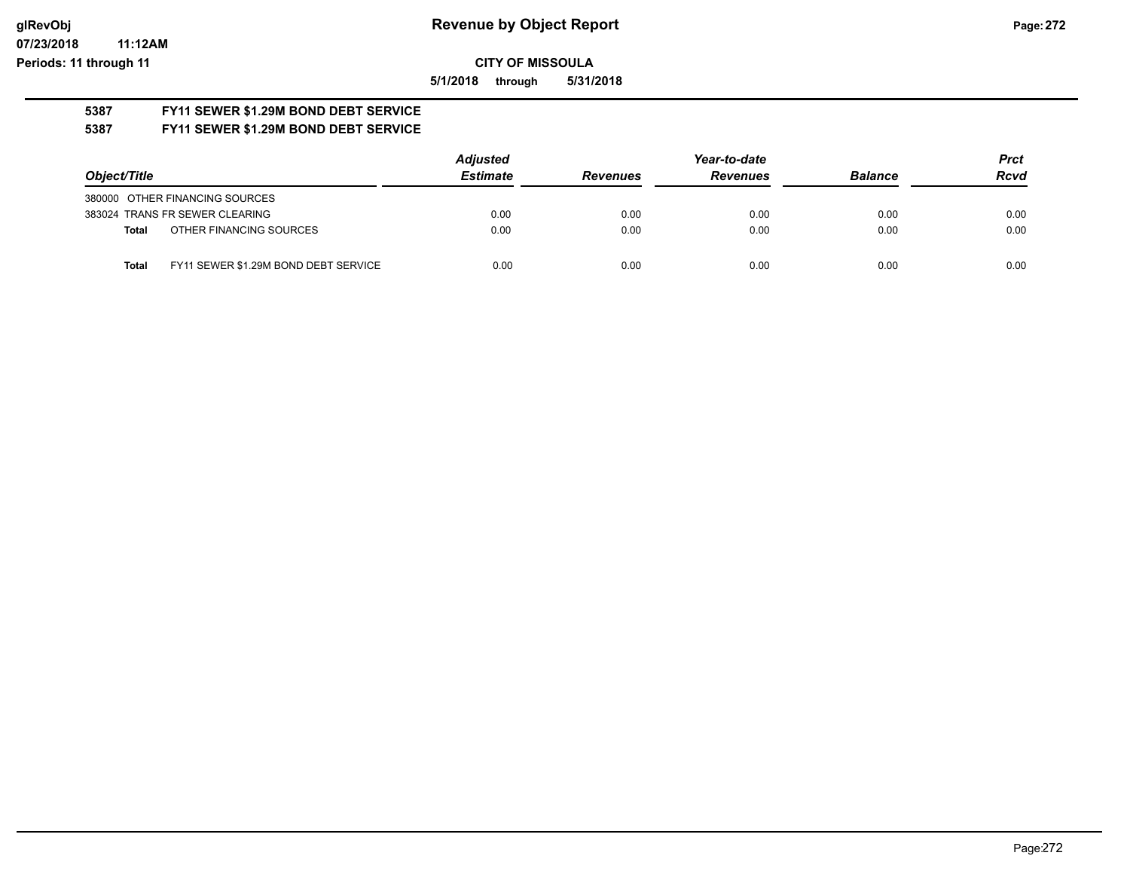# **07/23/2018**

**glRevObj Revenue by Object Report Page:272** 

**Periods: 11 through 11**

**11:12AM**

### **CITY OF MISSOULA**

**5/1/2018 through 5/31/2018**

# **5387 FY11 SEWER \$1.29M BOND DEBT SERVICE**

### **5387 FY11 SEWER \$1.29M BOND DEBT SERVICE**

|              |                                      | <b>Adjusted</b> | Year-to-date    |                 |                | <b>Prct</b> |
|--------------|--------------------------------------|-----------------|-----------------|-----------------|----------------|-------------|
| Object/Title |                                      | <b>Estimate</b> | <b>Revenues</b> | <b>Revenues</b> | <b>Balance</b> | <b>Rcvd</b> |
|              | 380000 OTHER FINANCING SOURCES       |                 |                 |                 |                |             |
|              | 383024 TRANS FR SEWER CLEARING       | 0.00            | 0.00            | 0.00            | 0.00           | 0.00        |
| Total        | OTHER FINANCING SOURCES              | 0.00            | 0.00            | 0.00            | 0.00           | 0.00        |
| <b>Total</b> | FY11 SEWER \$1.29M BOND DEBT SERVICE | 0.00            | 0.00            | 0.00            | 0.00           | 0.00        |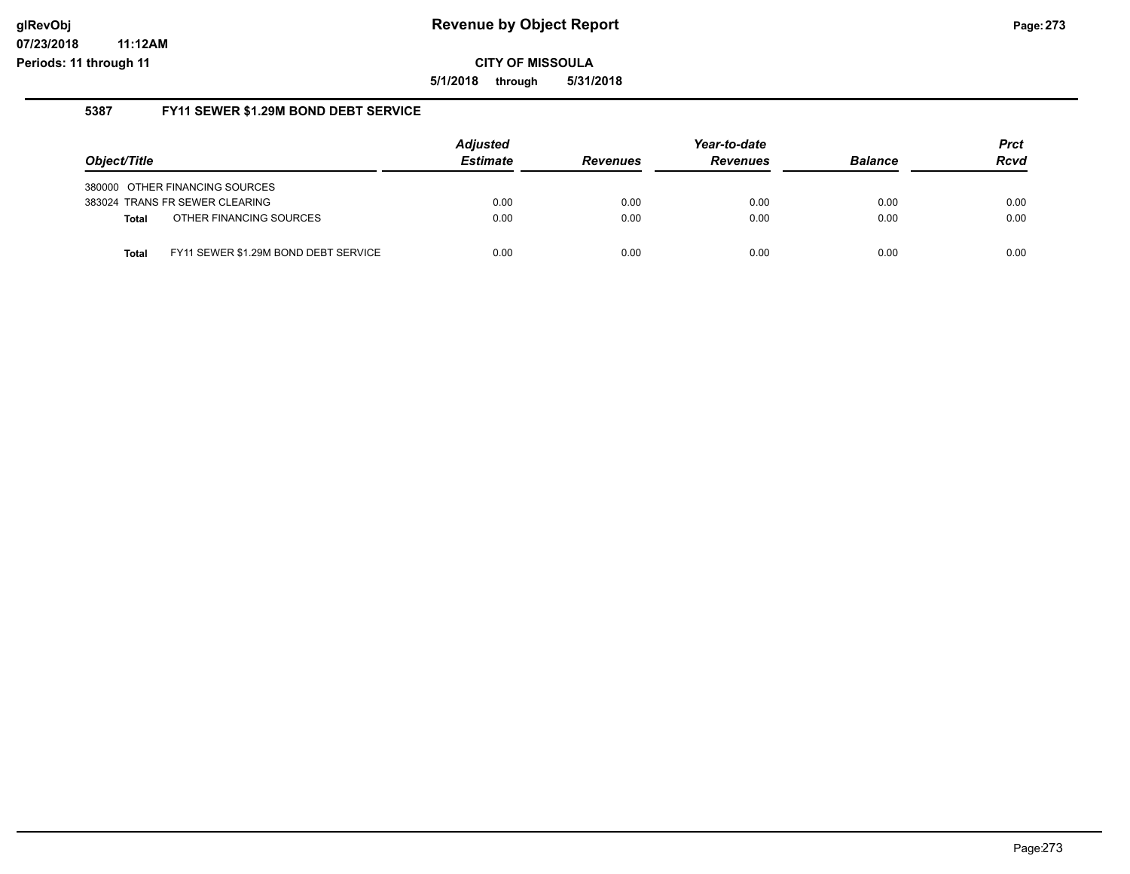**5/1/2018 through 5/31/2018**

#### **5387 FY11 SEWER \$1.29M BOND DEBT SERVICE**

| Object/Title |                                      | <b>Adjusted</b><br><b>Estimate</b> | <b>Revenues</b> | Year-to-date<br><b>Revenues</b> | <b>Balance</b> | <b>Prct</b><br><b>Rcvd</b> |
|--------------|--------------------------------------|------------------------------------|-----------------|---------------------------------|----------------|----------------------------|
|              | 380000 OTHER FINANCING SOURCES       |                                    |                 |                                 |                |                            |
|              | 383024 TRANS FR SEWER CLEARING       | 0.00                               | 0.00            | 0.00                            | 0.00           | 0.00                       |
| <b>Total</b> | OTHER FINANCING SOURCES              | 0.00                               | 0.00            | 0.00                            | 0.00           | 0.00                       |
| Total        | FY11 SEWER \$1.29M BOND DEBT SERVICE | 0.00                               | 0.00            | 0.00                            | 0.00           | 0.00                       |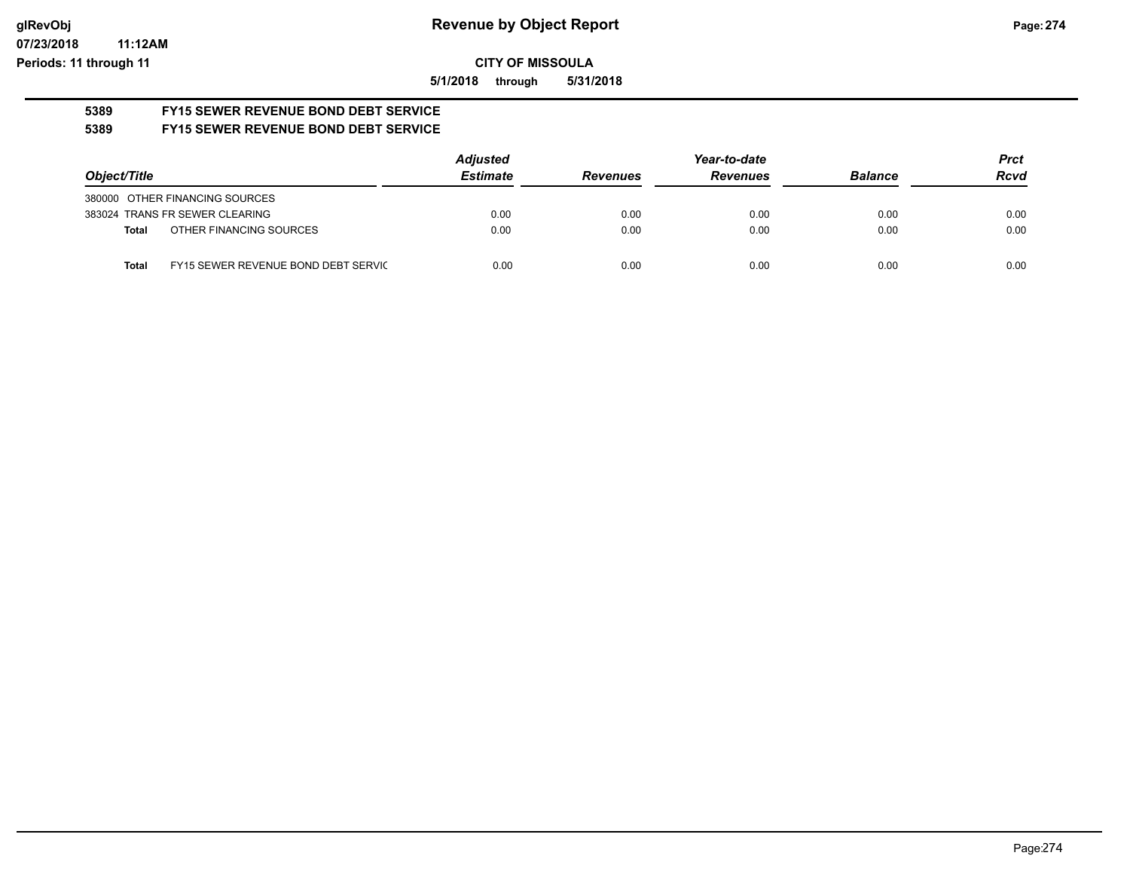**07/23/2018 11:12AM Periods: 11 through 11**

**CITY OF MISSOULA**

**5/1/2018 through 5/31/2018**

#### **5389 FY15 SEWER REVENUE BOND DEBT SERVICE 5389 FY15 SEWER REVENUE BOND DEBT SERVICE**

|              |                                     | <b>Adjusted</b> |                 | Year-to-date    | <b>Prct</b>    |             |
|--------------|-------------------------------------|-----------------|-----------------|-----------------|----------------|-------------|
| Object/Title |                                     | <b>Estimate</b> | <b>Revenues</b> | <b>Revenues</b> | <b>Balance</b> | <b>Rcvd</b> |
|              | 380000 OTHER FINANCING SOURCES      |                 |                 |                 |                |             |
|              | 383024 TRANS FR SEWER CLEARING      | 0.00            | 0.00            | 0.00            | 0.00           | 0.00        |
| Total        | OTHER FINANCING SOURCES             | 0.00            | 0.00            | 0.00            | 0.00           | 0.00        |
| <b>Total</b> | FY15 SEWER REVENUE BOND DEBT SERVIC | 0.00            | 0.00            | 0.00            | 0.00           | 0.00        |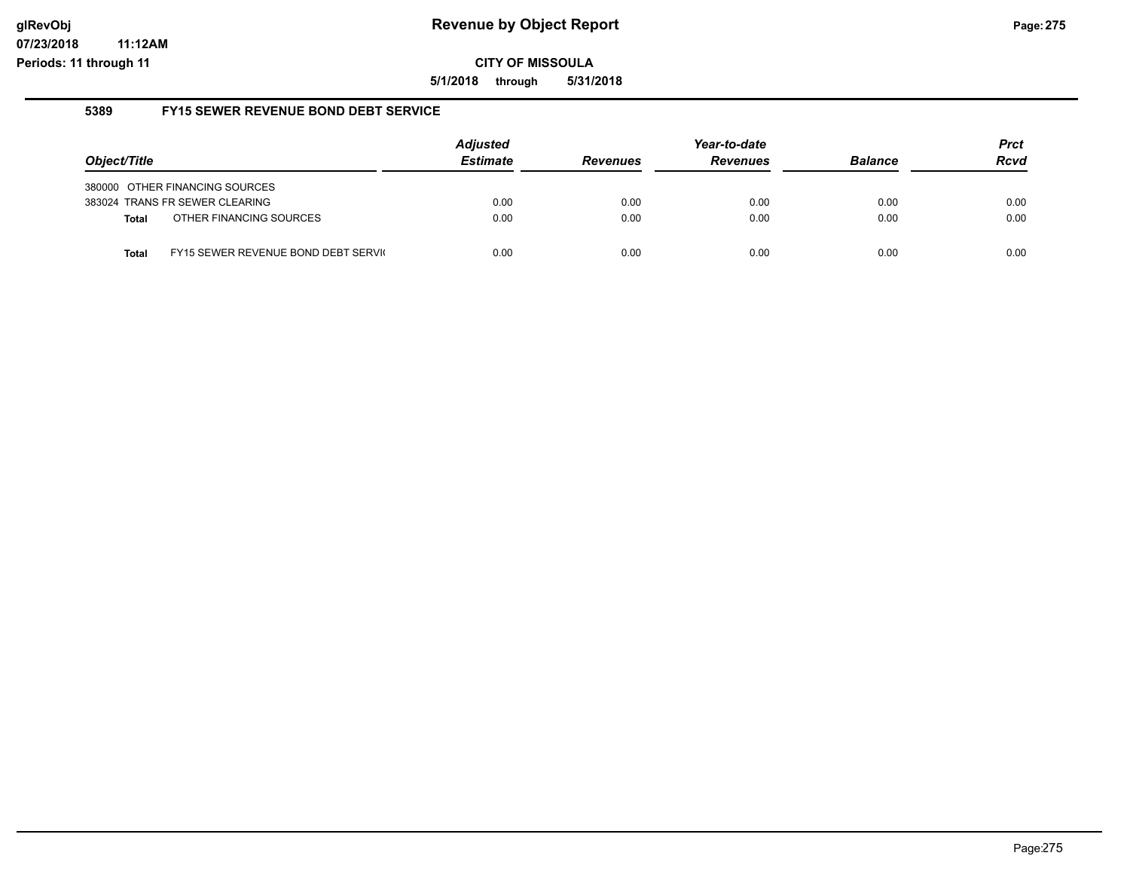**11:12AM**

**CITY OF MISSOULA**

**5/1/2018 through 5/31/2018**

#### **5389 FY15 SEWER REVENUE BOND DEBT SERVICE**

| Object/Title |                                     | <b>Adjusted</b><br><b>Estimate</b> | <b>Revenues</b> | Year-to-date<br><b>Revenues</b> | <b>Balance</b> | Prct<br><b>Rcvd</b> |
|--------------|-------------------------------------|------------------------------------|-----------------|---------------------------------|----------------|---------------------|
|              | 380000 OTHER FINANCING SOURCES      |                                    |                 |                                 |                |                     |
|              | 383024 TRANS FR SEWER CLEARING      | 0.00                               | 0.00            | 0.00                            | 0.00           | 0.00                |
| Total        | OTHER FINANCING SOURCES             | 0.00                               | 0.00            | 0.00                            | 0.00           | 0.00                |
| <b>Total</b> | FY15 SEWER REVENUE BOND DEBT SERVIC | 0.00                               | 0.00            | 0.00                            | 0.00           | 0.00                |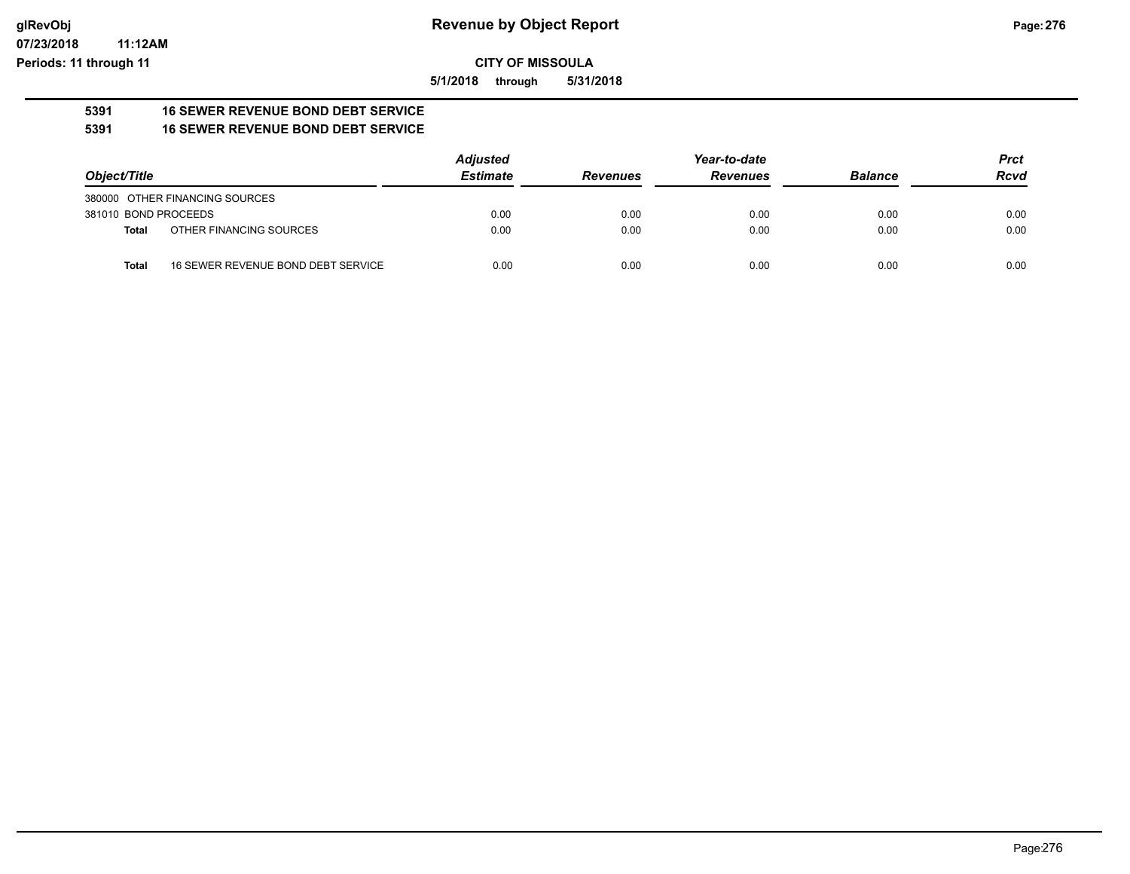#### **07/23/2018 11:12AM**

**Periods: 11 through 11**

**CITY OF MISSOULA**

**5/1/2018 through 5/31/2018**

#### **5391 16 SEWER REVENUE BOND DEBT SERVICE 5391 16 SEWER REVENUE BOND DEBT SERVICE**

|                      |                                    | <b>Adjusted</b> |                 | Year-to-date    |                | <b>Prct</b> |
|----------------------|------------------------------------|-----------------|-----------------|-----------------|----------------|-------------|
| Object/Title         |                                    | <b>Estimate</b> | <b>Revenues</b> | <b>Revenues</b> | <b>Balance</b> | <b>Rcvd</b> |
|                      | 380000 OTHER FINANCING SOURCES     |                 |                 |                 |                |             |
| 381010 BOND PROCEEDS |                                    | 0.00            | 0.00            | 0.00            | 0.00           | 0.00        |
| Total                | OTHER FINANCING SOURCES            | 0.00            | 0.00            | 0.00            | 0.00           | 0.00        |
| <b>Total</b>         | 16 SEWER REVENUE BOND DEBT SERVICE | 0.00            | 0.00            | 0.00            | 0.00           | 0.00        |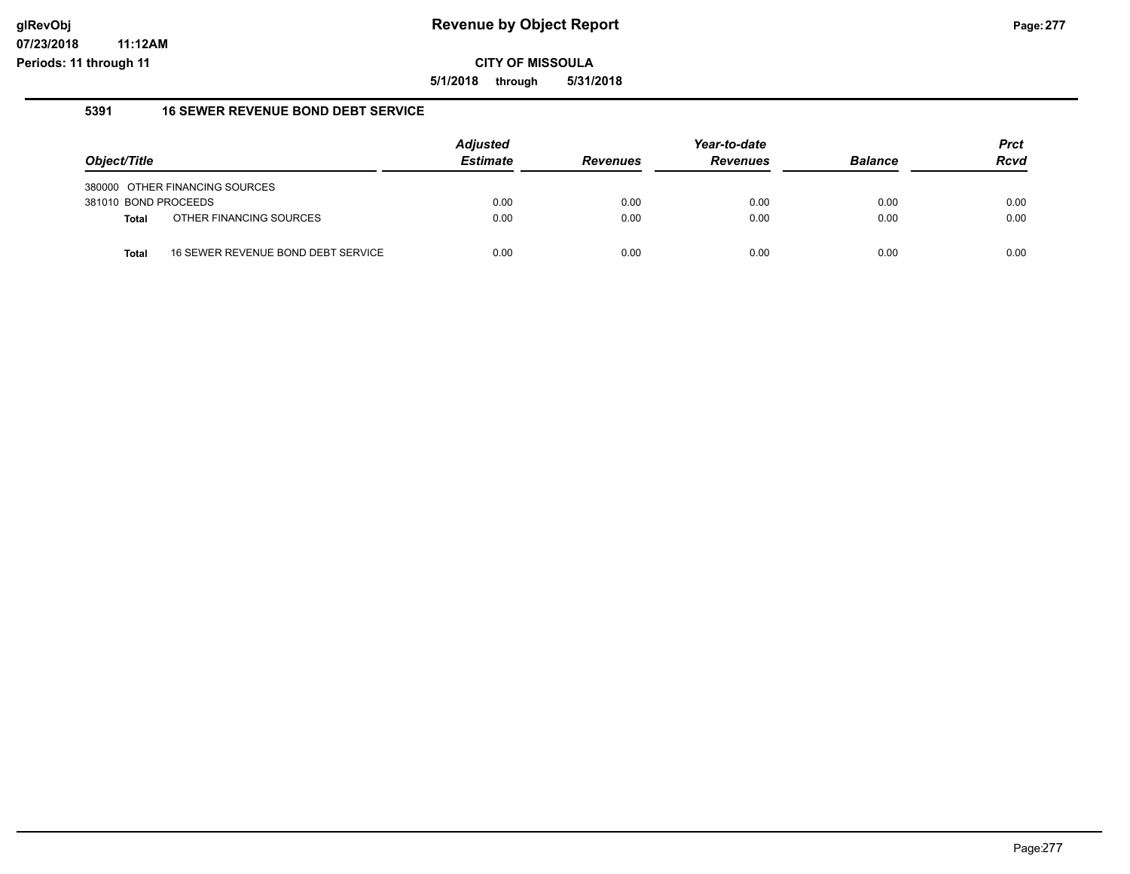**5/1/2018 through 5/31/2018**

#### **5391 16 SEWER REVENUE BOND DEBT SERVICE**

| Object/Title         |                                    | Adjusted<br><b>Estimate</b> | <b>Revenues</b> | Year-to-date<br><b>Revenues</b> | <b>Balance</b> | <b>Prct</b><br><b>Rcvd</b> |
|----------------------|------------------------------------|-----------------------------|-----------------|---------------------------------|----------------|----------------------------|
|                      | 380000 OTHER FINANCING SOURCES     |                             |                 |                                 |                |                            |
| 381010 BOND PROCEEDS |                                    | 0.00                        | 0.00            | 0.00                            | 0.00           | 0.00                       |
| <b>Total</b>         | OTHER FINANCING SOURCES            | 0.00                        | 0.00            | 0.00                            | 0.00           | 0.00                       |
| Total                | 16 SEWER REVENUE BOND DEBT SERVICE | 0.00                        | 0.00            | 0.00                            | 0.00           | 0.00                       |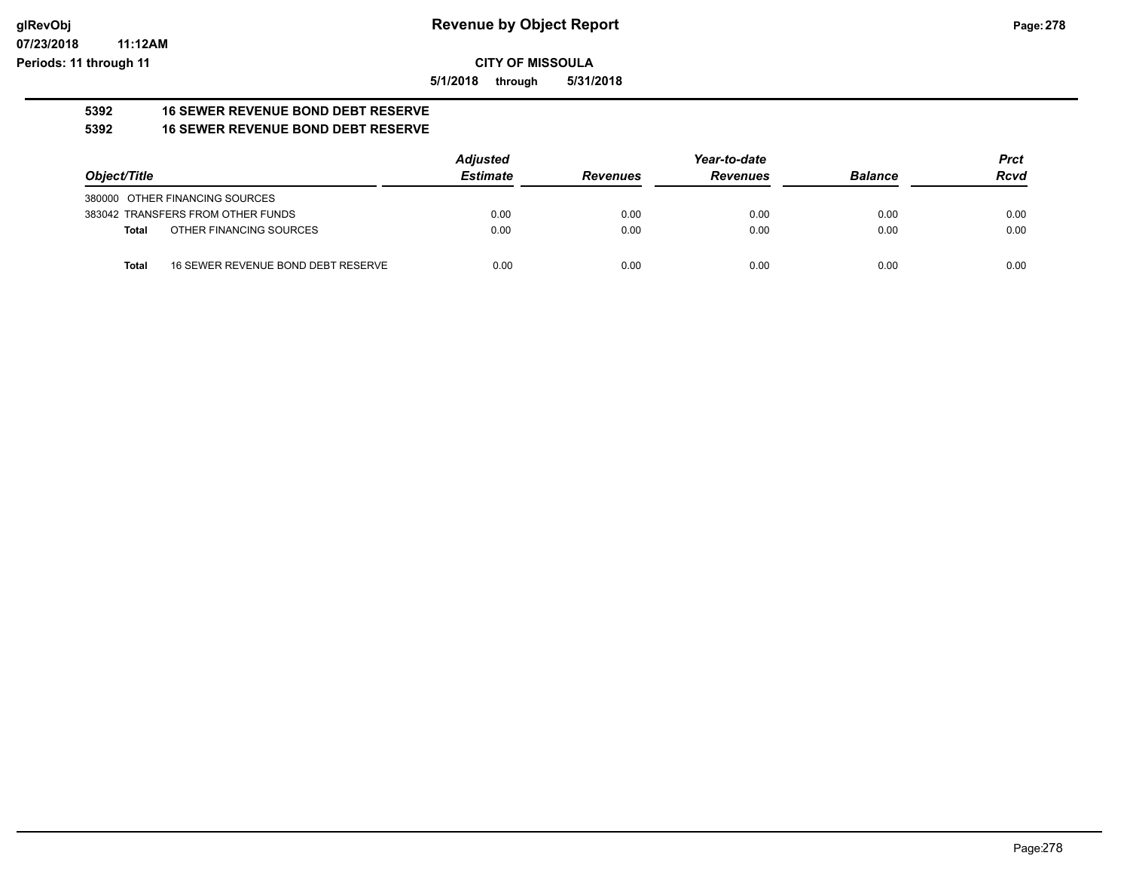#### **07/23/2018 11:12AM Periods: 11 through 11**

**CITY OF MISSOULA**

**5/1/2018 through 5/31/2018**

#### **5392 16 SEWER REVENUE BOND DEBT RESERVE 5392 16 SEWER REVENUE BOND DEBT RESERVE**

|              |                                    | <b>Adjusted</b> |                 | Year-to-date    |                | <b>Prct</b> |
|--------------|------------------------------------|-----------------|-----------------|-----------------|----------------|-------------|
| Object/Title |                                    | <b>Estimate</b> | <b>Revenues</b> | <b>Revenues</b> | <b>Balance</b> | <b>Rcvd</b> |
|              | 380000 OTHER FINANCING SOURCES     |                 |                 |                 |                |             |
|              | 383042 TRANSFERS FROM OTHER FUNDS  | 0.00            | 0.00            | 0.00            | 0.00           | 0.00        |
| Total        | OTHER FINANCING SOURCES            | 0.00            | 0.00            | 0.00            | 0.00           | 0.00        |
| <b>Total</b> | 16 SEWER REVENUE BOND DEBT RESERVE | 0.00            | 0.00            | 0.00            | 0.00           | 0.00        |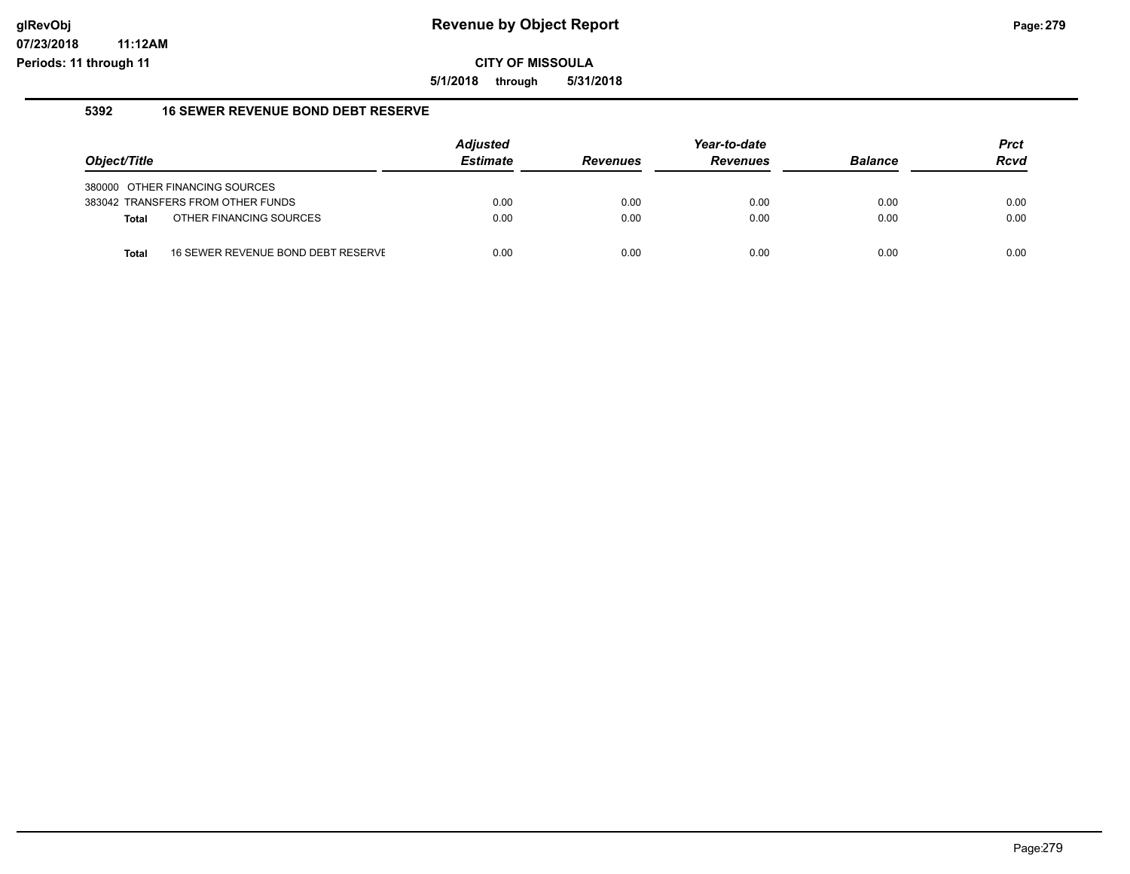**5/1/2018 through 5/31/2018**

#### **5392 16 SEWER REVENUE BOND DEBT RESERVE**

| Object/Title |                                    |      | <b>Revenues</b> | Year-to-date<br><b>Revenues</b> | <b>Balance</b> | <b>Prct</b><br><b>Rcvd</b> |
|--------------|------------------------------------|------|-----------------|---------------------------------|----------------|----------------------------|
|              | 380000 OTHER FINANCING SOURCES     |      |                 |                                 |                |                            |
|              | 383042 TRANSFERS FROM OTHER FUNDS  | 0.00 | 0.00            | 0.00                            | 0.00           | 0.00                       |
| <b>Total</b> | OTHER FINANCING SOURCES            | 0.00 | 0.00            | 0.00                            | 0.00           | 0.00                       |
| <b>Total</b> | 16 SEWER REVENUE BOND DEBT RESERVE | 0.00 | 0.00            | 0.00                            | 0.00           | 0.00                       |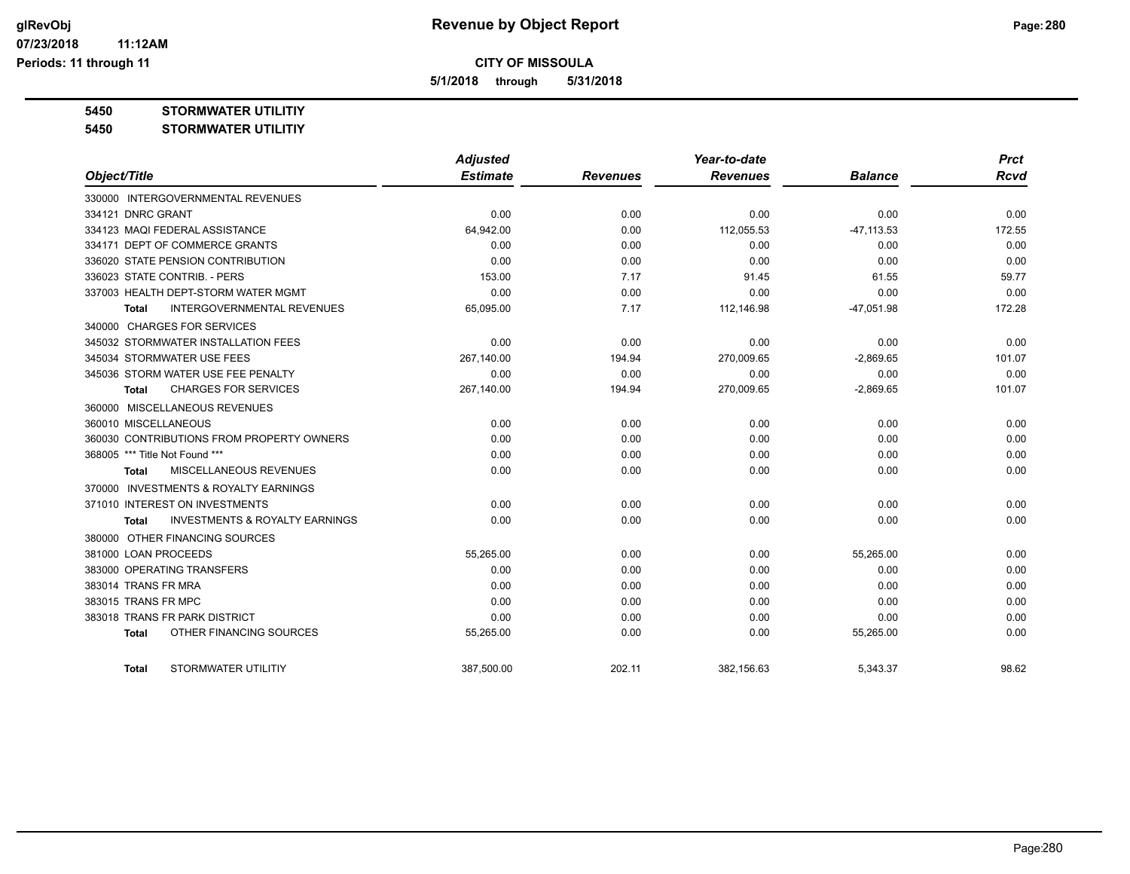**5/1/2018 through 5/31/2018**

**5450 STORMWATER UTILITIY**

**5450 STORMWATER UTILITIY**

|                                                     | <b>Adjusted</b> |                 | Year-to-date    |                | <b>Prct</b> |
|-----------------------------------------------------|-----------------|-----------------|-----------------|----------------|-------------|
| Object/Title                                        | <b>Estimate</b> | <b>Revenues</b> | <b>Revenues</b> | <b>Balance</b> | <b>Rcvd</b> |
| 330000 INTERGOVERNMENTAL REVENUES                   |                 |                 |                 |                |             |
| 334121 DNRC GRANT                                   | 0.00            | 0.00            | 0.00            | 0.00           | 0.00        |
| 334123 MAQI FEDERAL ASSISTANCE                      | 64,942.00       | 0.00            | 112.055.53      | $-47, 113.53$  | 172.55      |
| 334171 DEPT OF COMMERCE GRANTS                      | 0.00            | 0.00            | 0.00            | 0.00           | 0.00        |
| 336020 STATE PENSION CONTRIBUTION                   | 0.00            | 0.00            | 0.00            | 0.00           | 0.00        |
| 336023 STATE CONTRIB. - PERS                        | 153.00          | 7.17            | 91.45           | 61.55          | 59.77       |
| 337003 HEALTH DEPT-STORM WATER MGMT                 | 0.00            | 0.00            | 0.00            | 0.00           | 0.00        |
| <b>INTERGOVERNMENTAL REVENUES</b><br>Total          | 65,095.00       | 7.17            | 112,146.98      | $-47,051.98$   | 172.28      |
| 340000 CHARGES FOR SERVICES                         |                 |                 |                 |                |             |
| 345032 STORMWATER INSTALLATION FEES                 | 0.00            | 0.00            | 0.00            | 0.00           | 0.00        |
| 345034 STORMWATER USE FEES                          | 267,140.00      | 194.94          | 270,009.65      | $-2,869.65$    | 101.07      |
| 345036 STORM WATER USE FEE PENALTY                  | 0.00            | 0.00            | 0.00            | 0.00           | 0.00        |
| <b>CHARGES FOR SERVICES</b><br>Total                | 267,140.00      | 194.94          | 270,009.65      | $-2,869.65$    | 101.07      |
| 360000 MISCELLANEOUS REVENUES                       |                 |                 |                 |                |             |
| 360010 MISCELLANEOUS                                | 0.00            | 0.00            | 0.00            | 0.00           | 0.00        |
| 360030 CONTRIBUTIONS FROM PROPERTY OWNERS           | 0.00            | 0.00            | 0.00            | 0.00           | 0.00        |
| 368005 *** Title Not Found ***                      | 0.00            | 0.00            | 0.00            | 0.00           | 0.00        |
| MISCELLANEOUS REVENUES<br>Total                     | 0.00            | 0.00            | 0.00            | 0.00           | 0.00        |
| <b>INVESTMENTS &amp; ROYALTY EARNINGS</b><br>370000 |                 |                 |                 |                |             |
| 371010 INTEREST ON INVESTMENTS                      | 0.00            | 0.00            | 0.00            | 0.00           | 0.00        |
| <b>INVESTMENTS &amp; ROYALTY EARNINGS</b><br>Total  | 0.00            | 0.00            | 0.00            | 0.00           | 0.00        |
| 380000 OTHER FINANCING SOURCES                      |                 |                 |                 |                |             |
| 381000 LOAN PROCEEDS                                | 55,265.00       | 0.00            | 0.00            | 55,265.00      | 0.00        |
| 383000 OPERATING TRANSFERS                          | 0.00            | 0.00            | 0.00            | 0.00           | 0.00        |
| 383014 TRANS FR MRA                                 | 0.00            | 0.00            | 0.00            | 0.00           | 0.00        |
| 383015 TRANS FR MPC                                 | 0.00            | 0.00            | 0.00            | 0.00           | 0.00        |
| 383018 TRANS FR PARK DISTRICT                       | 0.00            | 0.00            | 0.00            | 0.00           | 0.00        |
| OTHER FINANCING SOURCES<br><b>Total</b>             | 55,265.00       | 0.00            | 0.00            | 55,265.00      | 0.00        |
| STORMWATER UTILITIY<br>Total                        | 387.500.00      | 202.11          | 382.156.63      | 5.343.37       | 98.62       |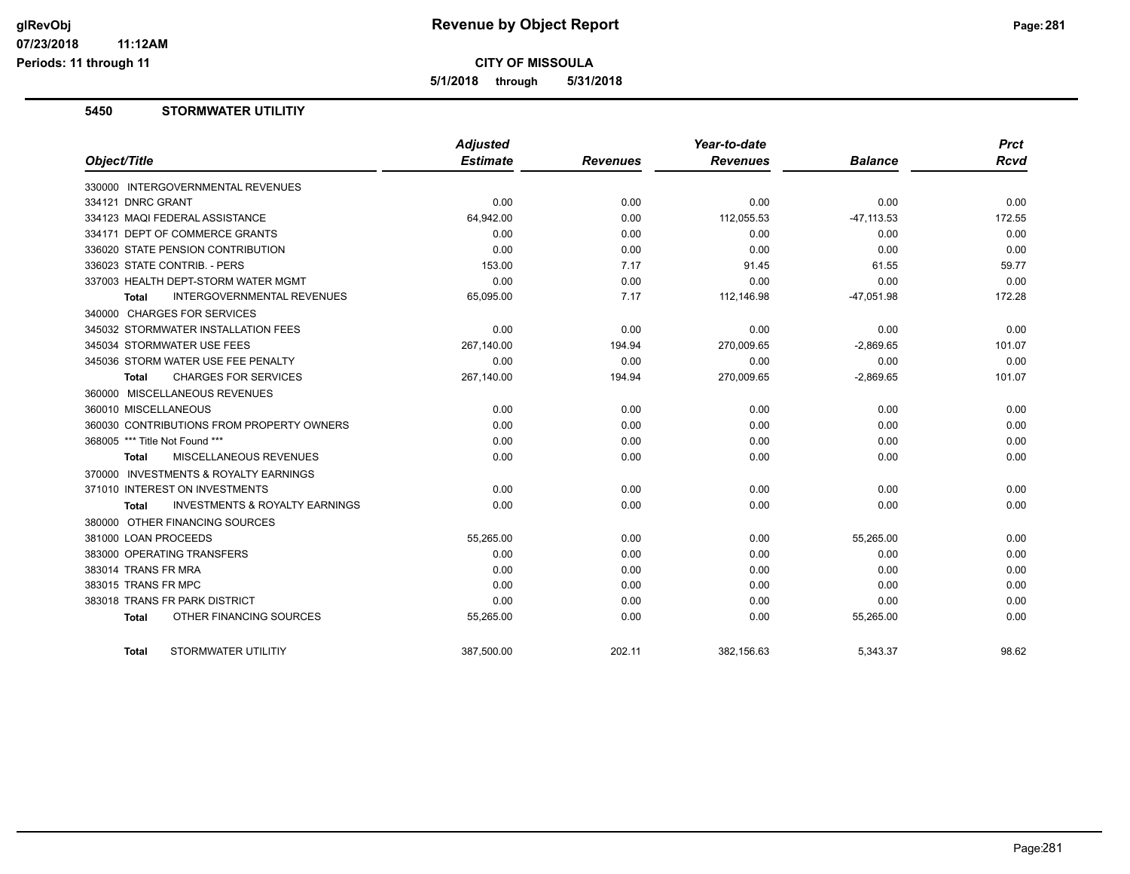**5/1/2018 through 5/31/2018**

#### **5450 STORMWATER UTILITIY**

|                                                    | <b>Adjusted</b> |                 | Year-to-date    |                | <b>Prct</b> |
|----------------------------------------------------|-----------------|-----------------|-----------------|----------------|-------------|
| Object/Title                                       | <b>Estimate</b> | <b>Revenues</b> | <b>Revenues</b> | <b>Balance</b> | <b>Rcvd</b> |
| 330000 INTERGOVERNMENTAL REVENUES                  |                 |                 |                 |                |             |
| 334121 DNRC GRANT                                  | 0.00            | 0.00            | 0.00            | 0.00           | 0.00        |
| 334123 MAQI FEDERAL ASSISTANCE                     | 64,942.00       | 0.00            | 112,055.53      | $-47, 113.53$  | 172.55      |
| 334171 DEPT OF COMMERCE GRANTS                     | 0.00            | 0.00            | 0.00            | 0.00           | 0.00        |
| 336020 STATE PENSION CONTRIBUTION                  | 0.00            | 0.00            | 0.00            | 0.00           | 0.00        |
| 336023 STATE CONTRIB. - PERS                       | 153.00          | 7.17            | 91.45           | 61.55          | 59.77       |
| 337003 HEALTH DEPT-STORM WATER MGMT                | 0.00            | 0.00            | 0.00            | 0.00           | 0.00        |
| <b>INTERGOVERNMENTAL REVENUES</b><br>Total         | 65,095.00       | 7.17            | 112,146.98      | $-47,051.98$   | 172.28      |
| 340000 CHARGES FOR SERVICES                        |                 |                 |                 |                |             |
| 345032 STORMWATER INSTALLATION FEES                | 0.00            | 0.00            | 0.00            | 0.00           | 0.00        |
| 345034 STORMWATER USE FEES                         | 267,140.00      | 194.94          | 270,009.65      | $-2,869.65$    | 101.07      |
| 345036 STORM WATER USE FEE PENALTY                 | 0.00            | 0.00            | 0.00            | 0.00           | 0.00        |
| <b>CHARGES FOR SERVICES</b><br>Total               | 267,140.00      | 194.94          | 270,009.65      | $-2,869.65$    | 101.07      |
| 360000 MISCELLANEOUS REVENUES                      |                 |                 |                 |                |             |
| 360010 MISCELLANEOUS                               | 0.00            | 0.00            | 0.00            | 0.00           | 0.00        |
| 360030 CONTRIBUTIONS FROM PROPERTY OWNERS          | 0.00            | 0.00            | 0.00            | 0.00           | 0.00        |
| 368005 *** Title Not Found ***                     | 0.00            | 0.00            | 0.00            | 0.00           | 0.00        |
| MISCELLANEOUS REVENUES<br>Total                    | 0.00            | 0.00            | 0.00            | 0.00           | 0.00        |
| 370000 INVESTMENTS & ROYALTY EARNINGS              |                 |                 |                 |                |             |
| 371010 INTEREST ON INVESTMENTS                     | 0.00            | 0.00            | 0.00            | 0.00           | 0.00        |
| <b>INVESTMENTS &amp; ROYALTY EARNINGS</b><br>Total | 0.00            | 0.00            | 0.00            | 0.00           | 0.00        |
| 380000 OTHER FINANCING SOURCES                     |                 |                 |                 |                |             |
| 381000 LOAN PROCEEDS                               | 55,265.00       | 0.00            | 0.00            | 55,265.00      | 0.00        |
| 383000 OPERATING TRANSFERS                         | 0.00            | 0.00            | 0.00            | 0.00           | 0.00        |
| 383014 TRANS FR MRA                                | 0.00            | 0.00            | 0.00            | 0.00           | 0.00        |
| 383015 TRANS FR MPC                                | 0.00            | 0.00            | 0.00            | 0.00           | 0.00        |
| 383018 TRANS FR PARK DISTRICT                      | 0.00            | 0.00            | 0.00            | 0.00           | 0.00        |
| OTHER FINANCING SOURCES<br><b>Total</b>            | 55,265.00       | 0.00            | 0.00            | 55,265.00      | 0.00        |
| STORMWATER UTILITIY<br><b>Total</b>                | 387,500.00      | 202.11          | 382,156.63      | 5,343.37       | 98.62       |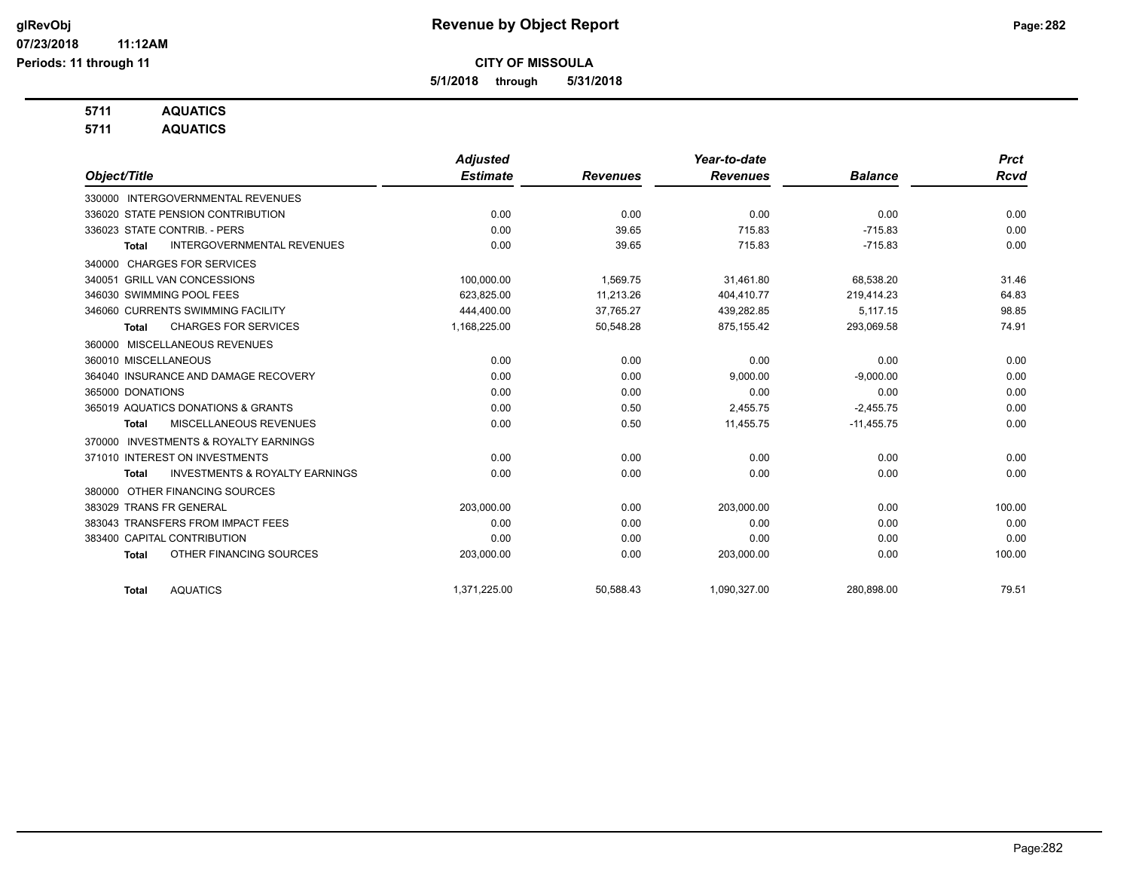**5/1/2018 through 5/31/2018**

## **5711 AQUATICS**

**5711 AQUATICS**

|                                                           | <b>Adjusted</b> |                 | Year-to-date    |                | <b>Prct</b> |
|-----------------------------------------------------------|-----------------|-----------------|-----------------|----------------|-------------|
| Object/Title                                              | <b>Estimate</b> | <b>Revenues</b> | <b>Revenues</b> | <b>Balance</b> | <b>Rcvd</b> |
| 330000 INTERGOVERNMENTAL REVENUES                         |                 |                 |                 |                |             |
| 336020 STATE PENSION CONTRIBUTION                         | 0.00            | 0.00            | 0.00            | 0.00           | 0.00        |
| 336023 STATE CONTRIB. - PERS                              | 0.00            | 39.65           | 715.83          | $-715.83$      | 0.00        |
| <b>INTERGOVERNMENTAL REVENUES</b><br><b>Total</b>         | 0.00            | 39.65           | 715.83          | $-715.83$      | 0.00        |
| <b>CHARGES FOR SERVICES</b><br>340000                     |                 |                 |                 |                |             |
| 340051 GRILL VAN CONCESSIONS                              | 100.000.00      | 1.569.75        | 31,461.80       | 68,538.20      | 31.46       |
| 346030 SWIMMING POOL FEES                                 | 623.825.00      | 11.213.26       | 404,410.77      | 219.414.23     | 64.83       |
| 346060 CURRENTS SWIMMING FACILITY                         | 444,400.00      | 37,765.27       | 439,282.85      | 5,117.15       | 98.85       |
| <b>CHARGES FOR SERVICES</b><br><b>Total</b>               | 1,168,225.00    | 50,548.28       | 875,155.42      | 293,069.58     | 74.91       |
| MISCELLANEOUS REVENUES<br>360000                          |                 |                 |                 |                |             |
| 360010 MISCELLANEOUS                                      | 0.00            | 0.00            | 0.00            | 0.00           | 0.00        |
| 364040 INSURANCE AND DAMAGE RECOVERY                      | 0.00            | 0.00            | 9,000.00        | $-9.000.00$    | 0.00        |
| 365000 DONATIONS                                          | 0.00            | 0.00            | 0.00            | 0.00           | 0.00        |
| 365019 AQUATICS DONATIONS & GRANTS                        | 0.00            | 0.50            | 2,455.75        | $-2,455.75$    | 0.00        |
| MISCELLANEOUS REVENUES<br><b>Total</b>                    | 0.00            | 0.50            | 11,455.75       | $-11,455.75$   | 0.00        |
| 370000 INVESTMENTS & ROYALTY EARNINGS                     |                 |                 |                 |                |             |
| 371010 INTEREST ON INVESTMENTS                            | 0.00            | 0.00            | 0.00            | 0.00           | 0.00        |
| <b>INVESTMENTS &amp; ROYALTY EARNINGS</b><br><b>Total</b> | 0.00            | 0.00            | 0.00            | 0.00           | 0.00        |
| OTHER FINANCING SOURCES<br>380000                         |                 |                 |                 |                |             |
| 383029 TRANS FR GENERAL                                   | 203,000.00      | 0.00            | 203,000.00      | 0.00           | 100.00      |
| 383043 TRANSFERS FROM IMPACT FEES                         | 0.00            | 0.00            | 0.00            | 0.00           | 0.00        |
| 383400 CAPITAL CONTRIBUTION                               | 0.00            | 0.00            | 0.00            | 0.00           | 0.00        |
| OTHER FINANCING SOURCES<br><b>Total</b>                   | 203,000.00      | 0.00            | 203,000.00      | 0.00           | 100.00      |
| <b>AQUATICS</b><br><b>Total</b>                           | 1,371,225.00    | 50,588.43       | 1,090,327.00    | 280,898.00     | 79.51       |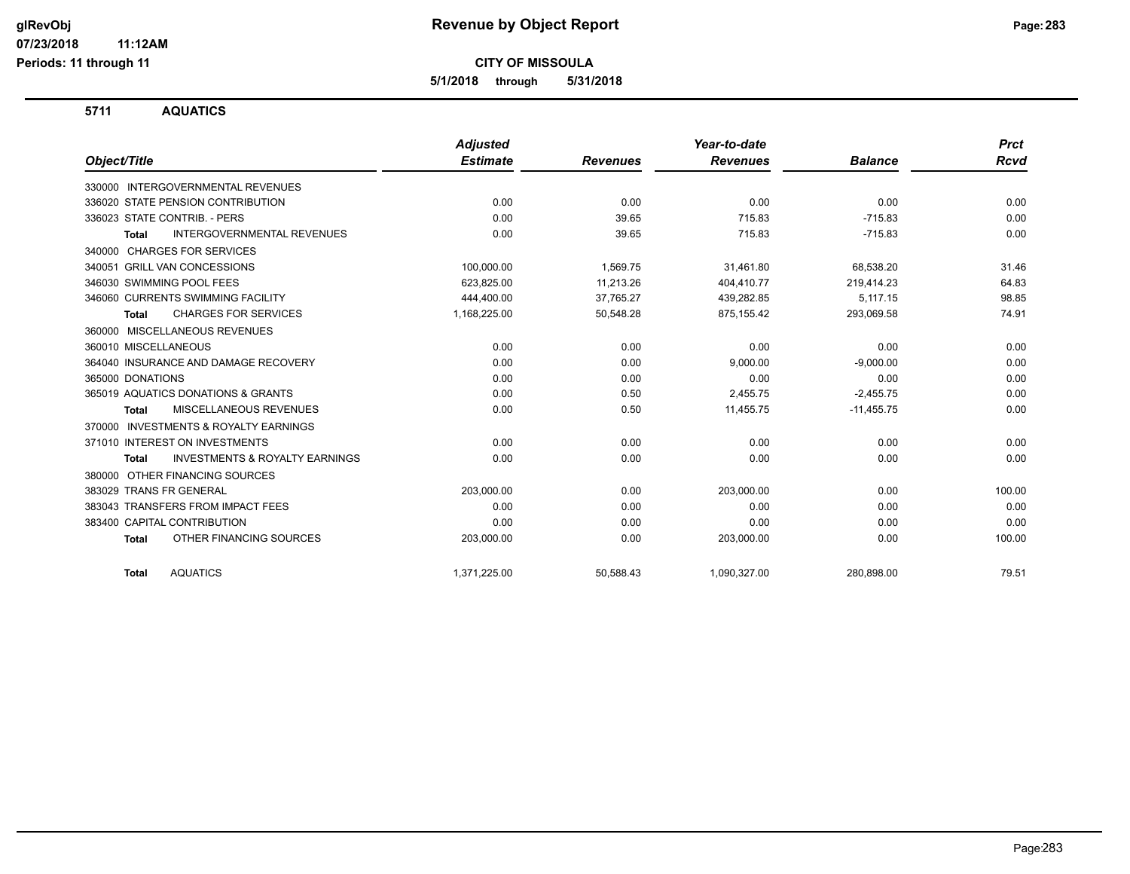**CITY OF MISSOULA**

**5/1/2018 through 5/31/2018**

**5711 AQUATICS**

**11:12AM**

|                                                           | <b>Adjusted</b> |                 | Year-to-date    |                | <b>Prct</b> |
|-----------------------------------------------------------|-----------------|-----------------|-----------------|----------------|-------------|
| Object/Title                                              | <b>Estimate</b> | <b>Revenues</b> | <b>Revenues</b> | <b>Balance</b> | Rcvd        |
| <b>INTERGOVERNMENTAL REVENUES</b><br>330000               |                 |                 |                 |                |             |
| 336020 STATE PENSION CONTRIBUTION                         | 0.00            | 0.00            | 0.00            | 0.00           | 0.00        |
| 336023 STATE CONTRIB. - PERS                              | 0.00            | 39.65           | 715.83          | $-715.83$      | 0.00        |
| <b>INTERGOVERNMENTAL REVENUES</b><br>Total                | 0.00            | 39.65           | 715.83          | $-715.83$      | 0.00        |
| 340000 CHARGES FOR SERVICES                               |                 |                 |                 |                |             |
| 340051 GRILL VAN CONCESSIONS                              | 100,000.00      | 1,569.75        | 31,461.80       | 68,538.20      | 31.46       |
| 346030 SWIMMING POOL FEES                                 | 623,825.00      | 11.213.26       | 404,410.77      | 219,414.23     | 64.83       |
| 346060 CURRENTS SWIMMING FACILITY                         | 444,400.00      | 37,765.27       | 439,282.85      | 5.117.15       | 98.85       |
| <b>CHARGES FOR SERVICES</b><br><b>Total</b>               | 1,168,225.00    | 50,548.28       | 875,155.42      | 293,069.58     | 74.91       |
| MISCELLANEOUS REVENUES<br>360000                          |                 |                 |                 |                |             |
| 360010 MISCELLANEOUS                                      | 0.00            | 0.00            | 0.00            | 0.00           | 0.00        |
| 364040 INSURANCE AND DAMAGE RECOVERY                      | 0.00            | 0.00            | 9,000.00        | $-9,000.00$    | 0.00        |
| 365000 DONATIONS                                          | 0.00            | 0.00            | 0.00            | 0.00           | 0.00        |
| 365019 AQUATICS DONATIONS & GRANTS                        | 0.00            | 0.50            | 2,455.75        | $-2,455.75$    | 0.00        |
| <b>MISCELLANEOUS REVENUES</b><br><b>Total</b>             | 0.00            | 0.50            | 11,455.75       | $-11,455.75$   | 0.00        |
| <b>INVESTMENTS &amp; ROYALTY EARNINGS</b><br>370000       |                 |                 |                 |                |             |
| 371010 INTEREST ON INVESTMENTS                            | 0.00            | 0.00            | 0.00            | 0.00           | 0.00        |
| <b>INVESTMENTS &amp; ROYALTY EARNINGS</b><br><b>Total</b> | 0.00            | 0.00            | 0.00            | 0.00           | 0.00        |
| OTHER FINANCING SOURCES<br>380000                         |                 |                 |                 |                |             |
| 383029 TRANS FR GENERAL                                   | 203,000.00      | 0.00            | 203,000.00      | 0.00           | 100.00      |
| 383043 TRANSFERS FROM IMPACT FEES                         | 0.00            | 0.00            | 0.00            | 0.00           | 0.00        |
| 383400 CAPITAL CONTRIBUTION                               | 0.00            | 0.00            | 0.00            | 0.00           | 0.00        |
| OTHER FINANCING SOURCES<br><b>Total</b>                   | 203,000.00      | 0.00            | 203,000.00      | 0.00           | 100.00      |
| <b>AQUATICS</b><br><b>Total</b>                           | 1,371,225.00    | 50,588.43       | 1,090,327.00    | 280,898.00     | 79.51       |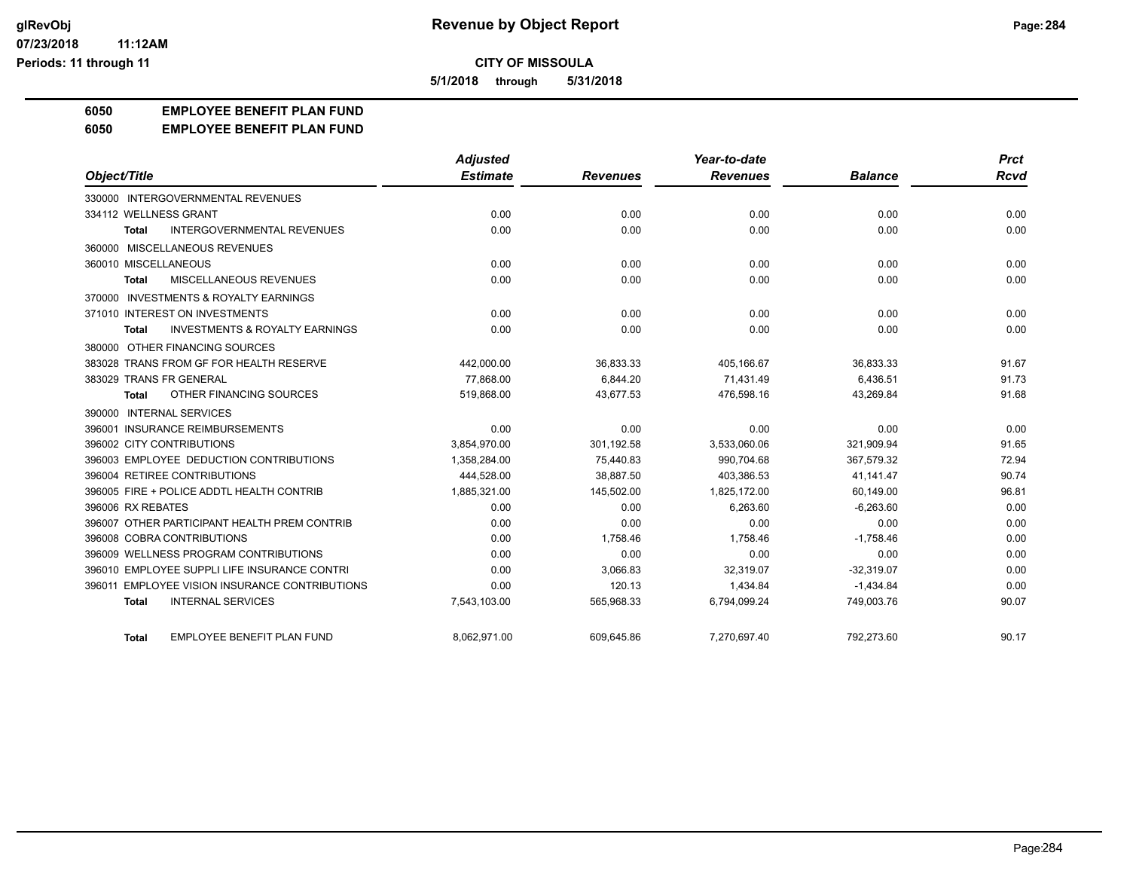**5/1/2018 through 5/31/2018**

#### **6050 EMPLOYEE BENEFIT PLAN FUND**

#### **6050 EMPLOYEE BENEFIT PLAN FUND**

|                                                           | <b>Adjusted</b> |                 | Year-to-date    |                | <b>Prct</b> |
|-----------------------------------------------------------|-----------------|-----------------|-----------------|----------------|-------------|
| Object/Title                                              | <b>Estimate</b> | <b>Revenues</b> | <b>Revenues</b> | <b>Balance</b> | <b>Rcvd</b> |
| 330000 INTERGOVERNMENTAL REVENUES                         |                 |                 |                 |                |             |
| 334112 WELLNESS GRANT                                     | 0.00            | 0.00            | 0.00            | 0.00           | 0.00        |
| <b>INTERGOVERNMENTAL REVENUES</b><br><b>Total</b>         | 0.00            | 0.00            | 0.00            | 0.00           | 0.00        |
| 360000 MISCELLANEOUS REVENUES                             |                 |                 |                 |                |             |
| 360010 MISCELLANEOUS                                      | 0.00            | 0.00            | 0.00            | 0.00           | 0.00        |
| <b>MISCELLANEOUS REVENUES</b><br><b>Total</b>             | 0.00            | 0.00            | 0.00            | 0.00           | 0.00        |
| 370000 INVESTMENTS & ROYALTY EARNINGS                     |                 |                 |                 |                |             |
| 371010 INTEREST ON INVESTMENTS                            | 0.00            | 0.00            | 0.00            | 0.00           | 0.00        |
| <b>INVESTMENTS &amp; ROYALTY EARNINGS</b><br><b>Total</b> | 0.00            | 0.00            | 0.00            | 0.00           | 0.00        |
| 380000 OTHER FINANCING SOURCES                            |                 |                 |                 |                |             |
| 383028 TRANS FROM GF FOR HEALTH RESERVE                   | 442,000.00      | 36,833.33       | 405,166.67      | 36,833.33      | 91.67       |
| 383029 TRANS FR GENERAL                                   | 77.868.00       | 6,844.20        | 71,431.49       | 6,436.51       | 91.73       |
| OTHER FINANCING SOURCES<br>Total                          | 519,868.00      | 43,677.53       | 476,598.16      | 43,269.84      | 91.68       |
| 390000 INTERNAL SERVICES                                  |                 |                 |                 |                |             |
| 396001 INSURANCE REIMBURSEMENTS                           | 0.00            | 0.00            | 0.00            | 0.00           | 0.00        |
| 396002 CITY CONTRIBUTIONS                                 | 3,854,970.00    | 301,192.58      | 3,533,060.06    | 321,909.94     | 91.65       |
| 396003 EMPLOYEE DEDUCTION CONTRIBUTIONS                   | 1,358,284.00    | 75,440.83       | 990,704.68      | 367,579.32     | 72.94       |
| 396004 RETIREE CONTRIBUTIONS                              | 444,528.00      | 38,887.50       | 403,386.53      | 41,141.47      | 90.74       |
| 396005 FIRE + POLICE ADDTL HEALTH CONTRIB                 | 1,885,321.00    | 145,502.00      | 1.825.172.00    | 60.149.00      | 96.81       |
| 396006 RX REBATES                                         | 0.00            | 0.00            | 6,263.60        | $-6,263.60$    | 0.00        |
| 396007 OTHER PARTICIPANT HEALTH PREM CONTRIB              | 0.00            | 0.00            | 0.00            | 0.00           | 0.00        |
| 396008 COBRA CONTRIBUTIONS                                | 0.00            | 1,758.46        | 1,758.46        | $-1,758.46$    | 0.00        |
| 396009 WELLNESS PROGRAM CONTRIBUTIONS                     | 0.00            | 0.00            | 0.00            | 0.00           | 0.00        |
| 396010 EMPLOYEE SUPPLI LIFE INSURANCE CONTRI              | 0.00            | 3,066.83        | 32,319.07       | $-32,319.07$   | 0.00        |
| 396011 EMPLOYEE VISION INSURANCE CONTRIBUTIONS            | 0.00            | 120.13          | 1,434.84        | $-1,434.84$    | 0.00        |
| <b>INTERNAL SERVICES</b><br><b>Total</b>                  | 7,543,103.00    | 565,968.33      | 6,794,099.24    | 749,003.76     | 90.07       |
| EMPLOYEE BENEFIT PLAN FUND<br><b>Total</b>                | 8,062,971.00    | 609,645.86      | 7,270,697.40    | 792,273.60     | 90.17       |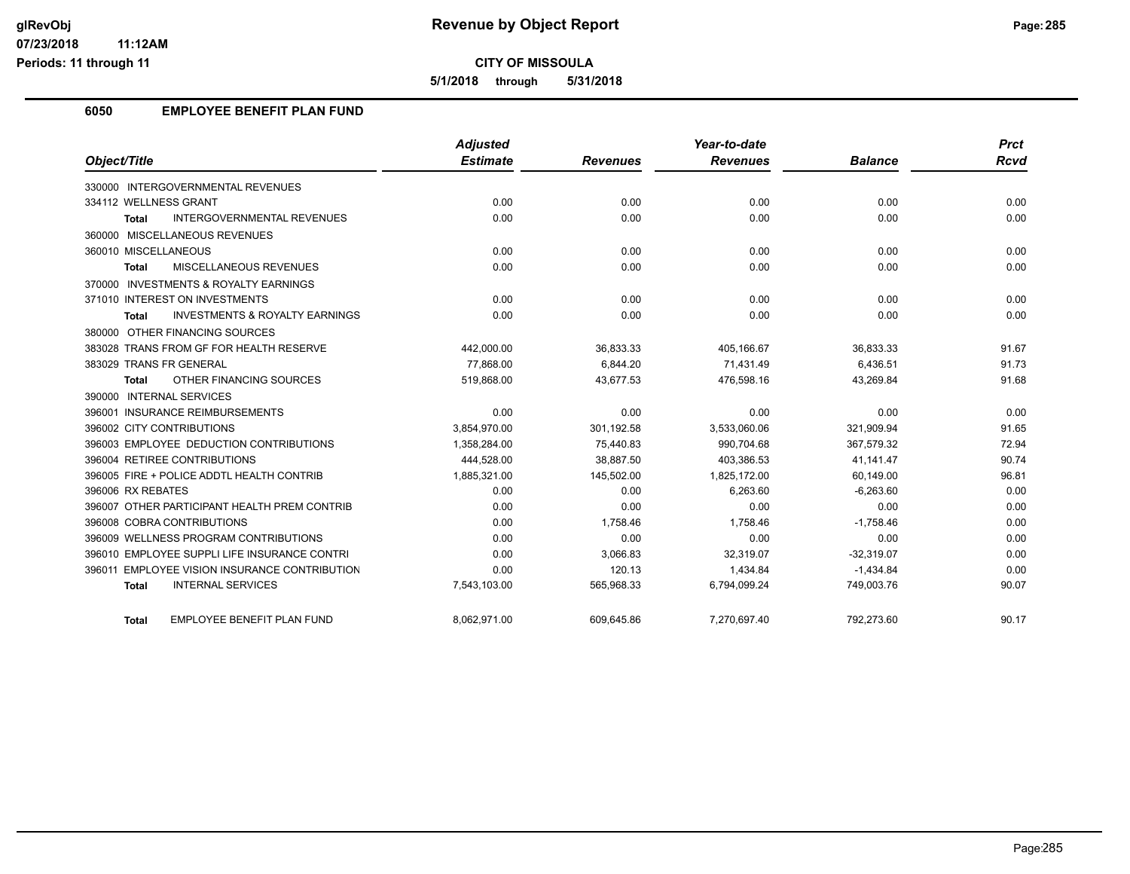**11:12AM**

**CITY OF MISSOULA**

**5/1/2018 through 5/31/2018**

#### **6050 EMPLOYEE BENEFIT PLAN FUND**

|                                                           | <b>Adjusted</b> |                 | Year-to-date    |                | <b>Prct</b> |
|-----------------------------------------------------------|-----------------|-----------------|-----------------|----------------|-------------|
| Object/Title                                              | <b>Estimate</b> | <b>Revenues</b> | <b>Revenues</b> | <b>Balance</b> | <b>Rcvd</b> |
| 330000 INTERGOVERNMENTAL REVENUES                         |                 |                 |                 |                |             |
| 334112 WELLNESS GRANT                                     | 0.00            | 0.00            | 0.00            | 0.00           | 0.00        |
| <b>INTERGOVERNMENTAL REVENUES</b><br><b>Total</b>         | 0.00            | 0.00            | 0.00            | 0.00           | 0.00        |
| 360000 MISCELLANEOUS REVENUES                             |                 |                 |                 |                |             |
| 360010 MISCELLANEOUS                                      | 0.00            | 0.00            | 0.00            | 0.00           | 0.00        |
| <b>MISCELLANEOUS REVENUES</b><br><b>Total</b>             | 0.00            | 0.00            | 0.00            | 0.00           | 0.00        |
| 370000 INVESTMENTS & ROYALTY EARNINGS                     |                 |                 |                 |                |             |
| 371010 INTEREST ON INVESTMENTS                            | 0.00            | 0.00            | 0.00            | 0.00           | 0.00        |
| <b>INVESTMENTS &amp; ROYALTY EARNINGS</b><br><b>Total</b> | 0.00            | 0.00            | 0.00            | 0.00           | 0.00        |
| 380000 OTHER FINANCING SOURCES                            |                 |                 |                 |                |             |
| 383028 TRANS FROM GF FOR HEALTH RESERVE                   | 442,000.00      | 36.833.33       | 405.166.67      | 36.833.33      | 91.67       |
| 383029 TRANS FR GENERAL                                   | 77,868.00       | 6.844.20        | 71,431.49       | 6,436.51       | 91.73       |
| OTHER FINANCING SOURCES<br><b>Total</b>                   | 519,868.00      | 43,677.53       | 476,598.16      | 43,269.84      | 91.68       |
| 390000 INTERNAL SERVICES                                  |                 |                 |                 |                |             |
| 396001 INSURANCE REIMBURSEMENTS                           | 0.00            | 0.00            | 0.00            | 0.00           | 0.00        |
| 396002 CITY CONTRIBUTIONS                                 | 3,854,970.00    | 301,192.58      | 3,533,060.06    | 321,909.94     | 91.65       |
| 396003 EMPLOYEE DEDUCTION CONTRIBUTIONS                   | 1,358,284.00    | 75,440.83       | 990,704.68      | 367,579.32     | 72.94       |
| 396004 RETIREE CONTRIBUTIONS                              | 444,528.00      | 38,887.50       | 403,386.53      | 41,141.47      | 90.74       |
| 396005 FIRE + POLICE ADDTL HEALTH CONTRIB                 | 1,885,321.00    | 145,502.00      | 1,825,172.00    | 60,149.00      | 96.81       |
| 396006 RX REBATES                                         | 0.00            | 0.00            | 6,263.60        | $-6,263.60$    | 0.00        |
| 396007 OTHER PARTICIPANT HEALTH PREM CONTRIB              | 0.00            | 0.00            | 0.00            | 0.00           | 0.00        |
| 396008 COBRA CONTRIBUTIONS                                | 0.00            | 1.758.46        | 1.758.46        | $-1.758.46$    | 0.00        |
| 396009 WELLNESS PROGRAM CONTRIBUTIONS                     | 0.00            | 0.00            | 0.00            | 0.00           | 0.00        |
| 396010 EMPLOYEE SUPPLI LIFE INSURANCE CONTRI              | 0.00            | 3,066.83        | 32,319.07       | $-32,319.07$   | 0.00        |
| 396011 EMPLOYEE VISION INSURANCE CONTRIBUTION             | 0.00            | 120.13          | 1,434.84        | $-1,434.84$    | 0.00        |
| <b>INTERNAL SERVICES</b><br><b>Total</b>                  | 7,543,103.00    | 565,968.33      | 6,794,099.24    | 749,003.76     | 90.07       |
| <b>EMPLOYEE BENEFIT PLAN FUND</b><br>Total                | 8,062,971.00    | 609,645.86      | 7,270,697.40    | 792,273.60     | 90.17       |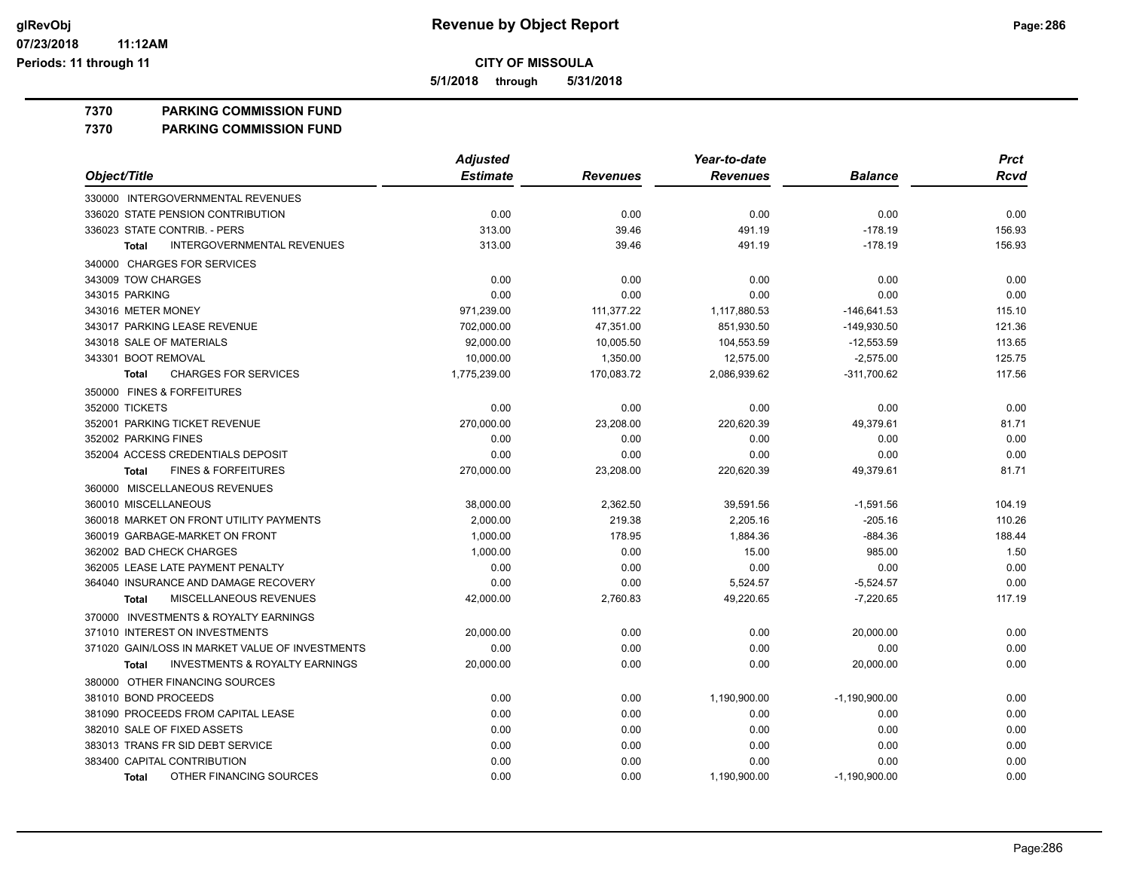**5/1/2018 through 5/31/2018**

**7370 PARKING COMMISSION FUND**

**7370 PARKING COMMISSION FUND**

|                                                           | <b>Adjusted</b> |                 | Year-to-date    |                 | <b>Prct</b> |
|-----------------------------------------------------------|-----------------|-----------------|-----------------|-----------------|-------------|
| Object/Title                                              | <b>Estimate</b> | <b>Revenues</b> | <b>Revenues</b> | <b>Balance</b>  | <b>Rcvd</b> |
| 330000 INTERGOVERNMENTAL REVENUES                         |                 |                 |                 |                 |             |
| 336020 STATE PENSION CONTRIBUTION                         | 0.00            | 0.00            | 0.00            | 0.00            | 0.00        |
| 336023 STATE CONTRIB. - PERS                              | 313.00          | 39.46           | 491.19          | $-178.19$       | 156.93      |
| <b>INTERGOVERNMENTAL REVENUES</b><br><b>Total</b>         | 313.00          | 39.46           | 491.19          | $-178.19$       | 156.93      |
| 340000 CHARGES FOR SERVICES                               |                 |                 |                 |                 |             |
| 343009 TOW CHARGES                                        | 0.00            | 0.00            | 0.00            | 0.00            | 0.00        |
| 343015 PARKING                                            | 0.00            | 0.00            | 0.00            | 0.00            | 0.00        |
| 343016 METER MONEY                                        | 971,239.00      | 111,377.22      | 1,117,880.53    | $-146,641.53$   | 115.10      |
| 343017 PARKING LEASE REVENUE                              | 702,000.00      | 47,351.00       | 851,930.50      | $-149,930.50$   | 121.36      |
| 343018 SALE OF MATERIALS                                  | 92,000.00       | 10,005.50       | 104,553.59      | $-12,553.59$    | 113.65      |
| 343301 BOOT REMOVAL                                       | 10,000.00       | 1,350.00        | 12,575.00       | $-2,575.00$     | 125.75      |
| <b>CHARGES FOR SERVICES</b><br>Total                      | 1,775,239.00    | 170,083.72      | 2,086,939.62    | $-311,700.62$   | 117.56      |
| 350000 FINES & FORFEITURES                                |                 |                 |                 |                 |             |
| 352000 TICKETS                                            | 0.00            | 0.00            | 0.00            | 0.00            | 0.00        |
| 352001 PARKING TICKET REVENUE                             | 270,000.00      | 23,208.00       | 220,620.39      | 49,379.61       | 81.71       |
| 352002 PARKING FINES                                      | 0.00            | 0.00            | 0.00            | 0.00            | 0.00        |
| 352004 ACCESS CREDENTIALS DEPOSIT                         | 0.00            | 0.00            | 0.00            | 0.00            | 0.00        |
| <b>FINES &amp; FORFEITURES</b><br><b>Total</b>            | 270,000.00      | 23,208.00       | 220,620.39      | 49,379.61       | 81.71       |
| 360000 MISCELLANEOUS REVENUES                             |                 |                 |                 |                 |             |
| 360010 MISCELLANEOUS                                      | 38,000.00       | 2,362.50        | 39,591.56       | $-1,591.56$     | 104.19      |
| 360018 MARKET ON FRONT UTILITY PAYMENTS                   | 2,000.00        | 219.38          | 2.205.16        | $-205.16$       | 110.26      |
| 360019 GARBAGE-MARKET ON FRONT                            | 1,000.00        | 178.95          | 1,884.36        | $-884.36$       | 188.44      |
| 362002 BAD CHECK CHARGES                                  | 1,000.00        | 0.00            | 15.00           | 985.00          | 1.50        |
| 362005 LEASE LATE PAYMENT PENALTY                         | 0.00            | 0.00            | 0.00            | 0.00            | 0.00        |
| 364040 INSURANCE AND DAMAGE RECOVERY                      | 0.00            | 0.00            | 5,524.57        | $-5,524.57$     | 0.00        |
| MISCELLANEOUS REVENUES<br><b>Total</b>                    | 42,000.00       | 2,760.83        | 49,220.65       | $-7,220.65$     | 117.19      |
| 370000 INVESTMENTS & ROYALTY EARNINGS                     |                 |                 |                 |                 |             |
| 371010 INTEREST ON INVESTMENTS                            | 20,000.00       | 0.00            | 0.00            | 20,000.00       | 0.00        |
| 371020 GAIN/LOSS IN MARKET VALUE OF INVESTMENTS           | 0.00            | 0.00            | 0.00            | 0.00            | 0.00        |
| <b>INVESTMENTS &amp; ROYALTY EARNINGS</b><br><b>Total</b> | 20,000.00       | 0.00            | 0.00            | 20,000.00       | 0.00        |
| 380000 OTHER FINANCING SOURCES                            |                 |                 |                 |                 |             |
| 381010 BOND PROCEEDS                                      | 0.00            | 0.00            | 1,190,900.00    | $-1,190,900.00$ | 0.00        |
| 381090 PROCEEDS FROM CAPITAL LEASE                        | 0.00            | 0.00            | 0.00            | 0.00            | 0.00        |
| 382010 SALE OF FIXED ASSETS                               | 0.00            | 0.00            | 0.00            | 0.00            | 0.00        |
| 383013 TRANS FR SID DEBT SERVICE                          | 0.00            | 0.00            | 0.00            | 0.00            | 0.00        |
| 383400 CAPITAL CONTRIBUTION                               | 0.00            | 0.00            | 0.00            | 0.00            | 0.00        |
| OTHER FINANCING SOURCES<br>Total                          | 0.00            | 0.00            | 1,190,900.00    | $-1,190,900.00$ | 0.00        |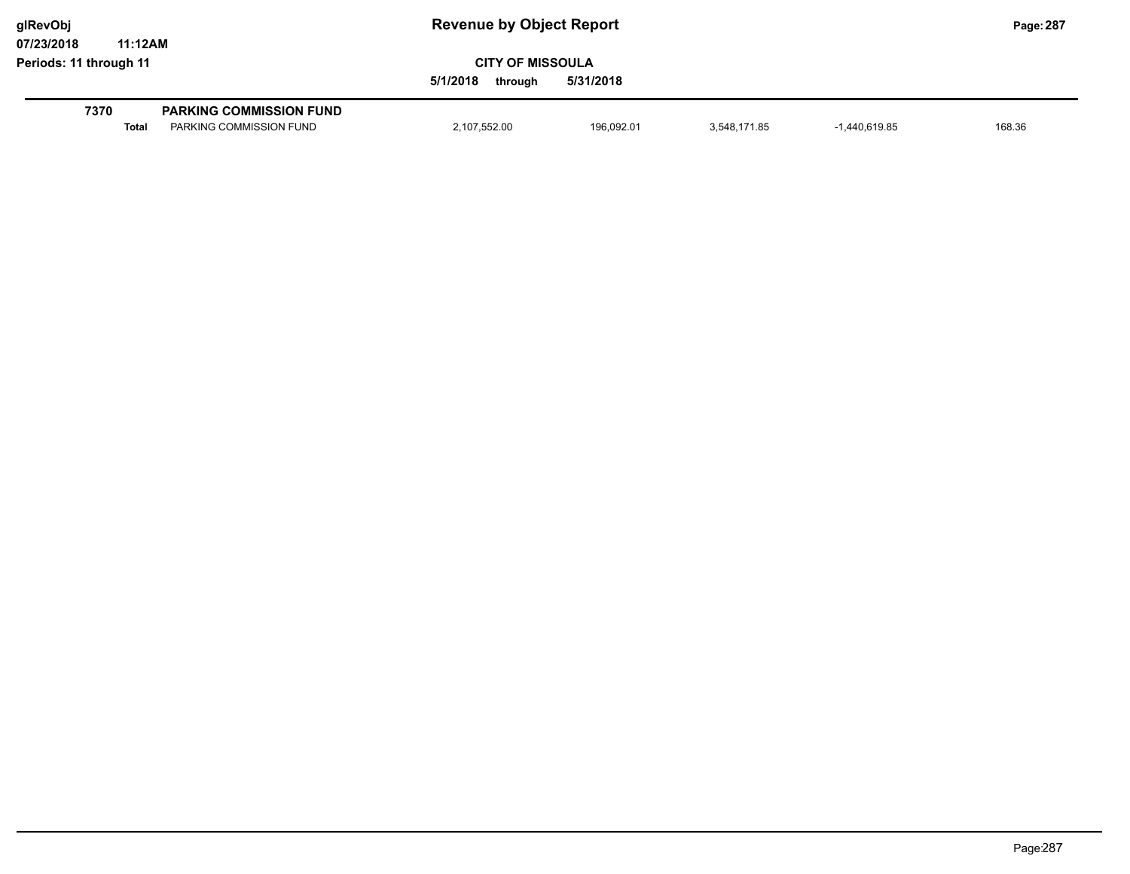| glRevObj<br>07/23/2018<br>11:12AM |       |                                                           | <b>Revenue by Object Report</b>                             |            | Page: 287    |                 |        |
|-----------------------------------|-------|-----------------------------------------------------------|-------------------------------------------------------------|------------|--------------|-----------------|--------|
| Periods: 11 through 11            |       |                                                           | <b>CITY OF MISSOULA</b><br>5/1/2018<br>5/31/2018<br>throuah |            |              |                 |        |
| 7370                              | Total | <b>PARKING COMMISSION FUND</b><br>PARKING COMMISSION FUND | 2,107,552.00                                                | 196.092.01 | 3,548,171.85 | $-1,440,619.85$ | 168.36 |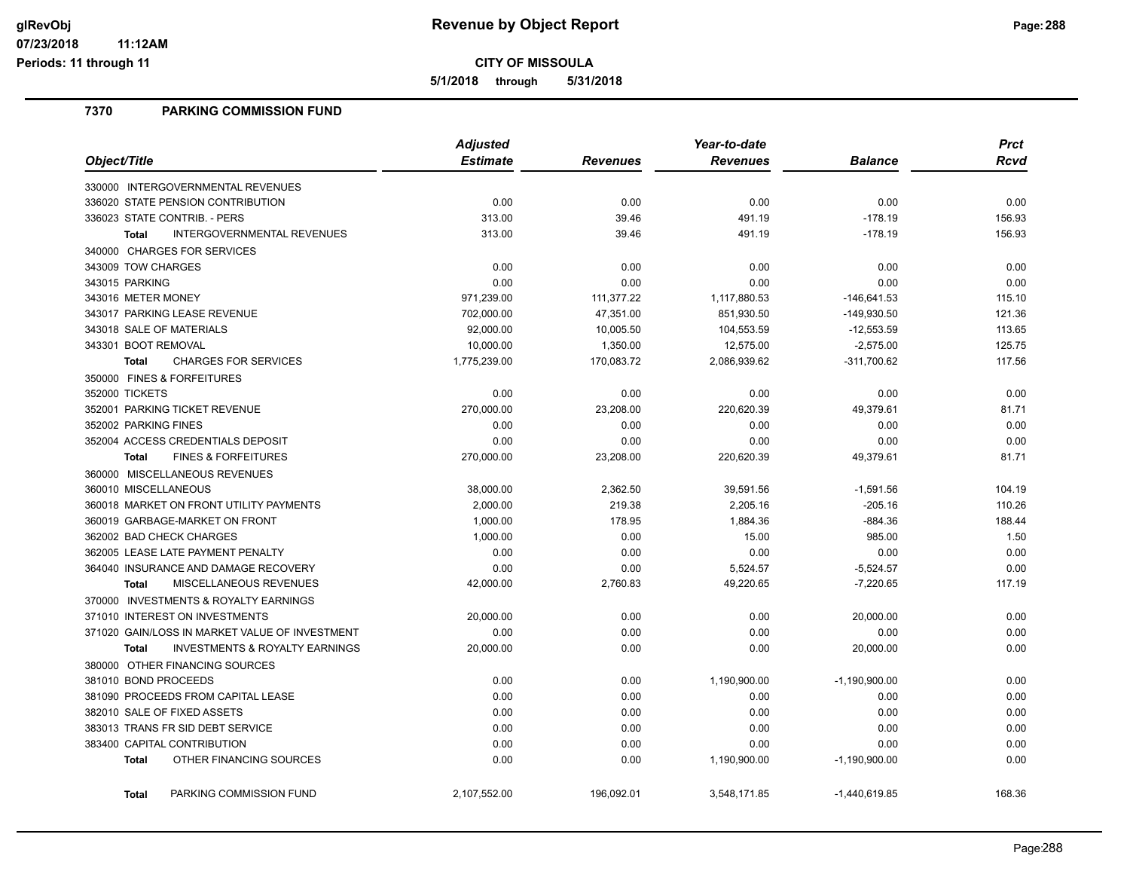**CITY OF MISSOULA**

**5/1/2018 through 5/31/2018**

#### **7370 PARKING COMMISSION FUND**

| Object/Title                                              | <b>Adjusted</b> |                 | Year-to-date    |                 | <b>Prct</b> |
|-----------------------------------------------------------|-----------------|-----------------|-----------------|-----------------|-------------|
|                                                           | <b>Estimate</b> | <b>Revenues</b> | <b>Revenues</b> | <b>Balance</b>  | Rcvd        |
| 330000 INTERGOVERNMENTAL REVENUES                         |                 |                 |                 |                 |             |
| 336020 STATE PENSION CONTRIBUTION                         | 0.00            | 0.00            | 0.00            | 0.00            | 0.00        |
| 336023 STATE CONTRIB. - PERS                              | 313.00          | 39.46           | 491.19          | $-178.19$       | 156.93      |
| INTERGOVERNMENTAL REVENUES<br><b>Total</b>                | 313.00          | 39.46           | 491.19          | $-178.19$       | 156.93      |
| 340000 CHARGES FOR SERVICES                               |                 |                 |                 |                 |             |
| 343009 TOW CHARGES                                        | 0.00            | 0.00            | 0.00            | 0.00            | 0.00        |
| 343015 PARKING                                            | 0.00            | 0.00            | 0.00            | 0.00            | 0.00        |
| 343016 METER MONEY                                        | 971,239.00      | 111,377.22      | 1,117,880.53    | $-146,641.53$   | 115.10      |
| 343017 PARKING LEASE REVENUE                              | 702,000.00      | 47,351.00       | 851,930.50      | -149,930.50     | 121.36      |
| 343018 SALE OF MATERIALS                                  | 92,000.00       | 10,005.50       | 104,553.59      | $-12,553.59$    | 113.65      |
| 343301 BOOT REMOVAL                                       | 10,000.00       | 1,350.00        | 12,575.00       | $-2,575.00$     | 125.75      |
| <b>CHARGES FOR SERVICES</b><br><b>Total</b>               | 1,775,239.00    | 170,083.72      | 2,086,939.62    | $-311,700.62$   | 117.56      |
| 350000 FINES & FORFEITURES                                |                 |                 |                 |                 |             |
| 352000 TICKETS                                            | 0.00            | 0.00            | 0.00            | 0.00            | 0.00        |
| 352001 PARKING TICKET REVENUE                             | 270,000.00      | 23,208.00       | 220,620.39      | 49,379.61       | 81.71       |
| 352002 PARKING FINES                                      | 0.00            | 0.00            | 0.00            | 0.00            | 0.00        |
| 352004 ACCESS CREDENTIALS DEPOSIT                         | 0.00            | 0.00            | 0.00            | 0.00            | 0.00        |
| <b>FINES &amp; FORFEITURES</b><br><b>Total</b>            | 270,000.00      | 23,208.00       | 220,620.39      | 49,379.61       | 81.71       |
| 360000 MISCELLANEOUS REVENUES                             |                 |                 |                 |                 |             |
| 360010 MISCELLANEOUS                                      | 38,000.00       | 2,362.50        | 39,591.56       | $-1,591.56$     | 104.19      |
| 360018 MARKET ON FRONT UTILITY PAYMENTS                   | 2,000.00        | 219.38          | 2,205.16        | $-205.16$       | 110.26      |
| 360019 GARBAGE-MARKET ON FRONT                            | 1,000.00        | 178.95          | 1,884.36        | $-884.36$       | 188.44      |
| 362002 BAD CHECK CHARGES                                  | 1,000.00        | 0.00            | 15.00           | 985.00          | 1.50        |
| 362005 LEASE LATE PAYMENT PENALTY                         | 0.00            | 0.00            | 0.00            | 0.00            | 0.00        |
| 364040 INSURANCE AND DAMAGE RECOVERY                      | 0.00            | 0.00            | 5,524.57        | $-5,524.57$     | 0.00        |
| MISCELLANEOUS REVENUES<br><b>Total</b>                    | 42,000.00       | 2,760.83        | 49,220.65       | $-7,220.65$     | 117.19      |
| 370000 INVESTMENTS & ROYALTY EARNINGS                     |                 |                 |                 |                 |             |
| 371010 INTEREST ON INVESTMENTS                            | 20,000.00       | 0.00            | 0.00            | 20,000.00       | 0.00        |
| 371020 GAIN/LOSS IN MARKET VALUE OF INVESTMENT            | 0.00            | 0.00            | 0.00            | 0.00            | 0.00        |
| <b>INVESTMENTS &amp; ROYALTY EARNINGS</b><br><b>Total</b> | 20,000.00       | 0.00            | 0.00            | 20,000.00       | 0.00        |
| 380000 OTHER FINANCING SOURCES                            |                 |                 |                 |                 |             |
| 381010 BOND PROCEEDS                                      | 0.00            | 0.00            | 1,190,900.00    | $-1,190,900.00$ | 0.00        |
| 381090 PROCEEDS FROM CAPITAL LEASE                        | 0.00            | 0.00            | 0.00            | 0.00            | 0.00        |
| 382010 SALE OF FIXED ASSETS                               | 0.00            | 0.00            | 0.00            | 0.00            | 0.00        |
| 383013 TRANS FR SID DEBT SERVICE                          | 0.00            | 0.00            | 0.00            | 0.00            | 0.00        |
| 383400 CAPITAL CONTRIBUTION                               | 0.00            | 0.00            | 0.00            | 0.00            | 0.00        |
| OTHER FINANCING SOURCES<br><b>Total</b>                   | 0.00            | 0.00            | 1,190,900.00    | $-1,190,900.00$ | 0.00        |
| PARKING COMMISSION FUND<br><b>Total</b>                   | 2.107.552.00    | 196.092.01      | 3.548.171.85    | $-1,440,619.85$ | 168.36      |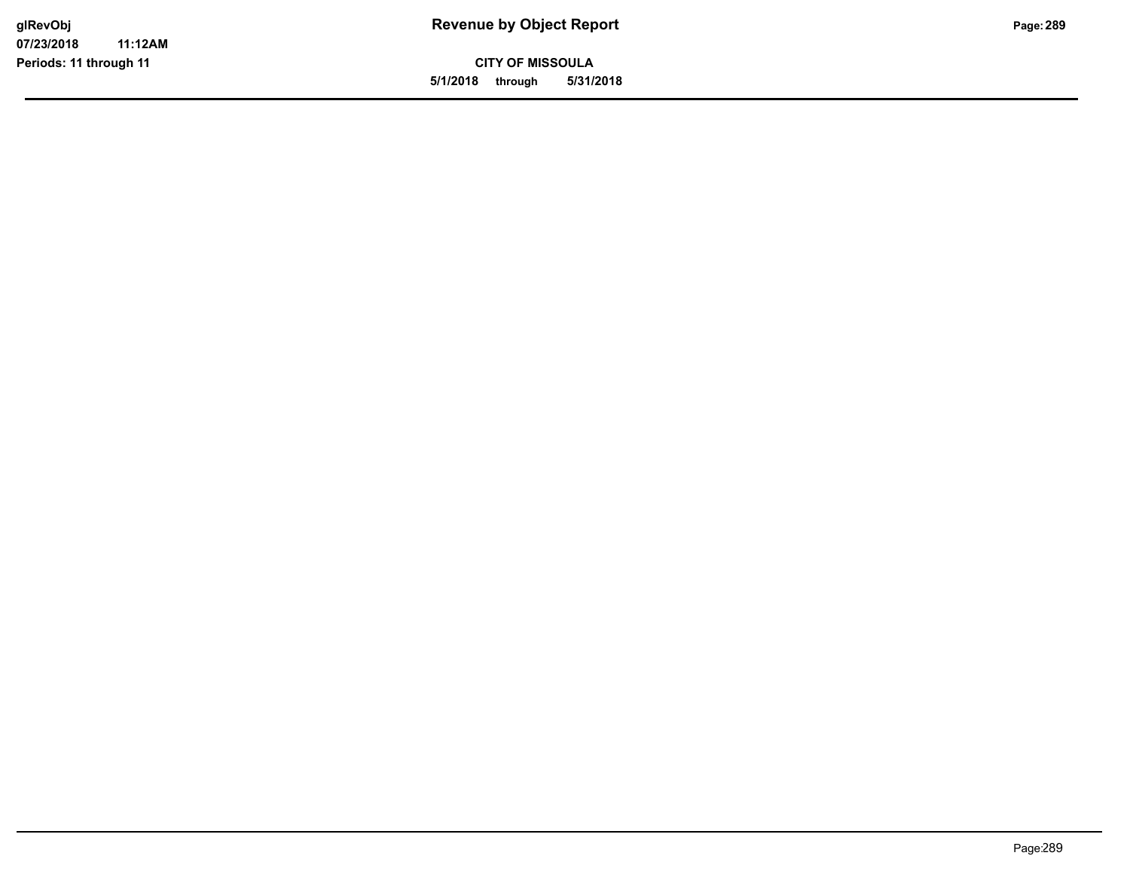**CITY OF MISSOULA 5/1/2018 through 5/31/2018**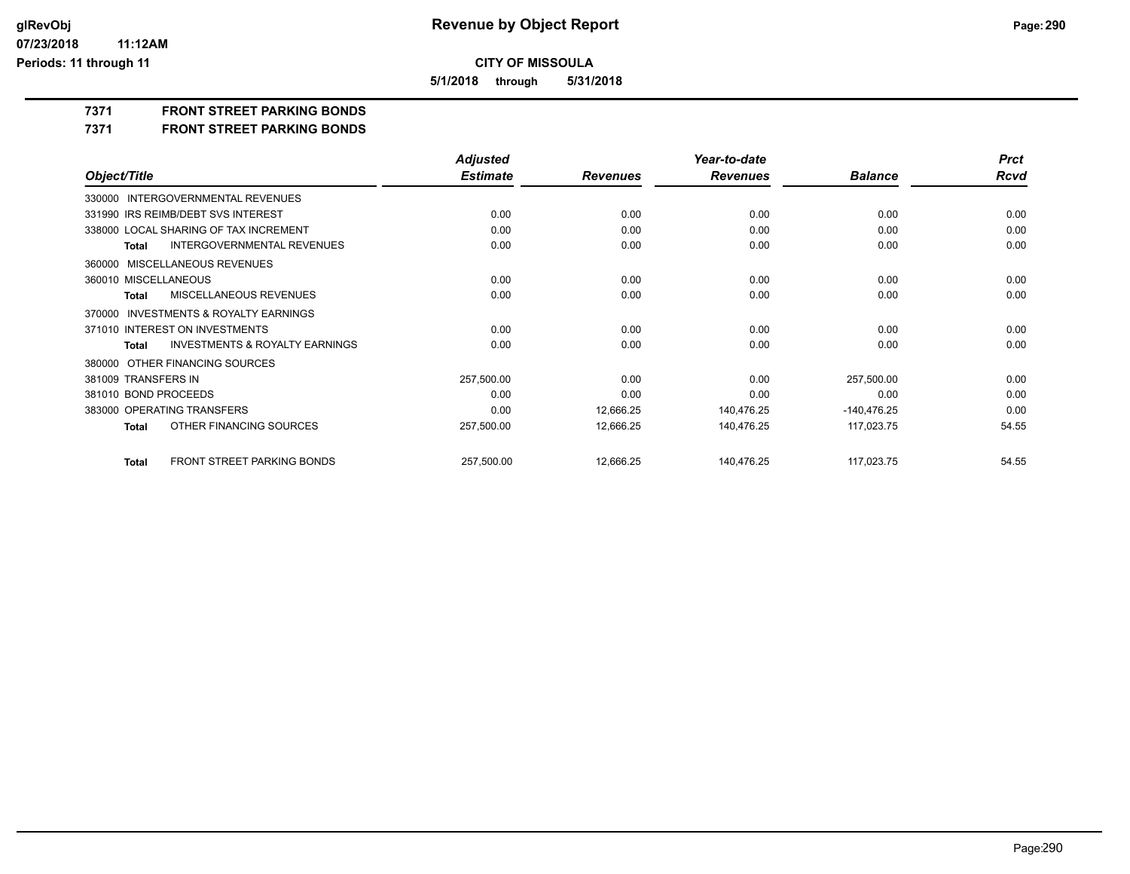**5/1/2018 through 5/31/2018**

**7371 FRONT STREET PARKING BONDS**

**7371 FRONT STREET PARKING BONDS**

|                                                     | <b>Adjusted</b> |                 | Year-to-date    |                | <b>Prct</b> |
|-----------------------------------------------------|-----------------|-----------------|-----------------|----------------|-------------|
| Object/Title                                        | <b>Estimate</b> | <b>Revenues</b> | <b>Revenues</b> | <b>Balance</b> | <b>Rcvd</b> |
| 330000 INTERGOVERNMENTAL REVENUES                   |                 |                 |                 |                |             |
| 331990 IRS REIMB/DEBT SVS INTEREST                  | 0.00            | 0.00            | 0.00            | 0.00           | 0.00        |
| 338000 LOCAL SHARING OF TAX INCREMENT               | 0.00            | 0.00            | 0.00            | 0.00           | 0.00        |
| <b>INTERGOVERNMENTAL REVENUES</b><br>Total          | 0.00            | 0.00            | 0.00            | 0.00           | 0.00        |
| 360000 MISCELLANEOUS REVENUES                       |                 |                 |                 |                |             |
| 360010 MISCELLANEOUS                                | 0.00            | 0.00            | 0.00            | 0.00           | 0.00        |
| MISCELLANEOUS REVENUES<br>Total                     | 0.00            | 0.00            | 0.00            | 0.00           | 0.00        |
| <b>INVESTMENTS &amp; ROYALTY EARNINGS</b><br>370000 |                 |                 |                 |                |             |
| 371010 INTEREST ON INVESTMENTS                      | 0.00            | 0.00            | 0.00            | 0.00           | 0.00        |
| <b>INVESTMENTS &amp; ROYALTY EARNINGS</b><br>Total  | 0.00            | 0.00            | 0.00            | 0.00           | 0.00        |
| 380000 OTHER FINANCING SOURCES                      |                 |                 |                 |                |             |
| 381009 TRANSFERS IN                                 | 257,500.00      | 0.00            | 0.00            | 257,500.00     | 0.00        |
| 381010 BOND PROCEEDS                                | 0.00            | 0.00            | 0.00            | 0.00           | 0.00        |
| 383000 OPERATING TRANSFERS                          | 0.00            | 12,666.25       | 140,476.25      | $-140,476.25$  | 0.00        |
| OTHER FINANCING SOURCES<br>Total                    | 257,500.00      | 12,666.25       | 140,476.25      | 117,023.75     | 54.55       |
| FRONT STREET PARKING BONDS<br>Total                 | 257,500.00      | 12,666.25       | 140,476.25      | 117,023.75     | 54.55       |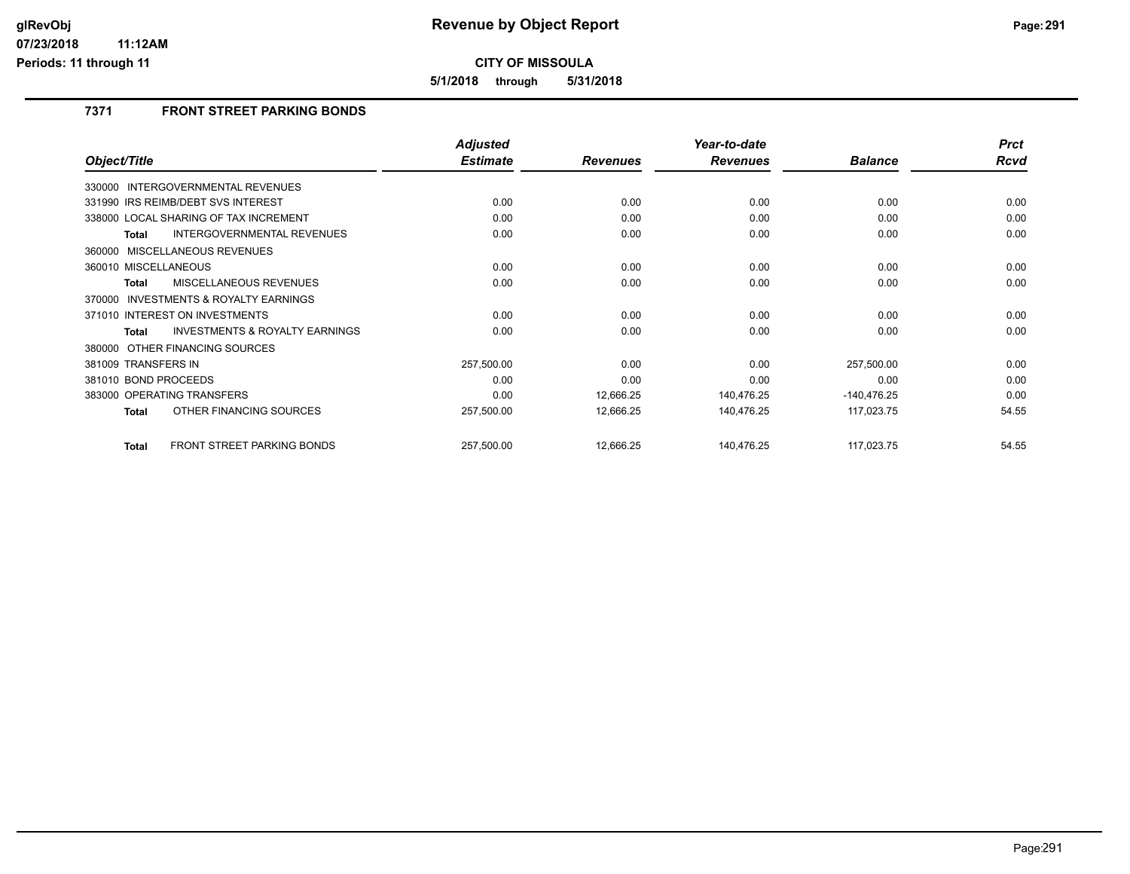**5/1/2018 through 5/31/2018**

## **7371 FRONT STREET PARKING BONDS**

|                                                           | <b>Adjusted</b> |                 | Year-to-date    |                | <b>Prct</b> |
|-----------------------------------------------------------|-----------------|-----------------|-----------------|----------------|-------------|
| Object/Title                                              | <b>Estimate</b> | <b>Revenues</b> | <b>Revenues</b> | <b>Balance</b> | Rcvd        |
| <b>INTERGOVERNMENTAL REVENUES</b><br>330000               |                 |                 |                 |                |             |
| 331990 IRS REIMB/DEBT SVS INTEREST                        | 0.00            | 0.00            | 0.00            | 0.00           | 0.00        |
| 338000 LOCAL SHARING OF TAX INCREMENT                     | 0.00            | 0.00            | 0.00            | 0.00           | 0.00        |
| <b>INTERGOVERNMENTAL REVENUES</b><br><b>Total</b>         | 0.00            | 0.00            | 0.00            | 0.00           | 0.00        |
| 360000 MISCELLANEOUS REVENUES                             |                 |                 |                 |                |             |
| 360010 MISCELLANEOUS                                      | 0.00            | 0.00            | 0.00            | 0.00           | 0.00        |
| MISCELLANEOUS REVENUES<br><b>Total</b>                    | 0.00            | 0.00            | 0.00            | 0.00           | 0.00        |
| INVESTMENTS & ROYALTY EARNINGS<br>370000                  |                 |                 |                 |                |             |
| 371010 INTEREST ON INVESTMENTS                            | 0.00            | 0.00            | 0.00            | 0.00           | 0.00        |
| <b>INVESTMENTS &amp; ROYALTY EARNINGS</b><br><b>Total</b> | 0.00            | 0.00            | 0.00            | 0.00           | 0.00        |
| 380000 OTHER FINANCING SOURCES                            |                 |                 |                 |                |             |
| 381009 TRANSFERS IN                                       | 257,500.00      | 0.00            | 0.00            | 257,500.00     | 0.00        |
| 381010 BOND PROCEEDS                                      | 0.00            | 0.00            | 0.00            | 0.00           | 0.00        |
| 383000 OPERATING TRANSFERS                                | 0.00            | 12,666.25       | 140,476.25      | $-140,476.25$  | 0.00        |
| OTHER FINANCING SOURCES<br><b>Total</b>                   | 257,500.00      | 12,666.25       | 140,476.25      | 117,023.75     | 54.55       |
| FRONT STREET PARKING BONDS<br><b>Total</b>                | 257,500.00      | 12,666.25       | 140,476.25      | 117,023.75     | 54.55       |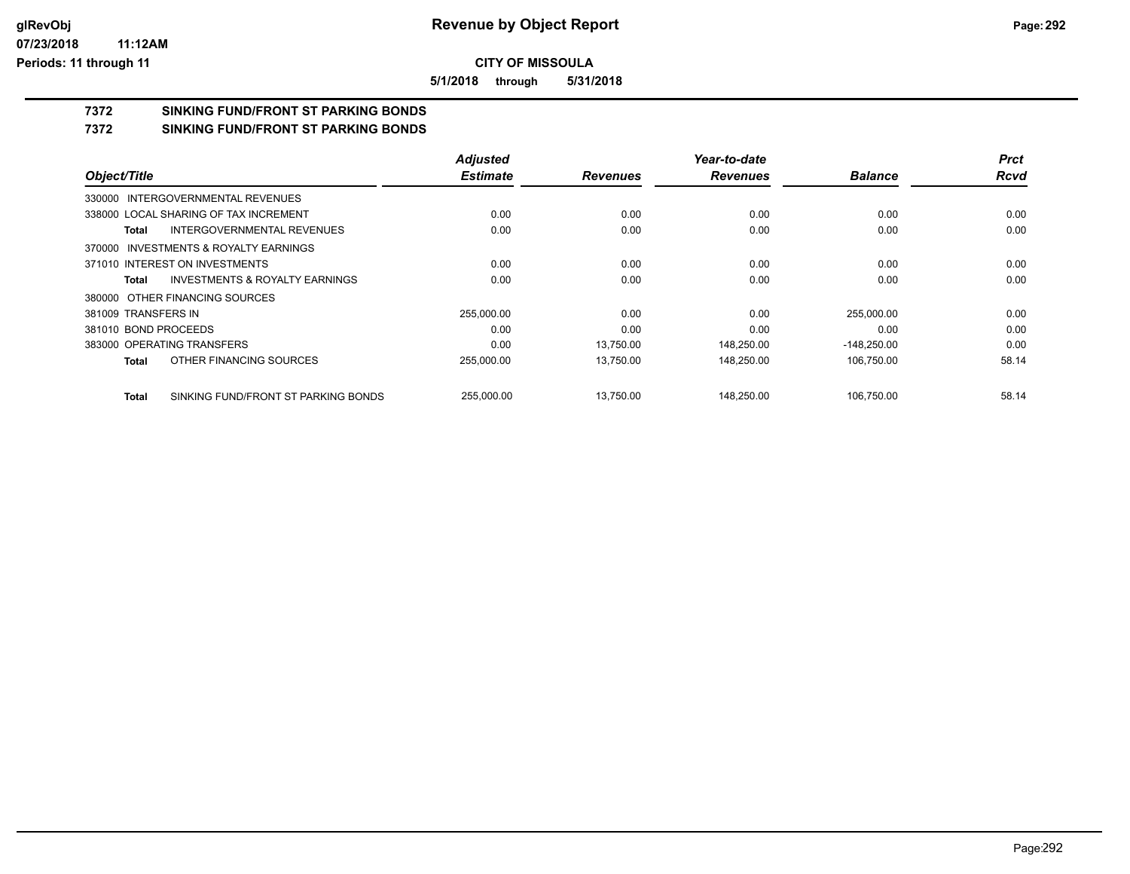**5/1/2018 through 5/31/2018**

# **7372 SINKING FUND/FRONT ST PARKING BONDS**

**7372 SINKING FUND/FRONT ST PARKING BONDS**

|                                              | <b>Adjusted</b> |                 | Year-to-date    |                | <b>Prct</b> |
|----------------------------------------------|-----------------|-----------------|-----------------|----------------|-------------|
| Object/Title                                 | <b>Estimate</b> | <b>Revenues</b> | <b>Revenues</b> | <b>Balance</b> | <b>Rcvd</b> |
| 330000 INTERGOVERNMENTAL REVENUES            |                 |                 |                 |                |             |
| 338000 LOCAL SHARING OF TAX INCREMENT        | 0.00            | 0.00            | 0.00            | 0.00           | 0.00        |
| INTERGOVERNMENTAL REVENUES<br>Total          | 0.00            | 0.00            | 0.00            | 0.00           | 0.00        |
| 370000 INVESTMENTS & ROYALTY EARNINGS        |                 |                 |                 |                |             |
| 371010 INTEREST ON INVESTMENTS               | 0.00            | 0.00            | 0.00            | 0.00           | 0.00        |
| INVESTMENTS & ROYALTY EARNINGS<br>Total      | 0.00            | 0.00            | 0.00            | 0.00           | 0.00        |
| 380000 OTHER FINANCING SOURCES               |                 |                 |                 |                |             |
| 381009 TRANSFERS IN                          | 255,000.00      | 0.00            | 0.00            | 255,000.00     | 0.00        |
| 381010 BOND PROCEEDS                         | 0.00            | 0.00            | 0.00            | 0.00           | 0.00        |
| 383000 OPERATING TRANSFERS                   | 0.00            | 13.750.00       | 148.250.00      | $-148,250.00$  | 0.00        |
| OTHER FINANCING SOURCES<br>Total             | 255,000.00      | 13,750.00       | 148,250.00      | 106,750.00     | 58.14       |
| SINKING FUND/FRONT ST PARKING BONDS<br>Total | 255.000.00      | 13.750.00       | 148.250.00      | 106.750.00     | 58.14       |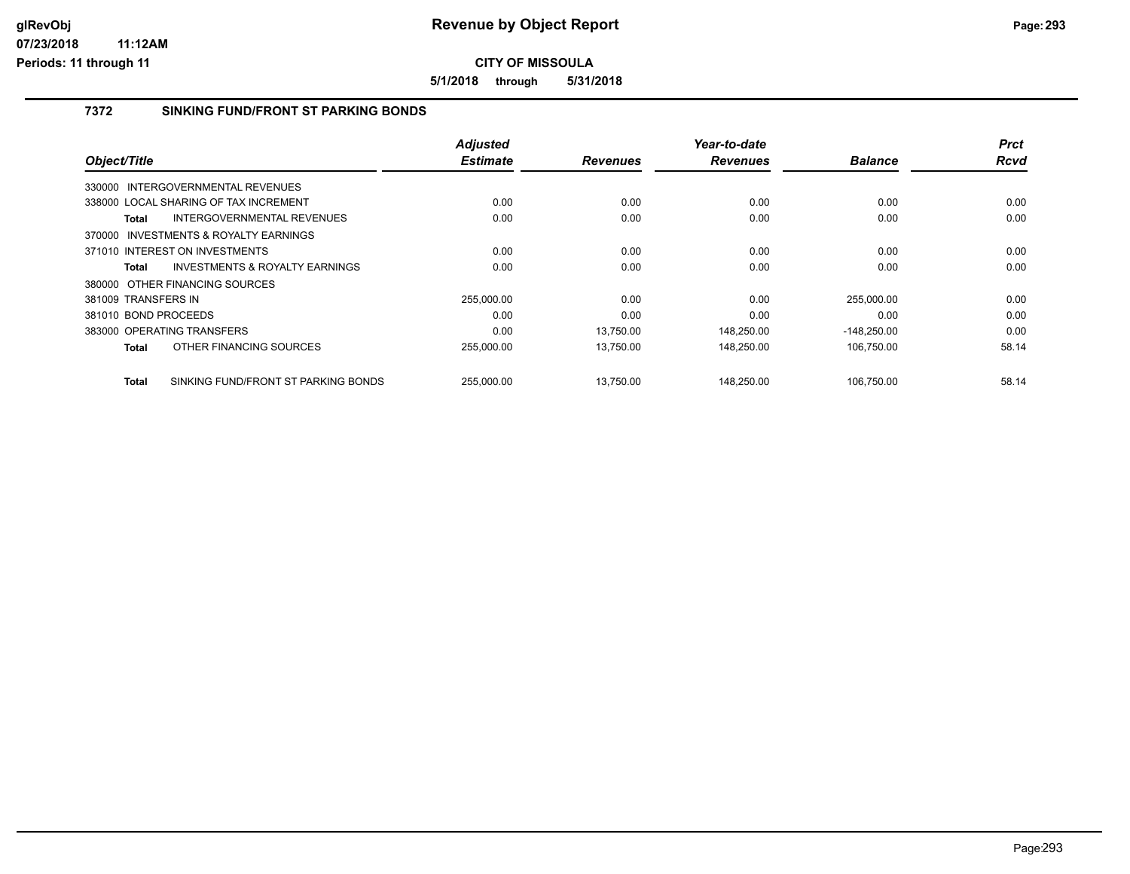**5/1/2018 through 5/31/2018**

### **7372 SINKING FUND/FRONT ST PARKING BONDS**

| Object/Title                          |                                           | <b>Adjusted</b><br><b>Estimate</b> | <b>Revenues</b> | Year-to-date<br><b>Revenues</b> | <b>Balance</b> | <b>Prct</b><br>Rcvd |
|---------------------------------------|-------------------------------------------|------------------------------------|-----------------|---------------------------------|----------------|---------------------|
|                                       |                                           |                                    |                 |                                 |                |                     |
| 330000 INTERGOVERNMENTAL REVENUES     |                                           |                                    |                 |                                 |                |                     |
| 338000 LOCAL SHARING OF TAX INCREMENT |                                           | 0.00                               | 0.00            | 0.00                            | 0.00           | 0.00                |
| <b>Total</b>                          | <b>INTERGOVERNMENTAL REVENUES</b>         | 0.00                               | 0.00            | 0.00                            | 0.00           | 0.00                |
| 370000                                | <b>INVESTMENTS &amp; ROYALTY EARNINGS</b> |                                    |                 |                                 |                |                     |
| 371010 INTEREST ON INVESTMENTS        |                                           | 0.00                               | 0.00            | 0.00                            | 0.00           | 0.00                |
| Total                                 | <b>INVESTMENTS &amp; ROYALTY EARNINGS</b> | 0.00                               | 0.00            | 0.00                            | 0.00           | 0.00                |
| 380000 OTHER FINANCING SOURCES        |                                           |                                    |                 |                                 |                |                     |
| 381009 TRANSFERS IN                   |                                           | 255,000.00                         | 0.00            | 0.00                            | 255,000.00     | 0.00                |
| 381010 BOND PROCEEDS                  |                                           | 0.00                               | 0.00            | 0.00                            | 0.00           | 0.00                |
| 383000 OPERATING TRANSFERS            |                                           | 0.00                               | 13.750.00       | 148,250.00                      | $-148,250.00$  | 0.00                |
| <b>Total</b>                          | OTHER FINANCING SOURCES                   | 255,000.00                         | 13.750.00       | 148,250.00                      | 106,750.00     | 58.14               |
| <b>Total</b>                          | SINKING FUND/FRONT ST PARKING BONDS       | 255.000.00                         | 13.750.00       | 148.250.00                      | 106,750.00     | 58.14               |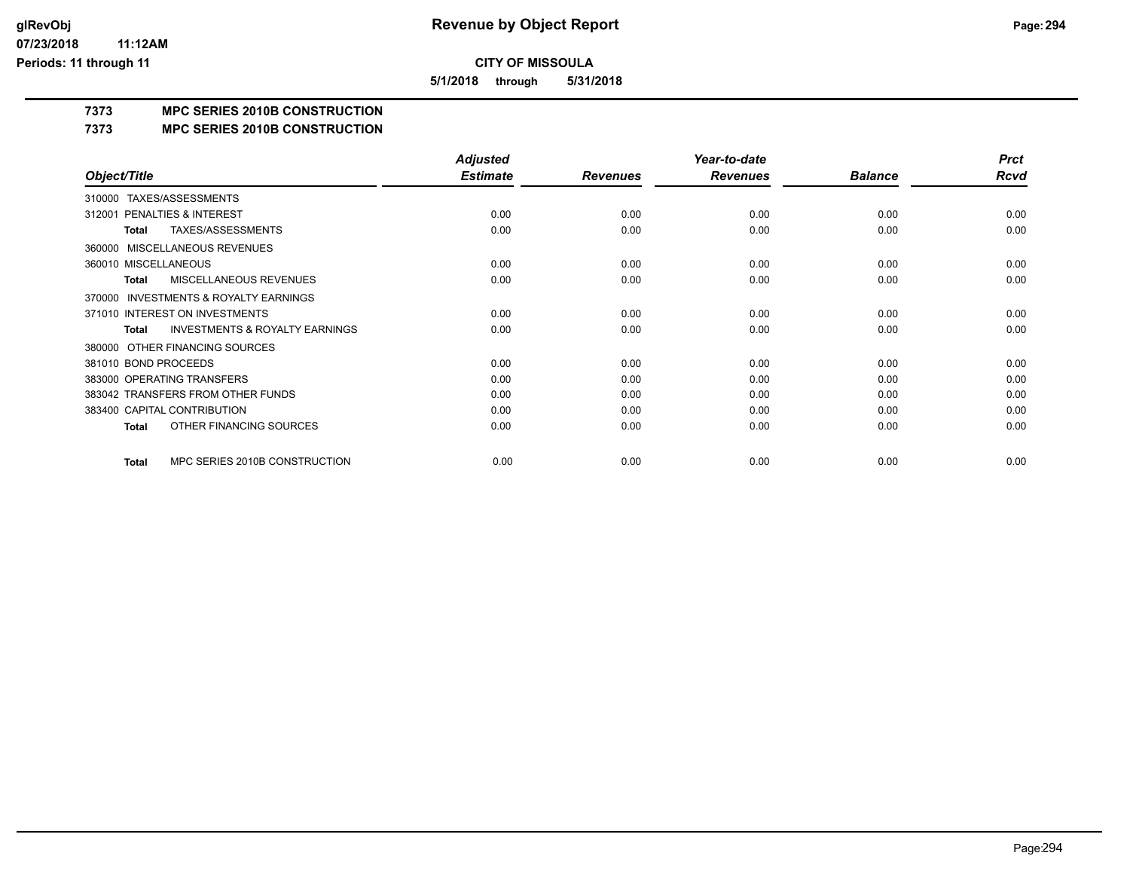**5/1/2018 through 5/31/2018**

## **7373 MPC SERIES 2010B CONSTRUCTION**

## **7373 MPC SERIES 2010B CONSTRUCTION**

|                                                    | <b>Adjusted</b> |                 | Year-to-date    |                | <b>Prct</b> |
|----------------------------------------------------|-----------------|-----------------|-----------------|----------------|-------------|
| Object/Title                                       | <b>Estimate</b> | <b>Revenues</b> | <b>Revenues</b> | <b>Balance</b> | <b>Rcvd</b> |
| TAXES/ASSESSMENTS<br>310000                        |                 |                 |                 |                |             |
| PENALTIES & INTEREST<br>312001                     | 0.00            | 0.00            | 0.00            | 0.00           | 0.00        |
| TAXES/ASSESSMENTS<br><b>Total</b>                  | 0.00            | 0.00            | 0.00            | 0.00           | 0.00        |
| MISCELLANEOUS REVENUES<br>360000                   |                 |                 |                 |                |             |
| 360010 MISCELLANEOUS                               | 0.00            | 0.00            | 0.00            | 0.00           | 0.00        |
| <b>MISCELLANEOUS REVENUES</b><br>Total             | 0.00            | 0.00            | 0.00            | 0.00           | 0.00        |
| INVESTMENTS & ROYALTY EARNINGS<br>370000           |                 |                 |                 |                |             |
| 371010 INTEREST ON INVESTMENTS                     | 0.00            | 0.00            | 0.00            | 0.00           | 0.00        |
| <b>INVESTMENTS &amp; ROYALTY EARNINGS</b><br>Total | 0.00            | 0.00            | 0.00            | 0.00           | 0.00        |
| OTHER FINANCING SOURCES<br>380000                  |                 |                 |                 |                |             |
| 381010 BOND PROCEEDS                               | 0.00            | 0.00            | 0.00            | 0.00           | 0.00        |
| 383000 OPERATING TRANSFERS                         | 0.00            | 0.00            | 0.00            | 0.00           | 0.00        |
| 383042 TRANSFERS FROM OTHER FUNDS                  | 0.00            | 0.00            | 0.00            | 0.00           | 0.00        |
| 383400 CAPITAL CONTRIBUTION                        | 0.00            | 0.00            | 0.00            | 0.00           | 0.00        |
| OTHER FINANCING SOURCES<br><b>Total</b>            | 0.00            | 0.00            | 0.00            | 0.00           | 0.00        |
|                                                    |                 |                 |                 |                |             |
| MPC SERIES 2010B CONSTRUCTION<br><b>Total</b>      | 0.00            | 0.00            | 0.00            | 0.00           | 0.00        |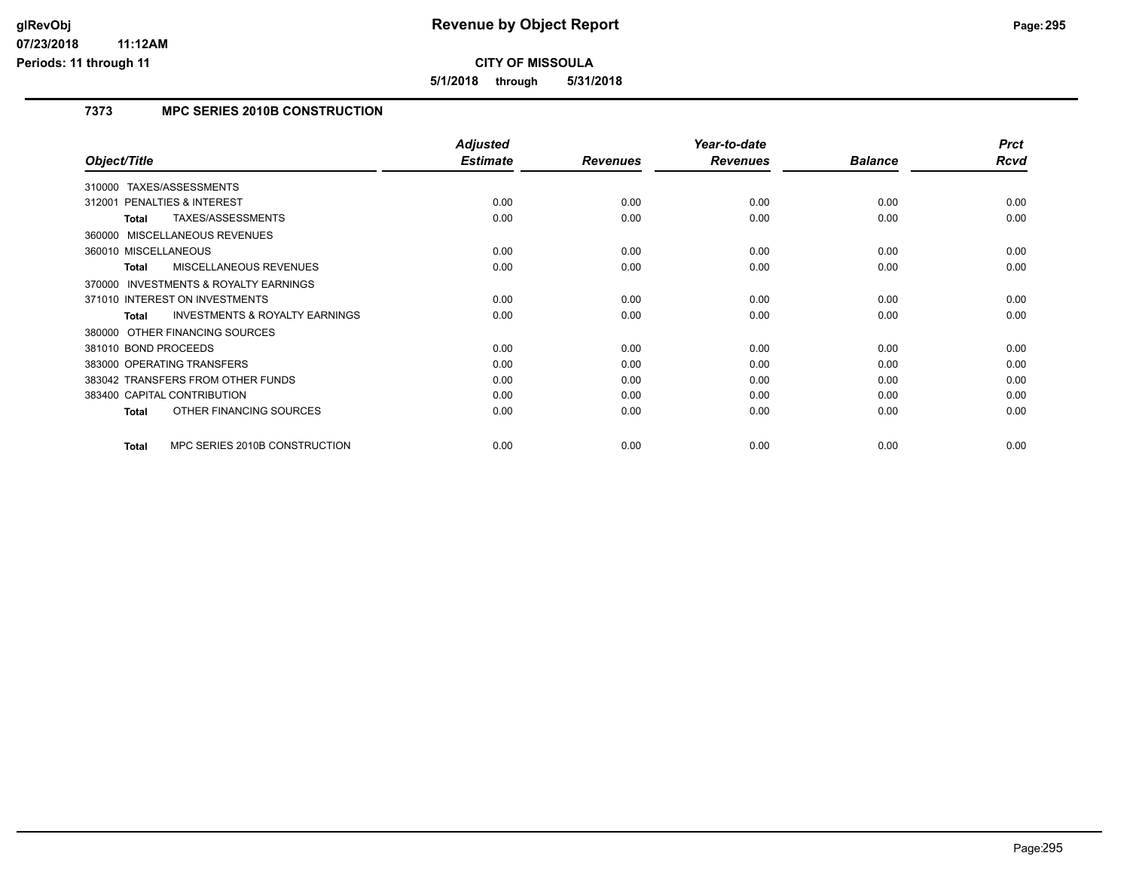**5/1/2018 through 5/31/2018**

## **7373 MPC SERIES 2010B CONSTRUCTION**

|                                                           | <b>Adjusted</b> |                 | Year-to-date    |                | <b>Prct</b> |
|-----------------------------------------------------------|-----------------|-----------------|-----------------|----------------|-------------|
| Object/Title                                              | <b>Estimate</b> | <b>Revenues</b> | <b>Revenues</b> | <b>Balance</b> | <b>Rcvd</b> |
| 310000 TAXES/ASSESSMENTS                                  |                 |                 |                 |                |             |
| 312001 PENALTIES & INTEREST                               | 0.00            | 0.00            | 0.00            | 0.00           | 0.00        |
| TAXES/ASSESSMENTS<br><b>Total</b>                         | 0.00            | 0.00            | 0.00            | 0.00           | 0.00        |
| 360000 MISCELLANEOUS REVENUES                             |                 |                 |                 |                |             |
| 360010 MISCELLANEOUS                                      | 0.00            | 0.00            | 0.00            | 0.00           | 0.00        |
| <b>MISCELLANEOUS REVENUES</b><br><b>Total</b>             | 0.00            | 0.00            | 0.00            | 0.00           | 0.00        |
| <b>INVESTMENTS &amp; ROYALTY EARNINGS</b><br>370000       |                 |                 |                 |                |             |
| 371010 INTEREST ON INVESTMENTS                            | 0.00            | 0.00            | 0.00            | 0.00           | 0.00        |
| <b>INVESTMENTS &amp; ROYALTY EARNINGS</b><br><b>Total</b> | 0.00            | 0.00            | 0.00            | 0.00           | 0.00        |
| 380000 OTHER FINANCING SOURCES                            |                 |                 |                 |                |             |
| 381010 BOND PROCEEDS                                      | 0.00            | 0.00            | 0.00            | 0.00           | 0.00        |
| 383000 OPERATING TRANSFERS                                | 0.00            | 0.00            | 0.00            | 0.00           | 0.00        |
| 383042 TRANSFERS FROM OTHER FUNDS                         | 0.00            | 0.00            | 0.00            | 0.00           | 0.00        |
| 383400 CAPITAL CONTRIBUTION                               | 0.00            | 0.00            | 0.00            | 0.00           | 0.00        |
| OTHER FINANCING SOURCES<br><b>Total</b>                   | 0.00            | 0.00            | 0.00            | 0.00           | 0.00        |
| MPC SERIES 2010B CONSTRUCTION<br><b>Total</b>             | 0.00            | 0.00            | 0.00            | 0.00           | 0.00        |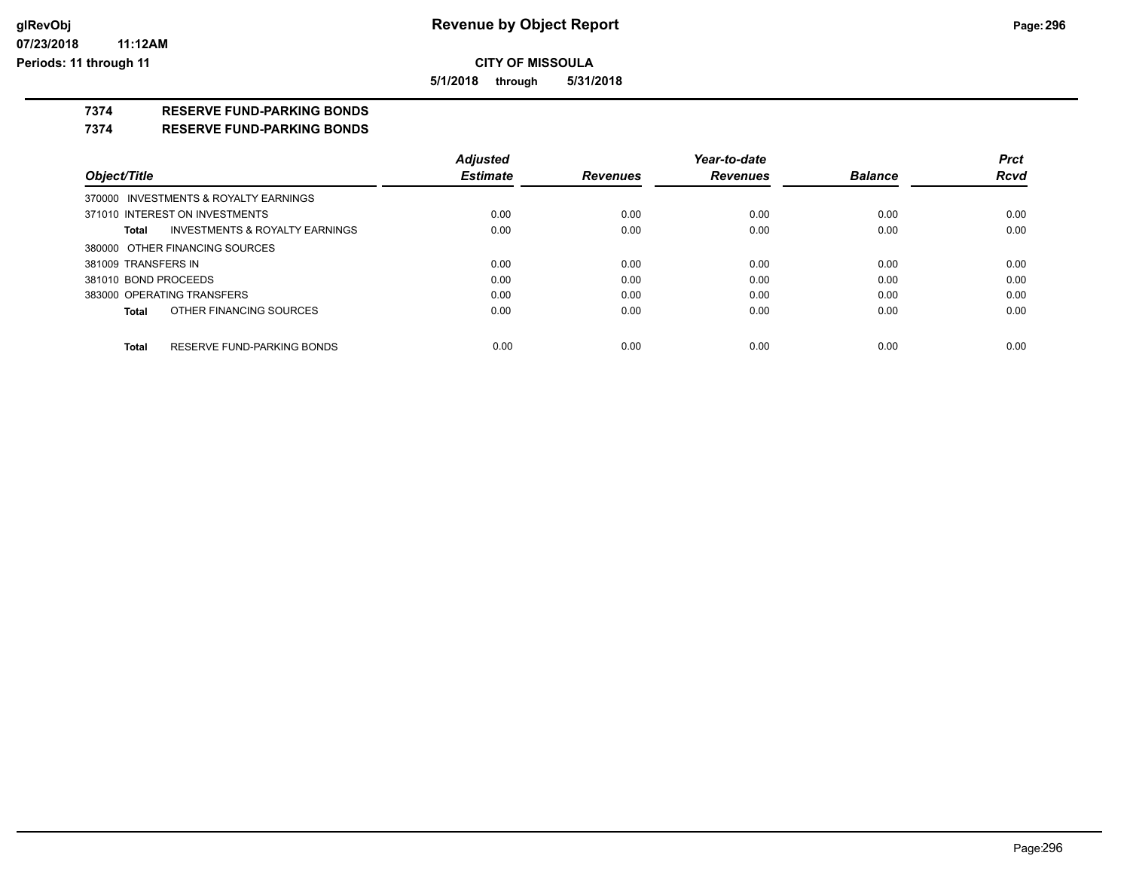**5/1/2018 through 5/31/2018**

## **7374 RESERVE FUND-PARKING BONDS**

#### **7374 RESERVE FUND-PARKING BONDS**

|                            |                                       | <b>Adjusted</b> |                 | Year-to-date    |                | <b>Prct</b> |
|----------------------------|---------------------------------------|-----------------|-----------------|-----------------|----------------|-------------|
| Object/Title               |                                       | <b>Estimate</b> | <b>Revenues</b> | <b>Revenues</b> | <b>Balance</b> | <b>Rcvd</b> |
|                            | 370000 INVESTMENTS & ROYALTY EARNINGS |                 |                 |                 |                |             |
|                            | 371010 INTEREST ON INVESTMENTS        | 0.00            | 0.00            | 0.00            | 0.00           | 0.00        |
| Total                      | INVESTMENTS & ROYALTY EARNINGS        | 0.00            | 0.00            | 0.00            | 0.00           | 0.00        |
|                            | 380000 OTHER FINANCING SOURCES        |                 |                 |                 |                |             |
| 381009 TRANSFERS IN        |                                       | 0.00            | 0.00            | 0.00            | 0.00           | 0.00        |
| 381010 BOND PROCEEDS       |                                       | 0.00            | 0.00            | 0.00            | 0.00           | 0.00        |
| 383000 OPERATING TRANSFERS |                                       | 0.00            | 0.00            | 0.00            | 0.00           | 0.00        |
| Total                      | OTHER FINANCING SOURCES               | 0.00            | 0.00            | 0.00            | 0.00           | 0.00        |
|                            |                                       |                 |                 |                 |                |             |
| Total                      | RESERVE FUND-PARKING BONDS            | 0.00            | 0.00            | 0.00            | 0.00           | 0.00        |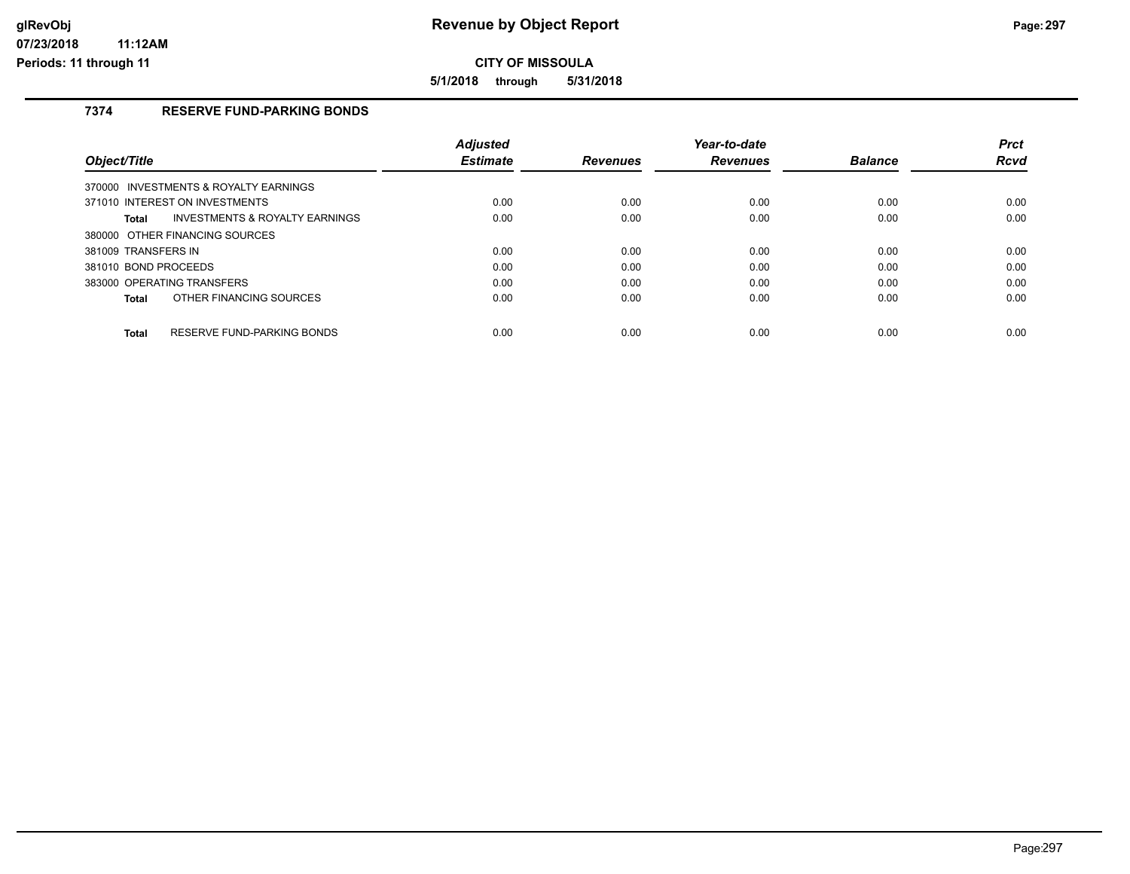**5/1/2018 through 5/31/2018**

## **7374 RESERVE FUND-PARKING BONDS**

|                                                    | <b>Adiusted</b> |                 | Year-to-date    |                | <b>Prct</b> |
|----------------------------------------------------|-----------------|-----------------|-----------------|----------------|-------------|
| Object/Title                                       | <b>Estimate</b> | <b>Revenues</b> | <b>Revenues</b> | <b>Balance</b> | <b>Rcvd</b> |
| 370000 INVESTMENTS & ROYALTY EARNINGS              |                 |                 |                 |                |             |
| 371010 INTEREST ON INVESTMENTS                     | 0.00            | 0.00            | 0.00            | 0.00           | 0.00        |
| <b>INVESTMENTS &amp; ROYALTY EARNINGS</b><br>Total | 0.00            | 0.00            | 0.00            | 0.00           | 0.00        |
| 380000 OTHER FINANCING SOURCES                     |                 |                 |                 |                |             |
| 381009 TRANSFERS IN                                | 0.00            | 0.00            | 0.00            | 0.00           | 0.00        |
| 381010 BOND PROCEEDS                               | 0.00            | 0.00            | 0.00            | 0.00           | 0.00        |
| 383000 OPERATING TRANSFERS                         | 0.00            | 0.00            | 0.00            | 0.00           | 0.00        |
| OTHER FINANCING SOURCES<br>Total                   | 0.00            | 0.00            | 0.00            | 0.00           | 0.00        |
| RESERVE FUND-PARKING BONDS<br><b>Total</b>         | 0.00            | 0.00            | 0.00            | 0.00           | 0.00        |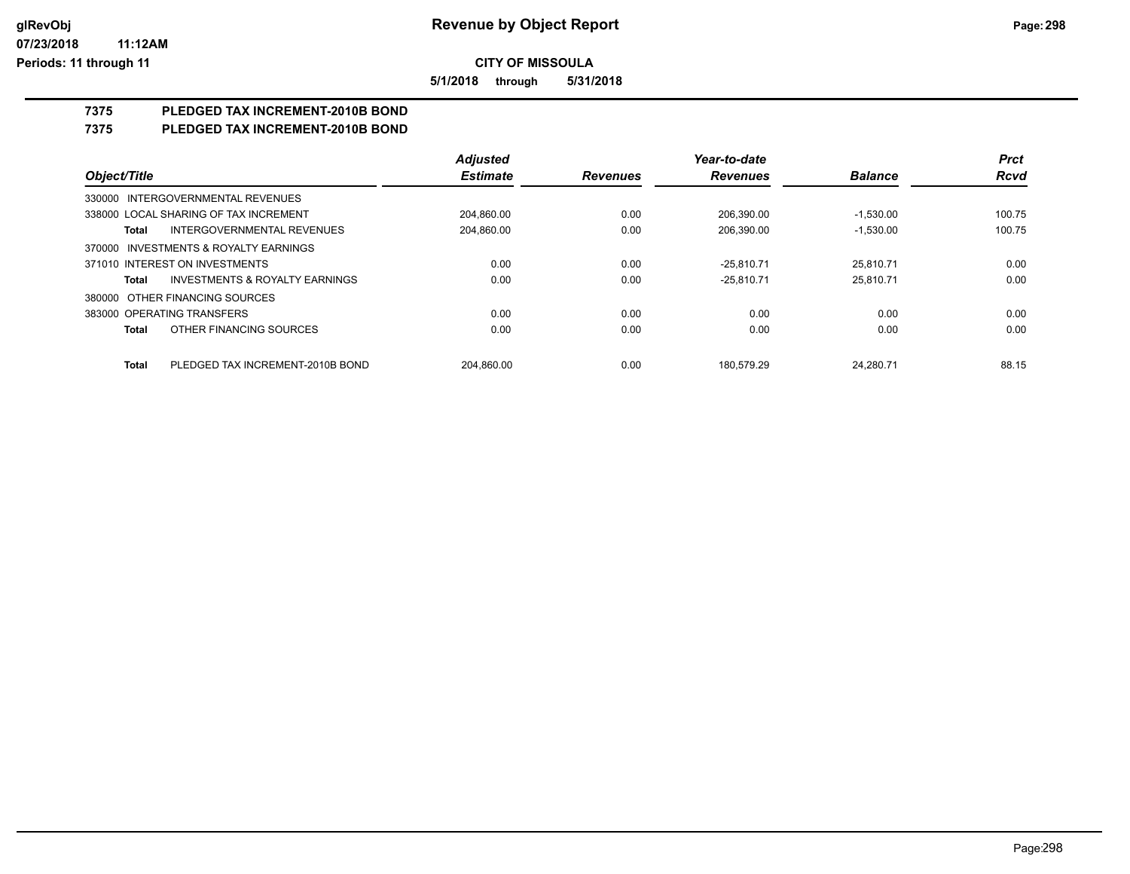**5/1/2018 through 5/31/2018**

# **7375 PLEDGED TAX INCREMENT-2010B BOND**

## **7375 PLEDGED TAX INCREMENT-2010B BOND**

|                                                    | <b>Adjusted</b> |                 | Year-to-date    |                | <b>Prct</b> |
|----------------------------------------------------|-----------------|-----------------|-----------------|----------------|-------------|
| Object/Title                                       | <b>Estimate</b> | <b>Revenues</b> | <b>Revenues</b> | <b>Balance</b> | <b>Rcvd</b> |
| INTERGOVERNMENTAL REVENUES<br>330000               |                 |                 |                 |                |             |
| 338000 LOCAL SHARING OF TAX INCREMENT              | 204.860.00      | 0.00            | 206.390.00      | $-1.530.00$    | 100.75      |
| INTERGOVERNMENTAL REVENUES<br>Total                | 204.860.00      | 0.00            | 206.390.00      | $-1.530.00$    | 100.75      |
| 370000 INVESTMENTS & ROYALTY EARNINGS              |                 |                 |                 |                |             |
| 371010 INTEREST ON INVESTMENTS                     | 0.00            | 0.00            | $-25.810.71$    | 25.810.71      | 0.00        |
| <b>INVESTMENTS &amp; ROYALTY EARNINGS</b><br>Total | 0.00            | 0.00            | $-25.810.71$    | 25.810.71      | 0.00        |
| OTHER FINANCING SOURCES<br>380000                  |                 |                 |                 |                |             |
| 383000 OPERATING TRANSFERS                         | 0.00            | 0.00            | 0.00            | 0.00           | 0.00        |
| OTHER FINANCING SOURCES<br><b>Total</b>            | 0.00            | 0.00            | 0.00            | 0.00           | 0.00        |
| PLEDGED TAX INCREMENT-2010B BOND<br><b>Total</b>   | 204.860.00      | 0.00            | 180.579.29      | 24.280.71      | 88.15       |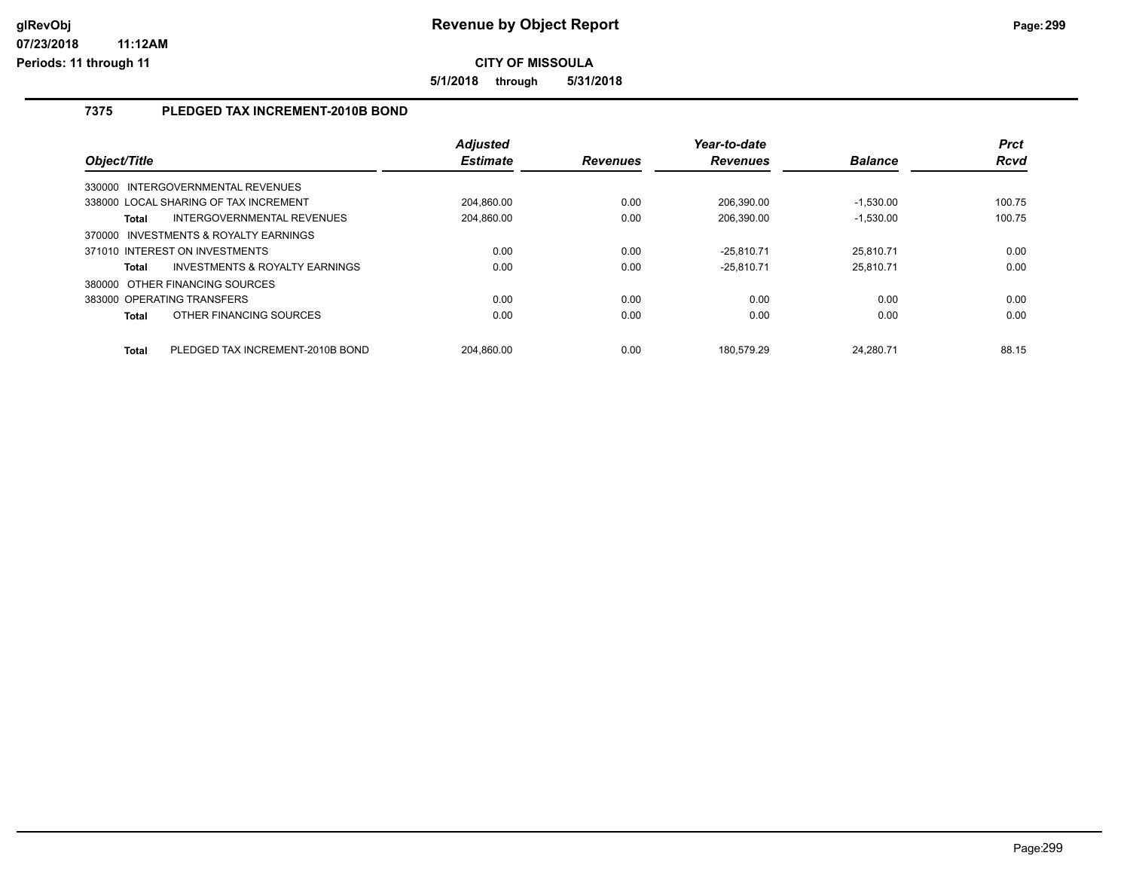**5/1/2018 through 5/31/2018**

## **7375 PLEDGED TAX INCREMENT-2010B BOND**

|                                                  | <b>Adjusted</b> |                 | Year-to-date    |                | <b>Prct</b> |
|--------------------------------------------------|-----------------|-----------------|-----------------|----------------|-------------|
| Object/Title                                     | <b>Estimate</b> | <b>Revenues</b> | <b>Revenues</b> | <b>Balance</b> | <b>Rcvd</b> |
| INTERGOVERNMENTAL REVENUES<br>330000             |                 |                 |                 |                |             |
| 338000 LOCAL SHARING OF TAX INCREMENT            | 204.860.00      | 0.00            | 206.390.00      | $-1.530.00$    | 100.75      |
| INTERGOVERNMENTAL REVENUES<br>Total              | 204.860.00      | 0.00            | 206,390.00      | $-1.530.00$    | 100.75      |
| 370000 INVESTMENTS & ROYALTY EARNINGS            |                 |                 |                 |                |             |
| 371010 INTEREST ON INVESTMENTS                   | 0.00            | 0.00            | $-25.810.71$    | 25.810.71      | 0.00        |
| INVESTMENTS & ROYALTY EARNINGS<br>Total          | 0.00            | 0.00            | $-25.810.71$    | 25.810.71      | 0.00        |
| OTHER FINANCING SOURCES<br>380000                |                 |                 |                 |                |             |
| 383000 OPERATING TRANSFERS                       | 0.00            | 0.00            | 0.00            | 0.00           | 0.00        |
| OTHER FINANCING SOURCES<br><b>Total</b>          | 0.00            | 0.00            | 0.00            | 0.00           | 0.00        |
| PLEDGED TAX INCREMENT-2010B BOND<br><b>Total</b> | 204.860.00      | 0.00            | 180.579.29      | 24.280.71      | 88.15       |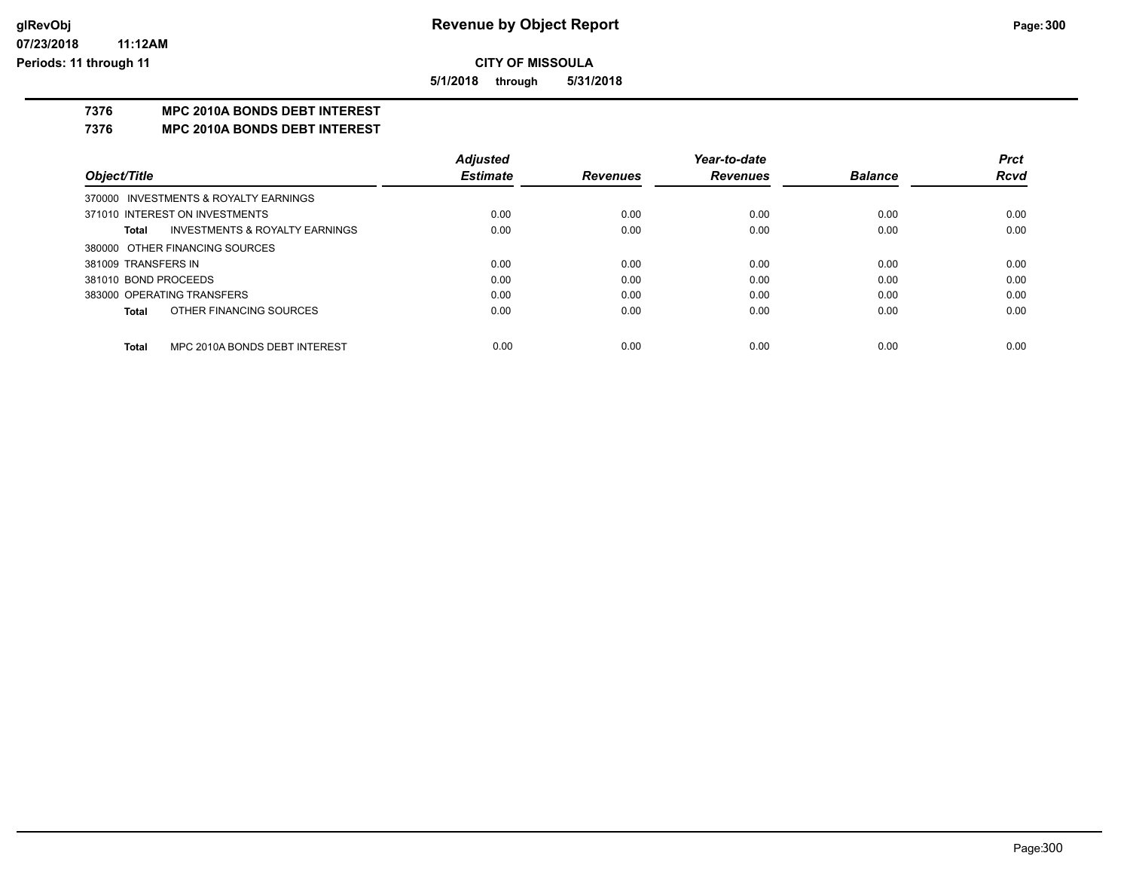**5/1/2018 through 5/31/2018**

## **7376 MPC 2010A BONDS DEBT INTEREST**

#### **7376 MPC 2010A BONDS DEBT INTEREST**

|                      |                                       | <b>Adjusted</b> |                 | Year-to-date    |                | <b>Prct</b> |
|----------------------|---------------------------------------|-----------------|-----------------|-----------------|----------------|-------------|
| Object/Title         |                                       | <b>Estimate</b> | <b>Revenues</b> | <b>Revenues</b> | <b>Balance</b> | <b>Rcvd</b> |
|                      | 370000 INVESTMENTS & ROYALTY EARNINGS |                 |                 |                 |                |             |
|                      | 371010 INTEREST ON INVESTMENTS        | 0.00            | 0.00            | 0.00            | 0.00           | 0.00        |
| Total                | INVESTMENTS & ROYALTY EARNINGS        | 0.00            | 0.00            | 0.00            | 0.00           | 0.00        |
|                      | 380000 OTHER FINANCING SOURCES        |                 |                 |                 |                |             |
| 381009 TRANSFERS IN  |                                       | 0.00            | 0.00            | 0.00            | 0.00           | 0.00        |
| 381010 BOND PROCEEDS |                                       | 0.00            | 0.00            | 0.00            | 0.00           | 0.00        |
|                      | 383000 OPERATING TRANSFERS            | 0.00            | 0.00            | 0.00            | 0.00           | 0.00        |
| Total                | OTHER FINANCING SOURCES               | 0.00            | 0.00            | 0.00            | 0.00           | 0.00        |
| Total                | MPC 2010A BONDS DEBT INTEREST         | 0.00            | 0.00            | 0.00            | 0.00           | 0.00        |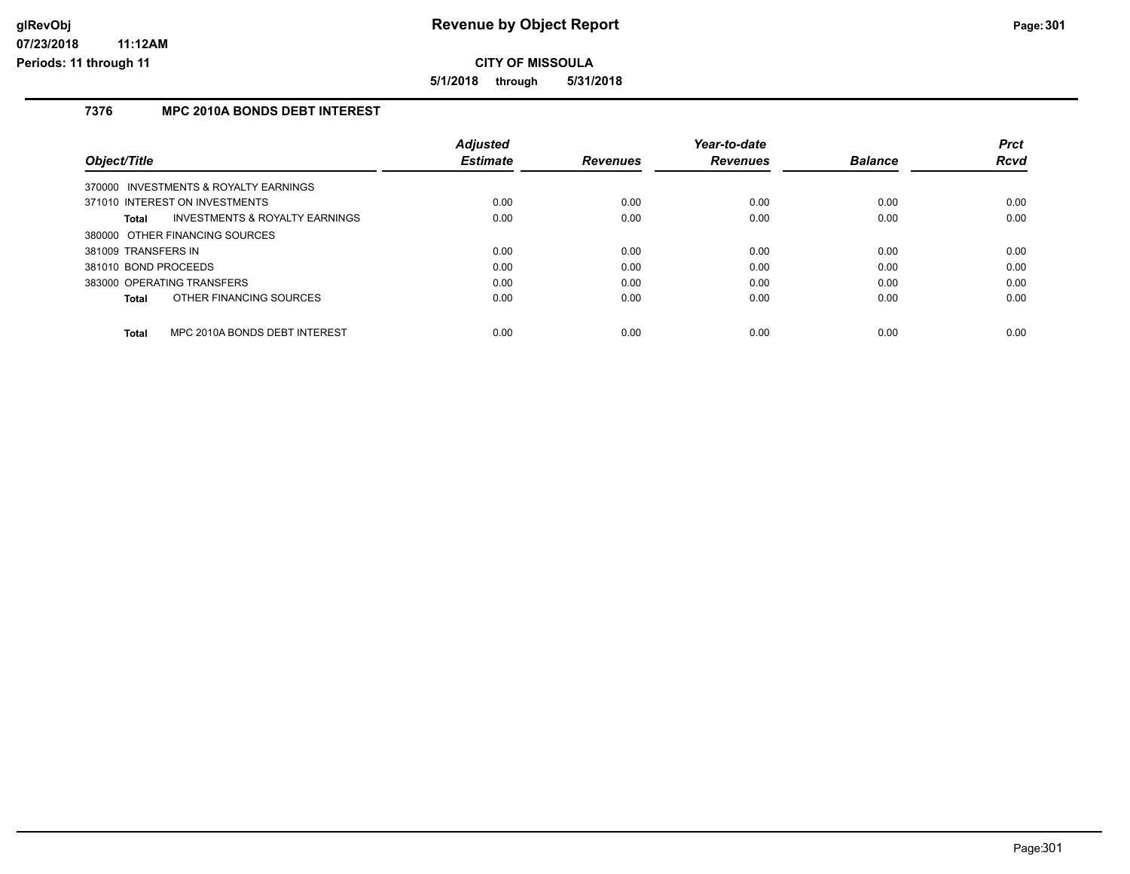**5/1/2018 through 5/31/2018**

## **7376 MPC 2010A BONDS DEBT INTEREST**

|                            |                                           | <b>Adjusted</b> |                 | Year-to-date    |                | <b>Prct</b> |
|----------------------------|-------------------------------------------|-----------------|-----------------|-----------------|----------------|-------------|
| Object/Title               |                                           | <b>Estimate</b> | <b>Revenues</b> | <b>Revenues</b> | <b>Balance</b> | <b>Rcvd</b> |
|                            | 370000 INVESTMENTS & ROYALTY EARNINGS     |                 |                 |                 |                |             |
|                            | 371010 INTEREST ON INVESTMENTS            | 0.00            | 0.00            | 0.00            | 0.00           | 0.00        |
| Total                      | <b>INVESTMENTS &amp; ROYALTY EARNINGS</b> | 0.00            | 0.00            | 0.00            | 0.00           | 0.00        |
|                            | 380000 OTHER FINANCING SOURCES            |                 |                 |                 |                |             |
| 381009 TRANSFERS IN        |                                           | 0.00            | 0.00            | 0.00            | 0.00           | 0.00        |
| 381010 BOND PROCEEDS       |                                           | 0.00            | 0.00            | 0.00            | 0.00           | 0.00        |
| 383000 OPERATING TRANSFERS |                                           | 0.00            | 0.00            | 0.00            | 0.00           | 0.00        |
| Total                      | OTHER FINANCING SOURCES                   | 0.00            | 0.00            | 0.00            | 0.00           | 0.00        |
| <b>Total</b>               | MPC 2010A BONDS DEBT INTEREST             | 0.00            | 0.00            | 0.00            | 0.00           | 0.00        |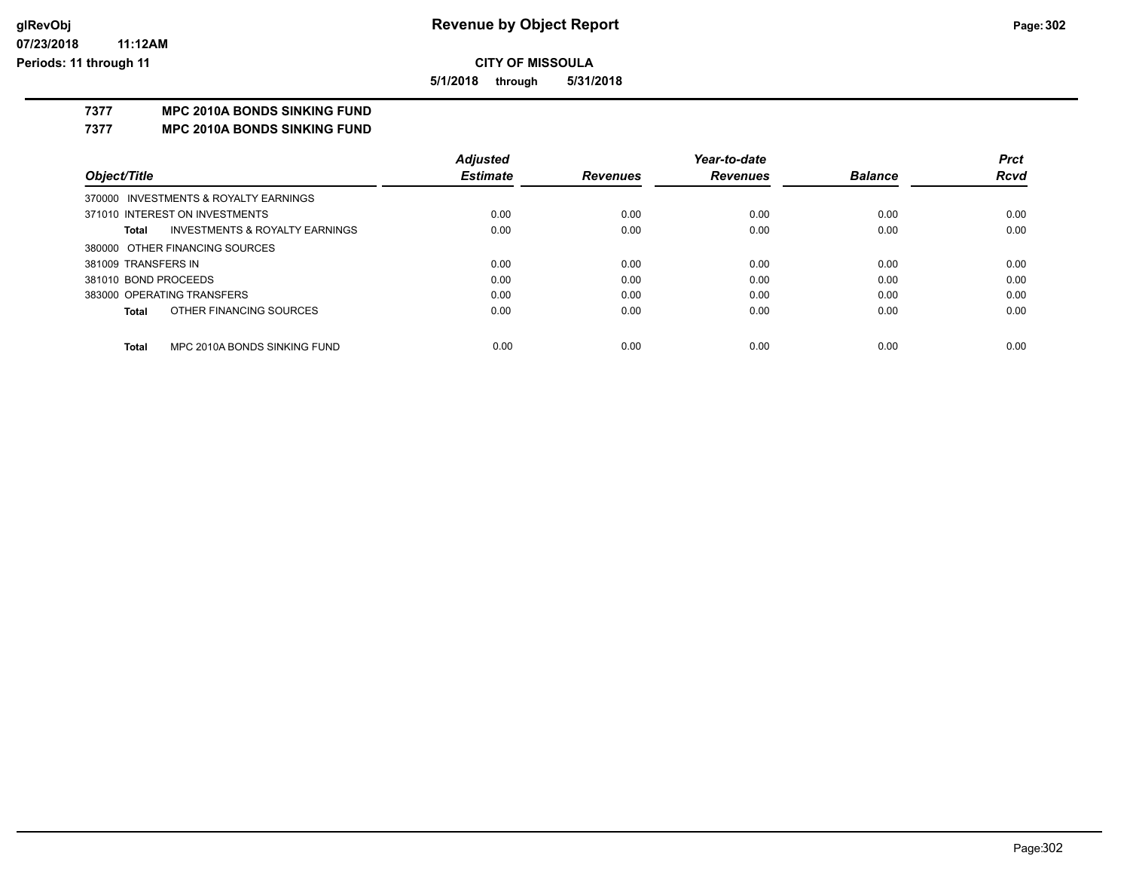**Periods: 11 through 11**

**CITY OF MISSOULA**

**5/1/2018 through 5/31/2018**

## **7377 MPC 2010A BONDS SINKING FUND**

**7377 MPC 2010A BONDS SINKING FUND**

|                      |                                       | <b>Adjusted</b> |                 | Year-to-date    |                | <b>Prct</b> |
|----------------------|---------------------------------------|-----------------|-----------------|-----------------|----------------|-------------|
| Object/Title         |                                       | <b>Estimate</b> | <b>Revenues</b> | <b>Revenues</b> | <b>Balance</b> | <b>Rcvd</b> |
|                      | 370000 INVESTMENTS & ROYALTY EARNINGS |                 |                 |                 |                |             |
|                      | 371010 INTEREST ON INVESTMENTS        | 0.00            | 0.00            | 0.00            | 0.00           | 0.00        |
| Total                | INVESTMENTS & ROYALTY EARNINGS        | 0.00            | 0.00            | 0.00            | 0.00           | 0.00        |
|                      | 380000 OTHER FINANCING SOURCES        |                 |                 |                 |                |             |
| 381009 TRANSFERS IN  |                                       | 0.00            | 0.00            | 0.00            | 0.00           | 0.00        |
| 381010 BOND PROCEEDS |                                       | 0.00            | 0.00            | 0.00            | 0.00           | 0.00        |
|                      | 383000 OPERATING TRANSFERS            | 0.00            | 0.00            | 0.00            | 0.00           | 0.00        |
| Total                | OTHER FINANCING SOURCES               | 0.00            | 0.00            | 0.00            | 0.00           | 0.00        |
|                      |                                       |                 |                 |                 |                |             |
| <b>Total</b>         | MPC 2010A BONDS SINKING FUND          | 0.00            | 0.00            | 0.00            | 0.00           | 0.00        |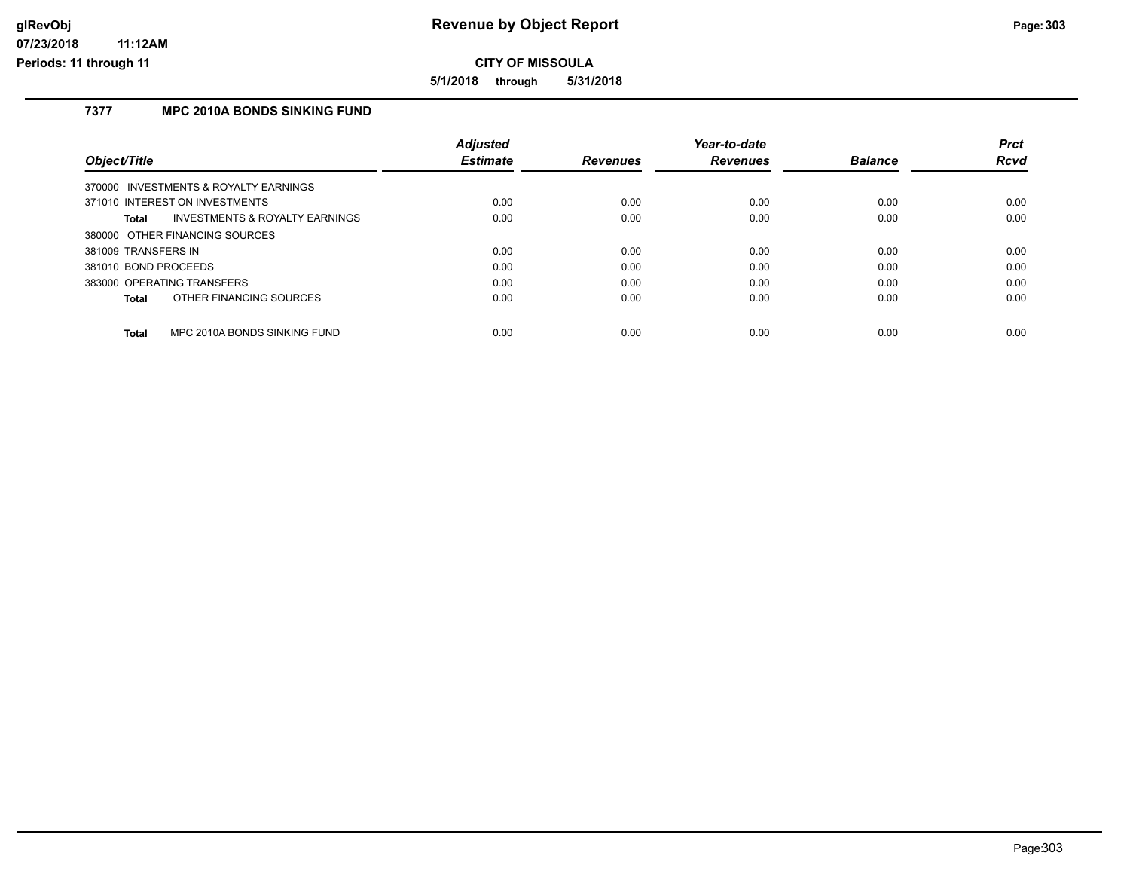**5/1/2018 through 5/31/2018**

## **7377 MPC 2010A BONDS SINKING FUND**

|                                |                                           | <b>Adjusted</b> |                 | Year-to-date    |                | <b>Prct</b> |
|--------------------------------|-------------------------------------------|-----------------|-----------------|-----------------|----------------|-------------|
| Object/Title                   |                                           | <b>Estimate</b> | <b>Revenues</b> | <b>Revenues</b> | <b>Balance</b> | <b>Rcvd</b> |
|                                | 370000 INVESTMENTS & ROYALTY EARNINGS     |                 |                 |                 |                |             |
| 371010 INTEREST ON INVESTMENTS |                                           | 0.00            | 0.00            | 0.00            | 0.00           | 0.00        |
| Total                          | <b>INVESTMENTS &amp; ROYALTY EARNINGS</b> | 0.00            | 0.00            | 0.00            | 0.00           | 0.00        |
| 380000 OTHER FINANCING SOURCES |                                           |                 |                 |                 |                |             |
| 381009 TRANSFERS IN            |                                           | 0.00            | 0.00            | 0.00            | 0.00           | 0.00        |
| 381010 BOND PROCEEDS           |                                           | 0.00            | 0.00            | 0.00            | 0.00           | 0.00        |
| 383000 OPERATING TRANSFERS     |                                           | 0.00            | 0.00            | 0.00            | 0.00           | 0.00        |
| <b>Total</b>                   | OTHER FINANCING SOURCES                   | 0.00            | 0.00            | 0.00            | 0.00           | 0.00        |
| <b>Total</b>                   | MPC 2010A BONDS SINKING FUND              | 0.00            | 0.00            | 0.00            | 0.00           | 0.00        |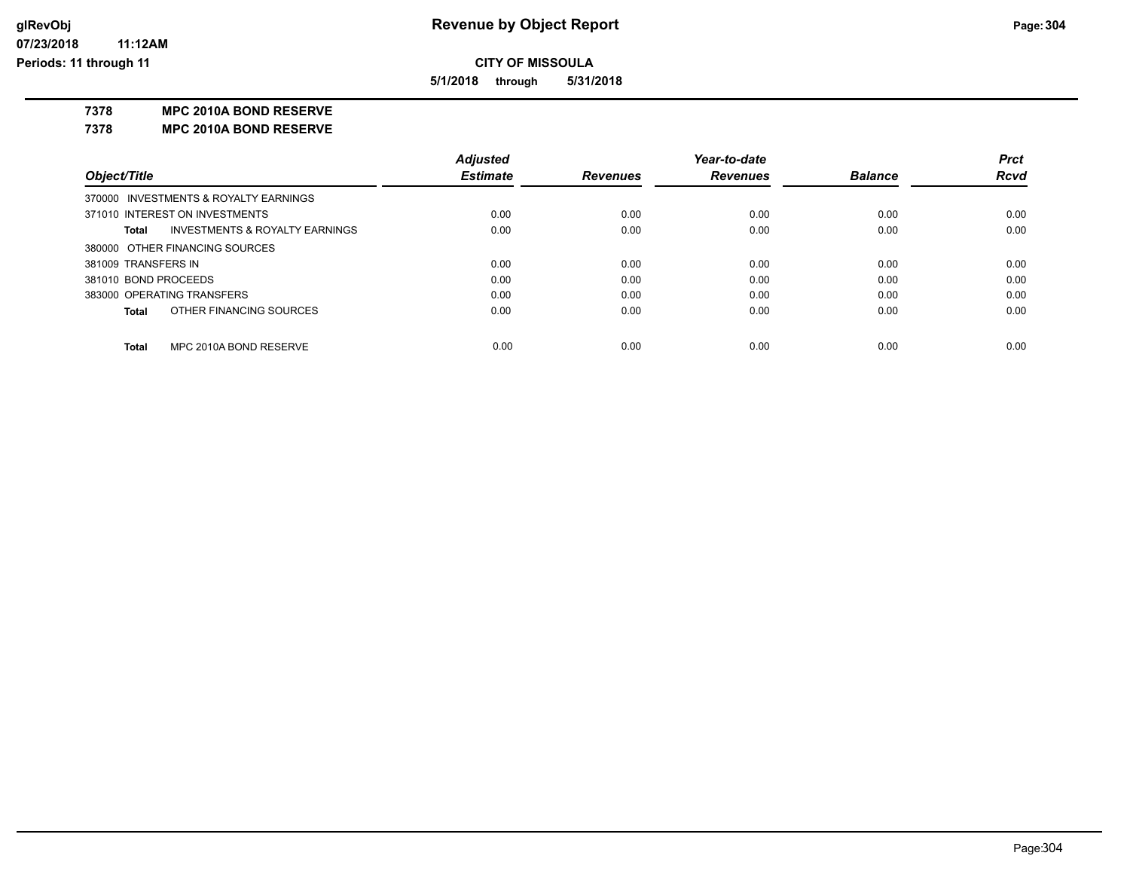**5/1/2018 through 5/31/2018**

**7378 MPC 2010A BOND RESERVE**

**7378 MPC 2010A BOND RESERVE**

|                      |                                           | <b>Adjusted</b> |                 | Year-to-date    |                | <b>Prct</b> |
|----------------------|-------------------------------------------|-----------------|-----------------|-----------------|----------------|-------------|
| Object/Title         |                                           | <b>Estimate</b> | <b>Revenues</b> | <b>Revenues</b> | <b>Balance</b> | <b>Rcvd</b> |
|                      | 370000 INVESTMENTS & ROYALTY EARNINGS     |                 |                 |                 |                |             |
|                      | 371010 INTEREST ON INVESTMENTS            | 0.00            | 0.00            | 0.00            | 0.00           | 0.00        |
| Total                | <b>INVESTMENTS &amp; ROYALTY EARNINGS</b> | 0.00            | 0.00            | 0.00            | 0.00           | 0.00        |
|                      | 380000 OTHER FINANCING SOURCES            |                 |                 |                 |                |             |
| 381009 TRANSFERS IN  |                                           | 0.00            | 0.00            | 0.00            | 0.00           | 0.00        |
| 381010 BOND PROCEEDS |                                           | 0.00            | 0.00            | 0.00            | 0.00           | 0.00        |
|                      | 383000 OPERATING TRANSFERS                | 0.00            | 0.00            | 0.00            | 0.00           | 0.00        |
| Total                | OTHER FINANCING SOURCES                   | 0.00            | 0.00            | 0.00            | 0.00           | 0.00        |
| Total                | MPC 2010A BOND RESERVE                    | 0.00            | 0.00            | 0.00            | 0.00           | 0.00        |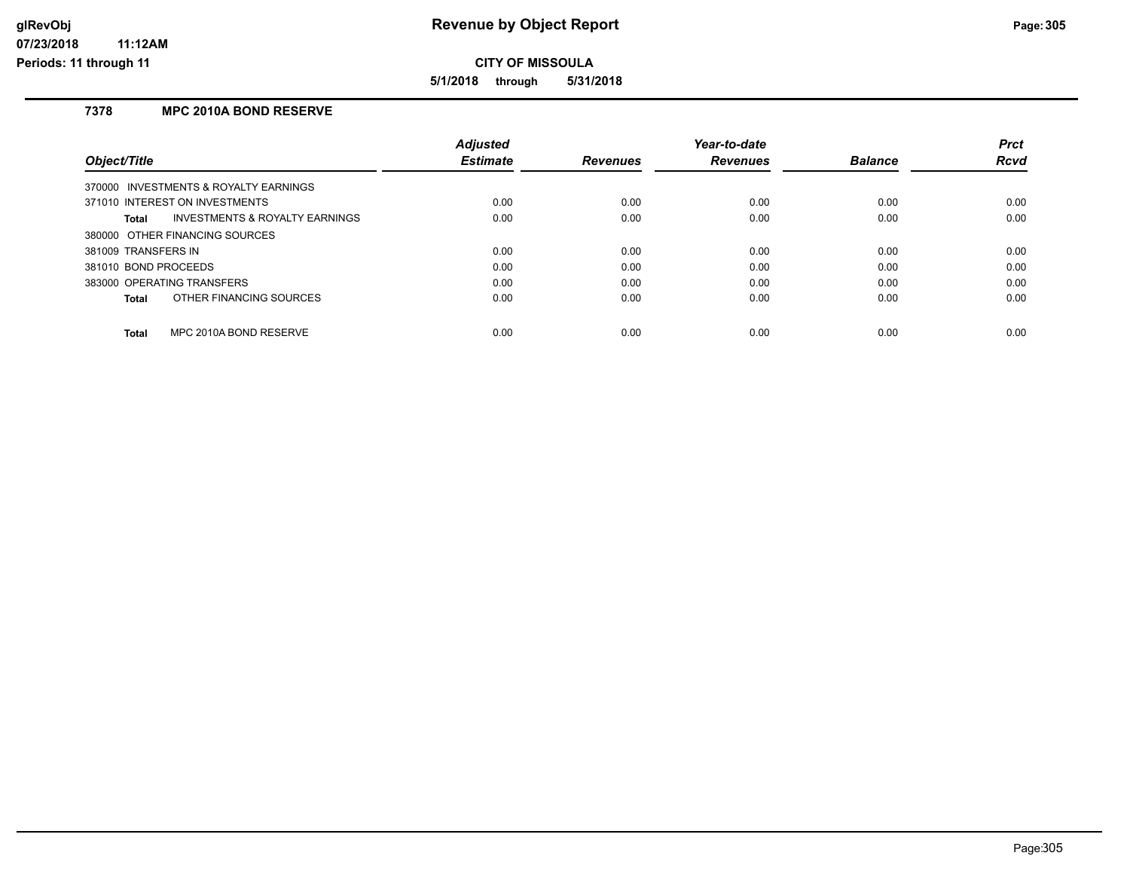**5/1/2018 through 5/31/2018**

## **7378 MPC 2010A BOND RESERVE**

|                                        |                                | <b>Adjusted</b> |                 | Year-to-date    |                | <b>Prct</b> |
|----------------------------------------|--------------------------------|-----------------|-----------------|-----------------|----------------|-------------|
| Object/Title                           |                                | <b>Estimate</b> | <b>Revenues</b> | <b>Revenues</b> | <b>Balance</b> | <b>Rcvd</b> |
| 370000 INVESTMENTS & ROYALTY EARNINGS  |                                |                 |                 |                 |                |             |
| 371010 INTEREST ON INVESTMENTS         |                                | 0.00            | 0.00            | 0.00            | 0.00           | 0.00        |
| Total                                  | INVESTMENTS & ROYALTY EARNINGS | 0.00            | 0.00            | 0.00            | 0.00           | 0.00        |
| 380000 OTHER FINANCING SOURCES         |                                |                 |                 |                 |                |             |
| 381009 TRANSFERS IN                    |                                | 0.00            | 0.00            | 0.00            | 0.00           | 0.00        |
| 381010 BOND PROCEEDS                   |                                | 0.00            | 0.00            | 0.00            | 0.00           | 0.00        |
| 383000 OPERATING TRANSFERS             |                                | 0.00            | 0.00            | 0.00            | 0.00           | 0.00        |
| OTHER FINANCING SOURCES<br>Total       |                                | 0.00            | 0.00            | 0.00            | 0.00           | 0.00        |
| MPC 2010A BOND RESERVE<br><b>Total</b> |                                | 0.00            | 0.00            | 0.00            | 0.00           | 0.00        |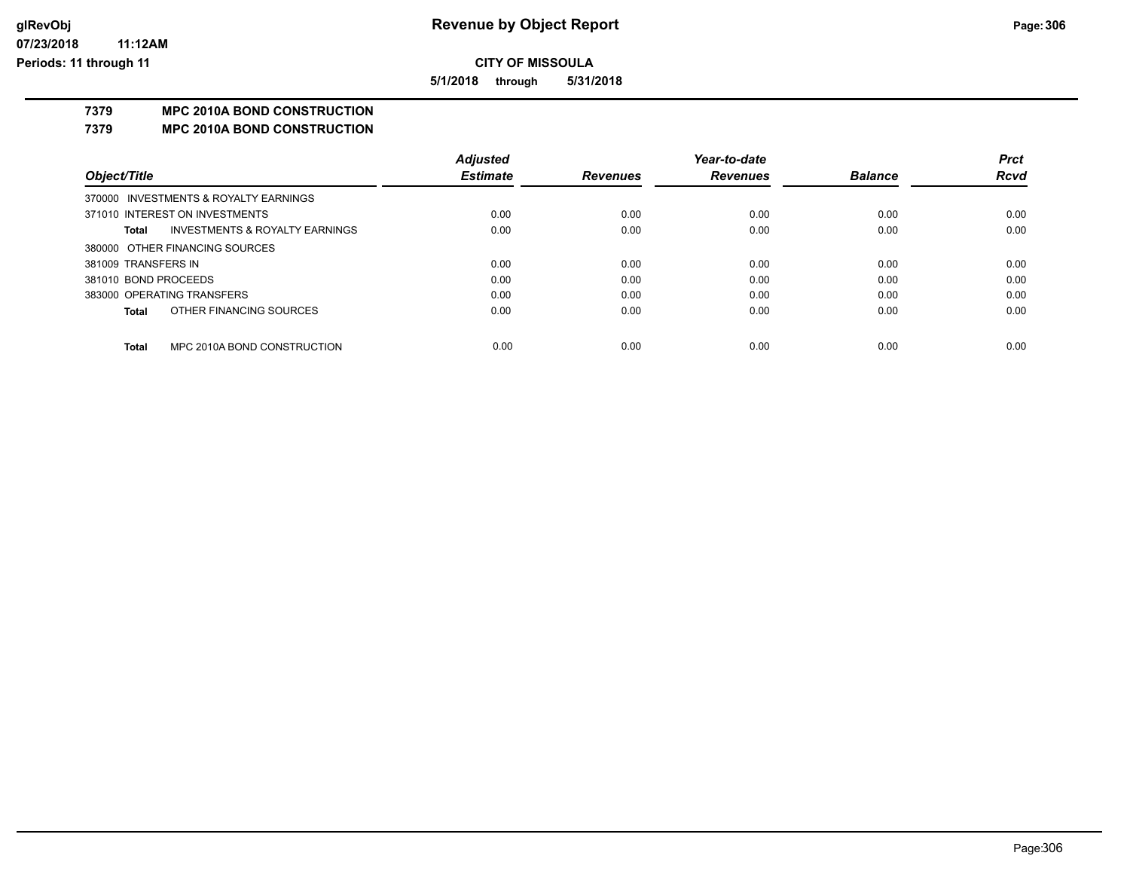**Periods: 11 through 11**

# **CITY OF MISSOULA**

**5/1/2018 through 5/31/2018**

## **7379 MPC 2010A BOND CONSTRUCTION**

## **7379 MPC 2010A BOND CONSTRUCTION**

|                                                    | <b>Adjusted</b> |                 | Year-to-date    |                | <b>Prct</b> |
|----------------------------------------------------|-----------------|-----------------|-----------------|----------------|-------------|
| Object/Title                                       | <b>Estimate</b> | <b>Revenues</b> | <b>Revenues</b> | <b>Balance</b> | <b>Rcvd</b> |
| 370000 INVESTMENTS & ROYALTY EARNINGS              |                 |                 |                 |                |             |
| 371010 INTEREST ON INVESTMENTS                     | 0.00            | 0.00            | 0.00            | 0.00           | 0.00        |
| <b>INVESTMENTS &amp; ROYALTY EARNINGS</b><br>Total | 0.00            | 0.00            | 0.00            | 0.00           | 0.00        |
| 380000 OTHER FINANCING SOURCES                     |                 |                 |                 |                |             |
| 381009 TRANSFERS IN                                | 0.00            | 0.00            | 0.00            | 0.00           | 0.00        |
| 381010 BOND PROCEEDS                               | 0.00            | 0.00            | 0.00            | 0.00           | 0.00        |
| 383000 OPERATING TRANSFERS                         | 0.00            | 0.00            | 0.00            | 0.00           | 0.00        |
| OTHER FINANCING SOURCES<br>Total                   | 0.00            | 0.00            | 0.00            | 0.00           | 0.00        |
| MPC 2010A BOND CONSTRUCTION<br>Total               | 0.00            | 0.00            | 0.00            | 0.00           | 0.00        |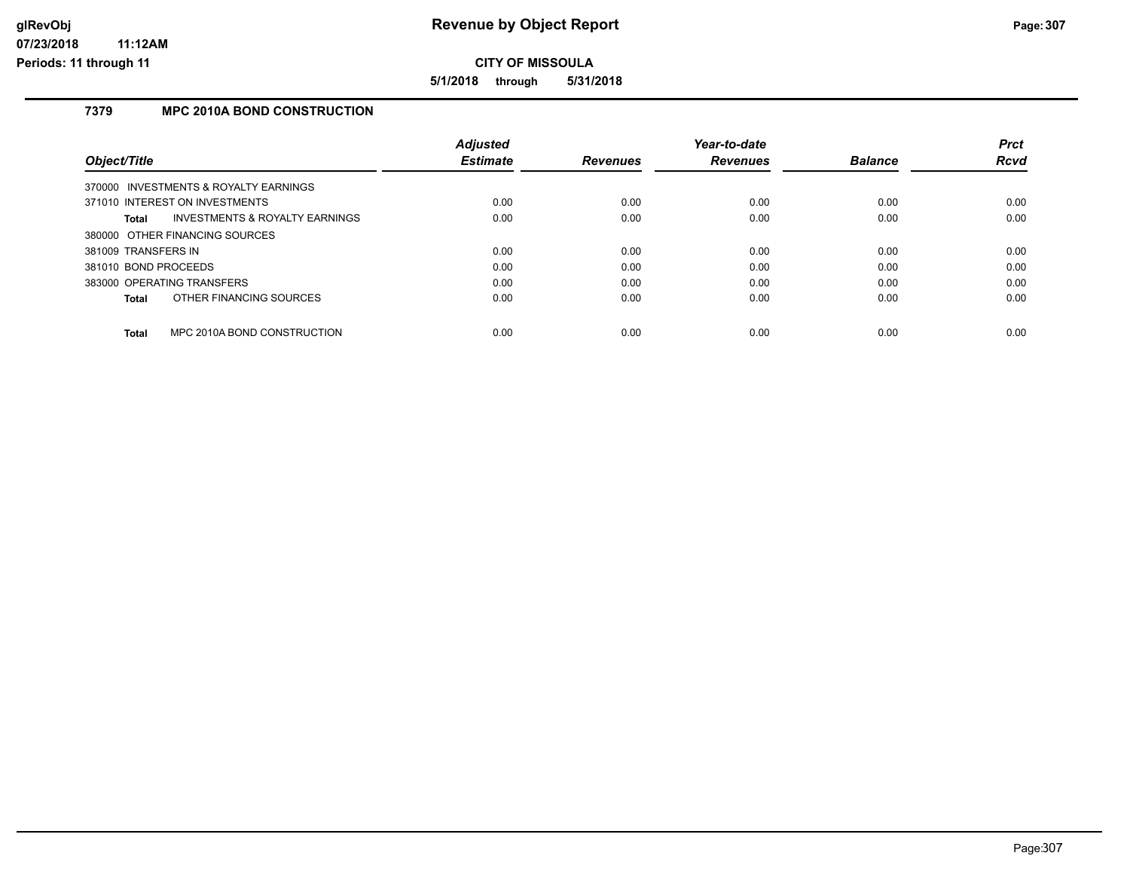**5/1/2018 through 5/31/2018**

## **7379 MPC 2010A BOND CONSTRUCTION**

|                      |                                           | <b>Adjusted</b> |                 | Year-to-date    |                | <b>Prct</b> |
|----------------------|-------------------------------------------|-----------------|-----------------|-----------------|----------------|-------------|
| Object/Title         |                                           | <b>Estimate</b> | <b>Revenues</b> | <b>Revenues</b> | <b>Balance</b> | <b>Rcvd</b> |
|                      | 370000 INVESTMENTS & ROYALTY EARNINGS     |                 |                 |                 |                |             |
|                      | 371010 INTEREST ON INVESTMENTS            | 0.00            | 0.00            | 0.00            | 0.00           | 0.00        |
| <b>Total</b>         | <b>INVESTMENTS &amp; ROYALTY EARNINGS</b> | 0.00            | 0.00            | 0.00            | 0.00           | 0.00        |
|                      | 380000 OTHER FINANCING SOURCES            |                 |                 |                 |                |             |
| 381009 TRANSFERS IN  |                                           | 0.00            | 0.00            | 0.00            | 0.00           | 0.00        |
| 381010 BOND PROCEEDS |                                           | 0.00            | 0.00            | 0.00            | 0.00           | 0.00        |
|                      | 383000 OPERATING TRANSFERS                | 0.00            | 0.00            | 0.00            | 0.00           | 0.00        |
| <b>Total</b>         | OTHER FINANCING SOURCES                   | 0.00            | 0.00            | 0.00            | 0.00           | 0.00        |
| <b>Total</b>         | MPC 2010A BOND CONSTRUCTION               | 0.00            | 0.00            | 0.00            | 0.00           | 0.00        |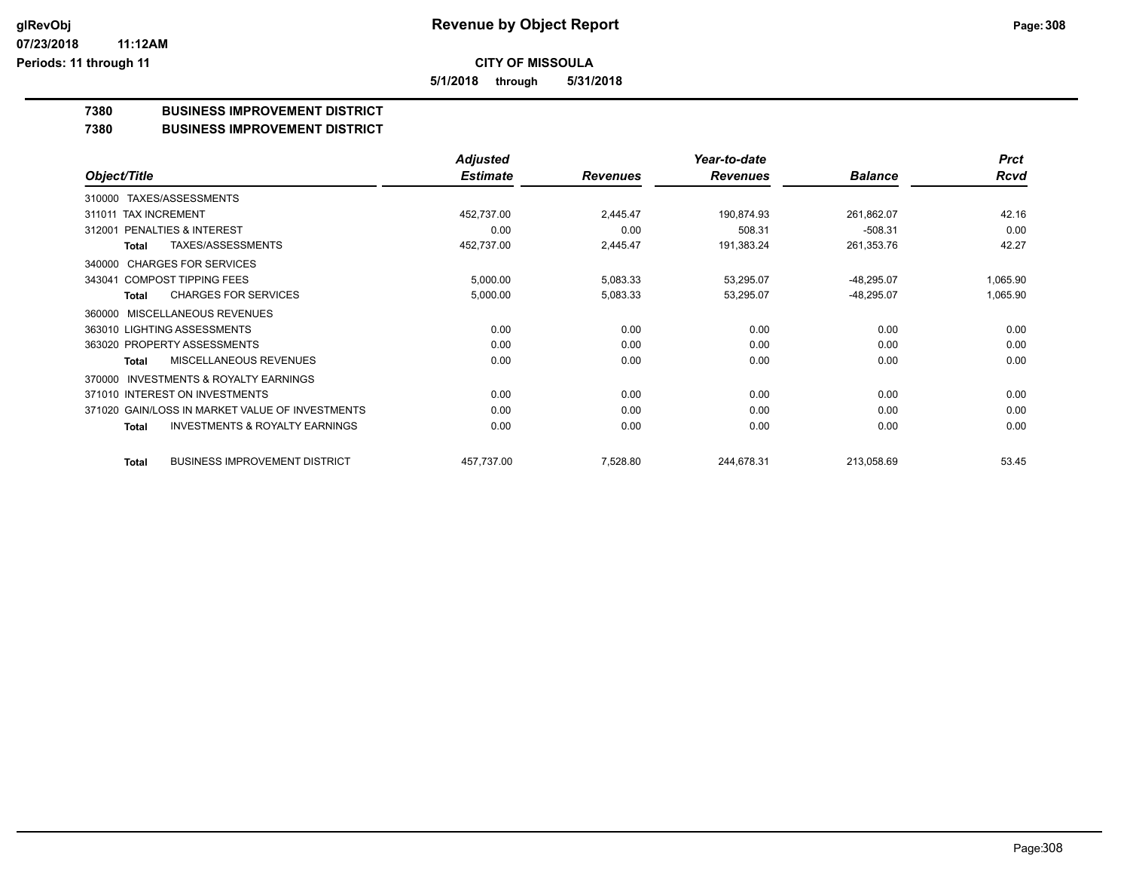**5/1/2018 through 5/31/2018**

## **7380 BUSINESS IMPROVEMENT DISTRICT**

#### **7380 BUSINESS IMPROVEMENT DISTRICT**

|                                                     | <b>Adjusted</b> |                 | Year-to-date    |                | <b>Prct</b> |
|-----------------------------------------------------|-----------------|-----------------|-----------------|----------------|-------------|
| Object/Title                                        | <b>Estimate</b> | <b>Revenues</b> | <b>Revenues</b> | <b>Balance</b> | <b>Rcvd</b> |
| TAXES/ASSESSMENTS<br>310000                         |                 |                 |                 |                |             |
| <b>TAX INCREMENT</b><br>311011                      | 452,737.00      | 2,445.47        | 190,874.93      | 261,862.07     | 42.16       |
| PENALTIES & INTEREST<br>312001                      | 0.00            | 0.00            | 508.31          | $-508.31$      | 0.00        |
| TAXES/ASSESSMENTS<br>Total                          | 452,737.00      | 2,445.47        | 191,383.24      | 261,353.76     | 42.27       |
| <b>CHARGES FOR SERVICES</b><br>340000               |                 |                 |                 |                |             |
| <b>COMPOST TIPPING FEES</b><br>343041               | 5,000.00        | 5,083.33        | 53,295.07       | $-48,295.07$   | 1,065.90    |
| <b>CHARGES FOR SERVICES</b><br><b>Total</b>         | 5,000.00        | 5,083.33        | 53,295.07       | $-48,295.07$   | 1,065.90    |
| MISCELLANEOUS REVENUES<br>360000                    |                 |                 |                 |                |             |
| 363010 LIGHTING ASSESSMENTS                         | 0.00            | 0.00            | 0.00            | 0.00           | 0.00        |
| 363020 PROPERTY ASSESSMENTS                         | 0.00            | 0.00            | 0.00            | 0.00           | 0.00        |
| <b>MISCELLANEOUS REVENUES</b><br>Total              | 0.00            | 0.00            | 0.00            | 0.00           | 0.00        |
| <b>INVESTMENTS &amp; ROYALTY EARNINGS</b><br>370000 |                 |                 |                 |                |             |
| 371010 INTEREST ON INVESTMENTS                      | 0.00            | 0.00            | 0.00            | 0.00           | 0.00        |
| 371020 GAIN/LOSS IN MARKET VALUE OF INVESTMENTS     | 0.00            | 0.00            | 0.00            | 0.00           | 0.00        |
| <b>INVESTMENTS &amp; ROYALTY EARNINGS</b><br>Total  | 0.00            | 0.00            | 0.00            | 0.00           | 0.00        |
| <b>BUSINESS IMPROVEMENT DISTRICT</b><br>Total       | 457,737.00      | 7,528.80        | 244,678.31      | 213,058.69     | 53.45       |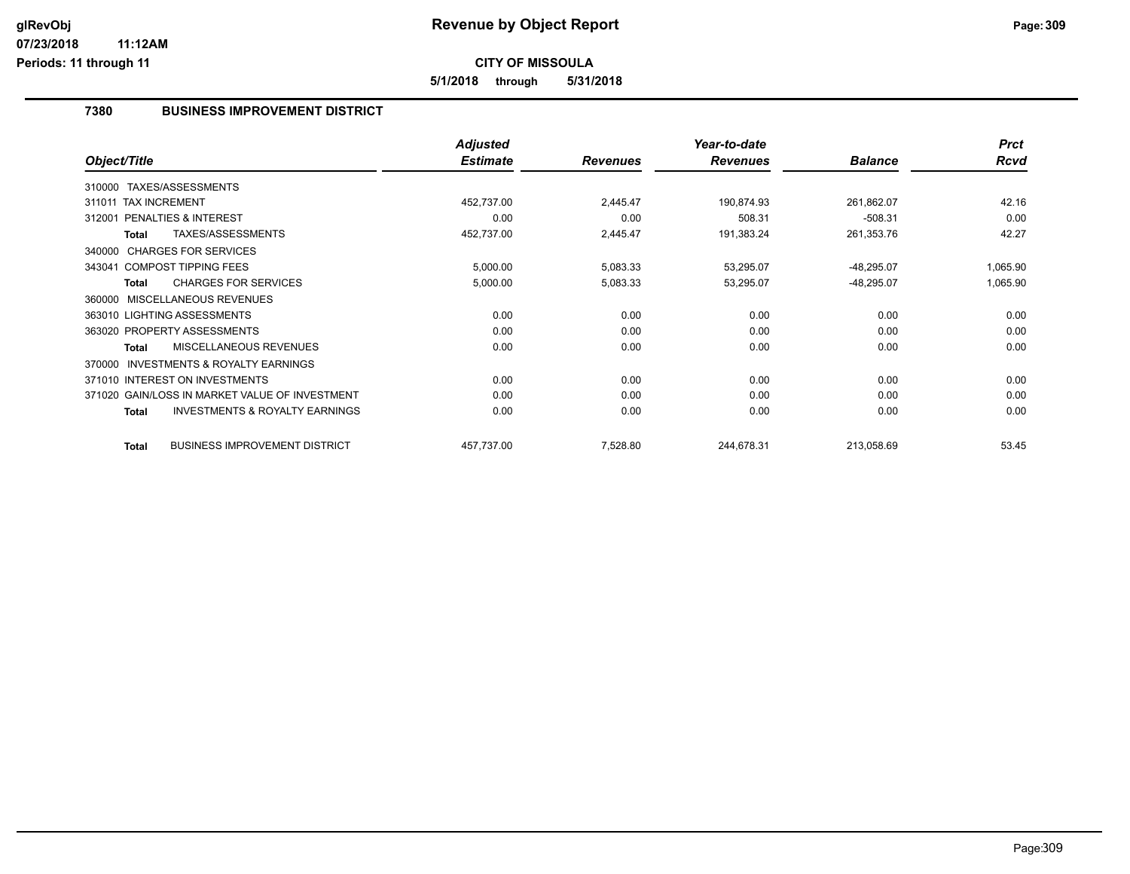**5/1/2018 through 5/31/2018**

## **7380 BUSINESS IMPROVEMENT DISTRICT**

|                                                           | <b>Adjusted</b> |                 | Year-to-date    |                | <b>Prct</b> |
|-----------------------------------------------------------|-----------------|-----------------|-----------------|----------------|-------------|
| Object/Title                                              | <b>Estimate</b> | <b>Revenues</b> | <b>Revenues</b> | <b>Balance</b> | <b>Rcvd</b> |
| TAXES/ASSESSMENTS<br>310000                               |                 |                 |                 |                |             |
| 311011 TAX INCREMENT                                      | 452,737.00      | 2,445.47        | 190,874.93      | 261,862.07     | 42.16       |
| 312001 PENALTIES & INTEREST                               | 0.00            | 0.00            | 508.31          | $-508.31$      | 0.00        |
| TAXES/ASSESSMENTS<br>Total                                | 452,737.00      | 2,445.47        | 191,383.24      | 261,353.76     | 42.27       |
| 340000 CHARGES FOR SERVICES                               |                 |                 |                 |                |             |
| 343041 COMPOST TIPPING FEES                               | 5,000.00        | 5,083.33        | 53,295.07       | $-48,295.07$   | 1,065.90    |
| <b>CHARGES FOR SERVICES</b><br>Total                      | 5,000.00        | 5,083.33        | 53,295.07       | $-48,295.07$   | 1,065.90    |
| MISCELLANEOUS REVENUES<br>360000                          |                 |                 |                 |                |             |
| 363010 LIGHTING ASSESSMENTS                               | 0.00            | 0.00            | 0.00            | 0.00           | 0.00        |
| 363020 PROPERTY ASSESSMENTS                               | 0.00            | 0.00            | 0.00            | 0.00           | 0.00        |
| <b>MISCELLANEOUS REVENUES</b><br>Total                    | 0.00            | 0.00            | 0.00            | 0.00           | 0.00        |
| <b>INVESTMENTS &amp; ROYALTY EARNINGS</b><br>370000       |                 |                 |                 |                |             |
| 371010 INTEREST ON INVESTMENTS                            | 0.00            | 0.00            | 0.00            | 0.00           | 0.00        |
| 371020 GAIN/LOSS IN MARKET VALUE OF INVESTMENT            | 0.00            | 0.00            | 0.00            | 0.00           | 0.00        |
| <b>INVESTMENTS &amp; ROYALTY EARNINGS</b><br><b>Total</b> | 0.00            | 0.00            | 0.00            | 0.00           | 0.00        |
| <b>BUSINESS IMPROVEMENT DISTRICT</b><br><b>Total</b>      | 457,737.00      | 7,528.80        | 244,678.31      | 213,058.69     | 53.45       |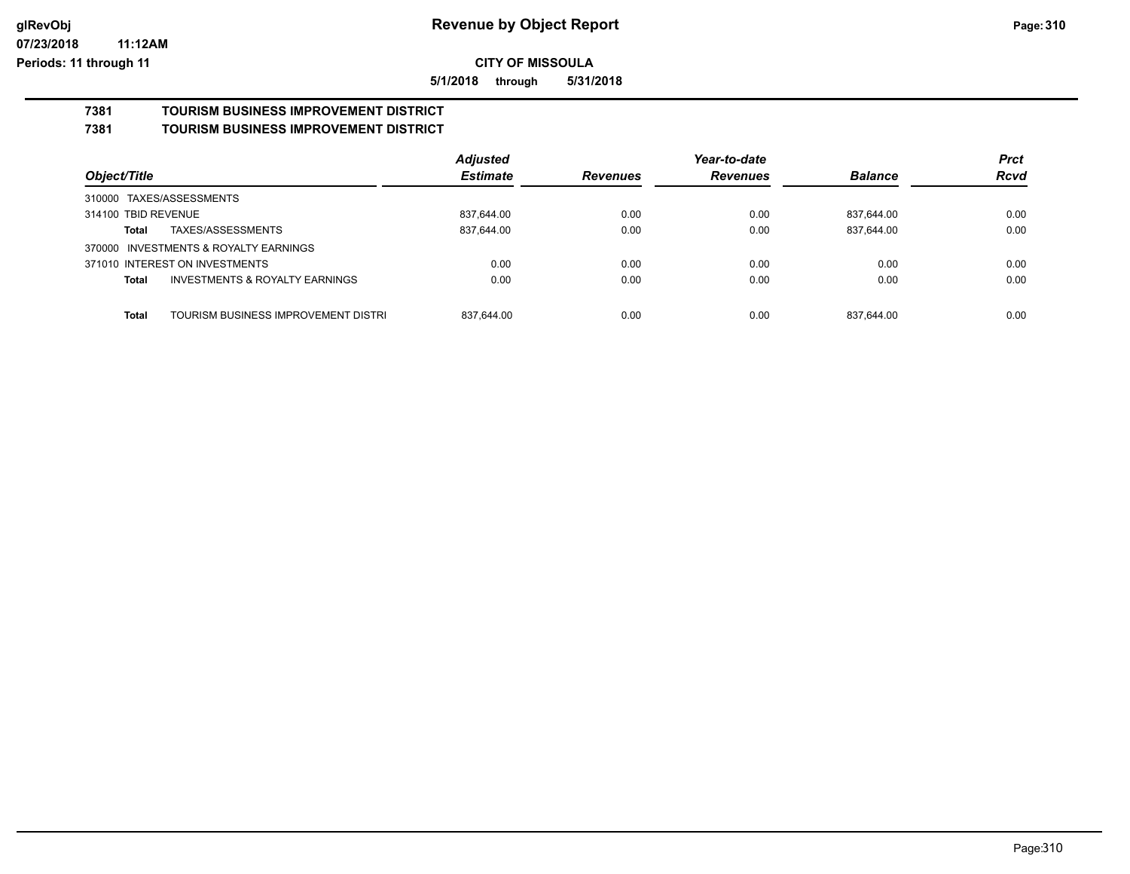**Periods: 11 through 11**

**CITY OF MISSOULA**

**5/1/2018 through 5/31/2018**

# **7381 TOURISM BUSINESS IMPROVEMENT DISTRICT**

# **7381 TOURISM BUSINESS IMPROVEMENT DISTRICT**

|                                                     | <b>Adjusted</b> |                 | Year-to-date    |                | <b>Prct</b> |
|-----------------------------------------------------|-----------------|-----------------|-----------------|----------------|-------------|
| Object/Title                                        | <b>Estimate</b> | <b>Revenues</b> | <b>Revenues</b> | <b>Balance</b> | <b>Rcvd</b> |
| 310000 TAXES/ASSESSMENTS                            |                 |                 |                 |                |             |
| 314100 TBID REVENUE                                 | 837,644.00      | 0.00            | 0.00            | 837,644.00     | 0.00        |
| TAXES/ASSESSMENTS<br>Total                          | 837,644.00      | 0.00            | 0.00            | 837,644.00     | 0.00        |
| 370000 INVESTMENTS & ROYALTY EARNINGS               |                 |                 |                 |                |             |
| 371010 INTEREST ON INVESTMENTS                      | 0.00            | 0.00            | 0.00            | 0.00           | 0.00        |
| <b>INVESTMENTS &amp; ROYALTY EARNINGS</b><br>Total  | 0.00            | 0.00            | 0.00            | 0.00           | 0.00        |
| TOURISM BUSINESS IMPROVEMENT DISTRI<br><b>Total</b> | 837.644.00      | 0.00            | 0.00            | 837.644.00     | 0.00        |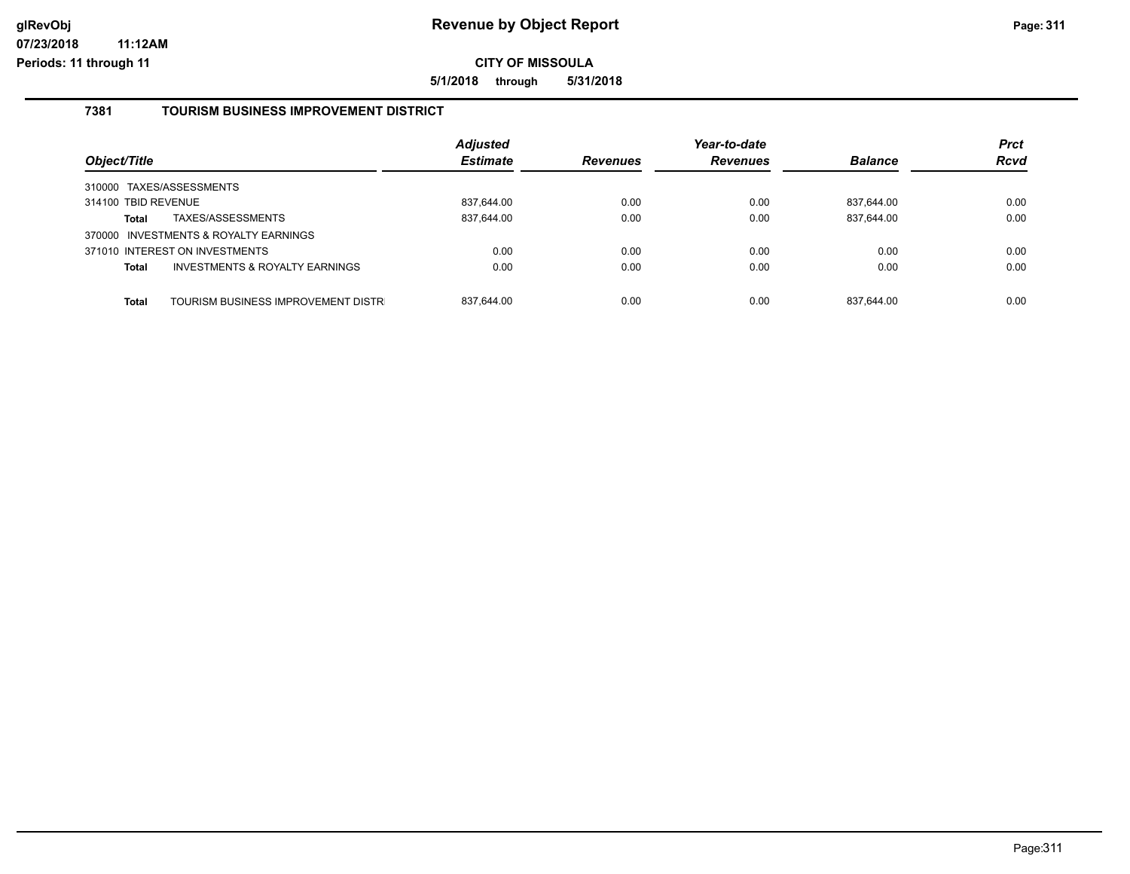**5/1/2018 through 5/31/2018**

## **7381 TOURISM BUSINESS IMPROVEMENT DISTRICT**

| Object/Title                          |                                           | <b>Adjusted</b><br><b>Estimate</b> | <b>Revenues</b> | Year-to-date<br><b>Revenues</b> | <b>Balance</b> | <b>Prct</b><br><b>Rcvd</b> |
|---------------------------------------|-------------------------------------------|------------------------------------|-----------------|---------------------------------|----------------|----------------------------|
| TAXES/ASSESSMENTS<br>310000           |                                           |                                    |                 |                                 |                |                            |
| 314100 TBID REVENUE                   |                                           | 837,644.00                         | 0.00            | 0.00                            | 837,644.00     | 0.00                       |
| TAXES/ASSESSMENTS<br><b>Total</b>     |                                           | 837,644.00                         | 0.00            | 0.00                            | 837,644.00     | 0.00                       |
| 370000 INVESTMENTS & ROYALTY EARNINGS |                                           |                                    |                 |                                 |                |                            |
| 371010 INTEREST ON INVESTMENTS        |                                           | 0.00                               | 0.00            | 0.00                            | 0.00           | 0.00                       |
| <b>Total</b>                          | <b>INVESTMENTS &amp; ROYALTY EARNINGS</b> | 0.00                               | 0.00            | 0.00                            | 0.00           | 0.00                       |
|                                       |                                           |                                    |                 |                                 |                |                            |
| <b>Total</b>                          | TOURISM BUSINESS IMPROVEMENT DISTR        | 837.644.00                         | 0.00            | 0.00                            | 837.644.00     | 0.00                       |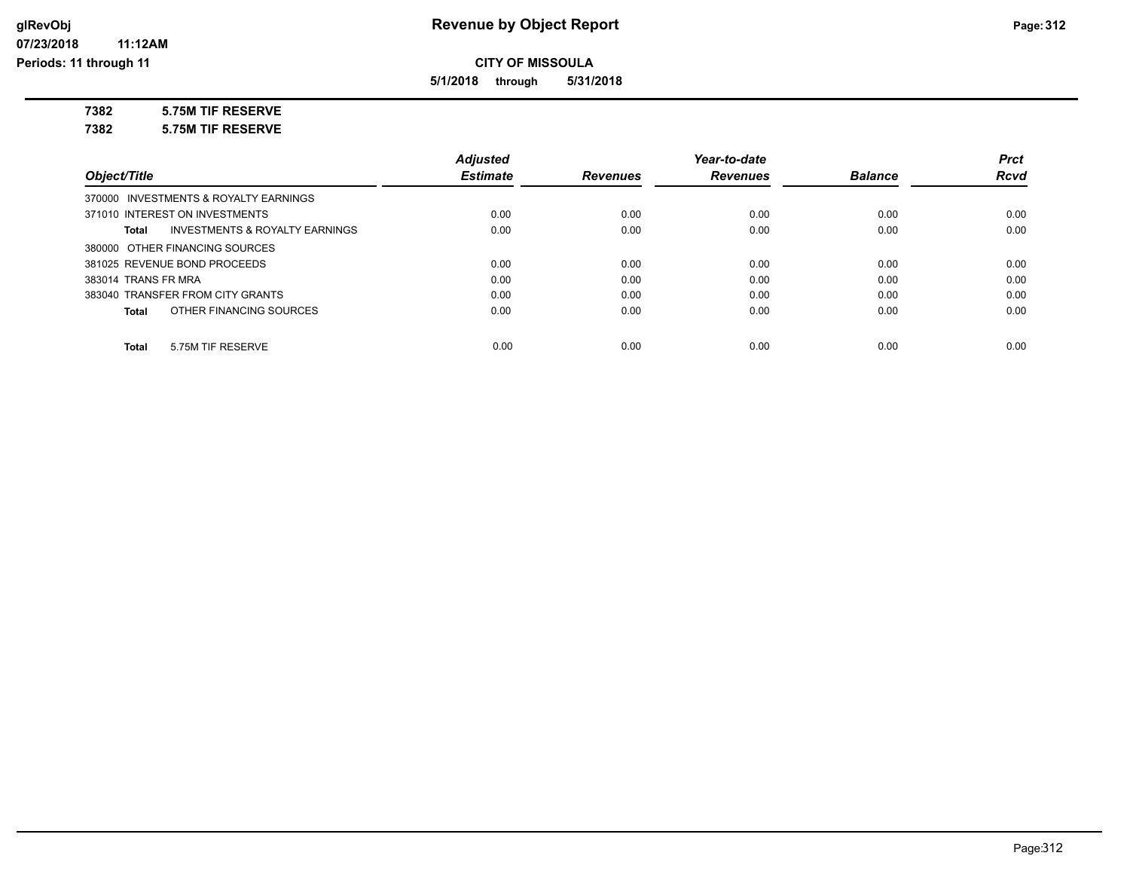**5/1/2018 through 5/31/2018**

**7382 5.75M TIF RESERVE**

**7382 5.75M TIF RESERVE**

|                                         | <b>Adjusted</b> |                 | Year-to-date    |                | <b>Prct</b> |
|-----------------------------------------|-----------------|-----------------|-----------------|----------------|-------------|
| Object/Title                            | <b>Estimate</b> | <b>Revenues</b> | <b>Revenues</b> | <b>Balance</b> | <b>Rcvd</b> |
| 370000 INVESTMENTS & ROYALTY EARNINGS   |                 |                 |                 |                |             |
| 371010 INTEREST ON INVESTMENTS          | 0.00            | 0.00            | 0.00            | 0.00           | 0.00        |
| INVESTMENTS & ROYALTY EARNINGS<br>Total | 0.00            | 0.00            | 0.00            | 0.00           | 0.00        |
| 380000 OTHER FINANCING SOURCES          |                 |                 |                 |                |             |
| 381025 REVENUE BOND PROCEEDS            | 0.00            | 0.00            | 0.00            | 0.00           | 0.00        |
| 383014 TRANS FR MRA                     | 0.00            | 0.00            | 0.00            | 0.00           | 0.00        |
| 383040 TRANSFER FROM CITY GRANTS        | 0.00            | 0.00            | 0.00            | 0.00           | 0.00        |
| OTHER FINANCING SOURCES<br>Total        | 0.00            | 0.00            | 0.00            | 0.00           | 0.00        |
|                                         |                 |                 |                 |                |             |
| 5.75M TIF RESERVE<br><b>Total</b>       | 0.00            | 0.00            | 0.00            | 0.00           | 0.00        |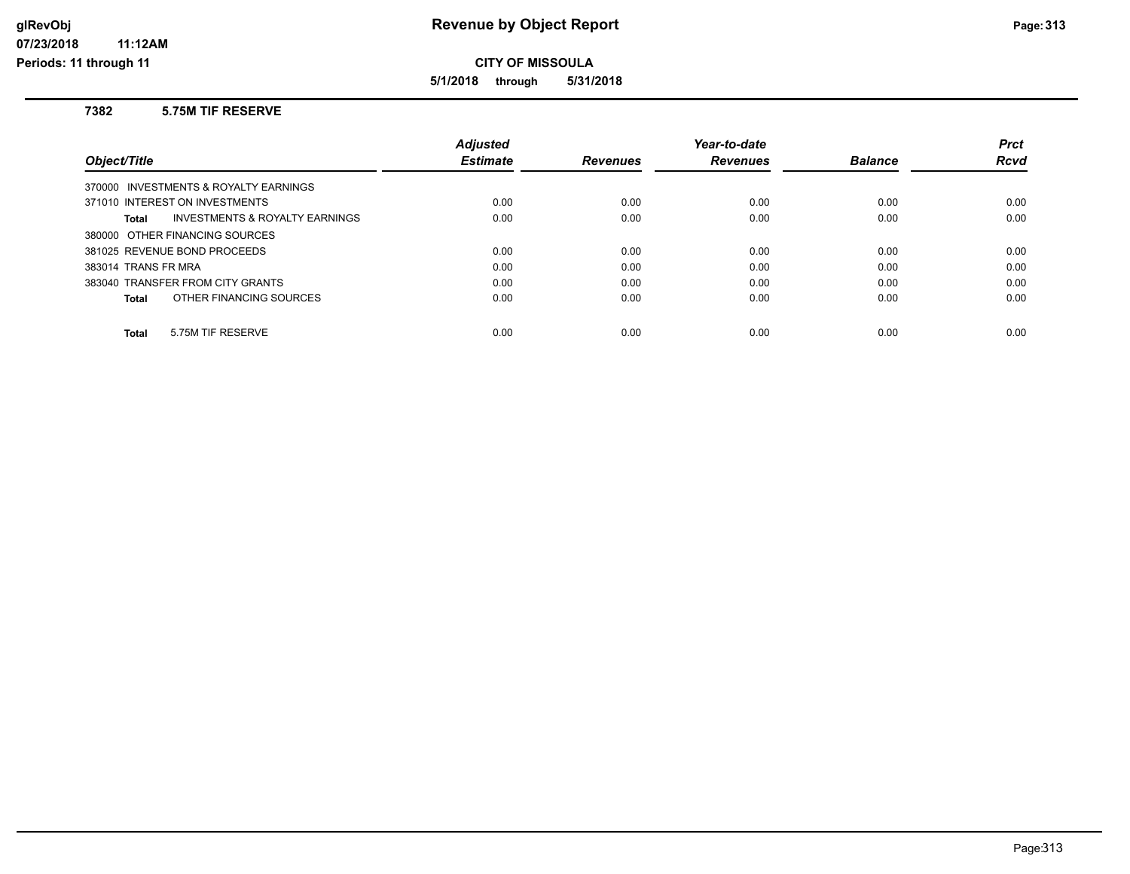**5/1/2018 through 5/31/2018**

#### **7382 5.75M TIF RESERVE**

|                                                           | <b>Adiusted</b> |                 | Year-to-date    |                | <b>Prct</b> |
|-----------------------------------------------------------|-----------------|-----------------|-----------------|----------------|-------------|
| Obiect/Title                                              | <b>Estimate</b> | <b>Revenues</b> | <b>Revenues</b> | <b>Balance</b> | <b>Rcvd</b> |
| 370000 INVESTMENTS & ROYALTY EARNINGS                     |                 |                 |                 |                |             |
| 371010 INTEREST ON INVESTMENTS                            | 0.00            | 0.00            | 0.00            | 0.00           | 0.00        |
| <b>INVESTMENTS &amp; ROYALTY EARNINGS</b><br><b>Total</b> | 0.00            | 0.00            | 0.00            | 0.00           | 0.00        |
| 380000 OTHER FINANCING SOURCES                            |                 |                 |                 |                |             |
| 381025 REVENUE BOND PROCEEDS                              | 0.00            | 0.00            | 0.00            | 0.00           | 0.00        |
| 383014 TRANS FR MRA                                       | 0.00            | 0.00            | 0.00            | 0.00           | 0.00        |
| 383040 TRANSFER FROM CITY GRANTS                          | 0.00            | 0.00            | 0.00            | 0.00           | 0.00        |
| OTHER FINANCING SOURCES<br><b>Total</b>                   | 0.00            | 0.00            | 0.00            | 0.00           | 0.00        |
|                                                           |                 |                 |                 |                |             |
| 5.75M TIF RESERVE<br><b>Total</b>                         | 0.00            | 0.00            | 0.00            | 0.00           | 0.00        |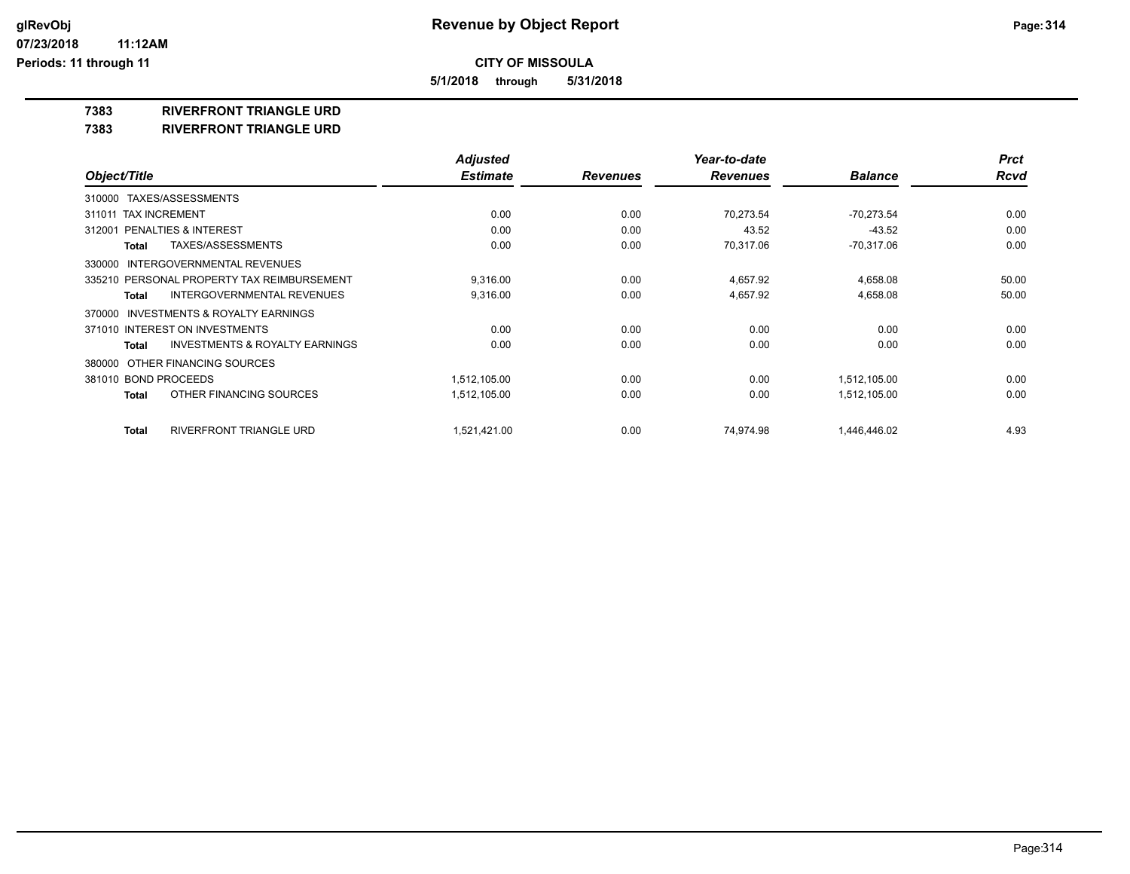**5/1/2018 through 5/31/2018**

**7383 RIVERFRONT TRIANGLE URD**

**7383 RIVERFRONT TRIANGLE URD**

|                                                           | <b>Adjusted</b> |                 | Year-to-date    |                | <b>Prct</b> |
|-----------------------------------------------------------|-----------------|-----------------|-----------------|----------------|-------------|
| Object/Title                                              | <b>Estimate</b> | <b>Revenues</b> | <b>Revenues</b> | <b>Balance</b> | <b>Rcvd</b> |
| TAXES/ASSESSMENTS<br>310000                               |                 |                 |                 |                |             |
| 311011 TAX INCREMENT                                      | 0.00            | 0.00            | 70,273.54       | $-70,273.54$   | 0.00        |
| 312001 PENALTIES & INTEREST                               | 0.00            | 0.00            | 43.52           | $-43.52$       | 0.00        |
| TAXES/ASSESSMENTS<br><b>Total</b>                         | 0.00            | 0.00            | 70,317.06       | $-70,317.06$   | 0.00        |
| INTERGOVERNMENTAL REVENUES<br>330000                      |                 |                 |                 |                |             |
| 335210 PERSONAL PROPERTY TAX REIMBURSEMENT                | 9,316.00        | 0.00            | 4,657.92        | 4,658.08       | 50.00       |
| INTERGOVERNMENTAL REVENUES<br><b>Total</b>                | 9,316.00        | 0.00            | 4,657.92        | 4,658.08       | 50.00       |
| INVESTMENTS & ROYALTY EARNINGS<br>370000                  |                 |                 |                 |                |             |
| 371010 INTEREST ON INVESTMENTS                            | 0.00            | 0.00            | 0.00            | 0.00           | 0.00        |
| <b>INVESTMENTS &amp; ROYALTY EARNINGS</b><br><b>Total</b> | 0.00            | 0.00            | 0.00            | 0.00           | 0.00        |
| OTHER FINANCING SOURCES<br>380000                         |                 |                 |                 |                |             |
| 381010 BOND PROCEEDS                                      | 1,512,105.00    | 0.00            | 0.00            | 1,512,105.00   | 0.00        |
| OTHER FINANCING SOURCES<br><b>Total</b>                   | 1,512,105.00    | 0.00            | 0.00            | 1,512,105.00   | 0.00        |
| RIVERFRONT TRIANGLE URD<br><b>Total</b>                   | 1,521,421.00    | 0.00            | 74,974.98       | 1,446,446.02   | 4.93        |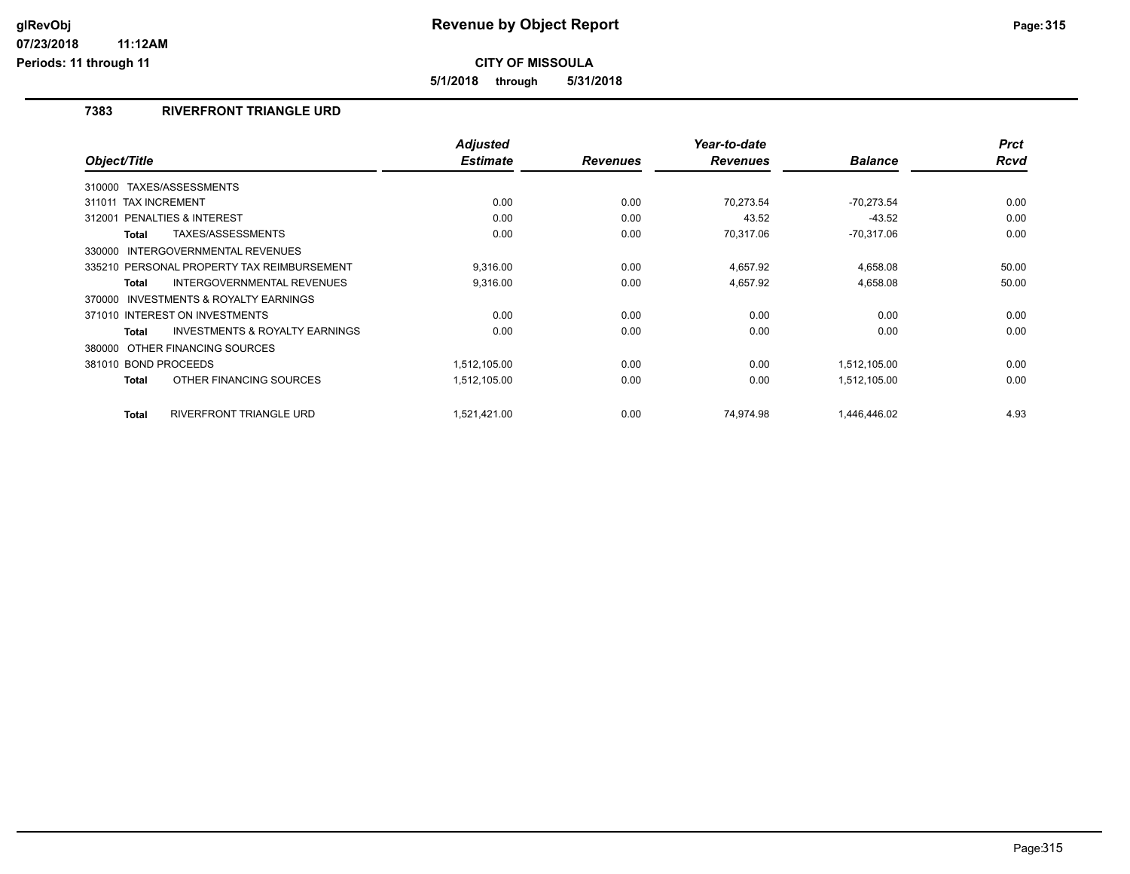**Periods: 11 through 11**

**CITY OF MISSOULA**

**5/1/2018 through 5/31/2018**

## **7383 RIVERFRONT TRIANGLE URD**

|                                                           | <b>Adjusted</b> |                 | Year-to-date    |                | <b>Prct</b> |
|-----------------------------------------------------------|-----------------|-----------------|-----------------|----------------|-------------|
| Object/Title                                              | <b>Estimate</b> | <b>Revenues</b> | <b>Revenues</b> | <b>Balance</b> | <b>Rcvd</b> |
| 310000 TAXES/ASSESSMENTS                                  |                 |                 |                 |                |             |
| 311011 TAX INCREMENT                                      | 0.00            | 0.00            | 70,273.54       | $-70,273.54$   | 0.00        |
| 312001 PENALTIES & INTEREST                               | 0.00            | 0.00            | 43.52           | $-43.52$       | 0.00        |
| TAXES/ASSESSMENTS<br><b>Total</b>                         | 0.00            | 0.00            | 70,317.06       | $-70,317.06$   | 0.00        |
| INTERGOVERNMENTAL REVENUES<br>330000                      |                 |                 |                 |                |             |
| 335210 PERSONAL PROPERTY TAX REIMBURSEMENT                | 9.316.00        | 0.00            | 4,657.92        | 4,658.08       | 50.00       |
| INTERGOVERNMENTAL REVENUES<br><b>Total</b>                | 9,316.00        | 0.00            | 4,657.92        | 4,658.08       | 50.00       |
| 370000 INVESTMENTS & ROYALTY EARNINGS                     |                 |                 |                 |                |             |
| 371010 INTEREST ON INVESTMENTS                            | 0.00            | 0.00            | 0.00            | 0.00           | 0.00        |
| <b>INVESTMENTS &amp; ROYALTY EARNINGS</b><br><b>Total</b> | 0.00            | 0.00            | 0.00            | 0.00           | 0.00        |
| 380000 OTHER FINANCING SOURCES                            |                 |                 |                 |                |             |
| 381010 BOND PROCEEDS                                      | 1,512,105.00    | 0.00            | 0.00            | 1,512,105.00   | 0.00        |
| OTHER FINANCING SOURCES<br><b>Total</b>                   | 1,512,105.00    | 0.00            | 0.00            | 1,512,105.00   | 0.00        |
| RIVERFRONT TRIANGLE URD<br><b>Total</b>                   | 1,521,421.00    | 0.00            | 74.974.98       | 1.446.446.02   | 4.93        |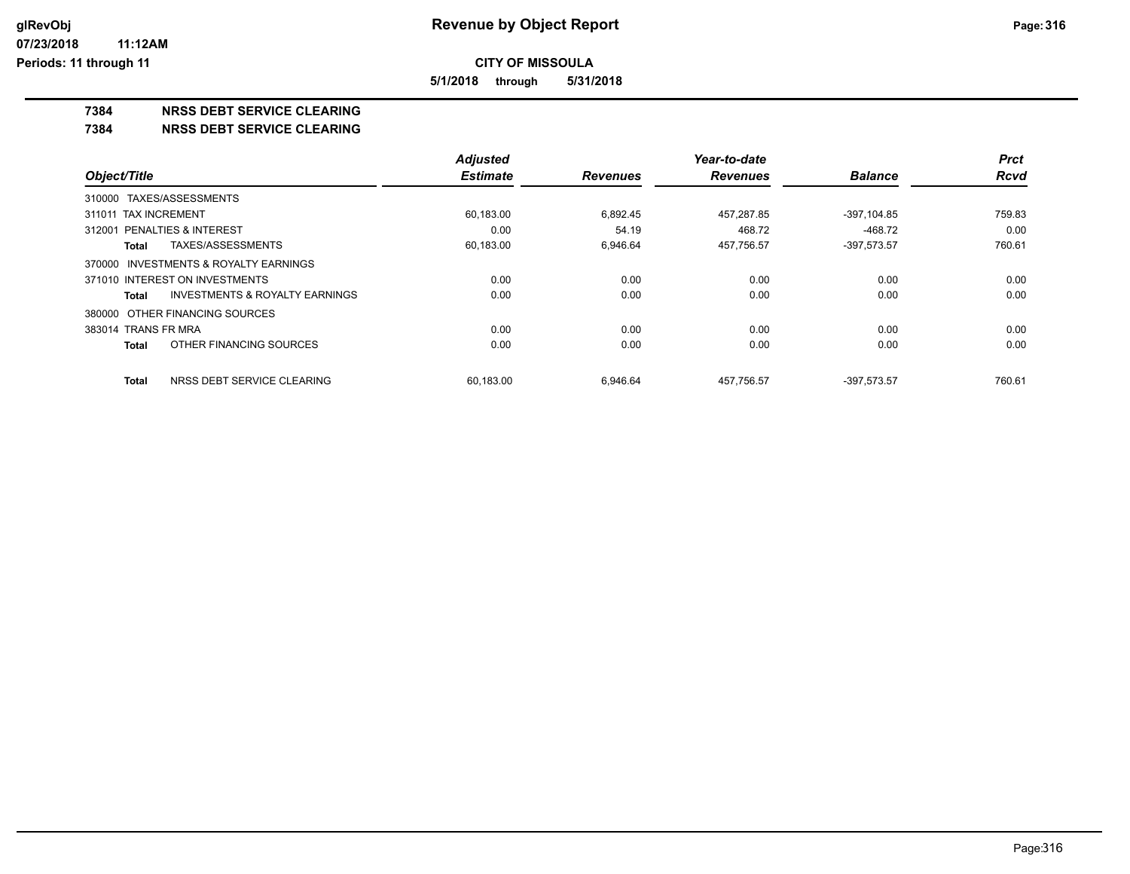**5/1/2018 through 5/31/2018**

## **7384 NRSS DEBT SERVICE CLEARING**

**7384 NRSS DEBT SERVICE CLEARING**

|                                                    | <b>Adjusted</b> |                 | Year-to-date    |                | <b>Prct</b> |
|----------------------------------------------------|-----------------|-----------------|-----------------|----------------|-------------|
| Object/Title                                       | <b>Estimate</b> | <b>Revenues</b> | <b>Revenues</b> | <b>Balance</b> | <b>Rcvd</b> |
| 310000 TAXES/ASSESSMENTS                           |                 |                 |                 |                |             |
| 311011 TAX INCREMENT                               | 60,183.00       | 6,892.45        | 457,287.85      | -397,104.85    | 759.83      |
| 312001 PENALTIES & INTEREST                        | 0.00            | 54.19           | 468.72          | $-468.72$      | 0.00        |
| TAXES/ASSESSMENTS<br>Total                         | 60,183.00       | 6,946.64        | 457,756.57      | $-397,573.57$  | 760.61      |
| 370000 INVESTMENTS & ROYALTY EARNINGS              |                 |                 |                 |                |             |
| 371010 INTEREST ON INVESTMENTS                     | 0.00            | 0.00            | 0.00            | 0.00           | 0.00        |
| <b>INVESTMENTS &amp; ROYALTY EARNINGS</b><br>Total | 0.00            | 0.00            | 0.00            | 0.00           | 0.00        |
| 380000 OTHER FINANCING SOURCES                     |                 |                 |                 |                |             |
| 383014 TRANS FR MRA                                | 0.00            | 0.00            | 0.00            | 0.00           | 0.00        |
| OTHER FINANCING SOURCES<br>Total                   | 0.00            | 0.00            | 0.00            | 0.00           | 0.00        |
| NRSS DEBT SERVICE CLEARING<br>Total                | 60.183.00       | 6.946.64        | 457.756.57      | -397.573.57    | 760.61      |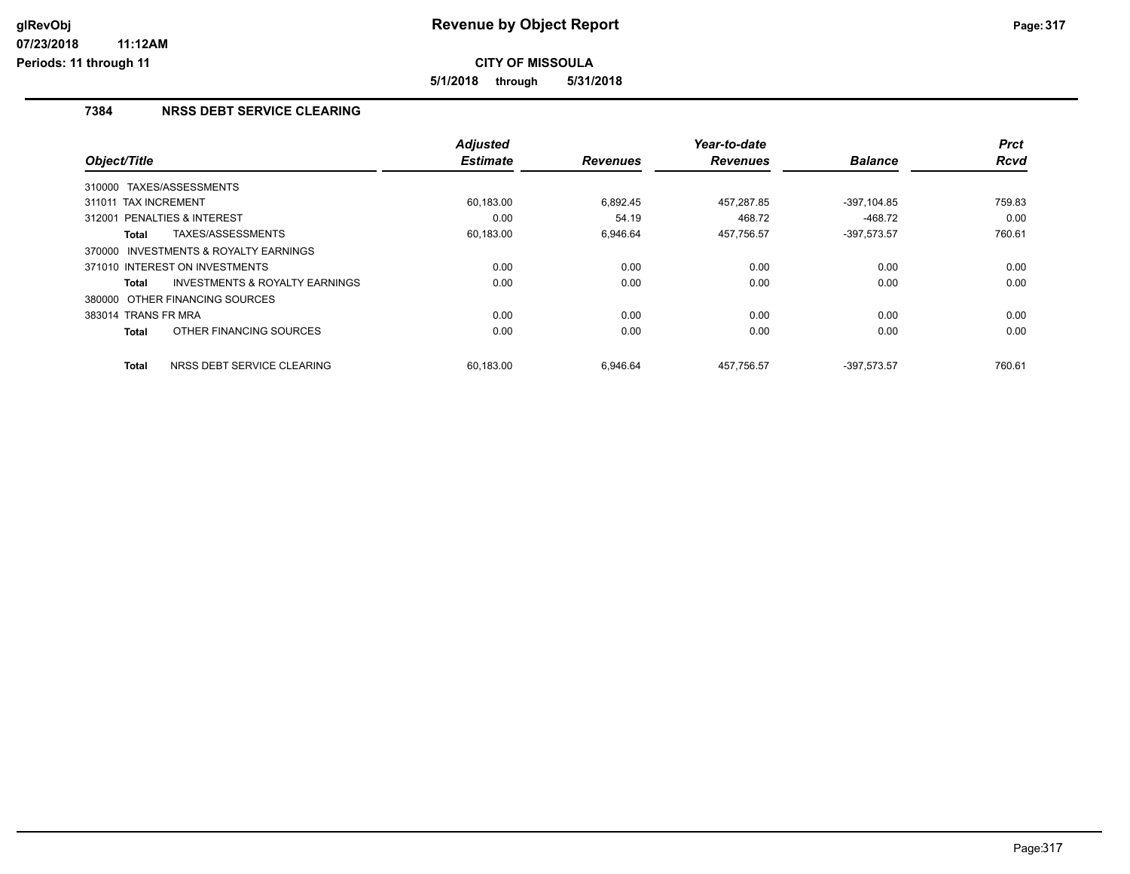**5/1/2018 through 5/31/2018**

## **7384 NRSS DEBT SERVICE CLEARING**

|                                                     | <b>Adjusted</b> |                 | Year-to-date    |                | <b>Prct</b> |
|-----------------------------------------------------|-----------------|-----------------|-----------------|----------------|-------------|
| Object/Title                                        | <b>Estimate</b> | <b>Revenues</b> | <b>Revenues</b> | <b>Balance</b> | Rcvd        |
| 310000 TAXES/ASSESSMENTS                            |                 |                 |                 |                |             |
| 311011 TAX INCREMENT                                | 60,183.00       | 6,892.45        | 457,287.85      | $-397, 104.85$ | 759.83      |
| 312001 PENALTIES & INTEREST                         | 0.00            | 54.19           | 468.72          | $-468.72$      | 0.00        |
| TAXES/ASSESSMENTS<br>Total                          | 60,183.00       | 6,946.64        | 457,756.57      | $-397,573.57$  | 760.61      |
| <b>INVESTMENTS &amp; ROYALTY EARNINGS</b><br>370000 |                 |                 |                 |                |             |
| 371010 INTEREST ON INVESTMENTS                      | 0.00            | 0.00            | 0.00            | 0.00           | 0.00        |
| <b>INVESTMENTS &amp; ROYALTY EARNINGS</b><br>Total  | 0.00            | 0.00            | 0.00            | 0.00           | 0.00        |
| 380000 OTHER FINANCING SOURCES                      |                 |                 |                 |                |             |
| 383014 TRANS FR MRA                                 | 0.00            | 0.00            | 0.00            | 0.00           | 0.00        |
| OTHER FINANCING SOURCES<br>Total                    | 0.00            | 0.00            | 0.00            | 0.00           | 0.00        |
| NRSS DEBT SERVICE CLEARING<br><b>Total</b>          | 60.183.00       | 6.946.64        | 457.756.57      | -397.573.57    | 760.61      |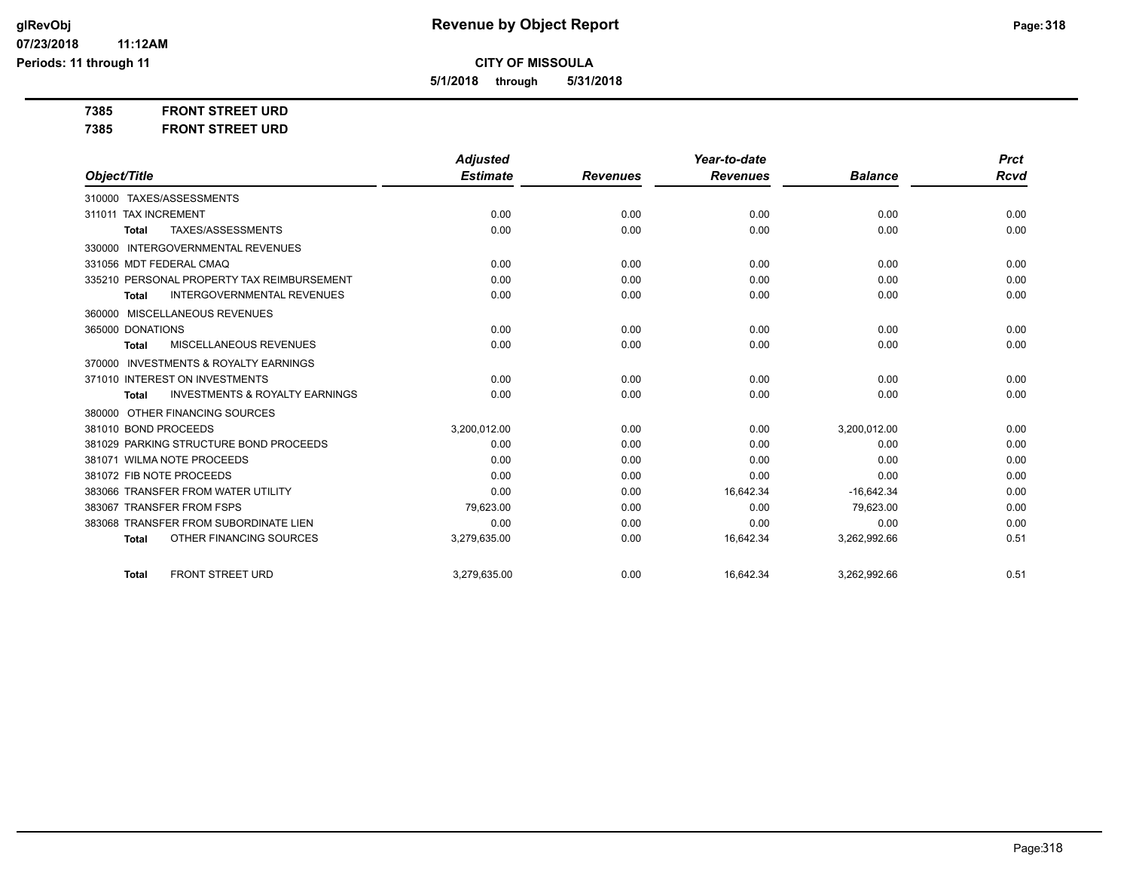**5/1/2018 through 5/31/2018**

**7385 FRONT STREET URD**

**7385 FRONT STREET URD**

|                            |                                            | <b>Adjusted</b> |                 | Year-to-date    |                | <b>Prct</b> |
|----------------------------|--------------------------------------------|-----------------|-----------------|-----------------|----------------|-------------|
| Object/Title               |                                            | <b>Estimate</b> | <b>Revenues</b> | <b>Revenues</b> | <b>Balance</b> | <b>Rcvd</b> |
| 310000 TAXES/ASSESSMENTS   |                                            |                 |                 |                 |                |             |
| 311011 TAX INCREMENT       |                                            | 0.00            | 0.00            | 0.00            | 0.00           | 0.00        |
| <b>Total</b>               | TAXES/ASSESSMENTS                          | 0.00            | 0.00            | 0.00            | 0.00           | 0.00        |
| 330000                     | INTERGOVERNMENTAL REVENUES                 |                 |                 |                 |                |             |
| 331056 MDT FEDERAL CMAQ    |                                            | 0.00            | 0.00            | 0.00            | 0.00           | 0.00        |
|                            | 335210 PERSONAL PROPERTY TAX REIMBURSEMENT | 0.00            | 0.00            | 0.00            | 0.00           | 0.00        |
| <b>Total</b>               | <b>INTERGOVERNMENTAL REVENUES</b>          | 0.00            | 0.00            | 0.00            | 0.00           | 0.00        |
|                            | 360000 MISCELLANEOUS REVENUES              |                 |                 |                 |                |             |
| 365000 DONATIONS           |                                            | 0.00            | 0.00            | 0.00            | 0.00           | 0.00        |
| <b>Total</b>               | <b>MISCELLANEOUS REVENUES</b>              | 0.00            | 0.00            | 0.00            | 0.00           | 0.00        |
| 370000                     | <b>INVESTMENTS &amp; ROYALTY EARNINGS</b>  |                 |                 |                 |                |             |
|                            | 371010 INTEREST ON INVESTMENTS             | 0.00            | 0.00            | 0.00            | 0.00           | 0.00        |
| <b>Total</b>               | <b>INVESTMENTS &amp; ROYALTY EARNINGS</b>  | 0.00            | 0.00            | 0.00            | 0.00           | 0.00        |
| 380000                     | OTHER FINANCING SOURCES                    |                 |                 |                 |                |             |
| 381010 BOND PROCEEDS       |                                            | 3,200,012.00    | 0.00            | 0.00            | 3,200,012.00   | 0.00        |
|                            | 381029 PARKING STRUCTURE BOND PROCEEDS     | 0.00            | 0.00            | 0.00            | 0.00           | 0.00        |
| 381071 WILMA NOTE PROCEEDS |                                            | 0.00            | 0.00            | 0.00            | 0.00           | 0.00        |
| 381072 FIB NOTE PROCEEDS   |                                            | 0.00            | 0.00            | 0.00            | 0.00           | 0.00        |
|                            | 383066 TRANSFER FROM WATER UTILITY         | 0.00            | 0.00            | 16.642.34       | $-16,642.34$   | 0.00        |
| 383067 TRANSFER FROM FSPS  |                                            | 79,623.00       | 0.00            | 0.00            | 79,623.00      | 0.00        |
|                            | 383068 TRANSFER FROM SUBORDINATE LIEN      | 0.00            | 0.00            | 0.00            | 0.00           | 0.00        |
| <b>Total</b>               | OTHER FINANCING SOURCES                    | 3,279,635.00    | 0.00            | 16,642.34       | 3,262,992.66   | 0.51        |
| <b>Total</b>               | <b>FRONT STREET URD</b>                    | 3,279,635.00    | 0.00            | 16,642.34       | 3,262,992.66   | 0.51        |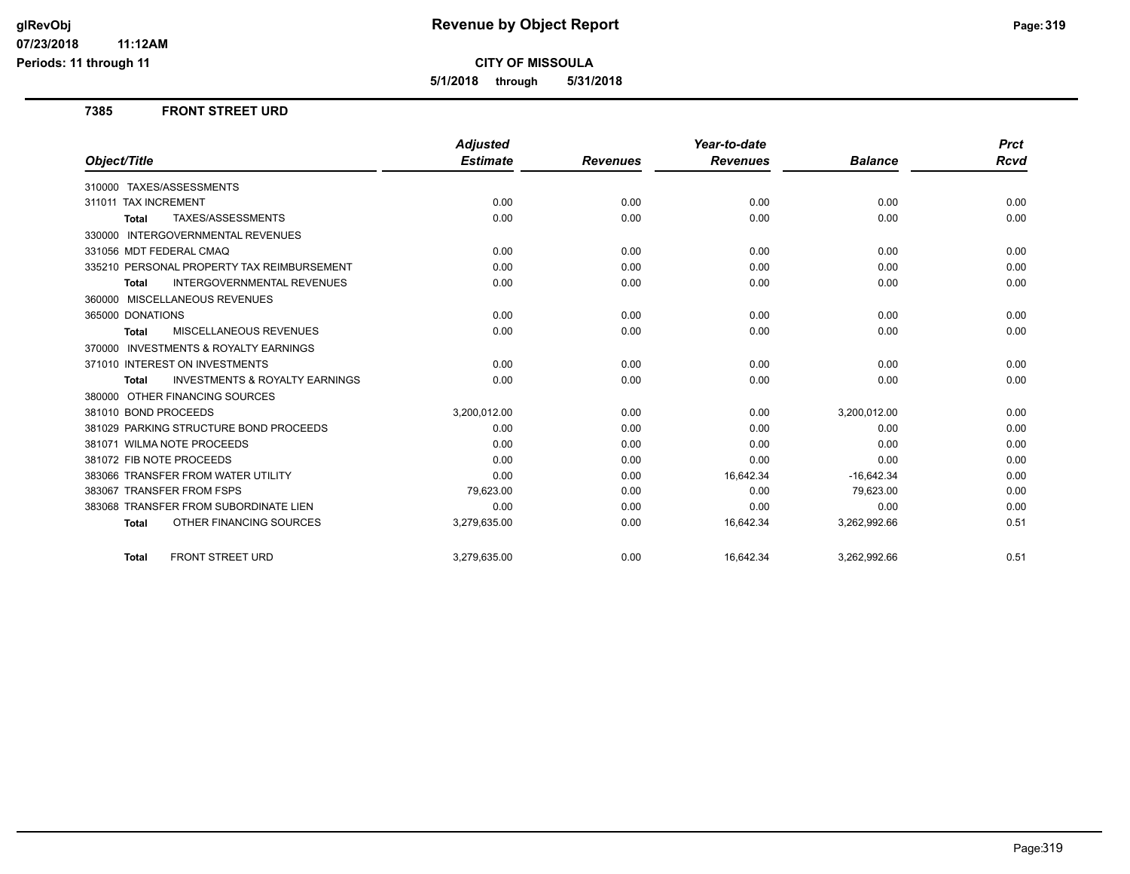**Periods: 11 through 11**

**CITY OF MISSOULA**

**5/1/2018 through 5/31/2018**

#### **7385 FRONT STREET URD**

**11:12AM**

|                                                           | <b>Adjusted</b> |                 | Year-to-date    |                | <b>Prct</b> |
|-----------------------------------------------------------|-----------------|-----------------|-----------------|----------------|-------------|
| Object/Title                                              | <b>Estimate</b> | <b>Revenues</b> | <b>Revenues</b> | <b>Balance</b> | <b>Rcvd</b> |
| 310000 TAXES/ASSESSMENTS                                  |                 |                 |                 |                |             |
| 311011 TAX INCREMENT                                      | 0.00            | 0.00            | 0.00            | 0.00           | 0.00        |
| TAXES/ASSESSMENTS<br><b>Total</b>                         | 0.00            | 0.00            | 0.00            | 0.00           | 0.00        |
| <b>INTERGOVERNMENTAL REVENUES</b><br>330000               |                 |                 |                 |                |             |
| 331056 MDT FEDERAL CMAQ                                   | 0.00            | 0.00            | 0.00            | 0.00           | 0.00        |
| 335210 PERSONAL PROPERTY TAX REIMBURSEMENT                | 0.00            | 0.00            | 0.00            | 0.00           | 0.00        |
| <b>INTERGOVERNMENTAL REVENUES</b><br><b>Total</b>         | 0.00            | 0.00            | 0.00            | 0.00           | 0.00        |
| 360000 MISCELLANEOUS REVENUES                             |                 |                 |                 |                |             |
| 365000 DONATIONS                                          | 0.00            | 0.00            | 0.00            | 0.00           | 0.00        |
| <b>MISCELLANEOUS REVENUES</b><br><b>Total</b>             | 0.00            | 0.00            | 0.00            | 0.00           | 0.00        |
| 370000 INVESTMENTS & ROYALTY EARNINGS                     |                 |                 |                 |                |             |
| 371010 INTEREST ON INVESTMENTS                            | 0.00            | 0.00            | 0.00            | 0.00           | 0.00        |
| <b>INVESTMENTS &amp; ROYALTY EARNINGS</b><br><b>Total</b> | 0.00            | 0.00            | 0.00            | 0.00           | 0.00        |
| 380000 OTHER FINANCING SOURCES                            |                 |                 |                 |                |             |
| 381010 BOND PROCEEDS                                      | 3,200,012.00    | 0.00            | 0.00            | 3,200,012.00   | 0.00        |
| 381029 PARKING STRUCTURE BOND PROCEEDS                    | 0.00            | 0.00            | 0.00            | 0.00           | 0.00        |
| 381071 WILMA NOTE PROCEEDS                                | 0.00            | 0.00            | 0.00            | 0.00           | 0.00        |
| 381072 FIB NOTE PROCEEDS                                  | 0.00            | 0.00            | 0.00            | 0.00           | 0.00        |
| 383066 TRANSFER FROM WATER UTILITY                        | 0.00            | 0.00            | 16,642.34       | $-16,642.34$   | 0.00        |
| 383067 TRANSFER FROM FSPS                                 | 79,623.00       | 0.00            | 0.00            | 79,623.00      | 0.00        |
| 383068 TRANSFER FROM SUBORDINATE LIEN                     | 0.00            | 0.00            | 0.00            | 0.00           | 0.00        |
| OTHER FINANCING SOURCES<br><b>Total</b>                   | 3,279,635.00    | 0.00            | 16,642.34       | 3,262,992.66   | 0.51        |
| <b>FRONT STREET URD</b><br><b>Total</b>                   | 3.279.635.00    | 0.00            | 16.642.34       | 3,262,992.66   | 0.51        |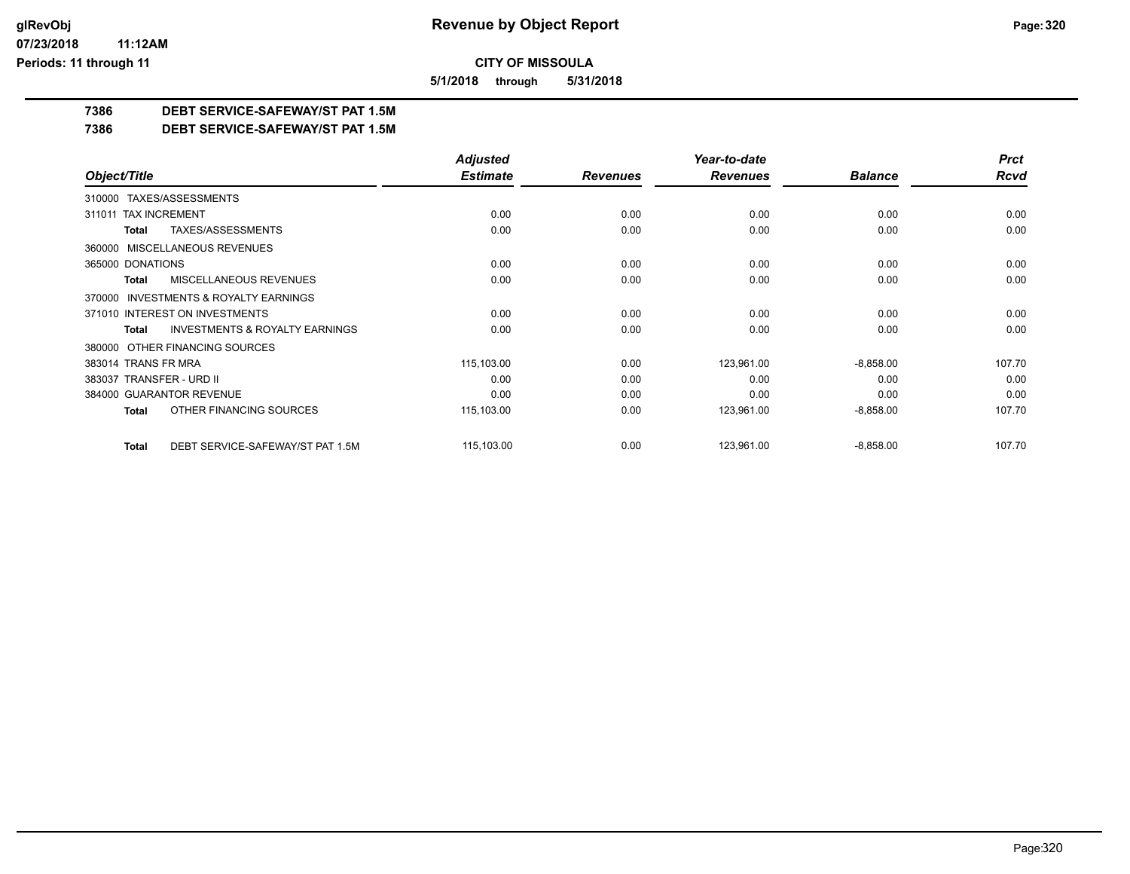**5/1/2018 through 5/31/2018**

## **7386 DEBT SERVICE-SAFEWAY/ST PAT 1.5M**

## **7386 DEBT SERVICE-SAFEWAY/ST PAT 1.5M**

|                                                     | <b>Adjusted</b> |                 | Year-to-date    |                | <b>Prct</b> |
|-----------------------------------------------------|-----------------|-----------------|-----------------|----------------|-------------|
| Object/Title                                        | <b>Estimate</b> | <b>Revenues</b> | <b>Revenues</b> | <b>Balance</b> | <b>Rcvd</b> |
| TAXES/ASSESSMENTS<br>310000                         |                 |                 |                 |                |             |
| 311011 TAX INCREMENT                                | 0.00            | 0.00            | 0.00            | 0.00           | 0.00        |
| TAXES/ASSESSMENTS<br>Total                          | 0.00            | 0.00            | 0.00            | 0.00           | 0.00        |
| MISCELLANEOUS REVENUES<br>360000                    |                 |                 |                 |                |             |
| 365000 DONATIONS                                    | 0.00            | 0.00            | 0.00            | 0.00           | 0.00        |
| MISCELLANEOUS REVENUES<br>Total                     | 0.00            | 0.00            | 0.00            | 0.00           | 0.00        |
| <b>INVESTMENTS &amp; ROYALTY EARNINGS</b><br>370000 |                 |                 |                 |                |             |
| 371010 INTEREST ON INVESTMENTS                      | 0.00            | 0.00            | 0.00            | 0.00           | 0.00        |
| <b>INVESTMENTS &amp; ROYALTY EARNINGS</b><br>Total  | 0.00            | 0.00            | 0.00            | 0.00           | 0.00        |
| OTHER FINANCING SOURCES<br>380000                   |                 |                 |                 |                |             |
| 383014 TRANS FR MRA                                 | 115,103.00      | 0.00            | 123,961.00      | $-8,858.00$    | 107.70      |
| 383037 TRANSFER - URD II                            | 0.00            | 0.00            | 0.00            | 0.00           | 0.00        |
| 384000 GUARANTOR REVENUE                            | 0.00            | 0.00            | 0.00            | 0.00           | 0.00        |
| OTHER FINANCING SOURCES<br>Total                    | 115,103.00      | 0.00            | 123,961.00      | $-8,858.00$    | 107.70      |
| DEBT SERVICE-SAFEWAY/ST PAT 1.5M<br>Total           | 115,103.00      | 0.00            | 123,961.00      | $-8,858.00$    | 107.70      |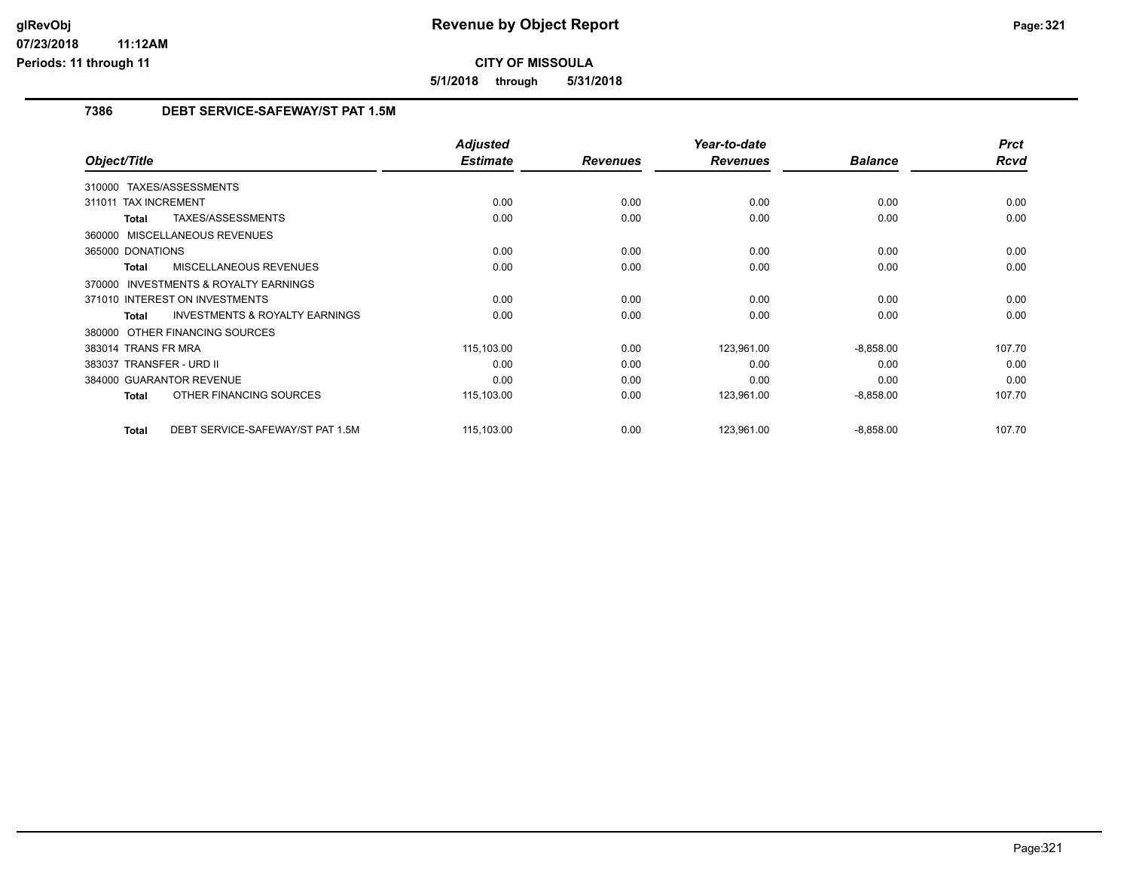**5/1/2018 through 5/31/2018**

## **7386 DEBT SERVICE-SAFEWAY/ST PAT 1.5M**

|                                                           | <b>Adjusted</b> |                 | Year-to-date    |                | <b>Prct</b> |
|-----------------------------------------------------------|-----------------|-----------------|-----------------|----------------|-------------|
| Object/Title                                              | <b>Estimate</b> | <b>Revenues</b> | <b>Revenues</b> | <b>Balance</b> | <b>Rcvd</b> |
| 310000 TAXES/ASSESSMENTS                                  |                 |                 |                 |                |             |
| <b>TAX INCREMENT</b><br>311011                            | 0.00            | 0.00            | 0.00            | 0.00           | 0.00        |
| TAXES/ASSESSMENTS<br><b>Total</b>                         | 0.00            | 0.00            | 0.00            | 0.00           | 0.00        |
| 360000 MISCELLANEOUS REVENUES                             |                 |                 |                 |                |             |
| 365000 DONATIONS                                          | 0.00            | 0.00            | 0.00            | 0.00           | 0.00        |
| <b>MISCELLANEOUS REVENUES</b><br>Total                    | 0.00            | 0.00            | 0.00            | 0.00           | 0.00        |
| <b>INVESTMENTS &amp; ROYALTY EARNINGS</b><br>370000       |                 |                 |                 |                |             |
| 371010 INTEREST ON INVESTMENTS                            | 0.00            | 0.00            | 0.00            | 0.00           | 0.00        |
| <b>INVESTMENTS &amp; ROYALTY EARNINGS</b><br><b>Total</b> | 0.00            | 0.00            | 0.00            | 0.00           | 0.00        |
| 380000 OTHER FINANCING SOURCES                            |                 |                 |                 |                |             |
| 383014 TRANS FR MRA                                       | 115,103.00      | 0.00            | 123,961.00      | $-8,858.00$    | 107.70      |
| 383037 TRANSFER - URD II                                  | 0.00            | 0.00            | 0.00            | 0.00           | 0.00        |
| 384000 GUARANTOR REVENUE                                  | 0.00            | 0.00            | 0.00            | 0.00           | 0.00        |
| OTHER FINANCING SOURCES<br>Total                          | 115,103.00      | 0.00            | 123,961.00      | $-8,858.00$    | 107.70      |
| DEBT SERVICE-SAFEWAY/ST PAT 1.5M<br><b>Total</b>          | 115,103.00      | 0.00            | 123,961.00      | $-8,858.00$    | 107.70      |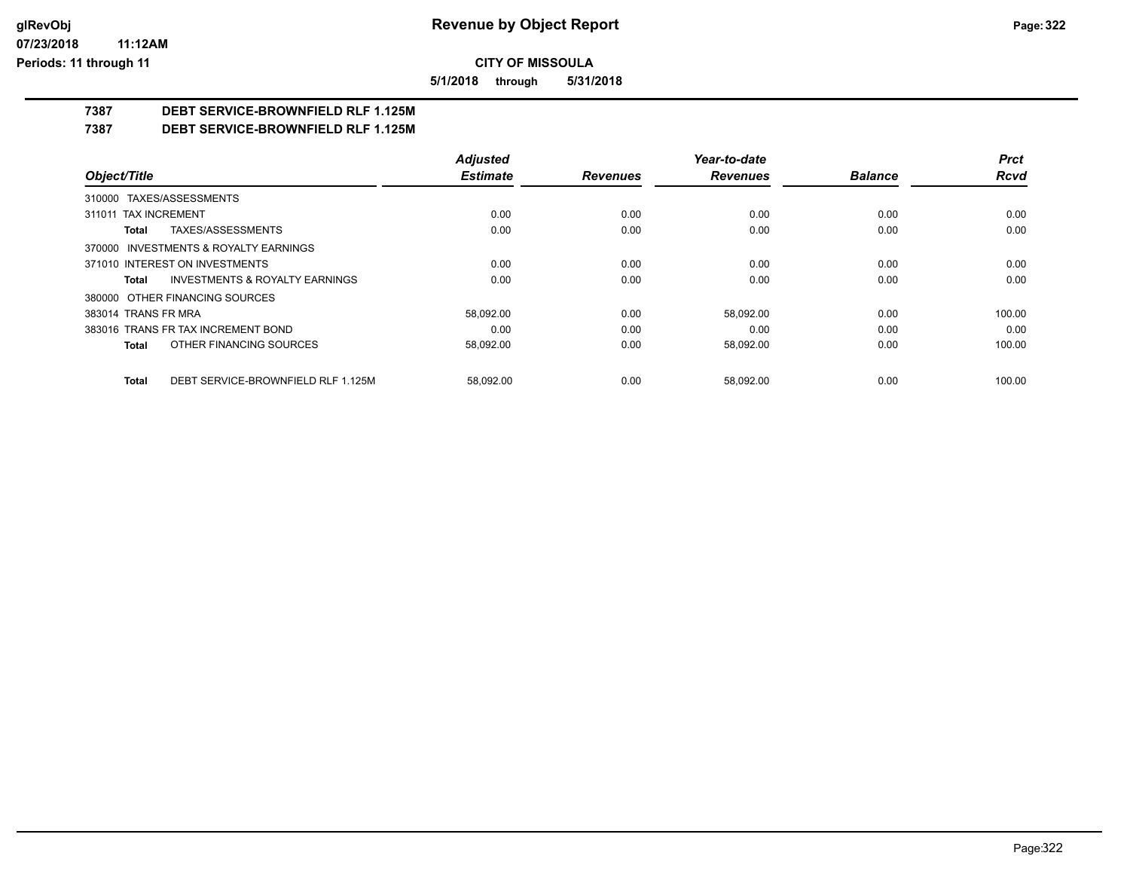**5/1/2018 through 5/31/2018**

# **7387 DEBT SERVICE-BROWNFIELD RLF 1.125M**

**7387 DEBT SERVICE-BROWNFIELD RLF 1.125M**

|                                                    | <b>Adjusted</b> |                 | Year-to-date    |                | <b>Prct</b> |
|----------------------------------------------------|-----------------|-----------------|-----------------|----------------|-------------|
| Object/Title                                       | <b>Estimate</b> | <b>Revenues</b> | <b>Revenues</b> | <b>Balance</b> | <b>Rcvd</b> |
| 310000 TAXES/ASSESSMENTS                           |                 |                 |                 |                |             |
| 311011 TAX INCREMENT                               | 0.00            | 0.00            | 0.00            | 0.00           | 0.00        |
| TAXES/ASSESSMENTS<br>Total                         | 0.00            | 0.00            | 0.00            | 0.00           | 0.00        |
| 370000 INVESTMENTS & ROYALTY EARNINGS              |                 |                 |                 |                |             |
| 371010 INTEREST ON INVESTMENTS                     | 0.00            | 0.00            | 0.00            | 0.00           | 0.00        |
| <b>INVESTMENTS &amp; ROYALTY EARNINGS</b><br>Total | 0.00            | 0.00            | 0.00            | 0.00           | 0.00        |
| 380000 OTHER FINANCING SOURCES                     |                 |                 |                 |                |             |
| 383014 TRANS FR MRA                                | 58,092.00       | 0.00            | 58.092.00       | 0.00           | 100.00      |
| 383016 TRANS FR TAX INCREMENT BOND                 | 0.00            | 0.00            | 0.00            | 0.00           | 0.00        |
| OTHER FINANCING SOURCES<br>Total                   | 58,092.00       | 0.00            | 58,092.00       | 0.00           | 100.00      |
| DEBT SERVICE-BROWNFIELD RLF 1.125M<br>Total        | 58.092.00       | 0.00            | 58.092.00       | 0.00           | 100.00      |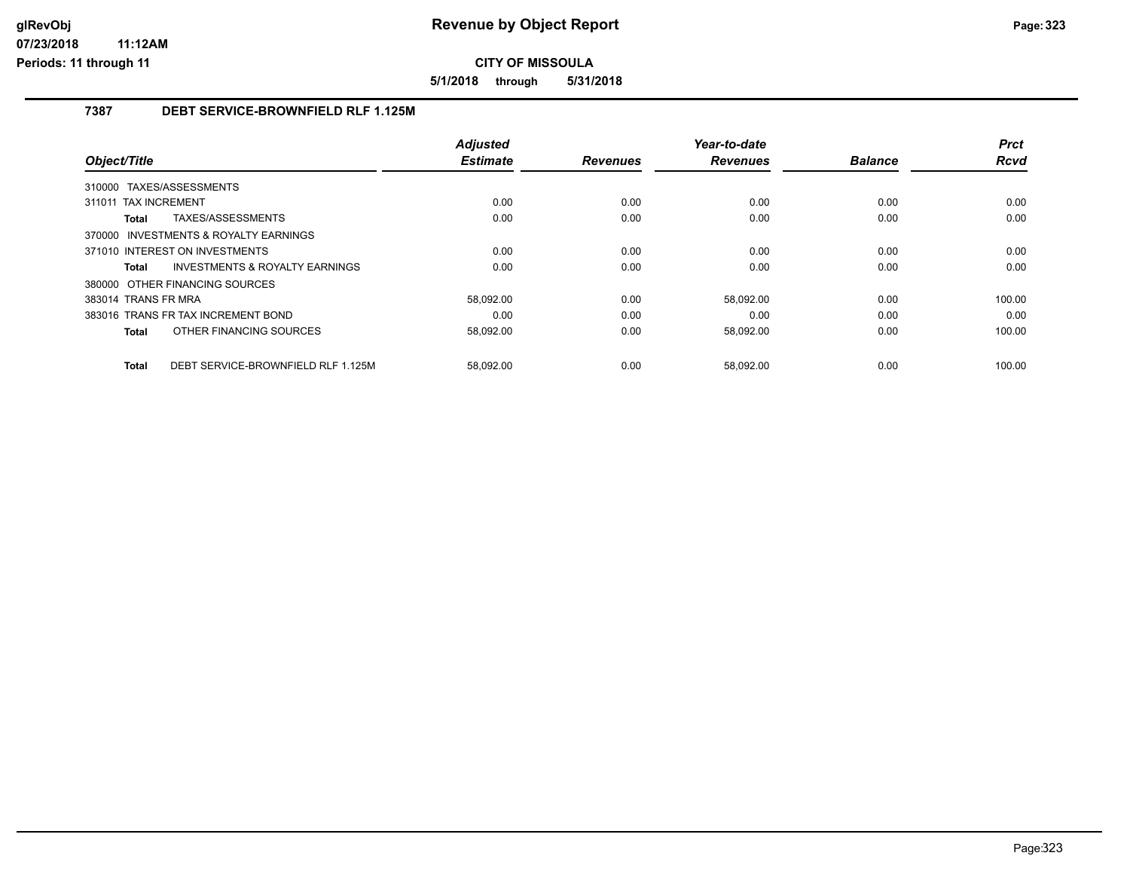**5/1/2018 through 5/31/2018**

## **7387 DEBT SERVICE-BROWNFIELD RLF 1.125M**

|                                                    | <b>Adjusted</b> |                 | Year-to-date    |                | <b>Prct</b> |
|----------------------------------------------------|-----------------|-----------------|-----------------|----------------|-------------|
| Object/Title                                       | <b>Estimate</b> | <b>Revenues</b> | <b>Revenues</b> | <b>Balance</b> | <b>Rcvd</b> |
| 310000 TAXES/ASSESSMENTS                           |                 |                 |                 |                |             |
| 311011 TAX INCREMENT                               | 0.00            | 0.00            | 0.00            | 0.00           | 0.00        |
| TAXES/ASSESSMENTS<br><b>Total</b>                  | 0.00            | 0.00            | 0.00            | 0.00           | 0.00        |
| 370000 INVESTMENTS & ROYALTY EARNINGS              |                 |                 |                 |                |             |
| 371010 INTEREST ON INVESTMENTS                     | 0.00            | 0.00            | 0.00            | 0.00           | 0.00        |
| <b>INVESTMENTS &amp; ROYALTY EARNINGS</b><br>Total | 0.00            | 0.00            | 0.00            | 0.00           | 0.00        |
| 380000 OTHER FINANCING SOURCES                     |                 |                 |                 |                |             |
| 383014 TRANS FR MRA                                | 58.092.00       | 0.00            | 58.092.00       | 0.00           | 100.00      |
| 383016 TRANS FR TAX INCREMENT BOND                 | 0.00            | 0.00            | 0.00            | 0.00           | 0.00        |
| OTHER FINANCING SOURCES<br>Total                   | 58.092.00       | 0.00            | 58.092.00       | 0.00           | 100.00      |
| DEBT SERVICE-BROWNFIELD RLF 1.125M<br><b>Total</b> | 58,092.00       | 0.00            | 58.092.00       | 0.00           | 100.00      |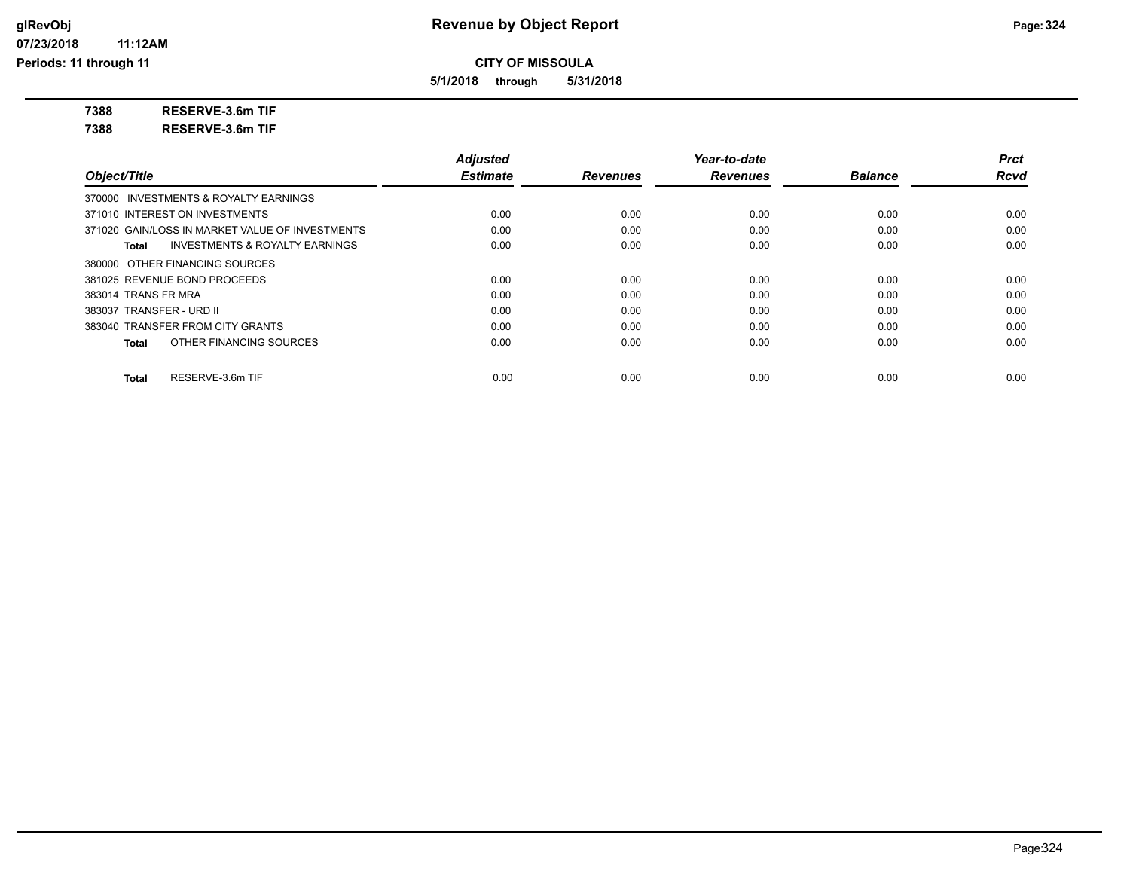**5/1/2018 through 5/31/2018**

**7388 RESERVE-3.6m TIF**

**7388 RESERVE-3.6m TIF**

|                                                    | <b>Adjusted</b> |                 | Year-to-date    |                | <b>Prct</b> |
|----------------------------------------------------|-----------------|-----------------|-----------------|----------------|-------------|
| Object/Title                                       | <b>Estimate</b> | <b>Revenues</b> | <b>Revenues</b> | <b>Balance</b> | Rcvd        |
| 370000 INVESTMENTS & ROYALTY EARNINGS              |                 |                 |                 |                |             |
| 371010 INTEREST ON INVESTMENTS                     | 0.00            | 0.00            | 0.00            | 0.00           | 0.00        |
| 371020 GAIN/LOSS IN MARKET VALUE OF INVESTMENTS    | 0.00            | 0.00            | 0.00            | 0.00           | 0.00        |
| <b>INVESTMENTS &amp; ROYALTY EARNINGS</b><br>Total | 0.00            | 0.00            | 0.00            | 0.00           | 0.00        |
| 380000 OTHER FINANCING SOURCES                     |                 |                 |                 |                |             |
| 381025 REVENUE BOND PROCEEDS                       | 0.00            | 0.00            | 0.00            | 0.00           | 0.00        |
| 383014 TRANS FR MRA                                | 0.00            | 0.00            | 0.00            | 0.00           | 0.00        |
| 383037 TRANSFER - URD II                           | 0.00            | 0.00            | 0.00            | 0.00           | 0.00        |
| 383040 TRANSFER FROM CITY GRANTS                   | 0.00            | 0.00            | 0.00            | 0.00           | 0.00        |
| OTHER FINANCING SOURCES<br>Total                   | 0.00            | 0.00            | 0.00            | 0.00           | 0.00        |
|                                                    |                 |                 |                 |                |             |
| RESERVE-3.6m TIF<br>Total                          | 0.00            | 0.00            | 0.00            | 0.00           | 0.00        |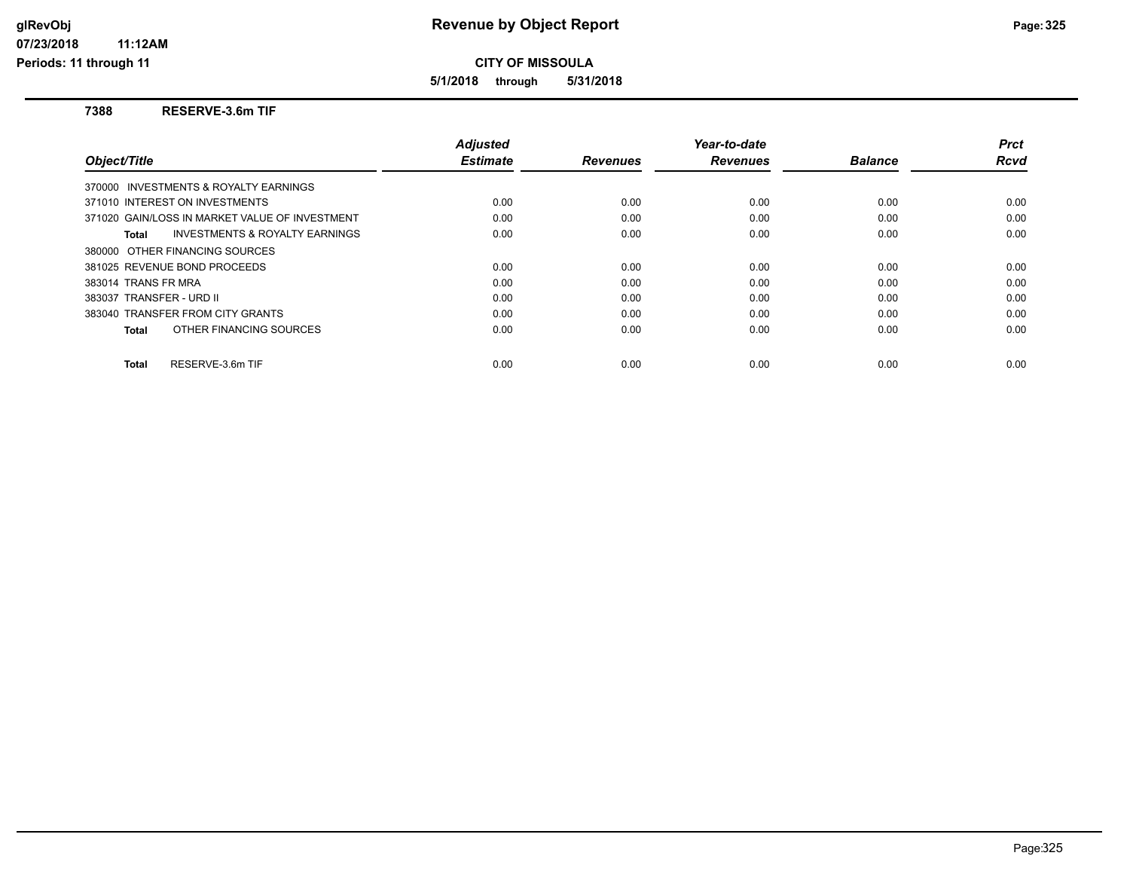**CITY OF MISSOULA**

**5/1/2018 through 5/31/2018**

#### **7388 RESERVE-3.6m TIF**

**11:12AM**

|                                                    | <b>Adjusted</b> |                 | Year-to-date    |                | <b>Prct</b> |
|----------------------------------------------------|-----------------|-----------------|-----------------|----------------|-------------|
| Object/Title                                       | <b>Estimate</b> | <b>Revenues</b> | <b>Revenues</b> | <b>Balance</b> | Rcvd        |
| 370000 INVESTMENTS & ROYALTY EARNINGS              |                 |                 |                 |                |             |
| 371010 INTEREST ON INVESTMENTS                     | 0.00            | 0.00            | 0.00            | 0.00           | 0.00        |
| 371020 GAIN/LOSS IN MARKET VALUE OF INVESTMENT     | 0.00            | 0.00            | 0.00            | 0.00           | 0.00        |
| <b>INVESTMENTS &amp; ROYALTY EARNINGS</b><br>Total | 0.00            | 0.00            | 0.00            | 0.00           | 0.00        |
| 380000 OTHER FINANCING SOURCES                     |                 |                 |                 |                |             |
| 381025 REVENUE BOND PROCEEDS                       | 0.00            | 0.00            | 0.00            | 0.00           | 0.00        |
| 383014 TRANS FR MRA                                | 0.00            | 0.00            | 0.00            | 0.00           | 0.00        |
| 383037 TRANSFER - URD II                           | 0.00            | 0.00            | 0.00            | 0.00           | 0.00        |
| 383040 TRANSFER FROM CITY GRANTS                   | 0.00            | 0.00            | 0.00            | 0.00           | 0.00        |
| OTHER FINANCING SOURCES<br>Total                   | 0.00            | 0.00            | 0.00            | 0.00           | 0.00        |
|                                                    |                 |                 |                 |                |             |
| RESERVE-3.6m TIF<br>Total                          | 0.00            | 0.00            | 0.00            | 0.00           | 0.00        |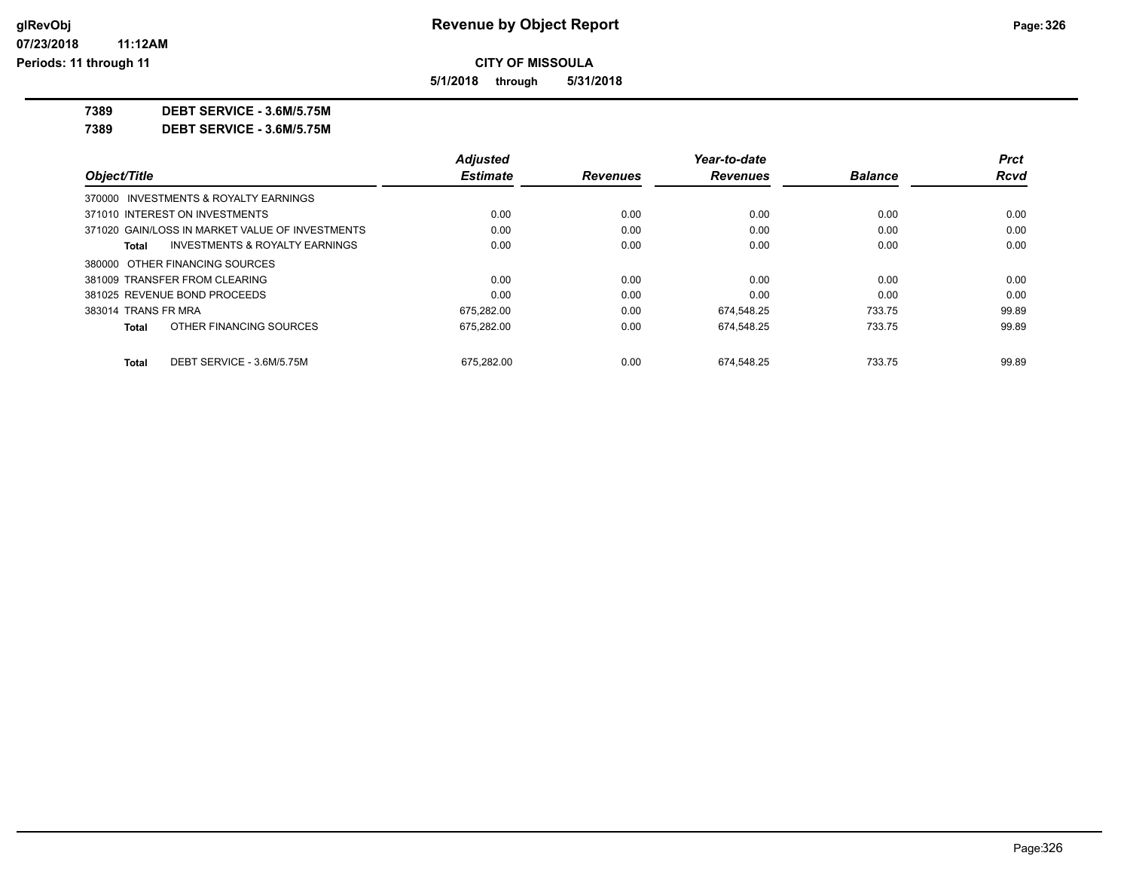**5/1/2018 through 5/31/2018**

**7389 DEBT SERVICE - 3.6M/5.75M**

**7389 DEBT SERVICE - 3.6M/5.75M**

|                     |                                                 | <b>Adiusted</b> |                 | Year-to-date    |                | <b>Prct</b> |
|---------------------|-------------------------------------------------|-----------------|-----------------|-----------------|----------------|-------------|
| Object/Title        |                                                 | <b>Estimate</b> | <b>Revenues</b> | <b>Revenues</b> | <b>Balance</b> | <b>Rcvd</b> |
|                     | 370000 INVESTMENTS & ROYALTY EARNINGS           |                 |                 |                 |                |             |
|                     | 371010 INTEREST ON INVESTMENTS                  | 0.00            | 0.00            | 0.00            | 0.00           | 0.00        |
|                     | 371020 GAIN/LOSS IN MARKET VALUE OF INVESTMENTS | 0.00            | 0.00            | 0.00            | 0.00           | 0.00        |
| Total               | <b>INVESTMENTS &amp; ROYALTY EARNINGS</b>       | 0.00            | 0.00            | 0.00            | 0.00           | 0.00        |
|                     | 380000 OTHER FINANCING SOURCES                  |                 |                 |                 |                |             |
|                     | 381009 TRANSFER FROM CLEARING                   | 0.00            | 0.00            | 0.00            | 0.00           | 0.00        |
|                     | 381025 REVENUE BOND PROCEEDS                    | 0.00            | 0.00            | 0.00            | 0.00           | 0.00        |
| 383014 TRANS FR MRA |                                                 | 675.282.00      | 0.00            | 674.548.25      | 733.75         | 99.89       |
| Total               | OTHER FINANCING SOURCES                         | 675.282.00      | 0.00            | 674.548.25      | 733.75         | 99.89       |
| <b>Total</b>        | DEBT SERVICE - 3.6M/5.75M                       | 675.282.00      | 0.00            | 674.548.25      | 733.75         | 99.89       |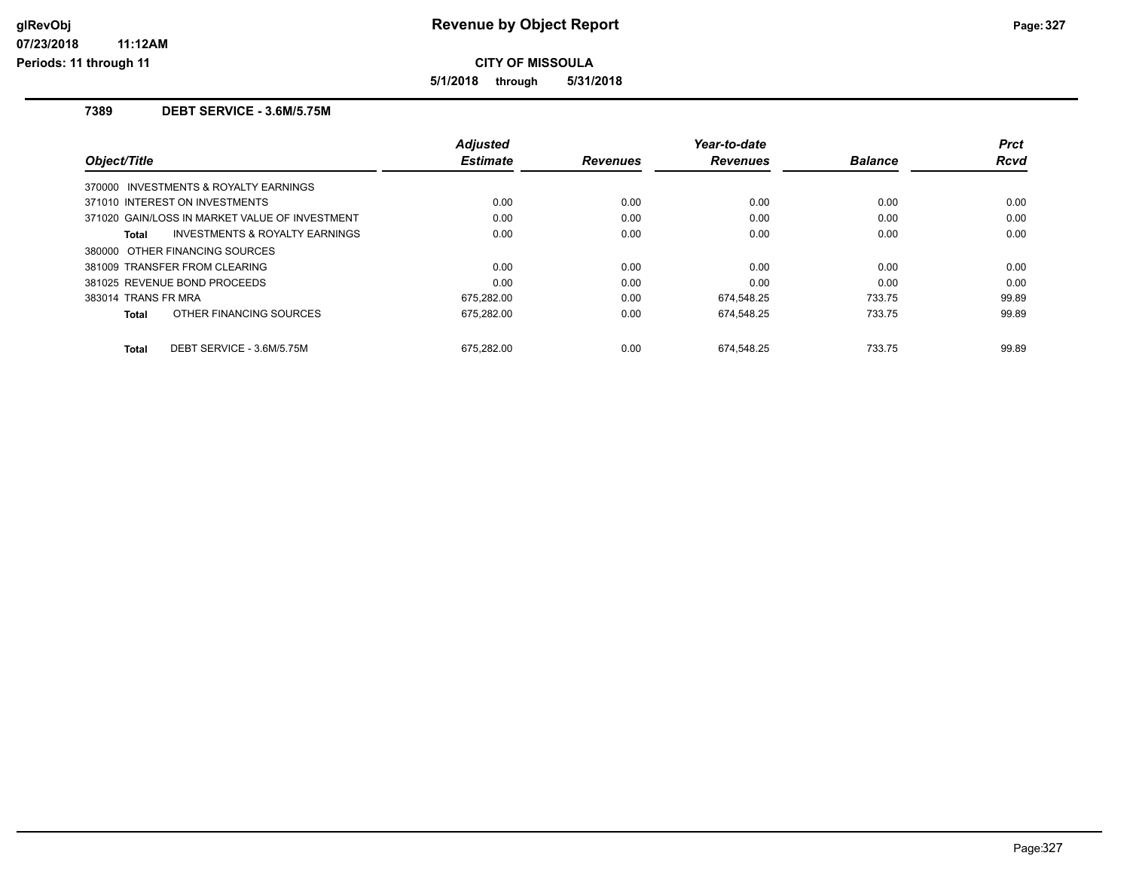**CITY OF MISSOULA**

**5/1/2018 through 5/31/2018**

#### **7389 DEBT SERVICE - 3.6M/5.75M**

**11:12AM**

| Object/Title                                       | <b>Adjusted</b><br><b>Estimate</b> | <b>Revenues</b> | Year-to-date<br><b>Revenues</b> | <b>Balance</b> | <b>Prct</b><br><b>Rcvd</b> |
|----------------------------------------------------|------------------------------------|-----------------|---------------------------------|----------------|----------------------------|
| 370000 INVESTMENTS & ROYALTY EARNINGS              |                                    |                 |                                 |                |                            |
| 371010 INTEREST ON INVESTMENTS                     | 0.00                               | 0.00            | 0.00                            | 0.00           | 0.00                       |
| 371020 GAIN/LOSS IN MARKET VALUE OF INVESTMENT     | 0.00                               | 0.00            | 0.00                            | 0.00           | 0.00                       |
| <b>INVESTMENTS &amp; ROYALTY EARNINGS</b><br>Total | 0.00                               | 0.00            | 0.00                            | 0.00           | 0.00                       |
| 380000 OTHER FINANCING SOURCES                     |                                    |                 |                                 |                |                            |
| 381009 TRANSFER FROM CLEARING                      | 0.00                               | 0.00            | 0.00                            | 0.00           | 0.00                       |
| 381025 REVENUE BOND PROCEEDS                       | 0.00                               | 0.00            | 0.00                            | 0.00           | 0.00                       |
| 383014 TRANS FR MRA                                | 675.282.00                         | 0.00            | 674,548.25                      | 733.75         | 99.89                      |
| OTHER FINANCING SOURCES<br>Total                   | 675,282.00                         | 0.00            | 674,548.25                      | 733.75         | 99.89                      |
| DEBT SERVICE - 3.6M/5.75M<br><b>Total</b>          | 675.282.00                         | 0.00            | 674.548.25                      | 733.75         | 99.89                      |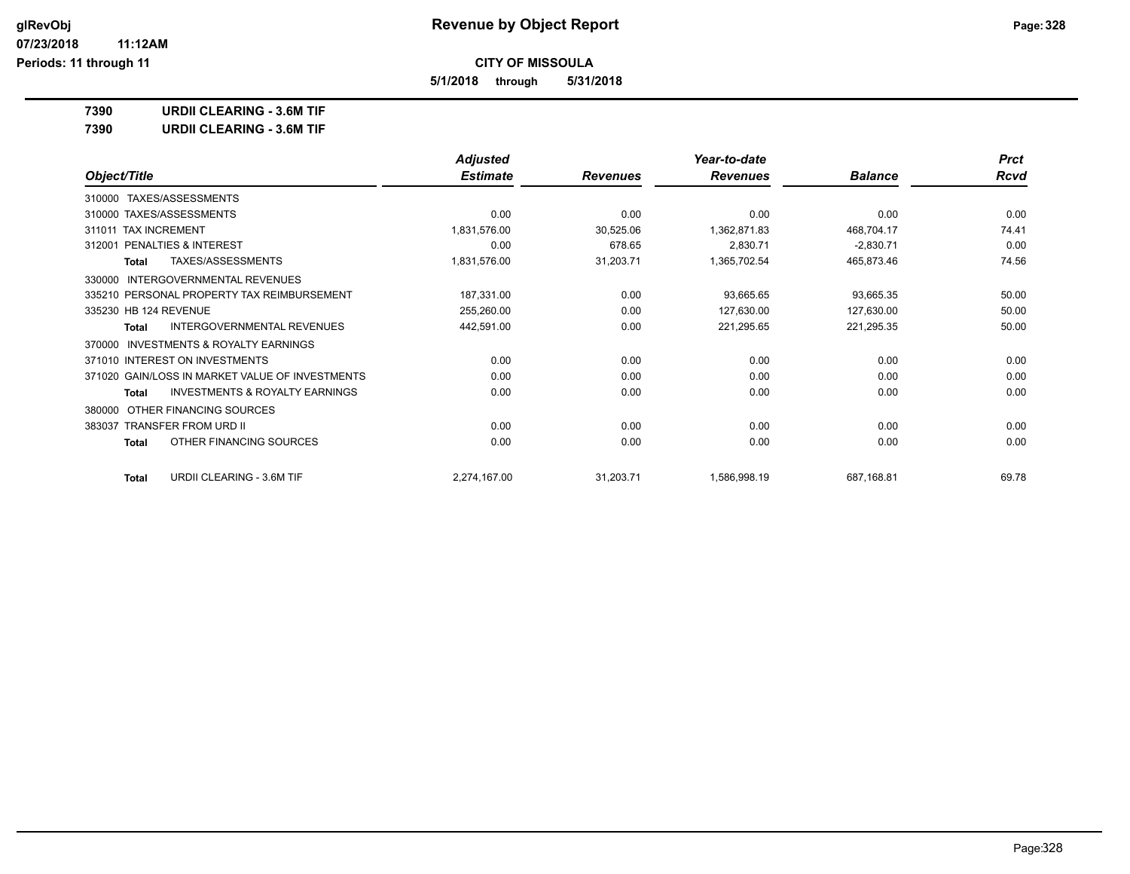**5/1/2018 through 5/31/2018**

**7390 URDII CLEARING - 3.6M TIF**

**7390 URDII CLEARING - 3.6M TIF**

|                                                           | <b>Adjusted</b> |                 | Year-to-date    |                | <b>Prct</b> |
|-----------------------------------------------------------|-----------------|-----------------|-----------------|----------------|-------------|
| Object/Title                                              | <b>Estimate</b> | <b>Revenues</b> | <b>Revenues</b> | <b>Balance</b> | <b>Rcvd</b> |
| TAXES/ASSESSMENTS<br>310000                               |                 |                 |                 |                |             |
| 310000 TAXES/ASSESSMENTS                                  | 0.00            | 0.00            | 0.00            | 0.00           | 0.00        |
| 311011 TAX INCREMENT                                      | 1,831,576.00    | 30,525.06       | 1,362,871.83    | 468,704.17     | 74.41       |
| PENALTIES & INTEREST<br>312001                            | 0.00            | 678.65          | 2,830.71        | $-2,830.71$    | 0.00        |
| TAXES/ASSESSMENTS<br><b>Total</b>                         | 1,831,576.00    | 31,203.71       | 1,365,702.54    | 465,873.46     | 74.56       |
| <b>INTERGOVERNMENTAL REVENUES</b><br>330000               |                 |                 |                 |                |             |
| 335210 PERSONAL PROPERTY TAX REIMBURSEMENT                | 187,331.00      | 0.00            | 93,665.65       | 93,665.35      | 50.00       |
| 335230 HB 124 REVENUE                                     | 255,260.00      | 0.00            | 127,630.00      | 127,630.00     | 50.00       |
| <b>INTERGOVERNMENTAL REVENUES</b><br>Total                | 442,591.00      | 0.00            | 221,295.65      | 221,295.35     | 50.00       |
| <b>INVESTMENTS &amp; ROYALTY EARNINGS</b><br>370000       |                 |                 |                 |                |             |
| 371010 INTEREST ON INVESTMENTS                            | 0.00            | 0.00            | 0.00            | 0.00           | 0.00        |
| 371020 GAIN/LOSS IN MARKET VALUE OF INVESTMENTS           | 0.00            | 0.00            | 0.00            | 0.00           | 0.00        |
| <b>INVESTMENTS &amp; ROYALTY EARNINGS</b><br><b>Total</b> | 0.00            | 0.00            | 0.00            | 0.00           | 0.00        |
| OTHER FINANCING SOURCES<br>380000                         |                 |                 |                 |                |             |
| 383037 TRANSFER FROM URD II                               | 0.00            | 0.00            | 0.00            | 0.00           | 0.00        |
| OTHER FINANCING SOURCES<br><b>Total</b>                   | 0.00            | 0.00            | 0.00            | 0.00           | 0.00        |
| <b>URDII CLEARING - 3.6M TIF</b><br><b>Total</b>          | 2,274,167.00    | 31,203.71       | 1,586,998.19    | 687,168.81     | 69.78       |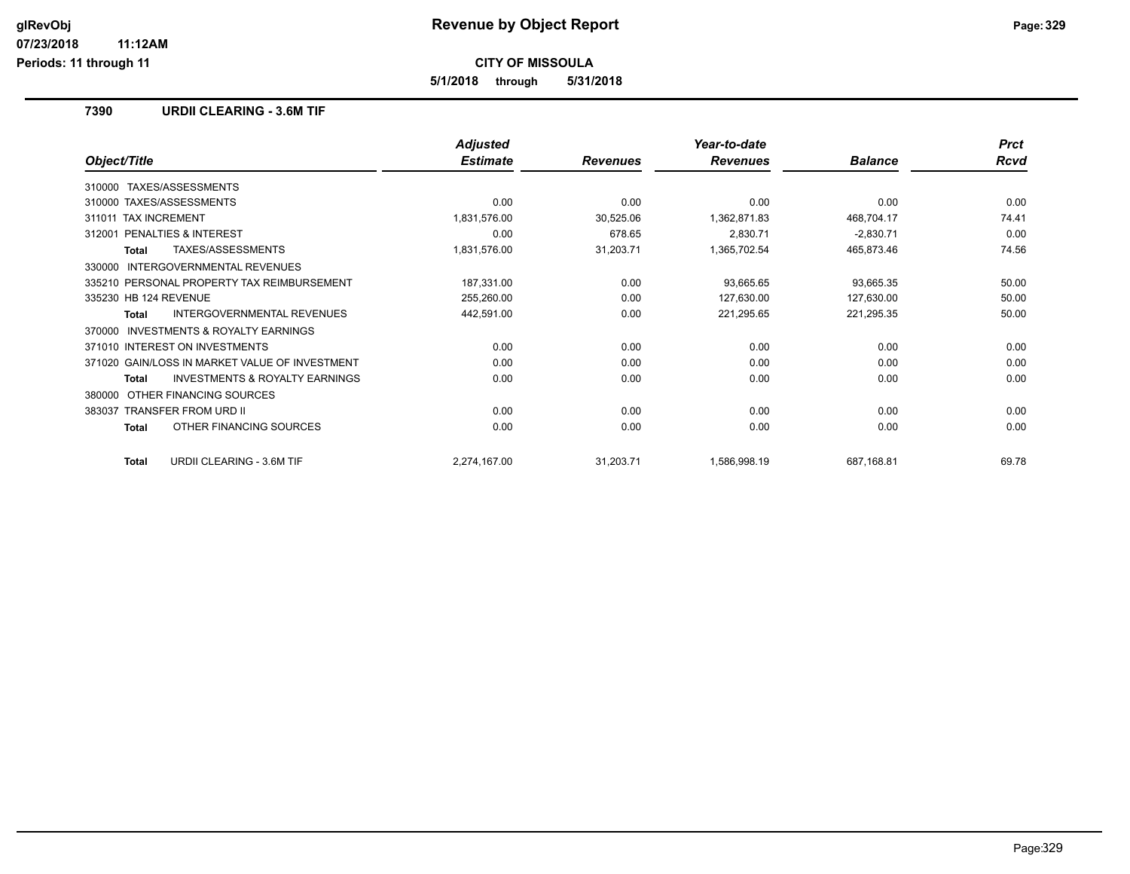**CITY OF MISSOULA**

**5/1/2018 through 5/31/2018**

### **7390 URDII CLEARING - 3.6M TIF**

**11:12AM**

|                                                    | <b>Adjusted</b> |                 | Year-to-date    |                | <b>Prct</b> |
|----------------------------------------------------|-----------------|-----------------|-----------------|----------------|-------------|
| Object/Title                                       | <b>Estimate</b> | <b>Revenues</b> | <b>Revenues</b> | <b>Balance</b> | <b>Rcvd</b> |
| TAXES/ASSESSMENTS<br>310000                        |                 |                 |                 |                |             |
| 310000 TAXES/ASSESSMENTS                           | 0.00            | 0.00            | 0.00            | 0.00           | 0.00        |
| <b>TAX INCREMENT</b><br>311011                     | 1,831,576.00    | 30,525.06       | 1,362,871.83    | 468,704.17     | 74.41       |
| PENALTIES & INTEREST<br>312001                     | 0.00            | 678.65          | 2,830.71        | $-2,830.71$    | 0.00        |
| <b>TAXES/ASSESSMENTS</b><br><b>Total</b>           | 1,831,576.00    | 31,203.71       | 1,365,702.54    | 465,873.46     | 74.56       |
| INTERGOVERNMENTAL REVENUES<br>330000               |                 |                 |                 |                |             |
| 335210 PERSONAL PROPERTY TAX REIMBURSEMENT         | 187,331.00      | 0.00            | 93,665.65       | 93,665.35      | 50.00       |
| 335230 HB 124 REVENUE                              | 255,260.00      | 0.00            | 127,630.00      | 127,630.00     | 50.00       |
| INTERGOVERNMENTAL REVENUES<br>Total                | 442,591.00      | 0.00            | 221,295.65      | 221,295.35     | 50.00       |
| INVESTMENTS & ROYALTY EARNINGS<br>370000           |                 |                 |                 |                |             |
| 371010 INTEREST ON INVESTMENTS                     | 0.00            | 0.00            | 0.00            | 0.00           | 0.00        |
| 371020 GAIN/LOSS IN MARKET VALUE OF INVESTMENT     | 0.00            | 0.00            | 0.00            | 0.00           | 0.00        |
| <b>INVESTMENTS &amp; ROYALTY EARNINGS</b><br>Total | 0.00            | 0.00            | 0.00            | 0.00           | 0.00        |
| OTHER FINANCING SOURCES<br>380000                  |                 |                 |                 |                |             |
| <b>TRANSFER FROM URD II</b><br>383037              | 0.00            | 0.00            | 0.00            | 0.00           | 0.00        |
| OTHER FINANCING SOURCES<br>Total                   | 0.00            | 0.00            | 0.00            | 0.00           | 0.00        |
| <b>URDII CLEARING - 3.6M TIF</b><br><b>Total</b>   | 2,274,167.00    | 31,203.71       | 1,586,998.19    | 687,168.81     | 69.78       |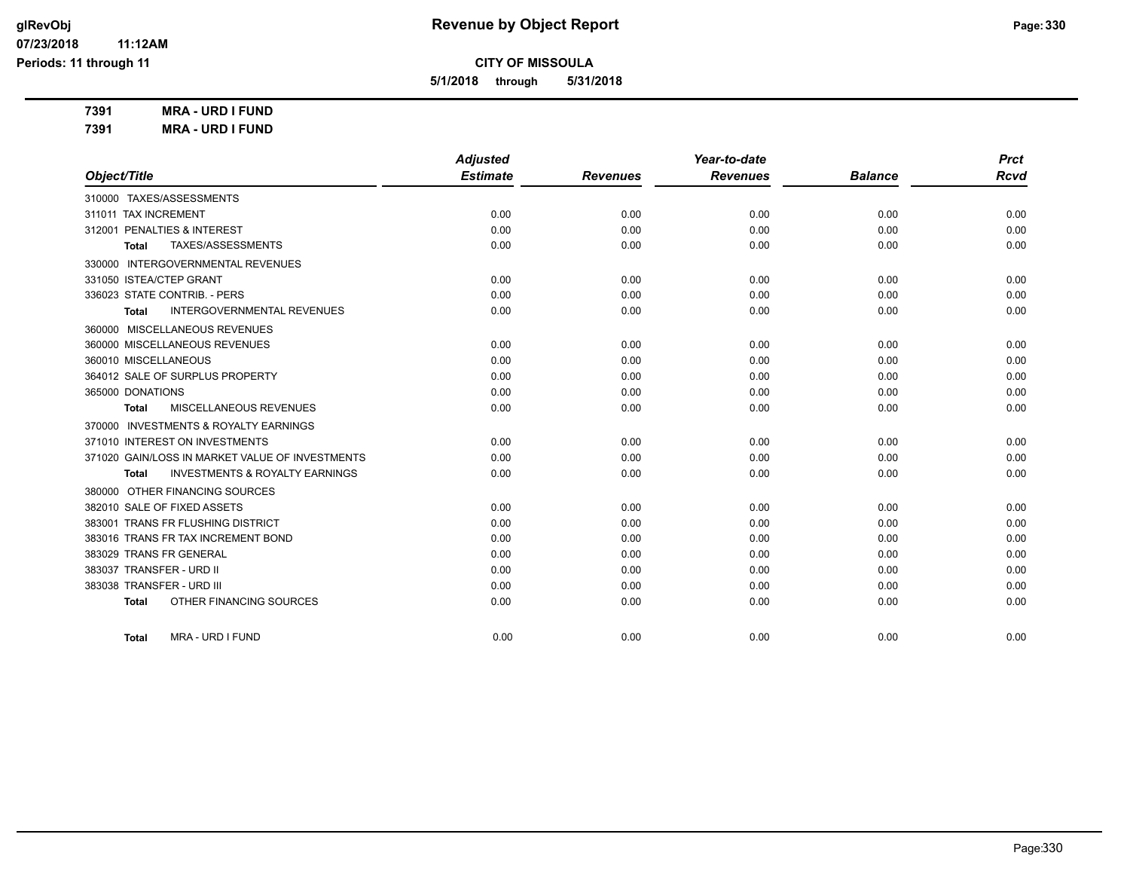**5/1/2018 through 5/31/2018**

**7391 MRA - URD I FUND**

**7391 MRA - URD I FUND**

|                                                     | <b>Adjusted</b> |                 | Year-to-date    |                | <b>Prct</b> |
|-----------------------------------------------------|-----------------|-----------------|-----------------|----------------|-------------|
| Object/Title                                        | <b>Estimate</b> | <b>Revenues</b> | <b>Revenues</b> | <b>Balance</b> | <b>Rcvd</b> |
| 310000 TAXES/ASSESSMENTS                            |                 |                 |                 |                |             |
| 311011 TAX INCREMENT                                | 0.00            | 0.00            | 0.00            | 0.00           | 0.00        |
| 312001 PENALTIES & INTEREST                         | 0.00            | 0.00            | 0.00            | 0.00           | 0.00        |
| TAXES/ASSESSMENTS<br><b>Total</b>                   | 0.00            | 0.00            | 0.00            | 0.00           | 0.00        |
| 330000 INTERGOVERNMENTAL REVENUES                   |                 |                 |                 |                |             |
| 331050 ISTEA/CTEP GRANT                             | 0.00            | 0.00            | 0.00            | 0.00           | 0.00        |
| 336023 STATE CONTRIB. - PERS                        | 0.00            | 0.00            | 0.00            | 0.00           | 0.00        |
| <b>INTERGOVERNMENTAL REVENUES</b><br><b>Total</b>   | 0.00            | 0.00            | 0.00            | 0.00           | 0.00        |
| 360000 MISCELLANEOUS REVENUES                       |                 |                 |                 |                |             |
| 360000 MISCELLANEOUS REVENUES                       | 0.00            | 0.00            | 0.00            | 0.00           | 0.00        |
| 360010 MISCELLANEOUS                                | 0.00            | 0.00            | 0.00            | 0.00           | 0.00        |
| 364012 SALE OF SURPLUS PROPERTY                     | 0.00            | 0.00            | 0.00            | 0.00           | 0.00        |
| 365000 DONATIONS                                    | 0.00            | 0.00            | 0.00            | 0.00           | 0.00        |
| MISCELLANEOUS REVENUES<br>Total                     | 0.00            | 0.00            | 0.00            | 0.00           | 0.00        |
| <b>INVESTMENTS &amp; ROYALTY EARNINGS</b><br>370000 |                 |                 |                 |                |             |
| 371010 INTEREST ON INVESTMENTS                      | 0.00            | 0.00            | 0.00            | 0.00           | 0.00        |
| 371020 GAIN/LOSS IN MARKET VALUE OF INVESTMENTS     | 0.00            | 0.00            | 0.00            | 0.00           | 0.00        |
| <b>INVESTMENTS &amp; ROYALTY EARNINGS</b><br>Total  | 0.00            | 0.00            | 0.00            | 0.00           | 0.00        |
| 380000 OTHER FINANCING SOURCES                      |                 |                 |                 |                |             |
| 382010 SALE OF FIXED ASSETS                         | 0.00            | 0.00            | 0.00            | 0.00           | 0.00        |
| 383001 TRANS FR FLUSHING DISTRICT                   | 0.00            | 0.00            | 0.00            | 0.00           | 0.00        |
| 383016 TRANS FR TAX INCREMENT BOND                  | 0.00            | 0.00            | 0.00            | 0.00           | 0.00        |
| 383029 TRANS FR GENERAL                             | 0.00            | 0.00            | 0.00            | 0.00           | 0.00        |
| 383037 TRANSFER - URD II                            | 0.00            | 0.00            | 0.00            | 0.00           | 0.00        |
| 383038 TRANSFER - URD III                           | 0.00            | 0.00            | 0.00            | 0.00           | 0.00        |
| OTHER FINANCING SOURCES<br><b>Total</b>             | 0.00            | 0.00            | 0.00            | 0.00           | 0.00        |
|                                                     |                 |                 |                 |                |             |
| MRA - URD I FUND<br>Total                           | 0.00            | 0.00            | 0.00            | 0.00           | 0.00        |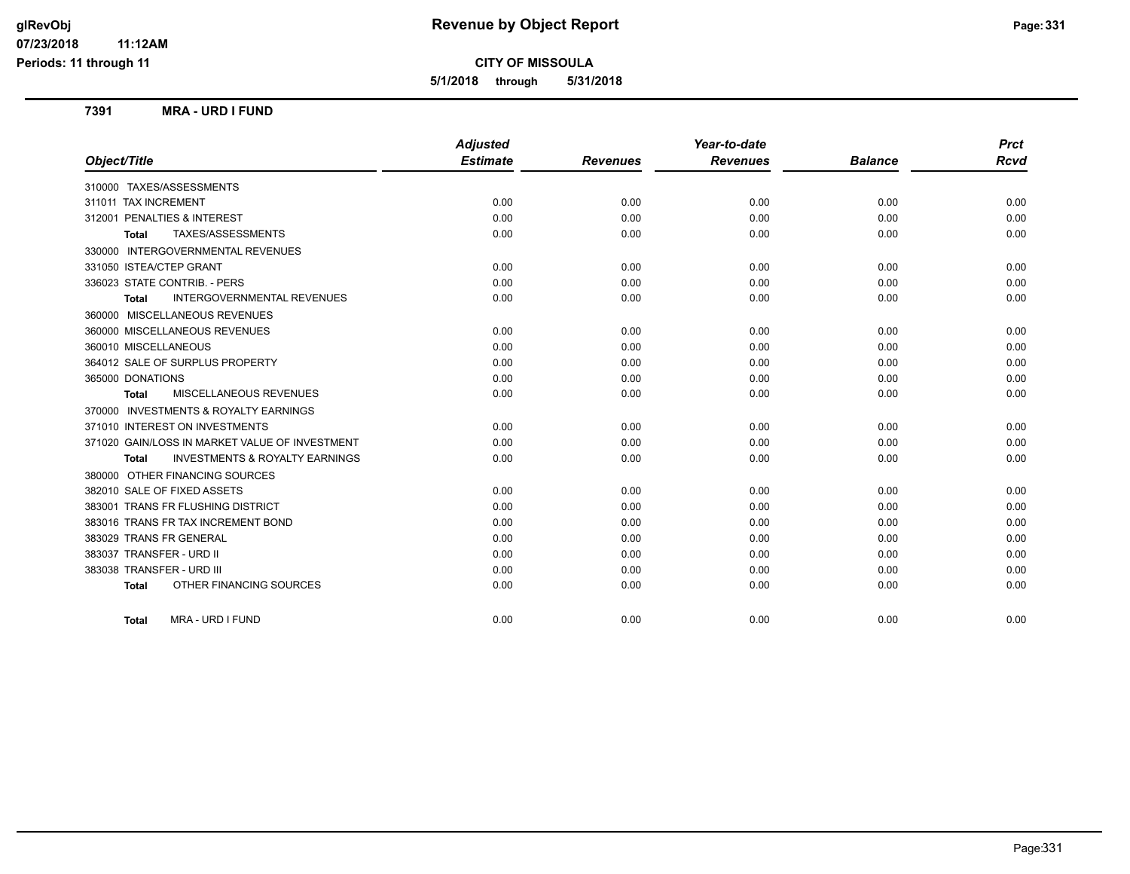**5/1/2018 through 5/31/2018**

**Periods: 11 through 11**

**11:12AM**

#### **7391 MRA - URD I FUND**

|                                                           | <b>Adjusted</b> |                 | Year-to-date    |                | Prct        |
|-----------------------------------------------------------|-----------------|-----------------|-----------------|----------------|-------------|
| Object/Title                                              | <b>Estimate</b> | <b>Revenues</b> | <b>Revenues</b> | <b>Balance</b> | <b>Rcvd</b> |
| 310000 TAXES/ASSESSMENTS                                  |                 |                 |                 |                |             |
| 311011 TAX INCREMENT                                      | 0.00            | 0.00            | 0.00            | 0.00           | 0.00        |
| 312001 PENALTIES & INTEREST                               | 0.00            | 0.00            | 0.00            | 0.00           | 0.00        |
| TAXES/ASSESSMENTS<br><b>Total</b>                         | 0.00            | 0.00            | 0.00            | 0.00           | 0.00        |
| 330000 INTERGOVERNMENTAL REVENUES                         |                 |                 |                 |                |             |
| 331050 ISTEA/CTEP GRANT                                   | 0.00            | 0.00            | 0.00            | 0.00           | 0.00        |
| 336023 STATE CONTRIB. - PERS                              | 0.00            | 0.00            | 0.00            | 0.00           | 0.00        |
| <b>INTERGOVERNMENTAL REVENUES</b><br><b>Total</b>         | 0.00            | 0.00            | 0.00            | 0.00           | 0.00        |
| 360000 MISCELLANEOUS REVENUES                             |                 |                 |                 |                |             |
| 360000 MISCELLANEOUS REVENUES                             | 0.00            | 0.00            | 0.00            | 0.00           | 0.00        |
| 360010 MISCELLANEOUS                                      | 0.00            | 0.00            | 0.00            | 0.00           | 0.00        |
| 364012 SALE OF SURPLUS PROPERTY                           | 0.00            | 0.00            | 0.00            | 0.00           | 0.00        |
| 365000 DONATIONS                                          | 0.00            | 0.00            | 0.00            | 0.00           | 0.00        |
| MISCELLANEOUS REVENUES<br><b>Total</b>                    | 0.00            | 0.00            | 0.00            | 0.00           | 0.00        |
| 370000 INVESTMENTS & ROYALTY EARNINGS                     |                 |                 |                 |                |             |
| 371010 INTEREST ON INVESTMENTS                            | 0.00            | 0.00            | 0.00            | 0.00           | 0.00        |
| 371020 GAIN/LOSS IN MARKET VALUE OF INVESTMENT            | 0.00            | 0.00            | 0.00            | 0.00           | 0.00        |
| <b>INVESTMENTS &amp; ROYALTY EARNINGS</b><br><b>Total</b> | 0.00            | 0.00            | 0.00            | 0.00           | 0.00        |
| 380000 OTHER FINANCING SOURCES                            |                 |                 |                 |                |             |
| 382010 SALE OF FIXED ASSETS                               | 0.00            | 0.00            | 0.00            | 0.00           | 0.00        |
| 383001 TRANS FR FLUSHING DISTRICT                         | 0.00            | 0.00            | 0.00            | 0.00           | 0.00        |
| 383016 TRANS FR TAX INCREMENT BOND                        | 0.00            | 0.00            | 0.00            | 0.00           | 0.00        |
| 383029 TRANS FR GENERAL                                   | 0.00            | 0.00            | 0.00            | 0.00           | 0.00        |
| 383037 TRANSFER - URD II                                  | 0.00            | 0.00            | 0.00            | 0.00           | 0.00        |
| 383038 TRANSFER - URD III                                 | 0.00            | 0.00            | 0.00            | 0.00           | 0.00        |
| OTHER FINANCING SOURCES<br><b>Total</b>                   | 0.00            | 0.00            | 0.00            | 0.00           | 0.00        |
| MRA - URD I FUND<br><b>Total</b>                          | 0.00            | 0.00            | 0.00            | 0.00           | 0.00        |
|                                                           |                 |                 |                 |                |             |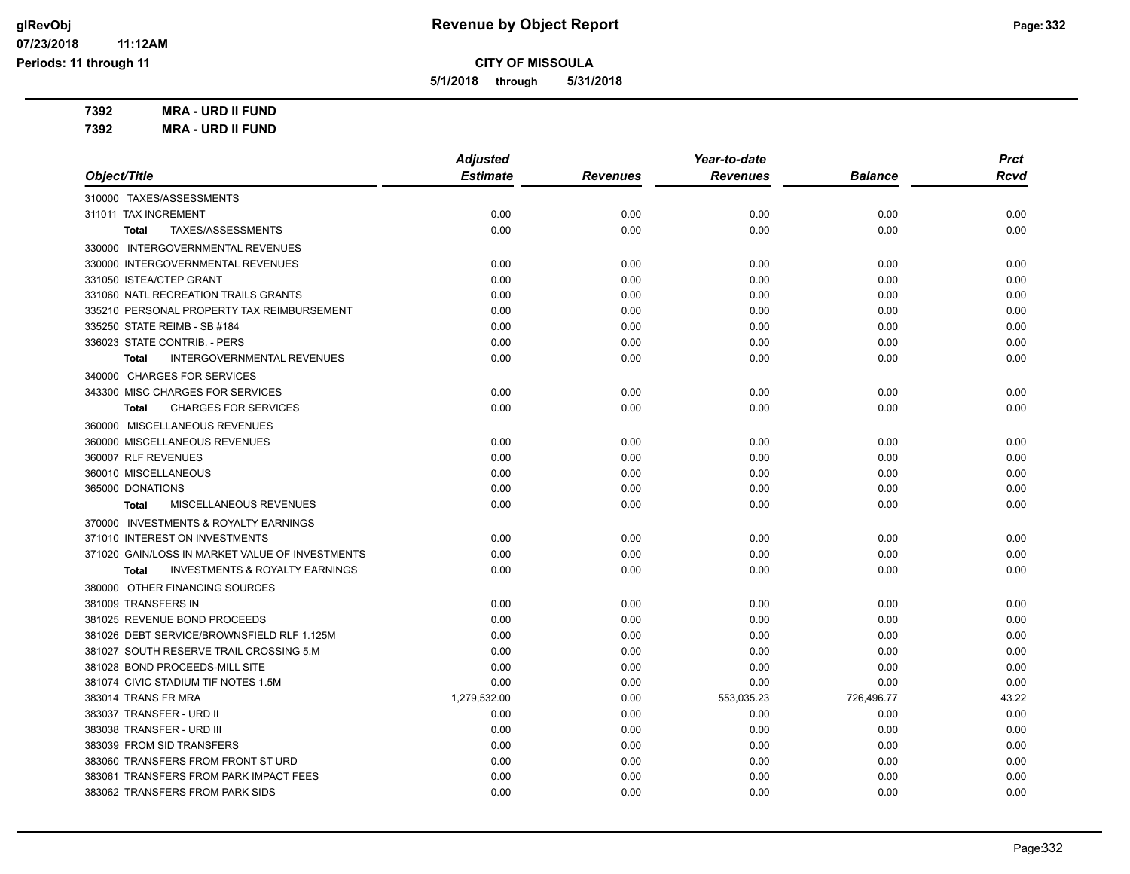**5/1/2018 through 5/31/2018**

**7392 MRA - URD II FUND**

**7392 MRA - URD II FUND**

|                                                           | <b>Adjusted</b> |                 | Year-to-date    |                | <b>Prct</b> |
|-----------------------------------------------------------|-----------------|-----------------|-----------------|----------------|-------------|
| Object/Title                                              | <b>Estimate</b> | <b>Revenues</b> | <b>Revenues</b> | <b>Balance</b> | Rcvd        |
| 310000 TAXES/ASSESSMENTS                                  |                 |                 |                 |                |             |
| 311011 TAX INCREMENT                                      | 0.00            | 0.00            | 0.00            | 0.00           | 0.00        |
| TAXES/ASSESSMENTS<br>Total                                | 0.00            | 0.00            | 0.00            | 0.00           | 0.00        |
| 330000 INTERGOVERNMENTAL REVENUES                         |                 |                 |                 |                |             |
| 330000 INTERGOVERNMENTAL REVENUES                         | 0.00            | 0.00            | 0.00            | 0.00           | 0.00        |
| 331050 ISTEA/CTEP GRANT                                   | 0.00            | 0.00            | 0.00            | 0.00           | 0.00        |
| 331060 NATL RECREATION TRAILS GRANTS                      | 0.00            | 0.00            | 0.00            | 0.00           | 0.00        |
| 335210 PERSONAL PROPERTY TAX REIMBURSEMENT                | 0.00            | 0.00            | 0.00            | 0.00           | 0.00        |
| 335250 STATE REIMB - SB #184                              | 0.00            | 0.00            | 0.00            | 0.00           | 0.00        |
| 336023 STATE CONTRIB. - PERS                              | 0.00            | 0.00            | 0.00            | 0.00           | 0.00        |
| <b>INTERGOVERNMENTAL REVENUES</b><br><b>Total</b>         | 0.00            | 0.00            | 0.00            | 0.00           | 0.00        |
| 340000 CHARGES FOR SERVICES                               |                 |                 |                 |                |             |
| 343300 MISC CHARGES FOR SERVICES                          | 0.00            | 0.00            | 0.00            | 0.00           | 0.00        |
| <b>CHARGES FOR SERVICES</b><br><b>Total</b>               | 0.00            | 0.00            | 0.00            | 0.00           | 0.00        |
| 360000 MISCELLANEOUS REVENUES                             |                 |                 |                 |                |             |
| 360000 MISCELLANEOUS REVENUES                             | 0.00            | 0.00            | 0.00            | 0.00           | 0.00        |
| 360007 RLF REVENUES                                       | 0.00            | 0.00            | 0.00            | 0.00           | 0.00        |
| 360010 MISCELLANEOUS                                      | 0.00            | 0.00            | 0.00            | 0.00           | 0.00        |
| 365000 DONATIONS                                          | 0.00            | 0.00            | 0.00            | 0.00           | 0.00        |
| MISCELLANEOUS REVENUES<br><b>Total</b>                    | 0.00            | 0.00            | 0.00            | 0.00           | 0.00        |
| 370000 INVESTMENTS & ROYALTY EARNINGS                     |                 |                 |                 |                |             |
| 371010 INTEREST ON INVESTMENTS                            | 0.00            | 0.00            | 0.00            | 0.00           | 0.00        |
| 371020 GAIN/LOSS IN MARKET VALUE OF INVESTMENTS           | 0.00            | 0.00            | 0.00            | 0.00           | 0.00        |
| <b>INVESTMENTS &amp; ROYALTY EARNINGS</b><br><b>Total</b> | 0.00            | 0.00            | 0.00            | 0.00           | 0.00        |
| 380000 OTHER FINANCING SOURCES                            |                 |                 |                 |                |             |
| 381009 TRANSFERS IN                                       | 0.00            | 0.00            | 0.00            | 0.00           | 0.00        |
| 381025 REVENUE BOND PROCEEDS                              | 0.00            | 0.00            | 0.00            | 0.00           | 0.00        |
| 381026 DEBT SERVICE/BROWNSFIELD RLF 1.125M                | 0.00            | 0.00            | 0.00            | 0.00           | 0.00        |
| 381027 SOUTH RESERVE TRAIL CROSSING 5.M                   | 0.00            | 0.00            | 0.00            | 0.00           | 0.00        |
| 381028 BOND PROCEEDS-MILL SITE                            | 0.00            | 0.00            | 0.00            | 0.00           | 0.00        |
| 381074 CIVIC STADIUM TIF NOTES 1.5M                       | 0.00            | 0.00            | 0.00            | 0.00           | 0.00        |
| 383014 TRANS FR MRA                                       | 1,279,532.00    | 0.00            | 553,035.23      | 726,496.77     | 43.22       |
| 383037 TRANSFER - URD II                                  | 0.00            | 0.00            | 0.00            | 0.00           | 0.00        |
| 383038 TRANSFER - URD III                                 | 0.00            | 0.00            | 0.00            | 0.00           | 0.00        |
| 383039 FROM SID TRANSFERS                                 | 0.00            | 0.00            | 0.00            | 0.00           | 0.00        |
| 383060 TRANSFERS FROM FRONT ST URD                        | 0.00            | 0.00            | 0.00            | 0.00           | 0.00        |
| 383061 TRANSFERS FROM PARK IMPACT FEES                    | 0.00            | 0.00            | 0.00            | 0.00           | 0.00        |
| 383062 TRANSFERS FROM PARK SIDS                           | 0.00            | 0.00            | 0.00            | 0.00           | 0.00        |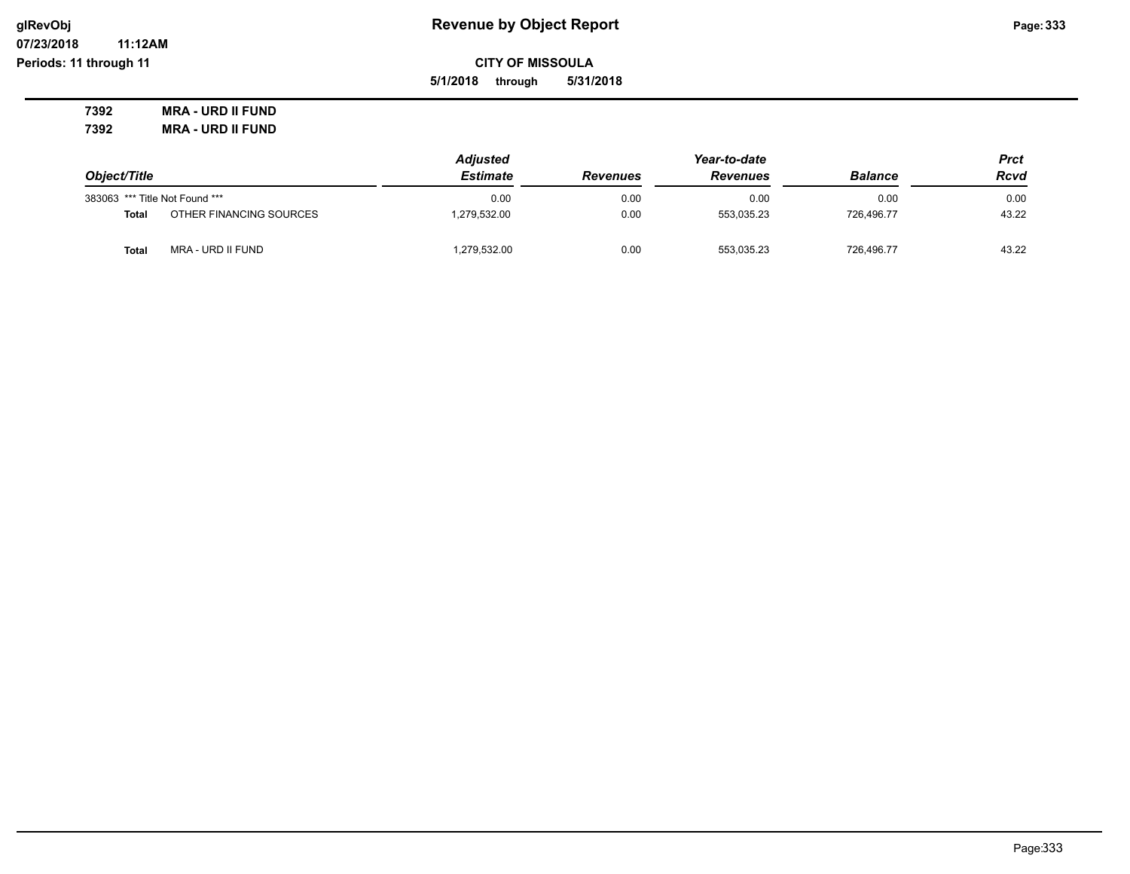**07/23/2018 11:12AM**

**Periods: 11 through 11**

**CITY OF MISSOULA**

**5/1/2018 through 5/31/2018**

**7392 MRA - URD II FUND 7392 MRA - URD II FUND**

|                                   | <b>Adjusted</b> |                 | Year-to-date    |            |       |  |
|-----------------------------------|-----------------|-----------------|-----------------|------------|-------|--|
| Object/Title                      | <b>Estimate</b> | <b>Revenues</b> | <b>Revenues</b> |            | Rcvd  |  |
| 383063 *** Title Not Found ***    | 0.00            | 0.00            | 0.00            | 0.00       | 0.00  |  |
| OTHER FINANCING SOURCES<br>Total  | 1,279,532.00    | 0.00            | 553,035.23      | 726.496.77 | 43.22 |  |
| MRA - URD II FUND<br><b>Total</b> | 1,279,532.00    | 0.00            | 553,035.23      | 726.496.77 | 43.22 |  |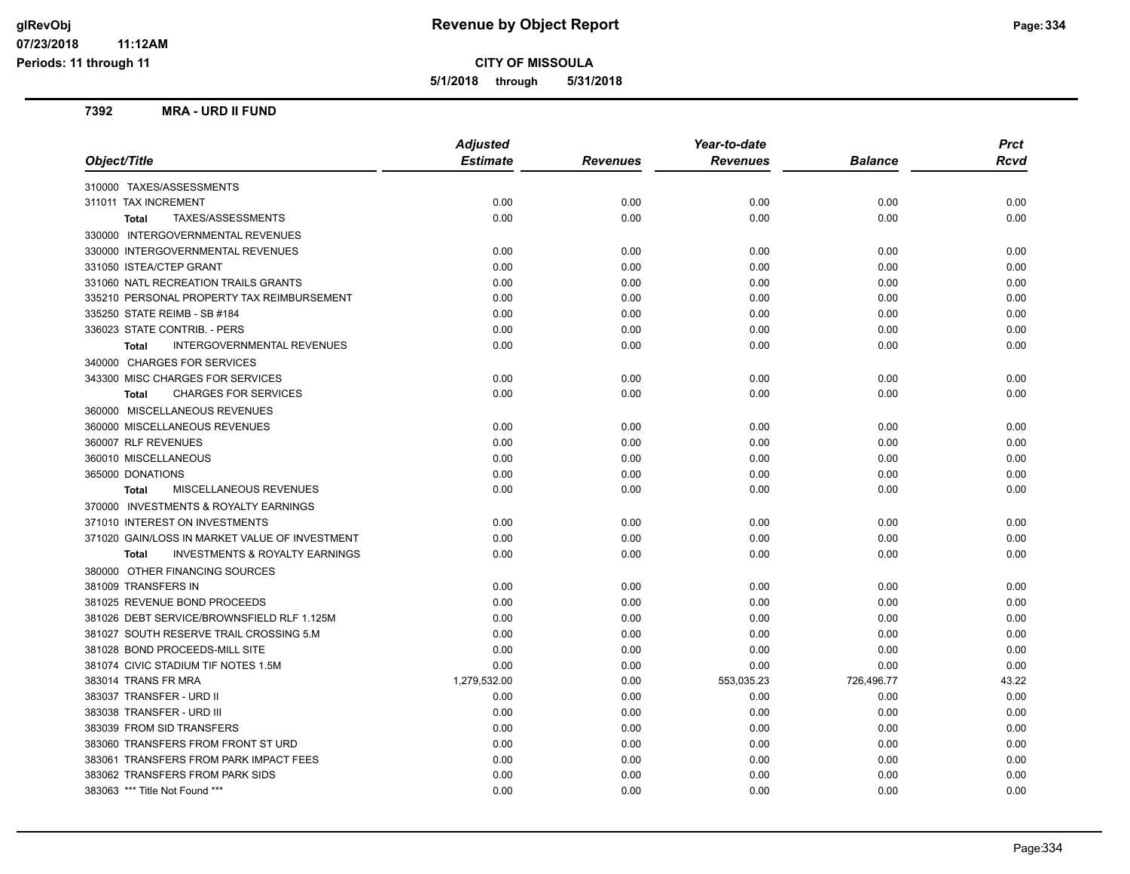**CITY OF MISSOULA**

**5/1/2018 through 5/31/2018**

**11:12AM**

**7392 MRA - URD II FUND**

|                                                           | <b>Adjusted</b> |                 | Year-to-date    |                | <b>Prct</b> |
|-----------------------------------------------------------|-----------------|-----------------|-----------------|----------------|-------------|
| Object/Title                                              | <b>Estimate</b> | <b>Revenues</b> | <b>Revenues</b> | <b>Balance</b> | Rcvd        |
| 310000 TAXES/ASSESSMENTS                                  |                 |                 |                 |                |             |
| 311011 TAX INCREMENT                                      | 0.00            | 0.00            | 0.00            | 0.00           | 0.00        |
| TAXES/ASSESSMENTS<br><b>Total</b>                         | 0.00            | 0.00            | 0.00            | 0.00           | 0.00        |
| 330000 INTERGOVERNMENTAL REVENUES                         |                 |                 |                 |                |             |
| 330000 INTERGOVERNMENTAL REVENUES                         | 0.00            | 0.00            | 0.00            | 0.00           | 0.00        |
| 331050 ISTEA/CTEP GRANT                                   | 0.00            | 0.00            | 0.00            | 0.00           | 0.00        |
| 331060 NATL RECREATION TRAILS GRANTS                      | 0.00            | 0.00            | 0.00            | 0.00           | 0.00        |
| 335210 PERSONAL PROPERTY TAX REIMBURSEMENT                | 0.00            | 0.00            | 0.00            | 0.00           | 0.00        |
| 335250 STATE REIMB - SB #184                              | 0.00            | 0.00            | 0.00            | 0.00           | 0.00        |
| 336023 STATE CONTRIB. - PERS                              | 0.00            | 0.00            | 0.00            | 0.00           | 0.00        |
| <b>Total</b><br><b>INTERGOVERNMENTAL REVENUES</b>         | 0.00            | 0.00            | 0.00            | 0.00           | 0.00        |
| 340000 CHARGES FOR SERVICES                               |                 |                 |                 |                |             |
| 343300 MISC CHARGES FOR SERVICES                          | 0.00            | 0.00            | 0.00            | 0.00           | 0.00        |
| <b>CHARGES FOR SERVICES</b><br><b>Total</b>               | 0.00            | 0.00            | 0.00            | 0.00           | 0.00        |
| 360000 MISCELLANEOUS REVENUES                             |                 |                 |                 |                |             |
| 360000 MISCELLANEOUS REVENUES                             | 0.00            | 0.00            | 0.00            | 0.00           | 0.00        |
| 360007 RLF REVENUES                                       | 0.00            | 0.00            | 0.00            | 0.00           | 0.00        |
| 360010 MISCELLANEOUS                                      | 0.00            | 0.00            | 0.00            | 0.00           | 0.00        |
| 365000 DONATIONS                                          | 0.00            | 0.00            | 0.00            | 0.00           | 0.00        |
| MISCELLANEOUS REVENUES<br><b>Total</b>                    | 0.00            | 0.00            | 0.00            | 0.00           | 0.00        |
| 370000 INVESTMENTS & ROYALTY EARNINGS                     |                 |                 |                 |                |             |
| 371010 INTEREST ON INVESTMENTS                            | 0.00            | 0.00            | 0.00            | 0.00           | 0.00        |
| 371020 GAIN/LOSS IN MARKET VALUE OF INVESTMENT            | 0.00            | 0.00            | 0.00            | 0.00           | 0.00        |
| <b>INVESTMENTS &amp; ROYALTY EARNINGS</b><br><b>Total</b> | 0.00            | 0.00            | 0.00            | 0.00           | 0.00        |
| 380000 OTHER FINANCING SOURCES                            |                 |                 |                 |                |             |
| 381009 TRANSFERS IN                                       | 0.00            | 0.00            | 0.00            | 0.00           | 0.00        |
| 381025 REVENUE BOND PROCEEDS                              | 0.00            | 0.00            | 0.00            | 0.00           | 0.00        |
| 381026 DEBT SERVICE/BROWNSFIELD RLF 1.125M                | 0.00            | 0.00            | 0.00            | 0.00           | 0.00        |
| 381027 SOUTH RESERVE TRAIL CROSSING 5.M                   | 0.00            | 0.00            | 0.00            | 0.00           | 0.00        |
| 381028 BOND PROCEEDS-MILL SITE                            | 0.00            | 0.00            | 0.00            | 0.00           | 0.00        |
| 381074 CIVIC STADIUM TIF NOTES 1.5M                       | 0.00            | 0.00            | 0.00            | 0.00           | 0.00        |
| 383014 TRANS FR MRA                                       | 1,279,532.00    | 0.00            | 553,035.23      | 726,496.77     | 43.22       |
| 383037 TRANSFER - URD II                                  | 0.00            | 0.00            | 0.00            | 0.00           | 0.00        |
| 383038 TRANSFER - URD III                                 | 0.00            | 0.00            | 0.00            | 0.00           | 0.00        |
| 383039 FROM SID TRANSFERS                                 | 0.00            | 0.00            | 0.00            | 0.00           | 0.00        |
| 383060 TRANSFERS FROM FRONT ST URD                        | 0.00            | 0.00            | 0.00            | 0.00           | 0.00        |
| 383061 TRANSFERS FROM PARK IMPACT FEES                    | 0.00            | 0.00            | 0.00            | 0.00           | 0.00        |
| 383062 TRANSFERS FROM PARK SIDS                           | 0.00            | 0.00            | 0.00            | 0.00           | 0.00        |
| 383063 *** Title Not Found ***                            | 0.00            | 0.00            | 0.00            | 0.00           | 0.00        |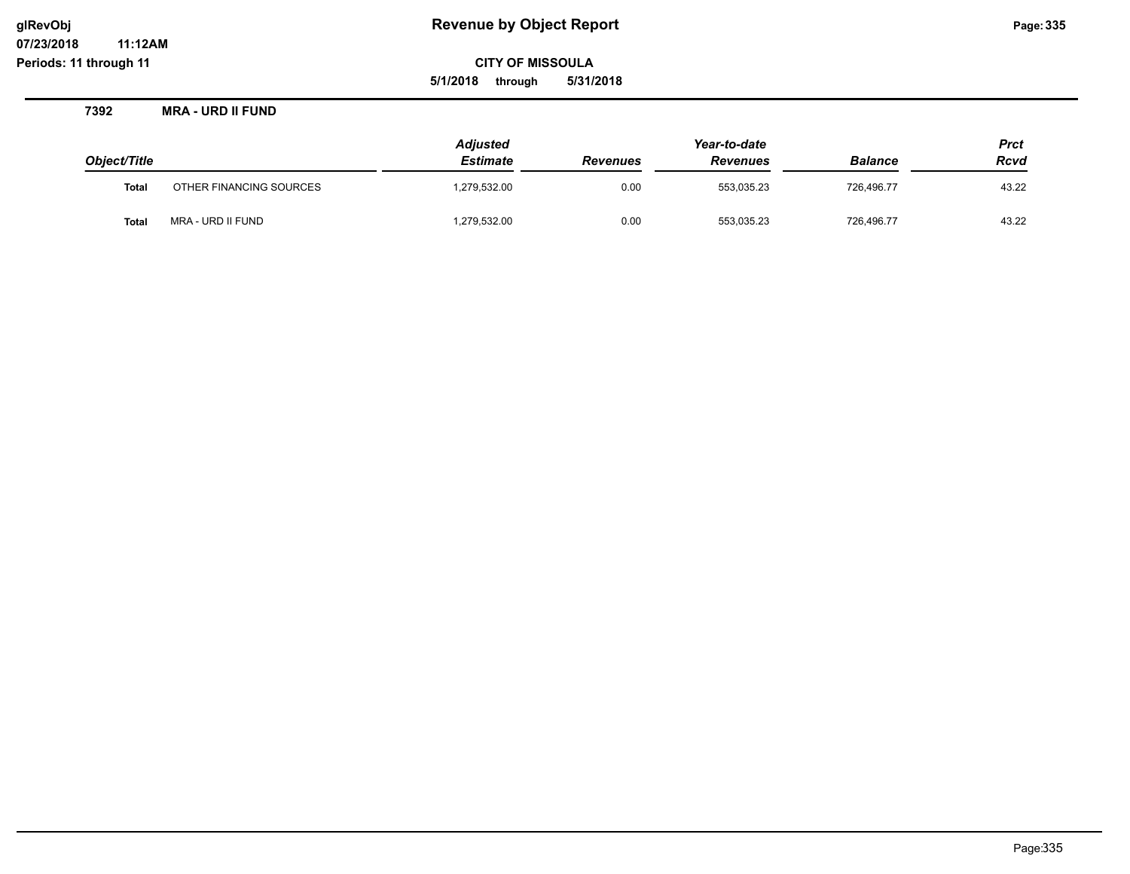**07/23/2018 11:12AM Periods: 11 through 11**

**CITY OF MISSOULA**

**5/1/2018 through 5/31/2018**

**7392 MRA - URD II FUND**

|              |                         | <b>Adjusted</b> |                 | Year-to-date    |                | <b>Prct</b> |
|--------------|-------------------------|-----------------|-----------------|-----------------|----------------|-------------|
| Object/Title |                         | Estimate        | <b>Revenues</b> | <b>Revenues</b> | <b>Balance</b> | <b>Rcvd</b> |
| <b>Total</b> | OTHER FINANCING SOURCES | 1,279,532.00    | 0.00            | 553,035.23      | 726.496.77     | 43.22       |
| Total        | MRA - URD II FUND       | 1,279,532.00    | 0.00            | 553,035.23      | 726,496.77     | 43.22       |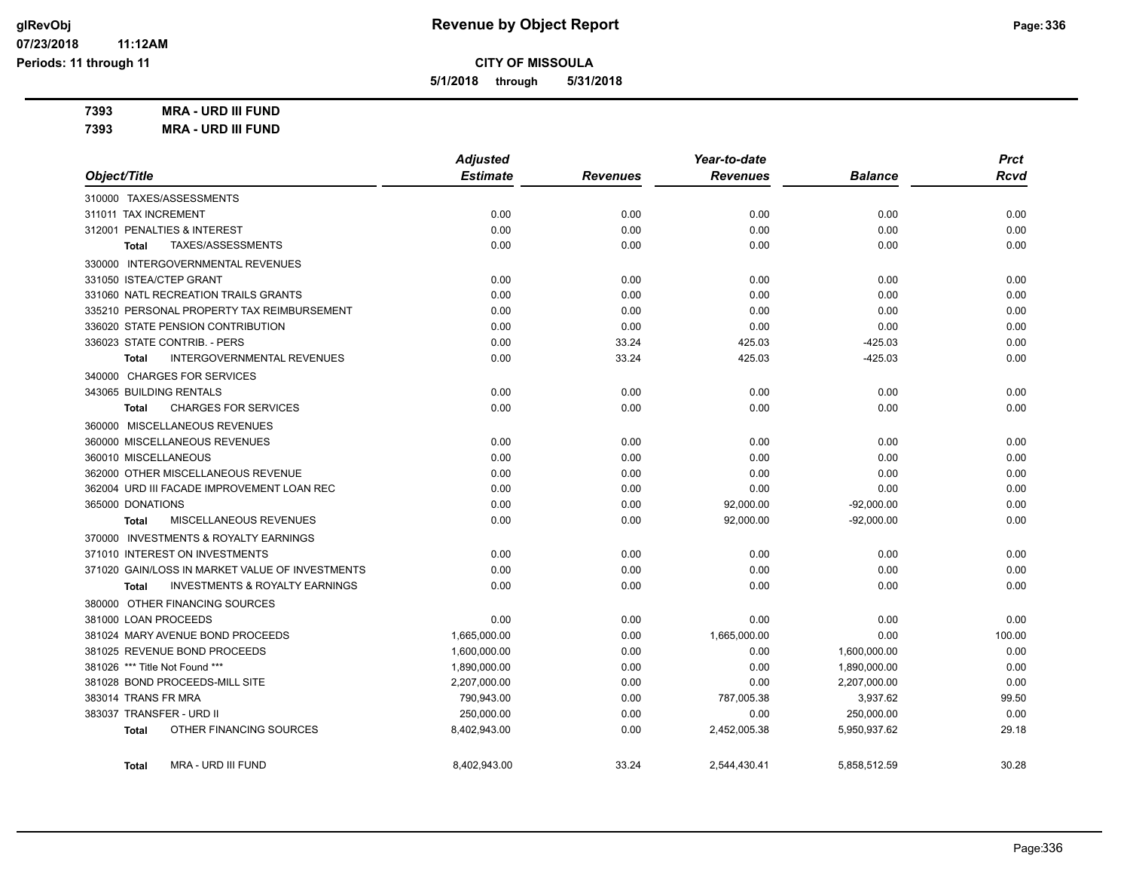**5/1/2018 through 5/31/2018**

**7393 MRA - URD III FUND**

**7393 MRA - URD III FUND**

|                                                           | <b>Adjusted</b> |                 | Year-to-date    |                | <b>Prct</b> |
|-----------------------------------------------------------|-----------------|-----------------|-----------------|----------------|-------------|
| Object/Title                                              | <b>Estimate</b> | <b>Revenues</b> | <b>Revenues</b> | <b>Balance</b> | <b>Rcvd</b> |
| 310000 TAXES/ASSESSMENTS                                  |                 |                 |                 |                |             |
| 311011 TAX INCREMENT                                      | 0.00            | 0.00            | 0.00            | 0.00           | 0.00        |
| 312001 PENALTIES & INTEREST                               | 0.00            | 0.00            | 0.00            | 0.00           | 0.00        |
| TAXES/ASSESSMENTS<br><b>Total</b>                         | 0.00            | 0.00            | 0.00            | 0.00           | 0.00        |
| 330000 INTERGOVERNMENTAL REVENUES                         |                 |                 |                 |                |             |
| 331050 ISTEA/CTEP GRANT                                   | 0.00            | 0.00            | 0.00            | 0.00           | 0.00        |
| 331060 NATL RECREATION TRAILS GRANTS                      | 0.00            | 0.00            | 0.00            | 0.00           | 0.00        |
| 335210 PERSONAL PROPERTY TAX REIMBURSEMENT                | 0.00            | 0.00            | 0.00            | 0.00           | 0.00        |
| 336020 STATE PENSION CONTRIBUTION                         | 0.00            | 0.00            | 0.00            | 0.00           | 0.00        |
| 336023 STATE CONTRIB. - PERS                              | 0.00            | 33.24           | 425.03          | $-425.03$      | 0.00        |
| <b>INTERGOVERNMENTAL REVENUES</b><br>Total                | 0.00            | 33.24           | 425.03          | $-425.03$      | 0.00        |
| 340000 CHARGES FOR SERVICES                               |                 |                 |                 |                |             |
| 343065 BUILDING RENTALS                                   | 0.00            | 0.00            | 0.00            | 0.00           | 0.00        |
| <b>CHARGES FOR SERVICES</b><br><b>Total</b>               | 0.00            | 0.00            | 0.00            | 0.00           | 0.00        |
| 360000 MISCELLANEOUS REVENUES                             |                 |                 |                 |                |             |
| 360000 MISCELLANEOUS REVENUES                             | 0.00            | 0.00            | 0.00            | 0.00           | 0.00        |
| 360010 MISCELLANEOUS                                      | 0.00            | 0.00            | 0.00            | 0.00           | 0.00        |
| 362000 OTHER MISCELLANEOUS REVENUE                        | 0.00            | 0.00            | 0.00            | 0.00           | 0.00        |
| 362004 URD III FACADE IMPROVEMENT LOAN REC                | 0.00            | 0.00            | 0.00            | 0.00           | 0.00        |
| 365000 DONATIONS                                          | 0.00            | 0.00            | 92,000.00       | $-92,000.00$   | 0.00        |
| MISCELLANEOUS REVENUES<br><b>Total</b>                    | 0.00            | 0.00            | 92,000.00       | $-92,000.00$   | 0.00        |
| 370000 INVESTMENTS & ROYALTY EARNINGS                     |                 |                 |                 |                |             |
| 371010 INTEREST ON INVESTMENTS                            | 0.00            | 0.00            | 0.00            | 0.00           | 0.00        |
| 371020 GAIN/LOSS IN MARKET VALUE OF INVESTMENTS           | 0.00            | 0.00            | 0.00            | 0.00           | 0.00        |
| <b>INVESTMENTS &amp; ROYALTY EARNINGS</b><br><b>Total</b> | 0.00            | 0.00            | 0.00            | 0.00           | 0.00        |
| 380000 OTHER FINANCING SOURCES                            |                 |                 |                 |                |             |
| 381000 LOAN PROCEEDS                                      | 0.00            | 0.00            | 0.00            | 0.00           | 0.00        |
| 381024 MARY AVENUE BOND PROCEEDS                          | 1,665,000.00    | 0.00            | 1,665,000.00    | 0.00           | 100.00      |
| 381025 REVENUE BOND PROCEEDS                              | 1,600,000.00    | 0.00            | 0.00            | 1,600,000.00   | 0.00        |
| 381026 *** Title Not Found ***                            | 1,890,000.00    | 0.00            | 0.00            | 1,890,000.00   | 0.00        |
| 381028 BOND PROCEEDS-MILL SITE                            | 2,207,000.00    | 0.00            | 0.00            | 2,207,000.00   | 0.00        |
| 383014 TRANS FR MRA                                       | 790,943.00      | 0.00            | 787,005.38      | 3,937.62       | 99.50       |
| 383037 TRANSFER - URD II                                  | 250,000.00      | 0.00            | 0.00            | 250,000.00     | 0.00        |
| OTHER FINANCING SOURCES<br><b>Total</b>                   | 8,402,943.00    | 0.00            | 2,452,005.38    | 5,950,937.62   | 29.18       |
| MRA - URD III FUND<br><b>Total</b>                        | 8,402,943.00    | 33.24           | 2,544,430.41    | 5,858,512.59   | 30.28       |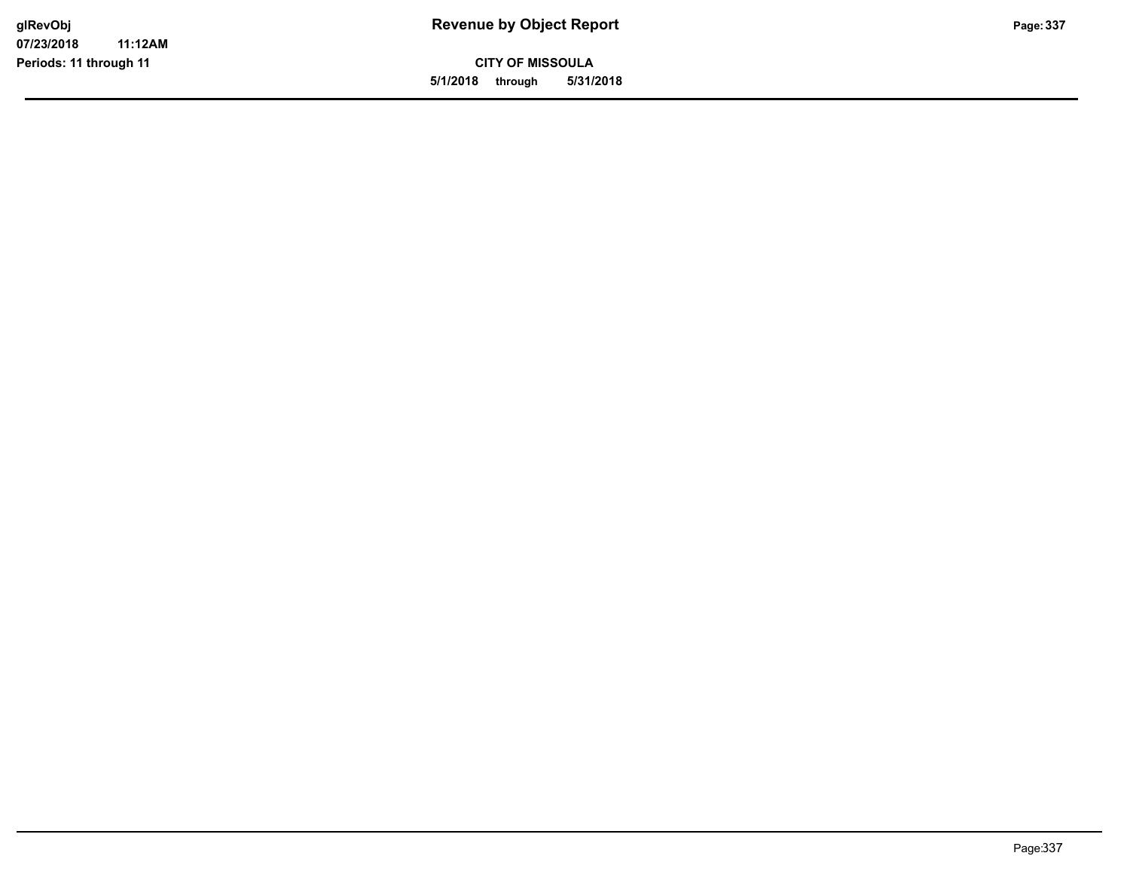**CITY OF MISSOULA 5/1/2018 through 5/31/2018**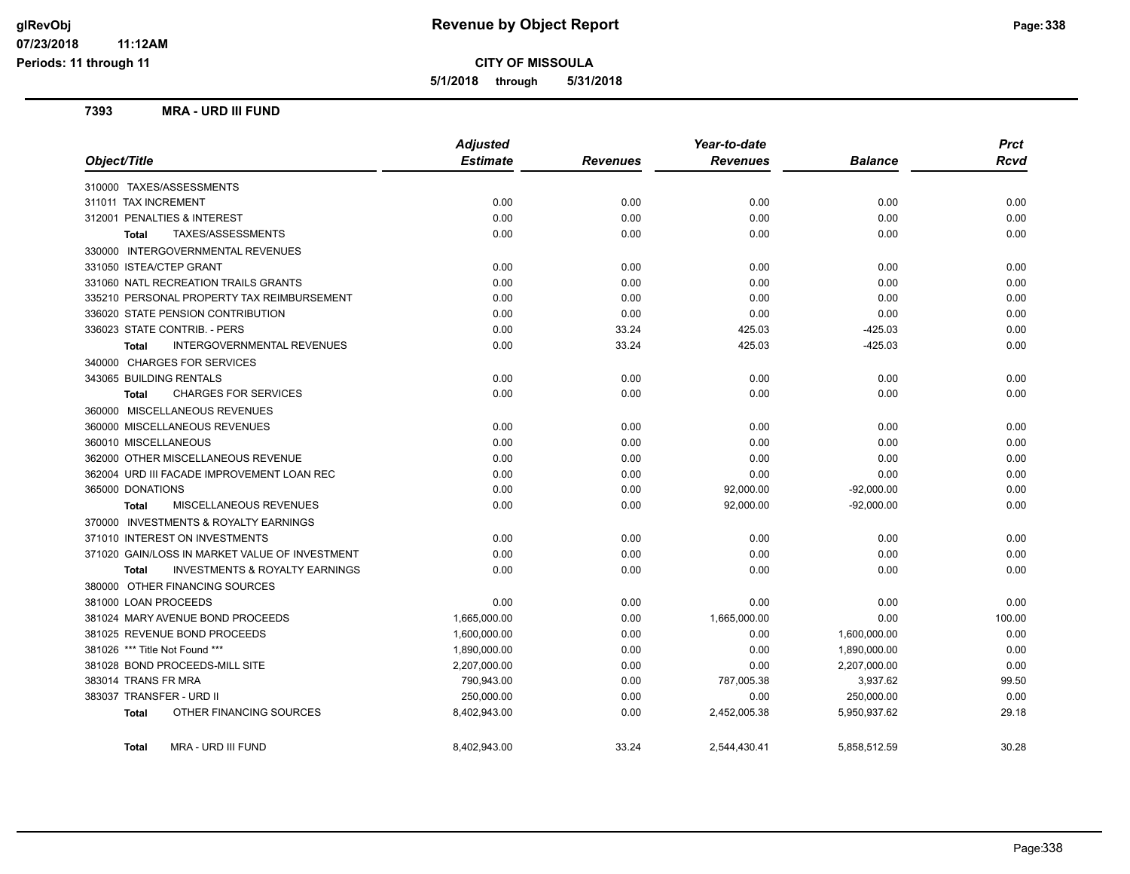**CITY OF MISSOULA**

**5/1/2018 through 5/31/2018**

**11:12AM**

**7393 MRA - URD III FUND**

|                                                           | <b>Adjusted</b> |                 | Year-to-date    |                | <b>Prct</b> |
|-----------------------------------------------------------|-----------------|-----------------|-----------------|----------------|-------------|
| Object/Title                                              | <b>Estimate</b> | <b>Revenues</b> | <b>Revenues</b> | <b>Balance</b> | <b>Rcvd</b> |
| 310000 TAXES/ASSESSMENTS                                  |                 |                 |                 |                |             |
| 311011 TAX INCREMENT                                      | 0.00            | 0.00            | 0.00            | 0.00           | 0.00        |
| 312001 PENALTIES & INTEREST                               | 0.00            | 0.00            | 0.00            | 0.00           | 0.00        |
| TAXES/ASSESSMENTS<br>Total                                | 0.00            | 0.00            | 0.00            | 0.00           | 0.00        |
| 330000 INTERGOVERNMENTAL REVENUES                         |                 |                 |                 |                |             |
| 331050 ISTEA/CTEP GRANT                                   | 0.00            | 0.00            | 0.00            | 0.00           | 0.00        |
| 331060 NATL RECREATION TRAILS GRANTS                      | 0.00            | 0.00            | 0.00            | 0.00           | 0.00        |
| 335210 PERSONAL PROPERTY TAX REIMBURSEMENT                | 0.00            | 0.00            | 0.00            | 0.00           | 0.00        |
| 336020 STATE PENSION CONTRIBUTION                         | 0.00            | 0.00            | 0.00            | 0.00           | 0.00        |
| 336023 STATE CONTRIB. - PERS                              | 0.00            | 33.24           | 425.03          | $-425.03$      | 0.00        |
| <b>INTERGOVERNMENTAL REVENUES</b><br>Total                | 0.00            | 33.24           | 425.03          | $-425.03$      | 0.00        |
| 340000 CHARGES FOR SERVICES                               |                 |                 |                 |                |             |
| 343065 BUILDING RENTALS                                   | 0.00            | 0.00            | 0.00            | 0.00           | 0.00        |
| <b>CHARGES FOR SERVICES</b><br><b>Total</b>               | 0.00            | 0.00            | 0.00            | 0.00           | 0.00        |
| 360000 MISCELLANEOUS REVENUES                             |                 |                 |                 |                |             |
| 360000 MISCELLANEOUS REVENUES                             | 0.00            | 0.00            | 0.00            | 0.00           | 0.00        |
| 360010 MISCELLANEOUS                                      | 0.00            | 0.00            | 0.00            | 0.00           | 0.00        |
| 362000 OTHER MISCELLANEOUS REVENUE                        | 0.00            | 0.00            | 0.00            | 0.00           | 0.00        |
| 362004 URD III FACADE IMPROVEMENT LOAN REC                | 0.00            | 0.00            | 0.00            | 0.00           | 0.00        |
| 365000 DONATIONS                                          | 0.00            | 0.00            | 92,000.00       | $-92,000.00$   | 0.00        |
| MISCELLANEOUS REVENUES<br><b>Total</b>                    | 0.00            | 0.00            | 92,000.00       | $-92,000.00$   | 0.00        |
| 370000 INVESTMENTS & ROYALTY EARNINGS                     |                 |                 |                 |                |             |
| 371010 INTEREST ON INVESTMENTS                            | 0.00            | 0.00            | 0.00            | 0.00           | 0.00        |
| 371020 GAIN/LOSS IN MARKET VALUE OF INVESTMENT            | 0.00            | 0.00            | 0.00            | 0.00           | 0.00        |
| <b>INVESTMENTS &amp; ROYALTY EARNINGS</b><br><b>Total</b> | 0.00            | 0.00            | 0.00            | 0.00           | 0.00        |
| 380000 OTHER FINANCING SOURCES                            |                 |                 |                 |                |             |
| 381000 LOAN PROCEEDS                                      | 0.00            | 0.00            | 0.00            | 0.00           | 0.00        |
| 381024 MARY AVENUE BOND PROCEEDS                          | 1,665,000.00    | 0.00            | 1,665,000.00    | 0.00           | 100.00      |
| 381025 REVENUE BOND PROCEEDS                              | 1,600,000.00    | 0.00            | 0.00            | 1,600,000.00   | 0.00        |
| 381026 *** Title Not Found ***                            | 1,890,000.00    | 0.00            | 0.00            | 1,890,000.00   | 0.00        |
| 381028 BOND PROCEEDS-MILL SITE                            | 2,207,000.00    | 0.00            | 0.00            | 2,207,000.00   | 0.00        |
| 383014 TRANS FR MRA                                       | 790,943.00      | 0.00            | 787,005.38      | 3,937.62       | 99.50       |
| 383037 TRANSFER - URD II                                  | 250,000.00      | 0.00            | 0.00            | 250,000.00     | 0.00        |
| OTHER FINANCING SOURCES<br>Total                          | 8,402,943.00    | 0.00            | 2,452,005.38    | 5,950,937.62   | 29.18       |
| MRA - URD III FUND<br><b>Total</b>                        | 8,402,943.00    | 33.24           | 2,544,430.41    | 5,858,512.59   | 30.28       |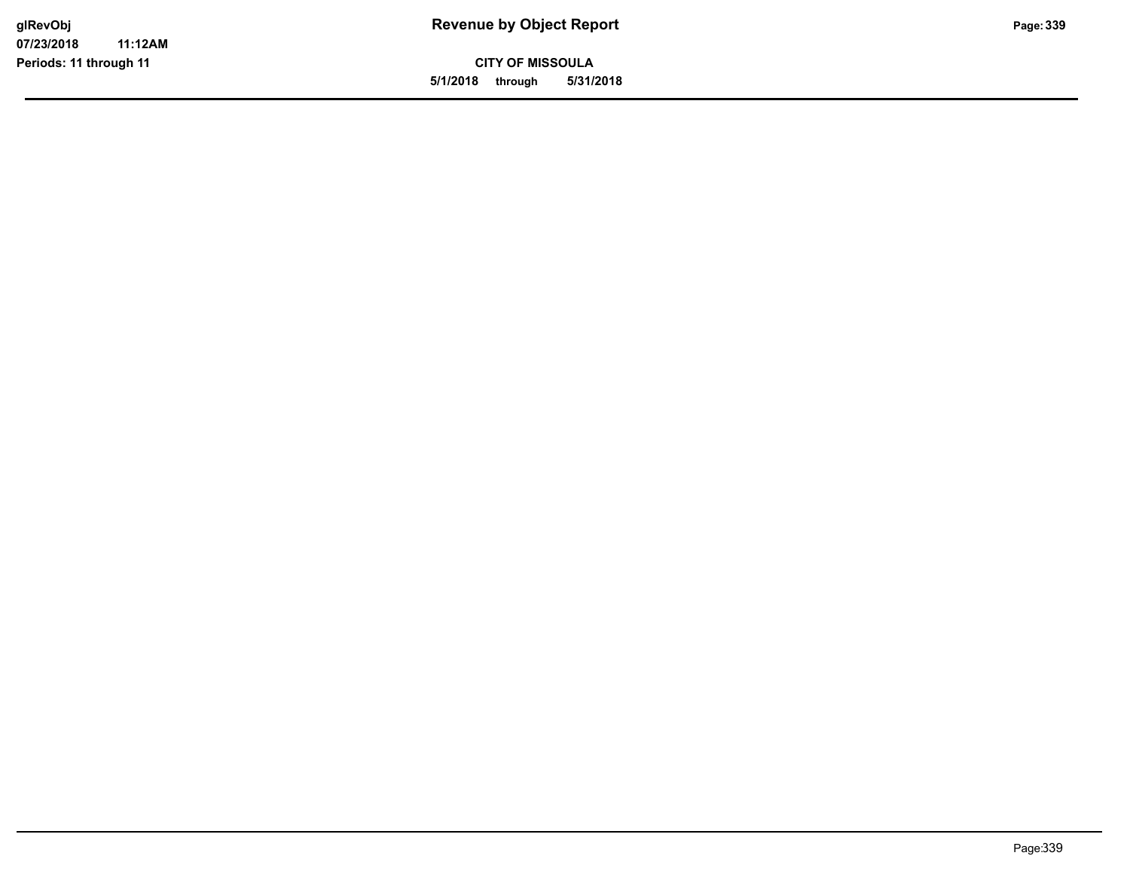**CITY OF MISSOULA 5/1/2018 through 5/31/2018**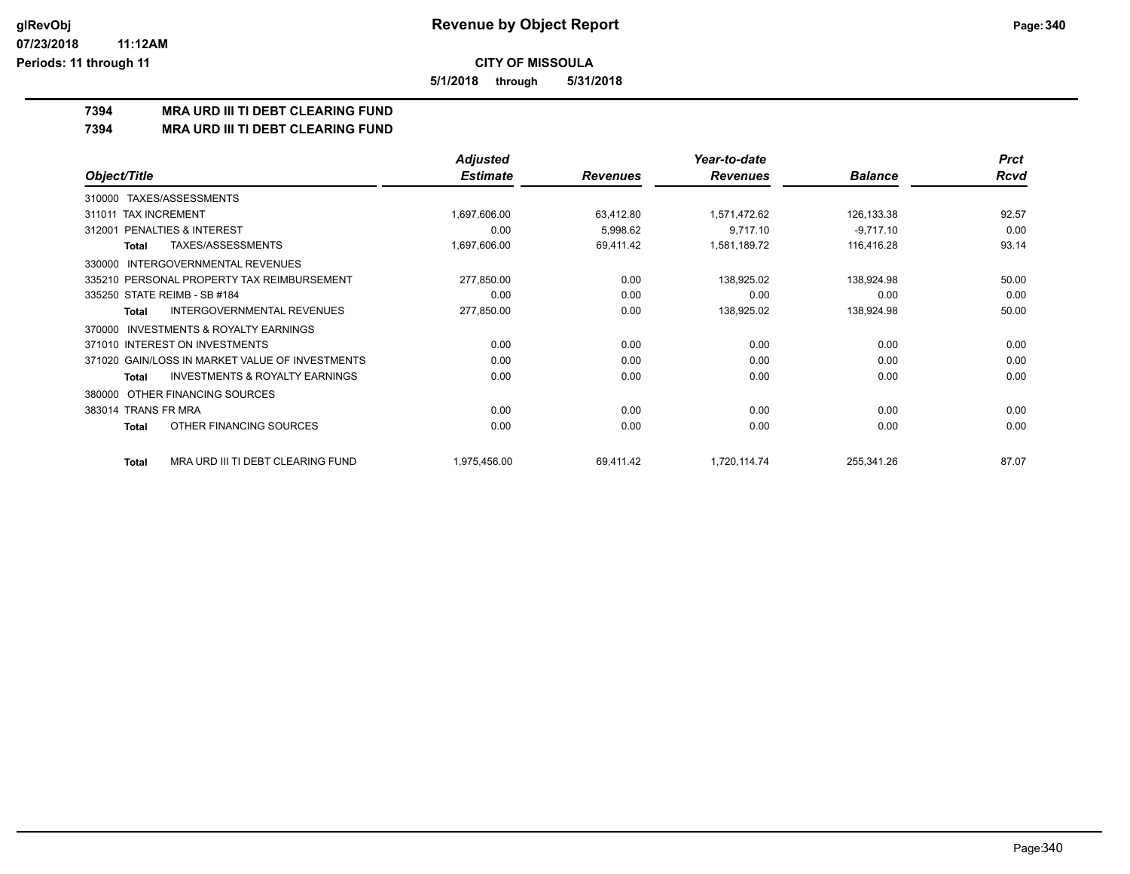**5/1/2018 through 5/31/2018**

## **7394 MRA URD III TI DEBT CLEARING FUND**

**7394 MRA URD III TI DEBT CLEARING FUND**

|                                                           | <b>Adjusted</b> |                 | Year-to-date    |                | <b>Prct</b> |
|-----------------------------------------------------------|-----------------|-----------------|-----------------|----------------|-------------|
| Object/Title                                              | <b>Estimate</b> | <b>Revenues</b> | <b>Revenues</b> | <b>Balance</b> | Rcvd        |
| TAXES/ASSESSMENTS<br>310000                               |                 |                 |                 |                |             |
| 311011 TAX INCREMENT                                      | 1,697,606.00    | 63,412.80       | 1,571,472.62    | 126,133.38     | 92.57       |
| PENALTIES & INTEREST<br>312001                            | 0.00            | 5,998.62        | 9.717.10        | $-9,717.10$    | 0.00        |
| TAXES/ASSESSMENTS<br><b>Total</b>                         | 1,697,606.00    | 69,411.42       | 1,581,189.72    | 116,416.28     | 93.14       |
| INTERGOVERNMENTAL REVENUES<br>330000                      |                 |                 |                 |                |             |
| 335210 PERSONAL PROPERTY TAX REIMBURSEMENT                | 277,850.00      | 0.00            | 138,925.02      | 138,924.98     | 50.00       |
| 335250 STATE REIMB - SB #184                              | 0.00            | 0.00            | 0.00            | 0.00           | 0.00        |
| <b>INTERGOVERNMENTAL REVENUES</b><br>Total                | 277,850.00      | 0.00            | 138,925.02      | 138,924.98     | 50.00       |
| INVESTMENTS & ROYALTY EARNINGS<br>370000                  |                 |                 |                 |                |             |
| 371010 INTEREST ON INVESTMENTS                            | 0.00            | 0.00            | 0.00            | 0.00           | 0.00        |
| 371020 GAIN/LOSS IN MARKET VALUE OF INVESTMENTS           | 0.00            | 0.00            | 0.00            | 0.00           | 0.00        |
| <b>INVESTMENTS &amp; ROYALTY EARNINGS</b><br><b>Total</b> | 0.00            | 0.00            | 0.00            | 0.00           | 0.00        |
| OTHER FINANCING SOURCES<br>380000                         |                 |                 |                 |                |             |
| 383014 TRANS FR MRA                                       | 0.00            | 0.00            | 0.00            | 0.00           | 0.00        |
| OTHER FINANCING SOURCES<br><b>Total</b>                   | 0.00            | 0.00            | 0.00            | 0.00           | 0.00        |
| MRA URD III TI DEBT CLEARING FUND<br>Total                | 1,975,456.00    | 69,411.42       | 1,720,114.74    | 255,341.26     | 87.07       |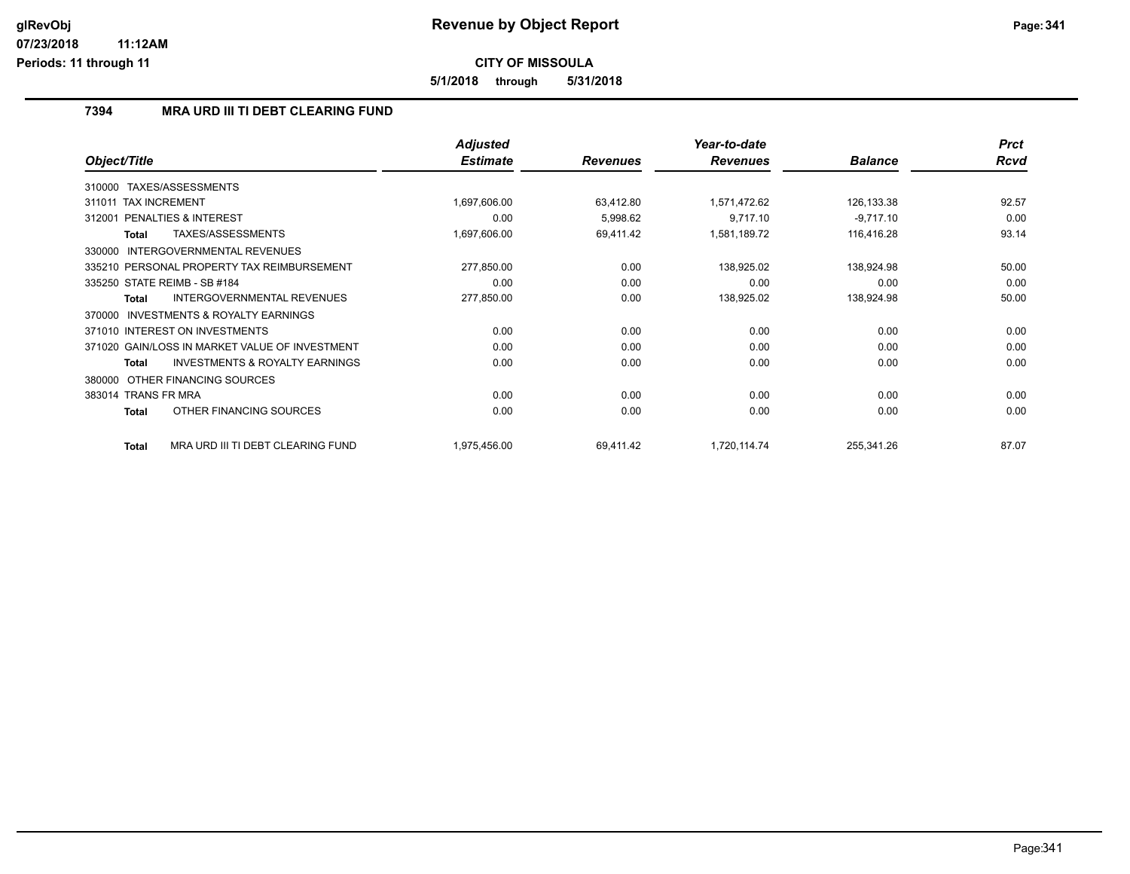**5/1/2018 through 5/31/2018**

### **7394 MRA URD III TI DEBT CLEARING FUND**

|                                                           | <b>Adjusted</b> |                 | Year-to-date    |                | <b>Prct</b> |
|-----------------------------------------------------------|-----------------|-----------------|-----------------|----------------|-------------|
| Object/Title                                              | <b>Estimate</b> | <b>Revenues</b> | <b>Revenues</b> | <b>Balance</b> | <b>Rcvd</b> |
| 310000 TAXES/ASSESSMENTS                                  |                 |                 |                 |                |             |
| 311011 TAX INCREMENT                                      | 1,697,606.00    | 63,412.80       | 1,571,472.62    | 126,133.38     | 92.57       |
| 312001 PENALTIES & INTEREST                               | 0.00            | 5,998.62        | 9,717.10        | $-9,717.10$    | 0.00        |
| TAXES/ASSESSMENTS<br><b>Total</b>                         | 1,697,606.00    | 69,411.42       | 1,581,189.72    | 116,416.28     | 93.14       |
| INTERGOVERNMENTAL REVENUES<br>330000                      |                 |                 |                 |                |             |
| 335210 PERSONAL PROPERTY TAX REIMBURSEMENT                | 277,850.00      | 0.00            | 138,925.02      | 138,924.98     | 50.00       |
| 335250 STATE REIMB - SB #184                              | 0.00            | 0.00            | 0.00            | 0.00           | 0.00        |
| <b>INTERGOVERNMENTAL REVENUES</b><br>Total                | 277,850.00      | 0.00            | 138,925.02      | 138,924.98     | 50.00       |
| INVESTMENTS & ROYALTY EARNINGS<br>370000                  |                 |                 |                 |                |             |
| 371010 INTEREST ON INVESTMENTS                            | 0.00            | 0.00            | 0.00            | 0.00           | 0.00        |
| 371020 GAIN/LOSS IN MARKET VALUE OF INVESTMENT            | 0.00            | 0.00            | 0.00            | 0.00           | 0.00        |
| <b>INVESTMENTS &amp; ROYALTY EARNINGS</b><br><b>Total</b> | 0.00            | 0.00            | 0.00            | 0.00           | 0.00        |
| OTHER FINANCING SOURCES<br>380000                         |                 |                 |                 |                |             |
| 383014 TRANS FR MRA                                       | 0.00            | 0.00            | 0.00            | 0.00           | 0.00        |
| OTHER FINANCING SOURCES<br><b>Total</b>                   | 0.00            | 0.00            | 0.00            | 0.00           | 0.00        |
| MRA URD III TI DEBT CLEARING FUND<br>Total                | 1,975,456.00    | 69,411.42       | 1,720,114.74    | 255,341.26     | 87.07       |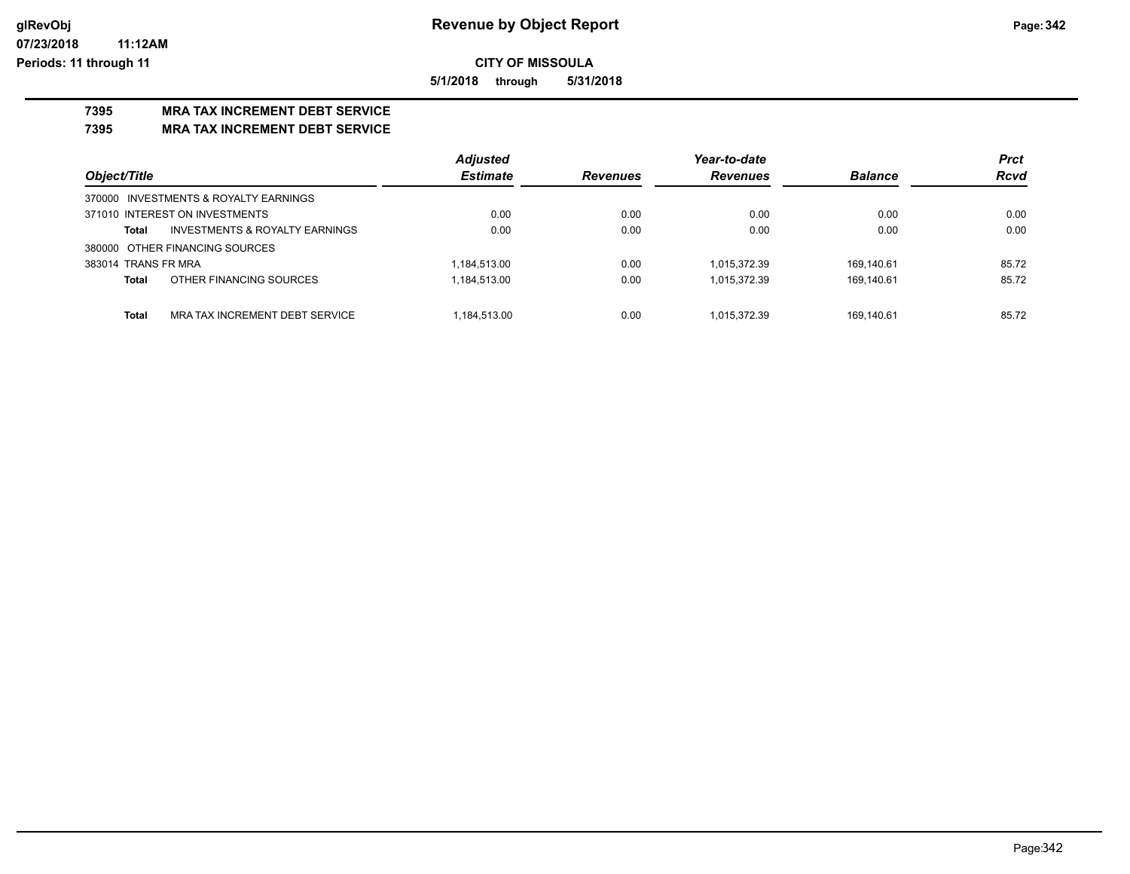**5/1/2018 through 5/31/2018**

# **7395 MRA TAX INCREMENT DEBT SERVICE**

## **7395 MRA TAX INCREMENT DEBT SERVICE**

|                                                    | <b>Adjusted</b> |                 | Year-to-date    |                | <b>Prct</b> |
|----------------------------------------------------|-----------------|-----------------|-----------------|----------------|-------------|
| Object/Title                                       | <b>Estimate</b> | <b>Revenues</b> | <b>Revenues</b> | <b>Balance</b> | <b>Rcvd</b> |
| 370000 INVESTMENTS & ROYALTY EARNINGS              |                 |                 |                 |                |             |
| 371010 INTEREST ON INVESTMENTS                     | 0.00            | 0.00            | 0.00            | 0.00           | 0.00        |
| <b>INVESTMENTS &amp; ROYALTY EARNINGS</b><br>Total | 0.00            | 0.00            | 0.00            | 0.00           | 0.00        |
| 380000 OTHER FINANCING SOURCES                     |                 |                 |                 |                |             |
| 383014 TRANS FR MRA                                | 1,184,513.00    | 0.00            | 1.015.372.39    | 169,140.61     | 85.72       |
| OTHER FINANCING SOURCES<br>Total                   | 1,184,513.00    | 0.00            | 1,015,372.39    | 169,140.61     | 85.72       |
|                                                    |                 |                 |                 |                |             |
| MRA TAX INCREMENT DEBT SERVICE<br>Total            | 1.184.513.00    | 0.00            | 1.015.372.39    | 169.140.61     | 85.72       |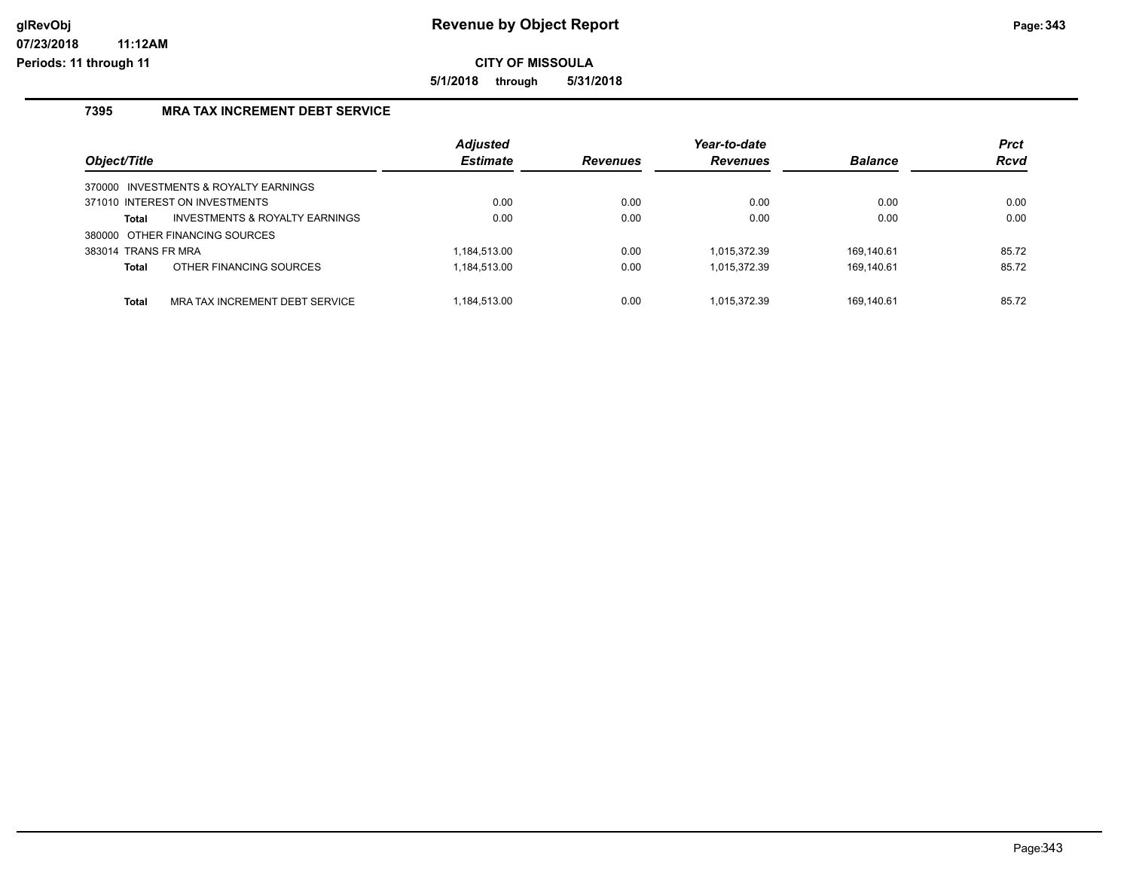**5/1/2018 through 5/31/2018**

### **7395 MRA TAX INCREMENT DEBT SERVICE**

|                     |                                       | <b>Adjusted</b> |                 | Year-to-date    |                | <b>Prct</b> |
|---------------------|---------------------------------------|-----------------|-----------------|-----------------|----------------|-------------|
| Object/Title        |                                       | <b>Estimate</b> | <b>Revenues</b> | <b>Revenues</b> | <b>Balance</b> | <b>Rcvd</b> |
|                     | 370000 INVESTMENTS & ROYALTY EARNINGS |                 |                 |                 |                |             |
|                     | 371010 INTEREST ON INVESTMENTS        | 0.00            | 0.00            | 0.00            | 0.00           | 0.00        |
| <b>Total</b>        | INVESTMENTS & ROYALTY EARNINGS        | 0.00            | 0.00            | 0.00            | 0.00           | 0.00        |
|                     | 380000 OTHER FINANCING SOURCES        |                 |                 |                 |                |             |
| 383014 TRANS FR MRA |                                       | 1.184.513.00    | 0.00            | 1.015.372.39    | 169.140.61     | 85.72       |
| <b>Total</b>        | OTHER FINANCING SOURCES               | 1,184,513.00    | 0.00            | 1.015.372.39    | 169.140.61     | 85.72       |
|                     |                                       |                 |                 |                 |                |             |
| <b>Total</b>        | MRA TAX INCREMENT DEBT SERVICE        | 1.184.513.00    | 0.00            | 1.015.372.39    | 169.140.61     | 85.72       |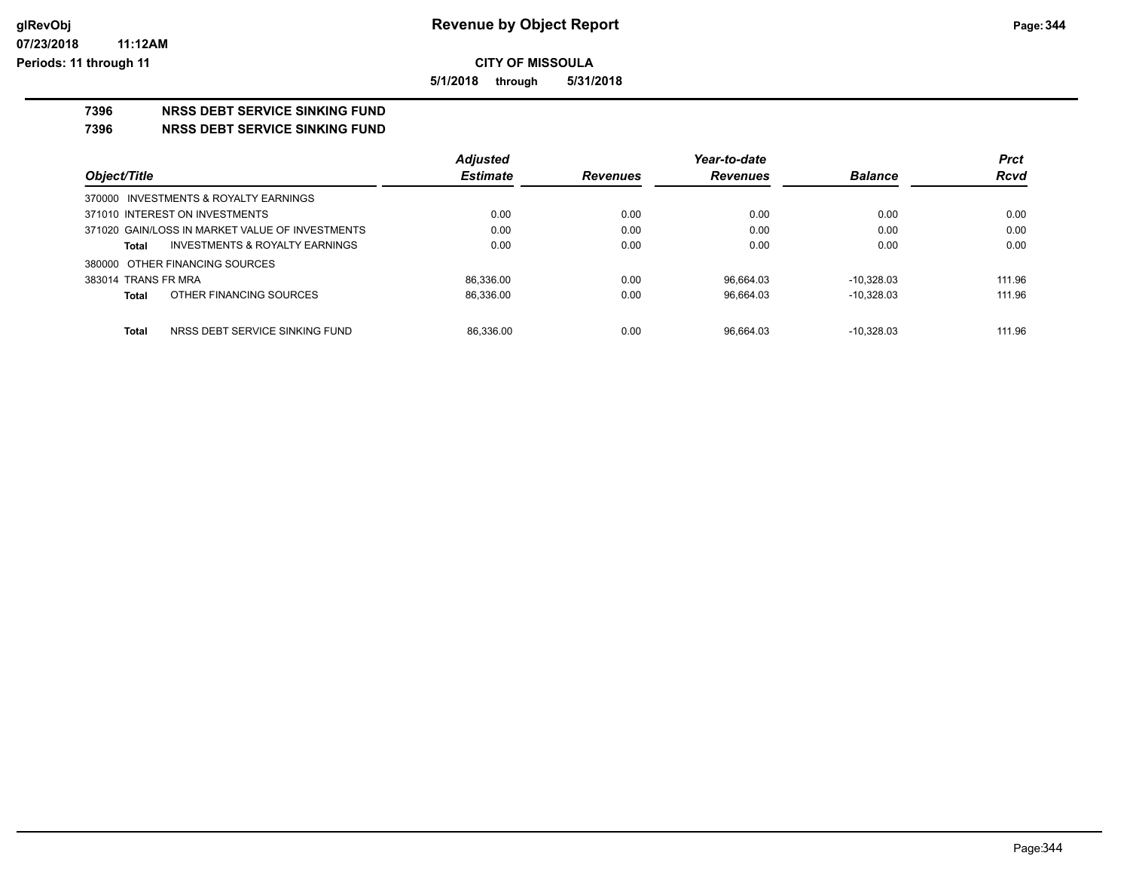**5/1/2018 through 5/31/2018**

## **7396 NRSS DEBT SERVICE SINKING FUND**

**7396 NRSS DEBT SERVICE SINKING FUND**

|                                                           | <b>Adjusted</b> |                 | Year-to-date    |                | <b>Prct</b> |
|-----------------------------------------------------------|-----------------|-----------------|-----------------|----------------|-------------|
| Object/Title                                              | <b>Estimate</b> | <b>Revenues</b> | <b>Revenues</b> | <b>Balance</b> | <b>Rcvd</b> |
| 370000 INVESTMENTS & ROYALTY EARNINGS                     |                 |                 |                 |                |             |
| 371010 INTEREST ON INVESTMENTS                            | 0.00            | 0.00            | 0.00            | 0.00           | 0.00        |
| 371020 GAIN/LOSS IN MARKET VALUE OF INVESTMENTS           | 0.00            | 0.00            | 0.00            | 0.00           | 0.00        |
| <b>INVESTMENTS &amp; ROYALTY EARNINGS</b><br><b>Total</b> | 0.00            | 0.00            | 0.00            | 0.00           | 0.00        |
| 380000 OTHER FINANCING SOURCES                            |                 |                 |                 |                |             |
| 383014 TRANS FR MRA                                       | 86.336.00       | 0.00            | 96.664.03       | $-10.328.03$   | 111.96      |
| OTHER FINANCING SOURCES<br><b>Total</b>                   | 86.336.00       | 0.00            | 96.664.03       | $-10.328.03$   | 111.96      |
| <b>Total</b><br>NRSS DEBT SERVICE SINKING FUND            | 86.336.00       | 0.00            | 96.664.03       | $-10.328.03$   | 111.96      |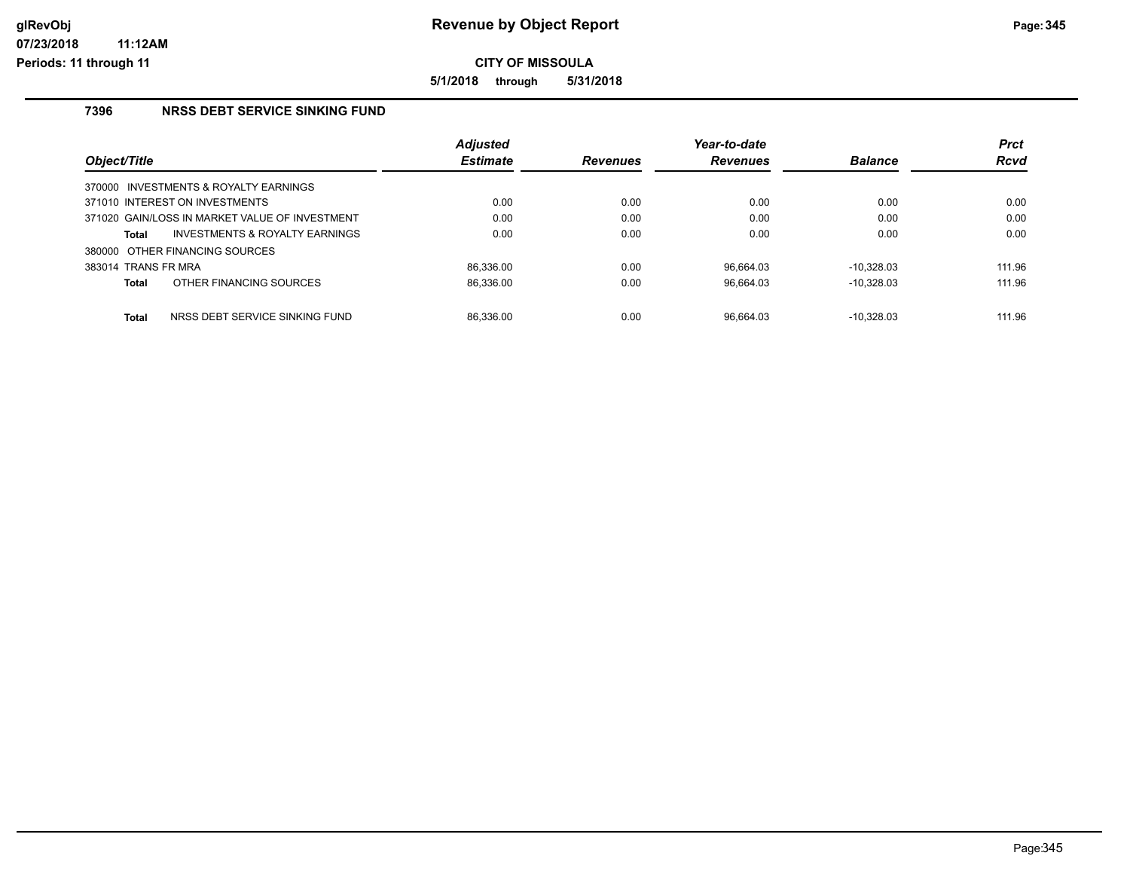**5/1/2018 through 5/31/2018**

### **7396 NRSS DEBT SERVICE SINKING FUND**

|                     |                                                | <b>Adjusted</b> |                 | Year-to-date    |                | <b>Prct</b> |
|---------------------|------------------------------------------------|-----------------|-----------------|-----------------|----------------|-------------|
| Object/Title        |                                                | <b>Estimate</b> | <b>Revenues</b> | <b>Revenues</b> | <b>Balance</b> | <b>Rcvd</b> |
|                     | 370000 INVESTMENTS & ROYALTY EARNINGS          |                 |                 |                 |                |             |
|                     | 371010 INTEREST ON INVESTMENTS                 | 0.00            | 0.00            | 0.00            | 0.00           | 0.00        |
|                     | 371020 GAIN/LOSS IN MARKET VALUE OF INVESTMENT | 0.00            | 0.00            | 0.00            | 0.00           | 0.00        |
| Total               | <b>INVESTMENTS &amp; ROYALTY EARNINGS</b>      | 0.00            | 0.00            | 0.00            | 0.00           | 0.00        |
|                     | 380000 OTHER FINANCING SOURCES                 |                 |                 |                 |                |             |
| 383014 TRANS FR MRA |                                                | 86.336.00       | 0.00            | 96.664.03       | $-10.328.03$   | 111.96      |
| Total               | OTHER FINANCING SOURCES                        | 86.336.00       | 0.00            | 96.664.03       | $-10.328.03$   | 111.96      |
| <b>Total</b>        | NRSS DEBT SERVICE SINKING FUND                 | 86.336.00       | 0.00            | 96.664.03       | $-10.328.03$   | 111.96      |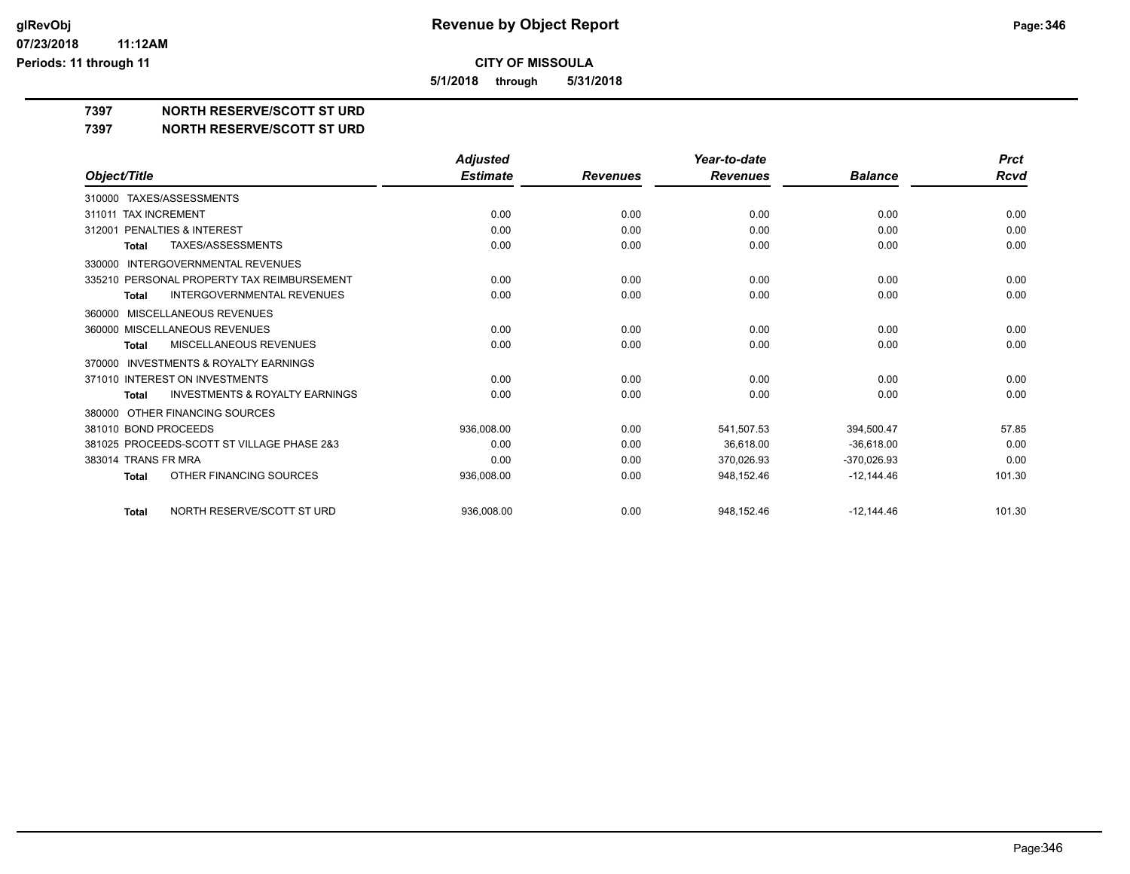**5/1/2018 through 5/31/2018**

**7397 NORTH RESERVE/SCOTT ST URD**

**7397 NORTH RESERVE/SCOTT ST URD**

|                                                           | <b>Adjusted</b> |                 | Year-to-date    |                | <b>Prct</b> |
|-----------------------------------------------------------|-----------------|-----------------|-----------------|----------------|-------------|
| Object/Title                                              | <b>Estimate</b> | <b>Revenues</b> | <b>Revenues</b> | <b>Balance</b> | <b>Rcvd</b> |
| 310000 TAXES/ASSESSMENTS                                  |                 |                 |                 |                |             |
| <b>TAX INCREMENT</b><br>311011                            | 0.00            | 0.00            | 0.00            | 0.00           | 0.00        |
| <b>PENALTIES &amp; INTEREST</b><br>312001                 | 0.00            | 0.00            | 0.00            | 0.00           | 0.00        |
| <b>TAXES/ASSESSMENTS</b><br><b>Total</b>                  | 0.00            | 0.00            | 0.00            | 0.00           | 0.00        |
| INTERGOVERNMENTAL REVENUES<br>330000                      |                 |                 |                 |                |             |
| 335210 PERSONAL PROPERTY TAX REIMBURSEMENT                | 0.00            | 0.00            | 0.00            | 0.00           | 0.00        |
| <b>INTERGOVERNMENTAL REVENUES</b><br><b>Total</b>         | 0.00            | 0.00            | 0.00            | 0.00           | 0.00        |
| MISCELLANEOUS REVENUES<br>360000                          |                 |                 |                 |                |             |
| 360000 MISCELLANEOUS REVENUES                             | 0.00            | 0.00            | 0.00            | 0.00           | 0.00        |
| MISCELLANEOUS REVENUES<br><b>Total</b>                    | 0.00            | 0.00            | 0.00            | 0.00           | 0.00        |
| 370000 INVESTMENTS & ROYALTY EARNINGS                     |                 |                 |                 |                |             |
| 371010 INTEREST ON INVESTMENTS                            | 0.00            | 0.00            | 0.00            | 0.00           | 0.00        |
| <b>INVESTMENTS &amp; ROYALTY EARNINGS</b><br><b>Total</b> | 0.00            | 0.00            | 0.00            | 0.00           | 0.00        |
| OTHER FINANCING SOURCES<br>380000                         |                 |                 |                 |                |             |
| 381010 BOND PROCEEDS                                      | 936.008.00      | 0.00            | 541,507.53      | 394,500.47     | 57.85       |
| 381025 PROCEEDS-SCOTT ST VILLAGE PHASE 2&3                | 0.00            | 0.00            | 36.618.00       | $-36.618.00$   | 0.00        |
| 383014 TRANS FR MRA                                       | 0.00            | 0.00            | 370,026.93      | $-370,026.93$  | 0.00        |
| OTHER FINANCING SOURCES<br><b>Total</b>                   | 936,008.00      | 0.00            | 948,152.46      | $-12.144.46$   | 101.30      |
| NORTH RESERVE/SCOTT ST URD<br><b>Total</b>                | 936.008.00      | 0.00            | 948.152.46      | $-12.144.46$   | 101.30      |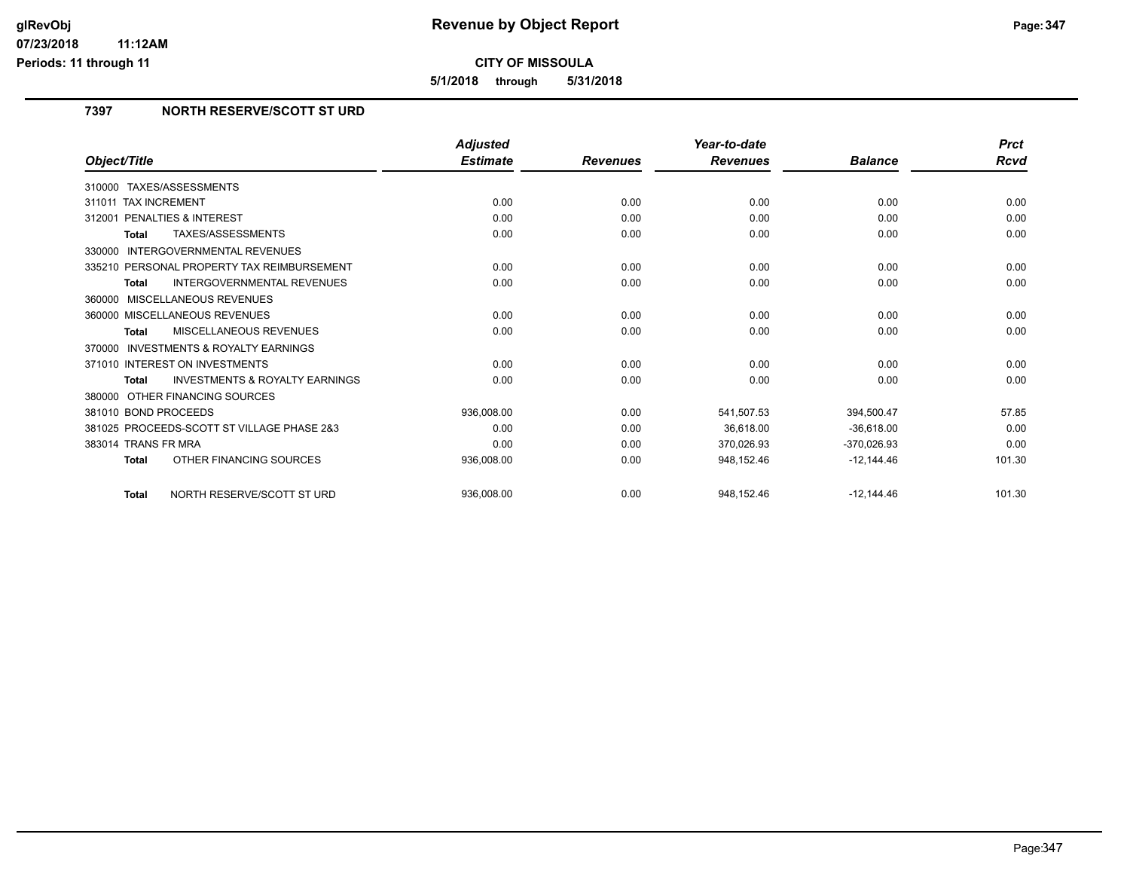**CITY OF MISSOULA**

**5/1/2018 through 5/31/2018**

## **7397 NORTH RESERVE/SCOTT ST URD**

|                                                    | <b>Adjusted</b> |                 | Year-to-date    |                | <b>Prct</b> |
|----------------------------------------------------|-----------------|-----------------|-----------------|----------------|-------------|
| Object/Title                                       | <b>Estimate</b> | <b>Revenues</b> | <b>Revenues</b> | <b>Balance</b> | Rcvd        |
| TAXES/ASSESSMENTS<br>310000                        |                 |                 |                 |                |             |
| <b>TAX INCREMENT</b><br>311011                     | 0.00            | 0.00            | 0.00            | 0.00           | 0.00        |
| 312001 PENALTIES & INTEREST                        | 0.00            | 0.00            | 0.00            | 0.00           | 0.00        |
| TAXES/ASSESSMENTS<br><b>Total</b>                  | 0.00            | 0.00            | 0.00            | 0.00           | 0.00        |
| <b>INTERGOVERNMENTAL REVENUES</b><br>330000        |                 |                 |                 |                |             |
| 335210 PERSONAL PROPERTY TAX REIMBURSEMENT         | 0.00            | 0.00            | 0.00            | 0.00           | 0.00        |
| <b>INTERGOVERNMENTAL REVENUES</b><br><b>Total</b>  | 0.00            | 0.00            | 0.00            | 0.00           | 0.00        |
| 360000 MISCELLANEOUS REVENUES                      |                 |                 |                 |                |             |
| 360000 MISCELLANEOUS REVENUES                      | 0.00            | 0.00            | 0.00            | 0.00           | 0.00        |
| <b>MISCELLANEOUS REVENUES</b><br><b>Total</b>      | 0.00            | 0.00            | 0.00            | 0.00           | 0.00        |
| 370000 INVESTMENTS & ROYALTY EARNINGS              |                 |                 |                 |                |             |
| 371010 INTEREST ON INVESTMENTS                     | 0.00            | 0.00            | 0.00            | 0.00           | 0.00        |
| <b>INVESTMENTS &amp; ROYALTY EARNINGS</b><br>Total | 0.00            | 0.00            | 0.00            | 0.00           | 0.00        |
| 380000 OTHER FINANCING SOURCES                     |                 |                 |                 |                |             |
| 381010 BOND PROCEEDS                               | 936.008.00      | 0.00            | 541,507.53      | 394,500.47     | 57.85       |
| 381025 PROCEEDS-SCOTT ST VILLAGE PHASE 2&3         | 0.00            | 0.00            | 36.618.00       | $-36,618.00$   | 0.00        |
| 383014 TRANS FR MRA                                | 0.00            | 0.00            | 370,026.93      | $-370,026.93$  | 0.00        |
| OTHER FINANCING SOURCES<br><b>Total</b>            | 936,008.00      | 0.00            | 948,152.46      | $-12,144.46$   | 101.30      |
| NORTH RESERVE/SCOTT ST URD<br><b>Total</b>         | 936.008.00      | 0.00            | 948.152.46      | $-12.144.46$   | 101.30      |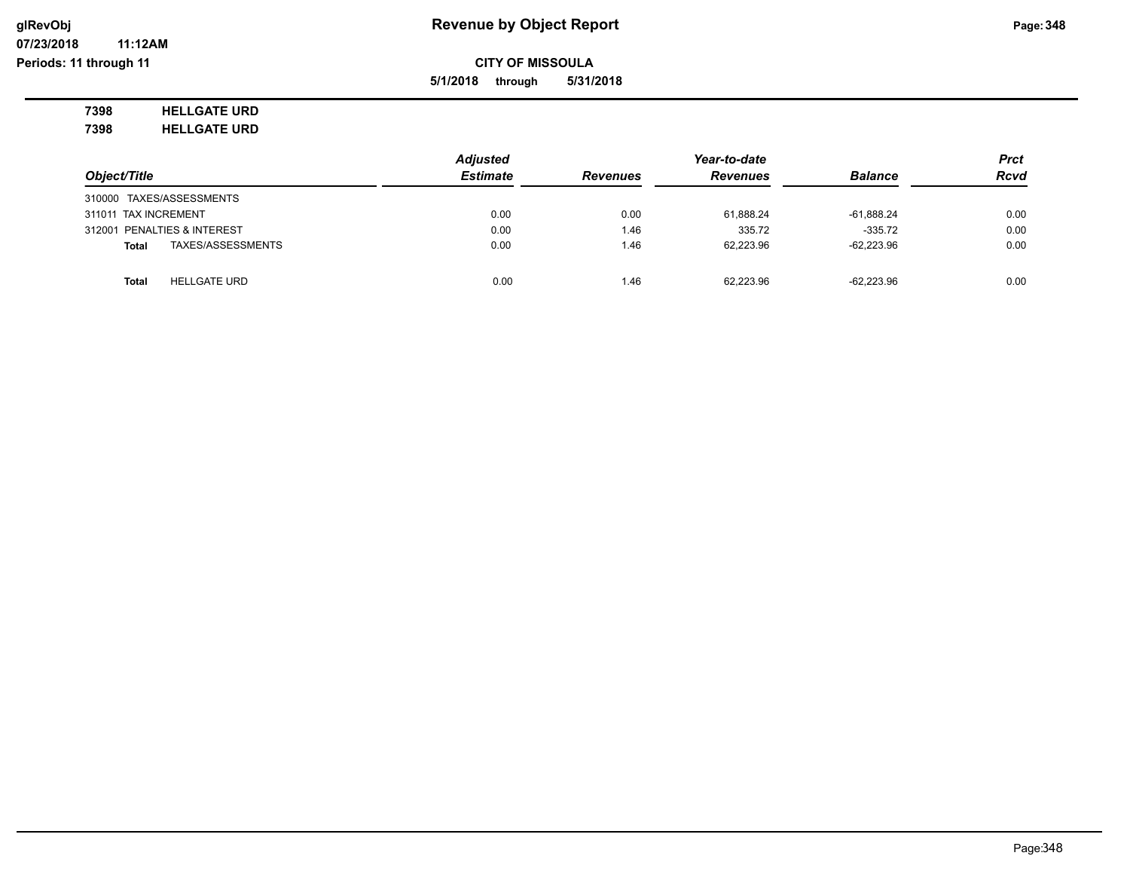**5/1/2018 through 5/31/2018**

**7398 HELLGATE URD**

**7398 HELLGATE URD**

|                      |                             | <b>Adjusted</b> |                 | <b>Prct</b>     |                |             |
|----------------------|-----------------------------|-----------------|-----------------|-----------------|----------------|-------------|
| Object/Title         |                             | <b>Estimate</b> | <b>Revenues</b> | <b>Revenues</b> | <b>Balance</b> | <b>Rcvd</b> |
|                      | 310000 TAXES/ASSESSMENTS    |                 |                 |                 |                |             |
| 311011 TAX INCREMENT |                             | 0.00            | 0.00            | 61,888.24       | $-61,888.24$   | 0.00        |
|                      | 312001 PENALTIES & INTEREST | 0.00            | 1.46            | 335.72          | $-335.72$      | 0.00        |
| <b>Total</b>         | TAXES/ASSESSMENTS           | 0.00            | 1.46            | 62.223.96       | $-62.223.96$   | 0.00        |
| <b>Total</b>         | <b>HELLGATE URD</b>         | 0.00            | 1.46            | 62.223.96       | $-62.223.96$   | 0.00        |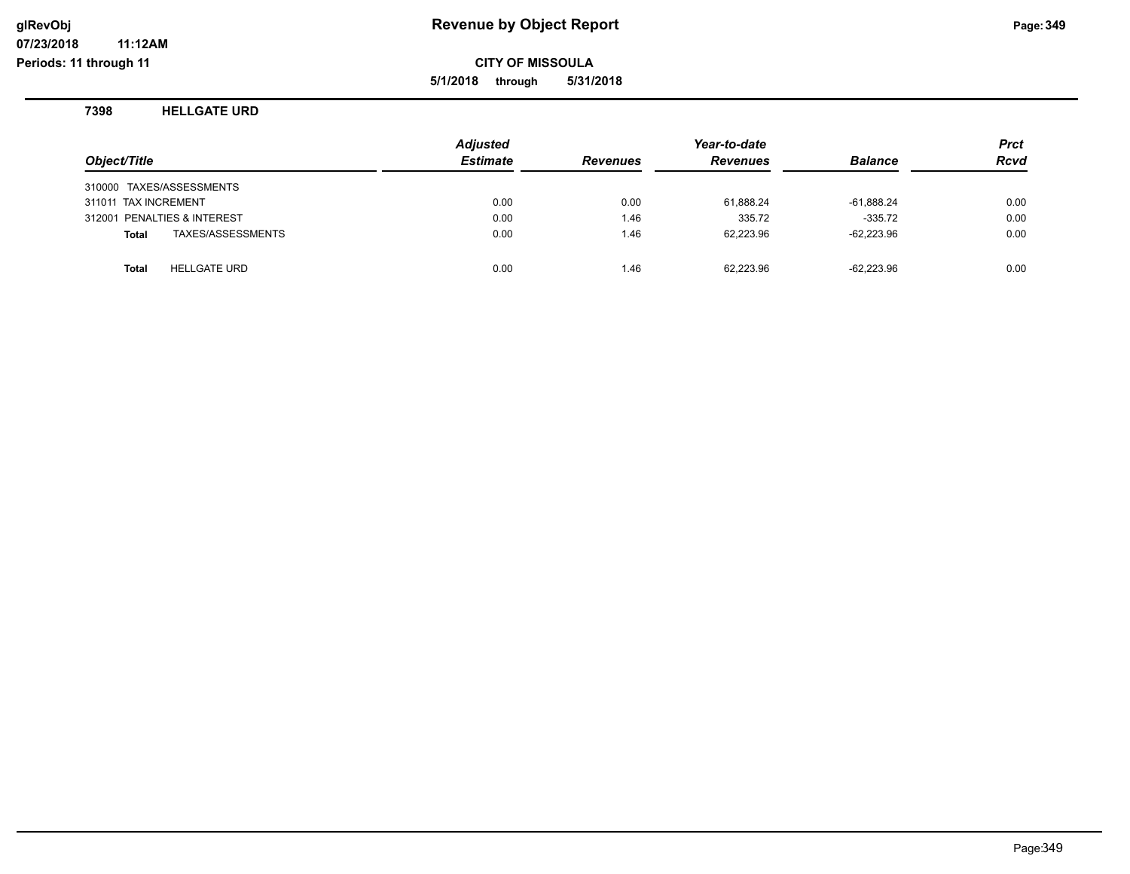**CITY OF MISSOULA**

**5/1/2018 through 5/31/2018**

**7398 HELLGATE URD**

**11:12AM**

|                                     | <b>Adjusted</b> |                 | Year-to-date    |                | Prct |
|-------------------------------------|-----------------|-----------------|-----------------|----------------|------|
| Object/Title                        | <b>Estimate</b> | <b>Revenues</b> | <b>Revenues</b> | <b>Balance</b> | Rcvd |
| 310000 TAXES/ASSESSMENTS            |                 |                 |                 |                |      |
| 311011 TAX INCREMENT                | 0.00            | 0.00            | 61.888.24       | $-61.888.24$   | 0.00 |
| 312001 PENALTIES & INTEREST         | 0.00            | 1.46            | 335.72          | $-335.72$      | 0.00 |
| TAXES/ASSESSMENTS<br><b>Total</b>   | 0.00            | 1.46            | 62.223.96       | $-62.223.96$   | 0.00 |
| <b>HELLGATE URD</b><br><b>Total</b> | 0.00            | 1.46            | 62.223.96       | $-62.223.96$   | 0.00 |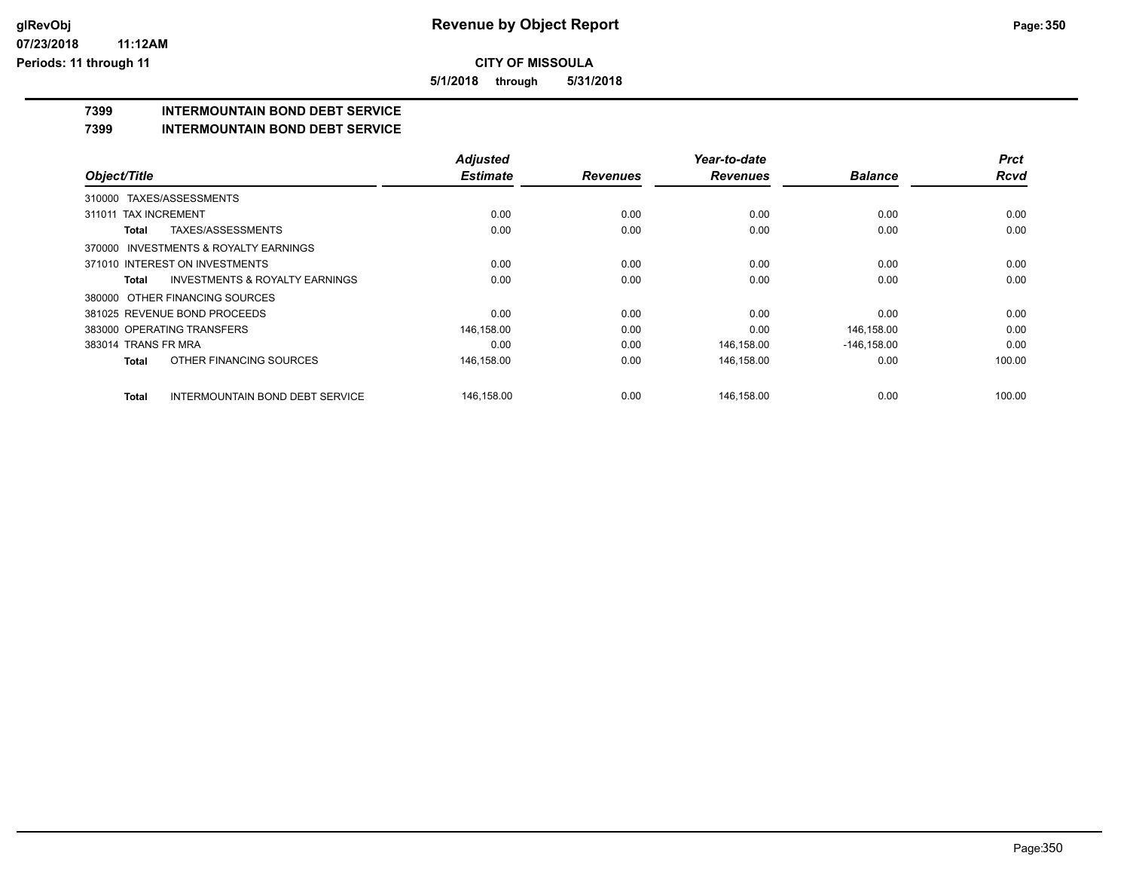**5/1/2018 through 5/31/2018**

# **7399 INTERMOUNTAIN BOND DEBT SERVICE**

### **7399 INTERMOUNTAIN BOND DEBT SERVICE**

|                                                    | <b>Adjusted</b> |                 | Year-to-date    |                | <b>Prct</b> |
|----------------------------------------------------|-----------------|-----------------|-----------------|----------------|-------------|
| Object/Title                                       | <b>Estimate</b> | <b>Revenues</b> | <b>Revenues</b> | <b>Balance</b> | <b>Rcvd</b> |
| 310000 TAXES/ASSESSMENTS                           |                 |                 |                 |                |             |
| <b>TAX INCREMENT</b><br>311011                     | 0.00            | 0.00            | 0.00            | 0.00           | 0.00        |
| TAXES/ASSESSMENTS<br>Total                         | 0.00            | 0.00            | 0.00            | 0.00           | 0.00        |
| 370000 INVESTMENTS & ROYALTY EARNINGS              |                 |                 |                 |                |             |
| 371010 INTEREST ON INVESTMENTS                     | 0.00            | 0.00            | 0.00            | 0.00           | 0.00        |
| <b>INVESTMENTS &amp; ROYALTY EARNINGS</b><br>Total | 0.00            | 0.00            | 0.00            | 0.00           | 0.00        |
| 380000 OTHER FINANCING SOURCES                     |                 |                 |                 |                |             |
| 381025 REVENUE BOND PROCEEDS                       | 0.00            | 0.00            | 0.00            | 0.00           | 0.00        |
| 383000 OPERATING TRANSFERS                         | 146,158.00      | 0.00            | 0.00            | 146,158.00     | 0.00        |
| 383014 TRANS FR MRA                                | 0.00            | 0.00            | 146,158.00      | $-146, 158.00$ | 0.00        |
| OTHER FINANCING SOURCES<br>Total                   | 146,158.00      | 0.00            | 146,158.00      | 0.00           | 100.00      |
| <b>INTERMOUNTAIN BOND DEBT SERVICE</b><br>Total    | 146.158.00      | 0.00            | 146.158.00      | 0.00           | 100.00      |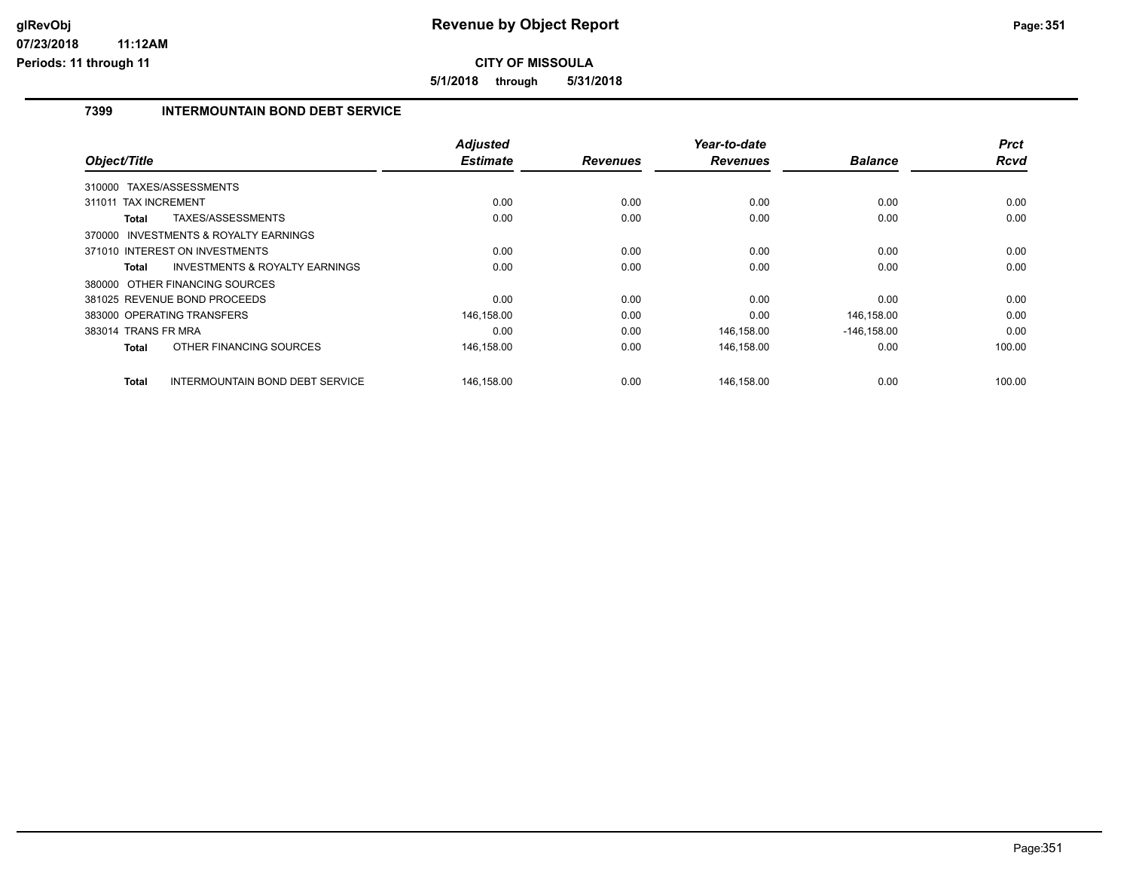**5/1/2018 through 5/31/2018**

#### **7399 INTERMOUNTAIN BOND DEBT SERVICE**

| Object/Title                                           | <b>Adjusted</b><br><b>Estimate</b> | <b>Revenues</b> | Year-to-date<br><b>Revenues</b> | <b>Balance</b> | <b>Prct</b><br><b>Rcvd</b> |
|--------------------------------------------------------|------------------------------------|-----------------|---------------------------------|----------------|----------------------------|
|                                                        |                                    |                 |                                 |                |                            |
| 310000 TAXES/ASSESSMENTS                               |                                    |                 |                                 |                |                            |
| 311011 TAX INCREMENT                                   | 0.00                               | 0.00            | 0.00                            | 0.00           | 0.00                       |
| TAXES/ASSESSMENTS<br><b>Total</b>                      | 0.00                               | 0.00            | 0.00                            | 0.00           | 0.00                       |
| 370000 INVESTMENTS & ROYALTY EARNINGS                  |                                    |                 |                                 |                |                            |
| 371010 INTEREST ON INVESTMENTS                         | 0.00                               | 0.00            | 0.00                            | 0.00           | 0.00                       |
| <b>INVESTMENTS &amp; ROYALTY EARNINGS</b><br>Total     | 0.00                               | 0.00            | 0.00                            | 0.00           | 0.00                       |
| 380000 OTHER FINANCING SOURCES                         |                                    |                 |                                 |                |                            |
| 381025 REVENUE BOND PROCEEDS                           | 0.00                               | 0.00            | 0.00                            | 0.00           | 0.00                       |
| 383000 OPERATING TRANSFERS                             | 146,158.00                         | 0.00            | 0.00                            | 146,158.00     | 0.00                       |
| 383014 TRANS FR MRA                                    | 0.00                               | 0.00            | 146,158.00                      | $-146, 158.00$ | 0.00                       |
| OTHER FINANCING SOURCES<br><b>Total</b>                | 146,158.00                         | 0.00            | 146,158.00                      | 0.00           | 100.00                     |
| <b>INTERMOUNTAIN BOND DEBT SERVICE</b><br><b>Total</b> | 146,158.00                         | 0.00            | 146,158.00                      | 0.00           | 100.00                     |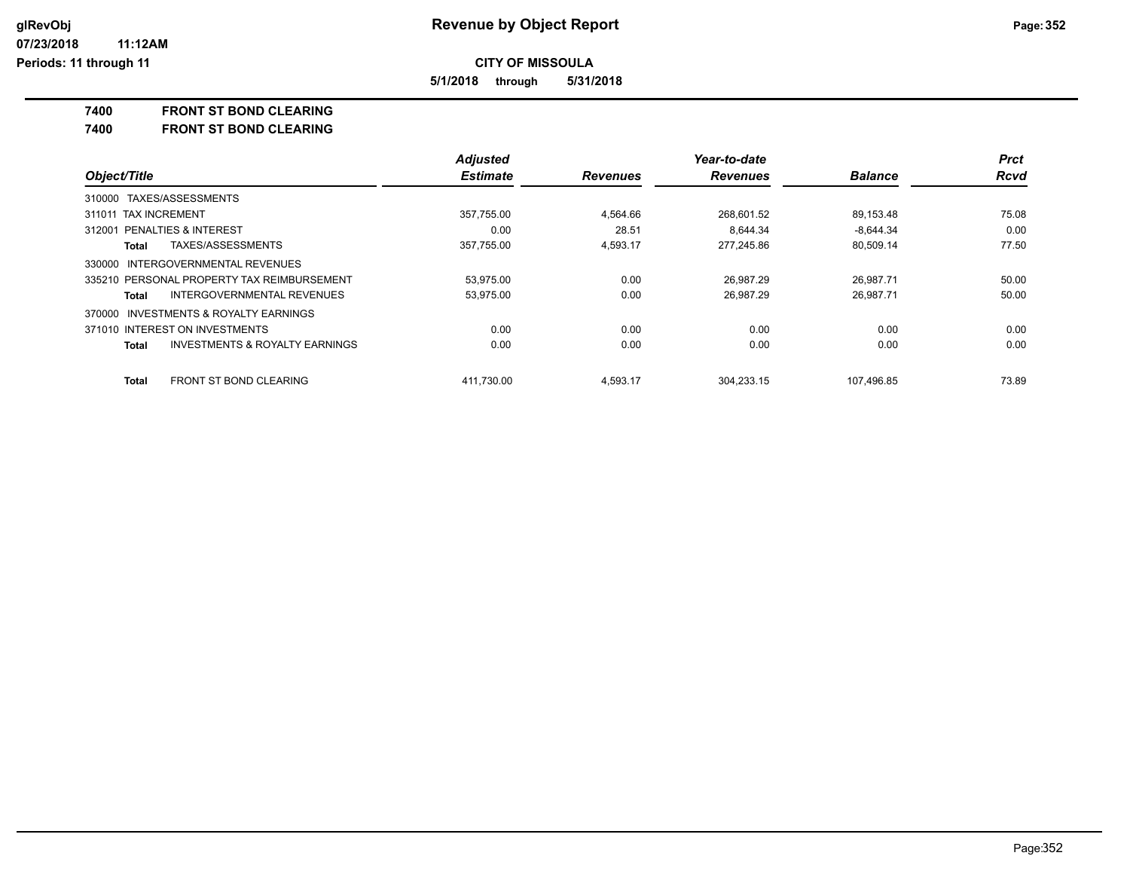**5/1/2018 through 5/31/2018**

#### **7400 FRONT ST BOND CLEARING**

**7400 FRONT ST BOND CLEARING**

|                                                    | <b>Adjusted</b> |                 | Year-to-date    |                | <b>Prct</b> |
|----------------------------------------------------|-----------------|-----------------|-----------------|----------------|-------------|
| Object/Title                                       | <b>Estimate</b> | <b>Revenues</b> | <b>Revenues</b> | <b>Balance</b> | <b>Rcvd</b> |
| 310000 TAXES/ASSESSMENTS                           |                 |                 |                 |                |             |
| 311011 TAX INCREMENT                               | 357,755.00      | 4,564.66        | 268,601.52      | 89,153.48      | 75.08       |
| 312001 PENALTIES & INTEREST                        | 0.00            | 28.51           | 8.644.34        | $-8.644.34$    | 0.00        |
| TAXES/ASSESSMENTS<br>Total                         | 357,755.00      | 4.593.17        | 277.245.86      | 80,509.14      | 77.50       |
| 330000 INTERGOVERNMENTAL REVENUES                  |                 |                 |                 |                |             |
| 335210 PERSONAL PROPERTY TAX REIMBURSEMENT         | 53,975.00       | 0.00            | 26.987.29       | 26,987.71      | 50.00       |
| <b>INTERGOVERNMENTAL REVENUES</b><br>Total         | 53,975.00       | 0.00            | 26,987.29       | 26,987.71      | 50.00       |
| INVESTMENTS & ROYALTY EARNINGS<br>370000           |                 |                 |                 |                |             |
| 371010 INTEREST ON INVESTMENTS                     | 0.00            | 0.00            | 0.00            | 0.00           | 0.00        |
| <b>INVESTMENTS &amp; ROYALTY EARNINGS</b><br>Total | 0.00            | 0.00            | 0.00            | 0.00           | 0.00        |
| <b>FRONT ST BOND CLEARING</b><br>Total             | 411.730.00      | 4.593.17        | 304.233.15      | 107.496.85     | 73.89       |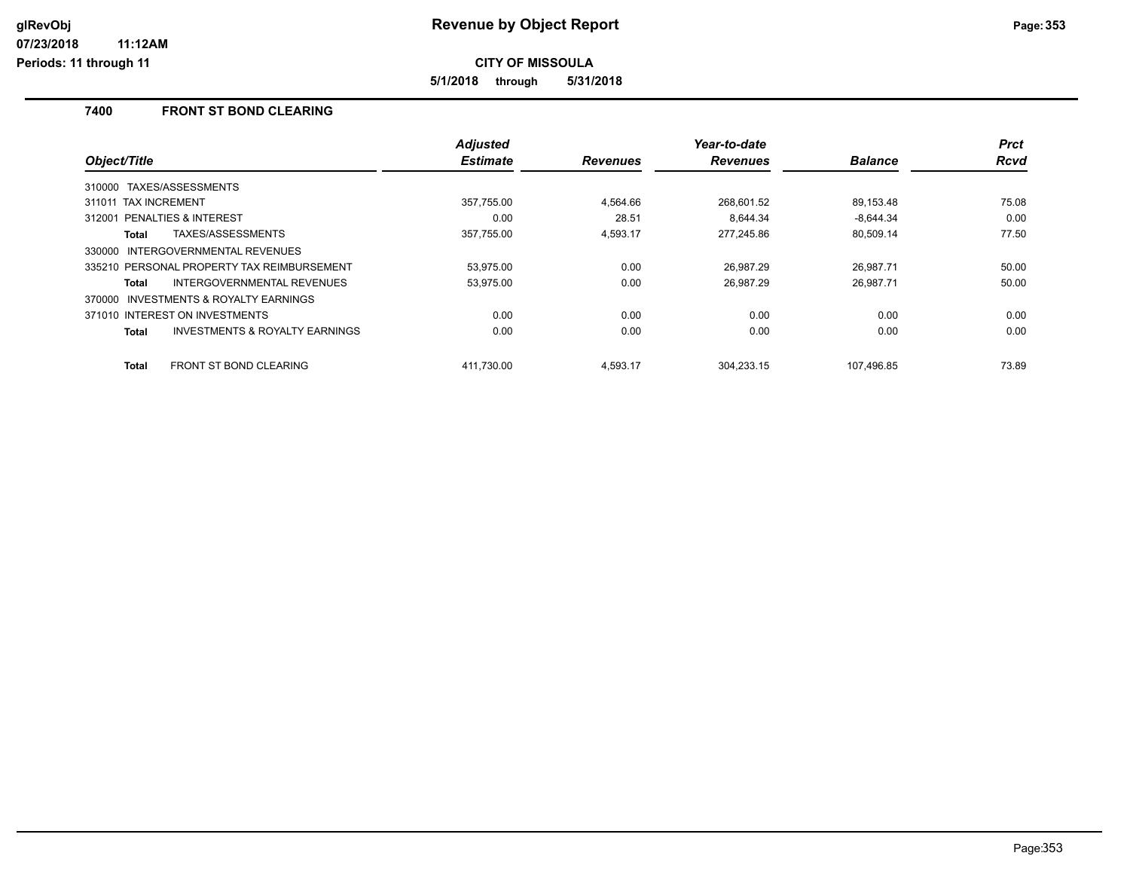**CITY OF MISSOULA**

**5/1/2018 through 5/31/2018**

#### **7400 FRONT ST BOND CLEARING**

|                                                    | <b>Adjusted</b> |                 | Year-to-date    |                | <b>Prct</b> |
|----------------------------------------------------|-----------------|-----------------|-----------------|----------------|-------------|
| Object/Title                                       | <b>Estimate</b> | <b>Revenues</b> | <b>Revenues</b> | <b>Balance</b> | Rcvd        |
| TAXES/ASSESSMENTS<br>310000                        |                 |                 |                 |                |             |
| <b>TAX INCREMENT</b><br>311011                     | 357,755.00      | 4.564.66        | 268,601.52      | 89,153.48      | 75.08       |
| <b>PENALTIES &amp; INTEREST</b><br>312001          | 0.00            | 28.51           | 8.644.34        | $-8.644.34$    | 0.00        |
| TAXES/ASSESSMENTS<br><b>Total</b>                  | 357,755.00      | 4,593.17        | 277,245.86      | 80,509.14      | 77.50       |
| 330000 INTERGOVERNMENTAL REVENUES                  |                 |                 |                 |                |             |
| 335210 PERSONAL PROPERTY TAX REIMBURSEMENT         | 53.975.00       | 0.00            | 26.987.29       | 26.987.71      | 50.00       |
| INTERGOVERNMENTAL REVENUES<br><b>Total</b>         | 53.975.00       | 0.00            | 26.987.29       | 26.987.71      | 50.00       |
| 370000 INVESTMENTS & ROYALTY EARNINGS              |                 |                 |                 |                |             |
| 371010 INTEREST ON INVESTMENTS                     | 0.00            | 0.00            | 0.00            | 0.00           | 0.00        |
| <b>INVESTMENTS &amp; ROYALTY EARNINGS</b><br>Total | 0.00            | 0.00            | 0.00            | 0.00           | 0.00        |
| FRONT ST BOND CLEARING<br><b>Total</b>             | 411.730.00      | 4.593.17        | 304.233.15      | 107.496.85     | 73.89       |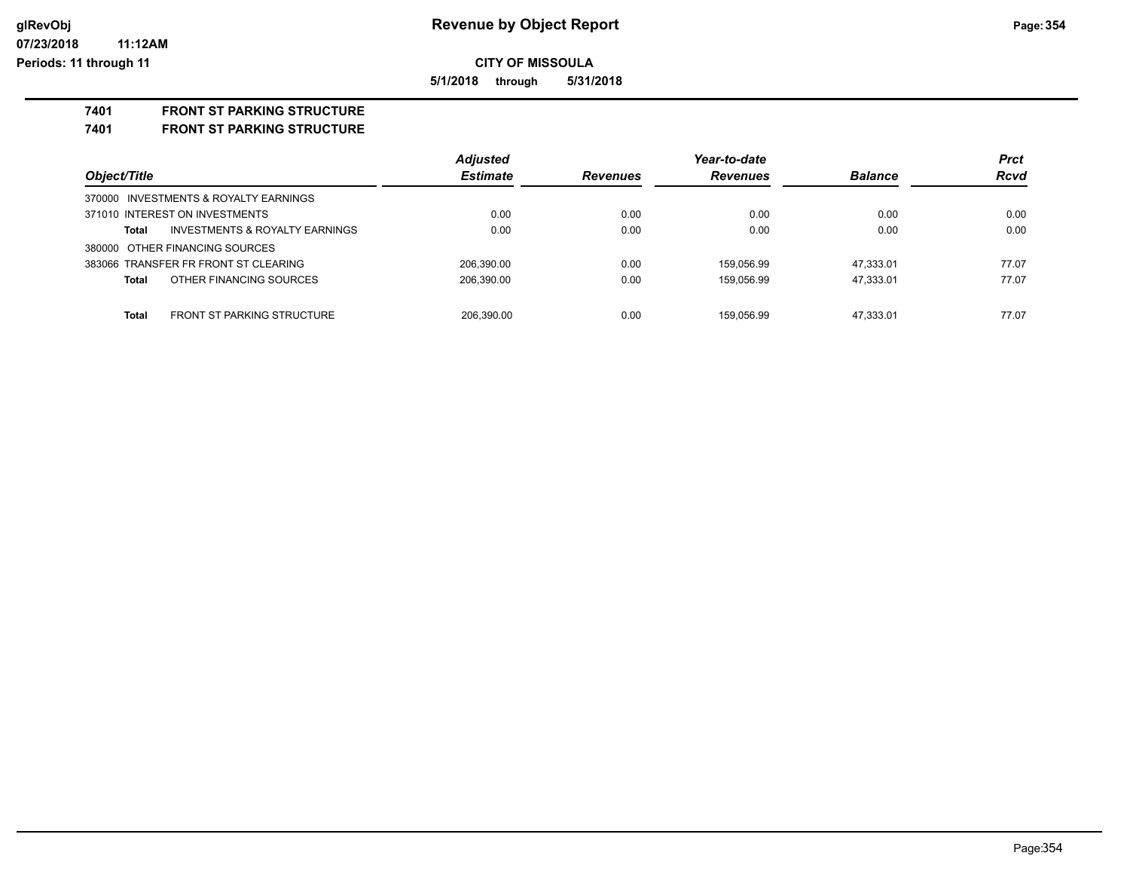**5/1/2018 through 5/31/2018**

## **7401 FRONT ST PARKING STRUCTURE**

**7401 FRONT ST PARKING STRUCTURE**

|                                                    | <b>Adjusted</b> |                 | Year-to-date    |                | <b>Prct</b> |
|----------------------------------------------------|-----------------|-----------------|-----------------|----------------|-------------|
| Object/Title                                       | <b>Estimate</b> | <b>Revenues</b> | <b>Revenues</b> | <b>Balance</b> | <b>Rcvd</b> |
| 370000 INVESTMENTS & ROYALTY EARNINGS              |                 |                 |                 |                |             |
| 371010 INTEREST ON INVESTMENTS                     | 0.00            | 0.00            | 0.00            | 0.00           | 0.00        |
| <b>INVESTMENTS &amp; ROYALTY EARNINGS</b><br>Total | 0.00            | 0.00            | 0.00            | 0.00           | 0.00        |
| 380000 OTHER FINANCING SOURCES                     |                 |                 |                 |                |             |
| 383066 TRANSFER FR FRONT ST CLEARING               | 206.390.00      | 0.00            | 159.056.99      | 47.333.01      | 77.07       |
| OTHER FINANCING SOURCES<br>Total                   | 206,390.00      | 0.00            | 159,056.99      | 47.333.01      | 77.07       |
|                                                    |                 |                 |                 |                |             |
| <b>FRONT ST PARKING STRUCTURE</b><br><b>Total</b>  | 206.390.00      | 0.00            | 159.056.99      | 47.333.01      | 77.07       |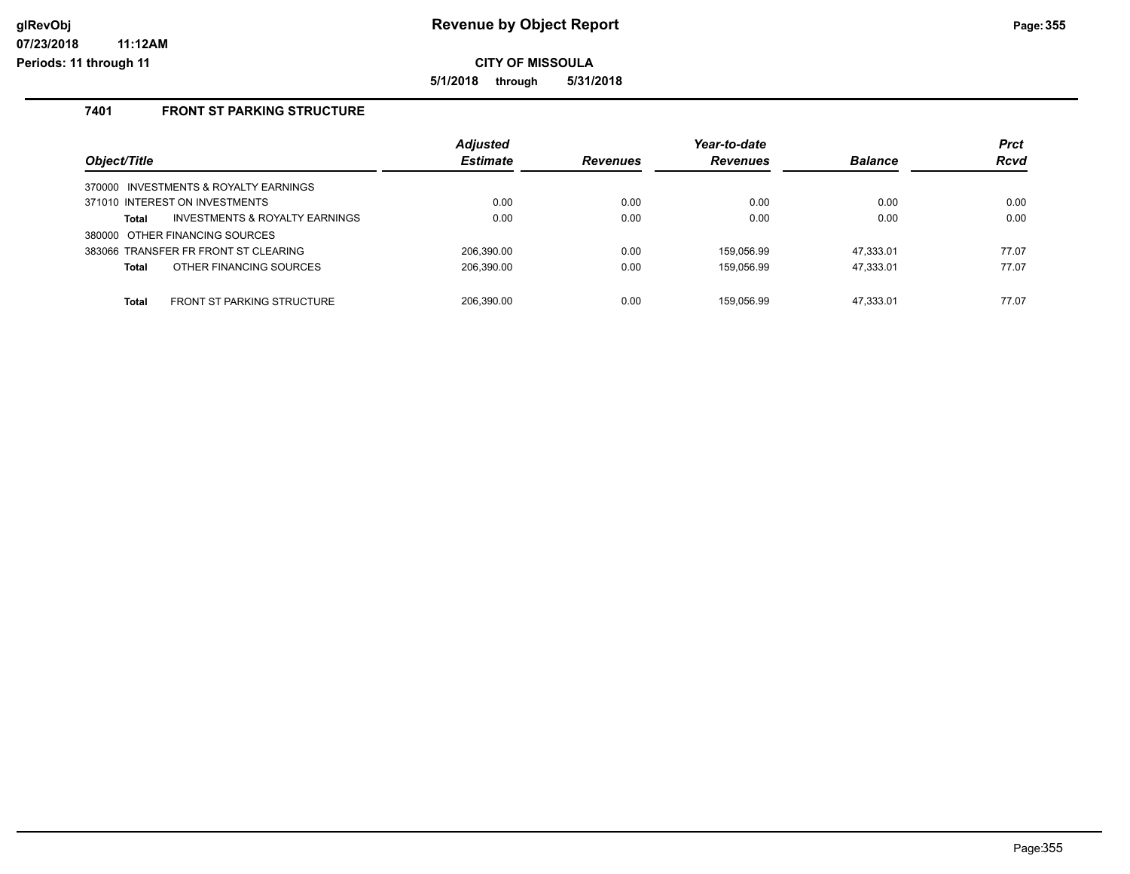**5/1/2018 through 5/31/2018**

### **7401 FRONT ST PARKING STRUCTURE**

|              |                                           | <b>Adjusted</b> |                 | Year-to-date    |                | <b>Prct</b> |
|--------------|-------------------------------------------|-----------------|-----------------|-----------------|----------------|-------------|
| Object/Title |                                           | <b>Estimate</b> | <b>Revenues</b> | <b>Revenues</b> | <b>Balance</b> | <b>Rcvd</b> |
|              | 370000 INVESTMENTS & ROYALTY EARNINGS     |                 |                 |                 |                |             |
|              | 371010 INTEREST ON INVESTMENTS            | 0.00            | 0.00            | 0.00            | 0.00           | 0.00        |
| Total        | <b>INVESTMENTS &amp; ROYALTY EARNINGS</b> | 0.00            | 0.00            | 0.00            | 0.00           | 0.00        |
|              | 380000 OTHER FINANCING SOURCES            |                 |                 |                 |                |             |
|              | 383066 TRANSFER FR FRONT ST CLEARING      | 206,390.00      | 0.00            | 159.056.99      | 47.333.01      | 77.07       |
| Total        | OTHER FINANCING SOURCES                   | 206,390.00      | 0.00            | 159,056.99      | 47,333.01      | 77.07       |
| <b>Total</b> | <b>FRONT ST PARKING STRUCTURE</b>         | 206.390.00      | 0.00            | 159.056.99      | 47.333.01      | 77.07       |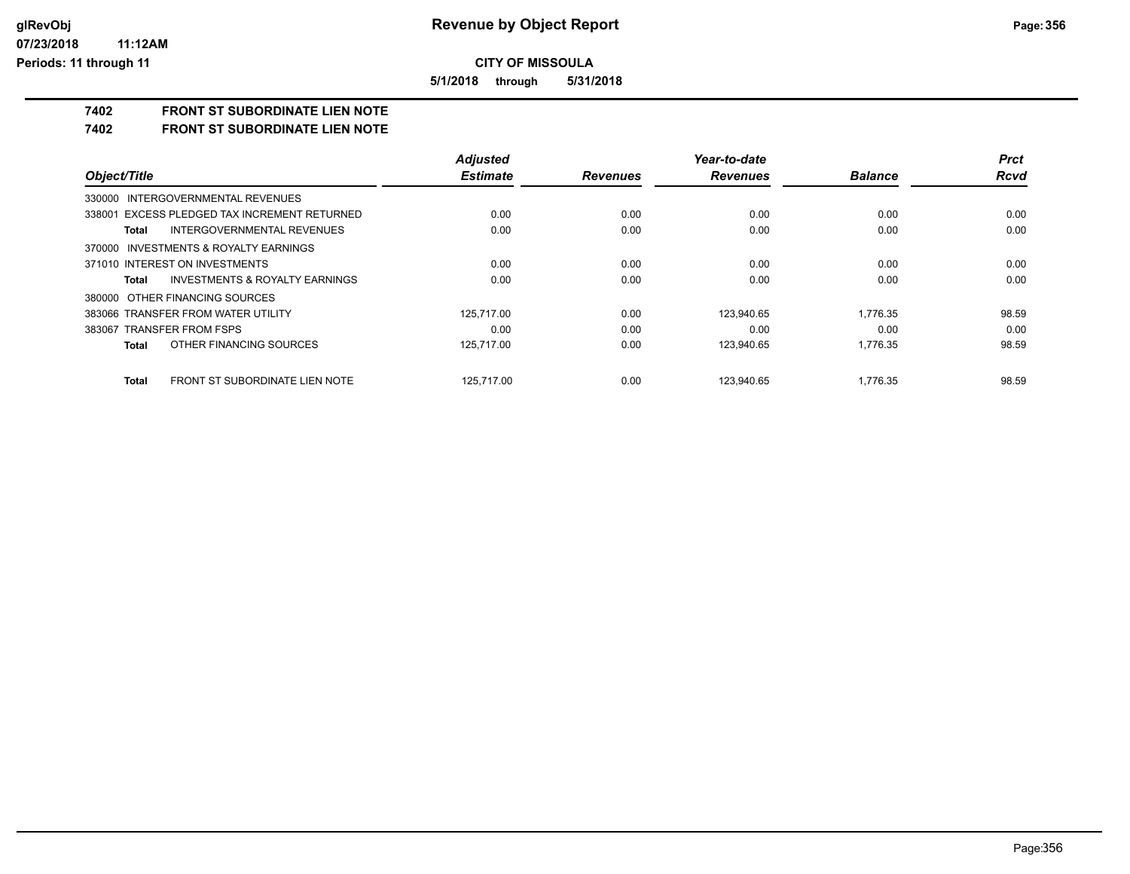**5/1/2018 through 5/31/2018**

# **7402 FRONT ST SUBORDINATE LIEN NOTE**

**7402 FRONT ST SUBORDINATE LIEN NOTE**

|                                                    | <b>Adjusted</b> |                 | Year-to-date    |                | <b>Prct</b> |
|----------------------------------------------------|-----------------|-----------------|-----------------|----------------|-------------|
| Object/Title                                       | <b>Estimate</b> | <b>Revenues</b> | <b>Revenues</b> | <b>Balance</b> | Rcvd        |
| 330000 INTERGOVERNMENTAL REVENUES                  |                 |                 |                 |                |             |
| 338001 EXCESS PLEDGED TAX INCREMENT RETURNED       | 0.00            | 0.00            | 0.00            | 0.00           | 0.00        |
| <b>INTERGOVERNMENTAL REVENUES</b><br>Total         | 0.00            | 0.00            | 0.00            | 0.00           | 0.00        |
| 370000 INVESTMENTS & ROYALTY EARNINGS              |                 |                 |                 |                |             |
| 371010 INTEREST ON INVESTMENTS                     | 0.00            | 0.00            | 0.00            | 0.00           | 0.00        |
| <b>INVESTMENTS &amp; ROYALTY EARNINGS</b><br>Total | 0.00            | 0.00            | 0.00            | 0.00           | 0.00        |
| 380000 OTHER FINANCING SOURCES                     |                 |                 |                 |                |             |
| 383066 TRANSFER FROM WATER UTILITY                 | 125.717.00      | 0.00            | 123.940.65      | 1.776.35       | 98.59       |
| 383067 TRANSFER FROM FSPS                          | 0.00            | 0.00            | 0.00            | 0.00           | 0.00        |
| OTHER FINANCING SOURCES<br>Total                   | 125,717.00      | 0.00            | 123,940.65      | 1,776.35       | 98.59       |
| FRONT ST SUBORDINATE LIEN NOTE<br><b>Total</b>     | 125.717.00      | 0.00            | 123.940.65      | 1.776.35       | 98.59       |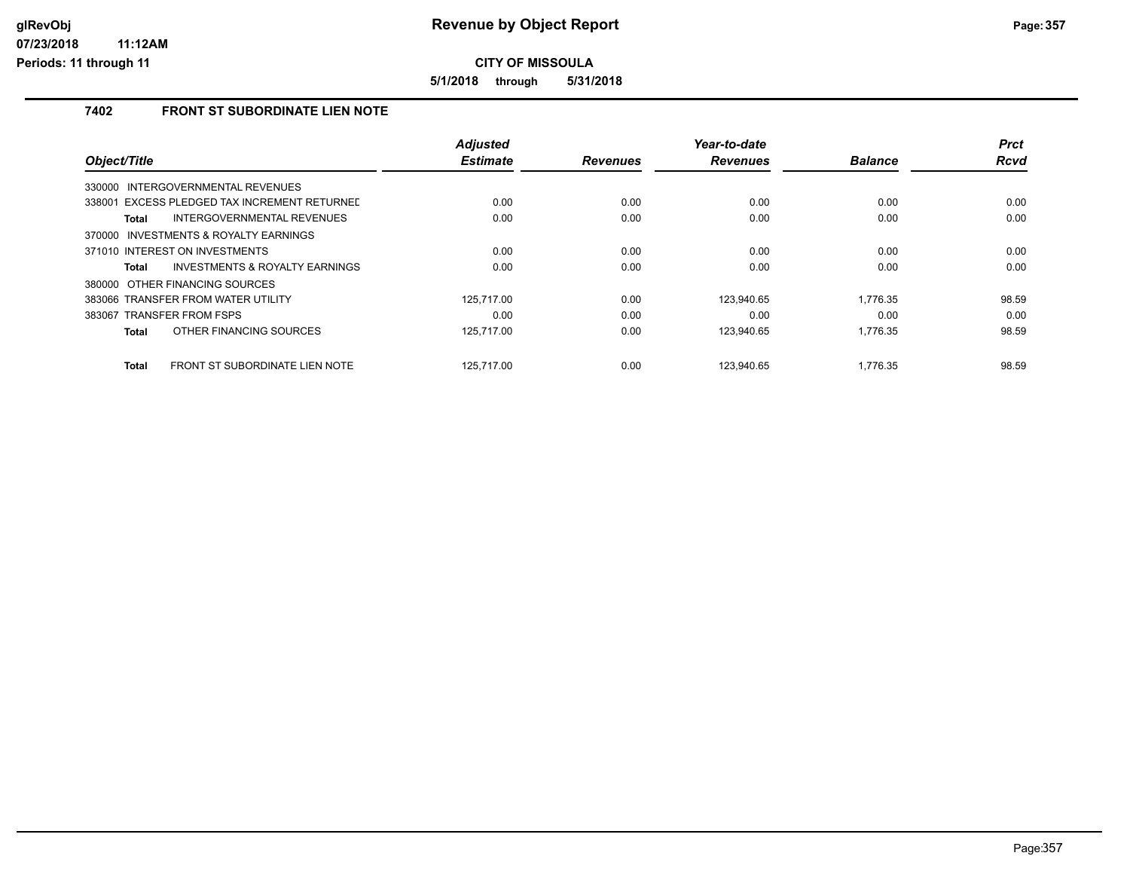**5/1/2018 through 5/31/2018**

### **7402 FRONT ST SUBORDINATE LIEN NOTE**

|                                                | <b>Adjusted</b><br><b>Estimate</b> |                 | Year-to-date<br><b>Revenues</b> | <b>Balance</b> | <b>Prct</b><br><b>Rcvd</b> |
|------------------------------------------------|------------------------------------|-----------------|---------------------------------|----------------|----------------------------|
| Object/Title                                   |                                    | <b>Revenues</b> |                                 |                |                            |
| INTERGOVERNMENTAL REVENUES<br>330000           |                                    |                 |                                 |                |                            |
| 338001 EXCESS PLEDGED TAX INCREMENT RETURNED   | 0.00                               | 0.00            | 0.00                            | 0.00           | 0.00                       |
| INTERGOVERNMENTAL REVENUES<br>Total            | 0.00                               | 0.00            | 0.00                            | 0.00           | 0.00                       |
| INVESTMENTS & ROYALTY EARNINGS<br>370000       |                                    |                 |                                 |                |                            |
| 371010 INTEREST ON INVESTMENTS                 | 0.00                               | 0.00            | 0.00                            | 0.00           | 0.00                       |
| INVESTMENTS & ROYALTY EARNINGS<br>Total        | 0.00                               | 0.00            | 0.00                            | 0.00           | 0.00                       |
| 380000 OTHER FINANCING SOURCES                 |                                    |                 |                                 |                |                            |
| 383066 TRANSFER FROM WATER UTILITY             | 125.717.00                         | 0.00            | 123.940.65                      | 1.776.35       | 98.59                      |
| 383067 TRANSFER FROM FSPS                      | 0.00                               | 0.00            | 0.00                            | 0.00           | 0.00                       |
| OTHER FINANCING SOURCES<br>Total               | 125,717.00                         | 0.00            | 123,940.65                      | 1.776.35       | 98.59                      |
| FRONT ST SUBORDINATE LIEN NOTE<br><b>Total</b> | 125.717.00                         | 0.00            | 123.940.65                      | 1.776.35       | 98.59                      |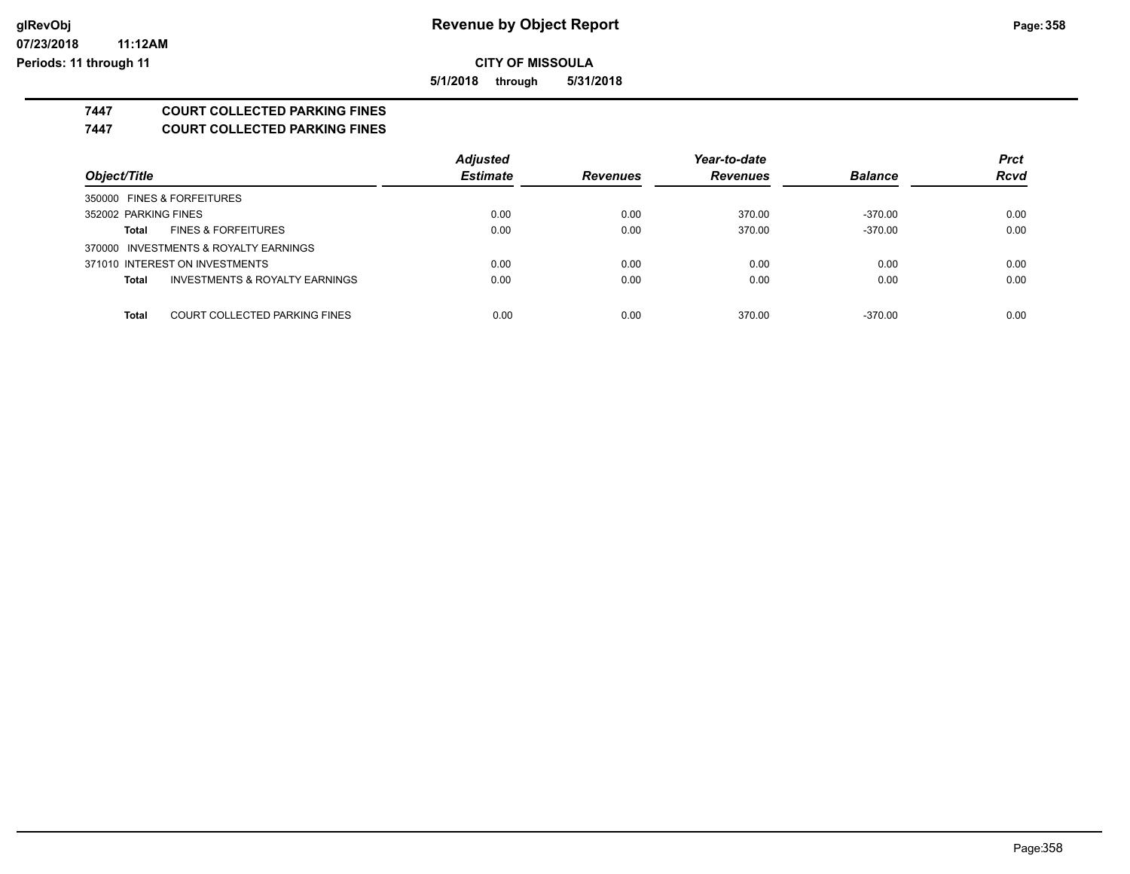**5/1/2018 through 5/31/2018**

# **7447 COURT COLLECTED PARKING FINES**

**7447 COURT COLLECTED PARKING FINES**

|                                               | <b>Adjusted</b> |                 |                 | <b>Prct</b>    |             |
|-----------------------------------------------|-----------------|-----------------|-----------------|----------------|-------------|
| Object/Title                                  | <b>Estimate</b> | <b>Revenues</b> | <b>Revenues</b> | <b>Balance</b> | <b>Rcvd</b> |
| 350000 FINES & FORFEITURES                    |                 |                 |                 |                |             |
| 352002 PARKING FINES                          | 0.00            | 0.00            | 370.00          | $-370.00$      | 0.00        |
| <b>FINES &amp; FORFEITURES</b><br>Total       | 0.00            | 0.00            | 370.00          | $-370.00$      | 0.00        |
| 370000 INVESTMENTS & ROYALTY EARNINGS         |                 |                 |                 |                |             |
| 371010 INTEREST ON INVESTMENTS                | 0.00            | 0.00            | 0.00            | 0.00           | 0.00        |
| INVESTMENTS & ROYALTY EARNINGS<br>Total       | 0.00            | 0.00            | 0.00            | 0.00           | 0.00        |
|                                               |                 |                 |                 |                |             |
| COURT COLLECTED PARKING FINES<br><b>Total</b> | 0.00            | 0.00            | 370.00          | $-370.00$      | 0.00        |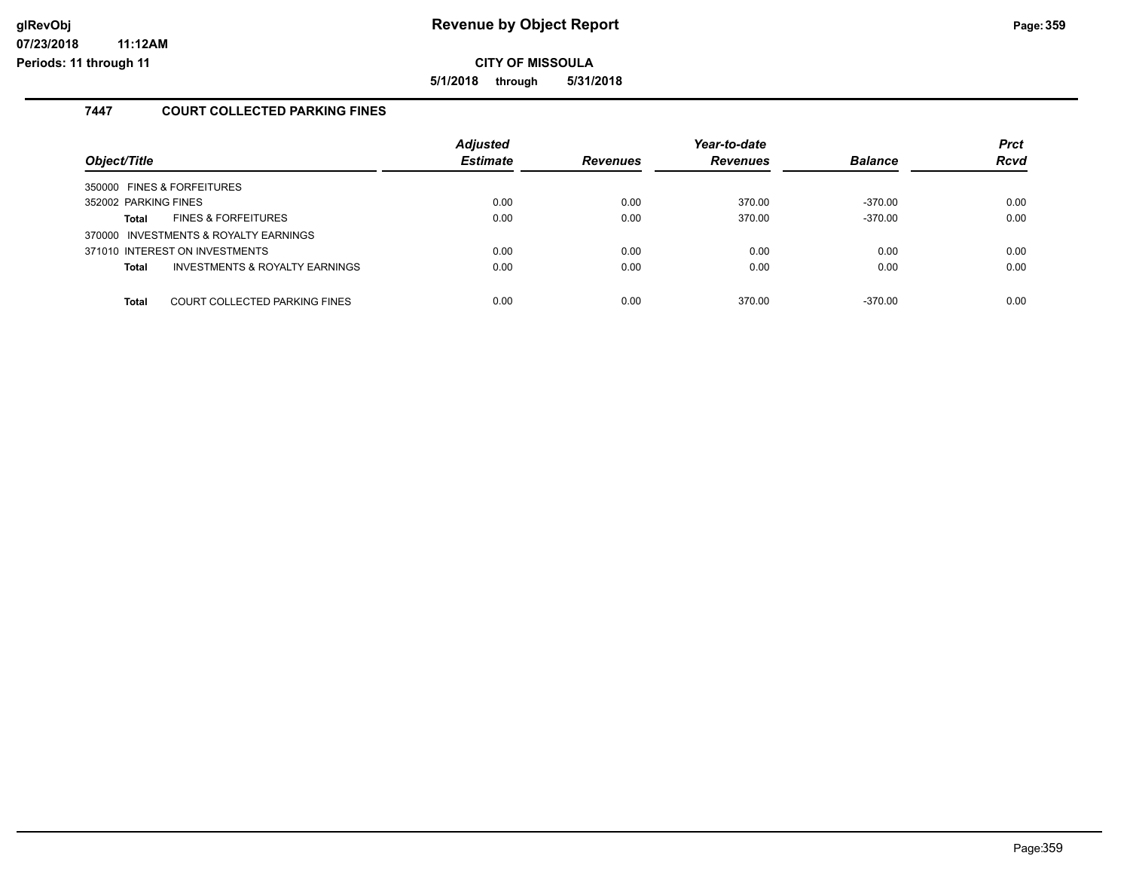**5/1/2018 through 5/31/2018**

#### **7447 COURT COLLECTED PARKING FINES**

| Object/Title                                              | <b>Adjusted</b><br><b>Estimate</b> | <b>Revenues</b> | Year-to-date<br><b>Revenues</b> | <b>Balance</b> | <b>Prct</b><br><b>Rcvd</b> |
|-----------------------------------------------------------|------------------------------------|-----------------|---------------------------------|----------------|----------------------------|
| 350000 FINES & FORFEITURES                                |                                    |                 |                                 |                |                            |
| 352002 PARKING FINES                                      | 0.00                               | 0.00            | 370.00                          | $-370.00$      | 0.00                       |
| <b>FINES &amp; FORFEITURES</b><br>Total                   | 0.00                               | 0.00            | 370.00                          | $-370.00$      | 0.00                       |
| 370000 INVESTMENTS & ROYALTY EARNINGS                     |                                    |                 |                                 |                |                            |
| 371010 INTEREST ON INVESTMENTS                            | 0.00                               | 0.00            | 0.00                            | 0.00           | 0.00                       |
| <b>INVESTMENTS &amp; ROYALTY EARNINGS</b><br><b>Total</b> | 0.00                               | 0.00            | 0.00                            | 0.00           | 0.00                       |
|                                                           |                                    |                 |                                 |                |                            |
| COURT COLLECTED PARKING FINES<br><b>Total</b>             | 0.00                               | 0.00            | 370.00                          | $-370.00$      | 0.00                       |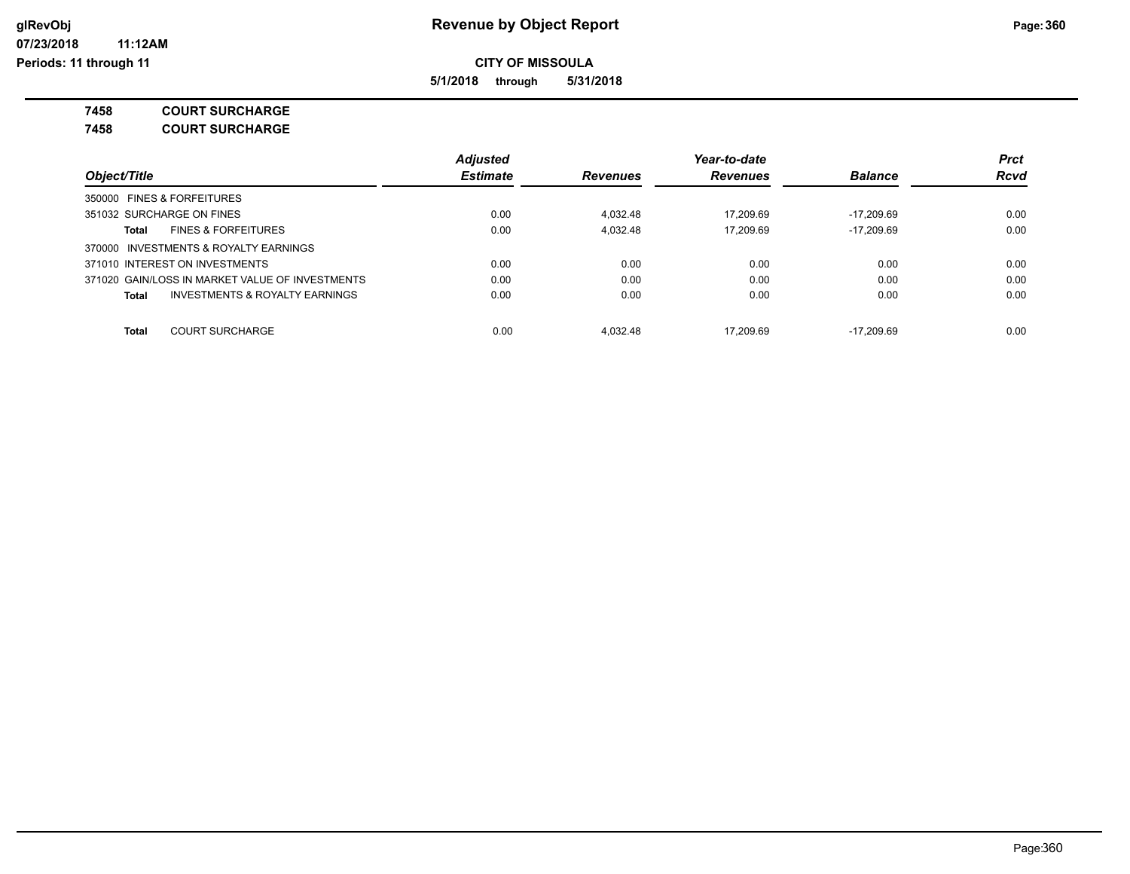**5/1/2018 through 5/31/2018**

**7458 COURT SURCHARGE**

**7458 COURT SURCHARGE**

|                                                    | <b>Adjusted</b> |                 | Year-to-date    |                | <b>Prct</b> |
|----------------------------------------------------|-----------------|-----------------|-----------------|----------------|-------------|
| Object/Title                                       | <b>Estimate</b> | <b>Revenues</b> | <b>Revenues</b> | <b>Balance</b> | <b>Rcvd</b> |
| 350000 FINES & FORFEITURES                         |                 |                 |                 |                |             |
| 351032 SURCHARGE ON FINES                          | 0.00            | 4.032.48        | 17.209.69       | $-17.209.69$   | 0.00        |
| <b>FINES &amp; FORFEITURES</b><br>Total            | 0.00            | 4.032.48        | 17.209.69       | $-17.209.69$   | 0.00        |
| 370000 INVESTMENTS & ROYALTY EARNINGS              |                 |                 |                 |                |             |
| 371010 INTEREST ON INVESTMENTS                     | 0.00            | 0.00            | 0.00            | 0.00           | 0.00        |
| 371020 GAIN/LOSS IN MARKET VALUE OF INVESTMENTS    | 0.00            | 0.00            | 0.00            | 0.00           | 0.00        |
| <b>INVESTMENTS &amp; ROYALTY EARNINGS</b><br>Total | 0.00            | 0.00            | 0.00            | 0.00           | 0.00        |
| <b>COURT SURCHARGE</b><br>Total                    | 0.00            | 4.032.48        | 17.209.69       | $-17.209.69$   | 0.00        |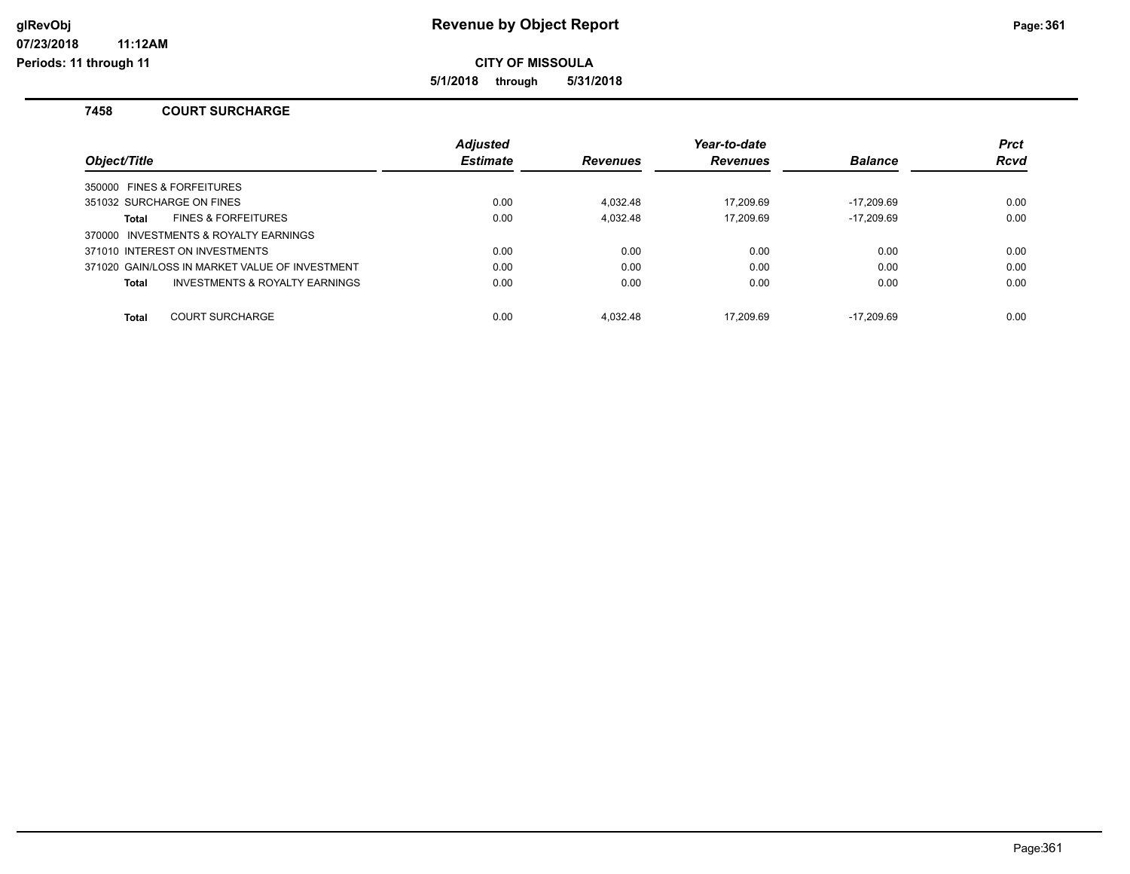**CITY OF MISSOULA**

**5/1/2018 through 5/31/2018**

#### **7458 COURT SURCHARGE**

**11:12AM**

|                                                | <b>Adjusted</b> |                 | Year-to-date    |                | <b>Prct</b> |
|------------------------------------------------|-----------------|-----------------|-----------------|----------------|-------------|
| Object/Title                                   | <b>Estimate</b> | <b>Revenues</b> | <b>Revenues</b> | <b>Balance</b> | <b>Rcvd</b> |
| 350000 FINES & FORFEITURES                     |                 |                 |                 |                |             |
| 351032 SURCHARGE ON FINES                      | 0.00            | 4.032.48        | 17.209.69       | $-17.209.69$   | 0.00        |
| <b>FINES &amp; FORFEITURES</b><br>Total        | 0.00            | 4.032.48        | 17.209.69       | $-17.209.69$   | 0.00        |
| 370000 INVESTMENTS & ROYALTY EARNINGS          |                 |                 |                 |                |             |
| 371010 INTEREST ON INVESTMENTS                 | 0.00            | 0.00            | 0.00            | 0.00           | 0.00        |
| 371020 GAIN/LOSS IN MARKET VALUE OF INVESTMENT | 0.00            | 0.00            | 0.00            | 0.00           | 0.00        |
| INVESTMENTS & ROYALTY EARNINGS<br>Total        | 0.00            | 0.00            | 0.00            | 0.00           | 0.00        |
| <b>COURT SURCHARGE</b><br>Total                | 0.00            | 4.032.48        | 17.209.69       | $-17.209.69$   | 0.00        |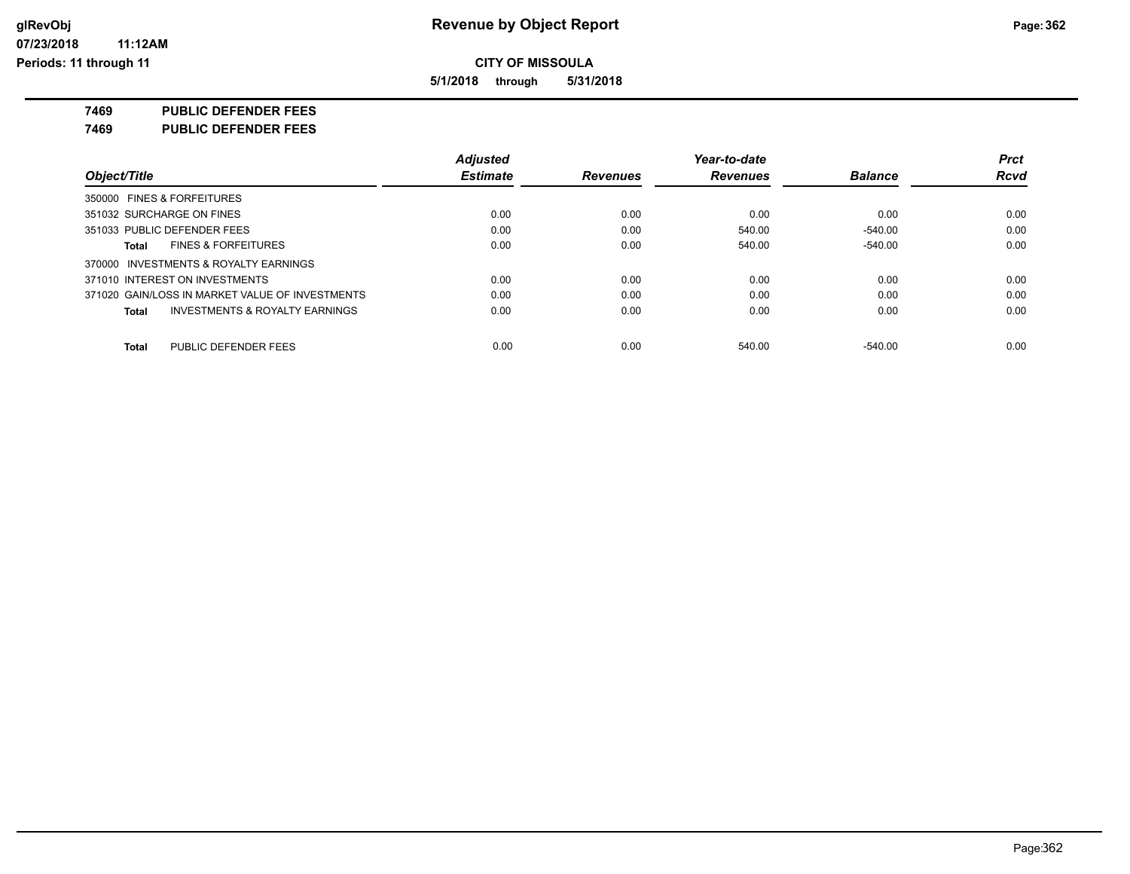**5/1/2018 through 5/31/2018**

**7469 PUBLIC DEFENDER FEES**

**7469 PUBLIC DEFENDER FEES**

|                                                    | <b>Adjusted</b> |                 | Year-to-date    |                | <b>Prct</b> |
|----------------------------------------------------|-----------------|-----------------|-----------------|----------------|-------------|
| Object/Title                                       | <b>Estimate</b> | <b>Revenues</b> | <b>Revenues</b> | <b>Balance</b> | <b>Rcvd</b> |
| 350000 FINES & FORFEITURES                         |                 |                 |                 |                |             |
| 351032 SURCHARGE ON FINES                          | 0.00            | 0.00            | 0.00            | 0.00           | 0.00        |
| 351033 PUBLIC DEFENDER FEES                        | 0.00            | 0.00            | 540.00          | $-540.00$      | 0.00        |
| <b>FINES &amp; FORFEITURES</b><br>Total            | 0.00            | 0.00            | 540.00          | $-540.00$      | 0.00        |
| 370000 INVESTMENTS & ROYALTY EARNINGS              |                 |                 |                 |                |             |
| 371010 INTEREST ON INVESTMENTS                     | 0.00            | 0.00            | 0.00            | 0.00           | 0.00        |
| 371020 GAIN/LOSS IN MARKET VALUE OF INVESTMENTS    | 0.00            | 0.00            | 0.00            | 0.00           | 0.00        |
| <b>INVESTMENTS &amp; ROYALTY EARNINGS</b><br>Total | 0.00            | 0.00            | 0.00            | 0.00           | 0.00        |
| PUBLIC DEFENDER FEES<br><b>Total</b>               | 0.00            | 0.00            | 540.00          | $-540.00$      | 0.00        |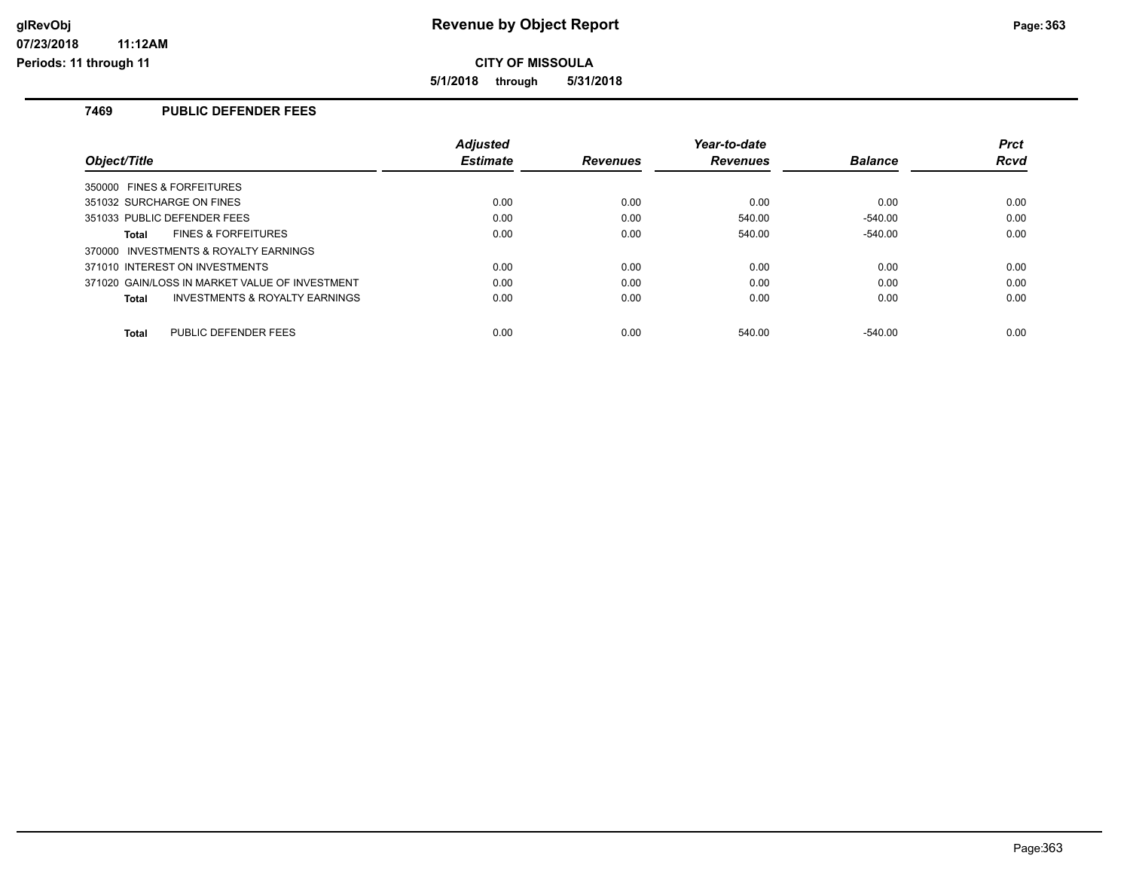**CITY OF MISSOULA**

**5/1/2018 through 5/31/2018**

#### **7469 PUBLIC DEFENDER FEES**

|                                                | <b>Adiusted</b> |                 | Year-to-date    |                | <b>Prct</b> |
|------------------------------------------------|-----------------|-----------------|-----------------|----------------|-------------|
| Object/Title                                   | <b>Estimate</b> | <b>Revenues</b> | <b>Revenues</b> | <b>Balance</b> | Rcvd        |
| 350000 FINES & FORFEITURES                     |                 |                 |                 |                |             |
| 351032 SURCHARGE ON FINES                      | 0.00            | 0.00            | 0.00            | 0.00           | 0.00        |
| 351033 PUBLIC DEFENDER FEES                    | 0.00            | 0.00            | 540.00          | $-540.00$      | 0.00        |
| <b>FINES &amp; FORFEITURES</b><br><b>Total</b> | 0.00            | 0.00            | 540.00          | $-540.00$      | 0.00        |
| 370000 INVESTMENTS & ROYALTY EARNINGS          |                 |                 |                 |                |             |
| 371010 INTEREST ON INVESTMENTS                 | 0.00            | 0.00            | 0.00            | 0.00           | 0.00        |
| 371020 GAIN/LOSS IN MARKET VALUE OF INVESTMENT | 0.00            | 0.00            | 0.00            | 0.00           | 0.00        |
| INVESTMENTS & ROYALTY EARNINGS<br>Total        | 0.00            | 0.00            | 0.00            | 0.00           | 0.00        |
|                                                |                 |                 |                 |                |             |
| PUBLIC DEFENDER FEES<br><b>Total</b>           | 0.00            | 0.00            | 540.00          | $-540.00$      | 0.00        |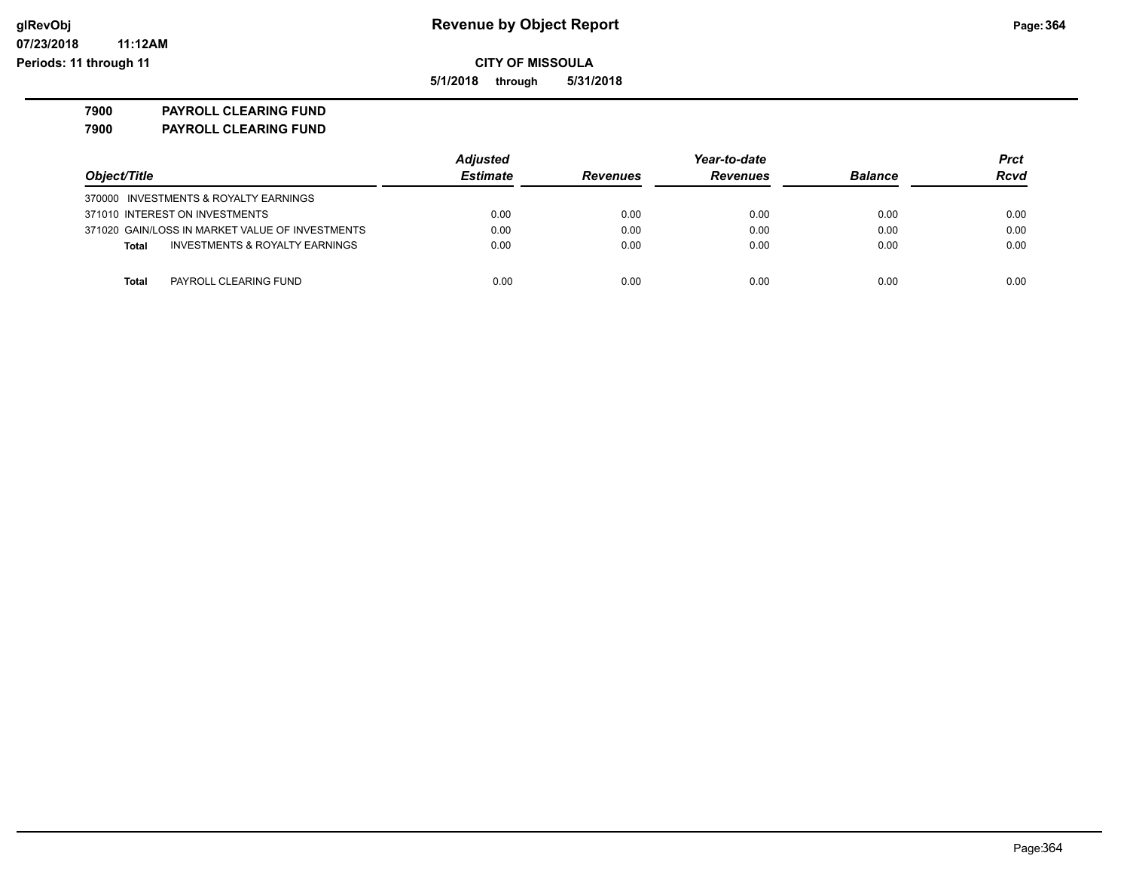**5/1/2018 through 5/31/2018**

# **7900 PAYROLL CLEARING FUND**

**7900 PAYROLL CLEARING FUND**

|                                                           | <b>Adjusted</b> |                 | Year-to-date    |                |      |
|-----------------------------------------------------------|-----------------|-----------------|-----------------|----------------|------|
| Object/Title                                              | <b>Estimate</b> | <b>Revenues</b> | <b>Revenues</b> | <b>Balance</b> | Rcvd |
| 370000 INVESTMENTS & ROYALTY EARNINGS                     |                 |                 |                 |                |      |
| 371010 INTEREST ON INVESTMENTS                            | 0.00            | 0.00            | 0.00            | 0.00           | 0.00 |
| 371020 GAIN/LOSS IN MARKET VALUE OF INVESTMENTS           | 0.00            | 0.00            | 0.00            | 0.00           | 0.00 |
| <b>INVESTMENTS &amp; ROYALTY EARNINGS</b><br><b>Total</b> | 0.00            | 0.00            | 0.00            | 0.00           | 0.00 |
|                                                           |                 |                 |                 |                |      |
| <b>Total</b><br>PAYROLL CLEARING FUND                     | 0.00            | 0.00            | 0.00            | 0.00           | 0.00 |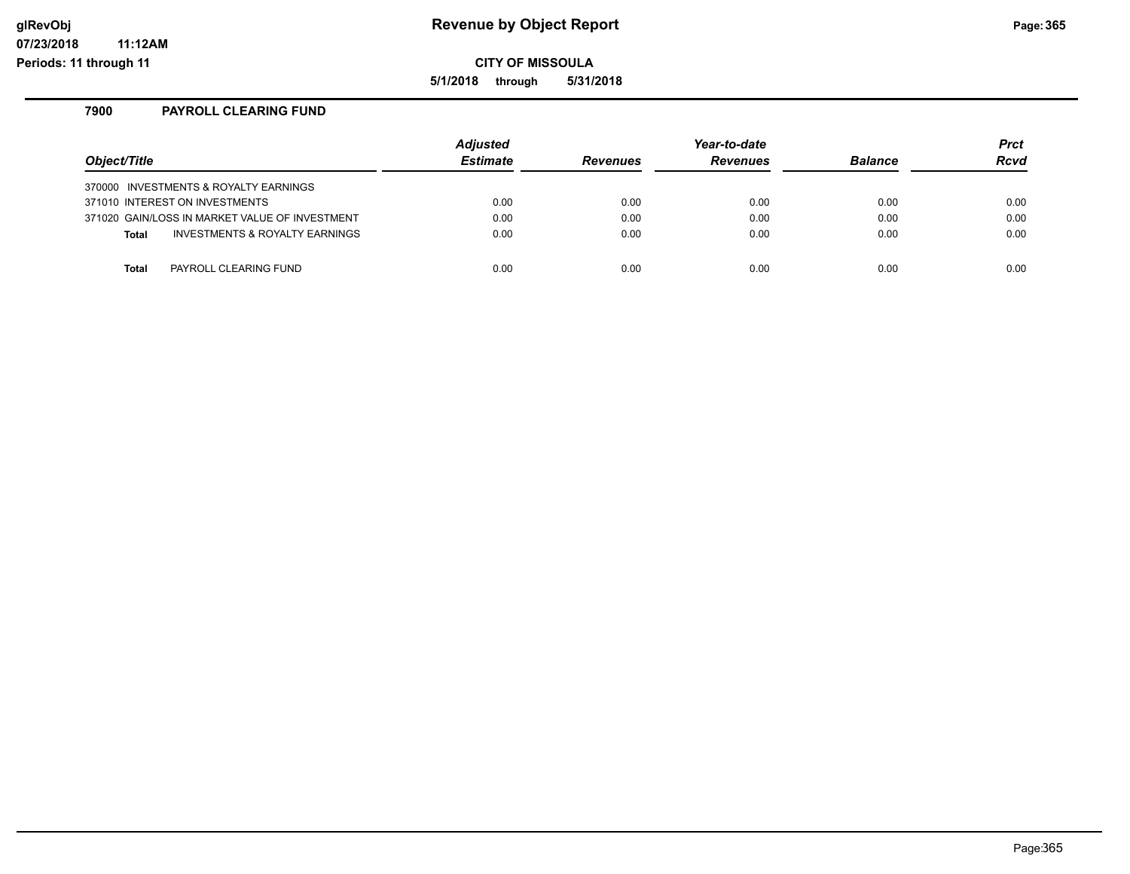**CITY OF MISSOULA**

**5/1/2018 through 5/31/2018**

# **7900 PAYROLL CLEARING FUND**

**11:12AM**

|                                                | <b>Adjusted</b> |                 | Year-to-date    |                |             |  |
|------------------------------------------------|-----------------|-----------------|-----------------|----------------|-------------|--|
| Object/Title                                   | <b>Estimate</b> | <b>Revenues</b> | <b>Revenues</b> | <b>Balance</b> | <b>Rcvd</b> |  |
| 370000 INVESTMENTS & ROYALTY EARNINGS          |                 |                 |                 |                |             |  |
| 371010 INTEREST ON INVESTMENTS                 | 0.00            | 0.00            | 0.00            | 0.00           | 0.00        |  |
| 371020 GAIN/LOSS IN MARKET VALUE OF INVESTMENT | 0.00            | 0.00            | 0.00            | 0.00           | 0.00        |  |
| INVESTMENTS & ROYALTY EARNINGS<br><b>Total</b> | 0.00            | 0.00            | 0.00            | 0.00           | 0.00        |  |
| PAYROLL CLEARING FUND<br>Total                 | 0.00            | 0.00            | 0.00            | 0.00           | 0.00        |  |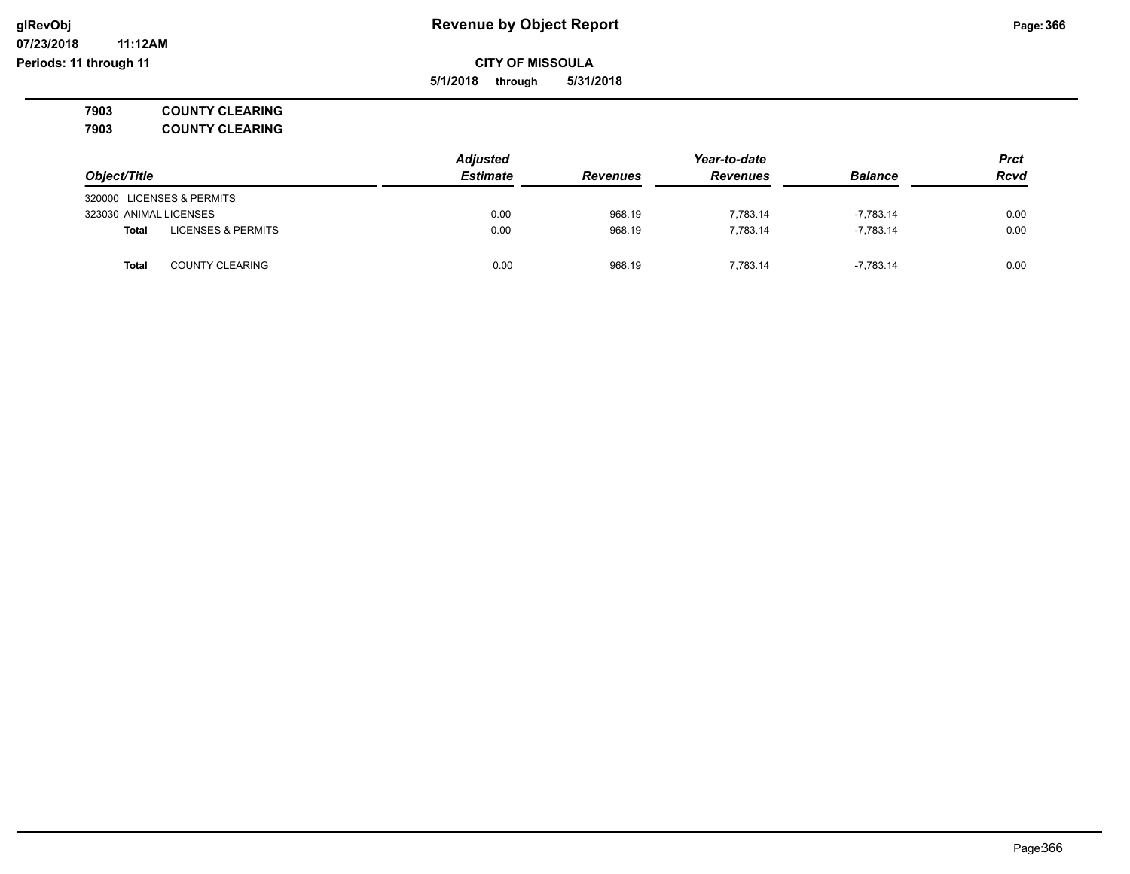**5/1/2018 through 5/31/2018**

**7903 COUNTY CLEARING**

**7903 COUNTY CLEARING**

|                                               | <b>Adjusted</b> |                 | Year-to-date    |                |             |  |
|-----------------------------------------------|-----------------|-----------------|-----------------|----------------|-------------|--|
| Object/Title                                  | <b>Estimate</b> | <b>Revenues</b> | <b>Revenues</b> | <b>Balance</b> | <b>Rcvd</b> |  |
| 320000 LICENSES & PERMITS                     |                 |                 |                 |                |             |  |
| 323030 ANIMAL LICENSES                        | 0.00            | 968.19          | 7.783.14        | $-7,783.14$    | 0.00        |  |
| <b>LICENSES &amp; PERMITS</b><br><b>Total</b> | 0.00            | 968.19          | 7.783.14        | $-7.783.14$    | 0.00        |  |
| <b>COUNTY CLEARING</b><br><b>Total</b>        | 0.00            | 968.19          | 7.783.14        | $-7.783.14$    | 0.00        |  |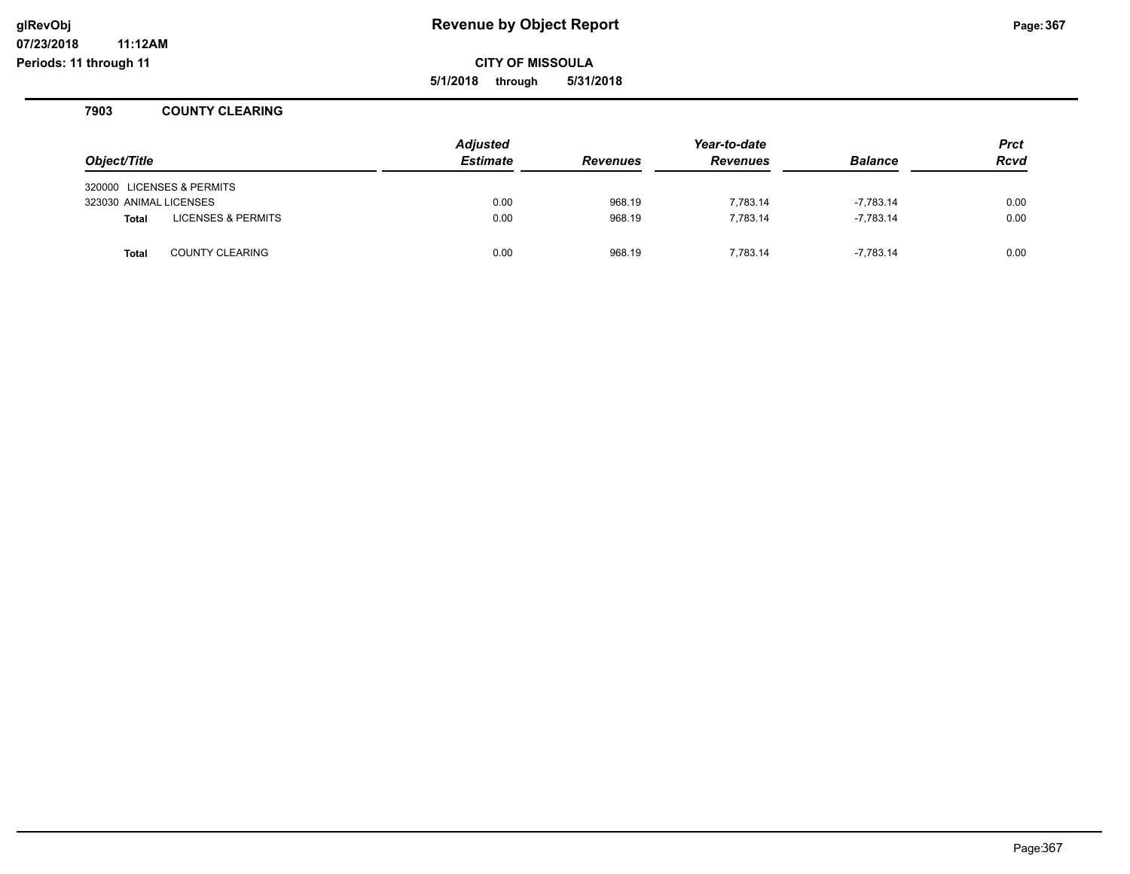**CITY OF MISSOULA**

**5/1/2018 through 5/31/2018**

#### **7903 COUNTY CLEARING**

**11:12AM**

| Object/Title           |                               | <b>Adjusted</b><br><b>Estimate</b> | <b>Revenues</b> | Year-to-date<br><b>Revenues</b> | <b>Balance</b> | <b>Prct</b><br><b>Rcvd</b> |
|------------------------|-------------------------------|------------------------------------|-----------------|---------------------------------|----------------|----------------------------|
|                        | 320000 LICENSES & PERMITS     |                                    |                 |                                 |                |                            |
| 323030 ANIMAL LICENSES |                               | 0.00                               | 968.19          | 7.783.14                        | $-7.783.14$    | 0.00                       |
| <b>Total</b>           | <b>LICENSES &amp; PERMITS</b> | 0.00                               | 968.19          | 7.783.14                        | $-7.783.14$    | 0.00                       |
| Total                  | <b>COUNTY CLEARING</b>        | 0.00                               | 968.19          | 7.783.14                        | $-7.783.14$    | 0.00                       |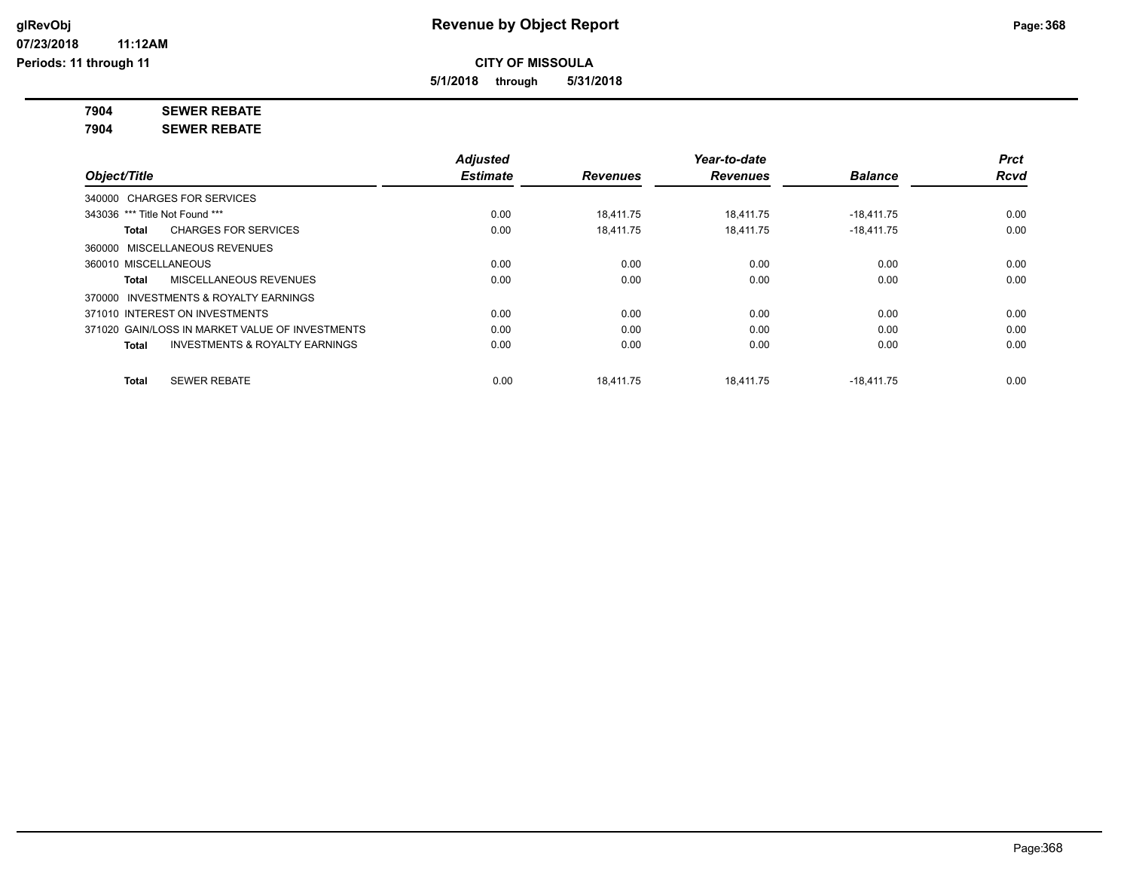**5/1/2018 through 5/31/2018**

**7904 SEWER REBATE**

**7904 SEWER REBATE**

|                                                           | <b>Adjusted</b> |                 | Year-to-date    |                | <b>Prct</b> |
|-----------------------------------------------------------|-----------------|-----------------|-----------------|----------------|-------------|
| Object/Title                                              | <b>Estimate</b> | <b>Revenues</b> | <b>Revenues</b> | <b>Balance</b> | <b>Rcvd</b> |
| 340000 CHARGES FOR SERVICES                               |                 |                 |                 |                |             |
| 343036 *** Title Not Found ***                            | 0.00            | 18,411.75       | 18,411.75       | $-18,411.75$   | 0.00        |
| <b>CHARGES FOR SERVICES</b><br>Total                      | 0.00            | 18,411.75       | 18,411.75       | $-18,411.75$   | 0.00        |
| MISCELLANEOUS REVENUES<br>360000                          |                 |                 |                 |                |             |
| 360010 MISCELLANEOUS                                      | 0.00            | 0.00            | 0.00            | 0.00           | 0.00        |
| MISCELLANEOUS REVENUES<br>Total                           | 0.00            | 0.00            | 0.00            | 0.00           | 0.00        |
| 370000 INVESTMENTS & ROYALTY EARNINGS                     |                 |                 |                 |                |             |
| 371010 INTEREST ON INVESTMENTS                            | 0.00            | 0.00            | 0.00            | 0.00           | 0.00        |
| 371020 GAIN/LOSS IN MARKET VALUE OF INVESTMENTS           | 0.00            | 0.00            | 0.00            | 0.00           | 0.00        |
| <b>INVESTMENTS &amp; ROYALTY EARNINGS</b><br><b>Total</b> | 0.00            | 0.00            | 0.00            | 0.00           | 0.00        |
| <b>SEWER REBATE</b><br>Total                              | 0.00            | 18.411.75       | 18.411.75       | $-18.411.75$   | 0.00        |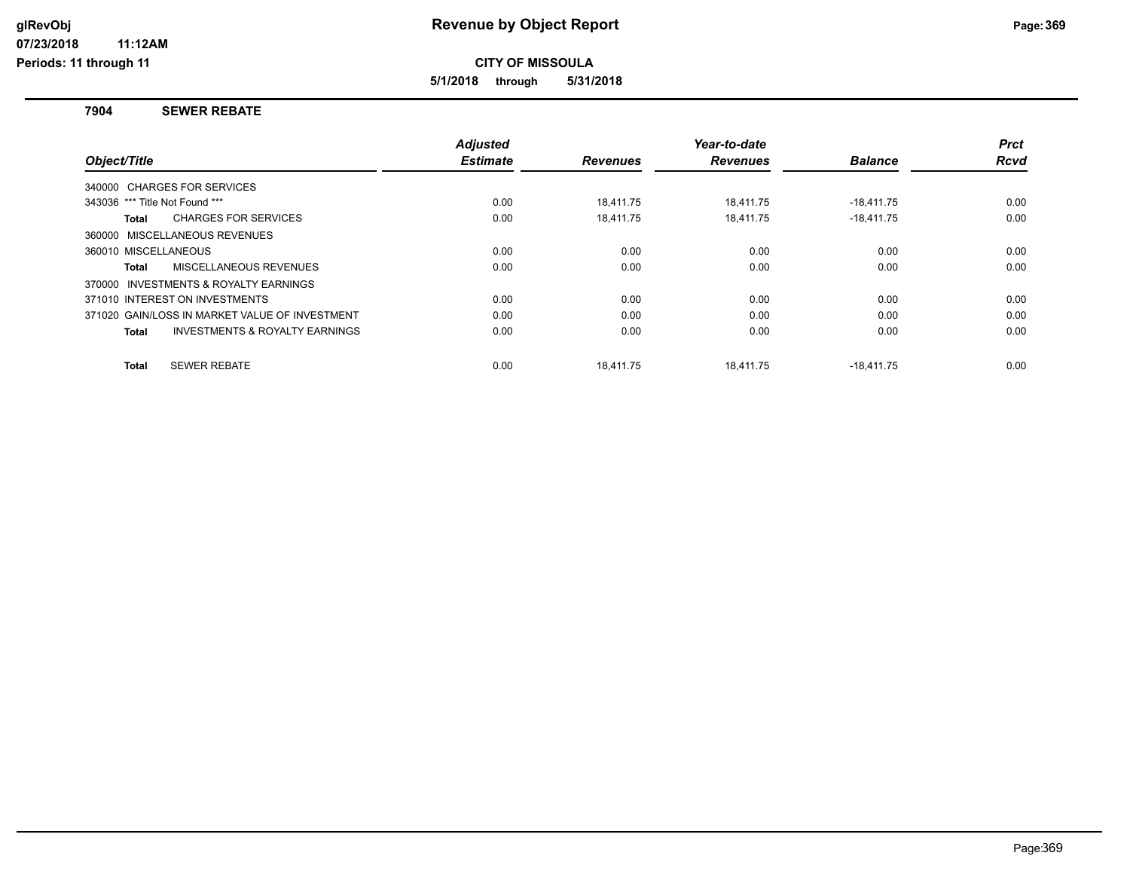**CITY OF MISSOULA**

**5/1/2018 through 5/31/2018**

# **7904 SEWER REBATE**

**11:12AM**

|                                                    | <b>Adjusted</b> |                 | Year-to-date    |                | <b>Prct</b> |
|----------------------------------------------------|-----------------|-----------------|-----------------|----------------|-------------|
| Object/Title                                       | <b>Estimate</b> | <b>Revenues</b> | <b>Revenues</b> | <b>Balance</b> | <b>Rcvd</b> |
| 340000 CHARGES FOR SERVICES                        |                 |                 |                 |                |             |
| 343036 *** Title Not Found ***                     | 0.00            | 18.411.75       | 18.411.75       | $-18.411.75$   | 0.00        |
| <b>CHARGES FOR SERVICES</b><br>Total               | 0.00            | 18.411.75       | 18.411.75       | $-18,411.75$   | 0.00        |
| 360000 MISCELLANEOUS REVENUES                      |                 |                 |                 |                |             |
| 360010 MISCELLANEOUS                               | 0.00            | 0.00            | 0.00            | 0.00           | 0.00        |
| MISCELLANEOUS REVENUES<br>Total                    | 0.00            | 0.00            | 0.00            | 0.00           | 0.00        |
| 370000 INVESTMENTS & ROYALTY EARNINGS              |                 |                 |                 |                |             |
| 371010 INTEREST ON INVESTMENTS                     | 0.00            | 0.00            | 0.00            | 0.00           | 0.00        |
| 371020 GAIN/LOSS IN MARKET VALUE OF INVESTMENT     | 0.00            | 0.00            | 0.00            | 0.00           | 0.00        |
| <b>INVESTMENTS &amp; ROYALTY EARNINGS</b><br>Total | 0.00            | 0.00            | 0.00            | 0.00           | 0.00        |
| <b>SEWER REBATE</b><br><b>Total</b>                | 0.00            | 18.411.75       | 18.411.75       | $-18.411.75$   | 0.00        |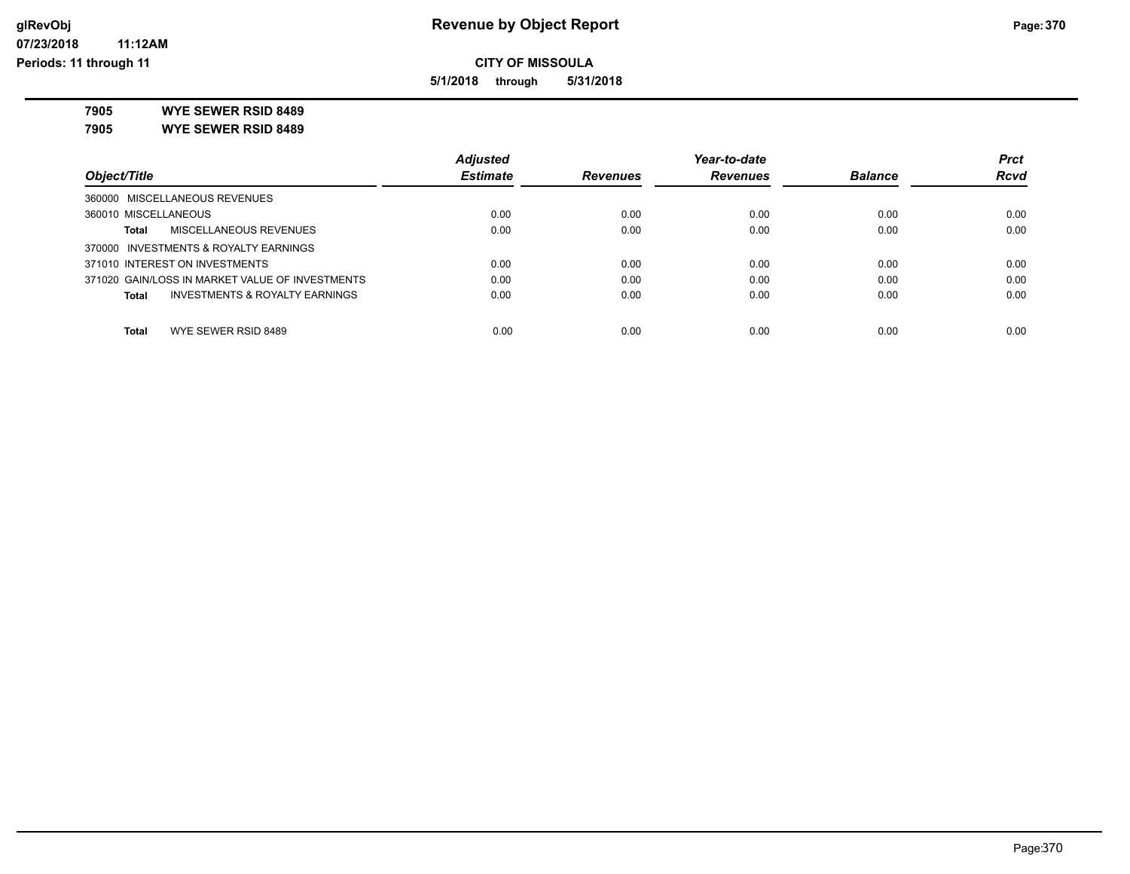**5/1/2018 through 5/31/2018**

**7905 WYE SEWER RSID 8489**

**7905 WYE SEWER RSID 8489**

|                                                 | <b>Adjusted</b> |                 | Year-to-date    |                | <b>Prct</b> |
|-------------------------------------------------|-----------------|-----------------|-----------------|----------------|-------------|
| Object/Title                                    | <b>Estimate</b> | <b>Revenues</b> | <b>Revenues</b> | <b>Balance</b> | <b>Rcvd</b> |
| 360000 MISCELLANEOUS REVENUES                   |                 |                 |                 |                |             |
| 360010 MISCELLANEOUS                            | 0.00            | 0.00            | 0.00            | 0.00           | 0.00        |
| MISCELLANEOUS REVENUES<br>Total                 | 0.00            | 0.00            | 0.00            | 0.00           | 0.00        |
| 370000 INVESTMENTS & ROYALTY EARNINGS           |                 |                 |                 |                |             |
| 371010 INTEREST ON INVESTMENTS                  | 0.00            | 0.00            | 0.00            | 0.00           | 0.00        |
| 371020 GAIN/LOSS IN MARKET VALUE OF INVESTMENTS | 0.00            | 0.00            | 0.00            | 0.00           | 0.00        |
| INVESTMENTS & ROYALTY EARNINGS<br>Total         | 0.00            | 0.00            | 0.00            | 0.00           | 0.00        |
|                                                 |                 |                 |                 |                |             |
| WYE SEWER RSID 8489<br><b>Total</b>             | 0.00            | 0.00            | 0.00            | 0.00           | 0.00        |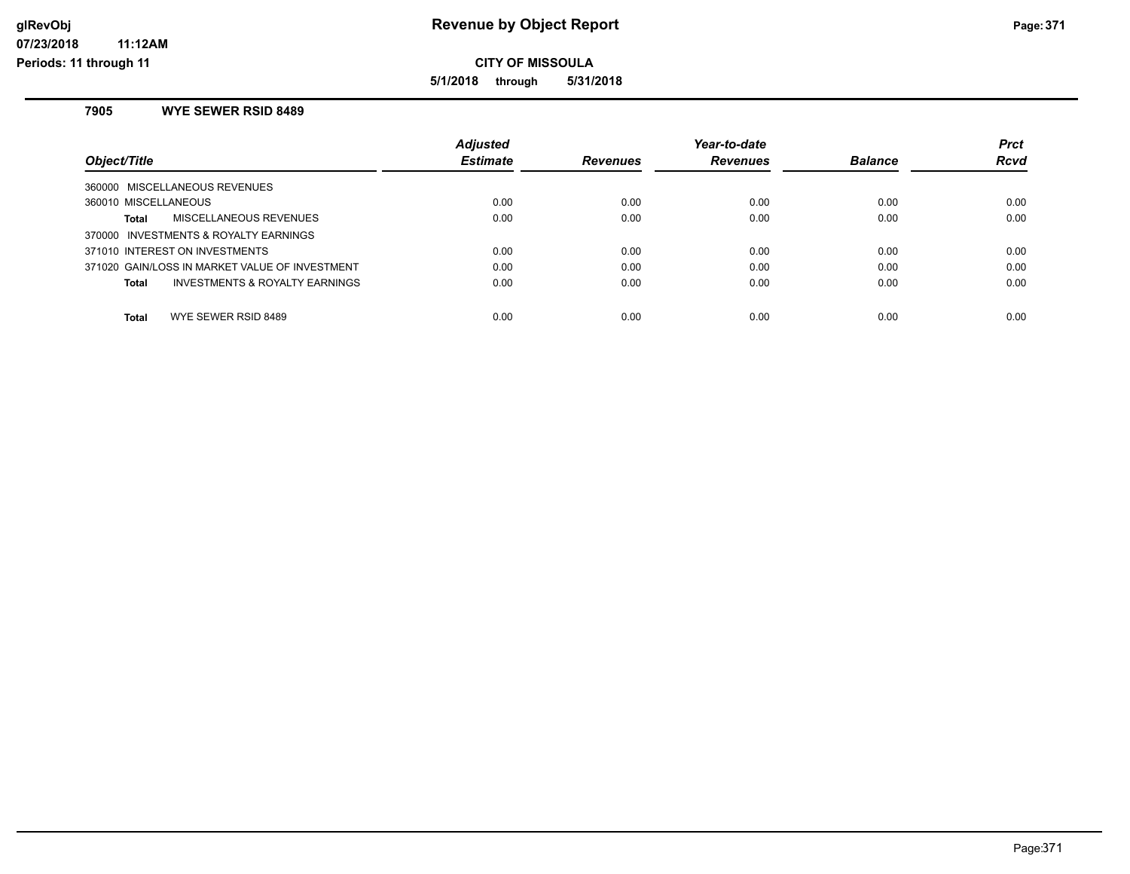**CITY OF MISSOULA**

**5/1/2018 through 5/31/2018**

## **7905 WYE SEWER RSID 8489**

|                                                | <b>Adjusted</b> |                 | Year-to-date    |                | <b>Prct</b> |
|------------------------------------------------|-----------------|-----------------|-----------------|----------------|-------------|
| Object/Title                                   | <b>Estimate</b> | <b>Revenues</b> | <b>Revenues</b> | <b>Balance</b> | <b>Rcvd</b> |
| 360000 MISCELLANEOUS REVENUES                  |                 |                 |                 |                |             |
| 360010 MISCELLANEOUS                           | 0.00            | 0.00            | 0.00            | 0.00           | 0.00        |
| MISCELLANEOUS REVENUES<br>Total                | 0.00            | 0.00            | 0.00            | 0.00           | 0.00        |
| 370000 INVESTMENTS & ROYALTY EARNINGS          |                 |                 |                 |                |             |
| 371010 INTEREST ON INVESTMENTS                 | 0.00            | 0.00            | 0.00            | 0.00           | 0.00        |
| 371020 GAIN/LOSS IN MARKET VALUE OF INVESTMENT | 0.00            | 0.00            | 0.00            | 0.00           | 0.00        |
| INVESTMENTS & ROYALTY EARNINGS<br>Total        | 0.00            | 0.00            | 0.00            | 0.00           | 0.00        |
|                                                |                 |                 |                 |                |             |
| Total<br>WYE SEWER RSID 8489                   | 0.00            | 0.00            | 0.00            | 0.00           | 0.00        |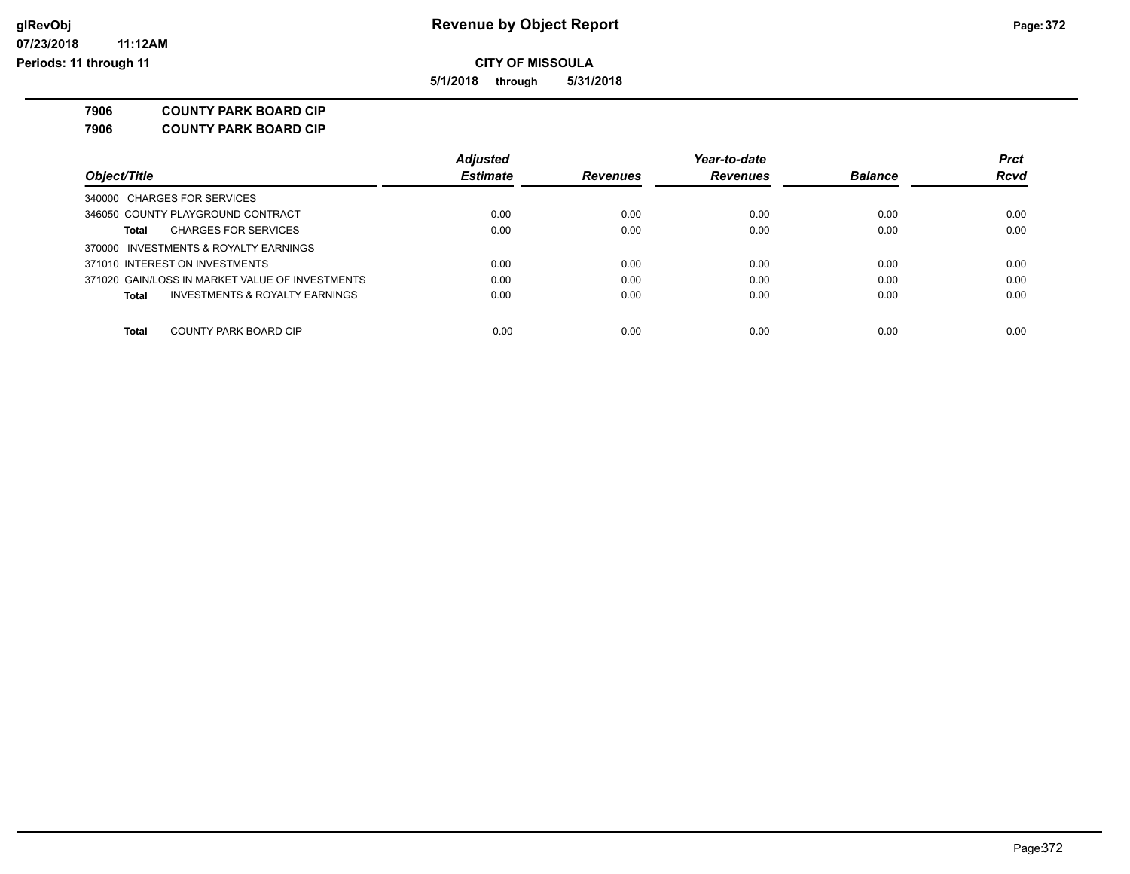**5/1/2018 through 5/31/2018**

**7906 COUNTY PARK BOARD CIP**

**7906 COUNTY PARK BOARD CIP**

|                                                 | <b>Adjusted</b> |                 | Year-to-date    |                | <b>Prct</b> |
|-------------------------------------------------|-----------------|-----------------|-----------------|----------------|-------------|
| Object/Title                                    | <b>Estimate</b> | <b>Revenues</b> | <b>Revenues</b> | <b>Balance</b> | <b>Rcvd</b> |
| 340000 CHARGES FOR SERVICES                     |                 |                 |                 |                |             |
| 346050 COUNTY PLAYGROUND CONTRACT               | 0.00            | 0.00            | 0.00            | 0.00           | 0.00        |
| <b>CHARGES FOR SERVICES</b><br>Total            | 0.00            | 0.00            | 0.00            | 0.00           | 0.00        |
| 370000 INVESTMENTS & ROYALTY EARNINGS           |                 |                 |                 |                |             |
| 371010 INTEREST ON INVESTMENTS                  | 0.00            | 0.00            | 0.00            | 0.00           | 0.00        |
| 371020 GAIN/LOSS IN MARKET VALUE OF INVESTMENTS | 0.00            | 0.00            | 0.00            | 0.00           | 0.00        |
| INVESTMENTS & ROYALTY EARNINGS<br>Total         | 0.00            | 0.00            | 0.00            | 0.00           | 0.00        |
|                                                 |                 |                 |                 |                |             |
| COUNTY PARK BOARD CIP<br>Total                  | 0.00            | 0.00            | 0.00            | 0.00           | 0.00        |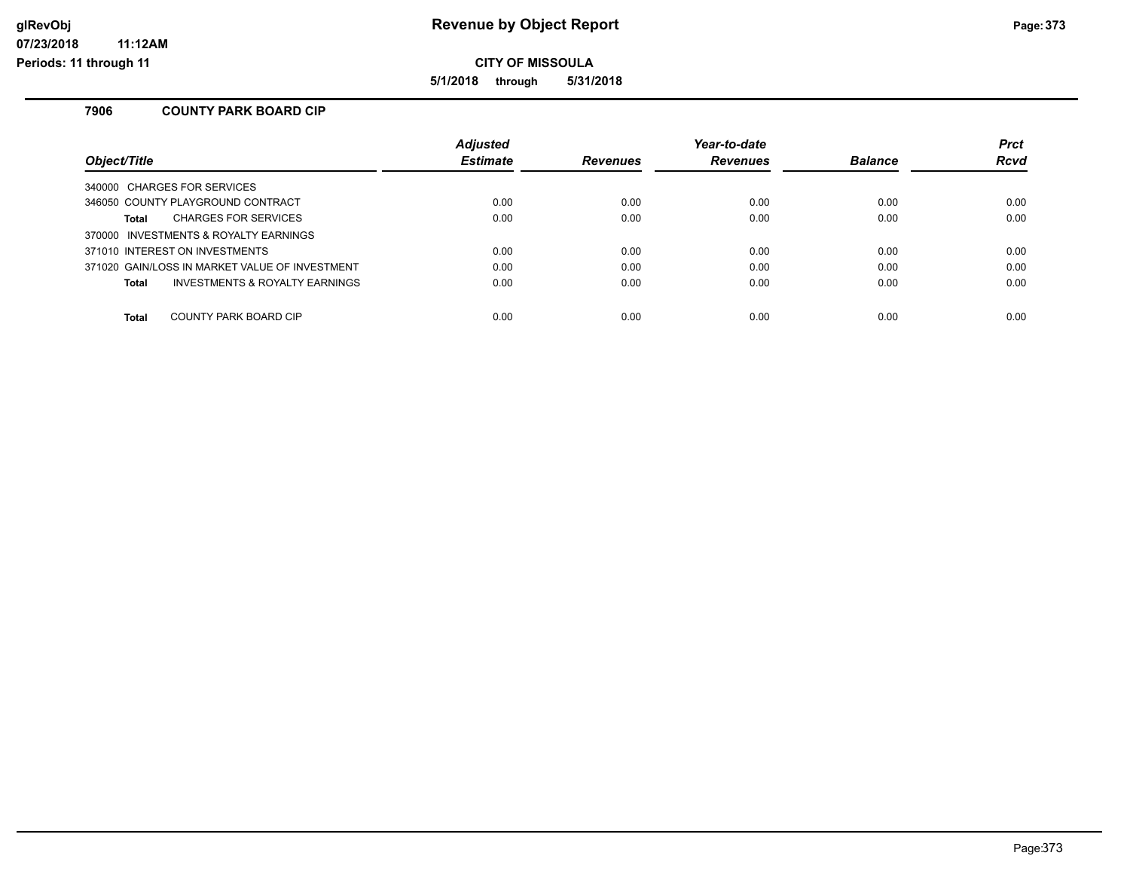**CITY OF MISSOULA**

**5/1/2018 through 5/31/2018**

# **7906 COUNTY PARK BOARD CIP**

**11:12AM**

|                                                | <b>Adjusted</b> |                 | Year-to-date    |                | <b>Prct</b> |
|------------------------------------------------|-----------------|-----------------|-----------------|----------------|-------------|
| <b>Object/Title</b>                            | <b>Estimate</b> | <b>Revenues</b> | <b>Revenues</b> | <b>Balance</b> | <b>Rcvd</b> |
| 340000 CHARGES FOR SERVICES                    |                 |                 |                 |                |             |
| 346050 COUNTY PLAYGROUND CONTRACT              | 0.00            | 0.00            | 0.00            | 0.00           | 0.00        |
| <b>CHARGES FOR SERVICES</b><br>Total           | 0.00            | 0.00            | 0.00            | 0.00           | 0.00        |
| 370000 INVESTMENTS & ROYALTY EARNINGS          |                 |                 |                 |                |             |
| 371010 INTEREST ON INVESTMENTS                 | 0.00            | 0.00            | 0.00            | 0.00           | 0.00        |
| 371020 GAIN/LOSS IN MARKET VALUE OF INVESTMENT | 0.00            | 0.00            | 0.00            | 0.00           | 0.00        |
| INVESTMENTS & ROYALTY EARNINGS<br>Total        | 0.00            | 0.00            | 0.00            | 0.00           | 0.00        |
| Total<br>COUNTY PARK BOARD CIP                 | 0.00            | 0.00            | 0.00            | 0.00           | 0.00        |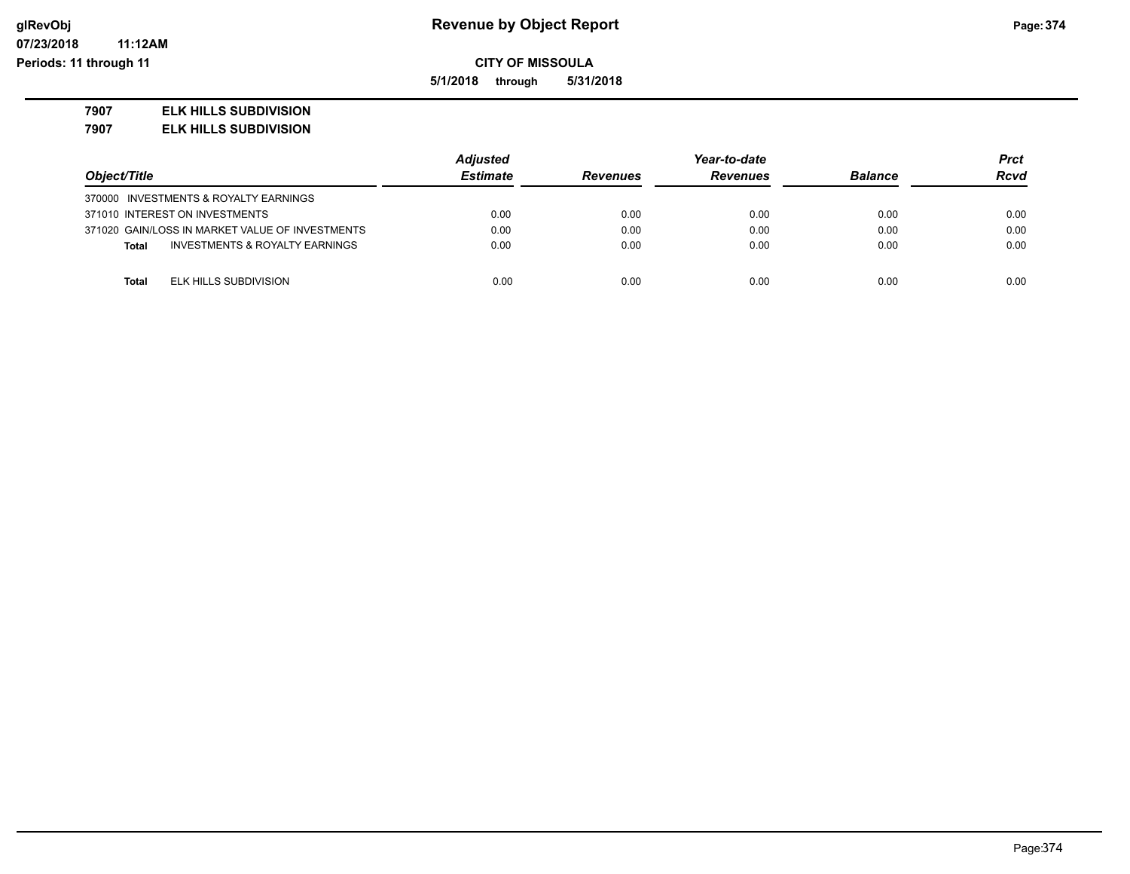**5/1/2018 through 5/31/2018**

# **7907 ELK HILLS SUBDIVISION**

**7907 ELK HILLS SUBDIVISION**

|                                                 | <b>Adjusted</b> |                 | Year-to-date    |                | Prct |
|-------------------------------------------------|-----------------|-----------------|-----------------|----------------|------|
| Object/Title                                    | <b>Estimate</b> | <b>Revenues</b> | <b>Revenues</b> | <b>Balance</b> | Rcvd |
| 370000 INVESTMENTS & ROYALTY EARNINGS           |                 |                 |                 |                |      |
| 371010 INTEREST ON INVESTMENTS                  | 0.00            | 0.00            | 0.00            | 0.00           | 0.00 |
| 371020 GAIN/LOSS IN MARKET VALUE OF INVESTMENTS | 0.00            | 0.00            | 0.00            | 0.00           | 0.00 |
| INVESTMENTS & ROYALTY EARNINGS<br><b>Total</b>  | 0.00            | 0.00            | 0.00            | 0.00           | 0.00 |
| <b>Total</b><br>ELK HILLS SUBDIVISION           | 0.00            | 0.00            | 0.00            | 0.00           | 0.00 |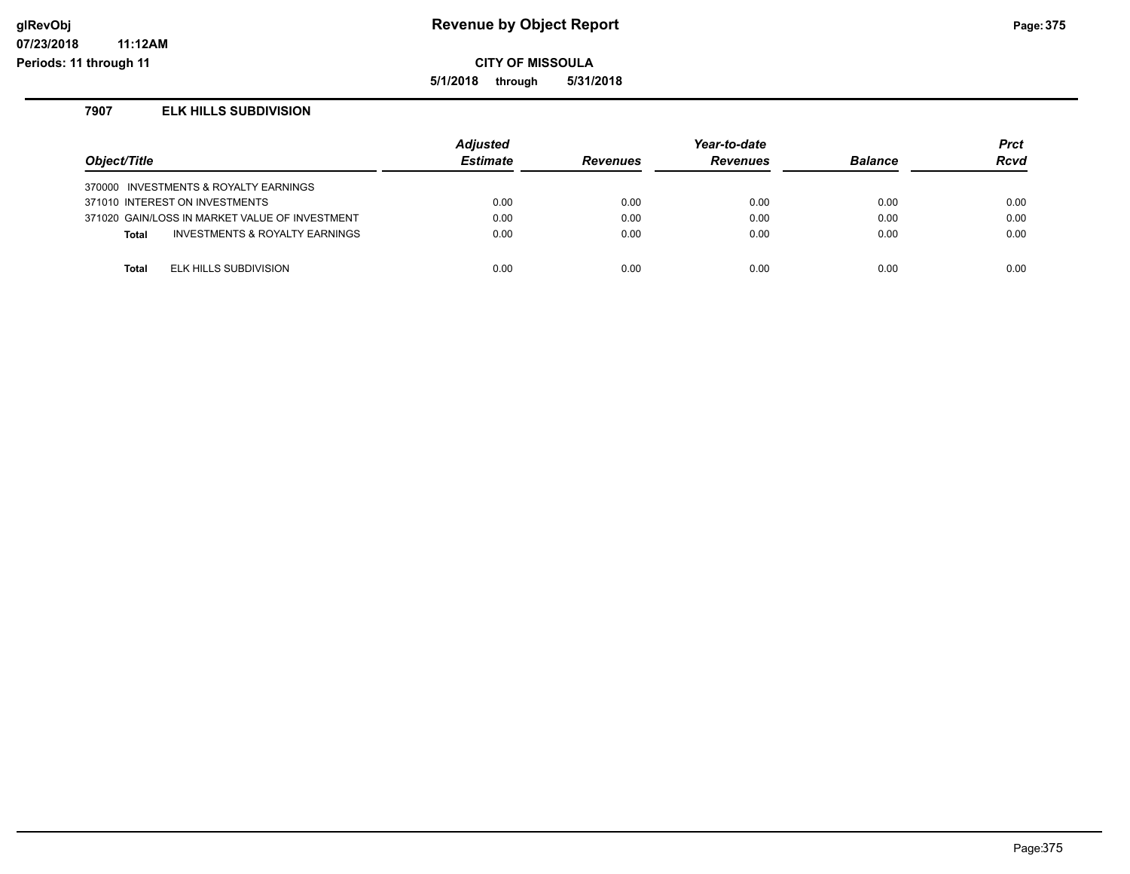**CITY OF MISSOULA**

**5/1/2018 through 5/31/2018**

#### **7907 ELK HILLS SUBDIVISION**

| Object/Title |                                                | <b>Adjusted</b><br><b>Estimate</b> | <b>Revenues</b> | Year-to-date<br><b>Revenues</b> | <b>Balance</b> | <b>Prct</b><br><b>Rcvd</b> |
|--------------|------------------------------------------------|------------------------------------|-----------------|---------------------------------|----------------|----------------------------|
|              | 370000 INVESTMENTS & ROYALTY EARNINGS          |                                    |                 |                                 |                |                            |
|              | 371010 INTEREST ON INVESTMENTS                 | 0.00                               | 0.00            | 0.00                            | 0.00           | 0.00                       |
|              | 371020 GAIN/LOSS IN MARKET VALUE OF INVESTMENT | 0.00                               | 0.00            | 0.00                            | 0.00           | 0.00                       |
| <b>Total</b> | INVESTMENTS & ROYALTY EARNINGS                 | 0.00                               | 0.00            | 0.00                            | 0.00           | 0.00                       |
|              |                                                |                                    |                 |                                 |                |                            |
| <b>Total</b> | <b>ELK HILLS SUBDIVISION</b>                   | 0.00                               | 0.00            | 0.00                            | 0.00           | 0.00                       |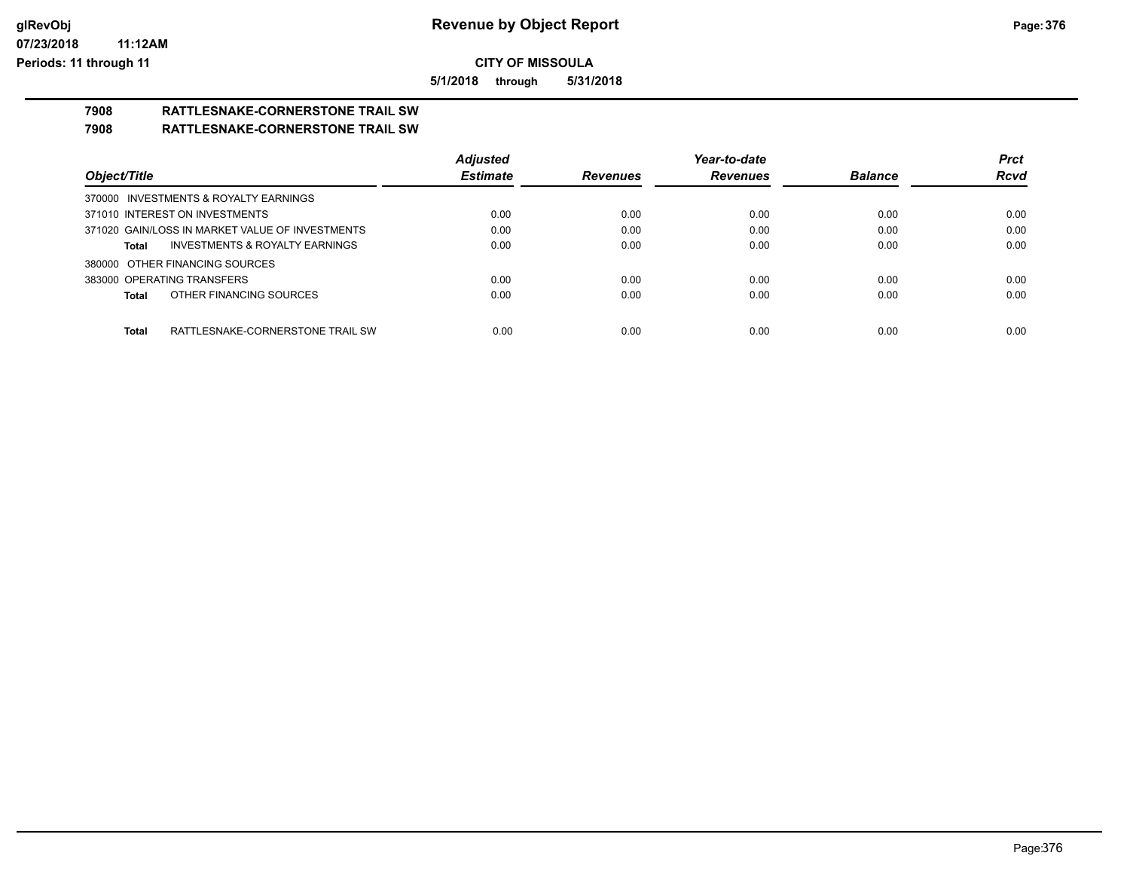**5/1/2018 through 5/31/2018**

# **7908 RATTLESNAKE-CORNERSTONE TRAIL SW**

# **7908 RATTLESNAKE-CORNERSTONE TRAIL SW**

|                                                 | <b>Adjusted</b> |                 | Year-to-date    |                | <b>Prct</b> |
|-------------------------------------------------|-----------------|-----------------|-----------------|----------------|-------------|
| Object/Title                                    | <b>Estimate</b> | <b>Revenues</b> | <b>Revenues</b> | <b>Balance</b> | <b>Rcvd</b> |
| 370000 INVESTMENTS & ROYALTY EARNINGS           |                 |                 |                 |                |             |
| 371010 INTEREST ON INVESTMENTS                  | 0.00            | 0.00            | 0.00            | 0.00           | 0.00        |
| 371020 GAIN/LOSS IN MARKET VALUE OF INVESTMENTS | 0.00            | 0.00            | 0.00            | 0.00           | 0.00        |
| INVESTMENTS & ROYALTY EARNINGS<br>Total         | 0.00            | 0.00            | 0.00            | 0.00           | 0.00        |
| 380000 OTHER FINANCING SOURCES                  |                 |                 |                 |                |             |
| 383000 OPERATING TRANSFERS                      | 0.00            | 0.00            | 0.00            | 0.00           | 0.00        |
| OTHER FINANCING SOURCES<br>Total                | 0.00            | 0.00            | 0.00            | 0.00           | 0.00        |
|                                                 |                 |                 |                 |                |             |
| Total<br>RATTLESNAKE-CORNERSTONE TRAIL SW       | 0.00            | 0.00            | 0.00            | 0.00           | 0.00        |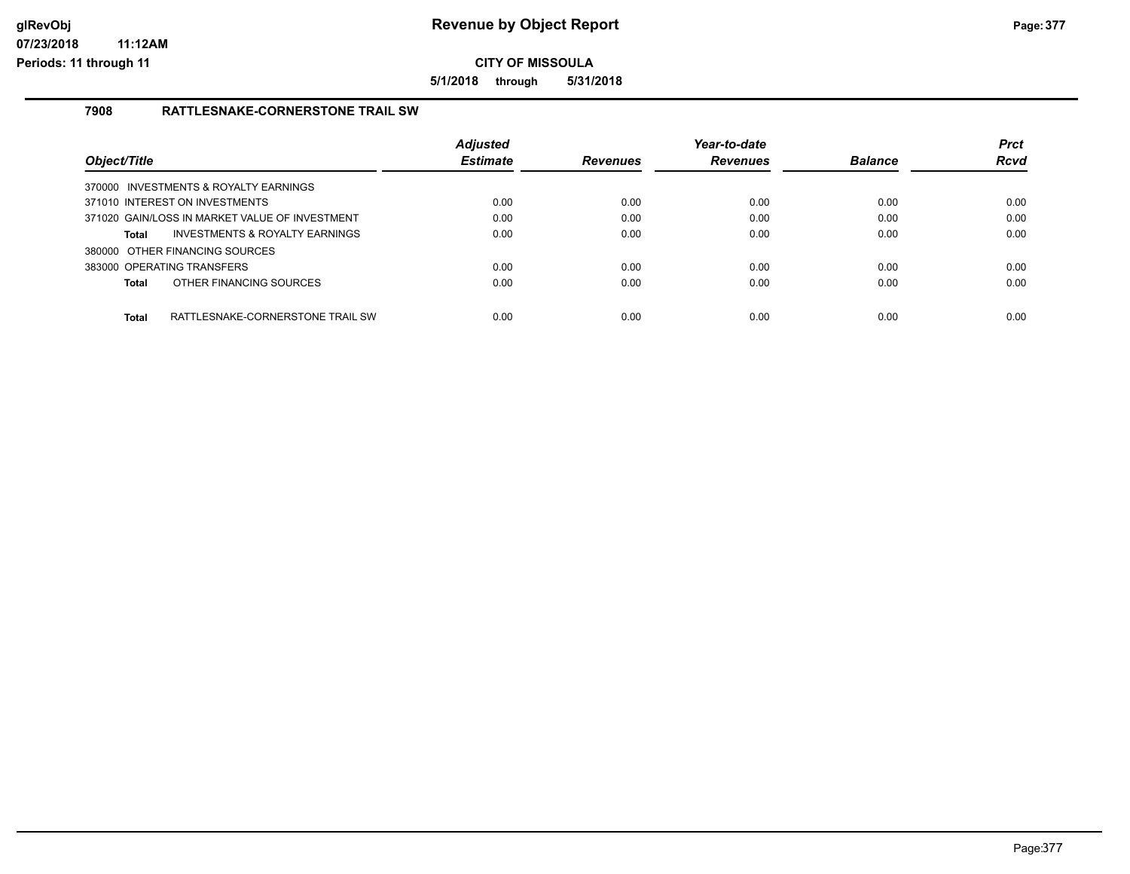**5/1/2018 through 5/31/2018**

# **7908 RATTLESNAKE-CORNERSTONE TRAIL SW**

| Object/Title                                   | <b>Adjusted</b><br><b>Estimate</b> | <b>Revenues</b> | Year-to-date<br><b>Revenues</b> | <b>Balance</b> | <b>Prct</b><br><b>Rcvd</b> |
|------------------------------------------------|------------------------------------|-----------------|---------------------------------|----------------|----------------------------|
|                                                |                                    |                 |                                 |                |                            |
| 370000 INVESTMENTS & ROYALTY EARNINGS          |                                    |                 |                                 |                |                            |
| 371010 INTEREST ON INVESTMENTS                 | 0.00                               | 0.00            | 0.00                            | 0.00           | 0.00                       |
| 371020 GAIN/LOSS IN MARKET VALUE OF INVESTMENT | 0.00                               | 0.00            | 0.00                            | 0.00           | 0.00                       |
| INVESTMENTS & ROYALTY EARNINGS<br>Total        | 0.00                               | 0.00            | 0.00                            | 0.00           | 0.00                       |
| 380000 OTHER FINANCING SOURCES                 |                                    |                 |                                 |                |                            |
| 383000 OPERATING TRANSFERS                     | 0.00                               | 0.00            | 0.00                            | 0.00           | 0.00                       |
| OTHER FINANCING SOURCES<br>Total               | 0.00                               | 0.00            | 0.00                            | 0.00           | 0.00                       |
|                                                |                                    |                 |                                 |                |                            |
| Total<br>RATTLESNAKE-CORNERSTONE TRAIL SW      | 0.00                               | 0.00            | 0.00                            | 0.00           | 0.00                       |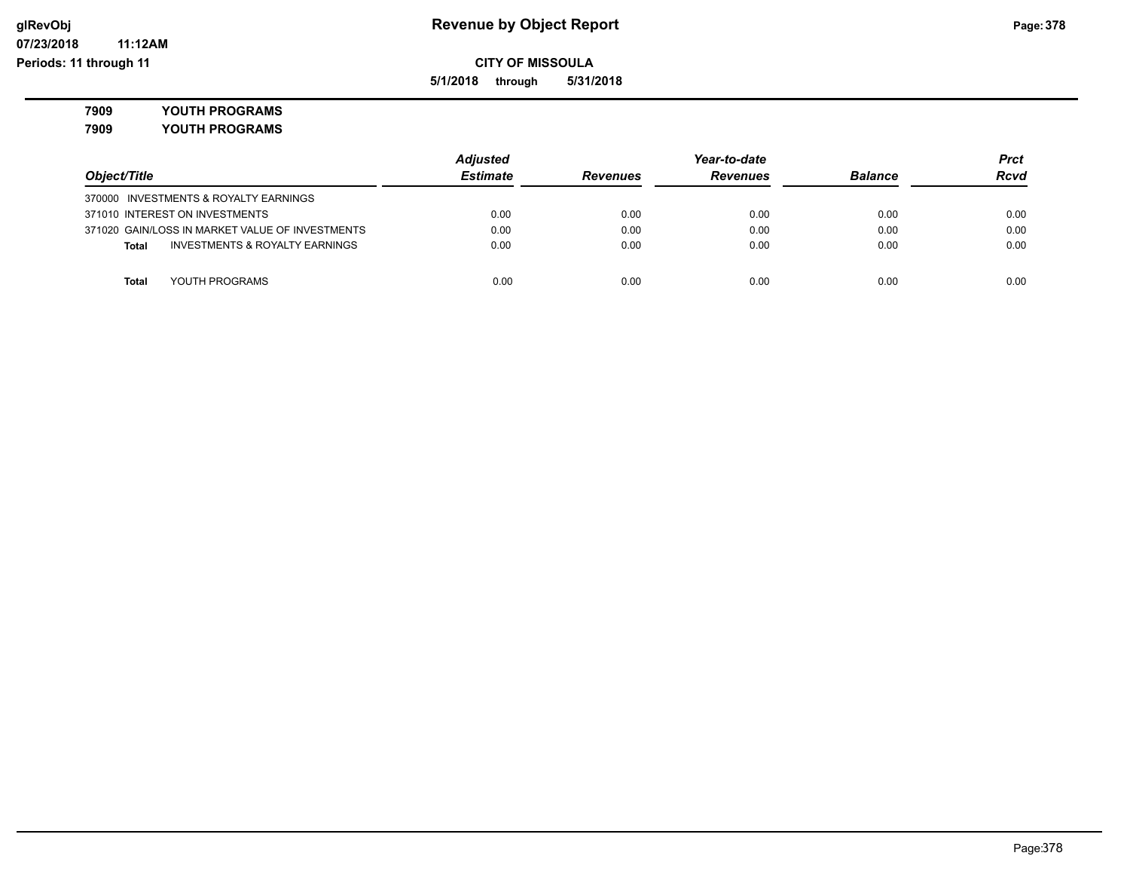**5/1/2018 through 5/31/2018**

# **7909 YOUTH PROGRAMS**

**7909 YOUTH PROGRAMS**

|                                                           | <b>Adjusted</b> | Year-to-date    |                 |                | Prct        |
|-----------------------------------------------------------|-----------------|-----------------|-----------------|----------------|-------------|
| Object/Title                                              | <b>Estimate</b> | <b>Revenues</b> | <b>Revenues</b> | <b>Balance</b> | <b>Rcvd</b> |
| 370000 INVESTMENTS & ROYALTY EARNINGS                     |                 |                 |                 |                |             |
| 371010 INTEREST ON INVESTMENTS                            | 0.00            | 0.00            | 0.00            | 0.00           | 0.00        |
| 371020 GAIN/LOSS IN MARKET VALUE OF INVESTMENTS           | 0.00            | 0.00            | 0.00            | 0.00           | 0.00        |
| <b>INVESTMENTS &amp; ROYALTY EARNINGS</b><br><b>Total</b> | 0.00            | 0.00            | 0.00            | 0.00           | 0.00        |
|                                                           |                 |                 |                 |                |             |
| YOUTH PROGRAMS<br>Total                                   | 0.00            | 0.00            | 0.00            | 0.00           | 0.00        |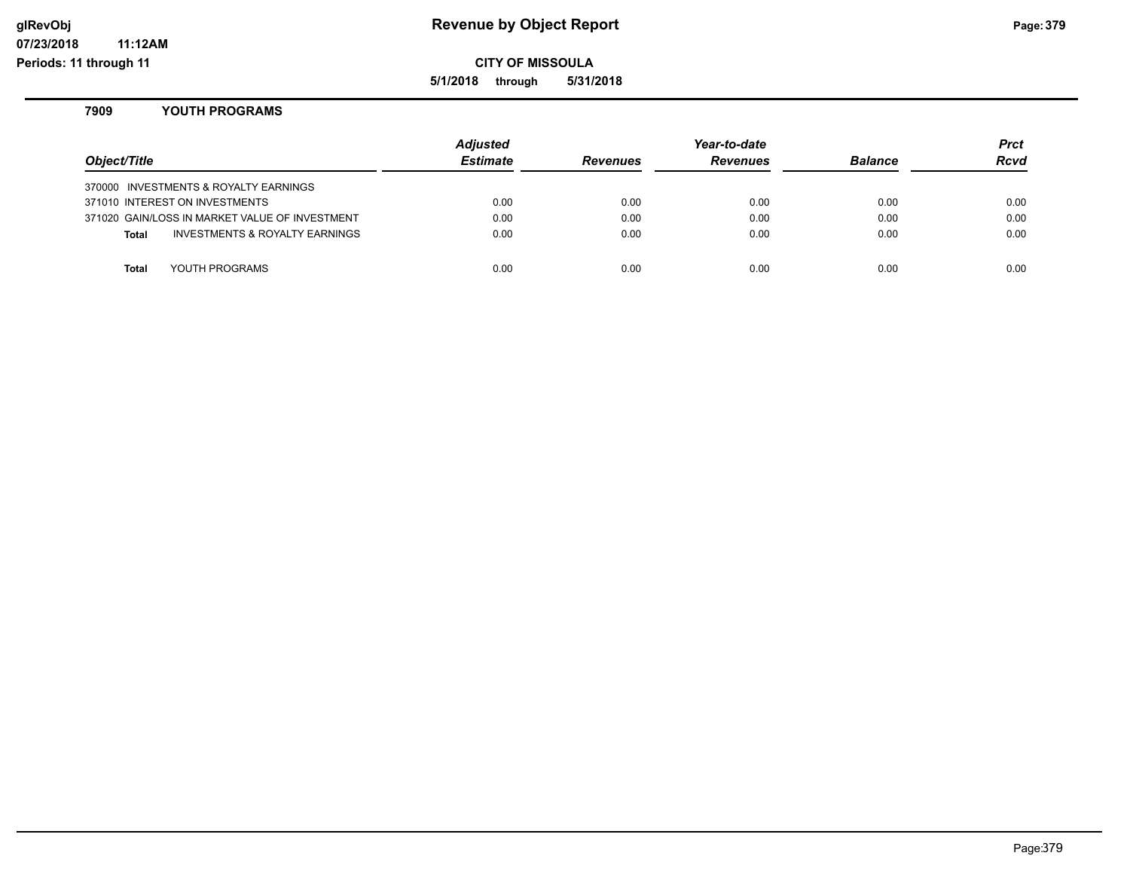**07/23/2018 11:12AM Periods: 11 through 11**

**CITY OF MISSOULA**

**5/1/2018 through 5/31/2018**

#### **7909 YOUTH PROGRAMS**

| Object/Title |                                                | Adjusted<br><b>Estimate</b> | <b>Revenues</b> | Year-to-date<br><b>Revenues</b> | <b>Balance</b> | <b>Prct</b><br><b>Rcvd</b> |
|--------------|------------------------------------------------|-----------------------------|-----------------|---------------------------------|----------------|----------------------------|
|              | 370000 INVESTMENTS & ROYALTY EARNINGS          |                             |                 |                                 |                |                            |
|              | 371010 INTEREST ON INVESTMENTS                 | 0.00                        | 0.00            | 0.00                            | 0.00           | 0.00                       |
|              | 371020 GAIN/LOSS IN MARKET VALUE OF INVESTMENT | 0.00                        | 0.00            | 0.00                            | 0.00           | 0.00                       |
| <b>Total</b> | INVESTMENTS & ROYALTY EARNINGS                 | 0.00                        | 0.00            | 0.00                            | 0.00           | 0.00                       |
|              |                                                |                             |                 |                                 |                |                            |
| Total        | YOUTH PROGRAMS                                 | 0.00                        | 0.00            | 0.00                            | 0.00           | 0.00                       |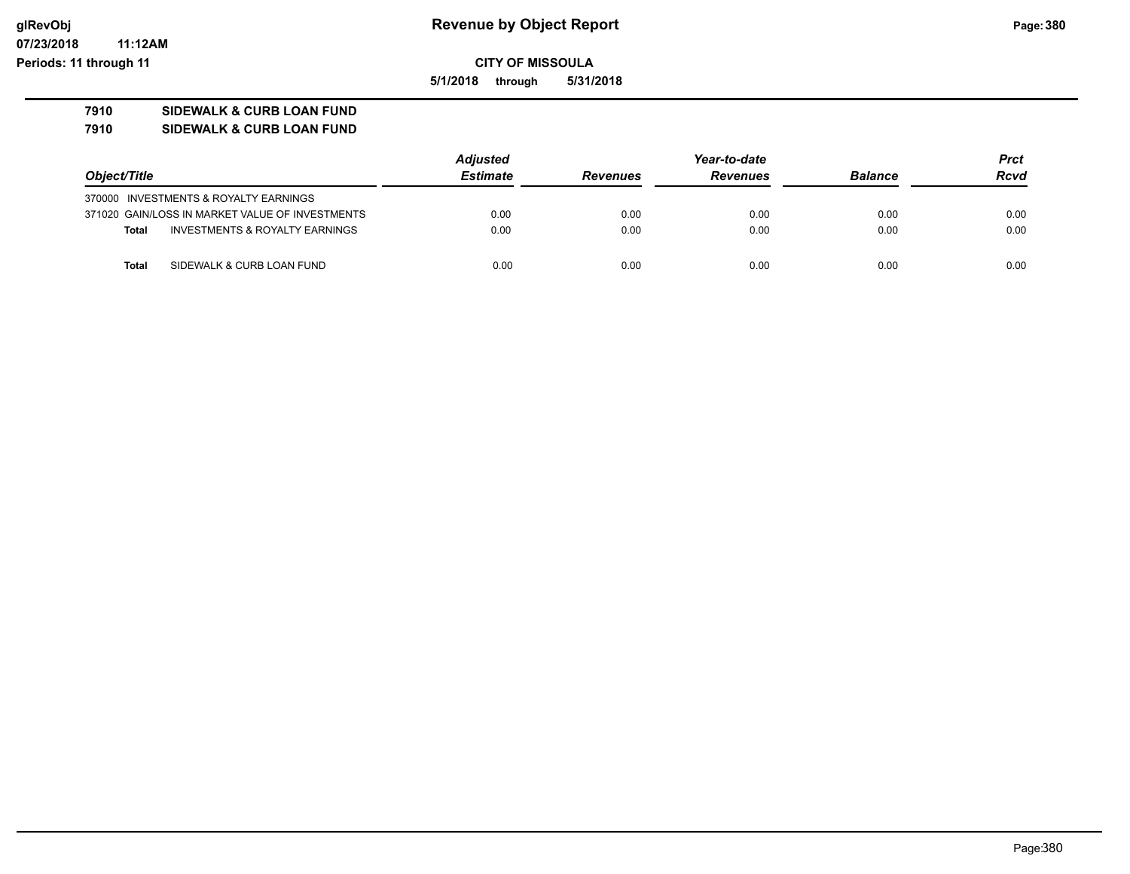**5/1/2018 through 5/31/2018**

# **7910 SIDEWALK & CURB LOAN FUND**

**7910 SIDEWALK & CURB LOAN FUND**

|                                                           | <b>Adjusted</b> |                 | Year-to-date    |                | Prct |
|-----------------------------------------------------------|-----------------|-----------------|-----------------|----------------|------|
| Object/Title                                              | <b>Estimate</b> | <b>Revenues</b> | <b>Revenues</b> | <b>Balance</b> | Rcvd |
| 370000 INVESTMENTS & ROYALTY EARNINGS                     |                 |                 |                 |                |      |
| 371020 GAIN/LOSS IN MARKET VALUE OF INVESTMENTS           | 0.00            | 0.00            | 0.00            | 0.00           | 0.00 |
| <b>INVESTMENTS &amp; ROYALTY EARNINGS</b><br><b>Total</b> | 0.00            | 0.00            | 0.00            | 0.00           | 0.00 |
| SIDEWALK & CURB LOAN FUND<br><b>Total</b>                 | 0.00            | 0.00            | 0.00            | 0.00           | 0.00 |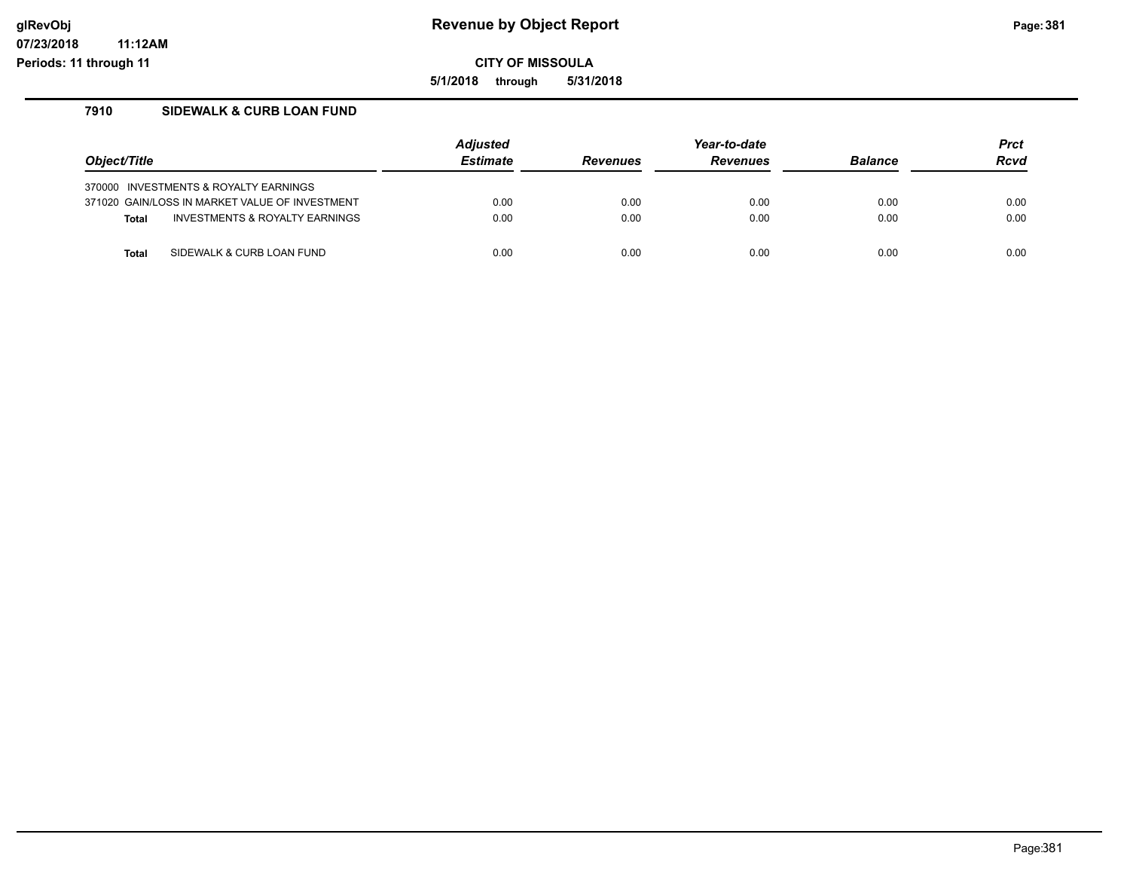**5/1/2018 through 5/31/2018**

# **7910 SIDEWALK & CURB LOAN FUND**

| Object/Title |                                                | <b>Adjusted</b><br><b>Estimate</b> | <b>Revenues</b> | Year-to-date<br><b>Revenues</b> | <b>Balance</b> | <b>Prct</b><br>Rcvd |
|--------------|------------------------------------------------|------------------------------------|-----------------|---------------------------------|----------------|---------------------|
|              | 370000 INVESTMENTS & ROYALTY EARNINGS          |                                    |                 |                                 |                |                     |
|              | 371020 GAIN/LOSS IN MARKET VALUE OF INVESTMENT | 0.00                               | 0.00            | 0.00                            | 0.00           | 0.00                |
| <b>Total</b> | INVESTMENTS & ROYALTY EARNINGS                 | 0.00                               | 0.00            | 0.00                            | 0.00           | 0.00                |
|              |                                                |                                    |                 |                                 |                |                     |
| Total        | SIDEWALK & CURB LOAN FUND                      | 0.00                               | 0.00            | 0.00                            | 0.00           | 0.00                |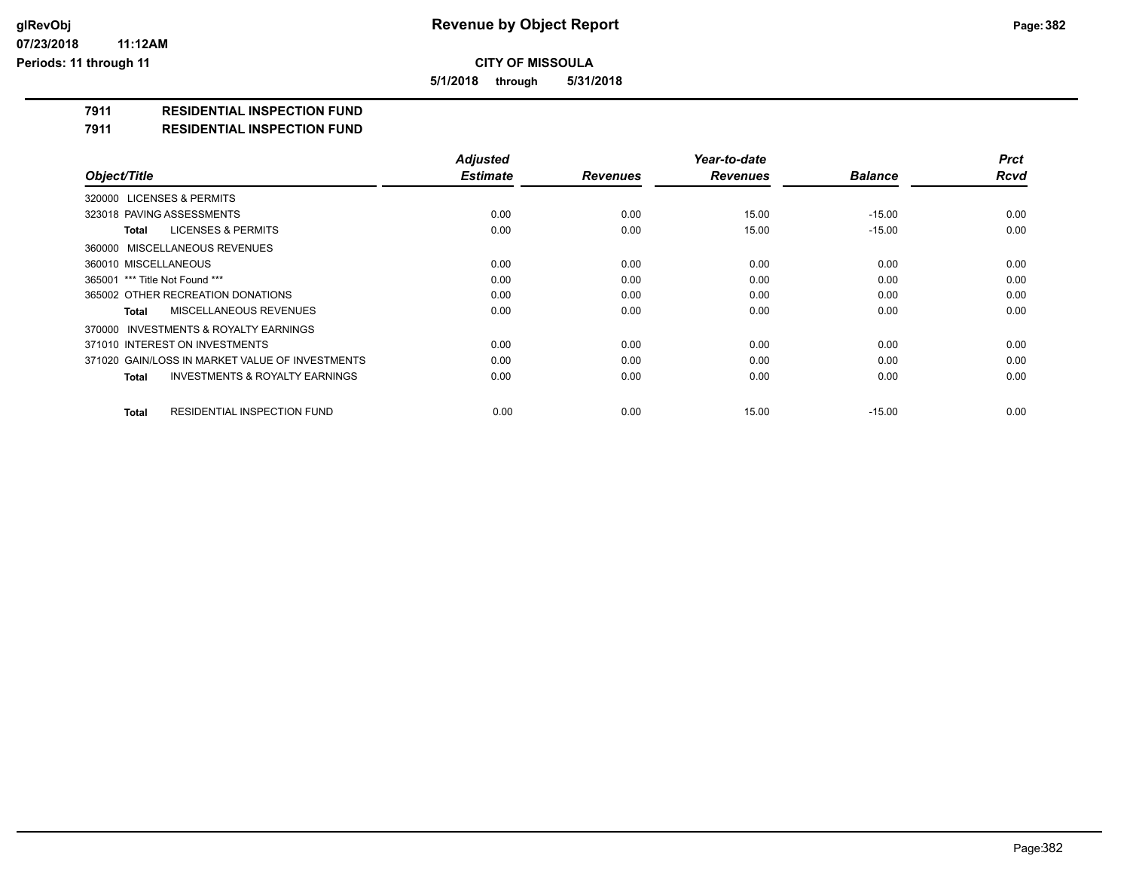**5/1/2018 through 5/31/2018**

**7911 RESIDENTIAL INSPECTION FUND**

**7911 RESIDENTIAL INSPECTION FUND**

|                                                    | <b>Adjusted</b> |                 | Year-to-date    |                | <b>Prct</b> |
|----------------------------------------------------|-----------------|-----------------|-----------------|----------------|-------------|
| Object/Title                                       | <b>Estimate</b> | <b>Revenues</b> | <b>Revenues</b> | <b>Balance</b> | <b>Rcvd</b> |
| 320000 LICENSES & PERMITS                          |                 |                 |                 |                |             |
| 323018 PAVING ASSESSMENTS                          | 0.00            | 0.00            | 15.00           | $-15.00$       | 0.00        |
| <b>LICENSES &amp; PERMITS</b><br>Total             | 0.00            | 0.00            | 15.00           | $-15.00$       | 0.00        |
| 360000 MISCELLANEOUS REVENUES                      |                 |                 |                 |                |             |
| 360010 MISCELLANEOUS                               | 0.00            | 0.00            | 0.00            | 0.00           | 0.00        |
| 365001 *** Title Not Found ***                     | 0.00            | 0.00            | 0.00            | 0.00           | 0.00        |
| 365002 OTHER RECREATION DONATIONS                  | 0.00            | 0.00            | 0.00            | 0.00           | 0.00        |
| MISCELLANEOUS REVENUES<br>Total                    | 0.00            | 0.00            | 0.00            | 0.00           | 0.00        |
| 370000 INVESTMENTS & ROYALTY EARNINGS              |                 |                 |                 |                |             |
| 371010 INTEREST ON INVESTMENTS                     | 0.00            | 0.00            | 0.00            | 0.00           | 0.00        |
| 371020 GAIN/LOSS IN MARKET VALUE OF INVESTMENTS    | 0.00            | 0.00            | 0.00            | 0.00           | 0.00        |
| <b>INVESTMENTS &amp; ROYALTY EARNINGS</b><br>Total | 0.00            | 0.00            | 0.00            | 0.00           | 0.00        |
| <b>RESIDENTIAL INSPECTION FUND</b><br>Total        | 0.00            | 0.00            | 15.00           | $-15.00$       | 0.00        |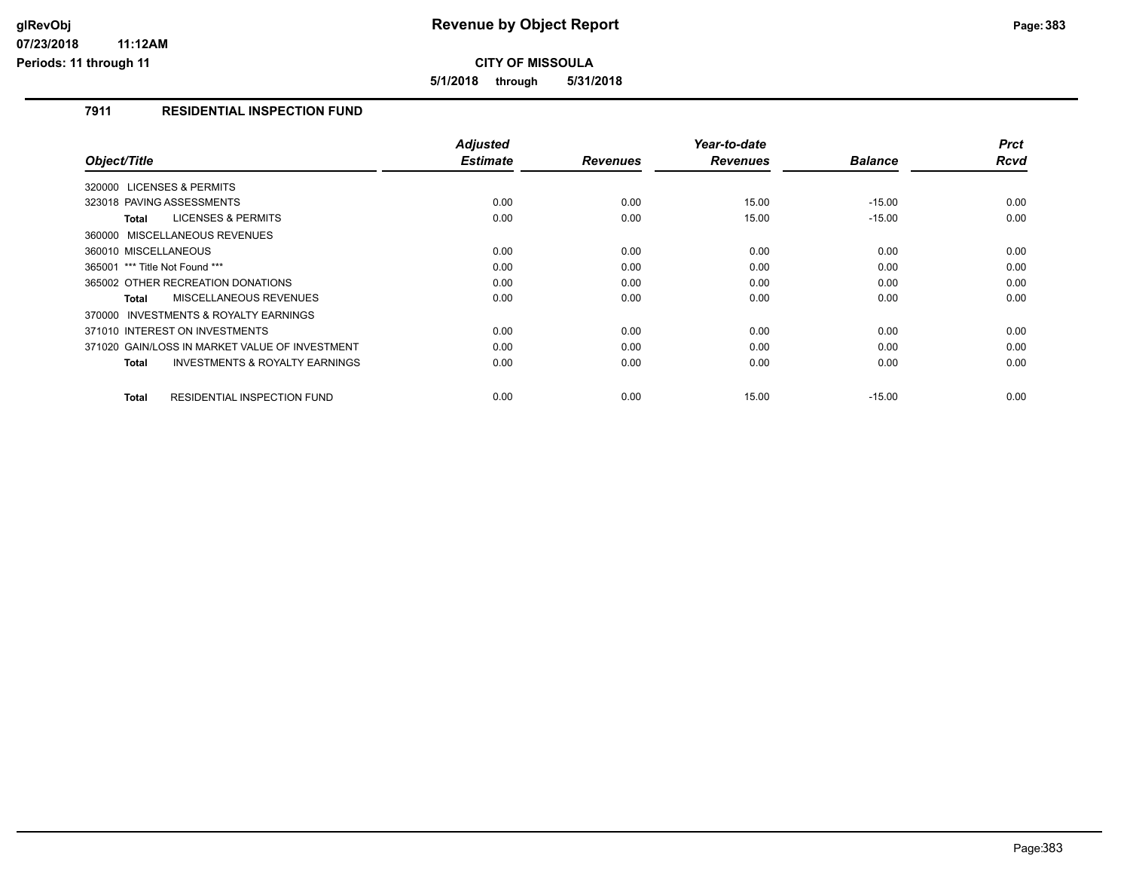**CITY OF MISSOULA**

**5/1/2018 through 5/31/2018**

# **7911 RESIDENTIAL INSPECTION FUND**

| Object/Title                                              | <b>Adjusted</b><br><b>Estimate</b> | <b>Revenues</b> | Year-to-date<br><b>Revenues</b> | <b>Balance</b> | <b>Prct</b><br><b>Rcvd</b> |
|-----------------------------------------------------------|------------------------------------|-----------------|---------------------------------|----------------|----------------------------|
|                                                           |                                    |                 |                                 |                |                            |
| 320000 LICENSES & PERMITS                                 |                                    |                 |                                 |                |                            |
| 323018 PAVING ASSESSMENTS                                 | 0.00                               | 0.00            | 15.00                           | $-15.00$       | 0.00                       |
| <b>LICENSES &amp; PERMITS</b><br><b>Total</b>             | 0.00                               | 0.00            | 15.00                           | $-15.00$       | 0.00                       |
| 360000 MISCELLANEOUS REVENUES                             |                                    |                 |                                 |                |                            |
| 360010 MISCELLANEOUS                                      | 0.00                               | 0.00            | 0.00                            | 0.00           | 0.00                       |
| 365001 *** Title Not Found ***                            | 0.00                               | 0.00            | 0.00                            | 0.00           | 0.00                       |
| 365002 OTHER RECREATION DONATIONS                         | 0.00                               | 0.00            | 0.00                            | 0.00           | 0.00                       |
| <b>MISCELLANEOUS REVENUES</b><br><b>Total</b>             | 0.00                               | 0.00            | 0.00                            | 0.00           | 0.00                       |
| INVESTMENTS & ROYALTY EARNINGS<br>370000                  |                                    |                 |                                 |                |                            |
| 371010 INTEREST ON INVESTMENTS                            | 0.00                               | 0.00            | 0.00                            | 0.00           | 0.00                       |
| 371020 GAIN/LOSS IN MARKET VALUE OF INVESTMENT            | 0.00                               | 0.00            | 0.00                            | 0.00           | 0.00                       |
| <b>INVESTMENTS &amp; ROYALTY EARNINGS</b><br><b>Total</b> | 0.00                               | 0.00            | 0.00                            | 0.00           | 0.00                       |
| RESIDENTIAL INSPECTION FUND<br><b>Total</b>               | 0.00                               | 0.00            | 15.00                           | $-15.00$       | 0.00                       |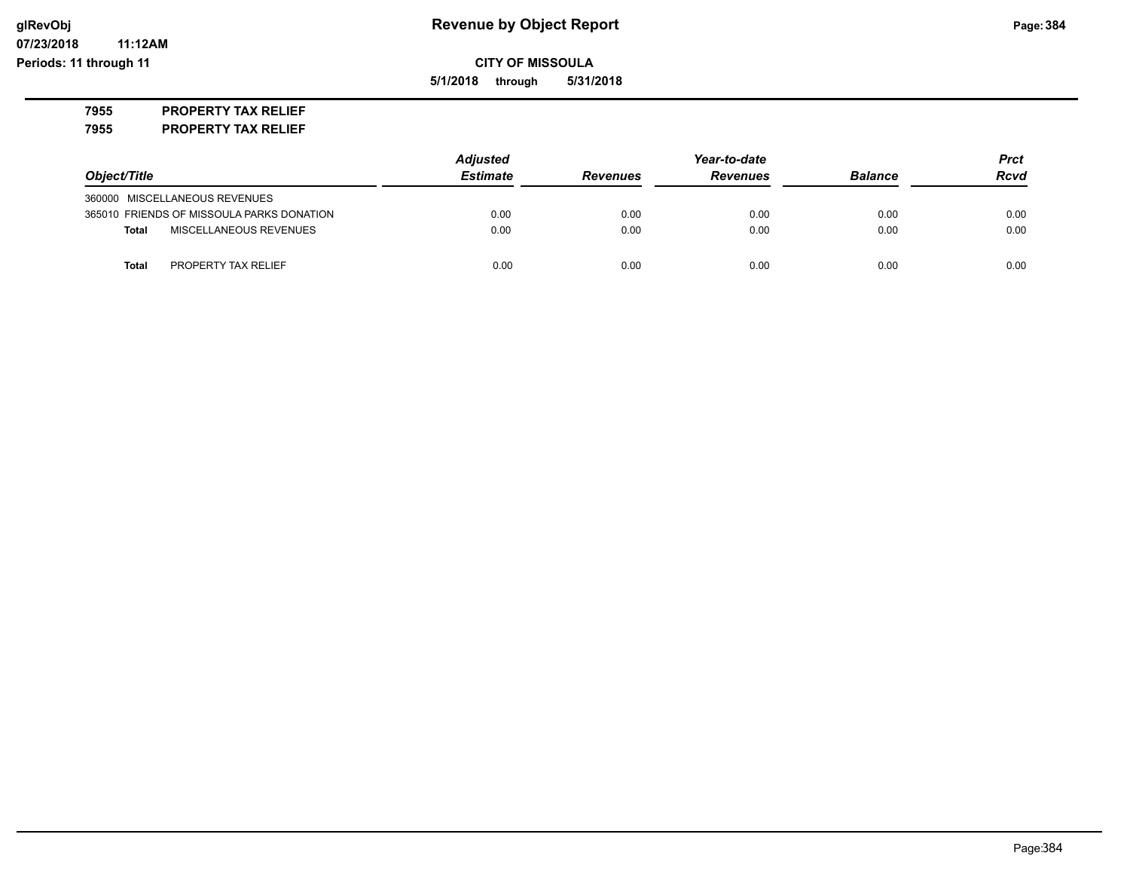**5/1/2018 through 5/31/2018**

## **7955 PROPERTY TAX RELIEF**

**7955 PROPERTY TAX RELIEF**

|                                           | <b>Adjusted</b> |                 | Year-to-date    |                | <b>Prct</b> |
|-------------------------------------------|-----------------|-----------------|-----------------|----------------|-------------|
| Object/Title                              | <b>Estimate</b> | <b>Revenues</b> | <b>Revenues</b> | <b>Balance</b> | <b>Rcvd</b> |
| 360000 MISCELLANEOUS REVENUES             |                 |                 |                 |                |             |
| 365010 FRIENDS OF MISSOULA PARKS DONATION | 0.00            | 0.00            | 0.00            | 0.00           | 0.00        |
| MISCELLANEOUS REVENUES<br><b>Total</b>    | 0.00            | 0.00            | 0.00            | 0.00           | 0.00        |
| PROPERTY TAX RELIEF<br><b>Total</b>       | 0.00            | 0.00            | 0.00            | 0.00           | 0.00        |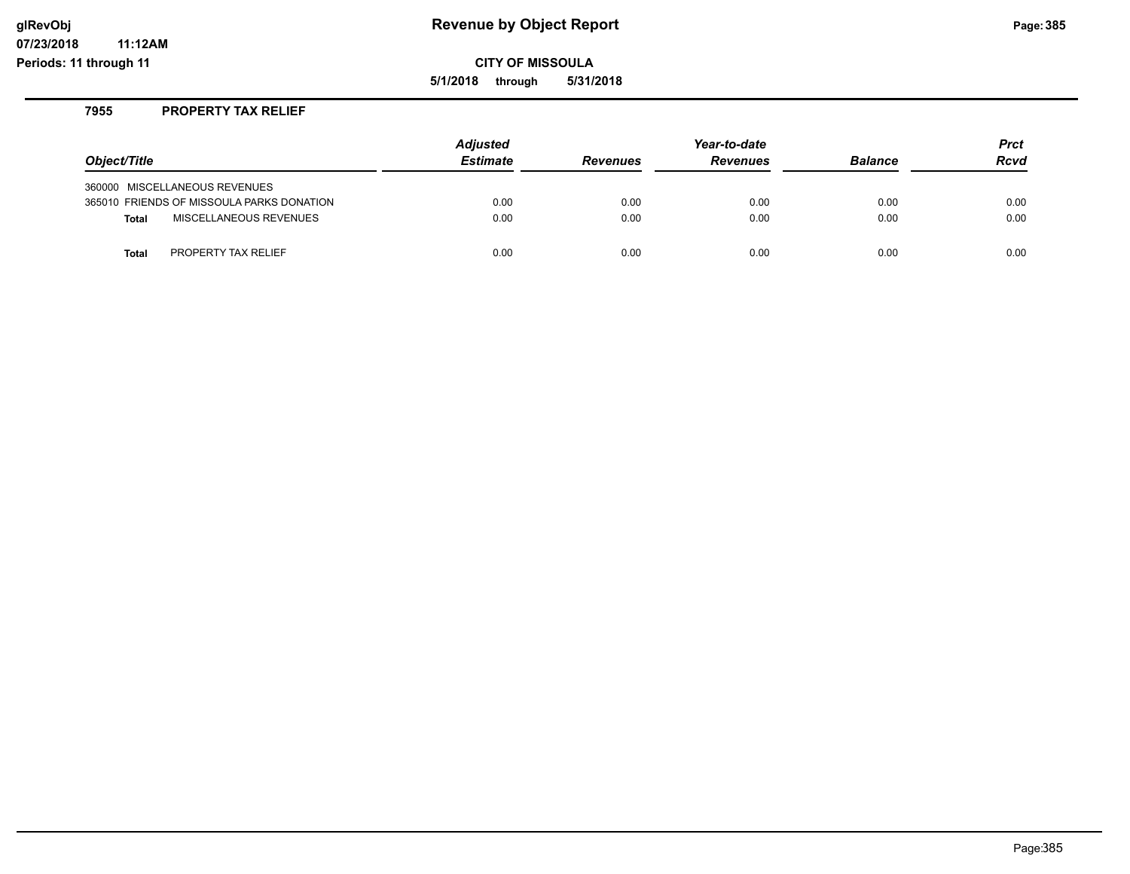**CITY OF MISSOULA**

**5/1/2018 through 5/31/2018**

# **7955 PROPERTY TAX RELIEF**

**11:12AM**

| Object/Title                  |                                           | <b>Adjusted</b><br><b>Estimate</b> | <b>Revenues</b> | Year-to-date<br><b>Revenues</b> | <b>Balance</b> | <b>Prct</b><br><b>Rcvd</b> |
|-------------------------------|-------------------------------------------|------------------------------------|-----------------|---------------------------------|----------------|----------------------------|
| 360000 MISCELLANEOUS REVENUES |                                           |                                    |                 |                                 |                |                            |
|                               | 365010 FRIENDS OF MISSOULA PARKS DONATION | 0.00                               | 0.00            | 0.00                            | 0.00           | 0.00                       |
| <b>Total</b>                  | MISCELLANEOUS REVENUES                    | 0.00                               | 0.00            | 0.00                            | 0.00           | 0.00                       |
| Total                         | <b>PROPERTY TAX RELIEF</b>                | 0.00                               | 0.00            | 0.00                            | 0.00           | 0.00                       |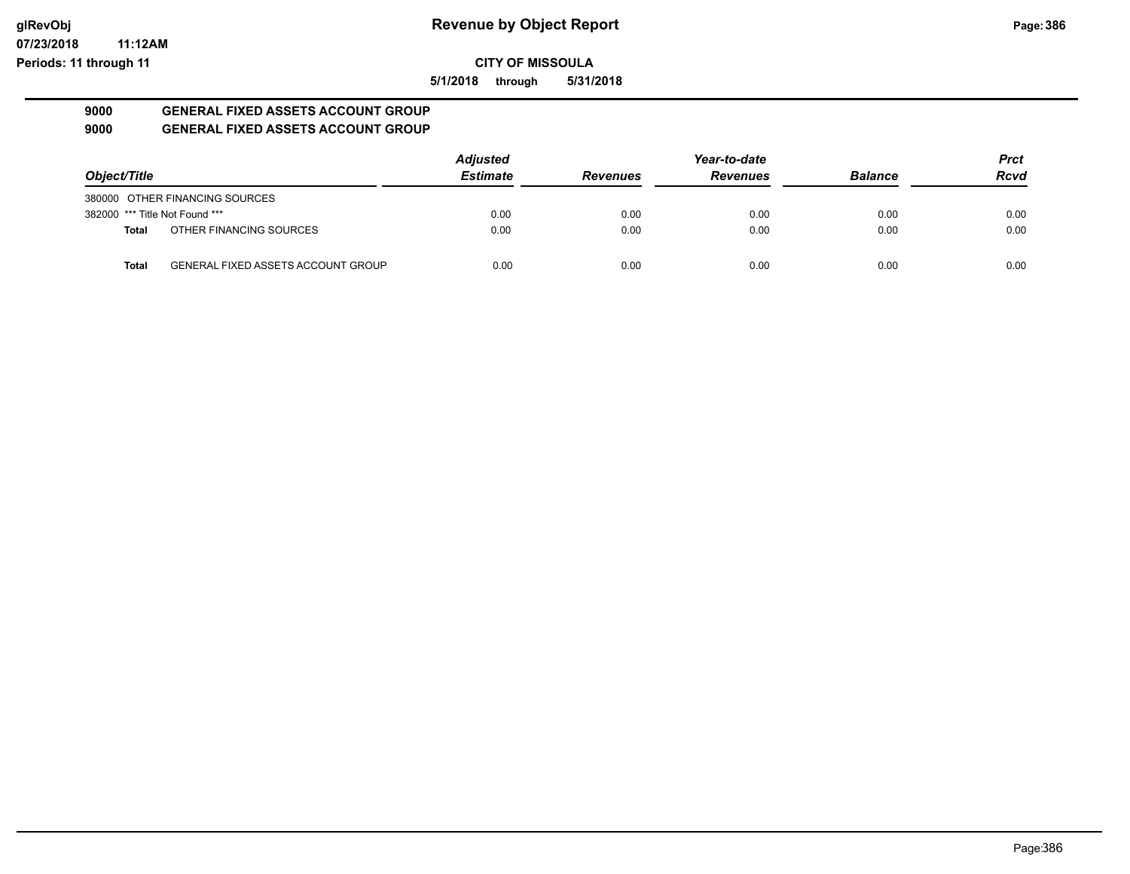**07/23/2018 11:12AM Periods: 11 through 11**

# **CITY OF MISSOULA**

**5/1/2018 through 5/31/2018**

# **9000 GENERAL FIXED ASSETS ACCOUNT GROUP 9000 GENERAL FIXED ASSETS ACCOUNT GROUP**

|                                |                                           | <b>Adjusted</b> |                 | Year-to-date    |                | <b>Prct</b> |
|--------------------------------|-------------------------------------------|-----------------|-----------------|-----------------|----------------|-------------|
| Object/Title                   |                                           | <b>Estimate</b> | <b>Revenues</b> | <b>Revenues</b> | <b>Balance</b> | <b>Rcvd</b> |
|                                | 380000 OTHER FINANCING SOURCES            |                 |                 |                 |                |             |
| 382000 *** Title Not Found *** |                                           | 0.00            | 0.00            | 0.00            | 0.00           | 0.00        |
| Total                          | OTHER FINANCING SOURCES                   | 0.00            | 0.00            | 0.00            | 0.00           | 0.00        |
| <b>Total</b>                   | <b>GENERAL FIXED ASSETS ACCOUNT GROUP</b> | 0.00            | 0.00            | 0.00            | 0.00           | 0.00        |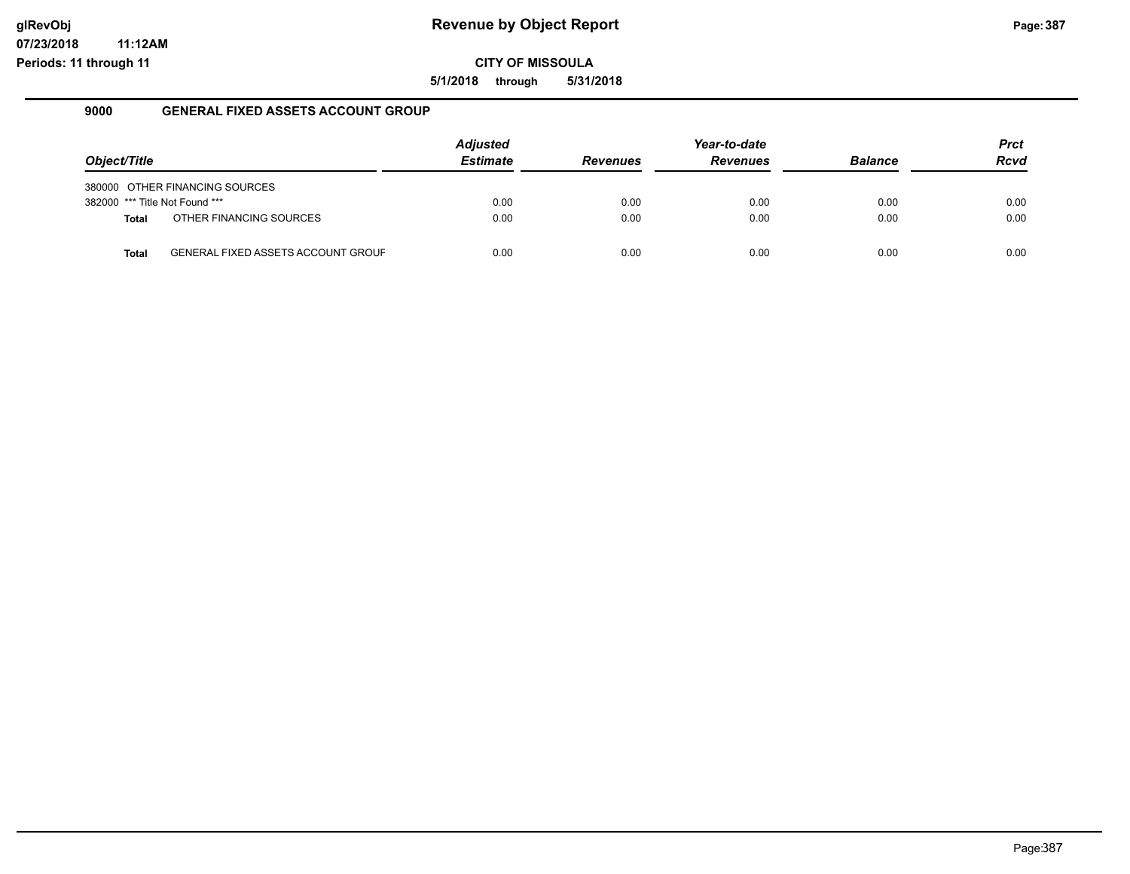**CITY OF MISSOULA**

**5/1/2018 through 5/31/2018**

## **9000 GENERAL FIXED ASSETS ACCOUNT GROUP**

| Object/Title                   |                                           | <b>Adjusted</b><br><b>Estimate</b> | <b>Revenues</b> | Year-to-date<br><b>Revenues</b> | <b>Balance</b> | <b>Prct</b><br><b>Rcvd</b> |
|--------------------------------|-------------------------------------------|------------------------------------|-----------------|---------------------------------|----------------|----------------------------|
|                                | 380000 OTHER FINANCING SOURCES            |                                    |                 |                                 |                |                            |
| 382000 *** Title Not Found *** |                                           | 0.00                               | 0.00            | 0.00                            | 0.00           | 0.00                       |
| <b>Total</b>                   | OTHER FINANCING SOURCES                   | 0.00                               | 0.00            | 0.00                            | 0.00           | 0.00                       |
| <b>Total</b>                   | <b>GENERAL FIXED ASSETS ACCOUNT GROUF</b> | 0.00                               | 0.00            | 0.00                            | 0.00           | 0.00                       |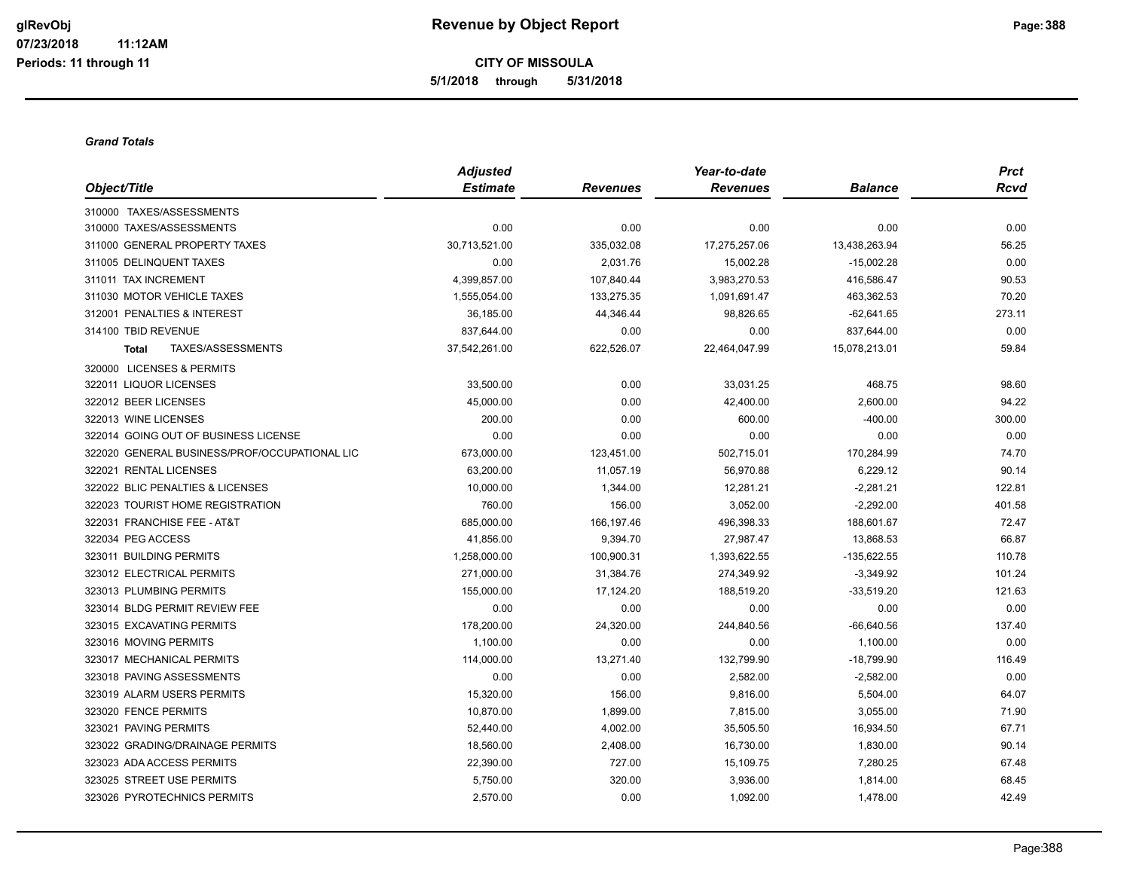**CITY OF MISSOULA 5/1/2018 through 5/31/2018**

#### *Grand Totals*

|                                               | <b>Adjusted</b> |                 | Year-to-date    |                | <b>Prct</b> |
|-----------------------------------------------|-----------------|-----------------|-----------------|----------------|-------------|
| Object/Title                                  | <b>Estimate</b> | <b>Revenues</b> | <b>Revenues</b> | <b>Balance</b> | <b>Rcvd</b> |
| 310000 TAXES/ASSESSMENTS                      |                 |                 |                 |                |             |
| 310000 TAXES/ASSESSMENTS                      | 0.00            | 0.00            | 0.00            | 0.00           | 0.00        |
| 311000 GENERAL PROPERTY TAXES                 | 30,713,521.00   | 335,032.08      | 17,275,257.06   | 13,438,263.94  | 56.25       |
| 311005 DELINQUENT TAXES                       | 0.00            | 2,031.76        | 15,002.28       | $-15,002.28$   | 0.00        |
| 311011 TAX INCREMENT                          | 4,399,857.00    | 107,840.44      | 3,983,270.53    | 416,586.47     | 90.53       |
| 311030 MOTOR VEHICLE TAXES                    | 1,555,054.00    | 133,275.35      | 1,091,691.47    | 463,362.53     | 70.20       |
| 312001 PENALTIES & INTEREST                   | 36,185.00       | 44,346.44       | 98,826.65       | $-62,641.65$   | 273.11      |
| 314100 TBID REVENUE                           | 837,644.00      | 0.00            | 0.00            | 837,644.00     | 0.00        |
| TAXES/ASSESSMENTS<br><b>Total</b>             | 37,542,261.00   | 622,526.07      | 22,464,047.99   | 15,078,213.01  | 59.84       |
| 320000 LICENSES & PERMITS                     |                 |                 |                 |                |             |
| 322011 LIQUOR LICENSES                        | 33,500.00       | 0.00            | 33,031.25       | 468.75         | 98.60       |
| 322012 BEER LICENSES                          | 45,000.00       | 0.00            | 42,400.00       | 2,600.00       | 94.22       |
| 322013 WINE LICENSES                          | 200.00          | 0.00            | 600.00          | $-400.00$      | 300.00      |
| 322014 GOING OUT OF BUSINESS LICENSE          | 0.00            | 0.00            | 0.00            | 0.00           | 0.00        |
| 322020 GENERAL BUSINESS/PROF/OCCUPATIONAL LIC | 673,000.00      | 123,451.00      | 502,715.01      | 170,284.99     | 74.70       |
| 322021 RENTAL LICENSES                        | 63,200.00       | 11,057.19       | 56,970.88       | 6,229.12       | 90.14       |
| 322022 BLIC PENALTIES & LICENSES              | 10,000.00       | 1,344.00        | 12,281.21       | $-2,281.21$    | 122.81      |
| 322023 TOURIST HOME REGISTRATION              | 760.00          | 156.00          | 3,052.00        | $-2,292.00$    | 401.58      |
| 322031 FRANCHISE FEE - AT&T                   | 685,000.00      | 166,197.46      | 496,398.33      | 188,601.67     | 72.47       |
| 322034 PEG ACCESS                             | 41,856.00       | 9,394.70        | 27,987.47       | 13,868.53      | 66.87       |
| 323011 BUILDING PERMITS                       | 1,258,000.00    | 100,900.31      | 1,393,622.55    | $-135,622.55$  | 110.78      |
| 323012 ELECTRICAL PERMITS                     | 271,000.00      | 31,384.76       | 274,349.92      | $-3,349.92$    | 101.24      |
| 323013 PLUMBING PERMITS                       | 155,000.00      | 17,124.20       | 188,519.20      | $-33,519.20$   | 121.63      |
| 323014 BLDG PERMIT REVIEW FEE                 | 0.00            | 0.00            | 0.00            | 0.00           | 0.00        |
| 323015 EXCAVATING PERMITS                     | 178,200.00      | 24,320.00       | 244,840.56      | $-66,640.56$   | 137.40      |
| 323016 MOVING PERMITS                         | 1,100.00        | 0.00            | 0.00            | 1,100.00       | 0.00        |
| 323017 MECHANICAL PERMITS                     | 114,000.00      | 13,271.40       | 132,799.90      | $-18,799.90$   | 116.49      |
| 323018 PAVING ASSESSMENTS                     | 0.00            | 0.00            | 2,582.00        | $-2,582.00$    | 0.00        |
| 323019 ALARM USERS PERMITS                    | 15,320.00       | 156.00          | 9,816.00        | 5,504.00       | 64.07       |
| 323020 FENCE PERMITS                          | 10,870.00       | 1,899.00        | 7,815.00        | 3,055.00       | 71.90       |
| 323021 PAVING PERMITS                         | 52,440.00       | 4,002.00        | 35,505.50       | 16,934.50      | 67.71       |
| 323022 GRADING/DRAINAGE PERMITS               | 18,560.00       | 2,408.00        | 16,730.00       | 1,830.00       | 90.14       |
| 323023 ADA ACCESS PERMITS                     | 22,390.00       | 727.00          | 15,109.75       | 7,280.25       | 67.48       |
| 323025 STREET USE PERMITS                     | 5,750.00        | 320.00          | 3,936.00        | 1,814.00       | 68.45       |
| 323026 PYROTECHNICS PERMITS                   | 2,570.00        | 0.00            | 1,092.00        | 1,478.00       | 42.49       |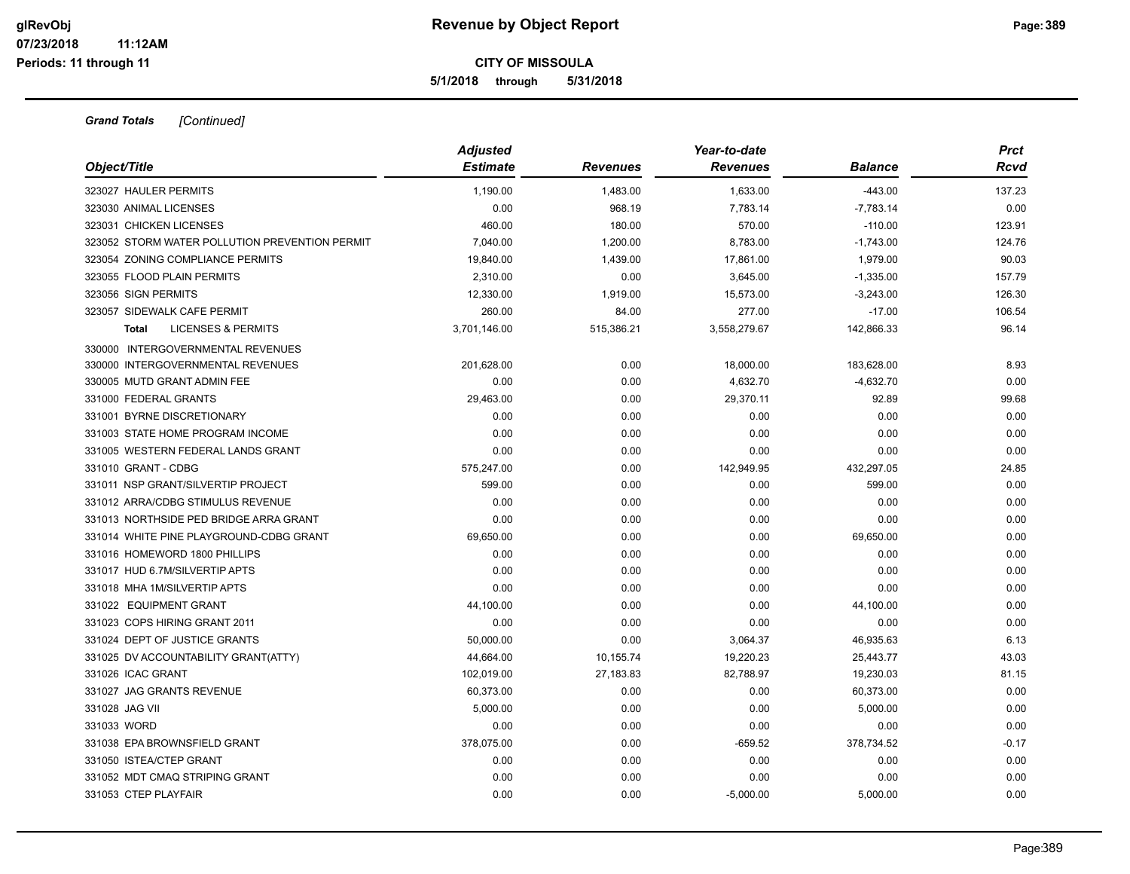**5/1/2018 through 5/31/2018**

| Object/Title                                   | <b>Adjusted</b><br><b>Estimate</b> | Revenues   | Year-to-date<br><b>Revenues</b> | <b>Balance</b> | <b>Prct</b><br>Rcvd |
|------------------------------------------------|------------------------------------|------------|---------------------------------|----------------|---------------------|
| 323027 HAULER PERMITS                          | 1,190.00                           | 1,483.00   | 1,633.00                        | $-443.00$      | 137.23              |
| 323030 ANIMAL LICENSES                         | 0.00                               | 968.19     | 7,783.14                        | $-7,783.14$    | 0.00                |
| 323031 CHICKEN LICENSES                        | 460.00                             | 180.00     | 570.00                          | $-110.00$      | 123.91              |
| 323052 STORM WATER POLLUTION PREVENTION PERMIT | 7,040.00                           | 1,200.00   | 8,783.00                        | $-1,743.00$    | 124.76              |
| 323054 ZONING COMPLIANCE PERMITS               | 19,840.00                          | 1,439.00   | 17,861.00                       | 1,979.00       | 90.03               |
| 323055 FLOOD PLAIN PERMITS                     | 2,310.00                           | 0.00       | 3,645.00                        | $-1,335.00$    | 157.79              |
| 323056 SIGN PERMITS                            | 12,330.00                          | 1,919.00   | 15,573.00                       | $-3,243.00$    | 126.30              |
| 323057 SIDEWALK CAFE PERMIT                    | 260.00                             | 84.00      | 277.00                          | $-17.00$       | 106.54              |
| <b>LICENSES &amp; PERMITS</b><br><b>Total</b>  | 3,701,146.00                       | 515,386.21 | 3,558,279.67                    | 142,866.33     | 96.14               |
| 330000 INTERGOVERNMENTAL REVENUES              |                                    |            |                                 |                |                     |
| 330000 INTERGOVERNMENTAL REVENUES              | 201,628.00                         | 0.00       | 18,000.00                       | 183,628.00     | 8.93                |
| 330005 MUTD GRANT ADMIN FEE                    | 0.00                               | 0.00       | 4,632.70                        | $-4,632.70$    | 0.00                |
| 331000 FEDERAL GRANTS                          | 29,463.00                          | 0.00       | 29,370.11                       | 92.89          | 99.68               |
| 331001 BYRNE DISCRETIONARY                     | 0.00                               | 0.00       | 0.00                            | 0.00           | 0.00                |
| 331003 STATE HOME PROGRAM INCOME               | 0.00                               | 0.00       | 0.00                            | 0.00           | 0.00                |
| 331005 WESTERN FEDERAL LANDS GRANT             | 0.00                               | 0.00       | 0.00                            | 0.00           | 0.00                |
| 331010 GRANT - CDBG                            | 575,247.00                         | 0.00       | 142,949.95                      | 432,297.05     | 24.85               |
| 331011 NSP GRANT/SILVERTIP PROJECT             | 599.00                             | 0.00       | 0.00                            | 599.00         | 0.00                |
| 331012 ARRA/CDBG STIMULUS REVENUE              | 0.00                               | 0.00       | 0.00                            | 0.00           | 0.00                |
| 331013 NORTHSIDE PED BRIDGE ARRA GRANT         | 0.00                               | 0.00       | 0.00                            | 0.00           | 0.00                |
| 331014 WHITE PINE PLAYGROUND-CDBG GRANT        | 69,650.00                          | 0.00       | 0.00                            | 69,650.00      | 0.00                |
| 331016 HOMEWORD 1800 PHILLIPS                  | 0.00                               | 0.00       | 0.00                            | 0.00           | 0.00                |
| 331017 HUD 6.7M/SILVERTIP APTS                 | 0.00                               | 0.00       | 0.00                            | 0.00           | 0.00                |
| 331018 MHA 1M/SILVERTIP APTS                   | 0.00                               | 0.00       | 0.00                            | 0.00           | 0.00                |
| 331022 EQUIPMENT GRANT                         | 44,100.00                          | 0.00       | 0.00                            | 44,100.00      | 0.00                |
| 331023 COPS HIRING GRANT 2011                  | 0.00                               | 0.00       | 0.00                            | 0.00           | 0.00                |
| 331024 DEPT OF JUSTICE GRANTS                  | 50,000.00                          | 0.00       | 3,064.37                        | 46,935.63      | 6.13                |
| 331025 DV ACCOUNTABILITY GRANT(ATTY)           | 44,664.00                          | 10,155.74  | 19,220.23                       | 25,443.77      | 43.03               |
| 331026 ICAC GRANT                              | 102,019.00                         | 27,183.83  | 82,788.97                       | 19,230.03      | 81.15               |
| 331027 JAG GRANTS REVENUE                      | 60,373.00                          | 0.00       | 0.00                            | 60,373.00      | 0.00                |
| 331028 JAG VII                                 | 5,000.00                           | 0.00       | 0.00                            | 5,000.00       | 0.00                |
| 331033 WORD                                    | 0.00                               | 0.00       | 0.00                            | 0.00           | 0.00                |
| 331038 EPA BROWNSFIELD GRANT                   | 378,075.00                         | 0.00       | $-659.52$                       | 378,734.52     | $-0.17$             |
| 331050 ISTEA/CTEP GRANT                        | 0.00                               | 0.00       | 0.00                            | 0.00           | 0.00                |
| 331052 MDT CMAQ STRIPING GRANT                 | 0.00                               | 0.00       | 0.00                            | 0.00           | 0.00                |
| 331053 CTEP PLAYFAIR                           | 0.00                               | 0.00       | $-5,000.00$                     | 5,000.00       | 0.00                |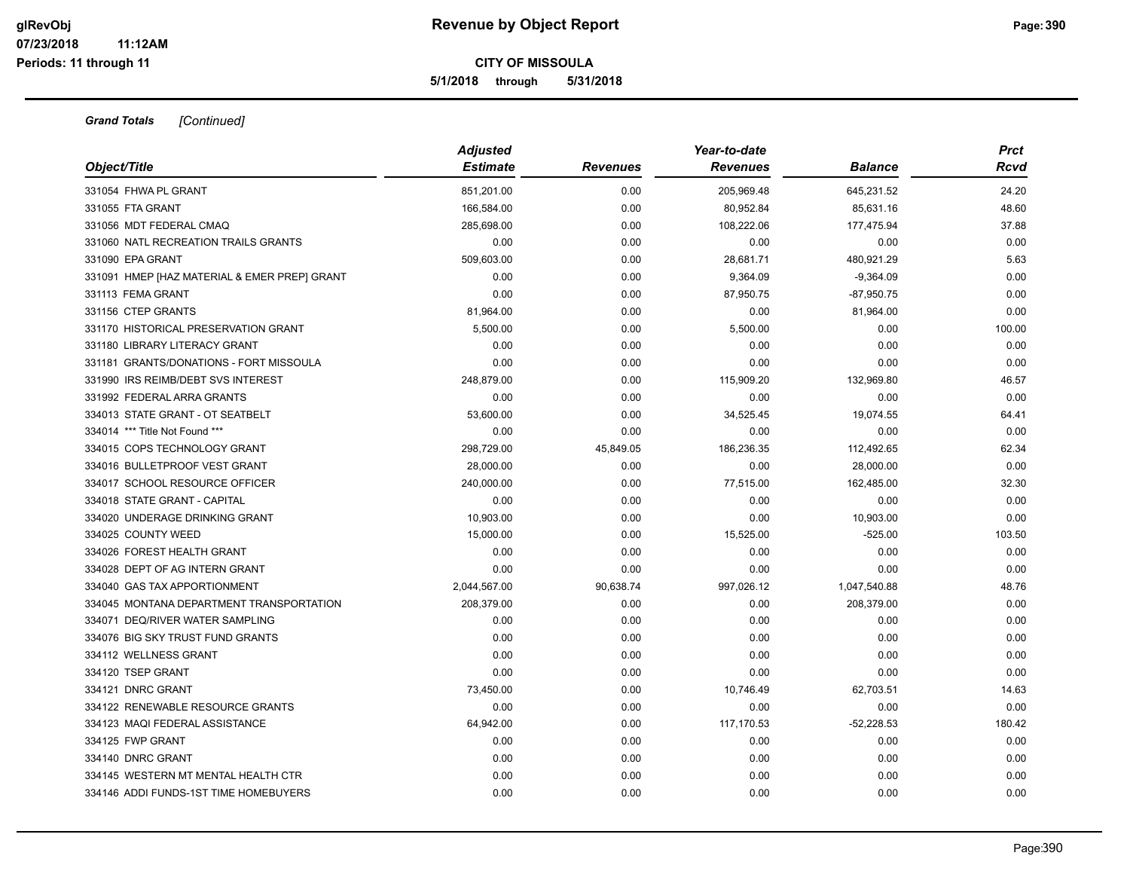**5/1/2018 through 5/31/2018**

|                                              | <b>Adjusted</b> |                 | Year-to-date    | <b>Balance</b> | <b>Prct</b><br>Rcvd |
|----------------------------------------------|-----------------|-----------------|-----------------|----------------|---------------------|
| Object/Title                                 | <b>Estimate</b> | <b>Revenues</b> | <b>Revenues</b> |                |                     |
| 331054 FHWA PL GRANT                         | 851,201.00      | 0.00            | 205,969.48      | 645,231.52     | 24.20               |
| 331055 FTA GRANT                             | 166,584.00      | 0.00            | 80,952.84       | 85,631.16      | 48.60               |
| 331056 MDT FEDERAL CMAQ                      | 285,698.00      | 0.00            | 108,222.06      | 177,475.94     | 37.88               |
| 331060 NATL RECREATION TRAILS GRANTS         | 0.00            | 0.00            | 0.00            | 0.00           | 0.00                |
| 331090 EPA GRANT                             | 509,603.00      | 0.00            | 28,681.71       | 480,921.29     | 5.63                |
| 331091 HMEP [HAZ MATERIAL & EMER PREP] GRANT | 0.00            | 0.00            | 9,364.09        | $-9,364.09$    | 0.00                |
| 331113 FEMA GRANT                            | 0.00            | 0.00            | 87,950.75       | $-87,950.75$   | 0.00                |
| 331156 CTEP GRANTS                           | 81,964.00       | 0.00            | 0.00            | 81,964.00      | 0.00                |
| 331170 HISTORICAL PRESERVATION GRANT         | 5,500.00        | 0.00            | 5,500.00        | 0.00           | 100.00              |
| 331180 LIBRARY LITERACY GRANT                | 0.00            | 0.00            | 0.00            | 0.00           | 0.00                |
| 331181 GRANTS/DONATIONS - FORT MISSOULA      | 0.00            | 0.00            | 0.00            | 0.00           | 0.00                |
| 331990 IRS REIMB/DEBT SVS INTEREST           | 248,879.00      | 0.00            | 115,909.20      | 132,969.80     | 46.57               |
| 331992 FEDERAL ARRA GRANTS                   | 0.00            | 0.00            | 0.00            | 0.00           | 0.00                |
| 334013 STATE GRANT - OT SEATBELT             | 53,600.00       | 0.00            | 34,525.45       | 19,074.55      | 64.41               |
| 334014 *** Title Not Found ***               | 0.00            | 0.00            | 0.00            | 0.00           | 0.00                |
| 334015 COPS TECHNOLOGY GRANT                 | 298,729.00      | 45,849.05       | 186,236.35      | 112,492.65     | 62.34               |
| 334016 BULLETPROOF VEST GRANT                | 28.000.00       | 0.00            | 0.00            | 28,000.00      | 0.00                |
| 334017 SCHOOL RESOURCE OFFICER               | 240,000.00      | 0.00            | 77,515.00       | 162,485.00     | 32.30               |
| 334018 STATE GRANT - CAPITAL                 | 0.00            | 0.00            | 0.00            | 0.00           | 0.00                |
| 334020 UNDERAGE DRINKING GRANT               | 10,903.00       | 0.00            | 0.00            | 10,903.00      | 0.00                |
| 334025 COUNTY WEED                           | 15,000.00       | 0.00            | 15,525.00       | $-525.00$      | 103.50              |
| 334026 FOREST HEALTH GRANT                   | 0.00            | 0.00            | 0.00            | 0.00           | 0.00                |
| 334028 DEPT OF AG INTERN GRANT               | 0.00            | 0.00            | 0.00            | 0.00           | 0.00                |
| 334040 GAS TAX APPORTIONMENT                 | 2,044,567.00    | 90,638.74       | 997,026.12      | 1,047,540.88   | 48.76               |
| 334045 MONTANA DEPARTMENT TRANSPORTATION     | 208,379.00      | 0.00            | 0.00            | 208,379.00     | 0.00                |
| 334071 DEQ/RIVER WATER SAMPLING              | 0.00            | 0.00            | 0.00            | 0.00           | 0.00                |
| 334076 BIG SKY TRUST FUND GRANTS             | 0.00            | 0.00            | 0.00            | 0.00           | 0.00                |
| 334112 WELLNESS GRANT                        | 0.00            | 0.00            | 0.00            | 0.00           | 0.00                |
| 334120 TSEP GRANT                            | 0.00            | 0.00            | 0.00            | 0.00           | 0.00                |
| 334121 DNRC GRANT                            | 73,450.00       | 0.00            | 10,746.49       | 62,703.51      | 14.63               |
| 334122 RENEWABLE RESOURCE GRANTS             | 0.00            | 0.00            | 0.00            | 0.00           | 0.00                |
| 334123 MAQI FEDERAL ASSISTANCE               | 64,942.00       | 0.00            | 117,170.53      | $-52,228.53$   | 180.42              |
| 334125 FWP GRANT                             | 0.00            | 0.00            | 0.00            | 0.00           | 0.00                |
| 334140 DNRC GRANT                            | 0.00            | 0.00            | 0.00            | 0.00           | 0.00                |
| 334145 WESTERN MT MENTAL HEALTH CTR          | 0.00            | 0.00            | 0.00            | 0.00           | 0.00                |
| 334146 ADDI FUNDS-1ST TIME HOMEBUYERS        | 0.00            | 0.00            | 0.00            | 0.00           | 0.00                |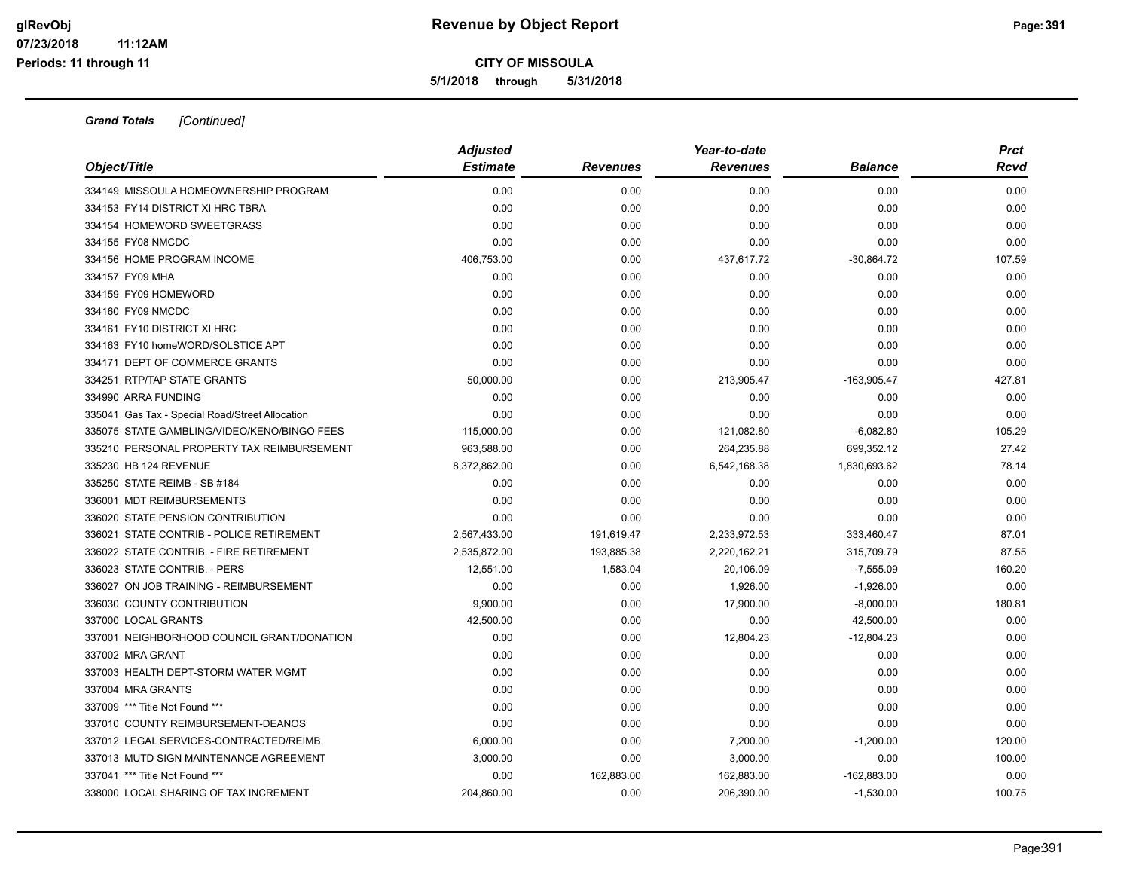**5/1/2018 through 5/31/2018**

|                                                 | <b>Adjusted</b> | Year-to-date    |                 |                | <b>Prct</b> |
|-------------------------------------------------|-----------------|-----------------|-----------------|----------------|-------------|
| Object/Title                                    | <b>Estimate</b> | <b>Revenues</b> | <b>Revenues</b> | <b>Balance</b> | Rcvd        |
| 334149 MISSOULA HOMEOWNERSHIP PROGRAM           | 0.00            | 0.00            | 0.00            | 0.00           | 0.00        |
| 334153 FY14 DISTRICT XI HRC TBRA                | 0.00            | 0.00            | 0.00            | 0.00           | 0.00        |
| 334154 HOMEWORD SWEETGRASS                      | 0.00            | 0.00            | 0.00            | 0.00           | 0.00        |
| 334155 FY08 NMCDC                               | 0.00            | 0.00            | 0.00            | 0.00           | 0.00        |
| 334156 HOME PROGRAM INCOME                      | 406,753.00      | 0.00            | 437,617.72      | $-30,864.72$   | 107.59      |
| 334157 FY09 MHA                                 | 0.00            | 0.00            | 0.00            | 0.00           | 0.00        |
| 334159 FY09 HOMEWORD                            | 0.00            | 0.00            | 0.00            | 0.00           | 0.00        |
| 334160 FY09 NMCDC                               | 0.00            | 0.00            | 0.00            | 0.00           | 0.00        |
| 334161 FY10 DISTRICT XI HRC                     | 0.00            | 0.00            | 0.00            | 0.00           | 0.00        |
| 334163 FY10 homeWORD/SOLSTICE APT               | 0.00            | 0.00            | 0.00            | 0.00           | 0.00        |
| 334171 DEPT OF COMMERCE GRANTS                  | 0.00            | 0.00            | 0.00            | 0.00           | 0.00        |
| 334251 RTP/TAP STATE GRANTS                     | 50,000.00       | 0.00            | 213,905.47      | $-163,905.47$  | 427.81      |
| 334990 ARRA FUNDING                             | 0.00            | 0.00            | 0.00            | 0.00           | 0.00        |
| 335041 Gas Tax - Special Road/Street Allocation | 0.00            | 0.00            | 0.00            | 0.00           | 0.00        |
| 335075 STATE GAMBLING/VIDEO/KENO/BINGO FEES     | 115,000.00      | 0.00            | 121,082.80      | $-6,082.80$    | 105.29      |
| 335210 PERSONAL PROPERTY TAX REIMBURSEMENT      | 963,588.00      | 0.00            | 264,235.88      | 699,352.12     | 27.42       |
| 335230 HB 124 REVENUE                           | 8,372,862.00    | 0.00            | 6,542,168.38    | 1,830,693.62   | 78.14       |
| 335250 STATE REIMB - SB #184                    | 0.00            | 0.00            | 0.00            | 0.00           | 0.00        |
| 336001 MDT REIMBURSEMENTS                       | 0.00            | 0.00            | 0.00            | 0.00           | 0.00        |
| 336020 STATE PENSION CONTRIBUTION               | 0.00            | 0.00            | 0.00            | 0.00           | 0.00        |
| 336021 STATE CONTRIB - POLICE RETIREMENT        | 2,567,433.00    | 191,619.47      | 2,233,972.53    | 333,460.47     | 87.01       |
| 336022 STATE CONTRIB. - FIRE RETIREMENT         | 2,535,872.00    | 193,885.38      | 2,220,162.21    | 315,709.79     | 87.55       |
| 336023 STATE CONTRIB. - PERS                    | 12,551.00       | 1,583.04        | 20,106.09       | $-7,555.09$    | 160.20      |
| 336027 ON JOB TRAINING - REIMBURSEMENT          | 0.00            | 0.00            | 1,926.00        | $-1,926.00$    | 0.00        |
| 336030 COUNTY CONTRIBUTION                      | 9,900.00        | 0.00            | 17,900.00       | $-8,000.00$    | 180.81      |
| 337000 LOCAL GRANTS                             | 42,500.00       | 0.00            | 0.00            | 42,500.00      | 0.00        |
| 337001 NEIGHBORHOOD COUNCIL GRANT/DONATION      | 0.00            | 0.00            | 12,804.23       | $-12,804.23$   | 0.00        |
| 337002 MRA GRANT                                | 0.00            | 0.00            | 0.00            | 0.00           | 0.00        |
| 337003 HEALTH DEPT-STORM WATER MGMT             | 0.00            | 0.00            | 0.00            | 0.00           | 0.00        |
| 337004 MRA GRANTS                               | 0.00            | 0.00            | 0.00            | 0.00           | 0.00        |
| 337009 *** Title Not Found ***                  | 0.00            | 0.00            | 0.00            | 0.00           | 0.00        |
| 337010 COUNTY REIMBURSEMENT-DEANOS              | 0.00            | 0.00            | 0.00            | 0.00           | 0.00        |
| 337012 LEGAL SERVICES-CONTRACTED/REIMB.         | 6,000.00        | 0.00            | 7,200.00        | $-1,200.00$    | 120.00      |
| 337013 MUTD SIGN MAINTENANCE AGREEMENT          | 3,000.00        | 0.00            | 3,000.00        | 0.00           | 100.00      |
| 337041 *** Title Not Found ***                  | 0.00            | 162,883.00      | 162,883.00      | $-162,883.00$  | 0.00        |
| 338000 LOCAL SHARING OF TAX INCREMENT           | 204.860.00      | 0.00            | 206,390.00      | $-1,530.00$    | 100.75      |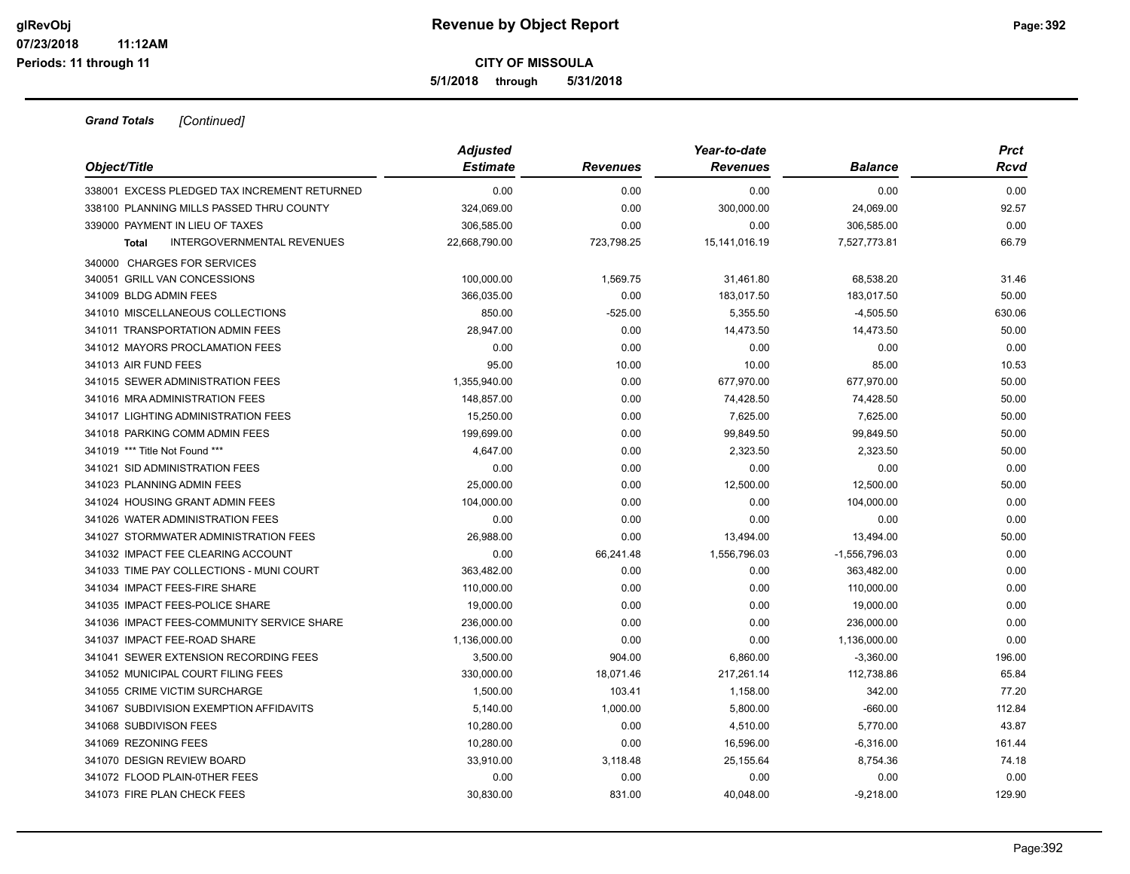# **CITY OF MISSOULA 5/1/2018 through 5/31/2018**

| Object/Title                                 | <b>Adjusted</b><br><b>Estimate</b> | <b>Revenues</b> | Year-to-date<br><b>Revenues</b> | <b>Balance</b>  | <b>Prct</b><br>Rcvd |
|----------------------------------------------|------------------------------------|-----------------|---------------------------------|-----------------|---------------------|
| 338001 EXCESS PLEDGED TAX INCREMENT RETURNED | 0.00                               | 0.00            | 0.00                            | 0.00            | 0.00                |
| 338100 PLANNING MILLS PASSED THRU COUNTY     | 324,069.00                         | 0.00            | 300,000.00                      | 24,069.00       | 92.57               |
| 339000 PAYMENT IN LIEU OF TAXES              | 306,585.00                         | 0.00            | 0.00                            | 306,585.00      | 0.00                |
| <b>INTERGOVERNMENTAL REVENUES</b><br>Total   | 22,668,790.00                      | 723,798.25      | 15,141,016.19                   | 7,527,773.81    | 66.79               |
| 340000 CHARGES FOR SERVICES                  |                                    |                 |                                 |                 |                     |
| 340051 GRILL VAN CONCESSIONS                 | 100,000.00                         | 1,569.75        | 31,461.80                       | 68,538.20       | 31.46               |
| 341009 BLDG ADMIN FEES                       | 366,035.00                         | 0.00            | 183,017.50                      | 183,017.50      | 50.00               |
| 341010 MISCELLANEOUS COLLECTIONS             | 850.00                             | $-525.00$       | 5,355.50                        | $-4,505.50$     | 630.06              |
| 341011 TRANSPORTATION ADMIN FEES             | 28,947.00                          | 0.00            | 14,473.50                       | 14,473.50       | 50.00               |
| 341012 MAYORS PROCLAMATION FEES              | 0.00                               | 0.00            | 0.00                            | 0.00            | 0.00                |
| 341013 AIR FUND FEES                         | 95.00                              | 10.00           | 10.00                           | 85.00           | 10.53               |
| 341015 SEWER ADMINISTRATION FEES             | 1,355,940.00                       | 0.00            | 677,970.00                      | 677,970.00      | 50.00               |
| 341016 MRA ADMINISTRATION FEES               | 148,857.00                         | 0.00            | 74,428.50                       | 74,428.50       | 50.00               |
| 341017 LIGHTING ADMINISTRATION FEES          | 15,250.00                          | 0.00            | 7,625.00                        | 7,625.00        | 50.00               |
| 341018 PARKING COMM ADMIN FEES               | 199,699.00                         | 0.00            | 99,849.50                       | 99,849.50       | 50.00               |
| 341019 *** Title Not Found ***               | 4,647.00                           | 0.00            | 2,323.50                        | 2,323.50        | 50.00               |
| 341021 SID ADMINISTRATION FEES               | 0.00                               | 0.00            | 0.00                            | 0.00            | 0.00                |
| 341023 PLANNING ADMIN FEES                   | 25,000.00                          | 0.00            | 12,500.00                       | 12,500.00       | 50.00               |
| 341024 HOUSING GRANT ADMIN FEES              | 104,000.00                         | 0.00            | 0.00                            | 104,000.00      | 0.00                |
| 341026 WATER ADMINISTRATION FEES             | 0.00                               | 0.00            | 0.00                            | 0.00            | 0.00                |
| 341027 STORMWATER ADMINISTRATION FEES        | 26,988.00                          | 0.00            | 13,494.00                       | 13,494.00       | 50.00               |
| 341032 IMPACT FEE CLEARING ACCOUNT           | 0.00                               | 66,241.48       | 1,556,796.03                    | $-1,556,796.03$ | 0.00                |
| 341033 TIME PAY COLLECTIONS - MUNI COURT     | 363,482.00                         | 0.00            | 0.00                            | 363,482.00      | 0.00                |
| 341034 IMPACT FEES-FIRE SHARE                | 110,000.00                         | 0.00            | 0.00                            | 110,000.00      | 0.00                |
| 341035 IMPACT FEES-POLICE SHARE              | 19,000.00                          | 0.00            | 0.00                            | 19,000.00       | 0.00                |
| 341036 IMPACT FEES-COMMUNITY SERVICE SHARE   | 236,000.00                         | 0.00            | 0.00                            | 236,000.00      | 0.00                |
| 341037 IMPACT FEE-ROAD SHARE                 | 1,136,000.00                       | 0.00            | 0.00                            | 1,136,000.00    | 0.00                |
| 341041 SEWER EXTENSION RECORDING FEES        | 3,500.00                           | 904.00          | 6,860.00                        | $-3,360.00$     | 196.00              |
| 341052 MUNICIPAL COURT FILING FEES           | 330,000.00                         | 18,071.46       | 217,261.14                      | 112,738.86      | 65.84               |
| 341055 CRIME VICTIM SURCHARGE                | 1,500.00                           | 103.41          | 1,158.00                        | 342.00          | 77.20               |
| 341067 SUBDIVISION EXEMPTION AFFIDAVITS      | 5,140.00                           | 1,000.00        | 5,800.00                        | $-660.00$       | 112.84              |
| 341068 SUBDIVISON FEES                       | 10,280.00                          | 0.00            | 4,510.00                        | 5,770.00        | 43.87               |
| 341069 REZONING FEES                         | 10,280.00                          | 0.00            | 16,596.00                       | $-6,316.00$     | 161.44              |
| 341070 DESIGN REVIEW BOARD                   | 33,910.00                          | 3,118.48        | 25,155.64                       | 8,754.36        | 74.18               |
| 341072 FLOOD PLAIN-0THER FEES                | 0.00                               | 0.00            | 0.00                            | 0.00            | 0.00                |
| 341073 FIRE PLAN CHECK FEES                  | 30,830.00                          | 831.00          | 40,048.00                       | $-9,218.00$     | 129.90              |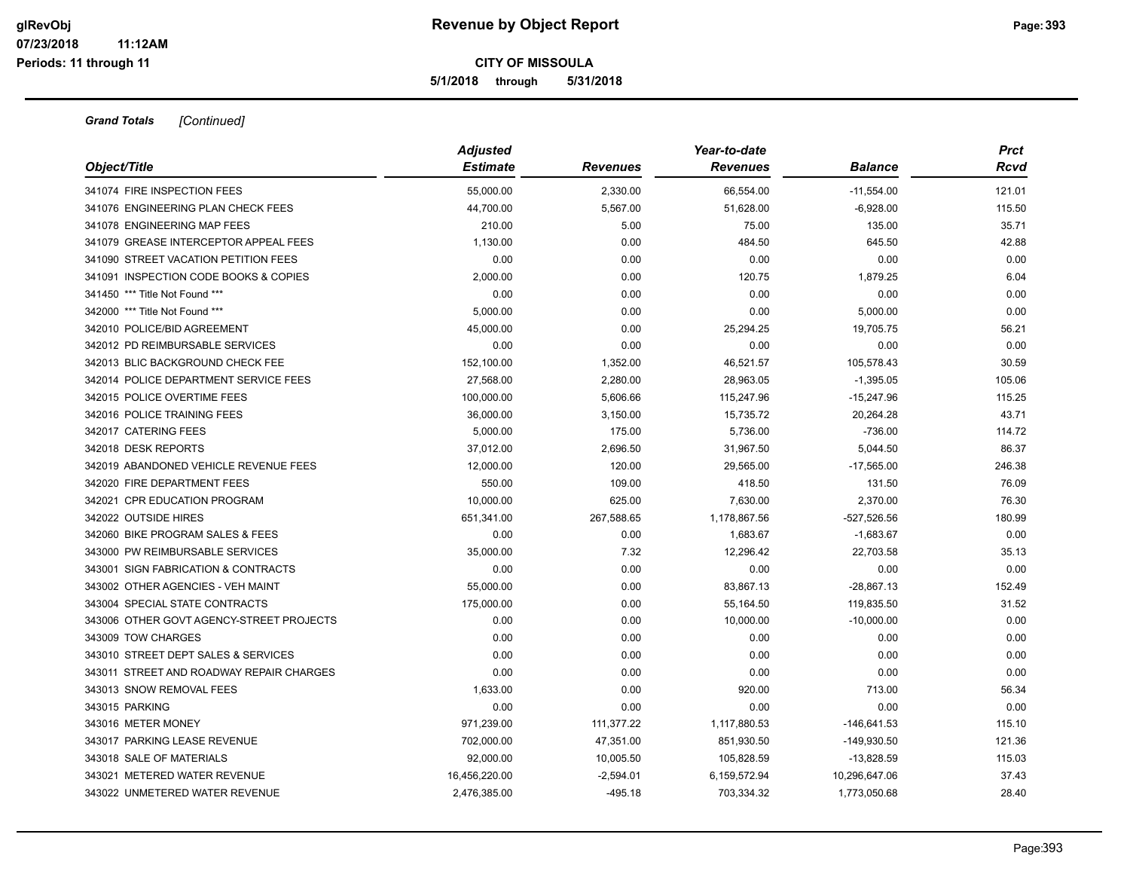**5/1/2018 through 5/31/2018**

| Object/Title                                                           | <b>Adjusted</b><br><b>Estimate</b> | Revenues           | Year-to-date<br><b>Revenues</b> | <b>Balance</b>              | <b>Prct</b><br>Rcvd |
|------------------------------------------------------------------------|------------------------------------|--------------------|---------------------------------|-----------------------------|---------------------|
| 341074 FIRE INSPECTION FEES                                            | 55,000.00                          | 2,330.00           | 66,554.00                       | $-11,554.00$                | 121.01              |
| 341076 ENGINEERING PLAN CHECK FEES                                     | 44,700.00                          | 5,567.00           | 51,628.00                       | $-6,928.00$                 | 115.50              |
| 341078 ENGINEERING MAP FEES                                            | 210.00                             | 5.00               | 75.00                           | 135.00                      | 35.71               |
| 341079 GREASE INTERCEPTOR APPEAL FEES                                  | 1,130.00                           | 0.00               | 484.50                          | 645.50                      | 42.88               |
| 341090 STREET VACATION PETITION FEES                                   | 0.00                               | 0.00               | 0.00                            | 0.00                        | 0.00                |
| 341091 INSPECTION CODE BOOKS & COPIES                                  | 2,000.00                           | 0.00               | 120.75                          | 1,879.25                    | 6.04                |
| 341450 *** Title Not Found ***                                         | 0.00                               | 0.00               | 0.00                            | 0.00                        | 0.00                |
| 342000 *** Title Not Found ***                                         | 5,000.00                           | 0.00               | 0.00                            | 5,000.00                    | 0.00                |
| 342010 POLICE/BID AGREEMENT                                            | 45,000.00                          | 0.00               | 25,294.25                       | 19,705.75                   | 56.21               |
| 342012 PD REIMBURSABLE SERVICES                                        | 0.00                               | 0.00               | 0.00                            | 0.00                        | 0.00                |
| 342013 BLIC BACKGROUND CHECK FEE                                       | 152,100.00                         | 1,352.00           | 46,521.57                       | 105,578.43                  | 30.59               |
| 342014 POLICE DEPARTMENT SERVICE FEES                                  | 27,568.00                          | 2,280.00           | 28,963.05                       |                             | 105.06              |
| 342015 POLICE OVERTIME FEES                                            | 100,000.00                         | 5,606.66           | 115,247.96                      | $-1,395.05$<br>$-15,247.96$ | 115.25              |
| 342016 POLICE TRAINING FEES                                            |                                    |                    |                                 |                             | 43.71               |
| 342017 CATERING FEES                                                   | 36,000.00<br>5,000.00              | 3,150.00<br>175.00 | 15,735.72<br>5,736.00           | 20,264.28<br>$-736.00$      | 114.72              |
| 342018 DESK REPORTS                                                    | 37,012.00                          | 2,696.50           |                                 | 5,044.50                    | 86.37               |
| 342019 ABANDONED VEHICLE REVENUE FEES                                  |                                    |                    | 31,967.50                       |                             |                     |
| 342020 FIRE DEPARTMENT FEES                                            | 12,000.00<br>550.00                | 120.00<br>109.00   | 29,565.00<br>418.50             | $-17,565.00$<br>131.50      | 246.38<br>76.09     |
| 342021 CPR EDUCATION PROGRAM                                           | 10,000.00                          |                    | 7,630.00                        | 2,370.00                    | 76.30               |
| 342022 OUTSIDE HIRES                                                   |                                    | 625.00             |                                 |                             |                     |
|                                                                        | 651,341.00                         | 267,588.65         | 1,178,867.56                    | $-527,526.56$               | 180.99              |
| 342060 BIKE PROGRAM SALES & FEES                                       | 0.00                               | 0.00               | 1,683.67                        | $-1,683.67$                 | 0.00                |
| 343000 PW REIMBURSABLE SERVICES<br>343001 SIGN FABRICATION & CONTRACTS | 35,000.00                          | 7.32               | 12,296.42                       | 22,703.58                   | 35.13               |
|                                                                        | 0.00                               | 0.00               | 0.00                            | 0.00                        | 0.00                |
| 343002 OTHER AGENCIES - VEH MAINT<br>343004 SPECIAL STATE CONTRACTS    | 55,000.00                          | 0.00               | 83,867.13                       | $-28,867.13$                | 152.49<br>31.52     |
|                                                                        | 175,000.00                         | 0.00               | 55,164.50                       | 119,835.50                  |                     |
| 343006 OTHER GOVT AGENCY-STREET PROJECTS                               | 0.00                               | 0.00               | 10,000.00                       | $-10,000.00$                | 0.00                |
| 343009 TOW CHARGES                                                     | 0.00                               | 0.00               | 0.00                            | 0.00                        | 0.00                |
| 343010 STREET DEPT SALES & SERVICES                                    | 0.00                               | 0.00               | 0.00                            | 0.00                        | 0.00                |
| 343011 STREET AND ROADWAY REPAIR CHARGES                               | 0.00                               | 0.00               | 0.00                            | 0.00                        | 0.00                |
| 343013 SNOW REMOVAL FEES                                               | 1,633.00                           | 0.00               | 920.00                          | 713.00                      | 56.34               |
| 343015 PARKING                                                         | 0.00                               | 0.00               | 0.00                            | 0.00                        | 0.00                |
| 343016 METER MONEY                                                     | 971,239.00                         | 111,377.22         | 1,117,880.53                    | $-146,641.53$               | 115.10              |
| 343017 PARKING LEASE REVENUE                                           | 702,000.00                         | 47,351.00          | 851,930.50                      | $-149,930.50$               | 121.36              |
| 343018 SALE OF MATERIALS                                               | 92,000.00                          | 10,005.50          | 105,828.59                      | $-13,828.59$                | 115.03              |
| 343021 METERED WATER REVENUE                                           | 16,456,220.00                      | $-2,594.01$        | 6,159,572.94                    | 10,296,647.06               | 37.43               |
| 343022 UNMETERED WATER REVENUE                                         | 2.476.385.00                       | $-495.18$          | 703,334.32                      | 1.773.050.68                | 28.40               |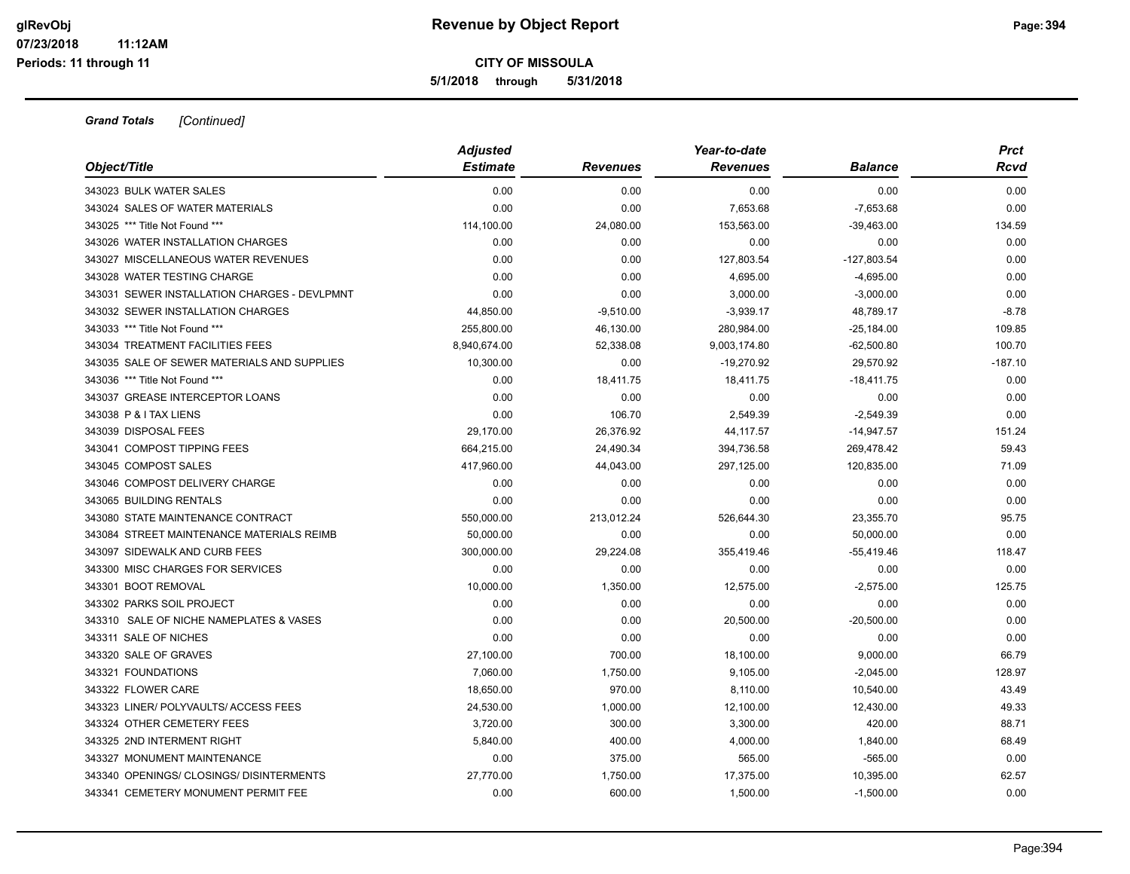**5/1/2018 through 5/31/2018**

| Object/Title                                 | <b>Adjusted</b><br><b>Estimate</b> | <b>Revenues</b> | Year-to-date<br><b>Revenues</b> | <b>Balance</b> | <b>Prct</b><br>Rcvd |
|----------------------------------------------|------------------------------------|-----------------|---------------------------------|----------------|---------------------|
| 343023 BULK WATER SALES                      | 0.00                               | 0.00            | 0.00                            | 0.00           | 0.00                |
| 343024 SALES OF WATER MATERIALS              | 0.00                               | 0.00            | 7,653.68                        | $-7,653.68$    | 0.00                |
| 343025 *** Title Not Found ***               | 114,100.00                         | 24,080.00       | 153,563.00                      | $-39,463.00$   | 134.59              |
| 343026 WATER INSTALLATION CHARGES            | 0.00                               | 0.00            | 0.00                            | 0.00           | 0.00                |
| 343027 MISCELLANEOUS WATER REVENUES          | 0.00                               | 0.00            | 127,803.54                      | $-127,803.54$  | 0.00                |
| 343028 WATER TESTING CHARGE                  | 0.00                               | 0.00            | 4,695.00                        | $-4,695.00$    | 0.00                |
| 343031 SEWER INSTALLATION CHARGES - DEVLPMNT | 0.00                               | 0.00            | 3,000.00                        | $-3,000.00$    | 0.00                |
| 343032 SEWER INSTALLATION CHARGES            | 44,850.00                          | $-9,510.00$     | $-3,939.17$                     | 48,789.17      | $-8.78$             |
| 343033 *** Title Not Found ***               | 255,800.00                         | 46,130.00       | 280,984.00                      | $-25,184.00$   | 109.85              |
| 343034 TREATMENT FACILITIES FEES             | 8,940,674.00                       | 52,338.08       | 9,003,174.80                    | $-62,500.80$   | 100.70              |
| 343035 SALE OF SEWER MATERIALS AND SUPPLIES  | 10,300.00                          | 0.00            | $-19,270.92$                    | 29,570.92      | $-187.10$           |
| 343036 *** Title Not Found ***               | 0.00                               | 18,411.75       | 18,411.75                       | $-18,411.75$   | 0.00                |
| 343037 GREASE INTERCEPTOR LOANS              | 0.00                               | 0.00            | 0.00                            | 0.00           | 0.00                |
| 343038 P & I TAX LIENS                       | 0.00                               | 106.70          | 2,549.39                        | $-2,549.39$    | 0.00                |
| 343039 DISPOSAL FEES                         | 29,170.00                          | 26,376.92       | 44, 117.57                      | $-14,947.57$   | 151.24              |
| 343041 COMPOST TIPPING FEES                  | 664,215.00                         | 24,490.34       | 394,736.58                      | 269,478.42     | 59.43               |
| 343045 COMPOST SALES                         | 417,960.00                         | 44,043.00       | 297,125.00                      | 120,835.00     | 71.09               |
| 343046 COMPOST DELIVERY CHARGE               | 0.00                               | 0.00            | 0.00                            | 0.00           | 0.00                |
| 343065 BUILDING RENTALS                      | 0.00                               | 0.00            | 0.00                            | 0.00           | 0.00                |
| 343080 STATE MAINTENANCE CONTRACT            | 550,000.00                         | 213,012.24      | 526,644.30                      | 23,355.70      | 95.75               |
| 343084 STREET MAINTENANCE MATERIALS REIMB    | 50,000.00                          | 0.00            | 0.00                            | 50,000.00      | 0.00                |
| 343097 SIDEWALK AND CURB FEES                | 300,000.00                         | 29,224.08       | 355,419.46                      | $-55,419.46$   | 118.47              |
| 343300 MISC CHARGES FOR SERVICES             | 0.00                               | 0.00            | 0.00                            | 0.00           | 0.00                |
| 343301 BOOT REMOVAL                          | 10,000.00                          | 1,350.00        | 12,575.00                       | $-2,575.00$    | 125.75              |
| 343302 PARKS SOIL PROJECT                    | 0.00                               | 0.00            | 0.00                            | 0.00           | 0.00                |
| 343310 SALE OF NICHE NAMEPLATES & VASES      | 0.00                               | 0.00            | 20,500.00                       | $-20,500.00$   | 0.00                |
| 343311 SALE OF NICHES                        | 0.00                               | 0.00            | 0.00                            | 0.00           | 0.00                |
| 343320 SALE OF GRAVES                        | 27,100.00                          | 700.00          | 18,100.00                       | 9,000.00       | 66.79               |
| 343321 FOUNDATIONS                           | 7.060.00                           | 1,750.00        | 9,105.00                        | $-2,045.00$    | 128.97              |
| 343322 FLOWER CARE                           | 18,650.00                          | 970.00          | 8,110.00                        | 10,540.00      | 43.49               |
| 343323 LINER/ POLYVAULTS/ ACCESS FEES        | 24,530.00                          | 1,000.00        | 12,100.00                       | 12,430.00      | 49.33               |
| 343324 OTHER CEMETERY FEES                   | 3,720.00                           | 300.00          | 3,300.00                        | 420.00         | 88.71               |
| 343325 2ND INTERMENT RIGHT                   | 5,840.00                           | 400.00          | 4,000.00                        | 1,840.00       | 68.49               |
| 343327 MONUMENT MAINTENANCE                  | 0.00                               | 375.00          | 565.00                          | $-565.00$      | 0.00                |
| 343340 OPENINGS/ CLOSINGS/ DISINTERMENTS     | 27,770.00                          | 1,750.00        | 17,375.00                       | 10,395.00      | 62.57               |
| 343341 CEMETERY MONUMENT PERMIT FEE          | 0.00                               | 600.00          | 1,500.00                        | $-1,500.00$    | 0.00                |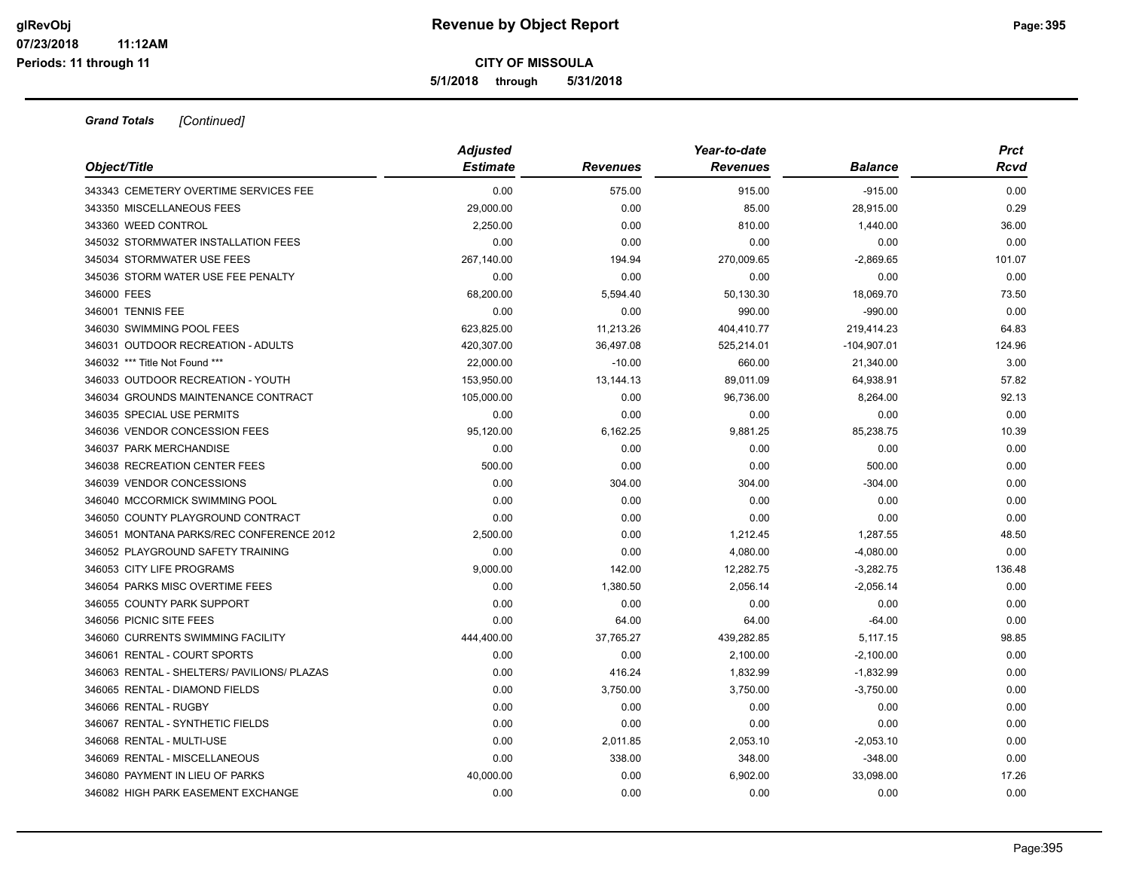**5/1/2018 through 5/31/2018**

|                                             | <b>Adjusted</b> |                 | Year-to-date    |                | <b>Prct</b> |
|---------------------------------------------|-----------------|-----------------|-----------------|----------------|-------------|
| Object/Title                                | <b>Estimate</b> | <b>Revenues</b> | <b>Revenues</b> | <b>Balance</b> | Rcvd        |
| 343343 CEMETERY OVERTIME SERVICES FEE       | 0.00            | 575.00          | 915.00          | $-915.00$      | 0.00        |
| 343350 MISCELLANEOUS FEES                   | 29,000.00       | 0.00            | 85.00           | 28,915.00      | 0.29        |
| 343360 WEED CONTROL                         | 2,250.00        | 0.00            | 810.00          | 1,440.00       | 36.00       |
| 345032 STORMWATER INSTALLATION FEES         | 0.00            | 0.00            | 0.00            | 0.00           | 0.00        |
| 345034 STORMWATER USE FEES                  | 267,140.00      | 194.94          | 270,009.65      | $-2,869.65$    | 101.07      |
| 345036 STORM WATER USE FEE PENALTY          | 0.00            | 0.00            | 0.00            | 0.00           | 0.00        |
| 346000 FEES                                 | 68,200.00       | 5,594.40        | 50,130.30       | 18,069.70      | 73.50       |
| 346001 TENNIS FEE                           | 0.00            | 0.00            | 990.00          | $-990.00$      | 0.00        |
| 346030 SWIMMING POOL FEES                   | 623,825.00      | 11,213.26       | 404,410.77      | 219,414.23     | 64.83       |
| 346031 OUTDOOR RECREATION - ADULTS          | 420,307.00      | 36,497.08       | 525,214.01      | $-104,907.01$  | 124.96      |
| 346032 *** Title Not Found ***              | 22,000.00       | $-10.00$        | 660.00          | 21,340.00      | 3.00        |
| 346033 OUTDOOR RECREATION - YOUTH           | 153,950.00      | 13,144.13       | 89,011.09       | 64,938.91      | 57.82       |
| 346034 GROUNDS MAINTENANCE CONTRACT         | 105,000.00      | 0.00            | 96,736.00       | 8,264.00       | 92.13       |
| 346035 SPECIAL USE PERMITS                  | 0.00            | 0.00            | 0.00            | 0.00           | 0.00        |
| 346036 VENDOR CONCESSION FEES               | 95,120.00       | 6,162.25        | 9,881.25        | 85,238.75      | 10.39       |
| 346037 PARK MERCHANDISE                     | 0.00            | 0.00            | 0.00            | 0.00           | 0.00        |
| 346038 RECREATION CENTER FEES               | 500.00          | 0.00            | 0.00            | 500.00         | 0.00        |
| 346039 VENDOR CONCESSIONS                   | 0.00            | 304.00          | 304.00          | $-304.00$      | 0.00        |
| 346040 MCCORMICK SWIMMING POOL              | 0.00            | 0.00            | 0.00            | 0.00           | 0.00        |
| 346050 COUNTY PLAYGROUND CONTRACT           | 0.00            | 0.00            | 0.00            | 0.00           | 0.00        |
| 346051 MONTANA PARKS/REC CONFERENCE 2012    | 2,500.00        | 0.00            | 1,212.45        | 1,287.55       | 48.50       |
| 346052 PLAYGROUND SAFETY TRAINING           | 0.00            | 0.00            | 4,080.00        | $-4,080.00$    | 0.00        |
| 346053 CITY LIFE PROGRAMS                   | 9.000.00        | 142.00          | 12,282.75       | $-3,282.75$    | 136.48      |
| 346054 PARKS MISC OVERTIME FEES             | 0.00            | 1,380.50        | 2,056.14        | $-2,056.14$    | 0.00        |
| 346055 COUNTY PARK SUPPORT                  | 0.00            | 0.00            | 0.00            | 0.00           | 0.00        |
| 346056 PICNIC SITE FEES                     | 0.00            | 64.00           | 64.00           | $-64.00$       | 0.00        |
| 346060 CURRENTS SWIMMING FACILITY           | 444,400.00      | 37,765.27       | 439,282.85      | 5,117.15       | 98.85       |
| 346061 RENTAL - COURT SPORTS                | 0.00            | 0.00            | 2,100.00        | $-2,100.00$    | 0.00        |
| 346063 RENTAL - SHELTERS/ PAVILIONS/ PLAZAS | 0.00            | 416.24          | 1,832.99        | $-1,832.99$    | 0.00        |
| 346065 RENTAL - DIAMOND FIELDS              | 0.00            | 3,750.00        | 3,750.00        | $-3,750.00$    | 0.00        |
| 346066 RENTAL - RUGBY                       | 0.00            | 0.00            | 0.00            | 0.00           | 0.00        |
| 346067 RENTAL - SYNTHETIC FIELDS            | 0.00            | 0.00            | 0.00            | 0.00           | 0.00        |
| 346068 RENTAL - MULTI-USE                   | 0.00            | 2,011.85        | 2,053.10        | $-2,053.10$    | 0.00        |
| 346069 RENTAL - MISCELLANEOUS               | 0.00            | 338.00          | 348.00          | $-348.00$      | 0.00        |
| 346080 PAYMENT IN LIEU OF PARKS             | 40,000.00       | 0.00            | 6,902.00        | 33,098.00      | 17.26       |
| 346082 HIGH PARK EASEMENT EXCHANGE          | 0.00            | 0.00            | 0.00            | 0.00           | 0.00        |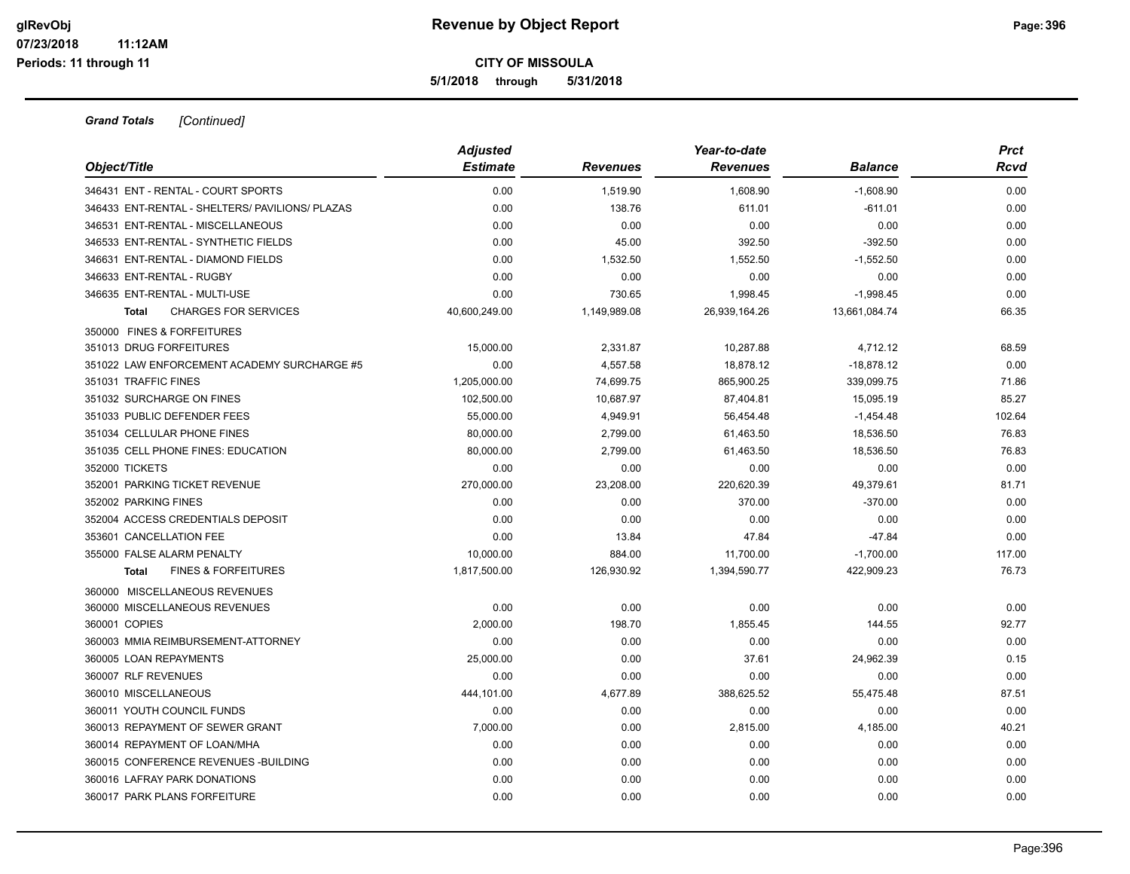**5/1/2018 through 5/31/2018**

| Object/Title                                    | <b>Adjusted</b><br><b>Estimate</b> | <b>Revenues</b> | Year-to-date<br><b>Revenues</b> | <b>Balance</b> | <b>Prct</b><br>Rcvd |
|-------------------------------------------------|------------------------------------|-----------------|---------------------------------|----------------|---------------------|
|                                                 |                                    |                 |                                 |                |                     |
| 346431 ENT - RENTAL - COURT SPORTS              | 0.00                               | 1,519.90        | 1,608.90                        | $-1,608.90$    | 0.00                |
| 346433 ENT-RENTAL - SHELTERS/ PAVILIONS/ PLAZAS | 0.00                               | 138.76          | 611.01                          | -611.01        | 0.00                |
| 346531 ENT-RENTAL - MISCELLANEOUS               | 0.00                               | 0.00            | 0.00                            | 0.00           | 0.00                |
| 346533 ENT-RENTAL - SYNTHETIC FIELDS            | 0.00                               | 45.00           | 392.50                          | $-392.50$      | 0.00                |
| 346631 ENT-RENTAL - DIAMOND FIELDS              | 0.00                               | 1,532.50        | 1,552.50                        | $-1,552.50$    | 0.00                |
| 346633 ENT-RENTAL - RUGBY                       | 0.00                               | 0.00            | 0.00                            | 0.00           | 0.00                |
| 346635 ENT-RENTAL - MULTI-USE                   | 0.00                               | 730.65          | 1,998.45                        | $-1,998.45$    | 0.00                |
| <b>CHARGES FOR SERVICES</b><br><b>Total</b>     | 40,600,249.00                      | 1,149,989.08    | 26,939,164.26                   | 13,661,084.74  | 66.35               |
| 350000 FINES & FORFEITURES                      |                                    |                 |                                 |                |                     |
| 351013 DRUG FORFEITURES                         | 15,000.00                          | 2,331.87        | 10,287.88                       | 4,712.12       | 68.59               |
| 351022 LAW ENFORCEMENT ACADEMY SURCHARGE #5     | 0.00                               | 4,557.58        | 18,878.12                       | $-18,878.12$   | 0.00                |
| 351031 TRAFFIC FINES                            | 1,205,000.00                       | 74,699.75       | 865,900.25                      | 339,099.75     | 71.86               |
| 351032 SURCHARGE ON FINES                       | 102,500.00                         | 10,687.97       | 87,404.81                       | 15,095.19      | 85.27               |
| 351033 PUBLIC DEFENDER FEES                     | 55,000.00                          | 4,949.91        | 56,454.48                       | $-1,454.48$    | 102.64              |
| 351034 CELLULAR PHONE FINES                     | 80,000.00                          | 2,799.00        | 61,463.50                       | 18,536.50      | 76.83               |
| 351035 CELL PHONE FINES: EDUCATION              | 80,000.00                          | 2,799.00        | 61,463.50                       | 18,536.50      | 76.83               |
| 352000 TICKETS                                  | 0.00                               | 0.00            | 0.00                            | 0.00           | 0.00                |
| 352001 PARKING TICKET REVENUE                   | 270,000.00                         | 23,208.00       | 220,620.39                      | 49,379.61      | 81.71               |
| 352002 PARKING FINES                            | 0.00                               | 0.00            | 370.00                          | $-370.00$      | 0.00                |
| 352004 ACCESS CREDENTIALS DEPOSIT               | 0.00                               | 0.00            | 0.00                            | 0.00           | 0.00                |
| 353601 CANCELLATION FEE                         | 0.00                               | 13.84           | 47.84                           | $-47.84$       | 0.00                |
| 355000 FALSE ALARM PENALTY                      | 10,000.00                          | 884.00          | 11,700.00                       | $-1,700.00$    | 117.00              |
| <b>FINES &amp; FORFEITURES</b><br><b>Total</b>  | 1,817,500.00                       | 126,930.92      | 1,394,590.77                    | 422,909.23     | 76.73               |
| 360000 MISCELLANEOUS REVENUES                   |                                    |                 |                                 |                |                     |
| 360000 MISCELLANEOUS REVENUES                   | 0.00                               | 0.00            | 0.00                            | 0.00           | 0.00                |
| 360001 COPIES                                   | 2,000.00                           | 198.70          | 1,855.45                        | 144.55         | 92.77               |
| 360003 MMIA REIMBURSEMENT-ATTORNEY              | 0.00                               | 0.00            | 0.00                            | 0.00           | 0.00                |
| 360005 LOAN REPAYMENTS                          | 25,000.00                          | 0.00            | 37.61                           | 24,962.39      | 0.15                |
| 360007 RLF REVENUES                             | 0.00                               | 0.00            | 0.00                            | 0.00           | 0.00                |
| 360010 MISCELLANEOUS                            | 444,101.00                         | 4,677.89        | 388,625.52                      | 55,475.48      | 87.51               |
| 360011 YOUTH COUNCIL FUNDS                      | 0.00                               | 0.00            | 0.00                            | 0.00           | 0.00                |
| 360013 REPAYMENT OF SEWER GRANT                 | 7,000.00                           | 0.00            | 2,815.00                        | 4,185.00       | 40.21               |
| 360014 REPAYMENT OF LOAN/MHA                    | 0.00                               | 0.00            | 0.00                            | 0.00           | 0.00                |
| 360015 CONFERENCE REVENUES - BUILDING           | 0.00                               | 0.00            | 0.00                            | 0.00           | 0.00                |
| 360016 LAFRAY PARK DONATIONS                    | 0.00                               | 0.00            | 0.00                            | 0.00           | 0.00                |
| 360017 PARK PLANS FORFEITURE                    | 0.00                               | 0.00            | 0.00                            | 0.00           | 0.00                |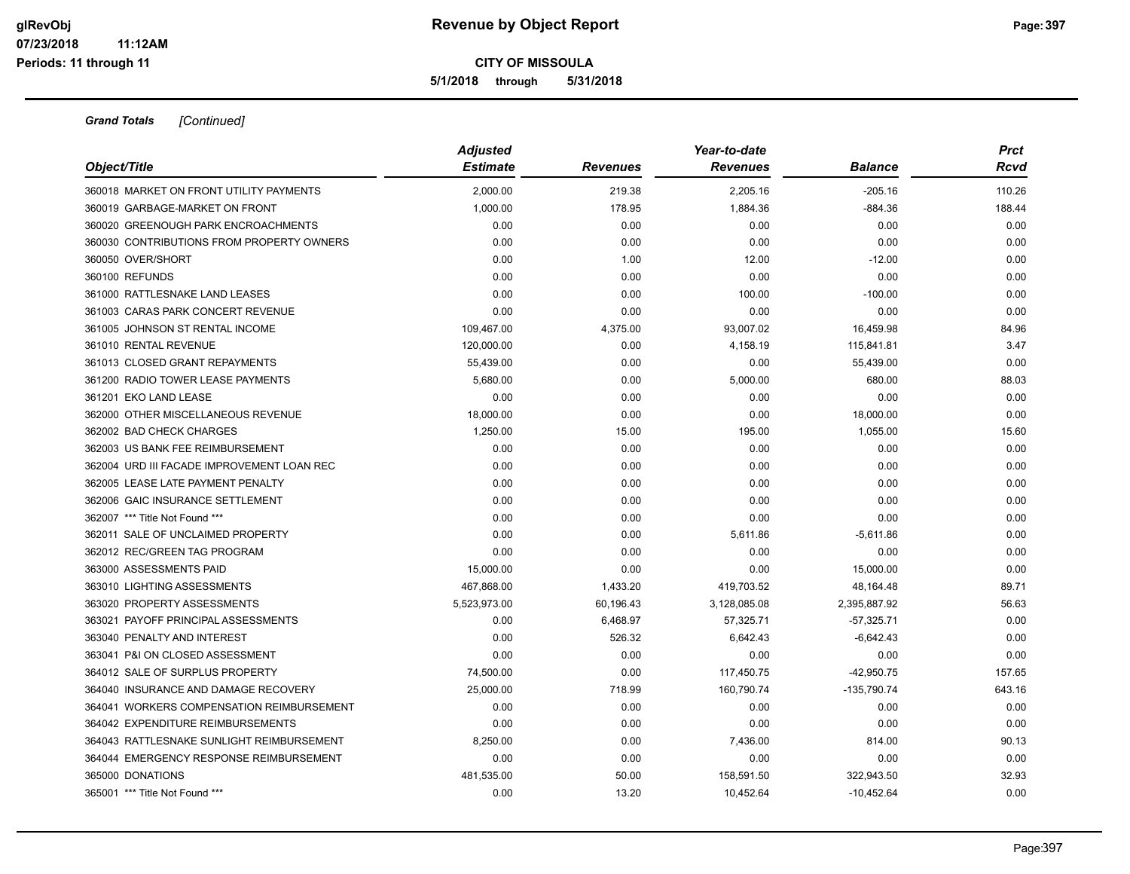**5/1/2018 through 5/31/2018**

| Object/Title                               | <b>Adjusted</b><br><b>Estimate</b> | <b>Revenues</b> | Year-to-date<br><b>Revenues</b> | <b>Balance</b> | <b>Prct</b><br>Rcvd |
|--------------------------------------------|------------------------------------|-----------------|---------------------------------|----------------|---------------------|
|                                            |                                    |                 |                                 |                |                     |
| 360018 MARKET ON FRONT UTILITY PAYMENTS    | 2,000.00                           | 219.38          | 2,205.16                        | $-205.16$      | 110.26              |
| 360019 GARBAGE-MARKET ON FRONT             | 1,000.00                           | 178.95          | 1,884.36                        | $-884.36$      | 188.44              |
| 360020 GREENOUGH PARK ENCROACHMENTS        | 0.00                               | 0.00            | 0.00                            | 0.00           | 0.00                |
| 360030 CONTRIBUTIONS FROM PROPERTY OWNERS  | 0.00                               | 0.00            | 0.00                            | 0.00           | 0.00                |
| 360050 OVER/SHORT                          | 0.00                               | 1.00            | 12.00                           | $-12.00$       | 0.00                |
| 360100 REFUNDS                             | 0.00                               | 0.00            | 0.00                            | 0.00           | 0.00                |
| 361000 RATTLESNAKE LAND LEASES             | 0.00                               | 0.00            | 100.00                          | $-100.00$      | 0.00                |
| 361003 CARAS PARK CONCERT REVENUE          | 0.00                               | 0.00            | 0.00                            | 0.00           | 0.00                |
| 361005 JOHNSON ST RENTAL INCOME            | 109,467.00                         | 4,375.00        | 93,007.02                       | 16,459.98      | 84.96               |
| 361010 RENTAL REVENUE                      | 120,000.00                         | 0.00            | 4,158.19                        | 115,841.81     | 3.47                |
| 361013 CLOSED GRANT REPAYMENTS             | 55,439.00                          | 0.00            | 0.00                            | 55,439.00      | 0.00                |
| 361200 RADIO TOWER LEASE PAYMENTS          | 5,680.00                           | 0.00            | 5,000.00                        | 680.00         | 88.03               |
| 361201 EKO LAND LEASE                      | 0.00                               | 0.00            | 0.00                            | 0.00           | 0.00                |
| 362000 OTHER MISCELLANEOUS REVENUE         | 18,000.00                          | 0.00            | 0.00                            | 18,000.00      | 0.00                |
| 362002 BAD CHECK CHARGES                   | 1,250.00                           | 15.00           | 195.00                          | 1,055.00       | 15.60               |
| 362003 US BANK FEE REIMBURSEMENT           | 0.00                               | 0.00            | 0.00                            | 0.00           | 0.00                |
| 362004 URD III FACADE IMPROVEMENT LOAN REC | 0.00                               | 0.00            | 0.00                            | 0.00           | 0.00                |
| 362005 LEASE LATE PAYMENT PENALTY          | 0.00                               | 0.00            | 0.00                            | 0.00           | 0.00                |
| 362006 GAIC INSURANCE SETTLEMENT           | 0.00                               | 0.00            | 0.00                            | 0.00           | 0.00                |
| 362007 *** Title Not Found ***             | 0.00                               | 0.00            | 0.00                            | 0.00           | 0.00                |
| 362011 SALE OF UNCLAIMED PROPERTY          | 0.00                               | 0.00            | 5,611.86                        | $-5,611.86$    | 0.00                |
| 362012 REC/GREEN TAG PROGRAM               | 0.00                               | 0.00            | 0.00                            | 0.00           | 0.00                |
| 363000 ASSESSMENTS PAID                    | 15,000.00                          | 0.00            | 0.00                            | 15,000.00      | 0.00                |
| 363010 LIGHTING ASSESSMENTS                | 467,868.00                         | 1,433.20        | 419,703.52                      | 48,164.48      | 89.71               |
| 363020 PROPERTY ASSESSMENTS                | 5,523,973.00                       | 60,196.43       | 3,128,085.08                    | 2,395,887.92   | 56.63               |
| 363021 PAYOFF PRINCIPAL ASSESSMENTS        | 0.00                               | 6,468.97        | 57,325.71                       | $-57,325.71$   | 0.00                |
| 363040 PENALTY AND INTEREST                | 0.00                               | 526.32          | 6,642.43                        | $-6,642.43$    | 0.00                |
| 363041 P&I ON CLOSED ASSESSMENT            | 0.00                               | 0.00            | 0.00                            | 0.00           | 0.00                |
| 364012 SALE OF SURPLUS PROPERTY            | 74,500.00                          | 0.00            | 117,450.75                      | $-42,950.75$   | 157.65              |
| 364040 INSURANCE AND DAMAGE RECOVERY       | 25,000.00                          | 718.99          | 160,790.74                      | -135,790.74    | 643.16              |
| 364041 WORKERS COMPENSATION REIMBURSEMENT  | 0.00                               | 0.00            | 0.00                            | 0.00           | 0.00                |
| 364042 EXPENDITURE REIMBURSEMENTS          | 0.00                               | 0.00            | 0.00                            | 0.00           | 0.00                |
| 364043 RATTLESNAKE SUNLIGHT REIMBURSEMENT  | 8,250.00                           | 0.00            | 7,436.00                        | 814.00         | 90.13               |
| 364044 EMERGENCY RESPONSE REIMBURSEMENT    | 0.00                               | 0.00            | 0.00                            | 0.00           | 0.00                |
| 365000 DONATIONS                           | 481,535.00                         | 50.00           | 158,591.50                      | 322,943.50     | 32.93               |
| 365001 *** Title Not Found ***             | 0.00                               | 13.20           | 10,452.64                       | $-10,452.64$   | 0.00                |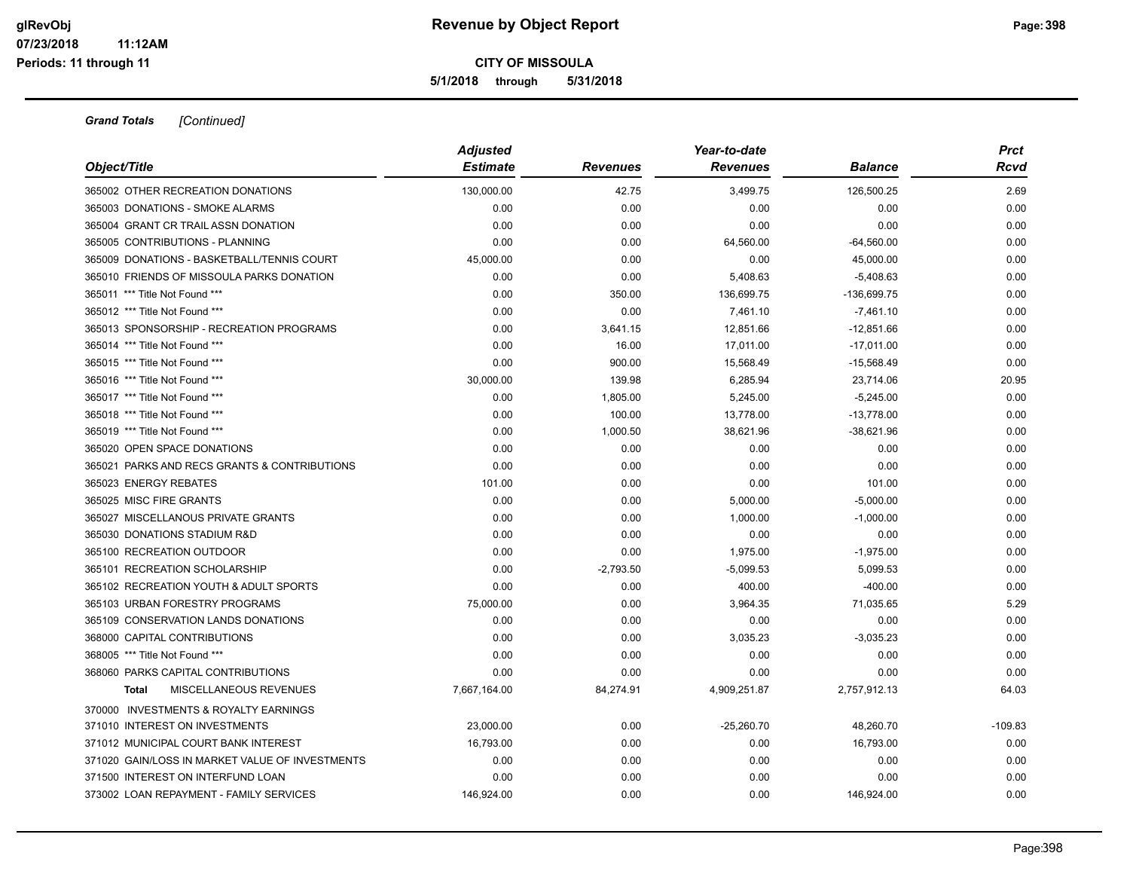**5/1/2018 through 5/31/2018**

| Object/Title                                    | <b>Adjusted</b> |                 | Year-to-date    |                | <b>Prct</b> |
|-------------------------------------------------|-----------------|-----------------|-----------------|----------------|-------------|
|                                                 | <b>Estimate</b> | <b>Revenues</b> | <b>Revenues</b> | <b>Balance</b> | Rcvd        |
| 365002 OTHER RECREATION DONATIONS               | 130,000.00      | 42.75           | 3,499.75        | 126,500.25     | 2.69        |
| 365003 DONATIONS - SMOKE ALARMS                 | 0.00            | 0.00            | 0.00            | 0.00           | 0.00        |
| 365004 GRANT CR TRAIL ASSN DONATION             | 0.00            | 0.00            | 0.00            | 0.00           | 0.00        |
| 365005 CONTRIBUTIONS - PLANNING                 | 0.00            | 0.00            | 64,560.00       | $-64,560.00$   | 0.00        |
| 365009 DONATIONS - BASKETBALL/TENNIS COURT      | 45,000.00       | 0.00            | 0.00            | 45,000.00      | 0.00        |
| 365010 FRIENDS OF MISSOULA PARKS DONATION       | 0.00            | 0.00            | 5,408.63        | $-5,408.63$    | 0.00        |
| 365011 *** Title Not Found ***                  | 0.00            | 350.00          | 136,699.75      | -136,699.75    | 0.00        |
| 365012 *** Title Not Found ***                  | 0.00            | 0.00            | 7,461.10        | $-7,461.10$    | 0.00        |
| 365013 SPONSORSHIP - RECREATION PROGRAMS        | 0.00            | 3,641.15        | 12,851.66       | $-12,851.66$   | 0.00        |
| 365014 *** Title Not Found ***                  | 0.00            | 16.00           | 17,011.00       | $-17,011.00$   | 0.00        |
| 365015 *** Title Not Found ***                  | 0.00            | 900.00          | 15,568.49       | $-15,568.49$   | 0.00        |
| 365016 *** Title Not Found ***                  | 30,000.00       | 139.98          | 6,285.94        | 23,714.06      | 20.95       |
| 365017 *** Title Not Found ***                  | 0.00            | 1,805.00        | 5,245.00        | $-5,245.00$    | 0.00        |
| 365018 *** Title Not Found ***                  | 0.00            | 100.00          | 13,778.00       | $-13,778.00$   | 0.00        |
| 365019 *** Title Not Found ***                  | 0.00            | 1,000.50        | 38,621.96       | $-38,621.96$   | 0.00        |
| 365020 OPEN SPACE DONATIONS                     | 0.00            | 0.00            | 0.00            | 0.00           | 0.00        |
| 365021 PARKS AND RECS GRANTS & CONTRIBUTIONS    | 0.00            | 0.00            | 0.00            | 0.00           | 0.00        |
| 365023 ENERGY REBATES                           | 101.00          | 0.00            | 0.00            | 101.00         | 0.00        |
| 365025 MISC FIRE GRANTS                         | 0.00            | 0.00            | 5,000.00        | $-5,000.00$    | 0.00        |
| 365027 MISCELLANOUS PRIVATE GRANTS              | 0.00            | 0.00            | 1,000.00        | $-1,000.00$    | 0.00        |
| 365030 DONATIONS STADIUM R&D                    | 0.00            | 0.00            | 0.00            | 0.00           | 0.00        |
| 365100 RECREATION OUTDOOR                       | 0.00            | 0.00            | 1,975.00        | $-1,975.00$    | 0.00        |
| 365101 RECREATION SCHOLARSHIP                   | 0.00            | $-2,793.50$     | $-5,099.53$     | 5,099.53       | 0.00        |
| 365102 RECREATION YOUTH & ADULT SPORTS          | 0.00            | 0.00            | 400.00          | $-400.00$      | 0.00        |
| 365103 URBAN FORESTRY PROGRAMS                  | 75,000.00       | 0.00            | 3,964.35        | 71,035.65      | 5.29        |
| 365109 CONSERVATION LANDS DONATIONS             | 0.00            | 0.00            | 0.00            | 0.00           | 0.00        |
| 368000 CAPITAL CONTRIBUTIONS                    | 0.00            | 0.00            | 3,035.23        | $-3,035.23$    | 0.00        |
| 368005 *** Title Not Found ***                  | 0.00            | 0.00            | 0.00            | 0.00           | 0.00        |
| 368060 PARKS CAPITAL CONTRIBUTIONS              | 0.00            | 0.00            | 0.00            | 0.00           | 0.00        |
| MISCELLANEOUS REVENUES<br>Total                 | 7,667,164.00    | 84,274.91       | 4,909,251.87    | 2,757,912.13   | 64.03       |
| 370000 INVESTMENTS & ROYALTY EARNINGS           |                 |                 |                 |                |             |
| 371010 INTEREST ON INVESTMENTS                  | 23,000.00       | 0.00            | $-25,260.70$    | 48,260.70      | $-109.83$   |
| 371012 MUNICIPAL COURT BANK INTEREST            | 16,793.00       | 0.00            | 0.00            | 16,793.00      | 0.00        |
| 371020 GAIN/LOSS IN MARKET VALUE OF INVESTMENTS | 0.00            | 0.00            | 0.00            | 0.00           | 0.00        |
| 371500 INTEREST ON INTERFUND LOAN               | 0.00            | 0.00            | 0.00            | 0.00           | 0.00        |
| 373002 LOAN REPAYMENT - FAMILY SERVICES         | 146.924.00      | 0.00            | 0.00            | 146,924.00     | 0.00        |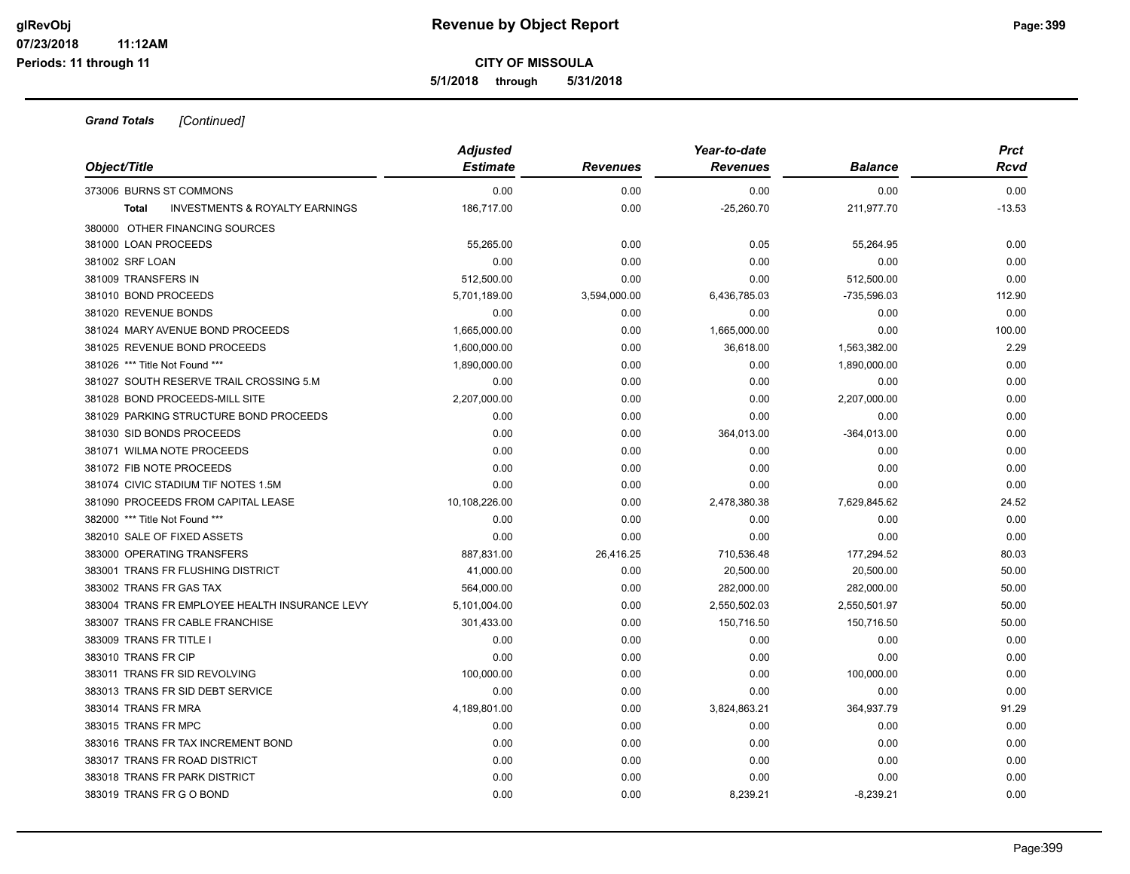**5/1/2018 through 5/31/2018**

| Object/Title                                   | <b>Adjusted</b><br><b>Estimate</b> | <b>Revenues</b> | Year-to-date<br><b>Revenues</b> | <b>Balance</b> | <b>Prct</b><br>Rcvd |
|------------------------------------------------|------------------------------------|-----------------|---------------------------------|----------------|---------------------|
| 373006 BURNS ST COMMONS                        | 0.00                               | 0.00            | 0.00                            | 0.00           | 0.00                |
| <b>INVESTMENTS &amp; ROYALTY EARNINGS</b>      | 186,717.00                         | 0.00            | $-25,260.70$                    | 211,977.70     | $-13.53$            |
| Total                                          |                                    |                 |                                 |                |                     |
| 380000 OTHER FINANCING SOURCES                 |                                    |                 |                                 |                |                     |
| 381000 LOAN PROCEEDS                           | 55,265.00                          | 0.00            | 0.05                            | 55,264.95      | 0.00                |
| 381002 SRF LOAN                                | 0.00                               | 0.00            | 0.00                            | 0.00           | 0.00                |
| 381009 TRANSFERS IN                            | 512,500.00                         | 0.00            | 0.00                            | 512,500.00     | 0.00                |
| 381010 BOND PROCEEDS                           | 5,701,189.00                       | 3,594,000.00    | 6,436,785.03                    | -735,596.03    | 112.90              |
| 381020 REVENUE BONDS                           | 0.00                               | 0.00            | 0.00                            | 0.00           | 0.00                |
| 381024 MARY AVENUE BOND PROCEEDS               | 1,665,000.00                       | 0.00            | 1,665,000.00                    | 0.00           | 100.00              |
| 381025 REVENUE BOND PROCEEDS                   | 1,600,000.00                       | 0.00            | 36,618.00                       | 1,563,382.00   | 2.29                |
| 381026 *** Title Not Found ***                 | 1,890,000.00                       | 0.00            | 0.00                            | 1,890,000.00   | 0.00                |
| 381027 SOUTH RESERVE TRAIL CROSSING 5.M        | 0.00                               | 0.00            | 0.00                            | 0.00           | 0.00                |
| 381028 BOND PROCEEDS-MILL SITE                 | 2,207,000.00                       | 0.00            | 0.00                            | 2,207,000.00   | 0.00                |
| 381029 PARKING STRUCTURE BOND PROCEEDS         | 0.00                               | 0.00            | 0.00                            | 0.00           | 0.00                |
| 381030 SID BONDS PROCEEDS                      | 0.00                               | 0.00            | 364,013.00                      | $-364,013.00$  | 0.00                |
| 381071 WILMA NOTE PROCEEDS                     | 0.00                               | 0.00            | 0.00                            | 0.00           | 0.00                |
| 381072 FIB NOTE PROCEEDS                       | 0.00                               | 0.00            | 0.00                            | 0.00           | 0.00                |
| 381074 CIVIC STADIUM TIF NOTES 1.5M            | 0.00                               | 0.00            | 0.00                            | 0.00           | 0.00                |
| 381090 PROCEEDS FROM CAPITAL LEASE             | 10,108,226.00                      | 0.00            | 2,478,380.38                    | 7,629,845.62   | 24.52               |
| 382000 *** Title Not Found ***                 | 0.00                               | 0.00            | 0.00                            | 0.00           | 0.00                |
| 382010 SALE OF FIXED ASSETS                    | 0.00                               | 0.00            | 0.00                            | 0.00           | 0.00                |
| 383000 OPERATING TRANSFERS                     | 887,831.00                         | 26,416.25       | 710,536.48                      | 177,294.52     | 80.03               |
| 383001 TRANS FR FLUSHING DISTRICT              | 41,000.00                          | 0.00            | 20,500.00                       | 20,500.00      | 50.00               |
| 383002 TRANS FR GAS TAX                        | 564,000.00                         | 0.00            | 282,000.00                      | 282,000.00     | 50.00               |
| 383004 TRANS FR EMPLOYEE HEALTH INSURANCE LEVY | 5,101,004.00                       | 0.00            | 2,550,502.03                    | 2,550,501.97   | 50.00               |
| 383007 TRANS FR CABLE FRANCHISE                | 301,433.00                         | 0.00            | 150,716.50                      | 150,716.50     | 50.00               |
| 383009 TRANS FR TITLE I                        | 0.00                               | 0.00            | 0.00                            | 0.00           | 0.00                |
| 383010 TRANS FR CIP                            | 0.00                               | 0.00            | 0.00                            | 0.00           | 0.00                |
| 383011 TRANS FR SID REVOLVING                  | 100,000.00                         | 0.00            | 0.00                            | 100,000.00     | 0.00                |
| 383013 TRANS FR SID DEBT SERVICE               | 0.00                               | 0.00            | 0.00                            | 0.00           | 0.00                |
| 383014 TRANS FR MRA                            | 4,189,801.00                       | 0.00            | 3,824,863.21                    | 364,937.79     | 91.29               |
| 383015 TRANS FR MPC                            | 0.00                               | 0.00            | 0.00                            | 0.00           | 0.00                |
| 383016 TRANS FR TAX INCREMENT BOND             | 0.00                               | 0.00            | 0.00                            | 0.00           | 0.00                |
| 383017 TRANS FR ROAD DISTRICT                  | 0.00                               | 0.00            | 0.00                            | 0.00           | 0.00                |
| 383018 TRANS FR PARK DISTRICT                  | 0.00                               | 0.00            | 0.00                            | 0.00           | 0.00                |
| 383019 TRANS FR G O BOND                       | 0.00                               | 0.00            | 8,239.21                        | $-8,239.21$    | 0.00                |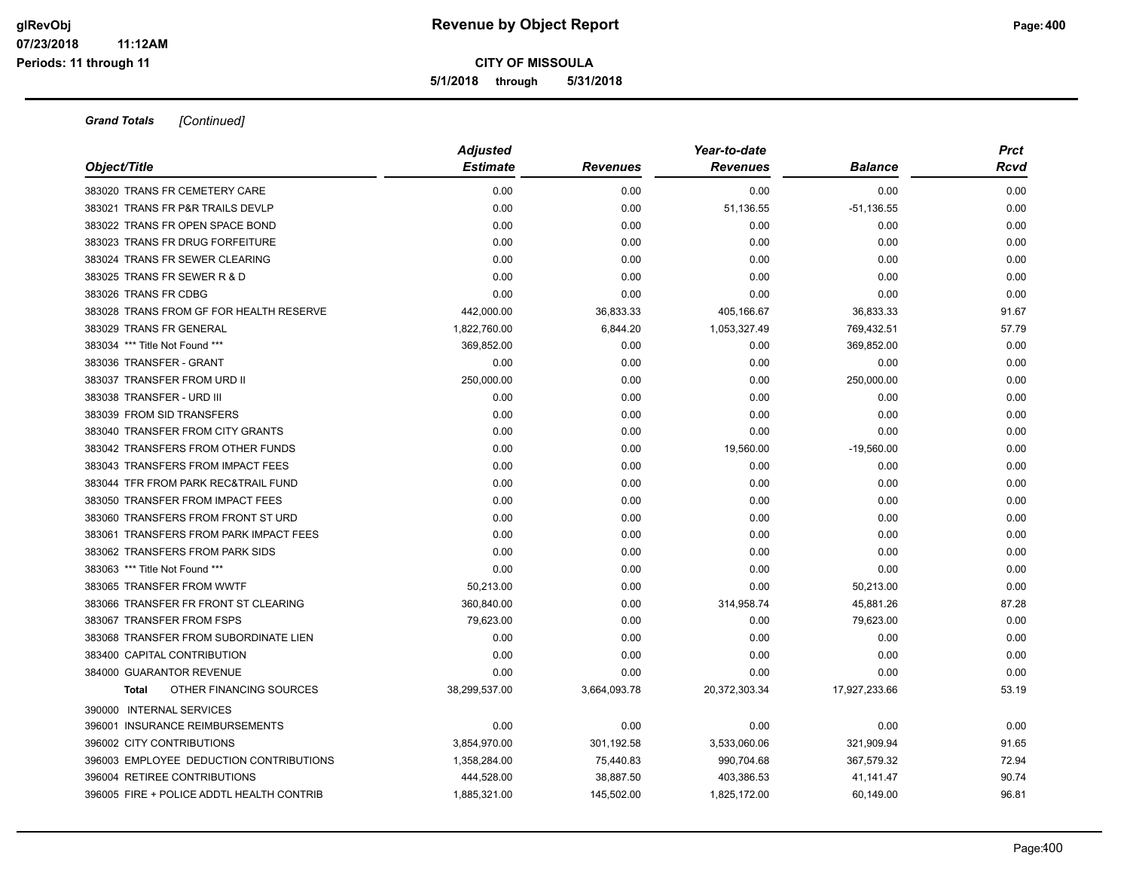**5/1/2018 through 5/31/2018**

| Object/Title                              | <b>Adjusted</b> | Year-to-date |                 |                | <b>Prct</b> |
|-------------------------------------------|-----------------|--------------|-----------------|----------------|-------------|
|                                           | <b>Estimate</b> | Revenues     | <b>Revenues</b> | <b>Balance</b> | <b>Rcvd</b> |
| 383020 TRANS FR CEMETERY CARE             | 0.00            | 0.00         | 0.00            | 0.00           | 0.00        |
| 383021 TRANS FR P&R TRAILS DEVLP          | 0.00            | 0.00         | 51,136.55       | $-51, 136.55$  | 0.00        |
| 383022 TRANS FR OPEN SPACE BOND           | 0.00            | 0.00         | 0.00            | 0.00           | 0.00        |
| 383023 TRANS FR DRUG FORFEITURE           | 0.00            | 0.00         | 0.00            | 0.00           | 0.00        |
| 383024 TRANS FR SEWER CLEARING            | 0.00            | 0.00         | 0.00            | 0.00           | 0.00        |
| 383025 TRANS FR SEWER R & D               | 0.00            | 0.00         | 0.00            | 0.00           | 0.00        |
| 383026 TRANS FR CDBG                      | 0.00            | 0.00         | 0.00            | 0.00           | 0.00        |
| 383028 TRANS FROM GF FOR HEALTH RESERVE   | 442,000.00      | 36,833.33    | 405,166.67      | 36,833.33      | 91.67       |
| 383029 TRANS FR GENERAL                   | 1,822,760.00    | 6,844.20     | 1,053,327.49    | 769,432.51     | 57.79       |
| 383034 *** Title Not Found ***            | 369,852.00      | 0.00         | 0.00            | 369,852.00     | 0.00        |
| 383036 TRANSFER - GRANT                   | 0.00            | 0.00         | 0.00            | 0.00           | 0.00        |
| 383037 TRANSFER FROM URD II               | 250,000.00      | 0.00         | 0.00            | 250,000.00     | 0.00        |
| 383038 TRANSFER - URD III                 | 0.00            | 0.00         | 0.00            | 0.00           | 0.00        |
| 383039 FROM SID TRANSFERS                 | 0.00            | 0.00         | 0.00            | 0.00           | 0.00        |
| 383040 TRANSFER FROM CITY GRANTS          | 0.00            | 0.00         | 0.00            | 0.00           | 0.00        |
| 383042 TRANSFERS FROM OTHER FUNDS         | 0.00            | 0.00         | 19,560.00       | $-19,560.00$   | 0.00        |
| 383043 TRANSFERS FROM IMPACT FEES         | 0.00            | 0.00         | 0.00            | 0.00           | 0.00        |
| 383044 TFR FROM PARK REC&TRAIL FUND       | 0.00            | 0.00         | 0.00            | 0.00           | 0.00        |
| 383050 TRANSFER FROM IMPACT FEES          | 0.00            | 0.00         | 0.00            | 0.00           | 0.00        |
| 383060 TRANSFERS FROM FRONT ST URD        | 0.00            | 0.00         | 0.00            | 0.00           | 0.00        |
| 383061 TRANSFERS FROM PARK IMPACT FEES    | 0.00            | 0.00         | 0.00            | 0.00           | 0.00        |
| 383062 TRANSFERS FROM PARK SIDS           | 0.00            | 0.00         | 0.00            | 0.00           | 0.00        |
| 383063 *** Title Not Found ***            | 0.00            | 0.00         | 0.00            | 0.00           | 0.00        |
| 383065 TRANSFER FROM WWTF                 | 50,213.00       | 0.00         | 0.00            | 50,213.00      | 0.00        |
| 383066 TRANSFER FR FRONT ST CLEARING      | 360,840.00      | 0.00         | 314,958.74      | 45,881.26      | 87.28       |
| 383067 TRANSFER FROM FSPS                 | 79,623.00       | 0.00         | 0.00            | 79,623.00      | 0.00        |
| 383068 TRANSFER FROM SUBORDINATE LIEN     | 0.00            | 0.00         | 0.00            | 0.00           | 0.00        |
| 383400 CAPITAL CONTRIBUTION               | 0.00            | 0.00         | 0.00            | 0.00           | 0.00        |
| 384000 GUARANTOR REVENUE                  | 0.00            | 0.00         | 0.00            | 0.00           | 0.00        |
| OTHER FINANCING SOURCES<br><b>Total</b>   | 38,299,537.00   | 3,664,093.78 | 20,372,303.34   | 17,927,233.66  | 53.19       |
| 390000 INTERNAL SERVICES                  |                 |              |                 |                |             |
| 396001 INSURANCE REIMBURSEMENTS           | 0.00            | 0.00         | 0.00            | 0.00           | 0.00        |
| 396002 CITY CONTRIBUTIONS                 | 3,854,970.00    | 301,192.58   | 3,533,060.06    | 321,909.94     | 91.65       |
| 396003 EMPLOYEE DEDUCTION CONTRIBUTIONS   | 1,358,284.00    | 75,440.83    | 990,704.68      | 367,579.32     | 72.94       |
| 396004 RETIREE CONTRIBUTIONS              | 444,528.00      | 38,887.50    | 403,386.53      | 41,141.47      | 90.74       |
| 396005 FIRE + POLICE ADDTL HEALTH CONTRIB | 1,885,321.00    | 145,502.00   | 1,825,172.00    | 60,149.00      | 96.81       |